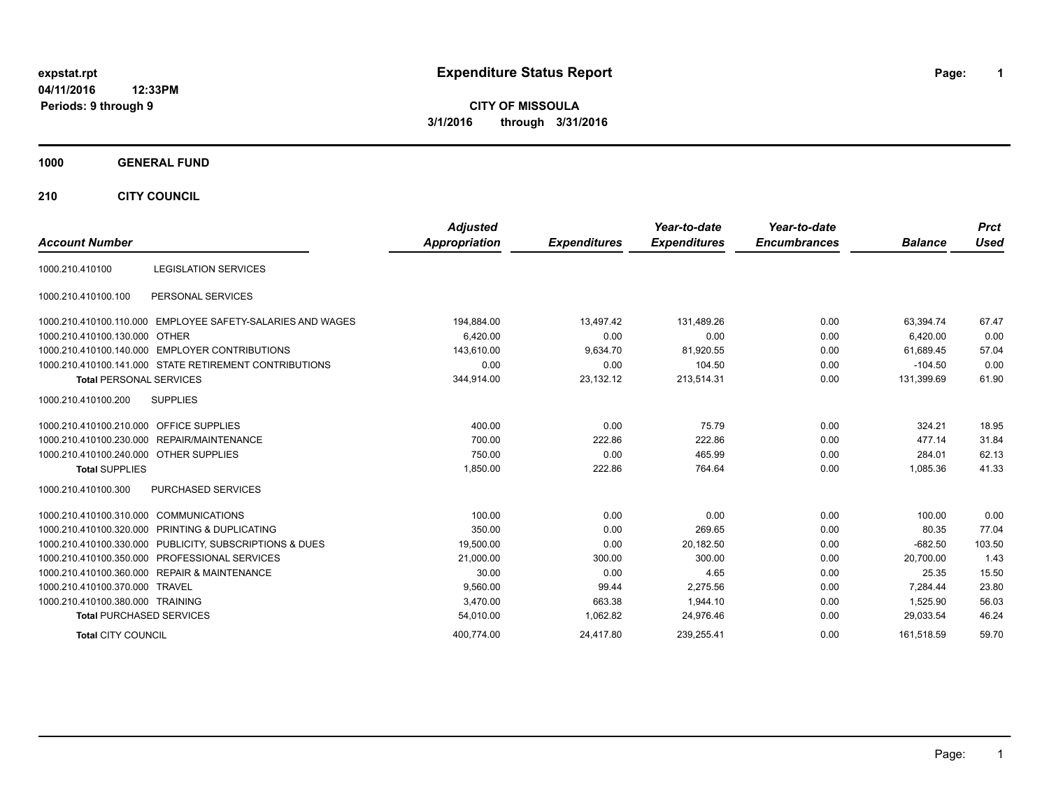# **expstat.rpt Expenditure Status Report Page:**

**1**

**CITY OF MISSOULA 3/1/2016 through 3/31/2016**

#### **1000 GENERAL FUND**

**210 CITY COUNCIL**

| <b>Account Number</b>                  |                                                            | <b>Adjusted</b><br>Appropriation | <b>Expenditures</b> | Year-to-date<br><b>Expenditures</b> | Year-to-date<br><b>Encumbrances</b> | <b>Balance</b> | <b>Prct</b><br><b>Used</b> |
|----------------------------------------|------------------------------------------------------------|----------------------------------|---------------------|-------------------------------------|-------------------------------------|----------------|----------------------------|
|                                        |                                                            |                                  |                     |                                     |                                     |                |                            |
| 1000.210.410100                        | <b>LEGISLATION SERVICES</b>                                |                                  |                     |                                     |                                     |                |                            |
| 1000.210.410100.100                    | PERSONAL SERVICES                                          |                                  |                     |                                     |                                     |                |                            |
|                                        | 1000.210.410100.110.000 EMPLOYEE SAFETY-SALARIES AND WAGES | 194,884.00                       | 13,497.42           | 131,489.26                          | 0.00                                | 63,394.74      | 67.47                      |
| 1000.210.410100.130.000                | <b>OTHER</b>                                               | 6,420.00                         | 0.00                | 0.00                                | 0.00                                | 6.420.00       | 0.00                       |
|                                        | 1000.210.410100.140.000 EMPLOYER CONTRIBUTIONS             | 143,610.00                       | 9,634.70            | 81,920.55                           | 0.00                                | 61,689.45      | 57.04                      |
|                                        | 1000.210.410100.141.000 STATE RETIREMENT CONTRIBUTIONS     | 0.00                             | 0.00                | 104.50                              | 0.00                                | $-104.50$      | 0.00                       |
| <b>Total PERSONAL SERVICES</b>         |                                                            | 344,914.00                       | 23,132.12           | 213,514.31                          | 0.00                                | 131,399.69     | 61.90                      |
| 1000.210.410100.200                    | <b>SUPPLIES</b>                                            |                                  |                     |                                     |                                     |                |                            |
| 1000.210.410100.210.000                | <b>OFFICE SUPPLIES</b>                                     | 400.00                           | 0.00                | 75.79                               | 0.00                                | 324.21         | 18.95                      |
|                                        | 1000.210.410100.230.000 REPAIR/MAINTENANCE                 | 700.00                           | 222.86              | 222.86                              | 0.00                                | 477.14         | 31.84                      |
| 1000.210.410100.240.000 OTHER SUPPLIES |                                                            | 750.00                           | 0.00                | 465.99                              | 0.00                                | 284.01         | 62.13                      |
| <b>Total SUPPLIES</b>                  |                                                            | 1,850.00                         | 222.86              | 764.64                              | 0.00                                | 1,085.36       | 41.33                      |
| 1000.210.410100.300                    | <b>PURCHASED SERVICES</b>                                  |                                  |                     |                                     |                                     |                |                            |
| 1000.210.410100.310.000 COMMUNICATIONS |                                                            | 100.00                           | 0.00                | 0.00                                | 0.00                                | 100.00         | 0.00                       |
|                                        | 1000.210.410100.320.000 PRINTING & DUPLICATING             | 350.00                           | 0.00                | 269.65                              | 0.00                                | 80.35          | 77.04                      |
|                                        | 1000.210.410100.330.000 PUBLICITY, SUBSCRIPTIONS & DUES    | 19,500.00                        | 0.00                | 20,182.50                           | 0.00                                | $-682.50$      | 103.50                     |
|                                        | 1000.210.410100.350.000 PROFESSIONAL SERVICES              | 21,000.00                        | 300.00              | 300.00                              | 0.00                                | 20.700.00      | 1.43                       |
|                                        | 1000.210.410100.360.000 REPAIR & MAINTENANCE               | 30.00                            | 0.00                | 4.65                                | 0.00                                | 25.35          | 15.50                      |
| 1000.210.410100.370.000 TRAVEL         |                                                            | 9,560.00                         | 99.44               | 2,275.56                            | 0.00                                | 7.284.44       | 23.80                      |
| 1000.210.410100.380.000 TRAINING       |                                                            | 3.470.00                         | 663.38              | 1,944.10                            | 0.00                                | 1.525.90       | 56.03                      |
| <b>Total PURCHASED SERVICES</b>        |                                                            | 54,010.00                        | 1,062.82            | 24,976.46                           | 0.00                                | 29,033.54      | 46.24                      |
| <b>Total CITY COUNCIL</b>              |                                                            | 400,774.00                       | 24,417.80           | 239,255.41                          | 0.00                                | 161,518.59     | 59.70                      |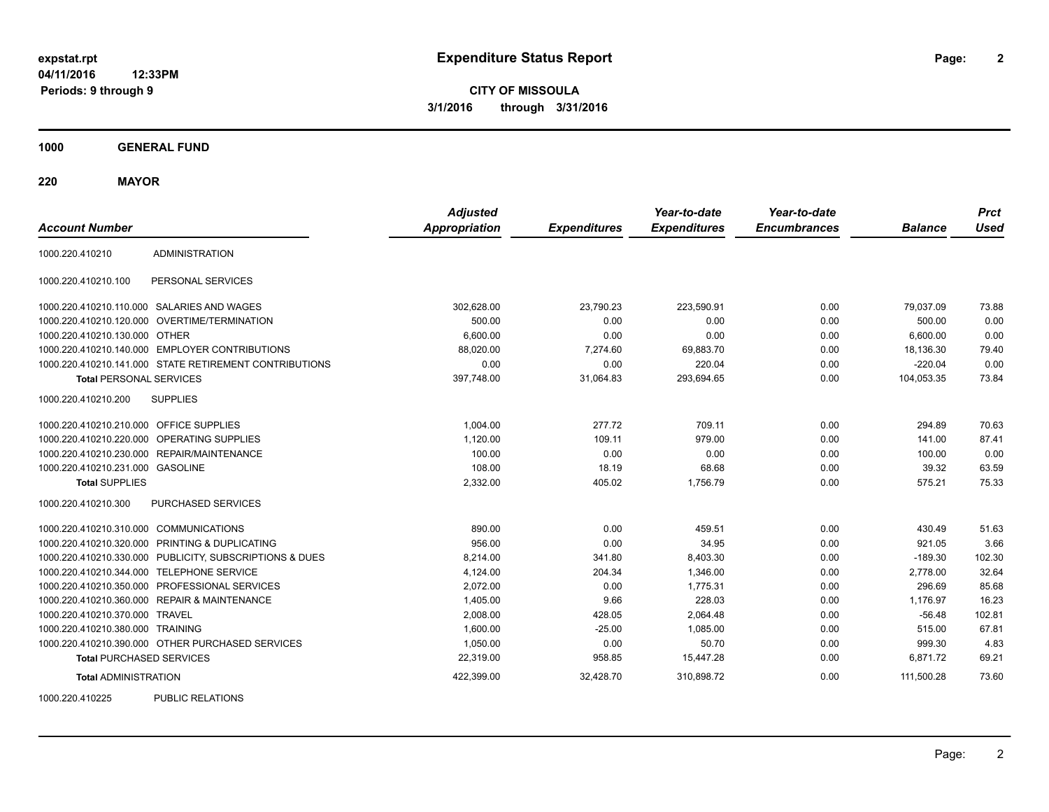**CITY OF MISSOULA 3/1/2016 through 3/31/2016**

**1000 GENERAL FUND**

**220 MAYOR**

| <b>Account Number</b>                   |                                                         | <b>Adjusted</b><br><b>Appropriation</b> | <b>Expenditures</b> | Year-to-date<br><b>Expenditures</b> | Year-to-date<br><b>Encumbrances</b> | <b>Balance</b> | <b>Prct</b><br><b>Used</b> |
|-----------------------------------------|---------------------------------------------------------|-----------------------------------------|---------------------|-------------------------------------|-------------------------------------|----------------|----------------------------|
| 1000.220.410210                         | <b>ADMINISTRATION</b>                                   |                                         |                     |                                     |                                     |                |                            |
| 1000.220.410210.100                     | PERSONAL SERVICES                                       |                                         |                     |                                     |                                     |                |                            |
|                                         | 1000.220.410210.110.000 SALARIES AND WAGES              | 302,628.00                              | 23,790.23           | 223,590.91                          | 0.00                                | 79.037.09      | 73.88                      |
| 1000.220.410210.120.000                 | OVERTIME/TERMINATION                                    | 500.00                                  | 0.00                | 0.00                                | 0.00                                | 500.00         | 0.00                       |
| 1000.220.410210.130.000 OTHER           |                                                         | 6,600.00                                | 0.00                | 0.00                                | 0.00                                | 6,600.00       | 0.00                       |
|                                         | 1000.220.410210.140.000 EMPLOYER CONTRIBUTIONS          | 88,020.00                               | 7,274.60            | 69,883.70                           | 0.00                                | 18,136.30      | 79.40                      |
|                                         | 1000.220.410210.141.000 STATE RETIREMENT CONTRIBUTIONS  | 0.00                                    | 0.00                | 220.04                              | 0.00                                | $-220.04$      | 0.00                       |
| <b>Total PERSONAL SERVICES</b>          |                                                         | 397,748.00                              | 31,064.83           | 293,694.65                          | 0.00                                | 104,053.35     | 73.84                      |
| 1000.220.410210.200                     | <b>SUPPLIES</b>                                         |                                         |                     |                                     |                                     |                |                            |
| 1000.220.410210.210.000 OFFICE SUPPLIES |                                                         | 1.004.00                                | 277.72              | 709.11                              | 0.00                                | 294.89         | 70.63                      |
| 1000.220.410210.220.000                 | OPERATING SUPPLIES                                      | 1,120.00                                | 109.11              | 979.00                              | 0.00                                | 141.00         | 87.41                      |
| 1000.220.410210.230.000                 | REPAIR/MAINTENANCE                                      | 100.00                                  | 0.00                | 0.00                                | 0.00                                | 100.00         | 0.00                       |
| 1000.220.410210.231.000 GASOLINE        |                                                         | 108.00                                  | 18.19               | 68.68                               | 0.00                                | 39.32          | 63.59                      |
| <b>Total SUPPLIES</b>                   |                                                         | 2,332.00                                | 405.02              | 1,756.79                            | 0.00                                | 575.21         | 75.33                      |
| 1000.220.410210.300                     | <b>PURCHASED SERVICES</b>                               |                                         |                     |                                     |                                     |                |                            |
| 1000.220.410210.310.000 COMMUNICATIONS  |                                                         | 890.00                                  | 0.00                | 459.51                              | 0.00                                | 430.49         | 51.63                      |
|                                         | 1000.220.410210.320.000 PRINTING & DUPLICATING          | 956.00                                  | 0.00                | 34.95                               | 0.00                                | 921.05         | 3.66                       |
|                                         | 1000.220.410210.330.000 PUBLICITY, SUBSCRIPTIONS & DUES | 8,214.00                                | 341.80              | 8,403.30                            | 0.00                                | $-189.30$      | 102.30                     |
| 1000.220.410210.344.000                 | <b>TELEPHONE SERVICE</b>                                | 4,124.00                                | 204.34              | 1,346.00                            | 0.00                                | 2,778.00       | 32.64                      |
|                                         | 1000.220.410210.350.000 PROFESSIONAL SERVICES           | 2,072.00                                | 0.00                | 1,775.31                            | 0.00                                | 296.69         | 85.68                      |
|                                         | 1000.220.410210.360.000 REPAIR & MAINTENANCE            | 1,405.00                                | 9.66                | 228.03                              | 0.00                                | 1,176.97       | 16.23                      |
| 1000.220.410210.370.000 TRAVEL          |                                                         | 2,008.00                                | 428.05              | 2,064.48                            | 0.00                                | $-56.48$       | 102.81                     |
| 1000.220.410210.380.000 TRAINING        |                                                         | 1,600.00                                | $-25.00$            | 1,085.00                            | 0.00                                | 515.00         | 67.81                      |
|                                         | 1000.220.410210.390.000 OTHER PURCHASED SERVICES        | 1,050.00                                | 0.00                | 50.70                               | 0.00                                | 999.30         | 4.83                       |
| <b>Total PURCHASED SERVICES</b>         |                                                         | 22,319.00                               | 958.85              | 15,447.28                           | 0.00                                | 6,871.72       | 69.21                      |
| <b>Total ADMINISTRATION</b>             |                                                         | 422,399.00                              | 32,428.70           | 310,898.72                          | 0.00                                | 111,500.28     | 73.60                      |
| 1000000110000                           | $D(1D1)$ $D(2D1)$                                       |                                         |                     |                                     |                                     |                |                            |

1000.220.410225 PUBLIC RELATIONS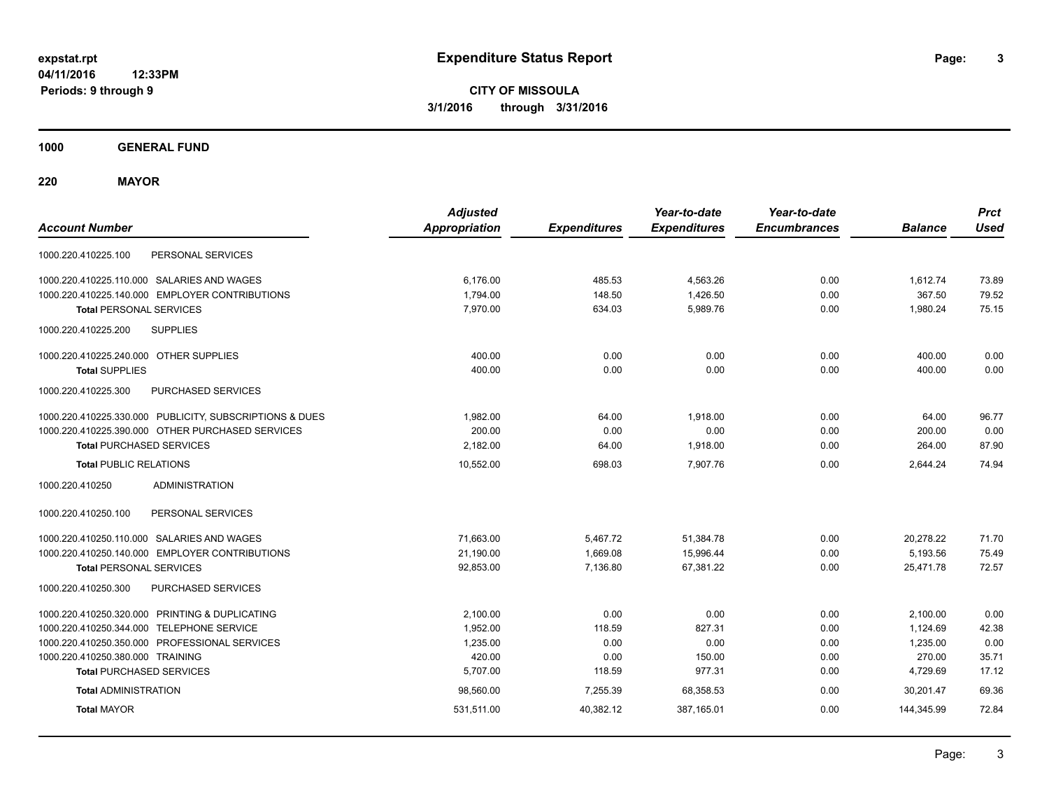**CITY OF MISSOULA 3/1/2016 through 3/31/2016**

**1000 GENERAL FUND**

**220 MAYOR**

| <b>Account Number</b>                                   | <b>Adjusted</b><br><b>Appropriation</b> | <b>Expenditures</b> | Year-to-date<br><b>Expenditures</b> | Year-to-date<br><b>Encumbrances</b> | <b>Balance</b> | <b>Prct</b><br><b>Used</b> |
|---------------------------------------------------------|-----------------------------------------|---------------------|-------------------------------------|-------------------------------------|----------------|----------------------------|
| PERSONAL SERVICES<br>1000.220.410225.100                |                                         |                     |                                     |                                     |                |                            |
| 1000.220.410225.110.000 SALARIES AND WAGES              | 6,176.00                                | 485.53              | 4,563.26                            | 0.00                                | 1.612.74       | 73.89                      |
| 1000.220.410225.140.000 EMPLOYER CONTRIBUTIONS          | 1,794.00                                | 148.50              | 1,426.50                            | 0.00                                | 367.50         | 79.52                      |
| <b>Total PERSONAL SERVICES</b>                          | 7.970.00                                | 634.03              | 5,989.76                            | 0.00                                | 1,980.24       | 75.15                      |
| 1000.220.410225.200<br><b>SUPPLIES</b>                  |                                         |                     |                                     |                                     |                |                            |
| 1000.220.410225.240.000 OTHER SUPPLIES                  | 400.00                                  | 0.00                | 0.00                                | 0.00                                | 400.00         | 0.00                       |
| <b>Total SUPPLIES</b>                                   | 400.00                                  | 0.00                | 0.00                                | 0.00                                | 400.00         | 0.00                       |
| 1000.220.410225.300<br>PURCHASED SERVICES               |                                         |                     |                                     |                                     |                |                            |
| 1000.220.410225.330.000 PUBLICITY, SUBSCRIPTIONS & DUES | 1,982.00                                | 64.00               | 1,918.00                            | 0.00                                | 64.00          | 96.77                      |
| 1000.220.410225.390.000 OTHER PURCHASED SERVICES        | 200.00                                  | 0.00                | 0.00                                | 0.00                                | 200.00         | 0.00                       |
| <b>Total PURCHASED SERVICES</b>                         | 2,182.00                                | 64.00               | 1,918.00                            | 0.00                                | 264.00         | 87.90                      |
| <b>Total PUBLIC RELATIONS</b>                           | 10,552.00                               | 698.03              | 7,907.76                            | 0.00                                | 2,644.24       | 74.94                      |
| 1000.220.410250<br><b>ADMINISTRATION</b>                |                                         |                     |                                     |                                     |                |                            |
| PERSONAL SERVICES<br>1000.220.410250.100                |                                         |                     |                                     |                                     |                |                            |
| 1000.220.410250.110.000 SALARIES AND WAGES              | 71,663.00                               | 5,467.72            | 51,384.78                           | 0.00                                | 20,278.22      | 71.70                      |
| 1000.220.410250.140.000 EMPLOYER CONTRIBUTIONS          | 21,190.00                               | 1,669.08            | 15,996.44                           | 0.00                                | 5,193.56       | 75.49                      |
| <b>Total PERSONAL SERVICES</b>                          | 92,853.00                               | 7,136.80            | 67,381.22                           | 0.00                                | 25,471.78      | 72.57                      |
| 1000.220.410250.300<br>PURCHASED SERVICES               |                                         |                     |                                     |                                     |                |                            |
| 1000.220.410250.320.000 PRINTING & DUPLICATING          | 2,100.00                                | 0.00                | 0.00                                | 0.00                                | 2,100.00       | 0.00                       |
| 1000.220.410250.344.000 TELEPHONE SERVICE               | 1,952.00                                | 118.59              | 827.31                              | 0.00                                | 1,124.69       | 42.38                      |
| 1000.220.410250.350.000 PROFESSIONAL SERVICES           | 1,235.00                                | 0.00                | 0.00                                | 0.00                                | 1,235.00       | 0.00                       |
| 1000.220.410250.380.000 TRAINING                        | 420.00                                  | 0.00                | 150.00                              | 0.00                                | 270.00         | 35.71                      |
| <b>Total PURCHASED SERVICES</b>                         | 5,707.00                                | 118.59              | 977.31                              | 0.00                                | 4,729.69       | 17.12                      |
| <b>Total ADMINISTRATION</b>                             | 98,560.00                               | 7,255.39            | 68,358.53                           | 0.00                                | 30.201.47      | 69.36                      |
| <b>Total MAYOR</b>                                      | 531,511.00                              | 40,382.12           | 387,165.01                          | 0.00                                | 144,345.99     | 72.84                      |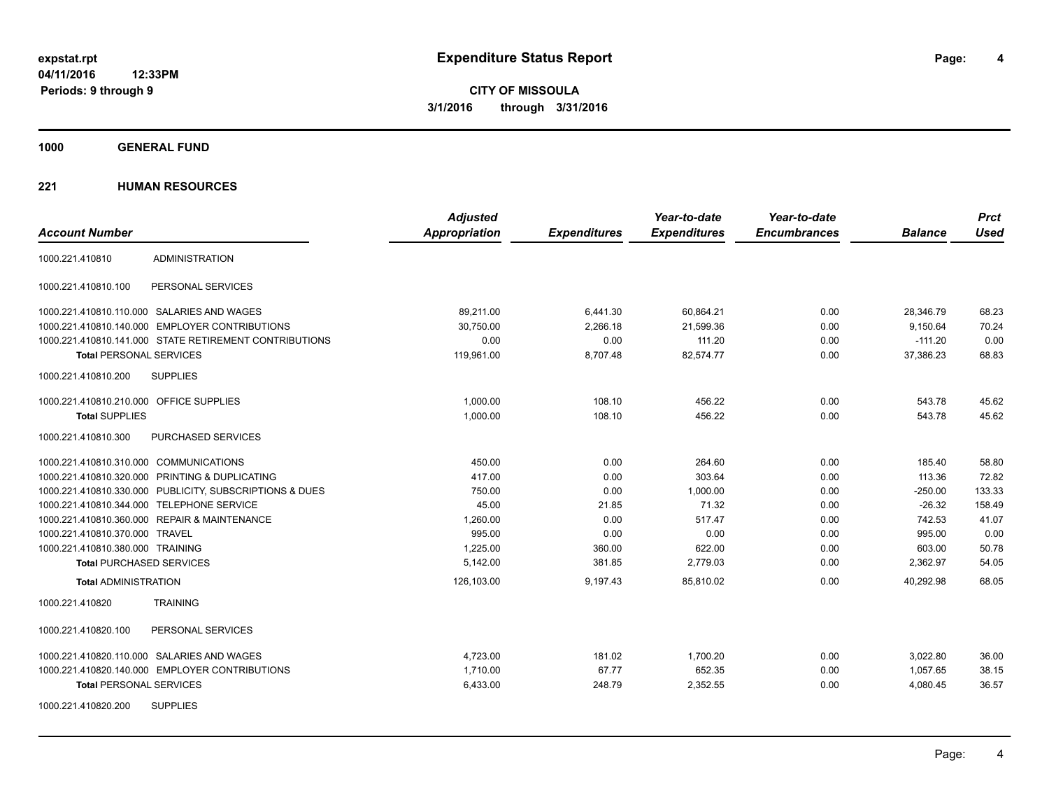**Periods: 9 through 9**

**4**

**CITY OF MISSOULA 3/1/2016 through 3/31/2016**

**1000 GENERAL FUND**

|                                                         | <b>Adjusted</b>      |                     | Year-to-date        | Year-to-date        |                | <b>Prct</b> |
|---------------------------------------------------------|----------------------|---------------------|---------------------|---------------------|----------------|-------------|
| <b>Account Number</b>                                   | <b>Appropriation</b> | <b>Expenditures</b> | <b>Expenditures</b> | <b>Encumbrances</b> | <b>Balance</b> | <b>Used</b> |
| <b>ADMINISTRATION</b><br>1000.221.410810                |                      |                     |                     |                     |                |             |
| 1000.221.410810.100<br>PERSONAL SERVICES                |                      |                     |                     |                     |                |             |
| 1000.221.410810.110.000 SALARIES AND WAGES              | 89,211.00            | 6,441.30            | 60,864.21           | 0.00                | 28,346.79      | 68.23       |
| 1000.221.410810.140.000 EMPLOYER CONTRIBUTIONS          | 30,750.00            | 2,266.18            | 21,599.36           | 0.00                | 9,150.64       | 70.24       |
| 1000.221.410810.141.000 STATE RETIREMENT CONTRIBUTIONS  | 0.00                 | 0.00                | 111.20              | 0.00                | $-111.20$      | 0.00        |
| <b>Total PERSONAL SERVICES</b>                          | 119,961.00           | 8,707.48            | 82,574.77           | 0.00                | 37,386.23      | 68.83       |
| 1000.221.410810.200<br><b>SUPPLIES</b>                  |                      |                     |                     |                     |                |             |
| 1000.221.410810.210.000 OFFICE SUPPLIES                 | 1,000.00             | 108.10              | 456.22              | 0.00                | 543.78         | 45.62       |
| <b>Total SUPPLIES</b>                                   | 1,000.00             | 108.10              | 456.22              | 0.00                | 543.78         | 45.62       |
| 1000.221.410810.300<br>PURCHASED SERVICES               |                      |                     |                     |                     |                |             |
| 1000.221.410810.310.000 COMMUNICATIONS                  | 450.00               | 0.00                | 264.60              | 0.00                | 185.40         | 58.80       |
| 1000.221.410810.320.000 PRINTING & DUPLICATING          | 417.00               | 0.00                | 303.64              | 0.00                | 113.36         | 72.82       |
| 1000.221.410810.330.000 PUBLICITY, SUBSCRIPTIONS & DUES | 750.00               | 0.00                | 1,000.00            | 0.00                | $-250.00$      | 133.33      |
| 1000.221.410810.344.000 TELEPHONE SERVICE               | 45.00                | 21.85               | 71.32               | 0.00                | $-26.32$       | 158.49      |
| 1000.221.410810.360.000 REPAIR & MAINTENANCE            | 1,260.00             | 0.00                | 517.47              | 0.00                | 742.53         | 41.07       |
| 1000.221.410810.370.000 TRAVEL                          | 995.00               | 0.00                | 0.00                | 0.00                | 995.00         | 0.00        |
| 1000.221.410810.380.000 TRAINING                        | 1,225.00             | 360.00              | 622.00              | 0.00                | 603.00         | 50.78       |
| <b>Total PURCHASED SERVICES</b>                         | 5,142.00             | 381.85              | 2,779.03            | 0.00                | 2,362.97       | 54.05       |
| <b>Total ADMINISTRATION</b>                             | 126,103.00           | 9,197.43            | 85,810.02           | 0.00                | 40,292.98      | 68.05       |
| 1000.221.410820<br><b>TRAINING</b>                      |                      |                     |                     |                     |                |             |
| 1000.221.410820.100<br>PERSONAL SERVICES                |                      |                     |                     |                     |                |             |
| 1000.221.410820.110.000 SALARIES AND WAGES              | 4,723.00             | 181.02              | 1,700.20            | 0.00                | 3,022.80       | 36.00       |
| 1000.221.410820.140.000 EMPLOYER CONTRIBUTIONS          | 1,710.00             | 67.77               | 652.35              | 0.00                | 1,057.65       | 38.15       |
| <b>Total PERSONAL SERVICES</b>                          | 6,433.00             | 248.79              | 2,352.55            | 0.00                | 4,080.45       | 36.57       |
| <b>SUPPLIES</b><br>1000.221.410820.200                  |                      |                     |                     |                     |                |             |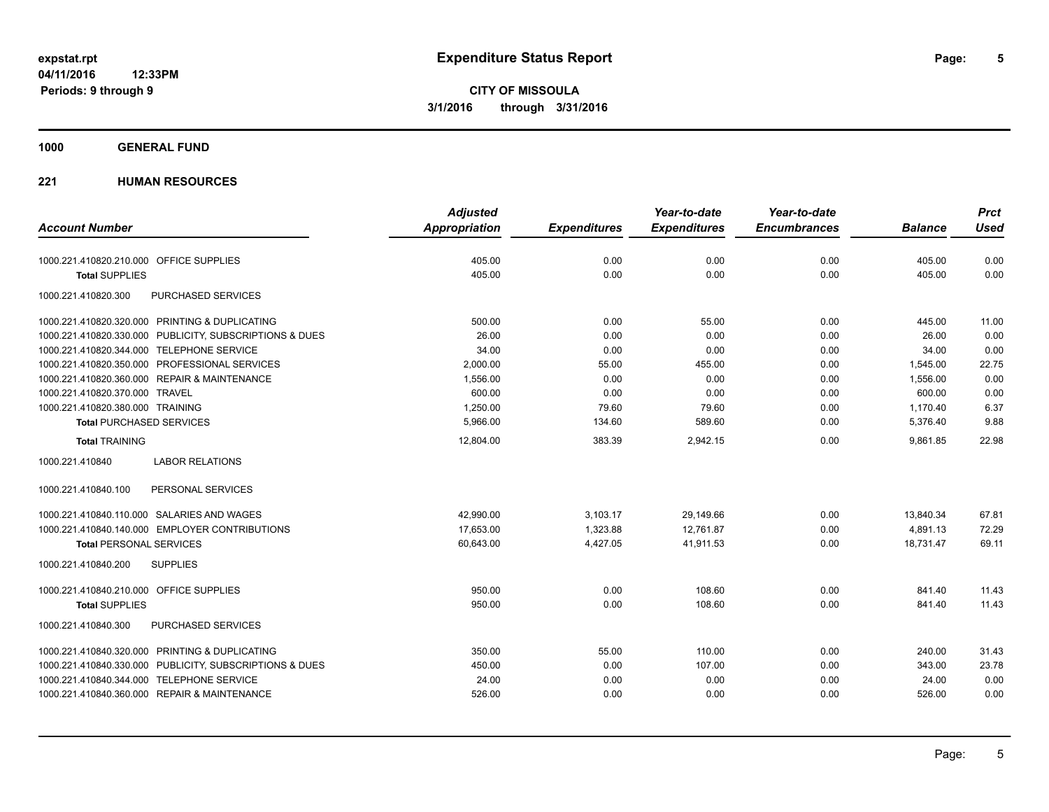**1000 GENERAL FUND**

|                                                         | <b>Adjusted</b>      |                     | Year-to-date        | Year-to-date        |                | <b>Prct</b> |
|---------------------------------------------------------|----------------------|---------------------|---------------------|---------------------|----------------|-------------|
| <b>Account Number</b>                                   | <b>Appropriation</b> | <b>Expenditures</b> | <b>Expenditures</b> | <b>Encumbrances</b> | <b>Balance</b> | <b>Used</b> |
| 1000.221.410820.210.000 OFFICE SUPPLIES                 | 405.00               | 0.00                | 0.00                | 0.00                | 405.00         | 0.00        |
| <b>Total SUPPLIES</b>                                   | 405.00               | 0.00                | 0.00                | 0.00                | 405.00         | 0.00        |
| 1000.221.410820.300<br>PURCHASED SERVICES               |                      |                     |                     |                     |                |             |
| 1000.221.410820.320.000 PRINTING & DUPLICATING          | 500.00               | 0.00                | 55.00               | 0.00                | 445.00         | 11.00       |
| 1000.221.410820.330.000 PUBLICITY, SUBSCRIPTIONS & DUES | 26.00                | 0.00                | 0.00                | 0.00                | 26.00          | 0.00        |
| 1000.221.410820.344.000 TELEPHONE SERVICE               | 34.00                | 0.00                | 0.00                | 0.00                | 34.00          | 0.00        |
| 1000.221.410820.350.000 PROFESSIONAL SERVICES           | 2,000.00             | 55.00               | 455.00              | 0.00                | 1,545.00       | 22.75       |
| 1000.221.410820.360.000 REPAIR & MAINTENANCE            | 1,556.00             | 0.00                | 0.00                | 0.00                | 1,556.00       | 0.00        |
| 1000.221.410820.370.000 TRAVEL                          | 600.00               | 0.00                | 0.00                | 0.00                | 600.00         | 0.00        |
| 1000.221.410820.380.000 TRAINING                        | 1,250.00             | 79.60               | 79.60               | 0.00                | 1,170.40       | 6.37        |
| <b>Total PURCHASED SERVICES</b>                         | 5,966.00             | 134.60              | 589.60              | 0.00                | 5,376.40       | 9.88        |
| <b>Total TRAINING</b>                                   | 12,804.00            | 383.39              | 2,942.15            | 0.00                | 9,861.85       | 22.98       |
| <b>LABOR RELATIONS</b><br>1000.221.410840               |                      |                     |                     |                     |                |             |
| PERSONAL SERVICES<br>1000.221.410840.100                |                      |                     |                     |                     |                |             |
| 1000.221.410840.110.000 SALARIES AND WAGES              | 42,990.00            | 3,103.17            | 29,149.66           | 0.00                | 13,840.34      | 67.81       |
| 1000.221.410840.140.000 EMPLOYER CONTRIBUTIONS          | 17,653.00            | 1,323.88            | 12.761.87           | 0.00                | 4,891.13       | 72.29       |
| <b>Total PERSONAL SERVICES</b>                          | 60,643.00            | 4,427.05            | 41.911.53           | 0.00                | 18.731.47      | 69.11       |
| 1000.221.410840.200<br><b>SUPPLIES</b>                  |                      |                     |                     |                     |                |             |
| 1000.221.410840.210.000 OFFICE SUPPLIES                 | 950.00               | 0.00                | 108.60              | 0.00                | 841.40         | 11.43       |
| <b>Total SUPPLIES</b>                                   | 950.00               | 0.00                | 108.60              | 0.00                | 841.40         | 11.43       |
| 1000.221.410840.300<br>PURCHASED SERVICES               |                      |                     |                     |                     |                |             |
| 1000.221.410840.320.000 PRINTING & DUPLICATING          | 350.00               | 55.00               | 110.00              | 0.00                | 240.00         | 31.43       |
| 1000.221.410840.330.000 PUBLICITY, SUBSCRIPTIONS & DUES | 450.00               | 0.00                | 107.00              | 0.00                | 343.00         | 23.78       |
| 1000.221.410840.344.000 TELEPHONE SERVICE               | 24.00                | 0.00                | 0.00                | 0.00                | 24.00          | 0.00        |
| 1000.221.410840.360.000 REPAIR & MAINTENANCE            | 526.00               | 0.00                | 0.00                | 0.00                | 526.00         | 0.00        |
|                                                         |                      |                     |                     |                     |                |             |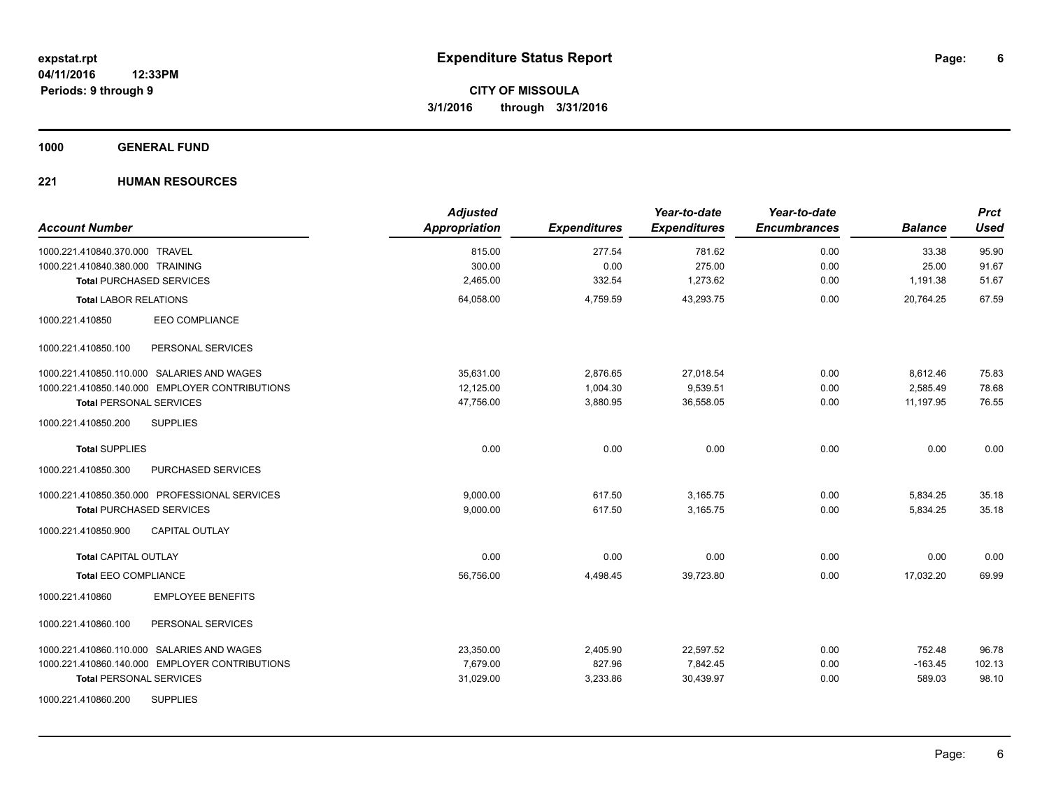**1000 GENERAL FUND**

| <b>Account Number</b>                          | <b>Adjusted</b><br>Appropriation | <b>Expenditures</b> | Year-to-date<br><b>Expenditures</b> | Year-to-date<br><b>Encumbrances</b> | <b>Balance</b> | <b>Prct</b><br><b>Used</b> |
|------------------------------------------------|----------------------------------|---------------------|-------------------------------------|-------------------------------------|----------------|----------------------------|
| 1000.221.410840.370.000 TRAVEL                 | 815.00                           | 277.54              | 781.62                              | 0.00                                | 33.38          | 95.90                      |
| 1000.221.410840.380.000 TRAINING               | 300.00                           | 0.00                | 275.00                              | 0.00                                | 25.00          | 91.67                      |
| <b>Total PURCHASED SERVICES</b>                | 2,465.00                         | 332.54              | 1,273.62                            | 0.00                                | 1,191.38       | 51.67                      |
| <b>Total LABOR RELATIONS</b>                   | 64,058.00                        | 4,759.59            | 43,293.75                           | 0.00                                | 20.764.25      | 67.59                      |
| <b>EEO COMPLIANCE</b><br>1000.221.410850       |                                  |                     |                                     |                                     |                |                            |
| 1000.221.410850.100<br>PERSONAL SERVICES       |                                  |                     |                                     |                                     |                |                            |
| 1000.221.410850.110.000 SALARIES AND WAGES     | 35,631.00                        | 2,876.65            | 27,018.54                           | 0.00                                | 8,612.46       | 75.83                      |
| 1000.221.410850.140.000 EMPLOYER CONTRIBUTIONS | 12,125.00                        | 1,004.30            | 9,539.51                            | 0.00                                | 2,585.49       | 78.68                      |
| <b>Total PERSONAL SERVICES</b>                 | 47,756.00                        | 3,880.95            | 36,558.05                           | 0.00                                | 11.197.95      | 76.55                      |
| 1000.221.410850.200<br><b>SUPPLIES</b>         |                                  |                     |                                     |                                     |                |                            |
| <b>Total SUPPLIES</b>                          | 0.00                             | 0.00                | 0.00                                | 0.00                                | 0.00           | 0.00                       |
| 1000.221.410850.300<br>PURCHASED SERVICES      |                                  |                     |                                     |                                     |                |                            |
| 1000.221.410850.350.000 PROFESSIONAL SERVICES  | 9,000.00                         | 617.50              | 3,165.75                            | 0.00                                | 5,834.25       | 35.18                      |
| <b>Total PURCHASED SERVICES</b>                | 9,000.00                         | 617.50              | 3,165.75                            | 0.00                                | 5,834.25       | 35.18                      |
| 1000.221.410850.900<br><b>CAPITAL OUTLAY</b>   |                                  |                     |                                     |                                     |                |                            |
| <b>Total CAPITAL OUTLAY</b>                    | 0.00                             | 0.00                | 0.00                                | 0.00                                | 0.00           | 0.00                       |
| <b>Total EEO COMPLIANCE</b>                    | 56,756.00                        | 4,498.45            | 39,723.80                           | 0.00                                | 17,032.20      | 69.99                      |
| <b>EMPLOYEE BENEFITS</b><br>1000.221.410860    |                                  |                     |                                     |                                     |                |                            |
| 1000.221.410860.100<br>PERSONAL SERVICES       |                                  |                     |                                     |                                     |                |                            |
| 1000.221.410860.110.000 SALARIES AND WAGES     | 23,350.00                        | 2,405.90            | 22,597.52                           | 0.00                                | 752.48         | 96.78                      |
| 1000.221.410860.140.000 EMPLOYER CONTRIBUTIONS | 7,679.00                         | 827.96              | 7,842.45                            | 0.00                                | $-163.45$      | 102.13                     |
| <b>Total PERSONAL SERVICES</b>                 | 31,029.00                        | 3,233.86            | 30,439.97                           | 0.00                                | 589.03         | 98.10                      |
| <b>SUPPLIES</b><br>1000.221.410860.200         |                                  |                     |                                     |                                     |                |                            |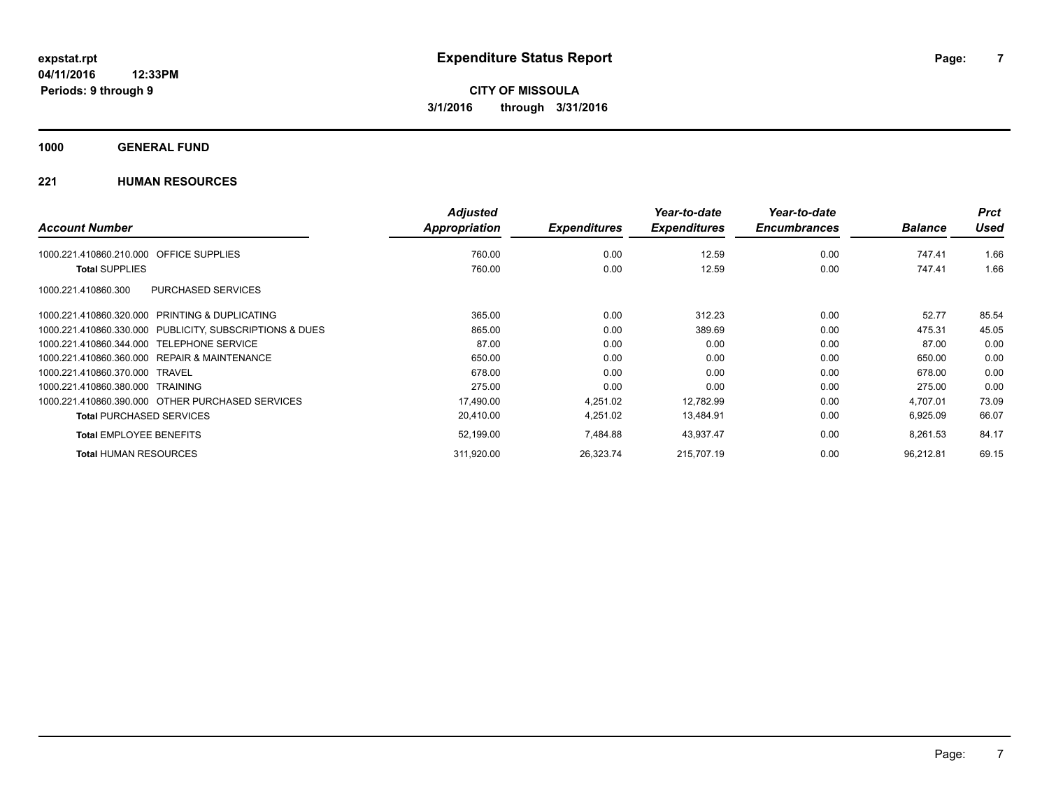**1000 GENERAL FUND**

|                                                         | <b>Adjusted</b> |                     | Year-to-date        | Year-to-date        |                | <b>Prct</b> |
|---------------------------------------------------------|-----------------|---------------------|---------------------|---------------------|----------------|-------------|
| <b>Account Number</b>                                   | Appropriation   | <b>Expenditures</b> | <b>Expenditures</b> | <b>Encumbrances</b> | <b>Balance</b> | <b>Used</b> |
| <b>OFFICE SUPPLIES</b><br>1000.221.410860.210.000       | 760.00          | 0.00                | 12.59               | 0.00                | 747.41         | 1.66        |
| <b>Total SUPPLIES</b>                                   | 760.00          | 0.00                | 12.59               | 0.00                | 747.41         | 1.66        |
| <b>PURCHASED SERVICES</b><br>1000.221.410860.300        |                 |                     |                     |                     |                |             |
| 1000.221.410860.320.000 PRINTING & DUPLICATING          | 365.00          | 0.00                | 312.23              | 0.00                | 52.77          | 85.54       |
| 1000.221.410860.330.000 PUBLICITY, SUBSCRIPTIONS & DUES | 865.00          | 0.00                | 389.69              | 0.00                | 475.31         | 45.05       |
| 1000.221.410860.344.000 TELEPHONE SERVICE               | 87.00           | 0.00                | 0.00                | 0.00                | 87.00          | 0.00        |
| 1000.221.410860.360.000 REPAIR & MAINTENANCE            | 650.00          | 0.00                | 0.00                | 0.00                | 650.00         | 0.00        |
| 1000.221.410860.370.000 TRAVEL                          | 678.00          | 0.00                | 0.00                | 0.00                | 678.00         | 0.00        |
| 1000.221.410860.380.000 TRAINING                        | 275.00          | 0.00                | 0.00                | 0.00                | 275.00         | 0.00        |
| 1000.221.410860.390.000 OTHER PURCHASED SERVICES        | 17,490.00       | 4,251.02            | 12,782.99           | 0.00                | 4,707.01       | 73.09       |
| <b>Total PURCHASED SERVICES</b>                         | 20,410.00       | 4,251.02            | 13,484.91           | 0.00                | 6,925.09       | 66.07       |
| <b>Total EMPLOYEE BENEFITS</b>                          | 52,199.00       | 7,484.88            | 43,937.47           | 0.00                | 8,261.53       | 84.17       |
| <b>Total HUMAN RESOURCES</b>                            | 311,920.00      | 26,323.74           | 215,707.19          | 0.00                | 96,212.81      | 69.15       |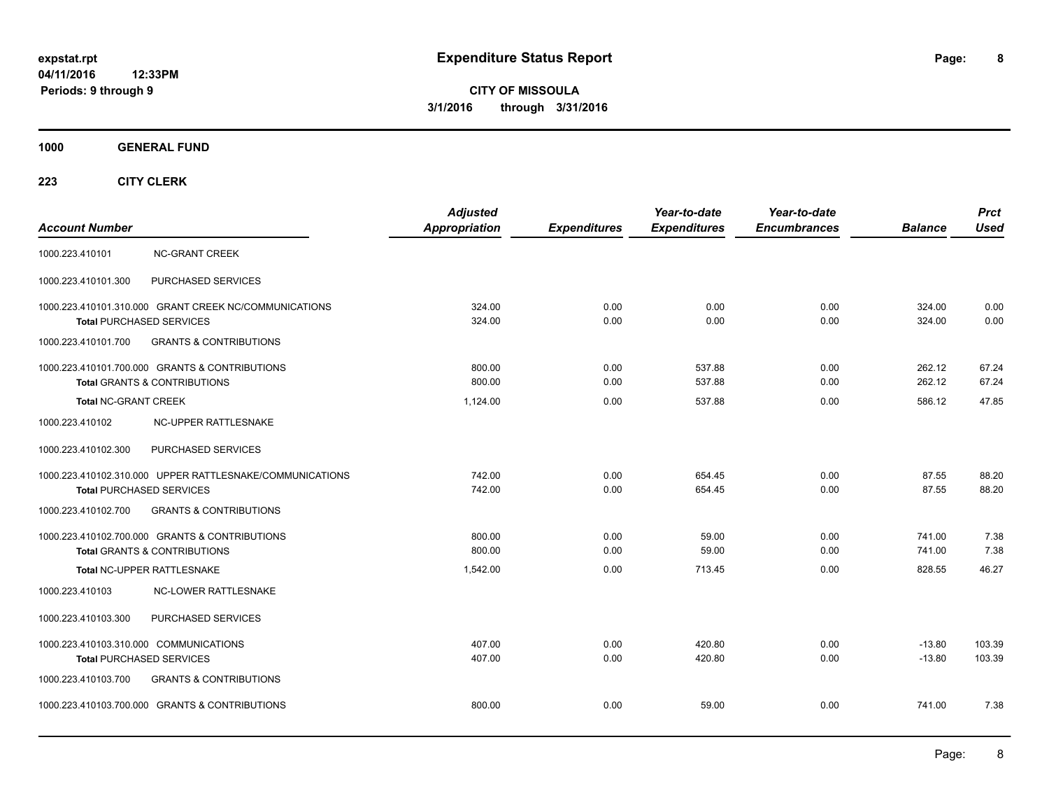**CITY OF MISSOULA 3/1/2016 through 3/31/2016**

**1000 GENERAL FUND**

| <b>Account Number</b>                                                                       | <b>Adjusted</b><br><b>Appropriation</b> | <b>Expenditures</b> | Year-to-date<br><b>Expenditures</b> | Year-to-date<br><b>Encumbrances</b> | <b>Balance</b>       | <b>Prct</b><br><b>Used</b> |
|---------------------------------------------------------------------------------------------|-----------------------------------------|---------------------|-------------------------------------|-------------------------------------|----------------------|----------------------------|
| 1000.223.410101<br><b>NC-GRANT CREEK</b>                                                    |                                         |                     |                                     |                                     |                      |                            |
| 1000.223.410101.300<br>PURCHASED SERVICES                                                   |                                         |                     |                                     |                                     |                      |                            |
| 1000.223.410101.310.000 GRANT CREEK NC/COMMUNICATIONS<br><b>Total PURCHASED SERVICES</b>    | 324.00<br>324.00                        | 0.00<br>0.00        | 0.00<br>0.00                        | 0.00<br>0.00                        | 324.00<br>324.00     | 0.00<br>0.00               |
| <b>GRANTS &amp; CONTRIBUTIONS</b><br>1000.223.410101.700                                    |                                         |                     |                                     |                                     |                      |                            |
| 1000.223.410101.700.000 GRANTS & CONTRIBUTIONS<br><b>Total GRANTS &amp; CONTRIBUTIONS</b>   | 800.00<br>800.00                        | 0.00<br>0.00        | 537.88<br>537.88                    | 0.00<br>0.00                        | 262.12<br>262.12     | 67.24<br>67.24             |
| <b>Total NC-GRANT CREEK</b>                                                                 | 1,124.00                                | 0.00                | 537.88                              | 0.00                                | 586.12               | 47.85                      |
| 1000.223.410102<br>NC-UPPER RATTLESNAKE                                                     |                                         |                     |                                     |                                     |                      |                            |
| 1000.223.410102.300<br>PURCHASED SERVICES                                                   |                                         |                     |                                     |                                     |                      |                            |
| 1000.223.410102.310.000 UPPER RATTLESNAKE/COMMUNICATIONS<br><b>Total PURCHASED SERVICES</b> | 742.00<br>742.00                        | 0.00<br>0.00        | 654.45<br>654.45                    | 0.00<br>0.00                        | 87.55<br>87.55       | 88.20<br>88.20             |
| 1000.223.410102.700<br><b>GRANTS &amp; CONTRIBUTIONS</b>                                    |                                         |                     |                                     |                                     |                      |                            |
| 1000.223.410102.700.000 GRANTS & CONTRIBUTIONS<br><b>Total GRANTS &amp; CONTRIBUTIONS</b>   | 800.00<br>800.00                        | 0.00<br>0.00        | 59.00<br>59.00                      | 0.00<br>0.00                        | 741.00<br>741.00     | 7.38<br>7.38               |
| Total NC-UPPER RATTLESNAKE                                                                  | 1,542.00                                | 0.00                | 713.45                              | 0.00                                | 828.55               | 46.27                      |
| NC-LOWER RATTLESNAKE<br>1000.223.410103                                                     |                                         |                     |                                     |                                     |                      |                            |
| PURCHASED SERVICES<br>1000.223.410103.300                                                   |                                         |                     |                                     |                                     |                      |                            |
| 1000.223.410103.310.000 COMMUNICATIONS<br><b>Total PURCHASED SERVICES</b>                   | 407.00<br>407.00                        | 0.00<br>0.00        | 420.80<br>420.80                    | 0.00<br>0.00                        | $-13.80$<br>$-13.80$ | 103.39<br>103.39           |
| 1000.223.410103.700<br><b>GRANTS &amp; CONTRIBUTIONS</b>                                    |                                         |                     |                                     |                                     |                      |                            |
| 1000.223.410103.700.000 GRANTS & CONTRIBUTIONS                                              | 800.00                                  | 0.00                | 59.00                               | 0.00                                | 741.00               | 7.38                       |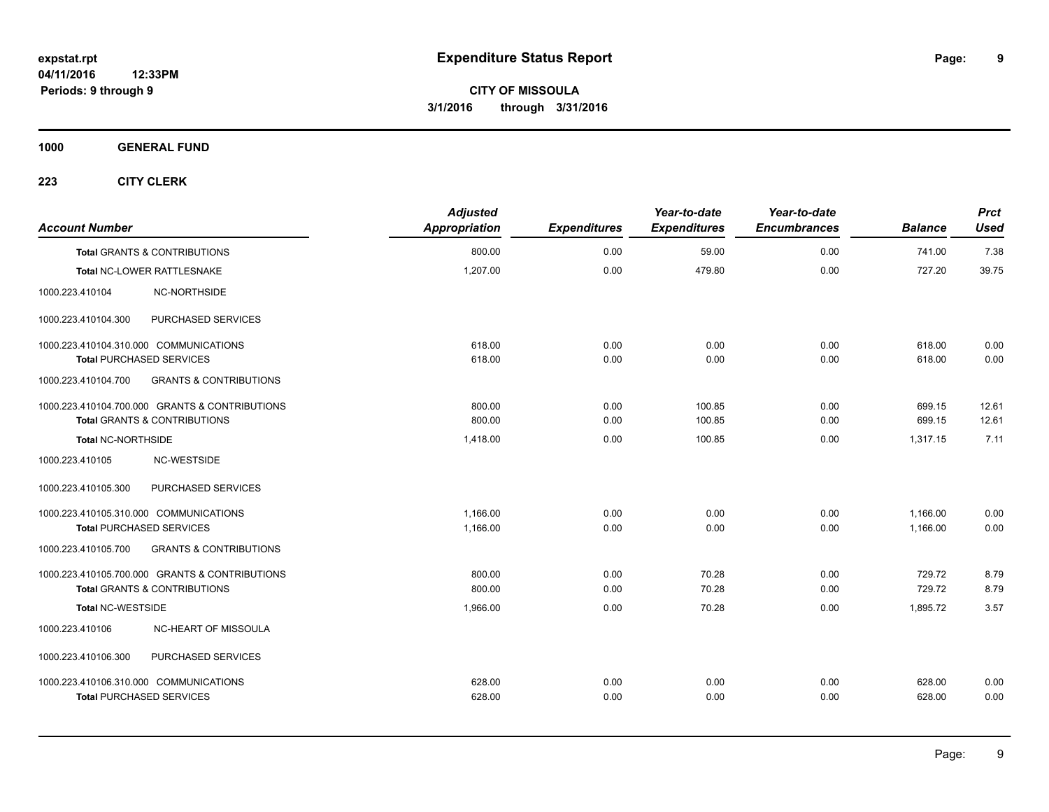**1000 GENERAL FUND**

| <b>Account Number</b>                   |                                                | <b>Adjusted</b><br>Appropriation | <b>Expenditures</b> | Year-to-date<br><b>Expenditures</b> | Year-to-date<br><b>Encumbrances</b> | <b>Balance</b> | <b>Prct</b><br><b>Used</b> |
|-----------------------------------------|------------------------------------------------|----------------------------------|---------------------|-------------------------------------|-------------------------------------|----------------|----------------------------|
| <b>Total GRANTS &amp; CONTRIBUTIONS</b> |                                                | 800.00                           | 0.00                | 59.00                               | 0.00                                | 741.00         | 7.38                       |
| Total NC-LOWER RATTLESNAKE              |                                                | 1,207.00                         | 0.00                | 479.80                              | 0.00                                | 727.20         | 39.75                      |
| 1000.223.410104                         | NC-NORTHSIDE                                   |                                  |                     |                                     |                                     |                |                            |
| 1000.223.410104.300                     | PURCHASED SERVICES                             |                                  |                     |                                     |                                     |                |                            |
| 1000.223.410104.310.000 COMMUNICATIONS  |                                                | 618.00                           | 0.00                | 0.00                                | 0.00                                | 618.00         | 0.00                       |
| <b>Total PURCHASED SERVICES</b>         |                                                | 618.00                           | 0.00                | 0.00                                | 0.00                                | 618.00         | 0.00                       |
| 1000.223.410104.700                     | <b>GRANTS &amp; CONTRIBUTIONS</b>              |                                  |                     |                                     |                                     |                |                            |
|                                         | 1000.223.410104.700.000 GRANTS & CONTRIBUTIONS | 800.00                           | 0.00                | 100.85                              | 0.00                                | 699.15         | 12.61                      |
| <b>Total GRANTS &amp; CONTRIBUTIONS</b> |                                                | 800.00                           | 0.00                | 100.85                              | 0.00                                | 699.15         | 12.61                      |
| <b>Total NC-NORTHSIDE</b>               |                                                | 1,418.00                         | 0.00                | 100.85                              | 0.00                                | 1,317.15       | 7.11                       |
| 1000.223.410105                         | NC-WESTSIDE                                    |                                  |                     |                                     |                                     |                |                            |
| 1000.223.410105.300                     | PURCHASED SERVICES                             |                                  |                     |                                     |                                     |                |                            |
| 1000.223.410105.310.000 COMMUNICATIONS  |                                                | 1,166.00                         | 0.00                | 0.00                                | 0.00                                | 1,166.00       | 0.00                       |
| <b>Total PURCHASED SERVICES</b>         |                                                | 1,166.00                         | 0.00                | 0.00                                | 0.00                                | 1,166.00       | 0.00                       |
| 1000.223.410105.700                     | <b>GRANTS &amp; CONTRIBUTIONS</b>              |                                  |                     |                                     |                                     |                |                            |
|                                         | 1000.223.410105.700.000 GRANTS & CONTRIBUTIONS | 800.00                           | 0.00                | 70.28                               | 0.00                                | 729.72         | 8.79                       |
| Total GRANTS & CONTRIBUTIONS            |                                                | 800.00                           | 0.00                | 70.28                               | 0.00                                | 729.72         | 8.79                       |
| <b>Total NC-WESTSIDE</b>                |                                                | 1,966.00                         | 0.00                | 70.28                               | 0.00                                | 1,895.72       | 3.57                       |
| 1000.223.410106                         | NC-HEART OF MISSOULA                           |                                  |                     |                                     |                                     |                |                            |
| 1000.223.410106.300                     | PURCHASED SERVICES                             |                                  |                     |                                     |                                     |                |                            |
| 1000.223.410106.310.000 COMMUNICATIONS  |                                                | 628.00                           | 0.00                | 0.00                                | 0.00                                | 628.00         | 0.00                       |
| <b>Total PURCHASED SERVICES</b>         |                                                | 628.00                           | 0.00                | 0.00                                | 0.00                                | 628.00         | 0.00                       |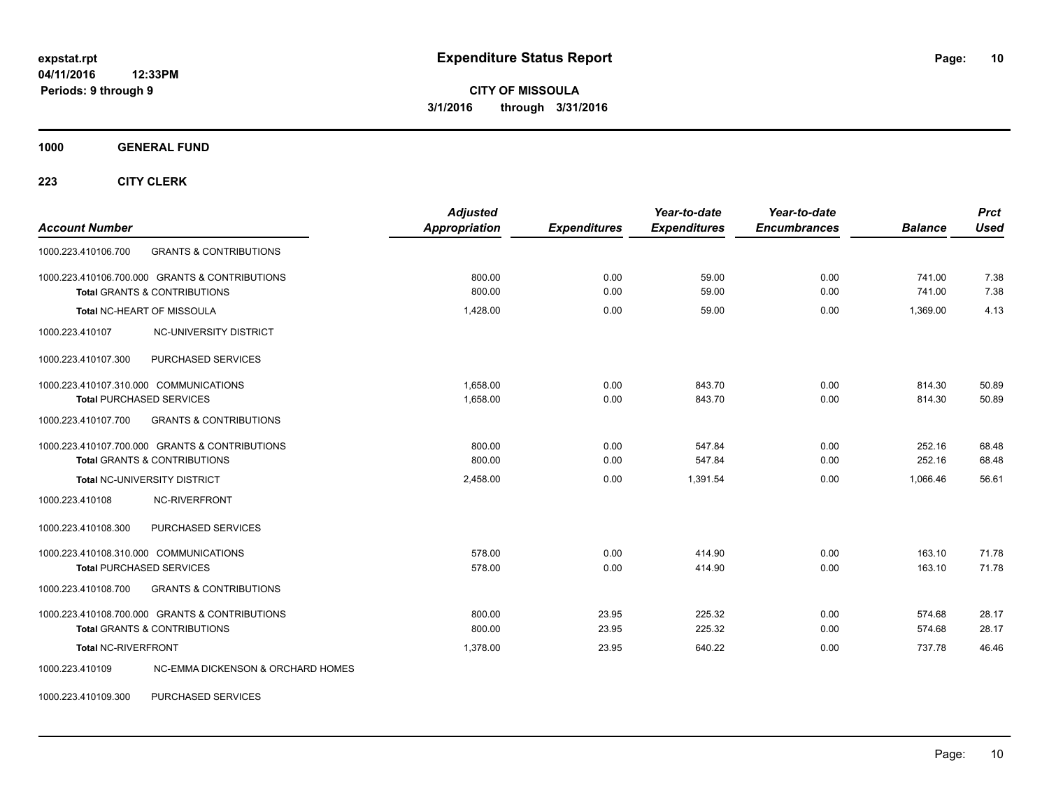**1000 GENERAL FUND**

**223 CITY CLERK**

| <b>Account Number</b>                                    | <b>Adjusted</b><br>Appropriation | <b>Expenditures</b> | Year-to-date<br><b>Expenditures</b> | Year-to-date<br><b>Encumbrances</b> | <b>Balance</b> | <b>Prct</b><br>Used |
|----------------------------------------------------------|----------------------------------|---------------------|-------------------------------------|-------------------------------------|----------------|---------------------|
| 1000.223.410106.700<br><b>GRANTS &amp; CONTRIBUTIONS</b> |                                  |                     |                                     |                                     |                |                     |
| 1000.223.410106.700.000 GRANTS & CONTRIBUTIONS           | 800.00                           | 0.00                | 59.00                               | 0.00                                | 741.00         | 7.38                |
| <b>Total GRANTS &amp; CONTRIBUTIONS</b>                  | 800.00                           | 0.00                | 59.00                               | 0.00                                | 741.00         | 7.38                |
| Total NC-HEART OF MISSOULA                               | 1,428.00                         | 0.00                | 59.00                               | 0.00                                | 1,369.00       | 4.13                |
| NC-UNIVERSITY DISTRICT<br>1000.223.410107                |                                  |                     |                                     |                                     |                |                     |
| PURCHASED SERVICES<br>1000.223.410107.300                |                                  |                     |                                     |                                     |                |                     |
| 1000.223.410107.310.000 COMMUNICATIONS                   | 1.658.00                         | 0.00                | 843.70                              | 0.00                                | 814.30         | 50.89               |
| <b>Total PURCHASED SERVICES</b>                          | 1,658.00                         | 0.00                | 843.70                              | 0.00                                | 814.30         | 50.89               |
| <b>GRANTS &amp; CONTRIBUTIONS</b><br>1000.223.410107.700 |                                  |                     |                                     |                                     |                |                     |
| 1000.223.410107.700.000 GRANTS & CONTRIBUTIONS           | 800.00                           | 0.00                | 547.84                              | 0.00                                | 252.16         | 68.48               |
| <b>Total GRANTS &amp; CONTRIBUTIONS</b>                  | 800.00                           | 0.00                | 547.84                              | 0.00                                | 252.16         | 68.48               |
| Total NC-UNIVERSITY DISTRICT                             | 2,458.00                         | 0.00                | 1,391.54                            | 0.00                                | 1.066.46       | 56.61               |
| 1000.223.410108<br><b>NC-RIVERFRONT</b>                  |                                  |                     |                                     |                                     |                |                     |
| PURCHASED SERVICES<br>1000.223.410108.300                |                                  |                     |                                     |                                     |                |                     |
| 1000.223.410108.310.000 COMMUNICATIONS                   | 578.00                           | 0.00                | 414.90                              | 0.00                                | 163.10         | 71.78               |
| <b>Total PURCHASED SERVICES</b>                          | 578.00                           | 0.00                | 414.90                              | 0.00                                | 163.10         | 71.78               |
| <b>GRANTS &amp; CONTRIBUTIONS</b><br>1000.223.410108.700 |                                  |                     |                                     |                                     |                |                     |
| 1000.223.410108.700.000 GRANTS & CONTRIBUTIONS           | 800.00                           | 23.95               | 225.32                              | 0.00                                | 574.68         | 28.17               |
| <b>Total GRANTS &amp; CONTRIBUTIONS</b>                  | 800.00                           | 23.95               | 225.32                              | 0.00                                | 574.68         | 28.17               |
| <b>Total NC-RIVERFRONT</b>                               | 1,378.00                         | 23.95               | 640.22                              | 0.00                                | 737.78         | 46.46               |
| NC-EMMA DICKENSON & ORCHARD HOMES<br>1000.223.410109     |                                  |                     |                                     |                                     |                |                     |

1000.223.410109.300 PURCHASED SERVICES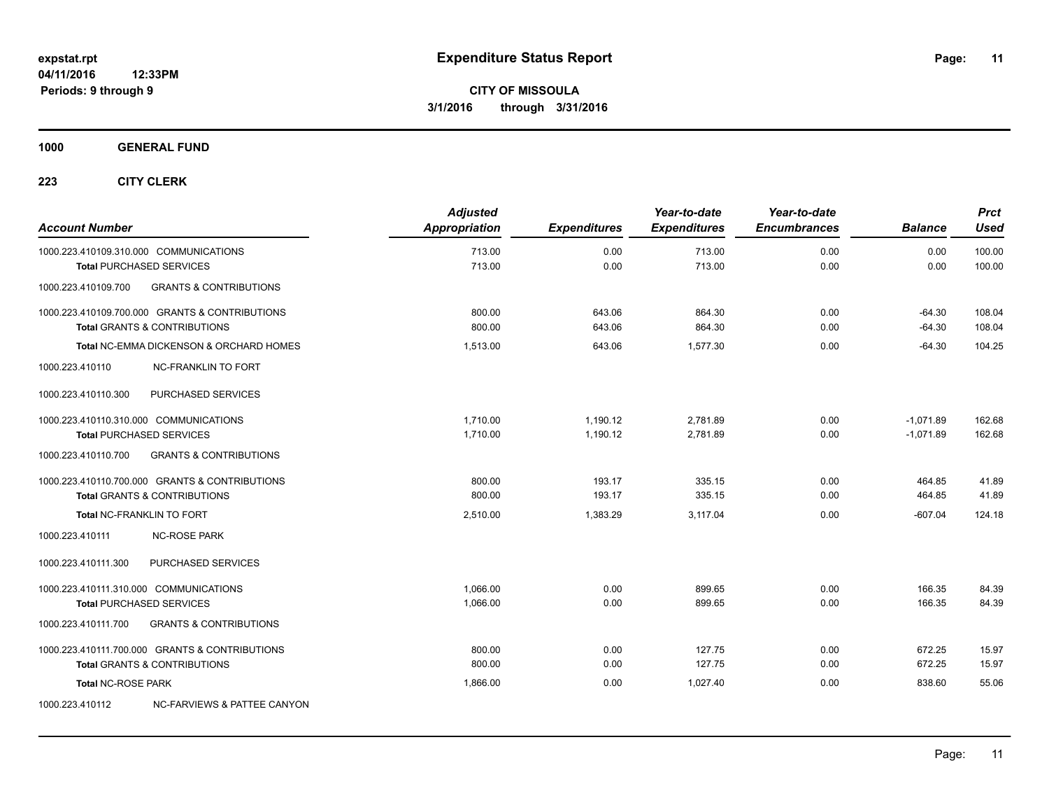**1000 GENERAL FUND**

| <b>Account Number</b>                                                     |                                                                                           | <b>Adjusted</b><br>Appropriation | <b>Expenditures</b>  | Year-to-date<br><b>Expenditures</b> | Year-to-date<br><b>Encumbrances</b> | <b>Balance</b>             | <b>Prct</b><br><b>Used</b> |
|---------------------------------------------------------------------------|-------------------------------------------------------------------------------------------|----------------------------------|----------------------|-------------------------------------|-------------------------------------|----------------------------|----------------------------|
| 1000.223.410109.310.000 COMMUNICATIONS<br><b>Total PURCHASED SERVICES</b> |                                                                                           | 713.00<br>713.00                 | 0.00<br>0.00         | 713.00<br>713.00                    | 0.00<br>0.00                        | 0.00<br>0.00               | 100.00<br>100.00           |
| 1000.223.410109.700                                                       | <b>GRANTS &amp; CONTRIBUTIONS</b>                                                         |                                  |                      |                                     |                                     |                            |                            |
|                                                                           | 1000.223.410109.700.000 GRANTS & CONTRIBUTIONS                                            | 800.00                           | 643.06               | 864.30                              | 0.00                                | $-64.30$                   | 108.04                     |
|                                                                           | <b>Total GRANTS &amp; CONTRIBUTIONS</b>                                                   | 800.00                           | 643.06               | 864.30                              | 0.00                                | $-64.30$                   | 108.04                     |
| 1000.223.410110                                                           | <b>Total NC-EMMA DICKENSON &amp; ORCHARD HOMES</b><br><b>NC-FRANKLIN TO FORT</b>          | 1,513.00                         | 643.06               | 1,577.30                            | 0.00                                | $-64.30$                   | 104.25                     |
| 1000.223.410110.300                                                       | PURCHASED SERVICES                                                                        |                                  |                      |                                     |                                     |                            |                            |
| 1000.223.410110.310.000 COMMUNICATIONS<br><b>Total PURCHASED SERVICES</b> |                                                                                           | 1,710.00<br>1.710.00             | 1,190.12<br>1.190.12 | 2,781.89<br>2,781.89                | 0.00<br>0.00                        | $-1,071.89$<br>$-1,071.89$ | 162.68<br>162.68           |
| 1000.223.410110.700                                                       | <b>GRANTS &amp; CONTRIBUTIONS</b>                                                         |                                  |                      |                                     |                                     |                            |                            |
|                                                                           | 1000.223.410110.700.000 GRANTS & CONTRIBUTIONS<br><b>Total GRANTS &amp; CONTRIBUTIONS</b> | 800.00<br>800.00                 | 193.17<br>193.17     | 335.15<br>335.15                    | 0.00<br>0.00                        | 464.85<br>464.85           | 41.89<br>41.89             |
| Total NC-FRANKLIN TO FORT                                                 |                                                                                           | 2,510.00                         | 1,383.29             | 3,117.04                            | 0.00                                | $-607.04$                  | 124.18                     |
| 1000.223.410111                                                           | <b>NC-ROSE PARK</b>                                                                       |                                  |                      |                                     |                                     |                            |                            |
| 1000.223.410111.300                                                       | PURCHASED SERVICES                                                                        |                                  |                      |                                     |                                     |                            |                            |
| 1000.223.410111.310.000 COMMUNICATIONS<br><b>Total PURCHASED SERVICES</b> |                                                                                           | 1.066.00<br>1,066.00             | 0.00<br>0.00         | 899.65<br>899.65                    | 0.00<br>0.00                        | 166.35<br>166.35           | 84.39<br>84.39             |
| 1000.223.410111.700                                                       | <b>GRANTS &amp; CONTRIBUTIONS</b>                                                         |                                  |                      |                                     |                                     |                            |                            |
|                                                                           | 1000.223.410111.700.000 GRANTS & CONTRIBUTIONS                                            | 800.00                           | 0.00                 | 127.75                              | 0.00                                | 672.25                     | 15.97                      |
|                                                                           | <b>Total GRANTS &amp; CONTRIBUTIONS</b>                                                   | 800.00                           | 0.00                 | 127.75                              | 0.00                                | 672.25                     | 15.97                      |
| <b>Total NC-ROSE PARK</b>                                                 |                                                                                           | 1,866.00                         | 0.00                 | 1,027.40                            | 0.00                                | 838.60                     | 55.06                      |
| 1000.223.410112                                                           | NC-FARVIEWS & PATTEE CANYON                                                               |                                  |                      |                                     |                                     |                            |                            |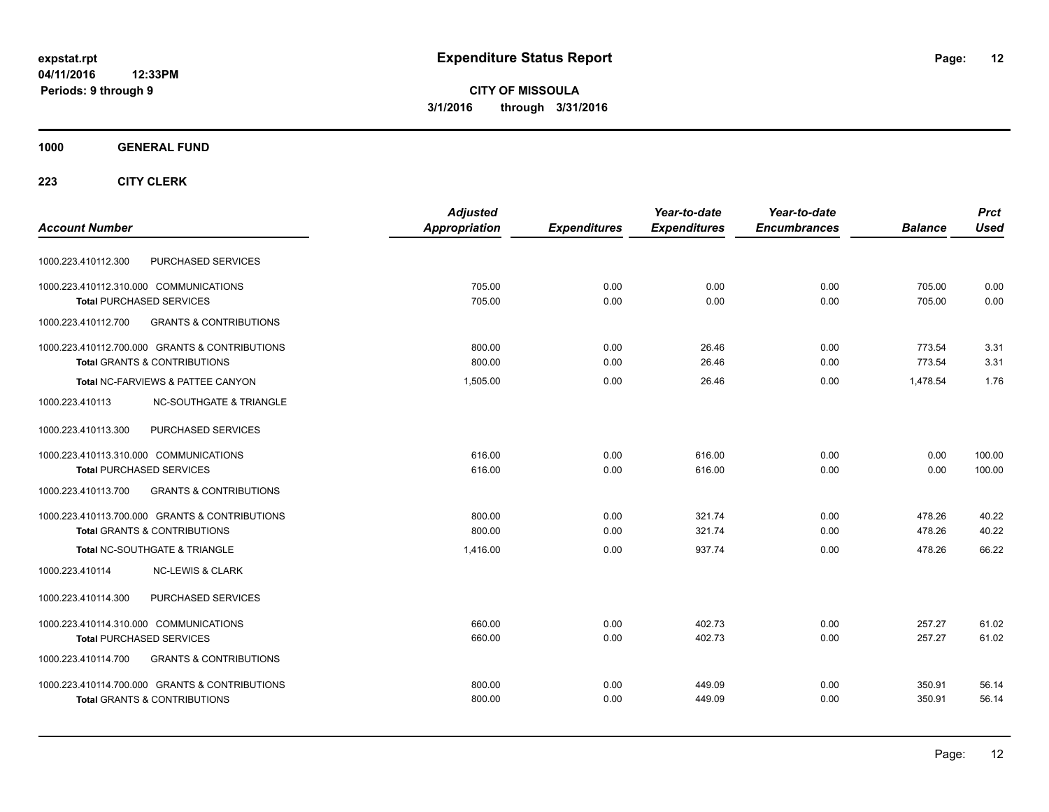**CITY OF MISSOULA 3/1/2016 through 3/31/2016**

#### **1000 GENERAL FUND**

|                                                          | <b>Adjusted</b> |                     | Year-to-date        | Year-to-date        |                | <b>Prct</b> |
|----------------------------------------------------------|-----------------|---------------------|---------------------|---------------------|----------------|-------------|
| <b>Account Number</b>                                    | Appropriation   | <b>Expenditures</b> | <b>Expenditures</b> | <b>Encumbrances</b> | <b>Balance</b> | <b>Used</b> |
| PURCHASED SERVICES<br>1000.223.410112.300                |                 |                     |                     |                     |                |             |
| 1000.223.410112.310.000 COMMUNICATIONS                   | 705.00          | 0.00                | 0.00                | 0.00                | 705.00         | 0.00        |
| <b>Total PURCHASED SERVICES</b>                          | 705.00          | 0.00                | 0.00                | 0.00                | 705.00         | 0.00        |
| 1000.223.410112.700<br><b>GRANTS &amp; CONTRIBUTIONS</b> |                 |                     |                     |                     |                |             |
| 1000.223.410112.700.000 GRANTS & CONTRIBUTIONS           | 800.00          | 0.00                | 26.46               | 0.00                | 773.54         | 3.31        |
| <b>Total GRANTS &amp; CONTRIBUTIONS</b>                  | 800.00          | 0.00                | 26.46               | 0.00                | 773.54         | 3.31        |
| Total NC-FARVIEWS & PATTEE CANYON                        | 1,505.00        | 0.00                | 26.46               | 0.00                | 1.478.54       | 1.76        |
| <b>NC-SOUTHGATE &amp; TRIANGLE</b><br>1000.223.410113    |                 |                     |                     |                     |                |             |
| 1000.223.410113.300<br>PURCHASED SERVICES                |                 |                     |                     |                     |                |             |
| 1000.223.410113.310.000 COMMUNICATIONS                   | 616.00          | 0.00                | 616.00              | 0.00                | 0.00           | 100.00      |
| <b>Total PURCHASED SERVICES</b>                          | 616.00          | 0.00                | 616.00              | 0.00                | 0.00           | 100.00      |
| 1000.223.410113.700<br><b>GRANTS &amp; CONTRIBUTIONS</b> |                 |                     |                     |                     |                |             |
| 1000.223.410113.700.000 GRANTS & CONTRIBUTIONS           | 800.00          | 0.00                | 321.74              | 0.00                | 478.26         | 40.22       |
| <b>Total GRANTS &amp; CONTRIBUTIONS</b>                  | 800.00          | 0.00                | 321.74              | 0.00                | 478.26         | 40.22       |
| Total NC-SOUTHGATE & TRIANGLE                            | 1.416.00        | 0.00                | 937.74              | 0.00                | 478.26         | 66.22       |
| 1000.223.410114<br><b>NC-LEWIS &amp; CLARK</b>           |                 |                     |                     |                     |                |             |
| PURCHASED SERVICES<br>1000.223.410114.300                |                 |                     |                     |                     |                |             |
| 1000.223.410114.310.000 COMMUNICATIONS                   | 660.00          | 0.00                | 402.73              | 0.00                | 257.27         | 61.02       |
| <b>Total PURCHASED SERVICES</b>                          | 660.00          | 0.00                | 402.73              | 0.00                | 257.27         | 61.02       |
| <b>GRANTS &amp; CONTRIBUTIONS</b><br>1000.223.410114.700 |                 |                     |                     |                     |                |             |
| 1000.223.410114.700.000 GRANTS & CONTRIBUTIONS           | 800.00          | 0.00                | 449.09              | 0.00                | 350.91         | 56.14       |
| <b>Total GRANTS &amp; CONTRIBUTIONS</b>                  | 800.00          | 0.00                | 449.09              | 0.00                | 350.91         | 56.14       |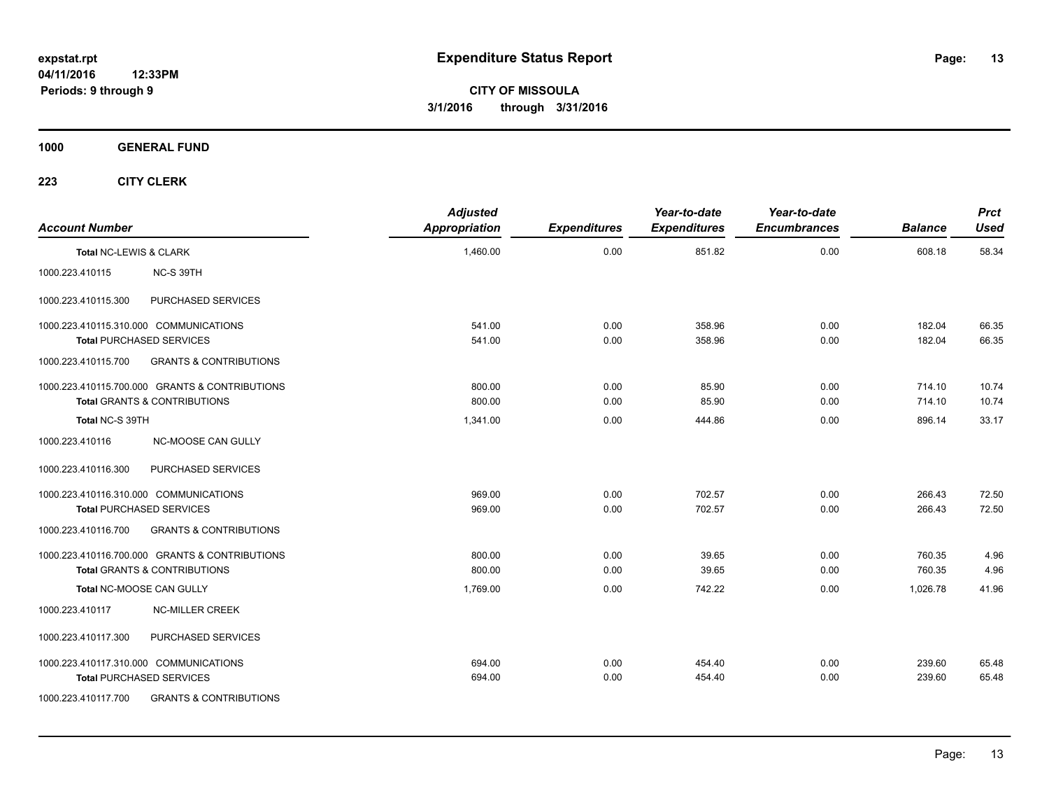**1000 GENERAL FUND**

| <b>Account Number</b>  |                                                | <b>Adjusted</b><br><b>Appropriation</b> | <b>Expenditures</b> | Year-to-date<br><b>Expenditures</b> | Year-to-date<br><b>Encumbrances</b> | <b>Balance</b> | <b>Prct</b><br><b>Used</b> |
|------------------------|------------------------------------------------|-----------------------------------------|---------------------|-------------------------------------|-------------------------------------|----------------|----------------------------|
| Total NC-LEWIS & CLARK |                                                | 1,460.00                                | 0.00                | 851.82                              | 0.00                                | 608.18         | 58.34                      |
| 1000.223.410115        | NC-S 39TH                                      |                                         |                     |                                     |                                     |                |                            |
| 1000.223.410115.300    | PURCHASED SERVICES                             |                                         |                     |                                     |                                     |                |                            |
|                        | 1000.223.410115.310.000 COMMUNICATIONS         | 541.00                                  | 0.00                | 358.96                              | 0.00                                | 182.04         | 66.35                      |
|                        | <b>Total PURCHASED SERVICES</b>                | 541.00                                  | 0.00                | 358.96                              | 0.00                                | 182.04         | 66.35                      |
| 1000.223.410115.700    | <b>GRANTS &amp; CONTRIBUTIONS</b>              |                                         |                     |                                     |                                     |                |                            |
|                        | 1000.223.410115.700.000 GRANTS & CONTRIBUTIONS | 800.00                                  | 0.00                | 85.90                               | 0.00                                | 714.10         | 10.74                      |
|                        | <b>Total GRANTS &amp; CONTRIBUTIONS</b>        | 800.00                                  | 0.00                | 85.90                               | 0.00                                | 714.10         | 10.74                      |
| Total NC-S 39TH        |                                                | 1,341.00                                | 0.00                | 444.86                              | 0.00                                | 896.14         | 33.17                      |
| 1000.223.410116        | <b>NC-MOOSE CAN GULLY</b>                      |                                         |                     |                                     |                                     |                |                            |
| 1000.223.410116.300    | PURCHASED SERVICES                             |                                         |                     |                                     |                                     |                |                            |
|                        | 1000.223.410116.310.000 COMMUNICATIONS         | 969.00                                  | 0.00                | 702.57                              | 0.00                                | 266.43         | 72.50                      |
|                        | <b>Total PURCHASED SERVICES</b>                | 969.00                                  | 0.00                | 702.57                              | 0.00                                | 266.43         | 72.50                      |
| 1000.223.410116.700    | <b>GRANTS &amp; CONTRIBUTIONS</b>              |                                         |                     |                                     |                                     |                |                            |
|                        | 1000.223.410116.700.000 GRANTS & CONTRIBUTIONS | 800.00                                  | 0.00                | 39.65                               | 0.00                                | 760.35         | 4.96                       |
|                        | <b>Total GRANTS &amp; CONTRIBUTIONS</b>        | 800.00                                  | 0.00                | 39.65                               | 0.00                                | 760.35         | 4.96                       |
|                        | Total NC-MOOSE CAN GULLY                       | 1,769.00                                | 0.00                | 742.22                              | 0.00                                | 1,026.78       | 41.96                      |
| 1000.223.410117        | <b>NC-MILLER CREEK</b>                         |                                         |                     |                                     |                                     |                |                            |
| 1000.223.410117.300    | PURCHASED SERVICES                             |                                         |                     |                                     |                                     |                |                            |
|                        | 1000.223.410117.310.000 COMMUNICATIONS         | 694.00                                  | 0.00                | 454.40                              | 0.00                                | 239.60         | 65.48                      |
|                        | <b>Total PURCHASED SERVICES</b>                | 694.00                                  | 0.00                | 454.40                              | 0.00                                | 239.60         | 65.48                      |
| 1000.223.410117.700    | <b>GRANTS &amp; CONTRIBUTIONS</b>              |                                         |                     |                                     |                                     |                |                            |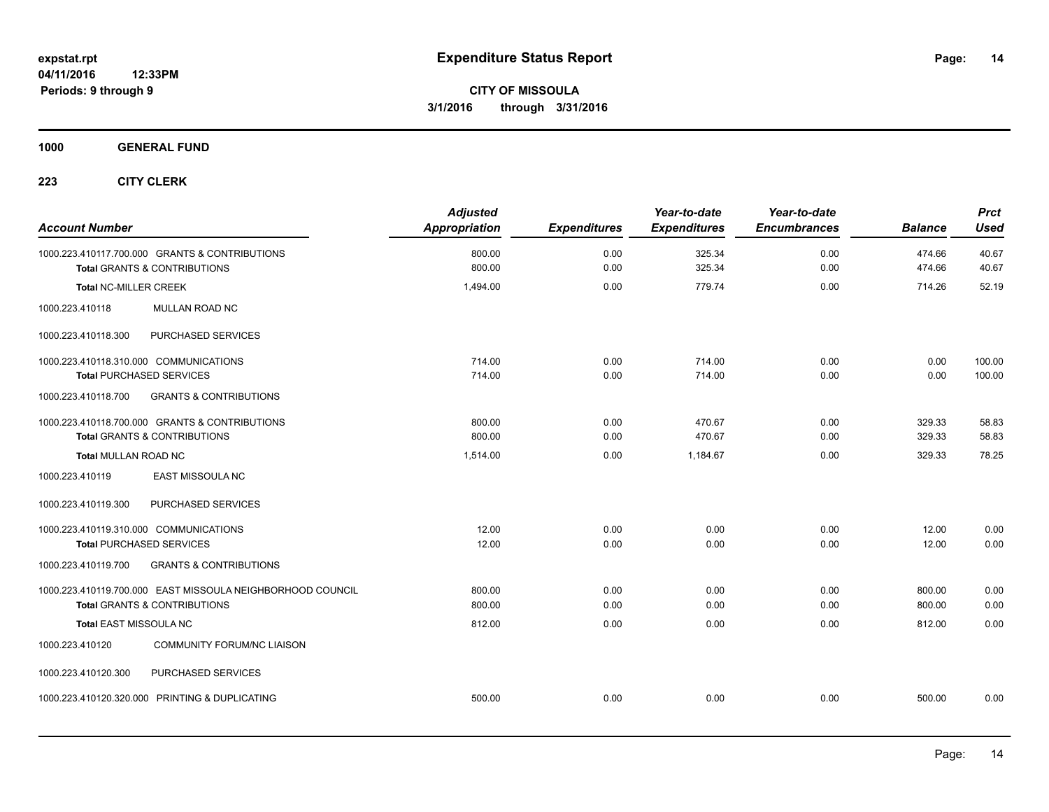**1000 GENERAL FUND**

| <b>Account Number</b>                                                                                 | <b>Adjusted</b><br><b>Appropriation</b> | <b>Expenditures</b> | Year-to-date<br><b>Expenditures</b> | Year-to-date<br><b>Encumbrances</b> | <b>Balance</b>   | <b>Prct</b><br><b>Used</b> |
|-------------------------------------------------------------------------------------------------------|-----------------------------------------|---------------------|-------------------------------------|-------------------------------------|------------------|----------------------------|
| 1000.223.410117.700.000 GRANTS & CONTRIBUTIONS<br><b>Total GRANTS &amp; CONTRIBUTIONS</b>             | 800.00<br>800.00                        | 0.00<br>0.00        | 325.34<br>325.34                    | 0.00<br>0.00                        | 474.66<br>474.66 | 40.67<br>40.67             |
| <b>Total NC-MILLER CREEK</b>                                                                          | 1,494.00                                | 0.00                | 779.74                              | 0.00                                | 714.26           | 52.19                      |
| 1000.223.410118<br><b>MULLAN ROAD NC</b>                                                              |                                         |                     |                                     |                                     |                  |                            |
| PURCHASED SERVICES<br>1000.223.410118.300                                                             |                                         |                     |                                     |                                     |                  |                            |
| 1000.223.410118.310.000 COMMUNICATIONS<br><b>Total PURCHASED SERVICES</b>                             | 714.00<br>714.00                        | 0.00<br>0.00        | 714.00<br>714.00                    | 0.00<br>0.00                        | 0.00<br>0.00     | 100.00<br>100.00           |
| <b>GRANTS &amp; CONTRIBUTIONS</b><br>1000.223.410118.700                                              |                                         |                     |                                     |                                     |                  |                            |
| 1000.223.410118.700.000 GRANTS & CONTRIBUTIONS<br><b>Total GRANTS &amp; CONTRIBUTIONS</b>             | 800.00<br>800.00                        | 0.00<br>0.00        | 470.67<br>470.67                    | 0.00<br>0.00                        | 329.33<br>329.33 | 58.83<br>58.83             |
| <b>Total MULLAN ROAD NC</b>                                                                           | 1,514.00                                | 0.00                | 1,184.67                            | 0.00                                | 329.33           | 78.25                      |
| EAST MISSOULA NC<br>1000.223.410119                                                                   |                                         |                     |                                     |                                     |                  |                            |
| PURCHASED SERVICES<br>1000.223.410119.300                                                             |                                         |                     |                                     |                                     |                  |                            |
| 1000.223.410119.310.000 COMMUNICATIONS<br><b>Total PURCHASED SERVICES</b>                             | 12.00<br>12.00                          | 0.00<br>0.00        | 0.00<br>0.00                        | 0.00<br>0.00                        | 12.00<br>12.00   | 0.00<br>0.00               |
| <b>GRANTS &amp; CONTRIBUTIONS</b><br>1000.223.410119.700                                              |                                         |                     |                                     |                                     |                  |                            |
| 1000.223.410119.700.000 EAST MISSOULA NEIGHBORHOOD COUNCIL<br><b>Total GRANTS &amp; CONTRIBUTIONS</b> | 800.00<br>800.00                        | 0.00<br>0.00        | 0.00<br>0.00                        | 0.00<br>0.00                        | 800.00<br>800.00 | 0.00<br>0.00               |
| Total EAST MISSOULA NC                                                                                | 812.00                                  | 0.00                | 0.00                                | 0.00                                | 812.00           | 0.00                       |
| 1000.223.410120<br><b>COMMUNITY FORUM/NC LIAISON</b>                                                  |                                         |                     |                                     |                                     |                  |                            |
| 1000.223.410120.300<br>PURCHASED SERVICES                                                             |                                         |                     |                                     |                                     |                  |                            |
| 1000.223.410120.320.000 PRINTING & DUPLICATING                                                        | 500.00                                  | 0.00                | 0.00                                | 0.00                                | 500.00           | 0.00                       |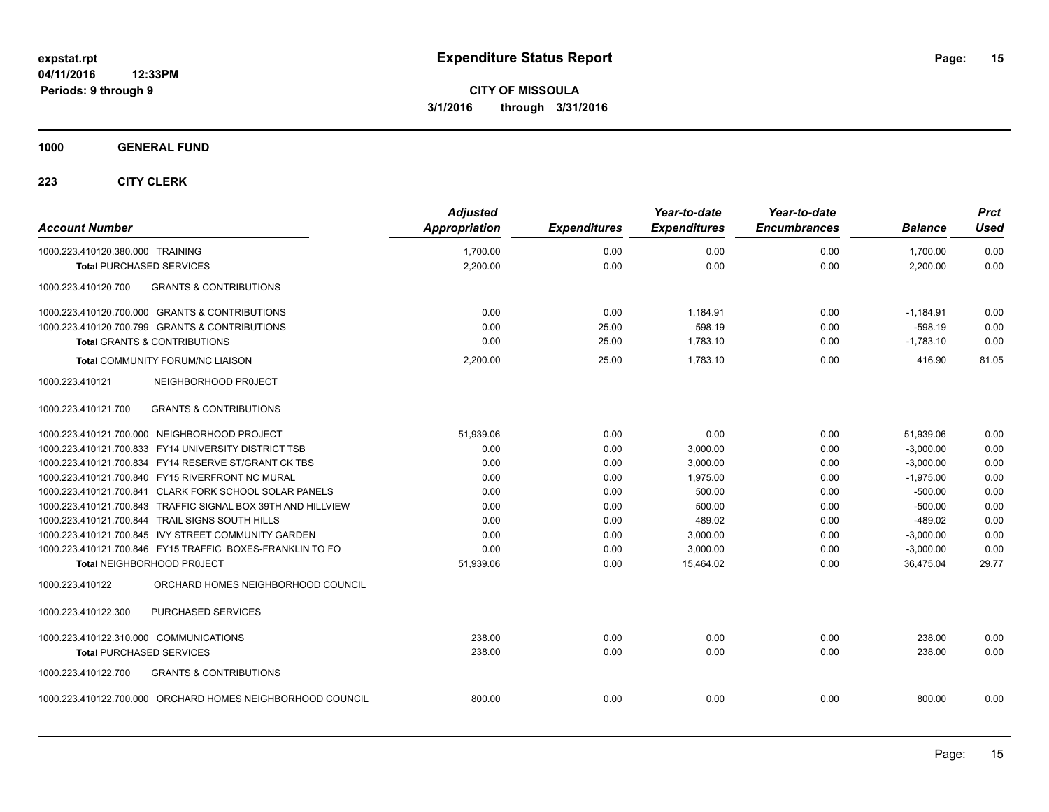#### **1000 GENERAL FUND**

|                                                              | <b>Adjusted</b>      |                     | Year-to-date        | Year-to-date        |                | <b>Prct</b> |
|--------------------------------------------------------------|----------------------|---------------------|---------------------|---------------------|----------------|-------------|
| <b>Account Number</b>                                        | <b>Appropriation</b> | <b>Expenditures</b> | <b>Expenditures</b> | <b>Encumbrances</b> | <b>Balance</b> | <b>Used</b> |
| 1000.223.410120.380.000 TRAINING                             | 1,700.00             | 0.00                | 0.00                | 0.00                | 1,700.00       | 0.00        |
| <b>Total PURCHASED SERVICES</b>                              | 2,200.00             | 0.00                | 0.00                | 0.00                | 2,200.00       | 0.00        |
| <b>GRANTS &amp; CONTRIBUTIONS</b><br>1000.223.410120.700     |                      |                     |                     |                     |                |             |
| 1000.223.410120.700.000 GRANTS & CONTRIBUTIONS               | 0.00                 | 0.00                | 1,184.91            | 0.00                | $-1,184.91$    | 0.00        |
| 1000.223.410120.700.799 GRANTS & CONTRIBUTIONS               | 0.00                 | 25.00               | 598.19              | 0.00                | $-598.19$      | 0.00        |
| <b>Total GRANTS &amp; CONTRIBUTIONS</b>                      | 0.00                 | 25.00               | 1,783.10            | 0.00                | $-1,783.10$    | 0.00        |
| <b>Total COMMUNITY FORUM/NC LIAISON</b>                      | 2,200.00             | 25.00               | 1.783.10            | 0.00                | 416.90         | 81.05       |
| 1000.223.410121<br>NEIGHBORHOOD PROJECT                      |                      |                     |                     |                     |                |             |
| <b>GRANTS &amp; CONTRIBUTIONS</b><br>1000.223.410121.700     |                      |                     |                     |                     |                |             |
| 1000.223.410121.700.000 NEIGHBORHOOD PROJECT                 | 51,939.06            | 0.00                | 0.00                | 0.00                | 51,939.06      | 0.00        |
| 1000.223.410121.700.833 FY14 UNIVERSITY DISTRICT TSB         | 0.00                 | 0.00                | 3,000.00            | 0.00                | $-3.000.00$    | 0.00        |
| 1000.223.410121.700.834 FY14 RESERVE ST/GRANT CK TBS         | 0.00                 | 0.00                | 3,000.00            | 0.00                | $-3,000.00$    | 0.00        |
| 1000.223.410121.700.840 FY15 RIVERFRONT NC MURAL             | 0.00                 | 0.00                | 1,975.00            | 0.00                | $-1,975.00$    | 0.00        |
| 1000.223.410121.700.841 CLARK FORK SCHOOL SOLAR PANELS       | 0.00                 | 0.00                | 500.00              | 0.00                | $-500.00$      | 0.00        |
| 1000.223.410121.700.843 TRAFFIC SIGNAL BOX 39TH AND HILLVIEW | 0.00                 | 0.00                | 500.00              | 0.00                | $-500.00$      | 0.00        |
| 1000.223.410121.700.844 TRAIL SIGNS SOUTH HILLS              | 0.00                 | 0.00                | 489.02              | 0.00                | $-489.02$      | 0.00        |
| 1000.223.410121.700.845 IVY STREET COMMUNITY GARDEN          | 0.00                 | 0.00                | 3,000.00            | 0.00                | $-3,000.00$    | 0.00        |
| 1000.223.410121.700.846 FY15 TRAFFIC BOXES-FRANKLIN TO FO    | 0.00                 | 0.00                | 3,000.00            | 0.00                | $-3,000.00$    | 0.00        |
| Total NEIGHBORHOOD PROJECT                                   | 51,939.06            | 0.00                | 15,464.02           | 0.00                | 36,475.04      | 29.77       |
| ORCHARD HOMES NEIGHBORHOOD COUNCIL<br>1000.223.410122        |                      |                     |                     |                     |                |             |
| 1000.223.410122.300<br><b>PURCHASED SERVICES</b>             |                      |                     |                     |                     |                |             |
| 1000.223.410122.310.000 COMMUNICATIONS                       | 238.00               | 0.00                | 0.00                | 0.00                | 238.00         | 0.00        |
| <b>Total PURCHASED SERVICES</b>                              | 238.00               | 0.00                | 0.00                | 0.00                | 238.00         | 0.00        |
| <b>GRANTS &amp; CONTRIBUTIONS</b><br>1000.223.410122.700     |                      |                     |                     |                     |                |             |
| 1000.223.410122.700.000 ORCHARD HOMES NEIGHBORHOOD COUNCIL   | 800.00               | 0.00                | 0.00                | 0.00                | 800.00         | 0.00        |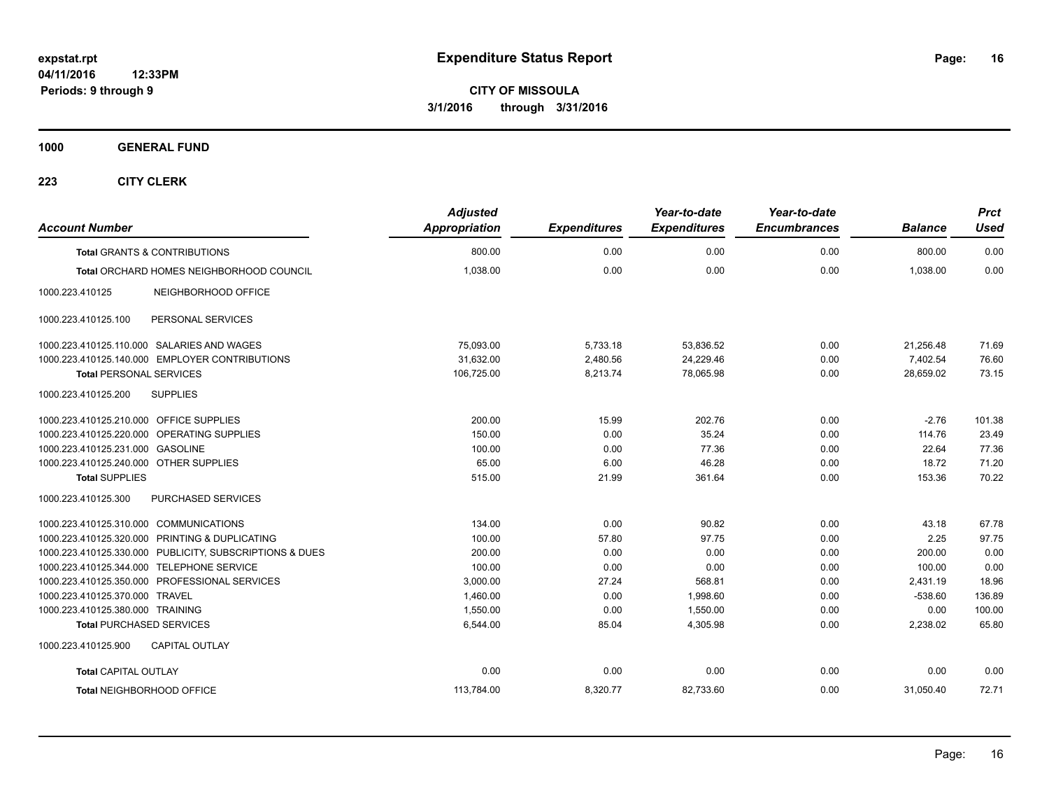**1000 GENERAL FUND**

| <b>Account Number</b>                                   | <b>Adjusted</b><br>Appropriation | <b>Expenditures</b> | Year-to-date<br><b>Expenditures</b> | Year-to-date<br><b>Encumbrances</b> | <b>Balance</b> | <b>Prct</b><br>Used |
|---------------------------------------------------------|----------------------------------|---------------------|-------------------------------------|-------------------------------------|----------------|---------------------|
| <b>Total GRANTS &amp; CONTRIBUTIONS</b>                 | 800.00                           | 0.00                | 0.00                                | 0.00                                | 800.00         | 0.00                |
| Total ORCHARD HOMES NEIGHBORHOOD COUNCIL                | 1,038.00                         | 0.00                | 0.00                                | 0.00                                | 1,038.00       | 0.00                |
| 1000.223.410125<br>NEIGHBORHOOD OFFICE                  |                                  |                     |                                     |                                     |                |                     |
| PERSONAL SERVICES<br>1000.223.410125.100                |                                  |                     |                                     |                                     |                |                     |
| 1000.223.410125.110.000 SALARIES AND WAGES              | 75,093.00                        | 5,733.18            | 53,836.52                           | 0.00                                | 21,256.48      | 71.69               |
| 1000.223.410125.140.000 EMPLOYER CONTRIBUTIONS          | 31,632.00                        | 2,480.56            | 24,229.46                           | 0.00                                | 7,402.54       | 76.60               |
| <b>Total PERSONAL SERVICES</b>                          | 106,725.00                       | 8,213.74            | 78,065.98                           | 0.00                                | 28,659.02      | 73.15               |
| 1000.223.410125.200<br><b>SUPPLIES</b>                  |                                  |                     |                                     |                                     |                |                     |
| 1000.223.410125.210.000 OFFICE SUPPLIES                 | 200.00                           | 15.99               | 202.76                              | 0.00                                | $-2.76$        | 101.38              |
| 1000.223.410125.220.000 OPERATING SUPPLIES              | 150.00                           | 0.00                | 35.24                               | 0.00                                | 114.76         | 23.49               |
| 1000.223.410125.231.000 GASOLINE                        | 100.00                           | 0.00                | 77.36                               | 0.00                                | 22.64          | 77.36               |
| 1000.223.410125.240.000 OTHER SUPPLIES                  | 65.00                            | 6.00                | 46.28                               | 0.00                                | 18.72          | 71.20               |
| <b>Total SUPPLIES</b>                                   | 515.00                           | 21.99               | 361.64                              | 0.00                                | 153.36         | 70.22               |
| 1000.223.410125.300<br>PURCHASED SERVICES               |                                  |                     |                                     |                                     |                |                     |
| 1000.223.410125.310.000 COMMUNICATIONS                  | 134.00                           | 0.00                | 90.82                               | 0.00                                | 43.18          | 67.78               |
| 1000.223.410125.320.000 PRINTING & DUPLICATING          | 100.00                           | 57.80               | 97.75                               | 0.00                                | 2.25           | 97.75               |
| 1000.223.410125.330.000 PUBLICITY, SUBSCRIPTIONS & DUES | 200.00                           | 0.00                | 0.00                                | 0.00                                | 200.00         | 0.00                |
| 1000.223.410125.344.000 TELEPHONE SERVICE               | 100.00                           | 0.00                | 0.00                                | 0.00                                | 100.00         | 0.00                |
| 1000.223.410125.350.000 PROFESSIONAL SERVICES           | 3,000.00                         | 27.24               | 568.81                              | 0.00                                | 2,431.19       | 18.96               |
| 1000.223.410125.370.000 TRAVEL                          | 1,460.00                         | 0.00                | 1,998.60                            | 0.00                                | $-538.60$      | 136.89              |
| 1000.223.410125.380.000 TRAINING                        | 1,550.00                         | 0.00                | 1,550.00                            | 0.00                                | 0.00           | 100.00              |
| <b>Total PURCHASED SERVICES</b>                         | 6,544.00                         | 85.04               | 4,305.98                            | 0.00                                | 2,238.02       | 65.80               |
| <b>CAPITAL OUTLAY</b><br>1000.223.410125.900            |                                  |                     |                                     |                                     |                |                     |
| <b>Total CAPITAL OUTLAY</b>                             | 0.00                             | 0.00                | 0.00                                | 0.00                                | 0.00           | 0.00                |
| Total NEIGHBORHOOD OFFICE                               | 113,784.00                       | 8,320.77            | 82,733.60                           | 0.00                                | 31,050.40      | 72.71               |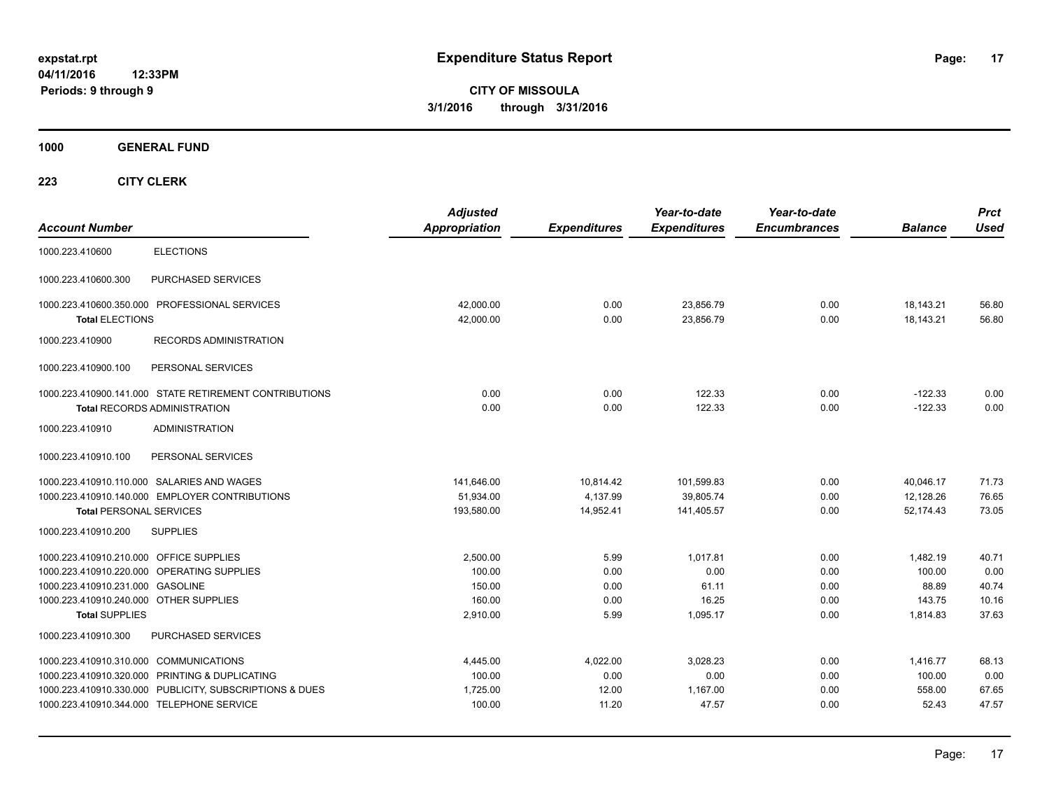**CITY OF MISSOULA 3/1/2016 through 3/31/2016**

**1000 GENERAL FUND**

| <b>Account Number</b>                                                                         | <b>Adjusted</b><br><b>Appropriation</b> | <b>Expenditures</b>   | Year-to-date<br><b>Expenditures</b> | Year-to-date<br><b>Encumbrances</b> | <b>Balance</b>         | <b>Prct</b><br><b>Used</b> |
|-----------------------------------------------------------------------------------------------|-----------------------------------------|-----------------------|-------------------------------------|-------------------------------------|------------------------|----------------------------|
| <b>ELECTIONS</b><br>1000.223.410600                                                           |                                         |                       |                                     |                                     |                        |                            |
| PURCHASED SERVICES<br>1000.223.410600.300                                                     |                                         |                       |                                     |                                     |                        |                            |
| 1000.223.410600.350.000 PROFESSIONAL SERVICES<br><b>Total ELECTIONS</b>                       | 42.000.00<br>42,000.00                  | 0.00<br>0.00          | 23,856.79<br>23,856.79              | 0.00<br>0.00                        | 18,143.21<br>18,143.21 | 56.80<br>56.80             |
| 1000.223.410900<br><b>RECORDS ADMINISTRATION</b>                                              |                                         |                       |                                     |                                     |                        |                            |
| 1000.223.410900.100<br>PERSONAL SERVICES                                                      |                                         |                       |                                     |                                     |                        |                            |
| 1000.223.410900.141.000 STATE RETIREMENT CONTRIBUTIONS<br><b>Total RECORDS ADMINISTRATION</b> | 0.00<br>0.00                            | 0.00<br>0.00          | 122.33<br>122.33                    | 0.00<br>0.00                        | $-122.33$<br>$-122.33$ | 0.00<br>0.00               |
| 1000.223.410910<br><b>ADMINISTRATION</b>                                                      |                                         |                       |                                     |                                     |                        |                            |
| 1000.223.410910.100<br>PERSONAL SERVICES                                                      |                                         |                       |                                     |                                     |                        |                            |
| 1000.223.410910.110.000 SALARIES AND WAGES                                                    | 141,646.00                              | 10,814.42             | 101,599.83                          | 0.00                                | 40,046.17              | 71.73                      |
| 1000.223.410910.140.000 EMPLOYER CONTRIBUTIONS<br><b>Total PERSONAL SERVICES</b>              | 51,934.00<br>193,580.00                 | 4,137.99<br>14,952.41 | 39,805.74                           | 0.00<br>0.00                        | 12,128.26<br>52,174.43 | 76.65<br>73.05             |
| 1000.223.410910.200<br><b>SUPPLIES</b>                                                        |                                         |                       | 141,405.57                          |                                     |                        |                            |
| 1000.223.410910.210.000 OFFICE SUPPLIES                                                       | 2,500.00                                | 5.99                  | 1.017.81                            | 0.00                                | 1,482.19               | 40.71                      |
| 1000.223.410910.220.000 OPERATING SUPPLIES                                                    | 100.00                                  | 0.00                  | 0.00                                | 0.00                                | 100.00                 | 0.00                       |
| 1000.223.410910.231.000 GASOLINE                                                              | 150.00                                  | 0.00                  | 61.11                               | 0.00                                | 88.89                  | 40.74                      |
| 1000.223.410910.240.000 OTHER SUPPLIES                                                        | 160.00                                  | 0.00                  | 16.25                               | 0.00                                | 143.75                 | 10.16                      |
| <b>Total SUPPLIES</b>                                                                         | 2,910.00                                | 5.99                  | 1,095.17                            | 0.00                                | 1,814.83               | 37.63                      |
| 1000.223.410910.300<br>PURCHASED SERVICES                                                     |                                         |                       |                                     |                                     |                        |                            |
| 1000.223.410910.310.000 COMMUNICATIONS                                                        | 4,445.00                                | 4,022.00              | 3,028.23                            | 0.00                                | 1,416.77               | 68.13                      |
| 1000.223.410910.320.000 PRINTING & DUPLICATING                                                | 100.00                                  | 0.00                  | 0.00                                | 0.00                                | 100.00                 | 0.00                       |
| 1000.223.410910.330.000 PUBLICITY, SUBSCRIPTIONS & DUES                                       | 1,725.00                                | 12.00                 | 1,167.00                            | 0.00                                | 558.00                 | 67.65                      |
| 1000.223.410910.344.000 TELEPHONE SERVICE                                                     | 100.00                                  | 11.20                 | 47.57                               | 0.00                                | 52.43                  | 47.57                      |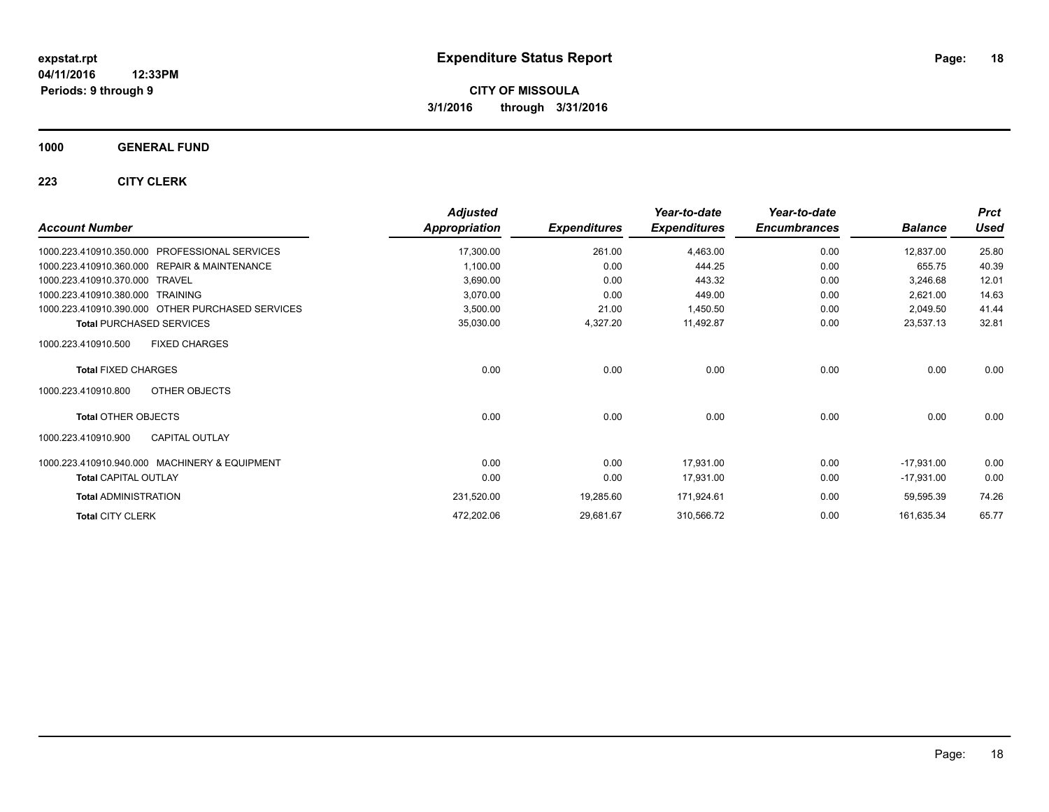### **1000 GENERAL FUND**

| <b>Account Number</b>                                      | <b>Adjusted</b>      |                     | Year-to-date        | Year-to-date<br><b>Encumbrances</b> | <b>Balance</b> | <b>Prct</b><br><b>Used</b> |
|------------------------------------------------------------|----------------------|---------------------|---------------------|-------------------------------------|----------------|----------------------------|
|                                                            | <b>Appropriation</b> | <b>Expenditures</b> | <b>Expenditures</b> |                                     |                |                            |
| <b>PROFESSIONAL SERVICES</b><br>1000.223.410910.350.000    | 17,300.00            | 261.00              | 4,463.00            | 0.00                                | 12,837.00      | 25.80                      |
| 1000.223.410910.360.000<br><b>REPAIR &amp; MAINTENANCE</b> | 1,100.00             | 0.00                | 444.25              | 0.00                                | 655.75         | 40.39                      |
| 1000.223.410910.370.000<br><b>TRAVEL</b>                   | 3,690.00             | 0.00                | 443.32              | 0.00                                | 3,246.68       | 12.01                      |
| 1000.223.410910.380.000<br>TRAINING                        | 3,070.00             | 0.00                | 449.00              | 0.00                                | 2,621.00       | 14.63                      |
| 1000.223.410910.390.000 OTHER PURCHASED SERVICES           | 3,500.00             | 21.00               | 1,450.50            | 0.00                                | 2,049.50       | 41.44                      |
| <b>Total PURCHASED SERVICES</b>                            | 35,030.00            | 4,327.20            | 11,492.87           | 0.00                                | 23,537.13      | 32.81                      |
| <b>FIXED CHARGES</b><br>1000.223.410910.500                |                      |                     |                     |                                     |                |                            |
| <b>Total FIXED CHARGES</b>                                 | 0.00                 | 0.00                | 0.00                | 0.00                                | 0.00           | 0.00                       |
| 1000.223.410910.800<br>OTHER OBJECTS                       |                      |                     |                     |                                     |                |                            |
| <b>Total OTHER OBJECTS</b>                                 | 0.00                 | 0.00                | 0.00                | 0.00                                | 0.00           | 0.00                       |
| <b>CAPITAL OUTLAY</b><br>1000.223.410910.900               |                      |                     |                     |                                     |                |                            |
| 1000.223.410910.940.000 MACHINERY & EQUIPMENT              | 0.00                 | 0.00                | 17,931.00           | 0.00                                | $-17,931.00$   | 0.00                       |
| <b>Total CAPITAL OUTLAY</b>                                | 0.00                 | 0.00                | 17,931.00           | 0.00                                | $-17,931.00$   | 0.00                       |
| <b>Total ADMINISTRATION</b>                                | 231,520.00           | 19,285.60           | 171,924.61          | 0.00                                | 59,595.39      | 74.26                      |
| <b>Total CITY CLERK</b>                                    | 472,202.06           | 29,681.67           | 310,566.72          | 0.00                                | 161,635.34     | 65.77                      |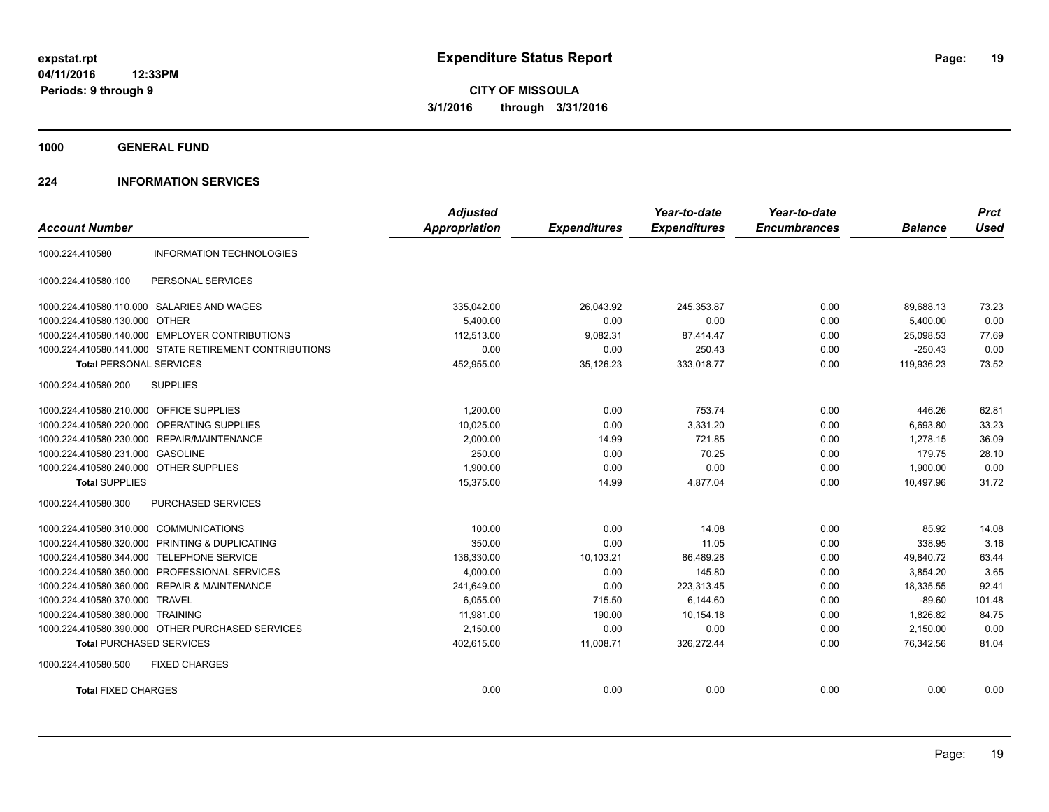**1000 GENERAL FUND**

#### **224 INFORMATION SERVICES**

|                                         |                                                        | <b>Adjusted</b>      |                     | Year-to-date        | Year-to-date        |                | <b>Prct</b> |
|-----------------------------------------|--------------------------------------------------------|----------------------|---------------------|---------------------|---------------------|----------------|-------------|
| <b>Account Number</b>                   |                                                        | <b>Appropriation</b> | <b>Expenditures</b> | <b>Expenditures</b> | <b>Encumbrances</b> | <b>Balance</b> | <b>Used</b> |
| 1000.224.410580                         | <b>INFORMATION TECHNOLOGIES</b>                        |                      |                     |                     |                     |                |             |
| 1000.224.410580.100                     | PERSONAL SERVICES                                      |                      |                     |                     |                     |                |             |
|                                         | 1000.224.410580.110.000 SALARIES AND WAGES             | 335,042.00           | 26,043.92           | 245,353.87          | 0.00                | 89,688.13      | 73.23       |
| 1000.224.410580.130.000 OTHER           |                                                        | 5,400.00             | 0.00                | 0.00                | 0.00                | 5,400.00       | 0.00        |
|                                         | 1000.224.410580.140.000 EMPLOYER CONTRIBUTIONS         | 112.513.00           | 9,082.31            | 87,414.47           | 0.00                | 25.098.53      | 77.69       |
|                                         | 1000.224.410580.141.000 STATE RETIREMENT CONTRIBUTIONS | 0.00                 | 0.00                | 250.43              | 0.00                | $-250.43$      | 0.00        |
| <b>Total PERSONAL SERVICES</b>          |                                                        | 452,955.00           | 35,126.23           | 333,018.77          | 0.00                | 119,936.23     | 73.52       |
| 1000.224.410580.200                     | <b>SUPPLIES</b>                                        |                      |                     |                     |                     |                |             |
| 1000.224.410580.210.000 OFFICE SUPPLIES |                                                        | 1,200.00             | 0.00                | 753.74              | 0.00                | 446.26         | 62.81       |
|                                         | 1000.224.410580.220.000 OPERATING SUPPLIES             | 10.025.00            | 0.00                | 3,331.20            | 0.00                | 6,693.80       | 33.23       |
|                                         | 1000.224.410580.230.000 REPAIR/MAINTENANCE             | 2,000.00             | 14.99               | 721.85              | 0.00                | 1,278.15       | 36.09       |
| 1000.224.410580.231.000 GASOLINE        |                                                        | 250.00               | 0.00                | 70.25               | 0.00                | 179.75         | 28.10       |
| 1000.224.410580.240.000 OTHER SUPPLIES  |                                                        | 1,900.00             | 0.00                | 0.00                | 0.00                | 1,900.00       | 0.00        |
| <b>Total SUPPLIES</b>                   |                                                        | 15,375.00            | 14.99               | 4,877.04            | 0.00                | 10.497.96      | 31.72       |
| 1000.224.410580.300                     | <b>PURCHASED SERVICES</b>                              |                      |                     |                     |                     |                |             |
| 1000.224.410580.310.000 COMMUNICATIONS  |                                                        | 100.00               | 0.00                | 14.08               | 0.00                | 85.92          | 14.08       |
|                                         | 1000.224.410580.320.000 PRINTING & DUPLICATING         | 350.00               | 0.00                | 11.05               | 0.00                | 338.95         | 3.16        |
|                                         | 1000.224.410580.344.000 TELEPHONE SERVICE              | 136,330.00           | 10,103.21           | 86,489.28           | 0.00                | 49,840.72      | 63.44       |
|                                         | 1000.224.410580.350.000 PROFESSIONAL SERVICES          | 4.000.00             | 0.00                | 145.80              | 0.00                | 3,854.20       | 3.65        |
|                                         | 1000.224.410580.360.000 REPAIR & MAINTENANCE           | 241,649.00           | 0.00                | 223,313.45          | 0.00                | 18,335.55      | 92.41       |
| 1000.224.410580.370.000 TRAVEL          |                                                        | 6,055.00             | 715.50              | 6,144.60            | 0.00                | $-89.60$       | 101.48      |
| 1000.224.410580.380.000 TRAINING        |                                                        | 11,981.00            | 190.00              | 10,154.18           | 0.00                | 1,826.82       | 84.75       |
|                                         | 1000.224.410580.390.000 OTHER PURCHASED SERVICES       | 2,150.00             | 0.00                | 0.00                | 0.00                | 2,150.00       | 0.00        |
| <b>Total PURCHASED SERVICES</b>         |                                                        | 402,615.00           | 11,008.71           | 326,272.44          | 0.00                | 76,342.56      | 81.04       |
| 1000.224.410580.500                     | <b>FIXED CHARGES</b>                                   |                      |                     |                     |                     |                |             |
| <b>Total FIXED CHARGES</b>              |                                                        | 0.00                 | 0.00                | 0.00                | 0.00                | 0.00           | 0.00        |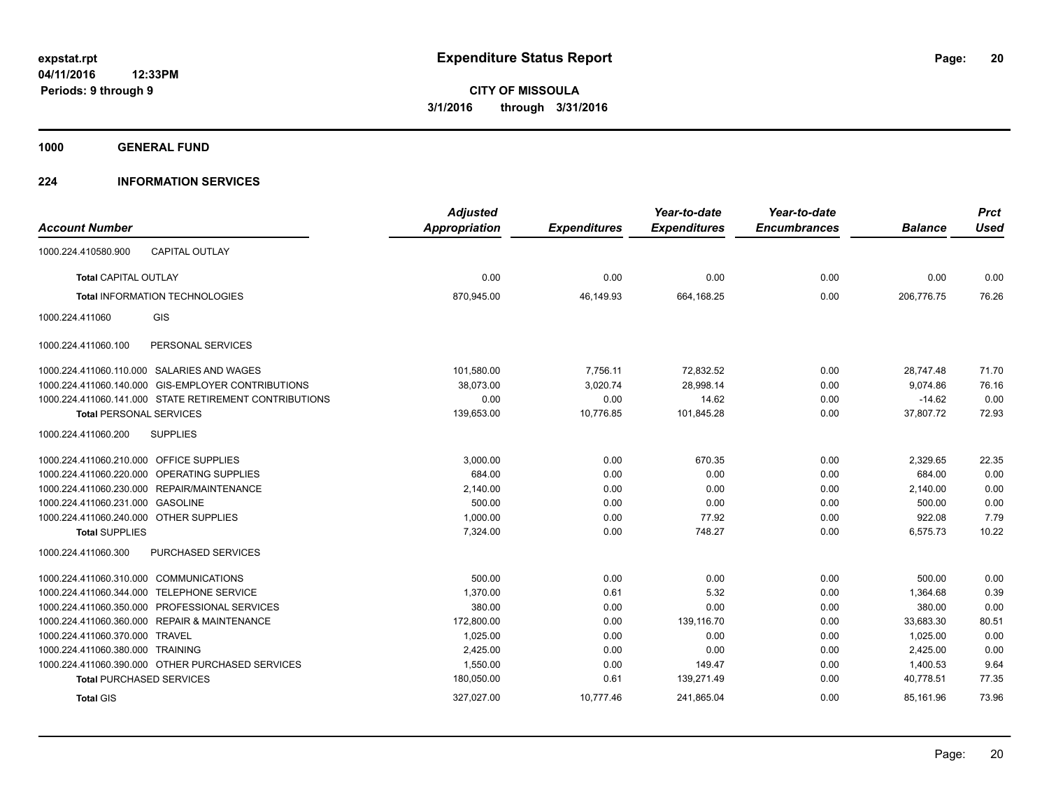**1000 GENERAL FUND**

#### **224 INFORMATION SERVICES**

|                                            |                                                        | <b>Adjusted</b> |                     | Year-to-date        | Year-to-date        |                | <b>Prct</b> |
|--------------------------------------------|--------------------------------------------------------|-----------------|---------------------|---------------------|---------------------|----------------|-------------|
| <b>Account Number</b>                      |                                                        | Appropriation   | <b>Expenditures</b> | <b>Expenditures</b> | <b>Encumbrances</b> | <b>Balance</b> | <b>Used</b> |
| 1000.224.410580.900                        | <b>CAPITAL OUTLAY</b>                                  |                 |                     |                     |                     |                |             |
| <b>Total CAPITAL OUTLAY</b>                |                                                        | 0.00            | 0.00                | 0.00                | 0.00                | 0.00           | 0.00        |
|                                            | <b>Total INFORMATION TECHNOLOGIES</b>                  | 870,945.00      | 46,149.93           | 664,168.25          | 0.00                | 206,776.75     | 76.26       |
| 1000.224.411060                            | <b>GIS</b>                                             |                 |                     |                     |                     |                |             |
| 1000.224.411060.100                        | PERSONAL SERVICES                                      |                 |                     |                     |                     |                |             |
| 1000.224.411060.110.000 SALARIES AND WAGES |                                                        | 101,580.00      | 7,756.11            | 72,832.52           | 0.00                | 28,747.48      | 71.70       |
|                                            | 1000.224.411060.140.000 GIS-EMPLOYER CONTRIBUTIONS     | 38,073.00       | 3,020.74            | 28,998.14           | 0.00                | 9,074.86       | 76.16       |
|                                            | 1000.224.411060.141.000 STATE RETIREMENT CONTRIBUTIONS | 0.00            | 0.00                | 14.62               | 0.00                | $-14.62$       | 0.00        |
| <b>Total PERSONAL SERVICES</b>             |                                                        | 139,653.00      | 10,776.85           | 101,845.28          | 0.00                | 37,807.72      | 72.93       |
| 1000.224.411060.200                        | <b>SUPPLIES</b>                                        |                 |                     |                     |                     |                |             |
| 1000.224.411060.210.000 OFFICE SUPPLIES    |                                                        | 3,000.00        | 0.00                | 670.35              | 0.00                | 2,329.65       | 22.35       |
| 1000.224.411060.220.000 OPERATING SUPPLIES |                                                        | 684.00          | 0.00                | 0.00                | 0.00                | 684.00         | 0.00        |
| 1000.224.411060.230.000 REPAIR/MAINTENANCE |                                                        | 2,140.00        | 0.00                | 0.00                | 0.00                | 2,140.00       | 0.00        |
| 1000.224.411060.231.000 GASOLINE           |                                                        | 500.00          | 0.00                | 0.00                | 0.00                | 500.00         | 0.00        |
| 1000.224.411060.240.000 OTHER SUPPLIES     |                                                        | 1,000.00        | 0.00                | 77.92               | 0.00                | 922.08         | 7.79        |
| <b>Total SUPPLIES</b>                      |                                                        | 7,324.00        | 0.00                | 748.27              | 0.00                | 6,575.73       | 10.22       |
| 1000.224.411060.300                        | <b>PURCHASED SERVICES</b>                              |                 |                     |                     |                     |                |             |
| 1000.224.411060.310.000 COMMUNICATIONS     |                                                        | 500.00          | 0.00                | 0.00                | 0.00                | 500.00         | 0.00        |
| 1000.224.411060.344.000                    | <b>TELEPHONE SERVICE</b>                               | 1.370.00        | 0.61                | 5.32                | 0.00                | 1,364.68       | 0.39        |
|                                            | 1000.224.411060.350.000 PROFESSIONAL SERVICES          | 380.00          | 0.00                | 0.00                | 0.00                | 380.00         | 0.00        |
|                                            | 1000.224.411060.360.000 REPAIR & MAINTENANCE           | 172,800.00      | 0.00                | 139,116.70          | 0.00                | 33,683.30      | 80.51       |
| 1000.224.411060.370.000 TRAVEL             |                                                        | 1,025.00        | 0.00                | 0.00                | 0.00                | 1,025.00       | 0.00        |
| 1000.224.411060.380.000 TRAINING           |                                                        | 2,425.00        | 0.00                | 0.00                | 0.00                | 2,425.00       | 0.00        |
|                                            | 1000.224.411060.390.000 OTHER PURCHASED SERVICES       | 1,550.00        | 0.00                | 149.47              | 0.00                | 1,400.53       | 9.64        |
| <b>Total PURCHASED SERVICES</b>            |                                                        | 180,050.00      | 0.61                | 139,271.49          | 0.00                | 40,778.51      | 77.35       |
| <b>Total GIS</b>                           |                                                        | 327,027.00      | 10,777.46           | 241,865.04          | 0.00                | 85,161.96      | 73.96       |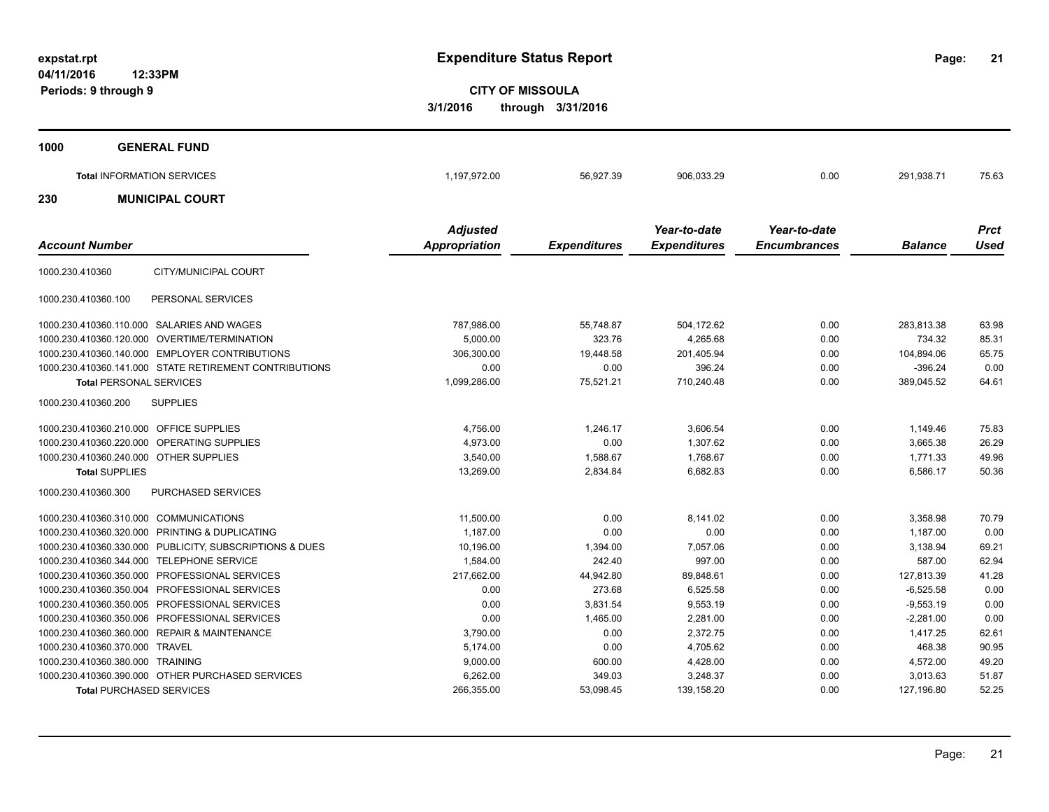**21**

**CITY OF MISSOULA 3/1/2016 through 3/31/2016**

| 1000 | <b>GENERAL FUND</b>               |                                         |                     |                                     |                                     |                |                            |
|------|-----------------------------------|-----------------------------------------|---------------------|-------------------------------------|-------------------------------------|----------------|----------------------------|
|      | <b>Total INFORMATION SERVICES</b> | 1,197,972.00                            | 56.927.39           | 906,033.29                          | 0.00                                | 291,938.71     | 75.63                      |
| 230  | <b>MUNICIPAL COURT</b>            |                                         |                     |                                     |                                     |                |                            |
|      | <b>Account Number</b>             | <b>Adjusted</b><br><b>Appropriation</b> | <b>Expenditures</b> | Year-to-date<br><b>Expenditures</b> | Year-to-date<br><b>Encumbrances</b> | <b>Balance</b> | <b>Prct</b><br><b>Used</b> |

|                                         |                                                        | $\mathbf{r}$ . The state |           |            |      |             |       |
|-----------------------------------------|--------------------------------------------------------|--------------------------|-----------|------------|------|-------------|-------|
| 1000.230.410360                         | CITY/MUNICIPAL COURT                                   |                          |           |            |      |             |       |
| 1000.230.410360.100                     | PERSONAL SERVICES                                      |                          |           |            |      |             |       |
|                                         | 1000.230.410360.110.000 SALARIES AND WAGES             | 787,986.00               | 55,748.87 | 504.172.62 | 0.00 | 283,813.38  | 63.98 |
| 1000.230.410360.120.000                 | OVERTIME/TERMINATION                                   | 5.000.00                 | 323.76    | 4,265.68   | 0.00 | 734.32      | 85.31 |
|                                         | 1000.230.410360.140.000 EMPLOYER CONTRIBUTIONS         | 306,300.00               | 19,448.58 | 201,405.94 | 0.00 | 104,894.06  | 65.75 |
|                                         | 1000.230.410360.141.000 STATE RETIREMENT CONTRIBUTIONS | 0.00                     | 0.00      | 396.24     | 0.00 | $-396.24$   | 0.00  |
| <b>Total PERSONAL SERVICES</b>          |                                                        | 1,099,286.00             | 75,521.21 | 710,240.48 | 0.00 | 389,045.52  | 64.61 |
| 1000.230.410360.200                     | <b>SUPPLIES</b>                                        |                          |           |            |      |             |       |
| 1000.230.410360.210.000 OFFICE SUPPLIES |                                                        | 4,756.00                 | 1,246.17  | 3,606.54   | 0.00 | 1.149.46    | 75.83 |
|                                         | 1000.230.410360.220.000 OPERATING SUPPLIES             | 4,973.00                 | 0.00      | 1,307.62   | 0.00 | 3,665.38    | 26.29 |
| 1000.230.410360.240.000 OTHER SUPPLIES  |                                                        | 3,540.00                 | 1,588.67  | 1,768.67   | 0.00 | 1.771.33    | 49.96 |
| <b>Total SUPPLIES</b>                   |                                                        | 13,269.00                | 2,834.84  | 6,682.83   | 0.00 | 6,586.17    | 50.36 |
| 1000.230.410360.300                     | PURCHASED SERVICES                                     |                          |           |            |      |             |       |
| 1000.230.410360.310.000 COMMUNICATIONS  |                                                        | 11,500.00                | 0.00      | 8,141.02   | 0.00 | 3.358.98    | 70.79 |
|                                         | 1000.230.410360.320.000 PRINTING & DUPLICATING         | 1.187.00                 | 0.00      | 0.00       | 0.00 | 1.187.00    | 0.00  |
| 1000.230.410360.330.000                 | PUBLICITY, SUBSCRIPTIONS & DUES                        | 10,196.00                | 1,394.00  | 7,057.06   | 0.00 | 3,138.94    | 69.21 |
|                                         | 1000.230.410360.344.000 TELEPHONE SERVICE              | 1,584.00                 | 242.40    | 997.00     | 0.00 | 587.00      | 62.94 |
| 1000.230.410360.350.000                 | PROFESSIONAL SERVICES                                  | 217,662.00               | 44,942.80 | 89,848.61  | 0.00 | 127,813.39  | 41.28 |
| 1000.230.410360.350.004                 | <b>PROFESSIONAL SERVICES</b>                           | 0.00                     | 273.68    | 6,525.58   | 0.00 | $-6,525.58$ | 0.00  |
| 1000.230.410360.350.005                 | <b>PROFESSIONAL SERVICES</b>                           | 0.00                     | 3,831.54  | 9,553.19   | 0.00 | $-9,553.19$ | 0.00  |
|                                         | 1000.230.410360.350.006 PROFESSIONAL SERVICES          | 0.00                     | 1,465.00  | 2,281.00   | 0.00 | $-2,281.00$ | 0.00  |
|                                         | 1000.230.410360.360.000 REPAIR & MAINTENANCE           | 3,790.00                 | 0.00      | 2,372.75   | 0.00 | 1,417.25    | 62.61 |
| 1000.230.410360.370.000 TRAVEL          |                                                        | 5.174.00                 | 0.00      | 4,705.62   | 0.00 | 468.38      | 90.95 |
| 1000.230.410360.380.000 TRAINING        |                                                        | 9,000.00                 | 600.00    | 4,428.00   | 0.00 | 4,572.00    | 49.20 |
|                                         | 1000.230.410360.390.000 OTHER PURCHASED SERVICES       | 6,262.00                 | 349.03    | 3,248.37   | 0.00 | 3.013.63    | 51.87 |
| <b>Total PURCHASED SERVICES</b>         |                                                        | 266,355.00               | 53,098.45 | 139,158.20 | 0.00 | 127,196.80  | 52.25 |
|                                         |                                                        |                          |           |            |      |             |       |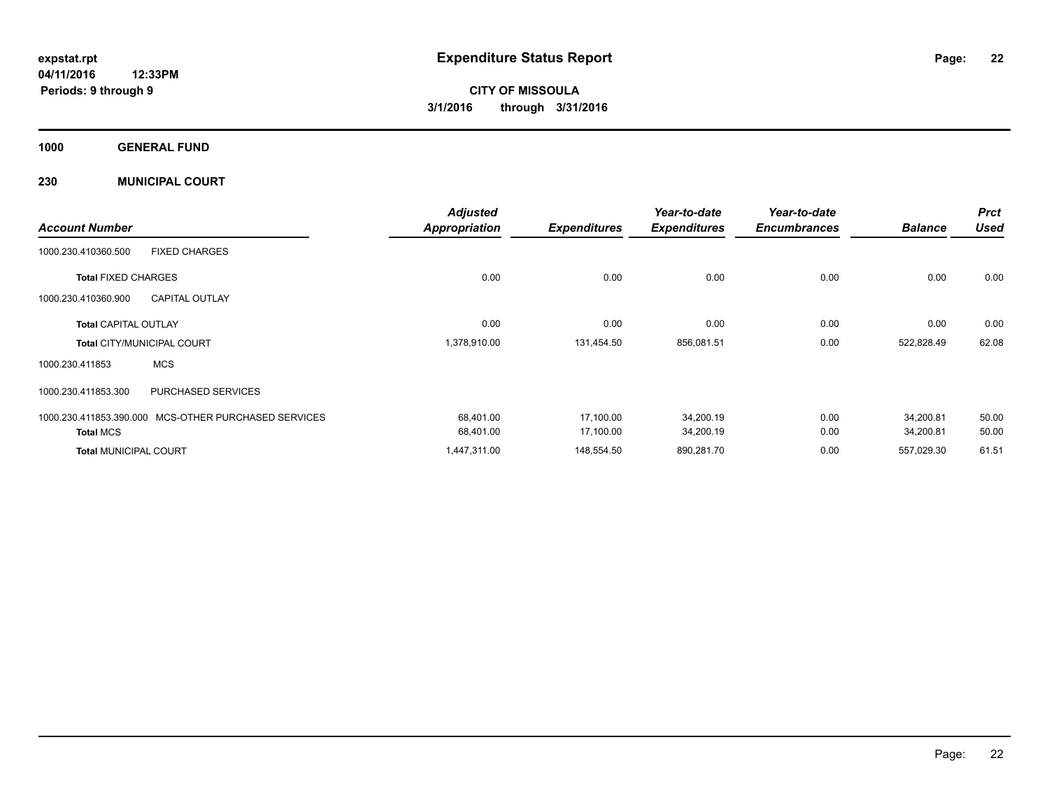**1000 GENERAL FUND**

**230 MUNICIPAL COURT**

|                              |                                   | <b>Adjusted</b>      |                     | Year-to-date        | Year-to-date        |                | <b>Prct</b> |
|------------------------------|-----------------------------------|----------------------|---------------------|---------------------|---------------------|----------------|-------------|
| <b>Account Number</b>        |                                   | <b>Appropriation</b> | <b>Expenditures</b> | <b>Expenditures</b> | <b>Encumbrances</b> | <b>Balance</b> | <b>Used</b> |
| 1000.230.410360.500          | <b>FIXED CHARGES</b>              |                      |                     |                     |                     |                |             |
| <b>Total FIXED CHARGES</b>   |                                   | 0.00                 | 0.00                | 0.00                | 0.00                | 0.00           | 0.00        |
| 1000.230.410360.900          | <b>CAPITAL OUTLAY</b>             |                      |                     |                     |                     |                |             |
| <b>Total CAPITAL OUTLAY</b>  |                                   | 0.00                 | 0.00                | 0.00                | 0.00                | 0.00           | 0.00        |
|                              | <b>Total CITY/MUNICIPAL COURT</b> | 1,378,910.00         | 131,454.50          | 856,081.51          | 0.00                | 522,828.49     | 62.08       |
| 1000.230.411853              | <b>MCS</b>                        |                      |                     |                     |                     |                |             |
| 1000.230.411853.300          | <b>PURCHASED SERVICES</b>         |                      |                     |                     |                     |                |             |
| 1000.230.411853.390.000      | MCS-OTHER PURCHASED SERVICES      | 68,401.00            | 17,100.00           | 34,200.19           | 0.00                | 34,200.81      | 50.00       |
| <b>Total MCS</b>             |                                   | 68,401.00            | 17,100.00           | 34,200.19           | 0.00                | 34,200.81      | 50.00       |
| <b>Total MUNICIPAL COURT</b> |                                   | 1,447,311.00         | 148,554.50          | 890,281.70          | 0.00                | 557,029.30     | 61.51       |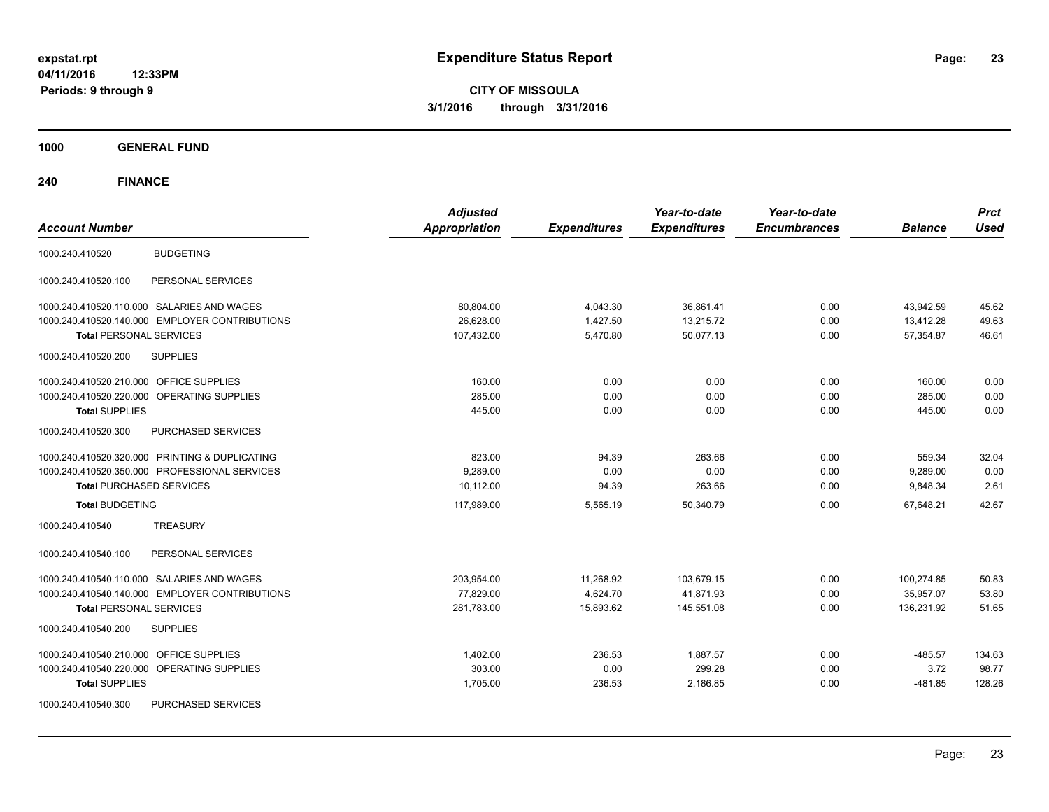**CITY OF MISSOULA 3/1/2016 through 3/31/2016**

**1000 GENERAL FUND**

| <b>Account Number</b>                          | <b>Adjusted</b><br><b>Appropriation</b> | <b>Expenditures</b> | Year-to-date<br><b>Expenditures</b> | Year-to-date<br><b>Encumbrances</b> | <b>Balance</b> | <b>Prct</b><br><b>Used</b> |
|------------------------------------------------|-----------------------------------------|---------------------|-------------------------------------|-------------------------------------|----------------|----------------------------|
| <b>BUDGETING</b><br>1000.240.410520            |                                         |                     |                                     |                                     |                |                            |
| 1000.240.410520.100<br>PERSONAL SERVICES       |                                         |                     |                                     |                                     |                |                            |
| 1000.240.410520.110.000 SALARIES AND WAGES     | 80,804.00                               | 4,043.30            | 36,861.41                           | 0.00                                | 43,942.59      | 45.62                      |
| 1000.240.410520.140.000 EMPLOYER CONTRIBUTIONS | 26,628.00                               | 1,427.50            | 13,215.72                           | 0.00                                | 13,412.28      | 49.63                      |
| <b>Total PERSONAL SERVICES</b>                 | 107,432.00                              | 5,470.80            | 50.077.13                           | 0.00                                | 57,354.87      | 46.61                      |
| 1000.240.410520.200<br><b>SUPPLIES</b>         |                                         |                     |                                     |                                     |                |                            |
| 1000.240.410520.210.000 OFFICE SUPPLIES        | 160.00                                  | 0.00                | 0.00                                | 0.00                                | 160.00         | 0.00                       |
| 1000.240.410520.220.000 OPERATING SUPPLIES     | 285.00                                  | 0.00                | 0.00                                | 0.00                                | 285.00         | 0.00                       |
| <b>Total SUPPLIES</b>                          | 445.00                                  | 0.00                | 0.00                                | 0.00                                | 445.00         | 0.00                       |
| 1000.240.410520.300<br>PURCHASED SERVICES      |                                         |                     |                                     |                                     |                |                            |
| 1000.240.410520.320.000 PRINTING & DUPLICATING | 823.00                                  | 94.39               | 263.66                              | 0.00                                | 559.34         | 32.04                      |
| 1000.240.410520.350.000 PROFESSIONAL SERVICES  | 9.289.00                                | 0.00                | 0.00                                | 0.00                                | 9,289.00       | 0.00                       |
| <b>Total PURCHASED SERVICES</b>                | 10,112.00                               | 94.39               | 263.66                              | 0.00                                | 9,848.34       | 2.61                       |
| <b>Total BUDGETING</b>                         | 117,989.00                              | 5,565.19            | 50,340.79                           | 0.00                                | 67.648.21      | 42.67                      |
| <b>TREASURY</b><br>1000.240.410540             |                                         |                     |                                     |                                     |                |                            |
| PERSONAL SERVICES<br>1000.240.410540.100       |                                         |                     |                                     |                                     |                |                            |
| 1000.240.410540.110.000 SALARIES AND WAGES     | 203,954.00                              | 11,268.92           | 103,679.15                          | 0.00                                | 100,274.85     | 50.83                      |
| 1000.240.410540.140.000 EMPLOYER CONTRIBUTIONS | 77,829.00                               | 4,624.70            | 41,871.93                           | 0.00                                | 35,957.07      | 53.80                      |
| <b>Total PERSONAL SERVICES</b>                 | 281.783.00                              | 15,893.62           | 145.551.08                          | 0.00                                | 136.231.92     | 51.65                      |
| 1000.240.410540.200<br><b>SUPPLIES</b>         |                                         |                     |                                     |                                     |                |                            |
| 1000.240.410540.210.000 OFFICE SUPPLIES        | 1,402.00                                | 236.53              | 1,887.57                            | 0.00                                | $-485.57$      | 134.63                     |
| OPERATING SUPPLIES<br>1000.240.410540.220.000  | 303.00                                  | 0.00                | 299.28                              | 0.00                                | 3.72           | 98.77                      |
| <b>Total SUPPLIES</b>                          | 1,705.00                                | 236.53              | 2,186.85                            | 0.00                                | $-481.85$      | 128.26                     |
| 1000.240.410540.300<br>PURCHASED SERVICES      |                                         |                     |                                     |                                     |                |                            |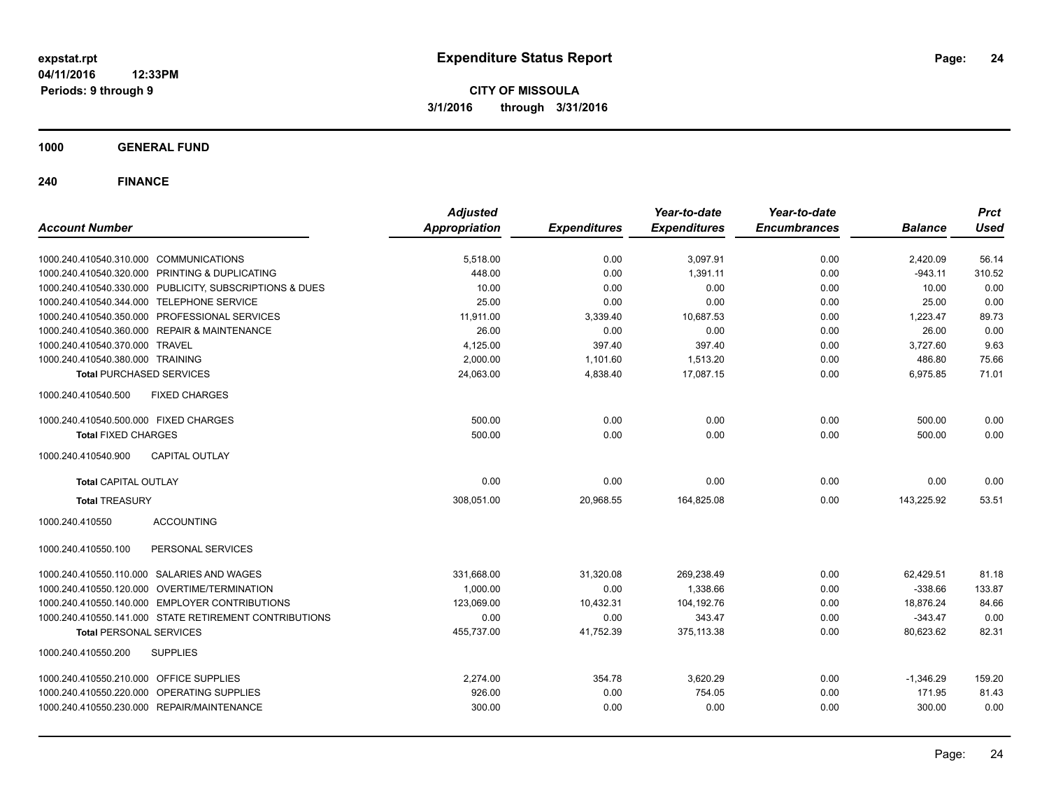**CITY OF MISSOULA 3/1/2016 through 3/31/2016**

**1000 GENERAL FUND**

| <b>Account Number</b>                                   | <b>Adjusted</b><br><b>Appropriation</b> | <b>Expenditures</b> | Year-to-date<br><b>Expenditures</b> | Year-to-date<br><b>Encumbrances</b> | <b>Balance</b> | <b>Prct</b><br><b>Used</b> |
|---------------------------------------------------------|-----------------------------------------|---------------------|-------------------------------------|-------------------------------------|----------------|----------------------------|
|                                                         |                                         |                     |                                     |                                     |                |                            |
| 1000.240.410540.310.000 COMMUNICATIONS                  | 5,518.00                                | 0.00                | 3,097.91                            | 0.00                                | 2,420.09       | 56.14                      |
| 1000.240.410540.320.000 PRINTING & DUPLICATING          | 448.00                                  | 0.00                | 1,391.11                            | 0.00                                | $-943.11$      | 310.52                     |
| 1000.240.410540.330.000 PUBLICITY, SUBSCRIPTIONS & DUES | 10.00                                   | 0.00                | 0.00                                | 0.00                                | 10.00          | 0.00                       |
| 1000.240.410540.344.000 TELEPHONE SERVICE               | 25.00                                   | 0.00                | 0.00                                | 0.00                                | 25.00          | 0.00                       |
| 1000.240.410540.350.000 PROFESSIONAL SERVICES           | 11,911.00                               | 3,339.40            | 10,687.53                           | 0.00                                | 1,223.47       | 89.73                      |
| 1000.240.410540.360.000 REPAIR & MAINTENANCE            | 26.00                                   | 0.00                | 0.00                                | 0.00                                | 26.00          | 0.00                       |
| 1000.240.410540.370.000 TRAVEL                          | 4,125.00                                | 397.40              | 397.40                              | 0.00                                | 3,727.60       | 9.63                       |
| 1000.240.410540.380.000 TRAINING                        | 2,000.00                                | 1,101.60            | 1,513.20                            | 0.00                                | 486.80         | 75.66                      |
| <b>Total PURCHASED SERVICES</b>                         | 24,063.00                               | 4,838.40            | 17,087.15                           | 0.00                                | 6,975.85       | 71.01                      |
| 1000.240.410540.500<br><b>FIXED CHARGES</b>             |                                         |                     |                                     |                                     |                |                            |
| 1000.240.410540.500.000 FIXED CHARGES                   | 500.00                                  | 0.00                | 0.00                                | 0.00                                | 500.00         | 0.00                       |
| <b>Total FIXED CHARGES</b>                              | 500.00                                  | 0.00                | 0.00                                | 0.00                                | 500.00         | 0.00                       |
| <b>CAPITAL OUTLAY</b><br>1000.240.410540.900            |                                         |                     |                                     |                                     |                |                            |
| <b>Total CAPITAL OUTLAY</b>                             | 0.00                                    | 0.00                | 0.00                                | 0.00                                | 0.00           | 0.00                       |
| <b>Total TREASURY</b>                                   | 308,051.00                              | 20,968.55           | 164,825.08                          | 0.00                                | 143,225.92     | 53.51                      |
| 1000.240.410550<br><b>ACCOUNTING</b>                    |                                         |                     |                                     |                                     |                |                            |
| PERSONAL SERVICES<br>1000.240.410550.100                |                                         |                     |                                     |                                     |                |                            |
| 1000.240.410550.110.000 SALARIES AND WAGES              | 331,668.00                              | 31,320.08           | 269,238.49                          | 0.00                                | 62,429.51      | 81.18                      |
| 1000.240.410550.120.000 OVERTIME/TERMINATION            | 1,000.00                                | 0.00                | 1,338.66                            | 0.00                                | $-338.66$      | 133.87                     |
| 1000.240.410550.140.000 EMPLOYER CONTRIBUTIONS          | 123,069.00                              | 10,432.31           | 104,192.76                          | 0.00                                | 18,876.24      | 84.66                      |
| 1000.240.410550.141.000 STATE RETIREMENT CONTRIBUTIONS  | 0.00                                    | 0.00                | 343.47                              | 0.00                                | $-343.47$      | 0.00                       |
| <b>Total PERSONAL SERVICES</b>                          | 455,737.00                              | 41,752.39           | 375,113.38                          | 0.00                                | 80,623.62      | 82.31                      |
| 1000.240.410550.200<br><b>SUPPLIES</b>                  |                                         |                     |                                     |                                     |                |                            |
| 1000.240.410550.210.000 OFFICE SUPPLIES                 | 2,274.00                                | 354.78              | 3,620.29                            | 0.00                                | $-1,346.29$    | 159.20                     |
| 1000.240.410550.220.000 OPERATING SUPPLIES              | 926.00                                  | 0.00                | 754.05                              | 0.00                                | 171.95         | 81.43                      |
| 1000.240.410550.230.000 REPAIR/MAINTENANCE              | 300.00                                  | 0.00                | 0.00                                | 0.00                                | 300.00         | 0.00                       |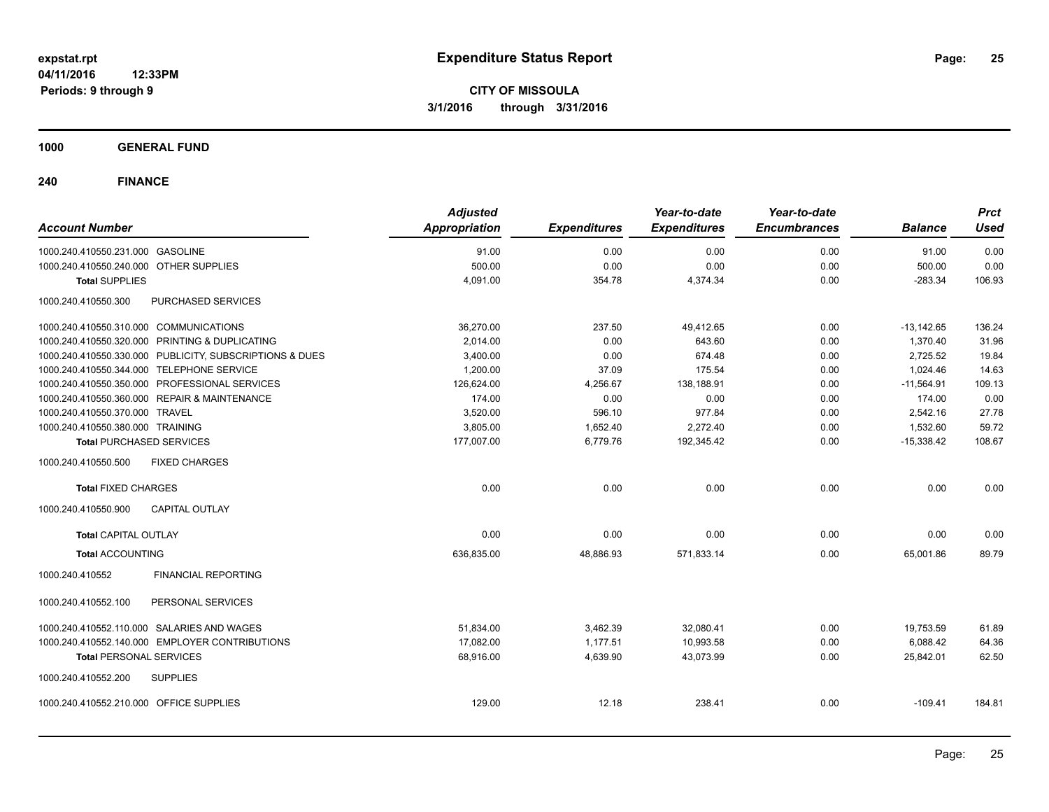**1000 GENERAL FUND**

| <b>Account Number</b>                                   | <b>Adjusted</b><br>Appropriation | <b>Expenditures</b> | Year-to-date<br><b>Expenditures</b> | Year-to-date<br><b>Encumbrances</b> | <b>Balance</b> | <b>Prct</b><br><b>Used</b> |
|---------------------------------------------------------|----------------------------------|---------------------|-------------------------------------|-------------------------------------|----------------|----------------------------|
| 1000.240.410550.231.000 GASOLINE                        | 91.00                            | 0.00                | 0.00                                | 0.00                                | 91.00          | 0.00                       |
| 1000.240.410550.240.000 OTHER SUPPLIES                  | 500.00                           | 0.00                | 0.00                                | 0.00                                | 500.00         | 0.00                       |
| <b>Total SUPPLIES</b>                                   | 4,091.00                         | 354.78              | 4,374.34                            | 0.00                                | $-283.34$      | 106.93                     |
| 1000.240.410550.300<br>PURCHASED SERVICES               |                                  |                     |                                     |                                     |                |                            |
| 1000.240.410550.310.000 COMMUNICATIONS                  | 36,270.00                        | 237.50              | 49,412.65                           | 0.00                                | $-13,142.65$   | 136.24                     |
| 1000.240.410550.320.000 PRINTING & DUPLICATING          | 2,014.00                         | 0.00                | 643.60                              | 0.00                                | 1,370.40       | 31.96                      |
| 1000.240.410550.330.000 PUBLICITY, SUBSCRIPTIONS & DUES | 3,400.00                         | 0.00                | 674.48                              | 0.00                                | 2,725.52       | 19.84                      |
| 1000.240.410550.344.000 TELEPHONE SERVICE               | 1,200.00                         | 37.09               | 175.54                              | 0.00                                | 1.024.46       | 14.63                      |
| 1000.240.410550.350.000 PROFESSIONAL SERVICES           | 126,624.00                       | 4,256.67            | 138,188.91                          | 0.00                                | $-11,564.91$   | 109.13                     |
| 1000.240.410550.360.000 REPAIR & MAINTENANCE            | 174.00                           | 0.00                | 0.00                                | 0.00                                | 174.00         | 0.00                       |
| 1000.240.410550.370.000 TRAVEL                          | 3,520.00                         | 596.10              | 977.84                              | 0.00                                | 2,542.16       | 27.78                      |
| 1000.240.410550.380.000 TRAINING                        | 3,805.00                         | 1,652.40            | 2,272.40                            | 0.00                                | 1,532.60       | 59.72                      |
| <b>Total PURCHASED SERVICES</b>                         | 177,007.00                       | 6,779.76            | 192,345.42                          | 0.00                                | $-15,338.42$   | 108.67                     |
| 1000.240.410550.500<br><b>FIXED CHARGES</b>             |                                  |                     |                                     |                                     |                |                            |
| <b>Total FIXED CHARGES</b>                              | 0.00                             | 0.00                | 0.00                                | 0.00                                | 0.00           | 0.00                       |
| <b>CAPITAL OUTLAY</b><br>1000.240.410550.900            |                                  |                     |                                     |                                     |                |                            |
| <b>Total CAPITAL OUTLAY</b>                             | 0.00                             | 0.00                | 0.00                                | 0.00                                | 0.00           | 0.00                       |
| <b>Total ACCOUNTING</b>                                 | 636,835.00                       | 48,886.93           | 571,833.14                          | 0.00                                | 65,001.86      | 89.79                      |
| 1000.240.410552<br><b>FINANCIAL REPORTING</b>           |                                  |                     |                                     |                                     |                |                            |
| PERSONAL SERVICES<br>1000.240.410552.100                |                                  |                     |                                     |                                     |                |                            |
| 1000.240.410552.110.000 SALARIES AND WAGES              | 51,834.00                        | 3,462.39            | 32,080.41                           | 0.00                                | 19,753.59      | 61.89                      |
| 1000.240.410552.140.000 EMPLOYER CONTRIBUTIONS          | 17,082.00                        | 1,177.51            | 10,993.58                           | 0.00                                | 6,088.42       | 64.36                      |
| <b>Total PERSONAL SERVICES</b>                          | 68,916.00                        | 4,639.90            | 43,073.99                           | 0.00                                | 25,842.01      | 62.50                      |
| 1000.240.410552.200<br><b>SUPPLIES</b>                  |                                  |                     |                                     |                                     |                |                            |
| 1000.240.410552.210.000 OFFICE SUPPLIES                 | 129.00                           | 12.18               | 238.41                              | 0.00                                | $-109.41$      | 184.81                     |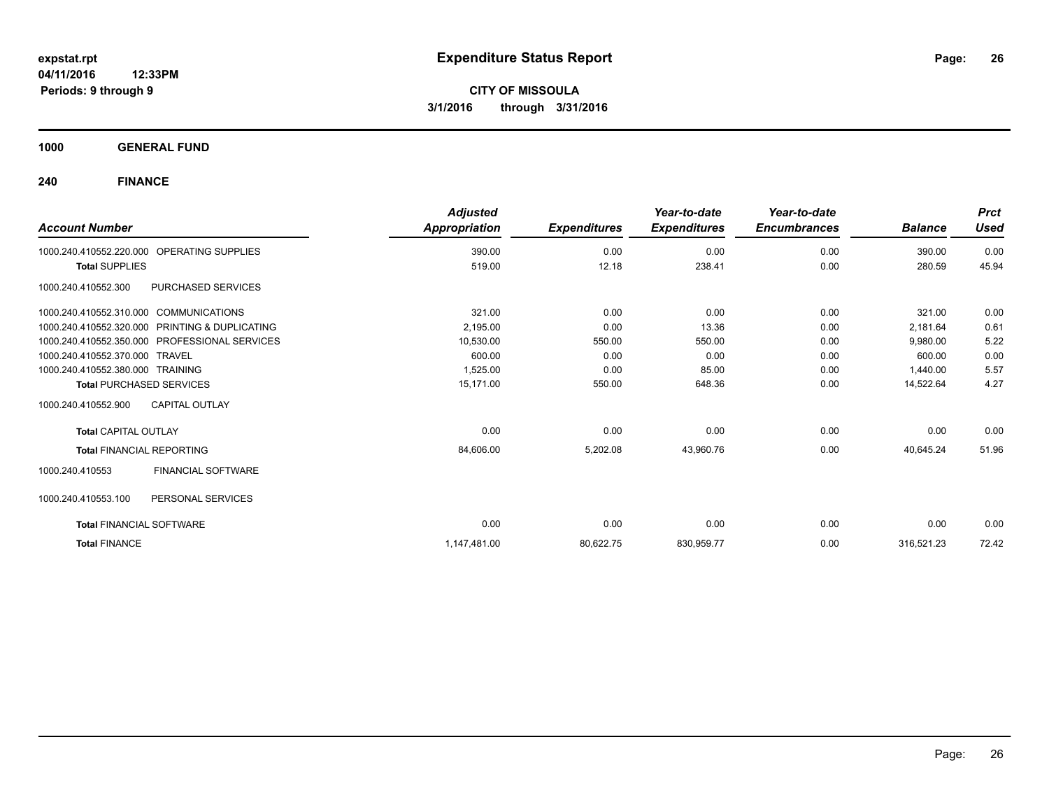**1000 GENERAL FUND**

| <b>Account Number</b>                                | <b>Adjusted</b><br>Appropriation | <b>Expenditures</b> | Year-to-date<br><b>Expenditures</b> | Year-to-date<br><b>Encumbrances</b> | <b>Balance</b> | <b>Prct</b><br><b>Used</b> |
|------------------------------------------------------|----------------------------------|---------------------|-------------------------------------|-------------------------------------|----------------|----------------------------|
| <b>OPERATING SUPPLIES</b><br>1000.240.410552.220.000 | 390.00                           | 0.00                | 0.00                                | 0.00                                | 390.00         | 0.00                       |
| <b>Total SUPPLIES</b>                                | 519.00                           | 12.18               | 238.41                              | 0.00                                | 280.59         | 45.94                      |
| PURCHASED SERVICES<br>1000.240.410552.300            |                                  |                     |                                     |                                     |                |                            |
| 1000.240.410552.310.000 COMMUNICATIONS               | 321.00                           | 0.00                | 0.00                                | 0.00                                | 321.00         | 0.00                       |
| 1000.240.410552.320.000 PRINTING & DUPLICATING       | 2,195.00                         | 0.00                | 13.36                               | 0.00                                | 2,181.64       | 0.61                       |
| 1000.240.410552.350.000 PROFESSIONAL SERVICES        | 10,530.00                        | 550.00              | 550.00                              | 0.00                                | 9,980.00       | 5.22                       |
| 1000.240.410552.370.000 TRAVEL                       | 600.00                           | 0.00                | 0.00                                | 0.00                                | 600.00         | 0.00                       |
| 1000.240.410552.380.000 TRAINING                     | 1,525.00                         | 0.00                | 85.00                               | 0.00                                | 1,440.00       | 5.57                       |
| <b>Total PURCHASED SERVICES</b>                      | 15.171.00                        | 550.00              | 648.36                              | 0.00                                | 14,522.64      | 4.27                       |
| 1000.240.410552.900<br><b>CAPITAL OUTLAY</b>         |                                  |                     |                                     |                                     |                |                            |
| <b>Total CAPITAL OUTLAY</b>                          | 0.00                             | 0.00                | 0.00                                | 0.00                                | 0.00           | 0.00                       |
| <b>Total FINANCIAL REPORTING</b>                     | 84,606.00                        | 5,202.08            | 43,960.76                           | 0.00                                | 40,645.24      | 51.96                      |
| FINANCIAL SOFTWARE<br>1000.240.410553                |                                  |                     |                                     |                                     |                |                            |
| 1000.240.410553.100<br>PERSONAL SERVICES             |                                  |                     |                                     |                                     |                |                            |
| <b>Total FINANCIAL SOFTWARE</b>                      | 0.00                             | 0.00                | 0.00                                | 0.00                                | 0.00           | 0.00                       |
| <b>Total FINANCE</b>                                 | 1,147,481.00                     | 80,622.75           | 830,959.77                          | 0.00                                | 316,521.23     | 72.42                      |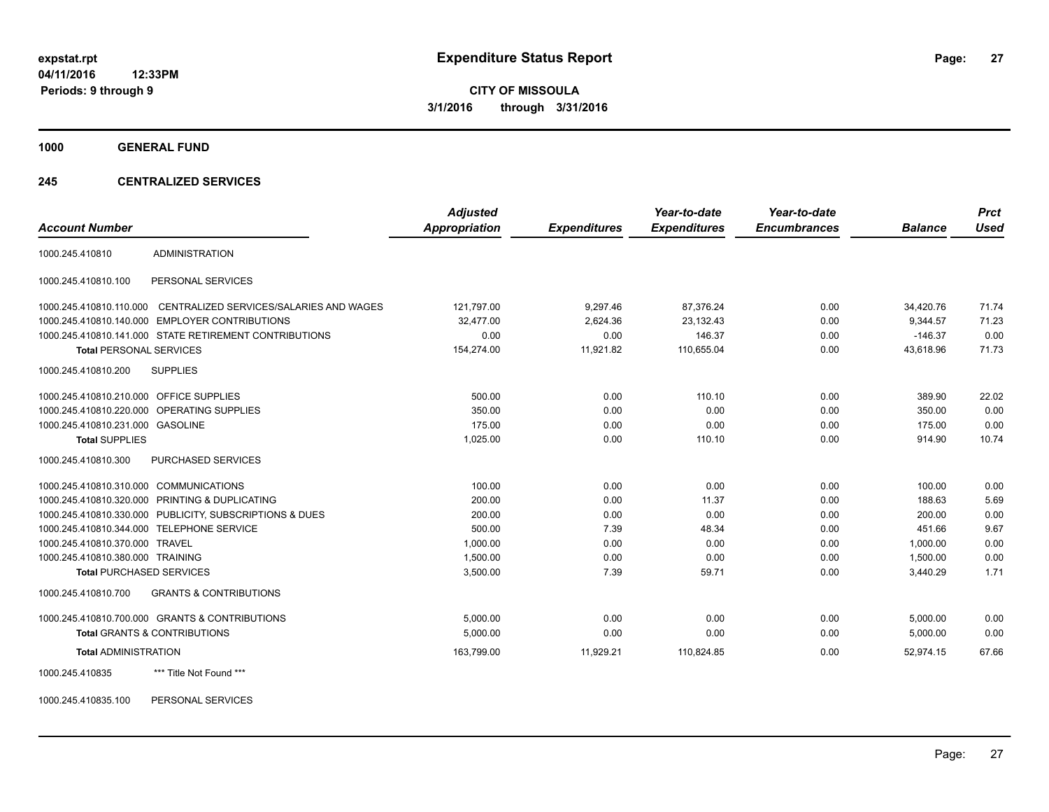**1000 GENERAL FUND**

#### **245 CENTRALIZED SERVICES**

| <b>Account Number</b>                   |                                                         | <b>Adjusted</b> |                     | Year-to-date        | Year-to-date<br><b>Encumbrances</b> |                | <b>Prct</b><br><b>Used</b> |
|-----------------------------------------|---------------------------------------------------------|-----------------|---------------------|---------------------|-------------------------------------|----------------|----------------------------|
|                                         |                                                         | Appropriation   | <b>Expenditures</b> | <b>Expenditures</b> |                                     | <b>Balance</b> |                            |
| 1000.245.410810                         | <b>ADMINISTRATION</b>                                   |                 |                     |                     |                                     |                |                            |
| 1000.245.410810.100                     | PERSONAL SERVICES                                       |                 |                     |                     |                                     |                |                            |
| 1000.245.410810.110.000                 | CENTRALIZED SERVICES/SALARIES AND WAGES                 | 121,797.00      | 9,297.46            | 87,376.24           | 0.00                                | 34,420.76      | 71.74                      |
|                                         | 1000.245.410810.140.000 EMPLOYER CONTRIBUTIONS          | 32.477.00       | 2.624.36            | 23,132.43           | 0.00                                | 9.344.57       | 71.23                      |
|                                         | 1000.245.410810.141.000 STATE RETIREMENT CONTRIBUTIONS  | 0.00            | 0.00                | 146.37              | 0.00                                | $-146.37$      | 0.00                       |
| <b>Total PERSONAL SERVICES</b>          |                                                         | 154,274.00      | 11,921.82           | 110,655.04          | 0.00                                | 43,618.96      | 71.73                      |
| 1000.245.410810.200                     | <b>SUPPLIES</b>                                         |                 |                     |                     |                                     |                |                            |
| 1000.245.410810.210.000 OFFICE SUPPLIES |                                                         | 500.00          | 0.00                | 110.10              | 0.00                                | 389.90         | 22.02                      |
|                                         | 1000.245.410810.220.000 OPERATING SUPPLIES              | 350.00          | 0.00                | 0.00                | 0.00                                | 350.00         | 0.00                       |
| 1000.245.410810.231.000 GASOLINE        |                                                         | 175.00          | 0.00                | 0.00                | 0.00                                | 175.00         | 0.00                       |
| <b>Total SUPPLIES</b>                   |                                                         | 1,025.00        | 0.00                | 110.10              | 0.00                                | 914.90         | 10.74                      |
| 1000.245.410810.300                     | PURCHASED SERVICES                                      |                 |                     |                     |                                     |                |                            |
| 1000.245.410810.310.000 COMMUNICATIONS  |                                                         | 100.00          | 0.00                | 0.00                | 0.00                                | 100.00         | 0.00                       |
|                                         | 1000.245.410810.320.000 PRINTING & DUPLICATING          | 200.00          | 0.00                | 11.37               | 0.00                                | 188.63         | 5.69                       |
|                                         | 1000.245.410810.330.000 PUBLICITY, SUBSCRIPTIONS & DUES | 200.00          | 0.00                | 0.00                | 0.00                                | 200.00         | 0.00                       |
|                                         | 1000.245.410810.344.000 TELEPHONE SERVICE               | 500.00          | 7.39                | 48.34               | 0.00                                | 451.66         | 9.67                       |
| 1000.245.410810.370.000 TRAVEL          |                                                         | 1,000.00        | 0.00                | 0.00                | 0.00                                | 1.000.00       | 0.00                       |
| 1000.245.410810.380.000 TRAINING        |                                                         | 1,500.00        | 0.00                | 0.00                | 0.00                                | 1.500.00       | 0.00                       |
| <b>Total PURCHASED SERVICES</b>         |                                                         | 3,500.00        | 7.39                | 59.71               | 0.00                                | 3,440.29       | 1.71                       |
| 1000.245.410810.700                     | <b>GRANTS &amp; CONTRIBUTIONS</b>                       |                 |                     |                     |                                     |                |                            |
|                                         | 1000.245.410810.700.000 GRANTS & CONTRIBUTIONS          | 5,000.00        | 0.00                | 0.00                | 0.00                                | 5,000.00       | 0.00                       |
|                                         | Total GRANTS & CONTRIBUTIONS                            | 5,000.00        | 0.00                | 0.00                | 0.00                                | 5,000.00       | 0.00                       |
| <b>Total ADMINISTRATION</b>             |                                                         | 163,799.00      | 11,929.21           | 110.824.85          | 0.00                                | 52.974.15      | 67.66                      |
| 1000.245.410835                         | *** Title Not Found ***                                 |                 |                     |                     |                                     |                |                            |

1000.245.410835.100 PERSONAL SERVICES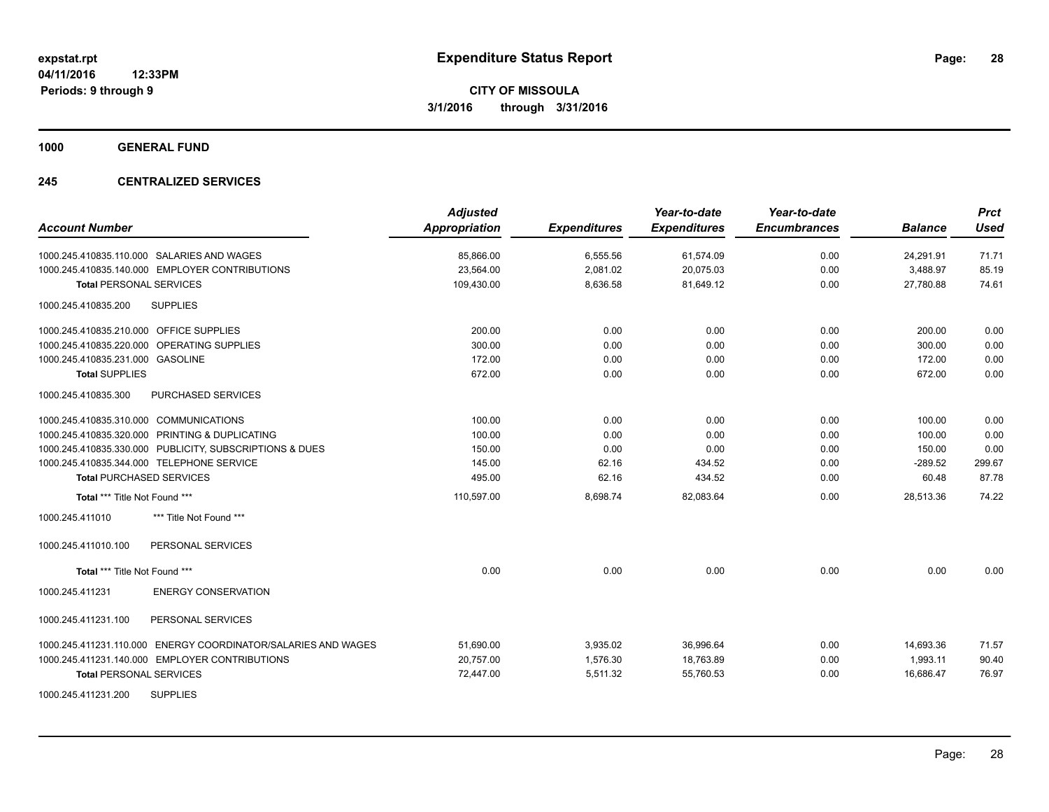**1000 GENERAL FUND**

#### **245 CENTRALIZED SERVICES**

| <b>Account Number</b>                                            | <b>Adjusted</b><br><b>Appropriation</b> | <b>Expenditures</b> | Year-to-date<br><b>Expenditures</b> | Year-to-date<br><b>Encumbrances</b> | <b>Balance</b> | <b>Prct</b><br><b>Used</b> |
|------------------------------------------------------------------|-----------------------------------------|---------------------|-------------------------------------|-------------------------------------|----------------|----------------------------|
| 1000.245.410835.110.000 SALARIES AND WAGES                       | 85,866.00                               | 6,555.56            | 61,574.09                           | 0.00                                | 24,291.91      | 71.71                      |
| 1000.245.410835.140.000 EMPLOYER CONTRIBUTIONS                   | 23,564.00                               | 2,081.02            | 20,075.03                           | 0.00                                | 3,488.97       | 85.19                      |
| <b>Total PERSONAL SERVICES</b>                                   | 109,430.00                              | 8,636.58            | 81,649.12                           | 0.00                                | 27,780.88      | 74.61                      |
| <b>SUPPLIES</b><br>1000.245.410835.200                           |                                         |                     |                                     |                                     |                |                            |
| 1000.245.410835.210.000 OFFICE SUPPLIES                          | 200.00                                  | 0.00                | 0.00                                | 0.00                                | 200.00         | 0.00                       |
| 1000.245.410835.220.000 OPERATING SUPPLIES                       | 300.00                                  | 0.00                | 0.00                                | 0.00                                | 300.00         | 0.00                       |
| 1000.245.410835.231.000 GASOLINE                                 | 172.00                                  | 0.00                | 0.00                                | 0.00                                | 172.00         | 0.00                       |
| <b>Total SUPPLIES</b>                                            | 672.00                                  | 0.00                | 0.00                                | 0.00                                | 672.00         | 0.00                       |
| 1000.245.410835.300<br><b>PURCHASED SERVICES</b>                 |                                         |                     |                                     |                                     |                |                            |
| 1000.245.410835.310.000 COMMUNICATIONS                           | 100.00                                  | 0.00                | 0.00                                | 0.00                                | 100.00         | 0.00                       |
| 1000.245.410835.320.000 PRINTING & DUPLICATING                   | 100.00                                  | 0.00                | 0.00                                | 0.00                                | 100.00         | 0.00                       |
| 1000.245.410835.330.000 PUBLICITY, SUBSCRIPTIONS & DUES          | 150.00                                  | 0.00                | 0.00                                | 0.00                                | 150.00         | 0.00                       |
| 1000.245.410835.344.000 TELEPHONE SERVICE                        | 145.00                                  | 62.16               | 434.52                              | 0.00                                | $-289.52$      | 299.67                     |
| <b>Total PURCHASED SERVICES</b>                                  | 495.00                                  | 62.16               | 434.52                              | 0.00                                | 60.48          | 87.78                      |
| Total *** Title Not Found ***                                    | 110,597.00                              | 8,698.74            | 82,083.64                           | 0.00                                | 28,513.36      | 74.22                      |
| 1000.245.411010<br>*** Title Not Found ***                       |                                         |                     |                                     |                                     |                |                            |
| PERSONAL SERVICES<br>1000.245.411010.100                         |                                         |                     |                                     |                                     |                |                            |
| Total *** Title Not Found ***                                    | 0.00                                    | 0.00                | 0.00                                | 0.00                                | 0.00           | 0.00                       |
| <b>ENERGY CONSERVATION</b><br>1000.245.411231                    |                                         |                     |                                     |                                     |                |                            |
| 1000.245.411231.100<br>PERSONAL SERVICES                         |                                         |                     |                                     |                                     |                |                            |
| ENERGY COORDINATOR/SALARIES AND WAGES<br>1000.245.411231.110.000 | 51,690.00                               | 3,935.02            | 36,996.64                           | 0.00                                | 14,693.36      | 71.57                      |
| 1000.245.411231.140.000 EMPLOYER CONTRIBUTIONS                   | 20,757.00                               | 1.576.30            | 18,763.89                           | 0.00                                | 1.993.11       | 90.40                      |
| <b>Total PERSONAL SERVICES</b>                                   | 72,447.00                               | 5,511.32            | 55,760.53                           | 0.00                                | 16,686.47      | 76.97                      |
| <b>SUPPLIES</b><br>1000.245.411231.200                           |                                         |                     |                                     |                                     |                |                            |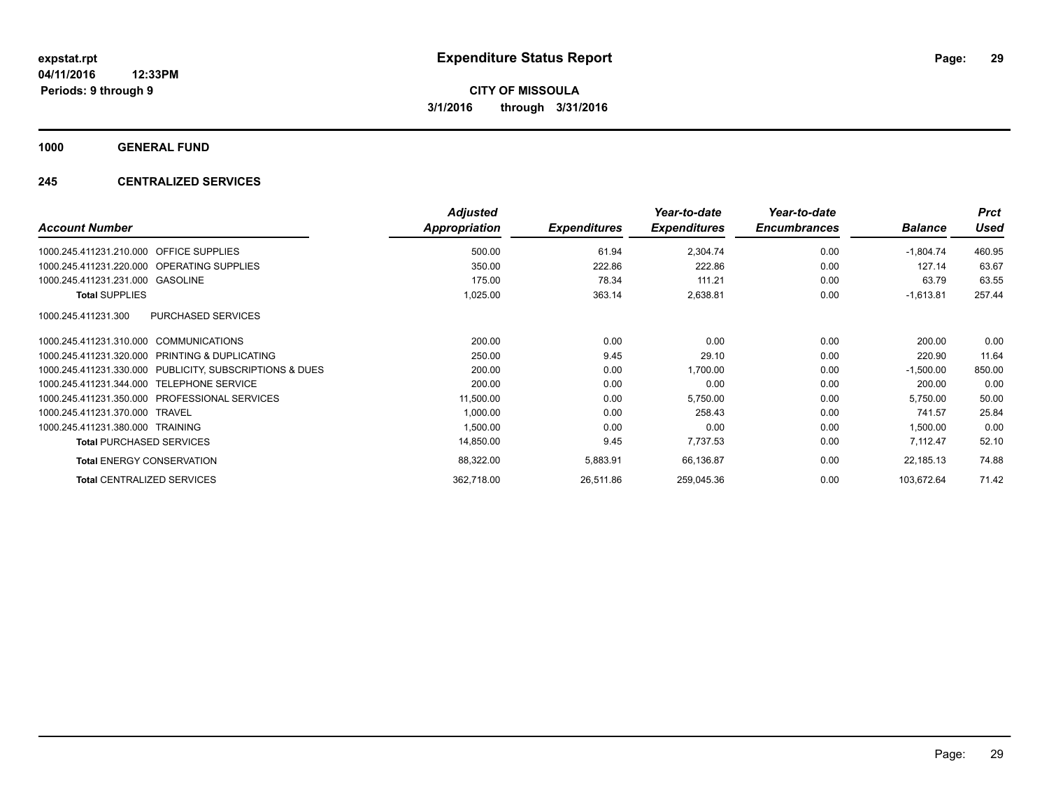**1000 GENERAL FUND**

#### **245 CENTRALIZED SERVICES**

|                                                         | <b>Adjusted</b>      |                     | Year-to-date        | Year-to-date        |                | <b>Prct</b> |
|---------------------------------------------------------|----------------------|---------------------|---------------------|---------------------|----------------|-------------|
| <b>Account Number</b>                                   | <b>Appropriation</b> | <b>Expenditures</b> | <b>Expenditures</b> | <b>Encumbrances</b> | <b>Balance</b> | <b>Used</b> |
| <b>OFFICE SUPPLIES</b><br>1000.245.411231.210.000       | 500.00               | 61.94               | 2,304.74            | 0.00                | $-1,804.74$    | 460.95      |
| 1000.245.411231.220.000 OPERATING SUPPLIES              | 350.00               | 222.86              | 222.86              | 0.00                | 127.14         | 63.67       |
| 1000.245.411231.231.000 GASOLINE                        | 175.00               | 78.34               | 111.21              | 0.00                | 63.79          | 63.55       |
| <b>Total SUPPLIES</b>                                   | 1,025.00             | 363.14              | 2,638.81            | 0.00                | $-1,613.81$    | 257.44      |
| <b>PURCHASED SERVICES</b><br>1000.245.411231.300        |                      |                     |                     |                     |                |             |
| 1000.245.411231.310.000 COMMUNICATIONS                  | 200.00               | 0.00                | 0.00                | 0.00                | 200.00         | 0.00        |
| 1000.245.411231.320.000 PRINTING & DUPLICATING          | 250.00               | 9.45                | 29.10               | 0.00                | 220.90         | 11.64       |
| 1000.245.411231.330.000 PUBLICITY, SUBSCRIPTIONS & DUES | 200.00               | 0.00                | 1,700.00            | 0.00                | $-1,500.00$    | 850.00      |
| 1000.245.411231.344.000 TELEPHONE SERVICE               | 200.00               | 0.00                | 0.00                | 0.00                | 200.00         | 0.00        |
| 1000.245.411231.350.000 PROFESSIONAL SERVICES           | 11,500.00            | 0.00                | 5,750.00            | 0.00                | 5,750.00       | 50.00       |
| 1000.245.411231.370.000 TRAVEL                          | 1,000.00             | 0.00                | 258.43              | 0.00                | 741.57         | 25.84       |
| 1000.245.411231.380.000 TRAINING                        | 1,500.00             | 0.00                | 0.00                | 0.00                | 1,500.00       | 0.00        |
| <b>Total PURCHASED SERVICES</b>                         | 14,850.00            | 9.45                | 7,737.53            | 0.00                | 7,112.47       | 52.10       |
| <b>Total ENERGY CONSERVATION</b>                        | 88,322.00            | 5,883.91            | 66,136.87           | 0.00                | 22,185.13      | 74.88       |
| <b>Total CENTRALIZED SERVICES</b>                       | 362,718.00           | 26,511.86           | 259,045.36          | 0.00                | 103,672.64     | 71.42       |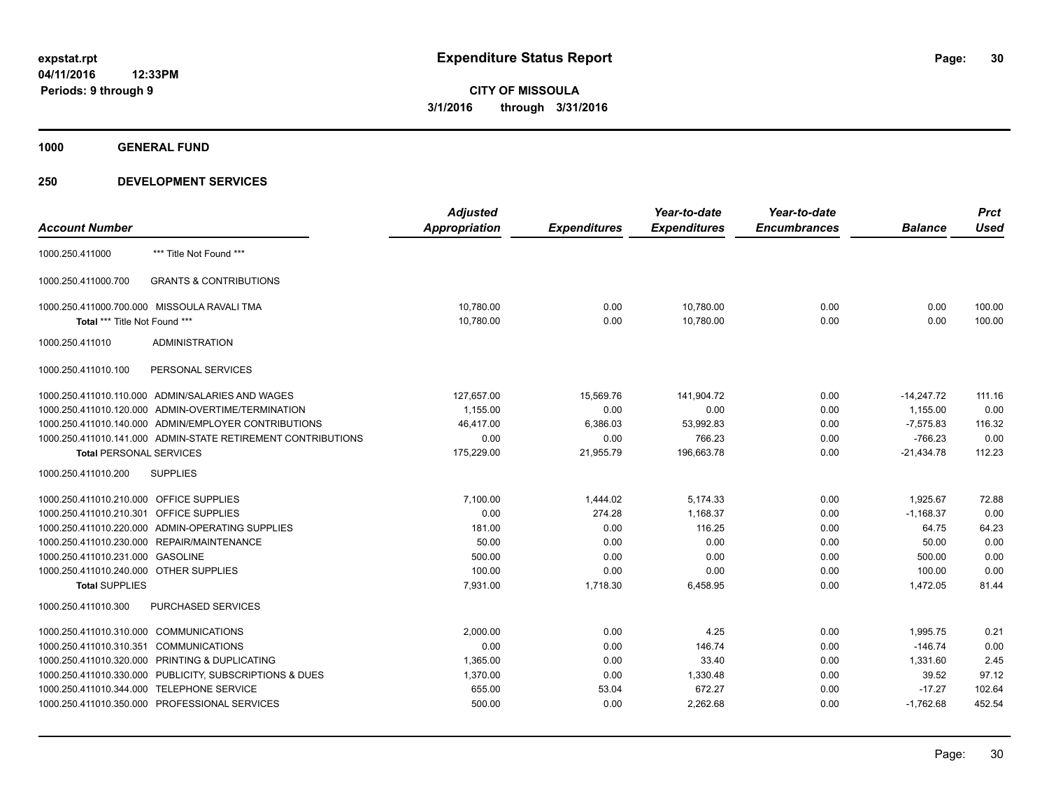### **1000 GENERAL FUND**

| Appropriation<br><b>Expenditures</b><br><b>Expenditures</b><br><b>Encumbrances</b><br><b>Used</b><br><b>Balance</b><br>*** Title Not Found ***<br><b>GRANTS &amp; CONTRIBUTIONS</b><br>1000.250.411000.700<br>1000.250.411000.700.000 MISSOULA RAVALI TMA<br>10,780.00<br>0.00<br>10,780.00<br>0.00<br>0.00<br>100.00<br>10,780.00<br>0.00<br>10,780.00<br>0.00<br>0.00<br>100.00<br>Total *** Title Not Found ***<br><b>ADMINISTRATION</b><br>PERSONAL SERVICES<br>1000.250.411010.110.000 ADMIN/SALARIES AND WAGES<br>127,657.00<br>15,569.76<br>141,904.72<br>0.00<br>$-14,247.72$<br>111.16<br>1000.250.411010.120.000 ADMIN-OVERTIME/TERMINATION<br>1.155.00<br>0.00<br>0.00<br>0.00<br>1,155.00<br>0.00<br>1000.250.411010.140.000 ADMIN/EMPLOYER CONTRIBUTIONS<br>46,417.00<br>6,386.03<br>53,992.83<br>0.00<br>$-7,575.83$<br>116.32<br>0.00<br>1000.250.411010.141.000 ADMIN-STATE RETIREMENT CONTRIBUTIONS<br>0.00<br>0.00<br>766.23<br>0.00<br>$-766.23$<br>175,229.00<br>196,663.78<br>0.00<br>$-21,434.78$<br>112.23<br>21,955.79<br><b>Total PERSONAL SERVICES</b><br><b>SUPPLIES</b><br>7,100.00<br>1,444.02<br>5,174.33<br>0.00<br>1,925.67<br>1000.250.411010.210.000 OFFICE SUPPLIES<br>72.88<br>0.00<br>274.28<br>0.00<br>1000.250.411010.210.301 OFFICE SUPPLIES<br>1,168.37<br>0.00<br>$-1,168.37$<br>1000.250.411010.220.000 ADMIN-OPERATING SUPPLIES<br>0.00<br>116.25<br>181.00<br>0.00<br>64.75<br>64.23<br>1000.250.411010.230.000 REPAIR/MAINTENANCE<br>50.00<br>0.00<br>0.00<br>50.00<br>0.00<br>0.00<br>1000.250.411010.231.000 GASOLINE<br>0.00<br>0.00<br>0.00<br>500.00<br>0.00<br>500.00<br>1000.250.411010.240.000 OTHER SUPPLIES<br>100.00<br>0.00<br>0.00<br>0.00<br>100.00<br>0.00<br><b>Total SUPPLIES</b><br>7,931.00<br>1,718.30<br>6,458.95<br>0.00<br>1,472.05<br>81.44<br><b>PURCHASED SERVICES</b><br>1000.250.411010.300<br>1000.250.411010.310.000 COMMUNICATIONS<br>2,000.00<br>0.00<br>4.25<br>0.00<br>1,995.75<br>0.21<br>0.00<br>146.74<br>$-146.74$<br>0.00<br>1000.250.411010.310.351 COMMUNICATIONS<br>0.00<br>0.00 |                       | <b>Adjusted</b> | Year-to-date | Year-to-date | <b>Prct</b> |
|--------------------------------------------------------------------------------------------------------------------------------------------------------------------------------------------------------------------------------------------------------------------------------------------------------------------------------------------------------------------------------------------------------------------------------------------------------------------------------------------------------------------------------------------------------------------------------------------------------------------------------------------------------------------------------------------------------------------------------------------------------------------------------------------------------------------------------------------------------------------------------------------------------------------------------------------------------------------------------------------------------------------------------------------------------------------------------------------------------------------------------------------------------------------------------------------------------------------------------------------------------------------------------------------------------------------------------------------------------------------------------------------------------------------------------------------------------------------------------------------------------------------------------------------------------------------------------------------------------------------------------------------------------------------------------------------------------------------------------------------------------------------------------------------------------------------------------------------------------------------------------------------------------------------------------------------------------------------------------------------------------------------------------------------------------------------------|-----------------------|-----------------|--------------|--------------|-------------|
|                                                                                                                                                                                                                                                                                                                                                                                                                                                                                                                                                                                                                                                                                                                                                                                                                                                                                                                                                                                                                                                                                                                                                                                                                                                                                                                                                                                                                                                                                                                                                                                                                                                                                                                                                                                                                                                                                                                                                                                                                                                                          | <b>Account Number</b> |                 |              |              |             |
|                                                                                                                                                                                                                                                                                                                                                                                                                                                                                                                                                                                                                                                                                                                                                                                                                                                                                                                                                                                                                                                                                                                                                                                                                                                                                                                                                                                                                                                                                                                                                                                                                                                                                                                                                                                                                                                                                                                                                                                                                                                                          | 1000.250.411000       |                 |              |              |             |
|                                                                                                                                                                                                                                                                                                                                                                                                                                                                                                                                                                                                                                                                                                                                                                                                                                                                                                                                                                                                                                                                                                                                                                                                                                                                                                                                                                                                                                                                                                                                                                                                                                                                                                                                                                                                                                                                                                                                                                                                                                                                          |                       |                 |              |              |             |
|                                                                                                                                                                                                                                                                                                                                                                                                                                                                                                                                                                                                                                                                                                                                                                                                                                                                                                                                                                                                                                                                                                                                                                                                                                                                                                                                                                                                                                                                                                                                                                                                                                                                                                                                                                                                                                                                                                                                                                                                                                                                          |                       |                 |              |              |             |
|                                                                                                                                                                                                                                                                                                                                                                                                                                                                                                                                                                                                                                                                                                                                                                                                                                                                                                                                                                                                                                                                                                                                                                                                                                                                                                                                                                                                                                                                                                                                                                                                                                                                                                                                                                                                                                                                                                                                                                                                                                                                          |                       |                 |              |              |             |
|                                                                                                                                                                                                                                                                                                                                                                                                                                                                                                                                                                                                                                                                                                                                                                                                                                                                                                                                                                                                                                                                                                                                                                                                                                                                                                                                                                                                                                                                                                                                                                                                                                                                                                                                                                                                                                                                                                                                                                                                                                                                          | 1000.250.411010       |                 |              |              |             |
|                                                                                                                                                                                                                                                                                                                                                                                                                                                                                                                                                                                                                                                                                                                                                                                                                                                                                                                                                                                                                                                                                                                                                                                                                                                                                                                                                                                                                                                                                                                                                                                                                                                                                                                                                                                                                                                                                                                                                                                                                                                                          | 1000.250.411010.100   |                 |              |              |             |
|                                                                                                                                                                                                                                                                                                                                                                                                                                                                                                                                                                                                                                                                                                                                                                                                                                                                                                                                                                                                                                                                                                                                                                                                                                                                                                                                                                                                                                                                                                                                                                                                                                                                                                                                                                                                                                                                                                                                                                                                                                                                          |                       |                 |              |              |             |
|                                                                                                                                                                                                                                                                                                                                                                                                                                                                                                                                                                                                                                                                                                                                                                                                                                                                                                                                                                                                                                                                                                                                                                                                                                                                                                                                                                                                                                                                                                                                                                                                                                                                                                                                                                                                                                                                                                                                                                                                                                                                          |                       |                 |              |              |             |
|                                                                                                                                                                                                                                                                                                                                                                                                                                                                                                                                                                                                                                                                                                                                                                                                                                                                                                                                                                                                                                                                                                                                                                                                                                                                                                                                                                                                                                                                                                                                                                                                                                                                                                                                                                                                                                                                                                                                                                                                                                                                          |                       |                 |              |              |             |
|                                                                                                                                                                                                                                                                                                                                                                                                                                                                                                                                                                                                                                                                                                                                                                                                                                                                                                                                                                                                                                                                                                                                                                                                                                                                                                                                                                                                                                                                                                                                                                                                                                                                                                                                                                                                                                                                                                                                                                                                                                                                          |                       |                 |              |              |             |
|                                                                                                                                                                                                                                                                                                                                                                                                                                                                                                                                                                                                                                                                                                                                                                                                                                                                                                                                                                                                                                                                                                                                                                                                                                                                                                                                                                                                                                                                                                                                                                                                                                                                                                                                                                                                                                                                                                                                                                                                                                                                          |                       |                 |              |              |             |
|                                                                                                                                                                                                                                                                                                                                                                                                                                                                                                                                                                                                                                                                                                                                                                                                                                                                                                                                                                                                                                                                                                                                                                                                                                                                                                                                                                                                                                                                                                                                                                                                                                                                                                                                                                                                                                                                                                                                                                                                                                                                          | 1000.250.411010.200   |                 |              |              |             |
|                                                                                                                                                                                                                                                                                                                                                                                                                                                                                                                                                                                                                                                                                                                                                                                                                                                                                                                                                                                                                                                                                                                                                                                                                                                                                                                                                                                                                                                                                                                                                                                                                                                                                                                                                                                                                                                                                                                                                                                                                                                                          |                       |                 |              |              |             |
|                                                                                                                                                                                                                                                                                                                                                                                                                                                                                                                                                                                                                                                                                                                                                                                                                                                                                                                                                                                                                                                                                                                                                                                                                                                                                                                                                                                                                                                                                                                                                                                                                                                                                                                                                                                                                                                                                                                                                                                                                                                                          |                       |                 |              |              |             |
|                                                                                                                                                                                                                                                                                                                                                                                                                                                                                                                                                                                                                                                                                                                                                                                                                                                                                                                                                                                                                                                                                                                                                                                                                                                                                                                                                                                                                                                                                                                                                                                                                                                                                                                                                                                                                                                                                                                                                                                                                                                                          |                       |                 |              |              |             |
|                                                                                                                                                                                                                                                                                                                                                                                                                                                                                                                                                                                                                                                                                                                                                                                                                                                                                                                                                                                                                                                                                                                                                                                                                                                                                                                                                                                                                                                                                                                                                                                                                                                                                                                                                                                                                                                                                                                                                                                                                                                                          |                       |                 |              |              |             |
|                                                                                                                                                                                                                                                                                                                                                                                                                                                                                                                                                                                                                                                                                                                                                                                                                                                                                                                                                                                                                                                                                                                                                                                                                                                                                                                                                                                                                                                                                                                                                                                                                                                                                                                                                                                                                                                                                                                                                                                                                                                                          |                       |                 |              |              |             |
|                                                                                                                                                                                                                                                                                                                                                                                                                                                                                                                                                                                                                                                                                                                                                                                                                                                                                                                                                                                                                                                                                                                                                                                                                                                                                                                                                                                                                                                                                                                                                                                                                                                                                                                                                                                                                                                                                                                                                                                                                                                                          |                       |                 |              |              |             |
|                                                                                                                                                                                                                                                                                                                                                                                                                                                                                                                                                                                                                                                                                                                                                                                                                                                                                                                                                                                                                                                                                                                                                                                                                                                                                                                                                                                                                                                                                                                                                                                                                                                                                                                                                                                                                                                                                                                                                                                                                                                                          |                       |                 |              |              |             |
|                                                                                                                                                                                                                                                                                                                                                                                                                                                                                                                                                                                                                                                                                                                                                                                                                                                                                                                                                                                                                                                                                                                                                                                                                                                                                                                                                                                                                                                                                                                                                                                                                                                                                                                                                                                                                                                                                                                                                                                                                                                                          |                       |                 |              |              |             |
|                                                                                                                                                                                                                                                                                                                                                                                                                                                                                                                                                                                                                                                                                                                                                                                                                                                                                                                                                                                                                                                                                                                                                                                                                                                                                                                                                                                                                                                                                                                                                                                                                                                                                                                                                                                                                                                                                                                                                                                                                                                                          |                       |                 |              |              |             |
|                                                                                                                                                                                                                                                                                                                                                                                                                                                                                                                                                                                                                                                                                                                                                                                                                                                                                                                                                                                                                                                                                                                                                                                                                                                                                                                                                                                                                                                                                                                                                                                                                                                                                                                                                                                                                                                                                                                                                                                                                                                                          |                       |                 |              |              |             |
| 1000.250.411010.320.000 PRINTING & DUPLICATING<br>0.00<br>33.40<br>2.45<br>1,365.00<br>0.00<br>1,331.60                                                                                                                                                                                                                                                                                                                                                                                                                                                                                                                                                                                                                                                                                                                                                                                                                                                                                                                                                                                                                                                                                                                                                                                                                                                                                                                                                                                                                                                                                                                                                                                                                                                                                                                                                                                                                                                                                                                                                                  |                       |                 |              |              |             |
| 1000.250.411010.330.000 PUBLICITY, SUBSCRIPTIONS & DUES<br>1,370.00<br>0.00<br>1,330.48<br>0.00<br>39.52<br>97.12                                                                                                                                                                                                                                                                                                                                                                                                                                                                                                                                                                                                                                                                                                                                                                                                                                                                                                                                                                                                                                                                                                                                                                                                                                                                                                                                                                                                                                                                                                                                                                                                                                                                                                                                                                                                                                                                                                                                                        |                       |                 |              |              |             |
| 672.27<br>$-17.27$<br>1000.250.411010.344.000 TELEPHONE SERVICE<br>655.00<br>53.04<br>0.00<br>102.64                                                                                                                                                                                                                                                                                                                                                                                                                                                                                                                                                                                                                                                                                                                                                                                                                                                                                                                                                                                                                                                                                                                                                                                                                                                                                                                                                                                                                                                                                                                                                                                                                                                                                                                                                                                                                                                                                                                                                                     |                       |                 |              |              |             |
| 452.54<br>1000.250.411010.350.000 PROFESSIONAL SERVICES<br>500.00<br>0.00<br>2,262.68<br>0.00<br>$-1,762.68$                                                                                                                                                                                                                                                                                                                                                                                                                                                                                                                                                                                                                                                                                                                                                                                                                                                                                                                                                                                                                                                                                                                                                                                                                                                                                                                                                                                                                                                                                                                                                                                                                                                                                                                                                                                                                                                                                                                                                             |                       |                 |              |              |             |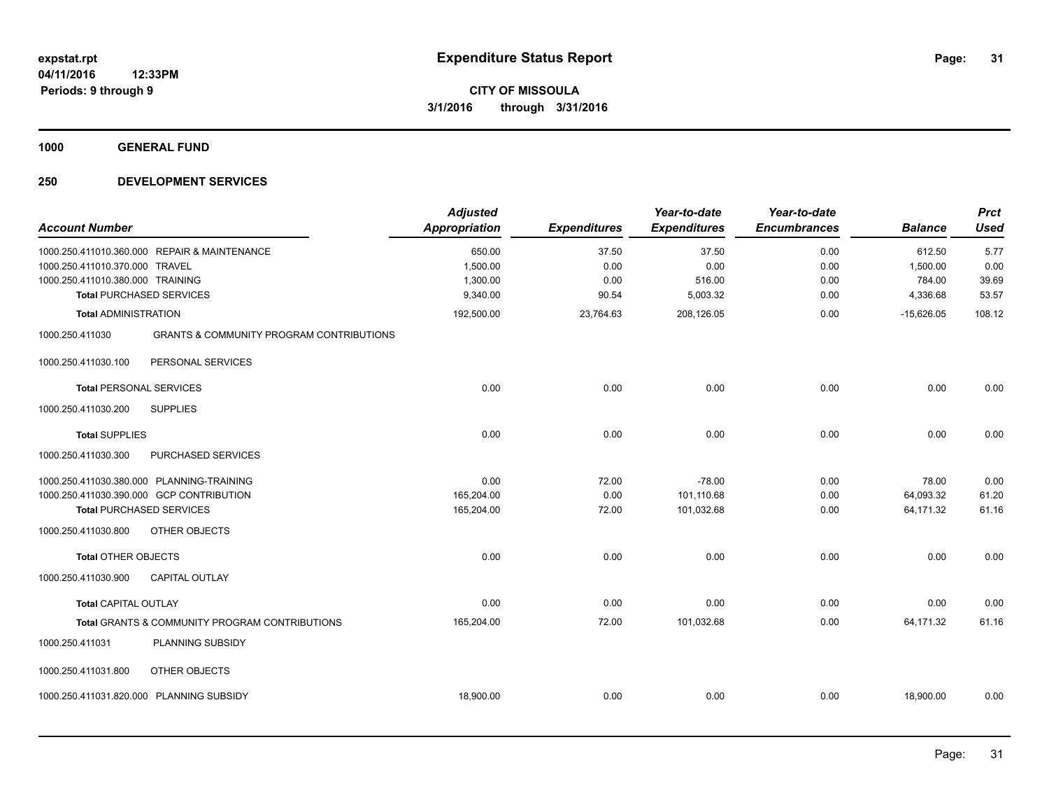**1000 GENERAL FUND**

| <b>Account Number</b>                                              |                                                                                                                          | <b>Adjusted</b><br><b>Appropriation</b>    | <b>Expenditures</b>            | Year-to-date<br><b>Expenditures</b>  | Year-to-date<br><b>Encumbrances</b> | <b>Balance</b>                           | <b>Prct</b><br><b>Used</b>     |
|--------------------------------------------------------------------|--------------------------------------------------------------------------------------------------------------------------|--------------------------------------------|--------------------------------|--------------------------------------|-------------------------------------|------------------------------------------|--------------------------------|
| 1000.250.411010.370.000 TRAVEL<br>1000.250.411010.380.000 TRAINING | 1000.250.411010.360.000 REPAIR & MAINTENANCE<br><b>Total PURCHASED SERVICES</b>                                          | 650.00<br>1,500.00<br>1,300.00<br>9,340.00 | 37.50<br>0.00<br>0.00<br>90.54 | 37.50<br>0.00<br>516.00<br>5,003.32  | 0.00<br>0.00<br>0.00<br>0.00        | 612.50<br>1,500.00<br>784.00<br>4,336.68 | 5.77<br>0.00<br>39.69<br>53.57 |
| <b>Total ADMINISTRATION</b>                                        |                                                                                                                          | 192,500.00                                 | 23,764.63                      | 208,126.05                           | 0.00                                | $-15,626.05$                             | 108.12                         |
| 1000.250.411030                                                    | <b>GRANTS &amp; COMMUNITY PROGRAM CONTRIBUTIONS</b>                                                                      |                                            |                                |                                      |                                     |                                          |                                |
| 1000.250.411030.100                                                | PERSONAL SERVICES                                                                                                        |                                            |                                |                                      |                                     |                                          |                                |
| <b>Total PERSONAL SERVICES</b>                                     |                                                                                                                          | 0.00                                       | 0.00                           | 0.00                                 | 0.00                                | 0.00                                     | 0.00                           |
| 1000.250.411030.200                                                | <b>SUPPLIES</b>                                                                                                          |                                            |                                |                                      |                                     |                                          |                                |
| <b>Total SUPPLIES</b>                                              |                                                                                                                          | 0.00                                       | 0.00                           | 0.00                                 | 0.00                                | 0.00                                     | 0.00                           |
| 1000.250.411030.300                                                | PURCHASED SERVICES                                                                                                       |                                            |                                |                                      |                                     |                                          |                                |
|                                                                    | 1000.250.411030.380.000 PLANNING-TRAINING<br>1000.250.411030.390.000 GCP CONTRIBUTION<br><b>Total PURCHASED SERVICES</b> | 0.00<br>165,204.00<br>165,204.00           | 72.00<br>0.00<br>72.00         | $-78.00$<br>101,110.68<br>101,032.68 | 0.00<br>0.00<br>0.00                | 78.00<br>64,093.32<br>64,171.32          | 0.00<br>61.20<br>61.16         |
| 1000.250.411030.800                                                | OTHER OBJECTS                                                                                                            |                                            |                                |                                      |                                     |                                          |                                |
| <b>Total OTHER OBJECTS</b>                                         |                                                                                                                          | 0.00                                       | 0.00                           | 0.00                                 | 0.00                                | 0.00                                     | 0.00                           |
| 1000.250.411030.900                                                | <b>CAPITAL OUTLAY</b>                                                                                                    |                                            |                                |                                      |                                     |                                          |                                |
| <b>Total CAPITAL OUTLAY</b>                                        |                                                                                                                          | 0.00                                       | 0.00                           | 0.00                                 | 0.00                                | 0.00                                     | 0.00                           |
|                                                                    | Total GRANTS & COMMUNITY PROGRAM CONTRIBUTIONS                                                                           | 165,204.00                                 | 72.00                          | 101,032.68                           | 0.00                                | 64,171.32                                | 61.16                          |
| 1000.250.411031                                                    | PLANNING SUBSIDY                                                                                                         |                                            |                                |                                      |                                     |                                          |                                |
| 1000.250.411031.800                                                | <b>OTHER OBJECTS</b>                                                                                                     |                                            |                                |                                      |                                     |                                          |                                |
|                                                                    | 1000.250.411031.820.000 PLANNING SUBSIDY                                                                                 | 18,900.00                                  | 0.00                           | 0.00                                 | 0.00                                | 18,900.00                                | 0.00                           |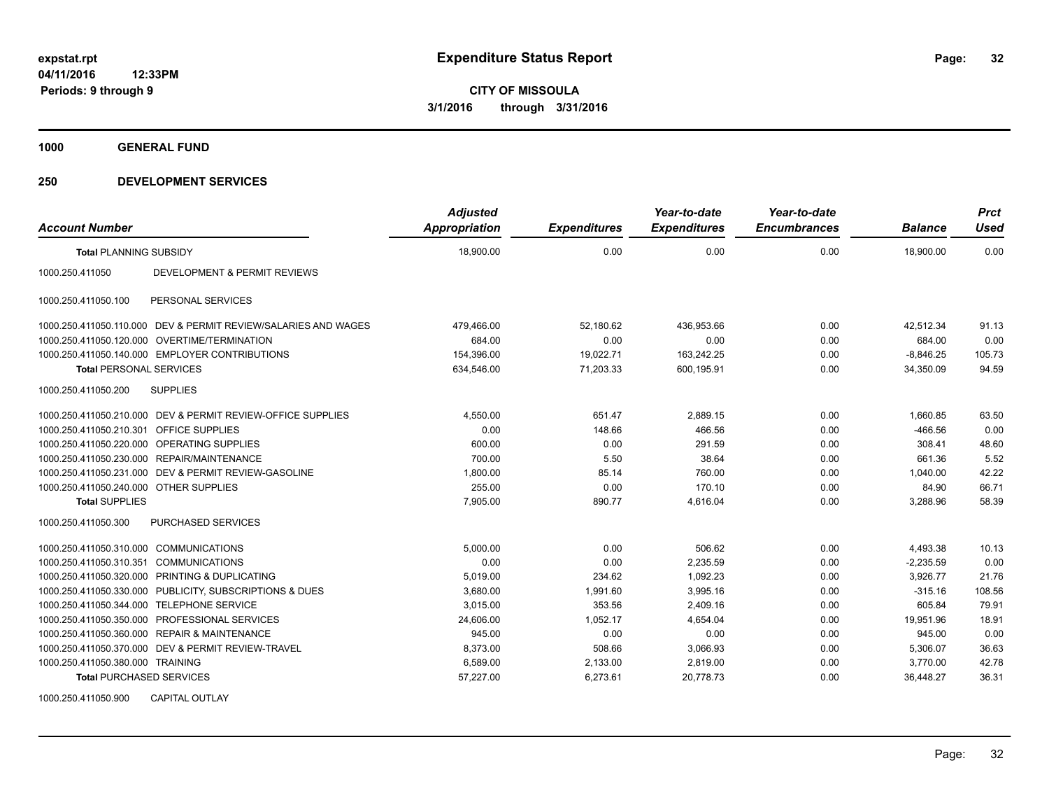**1000 GENERAL FUND**

#### **250 DEVELOPMENT SERVICES**

| <b>Account Number</b>                   |                                                                | <b>Adjusted</b><br><b>Appropriation</b> | <b>Expenditures</b> | Year-to-date<br><b>Expenditures</b> | Year-to-date<br><b>Encumbrances</b> | <b>Balance</b> | <b>Prct</b><br><b>Used</b> |
|-----------------------------------------|----------------------------------------------------------------|-----------------------------------------|---------------------|-------------------------------------|-------------------------------------|----------------|----------------------------|
| <b>Total PLANNING SUBSIDY</b>           |                                                                | 18,900.00                               | 0.00                | 0.00                                | 0.00                                | 18,900.00      | 0.00                       |
| 1000.250.411050                         | DEVELOPMENT & PERMIT REVIEWS                                   |                                         |                     |                                     |                                     |                |                            |
| 1000.250.411050.100                     | PERSONAL SERVICES                                              |                                         |                     |                                     |                                     |                |                            |
|                                         | 1000.250.411050.110.000 DEV & PERMIT REVIEW/SALARIES AND WAGES | 479,466.00                              | 52,180.62           | 436,953.66                          | 0.00                                | 42,512.34      | 91.13                      |
| 1000.250.411050.120.000                 | <b>OVERTIME/TERMINATION</b>                                    | 684.00                                  | 0.00                | 0.00                                | 0.00                                | 684.00         | 0.00                       |
|                                         | 1000.250.411050.140.000 EMPLOYER CONTRIBUTIONS                 | 154,396.00                              | 19,022.71           | 163,242.25                          | 0.00                                | $-8,846.25$    | 105.73                     |
| <b>Total PERSONAL SERVICES</b>          |                                                                | 634,546.00                              | 71,203.33           | 600,195.91                          | 0.00                                | 34,350.09      | 94.59                      |
| 1000.250.411050.200                     | <b>SUPPLIES</b>                                                |                                         |                     |                                     |                                     |                |                            |
|                                         | 1000.250.411050.210.000 DEV & PERMIT REVIEW-OFFICE SUPPLIES    | 4,550.00                                | 651.47              | 2.889.15                            | 0.00                                | 1,660.85       | 63.50                      |
| 1000.250.411050.210.301 OFFICE SUPPLIES |                                                                | 0.00                                    | 148.66              | 466.56                              | 0.00                                | $-466.56$      | 0.00                       |
| 1000.250.411050.220.000                 | OPERATING SUPPLIES                                             | 600.00                                  | 0.00                | 291.59                              | 0.00                                | 308.41         | 48.60                      |
| 1000.250.411050.230.000                 | REPAIR/MAINTENANCE                                             | 700.00                                  | 5.50                | 38.64                               | 0.00                                | 661.36         | 5.52                       |
| 1000.250.411050.231.000                 | DEV & PERMIT REVIEW-GASOLINE                                   | 1,800.00                                | 85.14               | 760.00                              | 0.00                                | 1,040.00       | 42.22                      |
| 1000.250.411050.240.000 OTHER SUPPLIES  |                                                                | 255.00                                  | 0.00                | 170.10                              | 0.00                                | 84.90          | 66.71                      |
| <b>Total SUPPLIES</b>                   |                                                                | 7.905.00                                | 890.77              | 4.616.04                            | 0.00                                | 3.288.96       | 58.39                      |
| 1000.250.411050.300                     | <b>PURCHASED SERVICES</b>                                      |                                         |                     |                                     |                                     |                |                            |
| 1000.250.411050.310.000                 | <b>COMMUNICATIONS</b>                                          | 5,000.00                                | 0.00                | 506.62                              | 0.00                                | 4,493.38       | 10.13                      |
| 1000.250.411050.310.351                 | <b>COMMUNICATIONS</b>                                          | 0.00                                    | 0.00                | 2,235.59                            | 0.00                                | $-2,235.59$    | 0.00                       |
| 1000.250.411050.320.000                 | <b>PRINTING &amp; DUPLICATING</b>                              | 5.019.00                                | 234.62              | 1.092.23                            | 0.00                                | 3,926.77       | 21.76                      |
| 1000.250.411050.330.000                 | PUBLICITY, SUBSCRIPTIONS & DUES                                | 3,680.00                                | 1,991.60            | 3,995.16                            | 0.00                                | $-315.16$      | 108.56                     |
| 1000.250.411050.344.000                 | <b>TELEPHONE SERVICE</b>                                       | 3,015.00                                | 353.56              | 2,409.16                            | 0.00                                | 605.84         | 79.91                      |
| 1000.250.411050.350.000                 | PROFESSIONAL SERVICES                                          | 24.606.00                               | 1.052.17            | 4.654.04                            | 0.00                                | 19.951.96      | 18.91                      |
| 1000.250.411050.360.000                 | <b>REPAIR &amp; MAINTENANCE</b>                                | 945.00                                  | 0.00                | 0.00                                | 0.00                                | 945.00         | 0.00                       |
|                                         | 1000.250.411050.370.000 DEV & PERMIT REVIEW-TRAVEL             | 8,373.00                                | 508.66              | 3,066.93                            | 0.00                                | 5,306.07       | 36.63                      |
| 1000.250.411050.380.000 TRAINING        |                                                                | 6,589.00                                | 2,133.00            | 2,819.00                            | 0.00                                | 3,770.00       | 42.78                      |
| <b>Total PURCHASED SERVICES</b>         |                                                                | 57,227.00                               | 6,273.61            | 20,778.73                           | 0.00                                | 36,448.27      | 36.31                      |

1000.250.411050.900 CAPITAL OUTLAY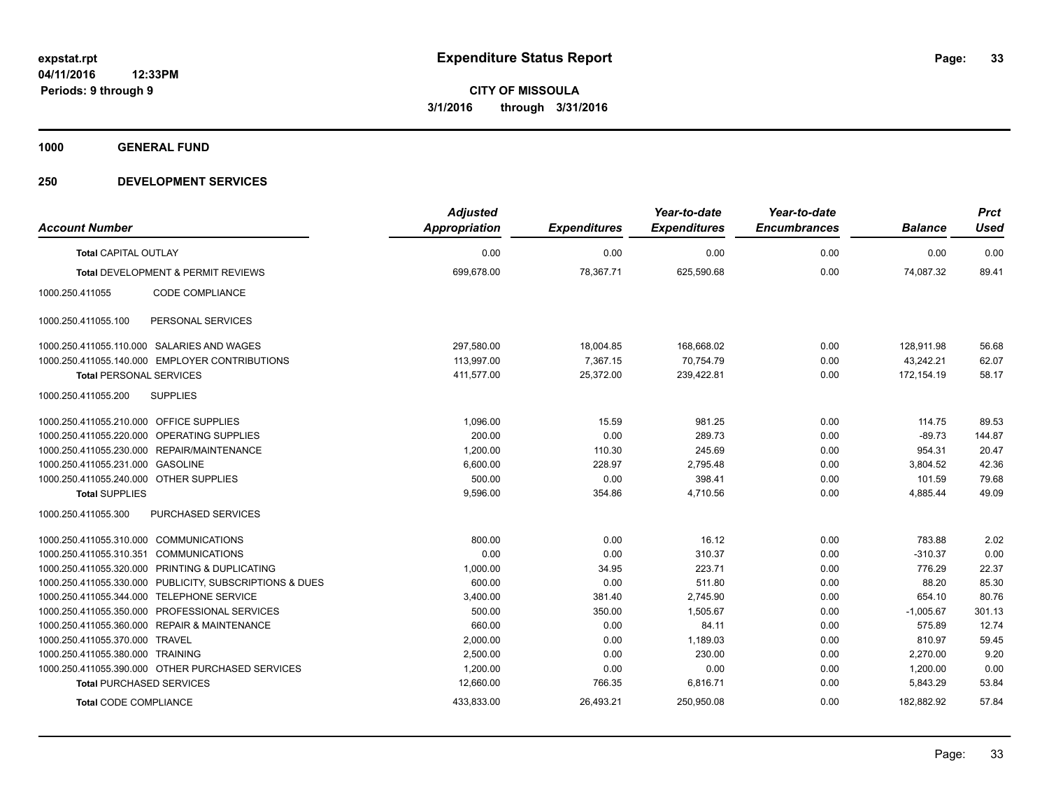**1000 GENERAL FUND**

|                                         |                                                         | <b>Adjusted</b>      |                     | Year-to-date        | Year-to-date        |                | <b>Prct</b> |
|-----------------------------------------|---------------------------------------------------------|----------------------|---------------------|---------------------|---------------------|----------------|-------------|
| <b>Account Number</b>                   |                                                         | <b>Appropriation</b> | <b>Expenditures</b> | <b>Expenditures</b> | <b>Encumbrances</b> | <b>Balance</b> | <b>Used</b> |
| <b>Total CAPITAL OUTLAY</b>             |                                                         | 0.00                 | 0.00                | 0.00                | 0.00                | 0.00           | 0.00        |
|                                         | <b>Total DEVELOPMENT &amp; PERMIT REVIEWS</b>           | 699,678.00           | 78,367.71           | 625,590.68          | 0.00                | 74.087.32      | 89.41       |
| 1000.250.411055                         | CODE COMPLIANCE                                         |                      |                     |                     |                     |                |             |
| 1000.250.411055.100                     | PERSONAL SERVICES                                       |                      |                     |                     |                     |                |             |
|                                         | 1000.250.411055.110.000 SALARIES AND WAGES              | 297,580.00           | 18,004.85           | 168,668.02          | 0.00                | 128,911.98     | 56.68       |
|                                         | 1000.250.411055.140.000 EMPLOYER CONTRIBUTIONS          | 113,997.00           | 7,367.15            | 70,754.79           | 0.00                | 43,242.21      | 62.07       |
| <b>Total PERSONAL SERVICES</b>          |                                                         | 411,577.00           | 25,372.00           | 239,422.81          | 0.00                | 172,154.19     | 58.17       |
| 1000.250.411055.200                     | <b>SUPPLIES</b>                                         |                      |                     |                     |                     |                |             |
| 1000.250.411055.210.000 OFFICE SUPPLIES |                                                         | 1.096.00             | 15.59               | 981.25              | 0.00                | 114.75         | 89.53       |
|                                         | 1000.250.411055.220.000 OPERATING SUPPLIES              | 200.00               | 0.00                | 289.73              | 0.00                | $-89.73$       | 144.87      |
|                                         | 1000.250.411055.230.000 REPAIR/MAINTENANCE              | 1,200.00             | 110.30              | 245.69              | 0.00                | 954.31         | 20.47       |
| 1000.250.411055.231.000 GASOLINE        |                                                         | 6,600.00             | 228.97              | 2,795.48            | 0.00                | 3,804.52       | 42.36       |
| 1000.250.411055.240.000 OTHER SUPPLIES  |                                                         | 500.00               | 0.00                | 398.41              | 0.00                | 101.59         | 79.68       |
| <b>Total SUPPLIES</b>                   |                                                         | 9,596.00             | 354.86              | 4,710.56            | 0.00                | 4,885.44       | 49.09       |
| 1000.250.411055.300                     | PURCHASED SERVICES                                      |                      |                     |                     |                     |                |             |
| 1000.250.411055.310.000 COMMUNICATIONS  |                                                         | 800.00               | 0.00                | 16.12               | 0.00                | 783.88         | 2.02        |
| 1000.250.411055.310.351 COMMUNICATIONS  |                                                         | 0.00                 | 0.00                | 310.37              | 0.00                | $-310.37$      | 0.00        |
|                                         | 1000.250.411055.320.000 PRINTING & DUPLICATING          | 1,000.00             | 34.95               | 223.71              | 0.00                | 776.29         | 22.37       |
|                                         | 1000.250.411055.330.000 PUBLICITY, SUBSCRIPTIONS & DUES | 600.00               | 0.00                | 511.80              | 0.00                | 88.20          | 85.30       |
| 1000.250.411055.344.000                 | <b>TELEPHONE SERVICE</b>                                | 3,400.00             | 381.40              | 2,745.90            | 0.00                | 654.10         | 80.76       |
| 1000.250.411055.350.000                 | PROFESSIONAL SERVICES                                   | 500.00               | 350.00              | 1.505.67            | 0.00                | $-1,005.67$    | 301.13      |
| 1000.250.411055.360.000                 | <b>REPAIR &amp; MAINTENANCE</b>                         | 660.00               | 0.00                | 84.11               | 0.00                | 575.89         | 12.74       |
| 1000.250.411055.370.000                 | <b>TRAVEL</b>                                           | 2,000.00             | 0.00                | 1,189.03            | 0.00                | 810.97         | 59.45       |
| 1000.250.411055.380.000 TRAINING        |                                                         | 2,500.00             | 0.00                | 230.00              | 0.00                | 2,270.00       | 9.20        |
|                                         | 1000.250.411055.390.000 OTHER PURCHASED SERVICES        | 1,200.00             | 0.00                | 0.00                | 0.00                | 1,200.00       | 0.00        |
| <b>Total PURCHASED SERVICES</b>         |                                                         | 12,660.00            | 766.35              | 6,816.71            | 0.00                | 5,843.29       | 53.84       |
| <b>Total CODE COMPLIANCE</b>            |                                                         | 433,833.00           | 26,493.21           | 250,950.08          | 0.00                | 182,882.92     | 57.84       |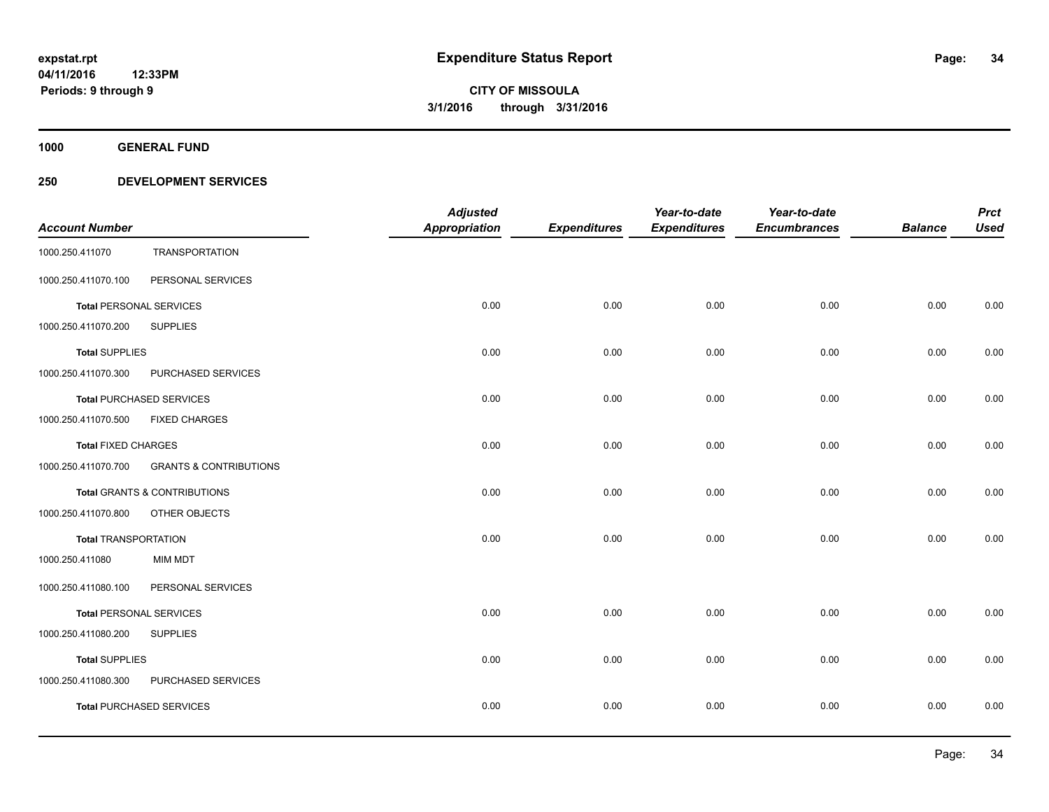**1000 GENERAL FUND**

|                                |                                         | <b>Adjusted</b>      |                     | Year-to-date        | Year-to-date        |                | <b>Prct</b> |
|--------------------------------|-----------------------------------------|----------------------|---------------------|---------------------|---------------------|----------------|-------------|
| <b>Account Number</b>          |                                         | <b>Appropriation</b> | <b>Expenditures</b> | <b>Expenditures</b> | <b>Encumbrances</b> | <b>Balance</b> | <b>Used</b> |
| 1000.250.411070                | <b>TRANSPORTATION</b>                   |                      |                     |                     |                     |                |             |
| 1000.250.411070.100            | PERSONAL SERVICES                       |                      |                     |                     |                     |                |             |
| <b>Total PERSONAL SERVICES</b> |                                         | 0.00                 | 0.00                | 0.00                | 0.00                | 0.00           | 0.00        |
| 1000.250.411070.200            | <b>SUPPLIES</b>                         |                      |                     |                     |                     |                |             |
| <b>Total SUPPLIES</b>          |                                         | 0.00                 | 0.00                | 0.00                | 0.00                | 0.00           | 0.00        |
| 1000.250.411070.300            | PURCHASED SERVICES                      |                      |                     |                     |                     |                |             |
|                                | <b>Total PURCHASED SERVICES</b>         | 0.00                 | 0.00                | 0.00                | 0.00                | 0.00           | 0.00        |
| 1000.250.411070.500            | <b>FIXED CHARGES</b>                    |                      |                     |                     |                     |                |             |
| <b>Total FIXED CHARGES</b>     |                                         | 0.00                 | 0.00                | 0.00                | 0.00                | 0.00           | 0.00        |
| 1000.250.411070.700            | <b>GRANTS &amp; CONTRIBUTIONS</b>       |                      |                     |                     |                     |                |             |
|                                | <b>Total GRANTS &amp; CONTRIBUTIONS</b> | 0.00                 | 0.00                | 0.00                | 0.00                | 0.00           | 0.00        |
| 1000.250.411070.800            | OTHER OBJECTS                           |                      |                     |                     |                     |                |             |
| <b>Total TRANSPORTATION</b>    |                                         | 0.00                 | 0.00                | 0.00                | 0.00                | 0.00           | 0.00        |
| 1000.250.411080                | <b>MIM MDT</b>                          |                      |                     |                     |                     |                |             |
| 1000.250.411080.100            | PERSONAL SERVICES                       |                      |                     |                     |                     |                |             |
| <b>Total PERSONAL SERVICES</b> |                                         | 0.00                 | 0.00                | 0.00                | 0.00                | 0.00           | 0.00        |
| 1000.250.411080.200            | <b>SUPPLIES</b>                         |                      |                     |                     |                     |                |             |
| <b>Total SUPPLIES</b>          |                                         | 0.00                 | 0.00                | 0.00                | 0.00                | 0.00           | 0.00        |
| 1000.250.411080.300            | PURCHASED SERVICES                      |                      |                     |                     |                     |                |             |
|                                | <b>Total PURCHASED SERVICES</b>         | 0.00                 | 0.00                | 0.00                | 0.00                | 0.00           | 0.00        |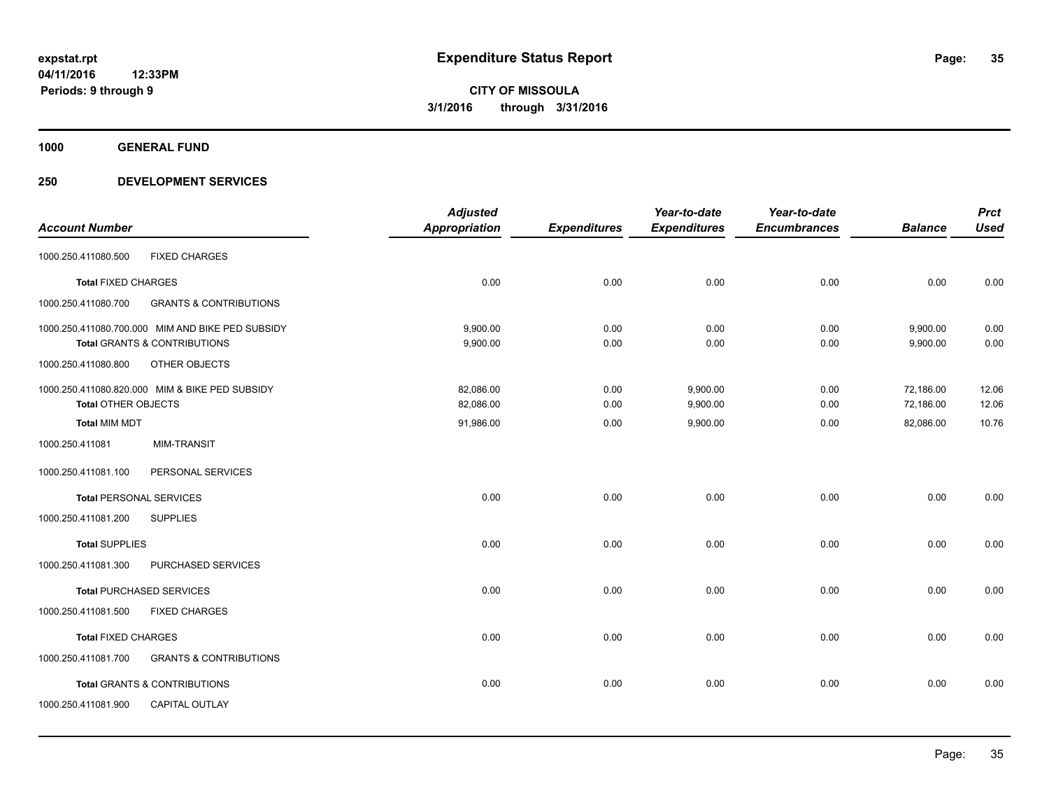**1000 GENERAL FUND**

|                                |                                                  | <b>Adjusted</b>      |                     | Year-to-date        | Year-to-date        |                | <b>Prct</b> |
|--------------------------------|--------------------------------------------------|----------------------|---------------------|---------------------|---------------------|----------------|-------------|
| <b>Account Number</b>          |                                                  | <b>Appropriation</b> | <b>Expenditures</b> | <b>Expenditures</b> | <b>Encumbrances</b> | <b>Balance</b> | <b>Used</b> |
| 1000.250.411080.500            | <b>FIXED CHARGES</b>                             |                      |                     |                     |                     |                |             |
| <b>Total FIXED CHARGES</b>     |                                                  | 0.00                 | 0.00                | 0.00                | 0.00                | 0.00           | 0.00        |
| 1000.250.411080.700            | <b>GRANTS &amp; CONTRIBUTIONS</b>                |                      |                     |                     |                     |                |             |
|                                | 1000.250.411080.700.000 MIM AND BIKE PED SUBSIDY | 9,900.00             | 0.00                | 0.00                | 0.00                | 9,900.00       | 0.00        |
|                                | <b>Total GRANTS &amp; CONTRIBUTIONS</b>          | 9,900.00             | 0.00                | 0.00                | 0.00                | 9,900.00       | 0.00        |
| 1000.250.411080.800            | OTHER OBJECTS                                    |                      |                     |                     |                     |                |             |
|                                | 1000.250.411080.820.000 MIM & BIKE PED SUBSIDY   | 82,086.00            | 0.00                | 9,900.00            | 0.00                | 72,186.00      | 12.06       |
| <b>Total OTHER OBJECTS</b>     |                                                  | 82,086.00            | 0.00                | 9,900.00            | 0.00                | 72,186.00      | 12.06       |
| <b>Total MIM MDT</b>           |                                                  | 91,986.00            | 0.00                | 9,900.00            | 0.00                | 82,086.00      | 10.76       |
| 1000.250.411081                | <b>MIM-TRANSIT</b>                               |                      |                     |                     |                     |                |             |
| 1000.250.411081.100            | PERSONAL SERVICES                                |                      |                     |                     |                     |                |             |
| <b>Total PERSONAL SERVICES</b> |                                                  | 0.00                 | 0.00                | 0.00                | 0.00                | 0.00           | 0.00        |
| 1000.250.411081.200            | <b>SUPPLIES</b>                                  |                      |                     |                     |                     |                |             |
| <b>Total SUPPLIES</b>          |                                                  | 0.00                 | 0.00                | 0.00                | 0.00                | 0.00           | 0.00        |
| 1000.250.411081.300            | PURCHASED SERVICES                               |                      |                     |                     |                     |                |             |
|                                | <b>Total PURCHASED SERVICES</b>                  | 0.00                 | 0.00                | 0.00                | 0.00                | 0.00           | 0.00        |
| 1000.250.411081.500            | <b>FIXED CHARGES</b>                             |                      |                     |                     |                     |                |             |
| <b>Total FIXED CHARGES</b>     |                                                  | 0.00                 | 0.00                | 0.00                | 0.00                | 0.00           | 0.00        |
| 1000.250.411081.700            | <b>GRANTS &amp; CONTRIBUTIONS</b>                |                      |                     |                     |                     |                |             |
|                                | <b>Total GRANTS &amp; CONTRIBUTIONS</b>          | 0.00                 | 0.00                | 0.00                | 0.00                | 0.00           | 0.00        |
| 1000.250.411081.900            | CAPITAL OUTLAY                                   |                      |                     |                     |                     |                |             |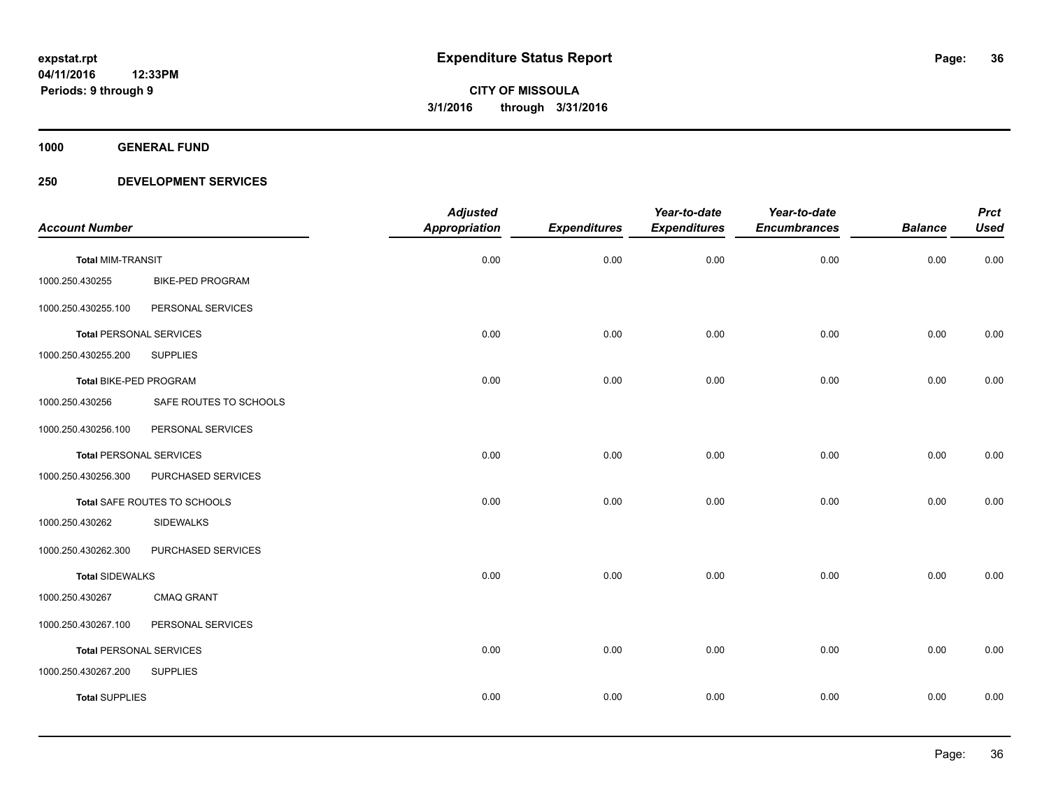**1000 GENERAL FUND**

| <b>Account Number</b>          |                         | <b>Adjusted</b><br><b>Appropriation</b> | <b>Expenditures</b> | Year-to-date<br><b>Expenditures</b> | Year-to-date<br><b>Encumbrances</b> | <b>Balance</b> | <b>Prct</b><br><b>Used</b> |
|--------------------------------|-------------------------|-----------------------------------------|---------------------|-------------------------------------|-------------------------------------|----------------|----------------------------|
| <b>Total MIM-TRANSIT</b>       |                         | 0.00                                    | 0.00                | 0.00                                | 0.00                                | 0.00           | 0.00                       |
| 1000.250.430255                | <b>BIKE-PED PROGRAM</b> |                                         |                     |                                     |                                     |                |                            |
| 1000.250.430255.100            | PERSONAL SERVICES       |                                         |                     |                                     |                                     |                |                            |
| <b>Total PERSONAL SERVICES</b> |                         | 0.00                                    | 0.00                | 0.00                                | 0.00                                | 0.00           | 0.00                       |
| 1000.250.430255.200            | <b>SUPPLIES</b>         |                                         |                     |                                     |                                     |                |                            |
| Total BIKE-PED PROGRAM         |                         | 0.00                                    | 0.00                | 0.00                                | 0.00                                | 0.00           | 0.00                       |
| 1000.250.430256                | SAFE ROUTES TO SCHOOLS  |                                         |                     |                                     |                                     |                |                            |
| 1000.250.430256.100            | PERSONAL SERVICES       |                                         |                     |                                     |                                     |                |                            |
| <b>Total PERSONAL SERVICES</b> |                         | 0.00                                    | 0.00                | 0.00                                | 0.00                                | 0.00           | 0.00                       |
| 1000.250.430256.300            | PURCHASED SERVICES      |                                         |                     |                                     |                                     |                |                            |
| Total SAFE ROUTES TO SCHOOLS   |                         | 0.00                                    | 0.00                | 0.00                                | 0.00                                | 0.00           | 0.00                       |
| 1000.250.430262                | <b>SIDEWALKS</b>        |                                         |                     |                                     |                                     |                |                            |
| 1000.250.430262.300            | PURCHASED SERVICES      |                                         |                     |                                     |                                     |                |                            |
| <b>Total SIDEWALKS</b>         |                         | 0.00                                    | 0.00                | 0.00                                | 0.00                                | 0.00           | 0.00                       |
| 1000.250.430267                | <b>CMAQ GRANT</b>       |                                         |                     |                                     |                                     |                |                            |
| 1000.250.430267.100            | PERSONAL SERVICES       |                                         |                     |                                     |                                     |                |                            |
| <b>Total PERSONAL SERVICES</b> |                         | 0.00                                    | 0.00                | 0.00                                | 0.00                                | 0.00           | 0.00                       |
| 1000.250.430267.200            | <b>SUPPLIES</b>         |                                         |                     |                                     |                                     |                |                            |
| <b>Total SUPPLIES</b>          |                         | 0.00                                    | 0.00                | 0.00                                | 0.00                                | 0.00           | 0.00                       |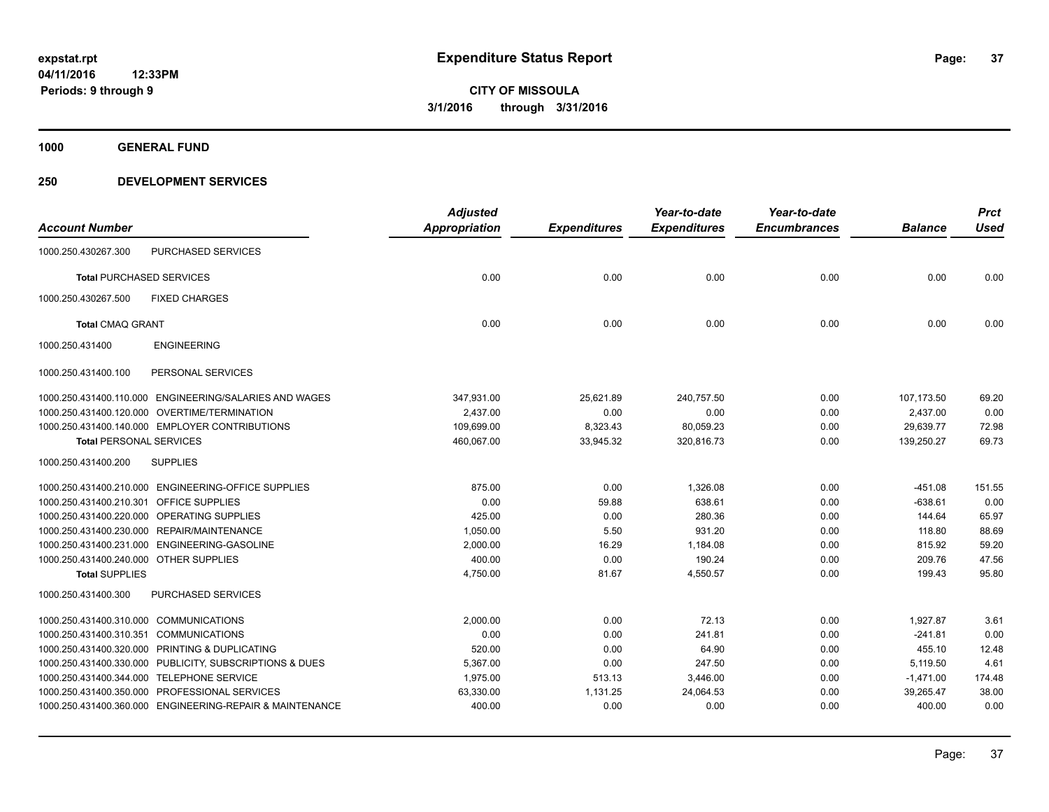**1000 GENERAL FUND**

## **250 DEVELOPMENT SERVICES**

|                                        |                                                          | <b>Adjusted</b>      |                     | Year-to-date        | Year-to-date        |                | <b>Prct</b> |
|----------------------------------------|----------------------------------------------------------|----------------------|---------------------|---------------------|---------------------|----------------|-------------|
| <b>Account Number</b>                  |                                                          | <b>Appropriation</b> | <b>Expenditures</b> | <b>Expenditures</b> | <b>Encumbrances</b> | <b>Balance</b> | <b>Used</b> |
| 1000.250.430267.300                    | PURCHASED SERVICES                                       |                      |                     |                     |                     |                |             |
| <b>Total PURCHASED SERVICES</b>        |                                                          | 0.00                 | 0.00                | 0.00                | 0.00                | 0.00           | 0.00        |
| 1000.250.430267.500                    | <b>FIXED CHARGES</b>                                     |                      |                     |                     |                     |                |             |
| <b>Total CMAQ GRANT</b>                |                                                          | 0.00                 | 0.00                | 0.00                | 0.00                | 0.00           | 0.00        |
| 1000.250.431400                        | <b>ENGINEERING</b>                                       |                      |                     |                     |                     |                |             |
| 1000.250.431400.100                    | PERSONAL SERVICES                                        |                      |                     |                     |                     |                |             |
|                                        | 1000.250.431400.110.000 ENGINEERING/SALARIES AND WAGES   | 347,931.00           | 25,621.89           | 240,757.50          | 0.00                | 107,173.50     | 69.20       |
|                                        | 1000.250.431400.120.000 OVERTIME/TERMINATION             | 2,437.00             | 0.00                | 0.00                | 0.00                | 2,437.00       | 0.00        |
|                                        | 1000.250.431400.140.000 EMPLOYER CONTRIBUTIONS           | 109,699.00           | 8,323.43            | 80,059.23           | 0.00                | 29,639.77      | 72.98       |
| <b>Total PERSONAL SERVICES</b>         |                                                          | 460,067.00           | 33,945.32           | 320,816.73          | 0.00                | 139,250.27     | 69.73       |
| 1000.250.431400.200                    | <b>SUPPLIES</b>                                          |                      |                     |                     |                     |                |             |
|                                        | 1000.250.431400.210.000 ENGINEERING-OFFICE SUPPLIES      | 875.00               | 0.00                | 1,326.08            | 0.00                | $-451.08$      | 151.55      |
| 1000.250.431400.210.301                | <b>OFFICE SUPPLIES</b>                                   | 0.00                 | 59.88               | 638.61              | 0.00                | $-638.61$      | 0.00        |
|                                        | 1000.250.431400.220.000 OPERATING SUPPLIES               | 425.00               | 0.00                | 280.36              | 0.00                | 144.64         | 65.97       |
|                                        | 1000.250.431400.230.000 REPAIR/MAINTENANCE               | 1,050.00             | 5.50                | 931.20              | 0.00                | 118.80         | 88.69       |
|                                        | 1000.250.431400.231.000 ENGINEERING-GASOLINE             | 2.000.00             | 16.29               | 1.184.08            | 0.00                | 815.92         | 59.20       |
| 1000.250.431400.240.000 OTHER SUPPLIES |                                                          | 400.00               | 0.00                | 190.24              | 0.00                | 209.76         | 47.56       |
| <b>Total SUPPLIES</b>                  |                                                          | 4,750.00             | 81.67               | 4,550.57            | 0.00                | 199.43         | 95.80       |
| 1000.250.431400.300                    | <b>PURCHASED SERVICES</b>                                |                      |                     |                     |                     |                |             |
| 1000.250.431400.310.000                | <b>COMMUNICATIONS</b>                                    | 2,000.00             | 0.00                | 72.13               | 0.00                | 1,927.87       | 3.61        |
| 1000.250.431400.310.351                | <b>COMMUNICATIONS</b>                                    | 0.00                 | 0.00                | 241.81              | 0.00                | $-241.81$      | 0.00        |
|                                        | 1000.250.431400.320.000 PRINTING & DUPLICATING           | 520.00               | 0.00                | 64.90               | 0.00                | 455.10         | 12.48       |
|                                        | 1000.250.431400.330.000 PUBLICITY, SUBSCRIPTIONS & DUES  | 5,367.00             | 0.00                | 247.50              | 0.00                | 5,119.50       | 4.61        |
|                                        | 1000.250.431400.344.000 TELEPHONE SERVICE                | 1,975.00             | 513.13              | 3,446.00            | 0.00                | $-1,471.00$    | 174.48      |
|                                        | 1000.250.431400.350.000 PROFESSIONAL SERVICES            | 63,330.00            | 1,131.25            | 24,064.53           | 0.00                | 39,265.47      | 38.00       |
|                                        | 1000.250.431400.360.000 ENGINEERING-REPAIR & MAINTENANCE | 400.00               | 0.00                | 0.00                | 0.00                | 400.00         | 0.00        |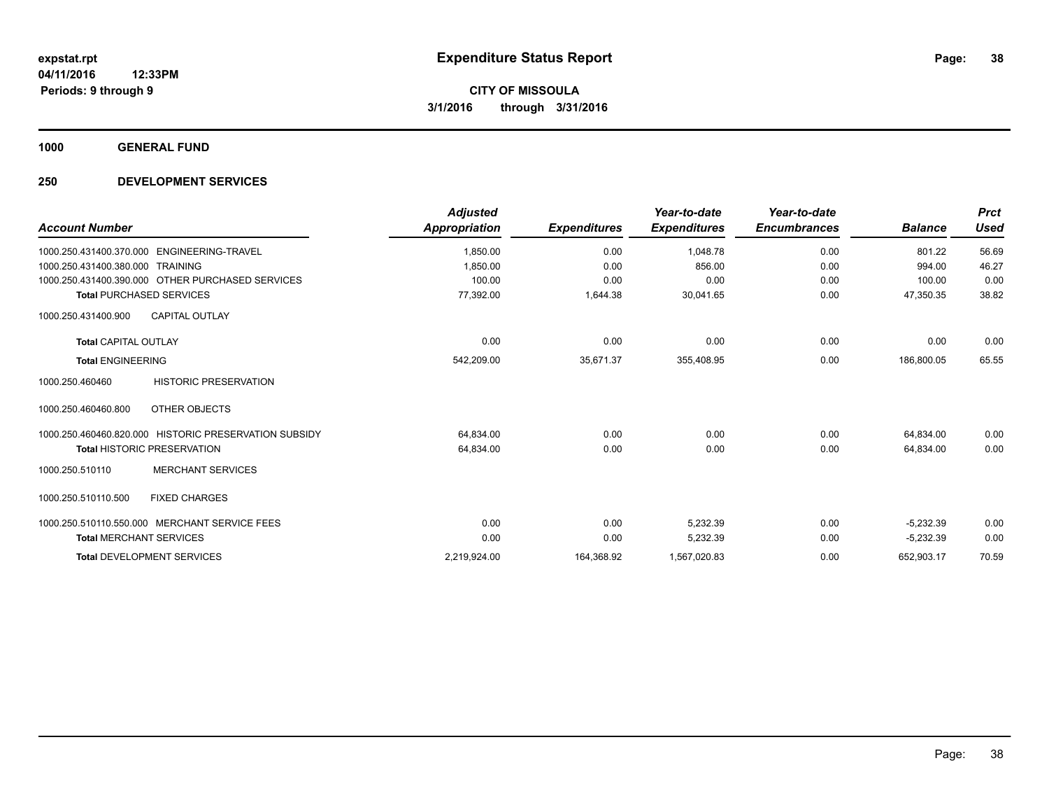**1000 GENERAL FUND**

## **250 DEVELOPMENT SERVICES**

| <b>Account Number</b>                                           | <b>Adjusted</b><br>Appropriation | <b>Expenditures</b> | Year-to-date<br><b>Expenditures</b> | Year-to-date<br><b>Encumbrances</b> | <b>Balance</b> | <b>Prct</b><br><b>Used</b> |
|-----------------------------------------------------------------|----------------------------------|---------------------|-------------------------------------|-------------------------------------|----------------|----------------------------|
| 1000.250.431400.370.000    ENGINEERING-TRAVEL                   | 1,850.00                         | 0.00                | 1.048.78                            | 0.00                                | 801.22         | 56.69                      |
| 1000.250.431400.380.000 TRAINING                                | 1.850.00                         | 0.00                | 856.00                              | 0.00                                | 994.00         | 46.27                      |
| 1000.250.431400.390.000 OTHER PURCHASED SERVICES                | 100.00                           | 0.00                | 0.00                                | 0.00                                | 100.00         | 0.00                       |
| <b>Total PURCHASED SERVICES</b>                                 | 77,392.00                        | 1,644.38            | 30,041.65                           | 0.00                                | 47,350.35      | 38.82                      |
| <b>CAPITAL OUTLAY</b><br>1000.250.431400.900                    |                                  |                     |                                     |                                     |                |                            |
| <b>Total CAPITAL OUTLAY</b>                                     | 0.00                             | 0.00                | 0.00                                | 0.00                                | 0.00           | 0.00                       |
| <b>Total ENGINEERING</b>                                        | 542,209.00                       | 35,671.37           | 355,408.95                          | 0.00                                | 186,800.05     | 65.55                      |
| <b>HISTORIC PRESERVATION</b><br>1000.250.460460                 |                                  |                     |                                     |                                     |                |                            |
| OTHER OBJECTS<br>1000.250.460460.800                            |                                  |                     |                                     |                                     |                |                            |
| <b>HISTORIC PRESERVATION SUBSIDY</b><br>1000.250.460460.820.000 | 64,834.00                        | 0.00                | 0.00                                | 0.00                                | 64,834.00      | 0.00                       |
| <b>Total HISTORIC PRESERVATION</b>                              | 64,834.00                        | 0.00                | 0.00                                | 0.00                                | 64.834.00      | 0.00                       |
| <b>MERCHANT SERVICES</b><br>1000.250.510110                     |                                  |                     |                                     |                                     |                |                            |
| 1000.250.510110.500<br><b>FIXED CHARGES</b>                     |                                  |                     |                                     |                                     |                |                            |
| 1000.250.510110.550.000 MERCHANT SERVICE FEES                   | 0.00                             | 0.00                | 5.232.39                            | 0.00                                | $-5,232.39$    | 0.00                       |
| <b>Total MERCHANT SERVICES</b>                                  | 0.00                             | 0.00                | 5,232.39                            | 0.00                                | $-5,232.39$    | 0.00                       |
| <b>Total DEVELOPMENT SERVICES</b>                               | 2,219,924.00                     | 164,368.92          | 1,567,020.83                        | 0.00                                | 652,903.17     | 70.59                      |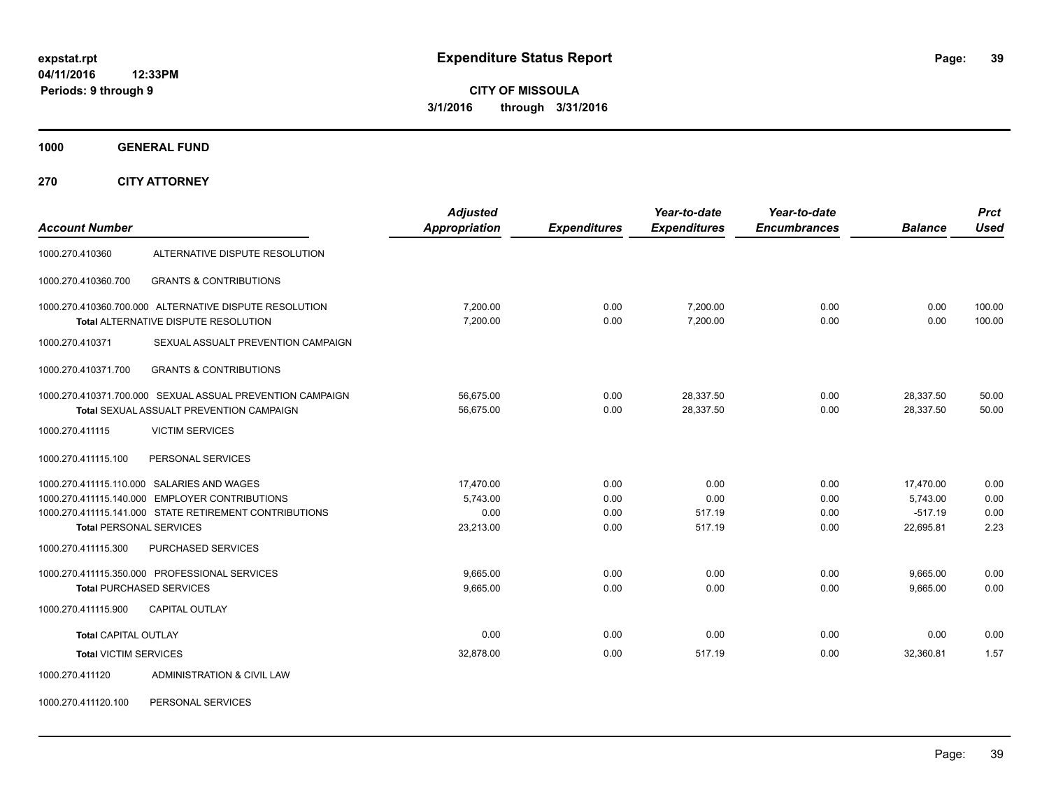**Periods: 9 through 9**

**CITY OF MISSOULA 3/1/2016 through 3/31/2016**

**1000 GENERAL FUND**

**270 CITY ATTORNEY**

| <b>Account Number</b>          |                                                                                                                                                        | <b>Adjusted</b><br>Appropriation           | <b>Expenditures</b>          | Year-to-date<br><b>Expenditures</b> | Year-to-date<br><b>Encumbrances</b> | <b>Balance</b>                                  | <b>Prct</b><br><b>Used</b>   |
|--------------------------------|--------------------------------------------------------------------------------------------------------------------------------------------------------|--------------------------------------------|------------------------------|-------------------------------------|-------------------------------------|-------------------------------------------------|------------------------------|
| 1000.270.410360                | ALTERNATIVE DISPUTE RESOLUTION                                                                                                                         |                                            |                              |                                     |                                     |                                                 |                              |
| 1000.270.410360.700            | <b>GRANTS &amp; CONTRIBUTIONS</b>                                                                                                                      |                                            |                              |                                     |                                     |                                                 |                              |
|                                | 1000.270.410360.700.000 ALTERNATIVE DISPUTE RESOLUTION<br>Total ALTERNATIVE DISPUTE RESOLUTION                                                         | 7,200.00<br>7,200.00                       | 0.00<br>0.00                 | 7,200.00<br>7,200.00                | 0.00<br>0.00                        | 0.00<br>0.00                                    | 100.00<br>100.00             |
| 1000.270.410371                | SEXUAL ASSUALT PREVENTION CAMPAIGN                                                                                                                     |                                            |                              |                                     |                                     |                                                 |                              |
| 1000.270.410371.700            | <b>GRANTS &amp; CONTRIBUTIONS</b>                                                                                                                      |                                            |                              |                                     |                                     |                                                 |                              |
|                                | 1000.270.410371.700.000 SEXUAL ASSUAL PREVENTION CAMPAIGN<br><b>Total SEXUAL ASSUALT PREVENTION CAMPAIGN</b>                                           | 56,675.00<br>56,675.00                     | 0.00<br>0.00                 | 28,337.50<br>28,337.50              | 0.00<br>0.00                        | 28,337.50<br>28,337.50                          | 50.00<br>50.00               |
| 1000.270.411115                | <b>VICTIM SERVICES</b>                                                                                                                                 |                                            |                              |                                     |                                     |                                                 |                              |
| 1000.270.411115.100            | PERSONAL SERVICES                                                                                                                                      |                                            |                              |                                     |                                     |                                                 |                              |
| <b>Total PERSONAL SERVICES</b> | 1000.270.411115.110.000 SALARIES AND WAGES<br>1000.270.411115.140.000 EMPLOYER CONTRIBUTIONS<br>1000.270.411115.141.000 STATE RETIREMENT CONTRIBUTIONS | 17.470.00<br>5,743.00<br>0.00<br>23,213.00 | 0.00<br>0.00<br>0.00<br>0.00 | 0.00<br>0.00<br>517.19<br>517.19    | 0.00<br>0.00<br>0.00<br>0.00        | 17,470.00<br>5,743.00<br>$-517.19$<br>22,695.81 | 0.00<br>0.00<br>0.00<br>2.23 |
| 1000.270.411115.300            | <b>PURCHASED SERVICES</b>                                                                                                                              |                                            |                              |                                     |                                     |                                                 |                              |
| 1000.270.411115.900            | 1000.270.411115.350.000 PROFESSIONAL SERVICES<br><b>Total PURCHASED SERVICES</b><br><b>CAPITAL OUTLAY</b>                                              | 9.665.00<br>9,665.00                       | 0.00<br>0.00                 | 0.00<br>0.00                        | 0.00<br>0.00                        | 9,665.00<br>9,665.00                            | 0.00<br>0.00                 |
| <b>Total CAPITAL OUTLAY</b>    |                                                                                                                                                        | 0.00                                       | 0.00                         | 0.00                                | 0.00                                | 0.00                                            | 0.00                         |
| <b>Total VICTIM SERVICES</b>   |                                                                                                                                                        | 32,878.00                                  | 0.00                         | 517.19                              | 0.00                                | 32,360.81                                       | 1.57                         |
| 1000.270.411120                | ADMINISTRATION & CIVIL LAW                                                                                                                             |                                            |                              |                                     |                                     |                                                 |                              |

1000.270.411120.100 PERSONAL SERVICES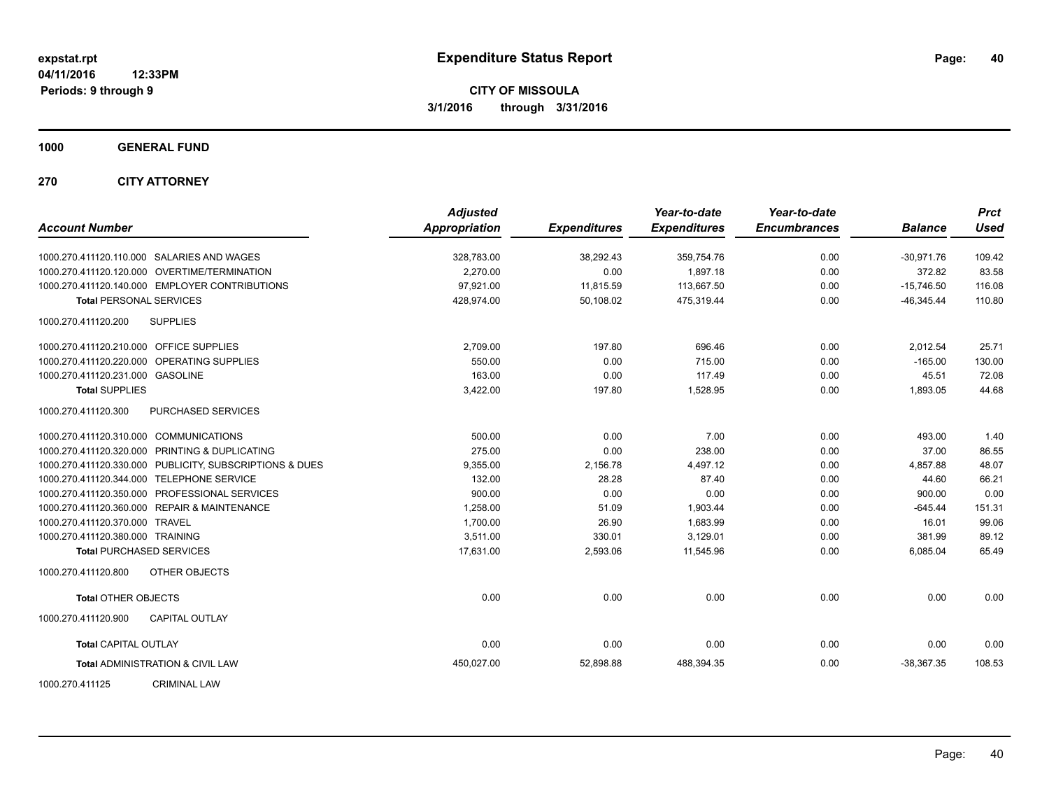**1000 GENERAL FUND**

**270 CITY ATTORNEY**

| <b>Account Number</b>                                   | <b>Adjusted</b><br><b>Appropriation</b> | <b>Expenditures</b> | Year-to-date<br><b>Expenditures</b> | Year-to-date<br><b>Encumbrances</b> | <b>Balance</b> | <b>Prct</b><br><b>Used</b> |
|---------------------------------------------------------|-----------------------------------------|---------------------|-------------------------------------|-------------------------------------|----------------|----------------------------|
| 1000.270.411120.110.000 SALARIES AND WAGES              | 328,783.00                              | 38,292.43           | 359,754.76                          | 0.00                                | $-30,971.76$   | 109.42                     |
| 1000.270.411120.120.000 OVERTIME/TERMINATION            | 2.270.00                                | 0.00                | 1,897.18                            | 0.00                                | 372.82         | 83.58                      |
| 1000.270.411120.140.000 EMPLOYER CONTRIBUTIONS          | 97,921.00                               | 11,815.59           | 113,667.50                          | 0.00                                | $-15,746.50$   | 116.08                     |
| <b>Total PERSONAL SERVICES</b>                          | 428,974.00                              | 50,108.02           | 475,319.44                          | 0.00                                | $-46,345.44$   | 110.80                     |
| <b>SUPPLIES</b><br>1000.270.411120.200                  |                                         |                     |                                     |                                     |                |                            |
| 1000.270.411120.210.000 OFFICE SUPPLIES                 | 2,709.00                                | 197.80              | 696.46                              | 0.00                                | 2,012.54       | 25.71                      |
| 1000.270.411120.220.000 OPERATING SUPPLIES              | 550.00                                  | 0.00                | 715.00                              | 0.00                                | $-165.00$      | 130.00                     |
| 1000.270.411120.231.000 GASOLINE                        | 163.00                                  | 0.00                | 117.49                              | 0.00                                | 45.51          | 72.08                      |
| <b>Total SUPPLIES</b>                                   | 3,422.00                                | 197.80              | 1,528.95                            | 0.00                                | 1,893.05       | 44.68                      |
| PURCHASED SERVICES<br>1000.270.411120.300               |                                         |                     |                                     |                                     |                |                            |
| 1000.270.411120.310.000 COMMUNICATIONS                  | 500.00                                  | 0.00                | 7.00                                | 0.00                                | 493.00         | 1.40                       |
| 1000.270.411120.320.000 PRINTING & DUPLICATING          | 275.00                                  | 0.00                | 238.00                              | 0.00                                | 37.00          | 86.55                      |
| 1000.270.411120.330.000 PUBLICITY, SUBSCRIPTIONS & DUES | 9,355.00                                | 2,156.78            | 4,497.12                            | 0.00                                | 4,857.88       | 48.07                      |
| 1000.270.411120.344.000 TELEPHONE SERVICE               | 132.00                                  | 28.28               | 87.40                               | 0.00                                | 44.60          | 66.21                      |
| 1000.270.411120.350.000 PROFESSIONAL SERVICES           | 900.00                                  | 0.00                | 0.00                                | 0.00                                | 900.00         | 0.00                       |
| 1000.270.411120.360.000 REPAIR & MAINTENANCE            | 1,258.00                                | 51.09               | 1,903.44                            | 0.00                                | $-645.44$      | 151.31                     |
| 1000.270.411120.370.000 TRAVEL                          | 1,700.00                                | 26.90               | 1,683.99                            | 0.00                                | 16.01          | 99.06                      |
| 1000.270.411120.380.000 TRAINING                        | 3,511.00                                | 330.01              | 3,129.01                            | 0.00                                | 381.99         | 89.12                      |
| <b>Total PURCHASED SERVICES</b>                         | 17,631.00                               | 2,593.06            | 11,545.96                           | 0.00                                | 6,085.04       | 65.49                      |
| OTHER OBJECTS<br>1000.270.411120.800                    |                                         |                     |                                     |                                     |                |                            |
| <b>Total OTHER OBJECTS</b>                              | 0.00                                    | 0.00                | 0.00                                | 0.00                                | 0.00           | 0.00                       |
| <b>CAPITAL OUTLAY</b><br>1000.270.411120.900            |                                         |                     |                                     |                                     |                |                            |
| <b>Total CAPITAL OUTLAY</b>                             | 0.00                                    | 0.00                | 0.00                                | 0.00                                | 0.00           | 0.00                       |
| <b>Total ADMINISTRATION &amp; CIVIL LAW</b>             | 450,027.00                              | 52,898.88           | 488,394.35                          | 0.00                                | $-38,367.35$   | 108.53                     |
| 1000.270.411125<br><b>CRIMINAL LAW</b>                  |                                         |                     |                                     |                                     |                |                            |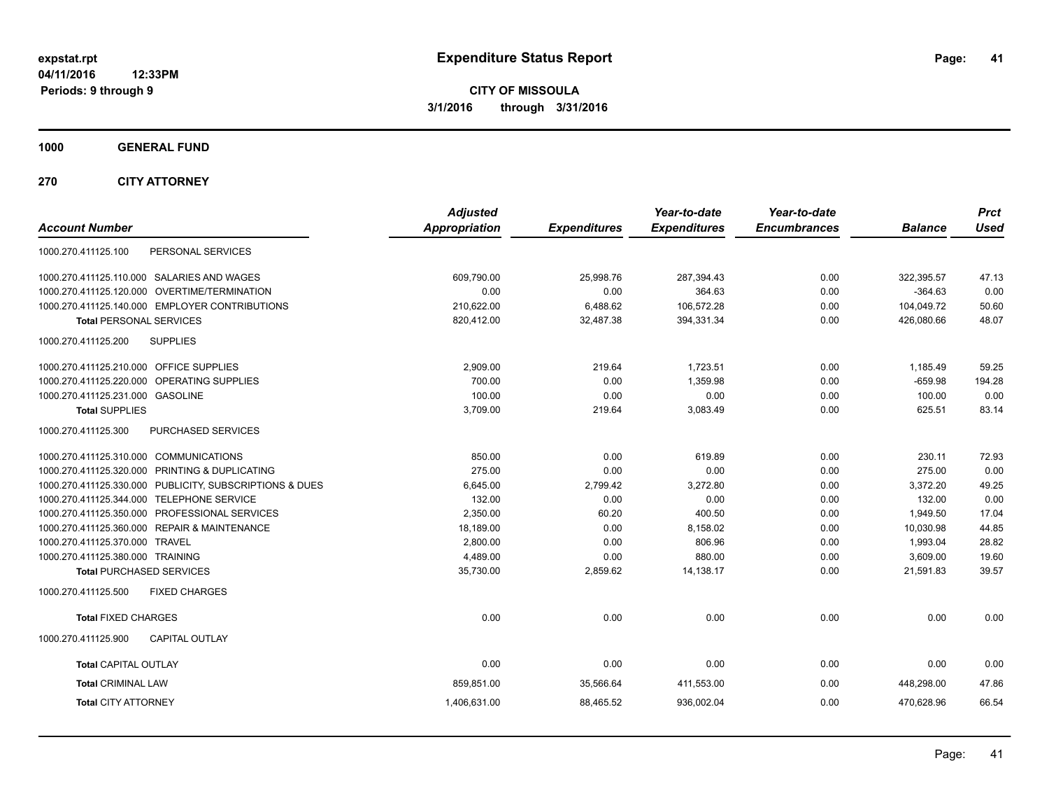**Periods: 9 through 9**

**CITY OF MISSOULA 3/1/2016 through 3/31/2016**

**1000 GENERAL FUND**

**270 CITY ATTORNEY**

| <b>Account Number</b>                                   | <b>Adjusted</b><br><b>Appropriation</b> | <b>Expenditures</b> | Year-to-date<br><b>Expenditures</b> | Year-to-date<br><b>Encumbrances</b> | <b>Balance</b> | <b>Prct</b><br><b>Used</b> |
|---------------------------------------------------------|-----------------------------------------|---------------------|-------------------------------------|-------------------------------------|----------------|----------------------------|
| PERSONAL SERVICES<br>1000.270.411125.100                |                                         |                     |                                     |                                     |                |                            |
| 1000.270.411125.110.000 SALARIES AND WAGES              | 609.790.00                              | 25.998.76           | 287,394.43                          | 0.00                                | 322,395.57     | 47.13                      |
| 1000.270.411125.120.000 OVERTIME/TERMINATION            | 0.00                                    | 0.00                | 364.63                              | 0.00                                | $-364.63$      | 0.00                       |
| 1000.270.411125.140.000 EMPLOYER CONTRIBUTIONS          | 210,622.00                              | 6,488.62            | 106,572.28                          | 0.00                                | 104,049.72     | 50.60                      |
| <b>Total PERSONAL SERVICES</b>                          | 820,412.00                              | 32,487.38           | 394,331.34                          | 0.00                                | 426,080.66     | 48.07                      |
| 1000.270.411125.200<br><b>SUPPLIES</b>                  |                                         |                     |                                     |                                     |                |                            |
| 1000.270.411125.210.000 OFFICE SUPPLIES                 | 2,909.00                                | 219.64              | 1,723.51                            | 0.00                                | 1,185.49       | 59.25                      |
| 1000.270.411125.220.000 OPERATING SUPPLIES              | 700.00                                  | 0.00                | 1,359.98                            | 0.00                                | $-659.98$      | 194.28                     |
| 1000.270.411125.231.000 GASOLINE                        | 100.00                                  | 0.00                | 0.00                                | 0.00                                | 100.00         | 0.00                       |
| <b>Total SUPPLIES</b>                                   | 3,709.00                                | 219.64              | 3,083.49                            | 0.00                                | 625.51         | 83.14                      |
| 1000.270.411125.300<br>PURCHASED SERVICES               |                                         |                     |                                     |                                     |                |                            |
| 1000.270.411125.310.000 COMMUNICATIONS                  | 850.00                                  | 0.00                | 619.89                              | 0.00                                | 230.11         | 72.93                      |
| 1000.270.411125.320.000 PRINTING & DUPLICATING          | 275.00                                  | 0.00                | 0.00                                | 0.00                                | 275.00         | 0.00                       |
| 1000.270.411125.330.000 PUBLICITY, SUBSCRIPTIONS & DUES | 6,645.00                                | 2,799.42            | 3,272.80                            | 0.00                                | 3,372.20       | 49.25                      |
| 1000.270.411125.344.000 TELEPHONE SERVICE               | 132.00                                  | 0.00                | 0.00                                | 0.00                                | 132.00         | 0.00                       |
| 1000.270.411125.350.000 PROFESSIONAL SERVICES           | 2,350.00                                | 60.20               | 400.50                              | 0.00                                | 1,949.50       | 17.04                      |
| 1000.270.411125.360.000 REPAIR & MAINTENANCE            | 18,189.00                               | 0.00                | 8,158.02                            | 0.00                                | 10,030.98      | 44.85                      |
| 1000.270.411125.370.000 TRAVEL                          | 2,800.00                                | 0.00                | 806.96                              | 0.00                                | 1,993.04       | 28.82                      |
| 1000.270.411125.380.000 TRAINING                        | 4,489.00                                | 0.00                | 880.00                              | 0.00                                | 3,609.00       | 19.60                      |
| <b>Total PURCHASED SERVICES</b>                         | 35,730.00                               | 2,859.62            | 14,138.17                           | 0.00                                | 21,591.83      | 39.57                      |
| <b>FIXED CHARGES</b><br>1000.270.411125.500             |                                         |                     |                                     |                                     |                |                            |
| <b>Total FIXED CHARGES</b>                              | 0.00                                    | 0.00                | 0.00                                | 0.00                                | 0.00           | 0.00                       |
| 1000.270.411125.900<br><b>CAPITAL OUTLAY</b>            |                                         |                     |                                     |                                     |                |                            |
| <b>Total CAPITAL OUTLAY</b>                             | 0.00                                    | 0.00                | 0.00                                | 0.00                                | 0.00           | 0.00                       |
| <b>Total CRIMINAL LAW</b>                               | 859,851.00                              | 35,566.64           | 411,553.00                          | 0.00                                | 448,298.00     | 47.86                      |
| <b>Total CITY ATTORNEY</b>                              | 1,406,631.00                            | 88,465.52           | 936,002.04                          | 0.00                                | 470,628.96     | 66.54                      |
|                                                         |                                         |                     |                                     |                                     |                |                            |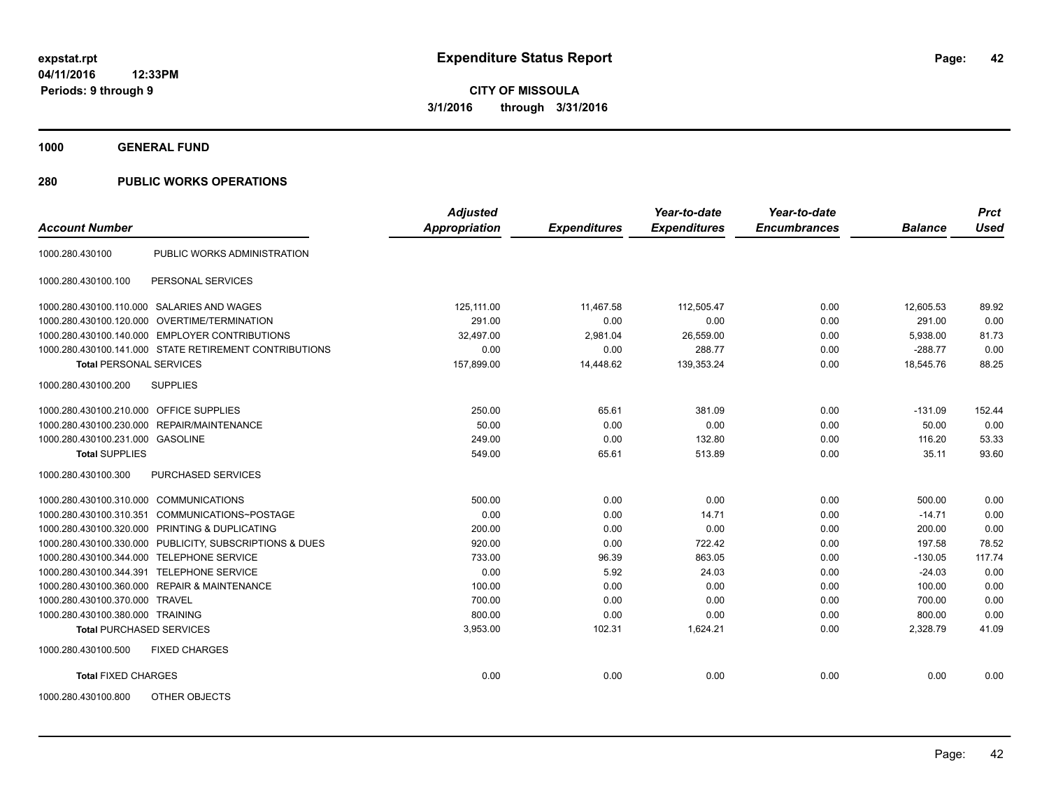**1000 GENERAL FUND**

| <b>Account Number</b>                   |                                                         | <b>Adjusted</b><br><b>Appropriation</b> | <b>Expenditures</b> | Year-to-date<br><b>Expenditures</b> | Year-to-date<br><b>Encumbrances</b> | <b>Balance</b> | <b>Prct</b><br><b>Used</b> |
|-----------------------------------------|---------------------------------------------------------|-----------------------------------------|---------------------|-------------------------------------|-------------------------------------|----------------|----------------------------|
|                                         |                                                         |                                         |                     |                                     |                                     |                |                            |
| 1000.280.430100                         | PUBLIC WORKS ADMINISTRATION                             |                                         |                     |                                     |                                     |                |                            |
| 1000.280.430100.100                     | PERSONAL SERVICES                                       |                                         |                     |                                     |                                     |                |                            |
|                                         | 1000.280.430100.110.000 SALARIES AND WAGES              | 125.111.00                              | 11.467.58           | 112.505.47                          | 0.00                                | 12.605.53      | 89.92                      |
|                                         | 1000.280.430100.120.000 OVERTIME/TERMINATION            | 291.00                                  | 0.00                | 0.00                                | 0.00                                | 291.00         | 0.00                       |
|                                         | 1000.280.430100.140.000 EMPLOYER CONTRIBUTIONS          | 32,497.00                               | 2,981.04            | 26,559.00                           | 0.00                                | 5,938.00       | 81.73                      |
|                                         | 1000.280.430100.141.000 STATE RETIREMENT CONTRIBUTIONS  | 0.00                                    | 0.00                | 288.77                              | 0.00                                | $-288.77$      | 0.00                       |
| <b>Total PERSONAL SERVICES</b>          |                                                         | 157,899.00                              | 14,448.62           | 139,353.24                          | 0.00                                | 18,545.76      | 88.25                      |
| 1000.280.430100.200                     | <b>SUPPLIES</b>                                         |                                         |                     |                                     |                                     |                |                            |
| 1000.280.430100.210.000 OFFICE SUPPLIES |                                                         | 250.00                                  | 65.61               | 381.09                              | 0.00                                | $-131.09$      | 152.44                     |
|                                         | 1000.280.430100.230.000 REPAIR/MAINTENANCE              | 50.00                                   | 0.00                | 0.00                                | 0.00                                | 50.00          | 0.00                       |
| 1000.280.430100.231.000 GASOLINE        |                                                         | 249.00                                  | 0.00                | 132.80                              | 0.00                                | 116.20         | 53.33                      |
| <b>Total SUPPLIES</b>                   |                                                         | 549.00                                  | 65.61               | 513.89                              | 0.00                                | 35.11          | 93.60                      |
| 1000.280.430100.300                     | <b>PURCHASED SERVICES</b>                               |                                         |                     |                                     |                                     |                |                            |
| 1000.280.430100.310.000 COMMUNICATIONS  |                                                         | 500.00                                  | 0.00                | 0.00                                | 0.00                                | 500.00         | 0.00                       |
| 1000.280.430100.310.351                 | COMMUNICATIONS~POSTAGE                                  | 0.00                                    | 0.00                | 14.71                               | 0.00                                | $-14.71$       | 0.00                       |
|                                         | 1000.280.430100.320.000 PRINTING & DUPLICATING          | 200.00                                  | 0.00                | 0.00                                | 0.00                                | 200.00         | 0.00                       |
|                                         | 1000.280.430100.330.000 PUBLICITY, SUBSCRIPTIONS & DUES | 920.00                                  | 0.00                | 722.42                              | 0.00                                | 197.58         | 78.52                      |
| 1000.280.430100.344.000                 | <b>TELEPHONE SERVICE</b>                                | 733.00                                  | 96.39               | 863.05                              | 0.00                                | $-130.05$      | 117.74                     |
| 1000.280.430100.344.391                 | <b>TELEPHONE SERVICE</b>                                | 0.00                                    | 5.92                | 24.03                               | 0.00                                | $-24.03$       | 0.00                       |
|                                         | 1000.280.430100.360.000 REPAIR & MAINTENANCE            | 100.00                                  | 0.00                | 0.00                                | 0.00                                | 100.00         | 0.00                       |
| 1000.280.430100.370.000 TRAVEL          |                                                         | 700.00                                  | 0.00                | 0.00                                | 0.00                                | 700.00         | 0.00                       |
| 1000.280.430100.380.000 TRAINING        |                                                         | 800.00                                  | 0.00                | 0.00                                | 0.00                                | 800.00         | 0.00                       |
| <b>Total PURCHASED SERVICES</b>         |                                                         | 3,953.00                                | 102.31              | 1,624.21                            | 0.00                                | 2,328.79       | 41.09                      |
| 1000.280.430100.500                     | <b>FIXED CHARGES</b>                                    |                                         |                     |                                     |                                     |                |                            |
| <b>Total FIXED CHARGES</b>              |                                                         | 0.00                                    | 0.00                | 0.00                                | 0.00                                | 0.00           | 0.00                       |
| 1000.280.430100.800                     | OTHER OBJECTS                                           |                                         |                     |                                     |                                     |                |                            |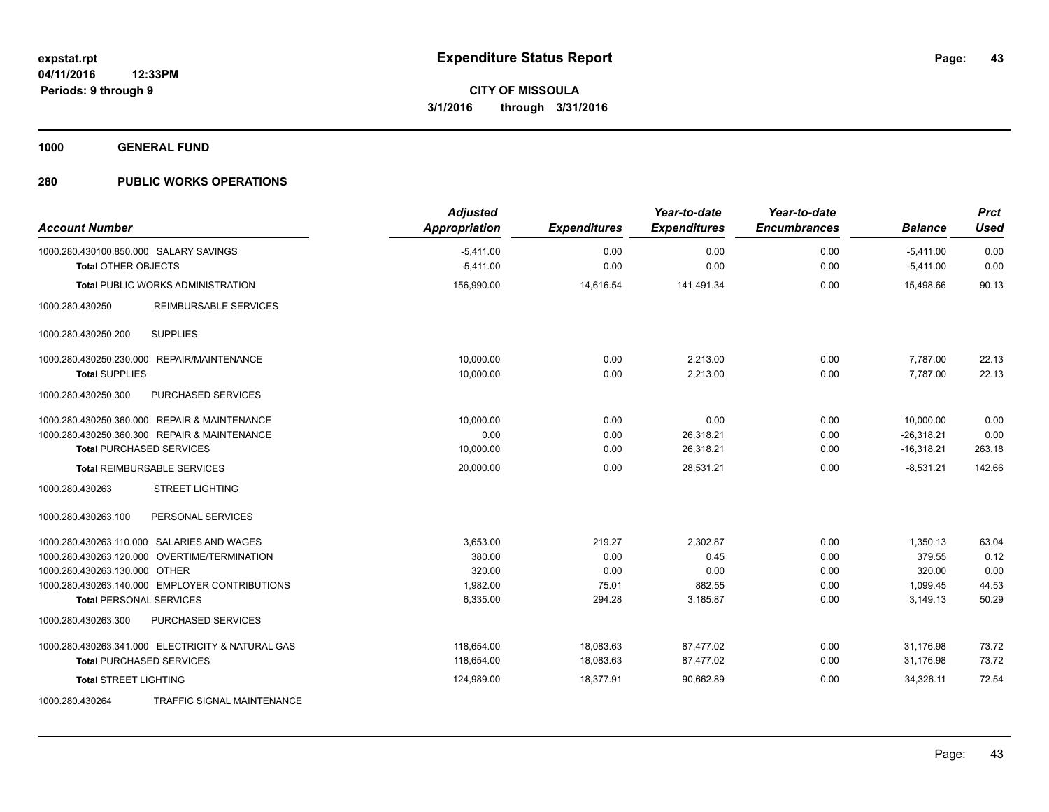**1000 GENERAL FUND**

| <b>Account Number</b>                                                | <b>Adjusted</b><br><b>Appropriation</b> | <b>Expenditures</b> | Year-to-date<br><b>Expenditures</b> | Year-to-date<br><b>Encumbrances</b> | <b>Balance</b>             | <b>Prct</b><br><b>Used</b> |
|----------------------------------------------------------------------|-----------------------------------------|---------------------|-------------------------------------|-------------------------------------|----------------------------|----------------------------|
| 1000.280.430100.850.000 SALARY SAVINGS<br><b>Total OTHER OBJECTS</b> | $-5,411.00$<br>$-5,411.00$              | 0.00<br>0.00        | 0.00<br>0.00                        | 0.00<br>0.00                        | $-5,411.00$<br>$-5,411.00$ | 0.00<br>0.00               |
| <b>Total PUBLIC WORKS ADMINISTRATION</b>                             | 156,990.00                              | 14,616.54           | 141,491.34                          | 0.00                                | 15.498.66                  | 90.13                      |
| <b>REIMBURSABLE SERVICES</b><br>1000.280.430250                      |                                         |                     |                                     |                                     |                            |                            |
| 1000.280.430250.200<br><b>SUPPLIES</b>                               |                                         |                     |                                     |                                     |                            |                            |
| 1000.280.430250.230.000 REPAIR/MAINTENANCE                           | 10.000.00                               | 0.00                | 2,213.00                            | 0.00                                | 7,787.00                   | 22.13                      |
| <b>Total SUPPLIES</b>                                                | 10,000.00                               | 0.00                | 2,213.00                            | 0.00                                | 7,787.00                   | 22.13                      |
| 1000.280.430250.300<br>PURCHASED SERVICES                            |                                         |                     |                                     |                                     |                            |                            |
| 1000.280.430250.360.000 REPAIR & MAINTENANCE                         | 10,000.00                               | 0.00                | 0.00                                | 0.00                                | 10,000.00                  | 0.00                       |
| 1000.280.430250.360.300 REPAIR & MAINTENANCE                         | 0.00                                    | 0.00                | 26,318.21                           | 0.00                                | $-26,318.21$               | 0.00                       |
| <b>Total PURCHASED SERVICES</b>                                      | 10,000.00                               | 0.00                | 26,318.21                           | 0.00                                | $-16,318.21$               | 263.18                     |
| <b>Total REIMBURSABLE SERVICES</b>                                   | 20,000.00                               | 0.00                | 28,531.21                           | 0.00                                | $-8,531.21$                | 142.66                     |
| <b>STREET LIGHTING</b><br>1000.280.430263                            |                                         |                     |                                     |                                     |                            |                            |
| 1000.280.430263.100<br>PERSONAL SERVICES                             |                                         |                     |                                     |                                     |                            |                            |
| 1000.280.430263.110.000 SALARIES AND WAGES                           | 3,653.00                                | 219.27              | 2,302.87                            | 0.00                                | 1,350.13                   | 63.04                      |
| 1000.280.430263.120.000 OVERTIME/TERMINATION                         | 380.00                                  | 0.00                | 0.45                                | 0.00                                | 379.55                     | 0.12                       |
| 1000.280.430263.130.000 OTHER                                        | 320.00                                  | 0.00                | 0.00                                | 0.00                                | 320.00                     | 0.00                       |
| 1000.280.430263.140.000 EMPLOYER CONTRIBUTIONS                       | 1,982.00                                | 75.01               | 882.55                              | 0.00                                | 1,099.45                   | 44.53                      |
| <b>Total PERSONAL SERVICES</b>                                       | 6,335.00                                | 294.28              | 3,185.87                            | 0.00                                | 3,149.13                   | 50.29                      |
| 1000.280.430263.300<br>PURCHASED SERVICES                            |                                         |                     |                                     |                                     |                            |                            |
| 1000.280.430263.341.000 ELECTRICITY & NATURAL GAS                    | 118.654.00                              | 18,083.63           | 87,477.02                           | 0.00                                | 31.176.98                  | 73.72                      |
| <b>Total PURCHASED SERVICES</b>                                      | 118,654.00                              | 18,083.63           | 87,477.02                           | 0.00                                | 31,176.98                  | 73.72                      |
| <b>Total STREET LIGHTING</b>                                         | 124,989.00                              | 18,377.91           | 90.662.89                           | 0.00                                | 34,326.11                  | 72.54                      |
| TRAFFIC SIGNAL MAINTENANCE<br>1000.280.430264                        |                                         |                     |                                     |                                     |                            |                            |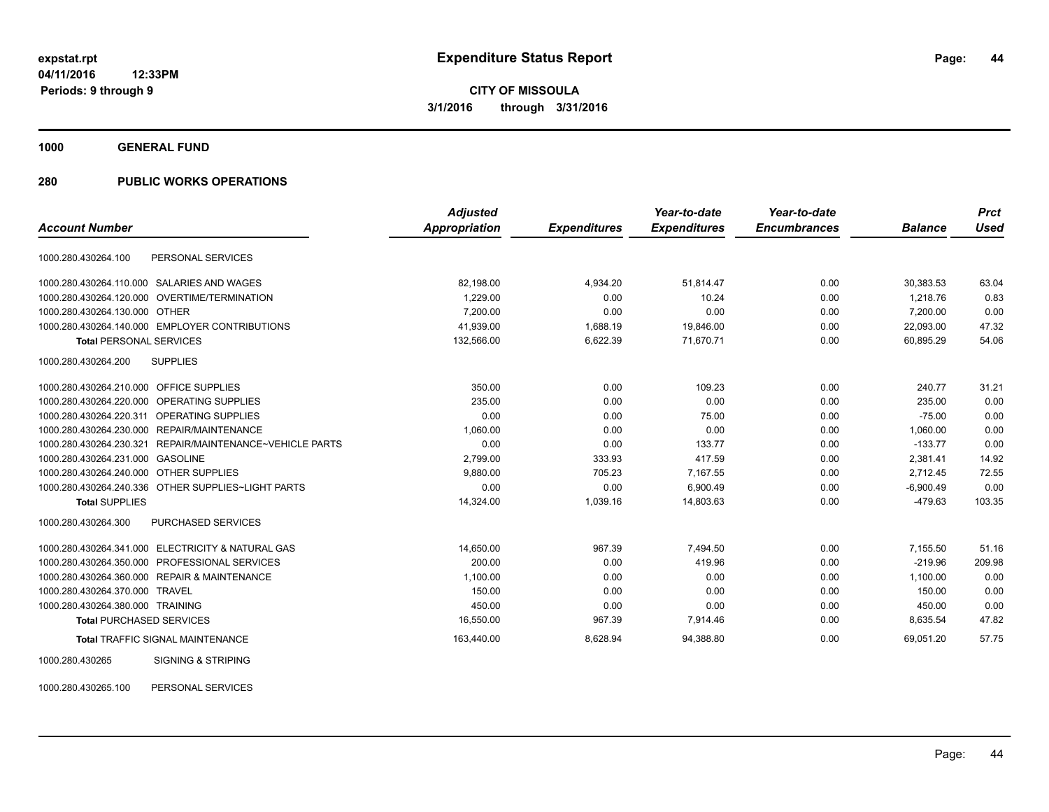**1000 GENERAL FUND**

## **280 PUBLIC WORKS OPERATIONS**

|                                                             | <b>Adjusted</b> |                     | Year-to-date        | Year-to-date        |                | <b>Prct</b> |
|-------------------------------------------------------------|-----------------|---------------------|---------------------|---------------------|----------------|-------------|
| <b>Account Number</b>                                       | Appropriation   | <b>Expenditures</b> | <b>Expenditures</b> | <b>Encumbrances</b> | <b>Balance</b> | <b>Used</b> |
| 1000.280.430264.100<br>PERSONAL SERVICES                    |                 |                     |                     |                     |                |             |
| SALARIES AND WAGES<br>1000.280.430264.110.000               | 82,198.00       | 4,934.20            | 51,814.47           | 0.00                | 30,383.53      | 63.04       |
| <b>OVERTIME/TERMINATION</b><br>1000.280.430264.120.000      | 1.229.00        | 0.00                | 10.24               | 0.00                | 1.218.76       | 0.83        |
| 1000.280.430264.130.000 OTHER                               | 7,200.00        | 0.00                | 0.00                | 0.00                | 7,200.00       | 0.00        |
| 1000.280.430264.140.000 EMPLOYER CONTRIBUTIONS              | 41,939.00       | 1,688.19            | 19,846.00           | 0.00                | 22,093.00      | 47.32       |
| <b>Total PERSONAL SERVICES</b>                              | 132,566.00      | 6,622.39            | 71,670.71           | 0.00                | 60,895.29      | 54.06       |
| 1000.280.430264.200<br><b>SUPPLIES</b>                      |                 |                     |                     |                     |                |             |
| 1000.280.430264.210.000 OFFICE SUPPLIES                     | 350.00          | 0.00                | 109.23              | 0.00                | 240.77         | 31.21       |
| 1000.280.430264.220.000 OPERATING SUPPLIES                  | 235.00          | 0.00                | 0.00                | 0.00                | 235.00         | 0.00        |
| 1000.280.430264.220.311 OPERATING SUPPLIES                  | 0.00            | 0.00                | 75.00               | 0.00                | $-75.00$       | 0.00        |
| 1000.280.430264.230.000 REPAIR/MAINTENANCE                  | 1,060.00        | 0.00                | 0.00                | 0.00                | 1.060.00       | 0.00        |
| 1000.280.430264.230.321<br>REPAIR/MAINTENANCE~VEHICLE PARTS | 0.00            | 0.00                | 133.77              | 0.00                | $-133.77$      | 0.00        |
| 1000.280.430264.231.000<br>GASOLINE                         | 2,799.00        | 333.93              | 417.59              | 0.00                | 2,381.41       | 14.92       |
| 1000.280.430264.240.000 OTHER SUPPLIES                      | 9.880.00        | 705.23              | 7,167.55            | 0.00                | 2.712.45       | 72.55       |
| 1000.280.430264.240.336 OTHER SUPPLIES~LIGHT PARTS          | 0.00            | 0.00                | 6,900.49            | 0.00                | $-6,900.49$    | 0.00        |
| <b>Total SUPPLIES</b>                                       | 14,324.00       | 1,039.16            | 14,803.63           | 0.00                | $-479.63$      | 103.35      |
| 1000.280.430264.300<br><b>PURCHASED SERVICES</b>            |                 |                     |                     |                     |                |             |
| 1000.280.430264.341.000 ELECTRICITY & NATURAL GAS           | 14,650.00       | 967.39              | 7.494.50            | 0.00                | 7,155.50       | 51.16       |
| PROFESSIONAL SERVICES<br>1000.280.430264.350.000            | 200.00          | 0.00                | 419.96              | 0.00                | $-219.96$      | 209.98      |
| 1000.280.430264.360.000 REPAIR & MAINTENANCE                | 1,100.00        | 0.00                | 0.00                | 0.00                | 1,100.00       | 0.00        |
| 1000.280.430264.370.000<br><b>TRAVEL</b>                    | 150.00          | 0.00                | 0.00                | 0.00                | 150.00         | 0.00        |
| 1000.280.430264.380.000 TRAINING                            | 450.00          | 0.00                | 0.00                | 0.00                | 450.00         | 0.00        |
| <b>Total PURCHASED SERVICES</b>                             | 16,550.00       | 967.39              | 7,914.46            | 0.00                | 8,635.54       | 47.82       |
| <b>Total TRAFFIC SIGNAL MAINTENANCE</b>                     | 163,440.00      | 8,628.94            | 94,388.80           | 0.00                | 69,051.20      | 57.75       |
| <b>SIGNING &amp; STRIPING</b><br>1000.280.430265            |                 |                     |                     |                     |                |             |

1000.280.430265.100 PERSONAL SERVICES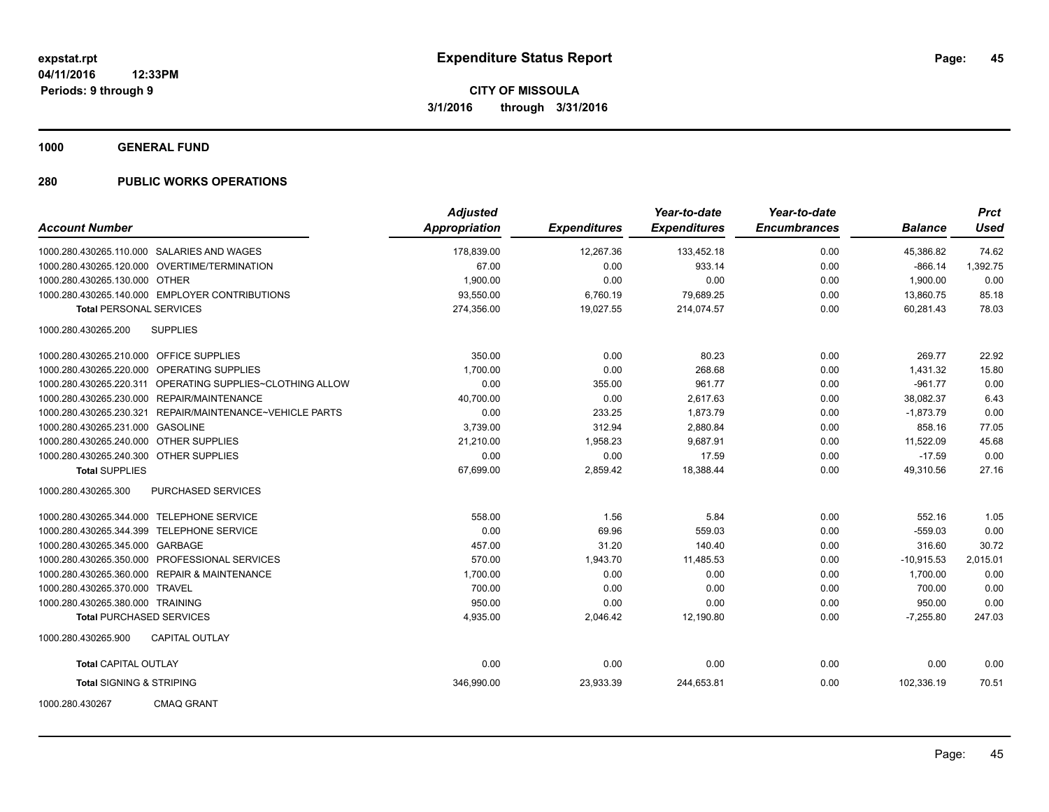**1000 GENERAL FUND**

| <b>Account Number</b>                   |                                                           | <b>Adjusted</b><br><b>Appropriation</b> | <b>Expenditures</b> | Year-to-date<br><b>Expenditures</b> | Year-to-date<br><b>Encumbrances</b> | <b>Balance</b> | <b>Prct</b><br><b>Used</b> |
|-----------------------------------------|-----------------------------------------------------------|-----------------------------------------|---------------------|-------------------------------------|-------------------------------------|----------------|----------------------------|
|                                         |                                                           |                                         |                     |                                     |                                     |                |                            |
|                                         | 1000.280.430265.110.000 SALARIES AND WAGES                | 178,839.00                              | 12,267.36           | 133,452.18                          | 0.00                                | 45,386.82      | 74.62                      |
|                                         | 1000.280.430265.120.000 OVERTIME/TERMINATION              | 67.00                                   | 0.00                | 933.14                              | 0.00                                | $-866.14$      | 1,392.75                   |
| 1000.280.430265.130.000 OTHER           |                                                           | 1,900.00                                | 0.00                | 0.00                                | 0.00                                | 1,900.00       | 0.00                       |
|                                         | 1000.280.430265.140.000 EMPLOYER CONTRIBUTIONS            | 93,550.00                               | 6,760.19            | 79,689.25                           | 0.00                                | 13,860.75      | 85.18                      |
| <b>Total PERSONAL SERVICES</b>          |                                                           | 274,356.00                              | 19,027.55           | 214.074.57                          | 0.00                                | 60.281.43      | 78.03                      |
| 1000.280.430265.200                     | <b>SUPPLIES</b>                                           |                                         |                     |                                     |                                     |                |                            |
| 1000.280.430265.210.000 OFFICE SUPPLIES |                                                           | 350.00                                  | 0.00                | 80.23                               | 0.00                                | 269.77         | 22.92                      |
|                                         | 1000.280.430265.220.000 OPERATING SUPPLIES                | 1,700.00                                | 0.00                | 268.68                              | 0.00                                | 1,431.32       | 15.80                      |
|                                         | 1000.280.430265.220.311 OPERATING SUPPLIES~CLOTHING ALLOW | 0.00                                    | 355.00              | 961.77                              | 0.00                                | $-961.77$      | 0.00                       |
|                                         | 1000.280.430265.230.000 REPAIR/MAINTENANCE                | 40,700.00                               | 0.00                | 2,617.63                            | 0.00                                | 38,082.37      | 6.43                       |
|                                         | 1000.280.430265.230.321 REPAIR/MAINTENANCE~VEHICLE PARTS  | 0.00                                    | 233.25              | 1,873.79                            | 0.00                                | $-1,873.79$    | 0.00                       |
| 1000.280.430265.231.000 GASOLINE        |                                                           | 3,739.00                                | 312.94              | 2,880.84                            | 0.00                                | 858.16         | 77.05                      |
| 1000.280.430265.240.000 OTHER SUPPLIES  |                                                           | 21,210.00                               | 1,958.23            | 9,687.91                            | 0.00                                | 11,522.09      | 45.68                      |
| 1000.280.430265.240.300 OTHER SUPPLIES  |                                                           | 0.00                                    | 0.00                | 17.59                               | 0.00                                | $-17.59$       | 0.00                       |
| <b>Total SUPPLIES</b>                   |                                                           | 67,699.00                               | 2,859.42            | 18,388.44                           | 0.00                                | 49,310.56      | 27.16                      |
| 1000.280.430265.300                     | <b>PURCHASED SERVICES</b>                                 |                                         |                     |                                     |                                     |                |                            |
|                                         | 1000.280.430265.344.000 TELEPHONE SERVICE                 | 558.00                                  | 1.56                | 5.84                                | 0.00                                | 552.16         | 1.05                       |
|                                         | 1000.280.430265.344.399 TELEPHONE SERVICE                 | 0.00                                    | 69.96               | 559.03                              | 0.00                                | $-559.03$      | 0.00                       |
| 1000.280.430265.345.000 GARBAGE         |                                                           | 457.00                                  | 31.20               | 140.40                              | 0.00                                | 316.60         | 30.72                      |
|                                         | 1000.280.430265.350.000 PROFESSIONAL SERVICES             | 570.00                                  | 1,943.70            | 11,485.53                           | 0.00                                | $-10.915.53$   | 2,015.01                   |
|                                         | 1000.280.430265.360.000 REPAIR & MAINTENANCE              | 1,700.00                                | 0.00                | 0.00                                | 0.00                                | 1,700.00       | 0.00                       |
| 1000.280.430265.370.000 TRAVEL          |                                                           | 700.00                                  | 0.00                | 0.00                                | 0.00                                | 700.00         | 0.00                       |
| 1000.280.430265.380.000 TRAINING        |                                                           | 950.00                                  | 0.00                | 0.00                                | 0.00                                | 950.00         | 0.00                       |
| <b>Total PURCHASED SERVICES</b>         |                                                           | 4,935.00                                | 2,046.42            | 12,190.80                           | 0.00                                | $-7,255.80$    | 247.03                     |
| 1000.280.430265.900                     | <b>CAPITAL OUTLAY</b>                                     |                                         |                     |                                     |                                     |                |                            |
| <b>Total CAPITAL OUTLAY</b>             |                                                           | 0.00                                    | 0.00                | 0.00                                | 0.00                                | 0.00           | 0.00                       |
| <b>Total SIGNING &amp; STRIPING</b>     |                                                           | 346,990.00                              | 23,933.39           | 244,653.81                          | 0.00                                | 102,336.19     | 70.51                      |
| 1000.280.430267                         | <b>CMAQ GRANT</b>                                         |                                         |                     |                                     |                                     |                |                            |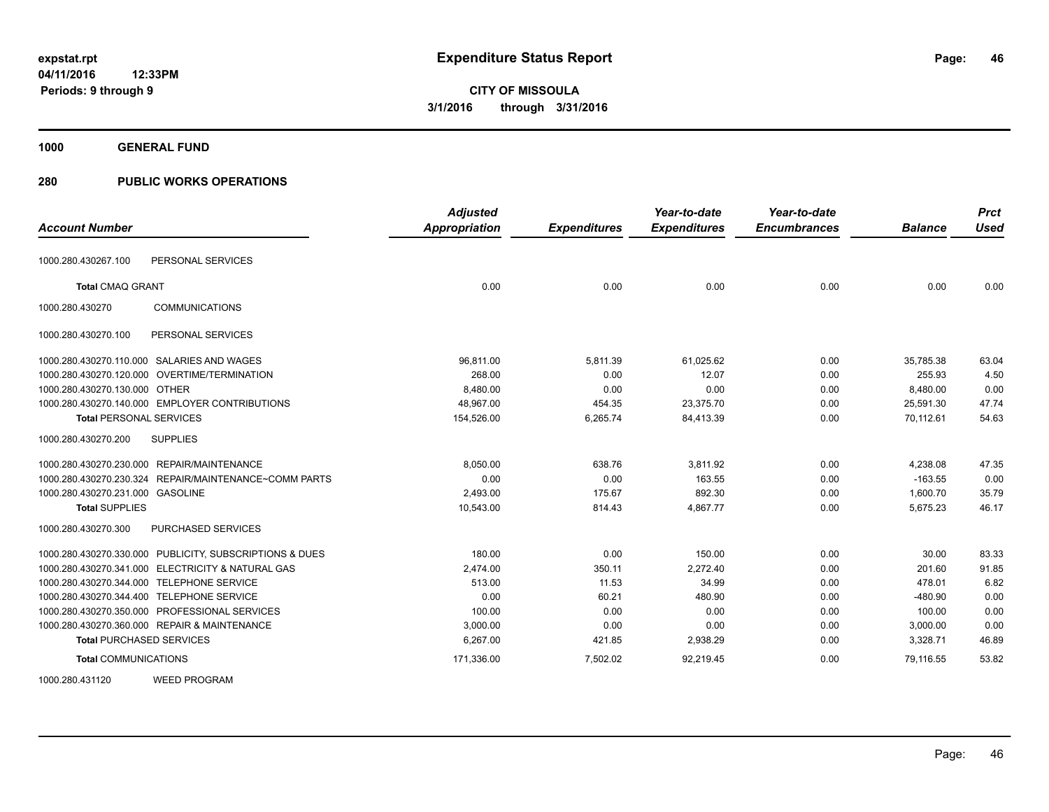**1000 GENERAL FUND**

| <b>Account Number</b>                                   | <b>Adjusted</b><br><b>Appropriation</b> | <b>Expenditures</b> | Year-to-date<br><b>Expenditures</b> | Year-to-date<br><b>Encumbrances</b> | <b>Balance</b> | <b>Prct</b><br><b>Used</b> |
|---------------------------------------------------------|-----------------------------------------|---------------------|-------------------------------------|-------------------------------------|----------------|----------------------------|
| PERSONAL SERVICES<br>1000.280.430267.100                |                                         |                     |                                     |                                     |                |                            |
| <b>Total CMAQ GRANT</b>                                 | 0.00                                    | 0.00                | 0.00                                | 0.00                                | 0.00           | 0.00                       |
| <b>COMMUNICATIONS</b><br>1000.280.430270                |                                         |                     |                                     |                                     |                |                            |
| 1000.280.430270.100<br>PERSONAL SERVICES                |                                         |                     |                                     |                                     |                |                            |
| 1000.280.430270.110.000 SALARIES AND WAGES              | 96,811.00                               | 5,811.39            | 61,025.62                           | 0.00                                | 35,785.38      | 63.04                      |
| 1000.280.430270.120.000 OVERTIME/TERMINATION            | 268.00                                  | 0.00                | 12.07                               | 0.00                                | 255.93         | 4.50                       |
| 1000.280.430270.130.000 OTHER                           | 8,480.00                                | 0.00                | 0.00                                | 0.00                                | 8,480.00       | 0.00                       |
| 1000.280.430270.140.000 EMPLOYER CONTRIBUTIONS          | 48,967.00                               | 454.35              | 23,375.70                           | 0.00                                | 25,591.30      | 47.74                      |
| <b>Total PERSONAL SERVICES</b>                          | 154,526.00                              | 6,265.74            | 84,413.39                           | 0.00                                | 70,112.61      | 54.63                      |
| 1000.280.430270.200<br><b>SUPPLIES</b>                  |                                         |                     |                                     |                                     |                |                            |
| 1000.280.430270.230.000 REPAIR/MAINTENANCE              | 8,050.00                                | 638.76              | 3,811.92                            | 0.00                                | 4,238.08       | 47.35                      |
| 1000.280.430270.230.324 REPAIR/MAINTENANCE~COMM PARTS   | 0.00                                    | 0.00                | 163.55                              | 0.00                                | $-163.55$      | 0.00                       |
| 1000.280.430270.231.000 GASOLINE                        | 2,493.00                                | 175.67              | 892.30                              | 0.00                                | 1,600.70       | 35.79                      |
| <b>Total SUPPLIES</b>                                   | 10,543.00                               | 814.43              | 4,867.77                            | 0.00                                | 5,675.23       | 46.17                      |
| PURCHASED SERVICES<br>1000.280.430270.300               |                                         |                     |                                     |                                     |                |                            |
| 1000.280.430270.330.000 PUBLICITY, SUBSCRIPTIONS & DUES | 180.00                                  | 0.00                | 150.00                              | 0.00                                | 30.00          | 83.33                      |
| 1000.280.430270.341.000 ELECTRICITY & NATURAL GAS       | 2,474.00                                | 350.11              | 2,272.40                            | 0.00                                | 201.60         | 91.85                      |
| 1000.280.430270.344.000 TELEPHONE SERVICE               | 513.00                                  | 11.53               | 34.99                               | 0.00                                | 478.01         | 6.82                       |
| 1000.280.430270.344.400 TELEPHONE SERVICE               | 0.00                                    | 60.21               | 480.90                              | 0.00                                | $-480.90$      | 0.00                       |
| 1000.280.430270.350.000 PROFESSIONAL SERVICES           | 100.00                                  | 0.00                | 0.00                                | 0.00                                | 100.00         | 0.00                       |
| 1000.280.430270.360.000 REPAIR & MAINTENANCE            | 3,000.00                                | 0.00                | 0.00                                | 0.00                                | 3,000.00       | 0.00                       |
| <b>Total PURCHASED SERVICES</b>                         | 6,267.00                                | 421.85              | 2,938.29                            | 0.00                                | 3,328.71       | 46.89                      |
| <b>Total COMMUNICATIONS</b>                             | 171,336.00                              | 7,502.02            | 92,219.45                           | 0.00                                | 79,116.55      | 53.82                      |
| <b>WEED PROGRAM</b><br>1000.280.431120                  |                                         |                     |                                     |                                     |                |                            |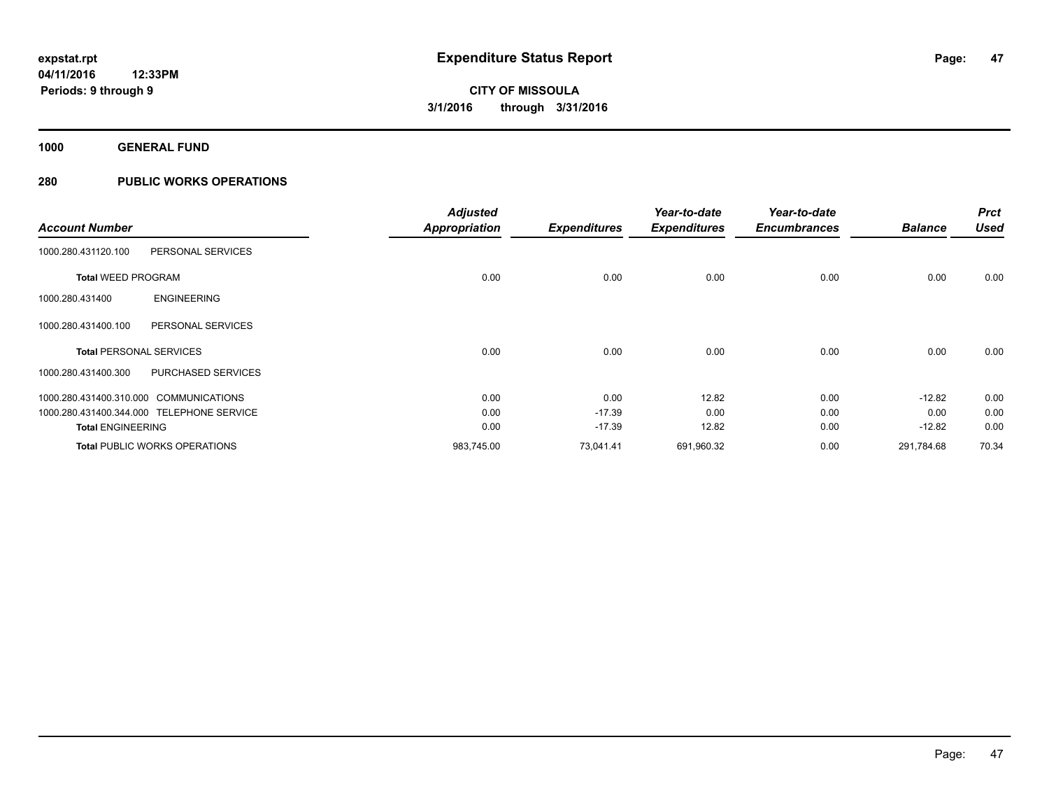**1000 GENERAL FUND**

|                                        |                                           | <b>Adjusted</b> |                     | Year-to-date        | Year-to-date        |                | <b>Prct</b> |
|----------------------------------------|-------------------------------------------|-----------------|---------------------|---------------------|---------------------|----------------|-------------|
| <b>Account Number</b>                  |                                           | Appropriation   | <b>Expenditures</b> | <b>Expenditures</b> | <b>Encumbrances</b> | <b>Balance</b> | <b>Used</b> |
| 1000.280.431120.100                    | PERSONAL SERVICES                         |                 |                     |                     |                     |                |             |
| <b>Total WEED PROGRAM</b>              |                                           | 0.00            | 0.00                | 0.00                | 0.00                | 0.00           | 0.00        |
| 1000.280.431400                        | <b>ENGINEERING</b>                        |                 |                     |                     |                     |                |             |
| 1000.280.431400.100                    | PERSONAL SERVICES                         |                 |                     |                     |                     |                |             |
| <b>Total PERSONAL SERVICES</b>         |                                           | 0.00            | 0.00                | 0.00                | 0.00                | 0.00           | 0.00        |
| 1000.280.431400.300                    | PURCHASED SERVICES                        |                 |                     |                     |                     |                |             |
| 1000.280.431400.310.000 COMMUNICATIONS |                                           | 0.00            | 0.00                | 12.82               | 0.00                | $-12.82$       | 0.00        |
|                                        | 1000.280.431400.344.000 TELEPHONE SERVICE | 0.00            | $-17.39$            | 0.00                | 0.00                | 0.00           | 0.00        |
| <b>Total ENGINEERING</b>               |                                           | 0.00            | $-17.39$            | 12.82               | 0.00                | $-12.82$       | 0.00        |
|                                        | <b>Total PUBLIC WORKS OPERATIONS</b>      | 983,745.00      | 73,041.41           | 691,960.32          | 0.00                | 291,784.68     | 70.34       |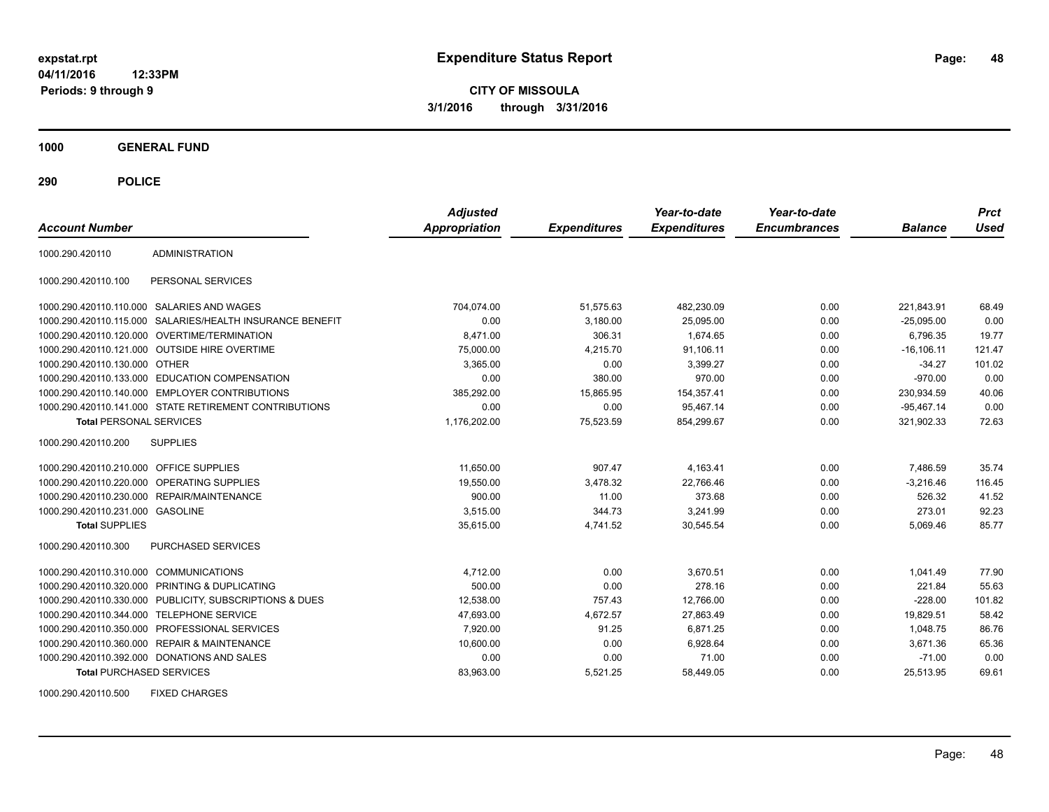**CITY OF MISSOULA 3/1/2016 through 3/31/2016**

**1000 GENERAL FUND**

**290 POLICE**

| <b>Account Number</b>                   |                                                         | <b>Adjusted</b><br><b>Appropriation</b> | <b>Expenditures</b> | Year-to-date<br><b>Expenditures</b> | Year-to-date<br><b>Encumbrances</b> | <b>Balance</b> | <b>Prct</b><br><b>Used</b> |
|-----------------------------------------|---------------------------------------------------------|-----------------------------------------|---------------------|-------------------------------------|-------------------------------------|----------------|----------------------------|
| 1000.290.420110                         | <b>ADMINISTRATION</b>                                   |                                         |                     |                                     |                                     |                |                            |
| 1000.290.420110.100                     | PERSONAL SERVICES                                       |                                         |                     |                                     |                                     |                |                            |
|                                         | 1000.290.420110.110.000 SALARIES AND WAGES              | 704,074.00                              | 51,575.63           | 482,230.09                          | 0.00                                | 221,843.91     | 68.49                      |
| 1000.290.420110.115.000                 | SALARIES/HEALTH INSURANCE BENEFIT                       | 0.00                                    | 3,180.00            | 25,095.00                           | 0.00                                | $-25,095.00$   | 0.00                       |
| 1000.290.420110.120.000                 | <b>OVERTIME/TERMINATION</b>                             | 8,471.00                                | 306.31              | 1.674.65                            | 0.00                                | 6,796.35       | 19.77                      |
|                                         | 1000.290.420110.121.000 OUTSIDE HIRE OVERTIME           | 75,000.00                               | 4,215.70            | 91,106.11                           | 0.00                                | $-16, 106.11$  | 121.47                     |
| 1000.290.420110.130.000 OTHER           |                                                         | 3,365.00                                | 0.00                | 3,399.27                            | 0.00                                | $-34.27$       | 101.02                     |
|                                         | 1000.290.420110.133.000 EDUCATION COMPENSATION          | 0.00                                    | 380.00              | 970.00                              | 0.00                                | $-970.00$      | 0.00                       |
|                                         | 1000.290.420110.140.000 EMPLOYER CONTRIBUTIONS          | 385,292.00                              | 15,865.95           | 154,357.41                          | 0.00                                | 230,934.59     | 40.06                      |
|                                         | 1000.290.420110.141.000 STATE RETIREMENT CONTRIBUTIONS  | 0.00                                    | 0.00                | 95.467.14                           | 0.00                                | $-95.467.14$   | 0.00                       |
| <b>Total PERSONAL SERVICES</b>          |                                                         | 1,176,202.00                            | 75,523.59           | 854,299.67                          | 0.00                                | 321,902.33     | 72.63                      |
| 1000.290.420110.200                     | <b>SUPPLIES</b>                                         |                                         |                     |                                     |                                     |                |                            |
| 1000.290.420110.210.000 OFFICE SUPPLIES |                                                         | 11,650.00                               | 907.47              | 4,163.41                            | 0.00                                | 7,486.59       | 35.74                      |
|                                         | 1000.290.420110.220.000 OPERATING SUPPLIES              | 19,550.00                               | 3,478.32            | 22,766.46                           | 0.00                                | $-3,216.46$    | 116.45                     |
| 1000.290.420110.230.000                 | <b>REPAIR/MAINTENANCE</b>                               | 900.00                                  | 11.00               | 373.68                              | 0.00                                | 526.32         | 41.52                      |
| 1000.290.420110.231.000 GASOLINE        |                                                         | 3,515.00                                | 344.73              | 3,241.99                            | 0.00                                | 273.01         | 92.23                      |
| <b>Total SUPPLIES</b>                   |                                                         | 35,615.00                               | 4,741.52            | 30,545.54                           | 0.00                                | 5,069.46       | 85.77                      |
| 1000.290.420110.300                     | PURCHASED SERVICES                                      |                                         |                     |                                     |                                     |                |                            |
| 1000.290.420110.310.000 COMMUNICATIONS  |                                                         | 4,712.00                                | 0.00                | 3.670.51                            | 0.00                                | 1,041.49       | 77.90                      |
|                                         | 1000.290.420110.320.000 PRINTING & DUPLICATING          | 500.00                                  | 0.00                | 278.16                              | 0.00                                | 221.84         | 55.63                      |
|                                         | 1000.290.420110.330.000 PUBLICITY, SUBSCRIPTIONS & DUES | 12,538.00                               | 757.43              | 12,766.00                           | 0.00                                | $-228.00$      | 101.82                     |
| 1000.290.420110.344.000                 | <b>TELEPHONE SERVICE</b>                                | 47,693.00                               | 4,672.57            | 27,863.49                           | 0.00                                | 19,829.51      | 58.42                      |
|                                         | 1000.290.420110.350.000 PROFESSIONAL SERVICES           | 7,920.00                                | 91.25               | 6,871.25                            | 0.00                                | 1,048.75       | 86.76                      |
|                                         | 1000.290.420110.360.000 REPAIR & MAINTENANCE            | 10,600.00                               | 0.00                | 6.928.64                            | 0.00                                | 3.671.36       | 65.36                      |
|                                         | 1000.290.420110.392.000 DONATIONS AND SALES             | 0.00                                    | 0.00                | 71.00                               | 0.00                                | $-71.00$       | 0.00                       |
| <b>Total PURCHASED SERVICES</b>         |                                                         | 83,963.00                               | 5,521.25            | 58,449.05                           | 0.00                                | 25,513.95      | 69.61                      |

1000.290.420110.500 FIXED CHARGES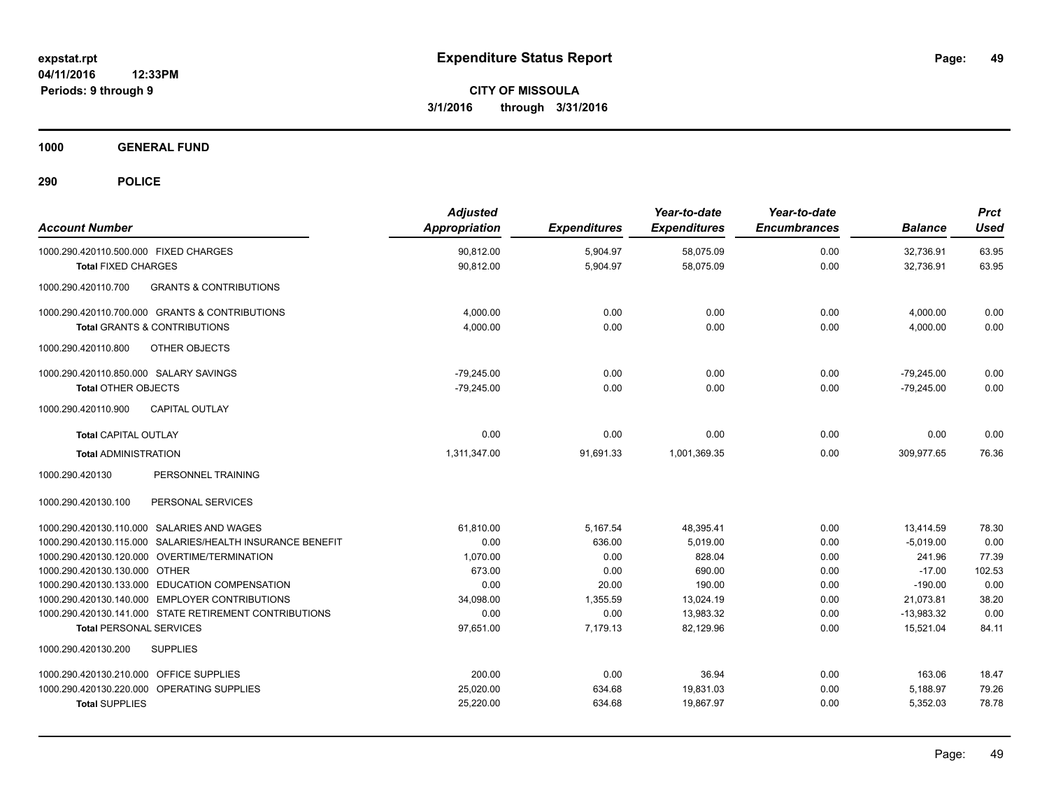**1000 GENERAL FUND**

| <b>Account Number</b>                                     | <b>Adjusted</b><br><b>Appropriation</b> | <b>Expenditures</b> | Year-to-date<br><b>Expenditures</b> | Year-to-date<br><b>Encumbrances</b> | <b>Balance</b> | <b>Prct</b><br>Used |
|-----------------------------------------------------------|-----------------------------------------|---------------------|-------------------------------------|-------------------------------------|----------------|---------------------|
| 1000.290.420110.500.000 FIXED CHARGES                     | 90,812.00                               | 5,904.97            | 58,075.09                           | 0.00                                | 32,736.91      | 63.95               |
| <b>Total FIXED CHARGES</b>                                | 90,812.00                               | 5,904.97            | 58,075.09                           | 0.00                                | 32,736.91      | 63.95               |
| <b>GRANTS &amp; CONTRIBUTIONS</b><br>1000.290.420110.700  |                                         |                     |                                     |                                     |                |                     |
| 1000.290.420110.700.000 GRANTS & CONTRIBUTIONS            | 4,000.00                                | 0.00                | 0.00                                | 0.00                                | 4,000.00       | 0.00                |
| <b>Total GRANTS &amp; CONTRIBUTIONS</b>                   | 4,000.00                                | 0.00                | 0.00                                | 0.00                                | 4,000.00       | 0.00                |
| 1000.290.420110.800<br>OTHER OBJECTS                      |                                         |                     |                                     |                                     |                |                     |
| 1000.290.420110.850.000 SALARY SAVINGS                    | $-79,245.00$                            | 0.00                | 0.00                                | 0.00                                | $-79,245.00$   | 0.00                |
| <b>Total OTHER OBJECTS</b>                                | $-79,245.00$                            | 0.00                | 0.00                                | 0.00                                | $-79,245.00$   | 0.00                |
| 1000.290.420110.900<br><b>CAPITAL OUTLAY</b>              |                                         |                     |                                     |                                     |                |                     |
| <b>Total CAPITAL OUTLAY</b>                               | 0.00                                    | 0.00                | 0.00                                | 0.00                                | 0.00           | 0.00                |
| <b>Total ADMINISTRATION</b>                               | 1,311,347.00                            | 91,691.33           | 1,001,369.35                        | 0.00                                | 309,977.65     | 76.36               |
| 1000.290.420130<br>PERSONNEL TRAINING                     |                                         |                     |                                     |                                     |                |                     |
| 1000.290.420130.100<br>PERSONAL SERVICES                  |                                         |                     |                                     |                                     |                |                     |
| 1000.290.420130.110.000 SALARIES AND WAGES                | 61,810.00                               | 5,167.54            | 48,395.41                           | 0.00                                | 13,414.59      | 78.30               |
| 1000.290.420130.115.000 SALARIES/HEALTH INSURANCE BENEFIT | 0.00                                    | 636.00              | 5.019.00                            | 0.00                                | $-5.019.00$    | 0.00                |
| 1000.290.420130.120.000 OVERTIME/TERMINATION              | 1,070.00                                | 0.00                | 828.04                              | 0.00                                | 241.96         | 77.39               |
| 1000.290.420130.130.000 OTHER                             | 673.00                                  | 0.00                | 690.00                              | 0.00                                | $-17.00$       | 102.53              |
| 1000.290.420130.133.000 EDUCATION COMPENSATION            | 0.00                                    | 20.00               | 190.00                              | 0.00                                | $-190.00$      | 0.00                |
| 1000.290.420130.140.000 EMPLOYER CONTRIBUTIONS            | 34,098.00                               | 1,355.59            | 13,024.19                           | 0.00                                | 21,073.81      | 38.20               |
| 1000.290.420130.141.000 STATE RETIREMENT CONTRIBUTIONS    | 0.00                                    | 0.00                | 13.983.32                           | 0.00                                | $-13.983.32$   | 0.00                |
| <b>Total PERSONAL SERVICES</b>                            | 97,651.00                               | 7,179.13            | 82,129.96                           | 0.00                                | 15,521.04      | 84.11               |
| 1000.290.420130.200<br><b>SUPPLIES</b>                    |                                         |                     |                                     |                                     |                |                     |
| 1000.290.420130.210.000 OFFICE SUPPLIES                   | 200.00                                  | 0.00                | 36.94                               | 0.00                                | 163.06         | 18.47               |
| 1000.290.420130.220.000 OPERATING SUPPLIES                | 25,020.00                               | 634.68              | 19,831.03                           | 0.00                                | 5,188.97       | 79.26               |
| <b>Total SUPPLIES</b>                                     | 25,220.00                               | 634.68              | 19.867.97                           | 0.00                                | 5,352.03       | 78.78               |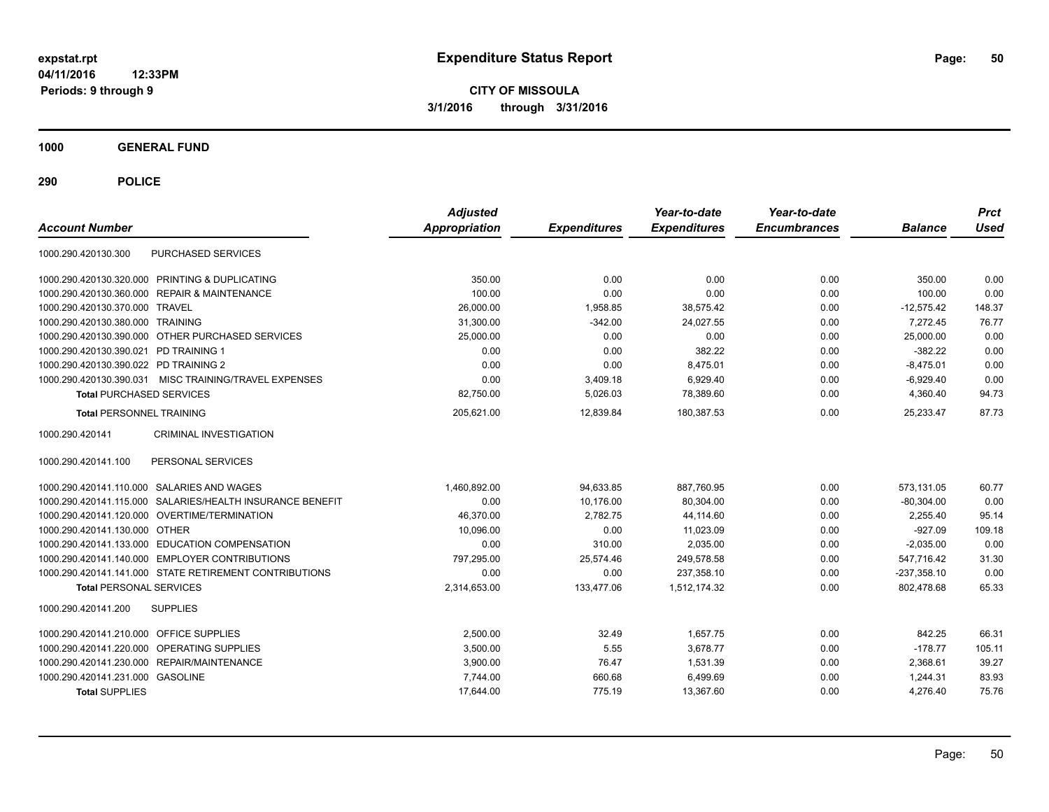**CITY OF MISSOULA 3/1/2016 through 3/31/2016**

**1000 GENERAL FUND**

| <b>Account Number</b>                      |                                                           | <b>Adjusted</b><br>Appropriation | <b>Expenditures</b> | Year-to-date<br><b>Expenditures</b> | Year-to-date<br><b>Encumbrances</b> | <b>Balance</b> | <b>Prct</b><br><b>Used</b> |
|--------------------------------------------|-----------------------------------------------------------|----------------------------------|---------------------|-------------------------------------|-------------------------------------|----------------|----------------------------|
| 1000.290.420130.300                        | PURCHASED SERVICES                                        |                                  |                     |                                     |                                     |                |                            |
|                                            | 1000.290.420130.320.000 PRINTING & DUPLICATING            | 350.00                           | 0.00                | 0.00                                | 0.00                                | 350.00         | 0.00                       |
|                                            | 1000.290.420130.360.000 REPAIR & MAINTENANCE              | 100.00                           | 0.00                | 0.00                                | 0.00                                | 100.00         | 0.00                       |
| 1000.290.420130.370.000 TRAVEL             |                                                           | 26,000.00                        | 1,958.85            | 38,575.42                           | 0.00                                | $-12.575.42$   | 148.37                     |
| 1000.290.420130.380.000 TRAINING           |                                                           | 31,300.00                        | $-342.00$           | 24,027.55                           | 0.00                                | 7,272.45       | 76.77                      |
|                                            | 1000.290.420130.390.000 OTHER PURCHASED SERVICES          | 25,000.00                        | 0.00                | 0.00                                | 0.00                                | 25,000.00      | 0.00                       |
| 1000.290.420130.390.021 PD TRAINING 1      |                                                           | 0.00                             | 0.00                | 382.22                              | 0.00                                | $-382.22$      | 0.00                       |
| 1000.290.420130.390.022 PD TRAINING 2      |                                                           | 0.00                             | 0.00                | 8,475.01                            | 0.00                                | $-8,475.01$    | 0.00                       |
| 1000.290.420130.390.031                    | MISC TRAINING/TRAVEL EXPENSES                             | 0.00                             | 3,409.18            | 6.929.40                            | 0.00                                | $-6,929.40$    | 0.00                       |
| <b>Total PURCHASED SERVICES</b>            |                                                           | 82,750.00                        | 5,026.03            | 78,389.60                           | 0.00                                | 4,360.40       | 94.73                      |
| <b>Total PERSONNEL TRAINING</b>            |                                                           | 205.621.00                       | 12.839.84           | 180.387.53                          | 0.00                                | 25.233.47      | 87.73                      |
| 1000.290.420141                            | <b>CRIMINAL INVESTIGATION</b>                             |                                  |                     |                                     |                                     |                |                            |
| 1000.290.420141.100                        | PERSONAL SERVICES                                         |                                  |                     |                                     |                                     |                |                            |
| 1000.290.420141.110.000 SALARIES AND WAGES |                                                           | 1,460,892.00                     | 94,633.85           | 887,760.95                          | 0.00                                | 573,131.05     | 60.77                      |
|                                            | 1000.290.420141.115.000 SALARIES/HEALTH INSURANCE BENEFIT | 0.00                             | 10,176.00           | 80,304.00                           | 0.00                                | $-80,304.00$   | 0.00                       |
|                                            | 1000.290.420141.120.000 OVERTIME/TERMINATION              | 46,370.00                        | 2,782.75            | 44,114.60                           | 0.00                                | 2,255.40       | 95.14                      |
| 1000.290.420141.130.000 OTHER              |                                                           | 10,096.00                        | 0.00                | 11,023.09                           | 0.00                                | $-927.09$      | 109.18                     |
|                                            | 1000.290.420141.133.000 EDUCATION COMPENSATION            | 0.00                             | 310.00              | 2,035.00                            | 0.00                                | $-2,035.00$    | 0.00                       |
|                                            | 1000.290.420141.140.000 EMPLOYER CONTRIBUTIONS            | 797,295.00                       | 25,574.46           | 249,578.58                          | 0.00                                | 547,716.42     | 31.30                      |
|                                            | 1000.290.420141.141.000 STATE RETIREMENT CONTRIBUTIONS    | 0.00                             | 0.00                | 237,358.10                          | 0.00                                | $-237,358.10$  | 0.00                       |
| <b>Total PERSONAL SERVICES</b>             |                                                           | 2,314,653.00                     | 133,477.06          | 1,512,174.32                        | 0.00                                | 802.478.68     | 65.33                      |
| 1000.290.420141.200                        | <b>SUPPLIES</b>                                           |                                  |                     |                                     |                                     |                |                            |
| 1000.290.420141.210.000 OFFICE SUPPLIES    |                                                           | 2.500.00                         | 32.49               | 1.657.75                            | 0.00                                | 842.25         | 66.31                      |
| 1000.290.420141.220.000 OPERATING SUPPLIES |                                                           | 3,500.00                         | 5.55                | 3,678.77                            | 0.00                                | $-178.77$      | 105.11                     |
| 1000.290.420141.230.000 REPAIR/MAINTENANCE |                                                           | 3,900.00                         | 76.47               | 1,531.39                            | 0.00                                | 2,368.61       | 39.27                      |
| 1000.290.420141.231.000 GASOLINE           |                                                           | 7.744.00                         | 660.68              | 6,499.69                            | 0.00                                | 1,244.31       | 83.93                      |
| <b>Total SUPPLIES</b>                      |                                                           | 17,644.00                        | 775.19              | 13,367.60                           | 0.00                                | 4,276.40       | 75.76                      |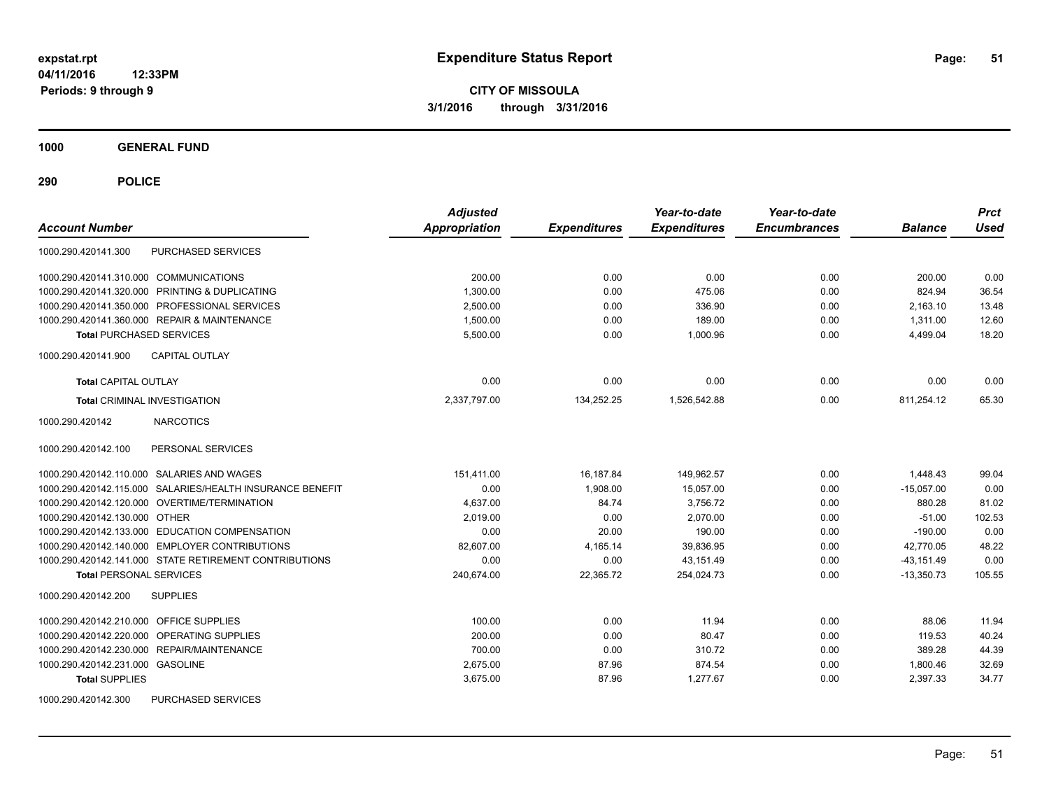**CITY OF MISSOULA 3/1/2016 through 3/31/2016**

**1000 GENERAL FUND**

**290 POLICE**

| <b>Account Number</b>                                     | <b>Adjusted</b><br>Appropriation | <b>Expenditures</b> | Year-to-date<br><b>Expenditures</b> | Year-to-date<br><b>Encumbrances</b> | <b>Balance</b> | <b>Prct</b><br><b>Used</b> |
|-----------------------------------------------------------|----------------------------------|---------------------|-------------------------------------|-------------------------------------|----------------|----------------------------|
| PURCHASED SERVICES<br>1000.290.420141.300                 |                                  |                     |                                     |                                     |                |                            |
| 1000.290.420141.310.000 COMMUNICATIONS                    | 200.00                           | 0.00                | 0.00                                | 0.00                                | 200.00         | 0.00                       |
| 1000.290.420141.320.000 PRINTING & DUPLICATING            | 1,300.00                         | 0.00                | 475.06                              | 0.00                                | 824.94         | 36.54                      |
| 1000.290.420141.350.000 PROFESSIONAL SERVICES             | 2,500.00                         | 0.00                | 336.90                              | 0.00                                | 2,163.10       | 13.48                      |
| 1000.290.420141.360.000 REPAIR & MAINTENANCE              | 1,500.00                         | 0.00                | 189.00                              | 0.00                                | 1,311.00       | 12.60                      |
| <b>Total PURCHASED SERVICES</b>                           | 5,500.00                         | 0.00                | 1.000.96                            | 0.00                                | 4,499.04       | 18.20                      |
| CAPITAL OUTLAY<br>1000.290.420141.900                     |                                  |                     |                                     |                                     |                |                            |
| <b>Total CAPITAL OUTLAY</b>                               | 0.00                             | 0.00                | 0.00                                | 0.00                                | 0.00           | 0.00                       |
| <b>Total CRIMINAL INVESTIGATION</b>                       | 2,337,797.00                     | 134,252.25          | 1,526,542.88                        | 0.00                                | 811,254.12     | 65.30                      |
| 1000.290.420142<br><b>NARCOTICS</b>                       |                                  |                     |                                     |                                     |                |                            |
| 1000.290.420142.100<br>PERSONAL SERVICES                  |                                  |                     |                                     |                                     |                |                            |
| 1000.290.420142.110.000 SALARIES AND WAGES                | 151,411.00                       | 16,187.84           | 149,962.57                          | 0.00                                | 1,448.43       | 99.04                      |
| 1000.290.420142.115.000 SALARIES/HEALTH INSURANCE BENEFIT | 0.00                             | 1,908.00            | 15,057.00                           | 0.00                                | $-15.057.00$   | 0.00                       |
| 1000.290.420142.120.000 OVERTIME/TERMINATION              | 4.637.00                         | 84.74               | 3,756.72                            | 0.00                                | 880.28         | 81.02                      |
| 1000.290.420142.130.000 OTHER                             | 2.019.00                         | 0.00                | 2.070.00                            | 0.00                                | $-51.00$       | 102.53                     |
| 1000.290.420142.133.000 EDUCATION COMPENSATION            | 0.00                             | 20.00               | 190.00                              | 0.00                                | $-190.00$      | 0.00                       |
| 1000.290.420142.140.000 EMPLOYER CONTRIBUTIONS            | 82,607.00                        | 4,165.14            | 39,836.95                           | 0.00                                | 42,770.05      | 48.22                      |
| 1000.290.420142.141.000 STATE RETIREMENT CONTRIBUTIONS    | 0.00                             | 0.00                | 43,151.49                           | 0.00                                | $-43, 151.49$  | 0.00                       |
| <b>Total PERSONAL SERVICES</b>                            | 240,674.00                       | 22,365.72           | 254,024.73                          | 0.00                                | $-13,350.73$   | 105.55                     |
| <b>SUPPLIES</b><br>1000.290.420142.200                    |                                  |                     |                                     |                                     |                |                            |
| 1000.290.420142.210.000 OFFICE SUPPLIES                   | 100.00                           | 0.00                | 11.94                               | 0.00                                | 88.06          | 11.94                      |
| 1000.290.420142.220.000 OPERATING SUPPLIES                | 200.00                           | 0.00                | 80.47                               | 0.00                                | 119.53         | 40.24                      |
| 1000.290.420142.230.000 REPAIR/MAINTENANCE                | 700.00                           | 0.00                | 310.72                              | 0.00                                | 389.28         | 44.39                      |
| 1000.290.420142.231.000 GASOLINE                          | 2,675.00                         | 87.96               | 874.54                              | 0.00                                | 1,800.46       | 32.69                      |
| <b>Total SUPPLIES</b>                                     | 3,675.00                         | 87.96               | 1,277.67                            | 0.00                                | 2,397.33       | 34.77                      |
| 1000.290.420142.300<br>PURCHASED SERVICES                 |                                  |                     |                                     |                                     |                |                            |

Page: 51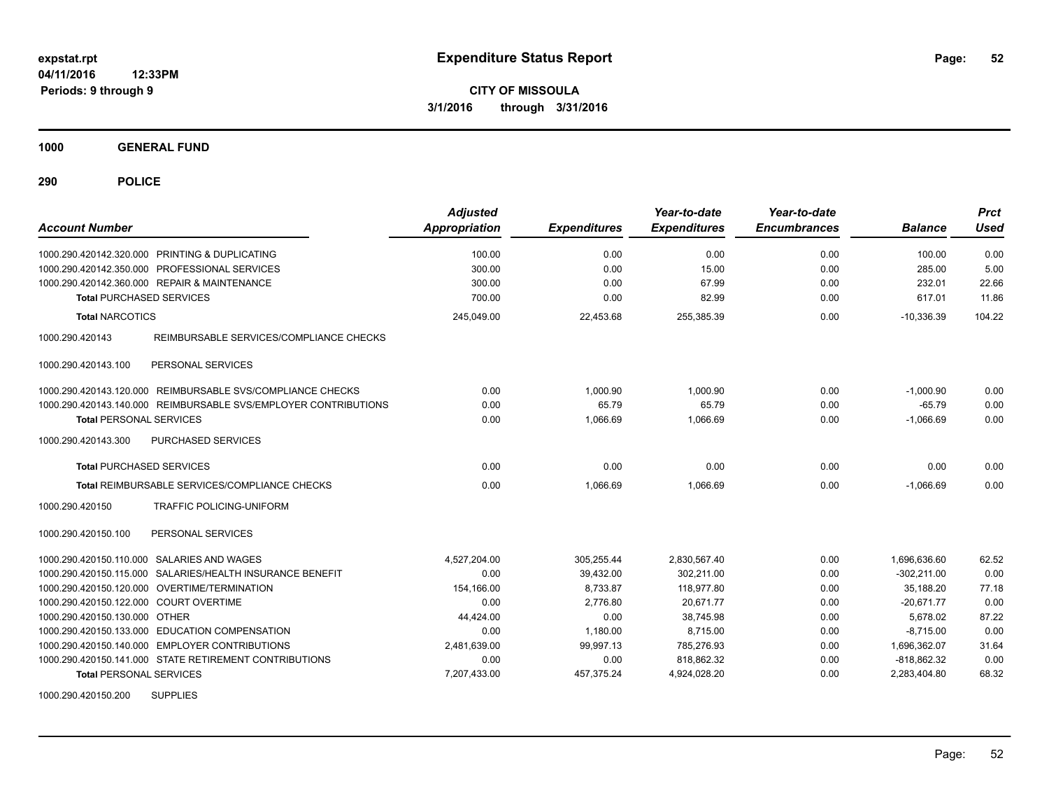**1000 GENERAL FUND**

**290 POLICE**

| <b>Account Number</b>                                           | <b>Adjusted</b><br>Appropriation | <b>Expenditures</b> | Year-to-date<br><b>Expenditures</b> | Year-to-date<br><b>Encumbrances</b> | <b>Balance</b> | <b>Prct</b><br>Used |
|-----------------------------------------------------------------|----------------------------------|---------------------|-------------------------------------|-------------------------------------|----------------|---------------------|
| 1000.290.420142.320.000 PRINTING & DUPLICATING                  | 100.00                           | 0.00                | 0.00                                | 0.00                                | 100.00         | 0.00                |
| 1000.290.420142.350.000<br><b>PROFESSIONAL SERVICES</b>         | 300.00                           | 0.00                | 15.00                               | 0.00                                | 285.00         | 5.00                |
| 1000.290.420142.360.000 REPAIR & MAINTENANCE                    | 300.00                           | 0.00                | 67.99                               | 0.00                                | 232.01         | 22.66               |
| <b>Total PURCHASED SERVICES</b>                                 | 700.00                           | 0.00                | 82.99                               | 0.00                                | 617.01         | 11.86               |
| <b>Total NARCOTICS</b>                                          | 245,049.00                       | 22,453.68           | 255,385.39                          | 0.00                                | $-10,336.39$   | 104.22              |
| 1000.290.420143<br>REIMBURSABLE SERVICES/COMPLIANCE CHECKS      |                                  |                     |                                     |                                     |                |                     |
| PERSONAL SERVICES<br>1000.290.420143.100                        |                                  |                     |                                     |                                     |                |                     |
| REIMBURSABLE SVS/COMPLIANCE CHECKS<br>1000.290.420143.120.000   | 0.00                             | 1,000.90            | 1,000.90                            | 0.00                                | $-1,000.90$    | 0.00                |
| 1000.290.420143.140.000 REIMBURSABLE SVS/EMPLOYER CONTRIBUTIONS | 0.00                             | 65.79               | 65.79                               | 0.00                                | $-65.79$       | 0.00                |
| <b>Total PERSONAL SERVICES</b>                                  | 0.00                             | 1,066.69            | 1,066.69                            | 0.00                                | $-1,066.69$    | 0.00                |
| 1000.290.420143.300<br>PURCHASED SERVICES                       |                                  |                     |                                     |                                     |                |                     |
| <b>Total PURCHASED SERVICES</b>                                 | 0.00                             | 0.00                | 0.00                                | 0.00                                | 0.00           | 0.00                |
| Total REIMBURSABLE SERVICES/COMPLIANCE CHECKS                   | 0.00                             | 1.066.69            | 1.066.69                            | 0.00                                | $-1.066.69$    | 0.00                |
| <b>TRAFFIC POLICING-UNIFORM</b><br>1000.290.420150              |                                  |                     |                                     |                                     |                |                     |
| 1000.290.420150.100<br>PERSONAL SERVICES                        |                                  |                     |                                     |                                     |                |                     |
| 1000.290.420150.110.000 SALARIES AND WAGES                      | 4,527,204.00                     | 305,255.44          | 2,830,567.40                        | 0.00                                | 1,696,636.60   | 62.52               |
| 1000.290.420150.115.000<br>SALARIES/HEALTH INSURANCE BENEFIT    | 0.00                             | 39,432.00           | 302,211.00                          | 0.00                                | $-302.211.00$  | 0.00                |
| OVERTIME/TERMINATION<br>1000.290.420150.120.000                 | 154,166.00                       | 8,733.87            | 118,977.80                          | 0.00                                | 35.188.20      | 77.18               |
| <b>COURT OVERTIME</b><br>1000.290.420150.122.000                | 0.00                             | 2,776.80            | 20,671.77                           | 0.00                                | $-20,671.77$   | 0.00                |
| 1000.290.420150.130.000 OTHER                                   | 44,424.00                        | 0.00                | 38,745.98                           | 0.00                                | 5,678.02       | 87.22               |
| 1000.290.420150.133.000<br><b>EDUCATION COMPENSATION</b>        | 0.00                             | 1,180.00            | 8,715.00                            | 0.00                                | $-8,715.00$    | 0.00                |
| 1000.290.420150.140.000 EMPLOYER CONTRIBUTIONS                  | 2,481,639.00                     | 99,997.13           | 785,276.93                          | 0.00                                | 1,696,362.07   | 31.64               |
| 1000.290.420150.141.000 STATE RETIREMENT CONTRIBUTIONS          | 0.00                             | 0.00                | 818,862.32                          | 0.00                                | $-818,862.32$  | 0.00                |
| <b>Total PERSONAL SERVICES</b>                                  | 7,207,433.00                     | 457,375.24          | 4,924,028.20                        | 0.00                                | 2,283,404.80   | 68.32               |
| $1000.200$ $120150.200$ $\ldots$ $211001$ IEC                   |                                  |                     |                                     |                                     |                |                     |

1000.290.420150.200 SUPPLIES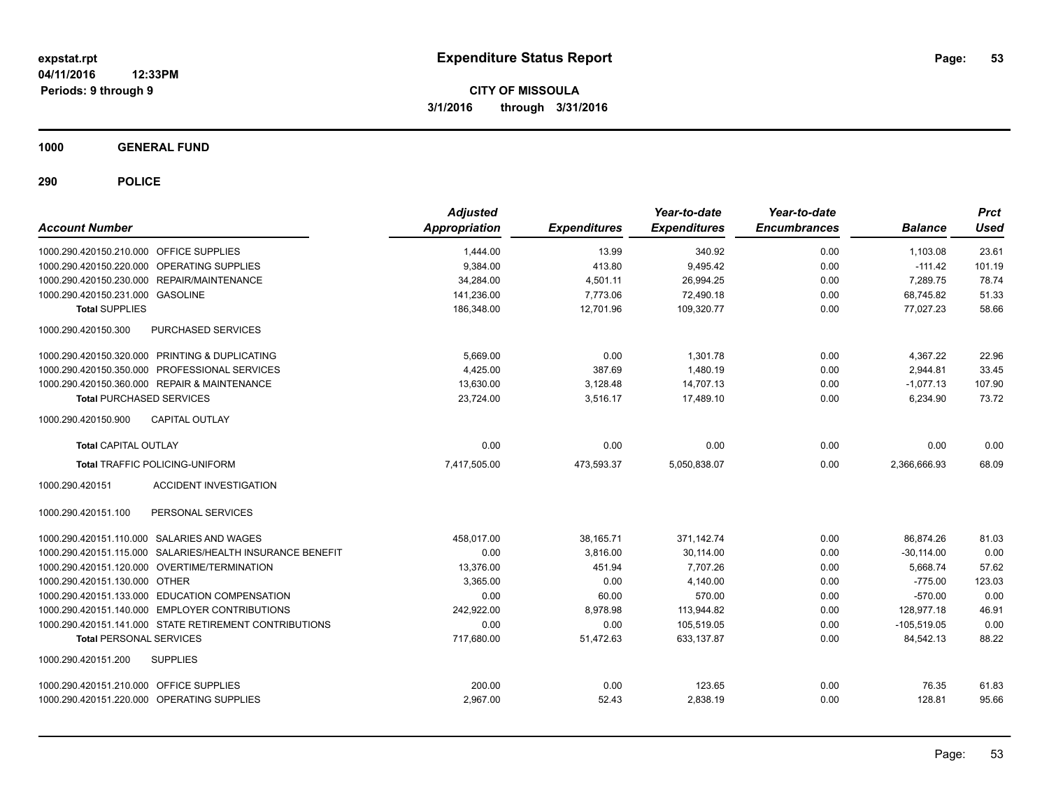**1000 GENERAL FUND**

| <b>Account Number</b>                                     | <b>Adjusted</b><br><b>Appropriation</b> | <b>Expenditures</b> | Year-to-date<br><b>Expenditures</b> | Year-to-date<br><b>Encumbrances</b> | <b>Balance</b> | <b>Prct</b><br><b>Used</b> |
|-----------------------------------------------------------|-----------------------------------------|---------------------|-------------------------------------|-------------------------------------|----------------|----------------------------|
| 1000.290.420150.210.000 OFFICE SUPPLIES                   | 1,444.00                                | 13.99               | 340.92                              | 0.00                                | 1,103.08       | 23.61                      |
| 1000.290.420150.220.000 OPERATING SUPPLIES                | 9,384.00                                | 413.80              | 9,495.42                            | 0.00                                | $-111.42$      | 101.19                     |
| 1000.290.420150.230.000 REPAIR/MAINTENANCE                | 34,284.00                               | 4,501.11            | 26,994.25                           | 0.00                                | 7.289.75       | 78.74                      |
| 1000.290.420150.231.000 GASOLINE                          | 141.236.00                              | 7.773.06            | 72.490.18                           | 0.00                                | 68.745.82      | 51.33                      |
| <b>Total SUPPLIES</b>                                     | 186,348.00                              | 12,701.96           | 109,320.77                          | 0.00                                | 77,027.23      | 58.66                      |
| PURCHASED SERVICES<br>1000.290.420150.300                 |                                         |                     |                                     |                                     |                |                            |
| 1000.290.420150.320.000 PRINTING & DUPLICATING            | 5,669.00                                | 0.00                | 1.301.78                            | 0.00                                | 4,367.22       | 22.96                      |
| 1000.290.420150.350.000 PROFESSIONAL SERVICES             | 4.425.00                                | 387.69              | 1.480.19                            | 0.00                                | 2.944.81       | 33.45                      |
| 1000.290.420150.360.000 REPAIR & MAINTENANCE              | 13,630.00                               | 3,128.48            | 14,707.13                           | 0.00                                | $-1,077.13$    | 107.90                     |
| <b>Total PURCHASED SERVICES</b>                           | 23,724.00                               | 3,516.17            | 17,489.10                           | 0.00                                | 6,234.90       | 73.72                      |
| <b>CAPITAL OUTLAY</b><br>1000.290.420150.900              |                                         |                     |                                     |                                     |                |                            |
| <b>Total CAPITAL OUTLAY</b>                               | 0.00                                    | 0.00                | 0.00                                | 0.00                                | 0.00           | 0.00                       |
| <b>Total TRAFFIC POLICING-UNIFORM</b>                     | 7,417,505.00                            | 473,593.37          | 5,050,838.07                        | 0.00                                | 2,366,666.93   | 68.09                      |
| 1000.290.420151<br><b>ACCIDENT INVESTIGATION</b>          |                                         |                     |                                     |                                     |                |                            |
| PERSONAL SERVICES<br>1000.290.420151.100                  |                                         |                     |                                     |                                     |                |                            |
| 1000.290.420151.110.000 SALARIES AND WAGES                | 458.017.00                              | 38,165.71           | 371.142.74                          | 0.00                                | 86.874.26      | 81.03                      |
| 1000.290.420151.115.000 SALARIES/HEALTH INSURANCE BENEFIT | 0.00                                    | 3,816.00            | 30,114.00                           | 0.00                                | $-30,114.00$   | 0.00                       |
| 1000.290.420151.120.000 OVERTIME/TERMINATION              | 13,376.00                               | 451.94              | 7.707.26                            | 0.00                                | 5,668.74       | 57.62                      |
| 1000.290.420151.130.000 OTHER                             | 3.365.00                                | 0.00                | 4.140.00                            | 0.00                                | $-775.00$      | 123.03                     |
| 1000.290.420151.133.000 EDUCATION COMPENSATION            | 0.00                                    | 60.00               | 570.00                              | 0.00                                | $-570.00$      | 0.00                       |
| 1000.290.420151.140.000 EMPLOYER CONTRIBUTIONS            | 242,922.00                              | 8,978.98            | 113,944.82                          | 0.00                                | 128,977.18     | 46.91                      |
| 1000.290.420151.141.000 STATE RETIREMENT CONTRIBUTIONS    | 0.00                                    | 0.00                | 105,519.05                          | 0.00                                | $-105,519.05$  | 0.00                       |
| <b>Total PERSONAL SERVICES</b>                            | 717,680.00                              | 51,472.63           | 633,137.87                          | 0.00                                | 84,542.13      | 88.22                      |
| 1000.290.420151.200<br><b>SUPPLIES</b>                    |                                         |                     |                                     |                                     |                |                            |
| 1000.290.420151.210.000 OFFICE SUPPLIES                   | 200.00                                  | 0.00                | 123.65                              | 0.00                                | 76.35          | 61.83                      |
| 1000.290.420151.220.000 OPERATING SUPPLIES                | 2,967.00                                | 52.43               | 2,838.19                            | 0.00                                | 128.81         | 95.66                      |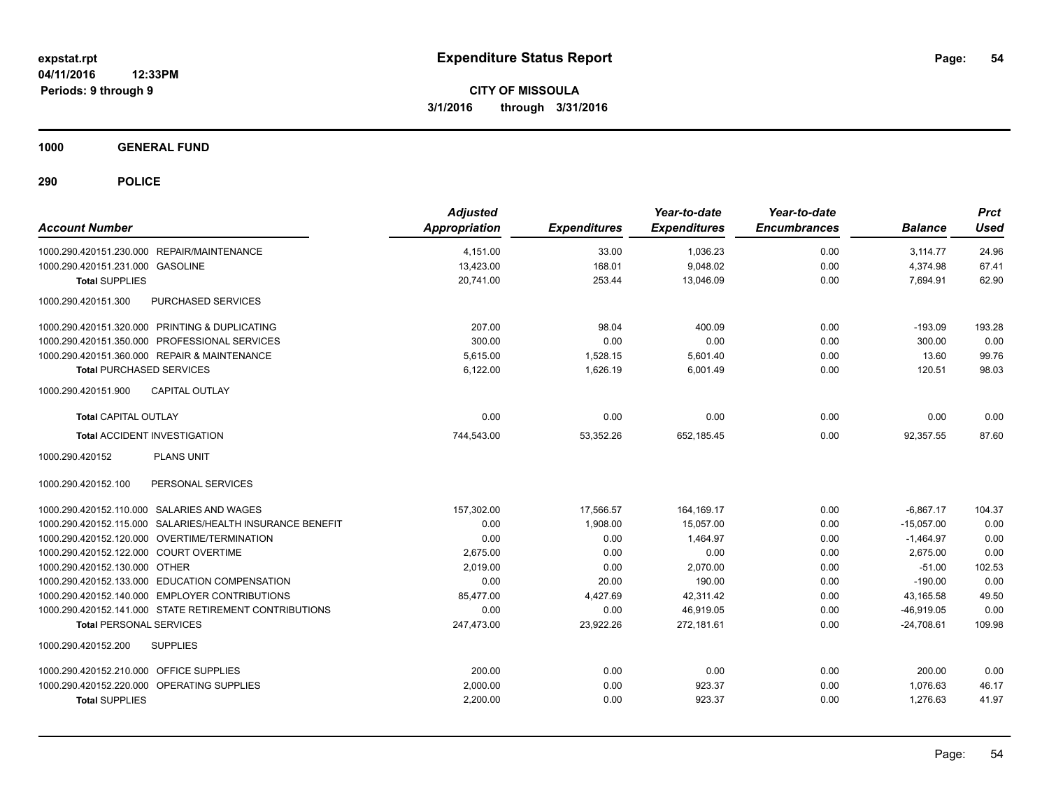**1000 GENERAL FUND**

| <b>Account Number</b>                                     | <b>Adjusted</b><br><b>Appropriation</b> | <b>Expenditures</b> | Year-to-date<br><b>Expenditures</b> | Year-to-date<br><b>Encumbrances</b> | <b>Balance</b> | <b>Prct</b><br>Used |
|-----------------------------------------------------------|-----------------------------------------|---------------------|-------------------------------------|-------------------------------------|----------------|---------------------|
| 1000.290.420151.230.000 REPAIR/MAINTENANCE                | 4,151.00                                | 33.00               | 1,036.23                            | 0.00                                | 3,114.77       | 24.96               |
| 1000.290.420151.231.000 GASOLINE                          | 13,423.00                               | 168.01              | 9,048.02                            | 0.00                                | 4,374.98       | 67.41               |
| <b>Total SUPPLIES</b>                                     | 20,741.00                               | 253.44              | 13,046.09                           | 0.00                                | 7,694.91       | 62.90               |
| PURCHASED SERVICES<br>1000.290.420151.300                 |                                         |                     |                                     |                                     |                |                     |
| 1000.290.420151.320.000 PRINTING & DUPLICATING            | 207.00                                  | 98.04               | 400.09                              | 0.00                                | $-193.09$      | 193.28              |
| 1000.290.420151.350.000 PROFESSIONAL SERVICES             | 300.00                                  | 0.00                | 0.00                                | 0.00                                | 300.00         | 0.00                |
| 1000.290.420151.360.000 REPAIR & MAINTENANCE              | 5,615.00                                | 1,528.15            | 5,601.40                            | 0.00                                | 13.60          | 99.76               |
| <b>Total PURCHASED SERVICES</b>                           | 6,122.00                                | 1,626.19            | 6,001.49                            | 0.00                                | 120.51         | 98.03               |
| 1000.290.420151.900<br><b>CAPITAL OUTLAY</b>              |                                         |                     |                                     |                                     |                |                     |
| <b>Total CAPITAL OUTLAY</b>                               | 0.00                                    | 0.00                | 0.00                                | 0.00                                | 0.00           | 0.00                |
| <b>Total ACCIDENT INVESTIGATION</b>                       | 744,543.00                              | 53,352.26           | 652,185.45                          | 0.00                                | 92,357.55      | 87.60               |
| 1000.290.420152<br><b>PLANS UNIT</b>                      |                                         |                     |                                     |                                     |                |                     |
| 1000.290.420152.100<br>PERSONAL SERVICES                  |                                         |                     |                                     |                                     |                |                     |
| 1000.290.420152.110.000 SALARIES AND WAGES                | 157,302.00                              | 17,566.57           | 164, 169. 17                        | 0.00                                | $-6.867.17$    | 104.37              |
| 1000.290.420152.115.000 SALARIES/HEALTH INSURANCE BENEFIT | 0.00                                    | 1,908.00            | 15,057.00                           | 0.00                                | $-15,057.00$   | 0.00                |
| 1000.290.420152.120.000 OVERTIME/TERMINATION              | 0.00                                    | 0.00                | 1,464.97                            | 0.00                                | $-1,464.97$    | 0.00                |
| 1000.290.420152.122.000 COURT OVERTIME                    | 2,675.00                                | 0.00                | 0.00                                | 0.00                                | 2,675.00       | 0.00                |
| 1000.290.420152.130.000 OTHER                             | 2,019.00                                | 0.00                | 2,070.00                            | 0.00                                | $-51.00$       | 102.53              |
| 1000.290.420152.133.000 EDUCATION COMPENSATION            | 0.00                                    | 20.00               | 190.00                              | 0.00                                | $-190.00$      | 0.00                |
| 1000.290.420152.140.000 EMPLOYER CONTRIBUTIONS            | 85,477.00                               | 4,427.69            | 42,311.42                           | 0.00                                | 43,165.58      | 49.50               |
| 1000.290.420152.141.000 STATE RETIREMENT CONTRIBUTIONS    | 0.00                                    | 0.00                | 46,919.05                           | 0.00                                | $-46,919.05$   | 0.00                |
| <b>Total PERSONAL SERVICES</b>                            | 247,473.00                              | 23,922.26           | 272,181.61                          | 0.00                                | $-24,708.61$   | 109.98              |
| 1000.290.420152.200<br><b>SUPPLIES</b>                    |                                         |                     |                                     |                                     |                |                     |
| 1000.290.420152.210.000 OFFICE SUPPLIES                   | 200.00                                  | 0.00                | 0.00                                | 0.00                                | 200.00         | 0.00                |
| 1000.290.420152.220.000 OPERATING SUPPLIES                | 2,000.00                                | 0.00                | 923.37                              | 0.00                                | 1.076.63       | 46.17               |
| <b>Total SUPPLIES</b>                                     | 2,200.00                                | 0.00                | 923.37                              | 0.00                                | 1,276.63       | 41.97               |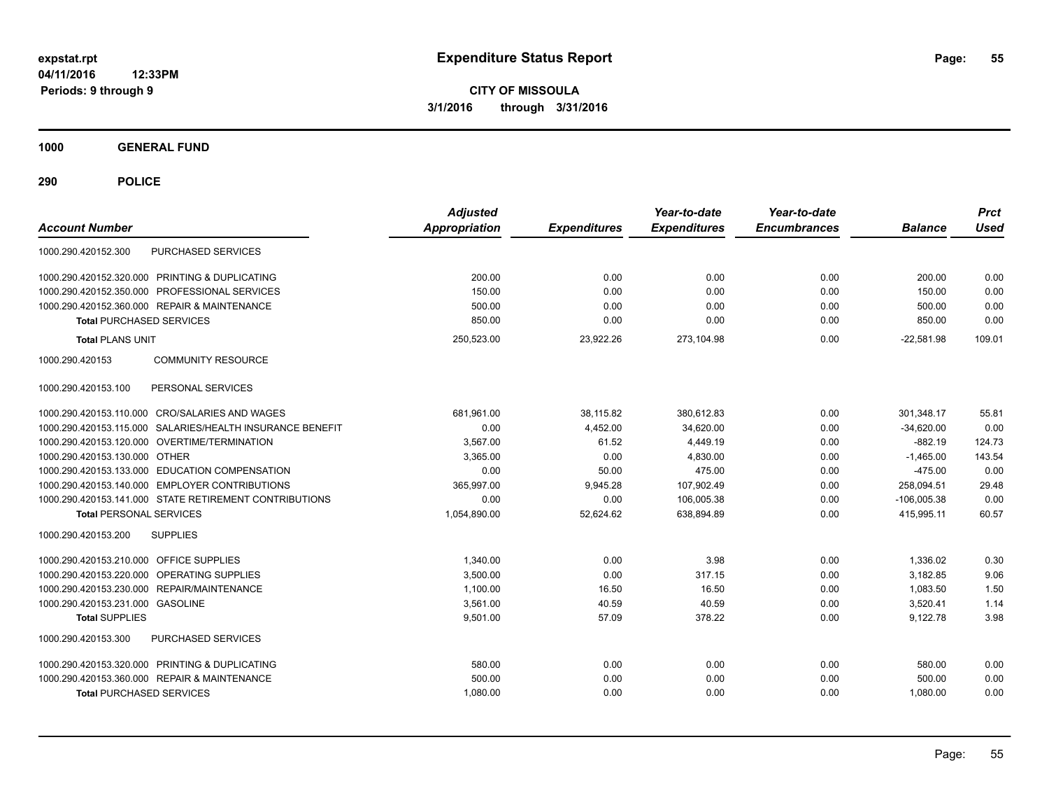**CITY OF MISSOULA 3/1/2016 through 3/31/2016**

**1000 GENERAL FUND**

| <b>Account Number</b>                                        | <b>Adjusted</b><br><b>Appropriation</b> | <b>Expenditures</b> | Year-to-date<br><b>Expenditures</b> | Year-to-date<br><b>Encumbrances</b> | <b>Balance</b> | <b>Prct</b><br>Used |
|--------------------------------------------------------------|-----------------------------------------|---------------------|-------------------------------------|-------------------------------------|----------------|---------------------|
| <b>PURCHASED SERVICES</b><br>1000.290.420152.300             |                                         |                     |                                     |                                     |                |                     |
| 1000.290.420152.320.000 PRINTING & DUPLICATING               | 200.00                                  | 0.00                | 0.00                                | 0.00                                | 200.00         | 0.00                |
| 1000.290.420152.350.000 PROFESSIONAL SERVICES                | 150.00                                  | 0.00                | 0.00                                | 0.00                                | 150.00         | 0.00                |
| 1000.290.420152.360.000 REPAIR & MAINTENANCE                 | 500.00                                  | 0.00                | 0.00                                | 0.00                                | 500.00         | 0.00                |
| <b>Total PURCHASED SERVICES</b>                              | 850.00                                  | 0.00                | 0.00                                | 0.00                                | 850.00         | 0.00                |
| <b>Total PLANS UNIT</b>                                      | 250,523.00                              | 23,922.26           | 273,104.98                          | 0.00                                | $-22,581.98$   | 109.01              |
| <b>COMMUNITY RESOURCE</b><br>1000.290.420153                 |                                         |                     |                                     |                                     |                |                     |
| PERSONAL SERVICES<br>1000.290.420153.100                     |                                         |                     |                                     |                                     |                |                     |
| 1000.290.420153.110.000 CRO/SALARIES AND WAGES               | 681.961.00                              | 38,115.82           | 380,612.83                          | 0.00                                | 301,348.17     | 55.81               |
| SALARIES/HEALTH INSURANCE BENEFIT<br>1000.290.420153.115.000 | 0.00                                    | 4.452.00            | 34.620.00                           | 0.00                                | $-34.620.00$   | 0.00                |
| 1000.290.420153.120.000 OVERTIME/TERMINATION                 | 3.567.00                                | 61.52               | 4.449.19                            | 0.00                                | $-882.19$      | 124.73              |
| 1000.290.420153.130.000 OTHER                                | 3,365.00                                | 0.00                | 4,830.00                            | 0.00                                | $-1,465.00$    | 143.54              |
| 1000.290.420153.133.000 EDUCATION COMPENSATION               | 0.00                                    | 50.00               | 475.00                              | 0.00                                | $-475.00$      | 0.00                |
| 1000.290.420153.140.000 EMPLOYER CONTRIBUTIONS               | 365,997.00                              | 9,945.28            | 107,902.49                          | 0.00                                | 258,094.51     | 29.48               |
| 1000.290.420153.141.000 STATE RETIREMENT CONTRIBUTIONS       | 0.00                                    | 0.00                | 106,005.38                          | 0.00                                | $-106,005.38$  | 0.00                |
| <b>Total PERSONAL SERVICES</b>                               | 1,054,890.00                            | 52,624.62           | 638.894.89                          | 0.00                                | 415.995.11     | 60.57               |
| 1000.290.420153.200<br><b>SUPPLIES</b>                       |                                         |                     |                                     |                                     |                |                     |
| 1000.290.420153.210.000 OFFICE SUPPLIES                      | 1,340.00                                | 0.00                | 3.98                                | 0.00                                | 1.336.02       | 0.30                |
| 1000.290.420153.220.000 OPERATING SUPPLIES                   | 3,500.00                                | 0.00                | 317.15                              | 0.00                                | 3,182.85       | 9.06                |
| 1000.290.420153.230.000 REPAIR/MAINTENANCE                   | 1.100.00                                | 16.50               | 16.50                               | 0.00                                | 1.083.50       | 1.50                |
| 1000.290.420153.231.000 GASOLINE                             | 3.561.00                                | 40.59               | 40.59                               | 0.00                                | 3,520.41       | 1.14                |
| <b>Total SUPPLIES</b>                                        | 9,501.00                                | 57.09               | 378.22                              | 0.00                                | 9,122.78       | 3.98                |
| 1000.290.420153.300<br><b>PURCHASED SERVICES</b>             |                                         |                     |                                     |                                     |                |                     |
| 1000.290.420153.320.000 PRINTING & DUPLICATING               | 580.00                                  | 0.00                | 0.00                                | 0.00                                | 580.00         | 0.00                |
| 1000.290.420153.360.000 REPAIR & MAINTENANCE                 | 500.00                                  | 0.00                | 0.00                                | 0.00                                | 500.00         | 0.00                |
| <b>Total PURCHASED SERVICES</b>                              | 1,080.00                                | 0.00                | 0.00                                | 0.00                                | 1,080.00       | 0.00                |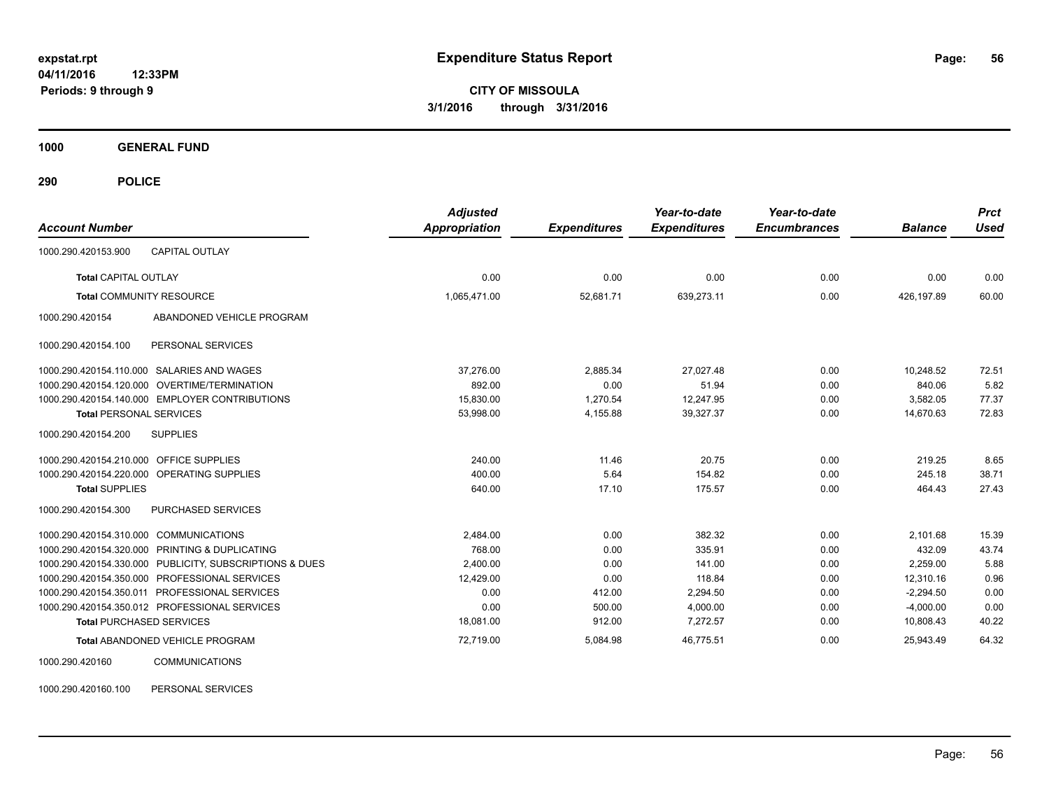**CITY OF MISSOULA 3/1/2016 through 3/31/2016**

**1000 GENERAL FUND**

**290 POLICE**

| <b>Account Number</b>                   |                                                         | <b>Adjusted</b><br><b>Appropriation</b> | <b>Expenditures</b> | Year-to-date<br><b>Expenditures</b> | Year-to-date<br><b>Encumbrances</b> | <b>Balance</b> | <b>Prct</b><br><b>Used</b> |
|-----------------------------------------|---------------------------------------------------------|-----------------------------------------|---------------------|-------------------------------------|-------------------------------------|----------------|----------------------------|
| 1000.290.420153.900                     | CAPITAL OUTLAY                                          |                                         |                     |                                     |                                     |                |                            |
| Total CAPITAL OUTLAY                    |                                                         | 0.00                                    | 0.00                | 0.00                                | 0.00                                | 0.00           | 0.00                       |
|                                         | <b>Total COMMUNITY RESOURCE</b>                         | 1,065,471.00                            | 52,681.71           | 639,273.11                          | 0.00                                | 426.197.89     | 60.00                      |
| 1000.290.420154                         | ABANDONED VEHICLE PROGRAM                               |                                         |                     |                                     |                                     |                |                            |
| 1000.290.420154.100                     | PERSONAL SERVICES                                       |                                         |                     |                                     |                                     |                |                            |
|                                         | 1000.290.420154.110.000 SALARIES AND WAGES              | 37.276.00                               | 2.885.34            | 27,027.48                           | 0.00                                | 10.248.52      | 72.51                      |
| 1000.290.420154.120.000                 | OVERTIME/TERMINATION                                    | 892.00                                  | 0.00                | 51.94                               | 0.00                                | 840.06         | 5.82                       |
|                                         | 1000.290.420154.140.000 EMPLOYER CONTRIBUTIONS          | 15,830.00                               | 1,270.54            | 12,247.95                           | 0.00                                | 3,582.05       | 77.37                      |
| <b>Total PERSONAL SERVICES</b>          |                                                         | 53,998.00                               | 4,155.88            | 39,327.37                           | 0.00                                | 14,670.63      | 72.83                      |
| 1000.290.420154.200                     | <b>SUPPLIES</b>                                         |                                         |                     |                                     |                                     |                |                            |
| 1000.290.420154.210.000 OFFICE SUPPLIES |                                                         | 240.00                                  | 11.46               | 20.75                               | 0.00                                | 219.25         | 8.65                       |
|                                         | 1000.290.420154.220.000 OPERATING SUPPLIES              | 400.00                                  | 5.64                | 154.82                              | 0.00                                | 245.18         | 38.71                      |
| <b>Total SUPPLIES</b>                   |                                                         | 640.00                                  | 17.10               | 175.57                              | 0.00                                | 464.43         | 27.43                      |
| 1000.290.420154.300                     | PURCHASED SERVICES                                      |                                         |                     |                                     |                                     |                |                            |
| 1000.290.420154.310.000 COMMUNICATIONS  |                                                         | 2,484.00                                | 0.00                | 382.32                              | 0.00                                | 2,101.68       | 15.39                      |
|                                         | 1000.290.420154.320.000 PRINTING & DUPLICATING          | 768.00                                  | 0.00                | 335.91                              | 0.00                                | 432.09         | 43.74                      |
|                                         | 1000.290.420154.330.000 PUBLICITY, SUBSCRIPTIONS & DUES | 2,400.00                                | 0.00                | 141.00                              | 0.00                                | 2,259.00       | 5.88                       |
|                                         | 1000.290.420154.350.000 PROFESSIONAL SERVICES           | 12,429.00                               | 0.00                | 118.84                              | 0.00                                | 12,310.16      | 0.96                       |
|                                         | 1000.290.420154.350.011 PROFESSIONAL SERVICES           | 0.00                                    | 412.00              | 2,294.50                            | 0.00                                | $-2,294.50$    | 0.00                       |
|                                         | 1000.290.420154.350.012 PROFESSIONAL SERVICES           | 0.00                                    | 500.00              | 4,000.00                            | 0.00                                | $-4,000.00$    | 0.00                       |
|                                         | <b>Total PURCHASED SERVICES</b>                         | 18,081.00                               | 912.00              | 7,272.57                            | 0.00                                | 10,808.43      | 40.22                      |
|                                         | Total ABANDONED VEHICLE PROGRAM                         | 72,719.00                               | 5,084.98            | 46,775.51                           | 0.00                                | 25,943.49      | 64.32                      |
| 1000.290.420160                         | <b>COMMUNICATIONS</b>                                   |                                         |                     |                                     |                                     |                |                            |

1000.290.420160.100 PERSONAL SERVICES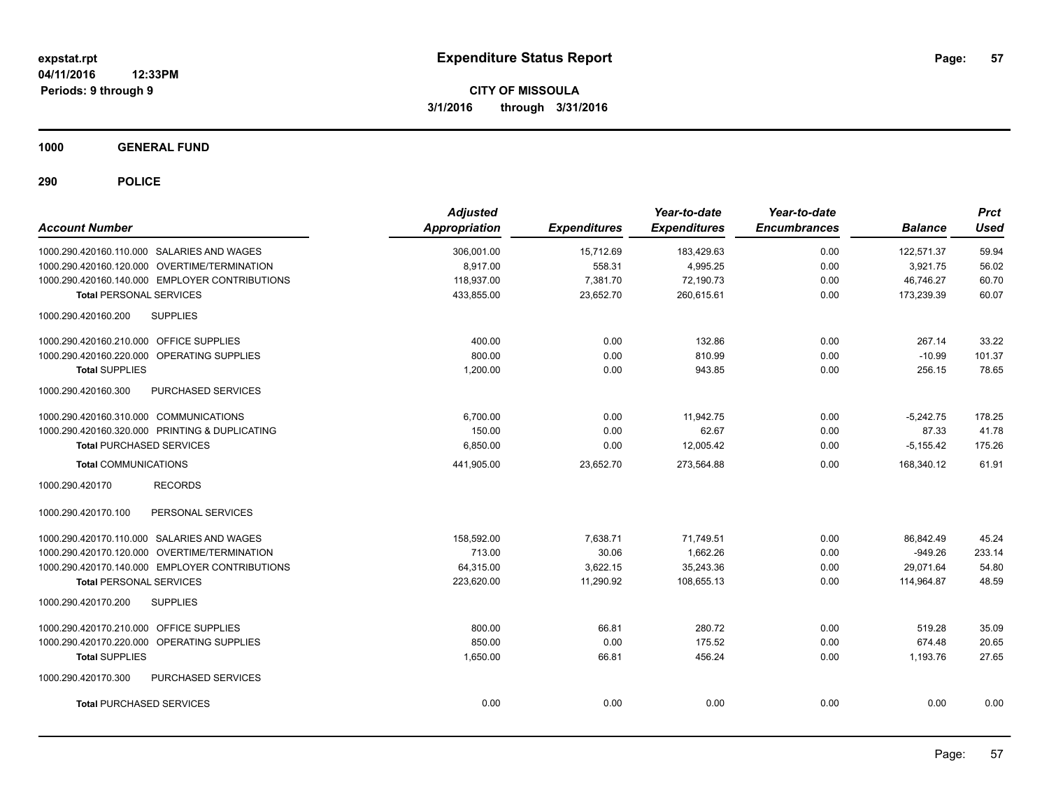**1000 GENERAL FUND**

| <b>Account Number</b>                            | <b>Adjusted</b><br><b>Appropriation</b> | <b>Expenditures</b> | Year-to-date<br><b>Expenditures</b> | Year-to-date<br><b>Encumbrances</b> | <b>Balance</b> | <b>Prct</b><br><b>Used</b> |
|--------------------------------------------------|-----------------------------------------|---------------------|-------------------------------------|-------------------------------------|----------------|----------------------------|
| 1000.290.420160.110.000 SALARIES AND WAGES       | 306,001.00                              | 15,712.69           | 183,429.63                          | 0.00                                | 122,571.37     | 59.94                      |
| 1000.290.420160.120.000 OVERTIME/TERMINATION     | 8,917.00                                | 558.31              | 4,995.25                            | 0.00                                | 3,921.75       | 56.02                      |
| 1000.290.420160.140.000 EMPLOYER CONTRIBUTIONS   | 118,937.00                              | 7,381.70            | 72,190.73                           | 0.00                                | 46.746.27      | 60.70                      |
| <b>Total PERSONAL SERVICES</b>                   | 433,855.00                              | 23,652.70           | 260,615.61                          | 0.00                                | 173,239.39     | 60.07                      |
| 1000.290.420160.200<br><b>SUPPLIES</b>           |                                         |                     |                                     |                                     |                |                            |
| 1000.290.420160.210.000 OFFICE SUPPLIES          | 400.00                                  | 0.00                | 132.86                              | 0.00                                | 267.14         | 33.22                      |
| 1000.290.420160.220.000 OPERATING SUPPLIES       | 800.00                                  | 0.00                | 810.99                              | 0.00                                | $-10.99$       | 101.37                     |
| <b>Total SUPPLIES</b>                            | 1,200.00                                | 0.00                | 943.85                              | 0.00                                | 256.15         | 78.65                      |
| 1000.290.420160.300<br>PURCHASED SERVICES        |                                         |                     |                                     |                                     |                |                            |
| 1000.290.420160.310.000 COMMUNICATIONS           | 6,700.00                                | 0.00                | 11,942.75                           | 0.00                                | $-5,242.75$    | 178.25                     |
| 1000.290.420160.320.000 PRINTING & DUPLICATING   | 150.00                                  | 0.00                | 62.67                               | 0.00                                | 87.33          | 41.78                      |
| <b>Total PURCHASED SERVICES</b>                  | 6,850.00                                | 0.00                | 12,005.42                           | 0.00                                | $-5,155.42$    | 175.26                     |
| <b>Total COMMUNICATIONS</b>                      | 441,905.00                              | 23,652.70           | 273,564.88                          | 0.00                                | 168.340.12     | 61.91                      |
| <b>RECORDS</b><br>1000.290.420170                |                                         |                     |                                     |                                     |                |                            |
| 1000.290.420170.100<br>PERSONAL SERVICES         |                                         |                     |                                     |                                     |                |                            |
| 1000.290.420170.110.000 SALARIES AND WAGES       | 158,592.00                              | 7,638.71            | 71,749.51                           | 0.00                                | 86,842.49      | 45.24                      |
| 1000.290.420170.120.000 OVERTIME/TERMINATION     | 713.00                                  | 30.06               | 1,662.26                            | 0.00                                | $-949.26$      | 233.14                     |
| 1000.290.420170.140.000 EMPLOYER CONTRIBUTIONS   | 64.315.00                               | 3.622.15            | 35.243.36                           | 0.00                                | 29.071.64      | 54.80                      |
| <b>Total PERSONAL SERVICES</b>                   | 223,620.00                              | 11,290.92           | 108,655.13                          | 0.00                                | 114,964.87     | 48.59                      |
| <b>SUPPLIES</b><br>1000.290.420170.200           |                                         |                     |                                     |                                     |                |                            |
| 1000.290.420170.210.000 OFFICE SUPPLIES          | 800.00                                  | 66.81               | 280.72                              | 0.00                                | 519.28         | 35.09                      |
| 1000.290.420170.220.000 OPERATING SUPPLIES       | 850.00                                  | 0.00                | 175.52                              | 0.00                                | 674.48         | 20.65                      |
| <b>Total SUPPLIES</b>                            | 1,650.00                                | 66.81               | 456.24                              | 0.00                                | 1,193.76       | 27.65                      |
| 1000.290.420170.300<br><b>PURCHASED SERVICES</b> |                                         |                     |                                     |                                     |                |                            |
| <b>Total PURCHASED SERVICES</b>                  | 0.00                                    | 0.00                | 0.00                                | 0.00                                | 0.00           | 0.00                       |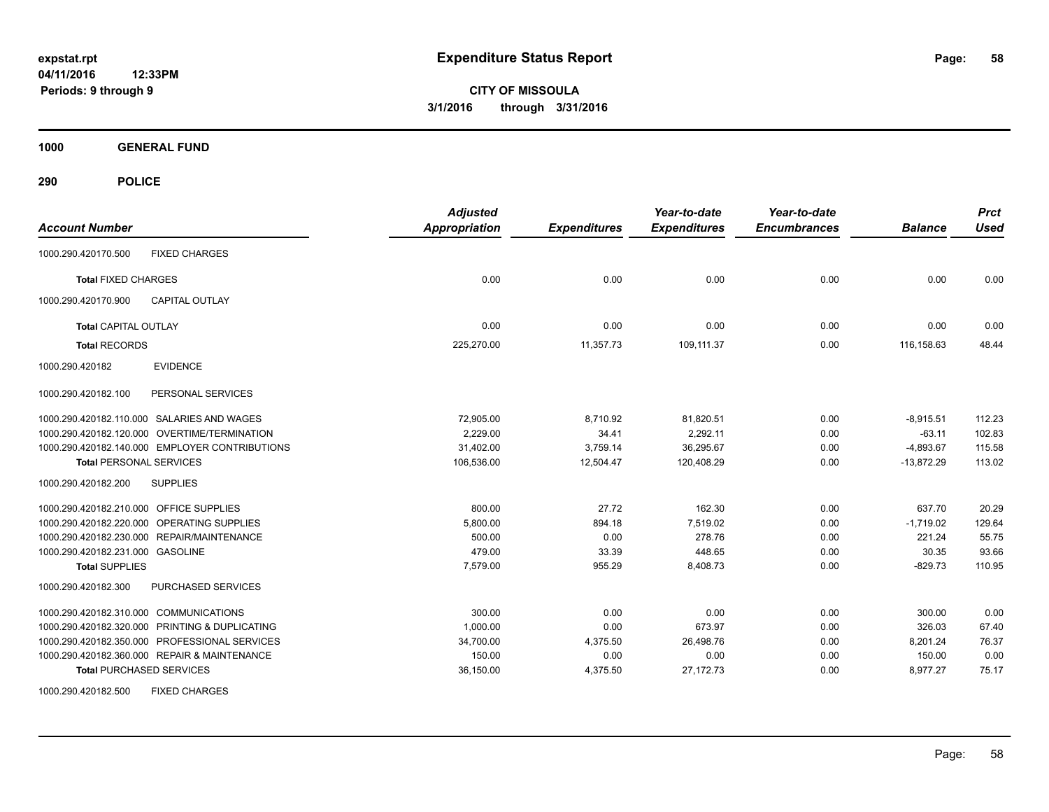**CITY OF MISSOULA 3/1/2016 through 3/31/2016**

**1000 GENERAL FUND**

| <b>Account Number</b>                          | <b>Adjusted</b><br><b>Appropriation</b> | <b>Expenditures</b> | Year-to-date<br><b>Expenditures</b> | Year-to-date<br><b>Encumbrances</b> | <b>Balance</b> | <b>Prct</b><br><b>Used</b> |
|------------------------------------------------|-----------------------------------------|---------------------|-------------------------------------|-------------------------------------|----------------|----------------------------|
| <b>FIXED CHARGES</b><br>1000.290.420170.500    |                                         |                     |                                     |                                     |                |                            |
| <b>Total FIXED CHARGES</b>                     | 0.00                                    | 0.00                | 0.00                                | 0.00                                | 0.00           | 0.00                       |
| <b>CAPITAL OUTLAY</b><br>1000.290.420170.900   |                                         |                     |                                     |                                     |                |                            |
| <b>Total CAPITAL OUTLAY</b>                    | 0.00                                    | 0.00                | 0.00                                | 0.00                                | 0.00           | 0.00                       |
| <b>Total RECORDS</b>                           | 225,270.00                              | 11,357.73           | 109,111.37                          | 0.00                                | 116,158.63     | 48.44                      |
| 1000.290.420182<br><b>EVIDENCE</b>             |                                         |                     |                                     |                                     |                |                            |
| PERSONAL SERVICES<br>1000.290.420182.100       |                                         |                     |                                     |                                     |                |                            |
| 1000.290.420182.110.000 SALARIES AND WAGES     | 72,905.00                               | 8,710.92            | 81,820.51                           | 0.00                                | $-8,915.51$    | 112.23                     |
| 1000.290.420182.120.000 OVERTIME/TERMINATION   | 2,229.00                                | 34.41               | 2,292.11                            | 0.00                                | $-63.11$       | 102.83                     |
| 1000.290.420182.140.000 EMPLOYER CONTRIBUTIONS | 31,402.00                               | 3,759.14            | 36,295.67                           | 0.00                                | $-4,893.67$    | 115.58                     |
| <b>Total PERSONAL SERVICES</b>                 | 106,536.00                              | 12,504.47           | 120,408.29                          | 0.00                                | $-13.872.29$   | 113.02                     |
| 1000.290.420182.200<br><b>SUPPLIES</b>         |                                         |                     |                                     |                                     |                |                            |
| 1000.290.420182.210.000 OFFICE SUPPLIES        | 800.00                                  | 27.72               | 162.30                              | 0.00                                | 637.70         | 20.29                      |
| 1000.290.420182.220.000 OPERATING SUPPLIES     | 5,800.00                                | 894.18              | 7,519.02                            | 0.00                                | $-1,719.02$    | 129.64                     |
| 1000.290.420182.230.000 REPAIR/MAINTENANCE     | 500.00                                  | 0.00                | 278.76                              | 0.00                                | 221.24         | 55.75                      |
| 1000.290.420182.231.000 GASOLINE               | 479.00                                  | 33.39               | 448.65                              | 0.00                                | 30.35          | 93.66                      |
| <b>Total SUPPLIES</b>                          | 7,579.00                                | 955.29              | 8,408.73                            | 0.00                                | $-829.73$      | 110.95                     |
| 1000.290.420182.300<br>PURCHASED SERVICES      |                                         |                     |                                     |                                     |                |                            |
| 1000.290.420182.310.000 COMMUNICATIONS         | 300.00                                  | 0.00                | 0.00                                | 0.00                                | 300.00         | 0.00                       |
| 1000.290.420182.320.000 PRINTING & DUPLICATING | 1,000.00                                | 0.00                | 673.97                              | 0.00                                | 326.03         | 67.40                      |
| 1000.290.420182.350.000 PROFESSIONAL SERVICES  | 34,700.00                               | 4,375.50            | 26,498.76                           | 0.00                                | 8,201.24       | 76.37                      |
| 1000.290.420182.360.000 REPAIR & MAINTENANCE   | 150.00                                  | 0.00                | 0.00                                | 0.00                                | 150.00         | 0.00                       |
| <b>Total PURCHASED SERVICES</b>                | 36,150.00                               | 4,375.50            | 27, 172. 73                         | 0.00                                | 8,977.27       | 75.17                      |
| <b>FIXED CHARGES</b><br>1000.290.420182.500    |                                         |                     |                                     |                                     |                |                            |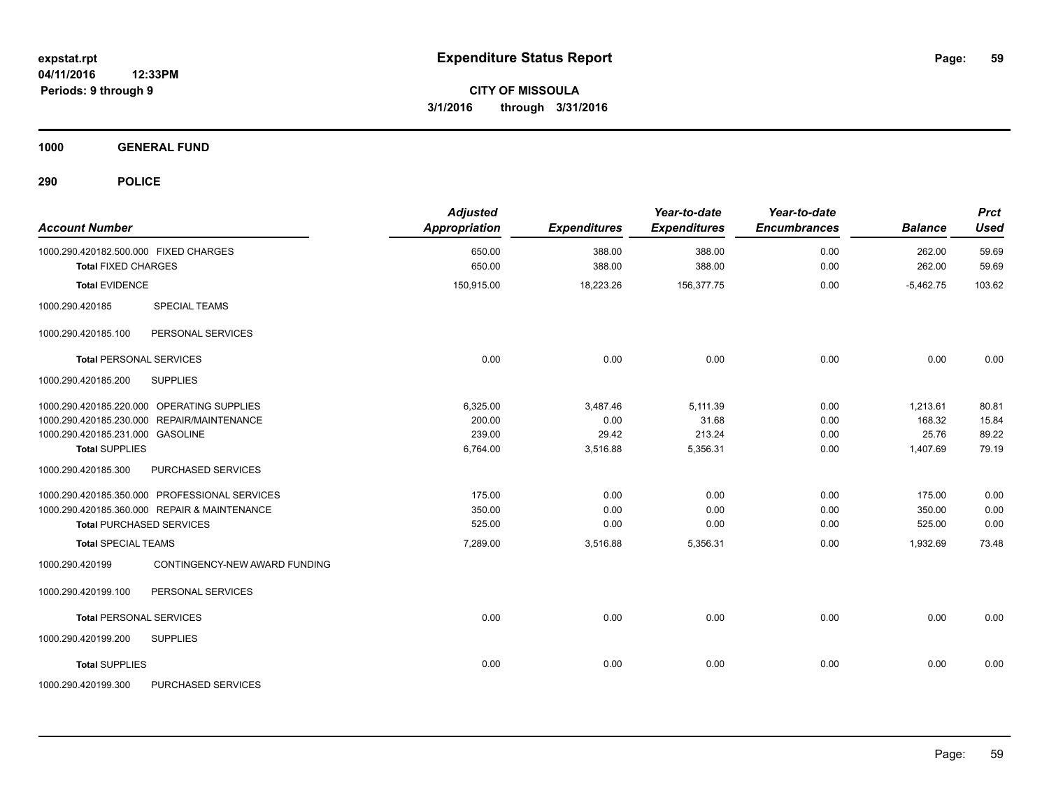**1000 GENERAL FUND**

| <b>Account Number</b>                                               | <b>Adjusted</b><br><b>Appropriation</b> | <b>Expenditures</b> | Year-to-date<br><b>Expenditures</b> | Year-to-date<br><b>Encumbrances</b> | <b>Balance</b>   | <b>Prct</b><br><b>Used</b> |
|---------------------------------------------------------------------|-----------------------------------------|---------------------|-------------------------------------|-------------------------------------|------------------|----------------------------|
| 1000.290.420182.500.000 FIXED CHARGES<br><b>Total FIXED CHARGES</b> | 650.00<br>650.00                        | 388.00<br>388.00    | 388.00<br>388.00                    | 0.00<br>0.00                        | 262.00<br>262.00 | 59.69<br>59.69             |
| <b>Total EVIDENCE</b>                                               | 150,915.00                              | 18,223.26           | 156,377.75                          | 0.00                                | $-5,462.75$      | 103.62                     |
| <b>SPECIAL TEAMS</b><br>1000.290.420185                             |                                         |                     |                                     |                                     |                  |                            |
| PERSONAL SERVICES<br>1000.290.420185.100                            |                                         |                     |                                     |                                     |                  |                            |
| <b>Total PERSONAL SERVICES</b>                                      | 0.00                                    | 0.00                | 0.00                                | 0.00                                | 0.00             | 0.00                       |
| 1000.290.420185.200<br><b>SUPPLIES</b>                              |                                         |                     |                                     |                                     |                  |                            |
| 1000.290.420185.220.000 OPERATING SUPPLIES                          | 6,325.00                                | 3,487.46            | 5,111.39                            | 0.00                                | 1,213.61         | 80.81                      |
| 1000.290.420185.230.000 REPAIR/MAINTENANCE                          | 200.00                                  | 0.00                | 31.68                               | 0.00                                | 168.32           | 15.84                      |
| 1000.290.420185.231.000 GASOLINE                                    | 239.00                                  | 29.42               | 213.24                              | 0.00                                | 25.76            | 89.22                      |
| <b>Total SUPPLIES</b>                                               | 6,764.00                                | 3,516.88            | 5,356.31                            | 0.00                                | 1,407.69         | 79.19                      |
| 1000.290.420185.300<br>PURCHASED SERVICES                           |                                         |                     |                                     |                                     |                  |                            |
| 1000.290.420185.350.000 PROFESSIONAL SERVICES                       | 175.00                                  | 0.00                | 0.00                                | 0.00                                | 175.00           | 0.00                       |
| 1000.290.420185.360.000 REPAIR & MAINTENANCE                        | 350.00                                  | 0.00                | 0.00                                | 0.00                                | 350.00           | 0.00                       |
| <b>Total PURCHASED SERVICES</b>                                     | 525.00                                  | 0.00                | 0.00                                | 0.00                                | 525.00           | 0.00                       |
| <b>Total SPECIAL TEAMS</b>                                          | 7,289.00                                | 3,516.88            | 5,356.31                            | 0.00                                | 1,932.69         | 73.48                      |
| 1000.290.420199<br>CONTINGENCY-NEW AWARD FUNDING                    |                                         |                     |                                     |                                     |                  |                            |
| 1000.290.420199.100<br>PERSONAL SERVICES                            |                                         |                     |                                     |                                     |                  |                            |
| <b>Total PERSONAL SERVICES</b>                                      | 0.00                                    | 0.00                | 0.00                                | 0.00                                | 0.00             | 0.00                       |
| 1000.290.420199.200<br><b>SUPPLIES</b>                              |                                         |                     |                                     |                                     |                  |                            |
| <b>Total SUPPLIES</b>                                               | 0.00                                    | 0.00                | 0.00                                | 0.00                                | 0.00             | 0.00                       |
| 1000.290.420199.300<br>PURCHASED SERVICES                           |                                         |                     |                                     |                                     |                  |                            |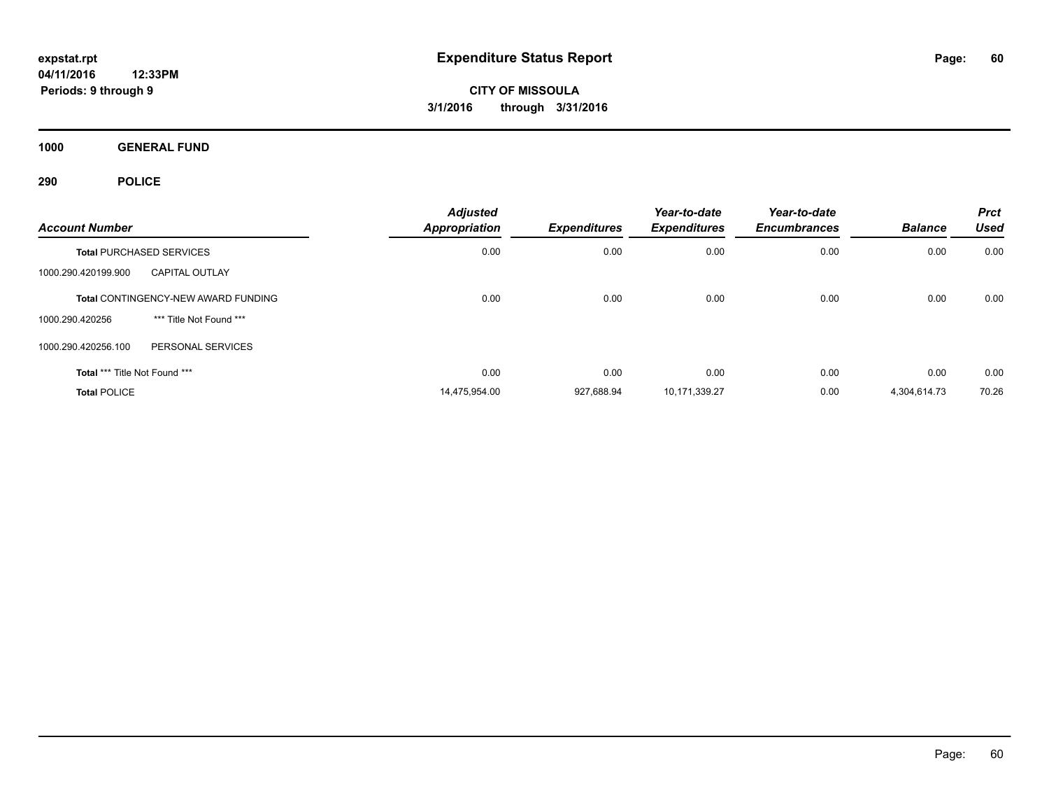**1000 GENERAL FUND**

| <b>Account Number</b>         |                                            | <b>Adjusted</b><br><b>Appropriation</b> | Expenditures | Year-to-date<br><b>Expenditures</b> | Year-to-date<br><b>Encumbrances</b> | <b>Balance</b> | <b>Prct</b><br><b>Used</b> |
|-------------------------------|--------------------------------------------|-----------------------------------------|--------------|-------------------------------------|-------------------------------------|----------------|----------------------------|
|                               | <b>Total PURCHASED SERVICES</b>            | 0.00                                    | 0.00         | 0.00                                | 0.00                                | 0.00           | 0.00                       |
| 1000.290.420199.900           | <b>CAPITAL OUTLAY</b>                      |                                         |              |                                     |                                     |                |                            |
|                               | <b>Total CONTINGENCY-NEW AWARD FUNDING</b> | 0.00                                    | 0.00         | 0.00                                | 0.00                                | 0.00           | 0.00                       |
| 1000.290.420256               | *** Title Not Found ***                    |                                         |              |                                     |                                     |                |                            |
| 1000.290.420256.100           | PERSONAL SERVICES                          |                                         |              |                                     |                                     |                |                            |
| Total *** Title Not Found *** |                                            | 0.00                                    | 0.00         | 0.00                                | 0.00                                | 0.00           | 0.00                       |
| <b>Total POLICE</b>           |                                            | 14,475,954.00                           | 927.688.94   | 10,171,339.27                       | 0.00                                | 4,304,614.73   | 70.26                      |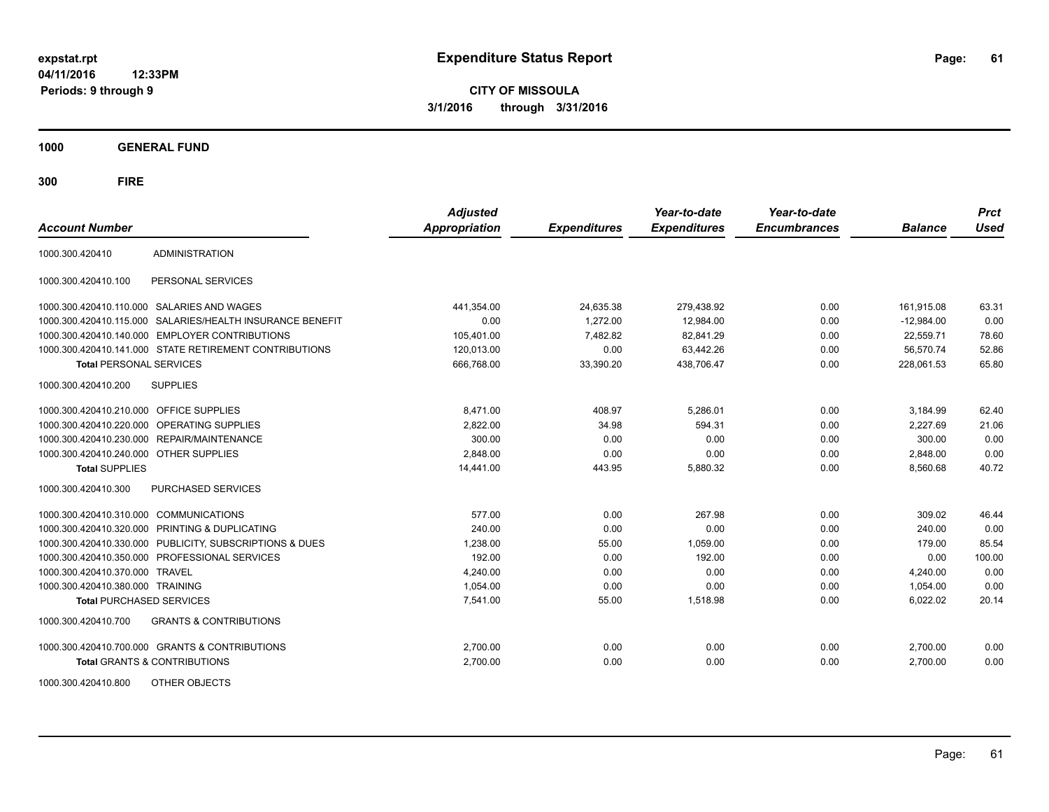**CITY OF MISSOULA 3/1/2016 through 3/31/2016**

**1000 GENERAL FUND**

| <b>Account Number</b>                   |                                                           | <b>Adjusted</b><br><b>Appropriation</b> | <b>Expenditures</b> | Year-to-date<br><b>Expenditures</b> | Year-to-date<br><b>Encumbrances</b> | <b>Balance</b> | <b>Prct</b><br><b>Used</b> |
|-----------------------------------------|-----------------------------------------------------------|-----------------------------------------|---------------------|-------------------------------------|-------------------------------------|----------------|----------------------------|
| 1000.300.420410                         | <b>ADMINISTRATION</b>                                     |                                         |                     |                                     |                                     |                |                            |
| 1000.300.420410.100                     | PERSONAL SERVICES                                         |                                         |                     |                                     |                                     |                |                            |
|                                         | 1000.300.420410.110.000 SALARIES AND WAGES                | 441,354.00                              | 24,635.38           | 279,438.92                          | 0.00                                | 161,915.08     | 63.31                      |
|                                         | 1000.300.420410.115.000 SALARIES/HEALTH INSURANCE BENEFIT | 0.00                                    | 1,272.00            | 12,984.00                           | 0.00                                | $-12,984.00$   | 0.00                       |
|                                         | 1000.300.420410.140.000 EMPLOYER CONTRIBUTIONS            | 105,401.00                              | 7,482.82            | 82.841.29                           | 0.00                                | 22.559.71      | 78.60                      |
|                                         | 1000.300.420410.141.000 STATE RETIREMENT CONTRIBUTIONS    | 120,013.00                              | 0.00                | 63,442.26                           | 0.00                                | 56,570.74      | 52.86                      |
| <b>Total PERSONAL SERVICES</b>          |                                                           | 666,768.00                              | 33,390.20           | 438,706.47                          | 0.00                                | 228,061.53     | 65.80                      |
| 1000.300.420410.200                     | <b>SUPPLIES</b>                                           |                                         |                     |                                     |                                     |                |                            |
| 1000.300.420410.210.000 OFFICE SUPPLIES |                                                           | 8,471.00                                | 408.97              | 5,286.01                            | 0.00                                | 3,184.99       | 62.40                      |
|                                         | 1000.300.420410.220.000 OPERATING SUPPLIES                | 2,822.00                                | 34.98               | 594.31                              | 0.00                                | 2,227.69       | 21.06                      |
| 1000.300.420410.230.000                 | REPAIR/MAINTENANCE                                        | 300.00                                  | 0.00                | 0.00                                | 0.00                                | 300.00         | 0.00                       |
| 1000.300.420410.240.000                 | <b>OTHER SUPPLIES</b>                                     | 2,848.00                                | 0.00                | 0.00                                | 0.00                                | 2,848.00       | 0.00                       |
| <b>Total SUPPLIES</b>                   |                                                           | 14,441.00                               | 443.95              | 5,880.32                            | 0.00                                | 8,560.68       | 40.72                      |
| 1000.300.420410.300                     | PURCHASED SERVICES                                        |                                         |                     |                                     |                                     |                |                            |
| 1000.300.420410.310.000                 | <b>COMMUNICATIONS</b>                                     | 577.00                                  | 0.00                | 267.98                              | 0.00                                | 309.02         | 46.44                      |
| 1000.300.420410.320.000                 | <b>PRINTING &amp; DUPLICATING</b>                         | 240.00                                  | 0.00                | 0.00                                | 0.00                                | 240.00         | 0.00                       |
| 1000.300.420410.330.000                 | PUBLICITY, SUBSCRIPTIONS & DUES                           | 1,238.00                                | 55.00               | 1.059.00                            | 0.00                                | 179.00         | 85.54                      |
| 1000.300.420410.350.000                 | PROFESSIONAL SERVICES                                     | 192.00                                  | 0.00                | 192.00                              | 0.00                                | 0.00           | 100.00                     |
| 1000.300.420410.370.000                 | <b>TRAVEL</b>                                             | 4,240.00                                | 0.00                | 0.00                                | 0.00                                | 4,240.00       | 0.00                       |
| 1000.300.420410.380.000 TRAINING        |                                                           | 1,054.00                                | 0.00                | 0.00                                | 0.00                                | 1,054.00       | 0.00                       |
| <b>Total PURCHASED SERVICES</b>         |                                                           | 7,541.00                                | 55.00               | 1,518.98                            | 0.00                                | 6,022.02       | 20.14                      |
| 1000.300.420410.700                     | <b>GRANTS &amp; CONTRIBUTIONS</b>                         |                                         |                     |                                     |                                     |                |                            |
|                                         | 1000.300.420410.700.000 GRANTS & CONTRIBUTIONS            | 2,700.00                                | 0.00                | 0.00                                | 0.00                                | 2,700.00       | 0.00                       |
|                                         | <b>Total GRANTS &amp; CONTRIBUTIONS</b>                   | 2,700.00                                | 0.00                | 0.00                                | 0.00                                | 2,700.00       | 0.00                       |
| 1000.300.420410.800                     | OTHER OBJECTS                                             |                                         |                     |                                     |                                     |                |                            |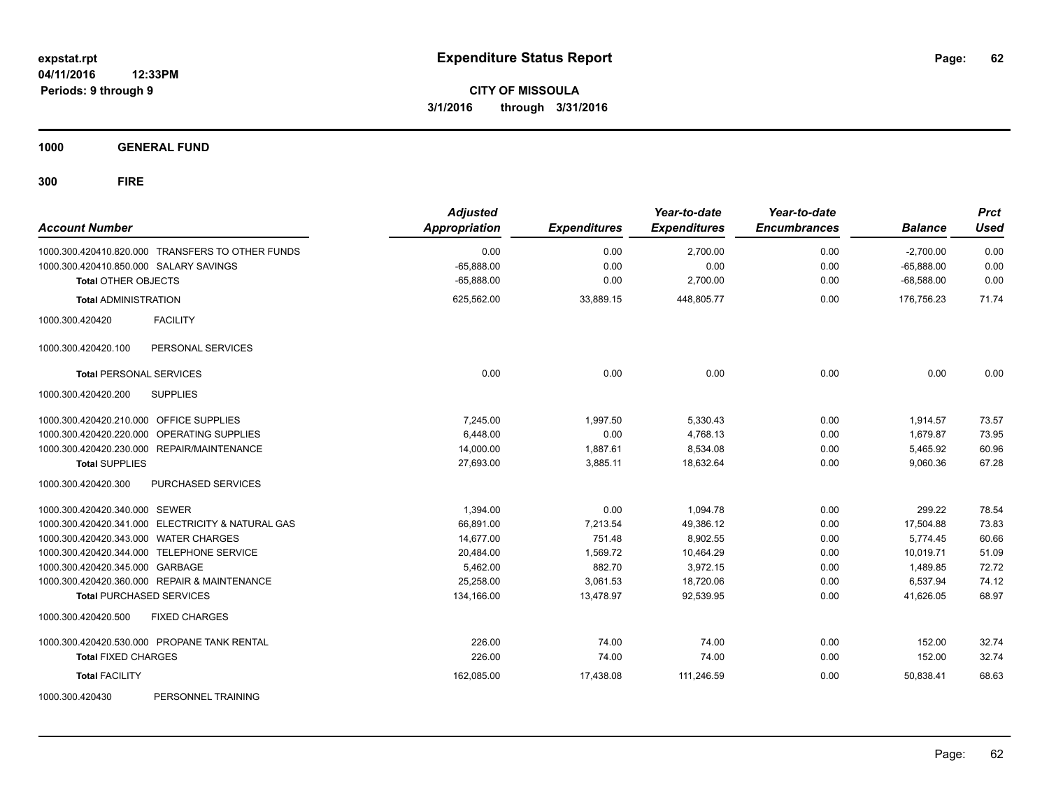**1000 GENERAL FUND**

| <b>Account Number</b>                        |                                                   | <b>Adjusted</b><br><b>Appropriation</b> | <b>Expenditures</b> | Year-to-date<br><b>Expenditures</b> | Year-to-date<br><b>Encumbrances</b> | <b>Balance</b>              | <b>Prct</b><br><b>Used</b> |
|----------------------------------------------|---------------------------------------------------|-----------------------------------------|---------------------|-------------------------------------|-------------------------------------|-----------------------------|----------------------------|
| 1000.300.420410.850.000 SALARY SAVINGS       | 1000.300.420410.820.000 TRANSFERS TO OTHER FUNDS  | 0.00<br>$-65,888.00$                    | 0.00<br>0.00        | 2,700.00<br>0.00                    | 0.00<br>0.00                        | $-2,700.00$<br>$-65,888.00$ | 0.00                       |
| <b>Total OTHER OBJECTS</b>                   |                                                   | $-65.888.00$                            | 0.00                | 2,700.00                            | 0.00                                | $-68.588.00$                | 0.00<br>0.00               |
| <b>Total ADMINISTRATION</b>                  |                                                   | 625,562.00                              | 33,889.15           | 448,805.77                          | 0.00                                | 176,756.23                  | 71.74                      |
| 1000.300.420420                              | <b>FACILITY</b>                                   |                                         |                     |                                     |                                     |                             |                            |
| 1000.300.420420.100                          | PERSONAL SERVICES                                 |                                         |                     |                                     |                                     |                             |                            |
| <b>Total PERSONAL SERVICES</b>               |                                                   | 0.00                                    | 0.00                | 0.00                                | 0.00                                | 0.00                        | 0.00                       |
| 1000.300.420420.200                          | <b>SUPPLIES</b>                                   |                                         |                     |                                     |                                     |                             |                            |
| 1000.300.420420.210.000 OFFICE SUPPLIES      |                                                   | 7.245.00                                | 1,997.50            | 5,330.43                            | 0.00                                | 1,914.57                    | 73.57                      |
| 1000.300.420420.220.000                      | OPERATING SUPPLIES                                | 6,448.00                                | 0.00                | 4,768.13                            | 0.00                                | 1,679.87                    | 73.95                      |
| 1000.300.420420.230.000 REPAIR/MAINTENANCE   |                                                   | 14,000.00                               | 1,887.61            | 8,534.08                            | 0.00                                | 5,465.92                    | 60.96                      |
| <b>Total SUPPLIES</b>                        |                                                   | 27,693.00                               | 3,885.11            | 18,632.64                           | 0.00                                | 9,060.36                    | 67.28                      |
| 1000.300.420420.300                          | PURCHASED SERVICES                                |                                         |                     |                                     |                                     |                             |                            |
| 1000.300.420420.340.000 SEWER                |                                                   | 1,394.00                                | 0.00                | 1,094.78                            | 0.00                                | 299.22                      | 78.54                      |
|                                              | 1000.300.420420.341.000 ELECTRICITY & NATURAL GAS | 66,891.00                               | 7,213.54            | 49,386.12                           | 0.00                                | 17,504.88                   | 73.83                      |
| 1000.300.420420.343.000 WATER CHARGES        |                                                   | 14,677.00                               | 751.48              | 8,902.55                            | 0.00                                | 5,774.45                    | 60.66                      |
| 1000.300.420420.344.000 TELEPHONE SERVICE    |                                                   | 20,484.00                               | 1,569.72            | 10,464.29                           | 0.00                                | 10,019.71                   | 51.09                      |
| 1000.300.420420.345.000 GARBAGE              |                                                   | 5,462.00                                | 882.70              | 3,972.15                            | 0.00                                | 1,489.85                    | 72.72                      |
| 1000.300.420420.360.000 REPAIR & MAINTENANCE |                                                   | 25,258.00                               | 3,061.53            | 18,720.06                           | 0.00                                | 6,537.94                    | 74.12                      |
| <b>Total PURCHASED SERVICES</b>              |                                                   | 134,166.00                              | 13,478.97           | 92,539.95                           | 0.00                                | 41,626.05                   | 68.97                      |
| 1000.300.420420.500                          | <b>FIXED CHARGES</b>                              |                                         |                     |                                     |                                     |                             |                            |
| 1000.300.420420.530.000 PROPANE TANK RENTAL  |                                                   | 226.00                                  | 74.00               | 74.00                               | 0.00                                | 152.00                      | 32.74                      |
| <b>Total FIXED CHARGES</b>                   |                                                   | 226.00                                  | 74.00               | 74.00                               | 0.00                                | 152.00                      | 32.74                      |
| <b>Total FACILITY</b>                        |                                                   | 162,085.00                              | 17,438.08           | 111,246.59                          | 0.00                                | 50.838.41                   | 68.63                      |
| 1000.300.420430                              | PERSONNEL TRAINING                                |                                         |                     |                                     |                                     |                             |                            |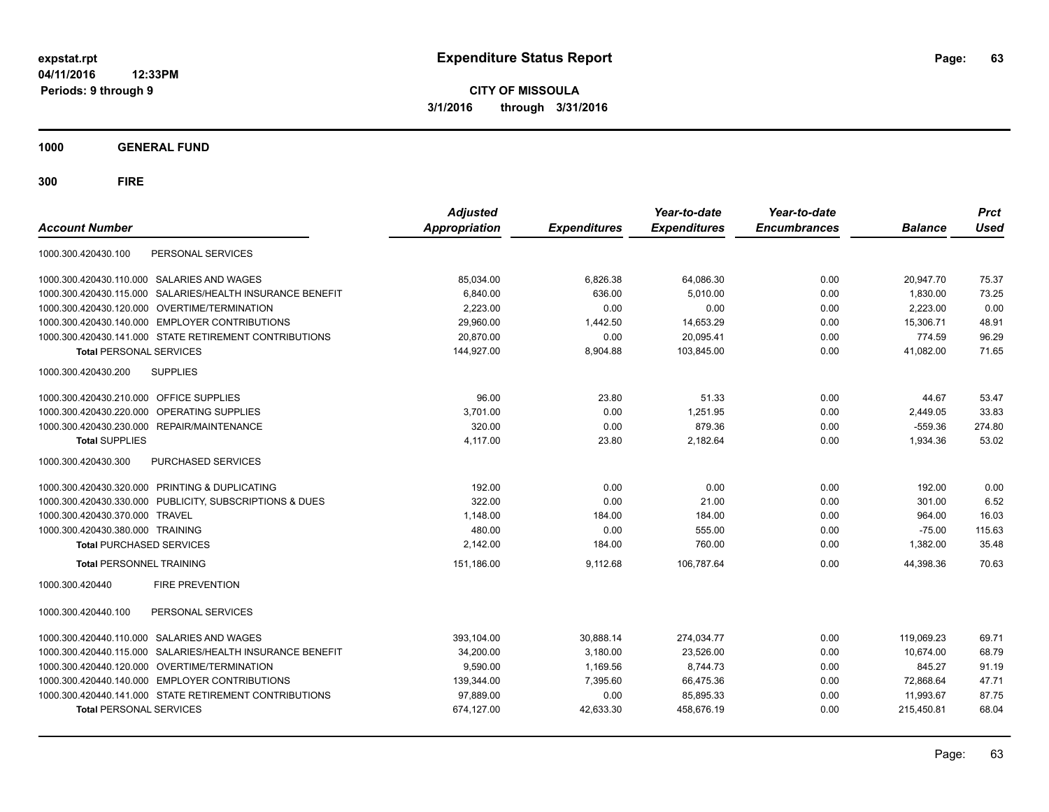**CITY OF MISSOULA 3/1/2016 through 3/31/2016**

**1000 GENERAL FUND**

| <b>Account Number</b>                                     | <b>Adjusted</b><br><b>Appropriation</b> | <b>Expenditures</b> | Year-to-date<br><b>Expenditures</b> | Year-to-date<br><b>Encumbrances</b> | <b>Balance</b> | <b>Prct</b><br><b>Used</b> |
|-----------------------------------------------------------|-----------------------------------------|---------------------|-------------------------------------|-------------------------------------|----------------|----------------------------|
| 1000.300.420430.100<br>PERSONAL SERVICES                  |                                         |                     |                                     |                                     |                |                            |
| 1000.300.420430.110.000 SALARIES AND WAGES                | 85,034.00                               | 6,826.38            | 64,086.30                           | 0.00                                | 20,947.70      | 75.37                      |
| 1000.300.420430.115.000 SALARIES/HEALTH INSURANCE BENEFIT | 6,840.00                                | 636.00              | 5,010.00                            | 0.00                                | 1,830.00       | 73.25                      |
| 1000.300.420430.120.000 OVERTIME/TERMINATION              | 2.223.00                                | 0.00                | 0.00                                | 0.00                                | 2.223.00       | 0.00                       |
| 1000.300.420430.140.000 EMPLOYER CONTRIBUTIONS            | 29.960.00                               | 1,442.50            | 14,653.29                           | 0.00                                | 15,306.71      | 48.91                      |
| 1000.300.420430.141.000 STATE RETIREMENT CONTRIBUTIONS    | 20.870.00                               | 0.00                | 20,095.41                           | 0.00                                | 774.59         | 96.29                      |
| <b>Total PERSONAL SERVICES</b>                            | 144,927.00                              | 8,904.88            | 103,845.00                          | 0.00                                | 41,082.00      | 71.65                      |
| 1000.300.420430.200<br><b>SUPPLIES</b>                    |                                         |                     |                                     |                                     |                |                            |
| 1000.300.420430.210.000 OFFICE SUPPLIES                   | 96.00                                   | 23.80               | 51.33                               | 0.00                                | 44.67          | 53.47                      |
| OPERATING SUPPLIES<br>1000.300.420430.220.000             | 3,701.00                                | 0.00                | 1,251.95                            | 0.00                                | 2,449.05       | 33.83                      |
| 1000.300.420430.230.000 REPAIR/MAINTENANCE                | 320.00                                  | 0.00                | 879.36                              | 0.00                                | $-559.36$      | 274.80                     |
| <b>Total SUPPLIES</b>                                     | 4,117.00                                | 23.80               | 2,182.64                            | 0.00                                | 1,934.36       | 53.02                      |
| 1000.300.420430.300<br><b>PURCHASED SERVICES</b>          |                                         |                     |                                     |                                     |                |                            |
| 1000.300.420430.320.000 PRINTING & DUPLICATING            | 192.00                                  | 0.00                | 0.00                                | 0.00                                | 192.00         | 0.00                       |
| 1000.300.420430.330.000 PUBLICITY, SUBSCRIPTIONS & DUES   | 322.00                                  | 0.00                | 21.00                               | 0.00                                | 301.00         | 6.52                       |
| 1000.300.420430.370.000 TRAVEL                            | 1,148.00                                | 184.00              | 184.00                              | 0.00                                | 964.00         | 16.03                      |
| 1000.300.420430.380.000 TRAINING                          | 480.00                                  | 0.00                | 555.00                              | 0.00                                | $-75.00$       | 115.63                     |
| <b>Total PURCHASED SERVICES</b>                           | 2.142.00                                | 184.00              | 760.00                              | 0.00                                | 1,382.00       | 35.48                      |
| <b>Total PERSONNEL TRAINING</b>                           | 151,186.00                              | 9,112.68            | 106,787.64                          | 0.00                                | 44,398.36      | 70.63                      |
| <b>FIRE PREVENTION</b><br>1000.300.420440                 |                                         |                     |                                     |                                     |                |                            |
| 1000.300.420440.100<br>PERSONAL SERVICES                  |                                         |                     |                                     |                                     |                |                            |
| 1000.300.420440.110.000 SALARIES AND WAGES                | 393,104.00                              | 30,888.14           | 274,034.77                          | 0.00                                | 119.069.23     | 69.71                      |
| 1000.300.420440.115.000 SALARIES/HEALTH INSURANCE BENEFIT | 34,200.00                               | 3,180.00            | 23,526.00                           | 0.00                                | 10,674.00      | 68.79                      |
| 1000.300.420440.120.000 OVERTIME/TERMINATION              | 9,590.00                                | 1,169.56            | 8,744.73                            | 0.00                                | 845.27         | 91.19                      |
| 1000.300.420440.140.000 EMPLOYER CONTRIBUTIONS            | 139,344.00                              | 7,395.60            | 66,475.36                           | 0.00                                | 72,868.64      | 47.71                      |
| 1000.300.420440.141.000 STATE RETIREMENT CONTRIBUTIONS    | 97,889.00                               | 0.00                | 85,895.33                           | 0.00                                | 11,993.67      | 87.75                      |
| <b>Total PERSONAL SERVICES</b>                            | 674,127.00                              | 42,633.30           | 458,676.19                          | 0.00                                | 215,450.81     | 68.04                      |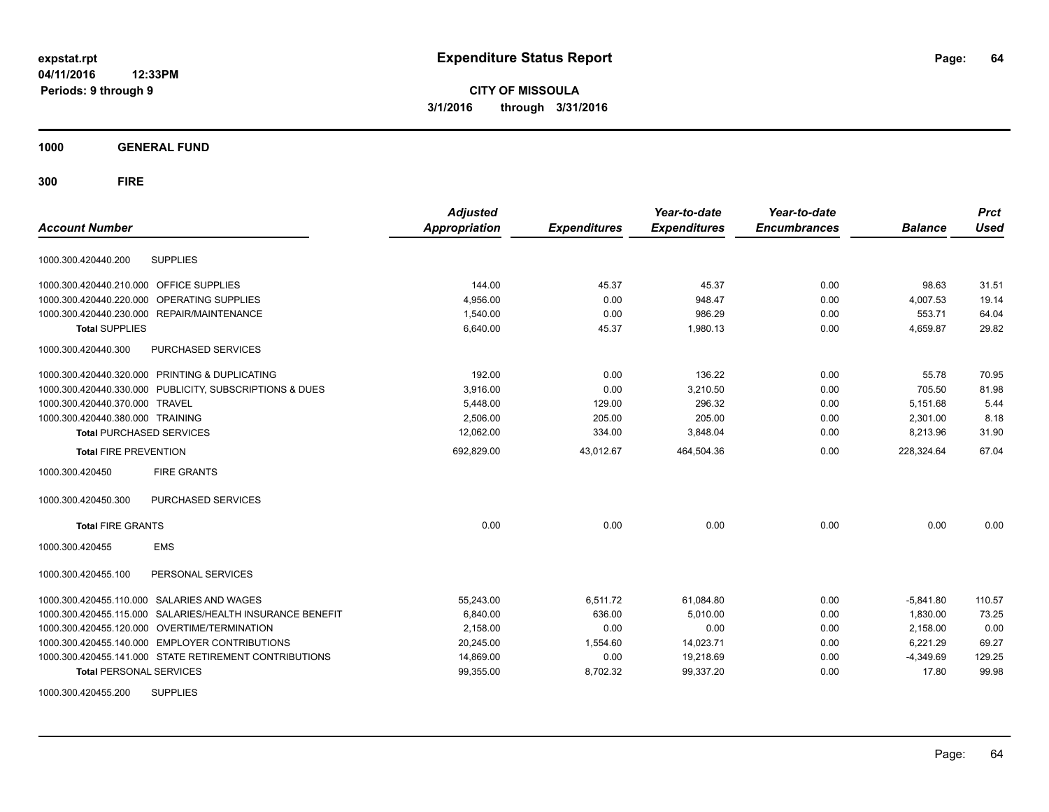**CITY OF MISSOULA 3/1/2016 through 3/31/2016**

**1000 GENERAL FUND**

**300 FIRE**

| <b>Account Number</b>                                        | <b>Adjusted</b><br><b>Appropriation</b> | <b>Expenditures</b> | Year-to-date<br><b>Expenditures</b> | Year-to-date<br><b>Encumbrances</b> | <b>Balance</b> | <b>Prct</b><br><b>Used</b> |
|--------------------------------------------------------------|-----------------------------------------|---------------------|-------------------------------------|-------------------------------------|----------------|----------------------------|
| <b>SUPPLIES</b><br>1000.300.420440.200                       |                                         |                     |                                     |                                     |                |                            |
| 1000.300.420440.210.000 OFFICE SUPPLIES                      | 144.00                                  | 45.37               | 45.37                               | 0.00                                | 98.63          | 31.51                      |
| 1000.300.420440.220.000<br>OPERATING SUPPLIES                | 4,956.00                                | 0.00                | 948.47                              | 0.00                                | 4,007.53       | 19.14                      |
| 1000.300.420440.230.000 REPAIR/MAINTENANCE                   | 1,540.00                                | 0.00                | 986.29                              | 0.00                                | 553.71         | 64.04                      |
| <b>Total SUPPLIES</b>                                        | 6,640.00                                | 45.37               | 1,980.13                            | 0.00                                | 4,659.87       | 29.82                      |
| 1000.300.420440.300<br>PURCHASED SERVICES                    |                                         |                     |                                     |                                     |                |                            |
| 1000.300.420440.320.000 PRINTING & DUPLICATING               | 192.00                                  | 0.00                | 136.22                              | 0.00                                | 55.78          | 70.95                      |
| 1000.300.420440.330.000 PUBLICITY, SUBSCRIPTIONS & DUES      | 3,916.00                                | 0.00                | 3.210.50                            | 0.00                                | 705.50         | 81.98                      |
| 1000.300.420440.370.000 TRAVEL                               | 5,448.00                                | 129.00              | 296.32                              | 0.00                                | 5,151.68       | 5.44                       |
| 1000.300.420440.380.000 TRAINING                             | 2,506.00                                | 205.00              | 205.00                              | 0.00                                | 2,301.00       | 8.18                       |
| <b>Total PURCHASED SERVICES</b>                              | 12,062.00                               | 334.00              | 3,848.04                            | 0.00                                | 8,213.96       | 31.90                      |
| <b>Total FIRE PREVENTION</b>                                 | 692,829.00                              | 43,012.67           | 464,504.36                          | 0.00                                | 228,324.64     | 67.04                      |
| <b>FIRE GRANTS</b><br>1000.300.420450                        |                                         |                     |                                     |                                     |                |                            |
| <b>PURCHASED SERVICES</b><br>1000.300.420450.300             |                                         |                     |                                     |                                     |                |                            |
| <b>Total FIRE GRANTS</b>                                     | 0.00                                    | 0.00                | 0.00                                | 0.00                                | 0.00           | 0.00                       |
| <b>EMS</b><br>1000.300.420455                                |                                         |                     |                                     |                                     |                |                            |
| 1000.300.420455.100<br>PERSONAL SERVICES                     |                                         |                     |                                     |                                     |                |                            |
| 1000.300.420455.110.000 SALARIES AND WAGES                   | 55,243.00                               | 6,511.72            | 61,084.80                           | 0.00                                | $-5,841.80$    | 110.57                     |
| SALARIES/HEALTH INSURANCE BENEFIT<br>1000.300.420455.115.000 | 6,840.00                                | 636.00              | 5,010.00                            | 0.00                                | 1,830.00       | 73.25                      |
| 1000.300.420455.120.000 OVERTIME/TERMINATION                 | 2,158.00                                | 0.00                | 0.00                                | 0.00                                | 2,158.00       | 0.00                       |
| 1000.300.420455.140.000 EMPLOYER CONTRIBUTIONS               | 20,245.00                               | 1,554.60            | 14,023.71                           | 0.00                                | 6,221.29       | 69.27                      |
| 1000.300.420455.141.000 STATE RETIREMENT CONTRIBUTIONS       | 14,869.00                               | 0.00                | 19,218.69                           | 0.00                                | $-4,349.69$    | 129.25                     |
| <b>Total PERSONAL SERVICES</b>                               | 99,355.00                               | 8,702.32            | 99,337.20                           | 0.00                                | 17.80          | 99.98                      |
| 1000000010015500<br>0.1001100                                |                                         |                     |                                     |                                     |                |                            |

1000.300.420455.200 SUPPLIES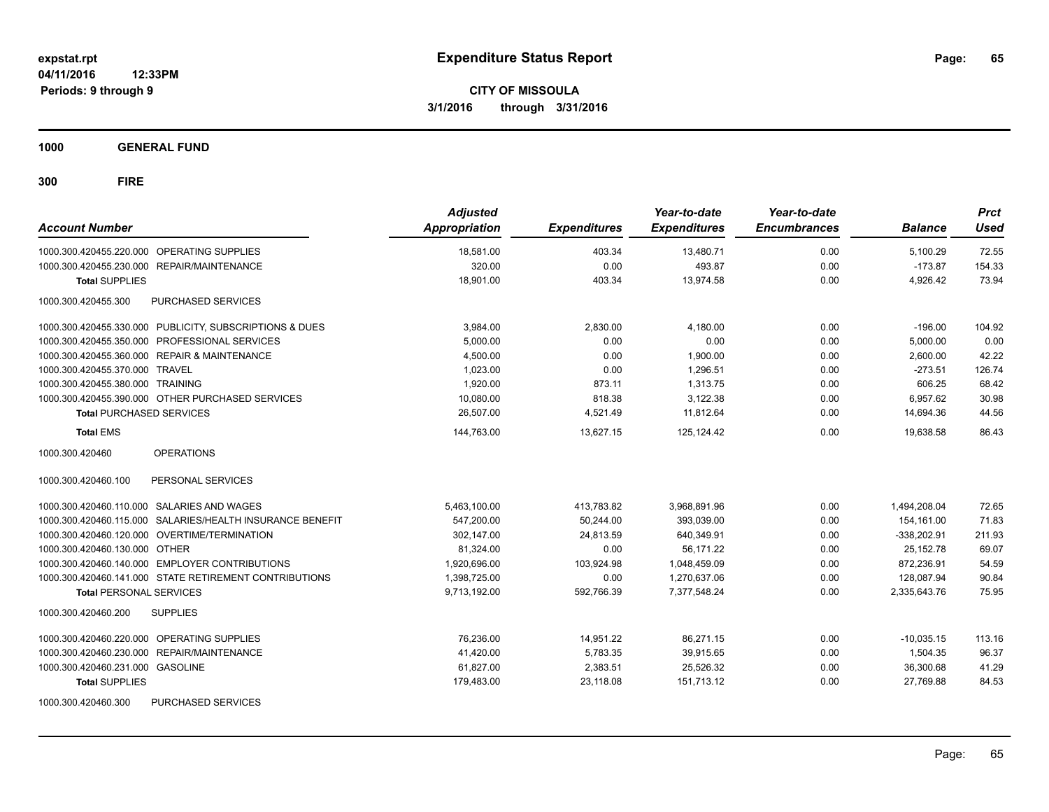**1000 GENERAL FUND**

| <b>Account Number</b>                                     | <b>Adjusted</b><br><b>Appropriation</b> | <b>Expenditures</b> | Year-to-date<br><b>Expenditures</b> | Year-to-date<br><b>Encumbrances</b> | <b>Balance</b> | <b>Prct</b><br><b>Used</b> |
|-----------------------------------------------------------|-----------------------------------------|---------------------|-------------------------------------|-------------------------------------|----------------|----------------------------|
| 1000.300.420455.220.000 OPERATING SUPPLIES                | 18.581.00                               | 403.34              | 13,480.71                           | 0.00                                | 5,100.29       | 72.55                      |
| 1000.300.420455.230.000 REPAIR/MAINTENANCE                | 320.00                                  | 0.00                | 493.87                              | 0.00                                | $-173.87$      | 154.33                     |
| <b>Total SUPPLIES</b>                                     | 18,901.00                               | 403.34              | 13.974.58                           | 0.00                                | 4,926.42       | 73.94                      |
| PURCHASED SERVICES<br>1000.300.420455.300                 |                                         |                     |                                     |                                     |                |                            |
| 1000.300.420455.330.000 PUBLICITY, SUBSCRIPTIONS & DUES   | 3.984.00                                | 2.830.00            | 4.180.00                            | 0.00                                | $-196.00$      | 104.92                     |
| 1000.300.420455.350.000 PROFESSIONAL SERVICES             | 5.000.00                                | 0.00                | 0.00                                | 0.00                                | 5.000.00       | 0.00                       |
| 1000.300.420455.360.000 REPAIR & MAINTENANCE              | 4,500.00                                | 0.00                | 1.900.00                            | 0.00                                | 2,600.00       | 42.22                      |
| 1000.300.420455.370.000 TRAVEL                            | 1,023.00                                | 0.00                | 1.296.51                            | 0.00                                | $-273.51$      | 126.74                     |
| 1000.300.420455.380.000 TRAINING                          | 1,920.00                                | 873.11              | 1,313.75                            | 0.00                                | 606.25         | 68.42                      |
| 1000.300.420455.390.000 OTHER PURCHASED SERVICES          | 10,080.00                               | 818.38              | 3,122.38                            | 0.00                                | 6,957.62       | 30.98                      |
| <b>Total PURCHASED SERVICES</b>                           | 26,507.00                               | 4,521.49            | 11,812.64                           | 0.00                                | 14,694.36      | 44.56                      |
| <b>Total EMS</b>                                          | 144,763.00                              | 13,627.15           | 125,124.42                          | 0.00                                | 19.638.58      | 86.43                      |
| <b>OPERATIONS</b><br>1000.300.420460                      |                                         |                     |                                     |                                     |                |                            |
| PERSONAL SERVICES<br>1000.300.420460.100                  |                                         |                     |                                     |                                     |                |                            |
| 1000.300.420460.110.000 SALARIES AND WAGES                | 5,463,100.00                            | 413,783.82          | 3,968,891.96                        | 0.00                                | 1,494,208.04   | 72.65                      |
| 1000.300.420460.115.000 SALARIES/HEALTH INSURANCE BENEFIT | 547,200.00                              | 50,244.00           | 393,039.00                          | 0.00                                | 154.161.00     | 71.83                      |
| 1000.300.420460.120.000 OVERTIME/TERMINATION              | 302,147.00                              | 24,813.59           | 640,349.91                          | 0.00                                | $-338,202.91$  | 211.93                     |
| 1000.300.420460.130.000 OTHER                             | 81,324.00                               | 0.00                | 56.171.22                           | 0.00                                | 25,152.78      | 69.07                      |
| 1000.300.420460.140.000 EMPLOYER CONTRIBUTIONS            | 1,920,696.00                            | 103,924.98          | 1,048,459.09                        | 0.00                                | 872,236.91     | 54.59                      |
| 1000.300.420460.141.000 STATE RETIREMENT CONTRIBUTIONS    | 1,398,725.00                            | 0.00                | 1,270,637.06                        | 0.00                                | 128,087.94     | 90.84                      |
| <b>Total PERSONAL SERVICES</b>                            | 9,713,192.00                            | 592,766.39          | 7,377,548.24                        | 0.00                                | 2,335,643.76   | 75.95                      |
| <b>SUPPLIES</b><br>1000.300.420460.200                    |                                         |                     |                                     |                                     |                |                            |
| 1000.300.420460.220.000 OPERATING SUPPLIES                | 76.236.00                               | 14,951.22           | 86,271.15                           | 0.00                                | $-10.035.15$   | 113.16                     |
| 1000.300.420460.230.000 REPAIR/MAINTENANCE                | 41,420.00                               | 5,783.35            | 39,915.65                           | 0.00                                | 1,504.35       | 96.37                      |
| 1000.300.420460.231.000 GASOLINE                          | 61,827.00                               | 2,383.51            | 25,526.32                           | 0.00                                | 36,300.68      | 41.29                      |
| <b>Total SUPPLIES</b>                                     | 179,483.00                              | 23,118.08           | 151,713.12                          | 0.00                                | 27,769.88      | 84.53                      |
| PURCHASED SERVICES<br>1000.300.420460.300                 |                                         |                     |                                     |                                     |                |                            |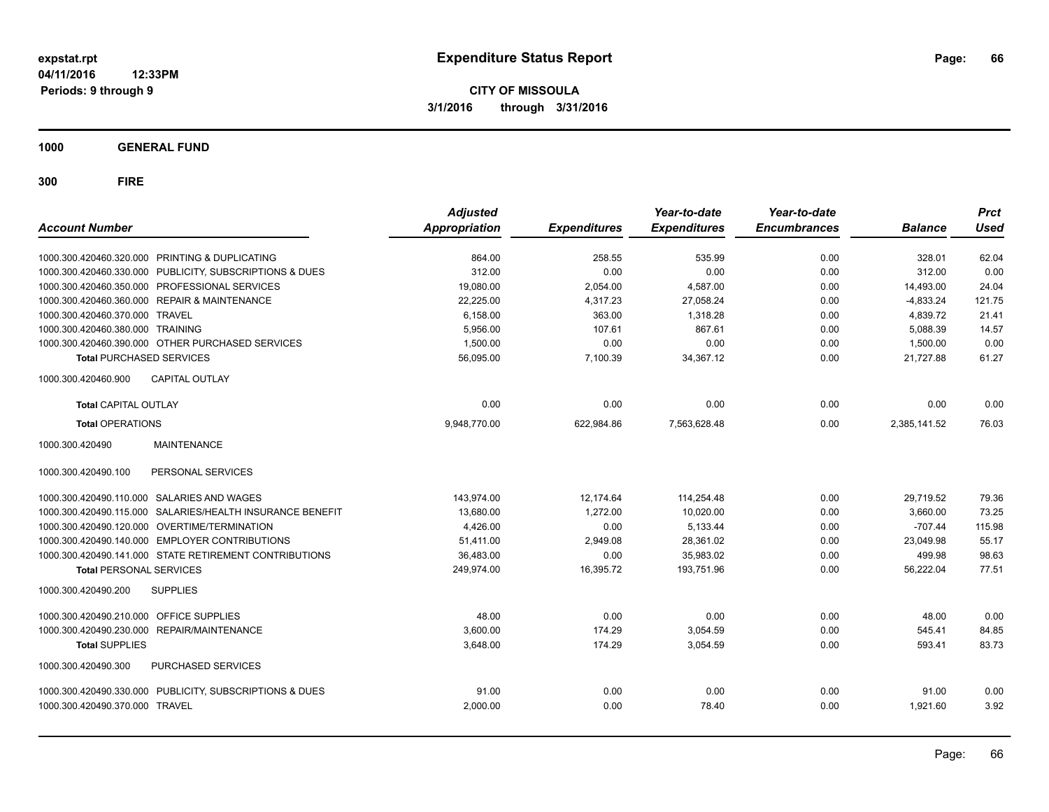**1000 GENERAL FUND**

| <b>Account Number</b>                                     | <b>Adjusted</b><br><b>Appropriation</b> | <b>Expenditures</b> | Year-to-date<br><b>Expenditures</b> | Year-to-date<br><b>Encumbrances</b> | <b>Balance</b> | <b>Prct</b><br>Used |
|-----------------------------------------------------------|-----------------------------------------|---------------------|-------------------------------------|-------------------------------------|----------------|---------------------|
| 1000.300.420460.320.000 PRINTING & DUPLICATING            | 864.00                                  | 258.55              | 535.99                              | 0.00                                | 328.01         | 62.04               |
| 1000.300.420460.330.000 PUBLICITY, SUBSCRIPTIONS & DUES   | 312.00                                  | 0.00                | 0.00                                | 0.00                                | 312.00         | 0.00                |
| 1000.300.420460.350.000 PROFESSIONAL SERVICES             | 19,080.00                               | 2,054.00            | 4,587.00                            | 0.00                                | 14,493.00      | 24.04               |
| 1000.300.420460.360.000 REPAIR & MAINTENANCE              | 22,225.00                               | 4,317.23            | 27,058.24                           | 0.00                                | $-4,833.24$    | 121.75              |
| 1000.300.420460.370.000 TRAVEL                            | 6,158.00                                | 363.00              | 1.318.28                            | 0.00                                | 4.839.72       | 21.41               |
| 1000.300.420460.380.000 TRAINING                          | 5,956.00                                | 107.61              | 867.61                              | 0.00                                | 5,088.39       | 14.57               |
| 1000.300.420460.390.000 OTHER PURCHASED SERVICES          | 1,500.00                                | 0.00                | 0.00                                | 0.00                                | 1,500.00       | 0.00                |
| <b>Total PURCHASED SERVICES</b>                           | 56,095.00                               | 7,100.39            | 34,367.12                           | 0.00                                | 21.727.88      | 61.27               |
| <b>CAPITAL OUTLAY</b><br>1000.300.420460.900              |                                         |                     |                                     |                                     |                |                     |
| <b>Total CAPITAL OUTLAY</b>                               | 0.00                                    | 0.00                | 0.00                                | 0.00                                | 0.00           | 0.00                |
| <b>Total OPERATIONS</b>                                   | 9,948,770.00                            | 622,984.86          | 7,563,628.48                        | 0.00                                | 2,385,141.52   | 76.03               |
| <b>MAINTENANCE</b><br>1000.300.420490                     |                                         |                     |                                     |                                     |                |                     |
| 1000.300.420490.100<br>PERSONAL SERVICES                  |                                         |                     |                                     |                                     |                |                     |
| 1000.300.420490.110.000 SALARIES AND WAGES                | 143.974.00                              | 12,174.64           | 114,254.48                          | 0.00                                | 29,719.52      | 79.36               |
| 1000.300.420490.115.000 SALARIES/HEALTH INSURANCE BENEFIT | 13,680.00                               | 1.272.00            | 10.020.00                           | 0.00                                | 3.660.00       | 73.25               |
| 1000.300.420490.120.000 OVERTIME/TERMINATION              | 4,426.00                                | 0.00                | 5,133.44                            | 0.00                                | $-707.44$      | 115.98              |
| 1000.300.420490.140.000 EMPLOYER CONTRIBUTIONS            | 51,411.00                               | 2,949.08            | 28,361.02                           | 0.00                                | 23,049.98      | 55.17               |
| 1000.300.420490.141.000 STATE RETIREMENT CONTRIBUTIONS    | 36,483.00                               | 0.00                | 35,983.02                           | 0.00                                | 499.98         | 98.63               |
| <b>Total PERSONAL SERVICES</b>                            | 249,974.00                              | 16,395.72           | 193,751.96                          | 0.00                                | 56,222.04      | 77.51               |
| 1000.300.420490.200<br><b>SUPPLIES</b>                    |                                         |                     |                                     |                                     |                |                     |
| 1000.300.420490.210.000 OFFICE SUPPLIES                   | 48.00                                   | 0.00                | 0.00                                | 0.00                                | 48.00          | 0.00                |
| 1000.300.420490.230.000 REPAIR/MAINTENANCE                | 3,600.00                                | 174.29              | 3,054.59                            | 0.00                                | 545.41         | 84.85               |
| <b>Total SUPPLIES</b>                                     | 3,648.00                                | 174.29              | 3,054.59                            | 0.00                                | 593.41         | 83.73               |
| 1000.300.420490.300<br>PURCHASED SERVICES                 |                                         |                     |                                     |                                     |                |                     |
| 1000.300.420490.330.000 PUBLICITY, SUBSCRIPTIONS & DUES   | 91.00                                   | 0.00                | 0.00                                | 0.00                                | 91.00          | 0.00                |
| 1000.300.420490.370.000 TRAVEL                            | 2,000.00                                | 0.00                | 78.40                               | 0.00                                | 1.921.60       | 3.92                |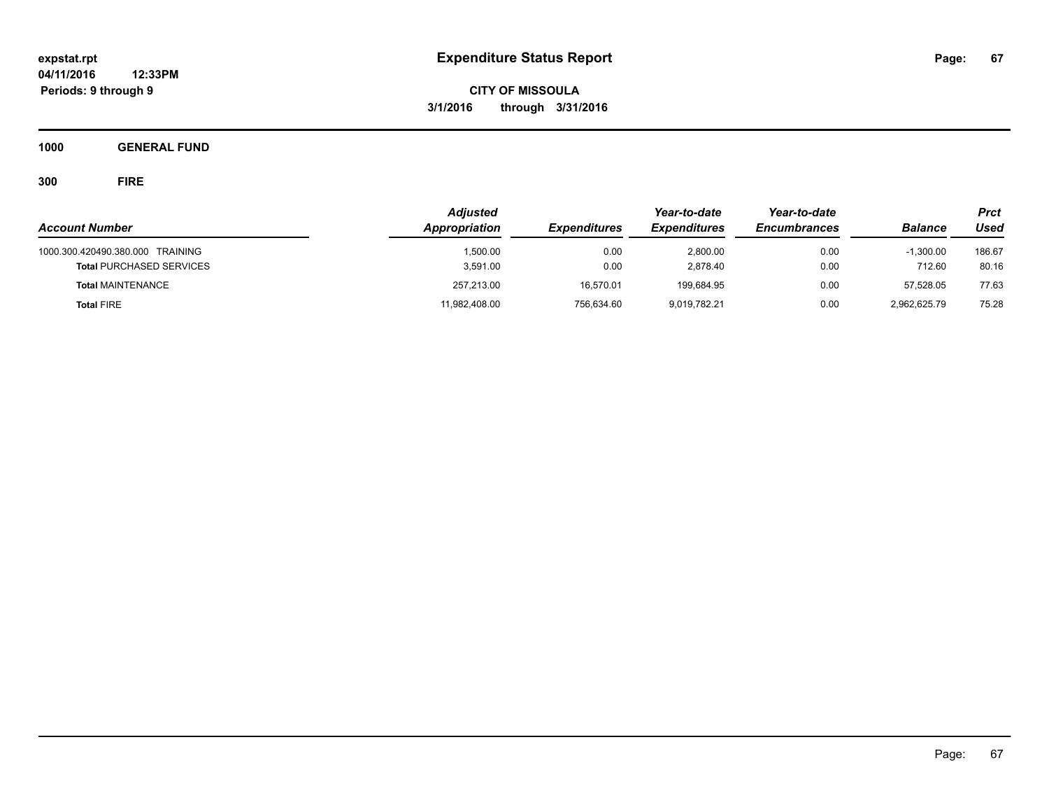**CITY OF MISSOULA 3/1/2016 through 3/31/2016**

**1000 GENERAL FUND**

|                                                                     | <b>Adjusted</b><br>Appropriation<br><b>Expenditures</b> |              | Year-to-date         | Year-to-date        |                       | <b>Prct</b><br>Used |
|---------------------------------------------------------------------|---------------------------------------------------------|--------------|----------------------|---------------------|-----------------------|---------------------|
| <b>Account Number</b>                                               |                                                         |              | <b>Expenditures</b>  | <b>Encumbrances</b> | <b>Balance</b>        |                     |
| 1000.300.420490.380.000 TRAINING<br><b>Total PURCHASED SERVICES</b> | 1.500.00<br>3.591.00                                    | 0.00<br>0.00 | 2.800.00<br>2,878.40 | 0.00<br>0.00        | $-1.300.00$<br>712.60 | 186.67<br>80.16     |
| <b>Total MAINTENANCE</b>                                            | 257,213.00                                              | 16,570.01    | 199,684.95           | 0.00                | 57.528.05             | 77.63               |
| <b>Total FIRE</b>                                                   | 11,982,408.00                                           | 756,634.60   | 9,019,782.21         | 0.00                | 2,962,625.79          | 75.28               |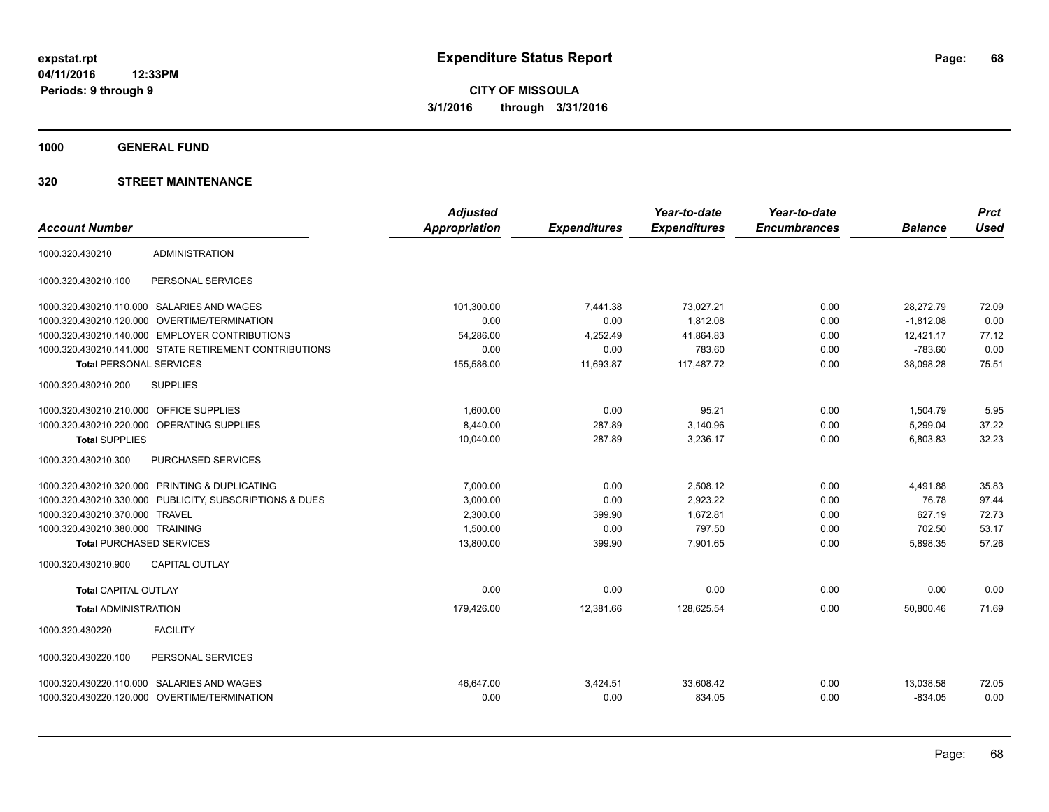**1000 GENERAL FUND**

|                                                          | <b>Adjusted</b>      |                     | Year-to-date        | Year-to-date        |                | <b>Prct</b> |
|----------------------------------------------------------|----------------------|---------------------|---------------------|---------------------|----------------|-------------|
| <b>Account Number</b>                                    | <b>Appropriation</b> | <b>Expenditures</b> | <b>Expenditures</b> | <b>Encumbrances</b> | <b>Balance</b> | <b>Used</b> |
| <b>ADMINISTRATION</b><br>1000.320.430210                 |                      |                     |                     |                     |                |             |
| 1000.320.430210.100<br>PERSONAL SERVICES                 |                      |                     |                     |                     |                |             |
| 1000.320.430210.110.000 SALARIES AND WAGES               | 101,300.00           | 7,441.38            | 73,027.21           | 0.00                | 28,272.79      | 72.09       |
| 1000.320.430210.120.000<br>OVERTIME/TERMINATION          | 0.00                 | 0.00                | 1,812.08            | 0.00                | $-1,812.08$    | 0.00        |
| <b>EMPLOYER CONTRIBUTIONS</b><br>1000.320.430210.140.000 | 54.286.00            | 4,252.49            | 41.864.83           | 0.00                | 12,421.17      | 77.12       |
| 1000.320.430210.141.000 STATE RETIREMENT CONTRIBUTIONS   | 0.00                 | 0.00                | 783.60              | 0.00                | $-783.60$      | 0.00        |
| <b>Total PERSONAL SERVICES</b>                           | 155,586.00           | 11,693.87           | 117.487.72          | 0.00                | 38.098.28      | 75.51       |
| <b>SUPPLIES</b><br>1000.320.430210.200                   |                      |                     |                     |                     |                |             |
| 1000.320.430210.210.000 OFFICE SUPPLIES                  | 1,600.00             | 0.00                | 95.21               | 0.00                | 1,504.79       | 5.95        |
| 1000.320.430210.220.000 OPERATING SUPPLIES               | 8.440.00             | 287.89              | 3.140.96            | 0.00                | 5,299.04       | 37.22       |
| <b>Total SUPPLIES</b>                                    | 10,040.00            | 287.89              | 3,236.17            | 0.00                | 6,803.83       | 32.23       |
| 1000.320.430210.300<br>PURCHASED SERVICES                |                      |                     |                     |                     |                |             |
| 1000.320.430210.320.000 PRINTING & DUPLICATING           | 7,000.00             | 0.00                | 2,508.12            | 0.00                | 4,491.88       | 35.83       |
| 1000.320.430210.330.000 PUBLICITY, SUBSCRIPTIONS & DUES  | 3,000.00             | 0.00                | 2,923.22            | 0.00                | 76.78          | 97.44       |
| 1000.320.430210.370.000 TRAVEL                           | 2.300.00             | 399.90              | 1.672.81            | 0.00                | 627.19         | 72.73       |
| 1000.320.430210.380.000 TRAINING                         | 1,500.00             | 0.00                | 797.50              | 0.00                | 702.50         | 53.17       |
| <b>Total PURCHASED SERVICES</b>                          | 13,800.00            | 399.90              | 7,901.65            | 0.00                | 5,898.35       | 57.26       |
| <b>CAPITAL OUTLAY</b><br>1000.320.430210.900             |                      |                     |                     |                     |                |             |
| <b>Total CAPITAL OUTLAY</b>                              | 0.00                 | 0.00                | 0.00                | 0.00                | 0.00           | 0.00        |
| <b>Total ADMINISTRATION</b>                              | 179,426.00           | 12,381.66           | 128,625.54          | 0.00                | 50,800.46      | 71.69       |
| <b>FACILITY</b><br>1000.320.430220                       |                      |                     |                     |                     |                |             |
| PERSONAL SERVICES<br>1000.320.430220.100                 |                      |                     |                     |                     |                |             |
| 1000.320.430220.110.000 SALARIES AND WAGES               | 46.647.00            | 3,424.51            | 33,608.42           | 0.00                | 13,038.58      | 72.05       |
| 1000.320.430220.120.000 OVERTIME/TERMINATION             | 0.00                 | 0.00                | 834.05              | 0.00                | $-834.05$      | 0.00        |
|                                                          |                      |                     |                     |                     |                |             |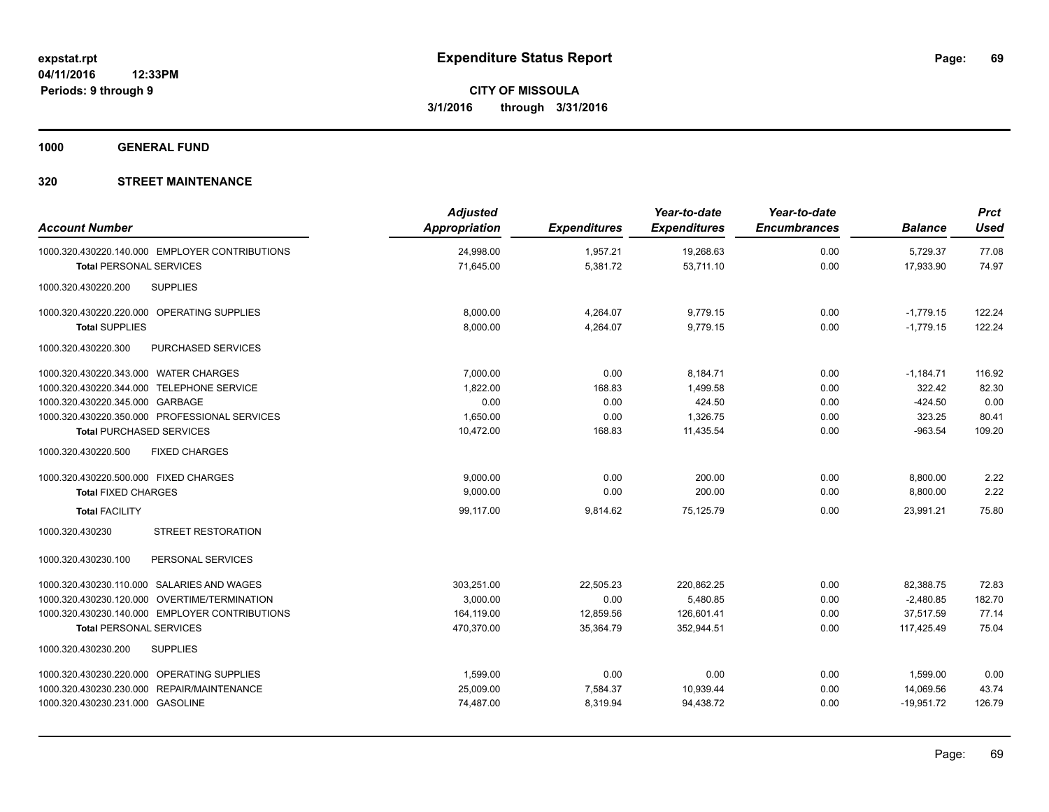**1000 GENERAL FUND**

| <b>Account Number</b>                          | <b>Adjusted</b><br>Appropriation | <b>Expenditures</b> | Year-to-date<br><b>Expenditures</b> | Year-to-date<br><b>Encumbrances</b> | <b>Balance</b> | <b>Prct</b><br><b>Used</b> |
|------------------------------------------------|----------------------------------|---------------------|-------------------------------------|-------------------------------------|----------------|----------------------------|
| 1000.320.430220.140.000 EMPLOYER CONTRIBUTIONS | 24,998.00                        | 1,957.21            | 19,268.63                           | 0.00                                | 5,729.37       | 77.08                      |
| <b>Total PERSONAL SERVICES</b>                 | 71,645.00                        | 5,381.72            | 53,711.10                           | 0.00                                | 17,933.90      | 74.97                      |
| <b>SUPPLIES</b><br>1000.320.430220.200         |                                  |                     |                                     |                                     |                |                            |
| 1000.320.430220.220.000 OPERATING SUPPLIES     | 8,000.00                         | 4,264.07            | 9,779.15                            | 0.00                                | $-1,779.15$    | 122.24                     |
| <b>Total SUPPLIES</b>                          | 8,000.00                         | 4,264.07            | 9,779.15                            | 0.00                                | $-1,779.15$    | 122.24                     |
| PURCHASED SERVICES<br>1000.320.430220.300      |                                  |                     |                                     |                                     |                |                            |
| 1000.320.430220.343.000 WATER CHARGES          | 7,000.00                         | 0.00                | 8,184.71                            | 0.00                                | $-1,184.71$    | 116.92                     |
| 1000.320.430220.344.000 TELEPHONE SERVICE      | 1,822.00                         | 168.83              | 1,499.58                            | 0.00                                | 322.42         | 82.30                      |
| 1000.320.430220.345.000 GARBAGE                | 0.00                             | 0.00                | 424.50                              | 0.00                                | $-424.50$      | 0.00                       |
| 1000.320.430220.350.000 PROFESSIONAL SERVICES  | 1,650.00                         | 0.00                | 1,326.75                            | 0.00                                | 323.25         | 80.41                      |
| <b>Total PURCHASED SERVICES</b>                | 10,472.00                        | 168.83              | 11,435.54                           | 0.00                                | $-963.54$      | 109.20                     |
| 1000.320.430220.500<br><b>FIXED CHARGES</b>    |                                  |                     |                                     |                                     |                |                            |
| 1000.320.430220.500.000 FIXED CHARGES          | 9,000.00                         | 0.00                | 200.00                              | 0.00                                | 8,800.00       | 2.22                       |
| <b>Total FIXED CHARGES</b>                     | 9,000.00                         | 0.00                | 200.00                              | 0.00                                | 8,800.00       | 2.22                       |
| <b>Total FACILITY</b>                          | 99.117.00                        | 9,814.62            | 75,125.79                           | 0.00                                | 23.991.21      | 75.80                      |
| <b>STREET RESTORATION</b><br>1000.320.430230   |                                  |                     |                                     |                                     |                |                            |
| PERSONAL SERVICES<br>1000.320.430230.100       |                                  |                     |                                     |                                     |                |                            |
| 1000.320.430230.110.000 SALARIES AND WAGES     | 303,251.00                       | 22,505.23           | 220,862.25                          | 0.00                                | 82,388.75      | 72.83                      |
| 1000.320.430230.120.000 OVERTIME/TERMINATION   | 3,000.00                         | 0.00                | 5,480.85                            | 0.00                                | $-2,480.85$    | 182.70                     |
| 1000.320.430230.140.000 EMPLOYER CONTRIBUTIONS | 164,119.00                       | 12,859.56           | 126,601.41                          | 0.00                                | 37,517.59      | 77.14                      |
| <b>Total PERSONAL SERVICES</b>                 | 470,370.00                       | 35,364.79           | 352,944.51                          | 0.00                                | 117,425.49     | 75.04                      |
| <b>SUPPLIES</b><br>1000.320.430230.200         |                                  |                     |                                     |                                     |                |                            |
| 1000.320.430230.220.000 OPERATING SUPPLIES     | 1,599.00                         | 0.00                | 0.00                                | 0.00                                | 1,599.00       | 0.00                       |
| 1000.320.430230.230.000 REPAIR/MAINTENANCE     | 25,009.00                        | 7,584.37            | 10,939.44                           | 0.00                                | 14,069.56      | 43.74                      |
| 1000.320.430230.231.000 GASOLINE               | 74,487.00                        | 8,319.94            | 94,438.72                           | 0.00                                | $-19,951.72$   | 126.79                     |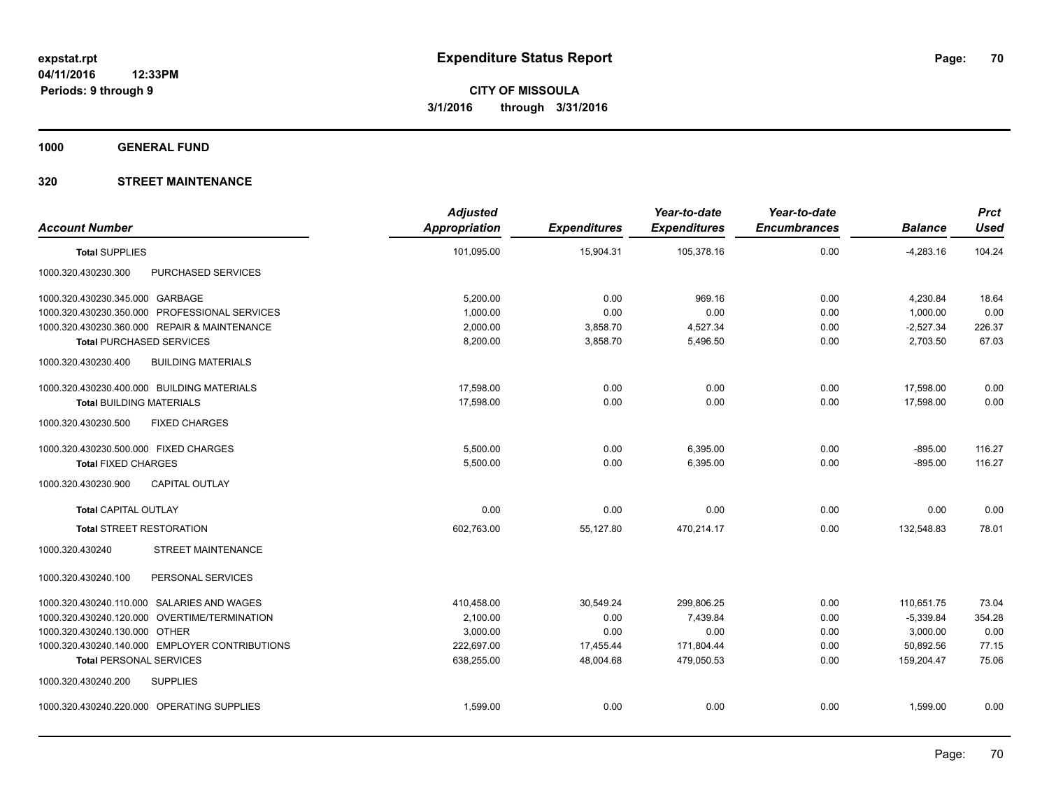**1000 GENERAL FUND**

| <b>Account Number</b>                            | <b>Adjusted</b><br><b>Appropriation</b> | <b>Expenditures</b> | Year-to-date<br><b>Expenditures</b> | Year-to-date<br><b>Encumbrances</b> | <b>Balance</b> | <b>Prct</b><br><b>Used</b> |
|--------------------------------------------------|-----------------------------------------|---------------------|-------------------------------------|-------------------------------------|----------------|----------------------------|
|                                                  |                                         |                     |                                     |                                     |                |                            |
| <b>Total SUPPLIES</b>                            | 101,095.00                              | 15,904.31           | 105,378.16                          | 0.00                                | $-4,283.16$    | 104.24                     |
| PURCHASED SERVICES<br>1000.320.430230.300        |                                         |                     |                                     |                                     |                |                            |
| 1000.320.430230.345.000 GARBAGE                  | 5,200.00                                | 0.00                | 969.16                              | 0.00                                | 4,230.84       | 18.64                      |
| 1000.320.430230.350.000 PROFESSIONAL SERVICES    | 1,000.00                                | 0.00                | 0.00                                | 0.00                                | 1,000.00       | 0.00                       |
| 1000.320.430230.360.000 REPAIR & MAINTENANCE     | 2,000.00                                | 3,858.70            | 4,527.34                            | 0.00                                | $-2,527.34$    | 226.37                     |
| <b>Total PURCHASED SERVICES</b>                  | 8,200.00                                | 3,858.70            | 5,496.50                            | 0.00                                | 2,703.50       | 67.03                      |
| <b>BUILDING MATERIALS</b><br>1000.320.430230.400 |                                         |                     |                                     |                                     |                |                            |
| 1000.320.430230.400.000 BUILDING MATERIALS       | 17,598.00                               | 0.00                | 0.00                                | 0.00                                | 17,598.00      | 0.00                       |
| <b>Total BUILDING MATERIALS</b>                  | 17.598.00                               | 0.00                | 0.00                                | 0.00                                | 17.598.00      | 0.00                       |
| 1000.320.430230.500<br><b>FIXED CHARGES</b>      |                                         |                     |                                     |                                     |                |                            |
| 1000.320.430230.500.000 FIXED CHARGES            | 5,500.00                                | 0.00                | 6,395.00                            | 0.00                                | $-895.00$      | 116.27                     |
| <b>Total FIXED CHARGES</b>                       | 5,500.00                                | 0.00                | 6,395.00                            | 0.00                                | $-895.00$      | 116.27                     |
| 1000.320.430230.900<br><b>CAPITAL OUTLAY</b>     |                                         |                     |                                     |                                     |                |                            |
| <b>Total CAPITAL OUTLAY</b>                      | 0.00                                    | 0.00                | 0.00                                | 0.00                                | 0.00           | 0.00                       |
| <b>Total STREET RESTORATION</b>                  | 602.763.00                              | 55,127.80           | 470,214.17                          | 0.00                                | 132.548.83     | 78.01                      |
| <b>STREET MAINTENANCE</b><br>1000.320.430240     |                                         |                     |                                     |                                     |                |                            |
| PERSONAL SERVICES<br>1000.320.430240.100         |                                         |                     |                                     |                                     |                |                            |
| 1000.320.430240.110.000 SALARIES AND WAGES       | 410,458.00                              | 30,549.24           | 299,806.25                          | 0.00                                | 110,651.75     | 73.04                      |
| 1000.320.430240.120.000 OVERTIME/TERMINATION     | 2,100.00                                | 0.00                | 7,439.84                            | 0.00                                | $-5,339.84$    | 354.28                     |
| 1000.320.430240.130.000 OTHER                    | 3,000.00                                | 0.00                | 0.00                                | 0.00                                | 3,000.00       | 0.00                       |
| 1000.320.430240.140.000 EMPLOYER CONTRIBUTIONS   | 222,697.00                              | 17,455.44           | 171,804.44                          | 0.00                                | 50,892.56      | 77.15                      |
| <b>Total PERSONAL SERVICES</b>                   | 638,255.00                              | 48,004.68           | 479,050.53                          | 0.00                                | 159.204.47     | 75.06                      |
| 1000.320.430240.200<br><b>SUPPLIES</b>           |                                         |                     |                                     |                                     |                |                            |
| 1000.320.430240.220.000 OPERATING SUPPLIES       | 1,599.00                                | 0.00                | 0.00                                | 0.00                                | 1,599.00       | 0.00                       |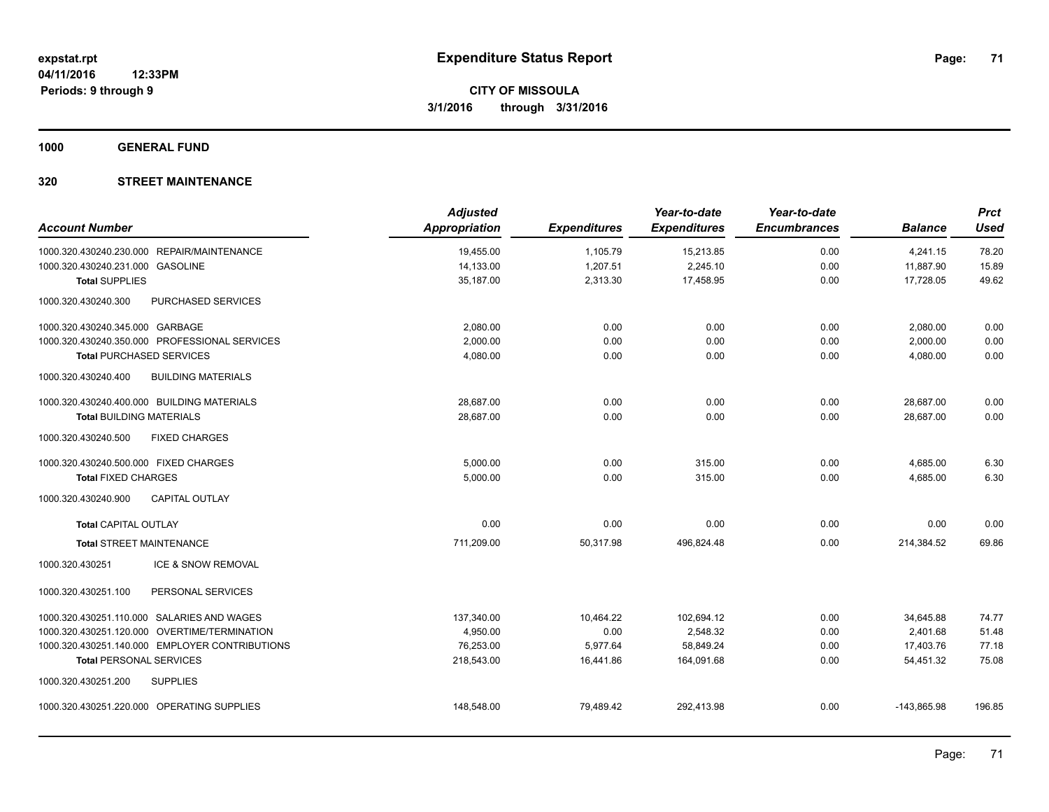**1000 GENERAL FUND**

| <b>Account Number</b>                 |                                                | <b>Adjusted</b><br><b>Appropriation</b> | <b>Expenditures</b> | Year-to-date<br><b>Expenditures</b> | Year-to-date<br><b>Encumbrances</b> | <b>Balance</b> | <b>Prct</b><br><b>Used</b> |
|---------------------------------------|------------------------------------------------|-----------------------------------------|---------------------|-------------------------------------|-------------------------------------|----------------|----------------------------|
|                                       | 1000.320.430240.230.000 REPAIR/MAINTENANCE     | 19,455.00                               | 1,105.79            | 15,213.85                           | 0.00                                | 4,241.15       | 78.20                      |
| 1000.320.430240.231.000               | <b>GASOLINE</b>                                | 14,133.00                               | 1,207.51            | 2,245.10                            | 0.00                                | 11,887.90      | 15.89                      |
| <b>Total SUPPLIES</b>                 |                                                | 35,187.00                               | 2,313.30            | 17,458.95                           | 0.00                                | 17,728.05      | 49.62                      |
| 1000.320.430240.300                   | PURCHASED SERVICES                             |                                         |                     |                                     |                                     |                |                            |
| 1000.320.430240.345.000 GARBAGE       |                                                | 2,080.00                                | 0.00                | 0.00                                | 0.00                                | 2,080.00       | 0.00                       |
|                                       | 1000.320.430240.350.000 PROFESSIONAL SERVICES  | 2,000.00                                | 0.00                | 0.00                                | 0.00                                | 2,000.00       | 0.00                       |
| <b>Total PURCHASED SERVICES</b>       |                                                | 4,080.00                                | 0.00                | 0.00                                | 0.00                                | 4,080.00       | 0.00                       |
| 1000.320.430240.400                   | <b>BUILDING MATERIALS</b>                      |                                         |                     |                                     |                                     |                |                            |
|                                       | 1000.320.430240.400.000 BUILDING MATERIALS     | 28,687.00                               | 0.00                | 0.00                                | 0.00                                | 28,687.00      | 0.00                       |
| <b>Total BUILDING MATERIALS</b>       |                                                | 28,687.00                               | 0.00                | 0.00                                | 0.00                                | 28,687.00      | 0.00                       |
| 1000.320.430240.500                   | <b>FIXED CHARGES</b>                           |                                         |                     |                                     |                                     |                |                            |
| 1000.320.430240.500.000 FIXED CHARGES |                                                | 5,000.00                                | 0.00                | 315.00                              | 0.00                                | 4,685.00       | 6.30                       |
| <b>Total FIXED CHARGES</b>            |                                                | 5,000.00                                | 0.00                | 315.00                              | 0.00                                | 4,685.00       | 6.30                       |
| 1000.320.430240.900                   | <b>CAPITAL OUTLAY</b>                          |                                         |                     |                                     |                                     |                |                            |
| <b>Total CAPITAL OUTLAY</b>           |                                                | 0.00                                    | 0.00                | 0.00                                | 0.00                                | 0.00           | 0.00                       |
| <b>Total STREET MAINTENANCE</b>       |                                                | 711,209.00                              | 50,317.98           | 496,824.48                          | 0.00                                | 214,384.52     | 69.86                      |
| 1000.320.430251                       | ICE & SNOW REMOVAL                             |                                         |                     |                                     |                                     |                |                            |
| 1000.320.430251.100                   | PERSONAL SERVICES                              |                                         |                     |                                     |                                     |                |                            |
|                                       | 1000.320.430251.110.000 SALARIES AND WAGES     | 137,340.00                              | 10,464.22           | 102,694.12                          | 0.00                                | 34,645.88      | 74.77                      |
| 1000.320.430251.120.000               | OVERTIME/TERMINATION                           | 4,950.00                                | 0.00                | 2,548.32                            | 0.00                                | 2,401.68       | 51.48                      |
|                                       | 1000.320.430251.140.000 EMPLOYER CONTRIBUTIONS | 76,253.00                               | 5,977.64            | 58,849.24                           | 0.00                                | 17,403.76      | 77.18                      |
| <b>Total PERSONAL SERVICES</b>        |                                                | 218,543.00                              | 16,441.86           | 164,091.68                          | 0.00                                | 54,451.32      | 75.08                      |
| 1000.320.430251.200                   | <b>SUPPLIES</b>                                |                                         |                     |                                     |                                     |                |                            |
|                                       | 1000.320.430251.220.000 OPERATING SUPPLIES     | 148.548.00                              | 79,489.42           | 292.413.98                          | 0.00                                | $-143.865.98$  | 196.85                     |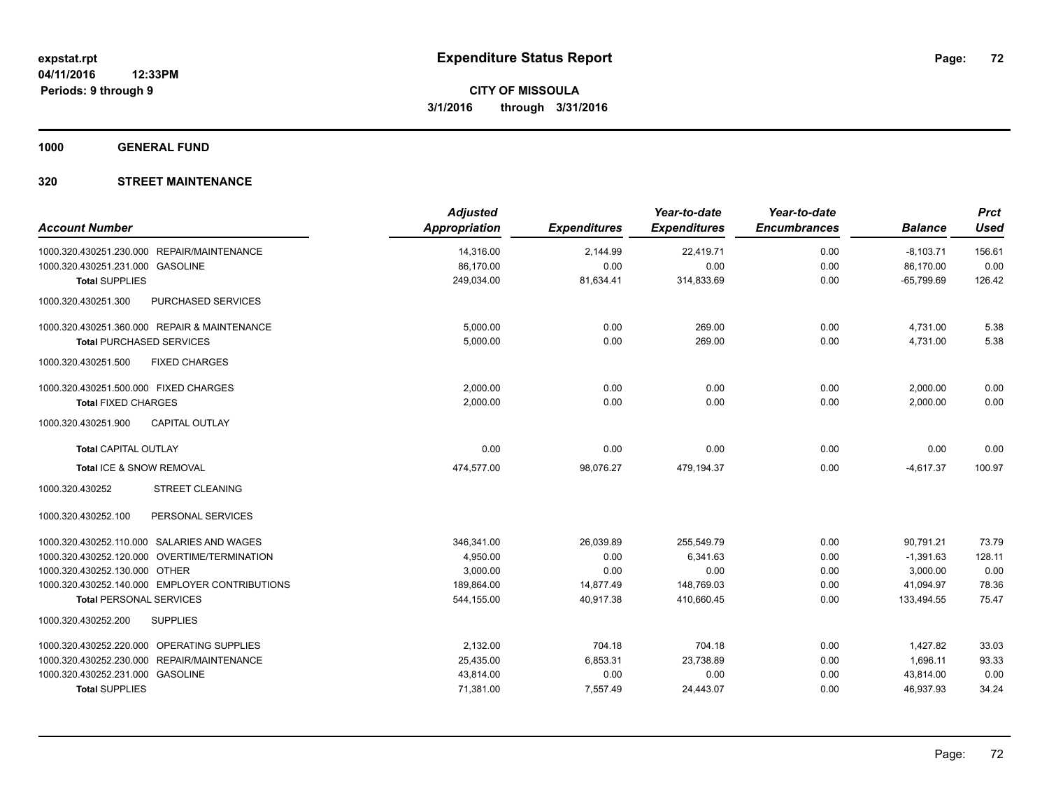**1000 GENERAL FUND**

| <b>Account Number</b>                            | <b>Adjusted</b><br>Appropriation | <b>Expenditures</b> | Year-to-date<br><b>Expenditures</b> | Year-to-date<br><b>Encumbrances</b> | <b>Balance</b> | <b>Prct</b><br><b>Used</b> |
|--------------------------------------------------|----------------------------------|---------------------|-------------------------------------|-------------------------------------|----------------|----------------------------|
|                                                  |                                  |                     |                                     |                                     |                |                            |
| 1000.320.430251.230.000 REPAIR/MAINTENANCE       | 14,316.00                        | 2,144.99            | 22,419.71                           | 0.00                                | $-8,103.71$    | 156.61                     |
| 1000.320.430251.231.000 GASOLINE                 | 86,170.00                        | 0.00                | 0.00                                | 0.00                                | 86,170.00      | 0.00                       |
| <b>Total SUPPLIES</b>                            | 249,034.00                       | 81,634.41           | 314,833.69                          | 0.00                                | $-65,799.69$   | 126.42                     |
| 1000.320.430251.300<br><b>PURCHASED SERVICES</b> |                                  |                     |                                     |                                     |                |                            |
| 1000.320.430251.360.000 REPAIR & MAINTENANCE     | 5,000.00                         | 0.00                | 269.00                              | 0.00                                | 4,731.00       | 5.38                       |
| <b>Total PURCHASED SERVICES</b>                  | 5,000.00                         | 0.00                | 269.00                              | 0.00                                | 4,731.00       | 5.38                       |
| <b>FIXED CHARGES</b><br>1000.320.430251.500      |                                  |                     |                                     |                                     |                |                            |
| 1000.320.430251.500.000 FIXED CHARGES            | 2,000.00                         | 0.00                | 0.00                                | 0.00                                | 2,000.00       | 0.00                       |
| <b>Total FIXED CHARGES</b>                       | 2.000.00                         | 0.00                | 0.00                                | 0.00                                | 2,000.00       | 0.00                       |
| 1000.320.430251.900<br><b>CAPITAL OUTLAY</b>     |                                  |                     |                                     |                                     |                |                            |
| <b>Total CAPITAL OUTLAY</b>                      | 0.00                             | 0.00                | 0.00                                | 0.00                                | 0.00           | 0.00                       |
| Total ICE & SNOW REMOVAL                         | 474,577.00                       | 98,076.27           | 479,194.37                          | 0.00                                | $-4,617.37$    | 100.97                     |
| <b>STREET CLEANING</b><br>1000.320.430252        |                                  |                     |                                     |                                     |                |                            |
| 1000.320.430252.100<br>PERSONAL SERVICES         |                                  |                     |                                     |                                     |                |                            |
| 1000.320.430252.110.000 SALARIES AND WAGES       | 346,341.00                       | 26,039.89           | 255.549.79                          | 0.00                                | 90.791.21      | 73.79                      |
| 1000.320.430252.120.000 OVERTIME/TERMINATION     | 4,950.00                         | 0.00                | 6,341.63                            | 0.00                                | $-1,391.63$    | 128.11                     |
| 1000.320.430252.130.000 OTHER                    | 3,000.00                         | 0.00                | 0.00                                | 0.00                                | 3,000.00       | 0.00                       |
| 1000.320.430252.140.000 EMPLOYER CONTRIBUTIONS   | 189,864.00                       | 14,877.49           | 148,769.03                          | 0.00                                | 41,094.97      | 78.36                      |
| <b>Total PERSONAL SERVICES</b>                   | 544,155.00                       | 40,917.38           | 410,660.45                          | 0.00                                | 133,494.55     | 75.47                      |
| 1000.320.430252.200<br><b>SUPPLIES</b>           |                                  |                     |                                     |                                     |                |                            |
| 1000.320.430252.220.000 OPERATING SUPPLIES       | 2,132.00                         | 704.18              | 704.18                              | 0.00                                | 1,427.82       | 33.03                      |
| 1000.320.430252.230.000 REPAIR/MAINTENANCE       | 25,435.00                        | 6,853.31            | 23,738.89                           | 0.00                                | 1,696.11       | 93.33                      |
| 1000.320.430252.231.000 GASOLINE                 | 43,814.00                        | 0.00                | 0.00                                | 0.00                                | 43,814.00      | 0.00                       |
| <b>Total SUPPLIES</b>                            | 71,381.00                        | 7,557.49            | 24,443.07                           | 0.00                                | 46,937.93      | 34.24                      |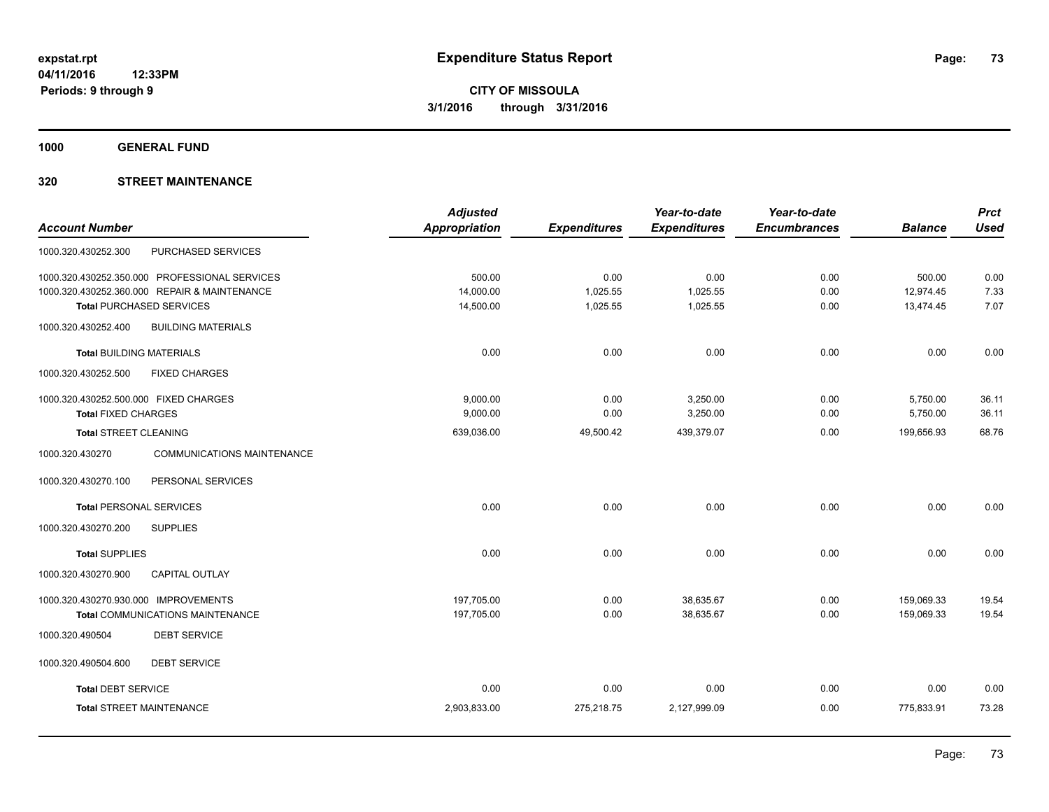**1000 GENERAL FUND**

## **320 STREET MAINTENANCE**

|                                                      | <b>Adjusted</b> |                     | Year-to-date        | Year-to-date        |                | <b>Prct</b> |
|------------------------------------------------------|-----------------|---------------------|---------------------|---------------------|----------------|-------------|
| <b>Account Number</b>                                | Appropriation   | <b>Expenditures</b> | <b>Expenditures</b> | <b>Encumbrances</b> | <b>Balance</b> | <b>Used</b> |
| PURCHASED SERVICES<br>1000.320.430252.300            |                 |                     |                     |                     |                |             |
| 1000.320.430252.350.000 PROFESSIONAL SERVICES        | 500.00          | 0.00                | 0.00                | 0.00                | 500.00         | 0.00        |
| 1000.320.430252.360.000 REPAIR & MAINTENANCE         | 14,000.00       | 1,025.55            | 1,025.55            | 0.00                | 12,974.45      | 7.33        |
| <b>Total PURCHASED SERVICES</b>                      | 14,500.00       | 1,025.55            | 1,025.55            | 0.00                | 13,474.45      | 7.07        |
| 1000.320.430252.400<br><b>BUILDING MATERIALS</b>     |                 |                     |                     |                     |                |             |
| <b>Total BUILDING MATERIALS</b>                      | 0.00            | 0.00                | 0.00                | 0.00                | 0.00           | 0.00        |
| 1000.320.430252.500<br><b>FIXED CHARGES</b>          |                 |                     |                     |                     |                |             |
| 1000.320.430252.500.000 FIXED CHARGES                | 9,000.00        | 0.00                | 3,250.00            | 0.00                | 5,750.00       | 36.11       |
| <b>Total FIXED CHARGES</b>                           | 9,000.00        | 0.00                | 3,250.00            | 0.00                | 5,750.00       | 36.11       |
| <b>Total STREET CLEANING</b>                         | 639,036.00      | 49,500.42           | 439,379.07          | 0.00                | 199,656.93     | 68.76       |
| 1000.320.430270<br><b>COMMUNICATIONS MAINTENANCE</b> |                 |                     |                     |                     |                |             |
| 1000.320.430270.100<br>PERSONAL SERVICES             |                 |                     |                     |                     |                |             |
| <b>Total PERSONAL SERVICES</b>                       | 0.00            | 0.00                | 0.00                | 0.00                | 0.00           | 0.00        |
| 1000.320.430270.200<br><b>SUPPLIES</b>               |                 |                     |                     |                     |                |             |
| <b>Total SUPPLIES</b>                                | 0.00            | 0.00                | 0.00                | 0.00                | 0.00           | 0.00        |
| 1000.320.430270.900<br><b>CAPITAL OUTLAY</b>         |                 |                     |                     |                     |                |             |
| 1000.320.430270.930.000 IMPROVEMENTS                 | 197,705.00      | 0.00                | 38,635.67           | 0.00                | 159,069.33     | 19.54       |
| <b>Total COMMUNICATIONS MAINTENANCE</b>              | 197,705.00      | 0.00                | 38,635.67           | 0.00                | 159,069.33     | 19.54       |
| <b>DEBT SERVICE</b><br>1000.320.490504               |                 |                     |                     |                     |                |             |
| 1000.320.490504.600<br><b>DEBT SERVICE</b>           |                 |                     |                     |                     |                |             |
| <b>Total DEBT SERVICE</b>                            | 0.00            | 0.00                | 0.00                | 0.00                | 0.00           | 0.00        |
| <b>Total STREET MAINTENANCE</b>                      | 2,903,833.00    | 275,218.75          | 2,127,999.09        | 0.00                | 775,833.91     | 73.28       |
|                                                      |                 |                     |                     |                     |                |             |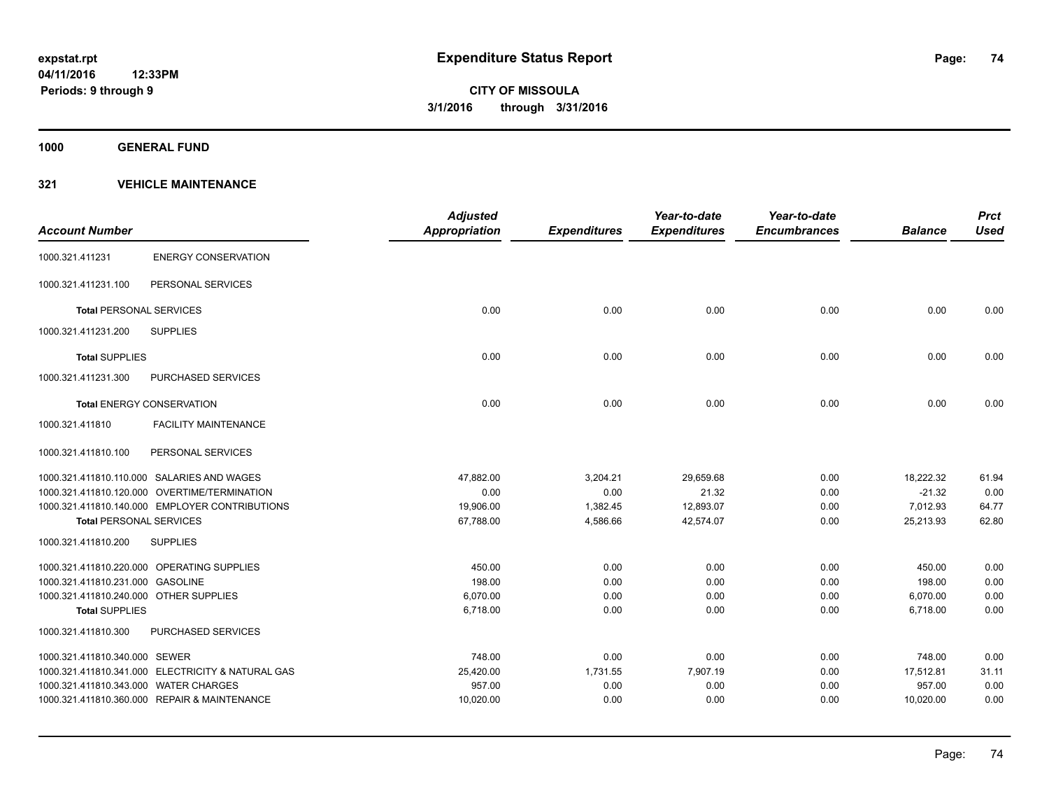**1000 GENERAL FUND**

|                                        |                                                   | <b>Adjusted</b> |                     | Year-to-date        | Year-to-date        |                | <b>Prct</b> |
|----------------------------------------|---------------------------------------------------|-----------------|---------------------|---------------------|---------------------|----------------|-------------|
| <b>Account Number</b>                  |                                                   | Appropriation   | <b>Expenditures</b> | <b>Expenditures</b> | <b>Encumbrances</b> | <b>Balance</b> | <b>Used</b> |
| 1000.321.411231                        | <b>ENERGY CONSERVATION</b>                        |                 |                     |                     |                     |                |             |
| 1000.321.411231.100                    | PERSONAL SERVICES                                 |                 |                     |                     |                     |                |             |
| <b>Total PERSONAL SERVICES</b>         |                                                   | 0.00            | 0.00                | 0.00                | 0.00                | 0.00           | 0.00        |
| 1000.321.411231.200                    | <b>SUPPLIES</b>                                   |                 |                     |                     |                     |                |             |
| <b>Total SUPPLIES</b>                  |                                                   | 0.00            | 0.00                | 0.00                | 0.00                | 0.00           | 0.00        |
| 1000.321.411231.300                    | <b>PURCHASED SERVICES</b>                         |                 |                     |                     |                     |                |             |
|                                        | <b>Total ENERGY CONSERVATION</b>                  | 0.00            | 0.00                | 0.00                | 0.00                | 0.00           | 0.00        |
| 1000.321.411810                        | <b>FACILITY MAINTENANCE</b>                       |                 |                     |                     |                     |                |             |
| 1000.321.411810.100                    | PERSONAL SERVICES                                 |                 |                     |                     |                     |                |             |
|                                        | 1000.321.411810.110.000 SALARIES AND WAGES        | 47,882.00       | 3,204.21            | 29,659.68           | 0.00                | 18,222.32      | 61.94       |
|                                        | 1000.321.411810.120.000 OVERTIME/TERMINATION      | 0.00            | 0.00                | 21.32               | 0.00                | $-21.32$       | 0.00        |
|                                        | 1000.321.411810.140.000 EMPLOYER CONTRIBUTIONS    | 19,906.00       | 1,382.45            | 12,893.07           | 0.00                | 7,012.93       | 64.77       |
| <b>Total PERSONAL SERVICES</b>         |                                                   | 67,788.00       | 4,586.66            | 42,574.07           | 0.00                | 25,213.93      | 62.80       |
| 1000.321.411810.200                    | <b>SUPPLIES</b>                                   |                 |                     |                     |                     |                |             |
|                                        | 1000.321.411810.220.000 OPERATING SUPPLIES        | 450.00          | 0.00                | 0.00                | 0.00                | 450.00         | 0.00        |
| 1000.321.411810.231.000 GASOLINE       |                                                   | 198.00          | 0.00                | 0.00                | 0.00                | 198.00         | 0.00        |
| 1000.321.411810.240.000 OTHER SUPPLIES |                                                   | 6.070.00        | 0.00                | 0.00                | 0.00                | 6,070.00       | 0.00        |
| <b>Total SUPPLIES</b>                  |                                                   | 6,718.00        | 0.00                | 0.00                | 0.00                | 6,718.00       | 0.00        |
| 1000.321.411810.300                    | <b>PURCHASED SERVICES</b>                         |                 |                     |                     |                     |                |             |
| 1000.321.411810.340.000 SEWER          |                                                   | 748.00          | 0.00                | 0.00                | 0.00                | 748.00         | 0.00        |
|                                        | 1000.321.411810.341.000 ELECTRICITY & NATURAL GAS | 25,420.00       | 1,731.55            | 7,907.19            | 0.00                | 17,512.81      | 31.11       |
| 1000.321.411810.343.000 WATER CHARGES  |                                                   | 957.00          | 0.00                | 0.00                | 0.00                | 957.00         | 0.00        |
|                                        | 1000.321.411810.360.000 REPAIR & MAINTENANCE      | 10,020.00       | 0.00                | 0.00                | 0.00                | 10,020.00      | 0.00        |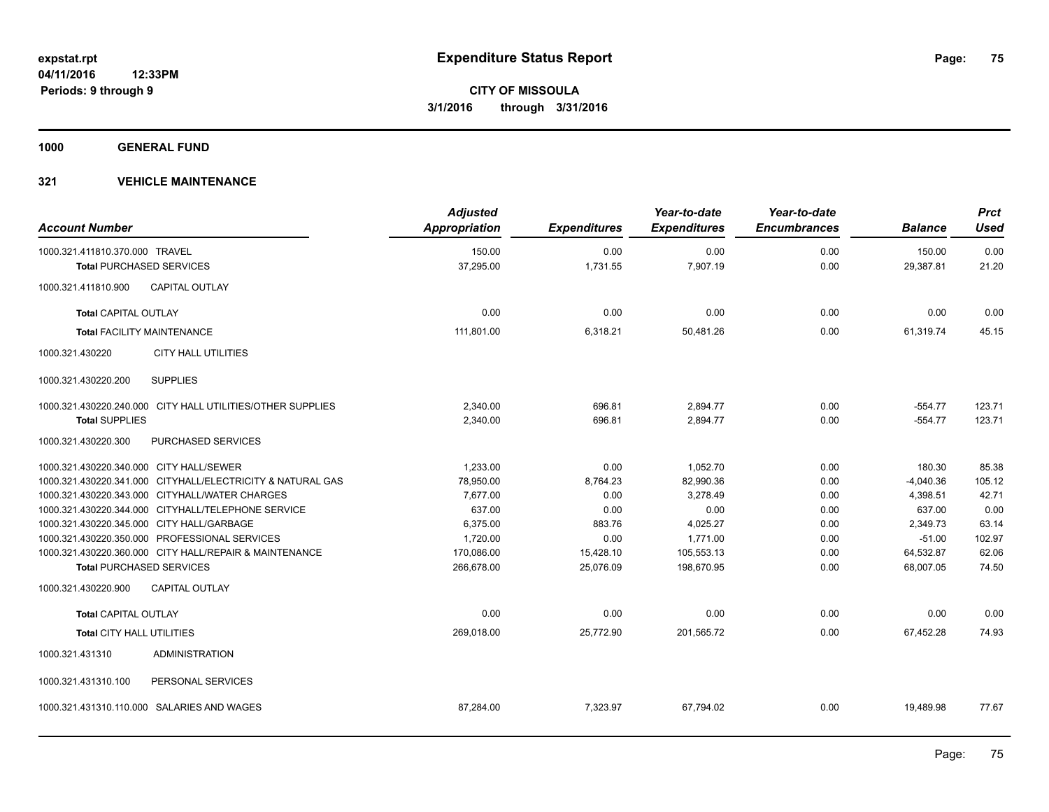**1000 GENERAL FUND**

| <b>Account Number</b>                     |                                                            | <b>Adjusted</b><br>Appropriation | <b>Expenditures</b> | Year-to-date<br><b>Expenditures</b> | Year-to-date<br><b>Encumbrances</b> | <b>Balance</b> | <b>Prct</b><br><b>Used</b> |
|-------------------------------------------|------------------------------------------------------------|----------------------------------|---------------------|-------------------------------------|-------------------------------------|----------------|----------------------------|
| 1000.321.411810.370.000 TRAVEL            |                                                            | 150.00                           | 0.00                | 0.00                                | 0.00                                | 150.00         | 0.00                       |
| <b>Total PURCHASED SERVICES</b>           |                                                            | 37,295.00                        | 1,731.55            | 7,907.19                            | 0.00                                | 29,387.81      | 21.20                      |
| 1000.321.411810.900                       | <b>CAPITAL OUTLAY</b>                                      |                                  |                     |                                     |                                     |                |                            |
| <b>Total CAPITAL OUTLAY</b>               |                                                            | 0.00                             | 0.00                | 0.00                                | 0.00                                | 0.00           | 0.00                       |
| <b>Total FACILITY MAINTENANCE</b>         |                                                            | 111,801.00                       | 6,318.21            | 50,481.26                           | 0.00                                | 61,319.74      | 45.15                      |
| 1000.321.430220                           | <b>CITY HALL UTILITIES</b>                                 |                                  |                     |                                     |                                     |                |                            |
| 1000.321.430220.200                       | <b>SUPPLIES</b>                                            |                                  |                     |                                     |                                     |                |                            |
|                                           | 1000.321.430220.240.000 CITY HALL UTILITIES/OTHER SUPPLIES | 2,340.00                         | 696.81              | 2,894.77                            | 0.00                                | $-554.77$      | 123.71                     |
| <b>Total SUPPLIES</b>                     |                                                            | 2,340.00                         | 696.81              | 2,894.77                            | 0.00                                | $-554.77$      | 123.71                     |
| 1000.321.430220.300                       | PURCHASED SERVICES                                         |                                  |                     |                                     |                                     |                |                            |
| 1000.321.430220.340.000 CITY HALL/SEWER   |                                                            | 1,233.00                         | 0.00                | 1,052.70                            | 0.00                                | 180.30         | 85.38                      |
|                                           | 1000.321.430220.341.000 CITYHALL/ELECTRICITY & NATURAL GAS | 78,950.00                        | 8,764.23            | 82,990.36                           | 0.00                                | $-4,040.36$    | 105.12                     |
|                                           | 1000.321.430220.343.000 CITYHALL/WATER CHARGES             | 7,677.00                         | 0.00                | 3,278.49                            | 0.00                                | 4,398.51       | 42.71                      |
|                                           | 1000.321.430220.344.000 CITYHALL/TELEPHONE SERVICE         | 637.00                           | 0.00                | 0.00                                | 0.00                                | 637.00         | 0.00                       |
| 1000.321.430220.345.000 CITY HALL/GARBAGE |                                                            | 6,375.00                         | 883.76              | 4,025.27                            | 0.00                                | 2,349.73       | 63.14                      |
|                                           | 1000.321.430220.350.000 PROFESSIONAL SERVICES              | 1,720.00                         | 0.00                | 1,771.00                            | 0.00                                | $-51.00$       | 102.97                     |
|                                           | 1000.321.430220.360.000 CITY HALL/REPAIR & MAINTENANCE     | 170,086.00                       | 15,428.10           | 105,553.13                          | 0.00                                | 64,532.87      | 62.06                      |
| <b>Total PURCHASED SERVICES</b>           |                                                            | 266,678.00                       | 25,076.09           | 198,670.95                          | 0.00                                | 68,007.05      | 74.50                      |
| 1000.321.430220.900                       | <b>CAPITAL OUTLAY</b>                                      |                                  |                     |                                     |                                     |                |                            |
| <b>Total CAPITAL OUTLAY</b>               |                                                            | 0.00                             | 0.00                | 0.00                                | 0.00                                | 0.00           | 0.00                       |
| <b>Total CITY HALL UTILITIES</b>          |                                                            | 269,018.00                       | 25,772.90           | 201,565.72                          | 0.00                                | 67,452.28      | 74.93                      |
| 1000.321.431310                           | <b>ADMINISTRATION</b>                                      |                                  |                     |                                     |                                     |                |                            |
| 1000.321.431310.100                       | PERSONAL SERVICES                                          |                                  |                     |                                     |                                     |                |                            |
|                                           | 1000.321.431310.110.000 SALARIES AND WAGES                 | 87,284.00                        | 7,323.97            | 67,794.02                           | 0.00                                | 19,489.98      | 77.67                      |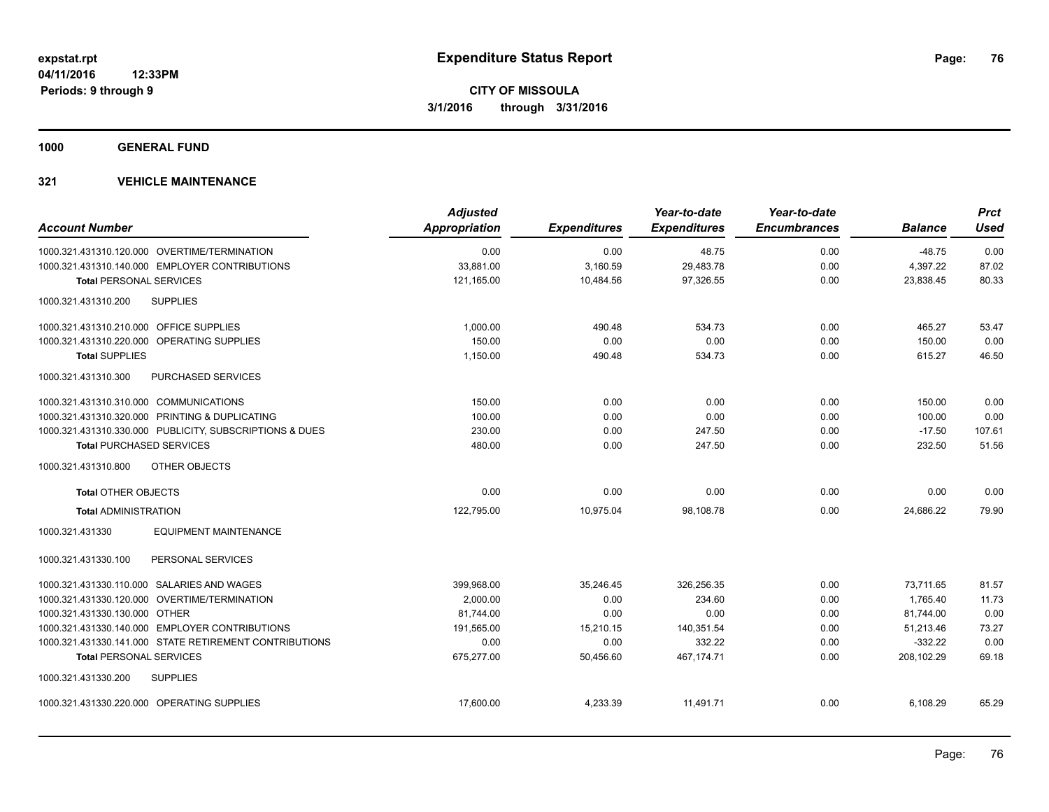**1000 GENERAL FUND**

| <b>Account Number</b>                                   | <b>Adjusted</b><br><b>Appropriation</b> |                     | Year-to-date<br><b>Expenditures</b> | Year-to-date<br><b>Encumbrances</b> | <b>Balance</b> | <b>Prct</b><br><b>Used</b> |
|---------------------------------------------------------|-----------------------------------------|---------------------|-------------------------------------|-------------------------------------|----------------|----------------------------|
|                                                         |                                         | <b>Expenditures</b> |                                     |                                     |                |                            |
| 1000.321.431310.120.000 OVERTIME/TERMINATION            | 0.00                                    | 0.00                | 48.75                               | 0.00                                | $-48.75$       | 0.00                       |
| 1000.321.431310.140.000 EMPLOYER CONTRIBUTIONS          | 33,881.00                               | 3,160.59            | 29,483.78                           | 0.00                                | 4,397.22       | 87.02                      |
| <b>Total PERSONAL SERVICES</b>                          | 121,165.00                              | 10,484.56           | 97,326.55                           | 0.00                                | 23,838.45      | 80.33                      |
| <b>SUPPLIES</b><br>1000.321.431310.200                  |                                         |                     |                                     |                                     |                |                            |
| 1000.321.431310.210.000 OFFICE SUPPLIES                 | 1,000.00                                | 490.48              | 534.73                              | 0.00                                | 465.27         | 53.47                      |
| 1000.321.431310.220.000 OPERATING SUPPLIES              | 150.00                                  | 0.00                | 0.00                                | 0.00                                | 150.00         | 0.00                       |
| <b>Total SUPPLIES</b>                                   | 1,150.00                                | 490.48              | 534.73                              | 0.00                                | 615.27         | 46.50                      |
| 1000.321.431310.300<br>PURCHASED SERVICES               |                                         |                     |                                     |                                     |                |                            |
| 1000.321.431310.310.000 COMMUNICATIONS                  | 150.00                                  | 0.00                | 0.00                                | 0.00                                | 150.00         | 0.00                       |
| 1000.321.431310.320.000 PRINTING & DUPLICATING          | 100.00                                  | 0.00                | 0.00                                | 0.00                                | 100.00         | 0.00                       |
| 1000.321.431310.330.000 PUBLICITY, SUBSCRIPTIONS & DUES | 230.00                                  | 0.00                | 247.50                              | 0.00                                | $-17.50$       | 107.61                     |
| <b>Total PURCHASED SERVICES</b>                         | 480.00                                  | 0.00                | 247.50                              | 0.00                                | 232.50         | 51.56                      |
| OTHER OBJECTS<br>1000.321.431310.800                    |                                         |                     |                                     |                                     |                |                            |
| <b>Total OTHER OBJECTS</b>                              | 0.00                                    | 0.00                | 0.00                                | 0.00                                | 0.00           | 0.00                       |
| <b>Total ADMINISTRATION</b>                             | 122,795.00                              | 10.975.04           | 98.108.78                           | 0.00                                | 24.686.22      | 79.90                      |
| 1000.321.431330<br><b>EQUIPMENT MAINTENANCE</b>         |                                         |                     |                                     |                                     |                |                            |
| 1000.321.431330.100<br>PERSONAL SERVICES                |                                         |                     |                                     |                                     |                |                            |
| 1000.321.431330.110.000 SALARIES AND WAGES              | 399.968.00                              | 35.246.45           | 326.256.35                          | 0.00                                | 73.711.65      | 81.57                      |
| 1000.321.431330.120.000 OVERTIME/TERMINATION            | 2,000.00                                | 0.00                | 234.60                              | 0.00                                | 1,765.40       | 11.73                      |
| 1000.321.431330.130.000 OTHER                           | 81,744.00                               | 0.00                | 0.00                                | 0.00                                | 81,744.00      | 0.00                       |
| 1000.321.431330.140.000 EMPLOYER CONTRIBUTIONS          | 191,565.00                              | 15,210.15           | 140,351.54                          | 0.00                                | 51,213.46      | 73.27                      |
| 1000.321.431330.141.000 STATE RETIREMENT CONTRIBUTIONS  | 0.00                                    | 0.00                | 332.22                              | 0.00                                | $-332.22$      | 0.00                       |
| <b>Total PERSONAL SERVICES</b>                          | 675,277.00                              | 50,456.60           | 467,174.71                          | 0.00                                | 208,102.29     | 69.18                      |
| 1000.321.431330.200<br><b>SUPPLIES</b>                  |                                         |                     |                                     |                                     |                |                            |
| 1000.321.431330.220.000 OPERATING SUPPLIES              | 17,600.00                               | 4,233.39            | 11,491.71                           | 0.00                                | 6,108.29       | 65.29                      |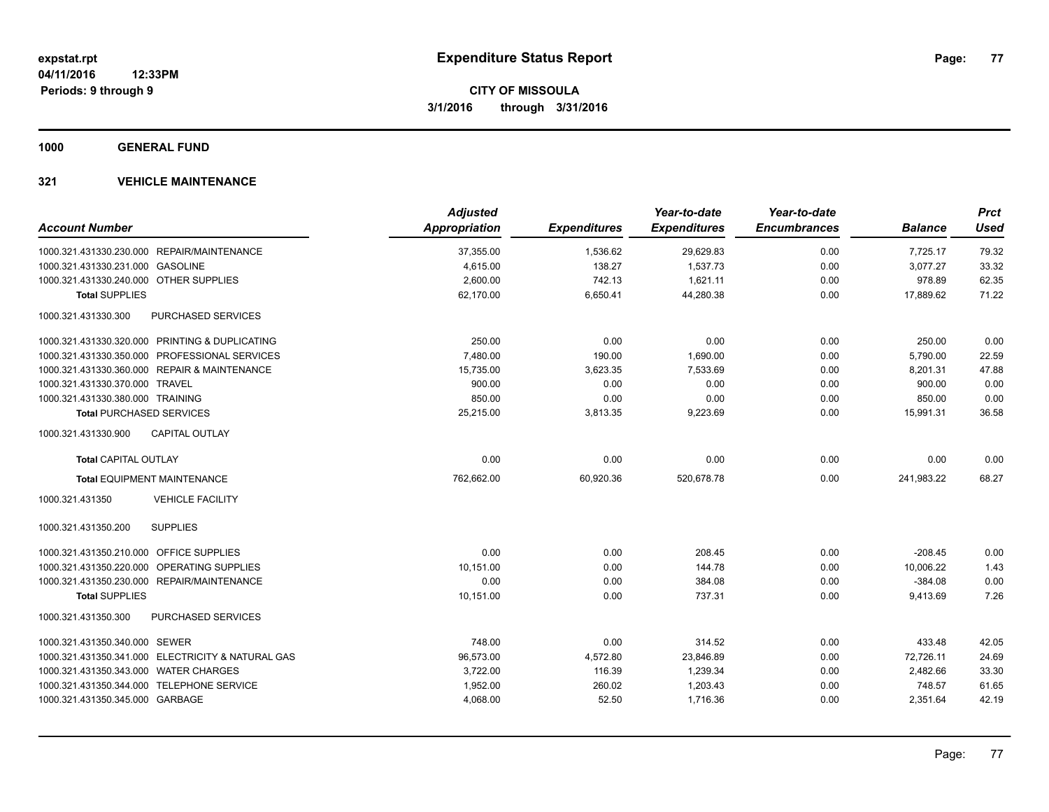**1000 GENERAL FUND**

|                                                   | <b>Adjusted</b>      |                     | Year-to-date        | Year-to-date        |                | <b>Prct</b> |
|---------------------------------------------------|----------------------|---------------------|---------------------|---------------------|----------------|-------------|
| <b>Account Number</b>                             | <b>Appropriation</b> | <b>Expenditures</b> | <b>Expenditures</b> | <b>Encumbrances</b> | <b>Balance</b> | <b>Used</b> |
| 1000.321.431330.230.000 REPAIR/MAINTENANCE        | 37,355.00            | 1,536.62            | 29,629.83           | 0.00                | 7,725.17       | 79.32       |
| 1000.321.431330.231.000 GASOLINE                  | 4,615.00             | 138.27              | 1,537.73            | 0.00                | 3,077.27       | 33.32       |
| 1000.321.431330.240.000 OTHER SUPPLIES            | 2,600.00             | 742.13              | 1,621.11            | 0.00                | 978.89         | 62.35       |
| <b>Total SUPPLIES</b>                             | 62,170.00            | 6,650.41            | 44,280.38           | 0.00                | 17,889.62      | 71.22       |
| 1000.321.431330.300<br><b>PURCHASED SERVICES</b>  |                      |                     |                     |                     |                |             |
| 1000.321.431330.320.000 PRINTING & DUPLICATING    | 250.00               | 0.00                | 0.00                | 0.00                | 250.00         | 0.00        |
| 1000.321.431330.350.000 PROFESSIONAL SERVICES     | 7,480.00             | 190.00              | 1,690.00            | 0.00                | 5,790.00       | 22.59       |
| 1000.321.431330.360.000 REPAIR & MAINTENANCE      | 15,735.00            | 3,623.35            | 7,533.69            | 0.00                | 8,201.31       | 47.88       |
| 1000.321.431330.370.000 TRAVEL                    | 900.00               | 0.00                | 0.00                | 0.00                | 900.00         | 0.00        |
| 1000.321.431330.380.000 TRAINING                  | 850.00               | 0.00                | 0.00                | 0.00                | 850.00         | 0.00        |
| <b>Total PURCHASED SERVICES</b>                   | 25,215.00            | 3,813.35            | 9,223.69            | 0.00                | 15,991.31      | 36.58       |
| 1000.321.431330.900<br><b>CAPITAL OUTLAY</b>      |                      |                     |                     |                     |                |             |
| <b>Total CAPITAL OUTLAY</b>                       | 0.00                 | 0.00                | 0.00                | 0.00                | 0.00           | 0.00        |
| <b>Total EQUIPMENT MAINTENANCE</b>                | 762,662.00           | 60,920.36           | 520,678.78          | 0.00                | 241,983.22     | 68.27       |
| <b>VEHICLE FACILITY</b><br>1000.321.431350        |                      |                     |                     |                     |                |             |
| <b>SUPPLIES</b><br>1000.321.431350.200            |                      |                     |                     |                     |                |             |
| 1000.321.431350.210.000 OFFICE SUPPLIES           | 0.00                 | 0.00                | 208.45              | 0.00                | $-208.45$      | 0.00        |
| 1000.321.431350.220.000 OPERATING SUPPLIES        | 10.151.00            | 0.00                | 144.78              | 0.00                | 10.006.22      | 1.43        |
| 1000.321.431350.230.000 REPAIR/MAINTENANCE        | 0.00                 | 0.00                | 384.08              | 0.00                | $-384.08$      | 0.00        |
| <b>Total SUPPLIES</b>                             | 10,151.00            | 0.00                | 737.31              | 0.00                | 9,413.69       | 7.26        |
| 1000.321.431350.300<br><b>PURCHASED SERVICES</b>  |                      |                     |                     |                     |                |             |
| 1000.321.431350.340.000 SEWER                     | 748.00               | 0.00                | 314.52              | 0.00                | 433.48         | 42.05       |
| 1000.321.431350.341.000 ELECTRICITY & NATURAL GAS | 96,573.00            | 4,572.80            | 23,846.89           | 0.00                | 72,726.11      | 24.69       |
| 1000.321.431350.343.000 WATER CHARGES             | 3,722.00             | 116.39              | 1,239.34            | 0.00                | 2,482.66       | 33.30       |
| 1000.321.431350.344.000 TELEPHONE SERVICE         | 1,952.00             | 260.02              | 1,203.43            | 0.00                | 748.57         | 61.65       |
| 1000.321.431350.345.000 GARBAGE                   | 4,068.00             | 52.50               | 1,716.36            | 0.00                | 2,351.64       | 42.19       |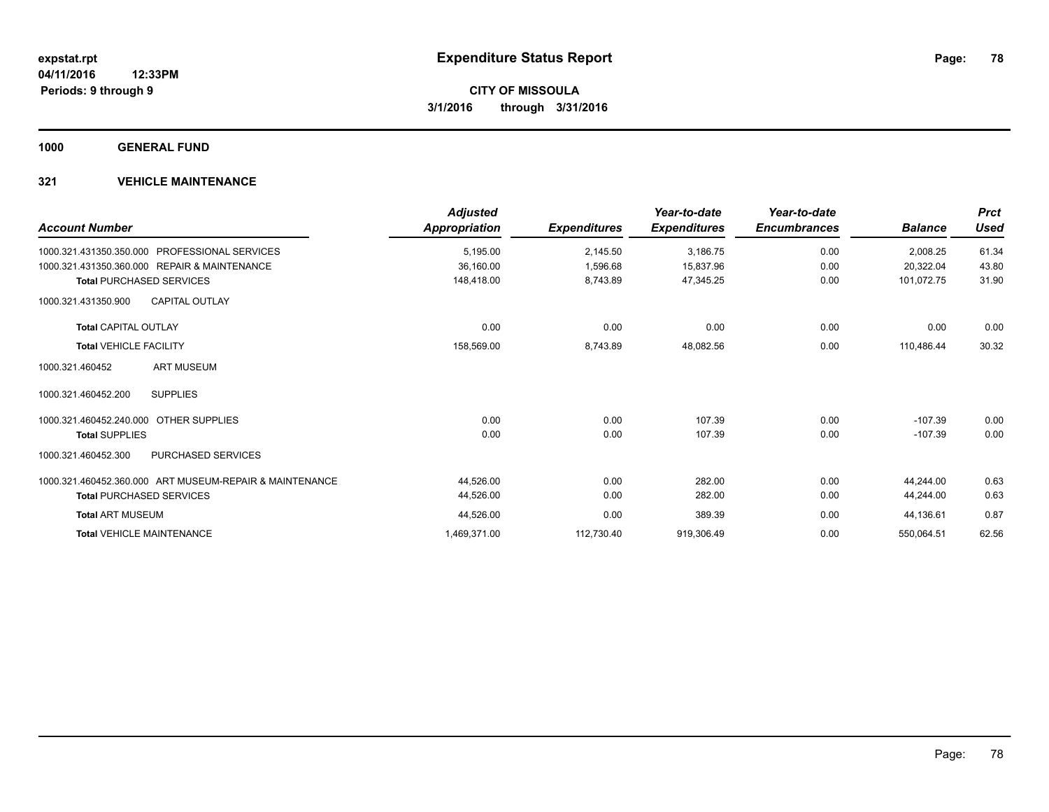**1000 GENERAL FUND**

| <b>Account Number</b>                                   | <b>Adjusted</b><br>Appropriation | <b>Expenditures</b> | Year-to-date<br><b>Expenditures</b> | Year-to-date<br><b>Encumbrances</b> | <b>Balance</b> | <b>Prct</b><br><b>Used</b> |
|---------------------------------------------------------|----------------------------------|---------------------|-------------------------------------|-------------------------------------|----------------|----------------------------|
| <b>PROFESSIONAL SERVICES</b><br>1000.321.431350.350.000 | 5,195.00                         | 2,145.50            | 3,186.75                            | 0.00                                | 2,008.25       | 61.34                      |
| 1000.321.431350.360.000 REPAIR & MAINTENANCE            | 36,160.00                        | 1,596.68            | 15,837.96                           | 0.00                                | 20,322.04      | 43.80                      |
| <b>Total PURCHASED SERVICES</b>                         | 148,418.00                       | 8,743.89            | 47,345.25                           | 0.00                                | 101,072.75     | 31.90                      |
| <b>CAPITAL OUTLAY</b><br>1000.321.431350.900            |                                  |                     |                                     |                                     |                |                            |
| <b>Total CAPITAL OUTLAY</b>                             | 0.00                             | 0.00                | 0.00                                | 0.00                                | 0.00           | 0.00                       |
| <b>Total VEHICLE FACILITY</b>                           | 158,569.00                       | 8,743.89            | 48,082.56                           | 0.00                                | 110,486.44     | 30.32                      |
| <b>ART MUSEUM</b><br>1000.321.460452                    |                                  |                     |                                     |                                     |                |                            |
| <b>SUPPLIES</b><br>1000.321.460452.200                  |                                  |                     |                                     |                                     |                |                            |
| 1000.321.460452.240.000<br><b>OTHER SUPPLIES</b>        | 0.00                             | 0.00                | 107.39                              | 0.00                                | $-107.39$      | 0.00                       |
| <b>Total SUPPLIES</b>                                   | 0.00                             | 0.00                | 107.39                              | 0.00                                | $-107.39$      | 0.00                       |
| PURCHASED SERVICES<br>1000.321.460452.300               |                                  |                     |                                     |                                     |                |                            |
| 1000.321.460452.360.000 ART MUSEUM-REPAIR & MAINTENANCE | 44,526.00                        | 0.00                | 282.00                              | 0.00                                | 44,244.00      | 0.63                       |
| <b>Total PURCHASED SERVICES</b>                         | 44,526.00                        | 0.00                | 282.00                              | 0.00                                | 44,244.00      | 0.63                       |
| <b>Total ART MUSEUM</b>                                 | 44,526.00                        | 0.00                | 389.39                              | 0.00                                | 44,136.61      | 0.87                       |
| <b>Total VEHICLE MAINTENANCE</b>                        | 1,469,371.00                     | 112,730.40          | 919,306.49                          | 0.00                                | 550,064.51     | 62.56                      |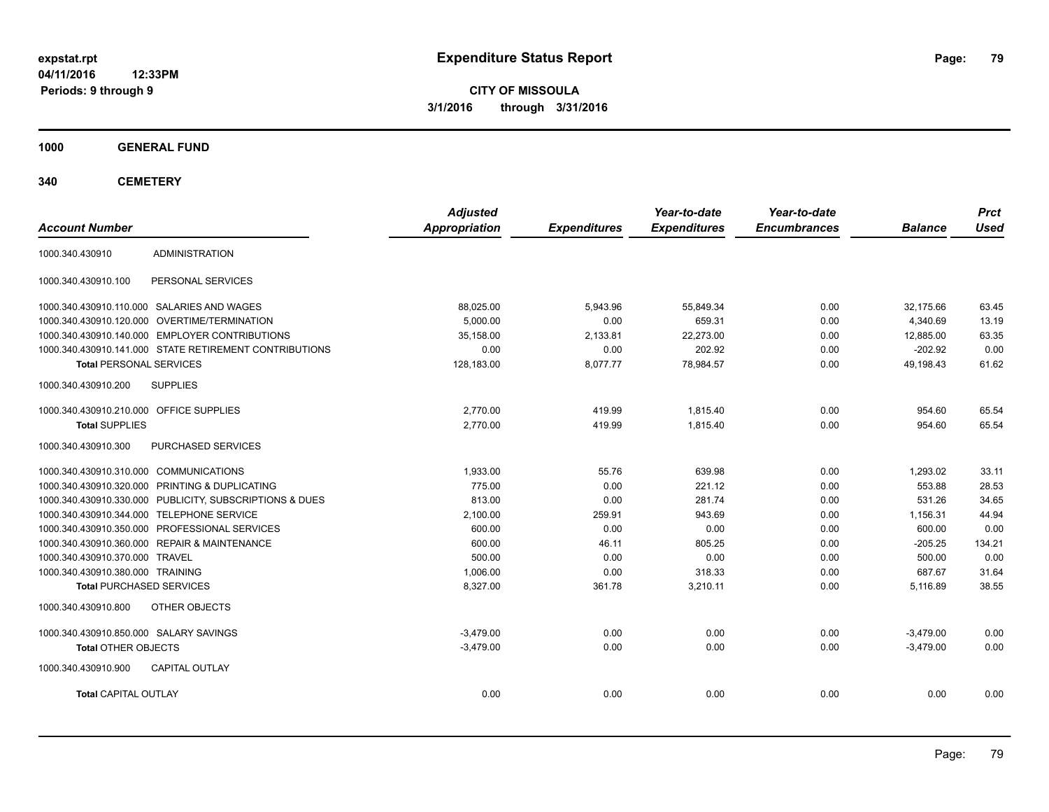**CITY OF MISSOULA 3/1/2016 through 3/31/2016**

**1000 GENERAL FUND**

| <b>Account Number</b>                   |                                                         | <b>Adjusted</b><br><b>Appropriation</b> | <b>Expenditures</b> | Year-to-date<br><b>Expenditures</b> | Year-to-date<br><b>Encumbrances</b> | <b>Balance</b> | <b>Prct</b><br><b>Used</b> |
|-----------------------------------------|---------------------------------------------------------|-----------------------------------------|---------------------|-------------------------------------|-------------------------------------|----------------|----------------------------|
| 1000.340.430910                         | <b>ADMINISTRATION</b>                                   |                                         |                     |                                     |                                     |                |                            |
| 1000.340.430910.100                     | PERSONAL SERVICES                                       |                                         |                     |                                     |                                     |                |                            |
|                                         | 1000.340.430910.110.000 SALARIES AND WAGES              | 88,025.00                               | 5,943.96            | 55,849.34                           | 0.00                                | 32,175.66      | 63.45                      |
| 1000.340.430910.120.000                 | OVERTIME/TERMINATION                                    | 5.000.00                                | 0.00                | 659.31                              | 0.00                                | 4,340.69       | 13.19                      |
| 1000.340.430910.140.000                 | <b>EMPLOYER CONTRIBUTIONS</b>                           | 35,158.00                               | 2,133.81            | 22,273.00                           | 0.00                                | 12,885.00      | 63.35                      |
|                                         | 1000.340.430910.141.000 STATE RETIREMENT CONTRIBUTIONS  | 0.00                                    | 0.00                | 202.92                              | 0.00                                | $-202.92$      | 0.00                       |
| <b>Total PERSONAL SERVICES</b>          |                                                         | 128,183.00                              | 8,077.77            | 78,984.57                           | 0.00                                | 49,198.43      | 61.62                      |
| 1000.340.430910.200                     | <b>SUPPLIES</b>                                         |                                         |                     |                                     |                                     |                |                            |
| 1000.340.430910.210.000 OFFICE SUPPLIES |                                                         | 2,770.00                                | 419.99              | 1,815.40                            | 0.00                                | 954.60         | 65.54                      |
| <b>Total SUPPLIES</b>                   |                                                         | 2.770.00                                | 419.99              | 1.815.40                            | 0.00                                | 954.60         | 65.54                      |
| 1000.340.430910.300                     | PURCHASED SERVICES                                      |                                         |                     |                                     |                                     |                |                            |
| 1000.340.430910.310.000 COMMUNICATIONS  |                                                         | 1,933.00                                | 55.76               | 639.98                              | 0.00                                | 1,293.02       | 33.11                      |
|                                         | 1000.340.430910.320.000 PRINTING & DUPLICATING          | 775.00                                  | 0.00                | 221.12                              | 0.00                                | 553.88         | 28.53                      |
|                                         | 1000.340.430910.330.000 PUBLICITY, SUBSCRIPTIONS & DUES | 813.00                                  | 0.00                | 281.74                              | 0.00                                | 531.26         | 34.65                      |
|                                         | 1000.340.430910.344.000 TELEPHONE SERVICE               | 2,100.00                                | 259.91              | 943.69                              | 0.00                                | 1,156.31       | 44.94                      |
|                                         | 1000.340.430910.350.000 PROFESSIONAL SERVICES           | 600.00                                  | 0.00                | 0.00                                | 0.00                                | 600.00         | 0.00                       |
|                                         | 1000.340.430910.360.000 REPAIR & MAINTENANCE            | 600.00                                  | 46.11               | 805.25                              | 0.00                                | $-205.25$      | 134.21                     |
| 1000.340.430910.370.000 TRAVEL          |                                                         | 500.00                                  | 0.00                | 0.00                                | 0.00                                | 500.00         | 0.00                       |
| 1000.340.430910.380.000 TRAINING        |                                                         | 1.006.00                                | 0.00                | 318.33                              | 0.00                                | 687.67         | 31.64                      |
| <b>Total PURCHASED SERVICES</b>         |                                                         | 8,327.00                                | 361.78              | 3,210.11                            | 0.00                                | 5,116.89       | 38.55                      |
| 1000.340.430910.800                     | OTHER OBJECTS                                           |                                         |                     |                                     |                                     |                |                            |
| 1000.340.430910.850.000 SALARY SAVINGS  |                                                         | $-3.479.00$                             | 0.00                | 0.00                                | 0.00                                | $-3.479.00$    | 0.00                       |
| <b>Total OTHER OBJECTS</b>              |                                                         | $-3,479.00$                             | 0.00                | 0.00                                | 0.00                                | $-3,479.00$    | 0.00                       |
| 1000.340.430910.900                     | <b>CAPITAL OUTLAY</b>                                   |                                         |                     |                                     |                                     |                |                            |
| <b>Total CAPITAL OUTLAY</b>             |                                                         | 0.00                                    | 0.00                | 0.00                                | 0.00                                | 0.00           | 0.00                       |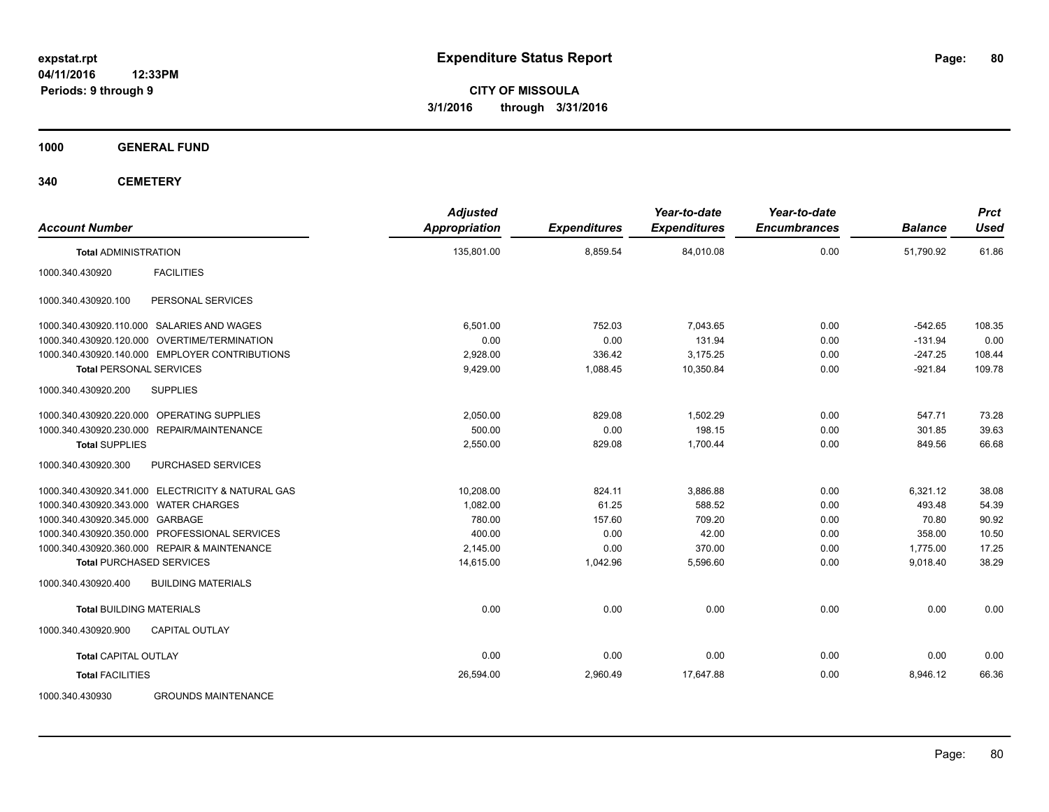**CITY OF MISSOULA 3/1/2016 through 3/31/2016**

**1000 GENERAL FUND**

| <b>Account Number</b>                             | <b>Adjusted</b><br><b>Appropriation</b> | <b>Expenditures</b> | Year-to-date<br><b>Expenditures</b> | Year-to-date<br><b>Encumbrances</b> | <b>Balance</b> | <b>Prct</b><br><b>Used</b> |
|---------------------------------------------------|-----------------------------------------|---------------------|-------------------------------------|-------------------------------------|----------------|----------------------------|
| <b>Total ADMINISTRATION</b>                       | 135,801.00                              | 8,859.54            | 84,010.08                           | 0.00                                | 51,790.92      | 61.86                      |
| <b>FACILITIES</b><br>1000.340.430920              |                                         |                     |                                     |                                     |                |                            |
| 1000.340.430920.100<br>PERSONAL SERVICES          |                                         |                     |                                     |                                     |                |                            |
| 1000.340.430920.110.000 SALARIES AND WAGES        | 6,501.00                                | 752.03              | 7,043.65                            | 0.00                                | $-542.65$      | 108.35                     |
| OVERTIME/TERMINATION<br>1000.340.430920.120.000   | 0.00                                    | 0.00                | 131.94                              | 0.00                                | $-131.94$      | 0.00                       |
| 1000.340.430920.140.000 EMPLOYER CONTRIBUTIONS    | 2,928.00                                | 336.42              | 3,175.25                            | 0.00                                | $-247.25$      | 108.44                     |
| <b>Total PERSONAL SERVICES</b>                    | 9,429.00                                | 1,088.45            | 10,350.84                           | 0.00                                | $-921.84$      | 109.78                     |
| <b>SUPPLIES</b><br>1000.340.430920.200            |                                         |                     |                                     |                                     |                |                            |
| 1000.340.430920.220.000 OPERATING SUPPLIES        | 2,050.00                                | 829.08              | 1,502.29                            | 0.00                                | 547.71         | 73.28                      |
| 1000.340.430920.230.000<br>REPAIR/MAINTENANCE     | 500.00                                  | 0.00                | 198.15                              | 0.00                                | 301.85         | 39.63                      |
| <b>Total SUPPLIES</b>                             | 2,550.00                                | 829.08              | 1,700.44                            | 0.00                                | 849.56         | 66.68                      |
| 1000.340.430920.300<br>PURCHASED SERVICES         |                                         |                     |                                     |                                     |                |                            |
| 1000.340.430920.341.000 ELECTRICITY & NATURAL GAS | 10,208.00                               | 824.11              | 3,886.88                            | 0.00                                | 6,321.12       | 38.08                      |
| 1000.340.430920.343.000 WATER CHARGES             | 1,082.00                                | 61.25               | 588.52                              | 0.00                                | 493.48         | 54.39                      |
| 1000.340.430920.345.000 GARBAGE                   | 780.00                                  | 157.60              | 709.20                              | 0.00                                | 70.80          | 90.92                      |
| 1000.340.430920.350.000 PROFESSIONAL SERVICES     | 400.00                                  | 0.00                | 42.00                               | 0.00                                | 358.00         | 10.50                      |
| 1000.340.430920.360.000 REPAIR & MAINTENANCE      | 2,145.00                                | 0.00                | 370.00                              | 0.00                                | 1,775.00       | 17.25                      |
| <b>Total PURCHASED SERVICES</b>                   | 14,615.00                               | 1,042.96            | 5,596.60                            | 0.00                                | 9,018.40       | 38.29                      |
| <b>BUILDING MATERIALS</b><br>1000.340.430920.400  |                                         |                     |                                     |                                     |                |                            |
| <b>Total BUILDING MATERIALS</b>                   | 0.00                                    | 0.00                | 0.00                                | 0.00                                | 0.00           | 0.00                       |
| 1000.340.430920.900<br><b>CAPITAL OUTLAY</b>      |                                         |                     |                                     |                                     |                |                            |
| <b>Total CAPITAL OUTLAY</b>                       | 0.00                                    | 0.00                | 0.00                                | 0.00                                | 0.00           | 0.00                       |
| <b>Total FACILITIES</b>                           | 26,594.00                               | 2,960.49            | 17,647.88                           | 0.00                                | 8,946.12       | 66.36                      |
| 1000.340.430930<br><b>GROUNDS MAINTENANCE</b>     |                                         |                     |                                     |                                     |                |                            |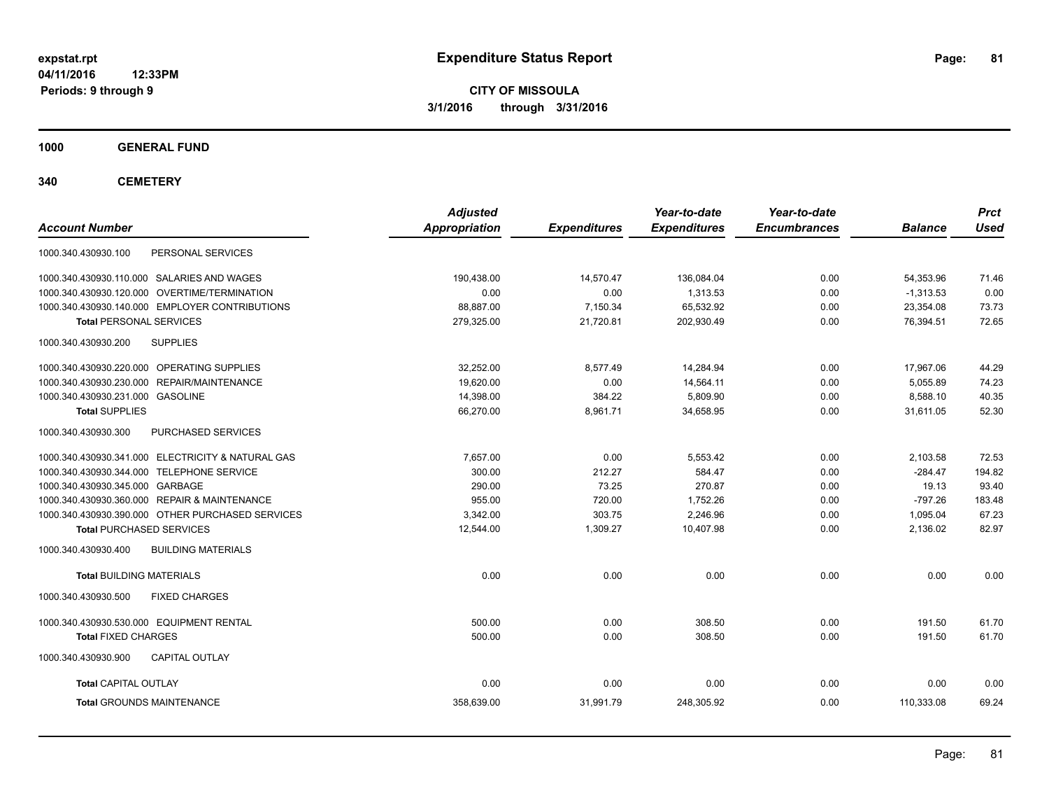**CITY OF MISSOULA 3/1/2016 through 3/31/2016**

**1000 GENERAL FUND**

| <b>Account Number</b>                             | <b>Adjusted</b><br><b>Appropriation</b> | <b>Expenditures</b> | Year-to-date<br><b>Expenditures</b> | Year-to-date<br><b>Encumbrances</b> | <b>Balance</b> | <b>Prct</b><br><b>Used</b> |
|---------------------------------------------------|-----------------------------------------|---------------------|-------------------------------------|-------------------------------------|----------------|----------------------------|
| 1000.340.430930.100<br>PERSONAL SERVICES          |                                         |                     |                                     |                                     |                |                            |
| 1000.340.430930.110.000 SALARIES AND WAGES        | 190.438.00                              | 14.570.47           | 136,084.04                          | 0.00                                | 54.353.96      | 71.46                      |
| 1000.340.430930.120.000 OVERTIME/TERMINATION      | 0.00                                    | 0.00                | 1,313.53                            | 0.00                                | $-1,313.53$    | 0.00                       |
| 1000.340.430930.140.000 EMPLOYER CONTRIBUTIONS    | 88.887.00                               | 7,150.34            | 65,532.92                           | 0.00                                | 23,354.08      | 73.73                      |
| <b>Total PERSONAL SERVICES</b>                    | 279,325.00                              | 21,720.81           | 202,930.49                          | 0.00                                | 76,394.51      | 72.65                      |
| 1000.340.430930.200<br><b>SUPPLIES</b>            |                                         |                     |                                     |                                     |                |                            |
| 1000.340.430930.220.000 OPERATING SUPPLIES        | 32.252.00                               | 8,577.49            | 14,284.94                           | 0.00                                | 17,967.06      | 44.29                      |
| 1000.340.430930.230.000 REPAIR/MAINTENANCE        | 19,620.00                               | 0.00                | 14,564.11                           | 0.00                                | 5,055.89       | 74.23                      |
| 1000.340.430930.231.000 GASOLINE                  | 14,398.00                               | 384.22              | 5,809.90                            | 0.00                                | 8.588.10       | 40.35                      |
| <b>Total SUPPLIES</b>                             | 66,270.00                               | 8,961.71            | 34,658.95                           | 0.00                                | 31,611.05      | 52.30                      |
| 1000.340.430930.300<br>PURCHASED SERVICES         |                                         |                     |                                     |                                     |                |                            |
| 1000.340.430930.341.000 ELECTRICITY & NATURAL GAS | 7.657.00                                | 0.00                | 5,553.42                            | 0.00                                | 2,103.58       | 72.53                      |
| 1000.340.430930.344.000 TELEPHONE SERVICE         | 300.00                                  | 212.27              | 584.47                              | 0.00                                | $-284.47$      | 194.82                     |
| 1000.340.430930.345.000 GARBAGE                   | 290.00                                  | 73.25               | 270.87                              | 0.00                                | 19.13          | 93.40                      |
| 1000.340.430930.360.000 REPAIR & MAINTENANCE      | 955.00                                  | 720.00              | 1,752.26                            | 0.00                                | $-797.26$      | 183.48                     |
| 1000.340.430930.390.000 OTHER PURCHASED SERVICES  | 3.342.00                                | 303.75              | 2.246.96                            | 0.00                                | 1.095.04       | 67.23                      |
| <b>Total PURCHASED SERVICES</b>                   | 12.544.00                               | 1,309.27            | 10,407.98                           | 0.00                                | 2,136.02       | 82.97                      |
| 1000.340.430930.400<br><b>BUILDING MATERIALS</b>  |                                         |                     |                                     |                                     |                |                            |
| <b>Total BUILDING MATERIALS</b>                   | 0.00                                    | 0.00                | 0.00                                | 0.00                                | 0.00           | 0.00                       |
| 1000.340.430930.500<br><b>FIXED CHARGES</b>       |                                         |                     |                                     |                                     |                |                            |
| 1000.340.430930.530.000 EQUIPMENT RENTAL          | 500.00                                  | 0.00                | 308.50                              | 0.00                                | 191.50         | 61.70                      |
| <b>Total FIXED CHARGES</b>                        | 500.00                                  | 0.00                | 308.50                              | 0.00                                | 191.50         | 61.70                      |
| 1000.340.430930.900<br><b>CAPITAL OUTLAY</b>      |                                         |                     |                                     |                                     |                |                            |
| <b>Total CAPITAL OUTLAY</b>                       | 0.00                                    | 0.00                | 0.00                                | 0.00                                | 0.00           | 0.00                       |
| <b>Total GROUNDS MAINTENANCE</b>                  | 358,639.00                              | 31,991.79           | 248,305.92                          | 0.00                                | 110,333.08     | 69.24                      |
|                                                   |                                         |                     |                                     |                                     |                |                            |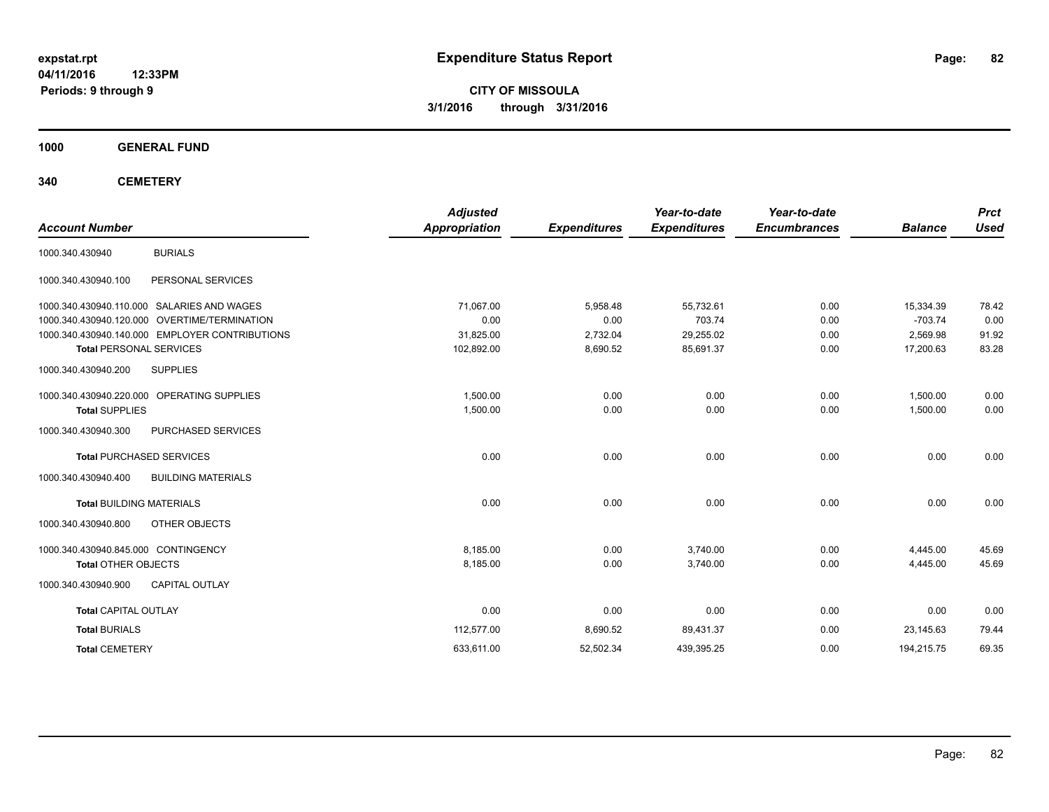**CITY OF MISSOULA 3/1/2016 through 3/31/2016**

**1000 GENERAL FUND**

| <b>Account Number</b>               |                                                | <b>Adjusted</b><br><b>Appropriation</b> | <b>Expenditures</b> | Year-to-date<br><b>Expenditures</b> | Year-to-date<br><b>Encumbrances</b> | <b>Balance</b> | <b>Prct</b><br><b>Used</b> |
|-------------------------------------|------------------------------------------------|-----------------------------------------|---------------------|-------------------------------------|-------------------------------------|----------------|----------------------------|
| 1000.340.430940                     | <b>BURIALS</b>                                 |                                         |                     |                                     |                                     |                |                            |
| 1000.340.430940.100                 | PERSONAL SERVICES                              |                                         |                     |                                     |                                     |                |                            |
|                                     | 1000.340.430940.110.000 SALARIES AND WAGES     | 71,067.00                               | 5,958.48            | 55,732.61                           | 0.00                                | 15,334.39      | 78.42                      |
|                                     | 1000.340.430940.120.000 OVERTIME/TERMINATION   | 0.00                                    | 0.00                | 703.74                              | 0.00                                | $-703.74$      | 0.00                       |
|                                     | 1000.340.430940.140.000 EMPLOYER CONTRIBUTIONS | 31,825.00                               | 2,732.04            | 29,255.02                           | 0.00                                | 2,569.98       | 91.92                      |
| <b>Total PERSONAL SERVICES</b>      |                                                | 102,892.00                              | 8,690.52            | 85,691.37                           | 0.00                                | 17,200.63      | 83.28                      |
| 1000.340.430940.200                 | <b>SUPPLIES</b>                                |                                         |                     |                                     |                                     |                |                            |
|                                     | 1000.340.430940.220.000 OPERATING SUPPLIES     | 1.500.00                                | 0.00                | 0.00                                | 0.00                                | 1,500.00       | 0.00                       |
| <b>Total SUPPLIES</b>               |                                                | 1,500.00                                | 0.00                | 0.00                                | 0.00                                | 1,500.00       | 0.00                       |
| 1000.340.430940.300                 | PURCHASED SERVICES                             |                                         |                     |                                     |                                     |                |                            |
| <b>Total PURCHASED SERVICES</b>     |                                                | 0.00                                    | 0.00                | 0.00                                | 0.00                                | 0.00           | 0.00                       |
| 1000.340.430940.400                 | <b>BUILDING MATERIALS</b>                      |                                         |                     |                                     |                                     |                |                            |
| <b>Total BUILDING MATERIALS</b>     |                                                | 0.00                                    | 0.00                | 0.00                                | 0.00                                | 0.00           | 0.00                       |
| 1000.340.430940.800                 | OTHER OBJECTS                                  |                                         |                     |                                     |                                     |                |                            |
| 1000.340.430940.845.000 CONTINGENCY |                                                | 8,185.00                                | 0.00                | 3,740.00                            | 0.00                                | 4,445.00       | 45.69                      |
| <b>Total OTHER OBJECTS</b>          |                                                | 8,185.00                                | 0.00                | 3,740.00                            | 0.00                                | 4,445.00       | 45.69                      |
| 1000.340.430940.900                 | CAPITAL OUTLAY                                 |                                         |                     |                                     |                                     |                |                            |
| <b>Total CAPITAL OUTLAY</b>         |                                                | 0.00                                    | 0.00                | 0.00                                | 0.00                                | 0.00           | 0.00                       |
| <b>Total BURIALS</b>                |                                                | 112,577.00                              | 8,690.52            | 89,431.37                           | 0.00                                | 23,145.63      | 79.44                      |
| <b>Total CEMETERY</b>               |                                                | 633,611.00                              | 52,502.34           | 439,395.25                          | 0.00                                | 194,215.75     | 69.35                      |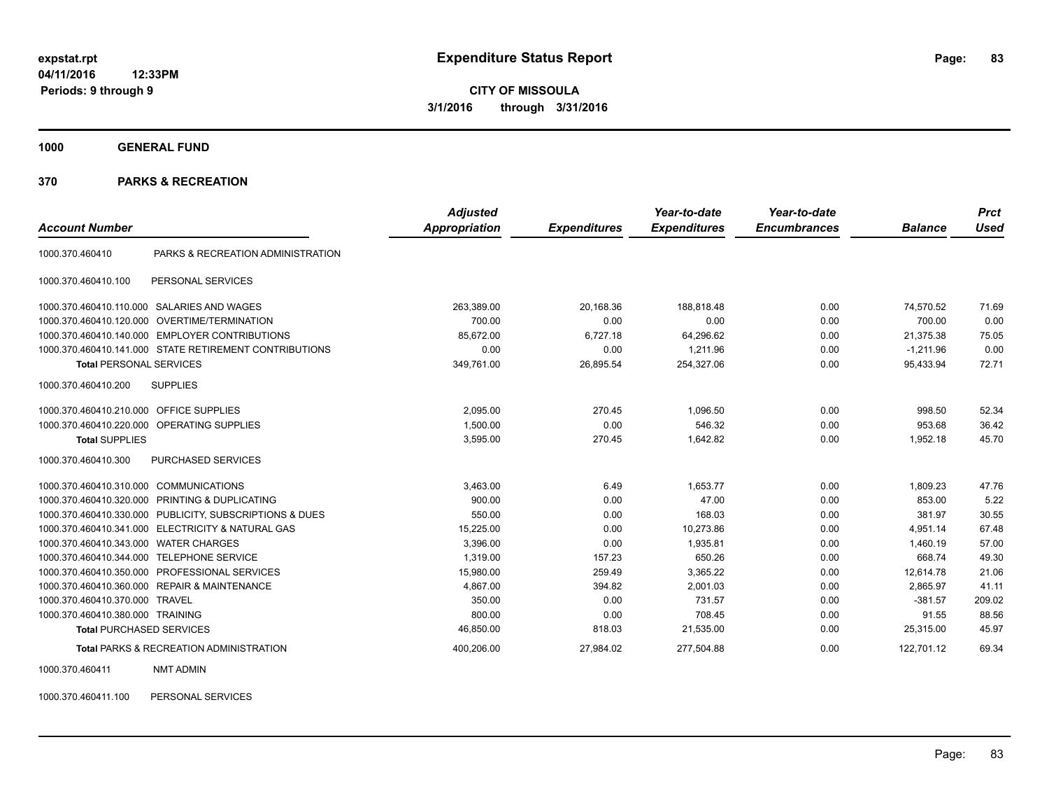**1000 GENERAL FUND**

#### **370 PARKS & RECREATION**

|                                  |                                                        | <b>Adjusted</b> |                     | Year-to-date        | Year-to-date        |                | <b>Prct</b> |
|----------------------------------|--------------------------------------------------------|-----------------|---------------------|---------------------|---------------------|----------------|-------------|
| <b>Account Number</b>            |                                                        | Appropriation   | <b>Expenditures</b> | <b>Expenditures</b> | <b>Encumbrances</b> | <b>Balance</b> | <b>Used</b> |
| 1000.370.460410                  | PARKS & RECREATION ADMINISTRATION                      |                 |                     |                     |                     |                |             |
| 1000.370.460410.100              | PERSONAL SERVICES                                      |                 |                     |                     |                     |                |             |
| 1000.370.460410.110.000          | SALARIES AND WAGES                                     | 263,389.00      | 20,168.36           | 188,818.48          | 0.00                | 74,570.52      | 71.69       |
| 1000.370.460410.120.000          | OVERTIME/TERMINATION                                   | 700.00          | 0.00                | 0.00                | 0.00                | 700.00         | 0.00        |
| 1000.370.460410.140.000          | <b>EMPLOYER CONTRIBUTIONS</b>                          | 85,672.00       | 6,727.18            | 64,296.62           | 0.00                | 21,375.38      | 75.05       |
|                                  | 1000.370.460410.141.000 STATE RETIREMENT CONTRIBUTIONS | 0.00            | 0.00                | 1.211.96            | 0.00                | $-1.211.96$    | 0.00        |
| <b>Total PERSONAL SERVICES</b>   |                                                        | 349,761.00      | 26,895.54           | 254,327.06          | 0.00                | 95,433.94      | 72.71       |
| 1000.370.460410.200              | <b>SUPPLIES</b>                                        |                 |                     |                     |                     |                |             |
| 1000.370.460410.210.000          | <b>OFFICE SUPPLIES</b>                                 | 2,095.00        | 270.45              | 1.096.50            | 0.00                | 998.50         | 52.34       |
| 1000.370.460410.220.000          | <b>OPERATING SUPPLIES</b>                              | 1,500.00        | 0.00                | 546.32              | 0.00                | 953.68         | 36.42       |
| <b>Total SUPPLIES</b>            |                                                        | 3,595.00        | 270.45              | 1,642.82            | 0.00                | 1,952.18       | 45.70       |
| 1000.370.460410.300              | PURCHASED SERVICES                                     |                 |                     |                     |                     |                |             |
| 1000.370.460410.310.000          | <b>COMMUNICATIONS</b>                                  | 3,463.00        | 6.49                | 1,653.77            | 0.00                | 1,809.23       | 47.76       |
| 1000.370.460410.320.000          | PRINTING & DUPLICATING                                 | 900.00          | 0.00                | 47.00               | 0.00                | 853.00         | 5.22        |
| 1000.370.460410.330.000          | PUBLICITY, SUBSCRIPTIONS & DUES                        | 550.00          | 0.00                | 168.03              | 0.00                | 381.97         | 30.55       |
| 1000.370.460410.341.000          | ELECTRICITY & NATURAL GAS                              | 15,225.00       | 0.00                | 10,273.86           | 0.00                | 4,951.14       | 67.48       |
| 1000.370.460410.343.000          | <b>WATER CHARGES</b>                                   | 3,396.00        | 0.00                | 1,935.81            | 0.00                | 1,460.19       | 57.00       |
| 1000.370.460410.344.000          | <b>TELEPHONE SERVICE</b>                               | 1.319.00        | 157.23              | 650.26              | 0.00                | 668.74         | 49.30       |
| 1000.370.460410.350.000          | PROFESSIONAL SERVICES                                  | 15,980.00       | 259.49              | 3,365.22            | 0.00                | 12,614.78      | 21.06       |
|                                  | 1000.370.460410.360.000 REPAIR & MAINTENANCE           | 4,867.00        | 394.82              | 2,001.03            | 0.00                | 2,865.97       | 41.11       |
| 1000.370.460410.370.000          | <b>TRAVEL</b>                                          | 350.00          | 0.00                | 731.57              | 0.00                | $-381.57$      | 209.02      |
| 1000.370.460410.380.000 TRAINING |                                                        | 800.00          | 0.00                | 708.45              | 0.00                | 91.55          | 88.56       |
| <b>Total PURCHASED SERVICES</b>  |                                                        | 46,850.00       | 818.03              | 21,535.00           | 0.00                | 25,315.00      | 45.97       |
|                                  | <b>Total PARKS &amp; RECREATION ADMINISTRATION</b>     | 400,206.00      | 27,984.02           | 277,504.88          | 0.00                | 122,701.12     | 69.34       |

1000.370.460411 NMT ADMIN

1000.370.460411.100 PERSONAL SERVICES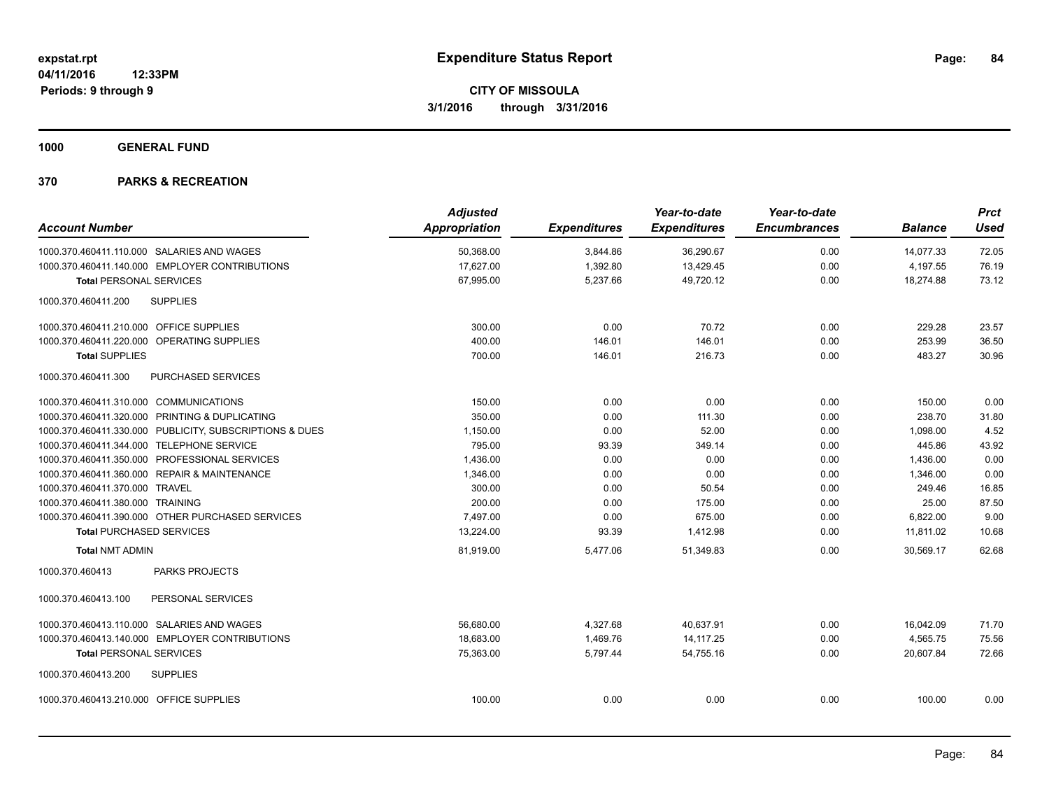**1000 GENERAL FUND**

|                                           |                                                         | <b>Adjusted</b>      |                     | Year-to-date        | Year-to-date        |                | <b>Prct</b> |
|-------------------------------------------|---------------------------------------------------------|----------------------|---------------------|---------------------|---------------------|----------------|-------------|
| <b>Account Number</b>                     |                                                         | <b>Appropriation</b> | <b>Expenditures</b> | <b>Expenditures</b> | <b>Encumbrances</b> | <b>Balance</b> | <b>Used</b> |
|                                           | 1000.370.460411.110.000 SALARIES AND WAGES              | 50,368.00            | 3,844.86            | 36,290.67           | 0.00                | 14,077.33      | 72.05       |
|                                           | 1000.370.460411.140.000 EMPLOYER CONTRIBUTIONS          | 17,627.00            | 1,392.80            | 13,429.45           | 0.00                | 4,197.55       | 76.19       |
| <b>Total PERSONAL SERVICES</b>            |                                                         | 67,995.00            | 5,237.66            | 49,720.12           | 0.00                | 18,274.88      | 73.12       |
| 1000.370.460411.200                       | <b>SUPPLIES</b>                                         |                      |                     |                     |                     |                |             |
| 1000.370.460411.210.000 OFFICE SUPPLIES   |                                                         | 300.00               | 0.00                | 70.72               | 0.00                | 229.28         | 23.57       |
|                                           | 1000.370.460411.220.000 OPERATING SUPPLIES              | 400.00               | 146.01              | 146.01              | 0.00                | 253.99         | 36.50       |
| <b>Total SUPPLIES</b>                     |                                                         | 700.00               | 146.01              | 216.73              | 0.00                | 483.27         | 30.96       |
| 1000.370.460411.300                       | PURCHASED SERVICES                                      |                      |                     |                     |                     |                |             |
| 1000.370.460411.310.000 COMMUNICATIONS    |                                                         | 150.00               | 0.00                | 0.00                | 0.00                | 150.00         | 0.00        |
|                                           | 1000.370.460411.320.000 PRINTING & DUPLICATING          | 350.00               | 0.00                | 111.30              | 0.00                | 238.70         | 31.80       |
|                                           | 1000.370.460411.330.000 PUBLICITY, SUBSCRIPTIONS & DUES | 1,150.00             | 0.00                | 52.00               | 0.00                | 1,098.00       | 4.52        |
| 1000.370.460411.344.000 TELEPHONE SERVICE |                                                         | 795.00               | 93.39               | 349.14              | 0.00                | 445.86         | 43.92       |
|                                           | 1000.370.460411.350.000 PROFESSIONAL SERVICES           | 1,436.00             | 0.00                | 0.00                | 0.00                | 1,436.00       | 0.00        |
|                                           | 1000.370.460411.360.000 REPAIR & MAINTENANCE            | 1.346.00             | 0.00                | 0.00                | 0.00                | 1.346.00       | 0.00        |
| 1000.370.460411.370.000 TRAVEL            |                                                         | 300.00               | 0.00                | 50.54               | 0.00                | 249.46         | 16.85       |
| 1000.370.460411.380.000 TRAINING          |                                                         | 200.00               | 0.00                | 175.00              | 0.00                | 25.00          | 87.50       |
|                                           | 1000.370.460411.390.000 OTHER PURCHASED SERVICES        | 7.497.00             | 0.00                | 675.00              | 0.00                | 6,822.00       | 9.00        |
| <b>Total PURCHASED SERVICES</b>           |                                                         | 13,224.00            | 93.39               | 1,412.98            | 0.00                | 11,811.02      | 10.68       |
| <b>Total NMT ADMIN</b>                    |                                                         | 81,919.00            | 5,477.06            | 51,349.83           | 0.00                | 30,569.17      | 62.68       |
| 1000.370.460413                           | <b>PARKS PROJECTS</b>                                   |                      |                     |                     |                     |                |             |
| 1000.370.460413.100                       | PERSONAL SERVICES                                       |                      |                     |                     |                     |                |             |
|                                           | 1000.370.460413.110.000 SALARIES AND WAGES              | 56,680.00            | 4,327.68            | 40,637.91           | 0.00                | 16,042.09      | 71.70       |
|                                           | 1000.370.460413.140.000 EMPLOYER CONTRIBUTIONS          | 18,683.00            | 1,469.76            | 14, 117.25          | 0.00                | 4,565.75       | 75.56       |
| <b>Total PERSONAL SERVICES</b>            |                                                         | 75,363.00            | 5,797.44            | 54,755.16           | 0.00                | 20,607.84      | 72.66       |
| 1000.370.460413.200                       | <b>SUPPLIES</b>                                         |                      |                     |                     |                     |                |             |
| 1000.370.460413.210.000 OFFICE SUPPLIES   |                                                         | 100.00               | 0.00                | 0.00                | 0.00                | 100.00         | 0.00        |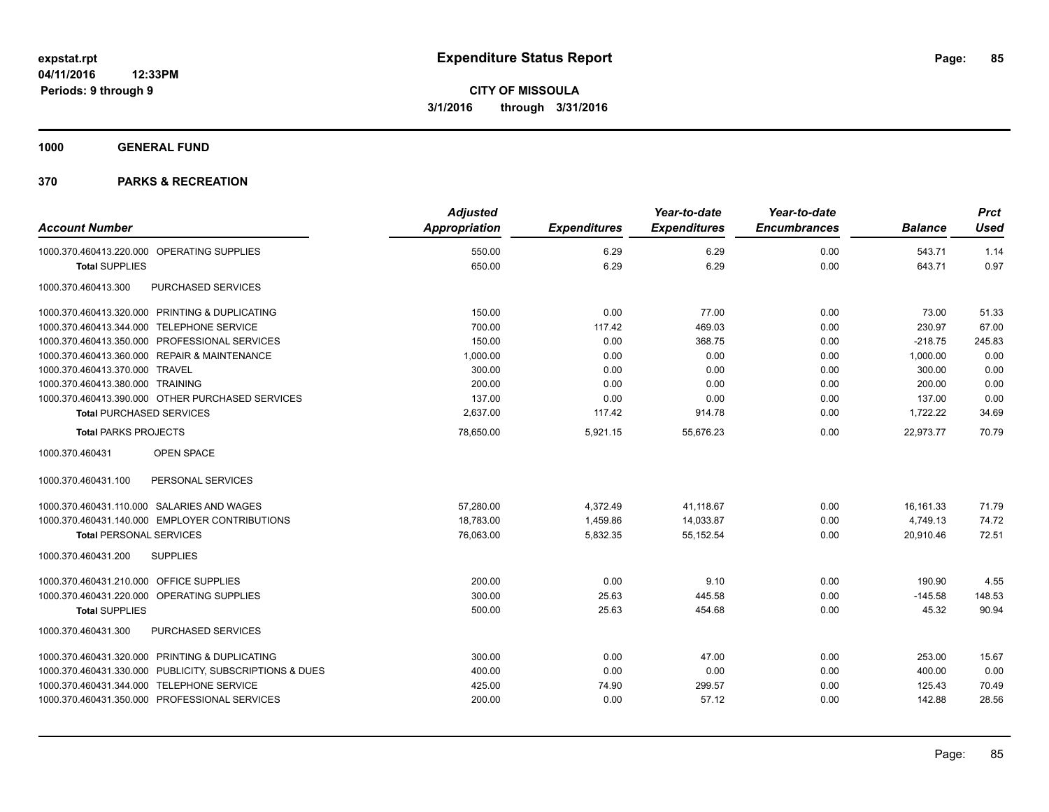**1000 GENERAL FUND**

| <b>Account Number</b>                                   | <b>Adjusted</b><br>Appropriation | <b>Expenditures</b> | Year-to-date<br><b>Expenditures</b> | Year-to-date<br><b>Encumbrances</b> | <b>Balance</b> | <b>Prct</b><br><b>Used</b> |
|---------------------------------------------------------|----------------------------------|---------------------|-------------------------------------|-------------------------------------|----------------|----------------------------|
| 1000.370.460413.220.000 OPERATING SUPPLIES              | 550.00                           | 6.29                | 6.29                                | 0.00                                | 543.71         | 1.14                       |
| <b>Total SUPPLIES</b>                                   | 650.00                           | 6.29                | 6.29                                | 0.00                                | 643.71         | 0.97                       |
| 1000.370.460413.300<br>PURCHASED SERVICES               |                                  |                     |                                     |                                     |                |                            |
| 1000.370.460413.320.000 PRINTING & DUPLICATING          | 150.00                           | 0.00                | 77.00                               | 0.00                                | 73.00          | 51.33                      |
| 1000.370.460413.344.000 TELEPHONE SERVICE               | 700.00                           | 117.42              | 469.03                              | 0.00                                | 230.97         | 67.00                      |
| 1000.370.460413.350.000 PROFESSIONAL SERVICES           | 150.00                           | 0.00                | 368.75                              | 0.00                                | $-218.75$      | 245.83                     |
| 1000.370.460413.360.000 REPAIR & MAINTENANCE            | 1,000.00                         | 0.00                | 0.00                                | 0.00                                | 1,000.00       | 0.00                       |
| 1000.370.460413.370.000 TRAVEL                          | 300.00                           | 0.00                | 0.00                                | 0.00                                | 300.00         | 0.00                       |
| 1000.370.460413.380.000 TRAINING                        | 200.00                           | 0.00                | 0.00                                | 0.00                                | 200.00         | 0.00                       |
| 1000.370.460413.390.000 OTHER PURCHASED SERVICES        | 137.00                           | 0.00                | 0.00                                | 0.00                                | 137.00         | 0.00                       |
| <b>Total PURCHASED SERVICES</b>                         | 2,637.00                         | 117.42              | 914.78                              | 0.00                                | 1,722.22       | 34.69                      |
| <b>Total PARKS PROJECTS</b>                             | 78,650.00                        | 5,921.15            | 55.676.23                           | 0.00                                | 22.973.77      | 70.79                      |
| 1000.370.460431<br>OPEN SPACE                           |                                  |                     |                                     |                                     |                |                            |
| 1000.370.460431.100<br>PERSONAL SERVICES                |                                  |                     |                                     |                                     |                |                            |
| 1000.370.460431.110.000 SALARIES AND WAGES              | 57,280.00                        | 4,372.49            | 41,118.67                           | 0.00                                | 16,161.33      | 71.79                      |
| 1000.370.460431.140.000 EMPLOYER CONTRIBUTIONS          | 18,783.00                        | 1,459.86            | 14,033.87                           | 0.00                                | 4,749.13       | 74.72                      |
| <b>Total PERSONAL SERVICES</b>                          | 76,063.00                        | 5,832.35            | 55,152.54                           | 0.00                                | 20,910.46      | 72.51                      |
| 1000.370.460431.200<br><b>SUPPLIES</b>                  |                                  |                     |                                     |                                     |                |                            |
| 1000.370.460431.210.000 OFFICE SUPPLIES                 | 200.00                           | 0.00                | 9.10                                | 0.00                                | 190.90         | 4.55                       |
| 1000.370.460431.220.000 OPERATING SUPPLIES              | 300.00                           | 25.63               | 445.58                              | 0.00                                | $-145.58$      | 148.53                     |
| <b>Total SUPPLIES</b>                                   | 500.00                           | 25.63               | 454.68                              | 0.00                                | 45.32          | 90.94                      |
| 1000.370.460431.300<br>PURCHASED SERVICES               |                                  |                     |                                     |                                     |                |                            |
| 1000.370.460431.320.000 PRINTING & DUPLICATING          | 300.00                           | 0.00                | 47.00                               | 0.00                                | 253.00         | 15.67                      |
| 1000.370.460431.330.000 PUBLICITY, SUBSCRIPTIONS & DUES | 400.00                           | 0.00                | 0.00                                | 0.00                                | 400.00         | 0.00                       |
| 1000.370.460431.344.000 TELEPHONE SERVICE               | 425.00                           | 74.90               | 299.57                              | 0.00                                | 125.43         | 70.49                      |
| 1000.370.460431.350.000 PROFESSIONAL SERVICES           | 200.00                           | 0.00                | 57.12                               | 0.00                                | 142.88         | 28.56                      |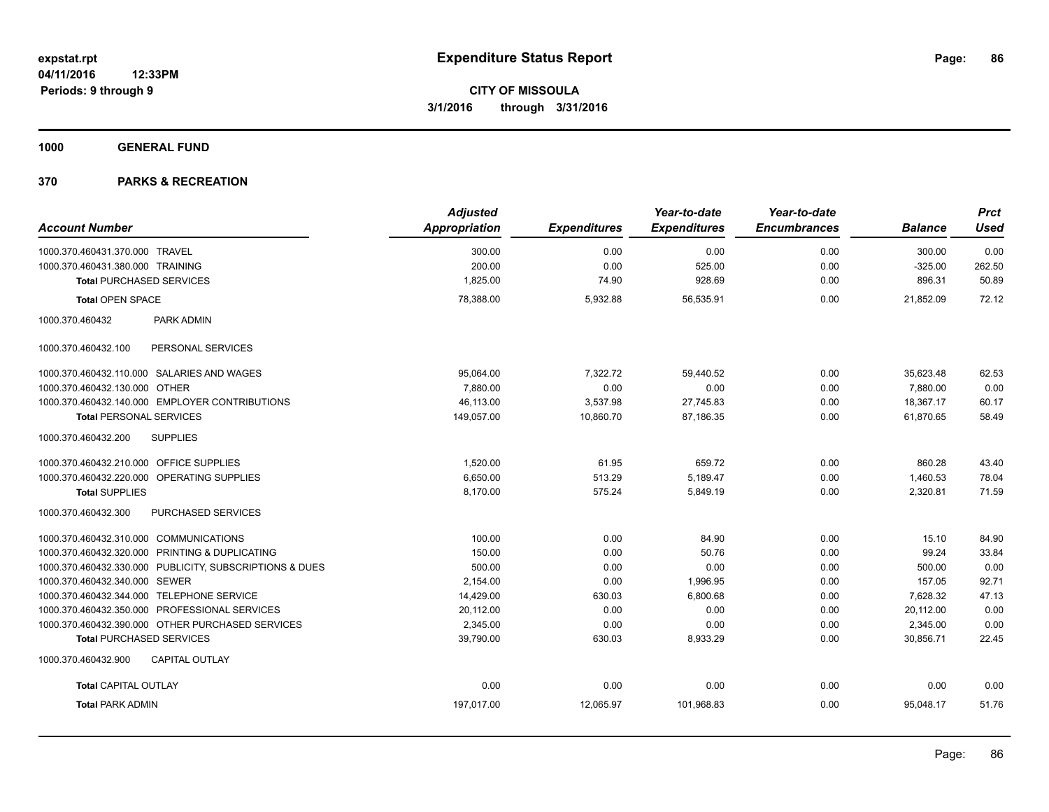**1000 GENERAL FUND**

|                                                         | <b>Adjusted</b>      |                     | Year-to-date        | Year-to-date        |                | <b>Prct</b> |
|---------------------------------------------------------|----------------------|---------------------|---------------------|---------------------|----------------|-------------|
| <b>Account Number</b>                                   | <b>Appropriation</b> | <b>Expenditures</b> | <b>Expenditures</b> | <b>Encumbrances</b> | <b>Balance</b> | <b>Used</b> |
| 1000.370.460431.370.000 TRAVEL                          | 300.00               | 0.00                | 0.00                | 0.00                | 300.00         | 0.00        |
| 1000.370.460431.380.000 TRAINING                        | 200.00               | 0.00                | 525.00              | 0.00                | $-325.00$      | 262.50      |
| <b>Total PURCHASED SERVICES</b>                         | 1,825.00             | 74.90               | 928.69              | 0.00                | 896.31         | 50.89       |
| <b>Total OPEN SPACE</b>                                 | 78,388.00            | 5,932.88            | 56,535.91           | 0.00                | 21.852.09      | 72.12       |
| 1000.370.460432<br>PARK ADMIN                           |                      |                     |                     |                     |                |             |
| 1000.370.460432.100<br>PERSONAL SERVICES                |                      |                     |                     |                     |                |             |
| 1000.370.460432.110.000 SALARIES AND WAGES              | 95,064.00            | 7,322.72            | 59,440.52           | 0.00                | 35,623.48      | 62.53       |
| 1000.370.460432.130.000 OTHER                           | 7.880.00             | 0.00                | 0.00                | 0.00                | 7.880.00       | 0.00        |
| 1000.370.460432.140.000 EMPLOYER CONTRIBUTIONS          | 46,113.00            | 3,537.98            | 27,745.83           | 0.00                | 18,367.17      | 60.17       |
| <b>Total PERSONAL SERVICES</b>                          | 149,057.00           | 10,860.70           | 87,186.35           | 0.00                | 61,870.65      | 58.49       |
| <b>SUPPLIES</b><br>1000.370.460432.200                  |                      |                     |                     |                     |                |             |
| 1000.370.460432.210.000 OFFICE SUPPLIES                 | 1,520.00             | 61.95               | 659.72              | 0.00                | 860.28         | 43.40       |
| 1000.370.460432.220.000 OPERATING SUPPLIES              | 6,650.00             | 513.29              | 5,189.47            | 0.00                | 1,460.53       | 78.04       |
| <b>Total SUPPLIES</b>                                   | 8,170.00             | 575.24              | 5,849.19            | 0.00                | 2,320.81       | 71.59       |
| PURCHASED SERVICES<br>1000.370.460432.300               |                      |                     |                     |                     |                |             |
| 1000.370.460432.310.000 COMMUNICATIONS                  | 100.00               | 0.00                | 84.90               | 0.00                | 15.10          | 84.90       |
| 1000.370.460432.320.000 PRINTING & DUPLICATING          | 150.00               | 0.00                | 50.76               | 0.00                | 99.24          | 33.84       |
| 1000.370.460432.330.000 PUBLICITY, SUBSCRIPTIONS & DUES | 500.00               | 0.00                | 0.00                | 0.00                | 500.00         | 0.00        |
| 1000.370.460432.340.000 SEWER                           | 2,154.00             | 0.00                | 1,996.95            | 0.00                | 157.05         | 92.71       |
| 1000.370.460432.344.000 TELEPHONE SERVICE               | 14,429.00            | 630.03              | 6,800.68            | 0.00                | 7,628.32       | 47.13       |
| 1000.370.460432.350.000 PROFESSIONAL SERVICES           | 20,112.00            | 0.00                | 0.00                | 0.00                | 20,112.00      | 0.00        |
| 1000.370.460432.390.000 OTHER PURCHASED SERVICES        | 2,345.00             | 0.00                | 0.00                | 0.00                | 2,345.00       | 0.00        |
| <b>Total PURCHASED SERVICES</b>                         | 39,790.00            | 630.03              | 8,933.29            | 0.00                | 30,856.71      | 22.45       |
| 1000.370.460432.900<br><b>CAPITAL OUTLAY</b>            |                      |                     |                     |                     |                |             |
| <b>Total CAPITAL OUTLAY</b>                             | 0.00                 | 0.00                | 0.00                | 0.00                | 0.00           | 0.00        |
| <b>Total PARK ADMIN</b>                                 | 197,017.00           | 12,065.97           | 101,968.83          | 0.00                | 95,048.17      | 51.76       |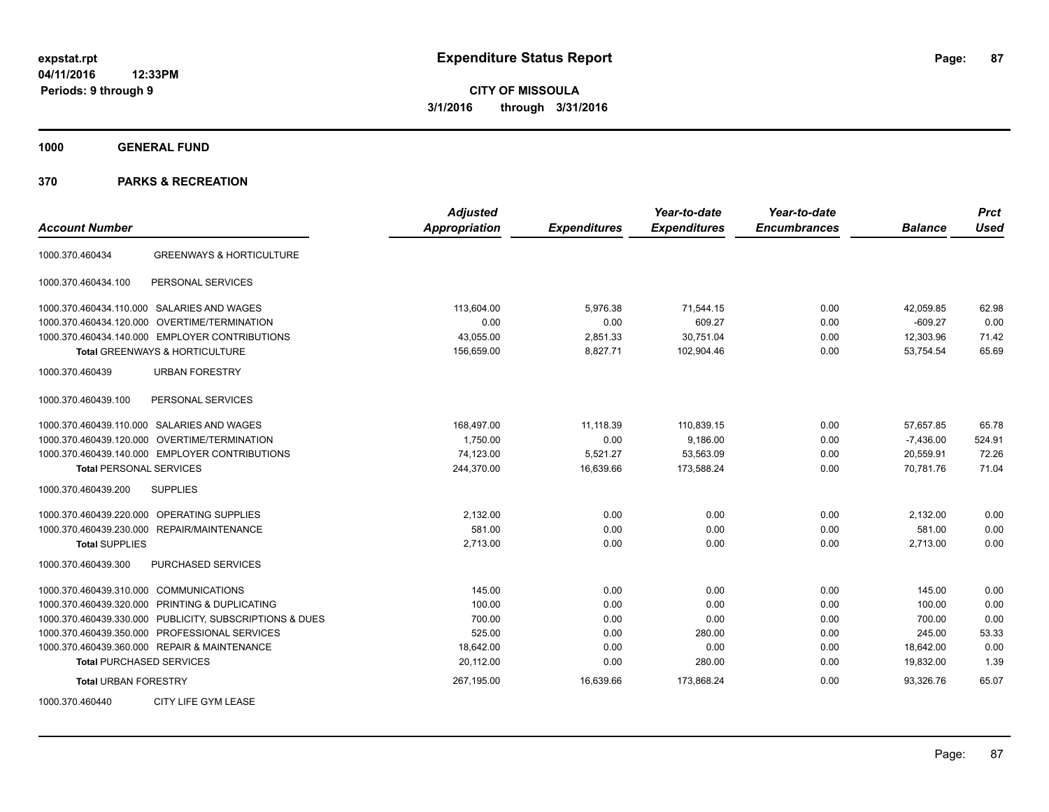**1000 GENERAL FUND**

| <b>Account Number</b>                                   | <b>Adjusted</b><br><b>Appropriation</b> | <b>Expenditures</b> | Year-to-date<br><b>Expenditures</b> | Year-to-date<br><b>Encumbrances</b> | <b>Balance</b> | <b>Prct</b><br><b>Used</b> |
|---------------------------------------------------------|-----------------------------------------|---------------------|-------------------------------------|-------------------------------------|----------------|----------------------------|
| <b>GREENWAYS &amp; HORTICULTURE</b><br>1000.370.460434  |                                         |                     |                                     |                                     |                |                            |
| PERSONAL SERVICES<br>1000.370.460434.100                |                                         |                     |                                     |                                     |                |                            |
| 1000.370.460434.110.000 SALARIES AND WAGES              | 113,604.00                              | 5,976.38            | 71,544.15                           | 0.00                                | 42,059.85      | 62.98                      |
| 1000.370.460434.120.000 OVERTIME/TERMINATION            | 0.00                                    | 0.00                | 609.27                              | 0.00                                | $-609.27$      | 0.00                       |
| 1000.370.460434.140.000 EMPLOYER CONTRIBUTIONS          | 43,055.00                               | 2,851.33            | 30,751.04                           | 0.00                                | 12,303.96      | 71.42                      |
| Total GREENWAYS & HORTICULTURE                          | 156,659.00                              | 8,827.71            | 102,904.46                          | 0.00                                | 53,754.54      | 65.69                      |
| <b>URBAN FORESTRY</b><br>1000.370.460439                |                                         |                     |                                     |                                     |                |                            |
| PERSONAL SERVICES<br>1000.370.460439.100                |                                         |                     |                                     |                                     |                |                            |
| 1000.370.460439.110.000 SALARIES AND WAGES              | 168,497.00                              | 11,118.39           | 110,839.15                          | 0.00                                | 57,657.85      | 65.78                      |
| 1000.370.460439.120.000 OVERTIME/TERMINATION            | 1,750.00                                | 0.00                | 9,186.00                            | 0.00                                | $-7,436.00$    | 524.91                     |
| 1000.370.460439.140.000 EMPLOYER CONTRIBUTIONS          | 74,123.00                               | 5,521.27            | 53,563.09                           | 0.00                                | 20,559.91      | 72.26                      |
| <b>Total PERSONAL SERVICES</b>                          | 244,370.00                              | 16,639.66           | 173,588.24                          | 0.00                                | 70,781.76      | 71.04                      |
| 1000.370.460439.200<br><b>SUPPLIES</b>                  |                                         |                     |                                     |                                     |                |                            |
| 1000.370.460439.220.000<br>OPERATING SUPPLIES           | 2,132.00                                | 0.00                | 0.00                                | 0.00                                | 2,132.00       | 0.00                       |
| 1000.370.460439.230.000 REPAIR/MAINTENANCE              | 581.00                                  | 0.00                | 0.00                                | 0.00                                | 581.00         | 0.00                       |
| <b>Total SUPPLIES</b>                                   | 2,713.00                                | 0.00                | 0.00                                | 0.00                                | 2,713.00       | 0.00                       |
| 1000.370.460439.300<br><b>PURCHASED SERVICES</b>        |                                         |                     |                                     |                                     |                |                            |
| 1000.370.460439.310.000 COMMUNICATIONS                  | 145.00                                  | 0.00                | 0.00                                | 0.00                                | 145.00         | 0.00                       |
| 1000.370.460439.320.000 PRINTING & DUPLICATING          | 100.00                                  | 0.00                | 0.00                                | 0.00                                | 100.00         | 0.00                       |
| 1000.370.460439.330.000 PUBLICITY, SUBSCRIPTIONS & DUES | 700.00                                  | 0.00                | 0.00                                | 0.00                                | 700.00         | 0.00                       |
| 1000.370.460439.350.000 PROFESSIONAL SERVICES           | 525.00                                  | 0.00                | 280.00                              | 0.00                                | 245.00         | 53.33                      |
| 1000.370.460439.360.000 REPAIR & MAINTENANCE            | 18,642.00                               | 0.00                | 0.00                                | 0.00                                | 18,642.00      | 0.00                       |
| <b>Total PURCHASED SERVICES</b>                         | 20,112.00                               | 0.00                | 280.00                              | 0.00                                | 19,832.00      | 1.39                       |
| <b>Total URBAN FORESTRY</b>                             | 267,195.00                              | 16,639.66           | 173,868.24                          | 0.00                                | 93,326.76      | 65.07                      |
| CITY LIFE GYM LEASE<br>1000.370.460440                  |                                         |                     |                                     |                                     |                |                            |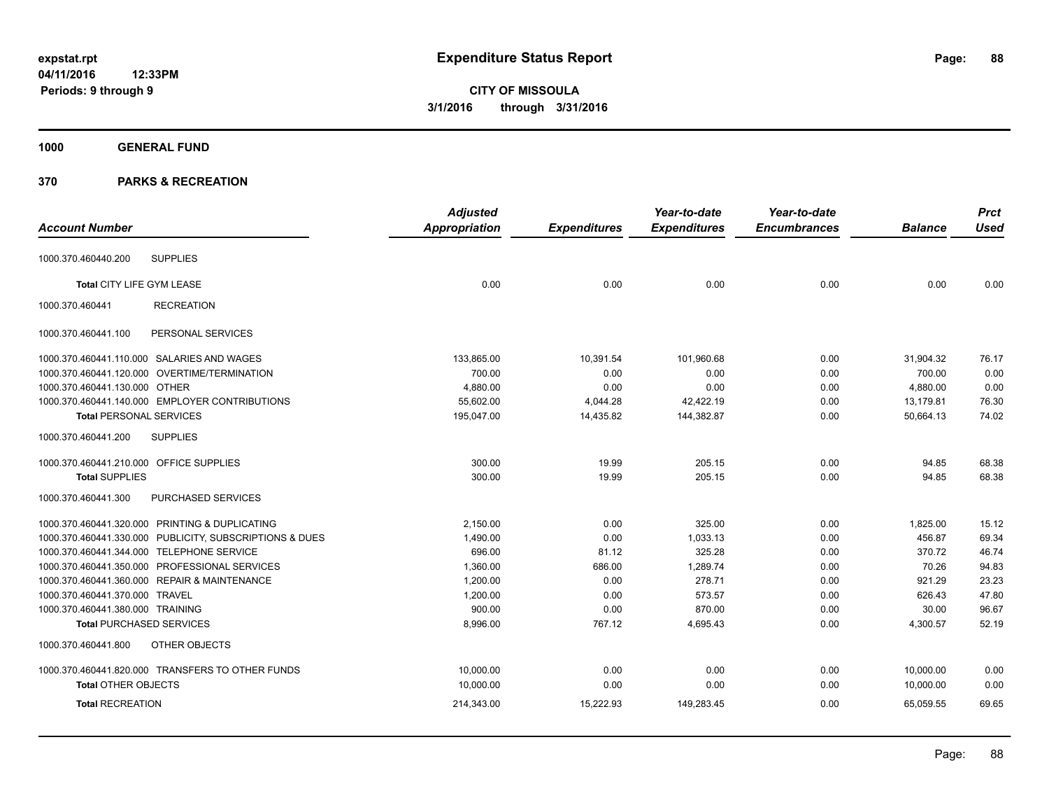# **1000 GENERAL FUND**

|                                         |                                                         | <b>Adjusted</b> |                     | Year-to-date        | Year-to-date        |                | <b>Prct</b> |
|-----------------------------------------|---------------------------------------------------------|-----------------|---------------------|---------------------|---------------------|----------------|-------------|
| <b>Account Number</b>                   |                                                         | Appropriation   | <b>Expenditures</b> | <b>Expenditures</b> | <b>Encumbrances</b> | <b>Balance</b> | <b>Used</b> |
| 1000.370.460440.200                     | <b>SUPPLIES</b>                                         |                 |                     |                     |                     |                |             |
| Total CITY LIFE GYM LEASE               |                                                         | 0.00            | 0.00                | 0.00                | 0.00                | 0.00           | 0.00        |
| 1000.370.460441                         | <b>RECREATION</b>                                       |                 |                     |                     |                     |                |             |
| 1000.370.460441.100                     | PERSONAL SERVICES                                       |                 |                     |                     |                     |                |             |
|                                         | 1000.370.460441.110.000 SALARIES AND WAGES              | 133,865.00      | 10,391.54           | 101,960.68          | 0.00                | 31,904.32      | 76.17       |
|                                         | 1000.370.460441.120.000 OVERTIME/TERMINATION            | 700.00          | 0.00                | 0.00                | 0.00                | 700.00         | 0.00        |
| 1000.370.460441.130.000 OTHER           |                                                         | 4,880.00        | 0.00                | 0.00                | 0.00                | 4,880.00       | 0.00        |
|                                         | 1000.370.460441.140.000 EMPLOYER CONTRIBUTIONS          | 55,602.00       | 4,044.28            | 42,422.19           | 0.00                | 13,179.81      | 76.30       |
| <b>Total PERSONAL SERVICES</b>          |                                                         | 195,047.00      | 14,435.82           | 144,382.87          | 0.00                | 50.664.13      | 74.02       |
| 1000.370.460441.200                     | <b>SUPPLIES</b>                                         |                 |                     |                     |                     |                |             |
| 1000.370.460441.210.000 OFFICE SUPPLIES |                                                         | 300.00          | 19.99               | 205.15              | 0.00                | 94.85          | 68.38       |
| <b>Total SUPPLIES</b>                   |                                                         | 300.00          | 19.99               | 205.15              | 0.00                | 94.85          | 68.38       |
| 1000.370.460441.300                     | PURCHASED SERVICES                                      |                 |                     |                     |                     |                |             |
|                                         | 1000.370.460441.320.000 PRINTING & DUPLICATING          | 2,150.00        | 0.00                | 325.00              | 0.00                | 1,825.00       | 15.12       |
|                                         | 1000.370.460441.330.000 PUBLICITY, SUBSCRIPTIONS & DUES | 1,490.00        | 0.00                | 1,033.13            | 0.00                | 456.87         | 69.34       |
|                                         | 1000.370.460441.344.000 TELEPHONE SERVICE               | 696.00          | 81.12               | 325.28              | 0.00                | 370.72         | 46.74       |
|                                         | 1000.370.460441.350.000 PROFESSIONAL SERVICES           | 1,360.00        | 686.00              | 1,289.74            | 0.00                | 70.26          | 94.83       |
|                                         | 1000.370.460441.360.000 REPAIR & MAINTENANCE            | 1,200.00        | 0.00                | 278.71              | 0.00                | 921.29         | 23.23       |
| 1000.370.460441.370.000 TRAVEL          |                                                         | 1,200.00        | 0.00                | 573.57              | 0.00                | 626.43         | 47.80       |
| 1000.370.460441.380.000 TRAINING        |                                                         | 900.00          | 0.00                | 870.00              | 0.00                | 30.00          | 96.67       |
| <b>Total PURCHASED SERVICES</b>         |                                                         | 8,996.00        | 767.12              | 4,695.43            | 0.00                | 4,300.57       | 52.19       |
| 1000.370.460441.800                     | OTHER OBJECTS                                           |                 |                     |                     |                     |                |             |
|                                         | 1000.370.460441.820.000 TRANSFERS TO OTHER FUNDS        | 10,000.00       | 0.00                | 0.00                | 0.00                | 10,000.00      | 0.00        |
| <b>Total OTHER OBJECTS</b>              |                                                         | 10,000.00       | 0.00                | 0.00                | 0.00                | 10,000.00      | 0.00        |
| <b>Total RECREATION</b>                 |                                                         | 214,343.00      | 15,222.93           | 149,283.45          | 0.00                | 65,059.55      | 69.65       |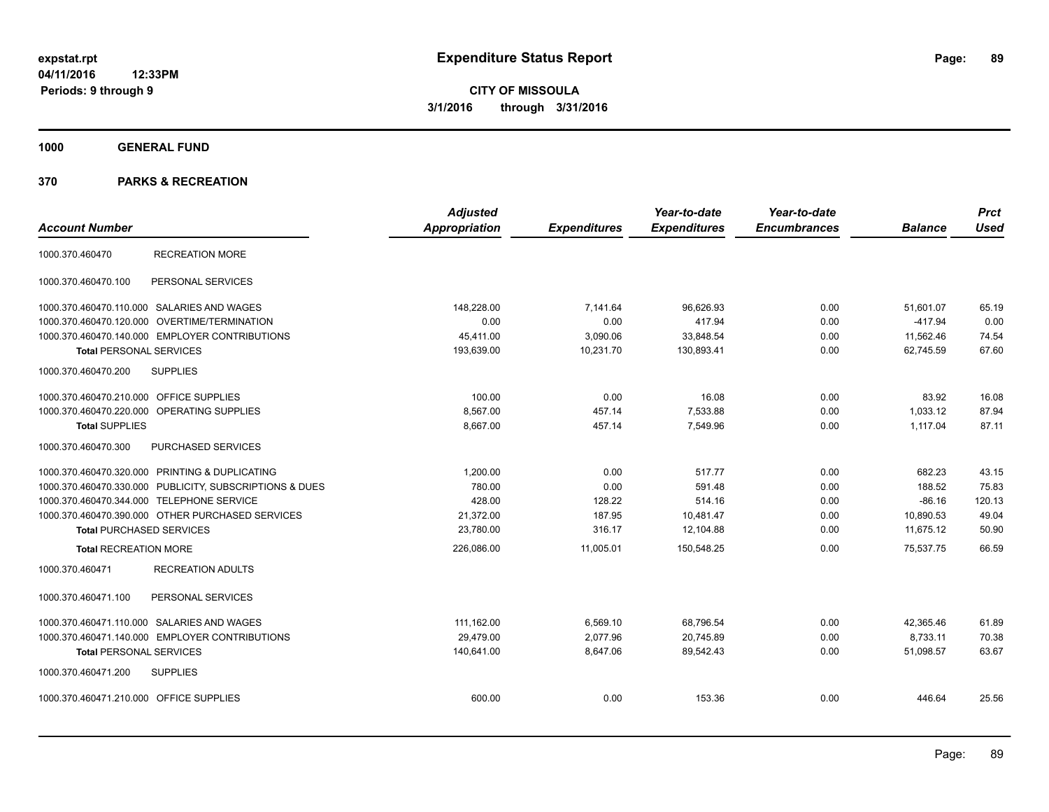**1000 GENERAL FUND**

|                                                         | <b>Adjusted</b>      |                     | Year-to-date        | Year-to-date        |                | <b>Prct</b> |
|---------------------------------------------------------|----------------------|---------------------|---------------------|---------------------|----------------|-------------|
| <b>Account Number</b>                                   | <b>Appropriation</b> | <b>Expenditures</b> | <b>Expenditures</b> | <b>Encumbrances</b> | <b>Balance</b> | <b>Used</b> |
| <b>RECREATION MORE</b><br>1000.370.460470               |                      |                     |                     |                     |                |             |
| PERSONAL SERVICES<br>1000.370.460470.100                |                      |                     |                     |                     |                |             |
| 1000.370.460470.110.000 SALARIES AND WAGES              | 148.228.00           | 7,141.64            | 96,626.93           | 0.00                | 51,601.07      | 65.19       |
| 1000.370.460470.120.000 OVERTIME/TERMINATION            | 0.00                 | 0.00                | 417.94              | 0.00                | $-417.94$      | 0.00        |
| 1000.370.460470.140.000 EMPLOYER CONTRIBUTIONS          | 45,411.00            | 3,090.06            | 33,848.54           | 0.00                | 11,562.46      | 74.54       |
| <b>Total PERSONAL SERVICES</b>                          | 193,639.00           | 10,231.70           | 130,893.41          | 0.00                | 62.745.59      | 67.60       |
| <b>SUPPLIES</b><br>1000.370.460470.200                  |                      |                     |                     |                     |                |             |
| 1000.370.460470.210.000 OFFICE SUPPLIES                 | 100.00               | 0.00                | 16.08               | 0.00                | 83.92          | 16.08       |
| 1000.370.460470.220.000 OPERATING SUPPLIES              | 8,567.00             | 457.14              | 7,533.88            | 0.00                | 1,033.12       | 87.94       |
| <b>Total SUPPLIES</b>                                   | 8,667.00             | 457.14              | 7,549.96            | 0.00                | 1,117.04       | 87.11       |
| 1000.370.460470.300<br>PURCHASED SERVICES               |                      |                     |                     |                     |                |             |
| 1000.370.460470.320.000 PRINTING & DUPLICATING          | 1,200.00             | 0.00                | 517.77              | 0.00                | 682.23         | 43.15       |
| 1000.370.460470.330.000 PUBLICITY, SUBSCRIPTIONS & DUES | 780.00               | 0.00                | 591.48              | 0.00                | 188.52         | 75.83       |
| 1000.370.460470.344.000 TELEPHONE SERVICE               | 428.00               | 128.22              | 514.16              | 0.00                | $-86.16$       | 120.13      |
| 1000.370.460470.390.000 OTHER PURCHASED SERVICES        | 21,372.00            | 187.95              | 10,481.47           | 0.00                | 10.890.53      | 49.04       |
| <b>Total PURCHASED SERVICES</b>                         | 23,780.00            | 316.17              | 12,104.88           | 0.00                | 11.675.12      | 50.90       |
| <b>Total RECREATION MORE</b>                            | 226,086.00           | 11,005.01           | 150,548.25          | 0.00                | 75,537.75      | 66.59       |
| <b>RECREATION ADULTS</b><br>1000.370.460471             |                      |                     |                     |                     |                |             |
| PERSONAL SERVICES<br>1000.370.460471.100                |                      |                     |                     |                     |                |             |
| 1000.370.460471.110.000 SALARIES AND WAGES              | 111,162.00           | 6,569.10            | 68,796.54           | 0.00                | 42,365.46      | 61.89       |
| 1000.370.460471.140.000 EMPLOYER CONTRIBUTIONS          | 29.479.00            | 2,077.96            | 20,745.89           | 0.00                | 8,733.11       | 70.38       |
| <b>Total PERSONAL SERVICES</b>                          | 140,641.00           | 8,647.06            | 89,542.43           | 0.00                | 51,098.57      | 63.67       |
| <b>SUPPLIES</b><br>1000.370.460471.200                  |                      |                     |                     |                     |                |             |
| 1000.370.460471.210.000 OFFICE SUPPLIES                 | 600.00               | 0.00                | 153.36              | 0.00                | 446.64         | 25.56       |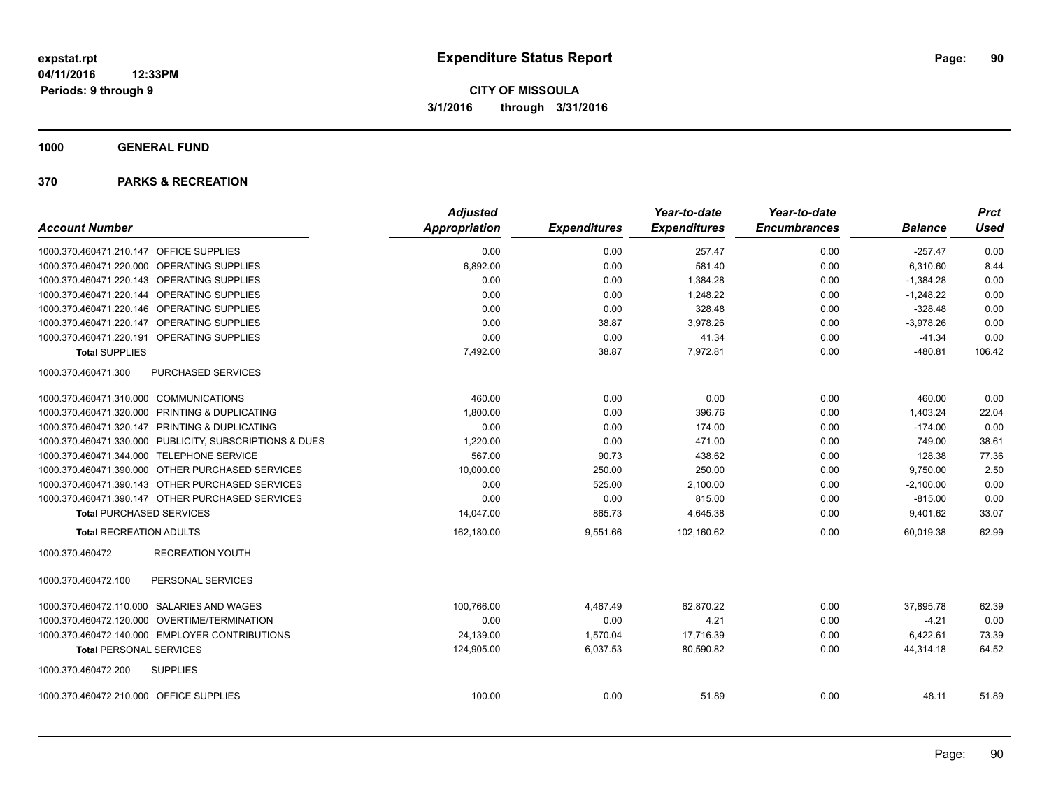**1000 GENERAL FUND**

| <b>Account Number</b>                                   | <b>Adjusted</b><br>Appropriation |                     | Year-to-date<br><b>Expenditures</b> | Year-to-date<br><b>Encumbrances</b> | <b>Balance</b> | <b>Prct</b><br>Used |
|---------------------------------------------------------|----------------------------------|---------------------|-------------------------------------|-------------------------------------|----------------|---------------------|
|                                                         |                                  | <b>Expenditures</b> |                                     |                                     |                |                     |
| 1000.370.460471.210.147 OFFICE SUPPLIES                 | 0.00                             | 0.00                | 257.47                              | 0.00                                | $-257.47$      | 0.00                |
| 1000.370.460471.220.000 OPERATING SUPPLIES              | 6,892.00                         | 0.00                | 581.40                              | 0.00                                | 6,310.60       | 8.44                |
| 1000.370.460471.220.143 OPERATING SUPPLIES              | 0.00                             | 0.00                | 1,384.28                            | 0.00                                | $-1,384.28$    | 0.00                |
| 1000.370.460471.220.144 OPERATING SUPPLIES              | 0.00                             | 0.00                | 1,248.22                            | 0.00                                | $-1,248.22$    | 0.00                |
| 1000.370.460471.220.146 OPERATING SUPPLIES              | 0.00                             | 0.00                | 328.48                              | 0.00                                | $-328.48$      | 0.00                |
| 1000.370.460471.220.147 OPERATING SUPPLIES              | 0.00                             | 38.87               | 3,978.26                            | 0.00                                | $-3,978.26$    | 0.00                |
| 1000.370.460471.220.191 OPERATING SUPPLIES              | 0.00                             | 0.00                | 41.34                               | 0.00                                | $-41.34$       | 0.00                |
| <b>Total SUPPLIES</b>                                   | 7,492.00                         | 38.87               | 7,972.81                            | 0.00                                | $-480.81$      | 106.42              |
| 1000.370.460471.300<br>PURCHASED SERVICES               |                                  |                     |                                     |                                     |                |                     |
| 1000.370.460471.310.000 COMMUNICATIONS                  | 460.00                           | 0.00                | 0.00                                | 0.00                                | 460.00         | 0.00                |
| 1000.370.460471.320.000 PRINTING & DUPLICATING          | 1,800.00                         | 0.00                | 396.76                              | 0.00                                | 1,403.24       | 22.04               |
| 1000.370.460471.320.147 PRINTING & DUPLICATING          | 0.00                             | 0.00                | 174.00                              | 0.00                                | $-174.00$      | 0.00                |
| 1000.370.460471.330.000 PUBLICITY, SUBSCRIPTIONS & DUES | 1,220.00                         | 0.00                | 471.00                              | 0.00                                | 749.00         | 38.61               |
| 1000.370.460471.344.000 TELEPHONE SERVICE               | 567.00                           | 90.73               | 438.62                              | 0.00                                | 128.38         | 77.36               |
| 1000.370.460471.390.000 OTHER PURCHASED SERVICES        | 10,000.00                        | 250.00              | 250.00                              | 0.00                                | 9,750.00       | 2.50                |
| 1000.370.460471.390.143 OTHER PURCHASED SERVICES        | 0.00                             | 525.00              | 2,100.00                            | 0.00                                | $-2,100.00$    | 0.00                |
| 1000.370.460471.390.147 OTHER PURCHASED SERVICES        | 0.00                             | 0.00                | 815.00                              | 0.00                                | $-815.00$      | 0.00                |
| <b>Total PURCHASED SERVICES</b>                         | 14,047.00                        | 865.73              | 4,645.38                            | 0.00                                | 9,401.62       | 33.07               |
| <b>Total RECREATION ADULTS</b>                          | 162,180.00                       | 9,551.66            | 102,160.62                          | 0.00                                | 60,019.38      | 62.99               |
| <b>RECREATION YOUTH</b><br>1000.370.460472              |                                  |                     |                                     |                                     |                |                     |
| 1000.370.460472.100<br>PERSONAL SERVICES                |                                  |                     |                                     |                                     |                |                     |
| 1000.370.460472.110.000 SALARIES AND WAGES              | 100,766.00                       | 4,467.49            | 62,870.22                           | 0.00                                | 37,895.78      | 62.39               |
| 1000.370.460472.120.000 OVERTIME/TERMINATION            | 0.00                             | 0.00                | 4.21                                | 0.00                                | $-4.21$        | 0.00                |
| 1000.370.460472.140.000 EMPLOYER CONTRIBUTIONS          | 24,139.00                        | 1,570.04            | 17,716.39                           | 0.00                                | 6,422.61       | 73.39               |
| <b>Total PERSONAL SERVICES</b>                          | 124,905.00                       | 6,037.53            | 80,590.82                           | 0.00                                | 44,314.18      | 64.52               |
| 1000.370.460472.200<br><b>SUPPLIES</b>                  |                                  |                     |                                     |                                     |                |                     |
| 1000.370.460472.210.000 OFFICE SUPPLIES                 | 100.00                           | 0.00                | 51.89                               | 0.00                                | 48.11          | 51.89               |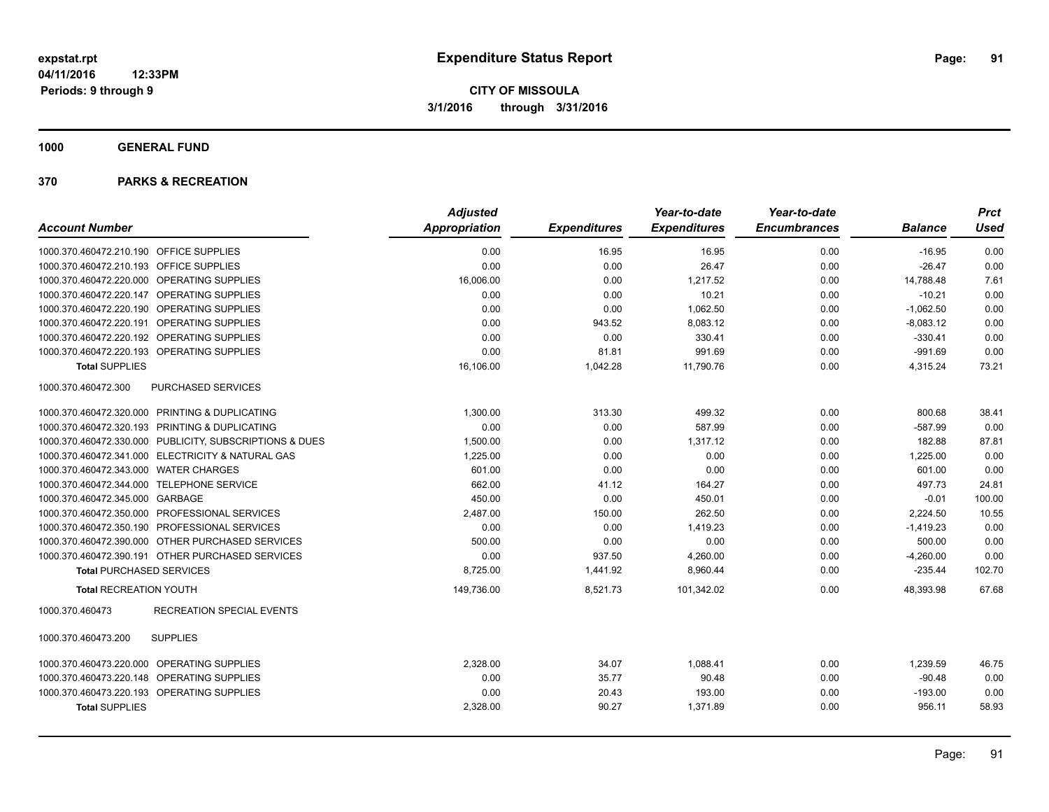**1000 GENERAL FUND**

|                                                         | <b>Adjusted</b> |                     | Year-to-date        | Year-to-date        |                | <b>Prct</b> |
|---------------------------------------------------------|-----------------|---------------------|---------------------|---------------------|----------------|-------------|
| <b>Account Number</b>                                   | Appropriation   | <b>Expenditures</b> | <b>Expenditures</b> | <b>Encumbrances</b> | <b>Balance</b> | <b>Used</b> |
| 1000.370.460472.210.190 OFFICE SUPPLIES                 | 0.00            | 16.95               | 16.95               | 0.00                | $-16.95$       | 0.00        |
| 1000.370.460472.210.193 OFFICE SUPPLIES                 | 0.00            | 0.00                | 26.47               | 0.00                | $-26.47$       | 0.00        |
| 1000.370.460472.220.000 OPERATING SUPPLIES              | 16,006.00       | 0.00                | 1,217.52            | 0.00                | 14,788.48      | 7.61        |
| 1000.370.460472.220.147 OPERATING SUPPLIES              | 0.00            | 0.00                | 10.21               | 0.00                | $-10.21$       | 0.00        |
| 1000.370.460472.220.190 OPERATING SUPPLIES              | 0.00            | 0.00                | 1,062.50            | 0.00                | $-1,062.50$    | 0.00        |
| 1000.370.460472.220.191 OPERATING SUPPLIES              | 0.00            | 943.52              | 8,083.12            | 0.00                | $-8,083.12$    | 0.00        |
| 1000.370.460472.220.192 OPERATING SUPPLIES              | 0.00            | 0.00                | 330.41              | 0.00                | $-330.41$      | 0.00        |
| 1000.370.460472.220.193 OPERATING SUPPLIES              | 0.00            | 81.81               | 991.69              | 0.00                | $-991.69$      | 0.00        |
| <b>Total SUPPLIES</b>                                   | 16.106.00       | 1,042.28            | 11.790.76           | 0.00                | 4,315.24       | 73.21       |
| 1000.370.460472.300<br>PURCHASED SERVICES               |                 |                     |                     |                     |                |             |
| 1000.370.460472.320.000 PRINTING & DUPLICATING          | 1,300.00        | 313.30              | 499.32              | 0.00                | 800.68         | 38.41       |
| 1000.370.460472.320.193 PRINTING & DUPLICATING          | 0.00            | 0.00                | 587.99              | 0.00                | $-587.99$      | 0.00        |
| 1000.370.460472.330.000 PUBLICITY, SUBSCRIPTIONS & DUES | 1,500.00        | 0.00                | 1,317.12            | 0.00                | 182.88         | 87.81       |
| 1000.370.460472.341.000 ELECTRICITY & NATURAL GAS       | 1,225.00        | 0.00                | 0.00                | 0.00                | 1,225.00       | 0.00        |
| 1000.370.460472.343.000 WATER CHARGES                   | 601.00          | 0.00                | 0.00                | 0.00                | 601.00         | 0.00        |
| 1000.370.460472.344.000 TELEPHONE SERVICE               | 662.00          | 41.12               | 164.27              | 0.00                | 497.73         | 24.81       |
| 1000.370.460472.345.000 GARBAGE                         | 450.00          | 0.00                | 450.01              | 0.00                | $-0.01$        | 100.00      |
| 1000.370.460472.350.000 PROFESSIONAL SERVICES           | 2,487.00        | 150.00              | 262.50              | 0.00                | 2,224.50       | 10.55       |
| 1000.370.460472.350.190 PROFESSIONAL SERVICES           | 0.00            | 0.00                | 1,419.23            | 0.00                | $-1,419.23$    | 0.00        |
| 1000.370.460472.390.000 OTHER PURCHASED SERVICES        | 500.00          | 0.00                | 0.00                | 0.00                | 500.00         | 0.00        |
| 1000.370.460472.390.191 OTHER PURCHASED SERVICES        | 0.00            | 937.50              | 4,260.00            | 0.00                | $-4,260.00$    | 0.00        |
| <b>Total PURCHASED SERVICES</b>                         | 8,725.00        | 1,441.92            | 8,960.44            | 0.00                | $-235.44$      | 102.70      |
| <b>Total RECREATION YOUTH</b>                           | 149,736.00      | 8,521.73            | 101,342.02          | 0.00                | 48,393.98      | 67.68       |
| <b>RECREATION SPECIAL EVENTS</b><br>1000.370.460473     |                 |                     |                     |                     |                |             |
| <b>SUPPLIES</b><br>1000.370.460473.200                  |                 |                     |                     |                     |                |             |
| 1000.370.460473.220.000 OPERATING SUPPLIES              | 2,328.00        | 34.07               | 1,088.41            | 0.00                | 1,239.59       | 46.75       |
| 1000.370.460473.220.148 OPERATING SUPPLIES              | 0.00            | 35.77               | 90.48               | 0.00                | $-90.48$       | 0.00        |
| 1000.370.460473.220.193 OPERATING SUPPLIES              | 0.00            | 20.43               | 193.00              | 0.00                | $-193.00$      | 0.00        |
| <b>Total SUPPLIES</b>                                   | 2,328.00        | 90.27               | 1,371.89            | 0.00                | 956.11         | 58.93       |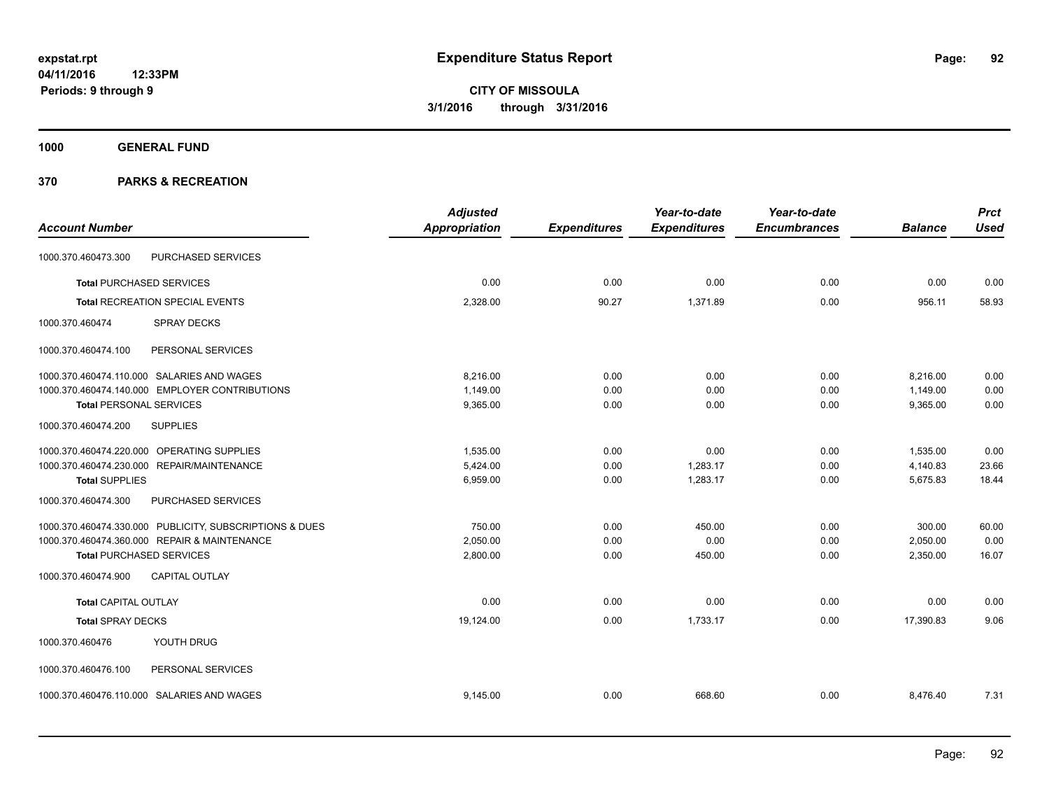**1000 GENERAL FUND**

|                                                         | <b>Adjusted</b>      |                     | Year-to-date        | Year-to-date        |                | <b>Prct</b> |
|---------------------------------------------------------|----------------------|---------------------|---------------------|---------------------|----------------|-------------|
| <b>Account Number</b>                                   | <b>Appropriation</b> | <b>Expenditures</b> | <b>Expenditures</b> | <b>Encumbrances</b> | <b>Balance</b> | <b>Used</b> |
| PURCHASED SERVICES<br>1000.370.460473.300               |                      |                     |                     |                     |                |             |
| <b>Total PURCHASED SERVICES</b>                         | 0.00                 | 0.00                | 0.00                | 0.00                | 0.00           | 0.00        |
| Total RECREATION SPECIAL EVENTS                         | 2,328.00             | 90.27               | 1,371.89            | 0.00                | 956.11         | 58.93       |
| 1000.370.460474<br><b>SPRAY DECKS</b>                   |                      |                     |                     |                     |                |             |
| 1000.370.460474.100<br>PERSONAL SERVICES                |                      |                     |                     |                     |                |             |
| 1000.370.460474.110.000 SALARIES AND WAGES              | 8,216.00             | 0.00                | 0.00                | 0.00                | 8,216.00       | 0.00        |
| 1000.370.460474.140.000 EMPLOYER CONTRIBUTIONS          | 1,149.00             | 0.00                | 0.00                | 0.00                | 1,149.00       | 0.00        |
| <b>Total PERSONAL SERVICES</b>                          | 9,365.00             | 0.00                | 0.00                | 0.00                | 9,365.00       | 0.00        |
| 1000.370.460474.200<br><b>SUPPLIES</b>                  |                      |                     |                     |                     |                |             |
| 1000.370.460474.220.000 OPERATING SUPPLIES              | 1.535.00             | 0.00                | 0.00                | 0.00                | 1,535.00       | 0.00        |
| 1000.370.460474.230.000 REPAIR/MAINTENANCE              | 5,424.00             | 0.00                | 1,283.17            | 0.00                | 4,140.83       | 23.66       |
| <b>Total SUPPLIES</b>                                   | 6,959.00             | 0.00                | 1,283.17            | 0.00                | 5,675.83       | 18.44       |
| 1000.370.460474.300<br>PURCHASED SERVICES               |                      |                     |                     |                     |                |             |
| 1000.370.460474.330.000 PUBLICITY, SUBSCRIPTIONS & DUES | 750.00               | 0.00                | 450.00              | 0.00                | 300.00         | 60.00       |
| 1000.370.460474.360.000 REPAIR & MAINTENANCE            | 2.050.00             | 0.00                | 0.00                | 0.00                | 2,050.00       | 0.00        |
| <b>Total PURCHASED SERVICES</b>                         | 2,800.00             | 0.00                | 450.00              | 0.00                | 2,350.00       | 16.07       |
| CAPITAL OUTLAY<br>1000.370.460474.900                   |                      |                     |                     |                     |                |             |
| <b>Total CAPITAL OUTLAY</b>                             | 0.00                 | 0.00                | 0.00                | 0.00                | 0.00           | 0.00        |
| <b>Total SPRAY DECKS</b>                                | 19,124.00            | 0.00                | 1,733.17            | 0.00                | 17,390.83      | 9.06        |
| 1000.370.460476<br>YOUTH DRUG                           |                      |                     |                     |                     |                |             |
| 1000.370.460476.100<br>PERSONAL SERVICES                |                      |                     |                     |                     |                |             |
| 1000.370.460476.110.000 SALARIES AND WAGES              | 9,145.00             | 0.00                | 668.60              | 0.00                | 8,476.40       | 7.31        |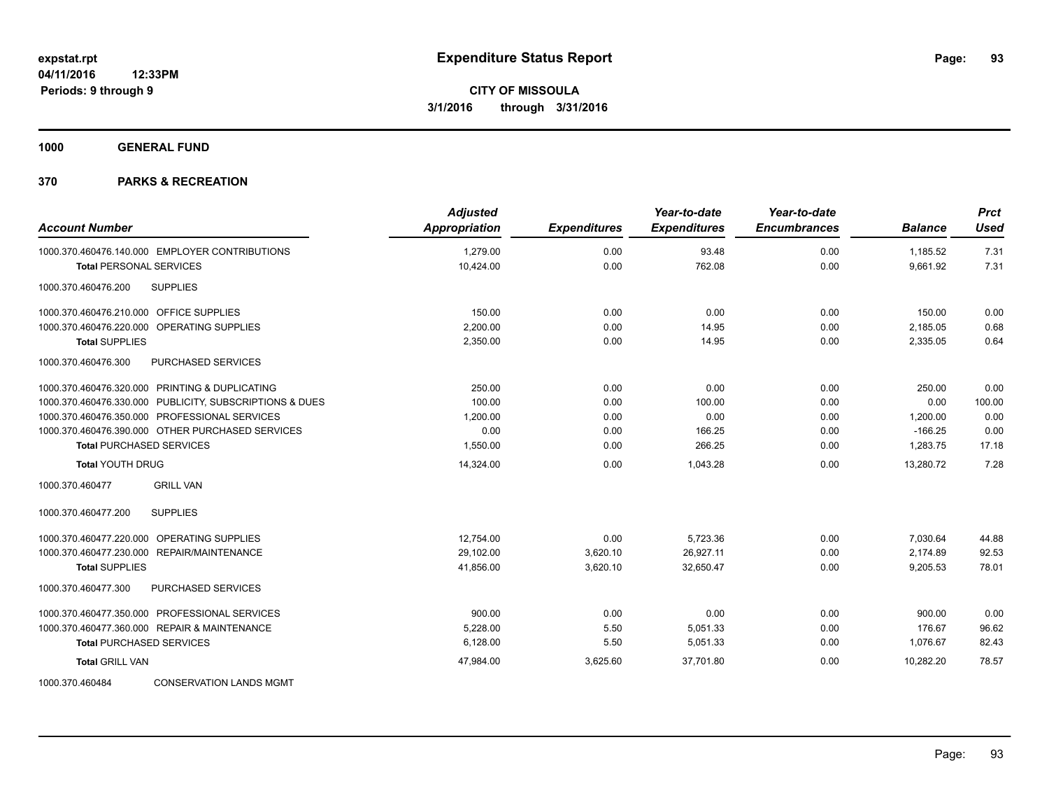**1000 GENERAL FUND**

| <b>Account Number</b>                                   | <b>Adjusted</b><br><b>Appropriation</b> | <b>Expenditures</b> | Year-to-date<br><b>Expenditures</b> | Year-to-date<br><b>Encumbrances</b> | <b>Balance</b> | <b>Prct</b><br><b>Used</b> |
|---------------------------------------------------------|-----------------------------------------|---------------------|-------------------------------------|-------------------------------------|----------------|----------------------------|
| 1000.370.460476.140.000 EMPLOYER CONTRIBUTIONS          | 1,279.00                                | 0.00                | 93.48                               | 0.00                                | 1,185.52       | 7.31                       |
| <b>Total PERSONAL SERVICES</b>                          | 10,424.00                               | 0.00                | 762.08                              | 0.00                                | 9,661.92       | 7.31                       |
| <b>SUPPLIES</b><br>1000.370.460476.200                  |                                         |                     |                                     |                                     |                |                            |
| 1000.370.460476.210.000 OFFICE SUPPLIES                 | 150.00                                  | 0.00                | 0.00                                | 0.00                                | 150.00         | 0.00                       |
| 1000.370.460476.220.000 OPERATING SUPPLIES              | 2,200.00                                | 0.00                | 14.95                               | 0.00                                | 2,185.05       | 0.68                       |
| <b>Total SUPPLIES</b>                                   | 2,350.00                                | 0.00                | 14.95                               | 0.00                                | 2,335.05       | 0.64                       |
| 1000.370.460476.300<br>PURCHASED SERVICES               |                                         |                     |                                     |                                     |                |                            |
| 1000.370.460476.320.000 PRINTING & DUPLICATING          | 250.00                                  | 0.00                | 0.00                                | 0.00                                | 250.00         | 0.00                       |
| 1000.370.460476.330.000 PUBLICITY, SUBSCRIPTIONS & DUES | 100.00                                  | 0.00                | 100.00                              | 0.00                                | 0.00           | 100.00                     |
| 1000.370.460476.350.000 PROFESSIONAL SERVICES           | 1,200.00                                | 0.00                | 0.00                                | 0.00                                | 1,200.00       | 0.00                       |
| 1000.370.460476.390.000 OTHER PURCHASED SERVICES        | 0.00                                    | 0.00                | 166.25                              | 0.00                                | $-166.25$      | 0.00                       |
| <b>Total PURCHASED SERVICES</b>                         | 1,550.00                                | 0.00                | 266.25                              | 0.00                                | 1,283.75       | 17.18                      |
| <b>Total YOUTH DRUG</b>                                 | 14,324.00                               | 0.00                | 1,043.28                            | 0.00                                | 13,280.72      | 7.28                       |
| <b>GRILL VAN</b><br>1000.370.460477                     |                                         |                     |                                     |                                     |                |                            |
| <b>SUPPLIES</b><br>1000.370.460477.200                  |                                         |                     |                                     |                                     |                |                            |
| 1000.370.460477.220.000 OPERATING SUPPLIES              | 12,754.00                               | 0.00                | 5,723.36                            | 0.00                                | 7,030.64       | 44.88                      |
| 1000.370.460477.230.000 REPAIR/MAINTENANCE              | 29,102.00                               | 3,620.10            | 26,927.11                           | 0.00                                | 2,174.89       | 92.53                      |
| <b>Total SUPPLIES</b>                                   | 41,856.00                               | 3,620.10            | 32,650.47                           | 0.00                                | 9,205.53       | 78.01                      |
| 1000.370.460477.300<br>PURCHASED SERVICES               |                                         |                     |                                     |                                     |                |                            |
| 1000.370.460477.350.000 PROFESSIONAL SERVICES           | 900.00                                  | 0.00                | 0.00                                | 0.00                                | 900.00         | 0.00                       |
| 1000.370.460477.360.000 REPAIR & MAINTENANCE            | 5,228.00                                | 5.50                | 5,051.33                            | 0.00                                | 176.67         | 96.62                      |
| <b>Total PURCHASED SERVICES</b>                         | 6,128.00                                | 5.50                | 5,051.33                            | 0.00                                | 1.076.67       | 82.43                      |
| <b>Total GRILL VAN</b>                                  | 47,984.00                               | 3,625.60            | 37.701.80                           | 0.00                                | 10.282.20      | 78.57                      |
| 1000.370.460484<br><b>CONSERVATION LANDS MGMT</b>       |                                         |                     |                                     |                                     |                |                            |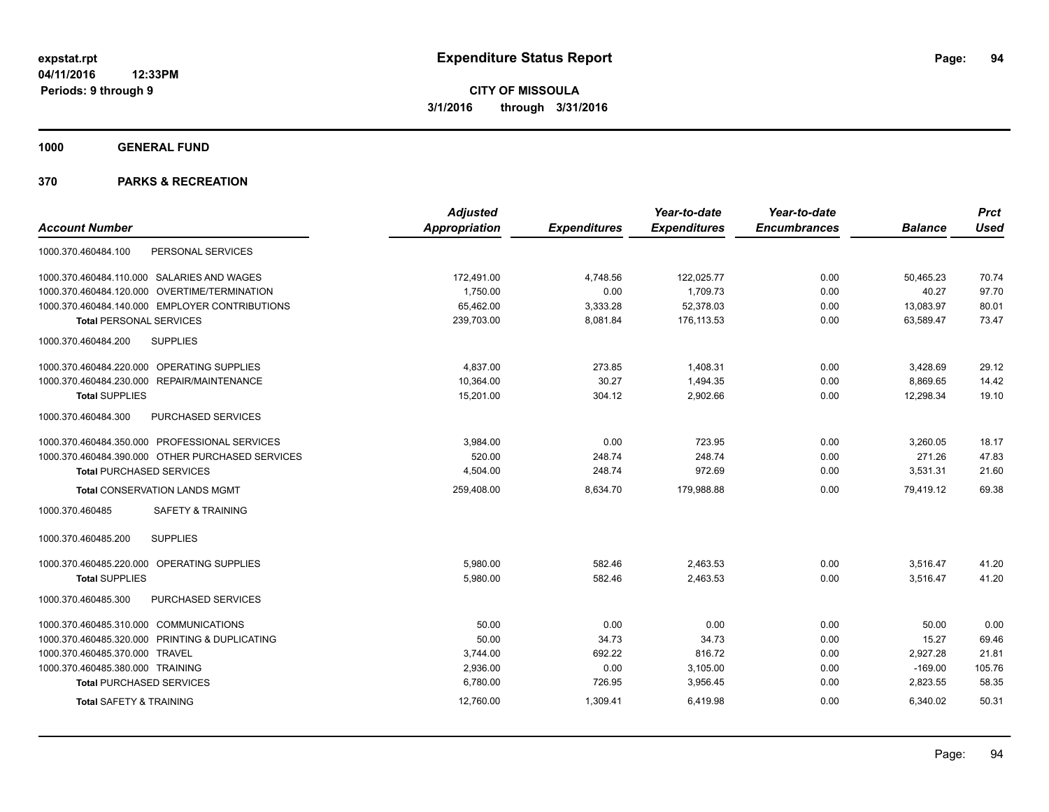**1000 GENERAL FUND**

|                                                  | <b>Adjusted</b>      |                     | Year-to-date        | Year-to-date        |                | <b>Prct</b> |
|--------------------------------------------------|----------------------|---------------------|---------------------|---------------------|----------------|-------------|
| <b>Account Number</b>                            | <b>Appropriation</b> | <b>Expenditures</b> | <b>Expenditures</b> | <b>Encumbrances</b> | <b>Balance</b> | <b>Used</b> |
| PERSONAL SERVICES<br>1000.370.460484.100         |                      |                     |                     |                     |                |             |
| 1000.370.460484.110.000 SALARIES AND WAGES       | 172,491.00           | 4,748.56            | 122,025.77          | 0.00                | 50.465.23      | 70.74       |
| 1000.370.460484.120.000 OVERTIME/TERMINATION     | 1.750.00             | 0.00                | 1.709.73            | 0.00                | 40.27          | 97.70       |
| 1000.370.460484.140.000 EMPLOYER CONTRIBUTIONS   | 65,462.00            | 3,333.28            | 52,378.03           | 0.00                | 13,083.97      | 80.01       |
| <b>Total PERSONAL SERVICES</b>                   | 239,703.00           | 8,081.84            | 176,113.53          | 0.00                | 63,589.47      | 73.47       |
| <b>SUPPLIES</b><br>1000.370.460484.200           |                      |                     |                     |                     |                |             |
| 1000.370.460484.220.000 OPERATING SUPPLIES       | 4,837.00             | 273.85              | 1,408.31            | 0.00                | 3,428.69       | 29.12       |
| 1000.370.460484.230.000 REPAIR/MAINTENANCE       | 10,364.00            | 30.27               | 1,494.35            | 0.00                | 8,869.65       | 14.42       |
| <b>Total SUPPLIES</b>                            | 15,201.00            | 304.12              | 2,902.66            | 0.00                | 12,298.34      | 19.10       |
| 1000.370.460484.300<br>PURCHASED SERVICES        |                      |                     |                     |                     |                |             |
| 1000.370.460484.350.000 PROFESSIONAL SERVICES    | 3,984.00             | 0.00                | 723.95              | 0.00                | 3,260.05       | 18.17       |
| 1000.370.460484.390.000 OTHER PURCHASED SERVICES | 520.00               | 248.74              | 248.74              | 0.00                | 271.26         | 47.83       |
| <b>Total PURCHASED SERVICES</b>                  | 4.504.00             | 248.74              | 972.69              | 0.00                | 3,531.31       | 21.60       |
| <b>Total CONSERVATION LANDS MGMT</b>             | 259,408.00           | 8,634.70            | 179,988.88          | 0.00                | 79.419.12      | 69.38       |
| <b>SAFETY &amp; TRAINING</b><br>1000.370.460485  |                      |                     |                     |                     |                |             |
| 1000.370.460485.200<br><b>SUPPLIES</b>           |                      |                     |                     |                     |                |             |
| 1000.370.460485.220.000 OPERATING SUPPLIES       | 5,980.00             | 582.46              | 2,463.53            | 0.00                | 3,516.47       | 41.20       |
| <b>Total SUPPLIES</b>                            | 5,980.00             | 582.46              | 2,463.53            | 0.00                | 3,516.47       | 41.20       |
| 1000.370.460485.300<br><b>PURCHASED SERVICES</b> |                      |                     |                     |                     |                |             |
| 1000.370.460485.310.000 COMMUNICATIONS           | 50.00                | 0.00                | 0.00                | 0.00                | 50.00          | 0.00        |
| 1000.370.460485.320.000 PRINTING & DUPLICATING   | 50.00                | 34.73               | 34.73               | 0.00                | 15.27          | 69.46       |
| 1000.370.460485.370.000 TRAVEL                   | 3,744.00             | 692.22              | 816.72              | 0.00                | 2,927.28       | 21.81       |
| 1000.370.460485.380.000 TRAINING                 | 2,936.00             | 0.00                | 3,105.00            | 0.00                | $-169.00$      | 105.76      |
| <b>Total PURCHASED SERVICES</b>                  | 6,780.00             | 726.95              | 3,956.45            | 0.00                | 2,823.55       | 58.35       |
| <b>Total SAFETY &amp; TRAINING</b>               | 12,760.00            | 1,309.41            | 6,419.98            | 0.00                | 6,340.02       | 50.31       |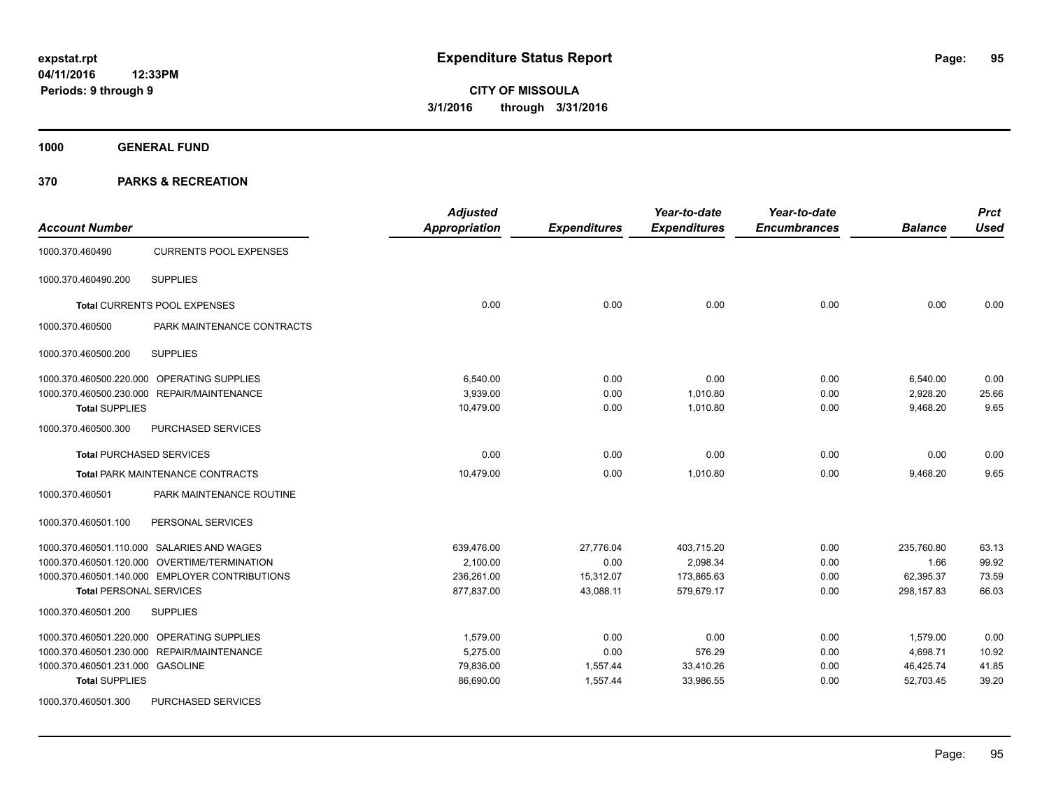**1000 GENERAL FUND**

| <b>Account Number</b>                            | <b>Adjusted</b><br><b>Appropriation</b> | <b>Expenditures</b> | Year-to-date<br><b>Expenditures</b> | Year-to-date<br><b>Encumbrances</b> | <b>Balance</b> | <b>Prct</b><br><b>Used</b> |
|--------------------------------------------------|-----------------------------------------|---------------------|-------------------------------------|-------------------------------------|----------------|----------------------------|
| <b>CURRENTS POOL EXPENSES</b><br>1000.370.460490 |                                         |                     |                                     |                                     |                |                            |
| <b>SUPPLIES</b><br>1000.370.460490.200           |                                         |                     |                                     |                                     |                |                            |
| Total CURRENTS POOL EXPENSES                     | 0.00                                    | 0.00                | 0.00                                | 0.00                                | 0.00           | 0.00                       |
| PARK MAINTENANCE CONTRACTS<br>1000.370.460500    |                                         |                     |                                     |                                     |                |                            |
| <b>SUPPLIES</b><br>1000.370.460500.200           |                                         |                     |                                     |                                     |                |                            |
| 1000.370.460500.220.000 OPERATING SUPPLIES       | 6,540.00                                | 0.00                | 0.00                                | 0.00                                | 6,540.00       | 0.00                       |
| 1000.370.460500.230.000 REPAIR/MAINTENANCE       | 3,939.00                                | 0.00                | 1,010.80                            | 0.00                                | 2,928.20       | 25.66                      |
| <b>Total SUPPLIES</b>                            | 10,479.00                               | 0.00                | 1,010.80                            | 0.00                                | 9,468.20       | 9.65                       |
| 1000.370.460500.300<br>PURCHASED SERVICES        |                                         |                     |                                     |                                     |                |                            |
| <b>Total PURCHASED SERVICES</b>                  | 0.00                                    | 0.00                | 0.00                                | 0.00                                | 0.00           | 0.00                       |
| Total PARK MAINTENANCE CONTRACTS                 | 10,479.00                               | 0.00                | 1,010.80                            | 0.00                                | 9,468.20       | 9.65                       |
| PARK MAINTENANCE ROUTINE<br>1000.370.460501      |                                         |                     |                                     |                                     |                |                            |
| 1000.370.460501.100<br>PERSONAL SERVICES         |                                         |                     |                                     |                                     |                |                            |
| 1000.370.460501.110.000 SALARIES AND WAGES       | 639.476.00                              | 27,776.04           | 403.715.20                          | 0.00                                | 235,760.80     | 63.13                      |
| 1000.370.460501.120.000 OVERTIME/TERMINATION     | 2,100.00                                | 0.00                | 2,098.34                            | 0.00                                | 1.66           | 99.92                      |
| 1000.370.460501.140.000 EMPLOYER CONTRIBUTIONS   | 236,261.00                              | 15,312.07           | 173,865.63                          | 0.00                                | 62,395.37      | 73.59                      |
| <b>Total PERSONAL SERVICES</b>                   | 877,837.00                              | 43,088.11           | 579,679.17                          | 0.00                                | 298, 157.83    | 66.03                      |
| 1000.370.460501.200<br><b>SUPPLIES</b>           |                                         |                     |                                     |                                     |                |                            |
| 1000.370.460501.220.000 OPERATING SUPPLIES       | 1,579.00                                | 0.00                | 0.00                                | 0.00                                | 1,579.00       | 0.00                       |
| 1000.370.460501.230.000 REPAIR/MAINTENANCE       | 5,275.00                                | 0.00                | 576.29                              | 0.00                                | 4,698.71       | 10.92                      |
| 1000.370.460501.231.000 GASOLINE                 | 79,836.00                               | 1,557.44            | 33,410.26                           | 0.00                                | 46,425.74      | 41.85                      |
| <b>Total SUPPLIES</b>                            | 86,690.00                               | 1,557.44            | 33,986.55                           | 0.00                                | 52,703.45      | 39.20                      |
| 1000.370.460501.300<br>PURCHASED SERVICES        |                                         |                     |                                     |                                     |                |                            |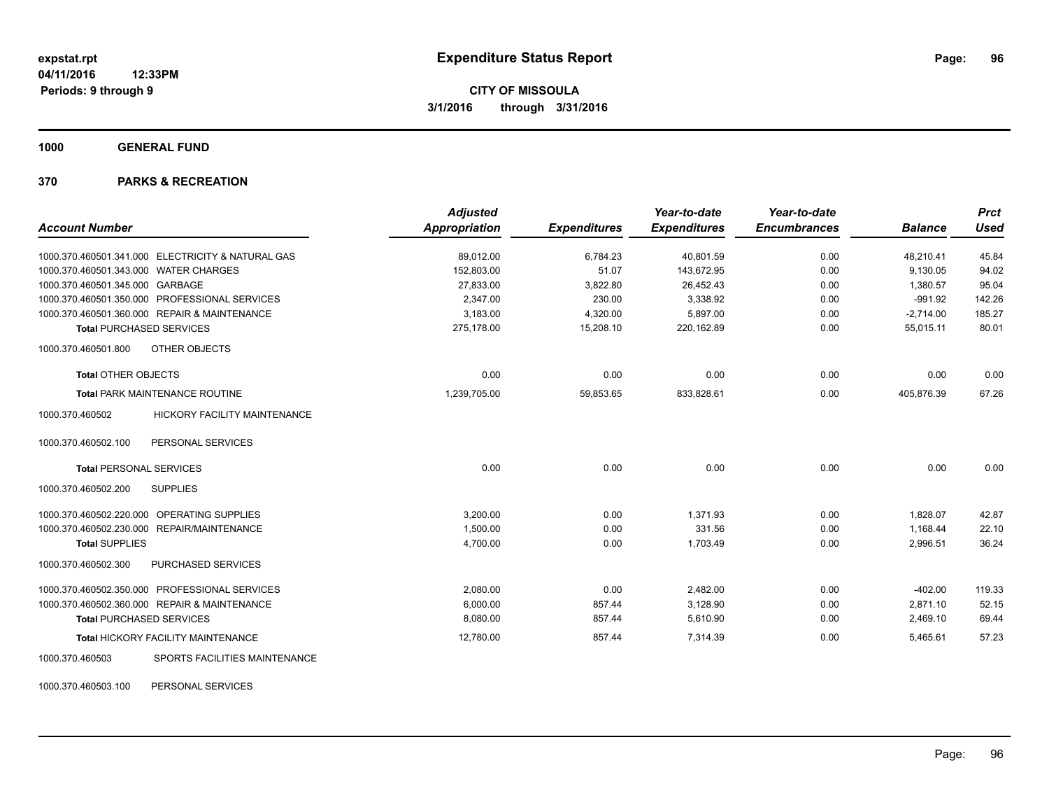**1000 GENERAL FUND**

#### **370 PARKS & RECREATION**

|                                                        | <b>Adjusted</b>      |                     | Year-to-date        | Year-to-date        |                | <b>Prct</b> |
|--------------------------------------------------------|----------------------|---------------------|---------------------|---------------------|----------------|-------------|
| <b>Account Number</b>                                  | <b>Appropriation</b> | <b>Expenditures</b> | <b>Expenditures</b> | <b>Encumbrances</b> | <b>Balance</b> | <b>Used</b> |
| 1000.370.460501.341.000 ELECTRICITY & NATURAL GAS      | 89.012.00            | 6,784.23            | 40,801.59           | 0.00                | 48.210.41      | 45.84       |
| 1000.370.460501.343.000 WATER CHARGES                  | 152,803.00           | 51.07               | 143,672.95          | 0.00                | 9,130.05       | 94.02       |
| 1000.370.460501.345.000 GARBAGE                        | 27,833.00            | 3,822.80            | 26,452.43           | 0.00                | 1,380.57       | 95.04       |
| 1000.370.460501.350.000 PROFESSIONAL SERVICES          | 2,347.00             | 230.00              | 3,338.92            | 0.00                | $-991.92$      | 142.26      |
| 1000.370.460501.360.000 REPAIR & MAINTENANCE           | 3,183.00             | 4,320.00            | 5,897.00            | 0.00                | $-2,714.00$    | 185.27      |
| <b>Total PURCHASED SERVICES</b>                        | 275,178.00           | 15,208.10           | 220,162.89          | 0.00                | 55,015.11      | 80.01       |
| 1000.370.460501.800<br>OTHER OBJECTS                   |                      |                     |                     |                     |                |             |
| <b>Total OTHER OBJECTS</b>                             | 0.00                 | 0.00                | 0.00                | 0.00                | 0.00           | 0.00        |
| <b>Total PARK MAINTENANCE ROUTINE</b>                  | 1,239,705.00         | 59,853.65           | 833,828.61          | 0.00                | 405,876.39     | 67.26       |
| 1000.370.460502<br><b>HICKORY FACILITY MAINTENANCE</b> |                      |                     |                     |                     |                |             |
| PERSONAL SERVICES<br>1000.370.460502.100               |                      |                     |                     |                     |                |             |
| <b>Total PERSONAL SERVICES</b>                         | 0.00                 | 0.00                | 0.00                | 0.00                | 0.00           | 0.00        |
| 1000.370.460502.200<br><b>SUPPLIES</b>                 |                      |                     |                     |                     |                |             |
| 1000.370.460502.220.000 OPERATING SUPPLIES             | 3,200.00             | 0.00                | 1,371.93            | 0.00                | 1,828.07       | 42.87       |
| 1000.370.460502.230.000 REPAIR/MAINTENANCE             | 1,500.00             | 0.00                | 331.56              | 0.00                | 1,168.44       | 22.10       |
| <b>Total SUPPLIES</b>                                  | 4,700.00             | 0.00                | 1,703.49            | 0.00                | 2,996.51       | 36.24       |
| PURCHASED SERVICES<br>1000.370.460502.300              |                      |                     |                     |                     |                |             |
| 1000.370.460502.350.000 PROFESSIONAL SERVICES          | 2,080.00             | 0.00                | 2,482.00            | 0.00                | $-402.00$      | 119.33      |
| 1000.370.460502.360.000 REPAIR & MAINTENANCE           | 6,000.00             | 857.44              | 3,128.90            | 0.00                | 2,871.10       | 52.15       |
| <b>Total PURCHASED SERVICES</b>                        | 8,080.00             | 857.44              | 5,610.90            | 0.00                | 2,469.10       | 69.44       |
| <b>Total HICKORY FACILITY MAINTENANCE</b>              | 12,780.00            | 857.44              | 7,314.39            | 0.00                | 5,465.61       | 57.23       |
| SPORTS FACILITIES MAINTENANCE<br>1000.370.460503       |                      |                     |                     |                     |                |             |

1000.370.460503.100 PERSONAL SERVICES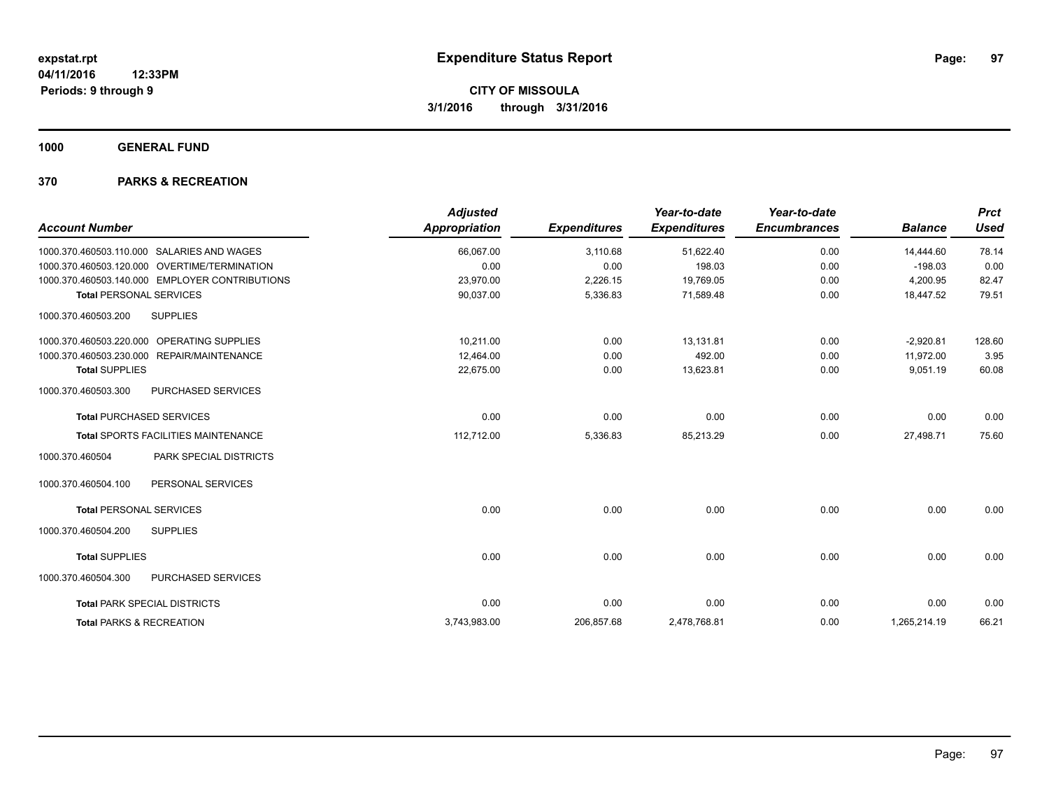**1000 GENERAL FUND**

| <b>Account Number</b>                            | <b>Adjusted</b><br><b>Appropriation</b> | <b>Expenditures</b> | Year-to-date<br><b>Expenditures</b> | Year-to-date<br><b>Encumbrances</b> | <b>Balance</b> | <b>Prct</b><br><b>Used</b> |
|--------------------------------------------------|-----------------------------------------|---------------------|-------------------------------------|-------------------------------------|----------------|----------------------------|
| 1000.370.460503.110.000 SALARIES AND WAGES       | 66,067.00                               | 3,110.68            | 51,622.40                           | 0.00                                | 14,444.60      | 78.14                      |
| 1000.370.460503.120.000 OVERTIME/TERMINATION     | 0.00                                    | 0.00                | 198.03                              | 0.00                                | $-198.03$      | 0.00                       |
| 1000.370.460503.140.000 EMPLOYER CONTRIBUTIONS   | 23.970.00                               | 2,226.15            | 19,769.05                           | 0.00                                | 4,200.95       | 82.47                      |
| <b>Total PERSONAL SERVICES</b>                   | 90,037.00                               | 5,336.83            | 71,589.48                           | 0.00                                | 18.447.52      | 79.51                      |
| <b>SUPPLIES</b><br>1000.370.460503.200           |                                         |                     |                                     |                                     |                |                            |
| 1000.370.460503.220.000 OPERATING SUPPLIES       | 10.211.00                               | 0.00                | 13.131.81                           | 0.00                                | $-2,920.81$    | 128.60                     |
| 1000.370.460503.230.000 REPAIR/MAINTENANCE       | 12.464.00                               | 0.00                | 492.00                              | 0.00                                | 11,972.00      | 3.95                       |
| <b>Total SUPPLIES</b>                            | 22,675.00                               | 0.00                | 13,623.81                           | 0.00                                | 9,051.19       | 60.08                      |
| 1000.370.460503.300<br>PURCHASED SERVICES        |                                         |                     |                                     |                                     |                |                            |
| <b>Total PURCHASED SERVICES</b>                  | 0.00                                    | 0.00                | 0.00                                | 0.00                                | 0.00           | 0.00                       |
| <b>Total SPORTS FACILITIES MAINTENANCE</b>       | 112,712.00                              | 5,336.83            | 85,213.29                           | 0.00                                | 27,498.71      | 75.60                      |
| <b>PARK SPECIAL DISTRICTS</b><br>1000.370.460504 |                                         |                     |                                     |                                     |                |                            |
| 1000.370.460504.100<br>PERSONAL SERVICES         |                                         |                     |                                     |                                     |                |                            |
| <b>Total PERSONAL SERVICES</b>                   | 0.00                                    | 0.00                | 0.00                                | 0.00                                | 0.00           | 0.00                       |
| 1000.370.460504.200<br><b>SUPPLIES</b>           |                                         |                     |                                     |                                     |                |                            |
| <b>Total SUPPLIES</b>                            | 0.00                                    | 0.00                | 0.00                                | 0.00                                | 0.00           | 0.00                       |
| <b>PURCHASED SERVICES</b><br>1000.370.460504.300 |                                         |                     |                                     |                                     |                |                            |
| <b>Total PARK SPECIAL DISTRICTS</b>              | 0.00                                    | 0.00                | 0.00                                | 0.00                                | 0.00           | 0.00                       |
| <b>Total PARKS &amp; RECREATION</b>              | 3,743,983.00                            | 206,857.68          | 2,478,768.81                        | 0.00                                | 1,265,214.19   | 66.21                      |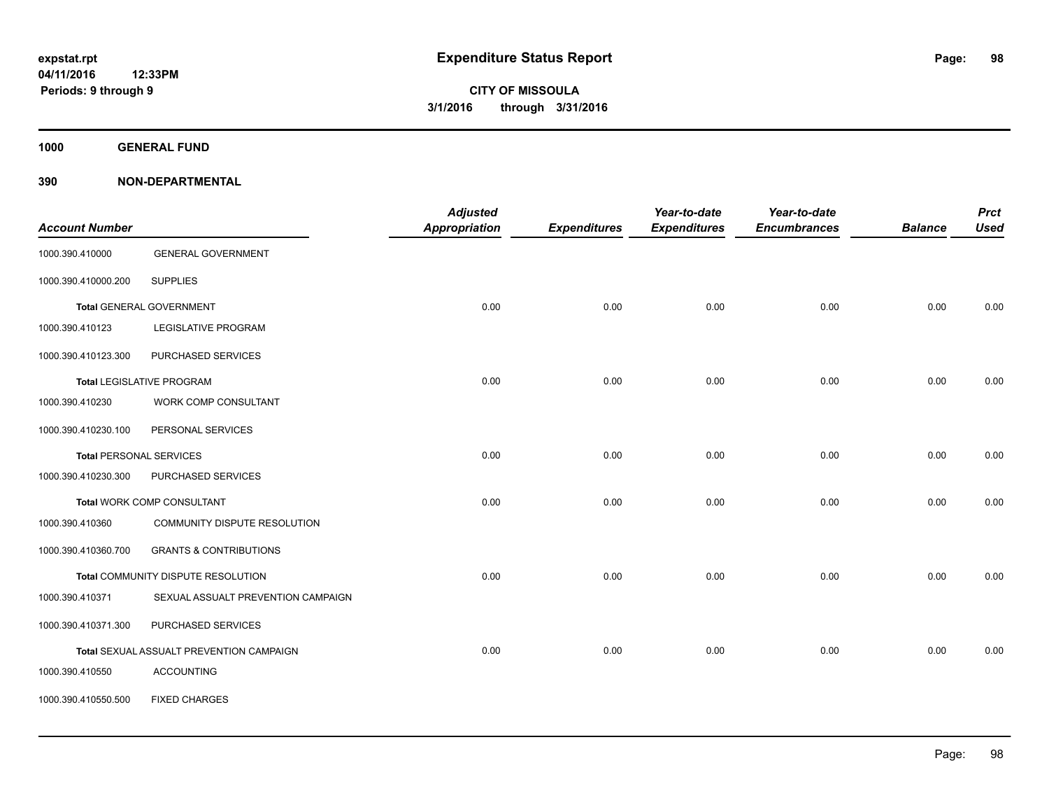**1000 GENERAL FUND**

| <b>Account Number</b> |                                          | <b>Adjusted</b><br><b>Appropriation</b> | <b>Expenditures</b> | Year-to-date<br><b>Expenditures</b> | Year-to-date<br><b>Encumbrances</b> | <b>Balance</b> | <b>Prct</b><br><b>Used</b> |
|-----------------------|------------------------------------------|-----------------------------------------|---------------------|-------------------------------------|-------------------------------------|----------------|----------------------------|
| 1000.390.410000       | <b>GENERAL GOVERNMENT</b>                |                                         |                     |                                     |                                     |                |                            |
| 1000.390.410000.200   | <b>SUPPLIES</b>                          |                                         |                     |                                     |                                     |                |                            |
|                       | <b>Total GENERAL GOVERNMENT</b>          | 0.00                                    | 0.00                | 0.00                                | 0.00                                | 0.00           | 0.00                       |
| 1000.390.410123       | <b>LEGISLATIVE PROGRAM</b>               |                                         |                     |                                     |                                     |                |                            |
| 1000.390.410123.300   | PURCHASED SERVICES                       |                                         |                     |                                     |                                     |                |                            |
|                       | <b>Total LEGISLATIVE PROGRAM</b>         | 0.00                                    | 0.00                | 0.00                                | 0.00                                | 0.00           | 0.00                       |
| 1000.390.410230       | WORK COMP CONSULTANT                     |                                         |                     |                                     |                                     |                |                            |
| 1000.390.410230.100   | PERSONAL SERVICES                        |                                         |                     |                                     |                                     |                |                            |
|                       | <b>Total PERSONAL SERVICES</b>           | 0.00                                    | 0.00                | 0.00                                | 0.00                                | 0.00           | 0.00                       |
| 1000.390.410230.300   | PURCHASED SERVICES                       |                                         |                     |                                     |                                     |                |                            |
|                       | <b>Total WORK COMP CONSULTANT</b>        | 0.00                                    | 0.00                | 0.00                                | 0.00                                | 0.00           | 0.00                       |
| 1000.390.410360       | COMMUNITY DISPUTE RESOLUTION             |                                         |                     |                                     |                                     |                |                            |
| 1000.390.410360.700   | <b>GRANTS &amp; CONTRIBUTIONS</b>        |                                         |                     |                                     |                                     |                |                            |
|                       | Total COMMUNITY DISPUTE RESOLUTION       | 0.00                                    | 0.00                | 0.00                                | 0.00                                | 0.00           | 0.00                       |
| 1000.390.410371       | SEXUAL ASSUALT PREVENTION CAMPAIGN       |                                         |                     |                                     |                                     |                |                            |
| 1000.390.410371.300   | PURCHASED SERVICES                       |                                         |                     |                                     |                                     |                |                            |
|                       | Total SEXUAL ASSUALT PREVENTION CAMPAIGN | 0.00                                    | 0.00                | 0.00                                | 0.00                                | 0.00           | 0.00                       |
| 1000.390.410550       | <b>ACCOUNTING</b>                        |                                         |                     |                                     |                                     |                |                            |
| 1000.390.410550.500   | <b>FIXED CHARGES</b>                     |                                         |                     |                                     |                                     |                |                            |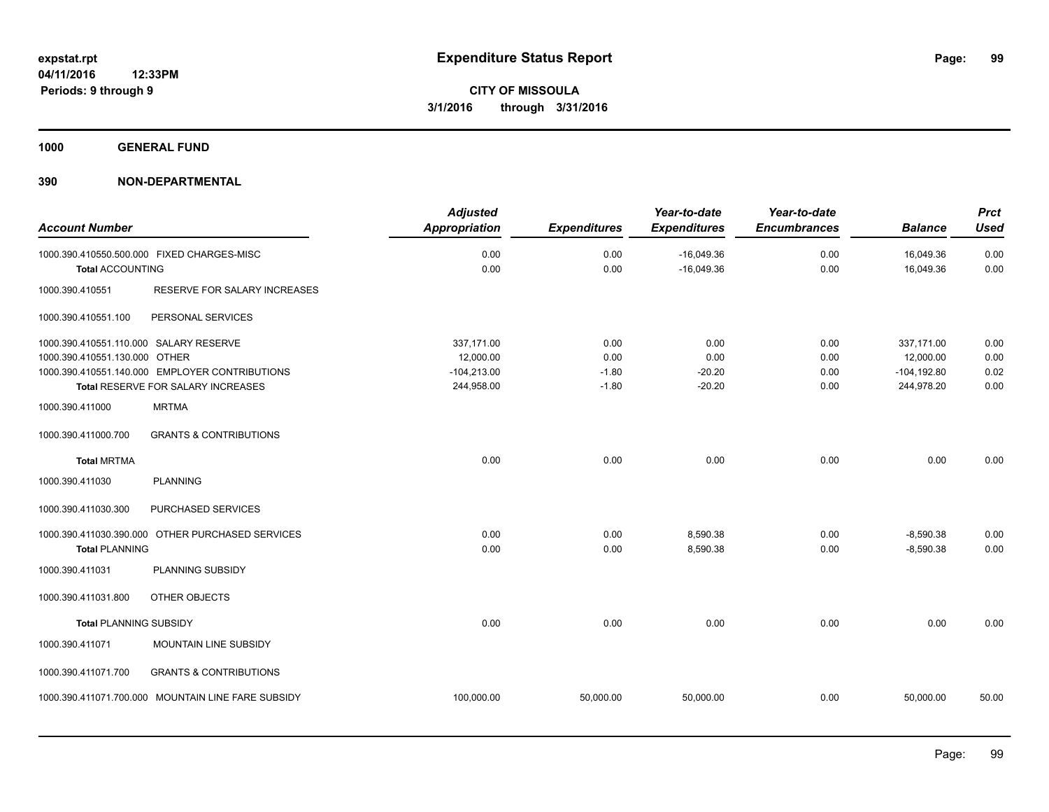**1000 GENERAL FUND**

| <b>Account Number</b>                                                   |                                                                                      | <b>Adjusted</b><br><b>Appropriation</b> | <b>Expenditures</b> | Year-to-date<br><b>Expenditures</b> | Year-to-date<br><b>Encumbrances</b> | <b>Balance</b>               | <b>Prct</b><br><b>Used</b> |
|-------------------------------------------------------------------------|--------------------------------------------------------------------------------------|-----------------------------------------|---------------------|-------------------------------------|-------------------------------------|------------------------------|----------------------------|
| <b>Total ACCOUNTING</b>                                                 | 1000.390.410550.500.000 FIXED CHARGES-MISC                                           | 0.00<br>0.00                            | 0.00<br>0.00        | $-16,049.36$<br>$-16,049.36$        | 0.00<br>0.00                        | 16,049.36<br>16,049.36       | 0.00<br>0.00               |
| 1000.390.410551                                                         | RESERVE FOR SALARY INCREASES                                                         |                                         |                     |                                     |                                     |                              |                            |
| 1000.390.410551.100                                                     | PERSONAL SERVICES                                                                    |                                         |                     |                                     |                                     |                              |                            |
| 1000.390.410551.110.000 SALARY RESERVE<br>1000.390.410551.130.000 OTHER |                                                                                      | 337,171.00<br>12,000.00                 | 0.00<br>0.00        | 0.00<br>0.00                        | 0.00<br>0.00                        | 337,171.00<br>12,000.00      | 0.00<br>0.00               |
|                                                                         | 1000.390.410551.140.000 EMPLOYER CONTRIBUTIONS<br>Total RESERVE FOR SALARY INCREASES | $-104,213.00$<br>244,958.00             | $-1.80$<br>$-1.80$  | $-20.20$<br>$-20.20$                | 0.00<br>0.00                        | $-104, 192.80$<br>244,978.20 | 0.02<br>0.00               |
| 1000.390.411000                                                         | <b>MRTMA</b>                                                                         |                                         |                     |                                     |                                     |                              |                            |
| 1000.390.411000.700                                                     | <b>GRANTS &amp; CONTRIBUTIONS</b>                                                    |                                         |                     |                                     |                                     |                              |                            |
| <b>Total MRTMA</b>                                                      |                                                                                      | 0.00                                    | 0.00                | 0.00                                | 0.00                                | 0.00                         | 0.00                       |
| 1000.390.411030                                                         | <b>PLANNING</b>                                                                      |                                         |                     |                                     |                                     |                              |                            |
| 1000.390.411030.300                                                     | PURCHASED SERVICES                                                                   |                                         |                     |                                     |                                     |                              |                            |
| <b>Total PLANNING</b>                                                   | 1000.390.411030.390.000 OTHER PURCHASED SERVICES                                     | 0.00<br>0.00                            | 0.00<br>0.00        | 8,590.38<br>8,590.38                | 0.00<br>0.00                        | $-8,590.38$<br>$-8,590.38$   | 0.00<br>0.00               |
| 1000.390.411031                                                         | PLANNING SUBSIDY                                                                     |                                         |                     |                                     |                                     |                              |                            |
| 1000.390.411031.800                                                     | <b>OTHER OBJECTS</b>                                                                 |                                         |                     |                                     |                                     |                              |                            |
| <b>Total PLANNING SUBSIDY</b>                                           |                                                                                      | 0.00                                    | 0.00                | 0.00                                | 0.00                                | 0.00                         | 0.00                       |
| 1000.390.411071                                                         | MOUNTAIN LINE SUBSIDY                                                                |                                         |                     |                                     |                                     |                              |                            |
| 1000.390.411071.700                                                     | <b>GRANTS &amp; CONTRIBUTIONS</b>                                                    |                                         |                     |                                     |                                     |                              |                            |
|                                                                         | 1000.390.411071.700.000 MOUNTAIN LINE FARE SUBSIDY                                   | 100,000.00                              | 50,000.00           | 50,000.00                           | 0.00                                | 50,000.00                    | 50.00                      |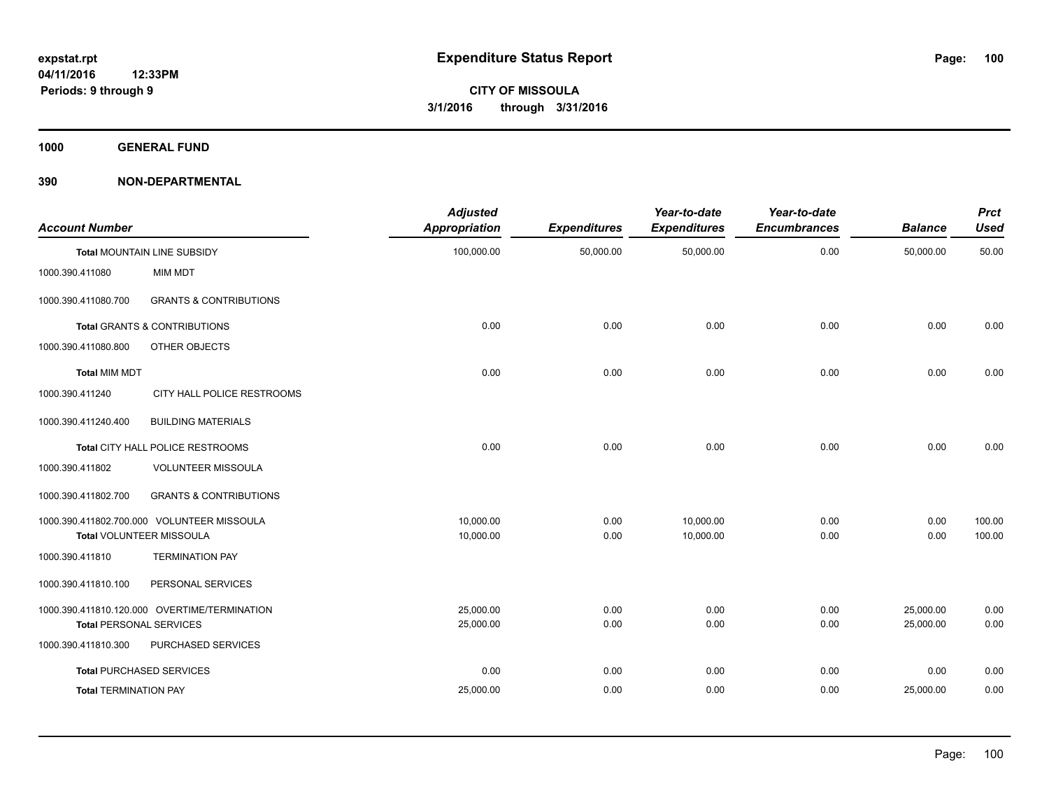**1000 GENERAL FUND**

| <b>Account Number</b>          |                                              | <b>Adjusted</b><br><b>Appropriation</b> | <b>Expenditures</b> | Year-to-date<br><b>Expenditures</b> | Year-to-date<br><b>Encumbrances</b> | <b>Balance</b> | <b>Prct</b><br><b>Used</b> |
|--------------------------------|----------------------------------------------|-----------------------------------------|---------------------|-------------------------------------|-------------------------------------|----------------|----------------------------|
|                                | <b>Total MOUNTAIN LINE SUBSIDY</b>           | 100,000.00                              | 50,000.00           | 50,000.00                           | 0.00                                | 50,000.00      | 50.00                      |
| 1000.390.411080                | MIM MDT                                      |                                         |                     |                                     |                                     |                |                            |
| 1000.390.411080.700            | <b>GRANTS &amp; CONTRIBUTIONS</b>            |                                         |                     |                                     |                                     |                |                            |
|                                | <b>Total GRANTS &amp; CONTRIBUTIONS</b>      | 0.00                                    | 0.00                | 0.00                                | 0.00                                | 0.00           | 0.00                       |
| 1000.390.411080.800            | <b>OTHER OBJECTS</b>                         |                                         |                     |                                     |                                     |                |                            |
| <b>Total MIM MDT</b>           |                                              | 0.00                                    | 0.00                | 0.00                                | 0.00                                | 0.00           | 0.00                       |
| 1000.390.411240                | CITY HALL POLICE RESTROOMS                   |                                         |                     |                                     |                                     |                |                            |
| 1000.390.411240.400            | <b>BUILDING MATERIALS</b>                    |                                         |                     |                                     |                                     |                |                            |
|                                | Total CITY HALL POLICE RESTROOMS             | 0.00                                    | 0.00                | 0.00                                | 0.00                                | 0.00           | 0.00                       |
| 1000.390.411802                | <b>VOLUNTEER MISSOULA</b>                    |                                         |                     |                                     |                                     |                |                            |
| 1000.390.411802.700            | <b>GRANTS &amp; CONTRIBUTIONS</b>            |                                         |                     |                                     |                                     |                |                            |
|                                | 1000.390.411802.700.000 VOLUNTEER MISSOULA   | 10.000.00                               | 0.00                | 10,000.00                           | 0.00                                | 0.00           | 100.00                     |
|                                | <b>Total VOLUNTEER MISSOULA</b>              | 10,000.00                               | 0.00                | 10,000.00                           | 0.00                                | 0.00           | 100.00                     |
| 1000.390.411810                | <b>TERMINATION PAY</b>                       |                                         |                     |                                     |                                     |                |                            |
| 1000.390.411810.100            | PERSONAL SERVICES                            |                                         |                     |                                     |                                     |                |                            |
|                                | 1000.390.411810.120.000 OVERTIME/TERMINATION | 25,000.00                               | 0.00                | 0.00                                | 0.00                                | 25,000.00      | 0.00                       |
| <b>Total PERSONAL SERVICES</b> |                                              | 25,000.00                               | 0.00                | 0.00                                | 0.00                                | 25,000.00      | 0.00                       |
| 1000.390.411810.300            | PURCHASED SERVICES                           |                                         |                     |                                     |                                     |                |                            |
|                                | <b>Total PURCHASED SERVICES</b>              | 0.00                                    | 0.00                | 0.00                                | 0.00                                | 0.00           | 0.00                       |
| <b>Total TERMINATION PAY</b>   |                                              | 25,000.00                               | 0.00                | 0.00                                | 0.00                                | 25,000.00      | 0.00                       |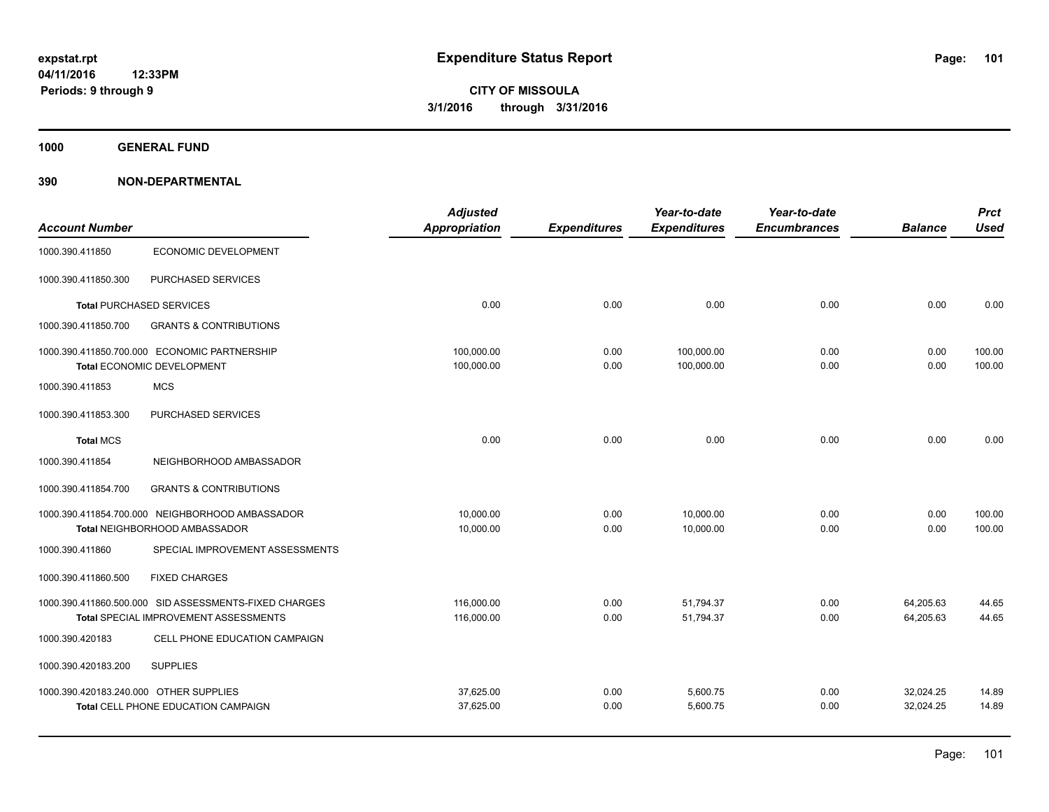**1000 GENERAL FUND**

|                                                       | <b>Adjusted</b>                                                               |                                                       | Year-to-date                                | Year-to-date                        |                      | <b>Prct</b>               |
|-------------------------------------------------------|-------------------------------------------------------------------------------|-------------------------------------------------------|---------------------------------------------|-------------------------------------|----------------------|---------------------------|
|                                                       |                                                                               |                                                       | <b>Expenditures</b>                         | <b>Encumbrances</b>                 | <b>Balance</b>       | <b>Used</b>               |
| <b>ECONOMIC DEVELOPMENT</b>                           |                                                                               |                                                       |                                             |                                     |                      |                           |
| PURCHASED SERVICES                                    |                                                                               |                                                       |                                             |                                     |                      |                           |
| <b>Total PURCHASED SERVICES</b>                       | 0.00                                                                          | 0.00                                                  | 0.00                                        | 0.00                                | 0.00                 | 0.00                      |
| <b>GRANTS &amp; CONTRIBUTIONS</b>                     |                                                                               |                                                       |                                             |                                     |                      |                           |
| 1000.390.411850.700.000 ECONOMIC PARTNERSHIP          | 100,000.00                                                                    | 0.00                                                  | 100,000.00                                  | 0.00                                | 0.00                 | 100.00                    |
|                                                       |                                                                               |                                                       |                                             |                                     |                      | 100.00                    |
| <b>MCS</b>                                            |                                                                               |                                                       |                                             |                                     |                      |                           |
| PURCHASED SERVICES                                    |                                                                               |                                                       |                                             |                                     |                      |                           |
|                                                       | 0.00                                                                          | 0.00                                                  | 0.00                                        | 0.00                                | 0.00                 | 0.00                      |
| NEIGHBORHOOD AMBASSADOR                               |                                                                               |                                                       |                                             |                                     |                      |                           |
| <b>GRANTS &amp; CONTRIBUTIONS</b>                     |                                                                               |                                                       |                                             |                                     |                      |                           |
|                                                       |                                                                               |                                                       |                                             |                                     |                      | 100.00                    |
| Total NEIGHBORHOOD AMBASSADOR                         | 10,000.00                                                                     | 0.00                                                  | 10,000.00                                   | 0.00                                | 0.00                 | 100.00                    |
| SPECIAL IMPROVEMENT ASSESSMENTS                       |                                                                               |                                                       |                                             |                                     |                      |                           |
| <b>FIXED CHARGES</b>                                  |                                                                               |                                                       |                                             |                                     |                      |                           |
| 1000.390.411860.500.000 SID ASSESSMENTS-FIXED CHARGES | 116,000.00                                                                    | 0.00                                                  | 51,794.37                                   | 0.00                                | 64,205.63            | 44.65                     |
| Total SPECIAL IMPROVEMENT ASSESSMENTS                 | 116,000.00                                                                    | 0.00                                                  | 51,794.37                                   | 0.00                                | 64,205.63            | 44.65                     |
| CELL PHONE EDUCATION CAMPAIGN                         |                                                                               |                                                       |                                             |                                     |                      |                           |
| <b>SUPPLIES</b>                                       |                                                                               |                                                       |                                             |                                     |                      |                           |
| 1000.390.420183.240.000 OTHER SUPPLIES                |                                                                               |                                                       |                                             |                                     |                      | 14.89                     |
| Total CELL PHONE EDUCATION CAMPAIGN                   | 37,625.00                                                                     | 0.00                                                  | 5,600.75                                    | 0.00                                | 32,024.25            | 14.89                     |
|                                                       | Total ECONOMIC DEVELOPMENT<br>1000.390.411854.700.000 NEIGHBORHOOD AMBASSADOR | Appropriation<br>100,000.00<br>10,000.00<br>37,625.00 | <b>Expenditures</b><br>0.00<br>0.00<br>0.00 | 100,000.00<br>10,000.00<br>5,600.75 | 0.00<br>0.00<br>0.00 | 0.00<br>0.00<br>32,024.25 |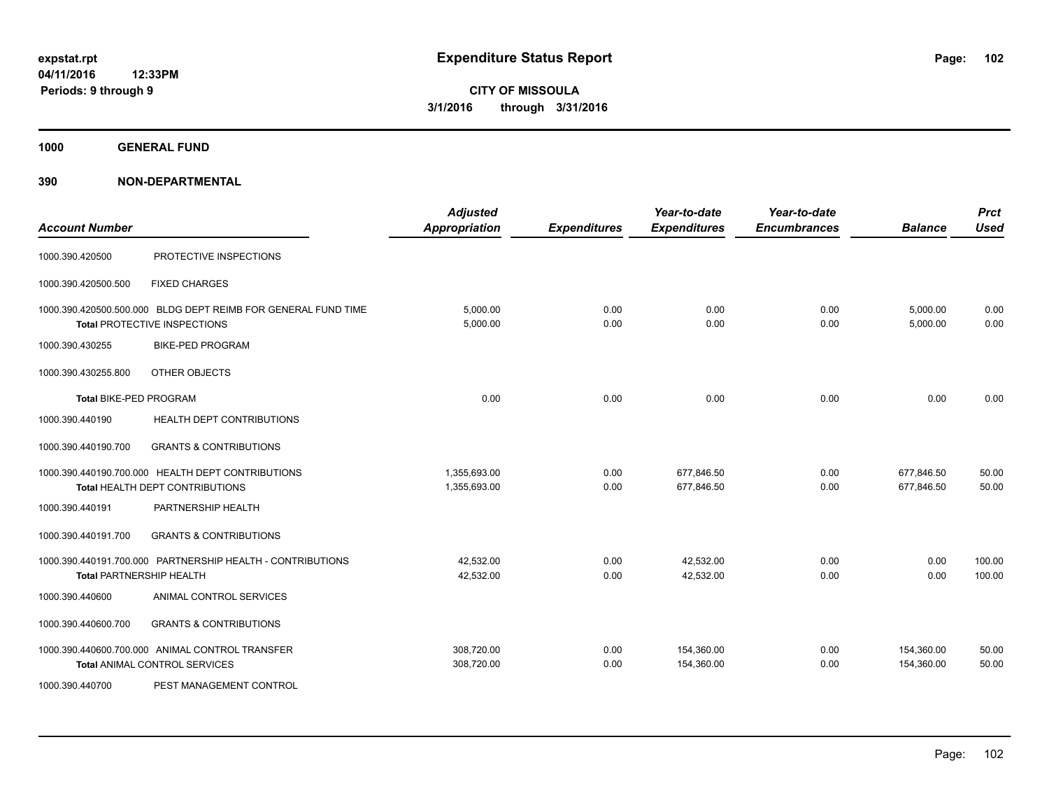**1000 GENERAL FUND**

| <b>Account Number</b>         |                                                                                               | <b>Adjusted</b><br><b>Appropriation</b> | <b>Expenditures</b> | Year-to-date<br><b>Expenditures</b> | Year-to-date<br><b>Encumbrances</b> | <b>Balance</b>           | <b>Prct</b><br><b>Used</b> |
|-------------------------------|-----------------------------------------------------------------------------------------------|-----------------------------------------|---------------------|-------------------------------------|-------------------------------------|--------------------------|----------------------------|
| 1000.390.420500               | PROTECTIVE INSPECTIONS                                                                        |                                         |                     |                                     |                                     |                          |                            |
| 1000.390.420500.500           | <b>FIXED CHARGES</b>                                                                          |                                         |                     |                                     |                                     |                          |                            |
|                               | 1000.390.420500.500.000 BLDG DEPT REIMB FOR GENERAL FUND TIME<br>Total PROTECTIVE INSPECTIONS | 5,000.00<br>5,000.00                    | 0.00<br>0.00        | 0.00<br>0.00                        | 0.00<br>0.00                        | 5,000.00<br>5,000.00     | 0.00<br>0.00               |
| 1000.390.430255               | <b>BIKE-PED PROGRAM</b>                                                                       |                                         |                     |                                     |                                     |                          |                            |
| 1000.390.430255.800           | OTHER OBJECTS                                                                                 |                                         |                     |                                     |                                     |                          |                            |
| <b>Total BIKE-PED PROGRAM</b> |                                                                                               | 0.00                                    | 0.00                | 0.00                                | 0.00                                | 0.00                     | 0.00                       |
| 1000.390.440190               | <b>HEALTH DEPT CONTRIBUTIONS</b>                                                              |                                         |                     |                                     |                                     |                          |                            |
| 1000.390.440190.700           | <b>GRANTS &amp; CONTRIBUTIONS</b>                                                             |                                         |                     |                                     |                                     |                          |                            |
|                               | 1000.390.440190.700.000 HEALTH DEPT CONTRIBUTIONS<br>Total HEALTH DEPT CONTRIBUTIONS          | 1,355,693.00<br>1,355,693.00            | 0.00<br>0.00        | 677,846.50<br>677,846.50            | 0.00<br>0.00                        | 677,846.50<br>677,846.50 | 50.00<br>50.00             |
| 1000.390.440191               | PARTNERSHIP HEALTH                                                                            |                                         |                     |                                     |                                     |                          |                            |
| 1000.390.440191.700           | <b>GRANTS &amp; CONTRIBUTIONS</b>                                                             |                                         |                     |                                     |                                     |                          |                            |
|                               | 1000.390.440191.700.000 PARTNERSHIP HEALTH - CONTRIBUTIONS<br><b>Total PARTNERSHIP HEALTH</b> | 42.532.00<br>42,532.00                  | 0.00<br>0.00        | 42,532.00<br>42,532.00              | 0.00<br>0.00                        | 0.00<br>0.00             | 100.00<br>100.00           |
| 1000.390.440600               | ANIMAL CONTROL SERVICES                                                                       |                                         |                     |                                     |                                     |                          |                            |
| 1000.390.440600.700           | <b>GRANTS &amp; CONTRIBUTIONS</b>                                                             |                                         |                     |                                     |                                     |                          |                            |
|                               | 1000.390.440600.700.000 ANIMAL CONTROL TRANSFER<br><b>Total ANIMAL CONTROL SERVICES</b>       | 308,720.00<br>308,720.00                | 0.00<br>0.00        | 154,360.00<br>154,360.00            | 0.00<br>0.00                        | 154,360.00<br>154,360.00 | 50.00<br>50.00             |
| 1000.390.440700               | PEST MANAGEMENT CONTROL                                                                       |                                         |                     |                                     |                                     |                          |                            |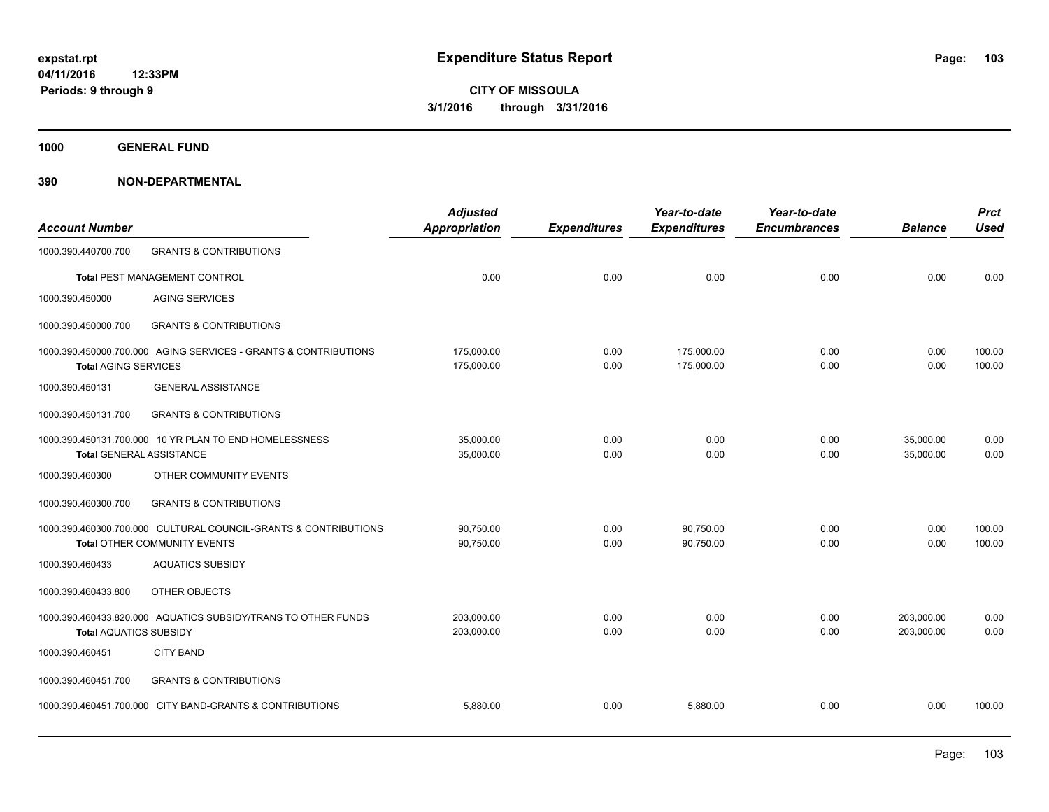**1000 GENERAL FUND**

| <b>Account Number</b>           |                                                                                                 | <b>Adjusted</b><br>Appropriation | <b>Expenditures</b> | Year-to-date<br><b>Expenditures</b> | Year-to-date<br><b>Encumbrances</b> | <b>Balance</b>           | <b>Prct</b><br><b>Used</b> |
|---------------------------------|-------------------------------------------------------------------------------------------------|----------------------------------|---------------------|-------------------------------------|-------------------------------------|--------------------------|----------------------------|
| 1000.390.440700.700             | <b>GRANTS &amp; CONTRIBUTIONS</b>                                                               |                                  |                     |                                     |                                     |                          |                            |
|                                 | Total PEST MANAGEMENT CONTROL                                                                   | 0.00                             | 0.00                | 0.00                                | 0.00                                | 0.00                     | 0.00                       |
| 1000.390.450000                 | <b>AGING SERVICES</b>                                                                           |                                  |                     |                                     |                                     |                          |                            |
| 1000.390.450000.700             | <b>GRANTS &amp; CONTRIBUTIONS</b>                                                               |                                  |                     |                                     |                                     |                          |                            |
| <b>Total AGING SERVICES</b>     | 1000.390.450000.700.000 AGING SERVICES - GRANTS & CONTRIBUTIONS                                 | 175,000.00<br>175,000.00         | 0.00<br>0.00        | 175,000.00<br>175,000.00            | 0.00<br>0.00                        | 0.00<br>0.00             | 100.00<br>100.00           |
| 1000.390.450131                 | <b>GENERAL ASSISTANCE</b>                                                                       |                                  |                     |                                     |                                     |                          |                            |
| 1000.390.450131.700             | <b>GRANTS &amp; CONTRIBUTIONS</b>                                                               |                                  |                     |                                     |                                     |                          |                            |
| <b>Total GENERAL ASSISTANCE</b> | 1000.390.450131.700.000 10 YR PLAN TO END HOMELESSNESS                                          | 35,000.00<br>35,000.00           | 0.00<br>0.00        | 0.00<br>0.00                        | 0.00<br>0.00                        | 35,000.00<br>35,000.00   | 0.00<br>0.00               |
| 1000.390.460300                 | OTHER COMMUNITY EVENTS                                                                          |                                  |                     |                                     |                                     |                          |                            |
| 1000.390.460300.700             | <b>GRANTS &amp; CONTRIBUTIONS</b>                                                               |                                  |                     |                                     |                                     |                          |                            |
|                                 | 1000.390.460300.700.000 CULTURAL COUNCIL-GRANTS & CONTRIBUTIONS<br>Total OTHER COMMUNITY EVENTS | 90,750.00<br>90,750.00           | 0.00<br>0.00        | 90,750.00<br>90,750.00              | 0.00<br>0.00                        | 0.00<br>0.00             | 100.00<br>100.00           |
| 1000.390.460433                 | <b>AQUATICS SUBSIDY</b>                                                                         |                                  |                     |                                     |                                     |                          |                            |
| 1000.390.460433.800             | OTHER OBJECTS                                                                                   |                                  |                     |                                     |                                     |                          |                            |
| <b>Total AQUATICS SUBSIDY</b>   | 1000.390.460433.820.000 AQUATICS SUBSIDY/TRANS TO OTHER FUNDS                                   | 203.000.00<br>203,000.00         | 0.00<br>0.00        | 0.00<br>0.00                        | 0.00<br>0.00                        | 203.000.00<br>203.000.00 | 0.00<br>0.00               |
| 1000.390.460451                 | <b>CITY BAND</b>                                                                                |                                  |                     |                                     |                                     |                          |                            |
| 1000.390.460451.700             | <b>GRANTS &amp; CONTRIBUTIONS</b>                                                               |                                  |                     |                                     |                                     |                          |                            |
|                                 | 1000.390.460451.700.000 CITY BAND-GRANTS & CONTRIBUTIONS                                        | 5,880.00                         | 0.00                | 5,880.00                            | 0.00                                | 0.00                     | 100.00                     |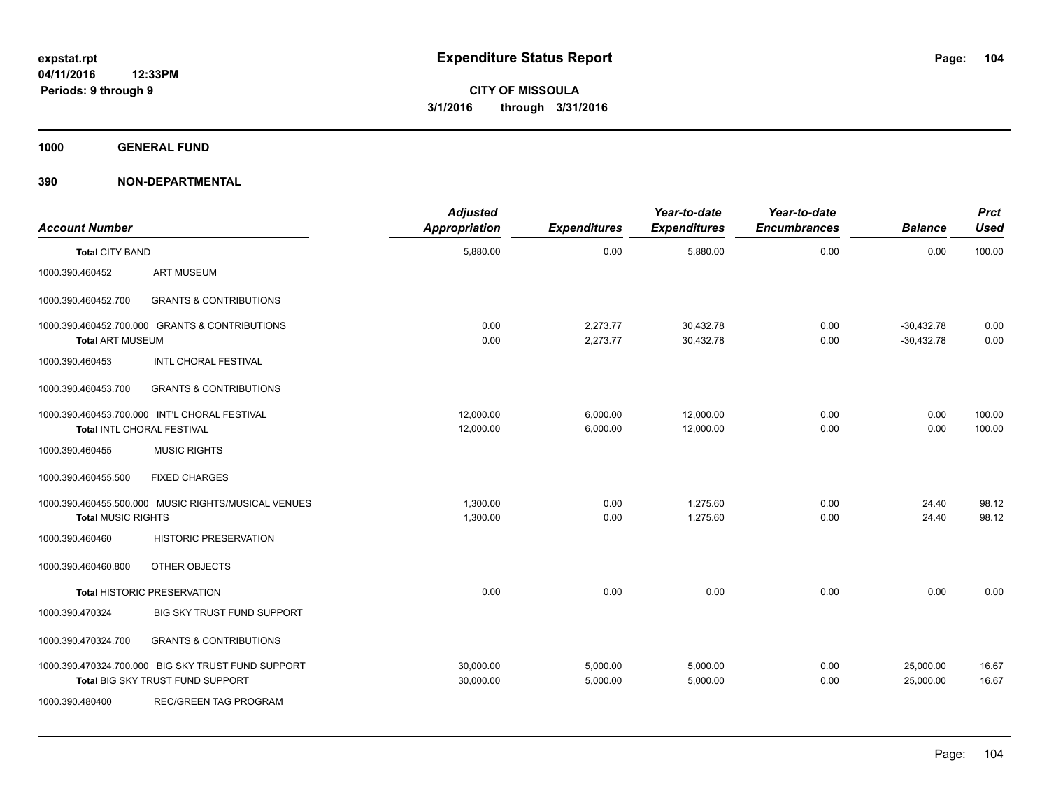**1000 GENERAL FUND**

| <b>Account Number</b>     |                                                                                        | <b>Adjusted</b><br><b>Appropriation</b> | <b>Expenditures</b>  | Year-to-date<br><b>Expenditures</b> | Year-to-date<br><b>Encumbrances</b> | <b>Balance</b>               | <b>Prct</b><br><b>Used</b> |
|---------------------------|----------------------------------------------------------------------------------------|-----------------------------------------|----------------------|-------------------------------------|-------------------------------------|------------------------------|----------------------------|
| <b>Total CITY BAND</b>    |                                                                                        | 5,880.00                                | 0.00                 | 5,880.00                            | 0.00                                | 0.00                         | 100.00                     |
| 1000.390.460452           | <b>ART MUSEUM</b>                                                                      |                                         |                      |                                     |                                     |                              |                            |
| 1000.390.460452.700       | <b>GRANTS &amp; CONTRIBUTIONS</b>                                                      |                                         |                      |                                     |                                     |                              |                            |
| <b>Total ART MUSEUM</b>   | 1000.390.460452.700.000 GRANTS & CONTRIBUTIONS                                         | 0.00<br>0.00                            | 2,273.77<br>2,273.77 | 30,432.78<br>30,432.78              | 0.00<br>0.00                        | $-30,432.78$<br>$-30,432.78$ | 0.00<br>0.00               |
| 1000.390.460453           | INTL CHORAL FESTIVAL                                                                   |                                         |                      |                                     |                                     |                              |                            |
| 1000.390.460453.700       | <b>GRANTS &amp; CONTRIBUTIONS</b>                                                      |                                         |                      |                                     |                                     |                              |                            |
|                           | 1000.390.460453.700.000 INT'L CHORAL FESTIVAL<br>Total INTL CHORAL FESTIVAL            | 12.000.00<br>12,000.00                  | 6,000.00<br>6,000.00 | 12,000.00<br>12,000.00              | 0.00<br>0.00                        | 0.00<br>0.00                 | 100.00<br>100.00           |
| 1000.390.460455           | <b>MUSIC RIGHTS</b>                                                                    |                                         |                      |                                     |                                     |                              |                            |
| 1000.390.460455.500       | <b>FIXED CHARGES</b>                                                                   |                                         |                      |                                     |                                     |                              |                            |
| <b>Total MUSIC RIGHTS</b> | 1000.390.460455.500.000 MUSIC RIGHTS/MUSICAL VENUES                                    | 1,300.00<br>1,300.00                    | 0.00<br>0.00         | 1,275.60<br>1,275.60                | 0.00<br>0.00                        | 24.40<br>24.40               | 98.12<br>98.12             |
| 1000.390.460460           | <b>HISTORIC PRESERVATION</b>                                                           |                                         |                      |                                     |                                     |                              |                            |
| 1000.390.460460.800       | OTHER OBJECTS                                                                          |                                         |                      |                                     |                                     |                              |                            |
|                           | <b>Total HISTORIC PRESERVATION</b>                                                     | 0.00                                    | 0.00                 | 0.00                                | 0.00                                | 0.00                         | 0.00                       |
| 1000.390.470324           | BIG SKY TRUST FUND SUPPORT                                                             |                                         |                      |                                     |                                     |                              |                            |
| 1000.390.470324.700       | <b>GRANTS &amp; CONTRIBUTIONS</b>                                                      |                                         |                      |                                     |                                     |                              |                            |
|                           | 1000.390.470324.700.000 BIG SKY TRUST FUND SUPPORT<br>Total BIG SKY TRUST FUND SUPPORT | 30,000.00<br>30,000.00                  | 5,000.00<br>5,000.00 | 5,000.00<br>5,000.00                | 0.00<br>0.00                        | 25,000.00<br>25,000.00       | 16.67<br>16.67             |
| 1000.390.480400           | REC/GREEN TAG PROGRAM                                                                  |                                         |                      |                                     |                                     |                              |                            |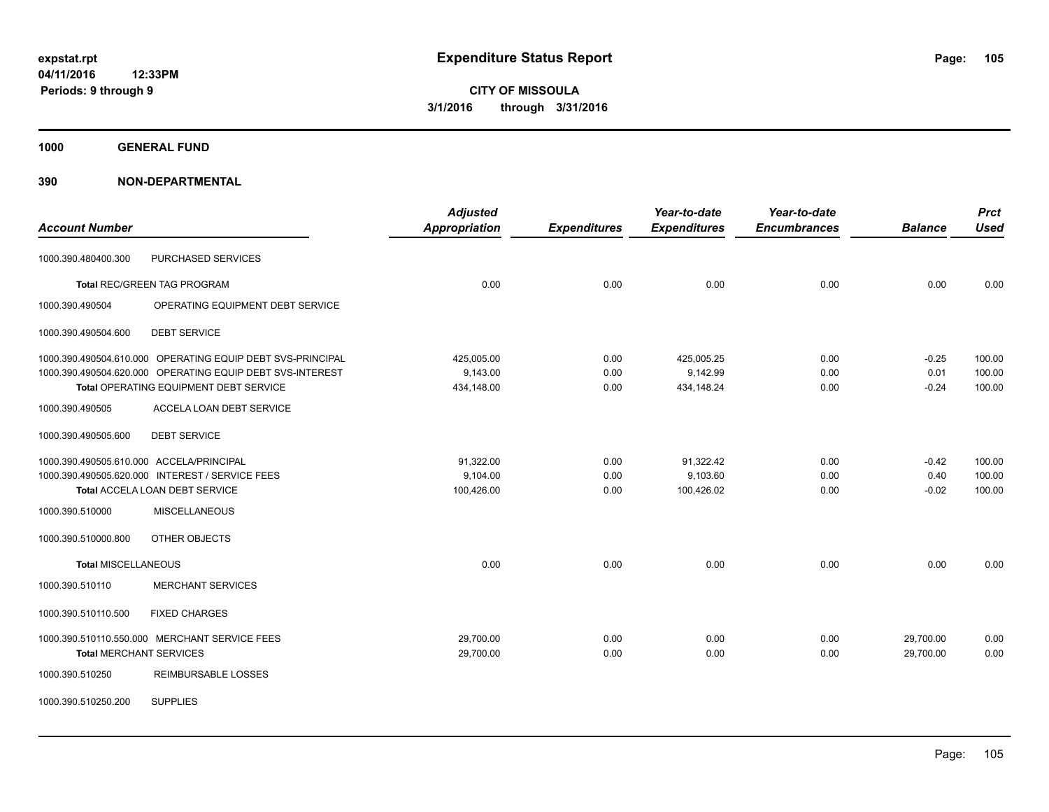**1000 GENERAL FUND**

|                                          |                                                            | <b>Adjusted</b>      |                     | Year-to-date        | Year-to-date        |                | <b>Prct</b> |
|------------------------------------------|------------------------------------------------------------|----------------------|---------------------|---------------------|---------------------|----------------|-------------|
| <b>Account Number</b>                    |                                                            | <b>Appropriation</b> | <b>Expenditures</b> | <b>Expenditures</b> | <b>Encumbrances</b> | <b>Balance</b> | <b>Used</b> |
| 1000.390.480400.300                      | PURCHASED SERVICES                                         |                      |                     |                     |                     |                |             |
|                                          | <b>Total REC/GREEN TAG PROGRAM</b>                         | 0.00                 | 0.00                | 0.00                | 0.00                | 0.00           | 0.00        |
| 1000.390.490504                          | OPERATING EQUIPMENT DEBT SERVICE                           |                      |                     |                     |                     |                |             |
| 1000.390.490504.600                      | <b>DEBT SERVICE</b>                                        |                      |                     |                     |                     |                |             |
|                                          | 1000.390.490504.610.000 OPERATING EQUIP DEBT SVS-PRINCIPAL | 425,005.00           | 0.00                | 425,005.25          | 0.00                | $-0.25$        | 100.00      |
|                                          | 1000.390.490504.620.000 OPERATING EQUIP DEBT SVS-INTEREST  | 9,143.00             | 0.00                | 9,142.99            | 0.00                | 0.01           | 100.00      |
|                                          | Total OPERATING EQUIPMENT DEBT SERVICE                     | 434,148.00           | 0.00                | 434,148.24          | 0.00                | $-0.24$        | 100.00      |
| 1000.390.490505                          | ACCELA LOAN DEBT SERVICE                                   |                      |                     |                     |                     |                |             |
| 1000.390.490505.600                      | <b>DEBT SERVICE</b>                                        |                      |                     |                     |                     |                |             |
| 1000.390.490505.610.000 ACCELA/PRINCIPAL |                                                            | 91.322.00            | 0.00                | 91,322.42           | 0.00                | $-0.42$        | 100.00      |
|                                          | 1000.390.490505.620.000 INTEREST / SERVICE FEES            | 9,104.00             | 0.00                | 9,103.60            | 0.00                | 0.40           | 100.00      |
|                                          | Total ACCELA LOAN DEBT SERVICE                             | 100,426.00           | 0.00                | 100,426.02          | 0.00                | $-0.02$        | 100.00      |
| 1000.390.510000                          | <b>MISCELLANEOUS</b>                                       |                      |                     |                     |                     |                |             |
| 1000.390.510000.800                      | OTHER OBJECTS                                              |                      |                     |                     |                     |                |             |
| <b>Total MISCELLANEOUS</b>               |                                                            | 0.00                 | 0.00                | 0.00                | 0.00                | 0.00           | 0.00        |
| 1000.390.510110                          | MERCHANT SERVICES                                          |                      |                     |                     |                     |                |             |
| 1000.390.510110.500                      | <b>FIXED CHARGES</b>                                       |                      |                     |                     |                     |                |             |
|                                          | 1000.390.510110.550.000 MERCHANT SERVICE FEES              | 29,700.00            | 0.00                | 0.00                | 0.00                | 29,700.00      | 0.00        |
| <b>Total MERCHANT SERVICES</b>           |                                                            | 29,700.00            | 0.00                | 0.00                | 0.00                | 29,700.00      | 0.00        |
| 1000.390.510250                          | <b>REIMBURSABLE LOSSES</b>                                 |                      |                     |                     |                     |                |             |
| 1000.390.510250.200                      | <b>SUPPLIES</b>                                            |                      |                     |                     |                     |                |             |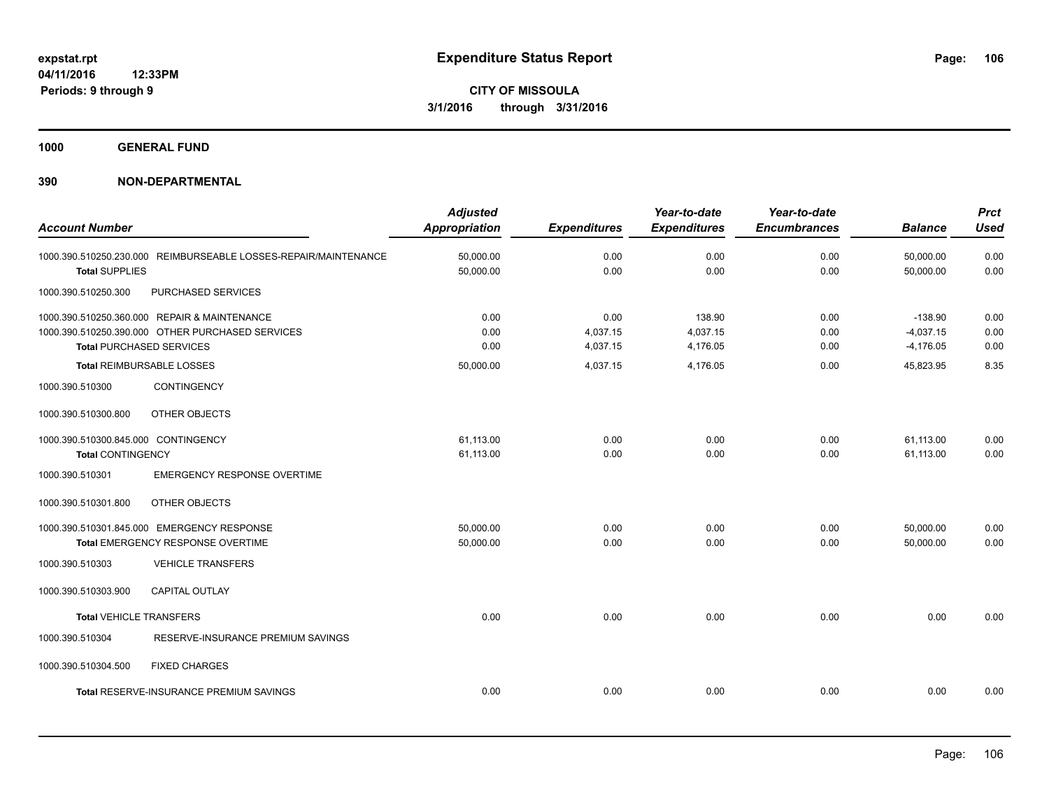**1000 GENERAL FUND**

| <b>Account Number</b>                                           |                                                                                                                                                                         | <b>Adjusted</b><br><b>Appropriation</b> | <b>Expenditures</b>                      | Year-to-date<br><b>Expenditures</b>        | Year-to-date<br><b>Encumbrances</b> | <b>Balance</b>                                       | <b>Prct</b><br><b>Used</b>   |
|-----------------------------------------------------------------|-------------------------------------------------------------------------------------------------------------------------------------------------------------------------|-----------------------------------------|------------------------------------------|--------------------------------------------|-------------------------------------|------------------------------------------------------|------------------------------|
| <b>Total SUPPLIES</b>                                           | 1000.390.510250.230.000 REIMBURSEABLE LOSSES-REPAIR/MAINTENANCE                                                                                                         | 50,000.00<br>50,000.00                  | 0.00<br>0.00                             | 0.00<br>0.00                               | 0.00<br>0.00                        | 50,000.00<br>50.000.00                               | 0.00<br>0.00                 |
| 1000.390.510250.300                                             | PURCHASED SERVICES                                                                                                                                                      |                                         |                                          |                                            |                                     |                                                      |                              |
|                                                                 | 1000.390.510250.360.000 REPAIR & MAINTENANCE<br>1000.390.510250.390.000 OTHER PURCHASED SERVICES<br><b>Total PURCHASED SERVICES</b><br><b>Total REIMBURSABLE LOSSES</b> | 0.00<br>0.00<br>0.00<br>50,000.00       | 0.00<br>4,037.15<br>4,037.15<br>4,037.15 | 138.90<br>4,037.15<br>4,176.05<br>4,176.05 | 0.00<br>0.00<br>0.00<br>0.00        | $-138.90$<br>$-4,037.15$<br>$-4,176.05$<br>45,823.95 | 0.00<br>0.00<br>0.00<br>8.35 |
| 1000.390.510300                                                 | <b>CONTINGENCY</b>                                                                                                                                                      |                                         |                                          |                                            |                                     |                                                      |                              |
| 1000.390.510300.800                                             | OTHER OBJECTS                                                                                                                                                           |                                         |                                          |                                            |                                     |                                                      |                              |
| 1000.390.510300.845.000 CONTINGENCY<br><b>Total CONTINGENCY</b> |                                                                                                                                                                         | 61,113.00<br>61,113.00                  | 0.00<br>0.00                             | 0.00<br>0.00                               | 0.00<br>0.00                        | 61,113.00<br>61,113.00                               | 0.00<br>0.00                 |
| 1000.390.510301                                                 | <b>EMERGENCY RESPONSE OVERTIME</b>                                                                                                                                      |                                         |                                          |                                            |                                     |                                                      |                              |
| 1000.390.510301.800                                             | OTHER OBJECTS                                                                                                                                                           |                                         |                                          |                                            |                                     |                                                      |                              |
|                                                                 | 1000.390.510301.845.000 EMERGENCY RESPONSE<br>Total EMERGENCY RESPONSE OVERTIME                                                                                         | 50,000.00<br>50,000.00                  | 0.00<br>0.00                             | 0.00<br>0.00                               | 0.00<br>0.00                        | 50,000.00<br>50,000.00                               | 0.00<br>0.00                 |
| 1000.390.510303                                                 | <b>VEHICLE TRANSFERS</b>                                                                                                                                                |                                         |                                          |                                            |                                     |                                                      |                              |
| 1000.390.510303.900                                             | <b>CAPITAL OUTLAY</b>                                                                                                                                                   |                                         |                                          |                                            |                                     |                                                      |                              |
| <b>Total VEHICLE TRANSFERS</b>                                  |                                                                                                                                                                         | 0.00                                    | 0.00                                     | 0.00                                       | 0.00                                | 0.00                                                 | 0.00                         |
| 1000.390.510304                                                 | RESERVE-INSURANCE PREMIUM SAVINGS                                                                                                                                       |                                         |                                          |                                            |                                     |                                                      |                              |
| 1000.390.510304.500                                             | <b>FIXED CHARGES</b>                                                                                                                                                    |                                         |                                          |                                            |                                     |                                                      |                              |
|                                                                 | <b>Total RESERVE-INSURANCE PREMIUM SAVINGS</b>                                                                                                                          | 0.00                                    | 0.00                                     | 0.00                                       | 0.00                                | 0.00                                                 | 0.00                         |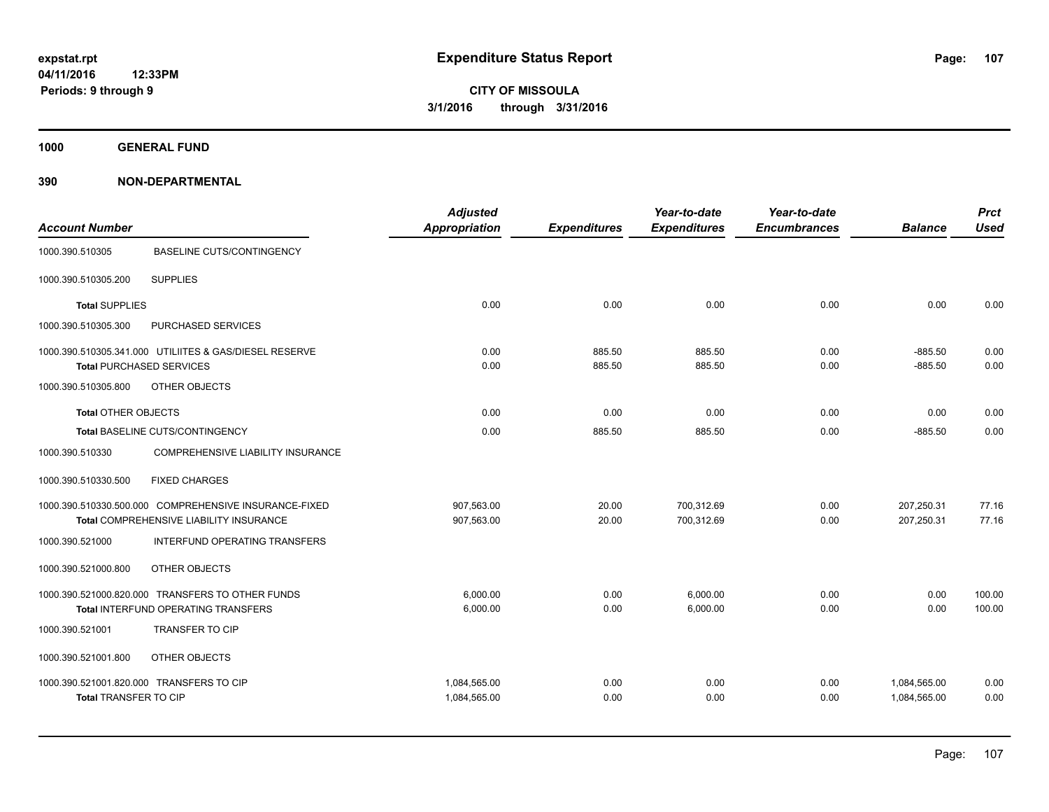**1000 GENERAL FUND**

| <b>Account Number</b>                                                    |                                                                                                  | <b>Adjusted</b><br><b>Appropriation</b> | <b>Expenditures</b> | Year-to-date<br><b>Expenditures</b> | Year-to-date<br><b>Encumbrances</b> | <b>Balance</b>               | <b>Prct</b><br><b>Used</b> |
|--------------------------------------------------------------------------|--------------------------------------------------------------------------------------------------|-----------------------------------------|---------------------|-------------------------------------|-------------------------------------|------------------------------|----------------------------|
| 1000.390.510305                                                          | <b>BASELINE CUTS/CONTINGENCY</b>                                                                 |                                         |                     |                                     |                                     |                              |                            |
| 1000.390.510305.200                                                      | <b>SUPPLIES</b>                                                                                  |                                         |                     |                                     |                                     |                              |                            |
| <b>Total SUPPLIES</b>                                                    |                                                                                                  | 0.00                                    | 0.00                | 0.00                                | 0.00                                | 0.00                         | 0.00                       |
| 1000.390.510305.300                                                      | PURCHASED SERVICES                                                                               |                                         |                     |                                     |                                     |                              |                            |
| <b>Total PURCHASED SERVICES</b>                                          | 1000.390.510305.341.000 UTILIITES & GAS/DIESEL RESERVE                                           | 0.00<br>0.00                            | 885.50<br>885.50    | 885.50<br>885.50                    | 0.00<br>0.00                        | $-885.50$<br>$-885.50$       | 0.00<br>0.00               |
| 1000.390.510305.800                                                      | OTHER OBJECTS                                                                                    |                                         |                     |                                     |                                     |                              |                            |
| <b>Total OTHER OBJECTS</b>                                               |                                                                                                  | 0.00                                    | 0.00                | 0.00                                | 0.00                                | 0.00                         | 0.00                       |
|                                                                          | Total BASELINE CUTS/CONTINGENCY                                                                  | 0.00                                    | 885.50              | 885.50                              | 0.00                                | $-885.50$                    | 0.00                       |
| 1000.390.510330                                                          | <b>COMPREHENSIVE LIABILITY INSURANCE</b>                                                         |                                         |                     |                                     |                                     |                              |                            |
| 1000.390.510330.500                                                      | <b>FIXED CHARGES</b>                                                                             |                                         |                     |                                     |                                     |                              |                            |
|                                                                          | 1000.390.510330.500.000 COMPREHENSIVE INSURANCE-FIXED<br>Total COMPREHENSIVE LIABILITY INSURANCE | 907,563.00<br>907,563.00                | 20.00<br>20.00      | 700,312.69<br>700,312.69            | 0.00<br>0.00                        | 207,250.31<br>207,250.31     | 77.16<br>77.16             |
| 1000.390.521000                                                          | INTERFUND OPERATING TRANSFERS                                                                    |                                         |                     |                                     |                                     |                              |                            |
| 1000.390.521000.800                                                      | OTHER OBJECTS                                                                                    |                                         |                     |                                     |                                     |                              |                            |
|                                                                          | 1000.390.521000.820.000 TRANSFERS TO OTHER FUNDS<br>Total INTERFUND OPERATING TRANSFERS          | 6,000.00<br>6,000.00                    | 0.00<br>0.00        | 6,000.00<br>6,000.00                | 0.00<br>0.00                        | 0.00<br>0.00                 | 100.00<br>100.00           |
| 1000.390.521001                                                          | <b>TRANSFER TO CIP</b>                                                                           |                                         |                     |                                     |                                     |                              |                            |
| 1000.390.521001.800                                                      | OTHER OBJECTS                                                                                    |                                         |                     |                                     |                                     |                              |                            |
| 1000.390.521001.820.000 TRANSFERS TO CIP<br><b>Total TRANSFER TO CIP</b> |                                                                                                  | 1,084,565.00<br>1,084,565.00            | 0.00<br>0.00        | 0.00<br>0.00                        | 0.00<br>0.00                        | 1,084,565.00<br>1,084,565.00 | 0.00<br>0.00               |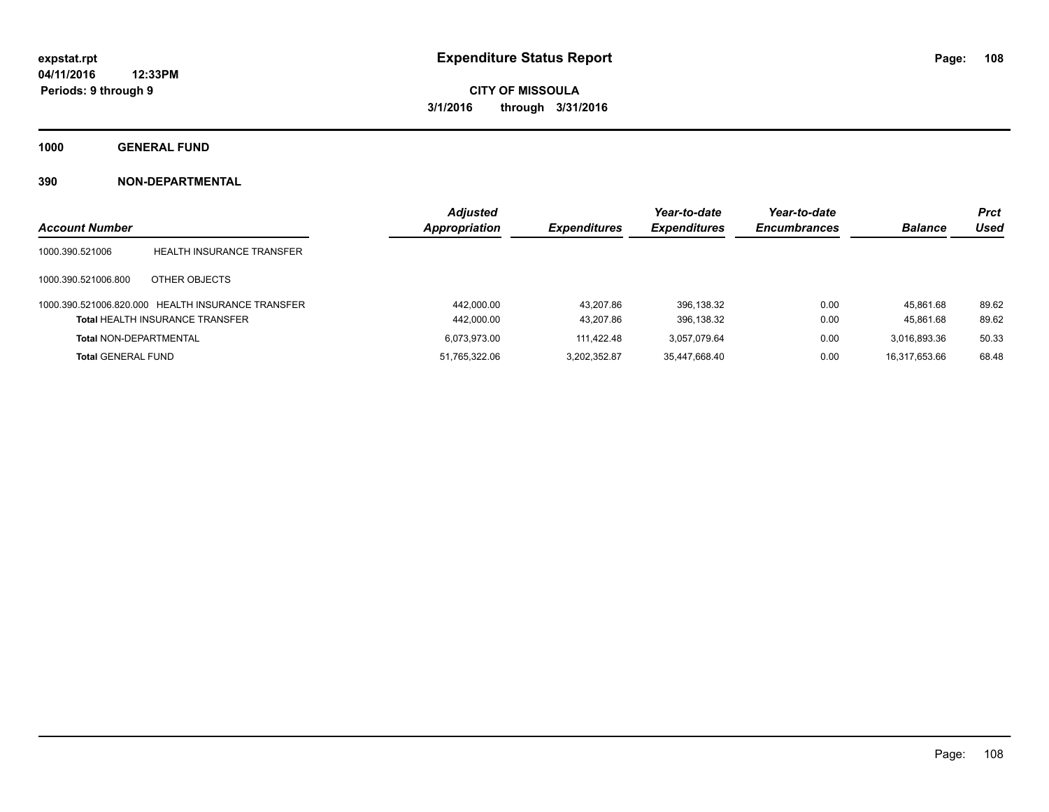**1000 GENERAL FUND**

| <b>Account Number</b>         |                                                                                             | <b>Adjusted</b><br>Appropriation | <b>Expenditures</b>    | Year-to-date<br><b>Expenditures</b> | Year-to-date<br><b>Encumbrances</b> | <b>Balance</b>         | <b>Prct</b><br><b>Used</b> |
|-------------------------------|---------------------------------------------------------------------------------------------|----------------------------------|------------------------|-------------------------------------|-------------------------------------|------------------------|----------------------------|
| 1000.390.521006               | <b>HEALTH INSURANCE TRANSFER</b>                                                            |                                  |                        |                                     |                                     |                        |                            |
| 1000.390.521006.800           | OTHER OBJECTS                                                                               |                                  |                        |                                     |                                     |                        |                            |
|                               | 1000.390.521006.820.000 HEALTH INSURANCE TRANSFER<br><b>Total HEALTH INSURANCE TRANSFER</b> | 442.000.00<br>442,000.00         | 43.207.86<br>43.207.86 | 396.138.32<br>396.138.32            | 0.00<br>0.00                        | 45.861.68<br>45.861.68 | 89.62<br>89.62             |
| <b>Total NON-DEPARTMENTAL</b> |                                                                                             | 6.073.973.00                     | 111.422.48             | 3.057.079.64                        | 0.00                                | 3,016,893.36           | 50.33                      |
| <b>Total GENERAL FUND</b>     |                                                                                             | 51,765,322.06                    | 3.202.352.87           | 35,447,668.40                       | 0.00                                | 16,317,653.66          | 68.48                      |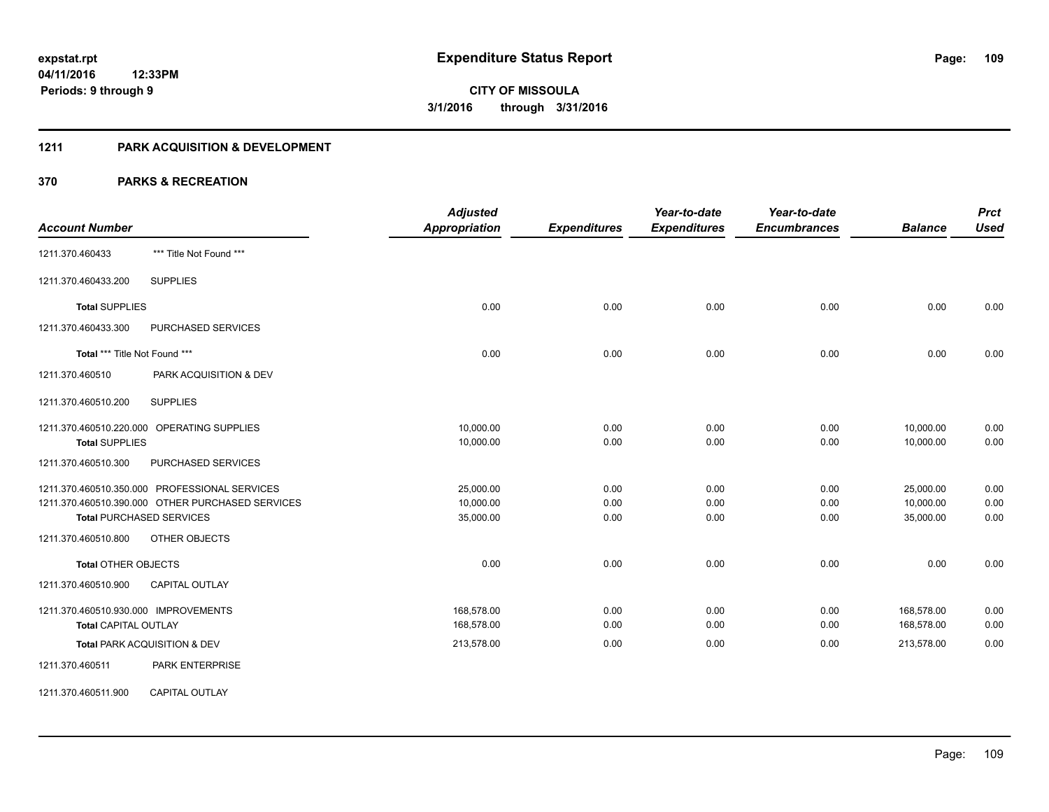#### **1211 PARK ACQUISITION & DEVELOPMENT**

| <b>Account Number</b>                                                                                                                                                        | <b>Adjusted</b><br><b>Appropriation</b> | <b>Expenditures</b>  | Year-to-date<br><b>Expenditures</b> | Year-to-date<br><b>Encumbrances</b> | <b>Balance</b>                      | <b>Prct</b><br><b>Used</b> |
|------------------------------------------------------------------------------------------------------------------------------------------------------------------------------|-----------------------------------------|----------------------|-------------------------------------|-------------------------------------|-------------------------------------|----------------------------|
| *** Title Not Found ***<br>1211.370.460433                                                                                                                                   |                                         |                      |                                     |                                     |                                     |                            |
| <b>SUPPLIES</b><br>1211.370.460433.200                                                                                                                                       |                                         |                      |                                     |                                     |                                     |                            |
| <b>Total SUPPLIES</b>                                                                                                                                                        | 0.00                                    | 0.00                 | 0.00                                | 0.00                                | 0.00                                | 0.00                       |
| PURCHASED SERVICES<br>1211.370.460433.300                                                                                                                                    |                                         |                      |                                     |                                     |                                     |                            |
| Total *** Title Not Found ***                                                                                                                                                | 0.00                                    | 0.00                 | 0.00                                | 0.00                                | 0.00                                | 0.00                       |
| 1211.370.460510<br>PARK ACQUISITION & DEV                                                                                                                                    |                                         |                      |                                     |                                     |                                     |                            |
| 1211.370.460510.200<br><b>SUPPLIES</b>                                                                                                                                       |                                         |                      |                                     |                                     |                                     |                            |
| 1211.370.460510.220.000 OPERATING SUPPLIES<br><b>Total SUPPLIES</b>                                                                                                          | 10,000.00<br>10,000.00                  | 0.00<br>0.00         | 0.00<br>0.00                        | 0.00<br>0.00                        | 10,000.00<br>10,000.00              | 0.00<br>0.00               |
| PURCHASED SERVICES<br>1211.370.460510.300                                                                                                                                    |                                         |                      |                                     |                                     |                                     |                            |
| 1211.370.460510.350.000 PROFESSIONAL SERVICES<br>1211.370.460510.390.000 OTHER PURCHASED SERVICES<br><b>Total PURCHASED SERVICES</b><br>1211.370.460510.800<br>OTHER OBJECTS | 25,000.00<br>10,000.00<br>35,000.00     | 0.00<br>0.00<br>0.00 | 0.00<br>0.00<br>0.00                | 0.00<br>0.00<br>0.00                | 25,000.00<br>10,000.00<br>35,000.00 | 0.00<br>0.00<br>0.00       |
| <b>Total OTHER OBJECTS</b>                                                                                                                                                   | 0.00                                    | 0.00                 | 0.00                                | 0.00                                | 0.00                                | 0.00                       |
| 1211.370.460510.900<br><b>CAPITAL OUTLAY</b>                                                                                                                                 |                                         |                      |                                     |                                     |                                     |                            |
| 1211.370.460510.930.000 IMPROVEMENTS<br><b>Total CAPITAL OUTLAY</b>                                                                                                          | 168,578.00<br>168,578.00                | 0.00<br>0.00         | 0.00<br>0.00                        | 0.00<br>0.00                        | 168,578.00<br>168,578.00            | 0.00<br>0.00               |
| Total PARK ACQUISITION & DEV<br>PARK ENTERPRISE<br>1211.370.460511                                                                                                           | 213,578.00                              | 0.00                 | 0.00                                | 0.00                                | 213,578.00                          | 0.00                       |
| <b>CAPITAL OUTLAY</b><br>1211.370.460511.900                                                                                                                                 |                                         |                      |                                     |                                     |                                     |                            |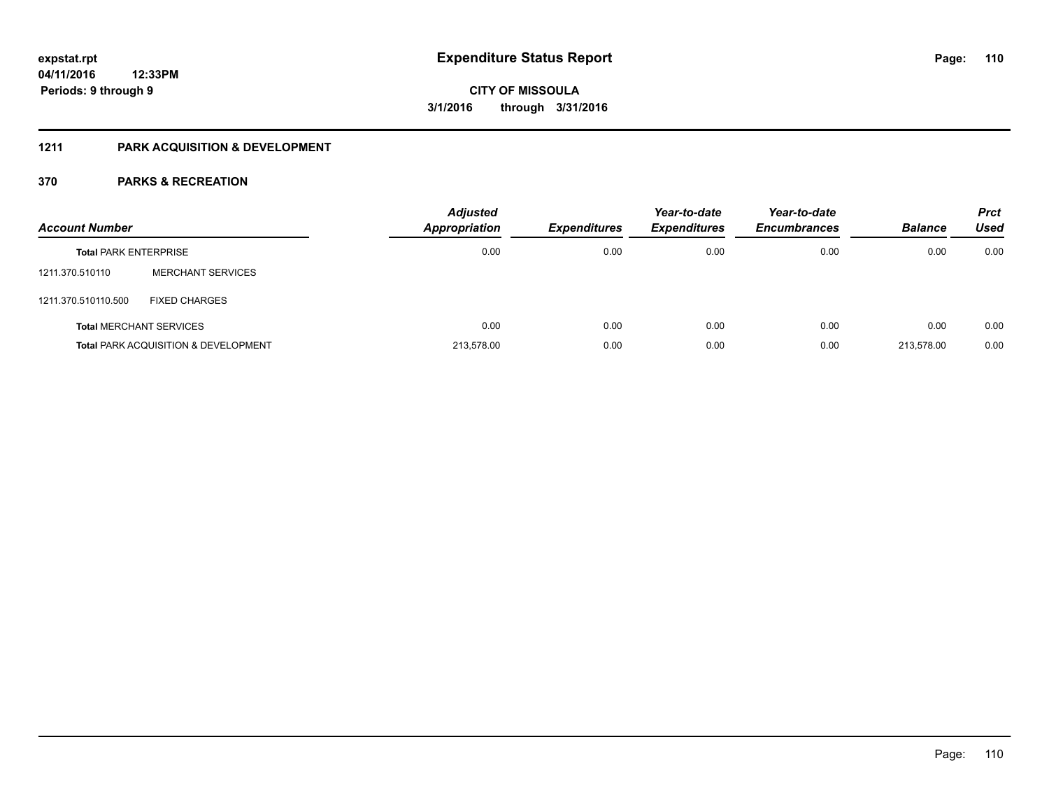#### **1211 PARK ACQUISITION & DEVELOPMENT**

| <b>Account Number</b>        |                                                 | <b>Adjusted</b><br>Appropriation | <b>Expenditures</b> | Year-to-date<br><b>Expenditures</b> | Year-to-date<br><b>Encumbrances</b> | <b>Balance</b> | <b>Prct</b><br>Used |
|------------------------------|-------------------------------------------------|----------------------------------|---------------------|-------------------------------------|-------------------------------------|----------------|---------------------|
| <b>Total PARK ENTERPRISE</b> |                                                 | 0.00                             | 0.00                | 0.00                                | 0.00                                | 0.00           | 0.00                |
| 1211.370.510110              | <b>MERCHANT SERVICES</b>                        |                                  |                     |                                     |                                     |                |                     |
| 1211.370.510110.500          | <b>FIXED CHARGES</b>                            |                                  |                     |                                     |                                     |                |                     |
|                              | <b>Total MERCHANT SERVICES</b>                  | 0.00                             | 0.00                | 0.00                                | 0.00                                | 0.00           | 0.00                |
|                              | <b>Total PARK ACQUISITION &amp; DEVELOPMENT</b> | 213.578.00                       | 0.00                | 0.00                                | 0.00                                | 213.578.00     | 0.00                |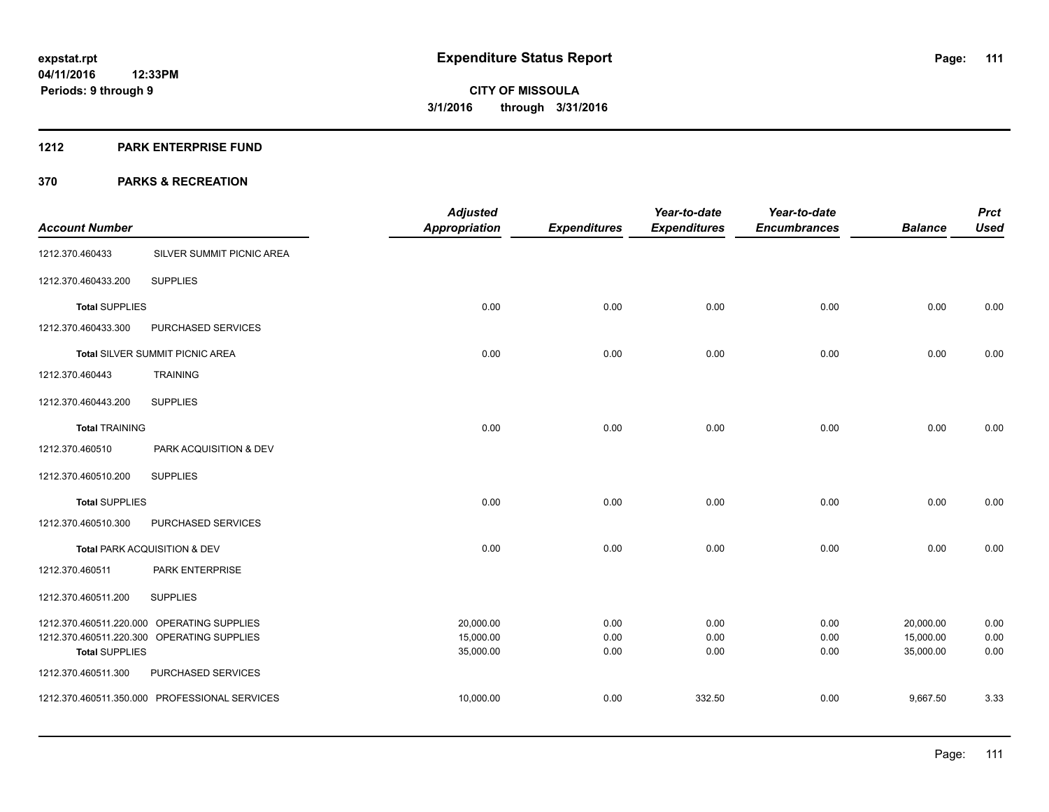#### **1212 PARK ENTERPRISE FUND**

|                         |                                            | <b>Adjusted</b>        |                     | Year-to-date        | Year-to-date        |                        | <b>Prct</b>  |
|-------------------------|--------------------------------------------|------------------------|---------------------|---------------------|---------------------|------------------------|--------------|
| <b>Account Number</b>   |                                            | <b>Appropriation</b>   | <b>Expenditures</b> | <b>Expenditures</b> | <b>Encumbrances</b> | <b>Balance</b>         | <b>Used</b>  |
| 1212.370.460433         | SILVER SUMMIT PICNIC AREA                  |                        |                     |                     |                     |                        |              |
| 1212.370.460433.200     | <b>SUPPLIES</b>                            |                        |                     |                     |                     |                        |              |
| <b>Total SUPPLIES</b>   |                                            | 0.00                   | 0.00                | 0.00                | 0.00                | 0.00                   | 0.00         |
| 1212.370.460433.300     | PURCHASED SERVICES                         |                        |                     |                     |                     |                        |              |
|                         | Total SILVER SUMMIT PICNIC AREA            | 0.00                   | 0.00                | 0.00                | 0.00                | 0.00                   | 0.00         |
| 1212.370.460443         | <b>TRAINING</b>                            |                        |                     |                     |                     |                        |              |
| 1212.370.460443.200     | <b>SUPPLIES</b>                            |                        |                     |                     |                     |                        |              |
| <b>Total TRAINING</b>   |                                            | 0.00                   | 0.00                | 0.00                | 0.00                | 0.00                   | 0.00         |
| 1212.370.460510         | PARK ACQUISITION & DEV                     |                        |                     |                     |                     |                        |              |
| 1212.370.460510.200     | <b>SUPPLIES</b>                            |                        |                     |                     |                     |                        |              |
| <b>Total SUPPLIES</b>   |                                            | 0.00                   | 0.00                | 0.00                | 0.00                | 0.00                   | 0.00         |
| 1212.370.460510.300     | PURCHASED SERVICES                         |                        |                     |                     |                     |                        |              |
|                         | Total PARK ACQUISITION & DEV               | 0.00                   | 0.00                | 0.00                | 0.00                | 0.00                   | 0.00         |
| 1212.370.460511         | PARK ENTERPRISE                            |                        |                     |                     |                     |                        |              |
| 1212.370.460511.200     | <b>SUPPLIES</b>                            |                        |                     |                     |                     |                        |              |
|                         | 1212.370.460511.220.000 OPERATING SUPPLIES | 20,000.00              | 0.00                | 0.00                | 0.00                | 20,000.00              | 0.00         |
| <b>Total SUPPLIES</b>   | 1212.370.460511.220.300 OPERATING SUPPLIES | 15,000.00<br>35,000.00 | 0.00<br>0.00        | 0.00<br>0.00        | 0.00<br>0.00        | 15,000.00<br>35,000.00 | 0.00<br>0.00 |
| 1212.370.460511.300     | PURCHASED SERVICES                         |                        |                     |                     |                     |                        |              |
| 1212.370.460511.350.000 | PROFESSIONAL SERVICES                      | 10,000.00              | 0.00                | 332.50              | 0.00                | 9,667.50               | 3.33         |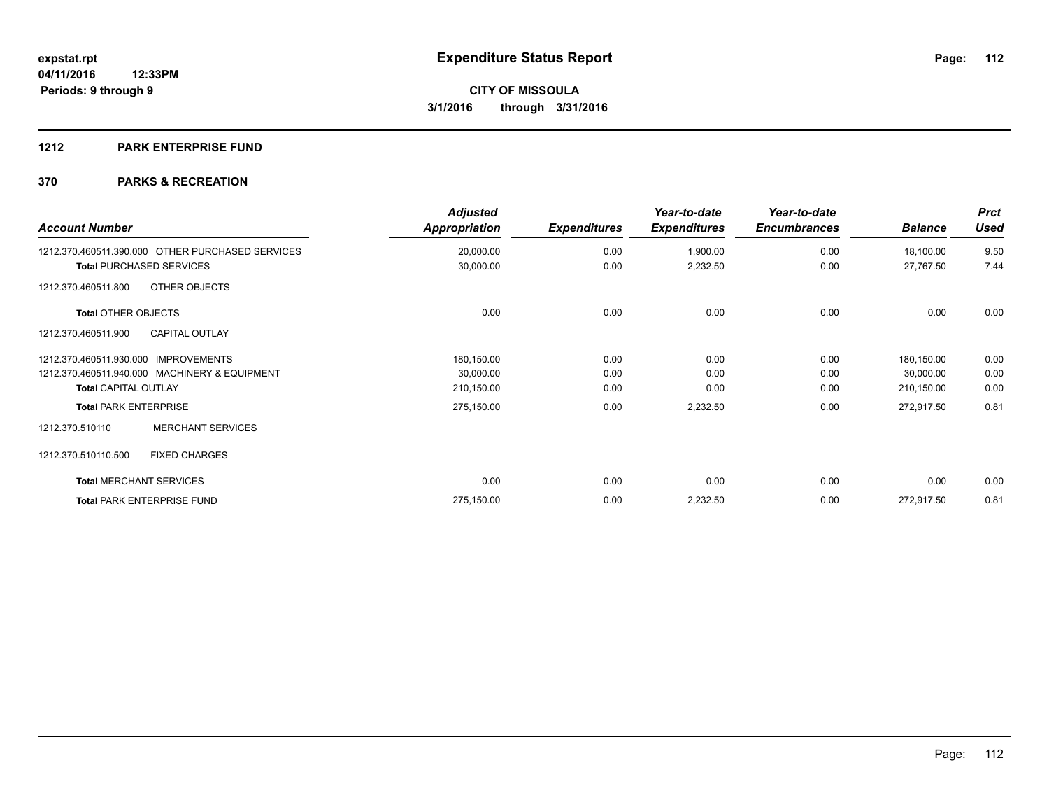#### **1212 PARK ENTERPRISE FUND**

| <b>Account Number</b>                            | <b>Adjusted</b><br>Appropriation | <b>Expenditures</b> | Year-to-date<br><b>Expenditures</b> | Year-to-date<br><b>Encumbrances</b> | <b>Balance</b> | <b>Prct</b><br><b>Used</b> |
|--------------------------------------------------|----------------------------------|---------------------|-------------------------------------|-------------------------------------|----------------|----------------------------|
| 1212.370.460511.390.000 OTHER PURCHASED SERVICES | 20,000.00                        | 0.00                | 1,900.00                            | 0.00                                | 18,100.00      | 9.50                       |
| <b>Total PURCHASED SERVICES</b>                  | 30,000.00                        | 0.00                | 2,232.50                            | 0.00                                | 27,767.50      | 7.44                       |
| OTHER OBJECTS<br>1212.370.460511.800             |                                  |                     |                                     |                                     |                |                            |
| <b>Total OTHER OBJECTS</b>                       | 0.00                             | 0.00                | 0.00                                | 0.00                                | 0.00           | 0.00                       |
| <b>CAPITAL OUTLAY</b><br>1212.370.460511.900     |                                  |                     |                                     |                                     |                |                            |
| 1212.370.460511.930.000 IMPROVEMENTS             | 180,150.00                       | 0.00                | 0.00                                | 0.00                                | 180,150.00     | 0.00                       |
| 1212.370.460511.940.000 MACHINERY & EQUIPMENT    | 30,000.00                        | 0.00                | 0.00                                | 0.00                                | 30,000.00      | 0.00                       |
| <b>Total CAPITAL OUTLAY</b>                      | 210,150.00                       | 0.00                | 0.00                                | 0.00                                | 210,150.00     | 0.00                       |
| <b>Total PARK ENTERPRISE</b>                     | 275,150.00                       | 0.00                | 2,232.50                            | 0.00                                | 272,917.50     | 0.81                       |
| <b>MERCHANT SERVICES</b><br>1212.370.510110      |                                  |                     |                                     |                                     |                |                            |
| 1212.370.510110.500<br><b>FIXED CHARGES</b>      |                                  |                     |                                     |                                     |                |                            |
| <b>Total MERCHANT SERVICES</b>                   | 0.00                             | 0.00                | 0.00                                | 0.00                                | 0.00           | 0.00                       |
| <b>Total PARK ENTERPRISE FUND</b>                | 275,150.00                       | 0.00                | 2,232.50                            | 0.00                                | 272,917.50     | 0.81                       |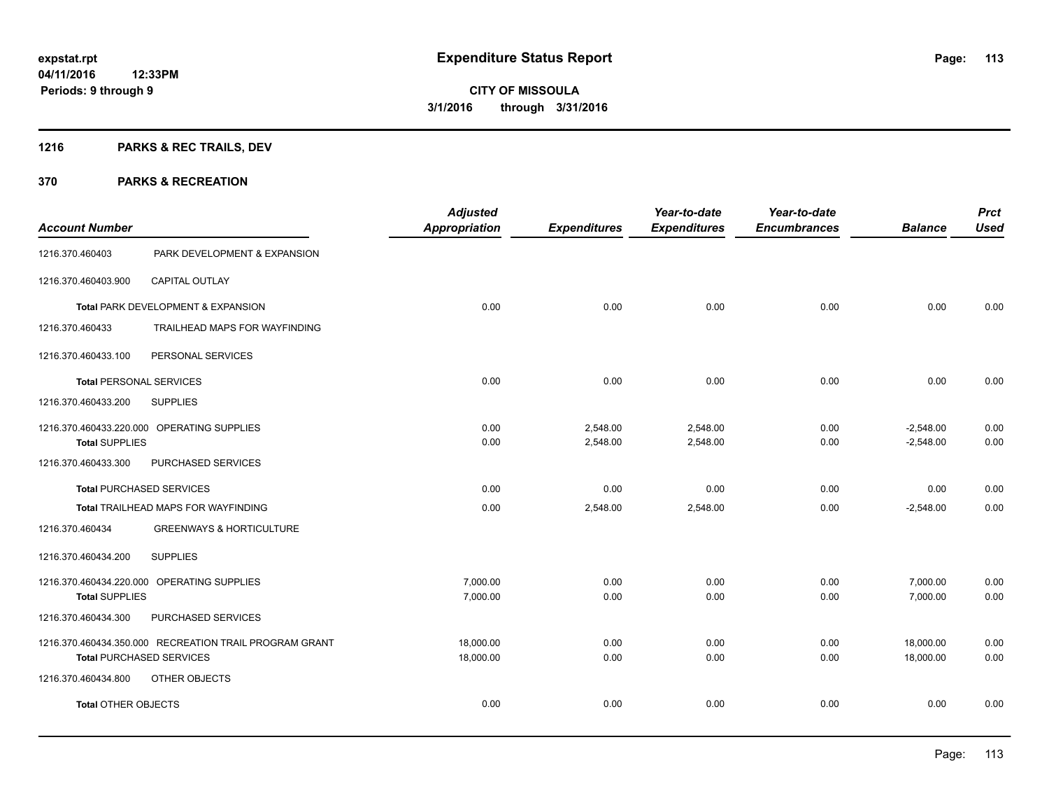## **1216 PARKS & REC TRAILS, DEV**

|                                 |                                                        | <b>Adjusted</b>      |                     | Year-to-date        | Year-to-date        |                | <b>Prct</b> |
|---------------------------------|--------------------------------------------------------|----------------------|---------------------|---------------------|---------------------|----------------|-------------|
| <b>Account Number</b>           |                                                        | <b>Appropriation</b> | <b>Expenditures</b> | <b>Expenditures</b> | <b>Encumbrances</b> | <b>Balance</b> | <b>Used</b> |
| 1216.370.460403                 | PARK DEVELOPMENT & EXPANSION                           |                      |                     |                     |                     |                |             |
| 1216.370.460403.900             | <b>CAPITAL OUTLAY</b>                                  |                      |                     |                     |                     |                |             |
|                                 | Total PARK DEVELOPMENT & EXPANSION                     | 0.00                 | 0.00                | 0.00                | 0.00                | 0.00           | 0.00        |
| 1216.370.460433                 | TRAILHEAD MAPS FOR WAYFINDING                          |                      |                     |                     |                     |                |             |
| 1216.370.460433.100             | PERSONAL SERVICES                                      |                      |                     |                     |                     |                |             |
| <b>Total PERSONAL SERVICES</b>  |                                                        | 0.00                 | 0.00                | 0.00                | 0.00                | 0.00           | 0.00        |
| 1216.370.460433.200             | <b>SUPPLIES</b>                                        |                      |                     |                     |                     |                |             |
|                                 | 1216.370.460433.220.000 OPERATING SUPPLIES             | 0.00                 | 2,548.00            | 2,548.00            | 0.00                | $-2,548.00$    | 0.00        |
| <b>Total SUPPLIES</b>           |                                                        | 0.00                 | 2,548.00            | 2,548.00            | 0.00                | $-2,548.00$    | 0.00        |
| 1216.370.460433.300             | PURCHASED SERVICES                                     |                      |                     |                     |                     |                |             |
|                                 | <b>Total PURCHASED SERVICES</b>                        | 0.00                 | 0.00                | 0.00                | 0.00                | 0.00           | 0.00        |
|                                 | Total TRAILHEAD MAPS FOR WAYFINDING                    | 0.00                 | 2,548.00            | 2,548.00            | 0.00                | $-2,548.00$    | 0.00        |
| 1216.370.460434                 | <b>GREENWAYS &amp; HORTICULTURE</b>                    |                      |                     |                     |                     |                |             |
| 1216.370.460434.200             | <b>SUPPLIES</b>                                        |                      |                     |                     |                     |                |             |
|                                 | 1216.370.460434.220.000 OPERATING SUPPLIES             | 7,000.00             | 0.00                | 0.00                | 0.00                | 7,000.00       | 0.00        |
| <b>Total SUPPLIES</b>           |                                                        | 7,000.00             | 0.00                | 0.00                | 0.00                | 7,000.00       | 0.00        |
| 1216.370.460434.300             | PURCHASED SERVICES                                     |                      |                     |                     |                     |                |             |
|                                 | 1216.370.460434.350.000 RECREATION TRAIL PROGRAM GRANT | 18,000.00            | 0.00                | 0.00                | 0.00                | 18,000.00      | 0.00        |
| <b>Total PURCHASED SERVICES</b> |                                                        | 18,000.00            | 0.00                | 0.00                | 0.00                | 18,000.00      | 0.00        |
| 1216.370.460434.800             | OTHER OBJECTS                                          |                      |                     |                     |                     |                |             |
| <b>Total OTHER OBJECTS</b>      |                                                        | 0.00                 | 0.00                | 0.00                | 0.00                | 0.00           | 0.00        |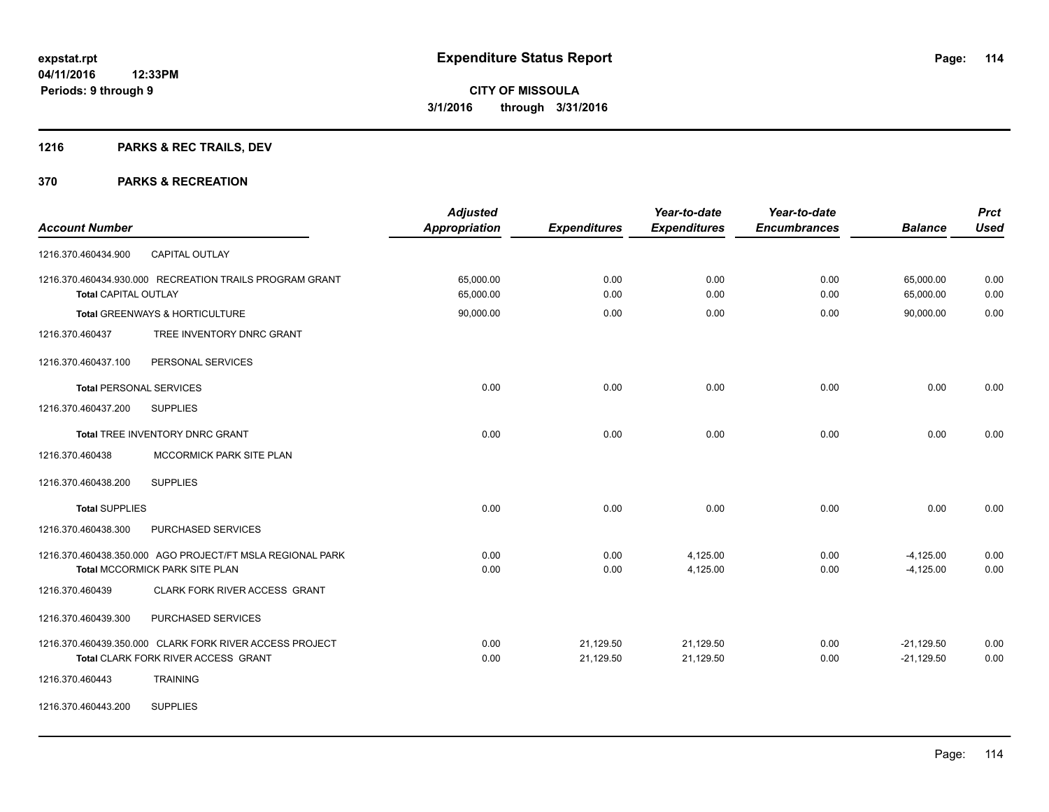## **1216 PARKS & REC TRAILS, DEV**

| <b>Account Number</b>                                                                          | <b>Adjusted</b><br>Appropriation | <b>Expenditures</b>    | Year-to-date<br><b>Expenditures</b> | Year-to-date<br><b>Encumbrances</b> | <b>Balance</b>               | <b>Prct</b><br><b>Used</b> |
|------------------------------------------------------------------------------------------------|----------------------------------|------------------------|-------------------------------------|-------------------------------------|------------------------------|----------------------------|
| CAPITAL OUTLAY<br>1216.370.460434.900                                                          |                                  |                        |                                     |                                     |                              |                            |
| 1216.370.460434.930.000 RECREATION TRAILS PROGRAM GRANT<br><b>Total CAPITAL OUTLAY</b>         | 65,000.00<br>65,000.00           | 0.00<br>0.00           | 0.00<br>0.00                        | 0.00<br>0.00                        | 65,000.00<br>65,000.00       | 0.00<br>0.00               |
| Total GREENWAYS & HORTICULTURE                                                                 | 90,000.00                        | 0.00                   | 0.00                                | 0.00                                | 90,000.00                    | 0.00                       |
| 1216.370.460437<br>TREE INVENTORY DNRC GRANT                                                   |                                  |                        |                                     |                                     |                              |                            |
| 1216.370.460437.100<br>PERSONAL SERVICES                                                       |                                  |                        |                                     |                                     |                              |                            |
| <b>Total PERSONAL SERVICES</b>                                                                 | 0.00                             | 0.00                   | 0.00                                | 0.00                                | 0.00                         | 0.00                       |
| 1216.370.460437.200<br><b>SUPPLIES</b>                                                         |                                  |                        |                                     |                                     |                              |                            |
| <b>Total TREE INVENTORY DNRC GRANT</b>                                                         | 0.00                             | 0.00                   | 0.00                                | 0.00                                | 0.00                         | 0.00                       |
| 1216.370.460438<br>MCCORMICK PARK SITE PLAN                                                    |                                  |                        |                                     |                                     |                              |                            |
| <b>SUPPLIES</b><br>1216.370.460438.200                                                         |                                  |                        |                                     |                                     |                              |                            |
| <b>Total SUPPLIES</b>                                                                          | 0.00                             | 0.00                   | 0.00                                | 0.00                                | 0.00                         | 0.00                       |
| 1216.370.460438.300<br>PURCHASED SERVICES                                                      |                                  |                        |                                     |                                     |                              |                            |
| 1216.370.460438.350.000 AGO PROJECT/FT MSLA REGIONAL PARK<br>Total MCCORMICK PARK SITE PLAN    | 0.00<br>0.00                     | 0.00<br>0.00           | 4,125.00<br>4,125.00                | 0.00<br>0.00                        | $-4,125.00$<br>$-4,125.00$   | 0.00<br>0.00               |
| 1216.370.460439<br>CLARK FORK RIVER ACCESS GRANT                                               |                                  |                        |                                     |                                     |                              |                            |
| 1216.370.460439.300<br>PURCHASED SERVICES                                                      |                                  |                        |                                     |                                     |                              |                            |
| 1216.370.460439.350.000 CLARK FORK RIVER ACCESS PROJECT<br>Total CLARK FORK RIVER ACCESS GRANT | 0.00<br>0.00                     | 21,129.50<br>21,129.50 | 21,129.50<br>21,129.50              | 0.00<br>0.00                        | $-21,129.50$<br>$-21,129.50$ | 0.00<br>0.00               |
| <b>TRAINING</b><br>1216.370.460443                                                             |                                  |                        |                                     |                                     |                              |                            |
| <b>SUPPLIES</b><br>1216.370.460443.200                                                         |                                  |                        |                                     |                                     |                              |                            |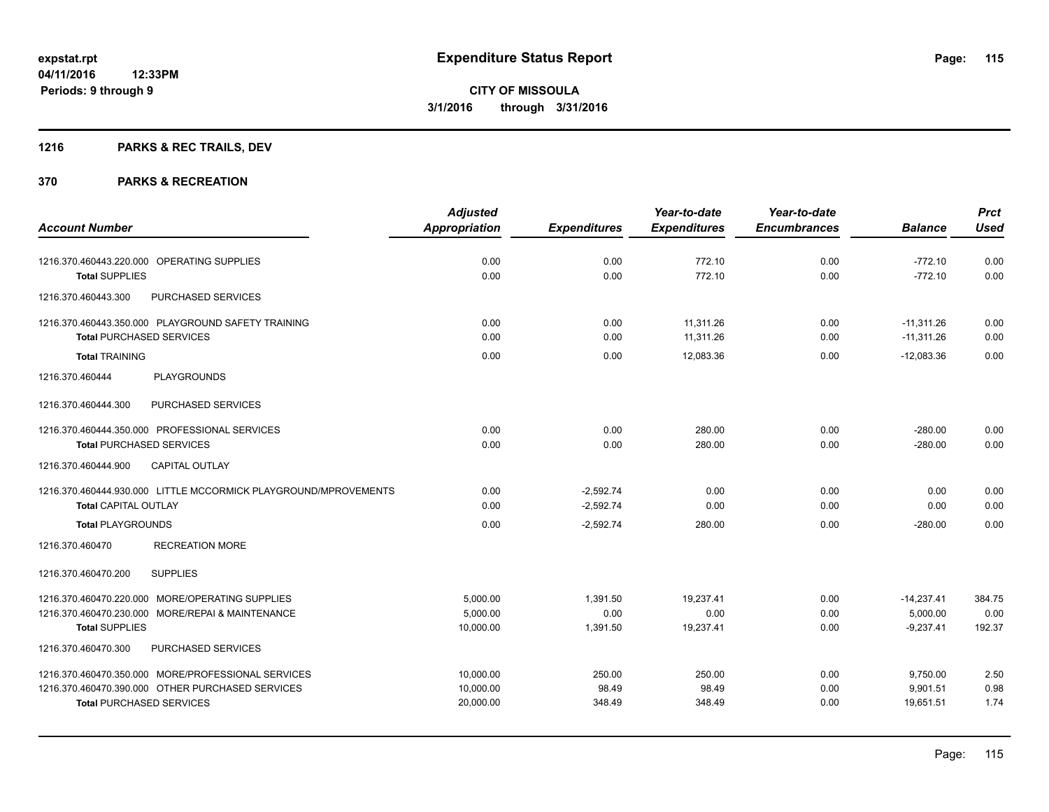## **1216 PARKS & REC TRAILS, DEV**

|                                                                 | <b>Adjusted</b>      |                     | Year-to-date        | Year-to-date        |                | <b>Prct</b> |
|-----------------------------------------------------------------|----------------------|---------------------|---------------------|---------------------|----------------|-------------|
| <b>Account Number</b>                                           | <b>Appropriation</b> | <b>Expenditures</b> | <b>Expenditures</b> | <b>Encumbrances</b> | <b>Balance</b> | <b>Used</b> |
| 1216.370.460443.220.000 OPERATING SUPPLIES                      | 0.00                 | 0.00                | 772.10              | 0.00                | $-772.10$      | 0.00        |
| <b>Total SUPPLIES</b>                                           | 0.00                 | 0.00                | 772.10              | 0.00                | $-772.10$      | 0.00        |
| PURCHASED SERVICES<br>1216.370.460443.300                       |                      |                     |                     |                     |                |             |
| 1216.370.460443.350.000 PLAYGROUND SAFETY TRAINING              | 0.00                 | 0.00                | 11,311.26           | 0.00                | $-11,311.26$   | 0.00        |
| <b>Total PURCHASED SERVICES</b>                                 | 0.00                 | 0.00                | 11,311.26           | 0.00                | $-11,311.26$   | 0.00        |
| <b>Total TRAINING</b>                                           | 0.00                 | 0.00                | 12,083.36           | 0.00                | $-12,083.36$   | 0.00        |
| <b>PLAYGROUNDS</b><br>1216.370.460444                           |                      |                     |                     |                     |                |             |
| 1216.370.460444.300<br>PURCHASED SERVICES                       |                      |                     |                     |                     |                |             |
| 1216.370.460444.350.000 PROFESSIONAL SERVICES                   | 0.00                 | 0.00                | 280.00              | 0.00                | $-280.00$      | 0.00        |
| <b>Total PURCHASED SERVICES</b>                                 | 0.00                 | 0.00                | 280.00              | 0.00                | $-280.00$      | 0.00        |
| <b>CAPITAL OUTLAY</b><br>1216.370.460444.900                    |                      |                     |                     |                     |                |             |
| 1216.370.460444.930.000 LITTLE MCCORMICK PLAYGROUND/MPROVEMENTS | 0.00                 | $-2,592.74$         | 0.00                | 0.00                | 0.00           | 0.00        |
| <b>Total CAPITAL OUTLAY</b>                                     | 0.00                 | $-2,592.74$         | 0.00                | 0.00                | 0.00           | 0.00        |
| <b>Total PLAYGROUNDS</b>                                        | 0.00                 | $-2,592.74$         | 280.00              | 0.00                | $-280.00$      | 0.00        |
| 1216.370.460470<br><b>RECREATION MORE</b>                       |                      |                     |                     |                     |                |             |
| <b>SUPPLIES</b><br>1216.370.460470.200                          |                      |                     |                     |                     |                |             |
| 1216.370.460470.220.000 MORE/OPERATING SUPPLIES                 | 5,000.00             | 1,391.50            | 19,237.41           | 0.00                | $-14,237.41$   | 384.75      |
| 1216.370.460470.230.000 MORE/REPAI & MAINTENANCE                | 5,000.00             | 0.00                | 0.00                | 0.00                | 5,000.00       | 0.00        |
| <b>Total SUPPLIES</b>                                           | 10,000.00            | 1,391.50            | 19,237.41           | 0.00                | $-9,237.41$    | 192.37      |
| 1216.370.460470.300<br>PURCHASED SERVICES                       |                      |                     |                     |                     |                |             |
| 1216.370.460470.350.000 MORE/PROFESSIONAL SERVICES              | 10,000.00            | 250.00              | 250.00              | 0.00                | 9,750.00       | 2.50        |
| 1216.370.460470.390.000 OTHER PURCHASED SERVICES                | 10,000.00            | 98.49               | 98.49               | 0.00                | 9,901.51       | 0.98        |
| <b>Total PURCHASED SERVICES</b>                                 | 20,000.00            | 348.49              | 348.49              | 0.00                | 19,651.51      | 1.74        |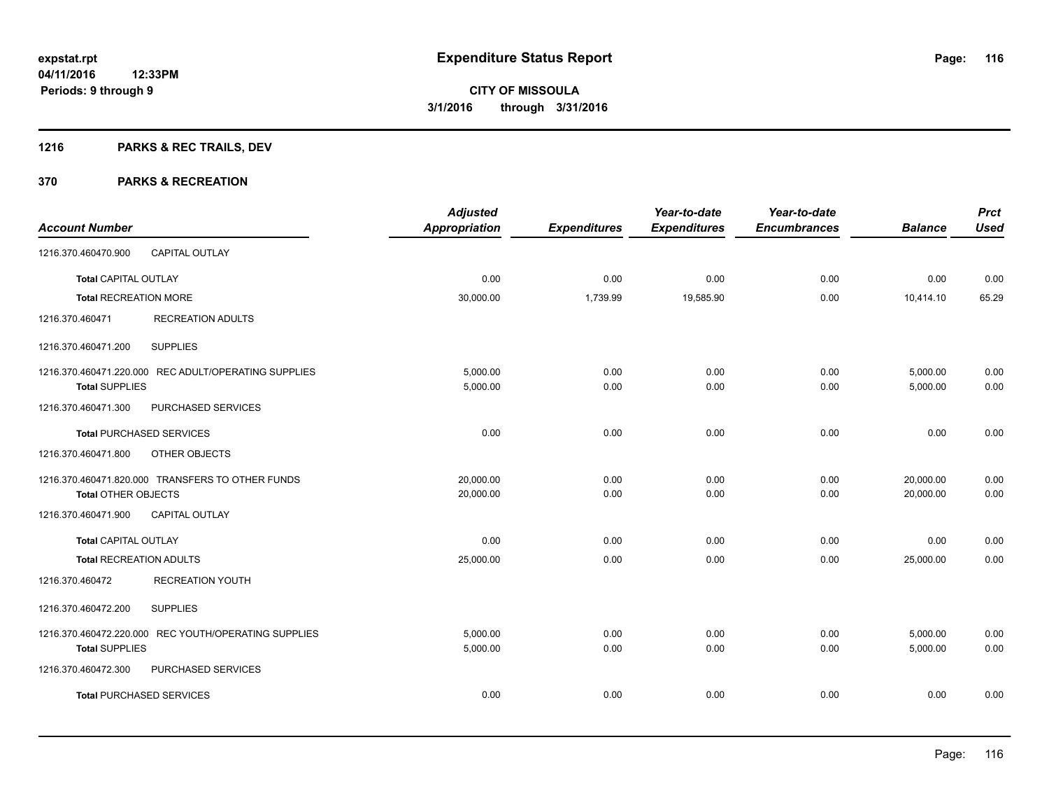## **1216 PARKS & REC TRAILS, DEV**

| <b>Account Number</b>          |                                                      | <b>Adjusted</b><br><b>Appropriation</b> | <b>Expenditures</b> | Year-to-date<br><b>Expenditures</b> | Year-to-date<br><b>Encumbrances</b> | <b>Balance</b> | <b>Prct</b><br><b>Used</b> |
|--------------------------------|------------------------------------------------------|-----------------------------------------|---------------------|-------------------------------------|-------------------------------------|----------------|----------------------------|
| 1216.370.460470.900            | CAPITAL OUTLAY                                       |                                         |                     |                                     |                                     |                |                            |
|                                |                                                      |                                         |                     |                                     |                                     |                |                            |
| <b>Total CAPITAL OUTLAY</b>    |                                                      | 0.00                                    | 0.00                | 0.00                                | 0.00                                | 0.00           | 0.00                       |
| <b>Total RECREATION MORE</b>   |                                                      | 30,000.00                               | 1,739.99            | 19,585.90                           | 0.00                                | 10,414.10      | 65.29                      |
| 1216.370.460471                | <b>RECREATION ADULTS</b>                             |                                         |                     |                                     |                                     |                |                            |
| 1216.370.460471.200            | <b>SUPPLIES</b>                                      |                                         |                     |                                     |                                     |                |                            |
|                                | 1216.370.460471.220.000 REC ADULT/OPERATING SUPPLIES | 5.000.00                                | 0.00                | 0.00                                | 0.00                                | 5,000.00       | 0.00                       |
| <b>Total SUPPLIES</b>          |                                                      | 5,000.00                                | 0.00                | 0.00                                | 0.00                                | 5,000.00       | 0.00                       |
| 1216.370.460471.300            | PURCHASED SERVICES                                   |                                         |                     |                                     |                                     |                |                            |
|                                | <b>Total PURCHASED SERVICES</b>                      | 0.00                                    | 0.00                | 0.00                                | 0.00                                | 0.00           | 0.00                       |
| 1216.370.460471.800            | OTHER OBJECTS                                        |                                         |                     |                                     |                                     |                |                            |
|                                | 1216.370.460471.820.000 TRANSFERS TO OTHER FUNDS     | 20,000.00                               | 0.00                | 0.00                                | 0.00                                | 20,000.00      | 0.00                       |
| <b>Total OTHER OBJECTS</b>     |                                                      | 20,000.00                               | 0.00                | 0.00                                | 0.00                                | 20,000.00      | 0.00                       |
| 1216.370.460471.900            | CAPITAL OUTLAY                                       |                                         |                     |                                     |                                     |                |                            |
| <b>Total CAPITAL OUTLAY</b>    |                                                      | 0.00                                    | 0.00                | 0.00                                | 0.00                                | 0.00           | 0.00                       |
| <b>Total RECREATION ADULTS</b> |                                                      | 25,000.00                               | 0.00                | 0.00                                | 0.00                                | 25,000.00      | 0.00                       |
| 1216.370.460472                | <b>RECREATION YOUTH</b>                              |                                         |                     |                                     |                                     |                |                            |
| 1216.370.460472.200            | <b>SUPPLIES</b>                                      |                                         |                     |                                     |                                     |                |                            |
|                                | 1216.370.460472.220.000 REC YOUTH/OPERATING SUPPLIES | 5,000.00                                | 0.00                | 0.00                                | 0.00                                | 5,000.00       | 0.00                       |
| <b>Total SUPPLIES</b>          |                                                      | 5,000.00                                | 0.00                | 0.00                                | 0.00                                | 5,000.00       | 0.00                       |
| 1216.370.460472.300            | PURCHASED SERVICES                                   |                                         |                     |                                     |                                     |                |                            |
|                                | <b>Total PURCHASED SERVICES</b>                      | 0.00                                    | 0.00                | 0.00                                | 0.00                                | 0.00           | 0.00                       |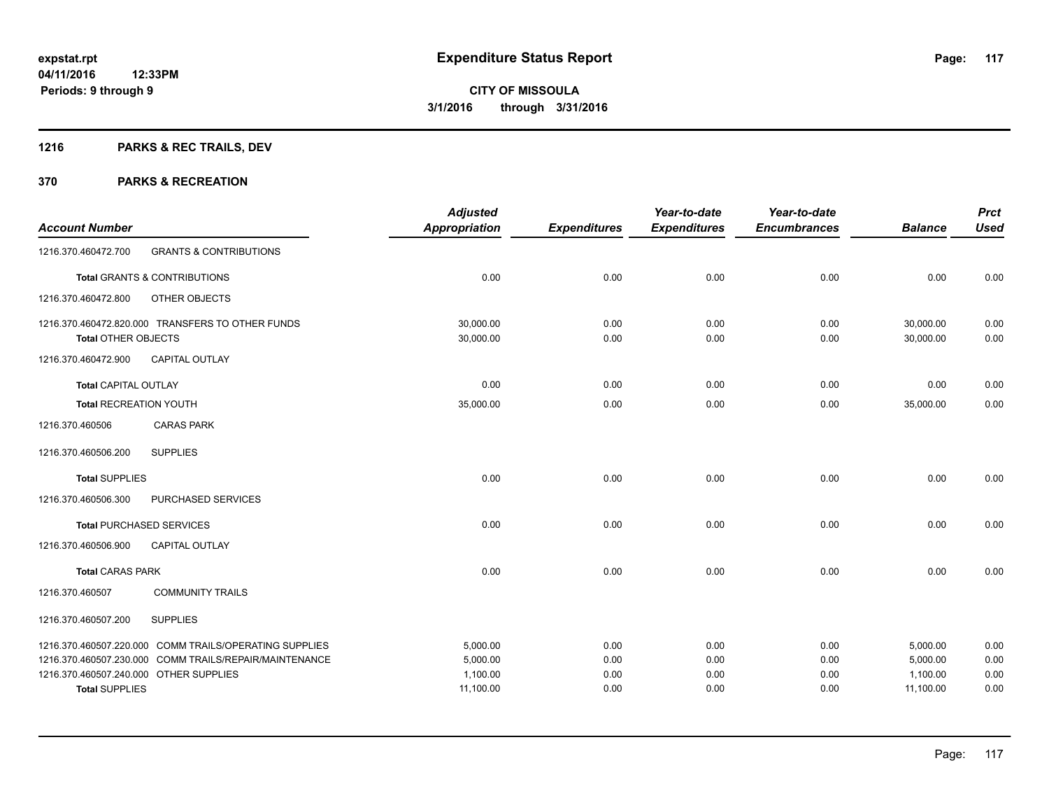## **1216 PARKS & REC TRAILS, DEV**

|                                                                 |                                                        | <b>Adjusted</b>       |                     | Year-to-date        | Year-to-date        |                       | <b>Prct</b>  |
|-----------------------------------------------------------------|--------------------------------------------------------|-----------------------|---------------------|---------------------|---------------------|-----------------------|--------------|
| <b>Account Number</b>                                           |                                                        | <b>Appropriation</b>  | <b>Expenditures</b> | <b>Expenditures</b> | <b>Encumbrances</b> | <b>Balance</b>        | <b>Used</b>  |
| 1216.370.460472.700                                             | <b>GRANTS &amp; CONTRIBUTIONS</b>                      |                       |                     |                     |                     |                       |              |
|                                                                 | Total GRANTS & CONTRIBUTIONS                           | 0.00                  | 0.00                | 0.00                | 0.00                | 0.00                  | 0.00         |
| 1216.370.460472.800                                             | OTHER OBJECTS                                          |                       |                     |                     |                     |                       |              |
|                                                                 | 1216.370.460472.820.000 TRANSFERS TO OTHER FUNDS       | 30,000.00             | 0.00                | 0.00                | 0.00                | 30,000.00             | 0.00         |
| Total OTHER OBJECTS                                             |                                                        | 30,000.00             | 0.00                | 0.00                | 0.00                | 30,000.00             | 0.00         |
| 1216.370.460472.900                                             | <b>CAPITAL OUTLAY</b>                                  |                       |                     |                     |                     |                       |              |
| <b>Total CAPITAL OUTLAY</b>                                     |                                                        | 0.00                  | 0.00                | 0.00                | 0.00                | 0.00                  | 0.00         |
| <b>Total RECREATION YOUTH</b>                                   |                                                        | 35,000.00             | 0.00                | 0.00                | 0.00                | 35,000.00             | 0.00         |
| 1216.370.460506                                                 | <b>CARAS PARK</b>                                      |                       |                     |                     |                     |                       |              |
| 1216.370.460506.200                                             | <b>SUPPLIES</b>                                        |                       |                     |                     |                     |                       |              |
| <b>Total SUPPLIES</b>                                           |                                                        | 0.00                  | 0.00                | 0.00                | 0.00                | 0.00                  | 0.00         |
| 1216.370.460506.300                                             | PURCHASED SERVICES                                     |                       |                     |                     |                     |                       |              |
| <b>Total PURCHASED SERVICES</b>                                 |                                                        | 0.00                  | 0.00                | 0.00                | 0.00                | 0.00                  | 0.00         |
| 1216.370.460506.900                                             | <b>CAPITAL OUTLAY</b>                                  |                       |                     |                     |                     |                       |              |
| <b>Total CARAS PARK</b>                                         |                                                        | 0.00                  | 0.00                | 0.00                | 0.00                | 0.00                  | 0.00         |
| 1216.370.460507                                                 | <b>COMMUNITY TRAILS</b>                                |                       |                     |                     |                     |                       |              |
| 1216.370.460507.200                                             | <b>SUPPLIES</b>                                        |                       |                     |                     |                     |                       |              |
|                                                                 | 1216.370.460507.220.000 COMM TRAILS/OPERATING SUPPLIES | 5,000.00              | 0.00                | 0.00                | 0.00                | 5,000.00              | 0.00         |
|                                                                 | 1216.370.460507.230.000 COMM TRAILS/REPAIR/MAINTENANCE | 5,000.00              | 0.00                | 0.00                | 0.00                | 5,000.00              | 0.00         |
| 1216.370.460507.240.000 OTHER SUPPLIES<br><b>Total SUPPLIES</b> |                                                        | 1,100.00<br>11,100.00 | 0.00<br>0.00        | 0.00<br>0.00        | 0.00<br>0.00        | 1,100.00<br>11,100.00 | 0.00<br>0.00 |
|                                                                 |                                                        |                       |                     |                     |                     |                       |              |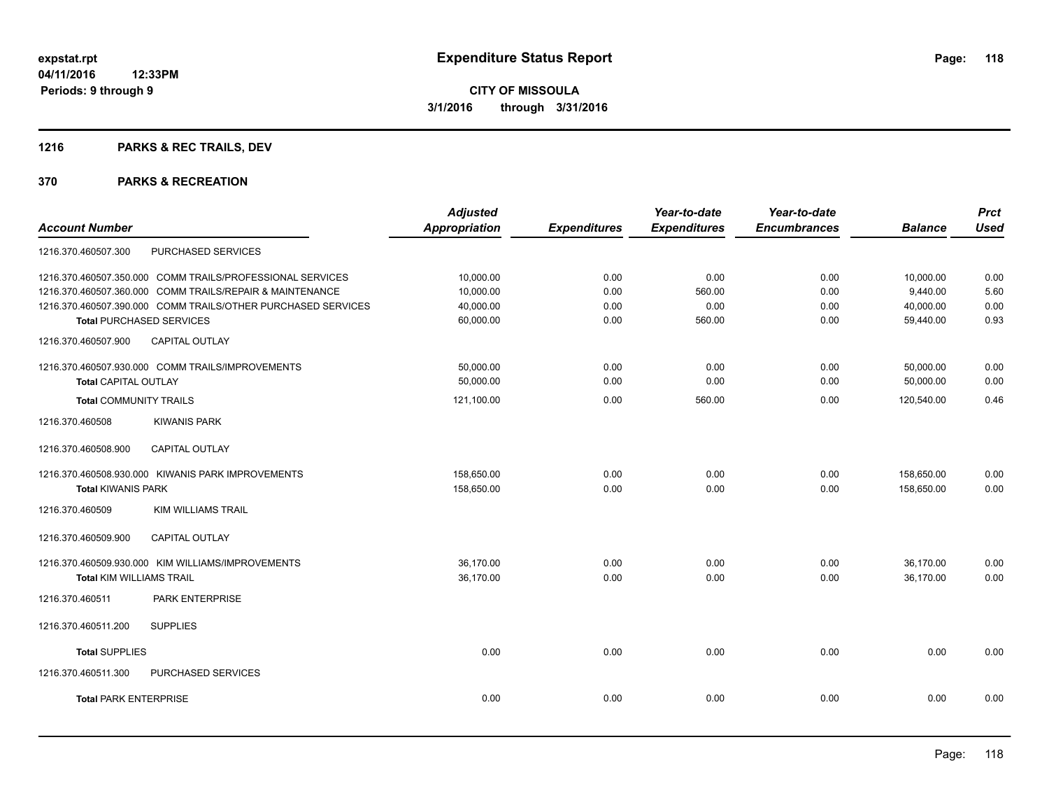## **1216 PARKS & REC TRAILS, DEV**

|                                                              | <b>Adjusted</b>      |                     | Year-to-date        | Year-to-date        |                | <b>Prct</b> |
|--------------------------------------------------------------|----------------------|---------------------|---------------------|---------------------|----------------|-------------|
| <b>Account Number</b>                                        | <b>Appropriation</b> | <b>Expenditures</b> | <b>Expenditures</b> | <b>Encumbrances</b> | <b>Balance</b> | <b>Used</b> |
| PURCHASED SERVICES<br>1216.370.460507.300                    |                      |                     |                     |                     |                |             |
| 1216.370.460507.350.000 COMM TRAILS/PROFESSIONAL SERVICES    | 10,000.00            | 0.00                | 0.00                | 0.00                | 10,000.00      | 0.00        |
| 1216.370.460507.360.000 COMM TRAILS/REPAIR & MAINTENANCE     | 10,000.00            | 0.00                | 560.00              | 0.00                | 9,440.00       | 5.60        |
| 1216.370.460507.390.000 COMM TRAILS/OTHER PURCHASED SERVICES | 40,000.00            | 0.00                | 0.00                | 0.00                | 40,000.00      | 0.00        |
| <b>Total PURCHASED SERVICES</b>                              | 60,000.00            | 0.00                | 560.00              | 0.00                | 59,440.00      | 0.93        |
| CAPITAL OUTLAY<br>1216.370.460507.900                        |                      |                     |                     |                     |                |             |
| 1216.370.460507.930.000 COMM TRAILS/IMPROVEMENTS             | 50,000.00            | 0.00                | 0.00                | 0.00                | 50,000.00      | 0.00        |
| <b>Total CAPITAL OUTLAY</b>                                  | 50,000.00            | 0.00                | 0.00                | 0.00                | 50,000.00      | 0.00        |
| <b>Total COMMUNITY TRAILS</b>                                | 121,100.00           | 0.00                | 560.00              | 0.00                | 120,540.00     | 0.46        |
| <b>KIWANIS PARK</b><br>1216.370.460508                       |                      |                     |                     |                     |                |             |
| CAPITAL OUTLAY<br>1216.370.460508.900                        |                      |                     |                     |                     |                |             |
| 1216.370.460508.930.000 KIWANIS PARK IMPROVEMENTS            | 158,650.00           | 0.00                | 0.00                | 0.00                | 158,650.00     | 0.00        |
| <b>Total KIWANIS PARK</b>                                    | 158.650.00           | 0.00                | 0.00                | 0.00                | 158.650.00     | 0.00        |
| 1216.370.460509<br><b>KIM WILLIAMS TRAIL</b>                 |                      |                     |                     |                     |                |             |
| <b>CAPITAL OUTLAY</b><br>1216.370.460509.900                 |                      |                     |                     |                     |                |             |
| 1216.370.460509.930.000 KIM WILLIAMS/IMPROVEMENTS            | 36,170.00            | 0.00                | 0.00                | 0.00                | 36,170.00      | 0.00        |
| <b>Total KIM WILLIAMS TRAIL</b>                              | 36,170.00            | 0.00                | 0.00                | 0.00                | 36,170.00      | 0.00        |
| PARK ENTERPRISE<br>1216.370.460511                           |                      |                     |                     |                     |                |             |
| <b>SUPPLIES</b><br>1216.370.460511.200                       |                      |                     |                     |                     |                |             |
| <b>Total SUPPLIES</b>                                        | 0.00                 | 0.00                | 0.00                | 0.00                | 0.00           | 0.00        |
| 1216.370.460511.300<br><b>PURCHASED SERVICES</b>             |                      |                     |                     |                     |                |             |
| <b>Total PARK ENTERPRISE</b>                                 | 0.00                 | 0.00                | 0.00                | 0.00                | 0.00           | 0.00        |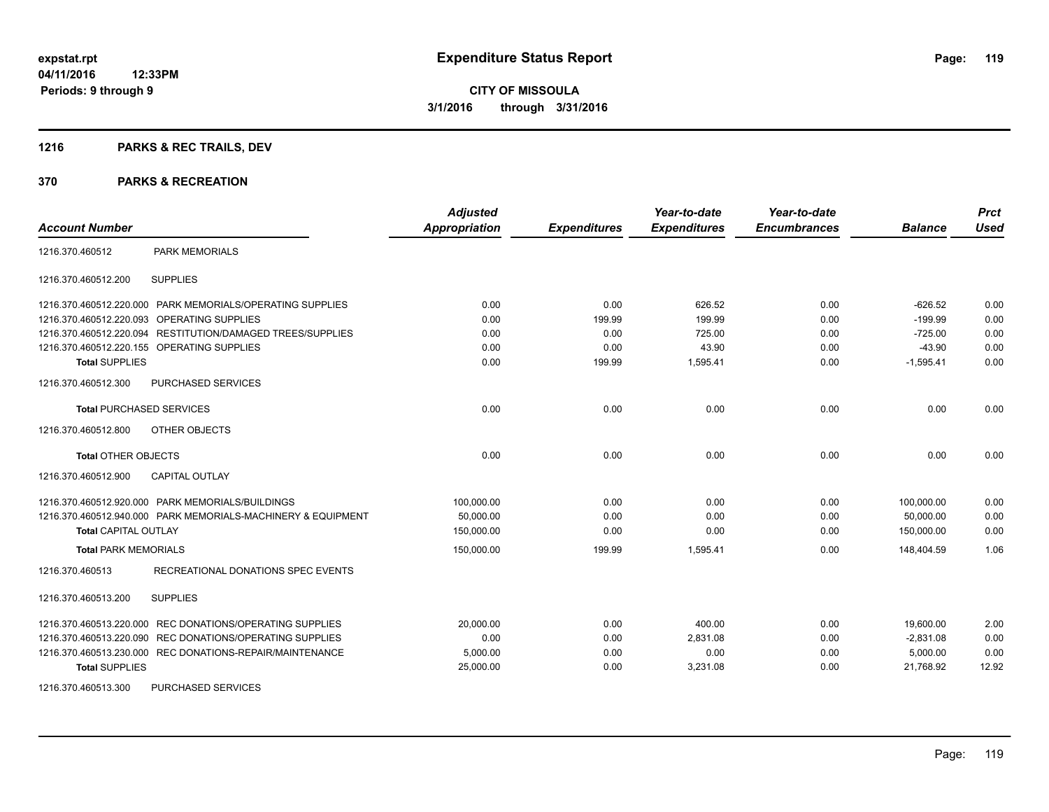## **1216 PARKS & REC TRAILS, DEV**

| <b>Account Number</b>           |                                                              | <b>Adjusted</b><br>Appropriation | <b>Expenditures</b> | Year-to-date<br><b>Expenditures</b> | Year-to-date<br><b>Encumbrances</b> | <b>Balance</b> | <b>Prct</b><br><b>Used</b> |
|---------------------------------|--------------------------------------------------------------|----------------------------------|---------------------|-------------------------------------|-------------------------------------|----------------|----------------------------|
| 1216.370.460512                 | <b>PARK MEMORIALS</b>                                        |                                  |                     |                                     |                                     |                |                            |
| 1216.370.460512.200             | <b>SUPPLIES</b>                                              |                                  |                     |                                     |                                     |                |                            |
|                                 | 1216.370.460512.220.000 PARK MEMORIALS/OPERATING SUPPLIES    | 0.00                             | 0.00                | 626.52                              | 0.00                                | $-626.52$      | 0.00                       |
| 1216.370.460512.220.093         | OPERATING SUPPLIES                                           | 0.00                             | 199.99              | 199.99                              | 0.00                                | $-199.99$      | 0.00                       |
| 1216.370.460512.220.094         | RESTITUTION/DAMAGED TREES/SUPPLIES                           | 0.00                             | 0.00                | 725.00                              | 0.00                                | $-725.00$      | 0.00                       |
|                                 | 1216.370.460512.220.155 OPERATING SUPPLIES                   | 0.00                             | 0.00                | 43.90                               | 0.00                                | $-43.90$       | 0.00                       |
| <b>Total SUPPLIES</b>           |                                                              | 0.00                             | 199.99              | 1,595.41                            | 0.00                                | $-1,595.41$    | 0.00                       |
| 1216.370.460512.300             | PURCHASED SERVICES                                           |                                  |                     |                                     |                                     |                |                            |
| <b>Total PURCHASED SERVICES</b> |                                                              | 0.00                             | 0.00                | 0.00                                | 0.00                                | 0.00           | 0.00                       |
| 1216.370.460512.800             | OTHER OBJECTS                                                |                                  |                     |                                     |                                     |                |                            |
| <b>Total OTHER OBJECTS</b>      |                                                              | 0.00                             | 0.00                | 0.00                                | 0.00                                | 0.00           | 0.00                       |
| 1216.370.460512.900             | <b>CAPITAL OUTLAY</b>                                        |                                  |                     |                                     |                                     |                |                            |
|                                 | 1216.370.460512.920.000 PARK MEMORIALS/BUILDINGS             | 100,000.00                       | 0.00                | 0.00                                | 0.00                                | 100.000.00     | 0.00                       |
|                                 | 1216.370.460512.940.000 PARK MEMORIALS-MACHINERY & EQUIPMENT | 50,000.00                        | 0.00                | 0.00                                | 0.00                                | 50,000.00      | 0.00                       |
| <b>Total CAPITAL OUTLAY</b>     |                                                              | 150,000.00                       | 0.00                | 0.00                                | 0.00                                | 150,000.00     | 0.00                       |
| <b>Total PARK MEMORIALS</b>     |                                                              | 150,000.00                       | 199.99              | 1,595.41                            | 0.00                                | 148,404.59     | 1.06                       |
| 1216.370.460513                 | RECREATIONAL DONATIONS SPEC EVENTS                           |                                  |                     |                                     |                                     |                |                            |
| 1216.370.460513.200             | <b>SUPPLIES</b>                                              |                                  |                     |                                     |                                     |                |                            |
| 1216.370.460513.220.000         | REC DONATIONS/OPERATING SUPPLIES                             | 20,000.00                        | 0.00                | 400.00                              | 0.00                                | 19,600.00      | 2.00                       |
| 1216.370.460513.220.090         | REC DONATIONS/OPERATING SUPPLIES                             | 0.00                             | 0.00                | 2.831.08                            | 0.00                                | $-2.831.08$    | 0.00                       |
|                                 | 1216.370.460513.230.000 REC DONATIONS-REPAIR/MAINTENANCE     | 5,000.00                         | 0.00                | 0.00                                | 0.00                                | 5,000.00       | 0.00                       |
| <b>Total SUPPLIES</b>           |                                                              | 25,000.00                        | 0.00                | 3,231.08                            | 0.00                                | 21,768.92      | 12.92                      |
| 1216.370.460513.300             | PURCHASED SERVICES                                           |                                  |                     |                                     |                                     |                |                            |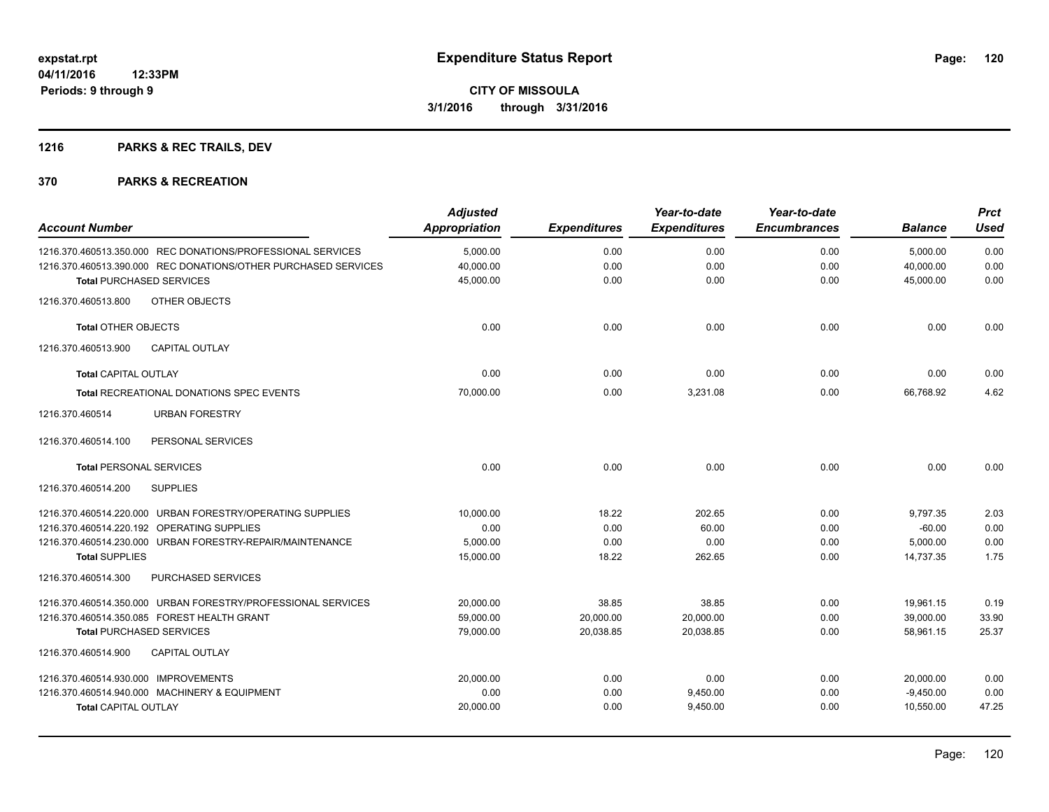## **1216 PARKS & REC TRAILS, DEV**

| <b>Account Number</b>                                          | <b>Adjusted</b><br><b>Appropriation</b> | <b>Expenditures</b> | Year-to-date<br><b>Expenditures</b> | Year-to-date<br><b>Encumbrances</b> | <b>Balance</b> | <b>Prct</b><br><b>Used</b> |
|----------------------------------------------------------------|-----------------------------------------|---------------------|-------------------------------------|-------------------------------------|----------------|----------------------------|
| 1216.370.460513.350.000 REC DONATIONS/PROFESSIONAL SERVICES    | 5,000.00                                | 0.00                | 0.00                                | 0.00                                | 5,000.00       | 0.00                       |
| 1216.370.460513.390.000 REC DONATIONS/OTHER PURCHASED SERVICES | 40,000.00                               | 0.00                | 0.00                                | 0.00                                | 40,000.00      | 0.00                       |
| <b>Total PURCHASED SERVICES</b>                                | 45,000.00                               | 0.00                | 0.00                                | 0.00                                | 45,000.00      | 0.00                       |
| OTHER OBJECTS<br>1216.370.460513.800                           |                                         |                     |                                     |                                     |                |                            |
| <b>Total OTHER OBJECTS</b>                                     | 0.00                                    | 0.00                | 0.00                                | 0.00                                | 0.00           | 0.00                       |
| 1216.370.460513.900<br><b>CAPITAL OUTLAY</b>                   |                                         |                     |                                     |                                     |                |                            |
| <b>Total CAPITAL OUTLAY</b>                                    | 0.00                                    | 0.00                | 0.00                                | 0.00                                | 0.00           | 0.00                       |
| Total RECREATIONAL DONATIONS SPEC EVENTS                       | 70,000.00                               | 0.00                | 3,231.08                            | 0.00                                | 66,768.92      | 4.62                       |
| <b>URBAN FORESTRY</b><br>1216.370.460514                       |                                         |                     |                                     |                                     |                |                            |
| 1216.370.460514.100<br>PERSONAL SERVICES                       |                                         |                     |                                     |                                     |                |                            |
| <b>Total PERSONAL SERVICES</b>                                 | 0.00                                    | 0.00                | 0.00                                | 0.00                                | 0.00           | 0.00                       |
| 1216.370.460514.200<br><b>SUPPLIES</b>                         |                                         |                     |                                     |                                     |                |                            |
| 1216.370.460514.220.000 URBAN FORESTRY/OPERATING SUPPLIES      | 10,000.00                               | 18.22               | 202.65                              | 0.00                                | 9,797.35       | 2.03                       |
| 1216.370.460514.220.192 OPERATING SUPPLIES                     | 0.00                                    | 0.00                | 60.00                               | 0.00                                | $-60.00$       | 0.00                       |
| 1216.370.460514.230.000 URBAN FORESTRY-REPAIR/MAINTENANCE      | 5,000.00                                | 0.00                | 0.00                                | 0.00                                | 5,000.00       | 0.00                       |
| <b>Total SUPPLIES</b>                                          | 15,000.00                               | 18.22               | 262.65                              | 0.00                                | 14,737.35      | 1.75                       |
| 1216.370.460514.300<br>PURCHASED SERVICES                      |                                         |                     |                                     |                                     |                |                            |
| 1216.370.460514.350.000 URBAN FORESTRY/PROFESSIONAL SERVICES   | 20,000.00                               | 38.85               | 38.85                               | 0.00                                | 19,961.15      | 0.19                       |
| 1216.370.460514.350.085 FOREST HEALTH GRANT                    | 59,000.00                               | 20,000.00           | 20,000.00                           | 0.00                                | 39,000.00      | 33.90                      |
| <b>Total PURCHASED SERVICES</b>                                | 79,000.00                               | 20,038.85           | 20.038.85                           | 0.00                                | 58.961.15      | 25.37                      |
| <b>CAPITAL OUTLAY</b><br>1216.370.460514.900                   |                                         |                     |                                     |                                     |                |                            |
| 1216.370.460514.930.000 IMPROVEMENTS                           | 20,000.00                               | 0.00                | 0.00                                | 0.00                                | 20,000.00      | 0.00                       |
| 1216.370.460514.940.000 MACHINERY & EQUIPMENT                  | 0.00                                    | 0.00                | 9,450.00                            | 0.00                                | $-9,450.00$    | 0.00                       |
| <b>Total CAPITAL OUTLAY</b>                                    | 20,000.00                               | 0.00                | 9,450.00                            | 0.00                                | 10,550.00      | 47.25                      |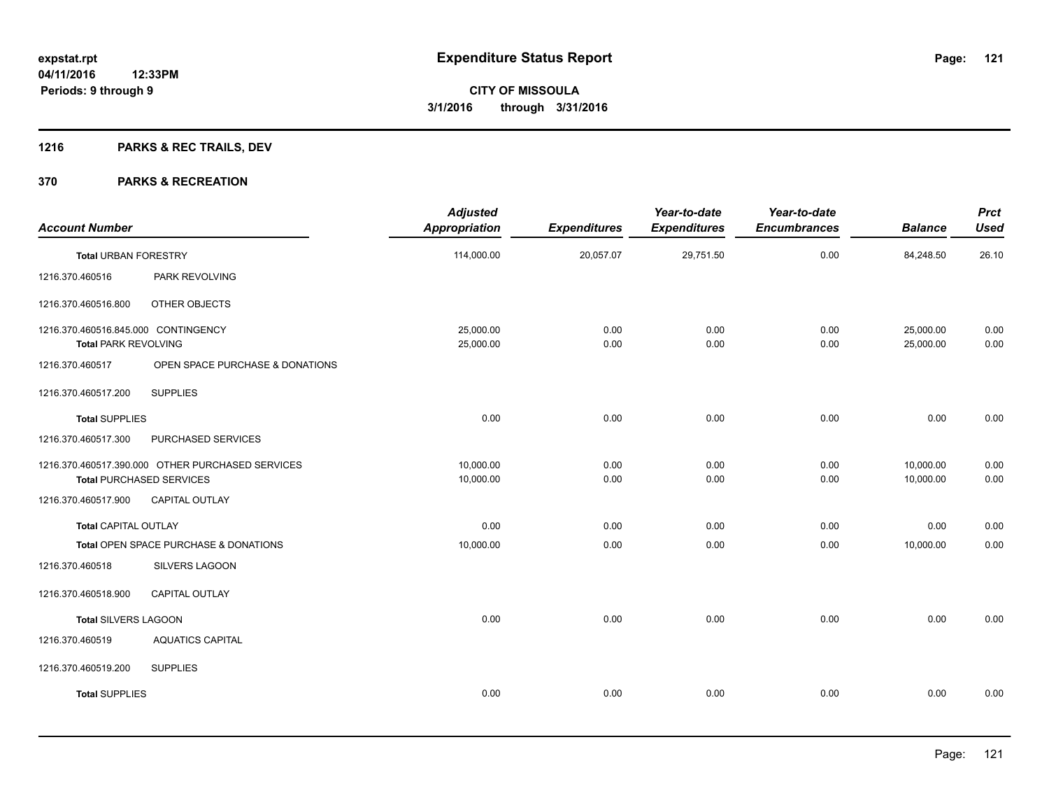## **1216 PARKS & REC TRAILS, DEV**

| <b>Account Number</b>                                              |                                                                                     | <b>Adjusted</b><br><b>Appropriation</b> | <b>Expenditures</b> | Year-to-date<br><b>Expenditures</b> | Year-to-date<br><b>Encumbrances</b> | <b>Balance</b>         | <b>Prct</b><br><b>Used</b> |
|--------------------------------------------------------------------|-------------------------------------------------------------------------------------|-----------------------------------------|---------------------|-------------------------------------|-------------------------------------|------------------------|----------------------------|
| <b>Total URBAN FORESTRY</b>                                        |                                                                                     | 114,000.00                              | 20,057.07           | 29,751.50                           | 0.00                                | 84,248.50              | 26.10                      |
| 1216.370.460516                                                    | PARK REVOLVING                                                                      |                                         |                     |                                     |                                     |                        |                            |
| 1216.370.460516.800                                                | OTHER OBJECTS                                                                       |                                         |                     |                                     |                                     |                        |                            |
| 1216.370.460516.845.000 CONTINGENCY<br><b>Total PARK REVOLVING</b> |                                                                                     | 25,000.00<br>25,000.00                  | 0.00<br>0.00        | 0.00<br>0.00                        | 0.00<br>0.00                        | 25,000.00<br>25,000.00 | 0.00<br>0.00               |
| 1216.370.460517                                                    | OPEN SPACE PURCHASE & DONATIONS                                                     |                                         |                     |                                     |                                     |                        |                            |
| 1216.370.460517.200                                                | <b>SUPPLIES</b>                                                                     |                                         |                     |                                     |                                     |                        |                            |
| <b>Total SUPPLIES</b>                                              |                                                                                     | 0.00                                    | 0.00                | 0.00                                | 0.00                                | 0.00                   | 0.00                       |
| 1216.370.460517.300                                                | PURCHASED SERVICES                                                                  |                                         |                     |                                     |                                     |                        |                            |
|                                                                    | 1216.370.460517.390.000 OTHER PURCHASED SERVICES<br><b>Total PURCHASED SERVICES</b> | 10,000.00<br>10,000.00                  | 0.00<br>0.00        | 0.00<br>0.00                        | 0.00<br>0.00                        | 10,000.00<br>10,000.00 | 0.00<br>0.00               |
| 1216.370.460517.900                                                | <b>CAPITAL OUTLAY</b>                                                               |                                         |                     |                                     |                                     |                        |                            |
| <b>Total CAPITAL OUTLAY</b>                                        |                                                                                     | 0.00                                    | 0.00                | 0.00                                | 0.00                                | 0.00                   | 0.00                       |
|                                                                    | Total OPEN SPACE PURCHASE & DONATIONS                                               | 10,000.00                               | 0.00                | 0.00                                | 0.00                                | 10,000.00              | 0.00                       |
| 1216.370.460518                                                    | SILVERS LAGOON                                                                      |                                         |                     |                                     |                                     |                        |                            |
| 1216.370.460518.900                                                | CAPITAL OUTLAY                                                                      |                                         |                     |                                     |                                     |                        |                            |
| Total SILVERS LAGOON                                               |                                                                                     | 0.00                                    | 0.00                | 0.00                                | 0.00                                | 0.00                   | 0.00                       |
| 1216.370.460519                                                    | <b>AQUATICS CAPITAL</b>                                                             |                                         |                     |                                     |                                     |                        |                            |
| 1216.370.460519.200                                                | <b>SUPPLIES</b>                                                                     |                                         |                     |                                     |                                     |                        |                            |
| <b>Total SUPPLIES</b>                                              |                                                                                     | 0.00                                    | 0.00                | 0.00                                | 0.00                                | 0.00                   | 0.00                       |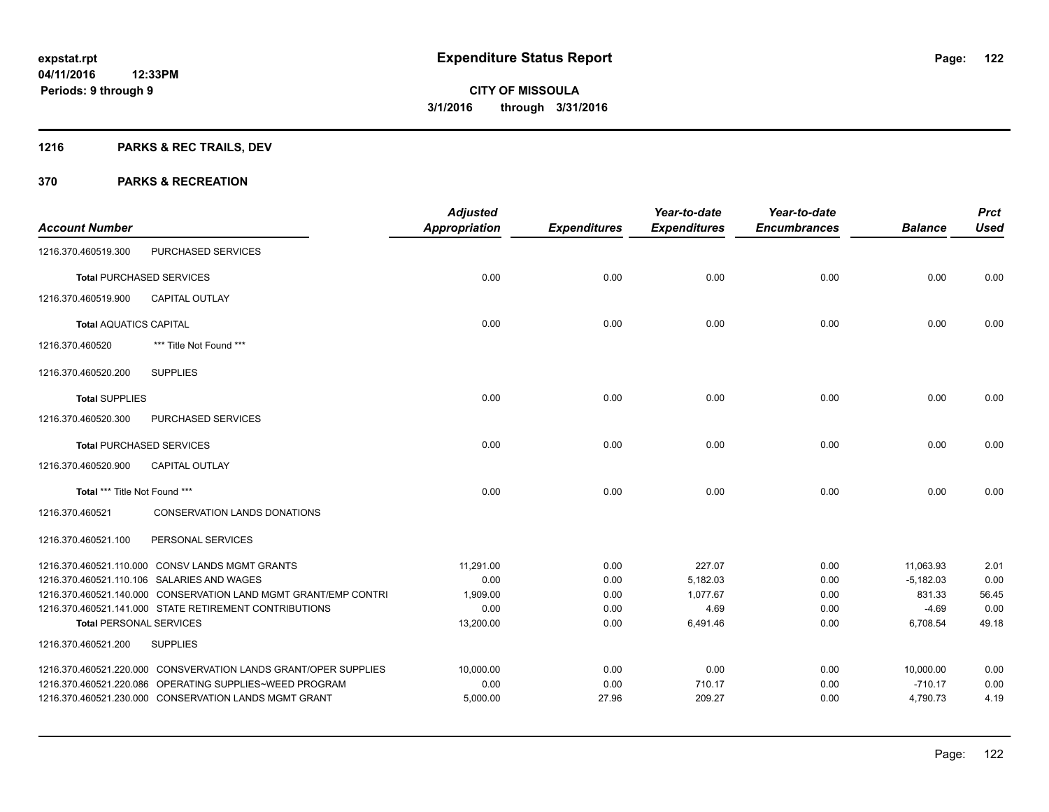## **1216 PARKS & REC TRAILS, DEV**

| <b>Account Number</b>          |                                                                 | <b>Adjusted</b><br><b>Appropriation</b> | <b>Expenditures</b> | Year-to-date<br><b>Expenditures</b> | Year-to-date<br><b>Encumbrances</b> | <b>Balance</b> | <b>Prct</b><br><b>Used</b> |
|--------------------------------|-----------------------------------------------------------------|-----------------------------------------|---------------------|-------------------------------------|-------------------------------------|----------------|----------------------------|
| 1216.370.460519.300            | PURCHASED SERVICES                                              |                                         |                     |                                     |                                     |                |                            |
|                                | <b>Total PURCHASED SERVICES</b>                                 | 0.00                                    | 0.00                | 0.00                                | 0.00                                | 0.00           | 0.00                       |
| 1216.370.460519.900            | <b>CAPITAL OUTLAY</b>                                           |                                         |                     |                                     |                                     |                |                            |
| <b>Total AQUATICS CAPITAL</b>  |                                                                 | 0.00                                    | 0.00                | 0.00                                | 0.00                                | 0.00           | 0.00                       |
| 1216.370.460520                | *** Title Not Found ***                                         |                                         |                     |                                     |                                     |                |                            |
| 1216.370.460520.200            | <b>SUPPLIES</b>                                                 |                                         |                     |                                     |                                     |                |                            |
| <b>Total SUPPLIES</b>          |                                                                 | 0.00                                    | 0.00                | 0.00                                | 0.00                                | 0.00           | 0.00                       |
| 1216.370.460520.300            | PURCHASED SERVICES                                              |                                         |                     |                                     |                                     |                |                            |
|                                | <b>Total PURCHASED SERVICES</b>                                 | 0.00                                    | 0.00                | 0.00                                | 0.00                                | 0.00           | 0.00                       |
| 1216.370.460520.900            | <b>CAPITAL OUTLAY</b>                                           |                                         |                     |                                     |                                     |                |                            |
| Total *** Title Not Found ***  |                                                                 | 0.00                                    | 0.00                | 0.00                                | 0.00                                | 0.00           | 0.00                       |
| 1216.370.460521                | <b>CONSERVATION LANDS DONATIONS</b>                             |                                         |                     |                                     |                                     |                |                            |
| 1216.370.460521.100            | PERSONAL SERVICES                                               |                                         |                     |                                     |                                     |                |                            |
|                                | 1216.370.460521.110.000 CONSV LANDS MGMT GRANTS                 | 11,291.00                               | 0.00                | 227.07                              | 0.00                                | 11,063.93      | 2.01                       |
|                                | 1216.370.460521.110.106 SALARIES AND WAGES                      | 0.00                                    | 0.00                | 5,182.03                            | 0.00                                | $-5,182.03$    | 0.00                       |
|                                | 1216.370.460521.140.000 CONSERVATION LAND MGMT GRANT/EMP CONTRI | 1.909.00                                | 0.00                | 1.077.67                            | 0.00                                | 831.33         | 56.45                      |
|                                | 1216.370.460521.141.000 STATE RETIREMENT CONTRIBUTIONS          | 0.00                                    | 0.00                | 4.69                                | 0.00                                | $-4.69$        | 0.00                       |
| <b>Total PERSONAL SERVICES</b> |                                                                 | 13,200.00                               | 0.00                | 6,491.46                            | 0.00                                | 6,708.54       | 49.18                      |
| 1216.370.460521.200            | <b>SUPPLIES</b>                                                 |                                         |                     |                                     |                                     |                |                            |
|                                | 1216.370.460521.220.000 CONSVERVATION LANDS GRANT/OPER SUPPLIES | 10,000.00                               | 0.00                | 0.00                                | 0.00                                | 10.000.00      | 0.00                       |
|                                | 1216.370.460521.220.086 OPERATING SUPPLIES~WEED PROGRAM         | 0.00                                    | 0.00                | 710.17                              | 0.00                                | $-710.17$      | 0.00                       |
|                                | 1216.370.460521.230.000 CONSERVATION LANDS MGMT GRANT           | 5,000.00                                | 27.96               | 209.27                              | 0.00                                | 4,790.73       | 4.19                       |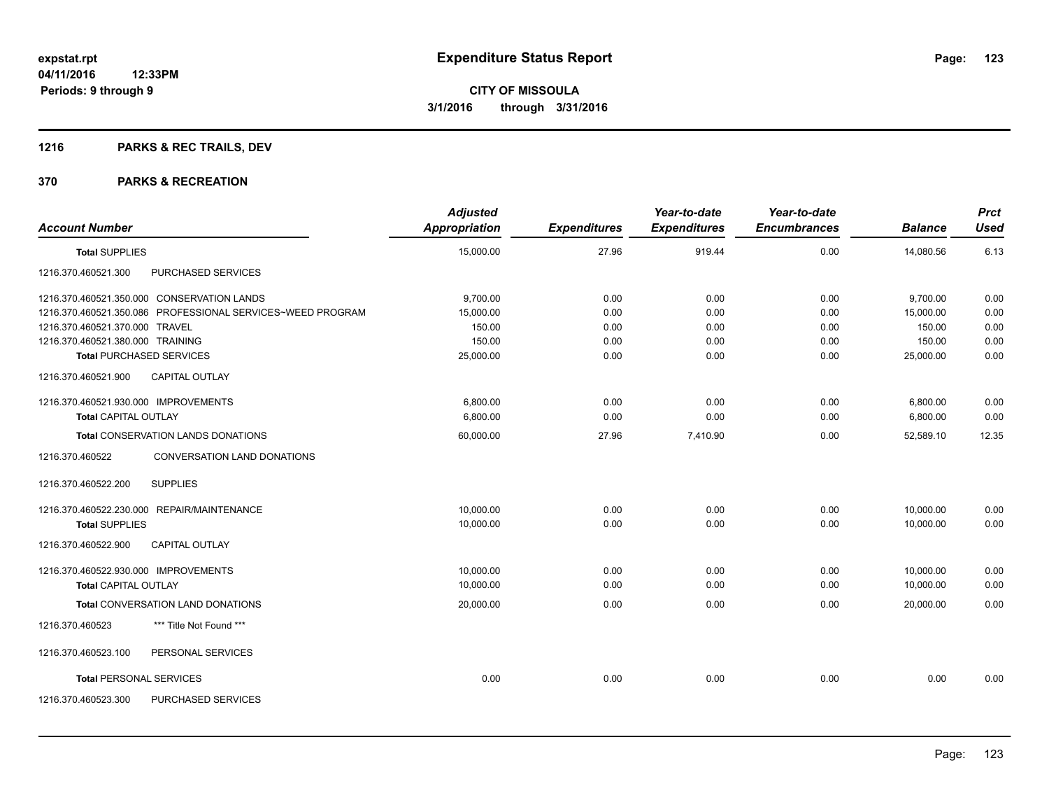## **1216 PARKS & REC TRAILS, DEV**

|                                                            | <b>Adjusted</b>      |                     | Year-to-date        | Year-to-date        |                | <b>Prct</b> |
|------------------------------------------------------------|----------------------|---------------------|---------------------|---------------------|----------------|-------------|
| <b>Account Number</b>                                      | <b>Appropriation</b> | <b>Expenditures</b> | <b>Expenditures</b> | <b>Encumbrances</b> | <b>Balance</b> | <b>Used</b> |
| <b>Total SUPPLIES</b>                                      | 15,000.00            | 27.96               | 919.44              | 0.00                | 14,080.56      | 6.13        |
| 1216.370.460521.300<br>PURCHASED SERVICES                  |                      |                     |                     |                     |                |             |
| 1216.370.460521.350.000 CONSERVATION LANDS                 | 9,700.00             | 0.00                | 0.00                | 0.00                | 9,700.00       | 0.00        |
| 1216.370.460521.350.086 PROFESSIONAL SERVICES~WEED PROGRAM | 15,000.00            | 0.00                | 0.00                | 0.00                | 15,000.00      | 0.00        |
| 1216.370.460521.370.000 TRAVEL                             | 150.00               | 0.00                | 0.00                | 0.00                | 150.00         | 0.00        |
| 1216.370.460521.380.000 TRAINING                           | 150.00               | 0.00                | 0.00                | 0.00                | 150.00         | 0.00        |
| <b>Total PURCHASED SERVICES</b>                            | 25,000.00            | 0.00                | 0.00                | 0.00                | 25,000.00      | 0.00        |
| 1216.370.460521.900<br><b>CAPITAL OUTLAY</b>               |                      |                     |                     |                     |                |             |
| 1216.370.460521.930.000 IMPROVEMENTS                       | 6,800.00             | 0.00                | 0.00                | 0.00                | 6,800.00       | 0.00        |
| <b>Total CAPITAL OUTLAY</b>                                | 6,800.00             | 0.00                | 0.00                | 0.00                | 6,800.00       | 0.00        |
| <b>Total CONSERVATION LANDS DONATIONS</b>                  | 60,000.00            | 27.96               | 7,410.90            | 0.00                | 52,589.10      | 12.35       |
| 1216.370.460522<br>CONVERSATION LAND DONATIONS             |                      |                     |                     |                     |                |             |
| 1216.370.460522.200<br><b>SUPPLIES</b>                     |                      |                     |                     |                     |                |             |
| 1216.370.460522.230.000 REPAIR/MAINTENANCE                 | 10.000.00            | 0.00                | 0.00                | 0.00                | 10,000.00      | 0.00        |
| <b>Total SUPPLIES</b>                                      | 10,000.00            | 0.00                | 0.00                | 0.00                | 10,000.00      | 0.00        |
| CAPITAL OUTLAY<br>1216.370.460522.900                      |                      |                     |                     |                     |                |             |
| 1216.370.460522.930.000 IMPROVEMENTS                       | 10,000.00            | 0.00                | 0.00                | 0.00                | 10,000.00      | 0.00        |
| <b>Total CAPITAL OUTLAY</b>                                | 10,000.00            | 0.00                | 0.00                | 0.00                | 10,000.00      | 0.00        |
| Total CONVERSATION LAND DONATIONS                          | 20,000.00            | 0.00                | 0.00                | 0.00                | 20,000.00      | 0.00        |
| *** Title Not Found ***<br>1216.370.460523                 |                      |                     |                     |                     |                |             |
| 1216.370.460523.100<br>PERSONAL SERVICES                   |                      |                     |                     |                     |                |             |
| <b>Total PERSONAL SERVICES</b>                             | 0.00                 | 0.00                | 0.00                | 0.00                | 0.00           | 0.00        |
| 1216.370.460523.300<br>PURCHASED SERVICES                  |                      |                     |                     |                     |                |             |
|                                                            |                      |                     |                     |                     |                |             |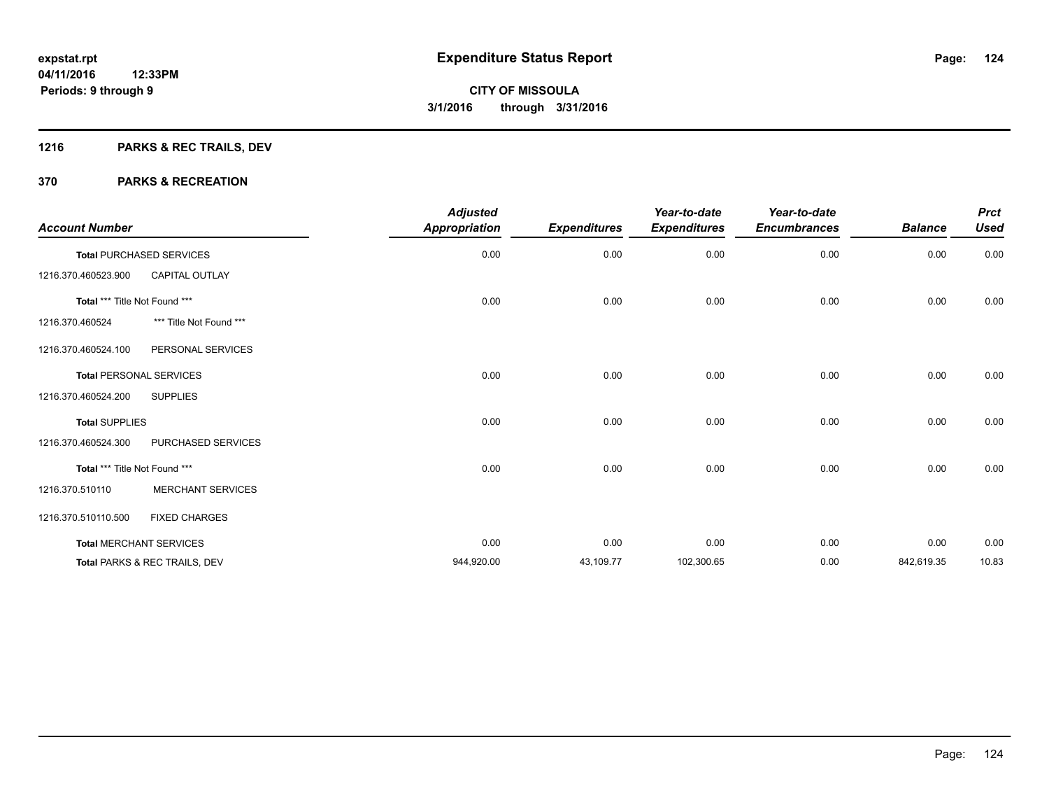## **1216 PARKS & REC TRAILS, DEV**

| <b>Account Number</b>         |                                          | <b>Adjusted</b><br><b>Appropriation</b> | <b>Expenditures</b> | Year-to-date<br><b>Expenditures</b> | Year-to-date<br><b>Encumbrances</b> | <b>Balance</b> | <b>Prct</b><br><b>Used</b> |
|-------------------------------|------------------------------------------|-----------------------------------------|---------------------|-------------------------------------|-------------------------------------|----------------|----------------------------|
|                               | <b>Total PURCHASED SERVICES</b>          | 0.00                                    | 0.00                | 0.00                                | 0.00                                | 0.00           | 0.00                       |
| 1216.370.460523.900           | <b>CAPITAL OUTLAY</b>                    |                                         |                     |                                     |                                     |                |                            |
| Total *** Title Not Found *** |                                          | 0.00                                    | 0.00                | 0.00                                | 0.00                                | 0.00           | 0.00                       |
| 1216.370.460524               | *** Title Not Found ***                  |                                         |                     |                                     |                                     |                |                            |
| 1216.370.460524.100           | PERSONAL SERVICES                        |                                         |                     |                                     |                                     |                |                            |
|                               | <b>Total PERSONAL SERVICES</b>           | 0.00                                    | 0.00                | 0.00                                | 0.00                                | 0.00           | 0.00                       |
| 1216.370.460524.200           | <b>SUPPLIES</b>                          |                                         |                     |                                     |                                     |                |                            |
| <b>Total SUPPLIES</b>         |                                          | 0.00                                    | 0.00                | 0.00                                | 0.00                                | 0.00           | 0.00                       |
| 1216.370.460524.300           | PURCHASED SERVICES                       |                                         |                     |                                     |                                     |                |                            |
| Total *** Title Not Found *** |                                          | 0.00                                    | 0.00                | 0.00                                | 0.00                                | 0.00           | 0.00                       |
| 1216.370.510110               | <b>MERCHANT SERVICES</b>                 |                                         |                     |                                     |                                     |                |                            |
| 1216.370.510110.500           | <b>FIXED CHARGES</b>                     |                                         |                     |                                     |                                     |                |                            |
|                               | <b>Total MERCHANT SERVICES</b>           | 0.00                                    | 0.00                | 0.00                                | 0.00                                | 0.00           | 0.00                       |
|                               | <b>Total PARKS &amp; REC TRAILS, DEV</b> | 944,920.00                              | 43,109.77           | 102,300.65                          | 0.00                                | 842,619.35     | 10.83                      |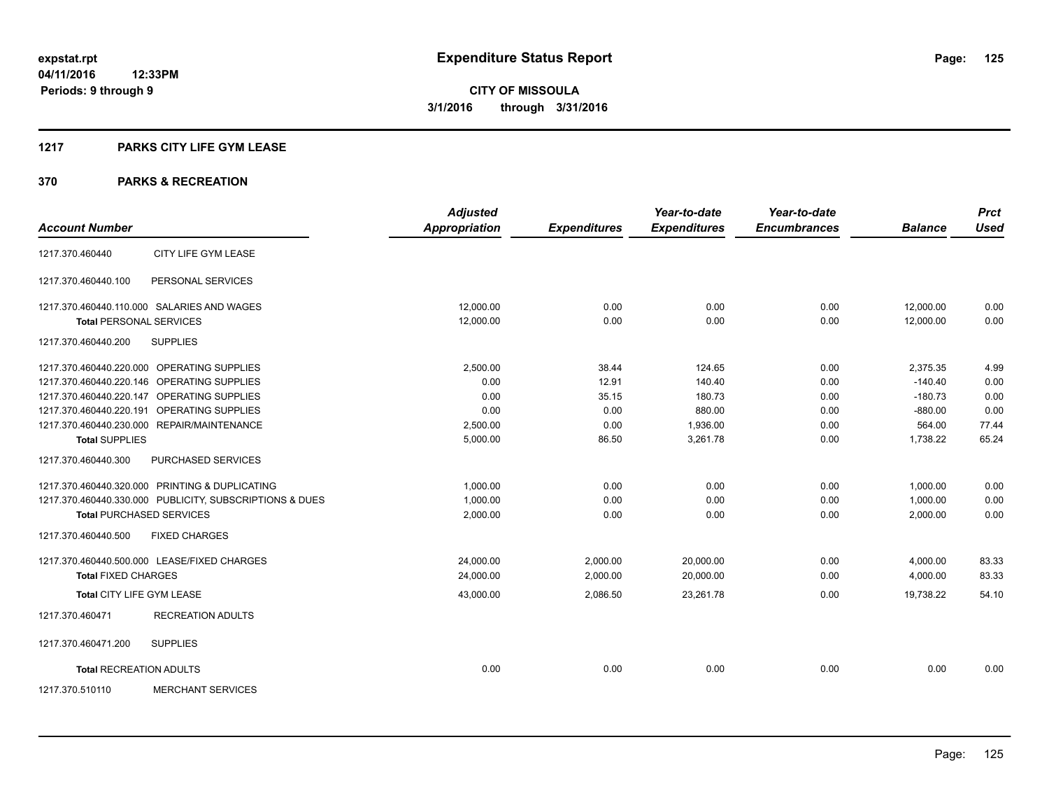#### **1217 PARKS CITY LIFE GYM LEASE**

|                                 |                                                         | <b>Adjusted</b>      |                     | Year-to-date        | Year-to-date        |                | <b>Prct</b> |
|---------------------------------|---------------------------------------------------------|----------------------|---------------------|---------------------|---------------------|----------------|-------------|
| <b>Account Number</b>           |                                                         | <b>Appropriation</b> | <b>Expenditures</b> | <b>Expenditures</b> | <b>Encumbrances</b> | <b>Balance</b> | <b>Used</b> |
| 1217.370.460440                 | CITY LIFE GYM LEASE                                     |                      |                     |                     |                     |                |             |
| 1217.370.460440.100             | PERSONAL SERVICES                                       |                      |                     |                     |                     |                |             |
|                                 | 1217.370.460440.110.000 SALARIES AND WAGES              | 12.000.00            | 0.00                | 0.00                | 0.00                | 12,000.00      | 0.00        |
| <b>Total PERSONAL SERVICES</b>  |                                                         | 12.000.00            | 0.00                | 0.00                | 0.00                | 12.000.00      | 0.00        |
| 1217.370.460440.200             | <b>SUPPLIES</b>                                         |                      |                     |                     |                     |                |             |
|                                 | 1217.370.460440.220.000 OPERATING SUPPLIES              | 2,500.00             | 38.44               | 124.65              | 0.00                | 2,375.35       | 4.99        |
|                                 | 1217.370.460440.220.146 OPERATING SUPPLIES              | 0.00                 | 12.91               | 140.40              | 0.00                | $-140.40$      | 0.00        |
|                                 | 1217.370.460440.220.147 OPERATING SUPPLIES              | 0.00                 | 35.15               | 180.73              | 0.00                | $-180.73$      | 0.00        |
|                                 | 1217.370.460440.220.191 OPERATING SUPPLIES              | 0.00                 | 0.00                | 880.00              | 0.00                | $-880.00$      | 0.00        |
|                                 | 1217.370.460440.230.000 REPAIR/MAINTENANCE              | 2.500.00             | 0.00                | 1,936.00            | 0.00                | 564.00         | 77.44       |
| <b>Total SUPPLIES</b>           |                                                         | 5,000.00             | 86.50               | 3,261.78            | 0.00                | 1,738.22       | 65.24       |
| 1217.370.460440.300             | PURCHASED SERVICES                                      |                      |                     |                     |                     |                |             |
|                                 | 1217.370.460440.320.000 PRINTING & DUPLICATING          | 1,000.00             | 0.00                | 0.00                | 0.00                | 1,000.00       | 0.00        |
|                                 | 1217.370.460440.330.000 PUBLICITY, SUBSCRIPTIONS & DUES | 1,000.00             | 0.00                | 0.00                | 0.00                | 1,000.00       | 0.00        |
| <b>Total PURCHASED SERVICES</b> |                                                         | 2,000.00             | 0.00                | 0.00                | 0.00                | 2,000.00       | 0.00        |
| 1217.370.460440.500             | <b>FIXED CHARGES</b>                                    |                      |                     |                     |                     |                |             |
|                                 | 1217.370.460440.500.000 LEASE/FIXED CHARGES             | 24,000.00            | 2,000.00            | 20,000.00           | 0.00                | 4,000.00       | 83.33       |
| <b>Total FIXED CHARGES</b>      |                                                         | 24,000.00            | 2,000.00            | 20.000.00           | 0.00                | 4,000.00       | 83.33       |
| Total CITY LIFE GYM LEASE       |                                                         | 43,000.00            | 2,086.50            | 23,261.78           | 0.00                | 19,738.22      | 54.10       |
| 1217.370.460471                 | <b>RECREATION ADULTS</b>                                |                      |                     |                     |                     |                |             |
| 1217.370.460471.200             | <b>SUPPLIES</b>                                         |                      |                     |                     |                     |                |             |
| <b>Total RECREATION ADULTS</b>  |                                                         | 0.00                 | 0.00                | 0.00                | 0.00                | 0.00           | 0.00        |
| 1217.370.510110                 | <b>MERCHANT SERVICES</b>                                |                      |                     |                     |                     |                |             |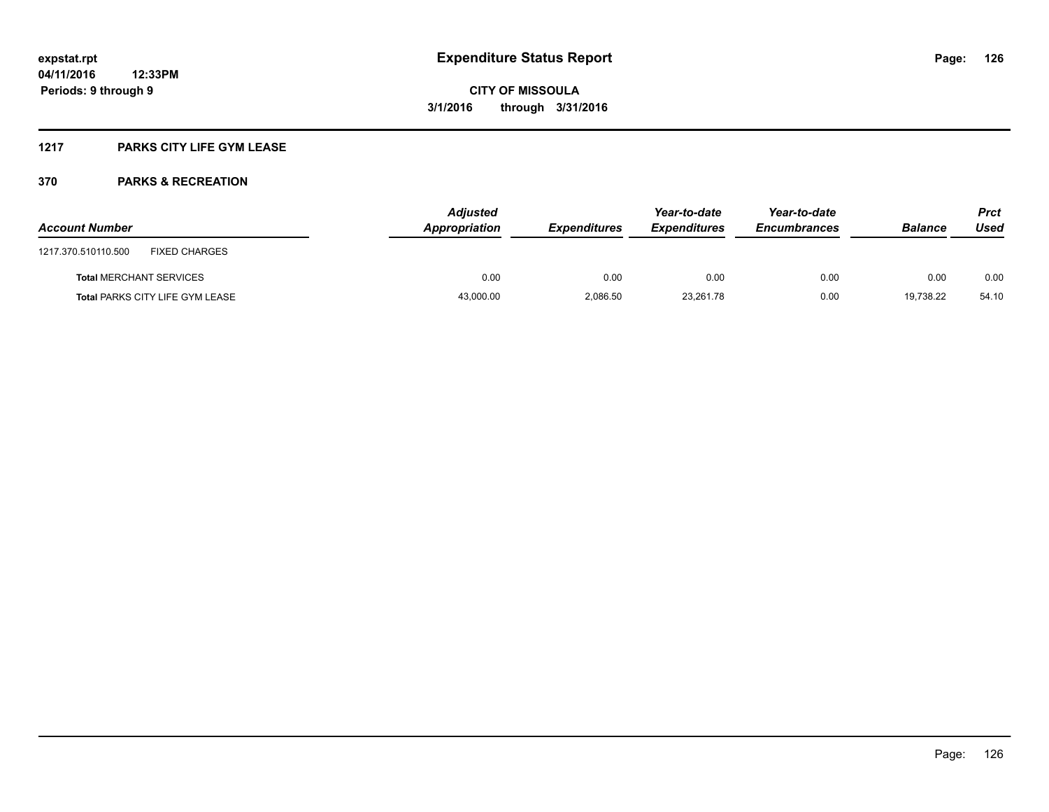### **1217 PARKS CITY LIFE GYM LEASE**

| <b>Account Number</b>                       | <b>Adjusted</b><br>Appropriation | <b>Expenditures</b> | Year-to-date<br><b>Expenditures</b> | Year-to-date<br><b>Encumbrances</b> | <b>Balance</b> | <b>Prct</b><br>Used |
|---------------------------------------------|----------------------------------|---------------------|-------------------------------------|-------------------------------------|----------------|---------------------|
| <b>FIXED CHARGES</b><br>1217.370.510110.500 |                                  |                     |                                     |                                     |                |                     |
| <b>Total MERCHANT SERVICES</b>              | 0.00                             | 0.00                | 0.00                                | 0.00                                | 0.00           | 0.00                |
| <b>Total PARKS CITY LIFE GYM LEASE</b>      | 43,000.00                        | 2,086.50            | 23,261.78                           | 0.00                                | 19.738.22      | 54.10               |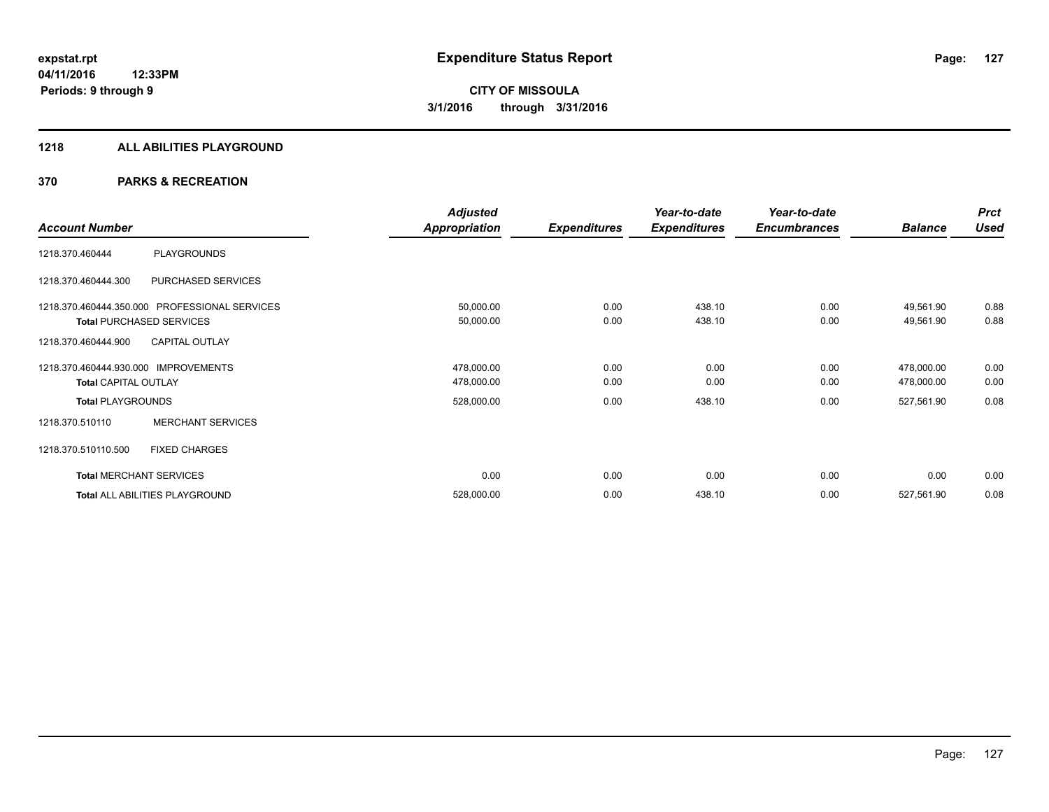#### **1218 ALL ABILITIES PLAYGROUND**

|                                      |                                               | <b>Adjusted</b>      |                     | Year-to-date        | Year-to-date        |                | <b>Prct</b> |
|--------------------------------------|-----------------------------------------------|----------------------|---------------------|---------------------|---------------------|----------------|-------------|
| <b>Account Number</b>                |                                               | <b>Appropriation</b> | <b>Expenditures</b> | <b>Expenditures</b> | <b>Encumbrances</b> | <b>Balance</b> | <b>Used</b> |
| 1218.370.460444                      | <b>PLAYGROUNDS</b>                            |                      |                     |                     |                     |                |             |
| 1218.370.460444.300                  | PURCHASED SERVICES                            |                      |                     |                     |                     |                |             |
|                                      | 1218.370.460444.350.000 PROFESSIONAL SERVICES | 50,000.00            | 0.00                | 438.10              | 0.00                | 49,561.90      | 0.88        |
|                                      | <b>Total PURCHASED SERVICES</b>               | 50,000.00            | 0.00                | 438.10              | 0.00                | 49,561.90      | 0.88        |
| 1218.370.460444.900                  | <b>CAPITAL OUTLAY</b>                         |                      |                     |                     |                     |                |             |
| 1218.370.460444.930.000 IMPROVEMENTS |                                               | 478,000.00           | 0.00                | 0.00                | 0.00                | 478,000.00     | 0.00        |
| <b>Total CAPITAL OUTLAY</b>          |                                               | 478,000.00           | 0.00                | 0.00                | 0.00                | 478,000.00     | 0.00        |
| <b>Total PLAYGROUNDS</b>             |                                               | 528,000.00           | 0.00                | 438.10              | 0.00                | 527,561.90     | 0.08        |
| 1218.370.510110                      | <b>MERCHANT SERVICES</b>                      |                      |                     |                     |                     |                |             |
| 1218.370.510110.500                  | <b>FIXED CHARGES</b>                          |                      |                     |                     |                     |                |             |
|                                      | <b>Total MERCHANT SERVICES</b>                | 0.00                 | 0.00                | 0.00                | 0.00                | 0.00           | 0.00        |
|                                      | Total ALL ABILITIES PLAYGROUND                | 528,000.00           | 0.00                | 438.10              | 0.00                | 527,561.90     | 0.08        |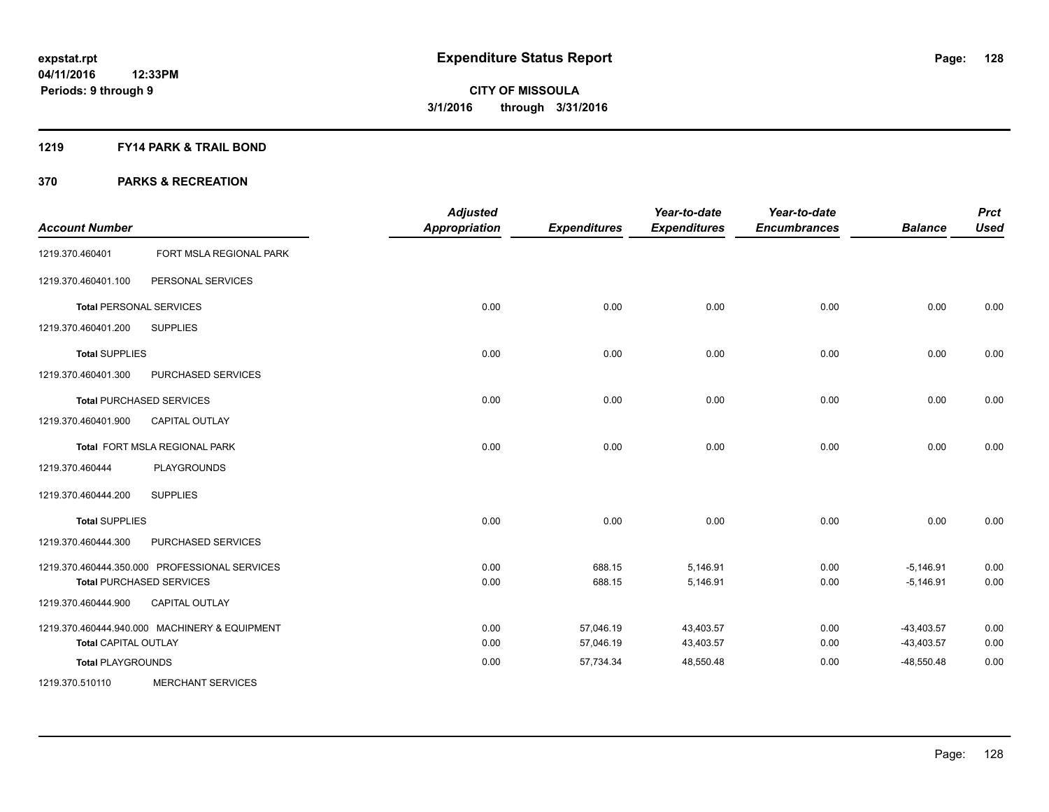#### **1219 FY14 PARK & TRAIL BOND**

| <b>Account Number</b>          |                                               | <b>Adjusted</b><br><b>Appropriation</b> | <b>Expenditures</b> | Year-to-date<br><b>Expenditures</b> | Year-to-date<br><b>Encumbrances</b> | <b>Balance</b> | <b>Prct</b><br><b>Used</b> |
|--------------------------------|-----------------------------------------------|-----------------------------------------|---------------------|-------------------------------------|-------------------------------------|----------------|----------------------------|
| 1219.370.460401                | FORT MSLA REGIONAL PARK                       |                                         |                     |                                     |                                     |                |                            |
| 1219.370.460401.100            | PERSONAL SERVICES                             |                                         |                     |                                     |                                     |                |                            |
| <b>Total PERSONAL SERVICES</b> |                                               | 0.00                                    | 0.00                | 0.00                                | 0.00                                | 0.00           | 0.00                       |
| 1219.370.460401.200            | <b>SUPPLIES</b>                               |                                         |                     |                                     |                                     |                |                            |
| <b>Total SUPPLIES</b>          |                                               | 0.00                                    | 0.00                | 0.00                                | 0.00                                | 0.00           | 0.00                       |
| 1219.370.460401.300            | PURCHASED SERVICES                            |                                         |                     |                                     |                                     |                |                            |
|                                | <b>Total PURCHASED SERVICES</b>               | 0.00                                    | 0.00                | 0.00                                | 0.00                                | 0.00           | 0.00                       |
| 1219.370.460401.900            | <b>CAPITAL OUTLAY</b>                         |                                         |                     |                                     |                                     |                |                            |
|                                | Total FORT MSLA REGIONAL PARK                 | 0.00                                    | 0.00                | 0.00                                | 0.00                                | 0.00           | 0.00                       |
| 1219.370.460444                | <b>PLAYGROUNDS</b>                            |                                         |                     |                                     |                                     |                |                            |
| 1219.370.460444.200            | <b>SUPPLIES</b>                               |                                         |                     |                                     |                                     |                |                            |
| <b>Total SUPPLIES</b>          |                                               | 0.00                                    | 0.00                | 0.00                                | 0.00                                | 0.00           | 0.00                       |
| 1219.370.460444.300            | PURCHASED SERVICES                            |                                         |                     |                                     |                                     |                |                            |
|                                | 1219.370.460444.350.000 PROFESSIONAL SERVICES | 0.00                                    | 688.15              | 5,146.91                            | 0.00                                | $-5,146.91$    | 0.00                       |
|                                | <b>Total PURCHASED SERVICES</b>               | 0.00                                    | 688.15              | 5,146.91                            | 0.00                                | $-5,146.91$    | 0.00                       |
| 1219.370.460444.900            | <b>CAPITAL OUTLAY</b>                         |                                         |                     |                                     |                                     |                |                            |
|                                | 1219.370.460444.940.000 MACHINERY & EQUIPMENT | 0.00                                    | 57,046.19           | 43,403.57                           | 0.00                                | $-43,403.57$   | 0.00                       |
| <b>Total CAPITAL OUTLAY</b>    |                                               | 0.00                                    | 57,046.19           | 43,403.57                           | 0.00                                | $-43,403.57$   | 0.00                       |
| <b>Total PLAYGROUNDS</b>       |                                               | 0.00                                    | 57,734.34           | 48,550.48                           | 0.00                                | $-48,550.48$   | 0.00                       |
| 1219.370.510110                | <b>MERCHANT SERVICES</b>                      |                                         |                     |                                     |                                     |                |                            |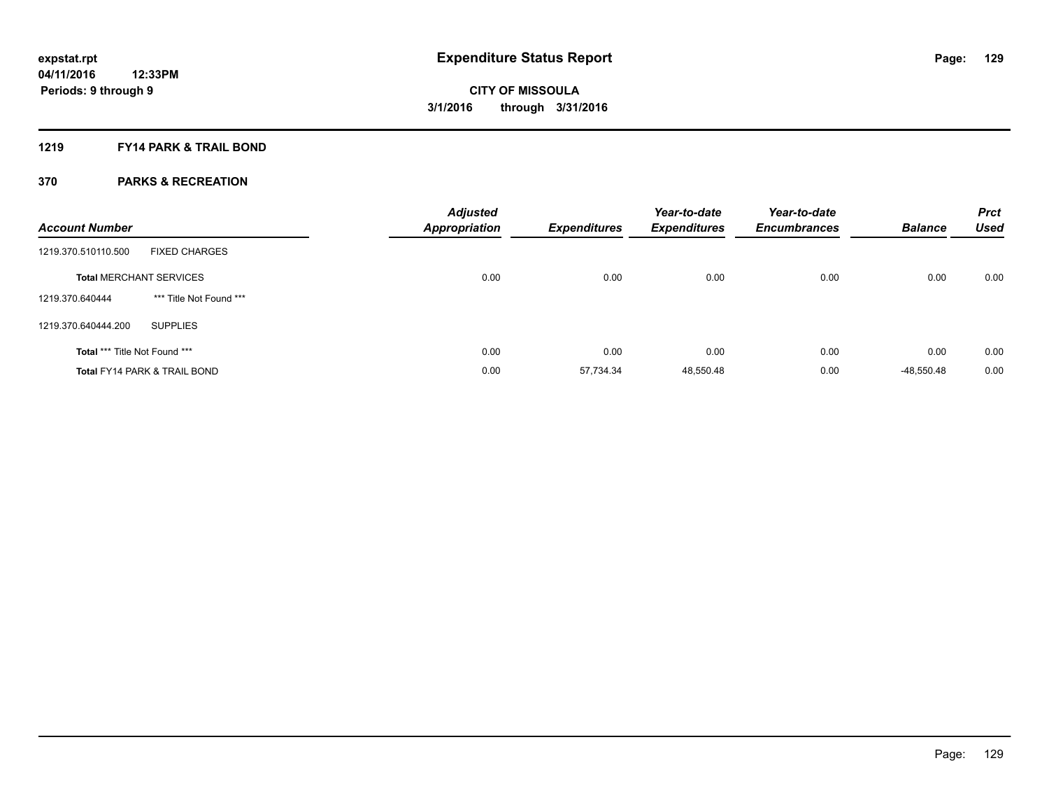#### **1219 FY14 PARK & TRAIL BOND**

| <b>Account Number</b>         |                                         | <b>Adjusted</b><br><b>Appropriation</b> | <b>Expenditures</b> | Year-to-date<br><b>Expenditures</b> | Year-to-date<br><b>Encumbrances</b> | <b>Balance</b> | <b>Prct</b><br><b>Used</b> |
|-------------------------------|-----------------------------------------|-----------------------------------------|---------------------|-------------------------------------|-------------------------------------|----------------|----------------------------|
| 1219.370.510110.500           | <b>FIXED CHARGES</b>                    |                                         |                     |                                     |                                     |                |                            |
|                               | <b>Total MERCHANT SERVICES</b>          | 0.00                                    | 0.00                | 0.00                                | 0.00                                | 0.00           | 0.00                       |
| 1219.370.640444               | *** Title Not Found ***                 |                                         |                     |                                     |                                     |                |                            |
| 1219.370.640444.200           | <b>SUPPLIES</b>                         |                                         |                     |                                     |                                     |                |                            |
| Total *** Title Not Found *** |                                         | 0.00                                    | 0.00                | 0.00                                | 0.00                                | 0.00           | 0.00                       |
|                               | <b>Total FY14 PARK &amp; TRAIL BOND</b> | 0.00                                    | 57.734.34           | 48,550.48                           | 0.00                                | $-48.550.48$   | 0.00                       |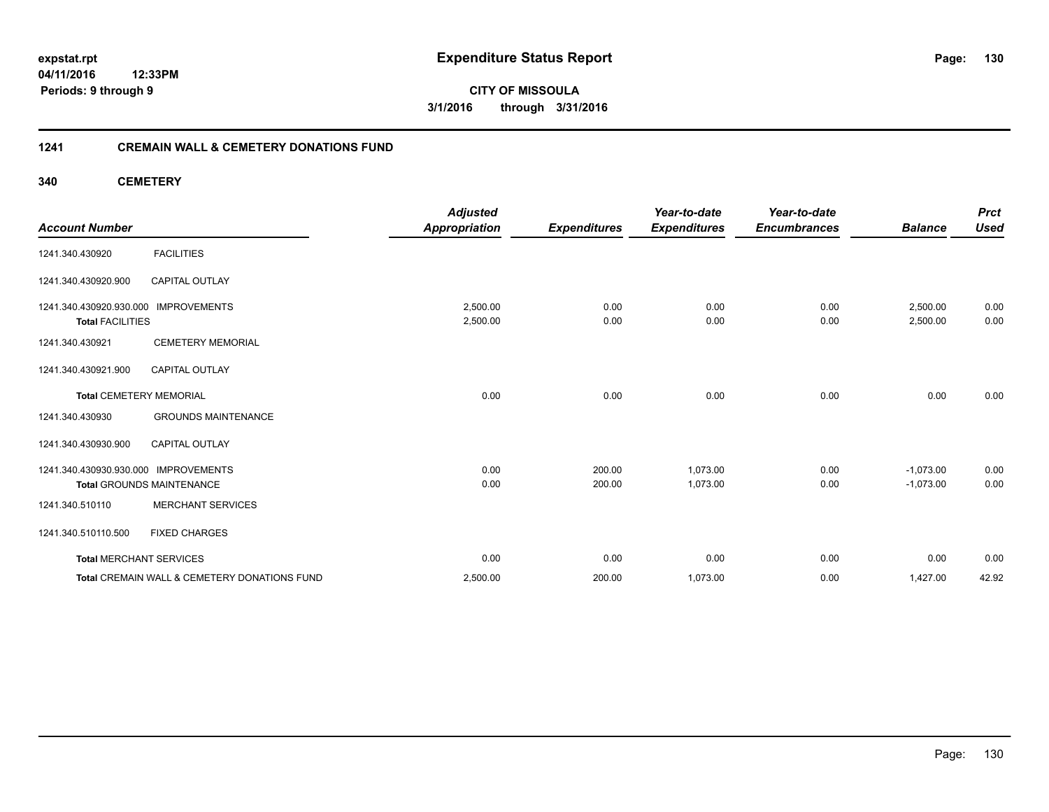**130**

**04/11/2016 12:33PM Periods: 9 through 9**

**CITY OF MISSOULA 3/1/2016 through 3/31/2016**

#### **1241 CREMAIN WALL & CEMETERY DONATIONS FUND**

**340 CEMETERY**

| <b>Account Number</b>                              |                                              | <b>Adjusted</b><br><b>Appropriation</b> | <b>Expenditures</b> | Year-to-date<br><b>Expenditures</b> | Year-to-date<br><b>Encumbrances</b> | <b>Balance</b>       | <b>Prct</b><br><b>Used</b> |
|----------------------------------------------------|----------------------------------------------|-----------------------------------------|---------------------|-------------------------------------|-------------------------------------|----------------------|----------------------------|
| 1241.340.430920                                    | <b>FACILITIES</b>                            |                                         |                     |                                     |                                     |                      |                            |
| 1241.340.430920.900                                | <b>CAPITAL OUTLAY</b>                        |                                         |                     |                                     |                                     |                      |                            |
| 1241.340.430920.930.000<br><b>Total FACILITIES</b> | <b>IMPROVEMENTS</b>                          | 2,500.00<br>2,500.00                    | 0.00<br>0.00        | 0.00<br>0.00                        | 0.00<br>0.00                        | 2,500.00<br>2,500.00 | 0.00<br>0.00               |
| 1241.340.430921                                    | <b>CEMETERY MEMORIAL</b>                     |                                         |                     |                                     |                                     |                      |                            |
| 1241.340.430921.900                                | <b>CAPITAL OUTLAY</b>                        |                                         |                     |                                     |                                     |                      |                            |
| <b>Total CEMETERY MEMORIAL</b>                     |                                              | 0.00                                    | 0.00                | 0.00                                | 0.00                                | 0.00                 | 0.00                       |
| 1241.340.430930                                    | <b>GROUNDS MAINTENANCE</b>                   |                                         |                     |                                     |                                     |                      |                            |
| 1241.340.430930.900                                | <b>CAPITAL OUTLAY</b>                        |                                         |                     |                                     |                                     |                      |                            |
| 1241.340.430930.930.000                            | <b>IMPROVEMENTS</b>                          | 0.00                                    | 200.00              | 1,073.00                            | 0.00                                | $-1,073.00$          | 0.00                       |
|                                                    | <b>Total GROUNDS MAINTENANCE</b>             | 0.00                                    | 200.00              | 1,073.00                            | 0.00                                | $-1,073.00$          | 0.00                       |
| 1241.340.510110                                    | <b>MERCHANT SERVICES</b>                     |                                         |                     |                                     |                                     |                      |                            |
| 1241.340.510110.500                                | <b>FIXED CHARGES</b>                         |                                         |                     |                                     |                                     |                      |                            |
| <b>Total MERCHANT SERVICES</b>                     |                                              | 0.00                                    | 0.00                | 0.00                                | 0.00                                | 0.00                 | 0.00                       |
|                                                    | Total CREMAIN WALL & CEMETERY DONATIONS FUND | 2,500.00                                | 200.00              | 1,073.00                            | 0.00                                | 1,427.00             | 42.92                      |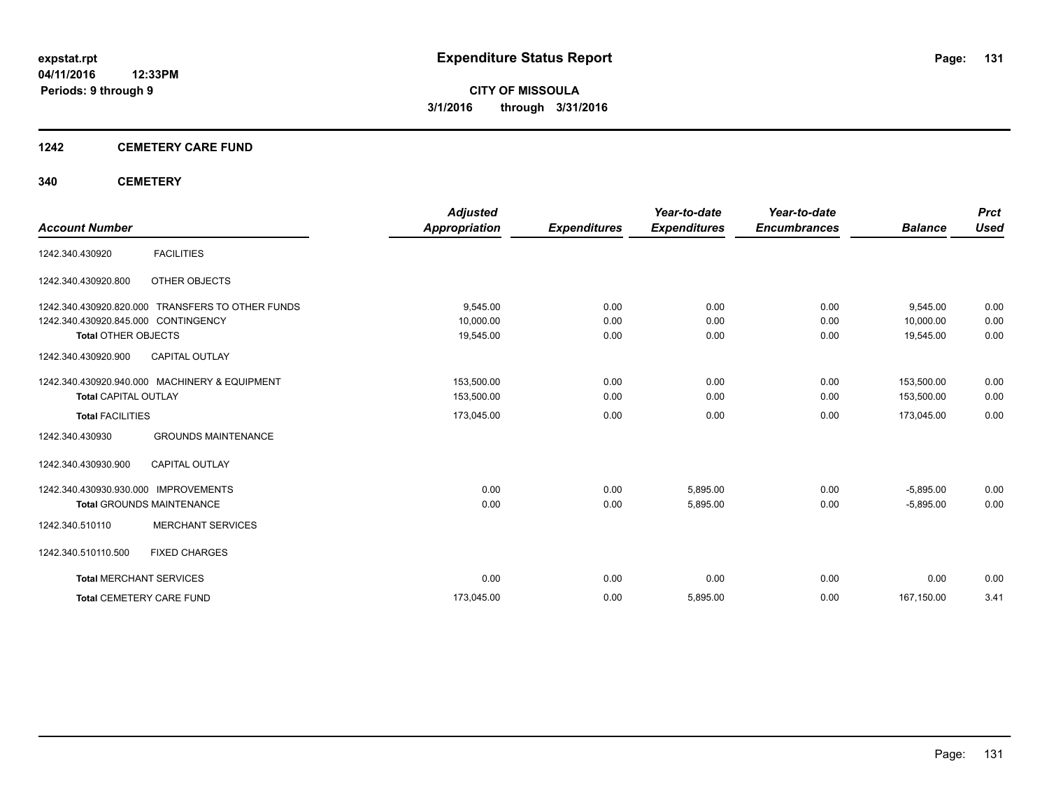#### **1242 CEMETERY CARE FUND**

#### **340 CEMETERY**

|                                                            | <b>Adjusted</b>      |                     | Year-to-date        | Year-to-date        |                | <b>Prct</b> |
|------------------------------------------------------------|----------------------|---------------------|---------------------|---------------------|----------------|-------------|
| <b>Account Number</b>                                      | <b>Appropriation</b> | <b>Expenditures</b> | <b>Expenditures</b> | <b>Encumbrances</b> | <b>Balance</b> | <b>Used</b> |
| <b>FACILITIES</b><br>1242.340.430920                       |                      |                     |                     |                     |                |             |
| 1242.340.430920.800<br>OTHER OBJECTS                       |                      |                     |                     |                     |                |             |
| <b>TRANSFERS TO OTHER FUNDS</b><br>1242.340.430920.820.000 | 9.545.00             | 0.00                | 0.00                | 0.00                | 9,545.00       | 0.00        |
| 1242.340.430920.845.000 CONTINGENCY                        | 10,000.00            | 0.00                | 0.00                | 0.00                | 10.000.00      | 0.00        |
| <b>Total OTHER OBJECTS</b>                                 | 19,545.00            | 0.00                | 0.00                | 0.00                | 19,545.00      | 0.00        |
| 1242.340.430920.900<br><b>CAPITAL OUTLAY</b>               |                      |                     |                     |                     |                |             |
| 1242.340.430920.940.000 MACHINERY & EQUIPMENT              | 153,500.00           | 0.00                | 0.00                | 0.00                | 153,500.00     | 0.00        |
| <b>Total CAPITAL OUTLAY</b>                                | 153,500.00           | 0.00                | 0.00                | 0.00                | 153,500.00     | 0.00        |
| <b>Total FACILITIES</b>                                    | 173,045.00           | 0.00                | 0.00                | 0.00                | 173,045.00     | 0.00        |
| <b>GROUNDS MAINTENANCE</b><br>1242.340.430930              |                      |                     |                     |                     |                |             |
| <b>CAPITAL OUTLAY</b><br>1242.340.430930.900               |                      |                     |                     |                     |                |             |
| <b>IMPROVEMENTS</b><br>1242.340.430930.930.000             | 0.00                 | 0.00                | 5,895.00            | 0.00                | $-5,895.00$    | 0.00        |
| <b>Total GROUNDS MAINTENANCE</b>                           | 0.00                 | 0.00                | 5,895.00            | 0.00                | $-5,895.00$    | 0.00        |
| <b>MERCHANT SERVICES</b><br>1242.340.510110                |                      |                     |                     |                     |                |             |
| 1242.340.510110.500<br><b>FIXED CHARGES</b>                |                      |                     |                     |                     |                |             |
| <b>Total MERCHANT SERVICES</b>                             | 0.00                 | 0.00                | 0.00                | 0.00                | 0.00           | 0.00        |
| <b>Total CEMETERY CARE FUND</b>                            | 173,045.00           | 0.00                | 5,895.00            | 0.00                | 167,150.00     | 3.41        |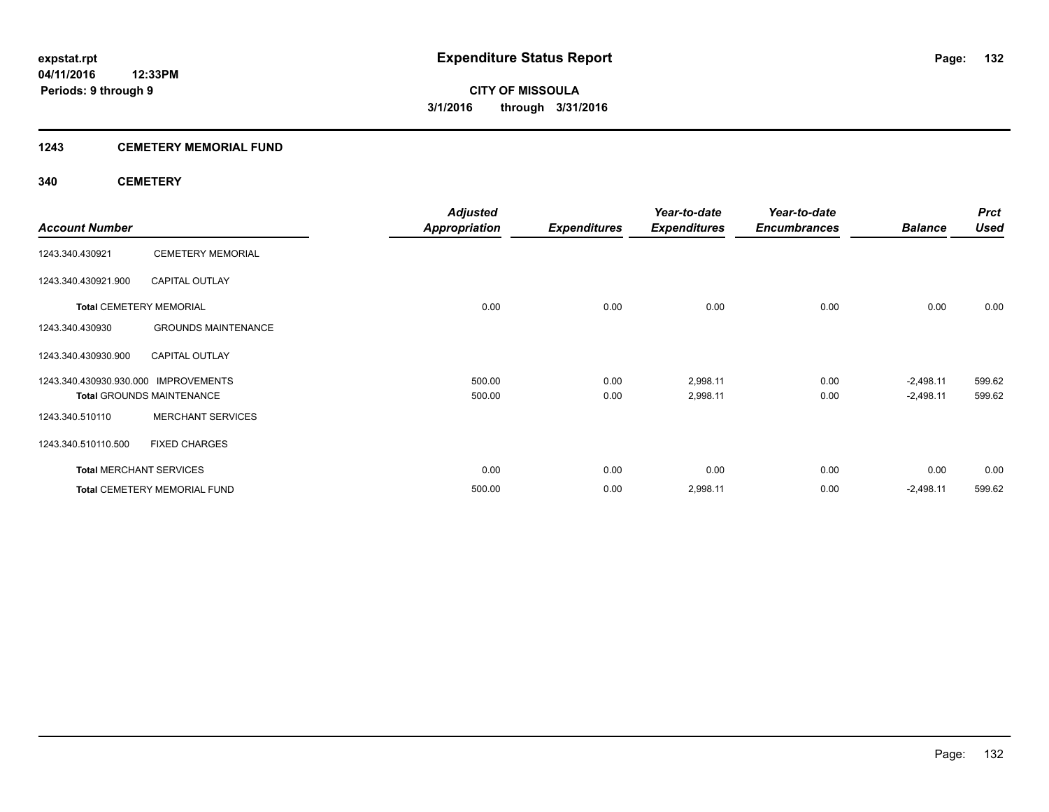#### **1243 CEMETERY MEMORIAL FUND**

#### **340 CEMETERY**

|                                      |                                     | <b>Adjusted</b>      |                     | Year-to-date        | Year-to-date        |                | <b>Prct</b> |
|--------------------------------------|-------------------------------------|----------------------|---------------------|---------------------|---------------------|----------------|-------------|
| <b>Account Number</b>                |                                     | <b>Appropriation</b> | <b>Expenditures</b> | <b>Expenditures</b> | <b>Encumbrances</b> | <b>Balance</b> | <b>Used</b> |
| 1243.340.430921                      | <b>CEMETERY MEMORIAL</b>            |                      |                     |                     |                     |                |             |
| 1243.340.430921.900                  | <b>CAPITAL OUTLAY</b>               |                      |                     |                     |                     |                |             |
| <b>Total CEMETERY MEMORIAL</b>       |                                     | 0.00                 | 0.00                | 0.00                | 0.00                | 0.00           | 0.00        |
| 1243.340.430930                      | <b>GROUNDS MAINTENANCE</b>          |                      |                     |                     |                     |                |             |
| 1243.340.430930.900                  | <b>CAPITAL OUTLAY</b>               |                      |                     |                     |                     |                |             |
| 1243.340.430930.930.000 IMPROVEMENTS |                                     | 500.00               | 0.00                | 2,998.11            | 0.00                | $-2,498.11$    | 599.62      |
|                                      | <b>Total GROUNDS MAINTENANCE</b>    | 500.00               | 0.00                | 2,998.11            | 0.00                | $-2,498.11$    | 599.62      |
| 1243.340.510110                      | <b>MERCHANT SERVICES</b>            |                      |                     |                     |                     |                |             |
| 1243.340.510110.500                  | <b>FIXED CHARGES</b>                |                      |                     |                     |                     |                |             |
| <b>Total MERCHANT SERVICES</b>       |                                     | 0.00                 | 0.00                | 0.00                | 0.00                | 0.00           | 0.00        |
|                                      | <b>Total CEMETERY MEMORIAL FUND</b> | 500.00               | 0.00                | 2,998.11            | 0.00                | $-2,498.11$    | 599.62      |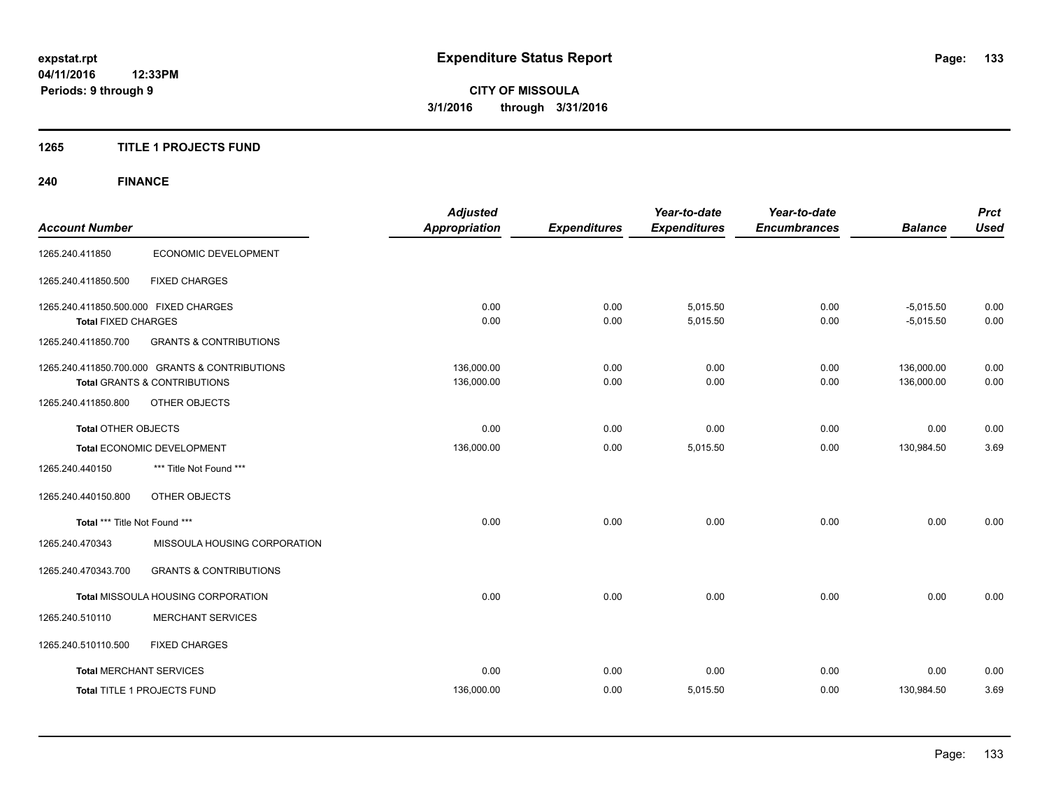#### **1265 TITLE 1 PROJECTS FUND**

## **240 FINANCE**

| <b>Account Number</b>                                               |                                                                                           | <b>Adjusted</b><br><b>Appropriation</b> | <b>Expenditures</b> | Year-to-date<br><b>Expenditures</b> | Year-to-date<br><b>Encumbrances</b> | <b>Balance</b>             | <b>Prct</b><br><b>Used</b> |
|---------------------------------------------------------------------|-------------------------------------------------------------------------------------------|-----------------------------------------|---------------------|-------------------------------------|-------------------------------------|----------------------------|----------------------------|
| 1265.240.411850                                                     | ECONOMIC DEVELOPMENT                                                                      |                                         |                     |                                     |                                     |                            |                            |
| 1265.240.411850.500                                                 | <b>FIXED CHARGES</b>                                                                      |                                         |                     |                                     |                                     |                            |                            |
| 1265.240.411850.500.000 FIXED CHARGES<br><b>Total FIXED CHARGES</b> |                                                                                           | 0.00<br>0.00                            | 0.00<br>0.00        | 5,015.50<br>5,015.50                | 0.00<br>0.00                        | $-5,015.50$<br>$-5,015.50$ | 0.00<br>0.00               |
| 1265.240.411850.700                                                 | <b>GRANTS &amp; CONTRIBUTIONS</b>                                                         |                                         |                     |                                     |                                     |                            |                            |
|                                                                     | 1265.240.411850.700.000 GRANTS & CONTRIBUTIONS<br><b>Total GRANTS &amp; CONTRIBUTIONS</b> | 136,000.00<br>136,000.00                | 0.00<br>0.00        | 0.00<br>0.00                        | 0.00<br>0.00                        | 136,000.00<br>136,000.00   | 0.00<br>0.00               |
| 1265.240.411850.800                                                 | OTHER OBJECTS                                                                             |                                         |                     |                                     |                                     |                            |                            |
| <b>Total OTHER OBJECTS</b>                                          |                                                                                           | 0.00                                    | 0.00                | 0.00                                | 0.00                                | 0.00                       | 0.00                       |
|                                                                     | Total ECONOMIC DEVELOPMENT                                                                | 136,000.00                              | 0.00                | 5,015.50                            | 0.00                                | 130,984.50                 | 3.69                       |
| 1265.240.440150                                                     | *** Title Not Found ***                                                                   |                                         |                     |                                     |                                     |                            |                            |
| 1265.240.440150.800                                                 | OTHER OBJECTS                                                                             |                                         |                     |                                     |                                     |                            |                            |
| Total *** Title Not Found ***                                       |                                                                                           | 0.00                                    | 0.00                | 0.00                                | 0.00                                | 0.00                       | 0.00                       |
| 1265.240.470343                                                     | MISSOULA HOUSING CORPORATION                                                              |                                         |                     |                                     |                                     |                            |                            |
| 1265.240.470343.700                                                 | <b>GRANTS &amp; CONTRIBUTIONS</b>                                                         |                                         |                     |                                     |                                     |                            |                            |
|                                                                     | Total MISSOULA HOUSING CORPORATION                                                        | 0.00                                    | 0.00                | 0.00                                | 0.00                                | 0.00                       | 0.00                       |
| 1265.240.510110                                                     | <b>MERCHANT SERVICES</b>                                                                  |                                         |                     |                                     |                                     |                            |                            |
| 1265.240.510110.500                                                 | <b>FIXED CHARGES</b>                                                                      |                                         |                     |                                     |                                     |                            |                            |
| <b>Total MERCHANT SERVICES</b>                                      |                                                                                           | 0.00                                    | 0.00                | 0.00                                | 0.00                                | 0.00                       | 0.00                       |
|                                                                     | Total TITLE 1 PROJECTS FUND                                                               | 136,000.00                              | 0.00                | 5,015.50                            | 0.00                                | 130,984.50                 | 3.69                       |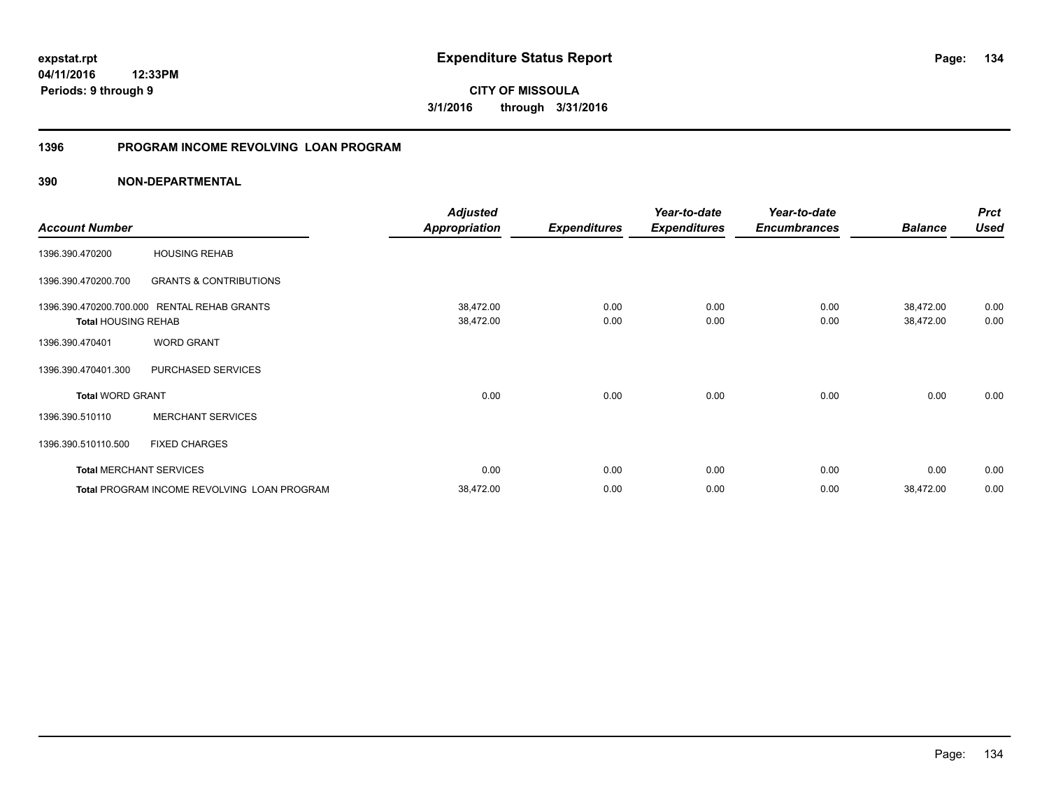**04/11/2016 12:33PM Periods: 9 through 9**

**CITY OF MISSOULA 3/1/2016 through 3/31/2016**

#### **1396 PROGRAM INCOME REVOLVING LOAN PROGRAM**

|                            |                                             | <b>Adjusted</b>                                                                                                                                                                                                                                                                                 |             | Year-to-date | Year-to-date |           | <b>Prct</b> |
|----------------------------|---------------------------------------------|-------------------------------------------------------------------------------------------------------------------------------------------------------------------------------------------------------------------------------------------------------------------------------------------------|-------------|--------------|--------------|-----------|-------------|
| <b>Account Number</b>      |                                             | <b>Appropriation</b><br><b>Expenditures</b><br><b>Expenditures</b><br><b>Encumbrances</b><br><b>Balance</b><br>38,472.00<br>38,472.00<br>0.00<br>0.00<br>0.00<br>38,472.00<br>0.00<br>0.00<br>38,472.00<br>0.00<br>0.00<br>0.00<br>0.00<br>0.00<br>0.00<br>0.00<br>0.00<br>0.00<br>0.00<br>0.00 | <b>Used</b> |              |              |           |             |
| 1396.390.470200            | <b>HOUSING REHAB</b>                        |                                                                                                                                                                                                                                                                                                 |             |              |              |           |             |
| 1396.390.470200.700        | <b>GRANTS &amp; CONTRIBUTIONS</b>           |                                                                                                                                                                                                                                                                                                 |             |              |              |           |             |
| 1396.390.470200.700.000    | <b>RENTAL REHAB GRANTS</b>                  |                                                                                                                                                                                                                                                                                                 |             |              |              |           | 0.00        |
| <b>Total HOUSING REHAB</b> |                                             |                                                                                                                                                                                                                                                                                                 |             |              |              |           | 0.00        |
| 1396.390.470401            | <b>WORD GRANT</b>                           |                                                                                                                                                                                                                                                                                                 |             |              |              |           |             |
| 1396.390.470401.300        | PURCHASED SERVICES                          |                                                                                                                                                                                                                                                                                                 |             |              |              |           |             |
| <b>Total WORD GRANT</b>    |                                             |                                                                                                                                                                                                                                                                                                 |             |              |              |           | 0.00        |
| 1396.390.510110            | <b>MERCHANT SERVICES</b>                    |                                                                                                                                                                                                                                                                                                 |             |              |              |           |             |
| 1396.390.510110.500        | <b>FIXED CHARGES</b>                        |                                                                                                                                                                                                                                                                                                 |             |              |              |           |             |
|                            | <b>Total MERCHANT SERVICES</b>              |                                                                                                                                                                                                                                                                                                 |             |              |              |           | 0.00        |
|                            | Total PROGRAM INCOME REVOLVING LOAN PROGRAM | 38,472.00                                                                                                                                                                                                                                                                                       | 0.00        | 0.00         | 0.00         | 38,472.00 | 0.00        |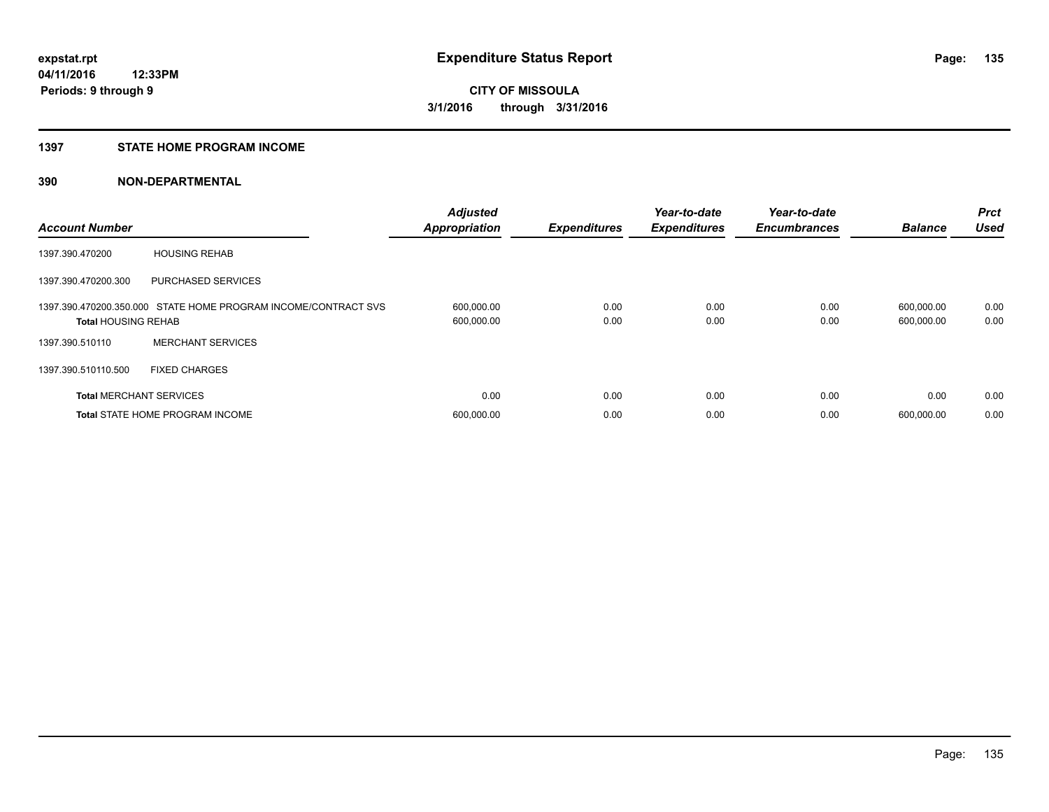#### **1397 STATE HOME PROGRAM INCOME**

| <b>Account Number</b>          |                                                                | <b>Adjusted</b><br><b>Appropriation</b> | <b>Expenditures</b> | Year-to-date<br><b>Expenditures</b> | Year-to-date<br><b>Encumbrances</b> | <b>Balance</b>           | <b>Prct</b><br><b>Used</b> |
|--------------------------------|----------------------------------------------------------------|-----------------------------------------|---------------------|-------------------------------------|-------------------------------------|--------------------------|----------------------------|
| 1397.390.470200                | <b>HOUSING REHAB</b>                                           |                                         |                     |                                     |                                     |                          |                            |
| 1397.390.470200.300            | <b>PURCHASED SERVICES</b>                                      |                                         |                     |                                     |                                     |                          |                            |
| <b>Total HOUSING REHAB</b>     | 1397.390.470200.350.000 STATE HOME PROGRAM INCOME/CONTRACT SVS | 600,000.00<br>600,000.00                | 0.00<br>0.00        | 0.00<br>0.00                        | 0.00<br>0.00                        | 600,000.00<br>600,000.00 | 0.00<br>0.00               |
| 1397.390.510110                | <b>MERCHANT SERVICES</b>                                       |                                         |                     |                                     |                                     |                          |                            |
| 1397.390.510110.500            | <b>FIXED CHARGES</b>                                           |                                         |                     |                                     |                                     |                          |                            |
| <b>Total MERCHANT SERVICES</b> |                                                                | 0.00                                    | 0.00                | 0.00                                | 0.00                                | 0.00                     | 0.00                       |
|                                | <b>Total STATE HOME PROGRAM INCOME</b>                         | 600,000.00                              | 0.00                | 0.00                                | 0.00                                | 600.000.00               | 0.00                       |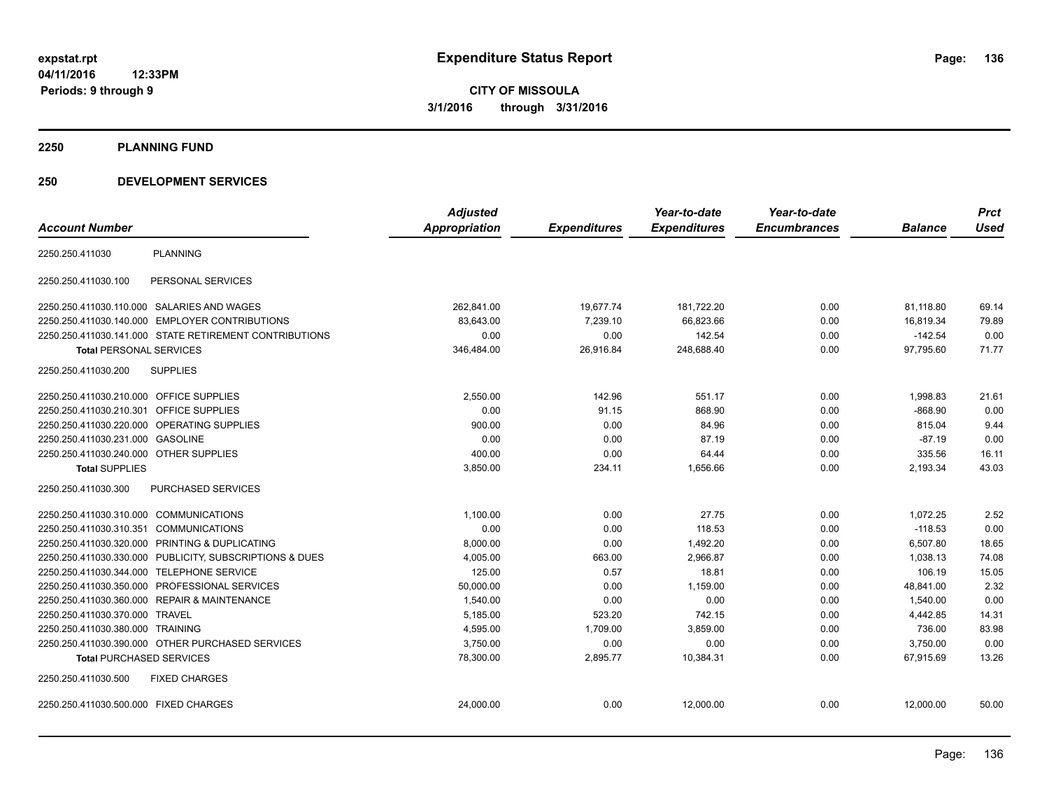**2250 PLANNING FUND**

#### **250 DEVELOPMENT SERVICES**

|                                                            | <b>Adjusted</b> |                     | Year-to-date        | Year-to-date        |                | <b>Prct</b> |
|------------------------------------------------------------|-----------------|---------------------|---------------------|---------------------|----------------|-------------|
| <b>Account Number</b>                                      | Appropriation   | <b>Expenditures</b> | <b>Expenditures</b> | <b>Encumbrances</b> | <b>Balance</b> | <b>Used</b> |
| <b>PLANNING</b><br>2250.250.411030                         |                 |                     |                     |                     |                |             |
| PERSONAL SERVICES<br>2250.250.411030.100                   |                 |                     |                     |                     |                |             |
| 2250.250.411030.110.000 SALARIES AND WAGES                 | 262,841.00      | 19,677.74           | 181,722.20          | 0.00                | 81,118.80      | 69.14       |
| 2250.250.411030.140.000 EMPLOYER CONTRIBUTIONS             | 83,643.00       | 7,239.10            | 66,823.66           | 0.00                | 16,819.34      | 79.89       |
| 2250.250.411030.141.000 STATE RETIREMENT CONTRIBUTIONS     | 0.00            | 0.00                | 142.54              | 0.00                | $-142.54$      | 0.00        |
| <b>Total PERSONAL SERVICES</b>                             | 346,484.00      | 26,916.84           | 248,688.40          | 0.00                | 97,795.60      | 71.77       |
| <b>SUPPLIES</b><br>2250.250.411030.200                     |                 |                     |                     |                     |                |             |
| 2250.250.411030.210.000 OFFICE SUPPLIES                    | 2,550.00        | 142.96              | 551.17              | 0.00                | 1,998.83       | 21.61       |
| 2250.250.411030.210.301<br><b>OFFICE SUPPLIES</b>          | 0.00            | 91.15               | 868.90              | 0.00                | $-868.90$      | 0.00        |
| 2250.250.411030.220.000<br><b>OPERATING SUPPLIES</b>       | 900.00          | 0.00                | 84.96               | 0.00                | 815.04         | 9.44        |
| 2250.250.411030.231.000<br><b>GASOLINE</b>                 | 0.00            | 0.00                | 87.19               | 0.00                | $-87.19$       | 0.00        |
| 2250.250.411030.240.000<br><b>OTHER SUPPLIES</b>           | 400.00          | 0.00                | 64.44               | 0.00                | 335.56         | 16.11       |
| <b>Total SUPPLIES</b>                                      | 3,850.00        | 234.11              | 1,656.66            | 0.00                | 2,193.34       | 43.03       |
| 2250.250.411030.300<br>PURCHASED SERVICES                  |                 |                     |                     |                     |                |             |
| 2250.250.411030.310.000 COMMUNICATIONS                     | 1,100.00        | 0.00                | 27.75               | 0.00                | 1,072.25       | 2.52        |
| <b>COMMUNICATIONS</b><br>2250.250.411030.310.351           | 0.00            | 0.00                | 118.53              | 0.00                | $-118.53$      | 0.00        |
| PRINTING & DUPLICATING<br>2250.250.411030.320.000          | 8,000.00        | 0.00                | 1,492.20            | 0.00                | 6,507.80       | 18.65       |
| PUBLICITY, SUBSCRIPTIONS & DUES<br>2250.250.411030.330.000 | 4,005.00        | 663.00              | 2.966.87            | 0.00                | 1.038.13       | 74.08       |
| 2250.250.411030.344.000<br><b>TELEPHONE SERVICE</b>        | 125.00          | 0.57                | 18.81               | 0.00                | 106.19         | 15.05       |
| PROFESSIONAL SERVICES<br>2250.250.411030.350.000           | 50,000.00       | 0.00                | 1,159.00            | 0.00                | 48,841.00      | 2.32        |
| <b>REPAIR &amp; MAINTENANCE</b><br>2250.250.411030.360.000 | 1.540.00        | 0.00                | 0.00                | 0.00                | 1.540.00       | 0.00        |
| 2250.250.411030.370.000<br><b>TRAVEL</b>                   | 5,185.00        | 523.20              | 742.15              | 0.00                | 4,442.85       | 14.31       |
| 2250.250.411030.380.000 TRAINING                           | 4,595.00        | 1,709.00            | 3,859.00            | 0.00                | 736.00         | 83.98       |
| 2250.250.411030.390.000 OTHER PURCHASED SERVICES           | 3,750.00        | 0.00                | 0.00                | 0.00                | 3,750.00       | 0.00        |
| <b>Total PURCHASED SERVICES</b>                            | 78,300.00       | 2,895.77            | 10,384.31           | 0.00                | 67,915.69      | 13.26       |
| 2250.250.411030.500<br><b>FIXED CHARGES</b>                |                 |                     |                     |                     |                |             |
| 2250.250.411030.500.000 FIXED CHARGES                      | 24,000.00       | 0.00                | 12,000.00           | 0.00                | 12,000.00      | 50.00       |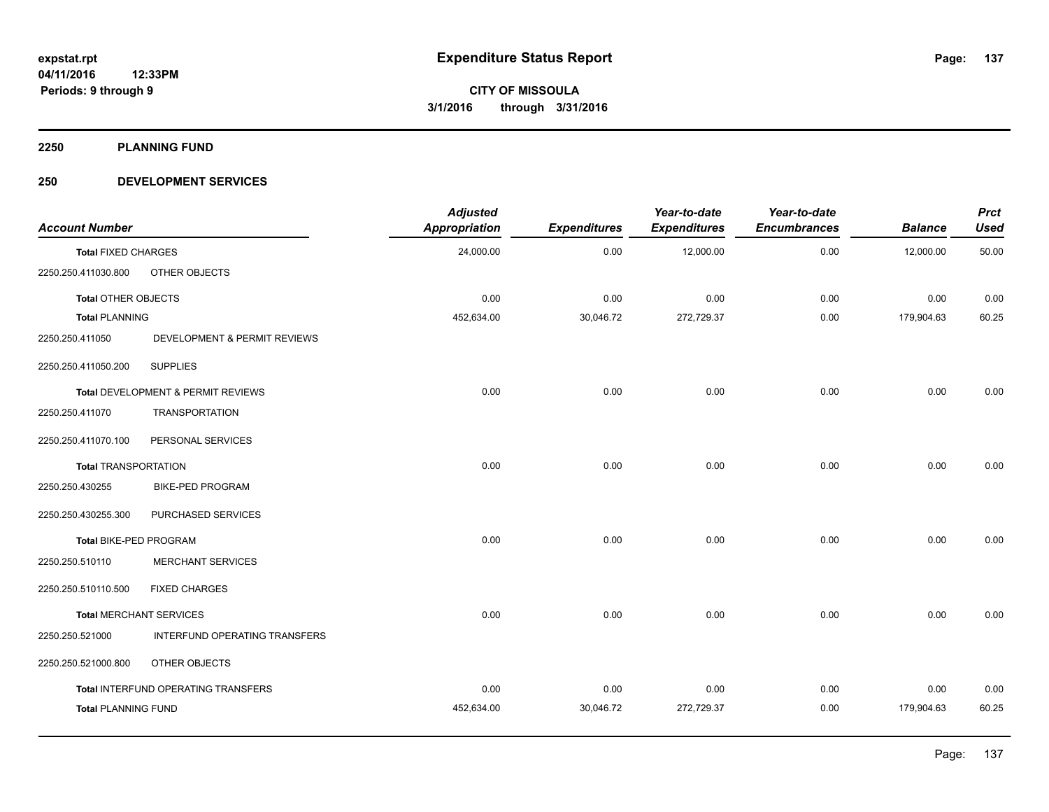**2250 PLANNING FUND**

#### **250 DEVELOPMENT SERVICES**

| <b>Account Number</b>          |                                     | <b>Adjusted</b><br>Appropriation | <b>Expenditures</b> | Year-to-date<br><b>Expenditures</b> | Year-to-date<br><b>Encumbrances</b> | <b>Balance</b> | <b>Prct</b><br><b>Used</b> |
|--------------------------------|-------------------------------------|----------------------------------|---------------------|-------------------------------------|-------------------------------------|----------------|----------------------------|
| <b>Total FIXED CHARGES</b>     |                                     | 24,000.00                        | 0.00                | 12,000.00                           | 0.00                                | 12,000.00      | 50.00                      |
| 2250.250.411030.800            | OTHER OBJECTS                       |                                  |                     |                                     |                                     |                |                            |
| <b>Total OTHER OBJECTS</b>     |                                     | 0.00                             | 0.00                | 0.00                                | 0.00                                | 0.00           | 0.00                       |
| <b>Total PLANNING</b>          |                                     | 452,634.00                       | 30,046.72           | 272,729.37                          | 0.00                                | 179,904.63     | 60.25                      |
| 2250.250.411050                | DEVELOPMENT & PERMIT REVIEWS        |                                  |                     |                                     |                                     |                |                            |
| 2250.250.411050.200            | <b>SUPPLIES</b>                     |                                  |                     |                                     |                                     |                |                            |
|                                | Total DEVELOPMENT & PERMIT REVIEWS  | 0.00                             | 0.00                | 0.00                                | 0.00                                | 0.00           | 0.00                       |
| 2250.250.411070                | <b>TRANSPORTATION</b>               |                                  |                     |                                     |                                     |                |                            |
| 2250.250.411070.100            | PERSONAL SERVICES                   |                                  |                     |                                     |                                     |                |                            |
| <b>Total TRANSPORTATION</b>    |                                     | 0.00                             | 0.00                | 0.00                                | 0.00                                | 0.00           | 0.00                       |
| 2250.250.430255                | <b>BIKE-PED PROGRAM</b>             |                                  |                     |                                     |                                     |                |                            |
| 2250.250.430255.300            | PURCHASED SERVICES                  |                                  |                     |                                     |                                     |                |                            |
| Total BIKE-PED PROGRAM         |                                     | 0.00                             | 0.00                | 0.00                                | 0.00                                | 0.00           | 0.00                       |
| 2250.250.510110                | <b>MERCHANT SERVICES</b>            |                                  |                     |                                     |                                     |                |                            |
| 2250.250.510110.500            | <b>FIXED CHARGES</b>                |                                  |                     |                                     |                                     |                |                            |
| <b>Total MERCHANT SERVICES</b> |                                     | 0.00                             | 0.00                | 0.00                                | 0.00                                | 0.00           | 0.00                       |
| 2250.250.521000                | INTERFUND OPERATING TRANSFERS       |                                  |                     |                                     |                                     |                |                            |
| 2250.250.521000.800            | OTHER OBJECTS                       |                                  |                     |                                     |                                     |                |                            |
|                                | Total INTERFUND OPERATING TRANSFERS | 0.00                             | 0.00                | 0.00                                | 0.00                                | 0.00           | 0.00                       |
| <b>Total PLANNING FUND</b>     |                                     | 452,634.00                       | 30,046.72           | 272,729.37                          | 0.00                                | 179,904.63     | 60.25                      |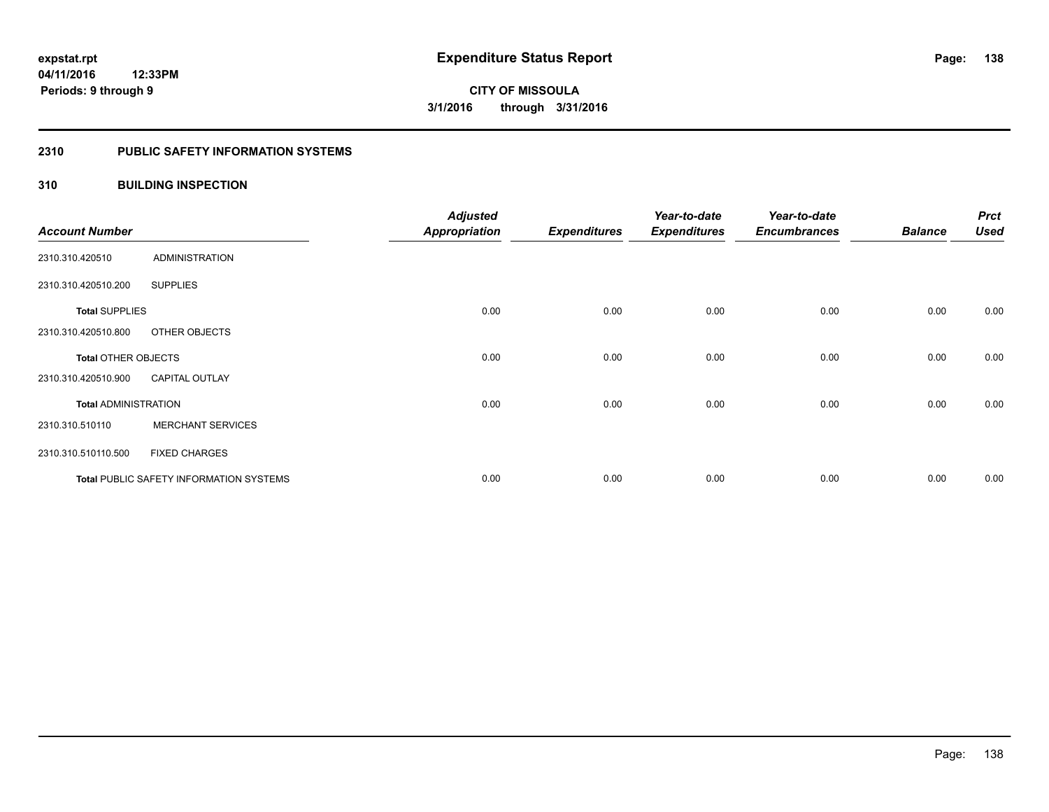## **2310 PUBLIC SAFETY INFORMATION SYSTEMS**

## **310 BUILDING INSPECTION**

| <b>Account Number</b>       |                                         | <b>Adjusted</b><br>Appropriation | <b>Expenditures</b> | Year-to-date<br><b>Expenditures</b> | Year-to-date<br><b>Encumbrances</b> | <b>Balance</b> | <b>Prct</b><br><b>Used</b> |
|-----------------------------|-----------------------------------------|----------------------------------|---------------------|-------------------------------------|-------------------------------------|----------------|----------------------------|
| 2310.310.420510             | <b>ADMINISTRATION</b>                   |                                  |                     |                                     |                                     |                |                            |
| 2310.310.420510.200         | <b>SUPPLIES</b>                         |                                  |                     |                                     |                                     |                |                            |
| <b>Total SUPPLIES</b>       |                                         | 0.00                             | 0.00                | 0.00                                | 0.00                                | 0.00           | 0.00                       |
| 2310.310.420510.800         | OTHER OBJECTS                           |                                  |                     |                                     |                                     |                |                            |
| <b>Total OTHER OBJECTS</b>  |                                         | 0.00                             | 0.00                | 0.00                                | 0.00                                | 0.00           | 0.00                       |
| 2310.310.420510.900         | <b>CAPITAL OUTLAY</b>                   |                                  |                     |                                     |                                     |                |                            |
| <b>Total ADMINISTRATION</b> |                                         | 0.00                             | 0.00                | 0.00                                | 0.00                                | 0.00           | 0.00                       |
| 2310.310.510110             | <b>MERCHANT SERVICES</b>                |                                  |                     |                                     |                                     |                |                            |
| 2310.310.510110.500         | <b>FIXED CHARGES</b>                    |                                  |                     |                                     |                                     |                |                            |
|                             | Total PUBLIC SAFETY INFORMATION SYSTEMS | 0.00                             | 0.00                | 0.00                                | 0.00                                | 0.00           | 0.00                       |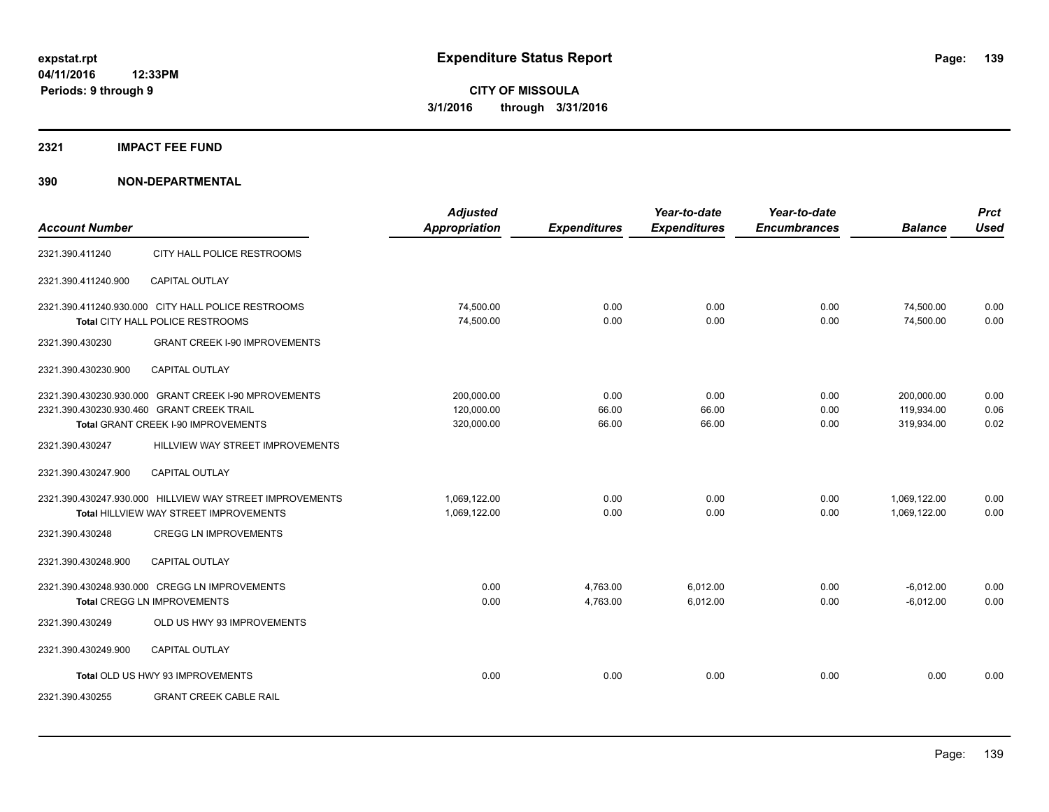#### **2321 IMPACT FEE FUND**

|                                                          | <b>Adjusted</b>      |                     | Year-to-date        | Year-to-date        |                | <b>Prct</b> |
|----------------------------------------------------------|----------------------|---------------------|---------------------|---------------------|----------------|-------------|
| <b>Account Number</b>                                    | <b>Appropriation</b> | <b>Expenditures</b> | <b>Expenditures</b> | <b>Encumbrances</b> | <b>Balance</b> | <b>Used</b> |
| CITY HALL POLICE RESTROOMS<br>2321.390.411240            |                      |                     |                     |                     |                |             |
| 2321.390.411240.900<br><b>CAPITAL OUTLAY</b>             |                      |                     |                     |                     |                |             |
| 2321.390.411240.930.000 CITY HALL POLICE RESTROOMS       | 74,500.00            | 0.00                | 0.00                | 0.00                | 74,500.00      | 0.00        |
| <b>Total CITY HALL POLICE RESTROOMS</b>                  | 74,500.00            | 0.00                | 0.00                | 0.00                | 74,500.00      | 0.00        |
| <b>GRANT CREEK I-90 IMPROVEMENTS</b><br>2321.390.430230  |                      |                     |                     |                     |                |             |
| <b>CAPITAL OUTLAY</b><br>2321.390.430230.900             |                      |                     |                     |                     |                |             |
| 2321.390.430230.930.000 GRANT CREEK I-90 MPROVEMENTS     | 200,000.00           | 0.00                | 0.00                | 0.00                | 200,000.00     | 0.00        |
| 2321.390.430230.930.460 GRANT CREEK TRAIL                | 120,000.00           | 66.00               | 66.00               | 0.00                | 119,934.00     | 0.06        |
| Total GRANT CREEK I-90 IMPROVEMENTS                      | 320,000.00           | 66.00               | 66.00               | 0.00                | 319,934.00     | 0.02        |
| 2321.390.430247<br>HILLVIEW WAY STREET IMPROVEMENTS      |                      |                     |                     |                     |                |             |
| 2321.390.430247.900<br><b>CAPITAL OUTLAY</b>             |                      |                     |                     |                     |                |             |
| 2321.390.430247.930.000 HILLVIEW WAY STREET IMPROVEMENTS | 1,069,122.00         | 0.00                | 0.00                | 0.00                | 1,069,122.00   | 0.00        |
| Total HILLVIEW WAY STREET IMPROVEMENTS                   | 1,069,122.00         | 0.00                | 0.00                | 0.00                | 1,069,122.00   | 0.00        |
| <b>CREGG LN IMPROVEMENTS</b><br>2321.390.430248          |                      |                     |                     |                     |                |             |
| 2321.390.430248.900<br><b>CAPITAL OUTLAY</b>             |                      |                     |                     |                     |                |             |
| 2321.390.430248.930.000 CREGG LN IMPROVEMENTS            | 0.00                 | 4,763.00            | 6.012.00            | 0.00                | $-6,012.00$    | 0.00        |
| <b>Total CREGG LN IMPROVEMENTS</b>                       | 0.00                 | 4,763.00            | 6,012.00            | 0.00                | $-6,012.00$    | 0.00        |
| OLD US HWY 93 IMPROVEMENTS<br>2321.390.430249            |                      |                     |                     |                     |                |             |
| 2321.390.430249.900<br><b>CAPITAL OUTLAY</b>             |                      |                     |                     |                     |                |             |
| Total OLD US HWY 93 IMPROVEMENTS                         | 0.00                 | 0.00                | 0.00                | 0.00                | 0.00           | 0.00        |
| <b>GRANT CREEK CABLE RAIL</b><br>2321.390.430255         |                      |                     |                     |                     |                |             |
|                                                          |                      |                     |                     |                     |                |             |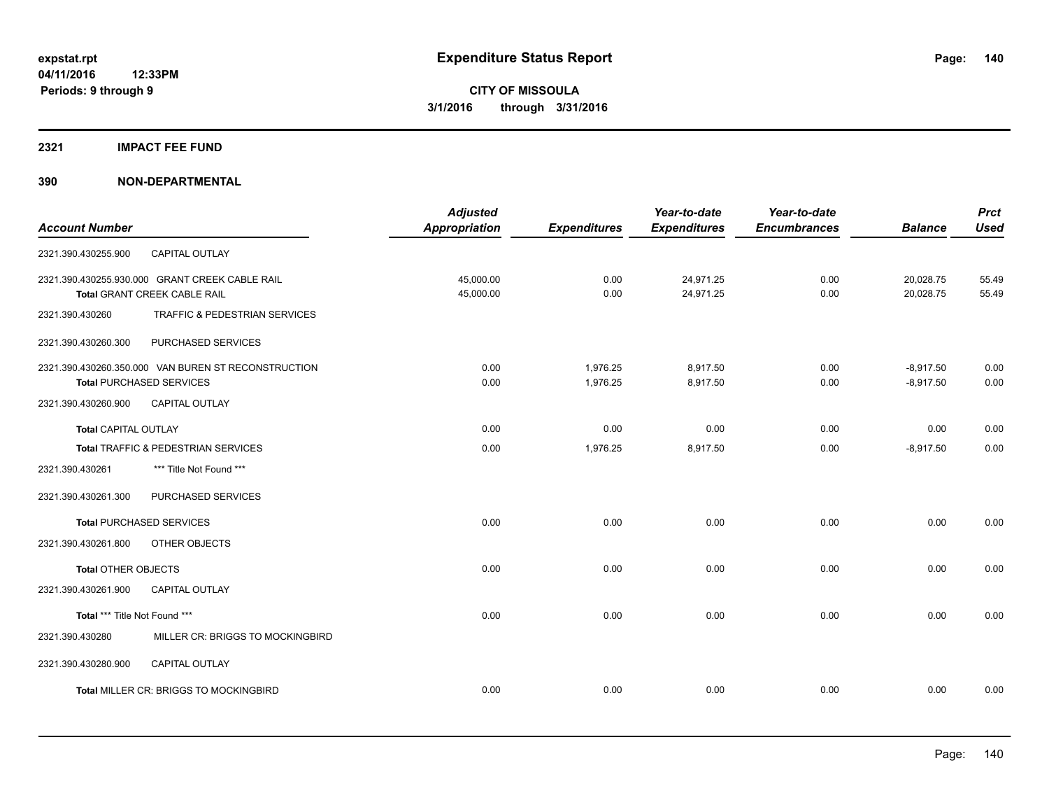#### **2321 IMPACT FEE FUND**

| <b>Account Number</b>         |                                                                                        | <b>Adjusted</b><br><b>Appropriation</b> | <b>Expenditures</b>  | Year-to-date<br><b>Expenditures</b> | Year-to-date<br><b>Encumbrances</b> | <b>Balance</b>             | <b>Prct</b><br><b>Used</b> |
|-------------------------------|----------------------------------------------------------------------------------------|-----------------------------------------|----------------------|-------------------------------------|-------------------------------------|----------------------------|----------------------------|
| 2321.390.430255.900           | CAPITAL OUTLAY                                                                         |                                         |                      |                                     |                                     |                            |                            |
|                               | 2321.390.430255.930.000 GRANT CREEK CABLE RAIL<br>Total GRANT CREEK CABLE RAIL         | 45,000.00<br>45,000.00                  | 0.00<br>0.00         | 24,971.25<br>24,971.25              | 0.00<br>0.00                        | 20,028.75<br>20,028.75     | 55.49<br>55.49             |
| 2321.390.430260               | TRAFFIC & PEDESTRIAN SERVICES                                                          |                                         |                      |                                     |                                     |                            |                            |
| 2321.390.430260.300           | PURCHASED SERVICES                                                                     |                                         |                      |                                     |                                     |                            |                            |
|                               | 2321.390.430260.350.000 VAN BUREN ST RECONSTRUCTION<br><b>Total PURCHASED SERVICES</b> | 0.00<br>0.00                            | 1,976.25<br>1,976.25 | 8,917.50<br>8,917.50                | 0.00<br>0.00                        | $-8,917.50$<br>$-8,917.50$ | 0.00<br>0.00               |
| 2321.390.430260.900           | CAPITAL OUTLAY                                                                         |                                         |                      |                                     |                                     |                            |                            |
| <b>Total CAPITAL OUTLAY</b>   |                                                                                        | 0.00                                    | 0.00                 | 0.00                                | 0.00                                | 0.00                       | 0.00                       |
|                               | Total TRAFFIC & PEDESTRIAN SERVICES                                                    | 0.00                                    | 1,976.25             | 8,917.50                            | 0.00                                | $-8,917.50$                | 0.00                       |
| 2321.390.430261               | *** Title Not Found ***                                                                |                                         |                      |                                     |                                     |                            |                            |
| 2321.390.430261.300           | PURCHASED SERVICES                                                                     |                                         |                      |                                     |                                     |                            |                            |
|                               | <b>Total PURCHASED SERVICES</b>                                                        | 0.00                                    | 0.00                 | 0.00                                | 0.00                                | 0.00                       | 0.00                       |
| 2321.390.430261.800           | OTHER OBJECTS                                                                          |                                         |                      |                                     |                                     |                            |                            |
| <b>Total OTHER OBJECTS</b>    |                                                                                        | 0.00                                    | 0.00                 | 0.00                                | 0.00                                | 0.00                       | 0.00                       |
| 2321.390.430261.900           | <b>CAPITAL OUTLAY</b>                                                                  |                                         |                      |                                     |                                     |                            |                            |
| Total *** Title Not Found *** |                                                                                        | 0.00                                    | 0.00                 | 0.00                                | 0.00                                | 0.00                       | 0.00                       |
| 2321.390.430280               | MILLER CR: BRIGGS TO MOCKINGBIRD                                                       |                                         |                      |                                     |                                     |                            |                            |
| 2321.390.430280.900           | CAPITAL OUTLAY                                                                         |                                         |                      |                                     |                                     |                            |                            |
|                               | Total MILLER CR: BRIGGS TO MOCKINGBIRD                                                 | 0.00                                    | 0.00                 | 0.00                                | 0.00                                | 0.00                       | 0.00                       |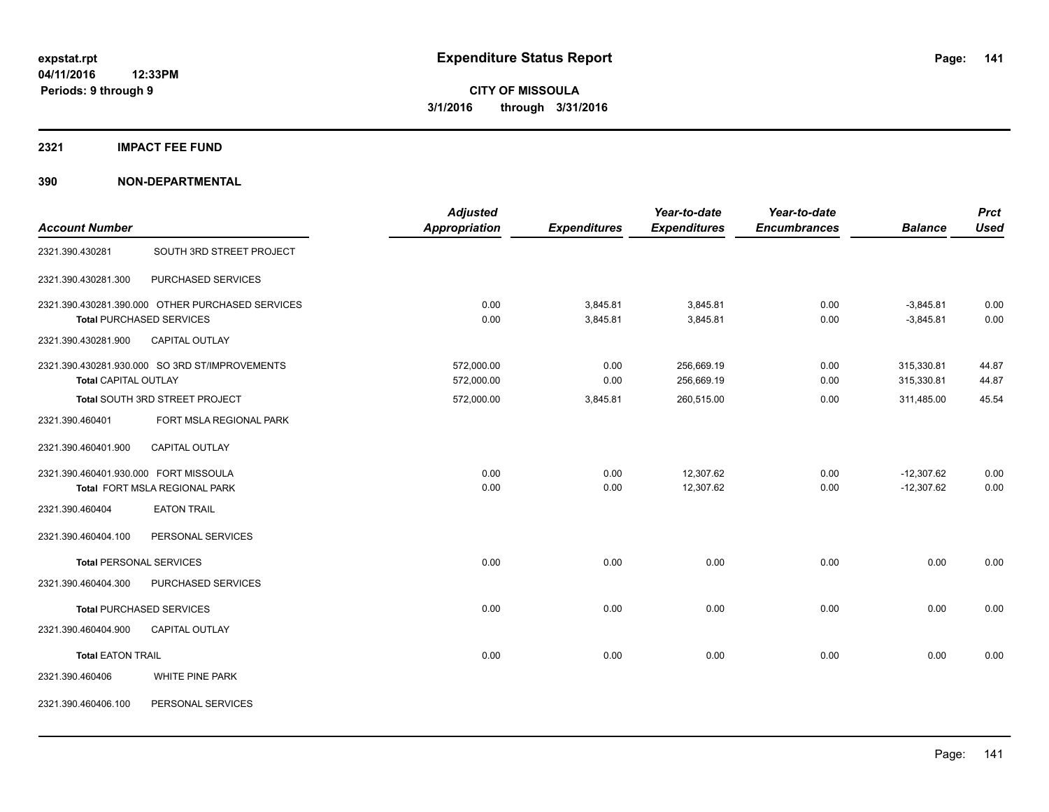### **2321 IMPACT FEE FUND**

| <b>Account Number</b>                                    |                                                                                                              | <b>Adjusted</b><br><b>Appropriation</b> | <b>Expenditures</b>      | Year-to-date<br><b>Expenditures</b>    | Year-to-date<br><b>Encumbrances</b> | <b>Balance</b>                         | <b>Prct</b><br><b>Used</b> |
|----------------------------------------------------------|--------------------------------------------------------------------------------------------------------------|-----------------------------------------|--------------------------|----------------------------------------|-------------------------------------|----------------------------------------|----------------------------|
| 2321.390.430281                                          | SOUTH 3RD STREET PROJECT                                                                                     |                                         |                          |                                        |                                     |                                        |                            |
| 2321.390.430281.300                                      | PURCHASED SERVICES                                                                                           |                                         |                          |                                        |                                     |                                        |                            |
| 2321.390.430281.900                                      | 2321.390.430281.390.000 OTHER PURCHASED SERVICES<br><b>Total PURCHASED SERVICES</b><br><b>CAPITAL OUTLAY</b> | 0.00<br>0.00                            | 3,845.81<br>3,845.81     | 3,845.81<br>3,845.81                   | 0.00<br>0.00                        | $-3,845.81$<br>$-3,845.81$             | 0.00<br>0.00               |
| <b>Total CAPITAL OUTLAY</b>                              | 2321.390.430281.930.000 SO 3RD ST/IMPROVEMENTS<br>Total SOUTH 3RD STREET PROJECT                             | 572,000.00<br>572,000.00<br>572,000.00  | 0.00<br>0.00<br>3,845.81 | 256,669.19<br>256,669.19<br>260,515.00 | 0.00<br>0.00<br>0.00                | 315,330.81<br>315,330.81<br>311,485.00 | 44.87<br>44.87<br>45.54    |
| 2321.390.460401                                          | FORT MSLA REGIONAL PARK                                                                                      |                                         |                          |                                        |                                     |                                        |                            |
| 2321.390.460401.900                                      | <b>CAPITAL OUTLAY</b>                                                                                        |                                         |                          |                                        |                                     |                                        |                            |
| 2321.390.460401.930.000 FORT MISSOULA<br>2321.390.460404 | <b>Total FORT MSLA REGIONAL PARK</b><br><b>EATON TRAIL</b>                                                   | 0.00<br>0.00                            | 0.00<br>0.00             | 12,307.62<br>12,307.62                 | 0.00<br>0.00                        | $-12,307.62$<br>$-12,307.62$           | 0.00<br>0.00               |
| 2321.390.460404.100                                      | PERSONAL SERVICES                                                                                            |                                         |                          |                                        |                                     |                                        |                            |
| <b>Total PERSONAL SERVICES</b><br>2321.390.460404.300    | PURCHASED SERVICES                                                                                           | 0.00                                    | 0.00                     | 0.00                                   | 0.00                                | 0.00                                   | 0.00                       |
| 2321.390.460404.900                                      | <b>Total PURCHASED SERVICES</b><br><b>CAPITAL OUTLAY</b>                                                     | 0.00                                    | 0.00                     | 0.00                                   | 0.00                                | 0.00                                   | 0.00                       |
| <b>Total EATON TRAIL</b>                                 |                                                                                                              | 0.00                                    | 0.00                     | 0.00                                   | 0.00                                | 0.00                                   | 0.00                       |
| 2321.390.460406                                          | <b>WHITE PINE PARK</b>                                                                                       |                                         |                          |                                        |                                     |                                        |                            |
| 2321.390.460406.100                                      | PERSONAL SERVICES                                                                                            |                                         |                          |                                        |                                     |                                        |                            |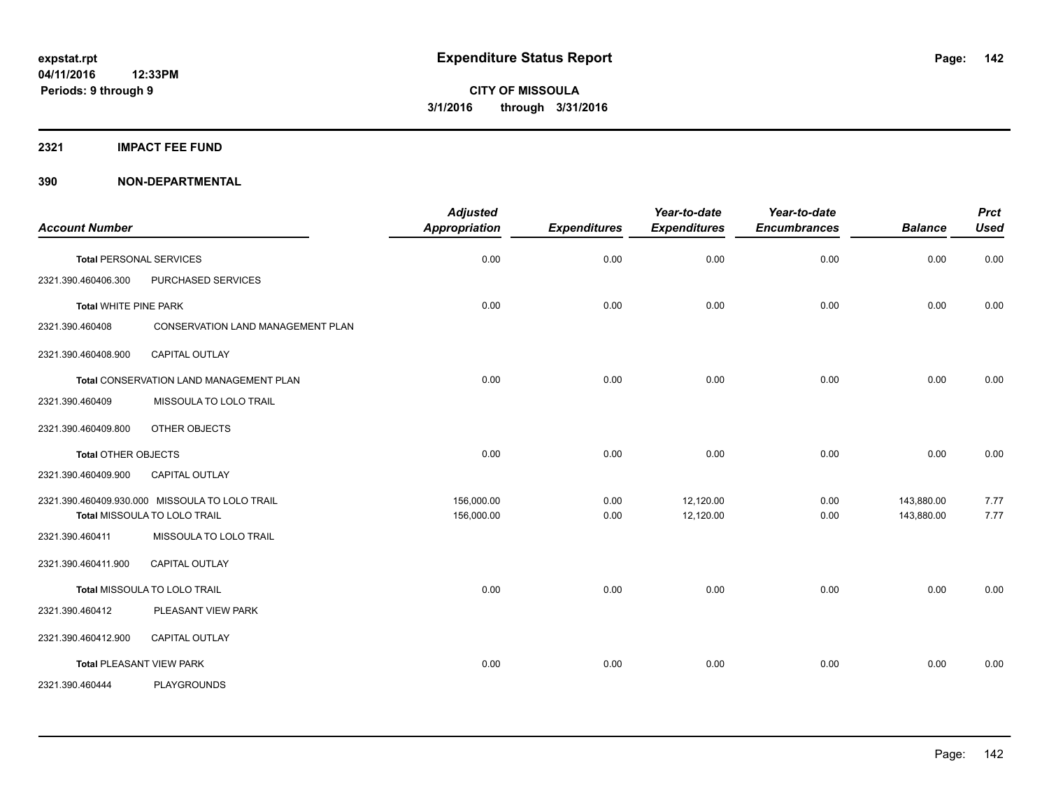#### **2321 IMPACT FEE FUND**

| <b>Account Number</b>        |                                                                                | <b>Adjusted</b><br>Appropriation | <b>Expenditures</b> | Year-to-date<br><b>Expenditures</b> | Year-to-date<br><b>Encumbrances</b> | <b>Balance</b>           | <b>Prct</b><br><b>Used</b> |
|------------------------------|--------------------------------------------------------------------------------|----------------------------------|---------------------|-------------------------------------|-------------------------------------|--------------------------|----------------------------|
|                              | <b>Total PERSONAL SERVICES</b>                                                 | 0.00                             | 0.00                | 0.00                                | 0.00                                | 0.00                     | 0.00                       |
| 2321.390.460406.300          | PURCHASED SERVICES                                                             |                                  |                     |                                     |                                     |                          |                            |
| <b>Total WHITE PINE PARK</b> |                                                                                | 0.00                             | 0.00                | 0.00                                | 0.00                                | 0.00                     | 0.00                       |
| 2321.390.460408              | CONSERVATION LAND MANAGEMENT PLAN                                              |                                  |                     |                                     |                                     |                          |                            |
| 2321.390.460408.900          | <b>CAPITAL OUTLAY</b>                                                          |                                  |                     |                                     |                                     |                          |                            |
|                              | Total CONSERVATION LAND MANAGEMENT PLAN                                        | 0.00                             | 0.00                | 0.00                                | 0.00                                | 0.00                     | 0.00                       |
| 2321.390.460409              | MISSOULA TO LOLO TRAIL                                                         |                                  |                     |                                     |                                     |                          |                            |
| 2321.390.460409.800          | OTHER OBJECTS                                                                  |                                  |                     |                                     |                                     |                          |                            |
| <b>Total OTHER OBJECTS</b>   |                                                                                | 0.00                             | 0.00                | 0.00                                | 0.00                                | 0.00                     | 0.00                       |
| 2321.390.460409.900          | <b>CAPITAL OUTLAY</b>                                                          |                                  |                     |                                     |                                     |                          |                            |
|                              | 2321.390.460409.930.000 MISSOULA TO LOLO TRAIL<br>Total MISSOULA TO LOLO TRAIL | 156,000.00<br>156,000.00         | 0.00<br>0.00        | 12,120.00<br>12,120.00              | 0.00<br>0.00                        | 143,880.00<br>143,880.00 | 7.77<br>7.77               |
| 2321.390.460411              | MISSOULA TO LOLO TRAIL                                                         |                                  |                     |                                     |                                     |                          |                            |
| 2321.390.460411.900          | <b>CAPITAL OUTLAY</b>                                                          |                                  |                     |                                     |                                     |                          |                            |
|                              | Total MISSOULA TO LOLO TRAIL                                                   | 0.00                             | 0.00                | 0.00                                | 0.00                                | 0.00                     | 0.00                       |
| 2321.390.460412              | PLEASANT VIEW PARK                                                             |                                  |                     |                                     |                                     |                          |                            |
| 2321.390.460412.900          | <b>CAPITAL OUTLAY</b>                                                          |                                  |                     |                                     |                                     |                          |                            |
|                              | <b>Total PLEASANT VIEW PARK</b>                                                | 0.00                             | 0.00                | 0.00                                | 0.00                                | 0.00                     | 0.00                       |
| 2321.390.460444              | <b>PLAYGROUNDS</b>                                                             |                                  |                     |                                     |                                     |                          |                            |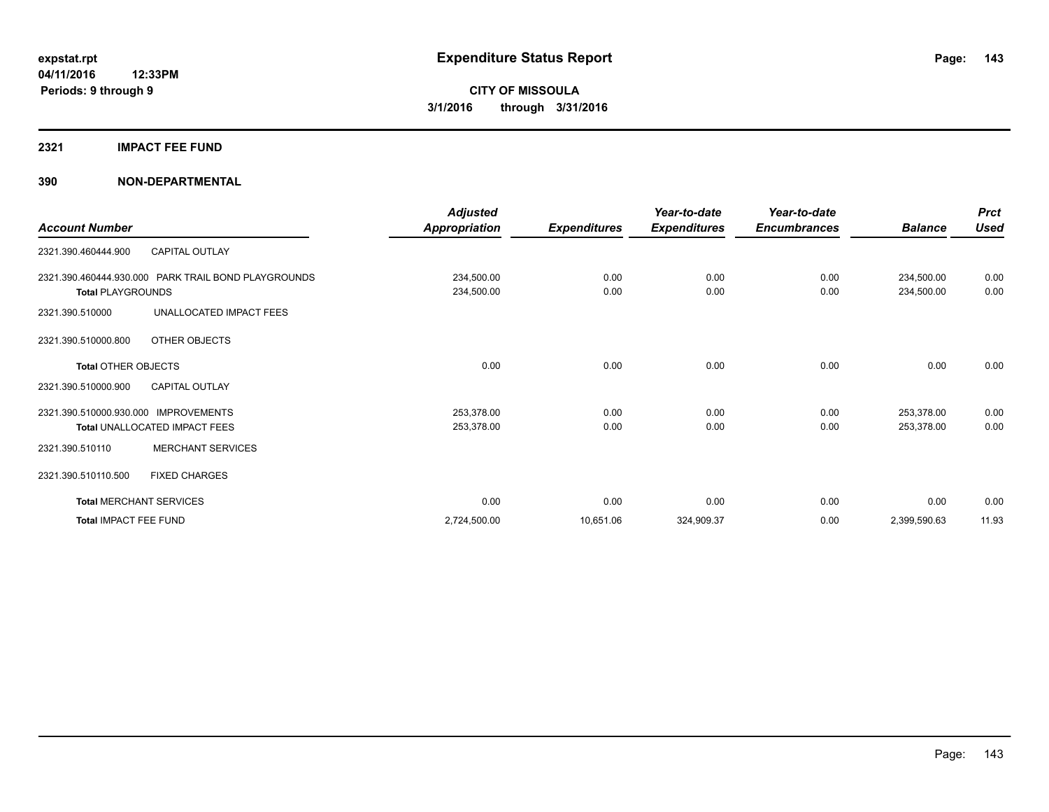#### **2321 IMPACT FEE FUND**

|                                      |                                                     | <b>Adjusted</b>      |                     | Year-to-date        | Year-to-date        |                | <b>Prct</b> |
|--------------------------------------|-----------------------------------------------------|----------------------|---------------------|---------------------|---------------------|----------------|-------------|
| <b>Account Number</b>                |                                                     | <b>Appropriation</b> | <b>Expenditures</b> | <b>Expenditures</b> | <b>Encumbrances</b> | <b>Balance</b> | <b>Used</b> |
| 2321.390.460444.900                  | <b>CAPITAL OUTLAY</b>                               |                      |                     |                     |                     |                |             |
|                                      | 2321.390.460444.930.000 PARK TRAIL BOND PLAYGROUNDS | 234,500.00           | 0.00                | 0.00                | 0.00                | 234,500.00     | 0.00        |
| <b>Total PLAYGROUNDS</b>             |                                                     | 234,500.00           | 0.00                | 0.00                | 0.00                | 234,500.00     | 0.00        |
| 2321.390.510000                      | UNALLOCATED IMPACT FEES                             |                      |                     |                     |                     |                |             |
| 2321.390.510000.800                  | OTHER OBJECTS                                       |                      |                     |                     |                     |                |             |
| <b>Total OTHER OBJECTS</b>           |                                                     | 0.00                 | 0.00                | 0.00                | 0.00                | 0.00           | 0.00        |
| 2321.390.510000.900                  | <b>CAPITAL OUTLAY</b>                               |                      |                     |                     |                     |                |             |
| 2321.390.510000.930.000 IMPROVEMENTS |                                                     | 253,378.00           | 0.00                | 0.00                | 0.00                | 253,378.00     | 0.00        |
| Total UNALLOCATED IMPACT FEES        |                                                     | 253,378.00           | 0.00                | 0.00                | 0.00                | 253,378.00     | 0.00        |
| 2321.390.510110                      | <b>MERCHANT SERVICES</b>                            |                      |                     |                     |                     |                |             |
| 2321.390.510110.500                  | <b>FIXED CHARGES</b>                                |                      |                     |                     |                     |                |             |
| <b>Total MERCHANT SERVICES</b>       |                                                     | 0.00                 | 0.00                | 0.00                | 0.00                | 0.00           | 0.00        |
| Total IMPACT FEE FUND                |                                                     | 2,724,500.00         | 10,651.06           | 324,909.37          | 0.00                | 2,399,590.63   | 11.93       |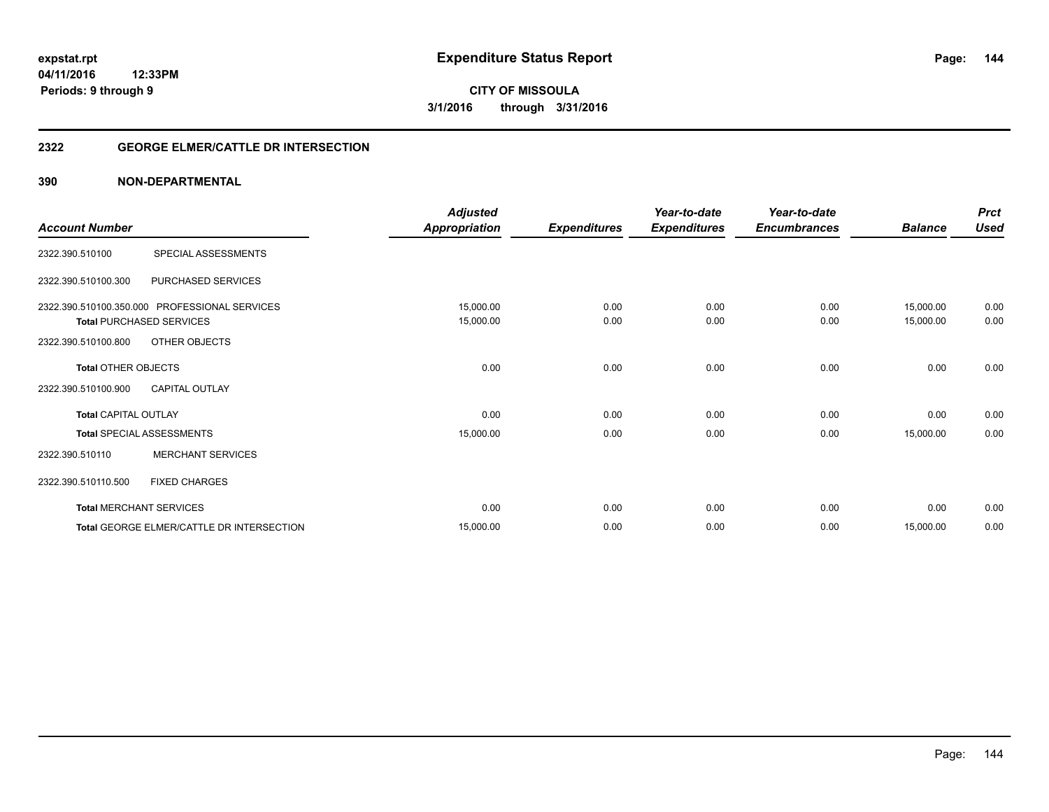#### **2322 GEORGE ELMER/CATTLE DR INTERSECTION**

| <b>Account Number</b>                              |                                                                                                   | <b>Adjusted</b><br><b>Appropriation</b> | <b>Expenditures</b> | Year-to-date<br><b>Expenditures</b> | Year-to-date<br><b>Encumbrances</b> | <b>Balance</b>         | <b>Prct</b><br><b>Used</b> |
|----------------------------------------------------|---------------------------------------------------------------------------------------------------|-----------------------------------------|---------------------|-------------------------------------|-------------------------------------|------------------------|----------------------------|
| 2322.390.510100                                    | SPECIAL ASSESSMENTS                                                                               |                                         |                     |                                     |                                     |                        |                            |
| 2322.390.510100.300                                | PURCHASED SERVICES                                                                                |                                         |                     |                                     |                                     |                        |                            |
| 2322.390.510100.800                                | 2322.390.510100.350.000 PROFESSIONAL SERVICES<br><b>Total PURCHASED SERVICES</b><br>OTHER OBJECTS | 15,000.00<br>15,000.00                  | 0.00<br>0.00        | 0.00<br>0.00                        | 0.00<br>0.00                        | 15,000.00<br>15,000.00 | 0.00<br>0.00               |
| <b>Total OTHER OBJECTS</b>                         |                                                                                                   | 0.00                                    | 0.00                | 0.00                                | 0.00                                | 0.00                   | 0.00                       |
| 2322.390.510100.900<br><b>Total CAPITAL OUTLAY</b> | <b>CAPITAL OUTLAY</b>                                                                             | 0.00                                    | 0.00                | 0.00                                | 0.00                                | 0.00                   | 0.00                       |
| 2322.390.510110                                    | <b>Total SPECIAL ASSESSMENTS</b><br><b>MERCHANT SERVICES</b>                                      | 15,000.00                               | 0.00                | 0.00                                | 0.00                                | 15,000.00              | 0.00                       |
| 2322.390.510110.500                                | <b>FIXED CHARGES</b>                                                                              |                                         |                     |                                     |                                     |                        |                            |
|                                                    | <b>Total MERCHANT SERVICES</b>                                                                    | 0.00                                    | 0.00                | 0.00                                | 0.00                                | 0.00                   | 0.00                       |
|                                                    | Total GEORGE ELMER/CATTLE DR INTERSECTION                                                         | 15,000.00                               | 0.00                | 0.00                                | 0.00                                | 15,000.00              | 0.00                       |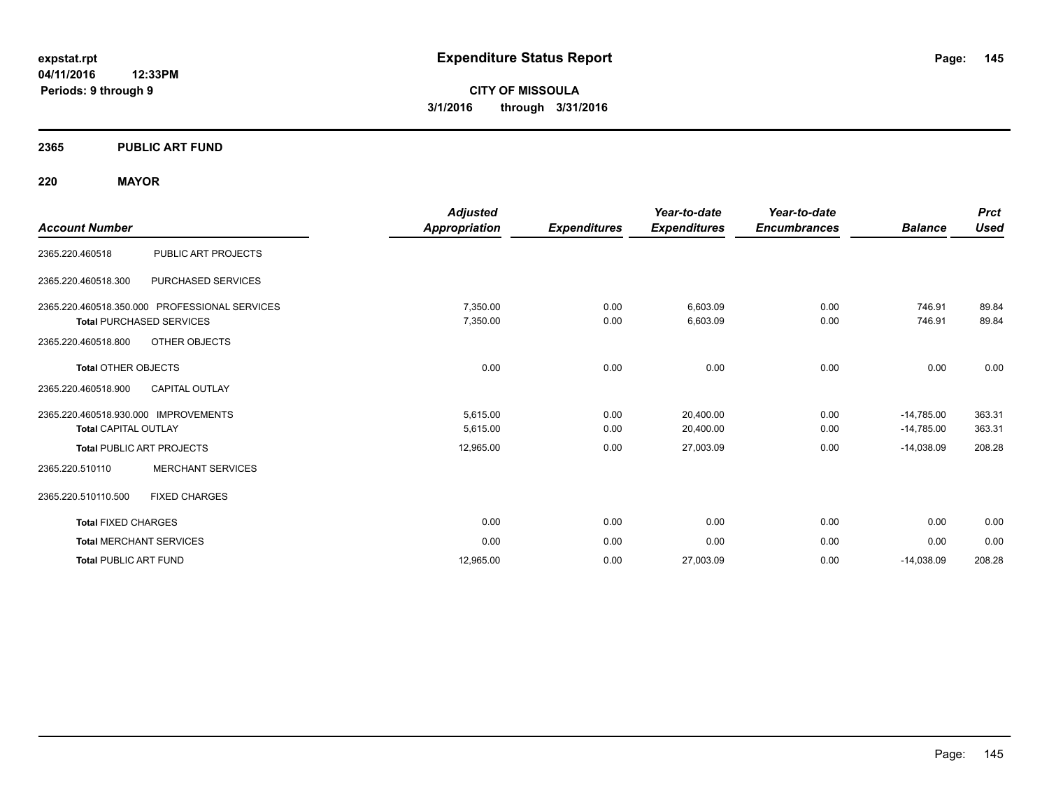#### **2365 PUBLIC ART FUND**

#### **220 MAYOR**

| <b>Account Number</b>                                                                                   |                                               | <b>Adjusted</b><br>Appropriation  | <b>Expenditures</b>  | Year-to-date<br><b>Expenditures</b> | Year-to-date<br><b>Encumbrances</b> | <b>Balance</b>                               | <b>Prct</b><br><b>Used</b> |
|---------------------------------------------------------------------------------------------------------|-----------------------------------------------|-----------------------------------|----------------------|-------------------------------------|-------------------------------------|----------------------------------------------|----------------------------|
| 2365.220.460518                                                                                         | PUBLIC ART PROJECTS                           |                                   |                      |                                     |                                     |                                              |                            |
| 2365.220.460518.300                                                                                     | PURCHASED SERVICES                            |                                   |                      |                                     |                                     |                                              |                            |
| <b>Total PURCHASED SERVICES</b>                                                                         | 2365.220.460518.350.000 PROFESSIONAL SERVICES | 7,350.00<br>7,350.00              | 0.00<br>0.00         | 6,603.09<br>6,603.09                | 0.00<br>0.00                        | 746.91<br>746.91                             | 89.84<br>89.84             |
| 2365.220.460518.800                                                                                     | <b>OTHER OBJECTS</b>                          |                                   |                      |                                     |                                     |                                              |                            |
| <b>Total OTHER OBJECTS</b><br>2365.220.460518.900                                                       | <b>CAPITAL OUTLAY</b>                         | 0.00                              | 0.00                 | 0.00                                | 0.00                                | 0.00                                         | 0.00                       |
| 2365.220.460518.930.000 IMPROVEMENTS<br><b>Total CAPITAL OUTLAY</b><br><b>Total PUBLIC ART PROJECTS</b> |                                               | 5,615.00<br>5,615.00<br>12,965.00 | 0.00<br>0.00<br>0.00 | 20,400.00<br>20,400.00<br>27,003.09 | 0.00<br>0.00<br>0.00                | $-14,785.00$<br>$-14,785.00$<br>$-14,038.09$ | 363.31<br>363.31<br>208.28 |
| 2365.220.510110                                                                                         | <b>MERCHANT SERVICES</b>                      |                                   |                      |                                     |                                     |                                              |                            |
| 2365.220.510110.500                                                                                     | <b>FIXED CHARGES</b>                          |                                   |                      |                                     |                                     |                                              |                            |
| <b>Total FIXED CHARGES</b>                                                                              |                                               | 0.00                              | 0.00                 | 0.00                                | 0.00                                | 0.00                                         | 0.00                       |
| <b>Total MERCHANT SERVICES</b>                                                                          |                                               | 0.00                              | 0.00                 | 0.00                                | 0.00                                | 0.00                                         | 0.00                       |
| <b>Total PUBLIC ART FUND</b>                                                                            |                                               | 12,965.00                         | 0.00                 | 27,003.09                           | 0.00                                | $-14,038.09$                                 | 208.28                     |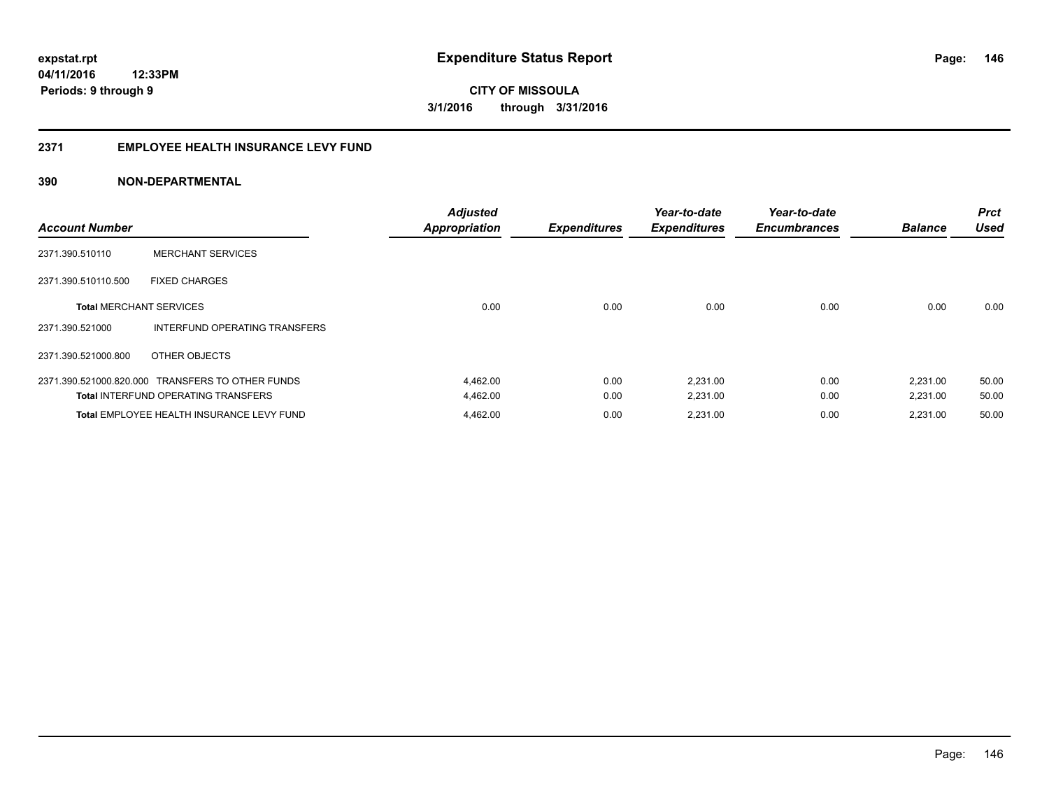#### **2371 EMPLOYEE HEALTH INSURANCE LEVY FUND**

| <b>Account Number</b>          |                                                  | <b>Adjusted</b><br><b>Appropriation</b> | <b>Expenditures</b> | Year-to-date<br><b>Expenditures</b> | Year-to-date<br><b>Encumbrances</b> | <b>Balance</b> | <b>Prct</b><br><b>Used</b> |
|--------------------------------|--------------------------------------------------|-----------------------------------------|---------------------|-------------------------------------|-------------------------------------|----------------|----------------------------|
| 2371.390.510110                | <b>MERCHANT SERVICES</b>                         |                                         |                     |                                     |                                     |                |                            |
| 2371.390.510110.500            | <b>FIXED CHARGES</b>                             |                                         |                     |                                     |                                     |                |                            |
| <b>Total MERCHANT SERVICES</b> |                                                  | 0.00                                    | 0.00                | 0.00                                | 0.00                                | 0.00           | 0.00                       |
| 2371.390.521000                | INTERFUND OPERATING TRANSFERS                    |                                         |                     |                                     |                                     |                |                            |
| 2371.390.521000.800            | OTHER OBJECTS                                    |                                         |                     |                                     |                                     |                |                            |
|                                | 2371.390.521000.820.000 TRANSFERS TO OTHER FUNDS | 4,462.00                                | 0.00                | 2,231.00                            | 0.00                                | 2,231.00       | 50.00                      |
|                                | <b>Total INTERFUND OPERATING TRANSFERS</b>       | 4,462.00                                | 0.00                | 2,231.00                            | 0.00                                | 2,231.00       | 50.00                      |
|                                | Total EMPLOYEE HEALTH INSURANCE LEVY FUND        | 4,462.00                                | 0.00                | 2,231.00                            | 0.00                                | 2,231.00       | 50.00                      |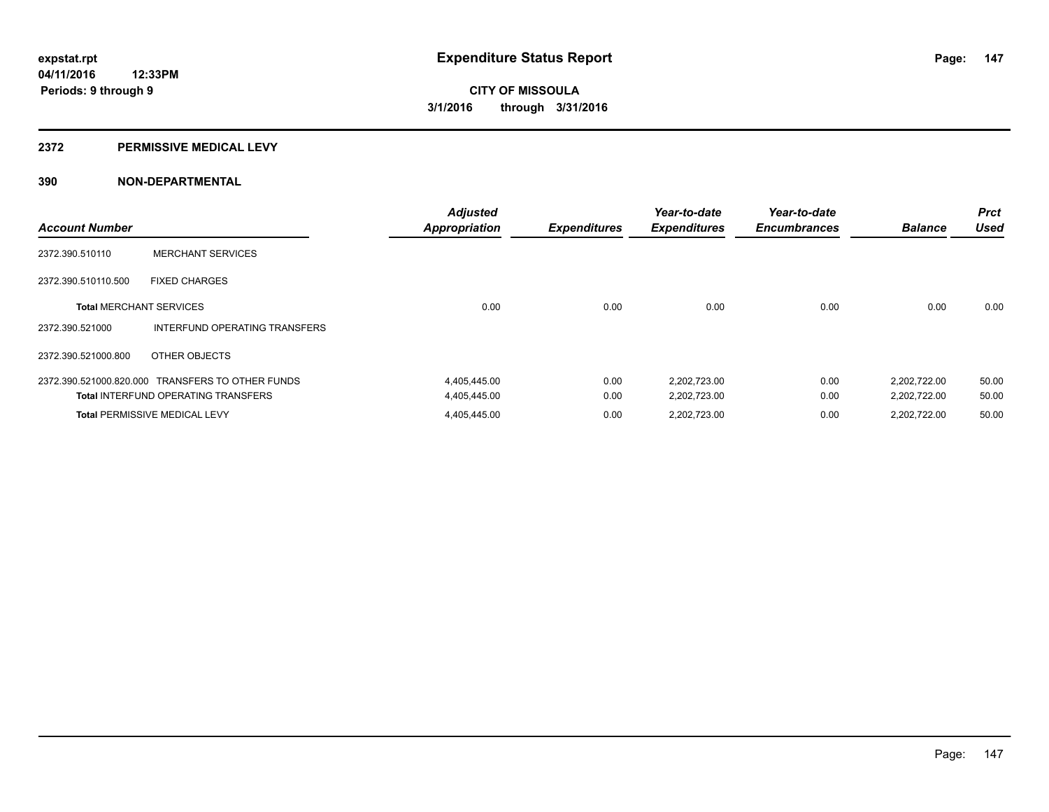#### **2372 PERMISSIVE MEDICAL LEVY**

| <b>Account Number</b>          |                                                  | <b>Adjusted</b><br><b>Appropriation</b> | <b>Expenditures</b> | Year-to-date<br><b>Expenditures</b> | Year-to-date<br><b>Encumbrances</b> | <b>Balance</b> | <b>Prct</b><br><b>Used</b> |
|--------------------------------|--------------------------------------------------|-----------------------------------------|---------------------|-------------------------------------|-------------------------------------|----------------|----------------------------|
| 2372.390.510110                | <b>MERCHANT SERVICES</b>                         |                                         |                     |                                     |                                     |                |                            |
| 2372.390.510110.500            | <b>FIXED CHARGES</b>                             |                                         |                     |                                     |                                     |                |                            |
| <b>Total MERCHANT SERVICES</b> |                                                  | 0.00                                    | 0.00                | 0.00                                | 0.00                                | 0.00           | 0.00                       |
| 2372.390.521000                | INTERFUND OPERATING TRANSFERS                    |                                         |                     |                                     |                                     |                |                            |
| 2372.390.521000.800            | OTHER OBJECTS                                    |                                         |                     |                                     |                                     |                |                            |
|                                | 2372.390.521000.820.000 TRANSFERS TO OTHER FUNDS | 4,405,445.00                            | 0.00                | 2,202,723.00                        | 0.00                                | 2,202,722.00   | 50.00                      |
|                                | <b>Total INTERFUND OPERATING TRANSFERS</b>       | 4,405,445.00                            | 0.00                | 2,202,723.00                        | 0.00                                | 2,202,722.00   | 50.00                      |
|                                | <b>Total PERMISSIVE MEDICAL LEVY</b>             | 4,405,445.00                            | 0.00                | 2,202,723.00                        | 0.00                                | 2.202.722.00   | 50.00                      |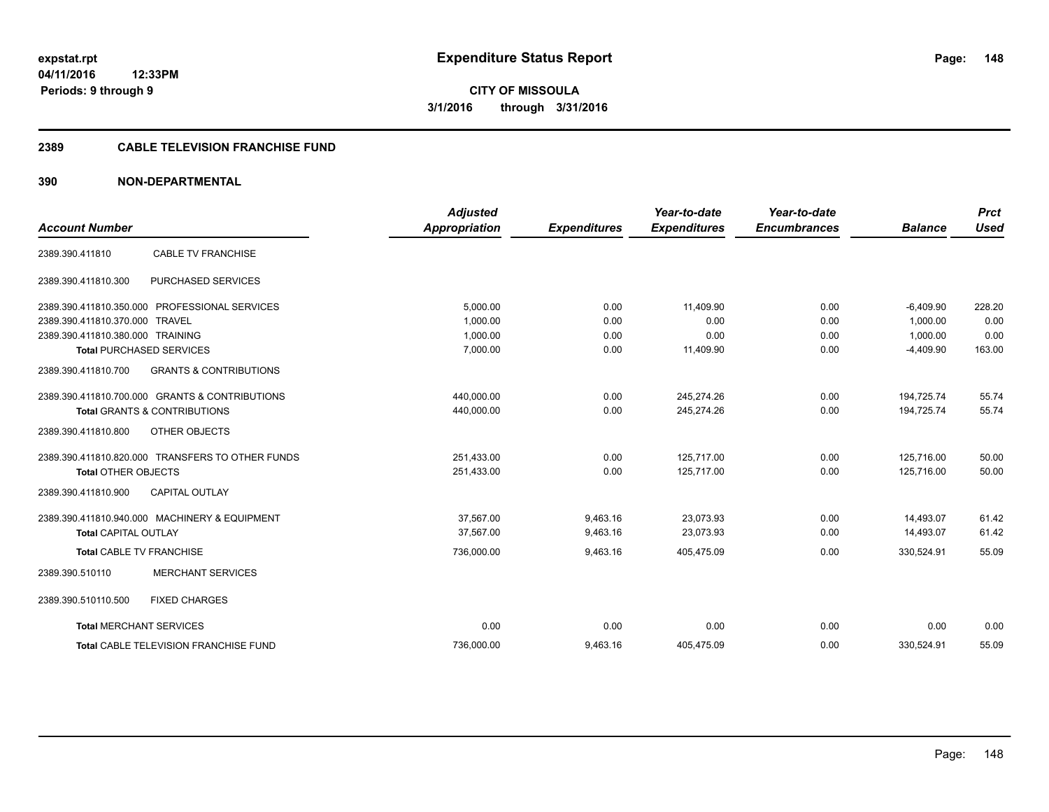#### **2389 CABLE TELEVISION FRANCHISE FUND**

| <b>Account Number</b>            |                                                  | <b>Adjusted</b><br><b>Appropriation</b> | <b>Expenditures</b> | Year-to-date<br><b>Expenditures</b> | Year-to-date<br><b>Encumbrances</b> | <b>Balance</b> | <b>Prct</b><br><b>Used</b> |
|----------------------------------|--------------------------------------------------|-----------------------------------------|---------------------|-------------------------------------|-------------------------------------|----------------|----------------------------|
|                                  |                                                  |                                         |                     |                                     |                                     |                |                            |
| 2389.390.411810                  | <b>CABLE TV FRANCHISE</b>                        |                                         |                     |                                     |                                     |                |                            |
| 2389.390.411810.300              | PURCHASED SERVICES                               |                                         |                     |                                     |                                     |                |                            |
|                                  | 2389.390.411810.350.000 PROFESSIONAL SERVICES    | 5,000.00                                | 0.00                | 11,409.90                           | 0.00                                | $-6,409.90$    | 228.20                     |
| 2389.390.411810.370.000 TRAVEL   |                                                  | 1.000.00                                | 0.00                | 0.00                                | 0.00                                | 1.000.00       | 0.00                       |
| 2389.390.411810.380.000 TRAINING |                                                  | 1,000.00                                | 0.00                | 0.00                                | 0.00                                | 1,000.00       | 0.00                       |
|                                  | <b>Total PURCHASED SERVICES</b>                  | 7,000.00                                | 0.00                | 11,409.90                           | 0.00                                | $-4,409.90$    | 163.00                     |
| 2389.390.411810.700              | <b>GRANTS &amp; CONTRIBUTIONS</b>                |                                         |                     |                                     |                                     |                |                            |
|                                  | 2389.390.411810.700.000 GRANTS & CONTRIBUTIONS   | 440,000.00                              | 0.00                | 245,274.26                          | 0.00                                | 194,725.74     | 55.74                      |
|                                  | <b>Total GRANTS &amp; CONTRIBUTIONS</b>          | 440,000.00                              | 0.00                | 245,274.26                          | 0.00                                | 194,725.74     | 55.74                      |
| 2389.390.411810.800              | <b>OTHER OBJECTS</b>                             |                                         |                     |                                     |                                     |                |                            |
|                                  | 2389.390.411810.820.000 TRANSFERS TO OTHER FUNDS | 251,433.00                              | 0.00                | 125,717.00                          | 0.00                                | 125,716.00     | 50.00                      |
| <b>Total OTHER OBJECTS</b>       |                                                  | 251,433.00                              | 0.00                | 125,717.00                          | 0.00                                | 125.716.00     | 50.00                      |
| 2389.390.411810.900              | <b>CAPITAL OUTLAY</b>                            |                                         |                     |                                     |                                     |                |                            |
|                                  | 2389.390.411810.940.000 MACHINERY & EQUIPMENT    | 37.567.00                               | 9,463.16            | 23,073.93                           | 0.00                                | 14,493.07      | 61.42                      |
| <b>Total CAPITAL OUTLAY</b>      |                                                  | 37,567.00                               | 9,463.16            | 23,073.93                           | 0.00                                | 14,493.07      | 61.42                      |
| <b>Total CABLE TV FRANCHISE</b>  |                                                  | 736,000.00                              | 9,463.16            | 405,475.09                          | 0.00                                | 330,524.91     | 55.09                      |
| 2389.390.510110                  | <b>MERCHANT SERVICES</b>                         |                                         |                     |                                     |                                     |                |                            |
| 2389.390.510110.500              | <b>FIXED CHARGES</b>                             |                                         |                     |                                     |                                     |                |                            |
| <b>Total MERCHANT SERVICES</b>   |                                                  | 0.00                                    | 0.00                | 0.00                                | 0.00                                | 0.00           | 0.00                       |
|                                  | <b>Total CABLE TELEVISION FRANCHISE FUND</b>     | 736,000.00                              | 9,463.16            | 405,475.09                          | 0.00                                | 330,524.91     | 55.09                      |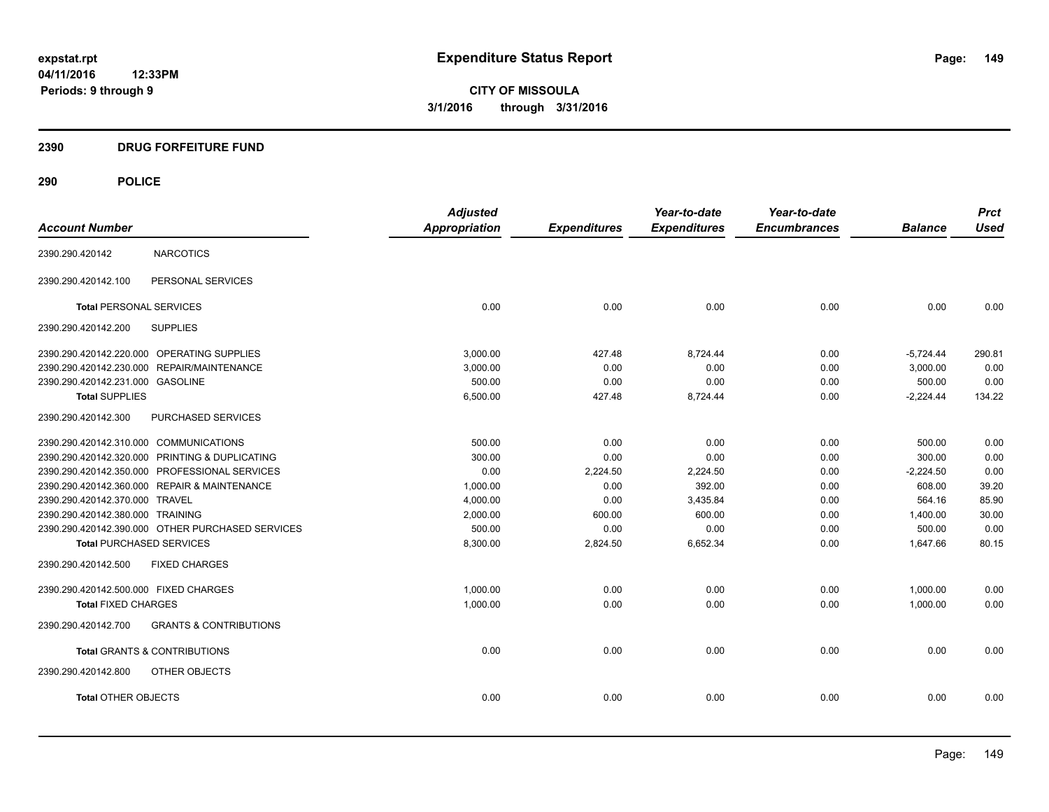#### **2390 DRUG FORFEITURE FUND**

|                                        |                                                  | <b>Adjusted</b> |                     | Year-to-date        | Year-to-date        |                | <b>Prct</b> |
|----------------------------------------|--------------------------------------------------|-----------------|---------------------|---------------------|---------------------|----------------|-------------|
| <b>Account Number</b>                  |                                                  | Appropriation   | <b>Expenditures</b> | <b>Expenditures</b> | <b>Encumbrances</b> | <b>Balance</b> | <b>Used</b> |
| 2390.290.420142                        | <b>NARCOTICS</b>                                 |                 |                     |                     |                     |                |             |
| 2390.290.420142.100                    | PERSONAL SERVICES                                |                 |                     |                     |                     |                |             |
| <b>Total PERSONAL SERVICES</b>         |                                                  | 0.00            | 0.00                | 0.00                | 0.00                | 0.00           | 0.00        |
| 2390.290.420142.200                    | <b>SUPPLIES</b>                                  |                 |                     |                     |                     |                |             |
|                                        | 2390.290.420142.220.000 OPERATING SUPPLIES       | 3.000.00        | 427.48              | 8,724.44            | 0.00                | $-5,724.44$    | 290.81      |
|                                        | 2390.290.420142.230.000 REPAIR/MAINTENANCE       | 3,000.00        | 0.00                | 0.00                | 0.00                | 3.000.00       | 0.00        |
| 2390.290.420142.231.000 GASOLINE       |                                                  | 500.00          | 0.00                | 0.00                | 0.00                | 500.00         | 0.00        |
| <b>Total SUPPLIES</b>                  |                                                  | 6,500.00        | 427.48              | 8,724.44            | 0.00                | $-2,224.44$    | 134.22      |
| 2390.290.420142.300                    | PURCHASED SERVICES                               |                 |                     |                     |                     |                |             |
| 2390.290.420142.310.000 COMMUNICATIONS |                                                  | 500.00          | 0.00                | 0.00                | 0.00                | 500.00         | 0.00        |
|                                        | 2390.290.420142.320.000 PRINTING & DUPLICATING   | 300.00          | 0.00                | 0.00                | 0.00                | 300.00         | 0.00        |
|                                        | 2390.290.420142.350.000 PROFESSIONAL SERVICES    | 0.00            | 2,224.50            | 2,224.50            | 0.00                | $-2,224.50$    | 0.00        |
|                                        | 2390.290.420142.360.000 REPAIR & MAINTENANCE     | 1,000.00        | 0.00                | 392.00              | 0.00                | 608.00         | 39.20       |
| 2390.290.420142.370.000 TRAVEL         |                                                  | 4,000.00        | 0.00                | 3,435.84            | 0.00                | 564.16         | 85.90       |
| 2390.290.420142.380.000 TRAINING       |                                                  | 2,000.00        | 600.00              | 600.00              | 0.00                | 1,400.00       | 30.00       |
|                                        | 2390.290.420142.390.000 OTHER PURCHASED SERVICES | 500.00          | 0.00                | 0.00                | 0.00                | 500.00         | 0.00        |
| <b>Total PURCHASED SERVICES</b>        |                                                  | 8,300.00        | 2,824.50            | 6,652.34            | 0.00                | 1,647.66       | 80.15       |
| 2390.290.420142.500                    | <b>FIXED CHARGES</b>                             |                 |                     |                     |                     |                |             |
| 2390.290.420142.500.000 FIXED CHARGES  |                                                  | 1,000.00        | 0.00                | 0.00                | 0.00                | 1,000.00       | 0.00        |
| <b>Total FIXED CHARGES</b>             |                                                  | 1,000.00        | 0.00                | 0.00                | 0.00                | 1,000.00       | 0.00        |
| 2390.290.420142.700                    | <b>GRANTS &amp; CONTRIBUTIONS</b>                |                 |                     |                     |                     |                |             |
|                                        | <b>Total GRANTS &amp; CONTRIBUTIONS</b>          | 0.00            | 0.00                | 0.00                | 0.00                | 0.00           | 0.00        |
| 2390.290.420142.800                    | OTHER OBJECTS                                    |                 |                     |                     |                     |                |             |
| <b>Total OTHER OBJECTS</b>             |                                                  | 0.00            | 0.00                | 0.00                | 0.00                | 0.00           | 0.00        |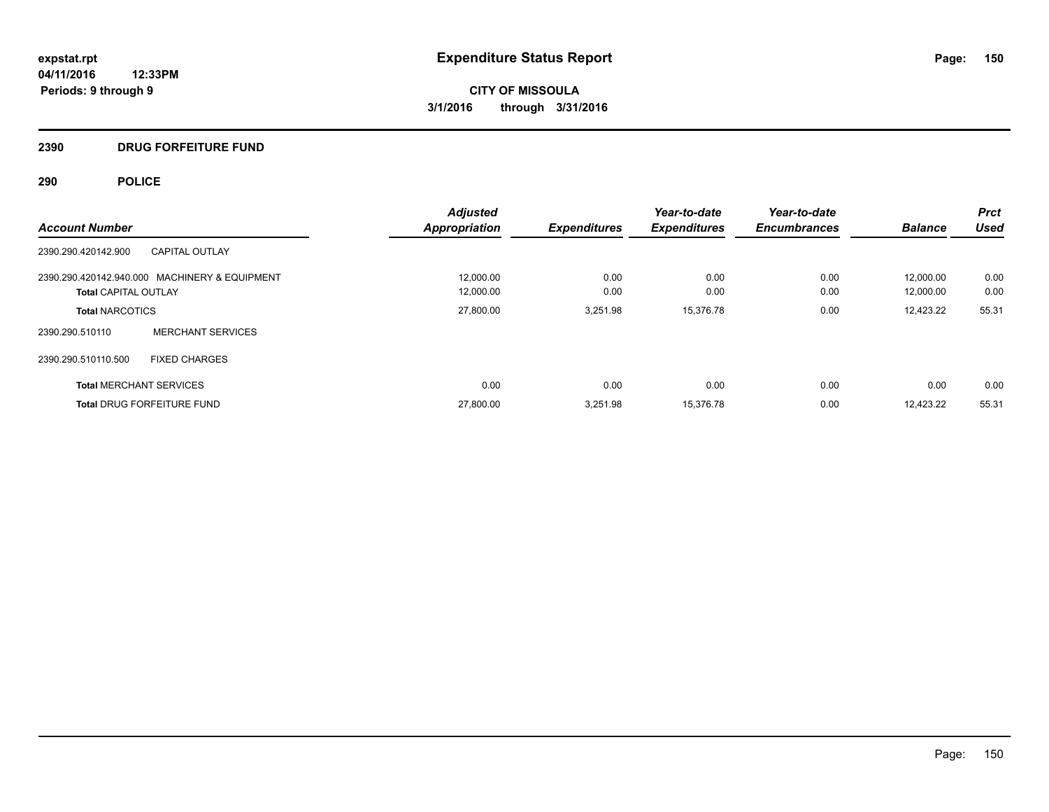## **2390 DRUG FORFEITURE FUND**

|                                               | <b>Adjusted</b>      |                     | Year-to-date        | Year-to-date        |                | <b>Prct</b> |
|-----------------------------------------------|----------------------|---------------------|---------------------|---------------------|----------------|-------------|
| <b>Account Number</b>                         | <b>Appropriation</b> | <b>Expenditures</b> | <b>Expenditures</b> | <b>Encumbrances</b> | <b>Balance</b> | <b>Used</b> |
| CAPITAL OUTLAY<br>2390.290.420142.900         |                      |                     |                     |                     |                |             |
| 2390.290.420142.940.000 MACHINERY & EQUIPMENT | 12,000.00            | 0.00                | 0.00                | 0.00                | 12,000.00      | 0.00        |
| <b>Total CAPITAL OUTLAY</b>                   | 12,000.00            | 0.00                | 0.00                | 0.00                | 12,000.00      | 0.00        |
| <b>Total NARCOTICS</b>                        | 27,800.00            | 3,251.98            | 15,376.78           | 0.00                | 12,423.22      | 55.31       |
| <b>MERCHANT SERVICES</b><br>2390.290.510110   |                      |                     |                     |                     |                |             |
| 2390.290.510110.500<br><b>FIXED CHARGES</b>   |                      |                     |                     |                     |                |             |
| <b>Total MERCHANT SERVICES</b>                | 0.00                 | 0.00                | 0.00                | 0.00                | 0.00           | 0.00        |
| <b>Total DRUG FORFEITURE FUND</b>             | 27,800.00            | 3,251.98            | 15,376.78           | 0.00                | 12.423.22      | 55.31       |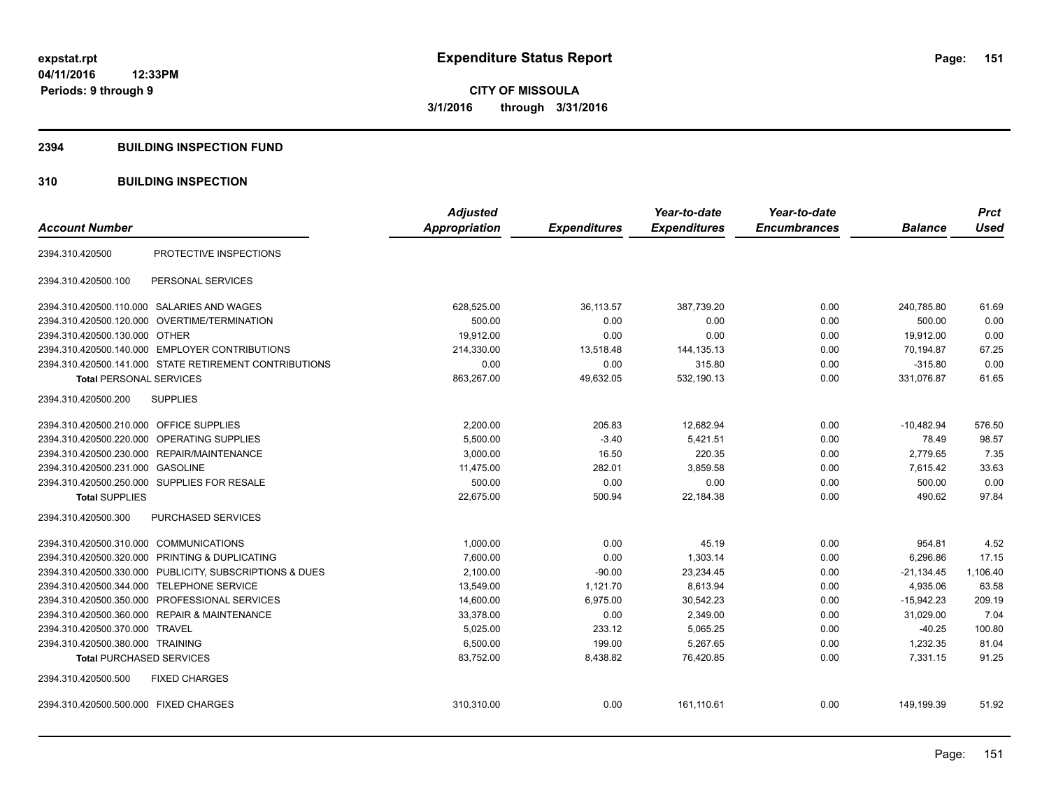#### **2394 BUILDING INSPECTION FUND**

#### **310 BUILDING INSPECTION**

|                                                         | <b>Adjusted</b> |                     | Year-to-date        | Year-to-date        |                | <b>Prct</b> |
|---------------------------------------------------------|-----------------|---------------------|---------------------|---------------------|----------------|-------------|
| <b>Account Number</b>                                   | Appropriation   | <b>Expenditures</b> | <b>Expenditures</b> | <b>Encumbrances</b> | <b>Balance</b> | <b>Used</b> |
| PROTECTIVE INSPECTIONS<br>2394.310.420500               |                 |                     |                     |                     |                |             |
| 2394.310.420500.100<br>PERSONAL SERVICES                |                 |                     |                     |                     |                |             |
| 2394.310.420500.110.000 SALARIES AND WAGES              | 628,525.00      | 36,113.57           | 387,739.20          | 0.00                | 240,785.80     | 61.69       |
| 2394.310.420500.120.000<br>OVERTIME/TERMINATION         | 500.00          | 0.00                | 0.00                | 0.00                | 500.00         | 0.00        |
| 2394.310.420500.130.000 OTHER                           | 19,912.00       | 0.00                | 0.00                | 0.00                | 19,912.00      | 0.00        |
| 2394.310.420500.140.000 EMPLOYER CONTRIBUTIONS          | 214,330.00      | 13,518.48           | 144, 135. 13        | 0.00                | 70,194.87      | 67.25       |
| 2394.310.420500.141.000 STATE RETIREMENT CONTRIBUTIONS  | 0.00            | 0.00                | 315.80              | 0.00                | $-315.80$      | 0.00        |
| <b>Total PERSONAL SERVICES</b>                          | 863,267.00      | 49,632.05           | 532,190.13          | 0.00                | 331,076.87     | 61.65       |
| <b>SUPPLIES</b><br>2394.310.420500.200                  |                 |                     |                     |                     |                |             |
| 2394.310.420500.210.000 OFFICE SUPPLIES                 | 2,200.00        | 205.83              | 12,682.94           | 0.00                | $-10,482.94$   | 576.50      |
| <b>OPERATING SUPPLIES</b><br>2394.310.420500.220.000    | 5,500.00        | $-3.40$             | 5,421.51            | 0.00                | 78.49          | 98.57       |
| 2394.310.420500.230.000 REPAIR/MAINTENANCE              | 3,000.00        | 16.50               | 220.35              | 0.00                | 2.779.65       | 7.35        |
| 2394.310.420500.231.000 GASOLINE                        | 11,475.00       | 282.01              | 3,859.58            | 0.00                | 7,615.42       | 33.63       |
| 2394.310.420500.250.000 SUPPLIES FOR RESALE             | 500.00          | 0.00                | 0.00                | 0.00                | 500.00         | 0.00        |
| <b>Total SUPPLIES</b>                                   | 22,675.00       | 500.94              | 22,184.38           | 0.00                | 490.62         | 97.84       |
| 2394.310.420500.300<br>PURCHASED SERVICES               |                 |                     |                     |                     |                |             |
| 2394.310.420500.310.000 COMMUNICATIONS                  | 1,000.00        | 0.00                | 45.19               | 0.00                | 954.81         | 4.52        |
| 2394.310.420500.320.000 PRINTING & DUPLICATING          | 7,600.00        | 0.00                | 1,303.14            | 0.00                | 6,296.86       | 17.15       |
| 2394.310.420500.330.000 PUBLICITY, SUBSCRIPTIONS & DUES | 2,100.00        | $-90.00$            | 23,234.45           | 0.00                | $-21,134.45$   | 1,106.40    |
| 2394.310.420500.344.000 TELEPHONE SERVICE               | 13,549.00       | 1,121.70            | 8,613.94            | 0.00                | 4,935.06       | 63.58       |
| 2394.310.420500.350.000 PROFESSIONAL SERVICES           | 14,600.00       | 6,975.00            | 30,542.23           | 0.00                | $-15,942.23$   | 209.19      |
| 2394.310.420500.360.000 REPAIR & MAINTENANCE            | 33,378.00       | 0.00                | 2,349.00            | 0.00                | 31,029.00      | 7.04        |
| 2394.310.420500.370.000 TRAVEL                          | 5,025.00        | 233.12              | 5,065.25            | 0.00                | $-40.25$       | 100.80      |
| 2394.310.420500.380.000 TRAINING                        | 6,500.00        | 199.00              | 5,267.65            | 0.00                | 1,232.35       | 81.04       |
| <b>Total PURCHASED SERVICES</b>                         | 83,752.00       | 8,438.82            | 76,420.85           | 0.00                | 7,331.15       | 91.25       |
| 2394.310.420500.500<br><b>FIXED CHARGES</b>             |                 |                     |                     |                     |                |             |
| 2394.310.420500.500.000 FIXED CHARGES                   | 310,310.00      | 0.00                | 161,110.61          | 0.00                | 149,199.39     | 51.92       |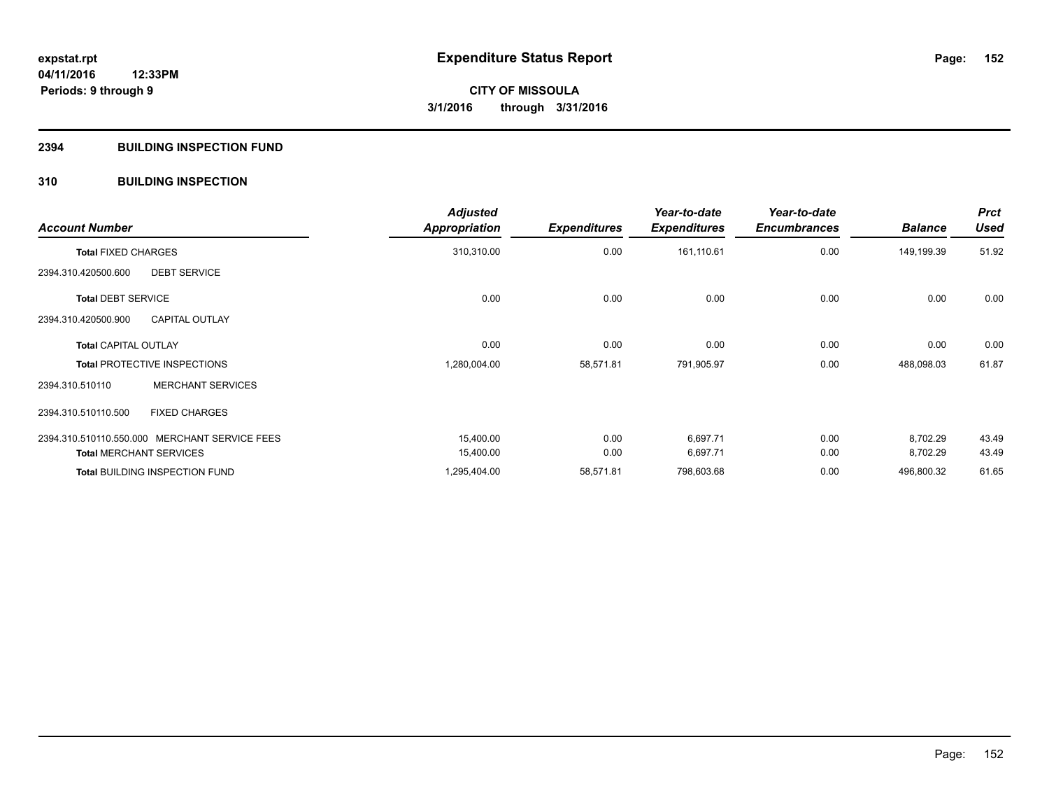#### **2394 BUILDING INSPECTION FUND**

#### **310 BUILDING INSPECTION**

| <b>Account Number</b>                         | <b>Adjusted</b><br><b>Appropriation</b> | <b>Expenditures</b> | Year-to-date<br><b>Expenditures</b> | Year-to-date<br><b>Encumbrances</b> | <b>Balance</b> | <b>Prct</b><br><b>Used</b> |
|-----------------------------------------------|-----------------------------------------|---------------------|-------------------------------------|-------------------------------------|----------------|----------------------------|
| <b>Total FIXED CHARGES</b>                    | 310,310.00                              | 0.00                | 161,110.61                          | 0.00                                | 149,199.39     | 51.92                      |
| <b>DEBT SERVICE</b><br>2394.310.420500.600    |                                         |                     |                                     |                                     |                |                            |
| <b>Total DEBT SERVICE</b>                     | 0.00                                    | 0.00                | 0.00                                | 0.00                                | 0.00           | 0.00                       |
| <b>CAPITAL OUTLAY</b><br>2394.310.420500.900  |                                         |                     |                                     |                                     |                |                            |
| <b>Total CAPITAL OUTLAY</b>                   | 0.00                                    | 0.00                | 0.00                                | 0.00                                | 0.00           | 0.00                       |
| <b>Total PROTECTIVE INSPECTIONS</b>           | 1,280,004.00                            | 58,571.81           | 791,905.97                          | 0.00                                | 488,098.03     | 61.87                      |
| <b>MERCHANT SERVICES</b><br>2394.310.510110   |                                         |                     |                                     |                                     |                |                            |
| <b>FIXED CHARGES</b><br>2394.310.510110.500   |                                         |                     |                                     |                                     |                |                            |
| 2394.310.510110.550.000 MERCHANT SERVICE FEES | 15,400.00                               | 0.00                | 6,697.71                            | 0.00                                | 8,702.29       | 43.49                      |
| <b>Total MERCHANT SERVICES</b>                | 15,400.00                               | 0.00                | 6,697.71                            | 0.00                                | 8,702.29       | 43.49                      |
| <b>Total BUILDING INSPECTION FUND</b>         | 1,295,404.00                            | 58,571.81           | 798,603.68                          | 0.00                                | 496,800.32     | 61.65                      |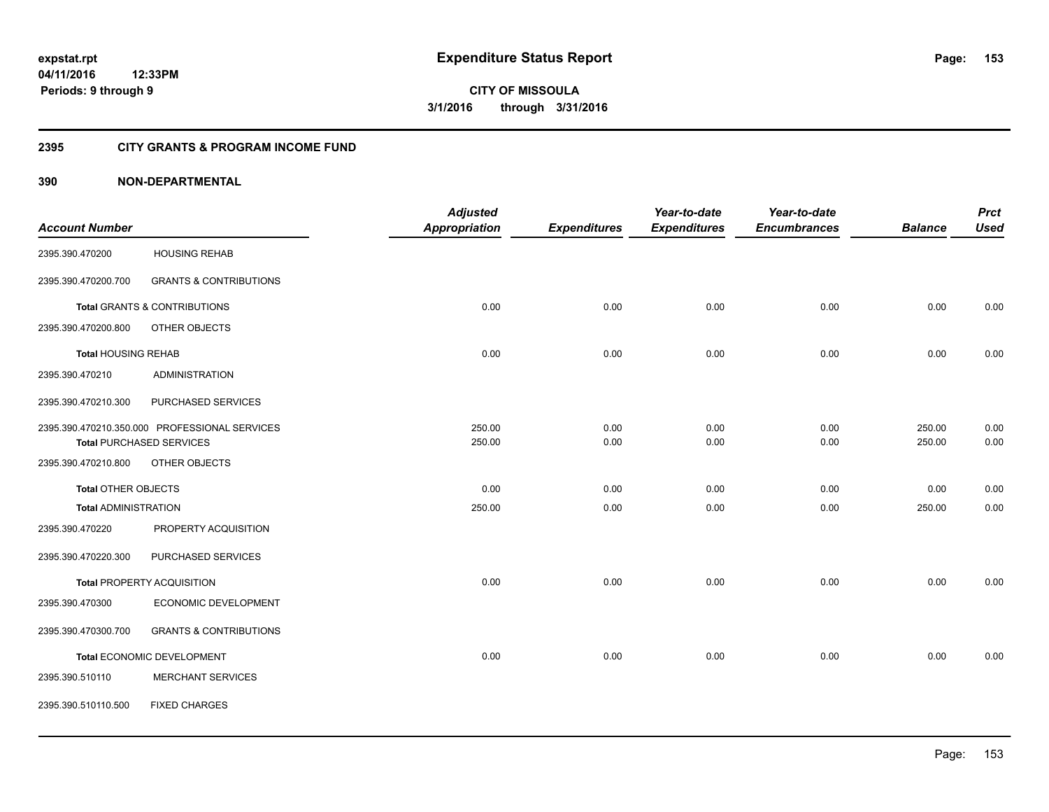#### **2395 CITY GRANTS & PROGRAM INCOME FUND**

|                             |                                               | <b>Adjusted</b>      |                     | Year-to-date        | Year-to-date        |                | <b>Prct</b> |
|-----------------------------|-----------------------------------------------|----------------------|---------------------|---------------------|---------------------|----------------|-------------|
| <b>Account Number</b>       |                                               | <b>Appropriation</b> | <b>Expenditures</b> | <b>Expenditures</b> | <b>Encumbrances</b> | <b>Balance</b> | <b>Used</b> |
| 2395.390.470200             | <b>HOUSING REHAB</b>                          |                      |                     |                     |                     |                |             |
| 2395.390.470200.700         | <b>GRANTS &amp; CONTRIBUTIONS</b>             |                      |                     |                     |                     |                |             |
|                             | <b>Total GRANTS &amp; CONTRIBUTIONS</b>       | 0.00                 | 0.00                | 0.00                | 0.00                | 0.00           | 0.00        |
| 2395.390.470200.800         | OTHER OBJECTS                                 |                      |                     |                     |                     |                |             |
| <b>Total HOUSING REHAB</b>  |                                               | 0.00                 | 0.00                | 0.00                | 0.00                | 0.00           | 0.00        |
| 2395.390.470210             | <b>ADMINISTRATION</b>                         |                      |                     |                     |                     |                |             |
| 2395.390.470210.300         | PURCHASED SERVICES                            |                      |                     |                     |                     |                |             |
|                             | 2395.390.470210.350.000 PROFESSIONAL SERVICES | 250.00               | 0.00                | 0.00                | 0.00                | 250.00         | 0.00        |
|                             | <b>Total PURCHASED SERVICES</b>               | 250.00               | 0.00                | 0.00                | 0.00                | 250.00         | 0.00        |
| 2395.390.470210.800         | OTHER OBJECTS                                 |                      |                     |                     |                     |                |             |
| <b>Total OTHER OBJECTS</b>  |                                               | 0.00                 | 0.00                | 0.00                | 0.00                | 0.00           | 0.00        |
| <b>Total ADMINISTRATION</b> |                                               | 250.00               | 0.00                | 0.00                | 0.00                | 250.00         | 0.00        |
| 2395.390.470220             | PROPERTY ACQUISITION                          |                      |                     |                     |                     |                |             |
| 2395.390.470220.300         | PURCHASED SERVICES                            |                      |                     |                     |                     |                |             |
|                             | <b>Total PROPERTY ACQUISITION</b>             | 0.00                 | 0.00                | 0.00                | 0.00                | 0.00           | 0.00        |
| 2395.390.470300             | ECONOMIC DEVELOPMENT                          |                      |                     |                     |                     |                |             |
| 2395.390.470300.700         | <b>GRANTS &amp; CONTRIBUTIONS</b>             |                      |                     |                     |                     |                |             |
|                             | Total ECONOMIC DEVELOPMENT                    | 0.00                 | 0.00                | 0.00                | 0.00                | 0.00           | 0.00        |
| 2395.390.510110             | <b>MERCHANT SERVICES</b>                      |                      |                     |                     |                     |                |             |
| 2395.390.510110.500         | <b>FIXED CHARGES</b>                          |                      |                     |                     |                     |                |             |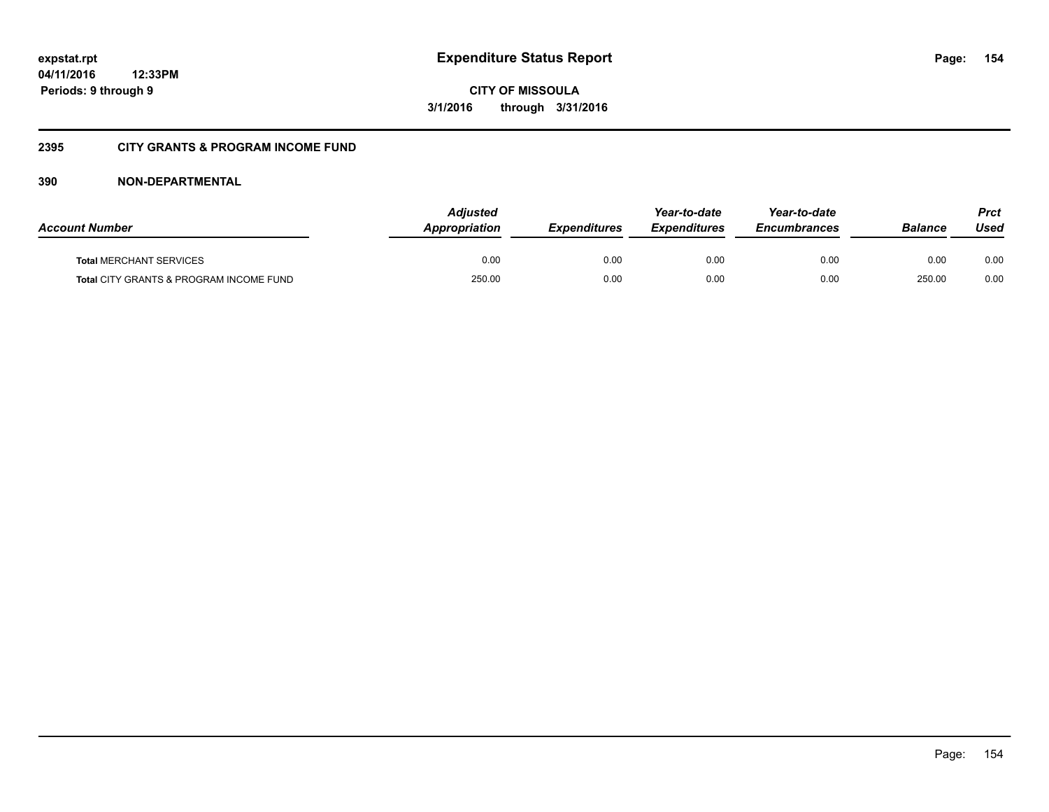**CITY OF MISSOULA 3/1/2016 through 3/31/2016**

#### **2395 CITY GRANTS & PROGRAM INCOME FUND**

| <b>Account Number</b>                   | Adjusted<br><b>Appropriation</b> | <b>Expenditures</b> | Year-to-date<br><b>Expenditures</b> | Year-to-date<br><b>Encumbrances</b> | <b>Balance</b> | <b>Prct</b><br>Used |
|-----------------------------------------|----------------------------------|---------------------|-------------------------------------|-------------------------------------|----------------|---------------------|
| <b>Total MERCHANT SERVICES</b>          | 0.00                             | 0.00                | 0.00                                | 0.00                                | 0.00           | 0.00                |
| Total CITY GRANTS & PROGRAM INCOME FUND | 250.00                           | 0.00                | 0.00                                | 0.00                                | 250.00         | 0.00                |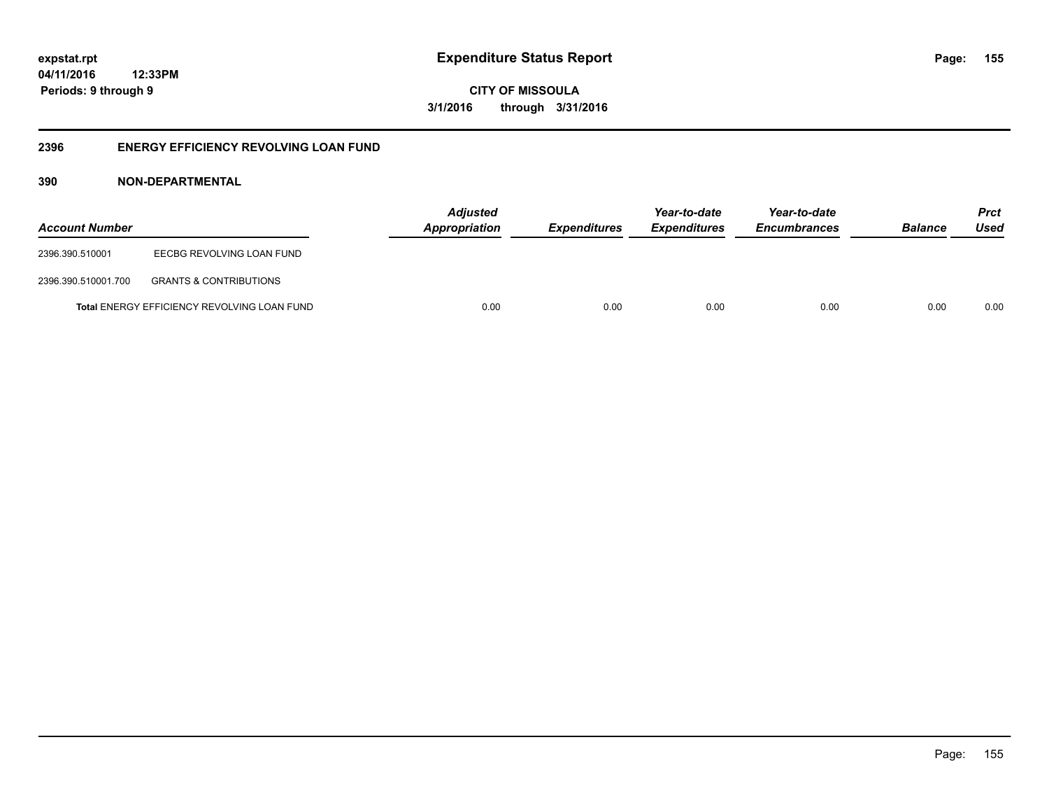**CITY OF MISSOULA 3/1/2016 through 3/31/2016**

#### **2396 ENERGY EFFICIENCY REVOLVING LOAN FUND**

| <b>Account Number</b> |                                                    | <b>Adjusted</b><br>Appropriation | <b>Expenditures</b> | Year-to-date<br><i><b>Expenditures</b></i> | Year-to-date<br><b>Encumbrances</b> | <b>Balance</b> | <b>Prct</b><br>Used |
|-----------------------|----------------------------------------------------|----------------------------------|---------------------|--------------------------------------------|-------------------------------------|----------------|---------------------|
| 2396.390.510001       | EECBG REVOLVING LOAN FUND                          |                                  |                     |                                            |                                     |                |                     |
| 2396.390.510001.700   | <b>GRANTS &amp; CONTRIBUTIONS</b>                  |                                  |                     |                                            |                                     |                |                     |
|                       | <b>Total ENERGY EFFICIENCY REVOLVING LOAN FUND</b> | 0.00                             | 0.00                | 0.00                                       | 0.00                                | 0.00           | 0.00                |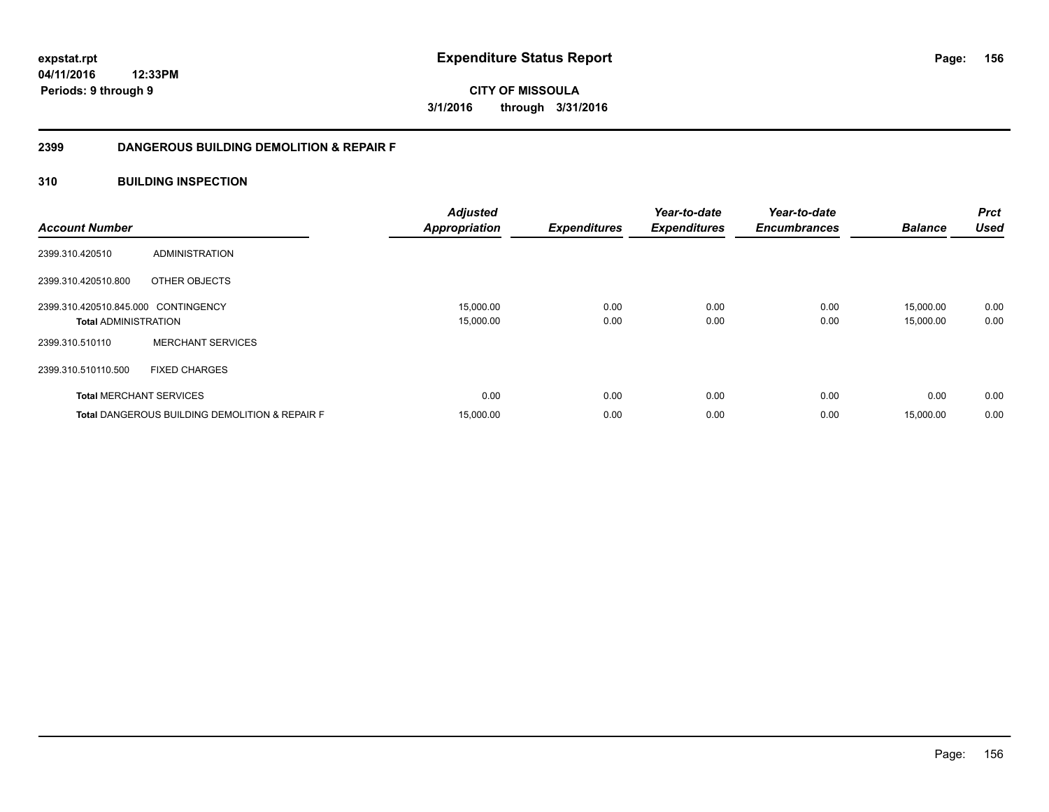**CITY OF MISSOULA 3/1/2016 through 3/31/2016**

#### **2399 DANGEROUS BUILDING DEMOLITION & REPAIR F**

#### **310 BUILDING INSPECTION**

| <b>Account Number</b>               |                                                           | <b>Adjusted</b><br><b>Appropriation</b> | <b>Expenditures</b> | Year-to-date<br><b>Expenditures</b> | Year-to-date<br><b>Encumbrances</b> | <b>Balance</b> | <b>Prct</b><br>Used |
|-------------------------------------|-----------------------------------------------------------|-----------------------------------------|---------------------|-------------------------------------|-------------------------------------|----------------|---------------------|
| 2399.310.420510                     | ADMINISTRATION                                            |                                         |                     |                                     |                                     |                |                     |
| 2399.310.420510.800                 | OTHER OBJECTS                                             |                                         |                     |                                     |                                     |                |                     |
| 2399.310.420510.845.000 CONTINGENCY |                                                           | 15,000.00                               | 0.00                | 0.00                                | 0.00                                | 15,000.00      | 0.00                |
| <b>Total ADMINISTRATION</b>         |                                                           | 15,000.00                               | 0.00                | 0.00                                | 0.00                                | 15,000.00      | 0.00                |
| 2399.310.510110                     | <b>MERCHANT SERVICES</b>                                  |                                         |                     |                                     |                                     |                |                     |
| 2399.310.510110.500                 | <b>FIXED CHARGES</b>                                      |                                         |                     |                                     |                                     |                |                     |
|                                     | <b>Total MERCHANT SERVICES</b>                            | 0.00                                    | 0.00                | 0.00                                | 0.00                                | 0.00           | 0.00                |
|                                     | <b>Total DANGEROUS BUILDING DEMOLITION &amp; REPAIR F</b> | 15,000.00                               | 0.00                | 0.00                                | 0.00                                | 15,000.00      | 0.00                |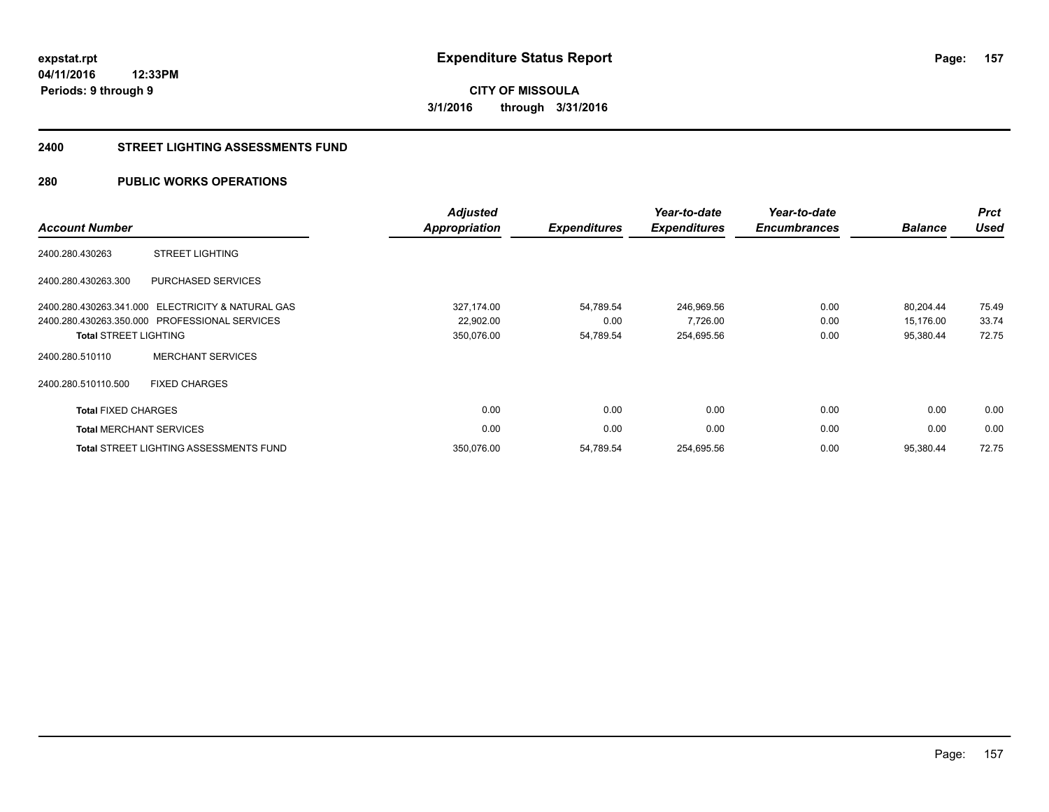**157**

**04/11/2016 12:33PM Periods: 9 through 9**

**CITY OF MISSOULA 3/1/2016 through 3/31/2016**

#### **2400 STREET LIGHTING ASSESSMENTS FUND**

#### **280 PUBLIC WORKS OPERATIONS**

| <b>Account Number</b>          |                                                   | <b>Adjusted</b><br><b>Appropriation</b> | <b>Expenditures</b> | Year-to-date<br><b>Expenditures</b> | Year-to-date<br><b>Encumbrances</b> | <b>Balance</b> | <b>Prct</b><br><b>Used</b> |
|--------------------------------|---------------------------------------------------|-----------------------------------------|---------------------|-------------------------------------|-------------------------------------|----------------|----------------------------|
| 2400.280.430263                | <b>STREET LIGHTING</b>                            |                                         |                     |                                     |                                     |                |                            |
| 2400.280.430263.300            | PURCHASED SERVICES                                |                                         |                     |                                     |                                     |                |                            |
|                                | 2400.280.430263.341.000 ELECTRICITY & NATURAL GAS | 327,174.00                              | 54,789.54           | 246,969.56                          | 0.00                                | 80,204.44      | 75.49                      |
|                                | 2400.280.430263.350.000 PROFESSIONAL SERVICES     | 22,902.00                               | 0.00                | 7,726.00                            | 0.00                                | 15,176.00      | 33.74                      |
| <b>Total STREET LIGHTING</b>   |                                                   | 350,076.00                              | 54,789.54           | 254,695.56                          | 0.00                                | 95,380.44      | 72.75                      |
| 2400.280.510110                | <b>MERCHANT SERVICES</b>                          |                                         |                     |                                     |                                     |                |                            |
| 2400.280.510110.500            | <b>FIXED CHARGES</b>                              |                                         |                     |                                     |                                     |                |                            |
| <b>Total FIXED CHARGES</b>     |                                                   | 0.00                                    | 0.00                | 0.00                                | 0.00                                | 0.00           | 0.00                       |
| <b>Total MERCHANT SERVICES</b> |                                                   | 0.00                                    | 0.00                | 0.00                                | 0.00                                | 0.00           | 0.00                       |
|                                | <b>Total STREET LIGHTING ASSESSMENTS FUND</b>     | 350,076.00                              | 54,789.54           | 254,695.56                          | 0.00                                | 95,380.44      | 72.75                      |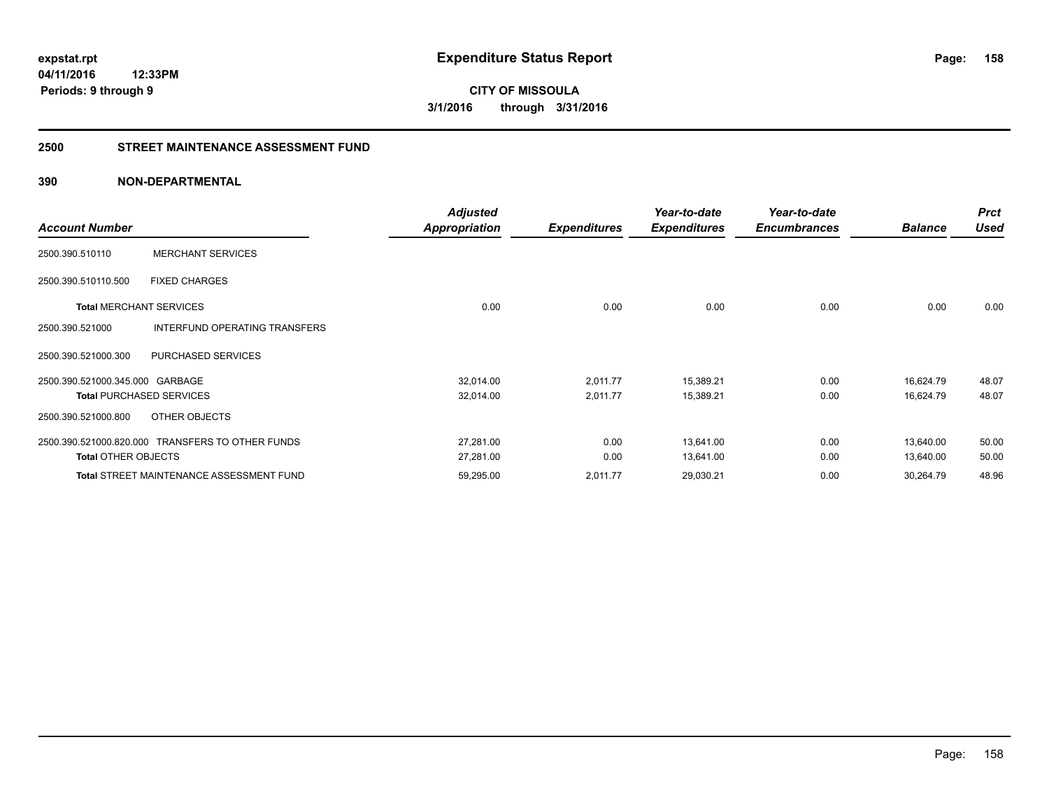**CITY OF MISSOULA 3/1/2016 through 3/31/2016**

#### **2500 STREET MAINTENANCE ASSESSMENT FUND**

| <b>Account Number</b>           |                                                  | Adjusted<br>Appropriation | <b>Expenditures</b> | Year-to-date<br><b>Expenditures</b> | Year-to-date<br><b>Encumbrances</b> | <b>Balance</b> | <b>Prct</b><br><b>Used</b> |
|---------------------------------|--------------------------------------------------|---------------------------|---------------------|-------------------------------------|-------------------------------------|----------------|----------------------------|
| 2500.390.510110                 | <b>MERCHANT SERVICES</b>                         |                           |                     |                                     |                                     |                |                            |
| 2500.390.510110.500             | <b>FIXED CHARGES</b>                             |                           |                     |                                     |                                     |                |                            |
| <b>Total MERCHANT SERVICES</b>  |                                                  | 0.00                      | 0.00                | 0.00                                | 0.00                                | 0.00           | 0.00                       |
| 2500.390.521000                 | INTERFUND OPERATING TRANSFERS                    |                           |                     |                                     |                                     |                |                            |
| 2500.390.521000.300             | <b>PURCHASED SERVICES</b>                        |                           |                     |                                     |                                     |                |                            |
| 2500.390.521000.345.000 GARBAGE |                                                  | 32,014.00                 | 2,011.77            | 15,389.21                           | 0.00                                | 16,624.79      | 48.07                      |
|                                 | <b>Total PURCHASED SERVICES</b>                  | 32,014.00                 | 2,011.77            | 15,389.21                           | 0.00                                | 16,624.79      | 48.07                      |
| 2500.390.521000.800             | OTHER OBJECTS                                    |                           |                     |                                     |                                     |                |                            |
|                                 | 2500.390.521000.820.000 TRANSFERS TO OTHER FUNDS | 27,281.00                 | 0.00                | 13,641.00                           | 0.00                                | 13,640.00      | 50.00                      |
| <b>Total OTHER OBJECTS</b>      |                                                  | 27,281.00                 | 0.00                | 13,641.00                           | 0.00                                | 13,640.00      | 50.00                      |
|                                 | <b>Total STREET MAINTENANCE ASSESSMENT FUND</b>  | 59,295.00                 | 2,011.77            | 29,030.21                           | 0.00                                | 30,264.79      | 48.96                      |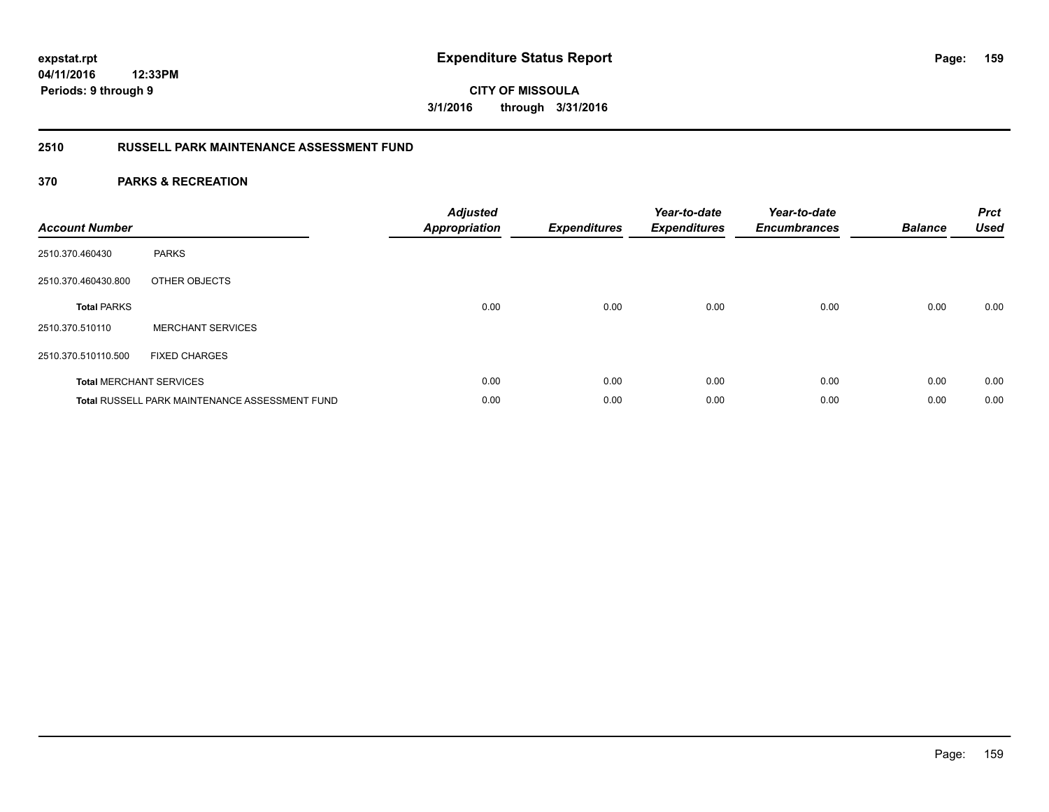# **04/11/2016**

**159**

**12:33PM Periods: 9 through 9**

# **CITY OF MISSOULA 3/1/2016 through 3/31/2016**

### **2510 RUSSELL PARK MAINTENANCE ASSESSMENT FUND**

| <b>Account Number</b> |                                                       | <b>Adjusted</b><br><b>Appropriation</b> | <b>Expenditures</b> | Year-to-date<br><b>Expenditures</b> | Year-to-date<br><b>Encumbrances</b> | <b>Balance</b> | <b>Prct</b><br><b>Used</b> |
|-----------------------|-------------------------------------------------------|-----------------------------------------|---------------------|-------------------------------------|-------------------------------------|----------------|----------------------------|
| 2510.370.460430       | <b>PARKS</b>                                          |                                         |                     |                                     |                                     |                |                            |
| 2510.370.460430.800   | OTHER OBJECTS                                         |                                         |                     |                                     |                                     |                |                            |
| <b>Total PARKS</b>    |                                                       | 0.00                                    | 0.00                | 0.00                                | 0.00                                | 0.00           | 0.00                       |
| 2510.370.510110       | <b>MERCHANT SERVICES</b>                              |                                         |                     |                                     |                                     |                |                            |
| 2510.370.510110.500   | <b>FIXED CHARGES</b>                                  |                                         |                     |                                     |                                     |                |                            |
|                       | <b>Total MERCHANT SERVICES</b>                        | 0.00                                    | 0.00                | 0.00                                | 0.00                                | 0.00           | 0.00                       |
|                       | <b>Total RUSSELL PARK MAINTENANCE ASSESSMENT FUND</b> | 0.00                                    | 0.00                | 0.00                                | 0.00                                | 0.00           | 0.00                       |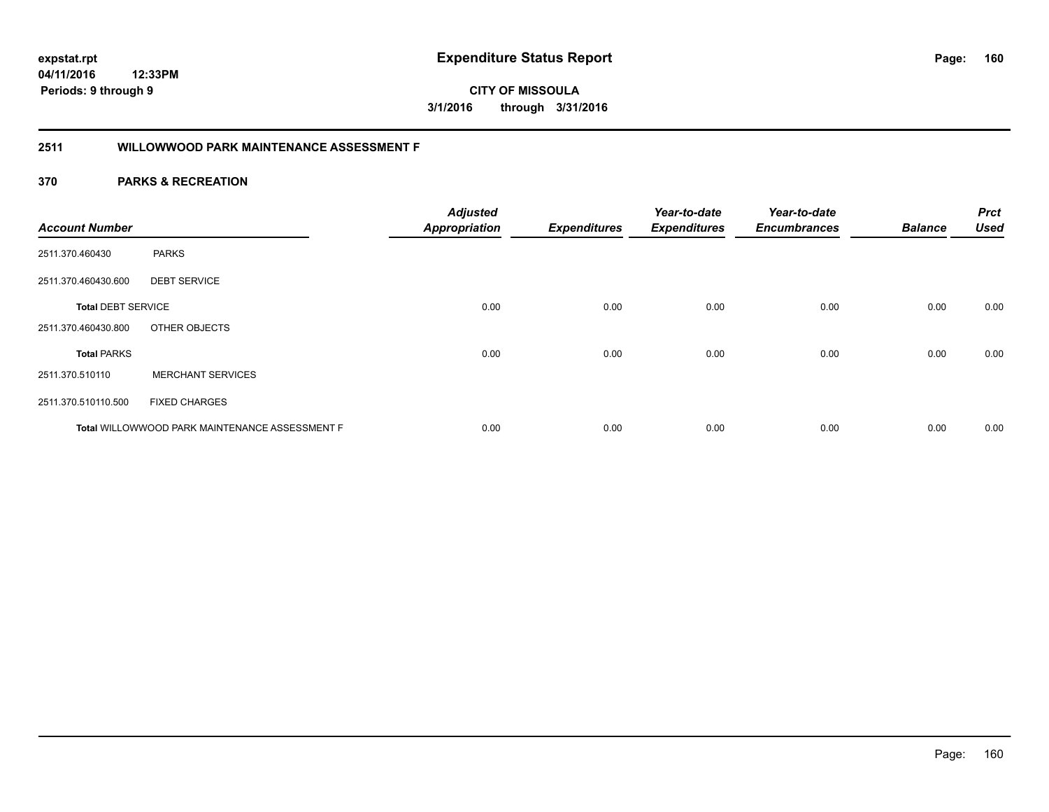**CITY OF MISSOULA 3/1/2016 through 3/31/2016**

#### **2511 WILLOWWOOD PARK MAINTENANCE ASSESSMENT F**

| <b>Account Number</b>     |                                                | <b>Adjusted</b><br><b>Appropriation</b> | <b>Expenditures</b> | Year-to-date<br><b>Expenditures</b> | Year-to-date<br><b>Encumbrances</b> | <b>Balance</b> | <b>Prct</b><br><b>Used</b> |
|---------------------------|------------------------------------------------|-----------------------------------------|---------------------|-------------------------------------|-------------------------------------|----------------|----------------------------|
| 2511.370.460430           | <b>PARKS</b>                                   |                                         |                     |                                     |                                     |                |                            |
| 2511.370.460430.600       | <b>DEBT SERVICE</b>                            |                                         |                     |                                     |                                     |                |                            |
| <b>Total DEBT SERVICE</b> |                                                | 0.00                                    | 0.00                | 0.00                                | 0.00                                | 0.00           | 0.00                       |
| 2511.370.460430.800       | OTHER OBJECTS                                  |                                         |                     |                                     |                                     |                |                            |
| <b>Total PARKS</b>        |                                                | 0.00                                    | 0.00                | 0.00                                | 0.00                                | 0.00           | 0.00                       |
| 2511.370.510110           | <b>MERCHANT SERVICES</b>                       |                                         |                     |                                     |                                     |                |                            |
| 2511.370.510110.500       | <b>FIXED CHARGES</b>                           |                                         |                     |                                     |                                     |                |                            |
|                           | Total WILLOWWOOD PARK MAINTENANCE ASSESSMENT F | 0.00                                    | 0.00                | 0.00                                | 0.00                                | 0.00           | 0.00                       |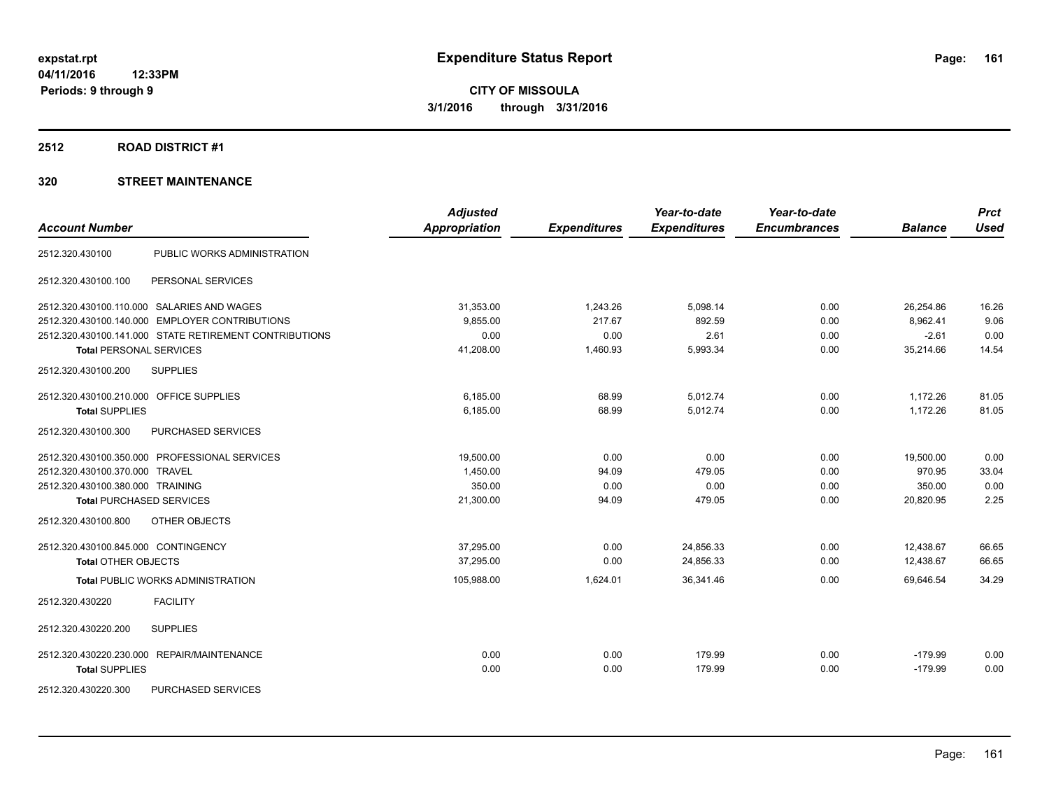#### **2512 ROAD DISTRICT #1**

| <b>Account Number</b>                   |                                                        | <b>Adjusted</b><br><b>Appropriation</b> | <b>Expenditures</b> | Year-to-date<br><b>Expenditures</b> | Year-to-date<br><b>Encumbrances</b> | <b>Balance</b> | <b>Prct</b><br><b>Used</b> |
|-----------------------------------------|--------------------------------------------------------|-----------------------------------------|---------------------|-------------------------------------|-------------------------------------|----------------|----------------------------|
| 2512.320.430100                         | PUBLIC WORKS ADMINISTRATION                            |                                         |                     |                                     |                                     |                |                            |
|                                         |                                                        |                                         |                     |                                     |                                     |                |                            |
| 2512.320.430100.100                     | PERSONAL SERVICES                                      |                                         |                     |                                     |                                     |                |                            |
|                                         | 2512.320.430100.110.000 SALARIES AND WAGES             | 31,353.00                               | 1,243.26            | 5,098.14                            | 0.00                                | 26,254.86      | 16.26                      |
| 2512.320.430100.140.000                 | <b>EMPLOYER CONTRIBUTIONS</b>                          | 9,855.00                                | 217.67              | 892.59                              | 0.00                                | 8,962.41       | 9.06                       |
|                                         | 2512.320.430100.141.000 STATE RETIREMENT CONTRIBUTIONS | 0.00                                    | 0.00                | 2.61                                | 0.00                                | $-2.61$        | 0.00                       |
| <b>Total PERSONAL SERVICES</b>          |                                                        | 41,208.00                               | 1,460.93            | 5,993.34                            | 0.00                                | 35,214.66      | 14.54                      |
| 2512.320.430100.200                     | <b>SUPPLIES</b>                                        |                                         |                     |                                     |                                     |                |                            |
| 2512.320.430100.210.000 OFFICE SUPPLIES |                                                        | 6,185.00                                | 68.99               | 5,012.74                            | 0.00                                | 1,172.26       | 81.05                      |
| <b>Total SUPPLIES</b>                   |                                                        | 6,185.00                                | 68.99               | 5,012.74                            | 0.00                                | 1,172.26       | 81.05                      |
| 2512.320.430100.300                     | PURCHASED SERVICES                                     |                                         |                     |                                     |                                     |                |                            |
|                                         | 2512.320.430100.350.000 PROFESSIONAL SERVICES          | 19,500.00                               | 0.00                | 0.00                                | 0.00                                | 19,500.00      | 0.00                       |
| 2512.320.430100.370.000 TRAVEL          |                                                        | 1,450.00                                | 94.09               | 479.05                              | 0.00                                | 970.95         | 33.04                      |
| 2512.320.430100.380.000 TRAINING        |                                                        | 350.00                                  | 0.00                | 0.00                                | 0.00                                | 350.00         | 0.00                       |
| <b>Total PURCHASED SERVICES</b>         |                                                        | 21,300.00                               | 94.09               | 479.05                              | 0.00                                | 20,820.95      | 2.25                       |
| 2512.320.430100.800                     | OTHER OBJECTS                                          |                                         |                     |                                     |                                     |                |                            |
| 2512.320.430100.845.000 CONTINGENCY     |                                                        | 37,295.00                               | 0.00                | 24,856.33                           | 0.00                                | 12,438.67      | 66.65                      |
| <b>Total OTHER OBJECTS</b>              |                                                        | 37.295.00                               | 0.00                | 24.856.33                           | 0.00                                | 12,438.67      | 66.65                      |
|                                         | <b>Total PUBLIC WORKS ADMINISTRATION</b>               | 105,988.00                              | 1,624.01            | 36,341.46                           | 0.00                                | 69,646.54      | 34.29                      |
| 2512.320.430220                         | <b>FACILITY</b>                                        |                                         |                     |                                     |                                     |                |                            |
| 2512.320.430220.200                     | <b>SUPPLIES</b>                                        |                                         |                     |                                     |                                     |                |                            |
|                                         | 2512.320.430220.230.000 REPAIR/MAINTENANCE             | 0.00                                    | 0.00                | 179.99                              | 0.00                                | $-179.99$      | 0.00                       |
| <b>Total SUPPLIES</b>                   |                                                        | 0.00                                    | 0.00                | 179.99                              | 0.00                                | $-179.99$      | 0.00                       |
| 2512.320.430220.300                     | PURCHASED SERVICES                                     |                                         |                     |                                     |                                     |                |                            |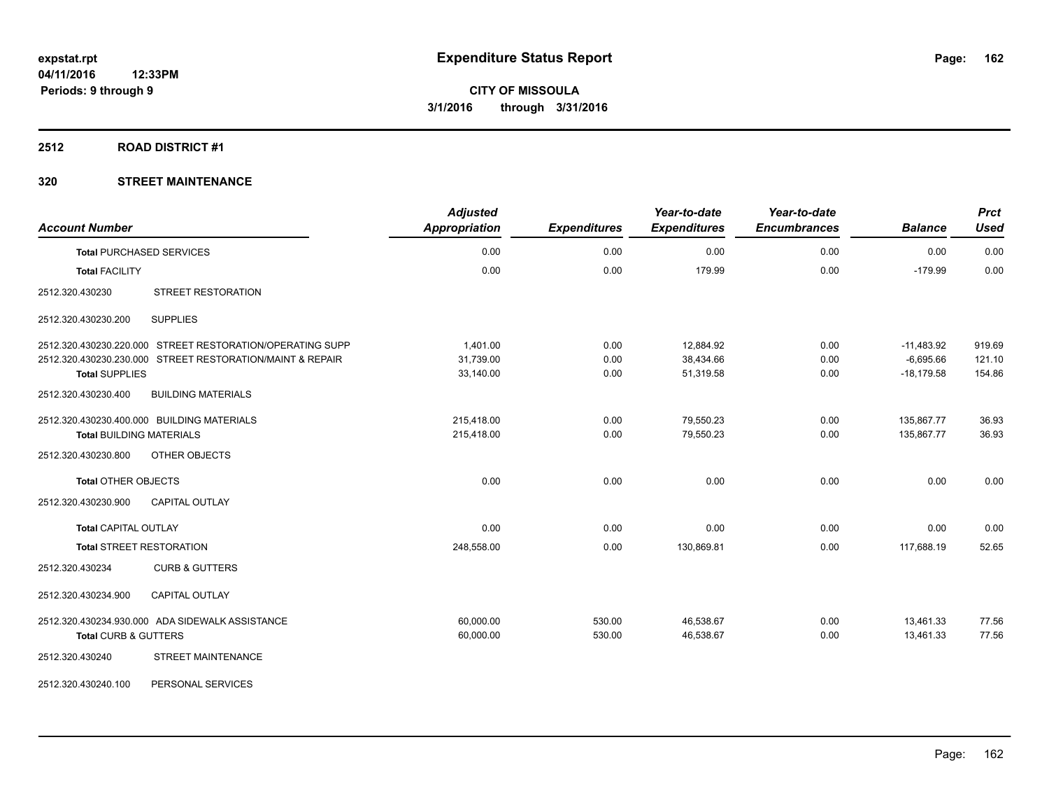#### **2512 ROAD DISTRICT #1**

| <b>Account Number</b>                                     | <b>Adjusted</b><br><b>Appropriation</b> | <b>Expenditures</b> | Year-to-date<br><b>Expenditures</b> | Year-to-date<br><b>Encumbrances</b> | <b>Balance</b> | <b>Prct</b><br><b>Used</b> |
|-----------------------------------------------------------|-----------------------------------------|---------------------|-------------------------------------|-------------------------------------|----------------|----------------------------|
| <b>Total PURCHASED SERVICES</b>                           | 0.00                                    | 0.00                | 0.00                                | 0.00                                | 0.00           | 0.00                       |
| <b>Total FACILITY</b>                                     | 0.00                                    | 0.00                | 179.99                              | 0.00                                | $-179.99$      | 0.00                       |
| STREET RESTORATION<br>2512.320.430230                     |                                         |                     |                                     |                                     |                |                            |
| <b>SUPPLIES</b><br>2512.320.430230.200                    |                                         |                     |                                     |                                     |                |                            |
| 2512.320.430230.220.000 STREET RESTORATION/OPERATING SUPP | 1,401.00                                | 0.00                | 12,884.92                           | 0.00                                | $-11,483.92$   | 919.69                     |
| 2512.320.430230.230.000 STREET RESTORATION/MAINT & REPAIR | 31,739.00                               | 0.00                | 38.434.66                           | 0.00                                | $-6,695.66$    | 121.10                     |
| <b>Total SUPPLIES</b>                                     | 33,140.00                               | 0.00                | 51,319.58                           | 0.00                                | $-18,179.58$   | 154.86                     |
| 2512.320.430230.400<br><b>BUILDING MATERIALS</b>          |                                         |                     |                                     |                                     |                |                            |
| 2512.320.430230.400.000 BUILDING MATERIALS                | 215,418.00                              | 0.00                | 79,550.23                           | 0.00                                | 135,867.77     | 36.93                      |
| <b>Total BUILDING MATERIALS</b>                           | 215,418.00                              | 0.00                | 79,550.23                           | 0.00                                | 135,867.77     | 36.93                      |
| OTHER OBJECTS<br>2512.320.430230.800                      |                                         |                     |                                     |                                     |                |                            |
| <b>Total OTHER OBJECTS</b>                                | 0.00                                    | 0.00                | 0.00                                | 0.00                                | 0.00           | 0.00                       |
| 2512.320.430230.900<br><b>CAPITAL OUTLAY</b>              |                                         |                     |                                     |                                     |                |                            |
| <b>Total CAPITAL OUTLAY</b>                               | 0.00                                    | 0.00                | 0.00                                | 0.00                                | 0.00           | 0.00                       |
| <b>Total STREET RESTORATION</b>                           | 248,558.00                              | 0.00                | 130,869.81                          | 0.00                                | 117,688.19     | 52.65                      |
| <b>CURB &amp; GUTTERS</b><br>2512.320.430234              |                                         |                     |                                     |                                     |                |                            |
| 2512.320.430234.900<br>CAPITAL OUTLAY                     |                                         |                     |                                     |                                     |                |                            |
| 2512.320.430234.930.000 ADA SIDEWALK ASSISTANCE           | 60,000.00                               | 530.00              | 46,538.67                           | 0.00                                | 13.461.33      | 77.56                      |
| Total CURB & GUTTERS                                      | 60,000.00                               | 530.00              | 46,538.67                           | 0.00                                | 13,461.33      | 77.56                      |
| <b>STREET MAINTENANCE</b><br>2512.320.430240              |                                         |                     |                                     |                                     |                |                            |
| 2512.320.430240.100<br>PERSONAL SERVICES                  |                                         |                     |                                     |                                     |                |                            |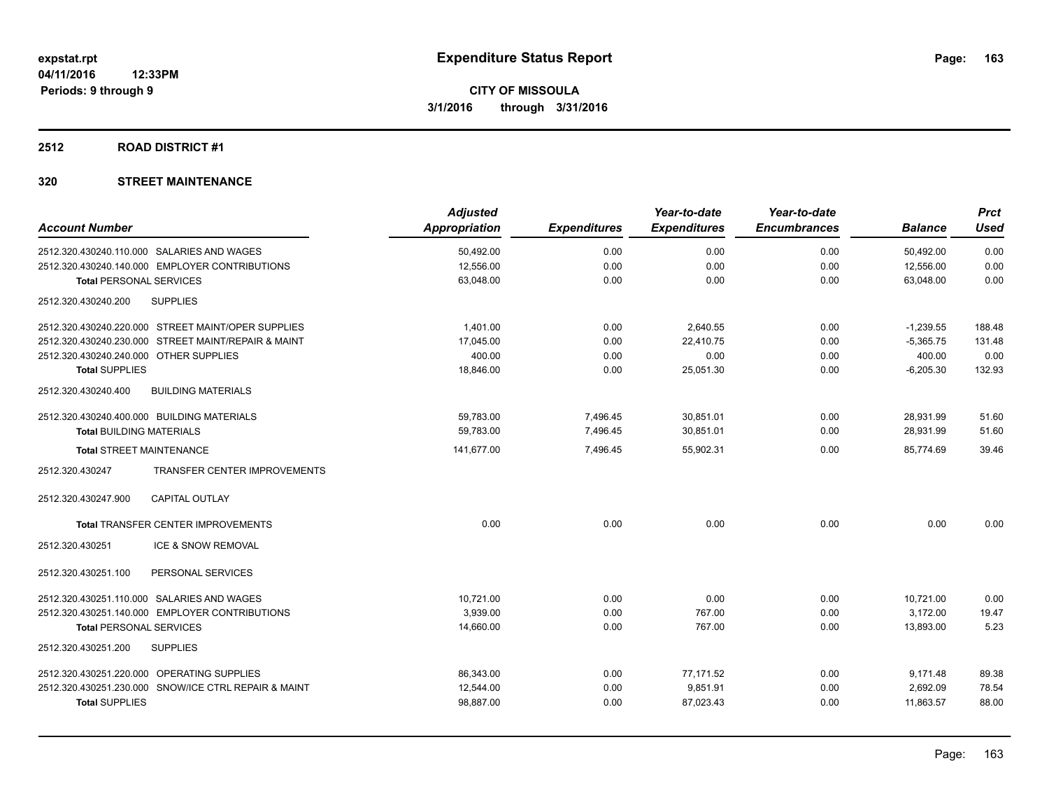#### **2512 ROAD DISTRICT #1**

| <b>Adjusted</b>      |                     | Year-to-date        | Year-to-date        |                | <b>Prct</b> |
|----------------------|---------------------|---------------------|---------------------|----------------|-------------|
| <b>Appropriation</b> | <b>Expenditures</b> | <b>Expenditures</b> | <b>Encumbrances</b> | <b>Balance</b> | <b>Used</b> |
| 50,492.00            | 0.00                | 0.00                | 0.00                | 50,492.00      | 0.00        |
| 12,556.00            | 0.00                | 0.00                | 0.00                | 12,556.00      | 0.00        |
| 63,048.00            | 0.00                | 0.00                | 0.00                | 63.048.00      | 0.00        |
|                      |                     |                     |                     |                |             |
| 1.401.00             | 0.00                | 2,640.55            | 0.00                | $-1,239.55$    | 188.48      |
| 17,045.00            | 0.00                | 22.410.75           | 0.00                | $-5,365.75$    | 131.48      |
| 400.00               | 0.00                | 0.00                | 0.00                | 400.00         | 0.00        |
| 18,846.00            | 0.00                | 25,051.30           | 0.00                | $-6,205.30$    | 132.93      |
|                      |                     |                     |                     |                |             |
| 59,783.00            | 7,496.45            | 30,851.01           | 0.00                | 28,931.99      | 51.60       |
| 59,783.00            | 7,496.45            | 30,851.01           | 0.00                | 28,931.99      | 51.60       |
| 141,677.00           | 7,496.45            | 55,902.31           | 0.00                | 85.774.69      | 39.46       |
|                      |                     |                     |                     |                |             |
|                      |                     |                     |                     |                |             |
| 0.00                 | 0.00                | 0.00                | 0.00                | 0.00           | 0.00        |
|                      |                     |                     |                     |                |             |
|                      |                     |                     |                     |                |             |
| 10.721.00            | 0.00                | 0.00                | 0.00                | 10,721.00      | 0.00        |
| 3,939.00             | 0.00                | 767.00              | 0.00                | 3,172.00       | 19.47       |
| 14,660.00            | 0.00                | 767.00              | 0.00                | 13,893.00      | 5.23        |
|                      |                     |                     |                     |                |             |
| 86,343.00            | 0.00                | 77,171.52           | 0.00                | 9,171.48       | 89.38       |
| 12,544.00            | 0.00                | 9,851.91            | 0.00                | 2,692.09       | 78.54       |
| 98,887.00            | 0.00                | 87,023.43           | 0.00                | 11,863.57      | 88.00       |
|                      |                     |                     |                     |                |             |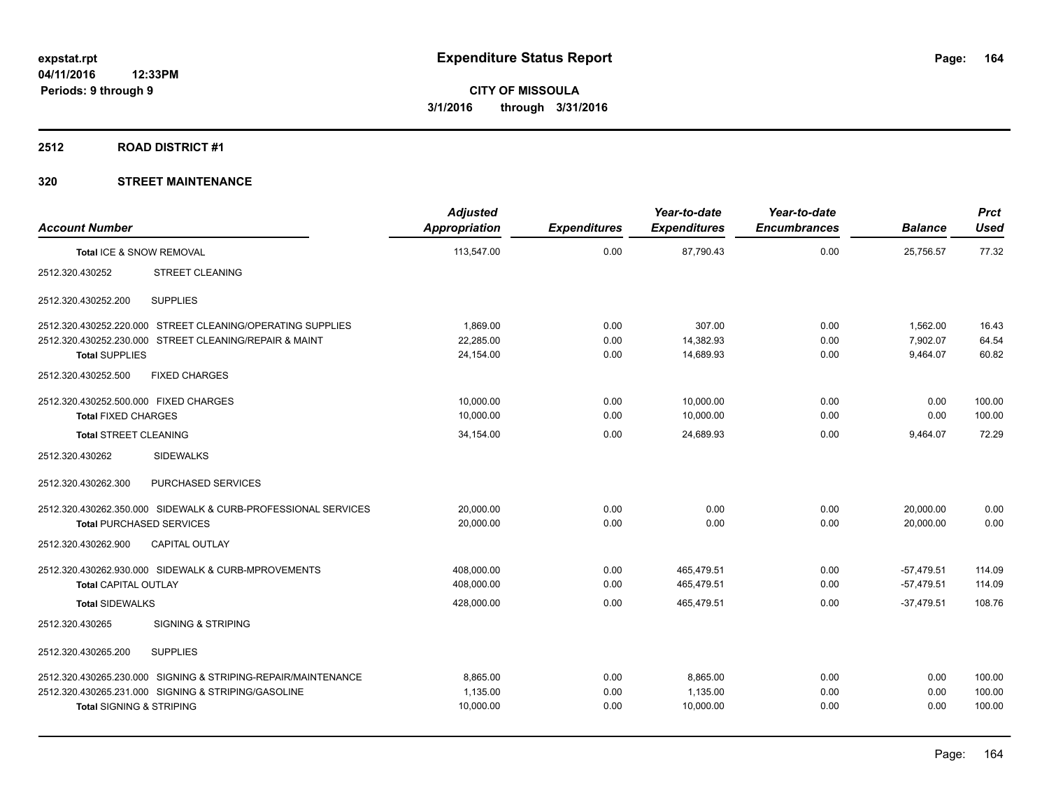#### **2512 ROAD DISTRICT #1**

| <b>Account Number</b>                 |                                                               | <b>Adjusted</b><br><b>Appropriation</b> | <b>Expenditures</b> | Year-to-date<br><b>Expenditures</b> | Year-to-date<br><b>Encumbrances</b> | <b>Balance</b> | <b>Prct</b><br><b>Used</b> |
|---------------------------------------|---------------------------------------------------------------|-----------------------------------------|---------------------|-------------------------------------|-------------------------------------|----------------|----------------------------|
| Total ICE & SNOW REMOVAL              |                                                               | 113,547.00                              | 0.00                | 87,790.43                           | 0.00                                | 25,756.57      | 77.32                      |
| 2512.320.430252                       | <b>STREET CLEANING</b>                                        |                                         |                     |                                     |                                     |                |                            |
| 2512.320.430252.200                   | <b>SUPPLIES</b>                                               |                                         |                     |                                     |                                     |                |                            |
|                                       | 2512.320.430252.220.000 STREET CLEANING/OPERATING SUPPLIES    | 1,869.00                                | 0.00                | 307.00                              | 0.00                                | 1,562.00       | 16.43                      |
|                                       | 2512.320.430252.230.000 STREET CLEANING/REPAIR & MAINT        | 22,285.00                               | 0.00                | 14,382.93                           | 0.00                                | 7,902.07       | 64.54                      |
| <b>Total SUPPLIES</b>                 |                                                               | 24,154.00                               | 0.00                | 14,689.93                           | 0.00                                | 9,464.07       | 60.82                      |
| 2512.320.430252.500                   | <b>FIXED CHARGES</b>                                          |                                         |                     |                                     |                                     |                |                            |
| 2512.320.430252.500.000 FIXED CHARGES |                                                               | 10,000.00                               | 0.00                | 10,000.00                           | 0.00                                | 0.00           | 100.00                     |
| <b>Total FIXED CHARGES</b>            |                                                               | 10,000.00                               | 0.00                | 10,000.00                           | 0.00                                | 0.00           | 100.00                     |
| <b>Total STREET CLEANING</b>          |                                                               | 34,154.00                               | 0.00                | 24.689.93                           | 0.00                                | 9,464.07       | 72.29                      |
| 2512.320.430262                       | <b>SIDEWALKS</b>                                              |                                         |                     |                                     |                                     |                |                            |
| 2512.320.430262.300                   | PURCHASED SERVICES                                            |                                         |                     |                                     |                                     |                |                            |
|                                       | 2512.320.430262.350.000 SIDEWALK & CURB-PROFESSIONAL SERVICES | 20,000.00                               | 0.00                | 0.00                                | 0.00                                | 20,000.00      | 0.00                       |
| <b>Total PURCHASED SERVICES</b>       |                                                               | 20,000.00                               | 0.00                | 0.00                                | 0.00                                | 20.000.00      | 0.00                       |
| 2512.320.430262.900                   | <b>CAPITAL OUTLAY</b>                                         |                                         |                     |                                     |                                     |                |                            |
|                                       | 2512.320.430262.930.000 SIDEWALK & CURB-MPROVEMENTS           | 408,000.00                              | 0.00                | 465,479.51                          | 0.00                                | $-57,479.51$   | 114.09                     |
| <b>Total CAPITAL OUTLAY</b>           |                                                               | 408,000.00                              | 0.00                | 465,479.51                          | 0.00                                | $-57,479.51$   | 114.09                     |
| <b>Total SIDEWALKS</b>                |                                                               | 428,000.00                              | 0.00                | 465,479.51                          | 0.00                                | $-37,479.51$   | 108.76                     |
| 2512.320.430265                       | <b>SIGNING &amp; STRIPING</b>                                 |                                         |                     |                                     |                                     |                |                            |
| 2512.320.430265.200                   | <b>SUPPLIES</b>                                               |                                         |                     |                                     |                                     |                |                            |
|                                       | 2512.320.430265.230.000 SIGNING & STRIPING-REPAIR/MAINTENANCE | 8.865.00                                | 0.00                | 8.865.00                            | 0.00                                | 0.00           | 100.00                     |
|                                       | 2512.320.430265.231.000 SIGNING & STRIPING/GASOLINE           | 1,135.00                                | 0.00                | 1,135.00                            | 0.00                                | 0.00           | 100.00                     |
| <b>Total SIGNING &amp; STRIPING</b>   |                                                               | 10,000.00                               | 0.00                | 10,000.00                           | 0.00                                | 0.00           | 100.00                     |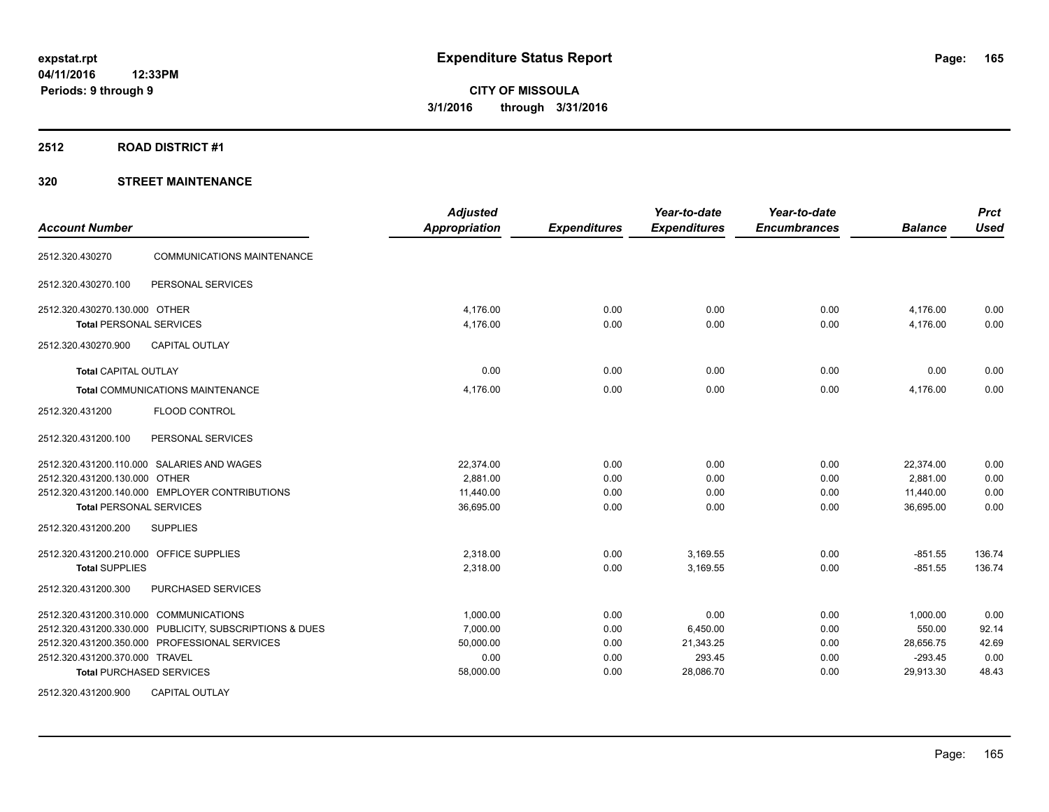#### **2512 ROAD DISTRICT #1**

| <b>Account Number</b>                                                            |                                                         | <b>Adjusted</b><br><b>Appropriation</b> | <b>Expenditures</b> | Year-to-date<br><b>Expenditures</b> | Year-to-date<br><b>Encumbrances</b> | <b>Balance</b>         | <b>Prct</b><br><b>Used</b> |
|----------------------------------------------------------------------------------|---------------------------------------------------------|-----------------------------------------|---------------------|-------------------------------------|-------------------------------------|------------------------|----------------------------|
| 2512.320.430270                                                                  | <b>COMMUNICATIONS MAINTENANCE</b>                       |                                         |                     |                                     |                                     |                        |                            |
| 2512.320.430270.100                                                              | PERSONAL SERVICES                                       |                                         |                     |                                     |                                     |                        |                            |
| 2512.320.430270.130.000 OTHER<br><b>Total PERSONAL SERVICES</b>                  |                                                         | 4,176.00<br>4,176.00                    | 0.00<br>0.00        | 0.00<br>0.00                        | 0.00<br>0.00                        | 4,176.00<br>4,176.00   | 0.00<br>0.00               |
| 2512.320.430270.900                                                              | <b>CAPITAL OUTLAY</b>                                   |                                         |                     |                                     |                                     |                        |                            |
| <b>Total CAPITAL OUTLAY</b>                                                      |                                                         | 0.00                                    | 0.00                | 0.00                                | 0.00                                | 0.00                   | 0.00                       |
| Total COMMUNICATIONS MAINTENANCE                                                 |                                                         | 4,176.00                                | 0.00                | 0.00                                | 0.00                                | 4,176.00               | 0.00                       |
| 2512.320.431200                                                                  | FLOOD CONTROL                                           |                                         |                     |                                     |                                     |                        |                            |
| 2512.320.431200.100                                                              | PERSONAL SERVICES                                       |                                         |                     |                                     |                                     |                        |                            |
| 2512.320.431200.110.000 SALARIES AND WAGES                                       |                                                         | 22.374.00                               | 0.00                | 0.00                                | 0.00                                | 22,374.00              | 0.00                       |
| 2512.320.431200.130.000 OTHER                                                    |                                                         | 2,881.00                                | 0.00                | 0.00                                | 0.00                                | 2,881.00               | 0.00                       |
| 2512.320.431200.140.000 EMPLOYER CONTRIBUTIONS<br><b>Total PERSONAL SERVICES</b> |                                                         | 11.440.00<br>36,695.00                  | 0.00<br>0.00        | 0.00<br>0.00                        | 0.00<br>0.00                        | 11,440.00<br>36,695.00 | 0.00<br>0.00               |
| 2512.320.431200.200                                                              | <b>SUPPLIES</b>                                         |                                         |                     |                                     |                                     |                        |                            |
| 2512.320.431200.210.000 OFFICE SUPPLIES                                          |                                                         | 2,318.00                                | 0.00                | 3,169.55                            | 0.00                                | $-851.55$              | 136.74                     |
| <b>Total SUPPLIES</b>                                                            |                                                         | 2,318.00                                | 0.00                | 3,169.55                            | 0.00                                | $-851.55$              | 136.74                     |
| 2512.320.431200.300                                                              | PURCHASED SERVICES                                      |                                         |                     |                                     |                                     |                        |                            |
| 2512.320.431200.310.000 COMMUNICATIONS                                           |                                                         | 1,000.00                                | 0.00                | 0.00                                | 0.00                                | 1,000.00               | 0.00                       |
|                                                                                  | 2512.320.431200.330.000 PUBLICITY, SUBSCRIPTIONS & DUES | 7,000.00                                | 0.00                | 6,450.00                            | 0.00                                | 550.00                 | 92.14                      |
| 2512.320.431200.350.000 PROFESSIONAL SERVICES                                    |                                                         | 50,000.00                               | 0.00                | 21,343.25                           | 0.00                                | 28,656.75              | 42.69                      |
| 2512.320.431200.370.000 TRAVEL<br><b>Total PURCHASED SERVICES</b>                |                                                         | 0.00<br>58,000.00                       | 0.00<br>0.00        | 293.45<br>28,086.70                 | 0.00<br>0.00                        | $-293.45$<br>29,913.30 | 0.00<br>48.43              |
| 2512.320.431200.900                                                              | <b>CAPITAL OUTLAY</b>                                   |                                         |                     |                                     |                                     |                        |                            |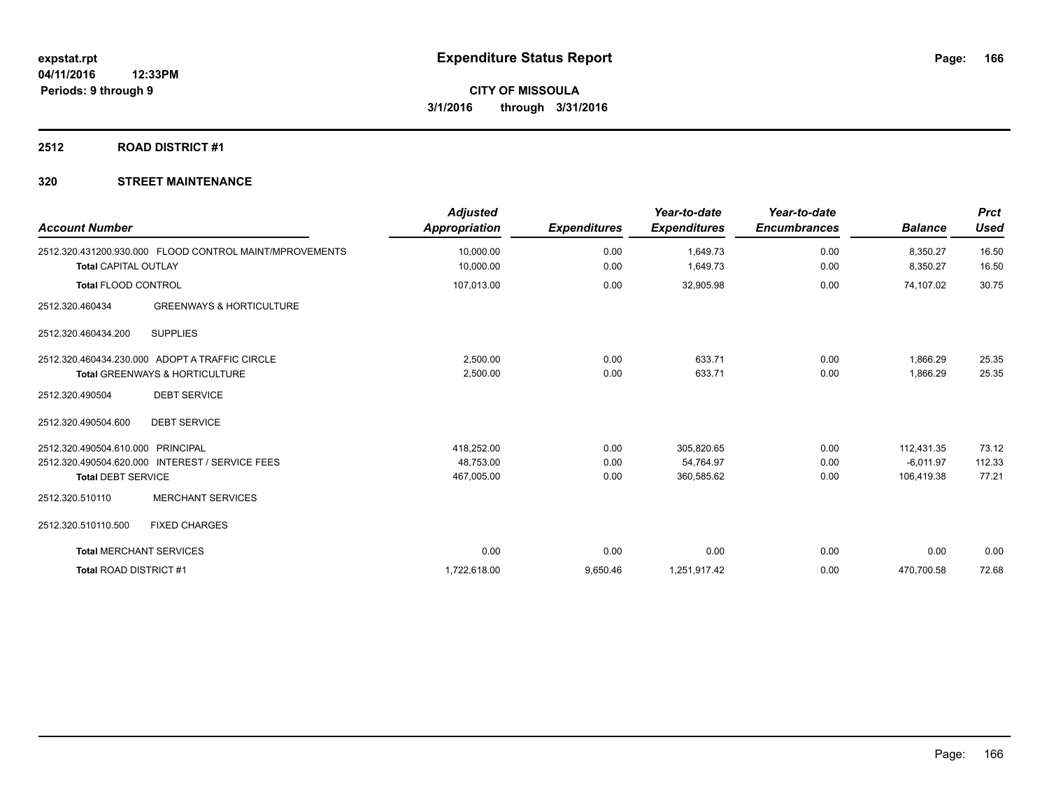### **2512 ROAD DISTRICT #1**

| <b>Account Number</b>                                   | <b>Adjusted</b><br><b>Appropriation</b> | <b>Expenditures</b> | Year-to-date<br><b>Expenditures</b> | Year-to-date<br><b>Encumbrances</b> | <b>Balance</b> | <b>Prct</b><br><b>Used</b> |
|---------------------------------------------------------|-----------------------------------------|---------------------|-------------------------------------|-------------------------------------|----------------|----------------------------|
| 2512.320.431200.930.000 FLOOD CONTROL MAINT/MPROVEMENTS | 10,000.00                               | 0.00                | 1,649.73                            | 0.00                                | 8,350.27       | 16.50                      |
| <b>Total CAPITAL OUTLAY</b>                             | 10,000.00                               | 0.00                | 1,649.73                            | 0.00                                | 8,350.27       | 16.50                      |
| <b>Total FLOOD CONTROL</b>                              | 107,013.00                              | 0.00                | 32,905.98                           | 0.00                                | 74,107.02      | 30.75                      |
| <b>GREENWAYS &amp; HORTICULTURE</b><br>2512.320.460434  |                                         |                     |                                     |                                     |                |                            |
| <b>SUPPLIES</b><br>2512.320.460434.200                  |                                         |                     |                                     |                                     |                |                            |
| 2512.320.460434.230.000 ADOPT A TRAFFIC CIRCLE          | 2,500.00                                | 0.00                | 633.71                              | 0.00                                | 1,866.29       | 25.35                      |
| <b>Total GREENWAYS &amp; HORTICULTURE</b>               | 2,500.00                                | 0.00                | 633.71                              | 0.00                                | 1,866.29       | 25.35                      |
| <b>DEBT SERVICE</b><br>2512.320.490504                  |                                         |                     |                                     |                                     |                |                            |
| <b>DEBT SERVICE</b><br>2512.320.490504.600              |                                         |                     |                                     |                                     |                |                            |
| 2512.320.490504.610.000 PRINCIPAL                       | 418,252.00                              | 0.00                | 305,820.65                          | 0.00                                | 112.431.35     | 73.12                      |
| 2512.320.490504.620.000 INTEREST / SERVICE FEES         | 48.753.00                               | 0.00                | 54,764.97                           | 0.00                                | $-6.011.97$    | 112.33                     |
| <b>Total DEBT SERVICE</b>                               | 467,005.00                              | 0.00                | 360,585.62                          | 0.00                                | 106,419.38     | 77.21                      |
| <b>MERCHANT SERVICES</b><br>2512.320.510110             |                                         |                     |                                     |                                     |                |                            |
| <b>FIXED CHARGES</b><br>2512.320.510110.500             |                                         |                     |                                     |                                     |                |                            |
| <b>Total MERCHANT SERVICES</b>                          | 0.00                                    | 0.00                | 0.00                                | 0.00                                | 0.00           | 0.00                       |
| Total ROAD DISTRICT #1                                  | 1,722,618.00                            | 9,650.46            | 1,251,917.42                        | 0.00                                | 470,700.58     | 72.68                      |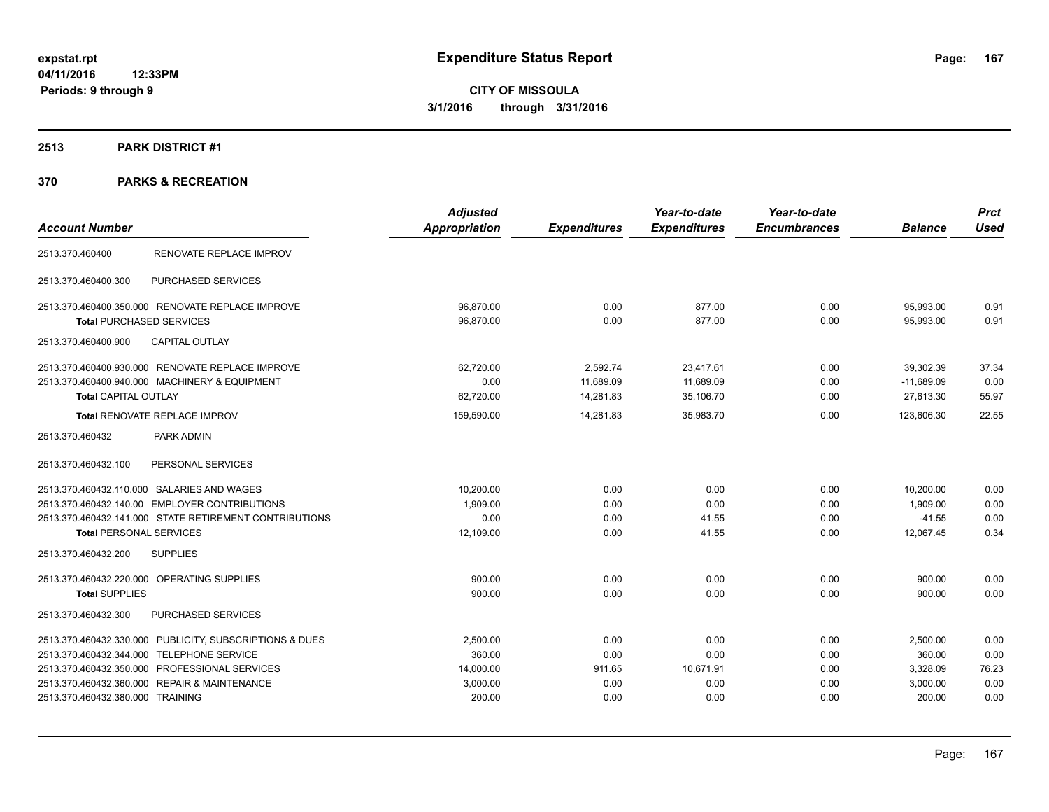### **2513 PARK DISTRICT #1**

|                                                         | <b>Adjusted</b>      |                     | Year-to-date        | Year-to-date        |                | <b>Prct</b> |
|---------------------------------------------------------|----------------------|---------------------|---------------------|---------------------|----------------|-------------|
| <b>Account Number</b>                                   | <b>Appropriation</b> | <b>Expenditures</b> | <b>Expenditures</b> | <b>Encumbrances</b> | <b>Balance</b> | <b>Used</b> |
| RENOVATE REPLACE IMPROV<br>2513.370.460400              |                      |                     |                     |                     |                |             |
| PURCHASED SERVICES<br>2513.370.460400.300               |                      |                     |                     |                     |                |             |
| 2513.370.460400.350.000 RENOVATE REPLACE IMPROVE        | 96.870.00            | 0.00                | 877.00              | 0.00                | 95,993.00      | 0.91        |
| <b>Total PURCHASED SERVICES</b>                         | 96,870.00            | 0.00                | 877.00              | 0.00                | 95,993.00      | 0.91        |
| <b>CAPITAL OUTLAY</b><br>2513.370.460400.900            |                      |                     |                     |                     |                |             |
| 2513.370.460400.930.000 RENOVATE REPLACE IMPROVE        | 62,720.00            | 2,592.74            | 23,417.61           | 0.00                | 39.302.39      | 37.34       |
| 2513.370.460400.940.000 MACHINERY & EQUIPMENT           | 0.00                 | 11,689.09           | 11,689.09           | 0.00                | $-11,689.09$   | 0.00        |
| <b>Total CAPITAL OUTLAY</b>                             | 62,720.00            | 14,281.83           | 35,106.70           | 0.00                | 27,613.30      | 55.97       |
| Total RENOVATE REPLACE IMPROV                           | 159,590.00           | 14,281.83           | 35,983.70           | 0.00                | 123,606.30     | 22.55       |
| 2513.370.460432<br>PARK ADMIN                           |                      |                     |                     |                     |                |             |
| 2513.370.460432.100<br>PERSONAL SERVICES                |                      |                     |                     |                     |                |             |
| 2513.370.460432.110.000 SALARIES AND WAGES              | 10,200.00            | 0.00                | 0.00                | 0.00                | 10,200.00      | 0.00        |
| 2513.370.460432.140.00 EMPLOYER CONTRIBUTIONS           | 1,909.00             | 0.00                | 0.00                | 0.00                | 1,909.00       | 0.00        |
| 2513.370.460432.141.000 STATE RETIREMENT CONTRIBUTIONS  | 0.00                 | 0.00                | 41.55               | 0.00                | $-41.55$       | 0.00        |
| <b>Total PERSONAL SERVICES</b>                          | 12,109.00            | 0.00                | 41.55               | 0.00                | 12.067.45      | 0.34        |
| <b>SUPPLIES</b><br>2513.370.460432.200                  |                      |                     |                     |                     |                |             |
| 2513.370.460432.220.000 OPERATING SUPPLIES              | 900.00               | 0.00                | 0.00                | 0.00                | 900.00         | 0.00        |
| <b>Total SUPPLIES</b>                                   | 900.00               | 0.00                | 0.00                | 0.00                | 900.00         | 0.00        |
| 2513.370.460432.300<br>PURCHASED SERVICES               |                      |                     |                     |                     |                |             |
| 2513.370.460432.330.000 PUBLICITY, SUBSCRIPTIONS & DUES | 2,500.00             | 0.00                | 0.00                | 0.00                | 2,500.00       | 0.00        |
| 2513.370.460432.344.000 TELEPHONE SERVICE               | 360.00               | 0.00                | 0.00                | 0.00                | 360.00         | 0.00        |
| 2513.370.460432.350.000 PROFESSIONAL SERVICES           | 14,000.00            | 911.65              | 10,671.91           | 0.00                | 3,328.09       | 76.23       |
| 2513.370.460432.360.000 REPAIR & MAINTENANCE            | 3,000.00             | 0.00                | 0.00                | 0.00                | 3,000.00       | 0.00        |
| 2513.370.460432.380.000 TRAINING                        | 200.00               | 0.00                | 0.00                | 0.00                | 200.00         | 0.00        |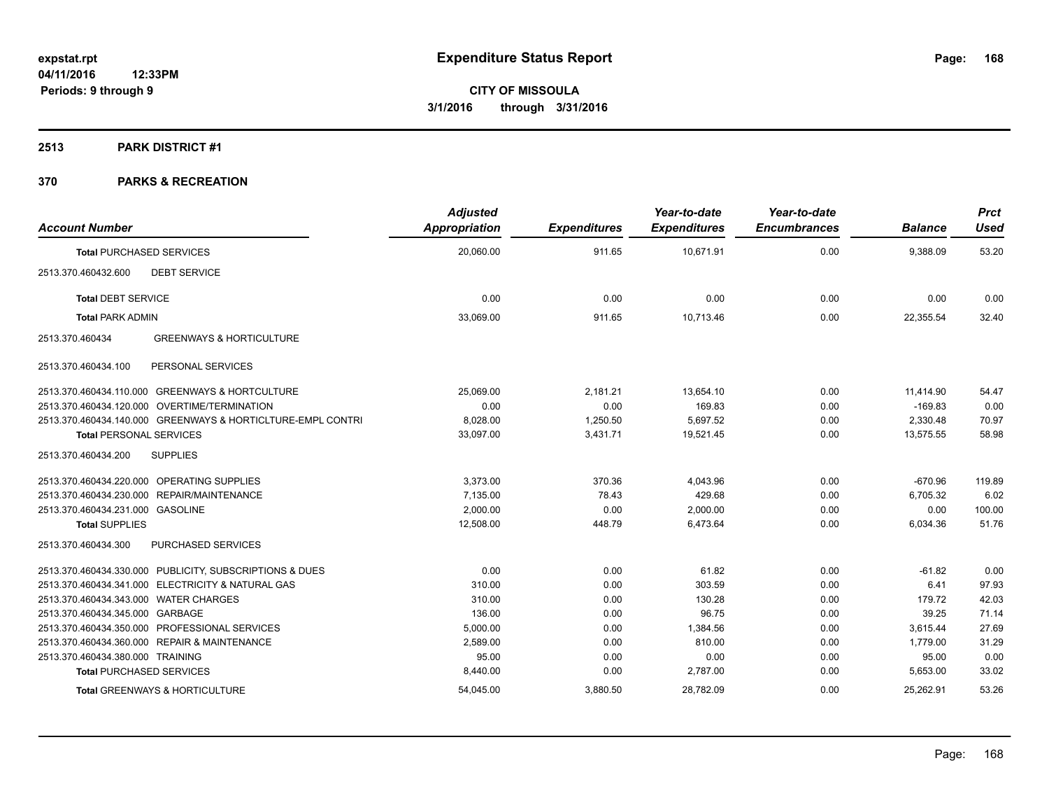#### **2513 PARK DISTRICT #1**

| <b>Account Number</b>                                       | <b>Adjusted</b><br>Appropriation | <b>Expenditures</b> | Year-to-date<br><b>Expenditures</b> | Year-to-date<br><b>Encumbrances</b> | <b>Balance</b> | <b>Prct</b><br><b>Used</b> |
|-------------------------------------------------------------|----------------------------------|---------------------|-------------------------------------|-------------------------------------|----------------|----------------------------|
| <b>Total PURCHASED SERVICES</b>                             | 20,060.00                        | 911.65              | 10,671.91                           | 0.00                                | 9,388.09       | 53.20                      |
| 2513.370.460432.600<br><b>DEBT SERVICE</b>                  |                                  |                     |                                     |                                     |                |                            |
| <b>Total DEBT SERVICE</b>                                   | 0.00                             | 0.00                | 0.00                                | 0.00                                | 0.00           | 0.00                       |
| <b>Total PARK ADMIN</b>                                     | 33,069.00                        | 911.65              | 10,713.46                           | 0.00                                | 22,355.54      | 32.40                      |
| <b>GREENWAYS &amp; HORTICULTURE</b><br>2513.370.460434      |                                  |                     |                                     |                                     |                |                            |
| 2513.370.460434.100<br>PERSONAL SERVICES                    |                                  |                     |                                     |                                     |                |                            |
| 2513.370.460434.110.000 GREENWAYS & HORTCULTURE             | 25,069.00                        | 2,181.21            | 13,654.10                           | 0.00                                | 11,414.90      | 54.47                      |
| 2513.370.460434.120.000 OVERTIME/TERMINATION                | 0.00                             | 0.00                | 169.83                              | 0.00                                | $-169.83$      | 0.00                       |
| 2513.370.460434.140.000 GREENWAYS & HORTICLTURE-EMPL CONTRI | 8,028.00                         | 1,250.50            | 5,697.52                            | 0.00                                | 2,330.48       | 70.97                      |
| <b>Total PERSONAL SERVICES</b>                              | 33,097.00                        | 3,431.71            | 19,521.45                           | 0.00                                | 13,575.55      | 58.98                      |
| <b>SUPPLIES</b><br>2513.370.460434.200                      |                                  |                     |                                     |                                     |                |                            |
| 2513.370.460434.220.000 OPERATING SUPPLIES                  | 3,373.00                         | 370.36              | 4,043.96                            | 0.00                                | $-670.96$      | 119.89                     |
| 2513.370.460434.230.000 REPAIR/MAINTENANCE                  | 7,135.00                         | 78.43               | 429.68                              | 0.00                                | 6,705.32       | 6.02                       |
| 2513.370.460434.231.000 GASOLINE                            | 2,000.00                         | 0.00                | 2,000.00                            | 0.00                                | 0.00           | 100.00                     |
| <b>Total SUPPLIES</b>                                       | 12,508.00                        | 448.79              | 6,473.64                            | 0.00                                | 6,034.36       | 51.76                      |
| 2513.370.460434.300<br>PURCHASED SERVICES                   |                                  |                     |                                     |                                     |                |                            |
| 2513.370.460434.330.000 PUBLICITY, SUBSCRIPTIONS & DUES     | 0.00                             | 0.00                | 61.82                               | 0.00                                | $-61.82$       | 0.00                       |
| 2513.370.460434.341.000 ELECTRICITY & NATURAL GAS           | 310.00                           | 0.00                | 303.59                              | 0.00                                | 6.41           | 97.93                      |
| 2513.370.460434.343.000 WATER CHARGES                       | 310.00                           | 0.00                | 130.28                              | 0.00                                | 179.72         | 42.03                      |
| 2513.370.460434.345.000 GARBAGE                             | 136.00                           | 0.00                | 96.75                               | 0.00                                | 39.25          | 71.14                      |
| 2513.370.460434.350.000 PROFESSIONAL SERVICES               | 5,000.00                         | 0.00                | 1,384.56                            | 0.00                                | 3,615.44       | 27.69                      |
| 2513.370.460434.360.000 REPAIR & MAINTENANCE                | 2,589.00                         | 0.00                | 810.00                              | 0.00                                | 1,779.00       | 31.29                      |
| 2513.370.460434.380.000 TRAINING                            | 95.00                            | 0.00                | 0.00                                | 0.00                                | 95.00          | 0.00                       |
| <b>Total PURCHASED SERVICES</b>                             | 8,440.00                         | 0.00                | 2,787.00                            | 0.00                                | 5,653.00       | 33.02                      |
| Total GREENWAYS & HORTICULTURE                              | 54,045.00                        | 3,880.50            | 28,782.09                           | 0.00                                | 25,262.91      | 53.26                      |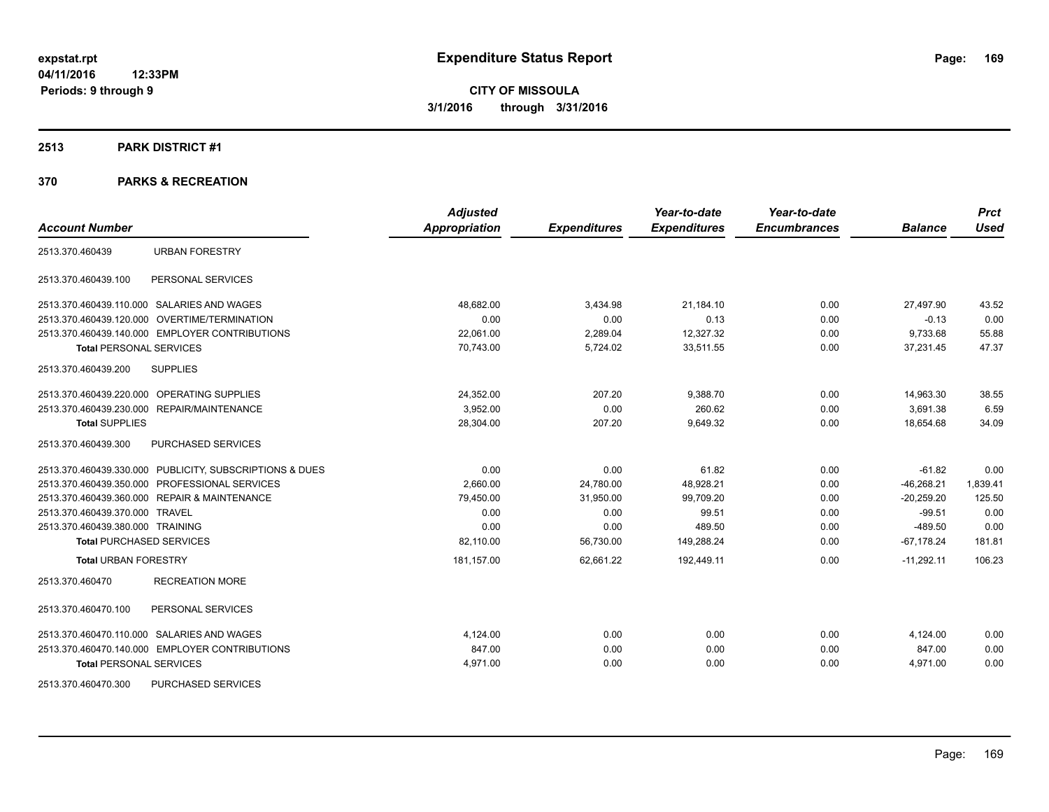#### **2513 PARK DISTRICT #1**

| <b>Account Number</b>                                   | <b>Adjusted</b><br><b>Appropriation</b> | <b>Expenditures</b> | Year-to-date<br><b>Expenditures</b> | Year-to-date<br><b>Encumbrances</b> | <b>Balance</b> | <b>Prct</b><br><b>Used</b> |
|---------------------------------------------------------|-----------------------------------------|---------------------|-------------------------------------|-------------------------------------|----------------|----------------------------|
|                                                         |                                         |                     |                                     |                                     |                |                            |
| <b>URBAN FORESTRY</b><br>2513.370.460439                |                                         |                     |                                     |                                     |                |                            |
| 2513.370.460439.100<br>PERSONAL SERVICES                |                                         |                     |                                     |                                     |                |                            |
| 2513.370.460439.110.000 SALARIES AND WAGES              | 48.682.00                               | 3.434.98            | 21.184.10                           | 0.00                                | 27.497.90      | 43.52                      |
| 2513.370.460439.120.000 OVERTIME/TERMINATION            | 0.00                                    | 0.00                | 0.13                                | 0.00                                | $-0.13$        | 0.00                       |
| 2513.370.460439.140.000 EMPLOYER CONTRIBUTIONS          | 22,061.00                               | 2,289.04            | 12,327.32                           | 0.00                                | 9,733.68       | 55.88                      |
| <b>Total PERSONAL SERVICES</b>                          | 70,743.00                               | 5,724.02            | 33,511.55                           | 0.00                                | 37,231.45      | 47.37                      |
| <b>SUPPLIES</b><br>2513.370.460439.200                  |                                         |                     |                                     |                                     |                |                            |
| 2513.370.460439.220.000 OPERATING SUPPLIES              | 24,352.00                               | 207.20              | 9,388.70                            | 0.00                                | 14,963.30      | 38.55                      |
| 2513.370.460439.230.000 REPAIR/MAINTENANCE              | 3,952.00                                | 0.00                | 260.62                              | 0.00                                | 3,691.38       | 6.59                       |
| <b>Total SUPPLIES</b>                                   | 28,304.00                               | 207.20              | 9,649.32                            | 0.00                                | 18.654.68      | 34.09                      |
| PURCHASED SERVICES<br>2513.370.460439.300               |                                         |                     |                                     |                                     |                |                            |
| 2513.370.460439.330.000 PUBLICITY, SUBSCRIPTIONS & DUES | 0.00                                    | 0.00                | 61.82                               | 0.00                                | $-61.82$       | 0.00                       |
| 2513.370.460439.350.000 PROFESSIONAL SERVICES           | 2,660.00                                | 24,780.00           | 48,928.21                           | 0.00                                | $-46,268.21$   | 1,839.41                   |
| 2513.370.460439.360.000 REPAIR & MAINTENANCE            | 79,450.00                               | 31,950.00           | 99,709.20                           | 0.00                                | $-20,259.20$   | 125.50                     |
| 2513.370.460439.370.000 TRAVEL                          | 0.00                                    | 0.00                | 99.51                               | 0.00                                | $-99.51$       | 0.00                       |
| 2513.370.460439.380.000 TRAINING                        | 0.00                                    | 0.00                | 489.50                              | 0.00                                | $-489.50$      | 0.00                       |
| <b>Total PURCHASED SERVICES</b>                         | 82,110.00                               | 56,730.00           | 149,288.24                          | 0.00                                | $-67,178.24$   | 181.81                     |
| <b>Total URBAN FORESTRY</b>                             | 181,157.00                              | 62,661.22           | 192,449.11                          | 0.00                                | $-11,292.11$   | 106.23                     |
| <b>RECREATION MORE</b><br>2513.370.460470               |                                         |                     |                                     |                                     |                |                            |
| 2513.370.460470.100<br>PERSONAL SERVICES                |                                         |                     |                                     |                                     |                |                            |
| 2513.370.460470.110.000 SALARIES AND WAGES              | 4,124.00                                | 0.00                | 0.00                                | 0.00                                | 4,124.00       | 0.00                       |
| 2513.370.460470.140.000 EMPLOYER CONTRIBUTIONS          | 847.00                                  | 0.00                | 0.00                                | 0.00                                | 847.00         | 0.00                       |
| <b>Total PERSONAL SERVICES</b>                          | 4,971.00                                | 0.00                | 0.00                                | 0.00                                | 4,971.00       | 0.00                       |
| PURCHASED SERVICES<br>2513.370.460470.300               |                                         |                     |                                     |                                     |                |                            |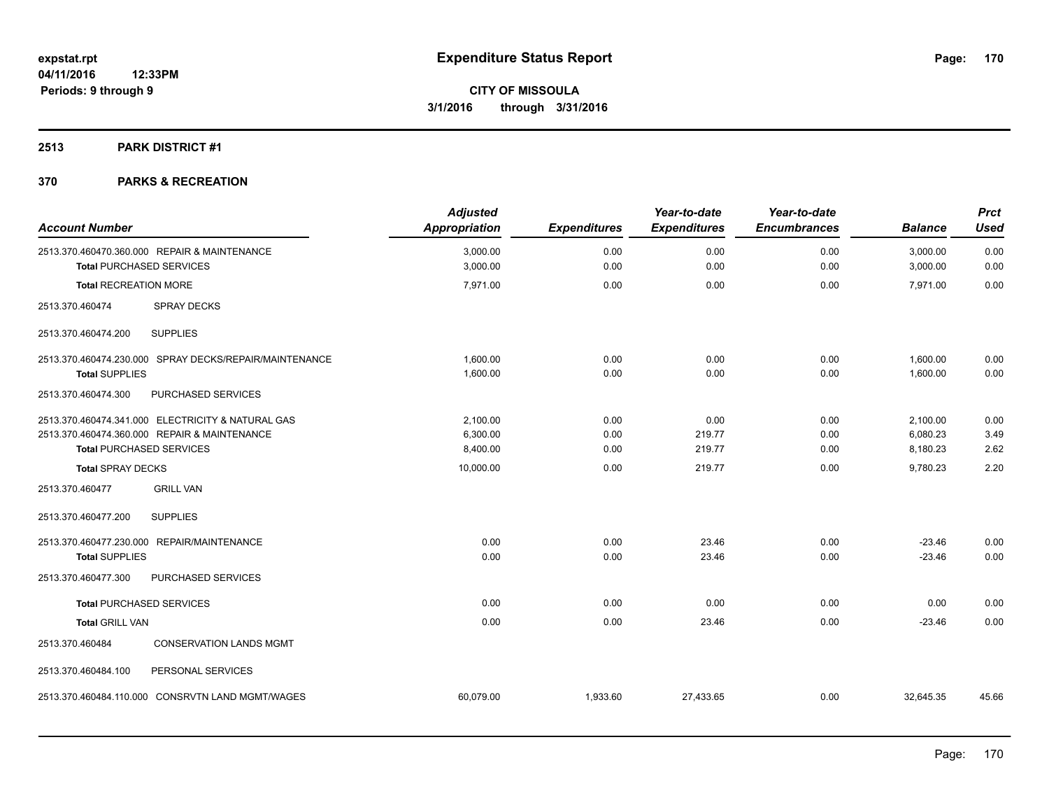#### **2513 PARK DISTRICT #1**

| <b>Account Number</b>                                                                                                                | <b>Adjusted</b><br><b>Appropriation</b> | <b>Expenditures</b>  | Year-to-date<br><b>Expenditures</b> | Year-to-date<br><b>Encumbrances</b> | <b>Balance</b>                   | <b>Prct</b><br><b>Used</b> |
|--------------------------------------------------------------------------------------------------------------------------------------|-----------------------------------------|----------------------|-------------------------------------|-------------------------------------|----------------------------------|----------------------------|
| 2513.370.460470.360.000 REPAIR & MAINTENANCE<br><b>Total PURCHASED SERVICES</b>                                                      | 3,000.00<br>3,000.00                    | 0.00<br>0.00         | 0.00<br>0.00                        | 0.00<br>0.00                        | 3,000.00<br>3,000.00             | 0.00<br>0.00               |
| <b>Total RECREATION MORE</b>                                                                                                         | 7,971.00                                | 0.00                 | 0.00                                | 0.00                                | 7,971.00                         | 0.00                       |
| 2513.370.460474<br><b>SPRAY DECKS</b>                                                                                                |                                         |                      |                                     |                                     |                                  |                            |
| <b>SUPPLIES</b><br>2513.370.460474.200                                                                                               |                                         |                      |                                     |                                     |                                  |                            |
| 2513.370.460474.230.000 SPRAY DECKS/REPAIR/MAINTENANCE<br><b>Total SUPPLIES</b>                                                      | 1,600.00<br>1,600.00                    | 0.00<br>0.00         | 0.00<br>0.00                        | 0.00<br>0.00                        | 1,600.00<br>1,600.00             | 0.00<br>0.00               |
| 2513.370.460474.300<br>PURCHASED SERVICES                                                                                            |                                         |                      |                                     |                                     |                                  |                            |
| 2513.370.460474.341.000 ELECTRICITY & NATURAL GAS<br>2513.370.460474.360.000 REPAIR & MAINTENANCE<br><b>Total PURCHASED SERVICES</b> | 2,100.00<br>6,300.00<br>8,400.00        | 0.00<br>0.00<br>0.00 | 0.00<br>219.77<br>219.77            | 0.00<br>0.00<br>0.00                | 2,100.00<br>6,080.23<br>8,180.23 | 0.00<br>3.49<br>2.62       |
| <b>Total SPRAY DECKS</b>                                                                                                             | 10,000.00                               | 0.00                 | 219.77                              | 0.00                                | 9,780.23                         | 2.20                       |
| <b>GRILL VAN</b><br>2513.370.460477                                                                                                  |                                         |                      |                                     |                                     |                                  |                            |
| <b>SUPPLIES</b><br>2513.370.460477.200                                                                                               |                                         |                      |                                     |                                     |                                  |                            |
| 2513.370.460477.230.000 REPAIR/MAINTENANCE<br><b>Total SUPPLIES</b>                                                                  | 0.00<br>0.00                            | 0.00<br>0.00         | 23.46<br>23.46                      | 0.00<br>0.00                        | $-23.46$<br>$-23.46$             | 0.00<br>0.00               |
| 2513.370.460477.300<br>PURCHASED SERVICES                                                                                            |                                         |                      |                                     |                                     |                                  |                            |
| <b>Total PURCHASED SERVICES</b>                                                                                                      | 0.00                                    | 0.00                 | 0.00                                | 0.00                                | 0.00                             | 0.00                       |
| <b>Total GRILL VAN</b>                                                                                                               | 0.00                                    | 0.00                 | 23.46                               | 0.00                                | $-23.46$                         | 0.00                       |
| <b>CONSERVATION LANDS MGMT</b><br>2513.370.460484                                                                                    |                                         |                      |                                     |                                     |                                  |                            |
| PERSONAL SERVICES<br>2513.370.460484.100                                                                                             |                                         |                      |                                     |                                     |                                  |                            |
| 2513.370.460484.110.000 CONSRVTN LAND MGMT/WAGES                                                                                     | 60,079.00                               | 1,933.60             | 27,433.65                           | 0.00                                | 32,645.35                        | 45.66                      |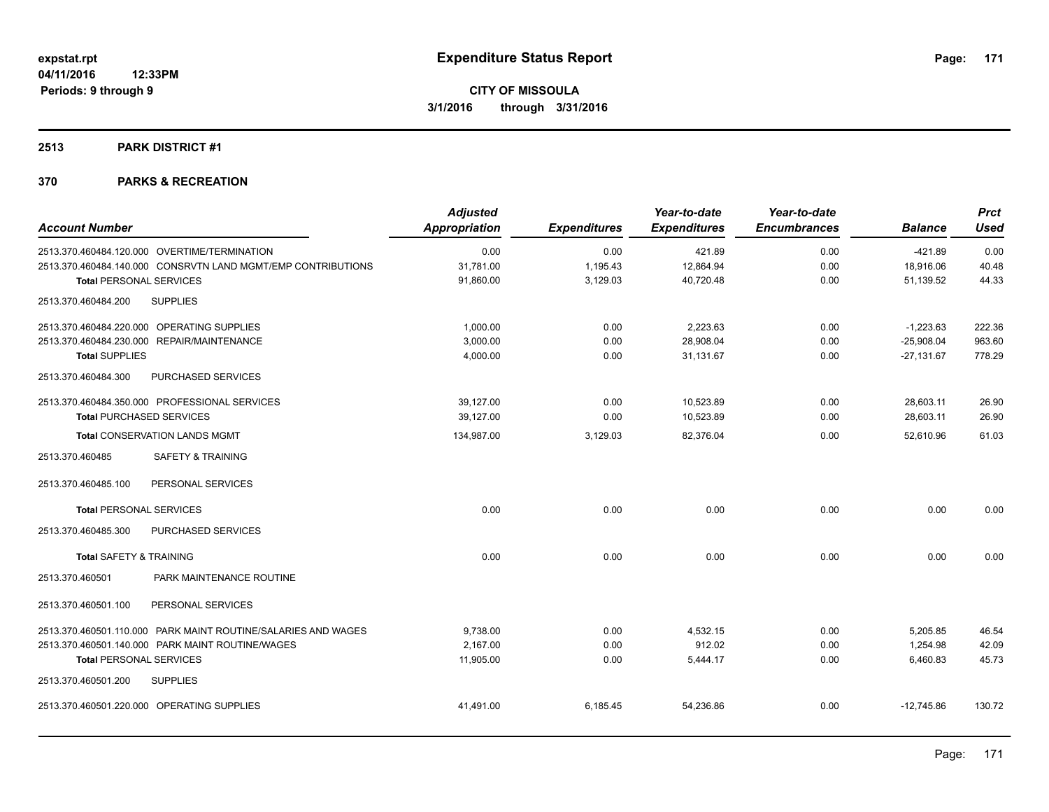#### **2513 PARK DISTRICT #1**

|                                      |                                                               | <b>Adjusted</b>      |                     | Year-to-date        | Year-to-date        |                | <b>Prct</b> |
|--------------------------------------|---------------------------------------------------------------|----------------------|---------------------|---------------------|---------------------|----------------|-------------|
| <b>Account Number</b>                |                                                               | <b>Appropriation</b> | <b>Expenditures</b> | <b>Expenditures</b> | <b>Encumbrances</b> | <b>Balance</b> | Used        |
|                                      | 2513.370.460484.120.000 OVERTIME/TERMINATION                  | 0.00                 | 0.00                | 421.89              | 0.00                | $-421.89$      | 0.00        |
|                                      | 2513.370.460484.140.000 CONSRVTN LAND MGMT/EMP CONTRIBUTIONS  | 31.781.00            | 1.195.43            | 12,864.94           | 0.00                | 18,916.06      | 40.48       |
| <b>Total PERSONAL SERVICES</b>       |                                                               | 91,860.00            | 3,129.03            | 40,720.48           | 0.00                | 51,139.52      | 44.33       |
| 2513.370.460484.200                  | <b>SUPPLIES</b>                                               |                      |                     |                     |                     |                |             |
|                                      | 2513.370.460484.220.000 OPERATING SUPPLIES                    | 1,000.00             | 0.00                | 2,223.63            | 0.00                | $-1,223.63$    | 222.36      |
| 2513.370.460484.230.000              | <b>REPAIR/MAINTENANCE</b>                                     | 3.000.00             | 0.00                | 28.908.04           | 0.00                | $-25,908.04$   | 963.60      |
| <b>Total SUPPLIES</b>                |                                                               | 4,000.00             | 0.00                | 31,131.67           | 0.00                | $-27,131.67$   | 778.29      |
| 2513.370.460484.300                  | PURCHASED SERVICES                                            |                      |                     |                     |                     |                |             |
|                                      | 2513.370.460484.350.000 PROFESSIONAL SERVICES                 | 39,127.00            | 0.00                | 10,523.89           | 0.00                | 28,603.11      | 26.90       |
| <b>Total PURCHASED SERVICES</b>      |                                                               | 39,127.00            | 0.00                | 10,523.89           | 0.00                | 28,603.11      | 26.90       |
| <b>Total CONSERVATION LANDS MGMT</b> |                                                               | 134,987.00           | 3,129.03            | 82,376.04           | 0.00                | 52.610.96      | 61.03       |
| 2513.370.460485                      | <b>SAFETY &amp; TRAINING</b>                                  |                      |                     |                     |                     |                |             |
| 2513.370.460485.100                  | PERSONAL SERVICES                                             |                      |                     |                     |                     |                |             |
| <b>Total PERSONAL SERVICES</b>       |                                                               | 0.00                 | 0.00                | 0.00                | 0.00                | 0.00           | 0.00        |
| 2513.370.460485.300                  | PURCHASED SERVICES                                            |                      |                     |                     |                     |                |             |
| <b>Total SAFETY &amp; TRAINING</b>   |                                                               | 0.00                 | 0.00                | 0.00                | 0.00                | 0.00           | 0.00        |
| 2513.370.460501                      | PARK MAINTENANCE ROUTINE                                      |                      |                     |                     |                     |                |             |
| 2513.370.460501.100                  | PERSONAL SERVICES                                             |                      |                     |                     |                     |                |             |
|                                      | 2513.370.460501.110.000 PARK MAINT ROUTINE/SALARIES AND WAGES | 9,738.00             | 0.00                | 4.532.15            | 0.00                | 5,205.85       | 46.54       |
|                                      | 2513.370.460501.140.000 PARK MAINT ROUTINE/WAGES              | 2,167.00             | 0.00                | 912.02              | 0.00                | 1,254.98       | 42.09       |
| <b>Total PERSONAL SERVICES</b>       |                                                               | 11,905.00            | 0.00                | 5,444.17            | 0.00                | 6,460.83       | 45.73       |
| 2513.370.460501.200                  | <b>SUPPLIES</b>                                               |                      |                     |                     |                     |                |             |
|                                      | 2513.370.460501.220.000 OPERATING SUPPLIES                    | 41.491.00            | 6.185.45            | 54.236.86           | 0.00                | $-12.745.86$   | 130.72      |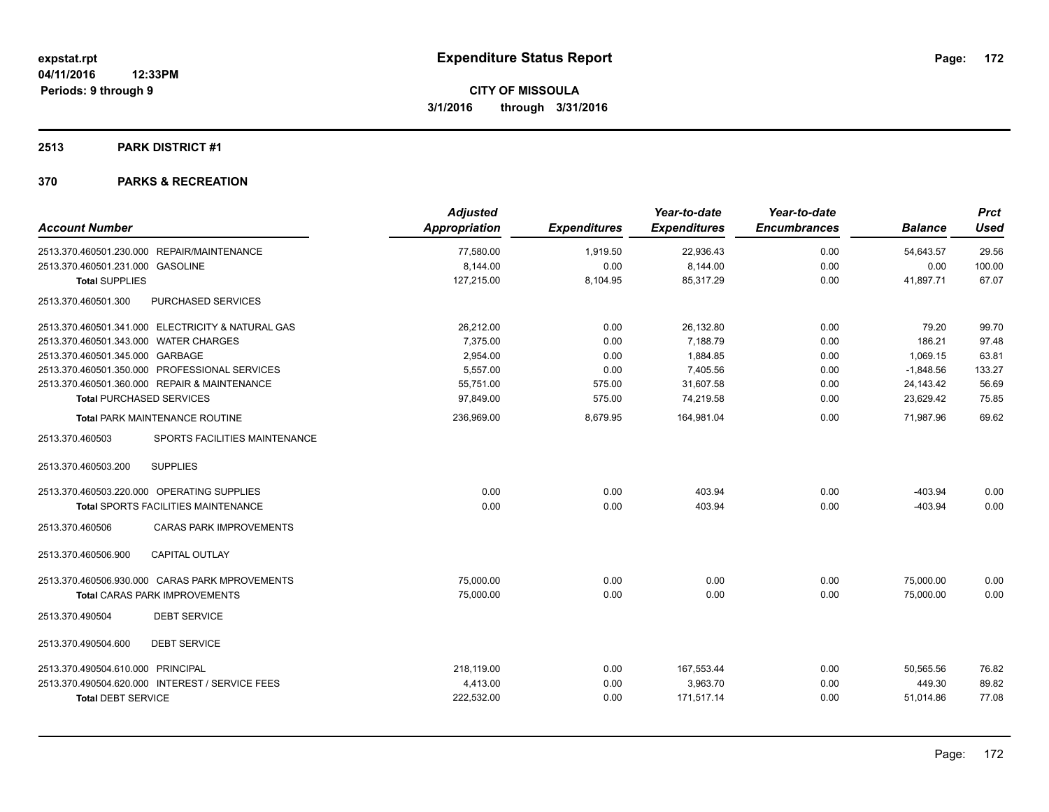#### **2513 PARK DISTRICT #1**

|                                                   | <b>Adjusted</b> |                     | Year-to-date        | Year-to-date        |                | <b>Prct</b> |
|---------------------------------------------------|-----------------|---------------------|---------------------|---------------------|----------------|-------------|
| <b>Account Number</b>                             | Appropriation   | <b>Expenditures</b> | <b>Expenditures</b> | <b>Encumbrances</b> | <b>Balance</b> | <b>Used</b> |
| 2513.370.460501.230.000 REPAIR/MAINTENANCE        | 77,580.00       | 1,919.50            | 22,936.43           | 0.00                | 54,643.57      | 29.56       |
| 2513.370.460501.231.000 GASOLINE                  | 8,144.00        | 0.00                | 8,144.00            | 0.00                | 0.00           | 100.00      |
| <b>Total SUPPLIES</b>                             | 127,215.00      | 8,104.95            | 85,317.29           | 0.00                | 41,897.71      | 67.07       |
| 2513.370.460501.300<br>PURCHASED SERVICES         |                 |                     |                     |                     |                |             |
| 2513.370.460501.341.000 ELECTRICITY & NATURAL GAS | 26,212.00       | 0.00                | 26,132.80           | 0.00                | 79.20          | 99.70       |
| 2513.370.460501.343.000 WATER CHARGES             | 7,375.00        | 0.00                | 7,188.79            | 0.00                | 186.21         | 97.48       |
| 2513.370.460501.345.000 GARBAGE                   | 2,954.00        | 0.00                | 1,884.85            | 0.00                | 1,069.15       | 63.81       |
| 2513.370.460501.350.000 PROFESSIONAL SERVICES     | 5,557.00        | 0.00                | 7,405.56            | 0.00                | $-1,848.56$    | 133.27      |
| 2513.370.460501.360.000 REPAIR & MAINTENANCE      | 55,751.00       | 575.00              | 31,607.58           | 0.00                | 24,143.42      | 56.69       |
| <b>Total PURCHASED SERVICES</b>                   | 97,849.00       | 575.00              | 74,219.58           | 0.00                | 23,629.42      | 75.85       |
| <b>Total PARK MAINTENANCE ROUTINE</b>             | 236,969.00      | 8,679.95            | 164,981.04          | 0.00                | 71.987.96      | 69.62       |
| SPORTS FACILITIES MAINTENANCE<br>2513.370.460503  |                 |                     |                     |                     |                |             |
| 2513.370.460503.200<br><b>SUPPLIES</b>            |                 |                     |                     |                     |                |             |
| 2513.370.460503.220.000 OPERATING SUPPLIES        | 0.00            | 0.00                | 403.94              | 0.00                | $-403.94$      | 0.00        |
| <b>Total SPORTS FACILITIES MAINTENANCE</b>        | 0.00            | 0.00                | 403.94              | 0.00                | $-403.94$      | 0.00        |
| <b>CARAS PARK IMPROVEMENTS</b><br>2513.370.460506 |                 |                     |                     |                     |                |             |
| <b>CAPITAL OUTLAY</b><br>2513.370.460506.900      |                 |                     |                     |                     |                |             |
| 2513.370.460506.930.000 CARAS PARK MPROVEMENTS    | 75,000.00       | 0.00                | 0.00                | 0.00                | 75,000.00      | 0.00        |
| Total CARAS PARK IMPROVEMENTS                     | 75,000.00       | 0.00                | 0.00                | 0.00                | 75.000.00      | 0.00        |
| <b>DEBT SERVICE</b><br>2513.370.490504            |                 |                     |                     |                     |                |             |
| <b>DEBT SERVICE</b><br>2513.370.490504.600        |                 |                     |                     |                     |                |             |
| 2513.370.490504.610.000 PRINCIPAL                 | 218,119.00      | 0.00                | 167,553.44          | 0.00                | 50,565.56      | 76.82       |
| 2513.370.490504.620.000 INTEREST / SERVICE FEES   | 4,413.00        | 0.00                | 3,963.70            | 0.00                | 449.30         | 89.82       |
| <b>Total DEBT SERVICE</b>                         | 222,532.00      | 0.00                | 171,517.14          | 0.00                | 51,014.86      | 77.08       |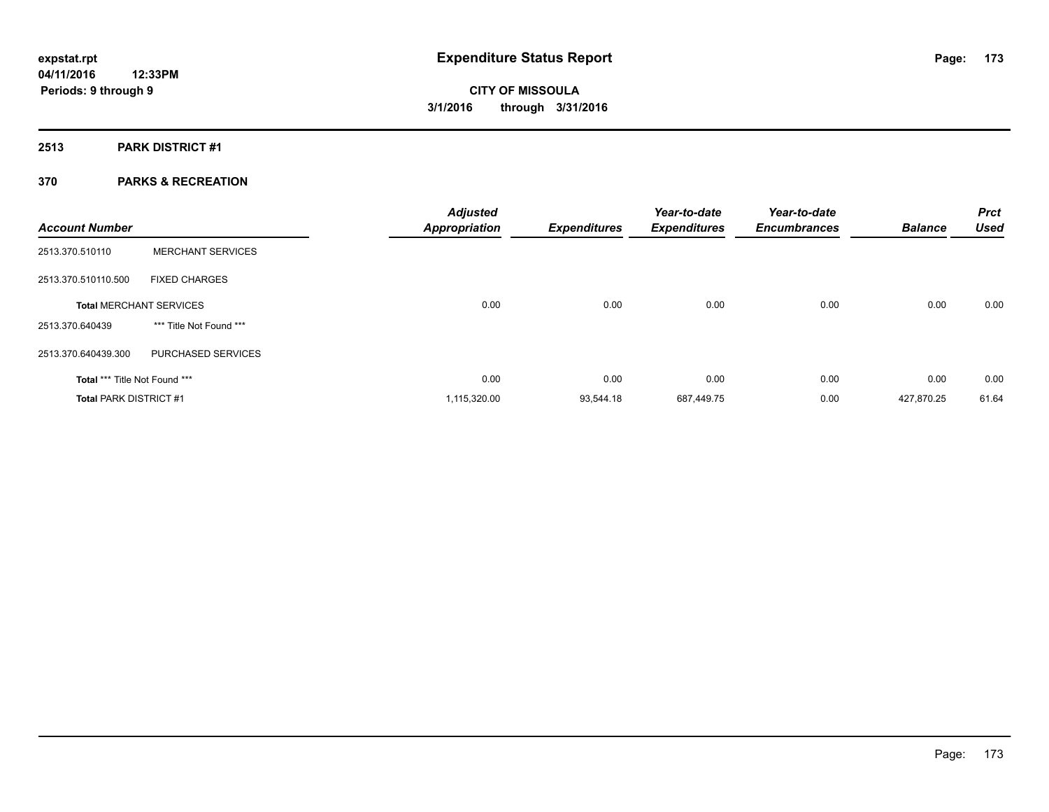#### **2513 PARK DISTRICT #1**

| <b>Account Number</b>                |                                | <b>Adjusted</b><br><b>Appropriation</b> | <b>Expenditures</b> | Year-to-date<br><b>Expenditures</b> | Year-to-date<br><b>Encumbrances</b> | <b>Balance</b> | <b>Prct</b><br><b>Used</b> |
|--------------------------------------|--------------------------------|-----------------------------------------|---------------------|-------------------------------------|-------------------------------------|----------------|----------------------------|
| 2513.370.510110                      | <b>MERCHANT SERVICES</b>       |                                         |                     |                                     |                                     |                |                            |
| 2513.370.510110.500                  | <b>FIXED CHARGES</b>           |                                         |                     |                                     |                                     |                |                            |
|                                      | <b>Total MERCHANT SERVICES</b> | 0.00                                    | 0.00                | 0.00                                | 0.00                                | 0.00           | 0.00                       |
| 2513.370.640439                      | *** Title Not Found ***        |                                         |                     |                                     |                                     |                |                            |
| 2513.370.640439.300                  | PURCHASED SERVICES             |                                         |                     |                                     |                                     |                |                            |
| <b>Total *** Title Not Found ***</b> |                                | 0.00                                    | 0.00                | 0.00                                | 0.00                                | 0.00           | 0.00                       |
| <b>Total PARK DISTRICT #1</b>        |                                | 1,115,320.00                            | 93.544.18           | 687.449.75                          | 0.00                                | 427.870.25     | 61.64                      |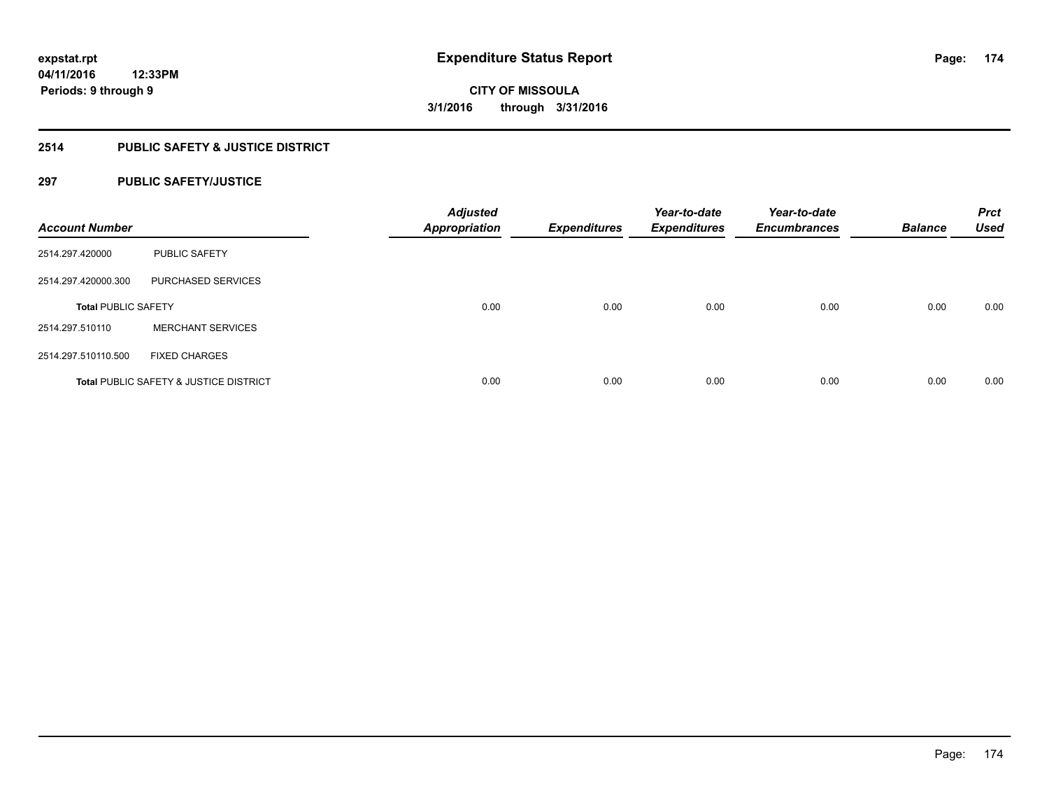### **2514 PUBLIC SAFETY & JUSTICE DISTRICT**

#### **297 PUBLIC SAFETY/JUSTICE**

| <b>Account Number</b>      |                                                   | <b>Adjusted</b><br><b>Appropriation</b> | <b>Expenditures</b> | Year-to-date<br><b>Expenditures</b> | Year-to-date<br><b>Encumbrances</b> | <b>Balance</b> | <b>Prct</b><br><b>Used</b> |
|----------------------------|---------------------------------------------------|-----------------------------------------|---------------------|-------------------------------------|-------------------------------------|----------------|----------------------------|
| 2514.297.420000            | <b>PUBLIC SAFETY</b>                              |                                         |                     |                                     |                                     |                |                            |
| 2514.297.420000.300        | <b>PURCHASED SERVICES</b>                         |                                         |                     |                                     |                                     |                |                            |
| <b>Total PUBLIC SAFETY</b> |                                                   | 0.00                                    | 0.00                | 0.00                                | 0.00                                | 0.00           | 0.00                       |
| 2514.297.510110            | <b>MERCHANT SERVICES</b>                          |                                         |                     |                                     |                                     |                |                            |
| 2514.297.510110.500        | <b>FIXED CHARGES</b>                              |                                         |                     |                                     |                                     |                |                            |
|                            | <b>Total PUBLIC SAFETY &amp; JUSTICE DISTRICT</b> | 0.00                                    | 0.00                | 0.00                                | 0.00                                | 0.00           | 0.00                       |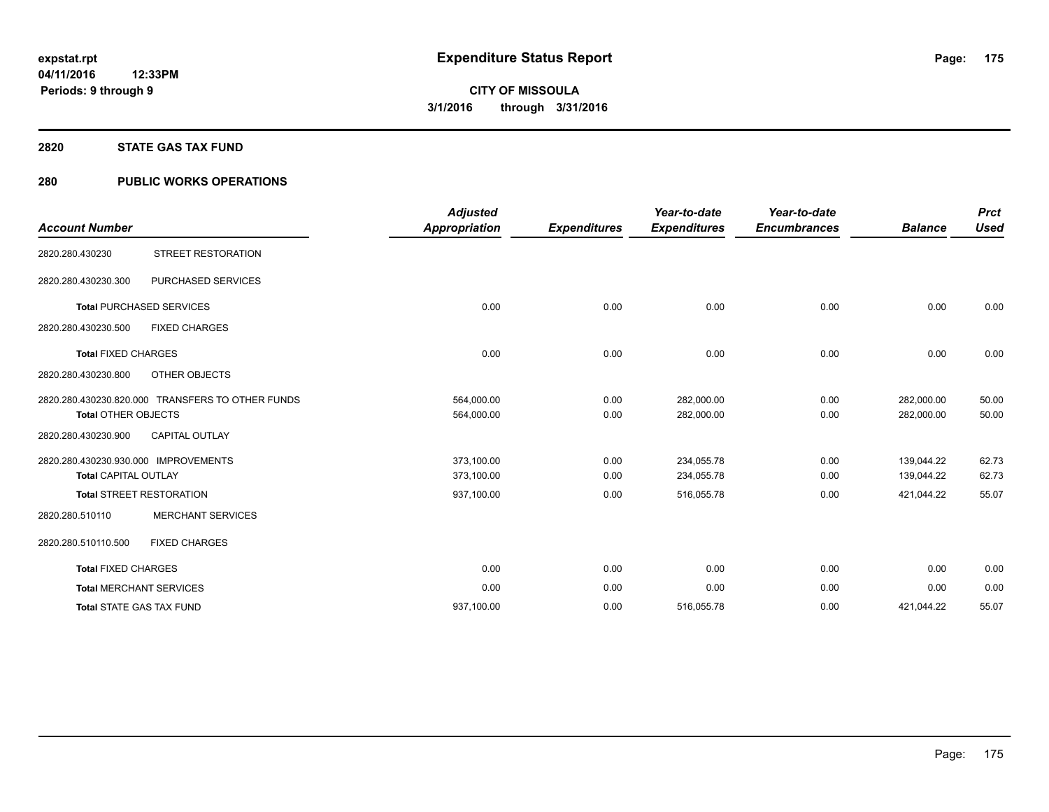#### **2820 STATE GAS TAX FUND**

#### **280 PUBLIC WORKS OPERATIONS**

| <b>Account Number</b>                                                          | <b>Adjusted</b><br><b>Appropriation</b> | <b>Expenditures</b> | Year-to-date<br><b>Expenditures</b> | Year-to-date<br><b>Encumbrances</b> | <b>Balance</b>           | <b>Prct</b><br><b>Used</b> |
|--------------------------------------------------------------------------------|-----------------------------------------|---------------------|-------------------------------------|-------------------------------------|--------------------------|----------------------------|
| STREET RESTORATION<br>2820.280.430230                                          |                                         |                     |                                     |                                     |                          |                            |
| PURCHASED SERVICES<br>2820.280.430230.300                                      |                                         |                     |                                     |                                     |                          |                            |
| <b>Total PURCHASED SERVICES</b>                                                | 0.00                                    | 0.00                | 0.00                                | 0.00                                | 0.00                     | 0.00                       |
| 2820.280.430230.500<br><b>FIXED CHARGES</b>                                    |                                         |                     |                                     |                                     |                          |                            |
| <b>Total FIXED CHARGES</b>                                                     | 0.00                                    | 0.00                | 0.00                                | 0.00                                | 0.00                     | 0.00                       |
| 2820.280.430230.800<br>OTHER OBJECTS                                           |                                         |                     |                                     |                                     |                          |                            |
| 2820.280.430230.820.000 TRANSFERS TO OTHER FUNDS<br><b>Total OTHER OBJECTS</b> | 564,000.00<br>564,000.00                | 0.00<br>0.00        | 282,000.00<br>282,000.00            | 0.00<br>0.00                        | 282,000.00<br>282,000.00 | 50.00<br>50.00             |
| 2820.280.430230.900<br><b>CAPITAL OUTLAY</b>                                   |                                         |                     |                                     |                                     |                          |                            |
| 2820.280.430230.930.000 IMPROVEMENTS<br><b>Total CAPITAL OUTLAY</b>            | 373,100.00<br>373,100.00                | 0.00<br>0.00        | 234,055.78<br>234,055.78            | 0.00<br>0.00                        | 139,044.22<br>139,044.22 | 62.73<br>62.73             |
| <b>Total STREET RESTORATION</b>                                                | 937,100.00                              | 0.00                | 516,055.78                          | 0.00                                | 421,044.22               | 55.07                      |
| <b>MERCHANT SERVICES</b><br>2820.280.510110                                    |                                         |                     |                                     |                                     |                          |                            |
| <b>FIXED CHARGES</b><br>2820.280.510110.500                                    |                                         |                     |                                     |                                     |                          |                            |
| <b>Total FIXED CHARGES</b>                                                     | 0.00                                    | 0.00                | 0.00                                | 0.00                                | 0.00                     | 0.00                       |
| <b>Total MERCHANT SERVICES</b>                                                 | 0.00                                    | 0.00                | 0.00                                | 0.00                                | 0.00                     | 0.00                       |
| <b>Total STATE GAS TAX FUND</b>                                                | 937,100.00                              | 0.00                | 516,055.78                          | 0.00                                | 421,044.22               | 55.07                      |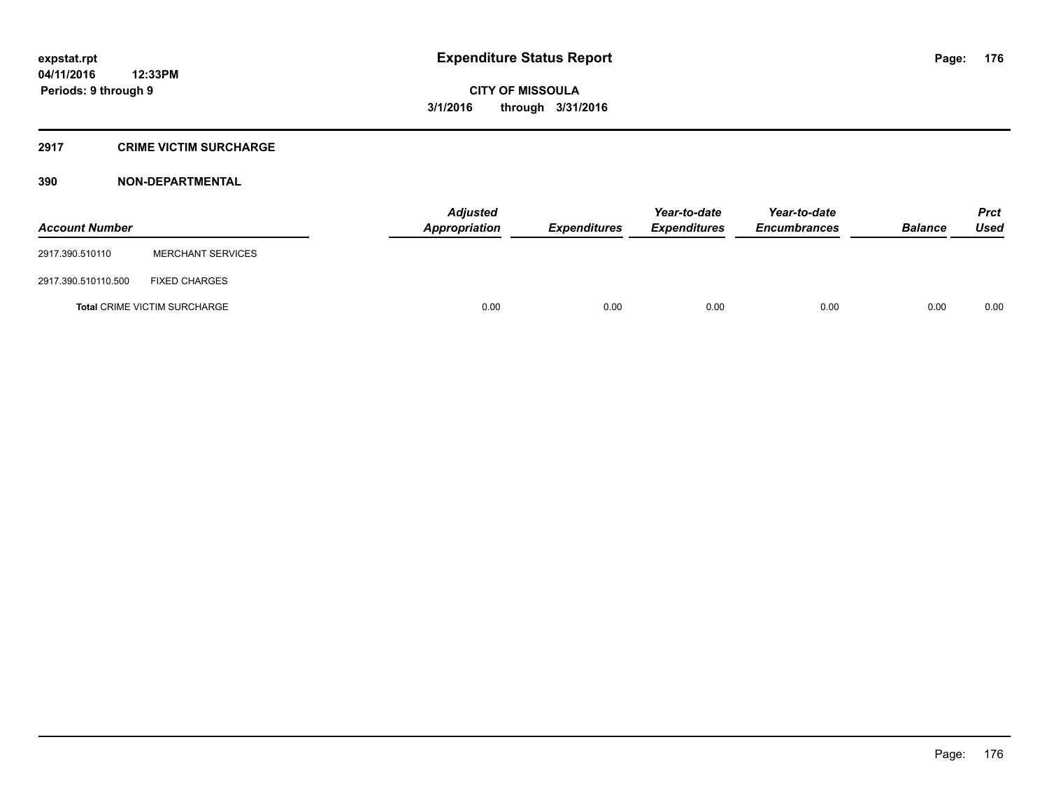#### **2917 CRIME VICTIM SURCHARGE**

| <b>Account Number</b> |                                     | <b>Adjusted</b><br>Appropriation | <b>Expenditures</b> | Year-to-date<br><b>Expenditures</b> | Year-to-date<br><b>Encumbrances</b> | <b>Balance</b> | <b>Prct</b><br><b>Used</b> |
|-----------------------|-------------------------------------|----------------------------------|---------------------|-------------------------------------|-------------------------------------|----------------|----------------------------|
| 2917.390.510110       | <b>MERCHANT SERVICES</b>            |                                  |                     |                                     |                                     |                |                            |
| 2917.390.510110.500   | <b>FIXED CHARGES</b>                |                                  |                     |                                     |                                     |                |                            |
|                       | <b>Total CRIME VICTIM SURCHARGE</b> | 0.00                             | 0.00                | 0.00                                | 0.00                                | 0.00           | 0.00                       |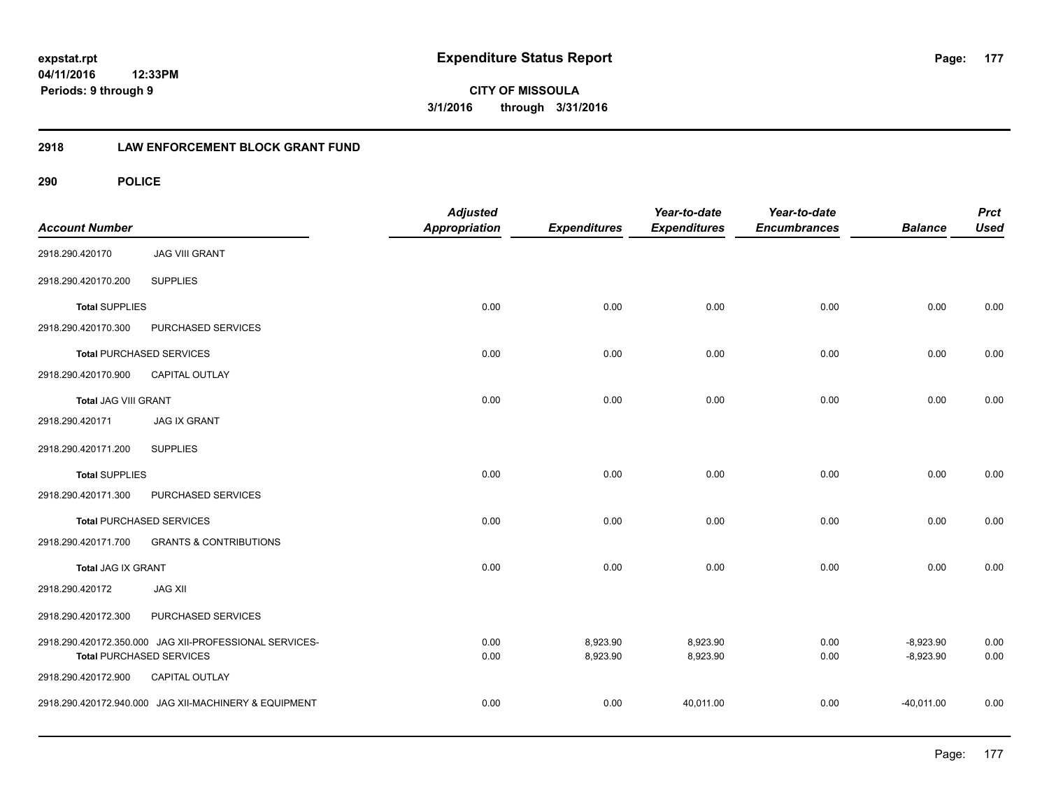**CITY OF MISSOULA 3/1/2016 through 3/31/2016**

#### **2918 LAW ENFORCEMENT BLOCK GRANT FUND**

| <b>Account Number</b>       |                                                                                           | <b>Adjusted</b><br>Appropriation | <b>Expenditures</b>  | Year-to-date<br><b>Expenditures</b> | Year-to-date<br><b>Encumbrances</b> | <b>Balance</b>             | <b>Prct</b><br><b>Used</b> |
|-----------------------------|-------------------------------------------------------------------------------------------|----------------------------------|----------------------|-------------------------------------|-------------------------------------|----------------------------|----------------------------|
| 2918.290.420170             | <b>JAG VIII GRANT</b>                                                                     |                                  |                      |                                     |                                     |                            |                            |
| 2918.290.420170.200         | <b>SUPPLIES</b>                                                                           |                                  |                      |                                     |                                     |                            |                            |
| <b>Total SUPPLIES</b>       |                                                                                           | 0.00                             | 0.00                 | 0.00                                | 0.00                                | 0.00                       | 0.00                       |
| 2918.290.420170.300         | PURCHASED SERVICES                                                                        |                                  |                      |                                     |                                     |                            |                            |
|                             | <b>Total PURCHASED SERVICES</b>                                                           | 0.00                             | 0.00                 | 0.00                                | 0.00                                | 0.00                       | 0.00                       |
| 2918.290.420170.900         | <b>CAPITAL OUTLAY</b>                                                                     |                                  |                      |                                     |                                     |                            |                            |
| <b>Total JAG VIII GRANT</b> |                                                                                           | 0.00                             | 0.00                 | 0.00                                | 0.00                                | 0.00                       | 0.00                       |
| 2918.290.420171             | <b>JAG IX GRANT</b>                                                                       |                                  |                      |                                     |                                     |                            |                            |
| 2918.290.420171.200         | <b>SUPPLIES</b>                                                                           |                                  |                      |                                     |                                     |                            |                            |
| <b>Total SUPPLIES</b>       |                                                                                           | 0.00                             | 0.00                 | 0.00                                | 0.00                                | 0.00                       | 0.00                       |
| 2918.290.420171.300         | PURCHASED SERVICES                                                                        |                                  |                      |                                     |                                     |                            |                            |
|                             | <b>Total PURCHASED SERVICES</b>                                                           | 0.00                             | 0.00                 | 0.00                                | 0.00                                | 0.00                       | 0.00                       |
| 2918.290.420171.700         | <b>GRANTS &amp; CONTRIBUTIONS</b>                                                         |                                  |                      |                                     |                                     |                            |                            |
| Total JAG IX GRANT          |                                                                                           | 0.00                             | 0.00                 | 0.00                                | 0.00                                | 0.00                       | 0.00                       |
| 2918.290.420172             | <b>JAG XII</b>                                                                            |                                  |                      |                                     |                                     |                            |                            |
| 2918.290.420172.300         | PURCHASED SERVICES                                                                        |                                  |                      |                                     |                                     |                            |                            |
|                             | 2918.290.420172.350.000 JAG XII-PROFESSIONAL SERVICES-<br><b>Total PURCHASED SERVICES</b> | 0.00<br>0.00                     | 8,923.90<br>8,923.90 | 8,923.90<br>8,923.90                | 0.00<br>0.00                        | $-8,923.90$<br>$-8,923.90$ | 0.00<br>0.00               |
| 2918.290.420172.900         | CAPITAL OUTLAY                                                                            |                                  |                      |                                     |                                     |                            |                            |
|                             | 2918.290.420172.940.000 JAG XII-MACHINERY & EQUIPMENT                                     | 0.00                             | 0.00                 | 40,011.00                           | 0.00                                | $-40,011.00$               | 0.00                       |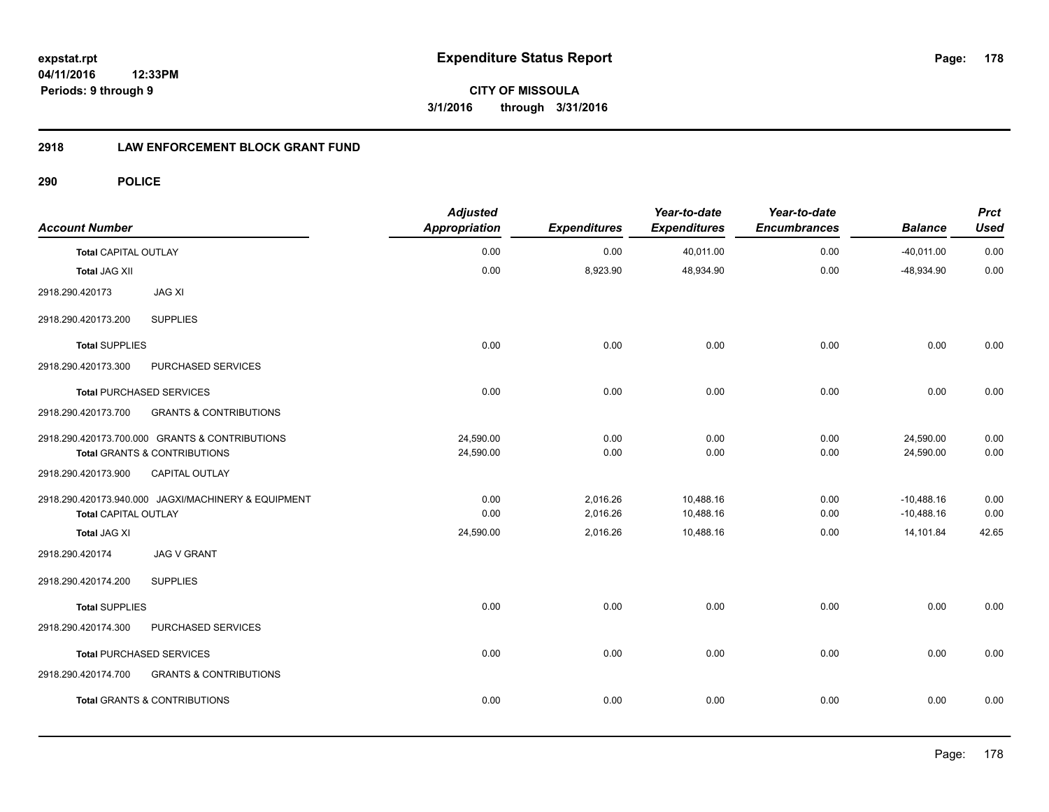**CITY OF MISSOULA 3/1/2016 through 3/31/2016**

### **2918 LAW ENFORCEMENT BLOCK GRANT FUND**

| <b>Account Number</b>                              |                                                                                | <b>Adjusted</b><br><b>Appropriation</b> | <b>Expenditures</b>  | Year-to-date<br><b>Expenditures</b> | Year-to-date<br><b>Encumbrances</b> | <b>Balance</b>            | <b>Prct</b><br><b>Used</b> |
|----------------------------------------------------|--------------------------------------------------------------------------------|-----------------------------------------|----------------------|-------------------------------------|-------------------------------------|---------------------------|----------------------------|
| <b>Total CAPITAL OUTLAY</b>                        |                                                                                | 0.00                                    | 0.00                 | 40,011.00                           | 0.00                                | $-40,011.00$              | 0.00                       |
| <b>Total JAG XII</b>                               |                                                                                | 0.00                                    | 8,923.90             | 48,934.90                           | 0.00                                | $-48,934.90$              | 0.00                       |
| 2918.290.420173                                    | <b>JAG XI</b>                                                                  |                                         |                      |                                     |                                     |                           |                            |
| 2918.290.420173.200                                | <b>SUPPLIES</b>                                                                |                                         |                      |                                     |                                     |                           |                            |
| <b>Total SUPPLIES</b>                              |                                                                                | 0.00                                    | 0.00                 | 0.00                                | 0.00                                | 0.00                      | 0.00                       |
| 2918.290.420173.300                                | PURCHASED SERVICES                                                             |                                         |                      |                                     |                                     |                           |                            |
|                                                    | <b>Total PURCHASED SERVICES</b>                                                | 0.00                                    | 0.00                 | 0.00                                | 0.00                                | 0.00                      | 0.00                       |
| 2918.290.420173.700                                | <b>GRANTS &amp; CONTRIBUTIONS</b>                                              |                                         |                      |                                     |                                     |                           |                            |
|                                                    | 2918.290.420173.700.000 GRANTS & CONTRIBUTIONS<br>Total GRANTS & CONTRIBUTIONS | 24,590.00<br>24,590.00                  | 0.00<br>0.00         | 0.00<br>0.00                        | 0.00<br>0.00                        | 24,590.00<br>24,590.00    | 0.00<br>0.00               |
| 2918.290.420173.900                                | <b>CAPITAL OUTLAY</b>                                                          |                                         |                      |                                     |                                     |                           |                            |
|                                                    | 2918.290.420173.940.000 JAGXI/MACHINERY & EQUIPMENT                            | 0.00                                    | 2,016.26             | 10,488.16                           | 0.00                                | $-10,488.16$              | 0.00                       |
| <b>Total CAPITAL OUTLAY</b><br><b>Total JAG XI</b> |                                                                                | 0.00<br>24,590.00                       | 2,016.26<br>2,016.26 | 10,488.16<br>10,488.16              | 0.00<br>0.00                        | $-10,488.16$<br>14,101.84 | 0.00<br>42.65              |
| 2918.290.420174                                    | <b>JAG V GRANT</b>                                                             |                                         |                      |                                     |                                     |                           |                            |
| 2918.290.420174.200                                | <b>SUPPLIES</b>                                                                |                                         |                      |                                     |                                     |                           |                            |
| <b>Total SUPPLIES</b>                              |                                                                                | 0.00                                    | 0.00                 | 0.00                                | 0.00                                | 0.00                      | 0.00                       |
| 2918.290.420174.300                                | PURCHASED SERVICES                                                             |                                         |                      |                                     |                                     |                           |                            |
|                                                    | <b>Total PURCHASED SERVICES</b>                                                | 0.00                                    | 0.00                 | 0.00                                | 0.00                                | 0.00                      | 0.00                       |
| 2918.290.420174.700                                | <b>GRANTS &amp; CONTRIBUTIONS</b>                                              |                                         |                      |                                     |                                     |                           |                            |
|                                                    | <b>Total GRANTS &amp; CONTRIBUTIONS</b>                                        | 0.00                                    | 0.00                 | 0.00                                | 0.00                                | 0.00                      | 0.00                       |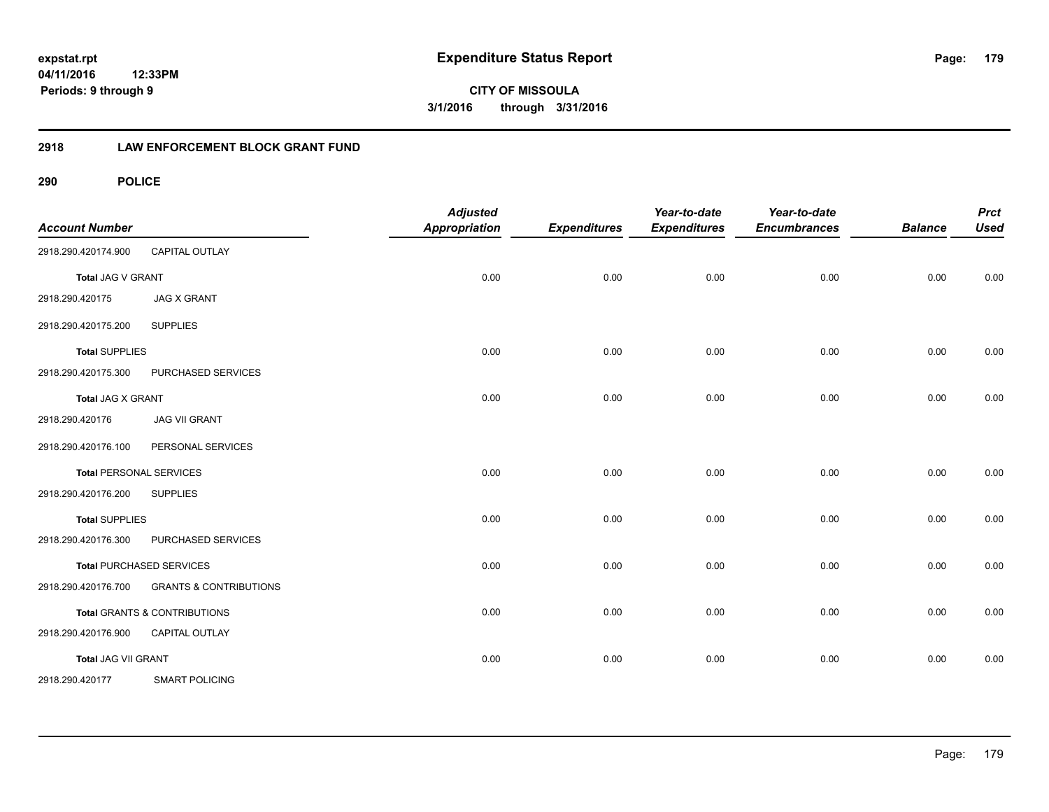**CITY OF MISSOULA 3/1/2016 through 3/31/2016**

#### **2918 LAW ENFORCEMENT BLOCK GRANT FUND**

| <b>Account Number</b> |                                         | <b>Adjusted</b><br><b>Appropriation</b> | <b>Expenditures</b> | Year-to-date<br><b>Expenditures</b> | Year-to-date<br><b>Encumbrances</b> | <b>Balance</b> | <b>Prct</b><br><b>Used</b> |
|-----------------------|-----------------------------------------|-----------------------------------------|---------------------|-------------------------------------|-------------------------------------|----------------|----------------------------|
| 2918.290.420174.900   | CAPITAL OUTLAY                          |                                         |                     |                                     |                                     |                |                            |
| Total JAG V GRANT     |                                         | 0.00                                    | 0.00                | 0.00                                | 0.00                                | 0.00           | 0.00                       |
| 2918.290.420175       | <b>JAG X GRANT</b>                      |                                         |                     |                                     |                                     |                |                            |
| 2918.290.420175.200   | <b>SUPPLIES</b>                         |                                         |                     |                                     |                                     |                |                            |
| <b>Total SUPPLIES</b> |                                         | 0.00                                    | 0.00                | 0.00                                | 0.00                                | 0.00           | 0.00                       |
| 2918.290.420175.300   | PURCHASED SERVICES                      |                                         |                     |                                     |                                     |                |                            |
| Total JAG X GRANT     |                                         | 0.00                                    | 0.00                | 0.00                                | 0.00                                | 0.00           | 0.00                       |
| 2918.290.420176       | <b>JAG VII GRANT</b>                    |                                         |                     |                                     |                                     |                |                            |
| 2918.290.420176.100   | PERSONAL SERVICES                       |                                         |                     |                                     |                                     |                |                            |
|                       | <b>Total PERSONAL SERVICES</b>          | 0.00                                    | 0.00                | 0.00                                | 0.00                                | 0.00           | 0.00                       |
| 2918.290.420176.200   | <b>SUPPLIES</b>                         |                                         |                     |                                     |                                     |                |                            |
| <b>Total SUPPLIES</b> |                                         | 0.00                                    | 0.00                | 0.00                                | 0.00                                | 0.00           | 0.00                       |
| 2918.290.420176.300   | PURCHASED SERVICES                      |                                         |                     |                                     |                                     |                |                            |
|                       | <b>Total PURCHASED SERVICES</b>         | 0.00                                    | 0.00                | 0.00                                | 0.00                                | 0.00           | 0.00                       |
| 2918.290.420176.700   | <b>GRANTS &amp; CONTRIBUTIONS</b>       |                                         |                     |                                     |                                     |                |                            |
|                       | <b>Total GRANTS &amp; CONTRIBUTIONS</b> | 0.00                                    | 0.00                | 0.00                                | 0.00                                | 0.00           | 0.00                       |
| 2918.290.420176.900   | <b>CAPITAL OUTLAY</b>                   |                                         |                     |                                     |                                     |                |                            |
| Total JAG VII GRANT   |                                         | 0.00                                    | 0.00                | 0.00                                | 0.00                                | 0.00           | 0.00                       |
| 2918.290.420177       | <b>SMART POLICING</b>                   |                                         |                     |                                     |                                     |                |                            |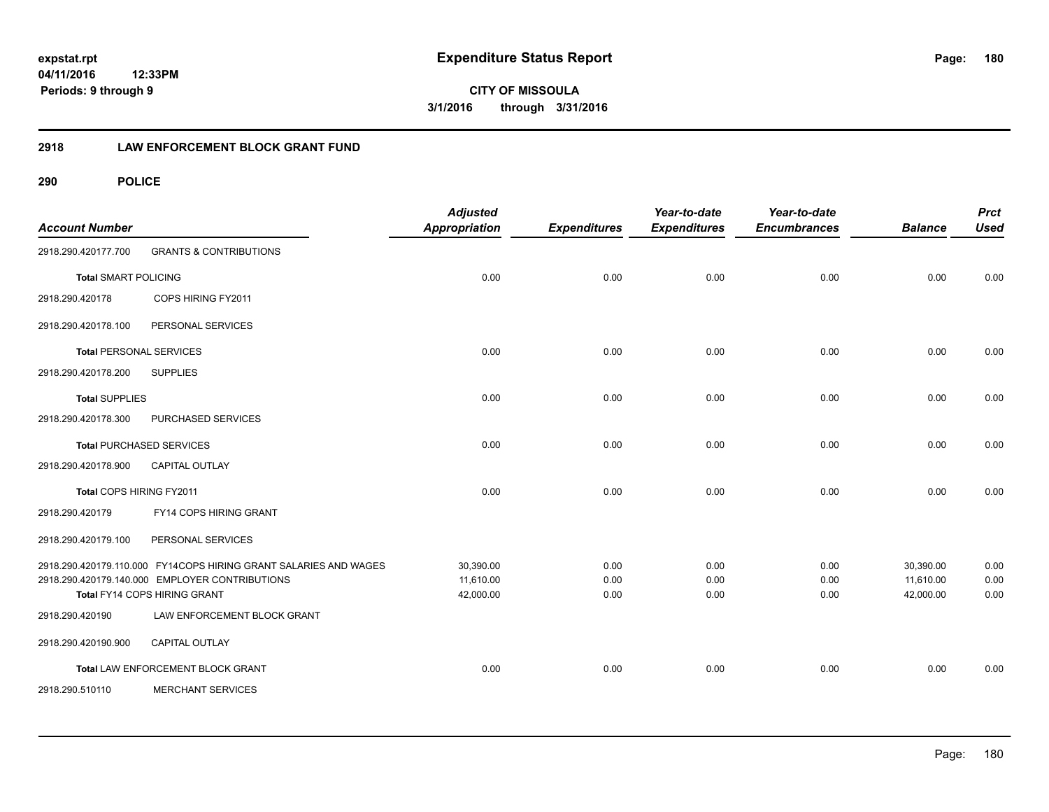**CITY OF MISSOULA 3/1/2016 through 3/31/2016**

#### **2918 LAW ENFORCEMENT BLOCK GRANT FUND**

| <b>Account Number</b>          |                                                                                                                                                    | <b>Adjusted</b><br><b>Appropriation</b> | <b>Expenditures</b>  | Year-to-date<br><b>Expenditures</b> | Year-to-date<br><b>Encumbrances</b> | <b>Balance</b>                      | <b>Prct</b><br><b>Used</b> |
|--------------------------------|----------------------------------------------------------------------------------------------------------------------------------------------------|-----------------------------------------|----------------------|-------------------------------------|-------------------------------------|-------------------------------------|----------------------------|
| 2918.290.420177.700            | <b>GRANTS &amp; CONTRIBUTIONS</b>                                                                                                                  |                                         |                      |                                     |                                     |                                     |                            |
| <b>Total SMART POLICING</b>    |                                                                                                                                                    | 0.00                                    | 0.00                 | 0.00                                | 0.00                                | 0.00                                | 0.00                       |
| 2918.290.420178                | COPS HIRING FY2011                                                                                                                                 |                                         |                      |                                     |                                     |                                     |                            |
| 2918.290.420178.100            | PERSONAL SERVICES                                                                                                                                  |                                         |                      |                                     |                                     |                                     |                            |
| <b>Total PERSONAL SERVICES</b> |                                                                                                                                                    | 0.00                                    | 0.00                 | 0.00                                | 0.00                                | 0.00                                | 0.00                       |
| 2918.290.420178.200            | <b>SUPPLIES</b>                                                                                                                                    |                                         |                      |                                     |                                     |                                     |                            |
| <b>Total SUPPLIES</b>          |                                                                                                                                                    | 0.00                                    | 0.00                 | 0.00                                | 0.00                                | 0.00                                | 0.00                       |
| 2918.290.420178.300            | PURCHASED SERVICES                                                                                                                                 |                                         |                      |                                     |                                     |                                     |                            |
|                                | <b>Total PURCHASED SERVICES</b>                                                                                                                    | 0.00                                    | 0.00                 | 0.00                                | 0.00                                | 0.00                                | 0.00                       |
| 2918.290.420178.900            | <b>CAPITAL OUTLAY</b>                                                                                                                              |                                         |                      |                                     |                                     |                                     |                            |
| Total COPS HIRING FY2011       |                                                                                                                                                    | 0.00                                    | 0.00                 | 0.00                                | 0.00                                | 0.00                                | 0.00                       |
| 2918.290.420179                | FY14 COPS HIRING GRANT                                                                                                                             |                                         |                      |                                     |                                     |                                     |                            |
| 2918.290.420179.100            | PERSONAL SERVICES                                                                                                                                  |                                         |                      |                                     |                                     |                                     |                            |
|                                | 2918.290.420179.110.000 FY14COPS HIRING GRANT SALARIES AND WAGES<br>2918.290.420179.140.000 EMPLOYER CONTRIBUTIONS<br>Total FY14 COPS HIRING GRANT | 30,390.00<br>11,610.00<br>42,000.00     | 0.00<br>0.00<br>0.00 | 0.00<br>0.00<br>0.00                | 0.00<br>0.00<br>0.00                | 30,390.00<br>11,610.00<br>42,000.00 | 0.00<br>0.00<br>0.00       |
| 2918.290.420190                | LAW ENFORCEMENT BLOCK GRANT                                                                                                                        |                                         |                      |                                     |                                     |                                     |                            |
| 2918.290.420190.900            | CAPITAL OUTLAY                                                                                                                                     |                                         |                      |                                     |                                     |                                     |                            |
|                                | Total LAW ENFORCEMENT BLOCK GRANT                                                                                                                  | 0.00                                    | 0.00                 | 0.00                                | 0.00                                | 0.00                                | 0.00                       |
| 2918.290.510110                | <b>MERCHANT SERVICES</b>                                                                                                                           |                                         |                      |                                     |                                     |                                     |                            |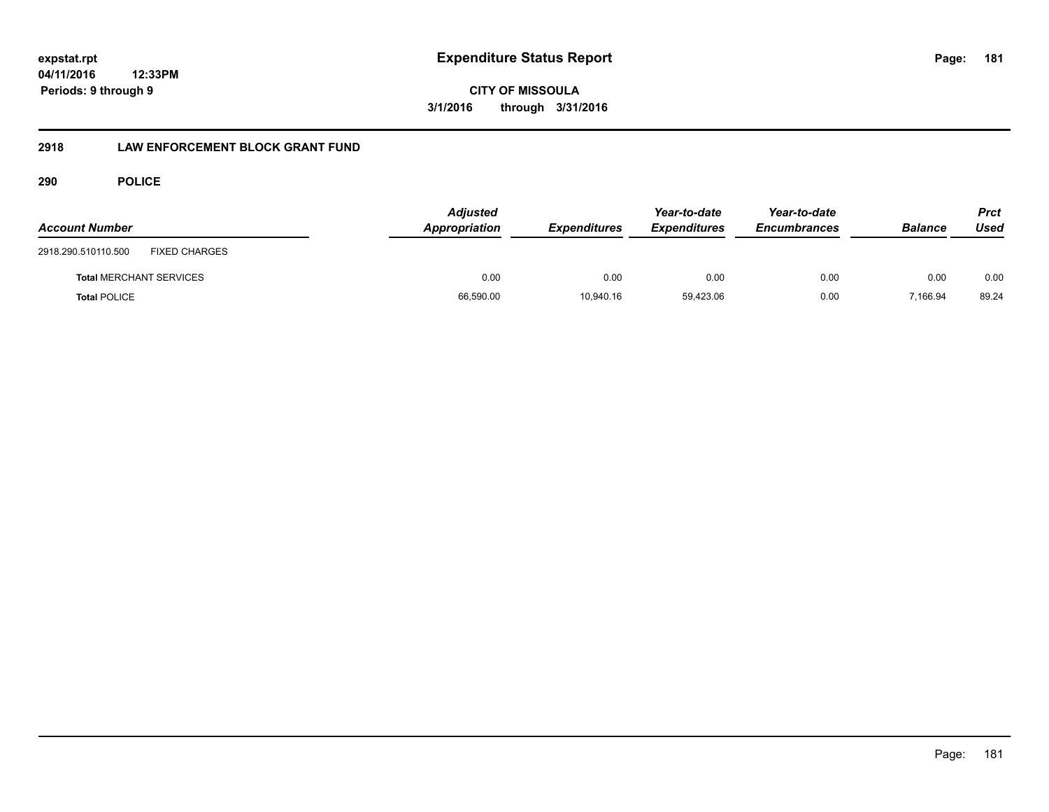**CITY OF MISSOULA 3/1/2016 through 3/31/2016**

# **2918 LAW ENFORCEMENT BLOCK GRANT FUND**

# **290 POLICE**

| <b>Account Number</b>                       | <b>Adjusted</b><br>Appropriation | <b>Expenditures</b> | Year-to-date<br><b>Expenditures</b> | Year-to-date<br><b>Encumbrances</b> | <b>Balance</b> | Prct<br>Used |
|---------------------------------------------|----------------------------------|---------------------|-------------------------------------|-------------------------------------|----------------|--------------|
| <b>FIXED CHARGES</b><br>2918.290.510110.500 |                                  |                     |                                     |                                     |                |              |
| <b>Total MERCHANT SERVICES</b>              | 0.00                             | 0.00                | 0.00                                | 0.00                                | 0.00           | 0.00         |
| <b>Total POLICE</b>                         | 66,590.00                        | 10.940.16           | 59,423.06                           | 0.00                                | 7,166.94       | 89.24        |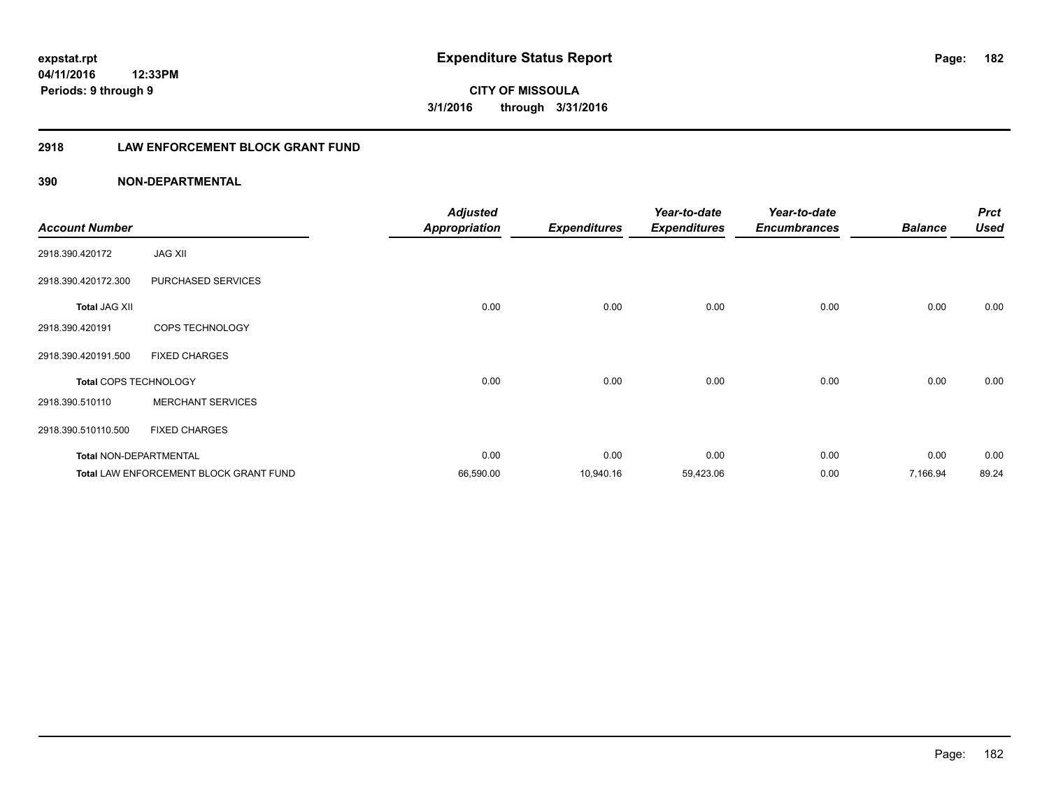**CITY OF MISSOULA 3/1/2016 through 3/31/2016**

# **2918 LAW ENFORCEMENT BLOCK GRANT FUND**

| <b>Account Number</b>         |                                               | <b>Adjusted</b><br><b>Appropriation</b> | <b>Expenditures</b> | Year-to-date<br><b>Expenditures</b> | Year-to-date<br><b>Encumbrances</b> | <b>Balance</b> | <b>Prct</b><br><b>Used</b> |
|-------------------------------|-----------------------------------------------|-----------------------------------------|---------------------|-------------------------------------|-------------------------------------|----------------|----------------------------|
| 2918.390.420172               | <b>JAG XII</b>                                |                                         |                     |                                     |                                     |                |                            |
| 2918.390.420172.300           | PURCHASED SERVICES                            |                                         |                     |                                     |                                     |                |                            |
| <b>Total JAG XII</b>          |                                               | 0.00                                    | 0.00                | 0.00                                | 0.00                                | 0.00           | 0.00                       |
| 2918.390.420191               | COPS TECHNOLOGY                               |                                         |                     |                                     |                                     |                |                            |
| 2918.390.420191.500           | <b>FIXED CHARGES</b>                          |                                         |                     |                                     |                                     |                |                            |
| <b>Total COPS TECHNOLOGY</b>  |                                               | 0.00                                    | 0.00                | 0.00                                | 0.00                                | 0.00           | 0.00                       |
| 2918.390.510110               | <b>MERCHANT SERVICES</b>                      |                                         |                     |                                     |                                     |                |                            |
| 2918.390.510110.500           | <b>FIXED CHARGES</b>                          |                                         |                     |                                     |                                     |                |                            |
| <b>Total NON-DEPARTMENTAL</b> |                                               | 0.00                                    | 0.00                | 0.00                                | 0.00                                | 0.00           | 0.00                       |
|                               | <b>Total LAW ENFORCEMENT BLOCK GRANT FUND</b> | 66,590.00                               | 10,940.16           | 59,423.06                           | 0.00                                | 7,166.94       | 89.24                      |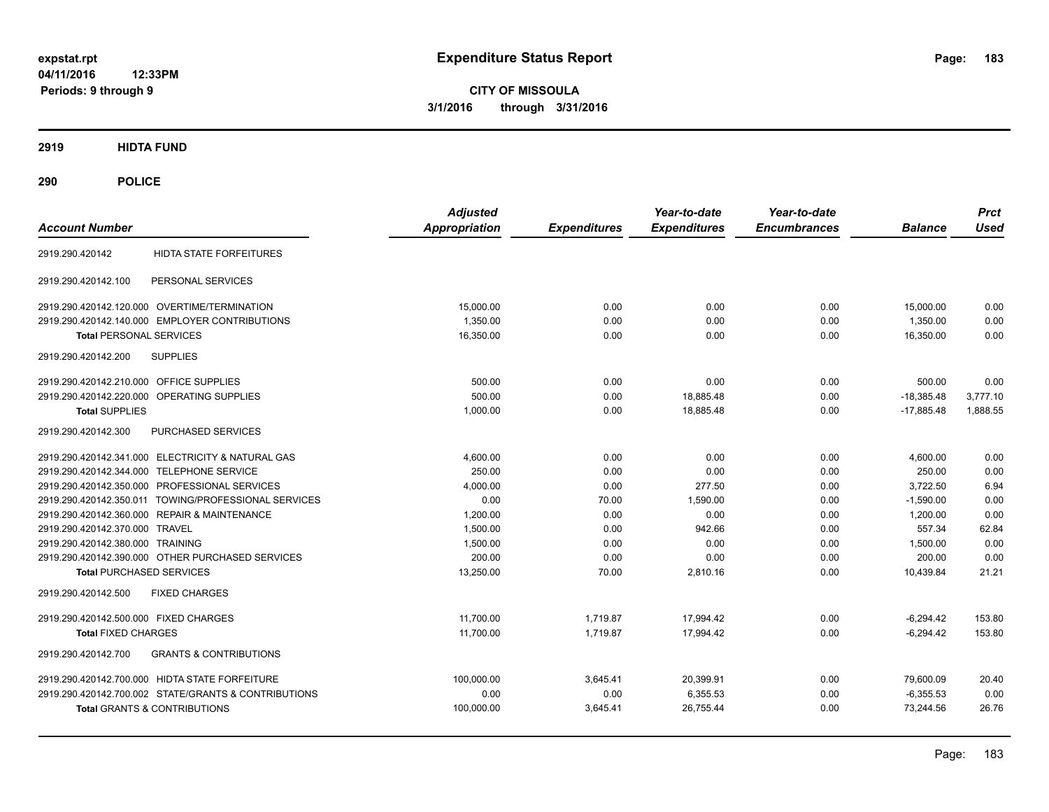**CITY OF MISSOULA 3/1/2016 through 3/31/2016**

**2919 HIDTA FUND**

**290 POLICE**

| <b>Account Number</b>                                    | <b>Adjusted</b><br><b>Appropriation</b> | <b>Expenditures</b> | Year-to-date<br><b>Expenditures</b> | Year-to-date<br><b>Encumbrances</b> | <b>Balance</b> | <b>Prct</b><br><b>Used</b> |
|----------------------------------------------------------|-----------------------------------------|---------------------|-------------------------------------|-------------------------------------|----------------|----------------------------|
| <b>HIDTA STATE FORFEITURES</b><br>2919.290.420142        |                                         |                     |                                     |                                     |                |                            |
| PERSONAL SERVICES<br>2919.290.420142.100                 |                                         |                     |                                     |                                     |                |                            |
| 2919.290.420142.120.000 OVERTIME/TERMINATION             | 15,000.00                               | 0.00                | 0.00                                | 0.00                                | 15,000.00      | 0.00                       |
| 2919.290.420142.140.000 EMPLOYER CONTRIBUTIONS           | 1,350.00                                | 0.00                | 0.00                                | 0.00                                | 1,350.00       | 0.00                       |
| <b>Total PERSONAL SERVICES</b>                           | 16,350.00                               | 0.00                | 0.00                                | 0.00                                | 16,350.00      | 0.00                       |
| 2919.290.420142.200<br><b>SUPPLIES</b>                   |                                         |                     |                                     |                                     |                |                            |
| 2919.290.420142.210.000 OFFICE SUPPLIES                  | 500.00                                  | 0.00                | 0.00                                | 0.00                                | 500.00         | 0.00                       |
| 2919.290.420142.220.000 OPERATING SUPPLIES               | 500.00                                  | 0.00                | 18,885.48                           | 0.00                                | $-18,385.48$   | 3,777.10                   |
| <b>Total SUPPLIES</b>                                    | 1,000.00                                | 0.00                | 18,885.48                           | 0.00                                | $-17.885.48$   | 1,888.55                   |
| PURCHASED SERVICES<br>2919.290.420142.300                |                                         |                     |                                     |                                     |                |                            |
| 2919.290.420142.341.000 ELECTRICITY & NATURAL GAS        | 4,600.00                                | 0.00                | 0.00                                | 0.00                                | 4,600.00       | 0.00                       |
| 2919.290.420142.344.000 TELEPHONE SERVICE                | 250.00                                  | 0.00                | 0.00                                | 0.00                                | 250.00         | 0.00                       |
| 2919.290.420142.350.000 PROFESSIONAL SERVICES            | 4,000.00                                | 0.00                | 277.50                              | 0.00                                | 3,722.50       | 6.94                       |
| 2919.290.420142.350.011 TOWING/PROFESSIONAL SERVICES     | 0.00                                    | 70.00               | 1,590.00                            | 0.00                                | $-1,590.00$    | 0.00                       |
| 2919.290.420142.360.000 REPAIR & MAINTENANCE             | 1,200.00                                | 0.00                | 0.00                                | 0.00                                | 1,200.00       | 0.00                       |
| 2919.290.420142.370.000 TRAVEL                           | 1,500.00                                | 0.00                | 942.66                              | 0.00                                | 557.34         | 62.84                      |
| 2919.290.420142.380.000 TRAINING                         | 1,500.00                                | 0.00                | 0.00                                | 0.00                                | 1,500.00       | 0.00                       |
| 2919.290.420142.390.000 OTHER PURCHASED SERVICES         | 200.00                                  | 0.00                | 0.00                                | 0.00                                | 200.00         | 0.00                       |
| <b>Total PURCHASED SERVICES</b>                          | 13,250.00                               | 70.00               | 2,810.16                            | 0.00                                | 10,439.84      | 21.21                      |
| 2919.290.420142.500<br><b>FIXED CHARGES</b>              |                                         |                     |                                     |                                     |                |                            |
| 2919.290.420142.500.000 FIXED CHARGES                    | 11.700.00                               | 1.719.87            | 17.994.42                           | 0.00                                | $-6.294.42$    | 153.80                     |
| <b>Total FIXED CHARGES</b>                               | 11.700.00                               | 1.719.87            | 17.994.42                           | 0.00                                | $-6.294.42$    | 153.80                     |
| <b>GRANTS &amp; CONTRIBUTIONS</b><br>2919.290.420142.700 |                                         |                     |                                     |                                     |                |                            |
| 2919.290.420142.700.000 HIDTA STATE FORFEITURE           | 100,000.00                              | 3,645.41            | 20,399.91                           | 0.00                                | 79,600.09      | 20.40                      |
| 2919.290.420142.700.002 STATE/GRANTS & CONTRIBUTIONS     | 0.00                                    | 0.00                | 6,355.53                            | 0.00                                | $-6,355.53$    | 0.00                       |
| Total GRANTS & CONTRIBUTIONS                             | 100,000.00                              | 3,645.41            | 26,755.44                           | 0.00                                | 73,244.56      | 26.76                      |
|                                                          |                                         |                     |                                     |                                     |                |                            |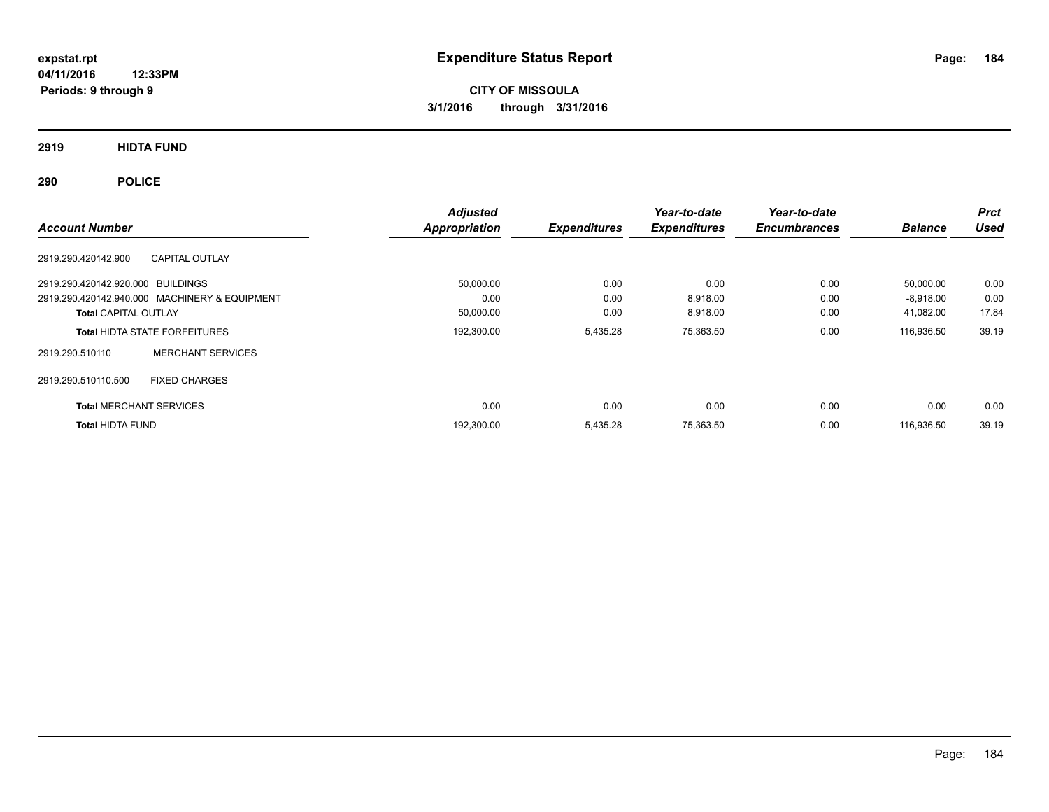**CITY OF MISSOULA 3/1/2016 through 3/31/2016**

**2919 HIDTA FUND**

**290 POLICE**

| <b>Account Number</b>             |                                               | <b>Adjusted</b><br>Appropriation | <b>Expenditures</b> | Year-to-date<br><b>Expenditures</b> | Year-to-date<br><b>Encumbrances</b> | <b>Balance</b> | <b>Prct</b><br><b>Used</b> |
|-----------------------------------|-----------------------------------------------|----------------------------------|---------------------|-------------------------------------|-------------------------------------|----------------|----------------------------|
| 2919.290.420142.900               | <b>CAPITAL OUTLAY</b>                         |                                  |                     |                                     |                                     |                |                            |
| 2919.290.420142.920.000 BUILDINGS |                                               | 50,000.00                        | 0.00                | 0.00                                | 0.00                                | 50,000.00      | 0.00                       |
|                                   | 2919.290.420142.940.000 MACHINERY & EQUIPMENT | 0.00                             | 0.00                | 8,918.00                            | 0.00                                | $-8,918.00$    | 0.00                       |
| <b>Total CAPITAL OUTLAY</b>       |                                               | 50,000.00                        | 0.00                | 8,918.00                            | 0.00                                | 41,082.00      | 17.84                      |
|                                   | <b>Total HIDTA STATE FORFEITURES</b>          | 192,300.00                       | 5,435.28            | 75,363.50                           | 0.00                                | 116,936.50     | 39.19                      |
| 2919.290.510110                   | <b>MERCHANT SERVICES</b>                      |                                  |                     |                                     |                                     |                |                            |
| 2919.290.510110.500               | <b>FIXED CHARGES</b>                          |                                  |                     |                                     |                                     |                |                            |
| <b>Total MERCHANT SERVICES</b>    |                                               | 0.00                             | 0.00                | 0.00                                | 0.00                                | 0.00           | 0.00                       |
| <b>Total HIDTA FUND</b>           |                                               | 192,300.00                       | 5,435.28            | 75.363.50                           | 0.00                                | 116.936.50     | 39.19                      |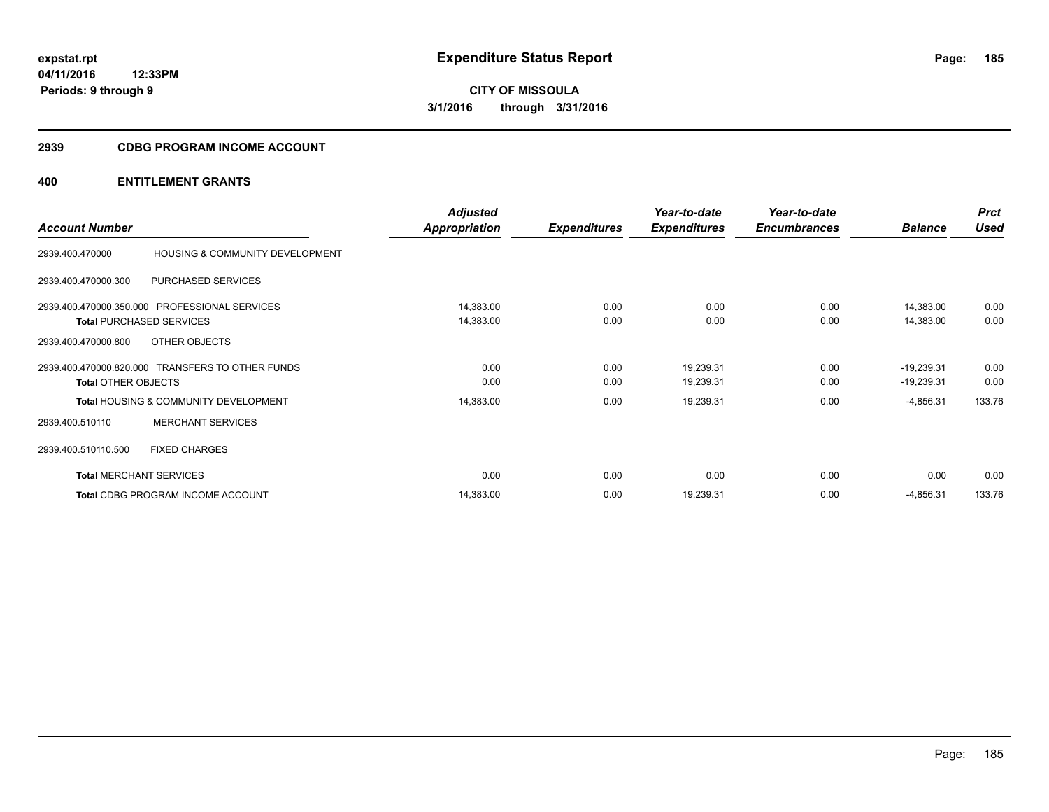# **2939 CDBG PROGRAM INCOME ACCOUNT**

|                            |                                                  | <b>Adjusted</b> |                     | Year-to-date        | Year-to-date        |                | <b>Prct</b> |
|----------------------------|--------------------------------------------------|-----------------|---------------------|---------------------|---------------------|----------------|-------------|
| <b>Account Number</b>      |                                                  | Appropriation   | <b>Expenditures</b> | <b>Expenditures</b> | <b>Encumbrances</b> | <b>Balance</b> | <b>Used</b> |
| 2939.400.470000            | HOUSING & COMMUNITY DEVELOPMENT                  |                 |                     |                     |                     |                |             |
| 2939.400.470000.300        | PURCHASED SERVICES                               |                 |                     |                     |                     |                |             |
|                            | 2939.400.470000.350.000 PROFESSIONAL SERVICES    | 14,383.00       | 0.00                | 0.00                | 0.00                | 14,383.00      | 0.00        |
|                            | <b>Total PURCHASED SERVICES</b>                  | 14,383.00       | 0.00                | 0.00                | 0.00                | 14,383.00      | 0.00        |
| 2939.400.470000.800        | OTHER OBJECTS                                    |                 |                     |                     |                     |                |             |
|                            | 2939.400.470000.820.000 TRANSFERS TO OTHER FUNDS | 0.00            | 0.00                | 19,239.31           | 0.00                | $-19,239.31$   | 0.00        |
| <b>Total OTHER OBJECTS</b> |                                                  | 0.00            | 0.00                | 19,239.31           | 0.00                | $-19,239.31$   | 0.00        |
|                            | <b>Total HOUSING &amp; COMMUNITY DEVELOPMENT</b> | 14,383.00       | 0.00                | 19,239.31           | 0.00                | $-4,856.31$    | 133.76      |
| 2939.400.510110            | <b>MERCHANT SERVICES</b>                         |                 |                     |                     |                     |                |             |
| 2939.400.510110.500        | <b>FIXED CHARGES</b>                             |                 |                     |                     |                     |                |             |
|                            | <b>Total MERCHANT SERVICES</b>                   | 0.00            | 0.00                | 0.00                | 0.00                | 0.00           | 0.00        |
|                            | Total CDBG PROGRAM INCOME ACCOUNT                | 14,383.00       | 0.00                | 19,239.31           | 0.00                | $-4,856.31$    | 133.76      |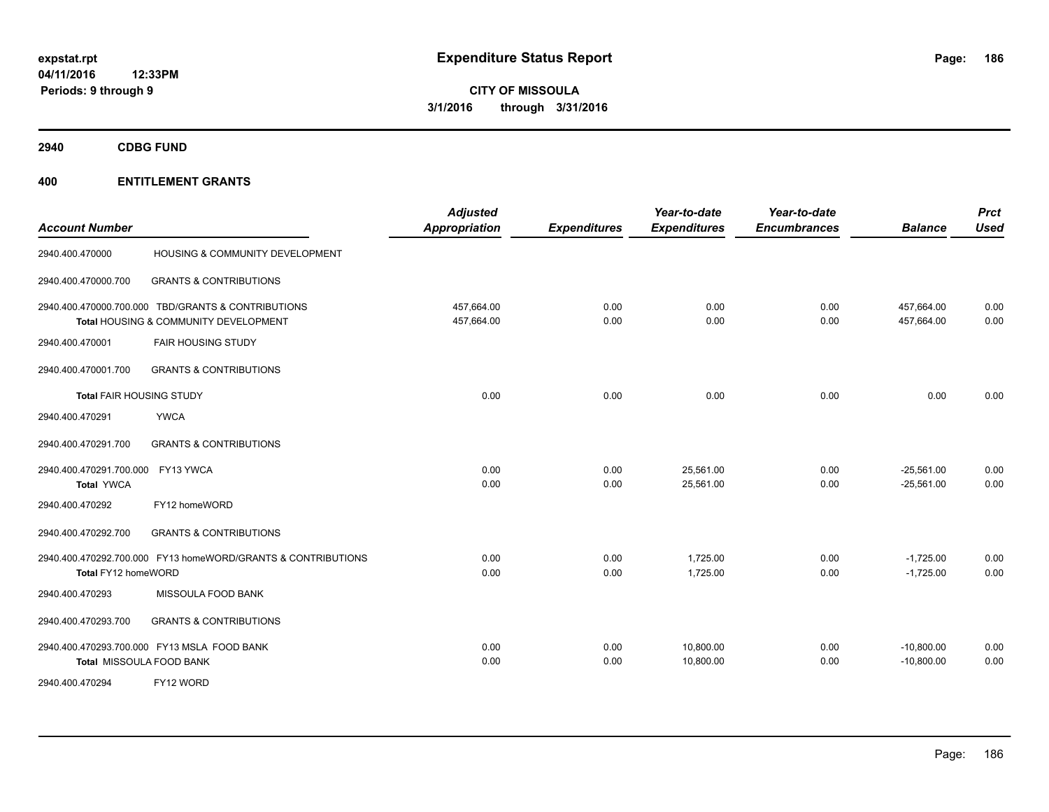**2940 CDBG FUND**

| <b>Account Number</b>                                                                       | <b>Adjusted</b><br>Appropriation | <b>Expenditures</b> | Year-to-date<br><b>Expenditures</b> | Year-to-date<br><b>Encumbrances</b> | <b>Balance</b>               | <b>Prct</b><br><b>Used</b> |
|---------------------------------------------------------------------------------------------|----------------------------------|---------------------|-------------------------------------|-------------------------------------|------------------------------|----------------------------|
| HOUSING & COMMUNITY DEVELOPMENT<br>2940.400.470000                                          |                                  |                     |                                     |                                     |                              |                            |
| 2940.400.470000.700<br><b>GRANTS &amp; CONTRIBUTIONS</b>                                    |                                  |                     |                                     |                                     |                              |                            |
| 2940.400.470000.700.000 TBD/GRANTS & CONTRIBUTIONS<br>Total HOUSING & COMMUNITY DEVELOPMENT | 457,664.00<br>457,664.00         | 0.00<br>0.00        | 0.00<br>0.00                        | 0.00<br>0.00                        | 457,664.00<br>457,664.00     | 0.00<br>0.00               |
| <b>FAIR HOUSING STUDY</b><br>2940.400.470001                                                |                                  |                     |                                     |                                     |                              |                            |
| <b>GRANTS &amp; CONTRIBUTIONS</b><br>2940.400.470001.700                                    |                                  |                     |                                     |                                     |                              |                            |
| <b>Total FAIR HOUSING STUDY</b>                                                             | 0.00                             | 0.00                | 0.00                                | 0.00                                | 0.00                         | 0.00                       |
| <b>YWCA</b><br>2940.400.470291                                                              |                                  |                     |                                     |                                     |                              |                            |
| <b>GRANTS &amp; CONTRIBUTIONS</b><br>2940.400.470291.700                                    |                                  |                     |                                     |                                     |                              |                            |
| 2940.400.470291.700.000 FY13 YWCA<br><b>Total YWCA</b>                                      | 0.00<br>0.00                     | 0.00<br>0.00        | 25,561.00<br>25,561.00              | 0.00<br>0.00                        | $-25,561.00$<br>$-25,561.00$ | 0.00<br>0.00               |
| 2940.400.470292<br>FY12 homeWORD                                                            |                                  |                     |                                     |                                     |                              |                            |
| 2940.400.470292.700<br><b>GRANTS &amp; CONTRIBUTIONS</b>                                    |                                  |                     |                                     |                                     |                              |                            |
| 2940.400.470292.700.000 FY13 homeWORD/GRANTS & CONTRIBUTIONS<br>Total FY12 homeWORD         | 0.00<br>0.00                     | 0.00<br>0.00        | 1,725.00<br>1,725.00                | 0.00<br>0.00                        | $-1,725.00$<br>$-1,725.00$   | 0.00<br>0.00               |
| 2940.400.470293<br>MISSOULA FOOD BANK                                                       |                                  |                     |                                     |                                     |                              |                            |
| <b>GRANTS &amp; CONTRIBUTIONS</b><br>2940.400.470293.700                                    |                                  |                     |                                     |                                     |                              |                            |
| 2940.400.470293.700.000 FY13 MSLA FOOD BANK<br>Total MISSOULA FOOD BANK                     | 0.00<br>0.00                     | 0.00<br>0.00        | 10,800.00<br>10,800.00              | 0.00<br>0.00                        | $-10,800.00$<br>$-10,800.00$ | 0.00<br>0.00               |
| FY12 WORD<br>2940.400.470294                                                                |                                  |                     |                                     |                                     |                              |                            |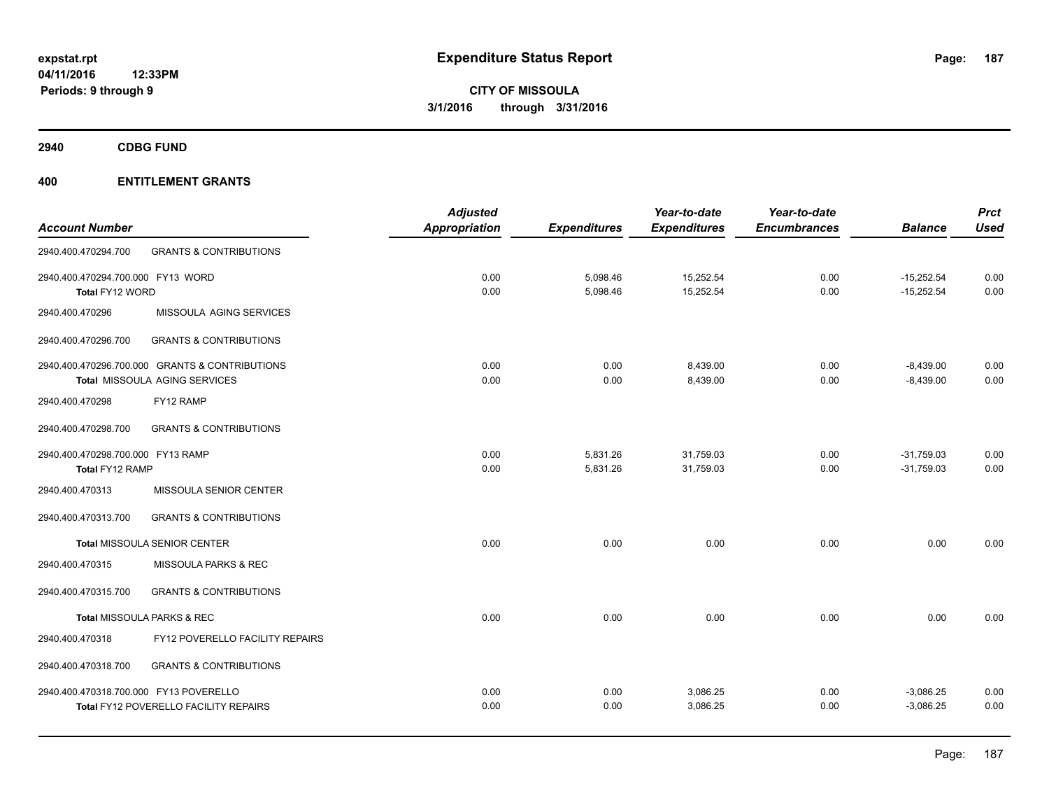**2940 CDBG FUND**

|                                        |                                                | <b>Adjusted</b>      |                     | Year-to-date        | Year-to-date        |                | <b>Prct</b> |
|----------------------------------------|------------------------------------------------|----------------------|---------------------|---------------------|---------------------|----------------|-------------|
| <b>Account Number</b>                  |                                                | <b>Appropriation</b> | <b>Expenditures</b> | <b>Expenditures</b> | <b>Encumbrances</b> | <b>Balance</b> | <b>Used</b> |
| 2940.400.470294.700                    | <b>GRANTS &amp; CONTRIBUTIONS</b>              |                      |                     |                     |                     |                |             |
| 2940.400.470294.700.000 FY13 WORD      |                                                | 0.00                 | 5,098.46            | 15,252.54           | 0.00                | $-15,252.54$   | 0.00        |
| Total FY12 WORD                        |                                                | 0.00                 | 5,098.46            | 15,252.54           | 0.00                | $-15,252.54$   | 0.00        |
| 2940.400.470296                        | MISSOULA AGING SERVICES                        |                      |                     |                     |                     |                |             |
| 2940.400.470296.700                    | <b>GRANTS &amp; CONTRIBUTIONS</b>              |                      |                     |                     |                     |                |             |
|                                        | 2940.400.470296.700.000 GRANTS & CONTRIBUTIONS | 0.00                 | 0.00                | 8,439.00            | 0.00                | $-8,439.00$    | 0.00        |
|                                        | Total MISSOULA AGING SERVICES                  | 0.00                 | 0.00                | 8,439.00            | 0.00                | $-8,439.00$    | 0.00        |
| 2940.400.470298                        | FY12 RAMP                                      |                      |                     |                     |                     |                |             |
| 2940.400.470298.700                    | <b>GRANTS &amp; CONTRIBUTIONS</b>              |                      |                     |                     |                     |                |             |
| 2940.400.470298.700.000 FY13 RAMP      |                                                | 0.00                 | 5,831.26            | 31,759.03           | 0.00                | $-31,759.03$   | 0.00        |
| Total FY12 RAMP                        |                                                | 0.00                 | 5,831.26            | 31,759.03           | 0.00                | $-31,759.03$   | 0.00        |
| 2940.400.470313                        | MISSOULA SENIOR CENTER                         |                      |                     |                     |                     |                |             |
| 2940.400.470313.700                    | <b>GRANTS &amp; CONTRIBUTIONS</b>              |                      |                     |                     |                     |                |             |
|                                        | <b>Total MISSOULA SENIOR CENTER</b>            | 0.00                 | 0.00                | 0.00                | 0.00                | 0.00           | 0.00        |
| 2940.400.470315                        | MISSOULA PARKS & REC                           |                      |                     |                     |                     |                |             |
| 2940.400.470315.700                    | <b>GRANTS &amp; CONTRIBUTIONS</b>              |                      |                     |                     |                     |                |             |
|                                        | Total MISSOULA PARKS & REC                     | 0.00                 | 0.00                | 0.00                | 0.00                | 0.00           | 0.00        |
| 2940.400.470318                        | FY12 POVERELLO FACILITY REPAIRS                |                      |                     |                     |                     |                |             |
| 2940.400.470318.700                    | <b>GRANTS &amp; CONTRIBUTIONS</b>              |                      |                     |                     |                     |                |             |
| 2940.400.470318.700.000 FY13 POVERELLO |                                                | 0.00                 | 0.00                | 3,086.25            | 0.00                | $-3,086.25$    | 0.00        |
|                                        | <b>Total FY12 POVERELLO FACILITY REPAIRS</b>   | 0.00                 | 0.00                | 3,086.25            | 0.00                | $-3,086.25$    | 0.00        |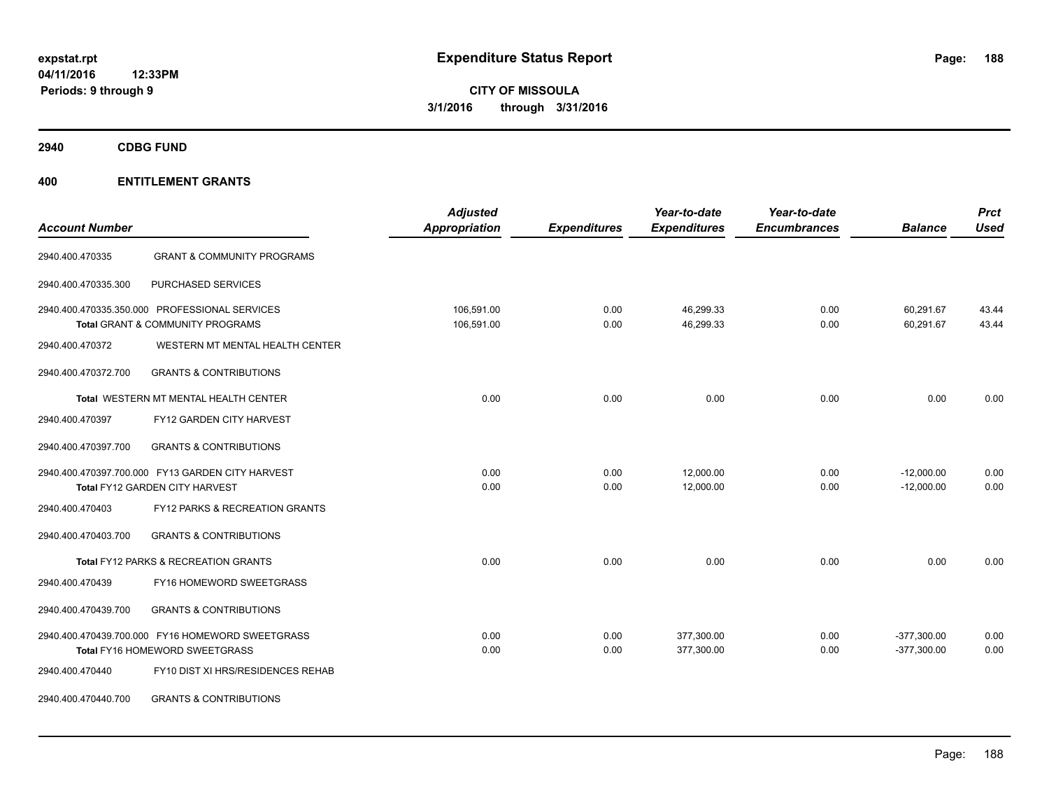**2940 CDBG FUND**

| <b>Account Number</b> |                                                                                              | <b>Adjusted</b><br><b>Appropriation</b> | <b>Expenditures</b> | Year-to-date<br><b>Expenditures</b> | Year-to-date<br><b>Encumbrances</b> | <b>Balance</b>                 | <b>Prct</b><br><b>Used</b> |
|-----------------------|----------------------------------------------------------------------------------------------|-----------------------------------------|---------------------|-------------------------------------|-------------------------------------|--------------------------------|----------------------------|
| 2940.400.470335       | <b>GRANT &amp; COMMUNITY PROGRAMS</b>                                                        |                                         |                     |                                     |                                     |                                |                            |
| 2940.400.470335.300   | PURCHASED SERVICES                                                                           |                                         |                     |                                     |                                     |                                |                            |
|                       | 2940.400.470335.350.000 PROFESSIONAL SERVICES<br><b>Total GRANT &amp; COMMUNITY PROGRAMS</b> | 106,591.00<br>106,591.00                | 0.00<br>0.00        | 46,299.33<br>46,299.33              | 0.00<br>0.00                        | 60,291.67<br>60.291.67         | 43.44<br>43.44             |
| 2940.400.470372       | WESTERN MT MENTAL HEALTH CENTER                                                              |                                         |                     |                                     |                                     |                                |                            |
| 2940.400.470372.700   | <b>GRANTS &amp; CONTRIBUTIONS</b>                                                            |                                         |                     |                                     |                                     |                                |                            |
|                       | Total WESTERN MT MENTAL HEALTH CENTER                                                        | 0.00                                    | 0.00                | 0.00                                | 0.00                                | 0.00                           | 0.00                       |
| 2940.400.470397       | FY12 GARDEN CITY HARVEST                                                                     |                                         |                     |                                     |                                     |                                |                            |
| 2940.400.470397.700   | <b>GRANTS &amp; CONTRIBUTIONS</b>                                                            |                                         |                     |                                     |                                     |                                |                            |
|                       | 2940.400.470397.700.000 FY13 GARDEN CITY HARVEST<br>Total FY12 GARDEN CITY HARVEST           | 0.00<br>0.00                            | 0.00<br>0.00        | 12,000.00<br>12.000.00              | 0.00<br>0.00                        | $-12,000.00$<br>$-12.000.00$   | 0.00<br>0.00               |
| 2940.400.470403       | FY12 PARKS & RECREATION GRANTS                                                               |                                         |                     |                                     |                                     |                                |                            |
| 2940.400.470403.700   | <b>GRANTS &amp; CONTRIBUTIONS</b>                                                            |                                         |                     |                                     |                                     |                                |                            |
|                       | Total FY12 PARKS & RECREATION GRANTS                                                         | 0.00                                    | 0.00                | 0.00                                | 0.00                                | 0.00                           | 0.00                       |
| 2940.400.470439       | FY16 HOMEWORD SWEETGRASS                                                                     |                                         |                     |                                     |                                     |                                |                            |
| 2940.400.470439.700   | <b>GRANTS &amp; CONTRIBUTIONS</b>                                                            |                                         |                     |                                     |                                     |                                |                            |
|                       | 2940.400.470439.700.000 FY16 HOMEWORD SWEETGRASS<br>Total FY16 HOMEWORD SWEETGRASS           | 0.00<br>0.00                            | 0.00<br>0.00        | 377,300.00<br>377,300.00            | 0.00<br>0.00                        | $-377,300.00$<br>$-377,300.00$ | 0.00<br>0.00               |
| 2940.400.470440       | FY10 DIST XI HRS/RESIDENCES REHAB                                                            |                                         |                     |                                     |                                     |                                |                            |
| 2940.400.470440.700   | <b>GRANTS &amp; CONTRIBUTIONS</b>                                                            |                                         |                     |                                     |                                     |                                |                            |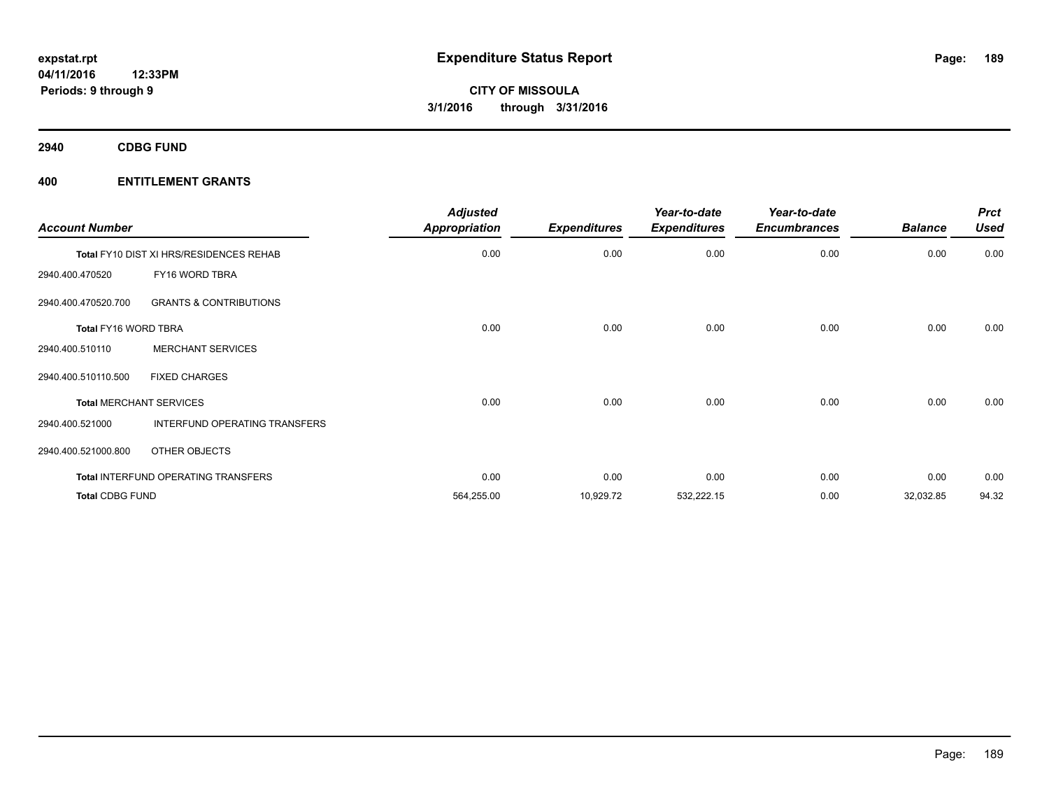**2940 CDBG FUND**

| <b>Account Number</b>  |                                            | <b>Adjusted</b><br><b>Appropriation</b> | <b>Expenditures</b> | Year-to-date<br><b>Expenditures</b> | Year-to-date<br><b>Encumbrances</b> | <b>Balance</b> | <b>Prct</b><br><b>Used</b> |
|------------------------|--------------------------------------------|-----------------------------------------|---------------------|-------------------------------------|-------------------------------------|----------------|----------------------------|
|                        | Total FY10 DIST XI HRS/RESIDENCES REHAB    | 0.00                                    | 0.00                | 0.00                                | 0.00                                | 0.00           | 0.00                       |
| 2940.400.470520        | FY16 WORD TBRA                             |                                         |                     |                                     |                                     |                |                            |
| 2940.400.470520.700    | <b>GRANTS &amp; CONTRIBUTIONS</b>          |                                         |                     |                                     |                                     |                |                            |
| Total FY16 WORD TBRA   |                                            | 0.00                                    | 0.00                | 0.00                                | 0.00                                | 0.00           | 0.00                       |
| 2940.400.510110        | <b>MERCHANT SERVICES</b>                   |                                         |                     |                                     |                                     |                |                            |
| 2940.400.510110.500    | <b>FIXED CHARGES</b>                       |                                         |                     |                                     |                                     |                |                            |
|                        | <b>Total MERCHANT SERVICES</b>             | 0.00                                    | 0.00                | 0.00                                | 0.00                                | 0.00           | 0.00                       |
| 2940.400.521000        | INTERFUND OPERATING TRANSFERS              |                                         |                     |                                     |                                     |                |                            |
| 2940.400.521000.800    | OTHER OBJECTS                              |                                         |                     |                                     |                                     |                |                            |
|                        | <b>Total INTERFUND OPERATING TRANSFERS</b> | 0.00                                    | 0.00                | 0.00                                | 0.00                                | 0.00           | 0.00                       |
| <b>Total CDBG FUND</b> |                                            | 564,255.00                              | 10,929.72           | 532,222.15                          | 0.00                                | 32,032.85      | 94.32                      |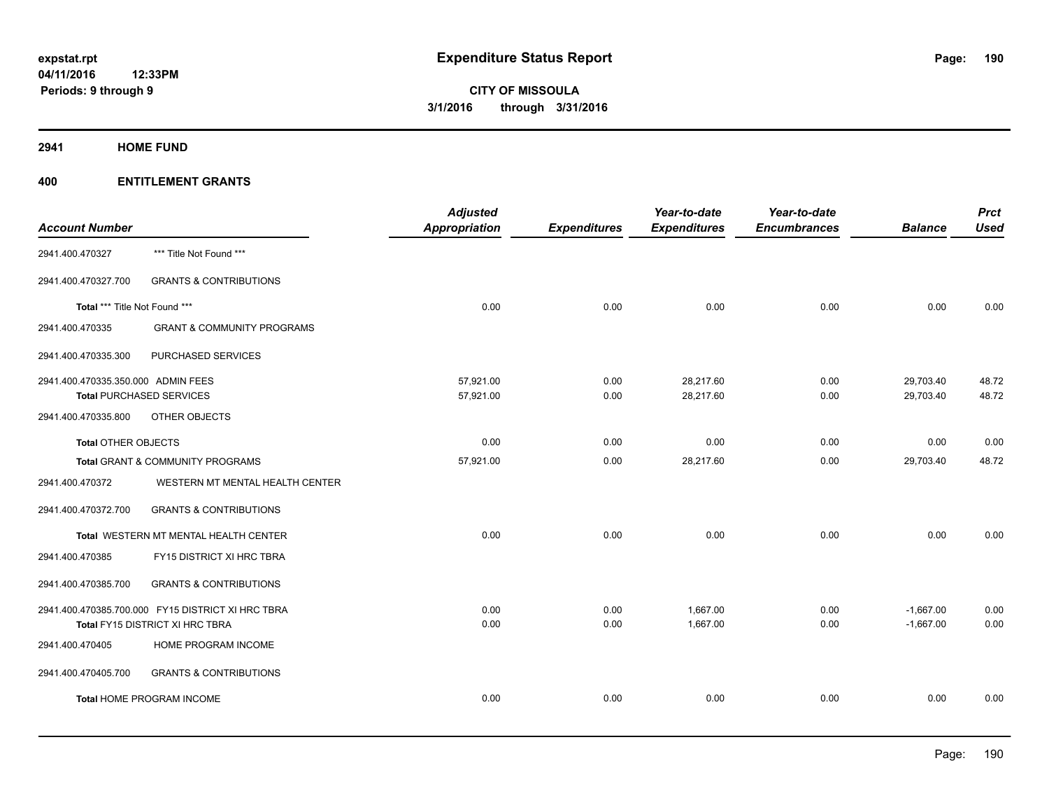#### **2941 HOME FUND**

|                                    |                                                   | <b>Adjusted</b> |                     | Year-to-date        | Year-to-date        |                | <b>Prct</b> |
|------------------------------------|---------------------------------------------------|-----------------|---------------------|---------------------|---------------------|----------------|-------------|
| <b>Account Number</b>              |                                                   | Appropriation   | <b>Expenditures</b> | <b>Expenditures</b> | <b>Encumbrances</b> | <b>Balance</b> | <b>Used</b> |
| 2941.400.470327                    | *** Title Not Found ***                           |                 |                     |                     |                     |                |             |
| 2941.400.470327.700                | <b>GRANTS &amp; CONTRIBUTIONS</b>                 |                 |                     |                     |                     |                |             |
| Total *** Title Not Found ***      |                                                   | 0.00            | 0.00                | 0.00                | 0.00                | 0.00           | 0.00        |
| 2941.400.470335                    | <b>GRANT &amp; COMMUNITY PROGRAMS</b>             |                 |                     |                     |                     |                |             |
| 2941.400.470335.300                | PURCHASED SERVICES                                |                 |                     |                     |                     |                |             |
| 2941.400.470335.350.000 ADMIN FEES |                                                   | 57,921.00       | 0.00                | 28,217.60           | 0.00                | 29,703.40      | 48.72       |
| <b>Total PURCHASED SERVICES</b>    |                                                   | 57,921.00       | 0.00                | 28,217.60           | 0.00                | 29,703.40      | 48.72       |
| 2941.400.470335.800                | OTHER OBJECTS                                     |                 |                     |                     |                     |                |             |
| <b>Total OTHER OBJECTS</b>         |                                                   | 0.00            | 0.00                | 0.00                | 0.00                | 0.00           | 0.00        |
|                                    | Total GRANT & COMMUNITY PROGRAMS                  | 57,921.00       | 0.00                | 28,217.60           | 0.00                | 29,703.40      | 48.72       |
| 2941.400.470372                    | WESTERN MT MENTAL HEALTH CENTER                   |                 |                     |                     |                     |                |             |
| 2941.400.470372.700                | <b>GRANTS &amp; CONTRIBUTIONS</b>                 |                 |                     |                     |                     |                |             |
|                                    | Total WESTERN MT MENTAL HEALTH CENTER             | 0.00            | 0.00                | 0.00                | 0.00                | 0.00           | 0.00        |
| 2941.400.470385                    | FY15 DISTRICT XI HRC TBRA                         |                 |                     |                     |                     |                |             |
| 2941.400.470385.700                | <b>GRANTS &amp; CONTRIBUTIONS</b>                 |                 |                     |                     |                     |                |             |
|                                    | 2941.400.470385.700.000 FY15 DISTRICT XI HRC TBRA | 0.00            | 0.00                | 1,667.00            | 0.00                | $-1,667.00$    | 0.00        |
|                                    | Total FY15 DISTRICT XI HRC TBRA                   | 0.00            | 0.00                | 1,667.00            | 0.00                | $-1,667.00$    | 0.00        |
| 2941.400.470405                    | HOME PROGRAM INCOME                               |                 |                     |                     |                     |                |             |
| 2941.400.470405.700                | <b>GRANTS &amp; CONTRIBUTIONS</b>                 |                 |                     |                     |                     |                |             |
|                                    | <b>Total HOME PROGRAM INCOME</b>                  | 0.00            | 0.00                | 0.00                | 0.00                | 0.00           | 0.00        |
|                                    |                                                   |                 |                     |                     |                     |                |             |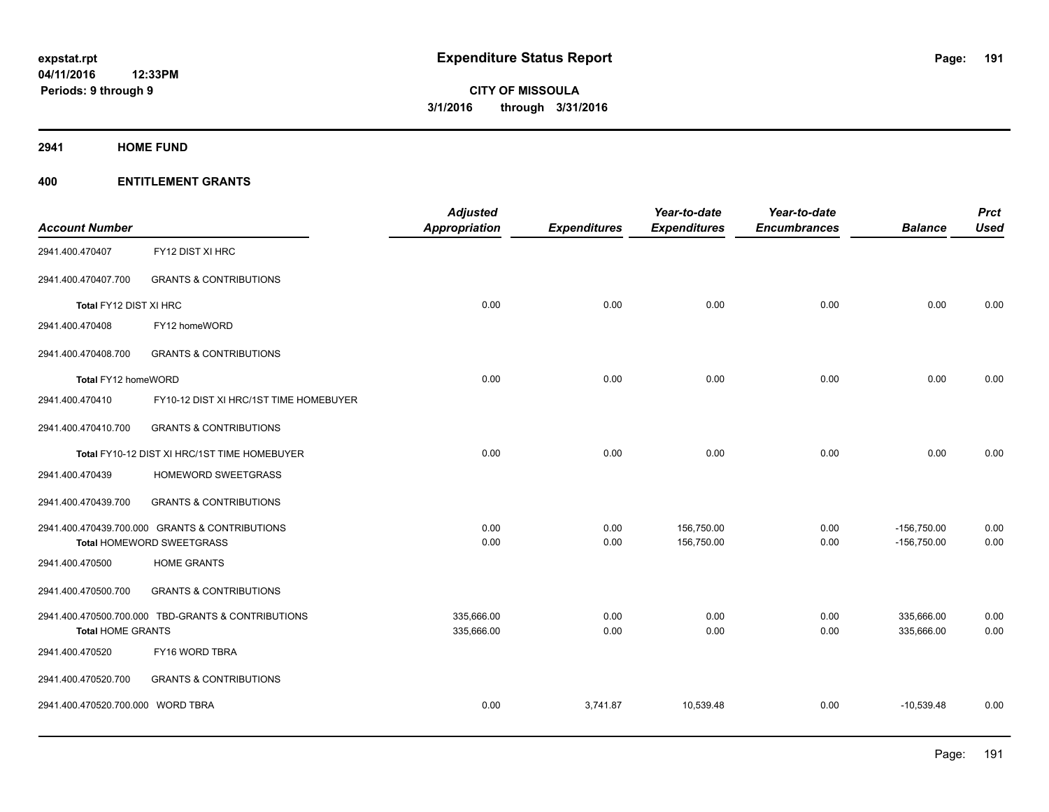**2941 HOME FUND**

| <b>Account Number</b>             |                                                    | <b>Adjusted</b><br>Appropriation | <b>Expenditures</b> | Year-to-date<br><b>Expenditures</b> | Year-to-date<br><b>Encumbrances</b> | <b>Balance</b> | <b>Prct</b><br><b>Used</b> |
|-----------------------------------|----------------------------------------------------|----------------------------------|---------------------|-------------------------------------|-------------------------------------|----------------|----------------------------|
| 2941.400.470407                   | FY12 DIST XI HRC                                   |                                  |                     |                                     |                                     |                |                            |
| 2941.400.470407.700               | <b>GRANTS &amp; CONTRIBUTIONS</b>                  |                                  |                     |                                     |                                     |                |                            |
| Total FY12 DIST XI HRC            |                                                    | 0.00                             | 0.00                | 0.00                                | 0.00                                | 0.00           | 0.00                       |
| 2941.400.470408                   | FY12 homeWORD                                      |                                  |                     |                                     |                                     |                |                            |
| 2941.400.470408.700               | <b>GRANTS &amp; CONTRIBUTIONS</b>                  |                                  |                     |                                     |                                     |                |                            |
| Total FY12 homeWORD               |                                                    | 0.00                             | 0.00                | 0.00                                | 0.00                                | 0.00           | 0.00                       |
| 2941.400.470410                   | FY10-12 DIST XI HRC/1ST TIME HOMEBUYER             |                                  |                     |                                     |                                     |                |                            |
| 2941.400.470410.700               | <b>GRANTS &amp; CONTRIBUTIONS</b>                  |                                  |                     |                                     |                                     |                |                            |
|                                   | Total FY10-12 DIST XI HRC/1ST TIME HOMEBUYER       | 0.00                             | 0.00                | 0.00                                | 0.00                                | 0.00           | 0.00                       |
| 2941.400.470439                   | HOMEWORD SWEETGRASS                                |                                  |                     |                                     |                                     |                |                            |
| 2941.400.470439.700               | <b>GRANTS &amp; CONTRIBUTIONS</b>                  |                                  |                     |                                     |                                     |                |                            |
|                                   | 2941.400.470439.700.000 GRANTS & CONTRIBUTIONS     | 0.00                             | 0.00                | 156,750.00                          | 0.00                                | $-156,750.00$  | 0.00                       |
|                                   | Total HOMEWORD SWEETGRASS                          | 0.00                             | 0.00                | 156,750.00                          | 0.00                                | $-156,750.00$  | 0.00                       |
| 2941.400.470500                   | <b>HOME GRANTS</b>                                 |                                  |                     |                                     |                                     |                |                            |
| 2941.400.470500.700               | <b>GRANTS &amp; CONTRIBUTIONS</b>                  |                                  |                     |                                     |                                     |                |                            |
|                                   | 2941.400.470500.700.000 TBD-GRANTS & CONTRIBUTIONS | 335,666.00                       | 0.00                | 0.00                                | 0.00                                | 335,666.00     | 0.00                       |
| <b>Total HOME GRANTS</b>          |                                                    | 335,666.00                       | 0.00                | 0.00                                | 0.00                                | 335,666.00     | 0.00                       |
| 2941.400.470520                   | FY16 WORD TBRA                                     |                                  |                     |                                     |                                     |                |                            |
| 2941.400.470520.700               | <b>GRANTS &amp; CONTRIBUTIONS</b>                  |                                  |                     |                                     |                                     |                |                            |
| 2941.400.470520.700.000 WORD TBRA |                                                    | 0.00                             | 3,741.87            | 10,539.48                           | 0.00                                | $-10,539.48$   | 0.00                       |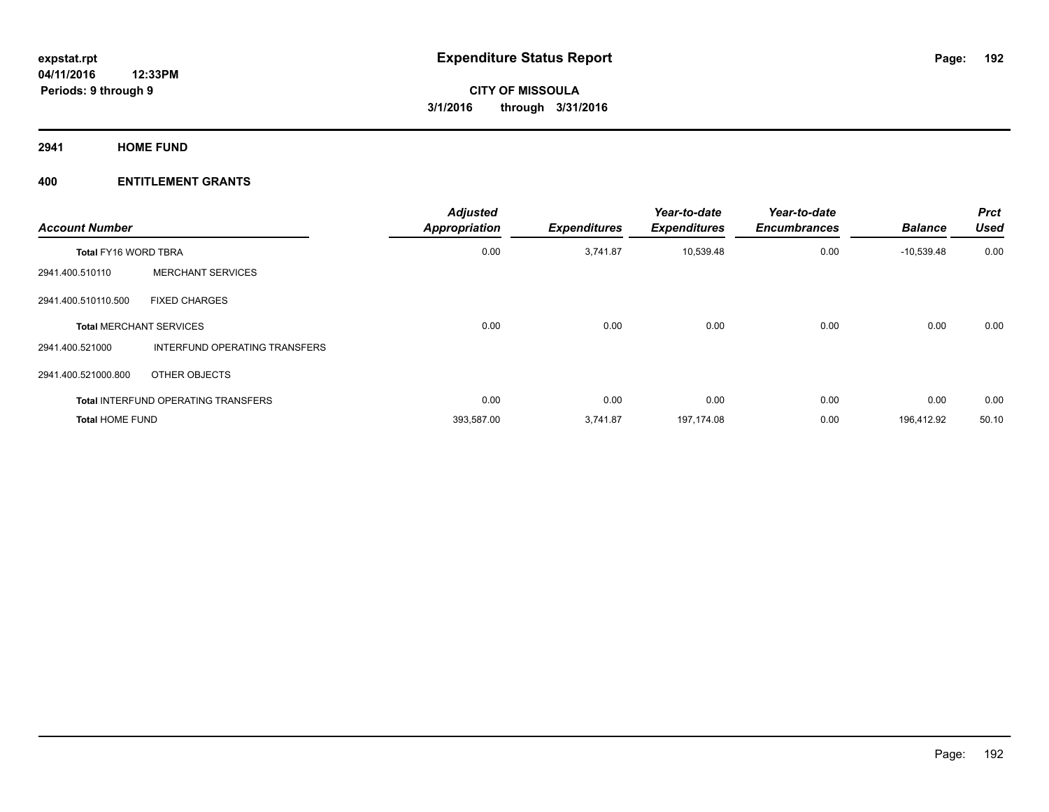**2941 HOME FUND**

| <b>Account Number</b>          |                                            | <b>Adjusted</b><br><b>Appropriation</b> | <b>Expenditures</b> | Year-to-date<br><b>Expenditures</b> | Year-to-date<br><b>Encumbrances</b> | <b>Balance</b> | <b>Prct</b><br><b>Used</b> |
|--------------------------------|--------------------------------------------|-----------------------------------------|---------------------|-------------------------------------|-------------------------------------|----------------|----------------------------|
| <b>Total FY16 WORD TBRA</b>    |                                            | 0.00                                    | 3,741.87            | 10,539.48                           | 0.00                                | $-10,539.48$   | 0.00                       |
| 2941.400.510110                | <b>MERCHANT SERVICES</b>                   |                                         |                     |                                     |                                     |                |                            |
| 2941.400.510110.500            | <b>FIXED CHARGES</b>                       |                                         |                     |                                     |                                     |                |                            |
| <b>Total MERCHANT SERVICES</b> |                                            | 0.00                                    | 0.00                | 0.00                                | 0.00                                | 0.00           | 0.00                       |
| 2941.400.521000                | INTERFUND OPERATING TRANSFERS              |                                         |                     |                                     |                                     |                |                            |
| 2941.400.521000.800            | OTHER OBJECTS                              |                                         |                     |                                     |                                     |                |                            |
|                                | <b>Total INTERFUND OPERATING TRANSFERS</b> | 0.00                                    | 0.00                | 0.00                                | 0.00                                | 0.00           | 0.00                       |
| <b>Total HOME FUND</b>         |                                            | 393,587.00                              | 3,741.87            | 197,174.08                          | 0.00                                | 196,412.92     | 50.10                      |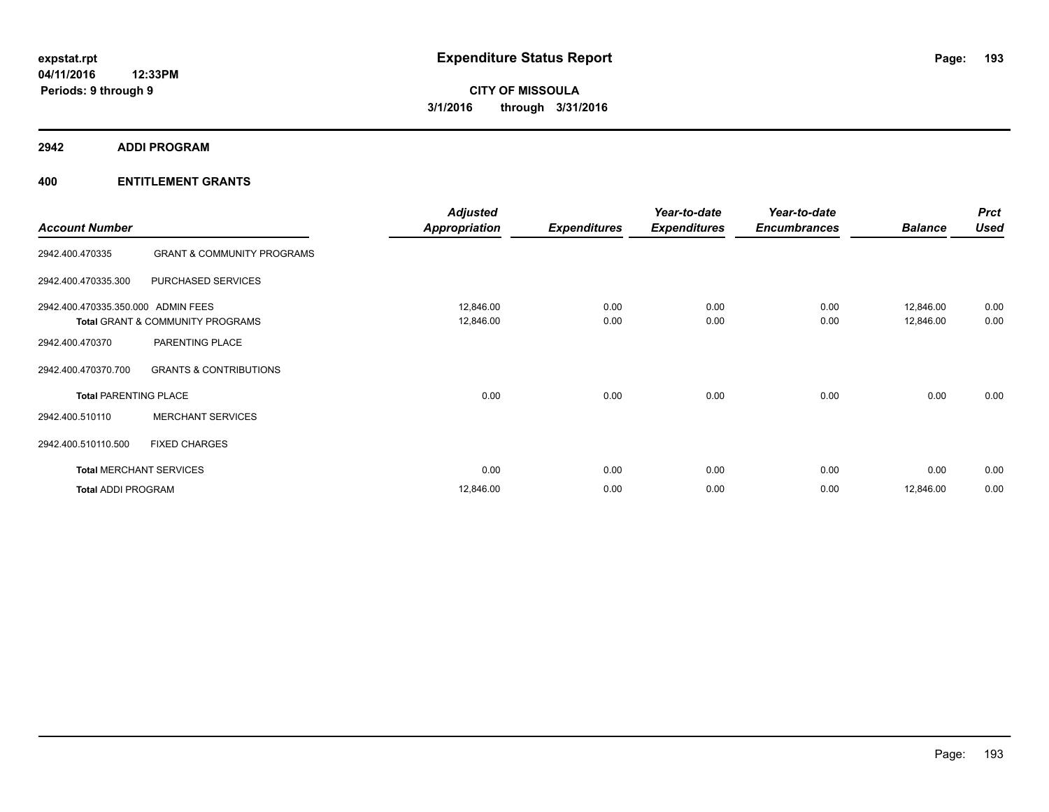**2942 ADDI PROGRAM**

| <b>Account Number</b>              |                                             | <b>Adjusted</b><br><b>Appropriation</b> | <b>Expenditures</b> | Year-to-date<br><b>Expenditures</b> | Year-to-date<br><b>Encumbrances</b> | <b>Balance</b>         | <b>Prct</b><br><b>Used</b> |
|------------------------------------|---------------------------------------------|-----------------------------------------|---------------------|-------------------------------------|-------------------------------------|------------------------|----------------------------|
| 2942.400.470335                    | <b>GRANT &amp; COMMUNITY PROGRAMS</b>       |                                         |                     |                                     |                                     |                        |                            |
| 2942.400.470335.300                | PURCHASED SERVICES                          |                                         |                     |                                     |                                     |                        |                            |
| 2942.400.470335.350.000 ADMIN FEES | <b>Total GRANT &amp; COMMUNITY PROGRAMS</b> | 12,846.00<br>12,846.00                  | 0.00<br>0.00        | 0.00<br>0.00                        | 0.00<br>0.00                        | 12,846.00<br>12,846.00 | 0.00<br>0.00               |
| 2942.400.470370                    | PARENTING PLACE                             |                                         |                     |                                     |                                     |                        |                            |
| 2942.400.470370.700                | <b>GRANTS &amp; CONTRIBUTIONS</b>           |                                         |                     |                                     |                                     |                        |                            |
| <b>Total PARENTING PLACE</b>       |                                             | 0.00                                    | 0.00                | 0.00                                | 0.00                                | 0.00                   | 0.00                       |
| 2942.400.510110                    | <b>MERCHANT SERVICES</b>                    |                                         |                     |                                     |                                     |                        |                            |
| 2942.400.510110.500                | <b>FIXED CHARGES</b>                        |                                         |                     |                                     |                                     |                        |                            |
|                                    | <b>Total MERCHANT SERVICES</b>              | 0.00                                    | 0.00                | 0.00                                | 0.00                                | 0.00                   | 0.00                       |
| <b>Total ADDI PROGRAM</b>          |                                             | 12,846.00                               | 0.00                | 0.00                                | 0.00                                | 12,846.00              | 0.00                       |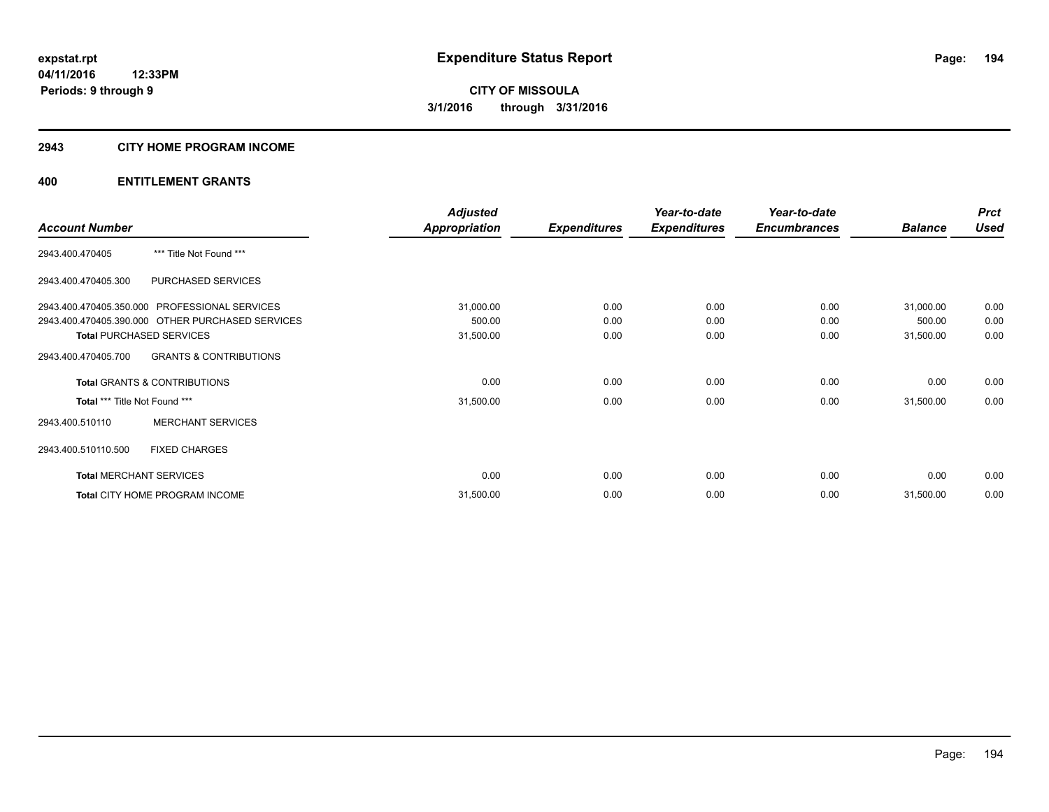#### **2943 CITY HOME PROGRAM INCOME**

|                                      |                                                  | <b>Adjusted</b>      |                     | Year-to-date        | Year-to-date        |                | <b>Prct</b> |
|--------------------------------------|--------------------------------------------------|----------------------|---------------------|---------------------|---------------------|----------------|-------------|
| <b>Account Number</b>                |                                                  | <b>Appropriation</b> | <b>Expenditures</b> | <b>Expenditures</b> | <b>Encumbrances</b> | <b>Balance</b> | <b>Used</b> |
| 2943.400.470405                      | *** Title Not Found ***                          |                      |                     |                     |                     |                |             |
| 2943.400.470405.300                  | PURCHASED SERVICES                               |                      |                     |                     |                     |                |             |
|                                      | 2943.400.470405.350.000 PROFESSIONAL SERVICES    | 31,000.00            | 0.00                | 0.00                | 0.00                | 31,000.00      | 0.00        |
|                                      | 2943.400.470405.390.000 OTHER PURCHASED SERVICES | 500.00               | 0.00                | 0.00                | 0.00                | 500.00         | 0.00        |
|                                      | <b>Total PURCHASED SERVICES</b>                  | 31,500.00            | 0.00                | 0.00                | 0.00                | 31,500.00      | 0.00        |
| 2943.400.470405.700                  | <b>GRANTS &amp; CONTRIBUTIONS</b>                |                      |                     |                     |                     |                |             |
|                                      | <b>Total GRANTS &amp; CONTRIBUTIONS</b>          | 0.00                 | 0.00                | 0.00                | 0.00                | 0.00           | 0.00        |
| <b>Total *** Title Not Found ***</b> |                                                  | 31,500.00            | 0.00                | 0.00                | 0.00                | 31,500.00      | 0.00        |
| 2943.400.510110                      | <b>MERCHANT SERVICES</b>                         |                      |                     |                     |                     |                |             |
| 2943.400.510110.500                  | <b>FIXED CHARGES</b>                             |                      |                     |                     |                     |                |             |
| <b>Total MERCHANT SERVICES</b>       |                                                  | 0.00                 | 0.00                | 0.00                | 0.00                | 0.00           | 0.00        |
|                                      | Total CITY HOME PROGRAM INCOME                   | 31,500.00            | 0.00                | 0.00                | 0.00                | 31,500.00      | 0.00        |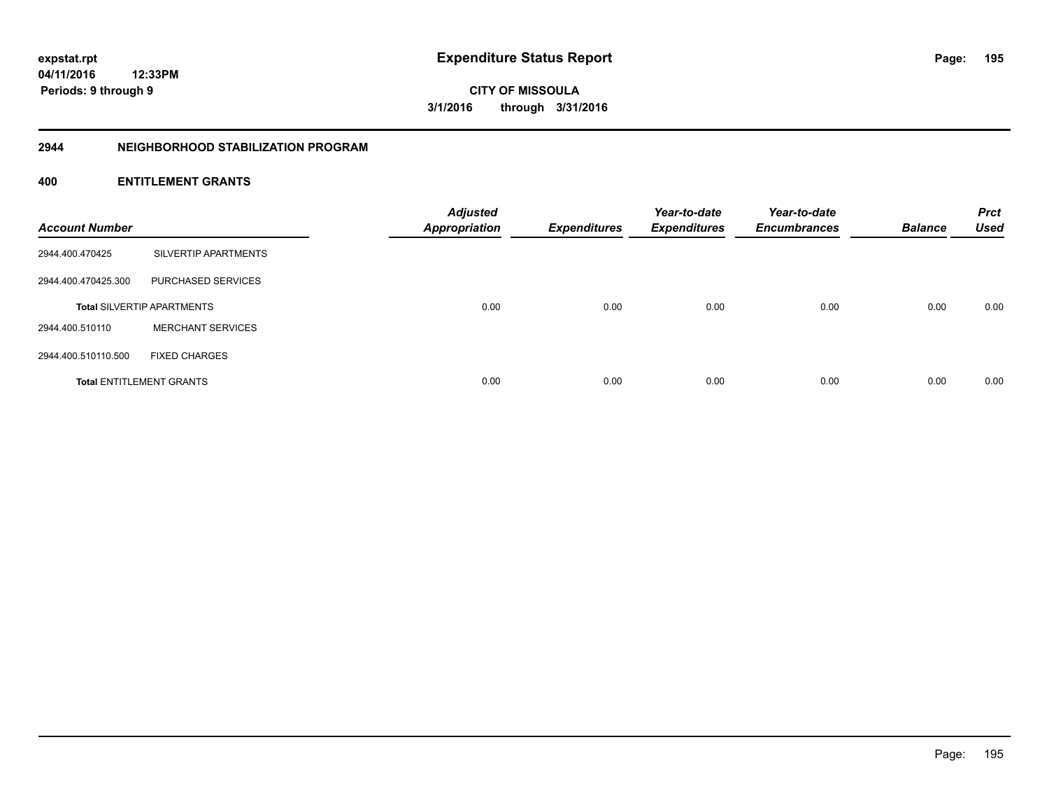**CITY OF MISSOULA 3/1/2016 through 3/31/2016**

#### **2944 NEIGHBORHOOD STABILIZATION PROGRAM**

| <b>Account Number</b> |                                   | <b>Adjusted</b><br><b>Appropriation</b> | <b>Expenditures</b> | Year-to-date<br><b>Expenditures</b> | Year-to-date<br><b>Encumbrances</b> | <b>Balance</b> | <b>Prct</b><br><b>Used</b> |
|-----------------------|-----------------------------------|-----------------------------------------|---------------------|-------------------------------------|-------------------------------------|----------------|----------------------------|
| 2944.400.470425       | SILVERTIP APARTMENTS              |                                         |                     |                                     |                                     |                |                            |
| 2944.400.470425.300   | PURCHASED SERVICES                |                                         |                     |                                     |                                     |                |                            |
|                       | <b>Total SILVERTIP APARTMENTS</b> | 0.00                                    | 0.00                | 0.00                                | 0.00                                | 0.00           | 0.00                       |
| 2944.400.510110       | <b>MERCHANT SERVICES</b>          |                                         |                     |                                     |                                     |                |                            |
| 2944.400.510110.500   | <b>FIXED CHARGES</b>              |                                         |                     |                                     |                                     |                |                            |
|                       | <b>Total ENTITLEMENT GRANTS</b>   | 0.00                                    | 0.00                | 0.00                                | 0.00                                | 0.00           | 0.00                       |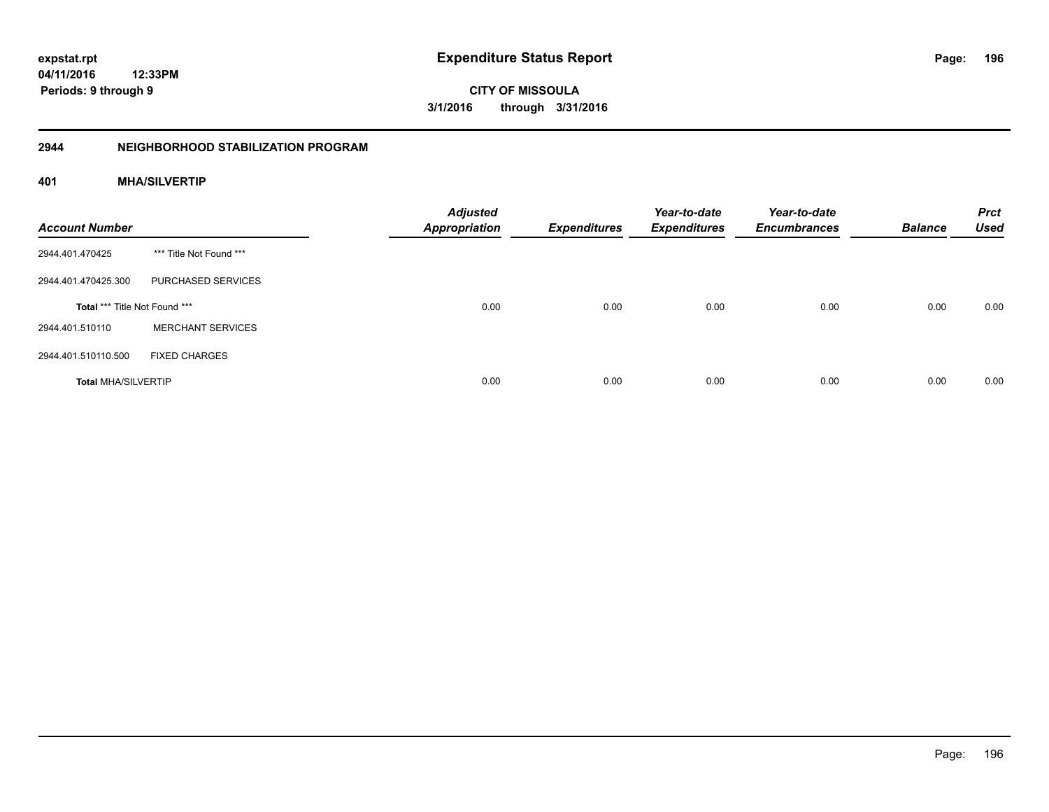**CITY OF MISSOULA 3/1/2016 through 3/31/2016**

#### **2944 NEIGHBORHOOD STABILIZATION PROGRAM**

# **401 MHA/SILVERTIP**

| <b>Account Number</b>         |                          | <b>Adjusted</b><br><b>Appropriation</b> | <b>Expenditures</b> | Year-to-date<br><b>Expenditures</b> | Year-to-date<br><b>Encumbrances</b> | <b>Balance</b> | <b>Prct</b><br><b>Used</b> |
|-------------------------------|--------------------------|-----------------------------------------|---------------------|-------------------------------------|-------------------------------------|----------------|----------------------------|
| 2944.401.470425               | *** Title Not Found ***  |                                         |                     |                                     |                                     |                |                            |
| 2944.401.470425.300           | PURCHASED SERVICES       |                                         |                     |                                     |                                     |                |                            |
| Total *** Title Not Found *** |                          | 0.00                                    | 0.00                | 0.00                                | 0.00                                | 0.00           | 0.00                       |
| 2944.401.510110               | <b>MERCHANT SERVICES</b> |                                         |                     |                                     |                                     |                |                            |
| 2944.401.510110.500           | <b>FIXED CHARGES</b>     |                                         |                     |                                     |                                     |                |                            |
| <b>Total MHA/SILVERTIP</b>    |                          | 0.00                                    | 0.00                | 0.00                                | 0.00                                | 0.00           | 0.00                       |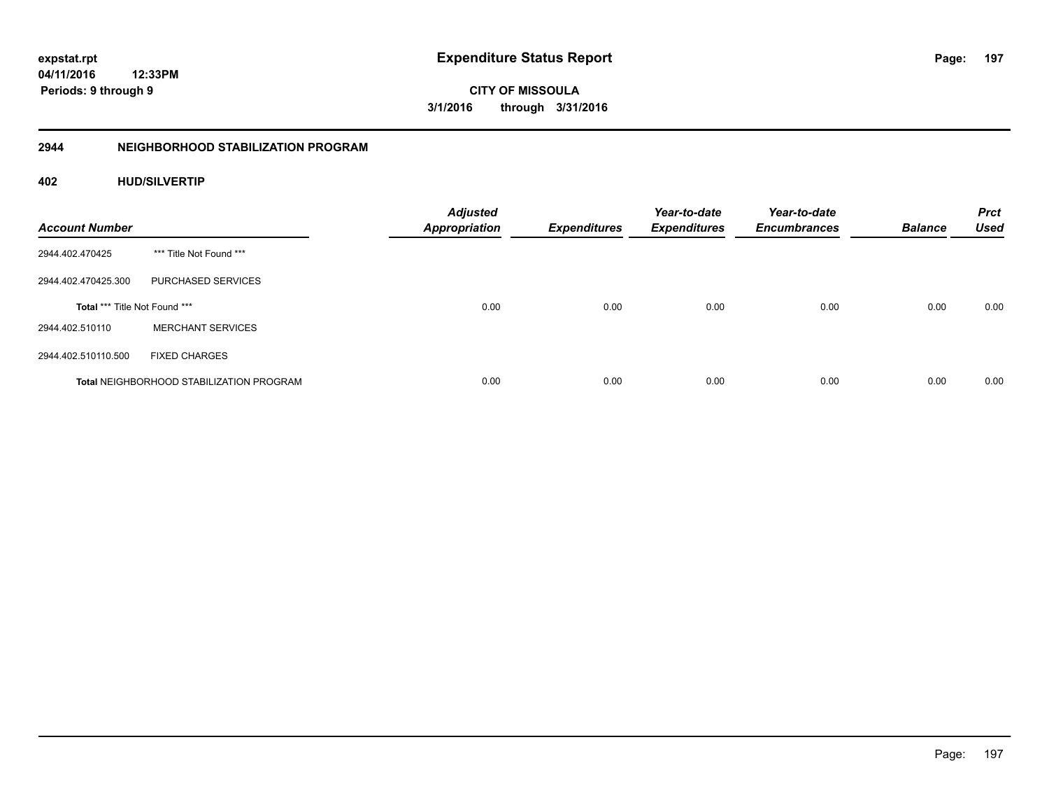**CITY OF MISSOULA 3/1/2016 through 3/31/2016**

# **2944 NEIGHBORHOOD STABILIZATION PROGRAM**

# **402 HUD/SILVERTIP**

| <b>Account Number</b>         |                                                 | <b>Adjusted</b><br><b>Appropriation</b> | <b>Expenditures</b> | Year-to-date<br><b>Expenditures</b> | Year-to-date<br><b>Encumbrances</b> | <b>Balance</b> | <b>Prct</b><br><b>Used</b> |
|-------------------------------|-------------------------------------------------|-----------------------------------------|---------------------|-------------------------------------|-------------------------------------|----------------|----------------------------|
| 2944.402.470425               | *** Title Not Found ***                         |                                         |                     |                                     |                                     |                |                            |
| 2944.402.470425.300           | PURCHASED SERVICES                              |                                         |                     |                                     |                                     |                |                            |
| Total *** Title Not Found *** |                                                 | 0.00                                    | 0.00                | 0.00                                | 0.00                                | 0.00           | 0.00                       |
| 2944.402.510110               | <b>MERCHANT SERVICES</b>                        |                                         |                     |                                     |                                     |                |                            |
| 2944.402.510110.500           | <b>FIXED CHARGES</b>                            |                                         |                     |                                     |                                     |                |                            |
|                               | <b>Total NEIGHBORHOOD STABILIZATION PROGRAM</b> | 0.00                                    | 0.00                | 0.00                                | 0.00                                | 0.00           | 0.00                       |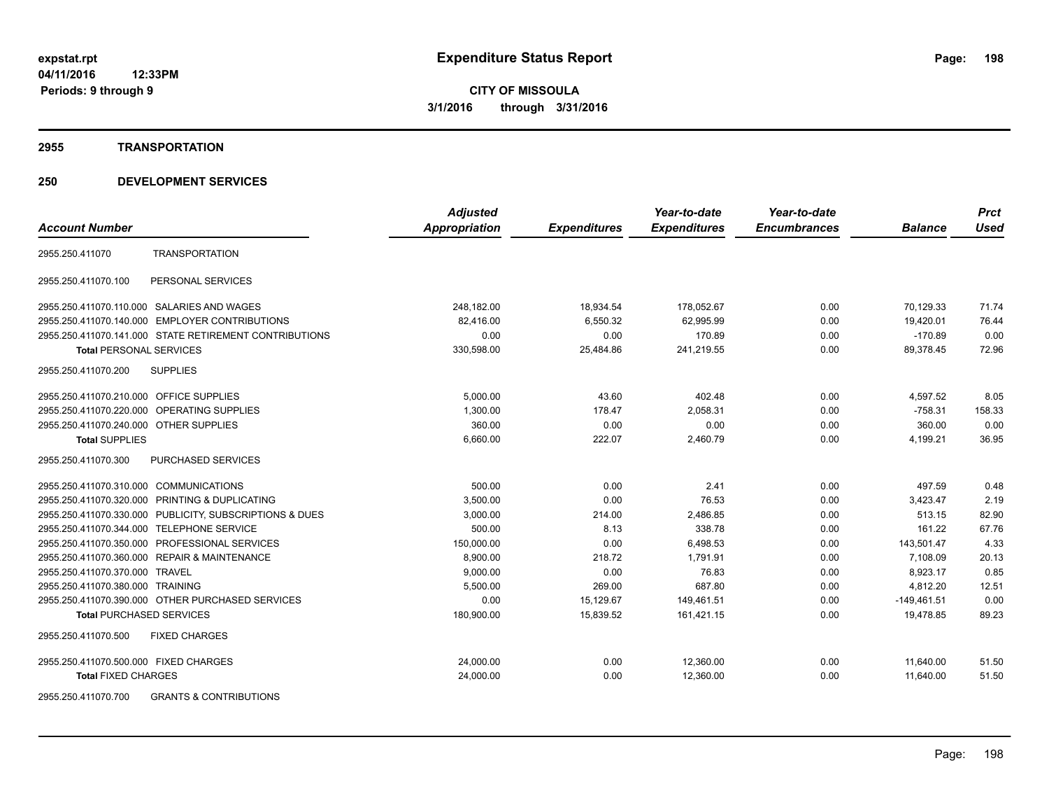#### **2955 TRANSPORTATION**

|                                                            | <b>Adjusted</b> |                     | Year-to-date        | Year-to-date        |                | <b>Prct</b> |
|------------------------------------------------------------|-----------------|---------------------|---------------------|---------------------|----------------|-------------|
| <b>Account Number</b>                                      | Appropriation   | <b>Expenditures</b> | <b>Expenditures</b> | <b>Encumbrances</b> | <b>Balance</b> | <b>Used</b> |
| <b>TRANSPORTATION</b><br>2955.250.411070                   |                 |                     |                     |                     |                |             |
| PERSONAL SERVICES<br>2955.250.411070.100                   |                 |                     |                     |                     |                |             |
| 2955.250.411070.110.000 SALARIES AND WAGES                 | 248,182.00      | 18,934.54           | 178,052.67          | 0.00                | 70,129.33      | 71.74       |
| 2955.250.411070.140.000 EMPLOYER CONTRIBUTIONS             | 82,416.00       | 6,550.32            | 62,995.99           | 0.00                | 19,420.01      | 76.44       |
| 2955.250.411070.141.000 STATE RETIREMENT CONTRIBUTIONS     | 0.00            | 0.00                | 170.89              | 0.00                | $-170.89$      | 0.00        |
| <b>Total PERSONAL SERVICES</b>                             | 330,598.00      | 25,484.86           | 241,219.55          | 0.00                | 89.378.45      | 72.96       |
| 2955.250.411070.200<br><b>SUPPLIES</b>                     |                 |                     |                     |                     |                |             |
| 2955.250.411070.210.000 OFFICE SUPPLIES                    | 5,000.00        | 43.60               | 402.48              | 0.00                | 4,597.52       | 8.05        |
| 2955.250.411070.220.000 OPERATING SUPPLIES                 | 1,300.00        | 178.47              | 2,058.31            | 0.00                | $-758.31$      | 158.33      |
| 2955.250.411070.240.000 OTHER SUPPLIES                     | 360.00          | 0.00                | 0.00                | 0.00                | 360.00         | 0.00        |
| <b>Total SUPPLIES</b>                                      | 6,660.00        | 222.07              | 2,460.79            | 0.00                | 4,199.21       | 36.95       |
| 2955.250.411070.300<br>PURCHASED SERVICES                  |                 |                     |                     |                     |                |             |
| 2955.250.411070.310.000 COMMUNICATIONS                     | 500.00          | 0.00                | 2.41                | 0.00                | 497.59         | 0.48        |
| 2955.250.411070.320.000 PRINTING & DUPLICATING             | 3,500.00        | 0.00                | 76.53               | 0.00                | 3,423.47       | 2.19        |
| PUBLICITY, SUBSCRIPTIONS & DUES<br>2955.250.411070.330.000 | 3,000.00        | 214.00              | 2,486.85            | 0.00                | 513.15         | 82.90       |
| 2955.250.411070.344.000<br><b>TELEPHONE SERVICE</b>        | 500.00          | 8.13                | 338.78              | 0.00                | 161.22         | 67.76       |
| 2955.250.411070.350.000 PROFESSIONAL SERVICES              | 150,000.00      | 0.00                | 6,498.53            | 0.00                | 143,501.47     | 4.33        |
| <b>REPAIR &amp; MAINTENANCE</b><br>2955.250.411070.360.000 | 8,900.00        | 218.72              | 1,791.91            | 0.00                | 7,108.09       | 20.13       |
| 2955.250.411070.370.000 TRAVEL                             | 9,000.00        | 0.00                | 76.83               | 0.00                | 8,923.17       | 0.85        |
| 2955.250.411070.380.000 TRAINING                           | 5,500.00        | 269.00              | 687.80              | 0.00                | 4,812.20       | 12.51       |
| 2955.250.411070.390.000 OTHER PURCHASED SERVICES           | 0.00            | 15,129.67           | 149,461.51          | 0.00                | $-149,461.51$  | 0.00        |
| <b>Total PURCHASED SERVICES</b>                            | 180,900.00      | 15,839.52           | 161,421.15          | 0.00                | 19.478.85      | 89.23       |
| <b>FIXED CHARGES</b><br>2955.250.411070.500                |                 |                     |                     |                     |                |             |
| 2955.250.411070.500.000 FIXED CHARGES                      | 24,000.00       | 0.00                | 12,360.00           | 0.00                | 11,640.00      | 51.50       |
| <b>Total FIXED CHARGES</b>                                 | 24,000.00       | 0.00                | 12,360.00           | 0.00                | 11,640.00      | 51.50       |
| 2955.250.411070.700<br><b>GRANTS &amp; CONTRIBUTIONS</b>   |                 |                     |                     |                     |                |             |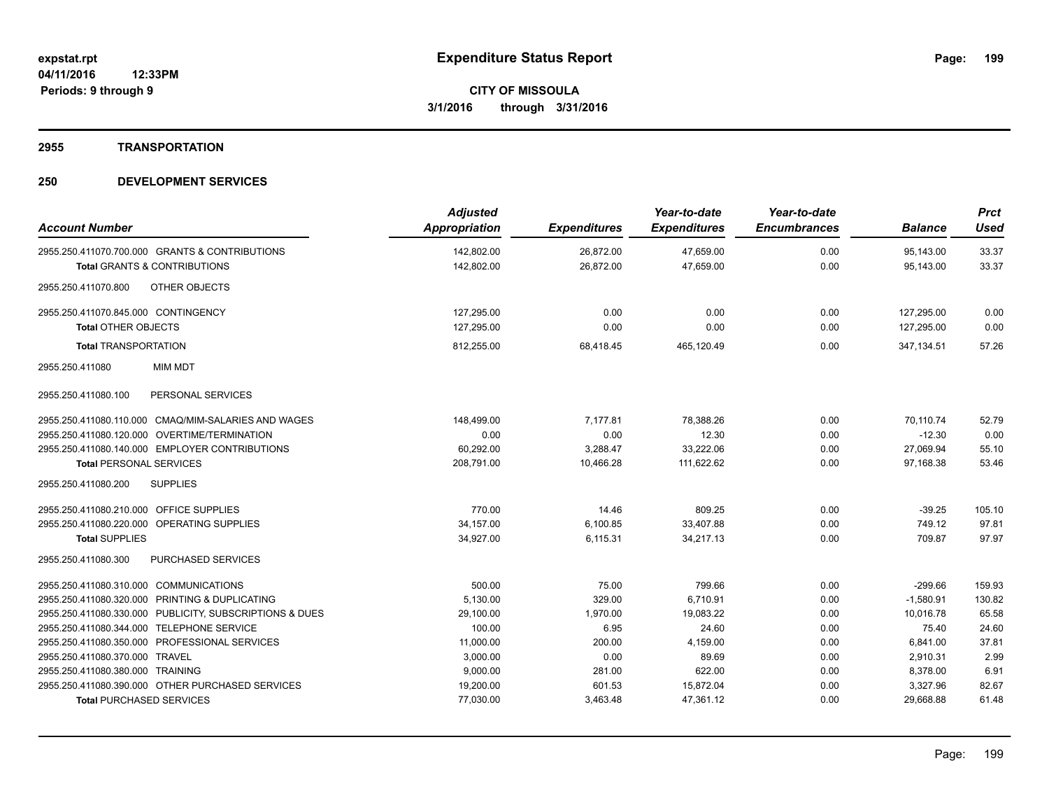#### **2955 TRANSPORTATION**

| <b>Account Number</b>                                   | <b>Adjusted</b><br>Appropriation | <b>Expenditures</b> | Year-to-date<br><b>Expenditures</b> | Year-to-date<br><b>Encumbrances</b> | <b>Balance</b> | <b>Prct</b><br><b>Used</b> |
|---------------------------------------------------------|----------------------------------|---------------------|-------------------------------------|-------------------------------------|----------------|----------------------------|
| 2955.250.411070.700.000 GRANTS & CONTRIBUTIONS          | 142,802.00                       | 26,872.00           | 47,659.00                           | 0.00                                | 95,143.00      | 33.37                      |
| <b>Total GRANTS &amp; CONTRIBUTIONS</b>                 | 142,802.00                       | 26,872.00           | 47,659.00                           | 0.00                                | 95,143.00      | 33.37                      |
| <b>OTHER OBJECTS</b><br>2955.250.411070.800             |                                  |                     |                                     |                                     |                |                            |
| 2955.250.411070.845.000 CONTINGENCY                     | 127.295.00                       | 0.00                | 0.00                                | 0.00                                | 127,295.00     | 0.00                       |
| <b>Total OTHER OBJECTS</b>                              | 127,295.00                       | 0.00                | 0.00                                | 0.00                                | 127,295.00     | 0.00                       |
| <b>Total TRANSPORTATION</b>                             | 812,255.00                       | 68,418.45           | 465,120.49                          | 0.00                                | 347, 134.51    | 57.26                      |
| <b>MIM MDT</b><br>2955.250.411080                       |                                  |                     |                                     |                                     |                |                            |
| PERSONAL SERVICES<br>2955.250.411080.100                |                                  |                     |                                     |                                     |                |                            |
| 2955.250.411080.110.000 CMAQ/MIM-SALARIES AND WAGES     | 148,499.00                       | 7,177.81            | 78,388.26                           | 0.00                                | 70,110.74      | 52.79                      |
| 2955.250.411080.120.000 OVERTIME/TERMINATION            | 0.00                             | 0.00                | 12.30                               | 0.00                                | $-12.30$       | 0.00                       |
| 2955.250.411080.140.000 EMPLOYER CONTRIBUTIONS          | 60,292.00                        | 3,288.47            | 33,222.06                           | 0.00                                | 27,069.94      | 55.10                      |
| <b>Total PERSONAL SERVICES</b>                          | 208,791.00                       | 10,466.28           | 111,622.62                          | 0.00                                | 97,168.38      | 53.46                      |
| <b>SUPPLIES</b><br>2955.250.411080.200                  |                                  |                     |                                     |                                     |                |                            |
| 2955.250.411080.210.000 OFFICE SUPPLIES                 | 770.00                           | 14.46               | 809.25                              | 0.00                                | $-39.25$       | 105.10                     |
| 2955.250.411080.220.000 OPERATING SUPPLIES              | 34,157.00                        | 6,100.85            | 33,407.88                           | 0.00                                | 749.12         | 97.81                      |
| <b>Total SUPPLIES</b>                                   | 34,927.00                        | 6,115.31            | 34,217.13                           | 0.00                                | 709.87         | 97.97                      |
| PURCHASED SERVICES<br>2955.250.411080.300               |                                  |                     |                                     |                                     |                |                            |
| 2955.250.411080.310.000 COMMUNICATIONS                  | 500.00                           | 75.00               | 799.66                              | 0.00                                | $-299.66$      | 159.93                     |
| 2955.250.411080.320.000 PRINTING & DUPLICATING          | 5,130.00                         | 329.00              | 6,710.91                            | 0.00                                | $-1,580.91$    | 130.82                     |
| 2955.250.411080.330.000 PUBLICITY, SUBSCRIPTIONS & DUES | 29,100.00                        | 1,970.00            | 19,083.22                           | 0.00                                | 10,016.78      | 65.58                      |
| 2955.250.411080.344.000 TELEPHONE SERVICE               | 100.00                           | 6.95                | 24.60                               | 0.00                                | 75.40          | 24.60                      |
| 2955.250.411080.350.000 PROFESSIONAL SERVICES           | 11,000.00                        | 200.00              | 4,159.00                            | 0.00                                | 6,841.00       | 37.81                      |
| 2955.250.411080.370.000 TRAVEL                          | 3,000.00                         | 0.00                | 89.69                               | 0.00                                | 2,910.31       | 2.99                       |
| 2955.250.411080.380.000 TRAINING                        | 9,000.00                         | 281.00              | 622.00                              | 0.00                                | 8,378.00       | 6.91                       |
| 2955.250.411080.390.000 OTHER PURCHASED SERVICES        | 19,200.00                        | 601.53              | 15,872.04                           | 0.00                                | 3,327.96       | 82.67                      |
| <b>Total PURCHASED SERVICES</b>                         | 77,030.00                        | 3,463.48            | 47,361.12                           | 0.00                                | 29,668.88      | 61.48                      |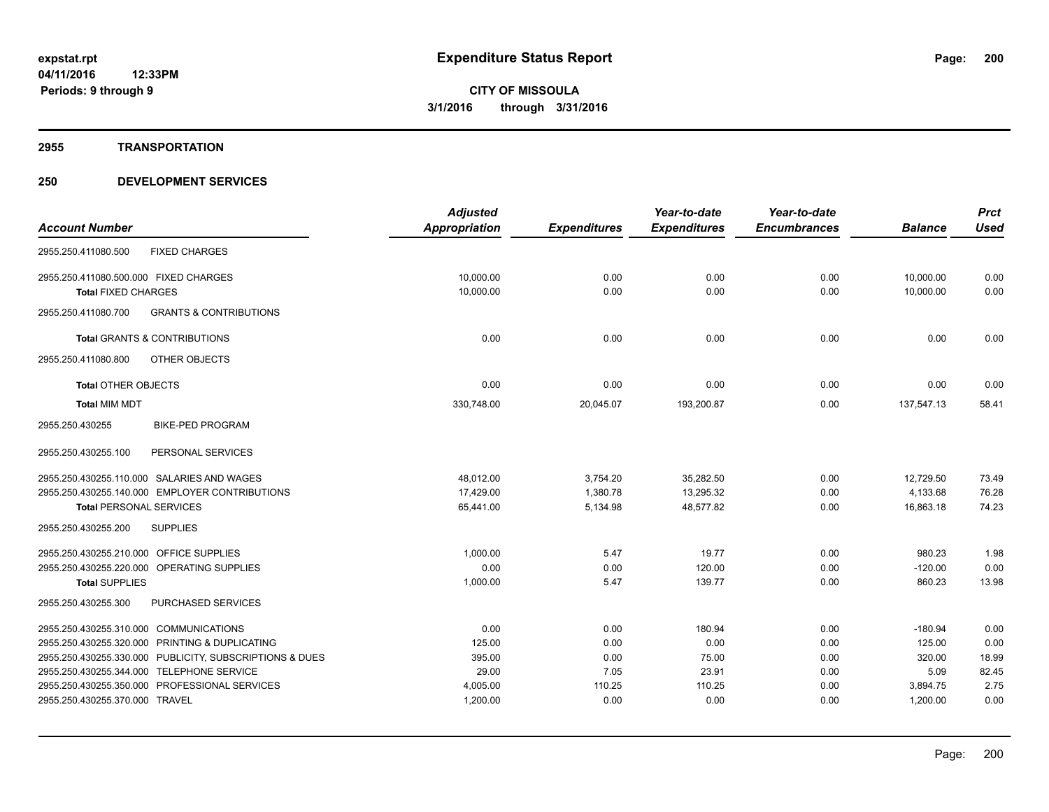#### **2955 TRANSPORTATION**

|                                                                                 | <b>Adjusted</b>      |                     | Year-to-date        | Year-to-date        |                      | <b>Prct</b>  |
|---------------------------------------------------------------------------------|----------------------|---------------------|---------------------|---------------------|----------------------|--------------|
| <b>Account Number</b>                                                           | <b>Appropriation</b> | <b>Expenditures</b> | <b>Expenditures</b> | <b>Encumbrances</b> | <b>Balance</b>       | <b>Used</b>  |
| <b>FIXED CHARGES</b><br>2955.250.411080.500                                     |                      |                     |                     |                     |                      |              |
| 2955.250.411080.500.000 FIXED CHARGES                                           | 10,000.00            | 0.00                | 0.00                | 0.00                | 10,000.00            | 0.00         |
| <b>Total FIXED CHARGES</b>                                                      | 10,000.00            | 0.00                | 0.00                | 0.00                | 10,000.00            | 0.00         |
| <b>GRANTS &amp; CONTRIBUTIONS</b><br>2955.250.411080.700                        |                      |                     |                     |                     |                      |              |
| <b>Total GRANTS &amp; CONTRIBUTIONS</b>                                         | 0.00                 | 0.00                | 0.00                | 0.00                | 0.00                 | 0.00         |
| 2955.250.411080.800<br>OTHER OBJECTS                                            |                      |                     |                     |                     |                      |              |
| <b>Total OTHER OBJECTS</b>                                                      | 0.00                 | 0.00                | 0.00                | 0.00                | 0.00                 | 0.00         |
| <b>Total MIM MDT</b>                                                            | 330,748.00           | 20,045.07           | 193,200.87          | 0.00                | 137,547.13           | 58.41        |
| <b>BIKE-PED PROGRAM</b><br>2955.250.430255                                      |                      |                     |                     |                     |                      |              |
| 2955.250.430255.100<br>PERSONAL SERVICES                                        |                      |                     |                     |                     |                      |              |
| 2955.250.430255.110.000 SALARIES AND WAGES                                      | 48,012.00            | 3,754.20            | 35,282.50           | 0.00                | 12,729.50            | 73.49        |
| 2955.250.430255.140.000 EMPLOYER CONTRIBUTIONS                                  | 17,429.00            | 1,380.78            | 13,295.32           | 0.00                | 4,133.68             | 76.28        |
| <b>Total PERSONAL SERVICES</b>                                                  | 65,441.00            | 5,134.98            | 48,577.82           | 0.00                | 16,863.18            | 74.23        |
| 2955.250.430255.200<br><b>SUPPLIES</b>                                          |                      |                     |                     |                     |                      |              |
| 2955.250.430255.210.000 OFFICE SUPPLIES                                         | 1,000.00             | 5.47                | 19.77               | 0.00                | 980.23               | 1.98         |
| 2955.250.430255.220.000 OPERATING SUPPLIES                                      | 0.00                 | 0.00                | 120.00              | 0.00                | $-120.00$            | 0.00         |
| <b>Total SUPPLIES</b>                                                           | 1,000.00             | 5.47                | 139.77              | 0.00                | 860.23               | 13.98        |
| PURCHASED SERVICES<br>2955.250.430255.300                                       |                      |                     |                     |                     |                      |              |
| 2955.250.430255.310.000 COMMUNICATIONS                                          | 0.00                 | 0.00                | 180.94              | 0.00                | $-180.94$            | 0.00         |
| 2955.250.430255.320.000 PRINTING & DUPLICATING                                  | 125.00               | 0.00                | 0.00                | 0.00                | 125.00               | 0.00         |
| 2955.250.430255.330.000 PUBLICITY, SUBSCRIPTIONS & DUES                         | 395.00               | 0.00                | 75.00               | 0.00                | 320.00               | 18.99        |
| 2955.250.430255.344.000 TELEPHONE SERVICE                                       | 29.00                | 7.05                | 23.91               | 0.00                | 5.09                 | 82.45        |
| 2955.250.430255.350.000 PROFESSIONAL SERVICES<br>2955.250.430255.370.000 TRAVEL | 4,005.00             | 110.25<br>0.00      | 110.25<br>0.00      | 0.00<br>0.00        | 3,894.75<br>1,200.00 | 2.75<br>0.00 |
|                                                                                 | 1,200.00             |                     |                     |                     |                      |              |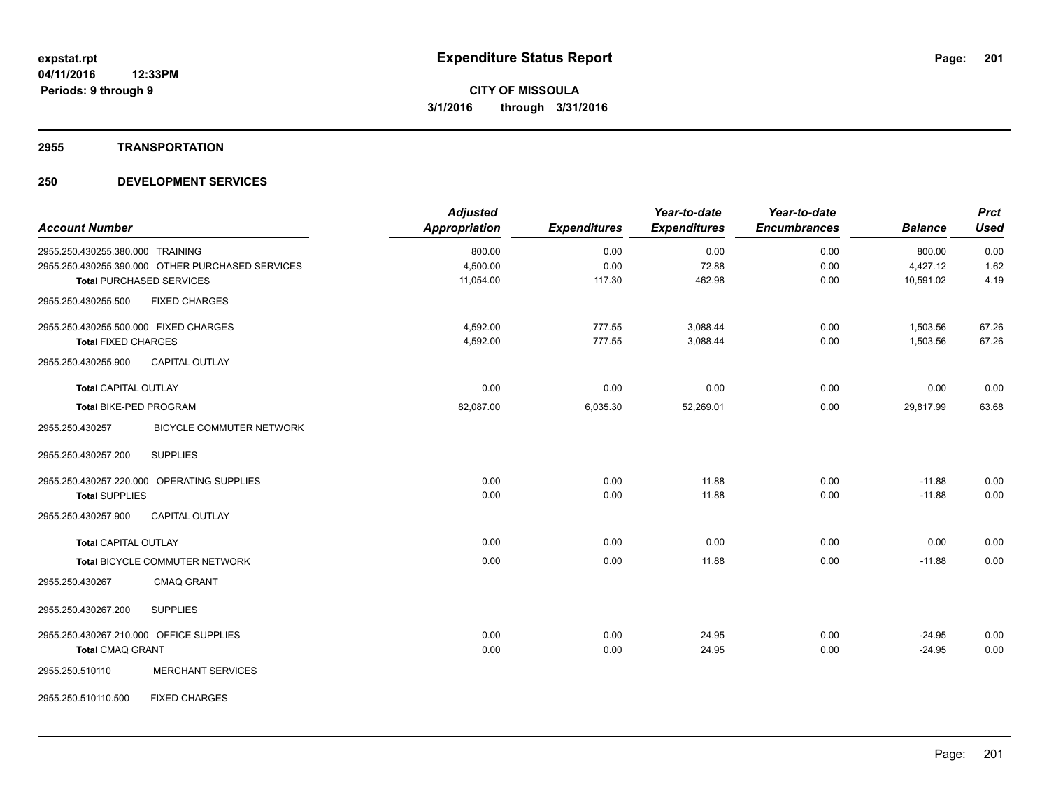#### **2955 TRANSPORTATION**

| <b>Account Number</b>                   |                                                  | <b>Adjusted</b><br><b>Appropriation</b> | <b>Expenditures</b> | Year-to-date<br><b>Expenditures</b> | Year-to-date<br><b>Encumbrances</b> | <b>Balance</b> | <b>Prct</b><br><b>Used</b> |
|-----------------------------------------|--------------------------------------------------|-----------------------------------------|---------------------|-------------------------------------|-------------------------------------|----------------|----------------------------|
| 2955.250.430255.380.000 TRAINING        |                                                  | 800.00                                  | 0.00                | 0.00                                | 0.00                                | 800.00         | 0.00                       |
|                                         | 2955.250.430255.390.000 OTHER PURCHASED SERVICES | 4,500.00                                | 0.00                | 72.88                               | 0.00                                | 4,427.12       | 1.62                       |
|                                         | <b>Total PURCHASED SERVICES</b>                  | 11,054.00                               | 117.30              | 462.98                              | 0.00                                | 10,591.02      | 4.19                       |
| 2955.250.430255.500                     | <b>FIXED CHARGES</b>                             |                                         |                     |                                     |                                     |                |                            |
| 2955.250.430255.500.000 FIXED CHARGES   |                                                  | 4,592.00                                | 777.55              | 3,088.44                            | 0.00                                | 1,503.56       | 67.26                      |
| <b>Total FIXED CHARGES</b>              |                                                  | 4,592.00                                | 777.55              | 3,088.44                            | 0.00                                | 1,503.56       | 67.26                      |
| 2955.250.430255.900                     | <b>CAPITAL OUTLAY</b>                            |                                         |                     |                                     |                                     |                |                            |
| <b>Total CAPITAL OUTLAY</b>             |                                                  | 0.00                                    | 0.00                | 0.00                                | 0.00                                | 0.00           | 0.00                       |
| <b>Total BIKE-PED PROGRAM</b>           |                                                  | 82,087.00                               | 6,035.30            | 52,269.01                           | 0.00                                | 29,817.99      | 63.68                      |
| 2955.250.430257                         | <b>BICYCLE COMMUTER NETWORK</b>                  |                                         |                     |                                     |                                     |                |                            |
| 2955.250.430257.200                     | <b>SUPPLIES</b>                                  |                                         |                     |                                     |                                     |                |                            |
|                                         | 2955.250.430257.220.000 OPERATING SUPPLIES       | 0.00                                    | 0.00                | 11.88                               | 0.00                                | $-11.88$       | 0.00                       |
| <b>Total SUPPLIES</b>                   |                                                  | 0.00                                    | 0.00                | 11.88                               | 0.00                                | $-11.88$       | 0.00                       |
| 2955.250.430257.900                     | <b>CAPITAL OUTLAY</b>                            |                                         |                     |                                     |                                     |                |                            |
| <b>Total CAPITAL OUTLAY</b>             |                                                  | 0.00                                    | 0.00                | 0.00                                | 0.00                                | 0.00           | 0.00                       |
|                                         | Total BICYCLE COMMUTER NETWORK                   | 0.00                                    | 0.00                | 11.88                               | 0.00                                | $-11.88$       | 0.00                       |
| 2955.250.430267                         | <b>CMAQ GRANT</b>                                |                                         |                     |                                     |                                     |                |                            |
| 2955.250.430267.200                     | <b>SUPPLIES</b>                                  |                                         |                     |                                     |                                     |                |                            |
| 2955.250.430267.210.000 OFFICE SUPPLIES |                                                  | 0.00                                    | 0.00                | 24.95                               | 0.00                                | $-24.95$       | 0.00                       |
| <b>Total CMAQ GRANT</b>                 |                                                  | 0.00                                    | 0.00                | 24.95                               | 0.00                                | $-24.95$       | 0.00                       |
| 2955.250.510110                         | <b>MERCHANT SERVICES</b>                         |                                         |                     |                                     |                                     |                |                            |
| 2955.250.510110.500                     | <b>FIXED CHARGES</b>                             |                                         |                     |                                     |                                     |                |                            |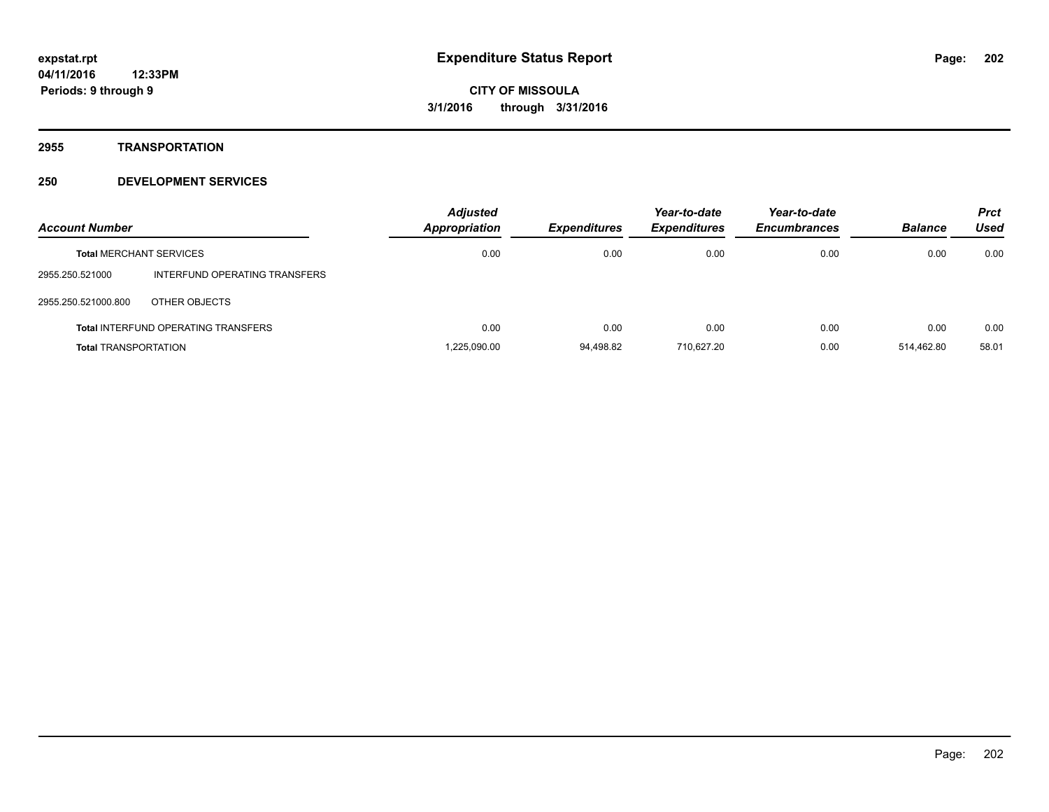**2955 TRANSPORTATION**

| <b>Account Number</b>       |                                            | <b>Adjusted</b><br>Appropriation | <b>Expenditures</b> | Year-to-date<br><b>Expenditures</b> | Year-to-date<br><b>Encumbrances</b> | <b>Balance</b> | <b>Prct</b><br>Used |
|-----------------------------|--------------------------------------------|----------------------------------|---------------------|-------------------------------------|-------------------------------------|----------------|---------------------|
|                             | <b>Total MERCHANT SERVICES</b>             | 0.00                             | 0.00                | 0.00                                | 0.00                                | 0.00           | 0.00                |
| 2955.250.521000             | INTERFUND OPERATING TRANSFERS              |                                  |                     |                                     |                                     |                |                     |
| 2955.250.521000.800         | OTHER OBJECTS                              |                                  |                     |                                     |                                     |                |                     |
|                             | <b>Total INTERFUND OPERATING TRANSFERS</b> | 0.00                             | 0.00                | 0.00                                | 0.00                                | 0.00           | 0.00                |
| <b>Total TRANSPORTATION</b> |                                            | 1.225.090.00                     | 94.498.82           | 710.627.20                          | 0.00                                | 514.462.80     | 58.01               |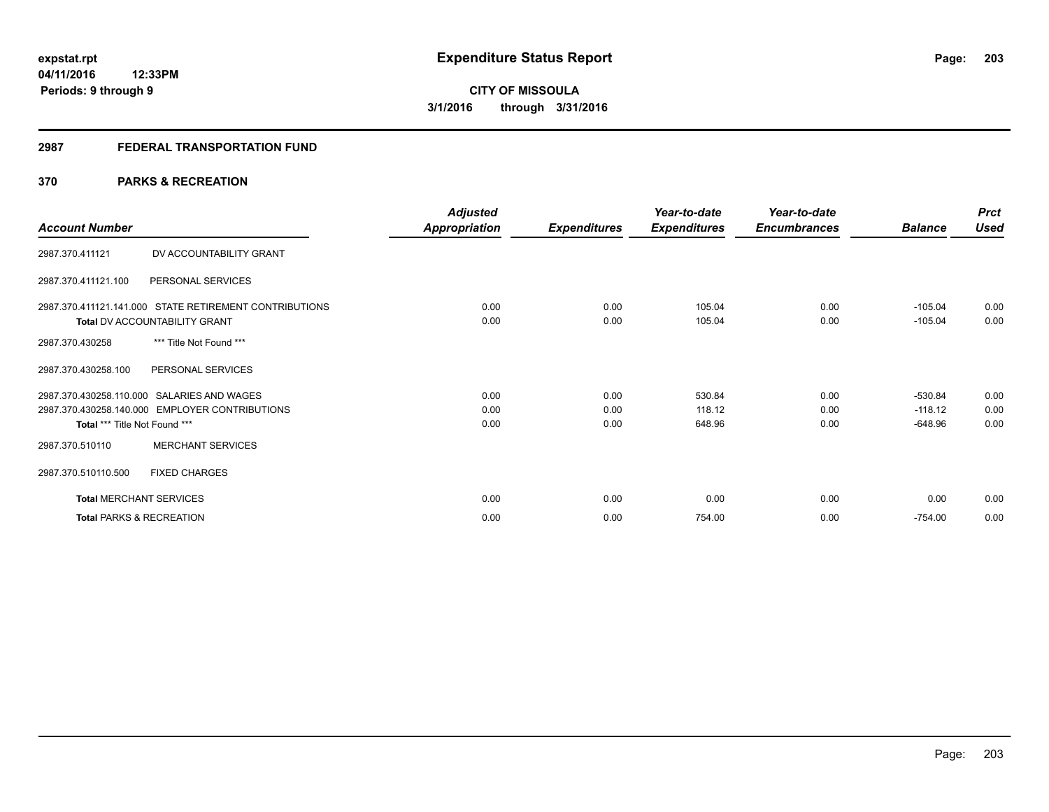# **2987 FEDERAL TRANSPORTATION FUND**

# **370 PARKS & RECREATION**

| <b>Account Number</b>          |                                                                                              | <b>Adjusted</b><br><b>Appropriation</b> | <b>Expenditures</b>  | Year-to-date<br><b>Expenditures</b> | Year-to-date<br><b>Encumbrances</b> | <b>Balance</b>                      | <b>Prct</b><br><b>Used</b> |
|--------------------------------|----------------------------------------------------------------------------------------------|-----------------------------------------|----------------------|-------------------------------------|-------------------------------------|-------------------------------------|----------------------------|
| 2987.370.411121                | DV ACCOUNTABILITY GRANT                                                                      |                                         |                      |                                     |                                     |                                     |                            |
| 2987.370.411121.100            | PERSONAL SERVICES                                                                            |                                         |                      |                                     |                                     |                                     |                            |
|                                | 2987.370.411121.141.000 STATE RETIREMENT CONTRIBUTIONS<br>Total DV ACCOUNTABILITY GRANT      | 0.00<br>0.00                            | 0.00<br>0.00         | 105.04<br>105.04                    | 0.00<br>0.00                        | $-105.04$<br>$-105.04$              | 0.00<br>0.00               |
| 2987.370.430258                | *** Title Not Found ***                                                                      |                                         |                      |                                     |                                     |                                     |                            |
| 2987.370.430258.100            | PERSONAL SERVICES                                                                            |                                         |                      |                                     |                                     |                                     |                            |
| Total *** Title Not Found ***  | 2987.370.430258.110.000 SALARIES AND WAGES<br>2987.370.430258.140.000 EMPLOYER CONTRIBUTIONS | 0.00<br>0.00<br>0.00                    | 0.00<br>0.00<br>0.00 | 530.84<br>118.12<br>648.96          | 0.00<br>0.00<br>0.00                | $-530.84$<br>$-118.12$<br>$-648.96$ | 0.00<br>0.00<br>0.00       |
| 2987.370.510110                | <b>MERCHANT SERVICES</b>                                                                     |                                         |                      |                                     |                                     |                                     |                            |
| 2987.370.510110.500            | <b>FIXED CHARGES</b>                                                                         |                                         |                      |                                     |                                     |                                     |                            |
| <b>Total MERCHANT SERVICES</b> |                                                                                              | 0.00                                    | 0.00                 | 0.00                                | 0.00                                | 0.00                                | 0.00                       |
|                                | <b>Total PARKS &amp; RECREATION</b>                                                          | 0.00                                    | 0.00                 | 754.00                              | 0.00                                | $-754.00$                           | 0.00                       |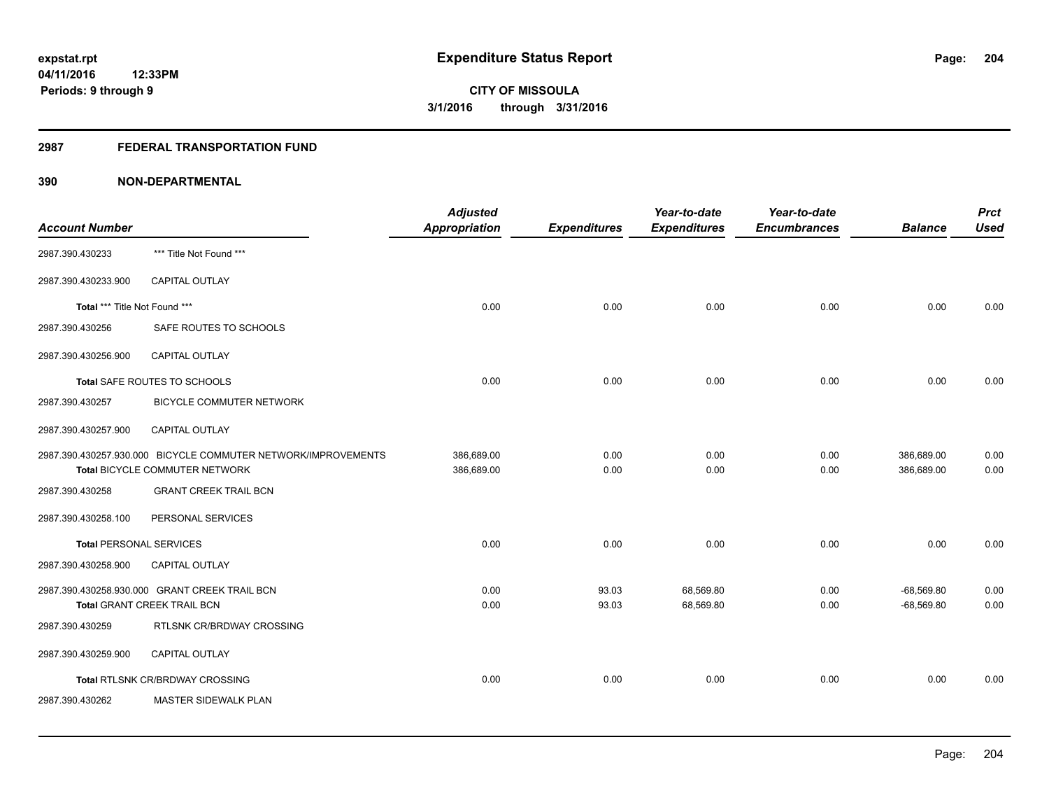# **2987 FEDERAL TRANSPORTATION FUND**

| <b>Account Number</b>          |                                                                                                 | <b>Adjusted</b><br>Appropriation | <b>Expenditures</b> | Year-to-date<br><b>Expenditures</b> | Year-to-date<br><b>Encumbrances</b> | <b>Balance</b>               | <b>Prct</b><br><b>Used</b> |
|--------------------------------|-------------------------------------------------------------------------------------------------|----------------------------------|---------------------|-------------------------------------|-------------------------------------|------------------------------|----------------------------|
| 2987.390.430233                | *** Title Not Found ***                                                                         |                                  |                     |                                     |                                     |                              |                            |
| 2987.390.430233.900            | CAPITAL OUTLAY                                                                                  |                                  |                     |                                     |                                     |                              |                            |
| Total *** Title Not Found ***  |                                                                                                 | 0.00                             | 0.00                | 0.00                                | 0.00                                | 0.00                         | 0.00                       |
| 2987.390.430256                | SAFE ROUTES TO SCHOOLS                                                                          |                                  |                     |                                     |                                     |                              |                            |
| 2987.390.430256.900            | <b>CAPITAL OUTLAY</b>                                                                           |                                  |                     |                                     |                                     |                              |                            |
|                                | Total SAFE ROUTES TO SCHOOLS                                                                    | 0.00                             | 0.00                | 0.00                                | 0.00                                | 0.00                         | 0.00                       |
| 2987.390.430257                | BICYCLE COMMUTER NETWORK                                                                        |                                  |                     |                                     |                                     |                              |                            |
| 2987.390.430257.900            | <b>CAPITAL OUTLAY</b>                                                                           |                                  |                     |                                     |                                     |                              |                            |
|                                | 2987.390.430257.930.000 BICYCLE COMMUTER NETWORK/IMPROVEMENTS<br>Total BICYCLE COMMUTER NETWORK | 386,689.00<br>386,689.00         | 0.00<br>0.00        | 0.00<br>0.00                        | 0.00<br>0.00                        | 386,689.00<br>386,689.00     | 0.00<br>0.00               |
| 2987.390.430258                | <b>GRANT CREEK TRAIL BCN</b>                                                                    |                                  |                     |                                     |                                     |                              |                            |
| 2987.390.430258.100            | PERSONAL SERVICES                                                                               |                                  |                     |                                     |                                     |                              |                            |
| <b>Total PERSONAL SERVICES</b> |                                                                                                 | 0.00                             | 0.00                | 0.00                                | 0.00                                | 0.00                         | 0.00                       |
| 2987.390.430258.900            | CAPITAL OUTLAY                                                                                  |                                  |                     |                                     |                                     |                              |                            |
|                                | 2987.390.430258.930.000 GRANT CREEK TRAIL BCN<br><b>Total GRANT CREEK TRAIL BCN</b>             | 0.00<br>0.00                     | 93.03<br>93.03      | 68,569.80<br>68,569.80              | 0.00<br>0.00                        | $-68,569.80$<br>$-68,569.80$ | 0.00<br>0.00               |
| 2987.390.430259                | RTLSNK CR/BRDWAY CROSSING                                                                       |                                  |                     |                                     |                                     |                              |                            |
| 2987.390.430259.900            | <b>CAPITAL OUTLAY</b>                                                                           |                                  |                     |                                     |                                     |                              |                            |
|                                | Total RTLSNK CR/BRDWAY CROSSING                                                                 | 0.00                             | 0.00                | 0.00                                | 0.00                                | 0.00                         | 0.00                       |
| 2987.390.430262                | MASTER SIDEWALK PLAN                                                                            |                                  |                     |                                     |                                     |                              |                            |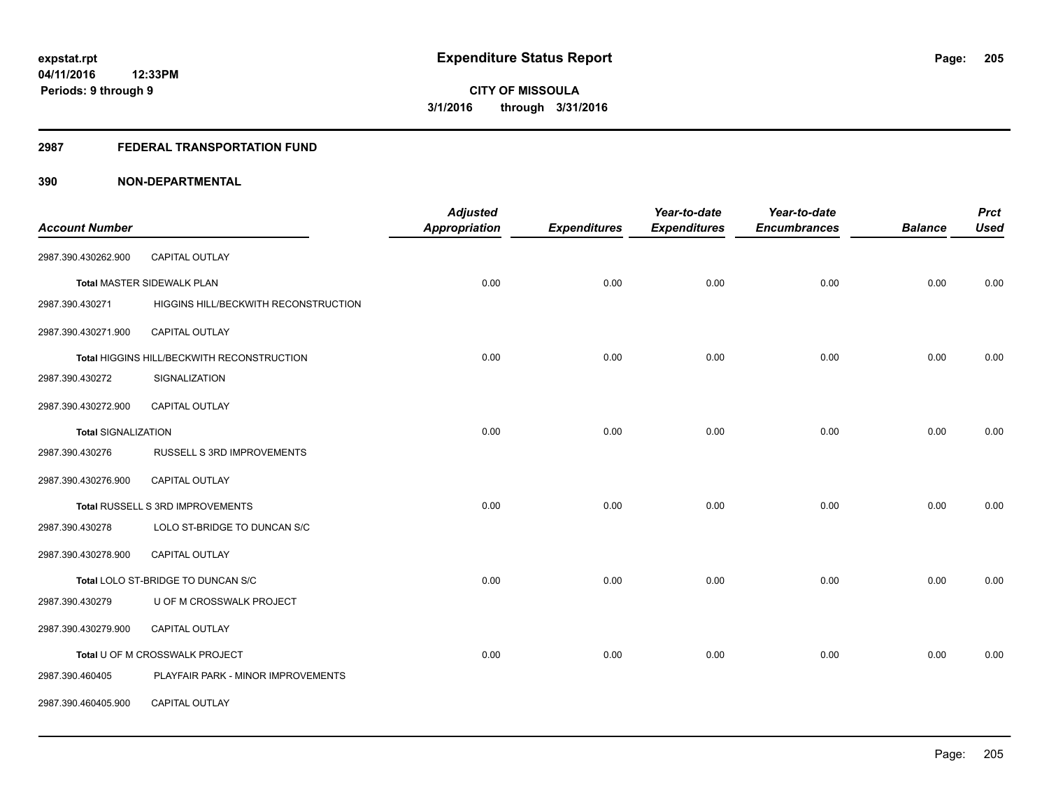#### **2987 FEDERAL TRANSPORTATION FUND**

| <b>Account Number</b>      |                                            | <b>Adjusted</b><br><b>Appropriation</b> | <b>Expenditures</b> | Year-to-date<br><b>Expenditures</b> | Year-to-date<br><b>Encumbrances</b> | <b>Balance</b> | <b>Prct</b><br><b>Used</b> |
|----------------------------|--------------------------------------------|-----------------------------------------|---------------------|-------------------------------------|-------------------------------------|----------------|----------------------------|
|                            |                                            |                                         |                     |                                     |                                     |                |                            |
| 2987.390.430262.900        | CAPITAL OUTLAY                             |                                         |                     |                                     |                                     |                |                            |
|                            | <b>Total MASTER SIDEWALK PLAN</b>          | 0.00                                    | 0.00                | 0.00                                | 0.00                                | 0.00           | 0.00                       |
| 2987.390.430271            | HIGGINS HILL/BECKWITH RECONSTRUCTION       |                                         |                     |                                     |                                     |                |                            |
| 2987.390.430271.900        | <b>CAPITAL OUTLAY</b>                      |                                         |                     |                                     |                                     |                |                            |
|                            | Total HIGGINS HILL/BECKWITH RECONSTRUCTION | 0.00                                    | 0.00                | 0.00                                | 0.00                                | 0.00           | 0.00                       |
| 2987.390.430272            | SIGNALIZATION                              |                                         |                     |                                     |                                     |                |                            |
| 2987.390.430272.900        | <b>CAPITAL OUTLAY</b>                      |                                         |                     |                                     |                                     |                |                            |
| <b>Total SIGNALIZATION</b> |                                            | 0.00                                    | 0.00                | 0.00                                | 0.00                                | 0.00           | 0.00                       |
| 2987.390.430276            | RUSSELL S 3RD IMPROVEMENTS                 |                                         |                     |                                     |                                     |                |                            |
| 2987.390.430276.900        | <b>CAPITAL OUTLAY</b>                      |                                         |                     |                                     |                                     |                |                            |
|                            | Total RUSSELL S 3RD IMPROVEMENTS           | 0.00                                    | 0.00                | 0.00                                | 0.00                                | 0.00           | 0.00                       |
| 2987.390.430278            | LOLO ST-BRIDGE TO DUNCAN S/C               |                                         |                     |                                     |                                     |                |                            |
| 2987.390.430278.900        | CAPITAL OUTLAY                             |                                         |                     |                                     |                                     |                |                            |
|                            | Total LOLO ST-BRIDGE TO DUNCAN S/C         | 0.00                                    | 0.00                | 0.00                                | 0.00                                | 0.00           | 0.00                       |
| 2987.390.430279            | U OF M CROSSWALK PROJECT                   |                                         |                     |                                     |                                     |                |                            |
| 2987.390.430279.900        | CAPITAL OUTLAY                             |                                         |                     |                                     |                                     |                |                            |
|                            | Total U OF M CROSSWALK PROJECT             | 0.00                                    | 0.00                | 0.00                                | 0.00                                | 0.00           | 0.00                       |
| 2987.390.460405            | PLAYFAIR PARK - MINOR IMPROVEMENTS         |                                         |                     |                                     |                                     |                |                            |
| 2987.390.460405.900        | CAPITAL OUTLAY                             |                                         |                     |                                     |                                     |                |                            |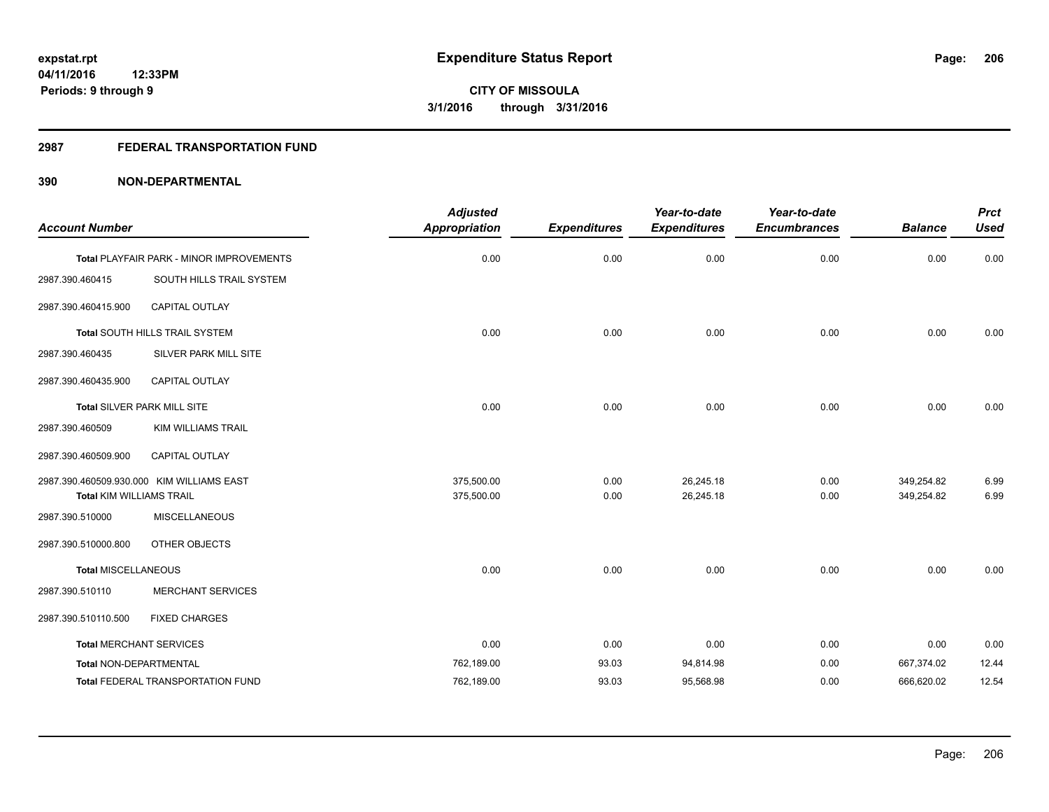# **2987 FEDERAL TRANSPORTATION FUND**

|                                 |                                           | <b>Adjusted</b>      |                     | Year-to-date        | Year-to-date        |                | <b>Prct</b> |
|---------------------------------|-------------------------------------------|----------------------|---------------------|---------------------|---------------------|----------------|-------------|
| <b>Account Number</b>           |                                           | <b>Appropriation</b> | <b>Expenditures</b> | <b>Expenditures</b> | <b>Encumbrances</b> | <b>Balance</b> | <b>Used</b> |
|                                 | Total PLAYFAIR PARK - MINOR IMPROVEMENTS  | 0.00                 | 0.00                | 0.00                | 0.00                | 0.00           | 0.00        |
| 2987.390.460415                 | SOUTH HILLS TRAIL SYSTEM                  |                      |                     |                     |                     |                |             |
| 2987.390.460415.900             | CAPITAL OUTLAY                            |                      |                     |                     |                     |                |             |
|                                 | Total SOUTH HILLS TRAIL SYSTEM            | 0.00                 | 0.00                | 0.00                | 0.00                | 0.00           | 0.00        |
| 2987.390.460435                 | <b>SILVER PARK MILL SITE</b>              |                      |                     |                     |                     |                |             |
| 2987.390.460435.900             | CAPITAL OUTLAY                            |                      |                     |                     |                     |                |             |
|                                 | Total SILVER PARK MILL SITE               | 0.00                 | 0.00                | 0.00                | 0.00                | 0.00           | 0.00        |
| 2987.390.460509                 | <b>KIM WILLIAMS TRAIL</b>                 |                      |                     |                     |                     |                |             |
| 2987.390.460509.900             | CAPITAL OUTLAY                            |                      |                     |                     |                     |                |             |
|                                 | 2987.390.460509.930.000 KIM WILLIAMS EAST | 375,500.00           | 0.00                | 26,245.18           | 0.00                | 349,254.82     | 6.99        |
| <b>Total KIM WILLIAMS TRAIL</b> |                                           | 375,500.00           | 0.00                | 26,245.18           | 0.00                | 349,254.82     | 6.99        |
| 2987.390.510000                 | <b>MISCELLANEOUS</b>                      |                      |                     |                     |                     |                |             |
| 2987.390.510000.800             | OTHER OBJECTS                             |                      |                     |                     |                     |                |             |
| <b>Total MISCELLANEOUS</b>      |                                           | 0.00                 | 0.00                | 0.00                | 0.00                | 0.00           | 0.00        |
| 2987.390.510110                 | <b>MERCHANT SERVICES</b>                  |                      |                     |                     |                     |                |             |
| 2987.390.510110.500             | <b>FIXED CHARGES</b>                      |                      |                     |                     |                     |                |             |
| <b>Total MERCHANT SERVICES</b>  |                                           | 0.00                 | 0.00                | 0.00                | 0.00                | 0.00           | 0.00        |
| Total NON-DEPARTMENTAL          |                                           | 762,189.00           | 93.03               | 94,814.98           | 0.00                | 667,374.02     | 12.44       |
|                                 | <b>Total FEDERAL TRANSPORTATION FUND</b>  | 762,189.00           | 93.03               | 95,568.98           | 0.00                | 666,620.02     | 12.54       |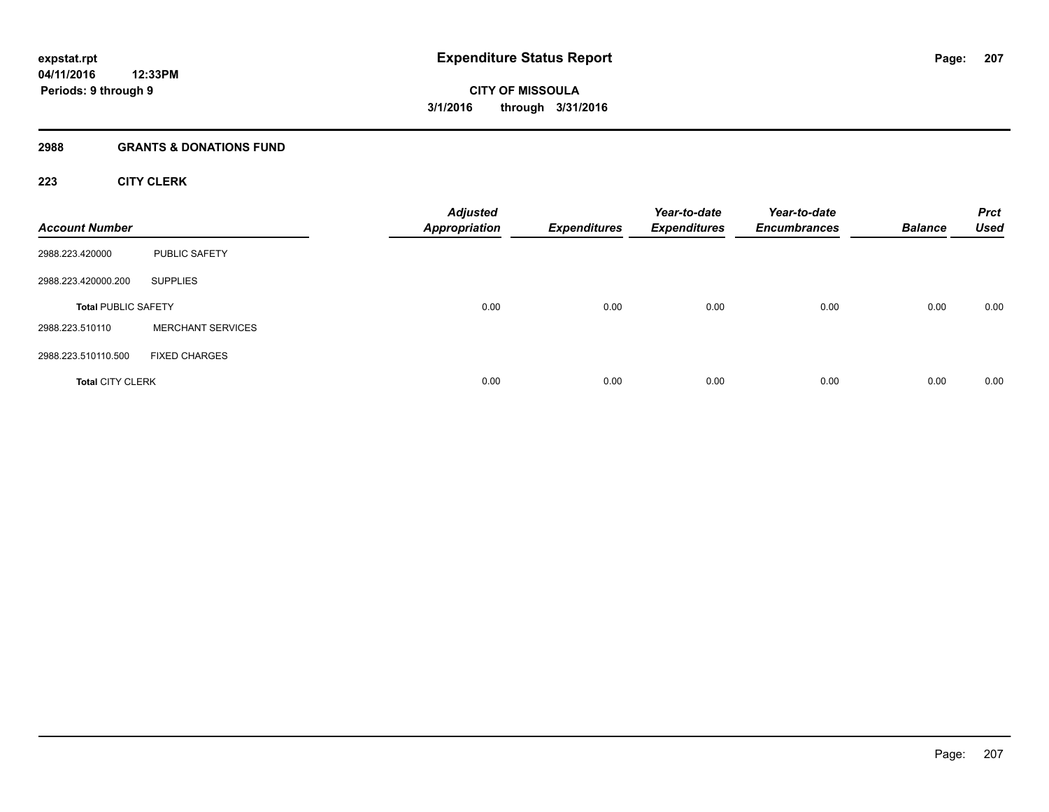# **2988 GRANTS & DONATIONS FUND**

# **223 CITY CLERK**

| <b>Account Number</b>      |                          | <b>Adjusted</b><br><b>Appropriation</b> | <b>Expenditures</b> | Year-to-date<br><b>Expenditures</b> | Year-to-date<br><b>Encumbrances</b> | <b>Balance</b> | <b>Prct</b><br><b>Used</b> |
|----------------------------|--------------------------|-----------------------------------------|---------------------|-------------------------------------|-------------------------------------|----------------|----------------------------|
| 2988.223.420000            | PUBLIC SAFETY            |                                         |                     |                                     |                                     |                |                            |
| 2988.223.420000.200        | <b>SUPPLIES</b>          |                                         |                     |                                     |                                     |                |                            |
| <b>Total PUBLIC SAFETY</b> |                          | 0.00                                    | 0.00                | 0.00                                | 0.00                                | 0.00           | 0.00                       |
| 2988.223.510110            | <b>MERCHANT SERVICES</b> |                                         |                     |                                     |                                     |                |                            |
| 2988.223.510110.500        | <b>FIXED CHARGES</b>     |                                         |                     |                                     |                                     |                |                            |
| <b>Total CITY CLERK</b>    |                          | 0.00                                    | 0.00                | 0.00                                | 0.00                                | 0.00           | 0.00                       |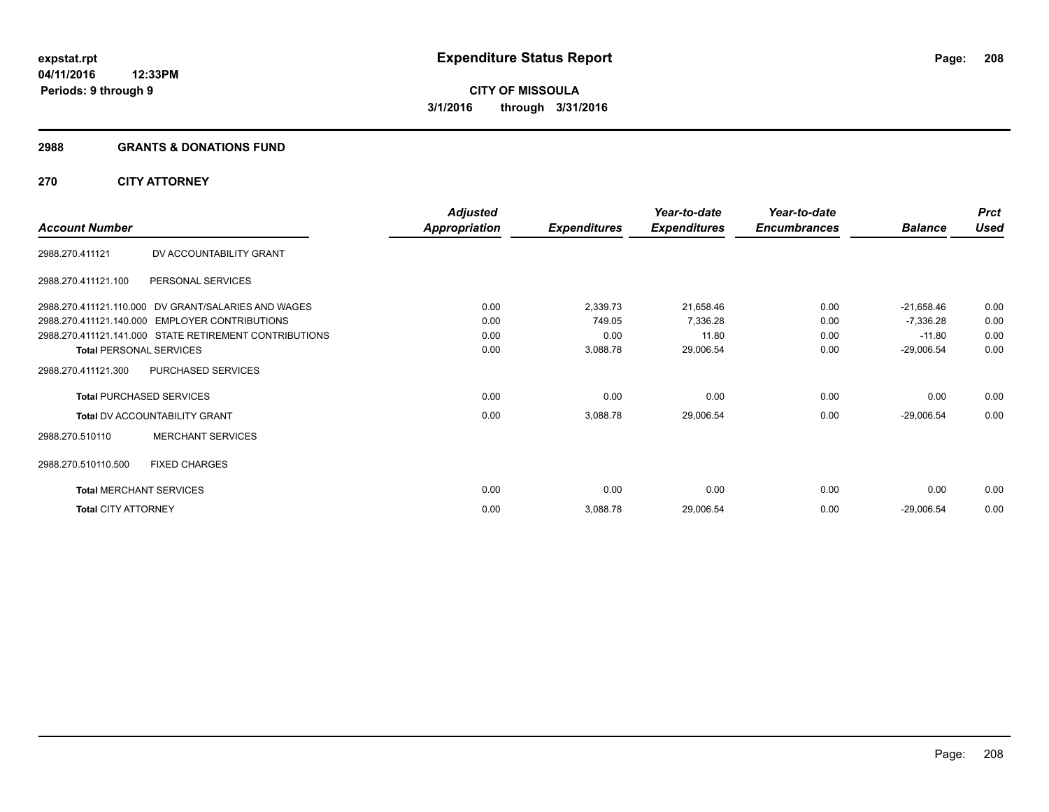#### **2988 GRANTS & DONATIONS FUND**

# **270 CITY ATTORNEY**

|                                |                                                        | <b>Adjusted</b>      |                     | Year-to-date        | Year-to-date        |                | <b>Prct</b> |
|--------------------------------|--------------------------------------------------------|----------------------|---------------------|---------------------|---------------------|----------------|-------------|
| <b>Account Number</b>          |                                                        | <b>Appropriation</b> | <b>Expenditures</b> | <b>Expenditures</b> | <b>Encumbrances</b> | <b>Balance</b> | <b>Used</b> |
| 2988.270.411121                | DV ACCOUNTABILITY GRANT                                |                      |                     |                     |                     |                |             |
| 2988.270.411121.100            | PERSONAL SERVICES                                      |                      |                     |                     |                     |                |             |
|                                | 2988.270.411121.110.000 DV GRANT/SALARIES AND WAGES    | 0.00                 | 2,339.73            | 21,658.46           | 0.00                | $-21,658.46$   | 0.00        |
|                                | 2988.270.411121.140.000 EMPLOYER CONTRIBUTIONS         | 0.00                 | 749.05              | 7,336.28            | 0.00                | $-7,336.28$    | 0.00        |
|                                | 2988.270.411121.141.000 STATE RETIREMENT CONTRIBUTIONS | 0.00                 | 0.00                | 11.80               | 0.00                | $-11.80$       | 0.00        |
| <b>Total PERSONAL SERVICES</b> |                                                        | 0.00                 | 3,088.78            | 29,006.54           | 0.00                | $-29,006.54$   | 0.00        |
| 2988.270.411121.300            | PURCHASED SERVICES                                     |                      |                     |                     |                     |                |             |
|                                | <b>Total PURCHASED SERVICES</b>                        | 0.00                 | 0.00                | 0.00                | 0.00                | 0.00           | 0.00        |
|                                | <b>Total DV ACCOUNTABILITY GRANT</b>                   | 0.00                 | 3,088.78            | 29,006.54           | 0.00                | $-29,006.54$   | 0.00        |
| 2988.270.510110                | <b>MERCHANT SERVICES</b>                               |                      |                     |                     |                     |                |             |
| 2988.270.510110.500            | <b>FIXED CHARGES</b>                                   |                      |                     |                     |                     |                |             |
| <b>Total MERCHANT SERVICES</b> |                                                        | 0.00                 | 0.00                | 0.00                | 0.00                | 0.00           | 0.00        |
| <b>Total CITY ATTORNEY</b>     |                                                        | 0.00                 | 3,088.78            | 29,006.54           | 0.00                | $-29,006.54$   | 0.00        |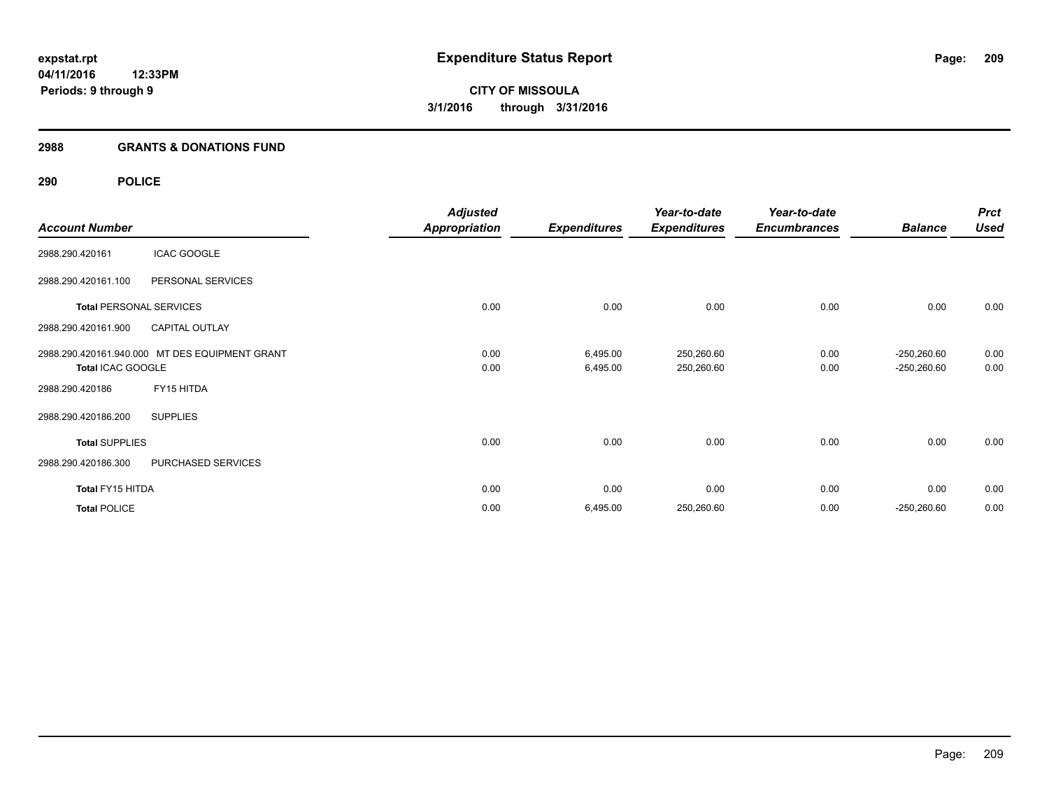#### **2988 GRANTS & DONATIONS FUND**

# **290 POLICE**

|                       |                                                | <b>Adjusted</b>      |                     | Year-to-date        | Year-to-date        |                | <b>Prct</b> |
|-----------------------|------------------------------------------------|----------------------|---------------------|---------------------|---------------------|----------------|-------------|
| <b>Account Number</b> |                                                | <b>Appropriation</b> | <b>Expenditures</b> | <b>Expenditures</b> | <b>Encumbrances</b> | <b>Balance</b> | <b>Used</b> |
| 2988.290.420161       | <b>ICAC GOOGLE</b>                             |                      |                     |                     |                     |                |             |
| 2988.290.420161.100   | PERSONAL SERVICES                              |                      |                     |                     |                     |                |             |
|                       | <b>Total PERSONAL SERVICES</b>                 | 0.00                 | 0.00                | 0.00                | 0.00                | 0.00           | 0.00        |
| 2988.290.420161.900   | <b>CAPITAL OUTLAY</b>                          |                      |                     |                     |                     |                |             |
|                       | 2988.290.420161.940.000 MT DES EQUIPMENT GRANT | 0.00                 | 6,495.00            | 250,260.60          | 0.00                | $-250,260.60$  | 0.00        |
| Total ICAC GOOGLE     |                                                | 0.00                 | 6,495.00            | 250,260.60          | 0.00                | $-250,260.60$  | 0.00        |
| 2988.290.420186       | FY15 HITDA                                     |                      |                     |                     |                     |                |             |
| 2988.290.420186.200   | <b>SUPPLIES</b>                                |                      |                     |                     |                     |                |             |
| <b>Total SUPPLIES</b> |                                                | 0.00                 | 0.00                | 0.00                | 0.00                | 0.00           | 0.00        |
| 2988.290.420186.300   | PURCHASED SERVICES                             |                      |                     |                     |                     |                |             |
| Total FY15 HITDA      |                                                | 0.00                 | 0.00                | 0.00                | 0.00                | 0.00           | 0.00        |
| <b>Total POLICE</b>   |                                                | 0.00                 | 6,495.00            | 250,260.60          | 0.00                | $-250,260.60$  | 0.00        |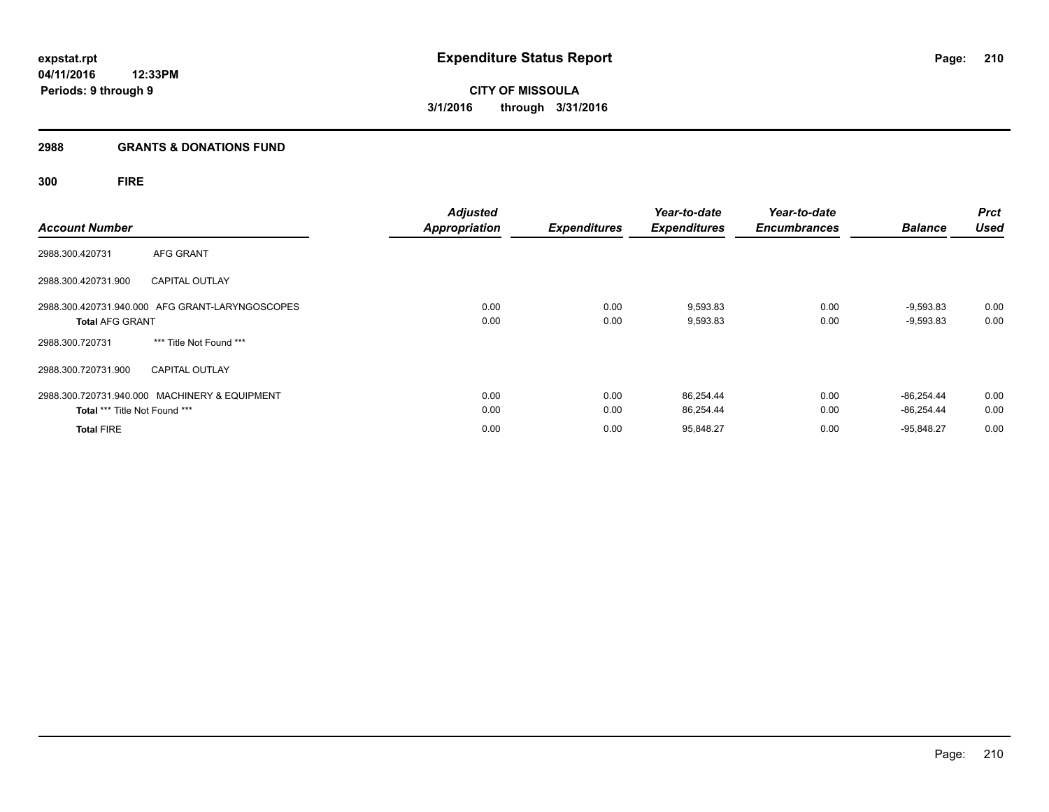#### **2988 GRANTS & DONATIONS FUND**

# **300 FIRE**

| <b>Account Number</b>         |                                                 | <b>Adjusted</b><br><b>Appropriation</b> | <b>Expenditures</b> | Year-to-date<br><b>Expenditures</b> | Year-to-date<br><b>Encumbrances</b> | <b>Balance</b> | <b>Prct</b><br><b>Used</b> |
|-------------------------------|-------------------------------------------------|-----------------------------------------|---------------------|-------------------------------------|-------------------------------------|----------------|----------------------------|
|                               |                                                 |                                         |                     |                                     |                                     |                |                            |
| 2988.300.420731               | AFG GRANT                                       |                                         |                     |                                     |                                     |                |                            |
| 2988.300.420731.900           | <b>CAPITAL OUTLAY</b>                           |                                         |                     |                                     |                                     |                |                            |
|                               | 2988.300.420731.940.000 AFG GRANT-LARYNGOSCOPES | 0.00                                    | 0.00                | 9,593.83                            | 0.00                                | $-9,593.83$    | 0.00                       |
| <b>Total AFG GRANT</b>        |                                                 | 0.00                                    | 0.00                | 9,593.83                            | 0.00                                | $-9,593.83$    | 0.00                       |
| 2988.300.720731               | *** Title Not Found ***                         |                                         |                     |                                     |                                     |                |                            |
| 2988.300.720731.900           | <b>CAPITAL OUTLAY</b>                           |                                         |                     |                                     |                                     |                |                            |
|                               | 2988.300.720731.940.000 MACHINERY & EQUIPMENT   | 0.00                                    | 0.00                | 86,254.44                           | 0.00                                | $-86.254.44$   | 0.00                       |
| Total *** Title Not Found *** |                                                 | 0.00                                    | 0.00                | 86,254.44                           | 0.00                                | $-86.254.44$   | 0.00                       |
| <b>Total FIRE</b>             |                                                 | 0.00                                    | 0.00                | 95,848.27                           | 0.00                                | $-95.848.27$   | 0.00                       |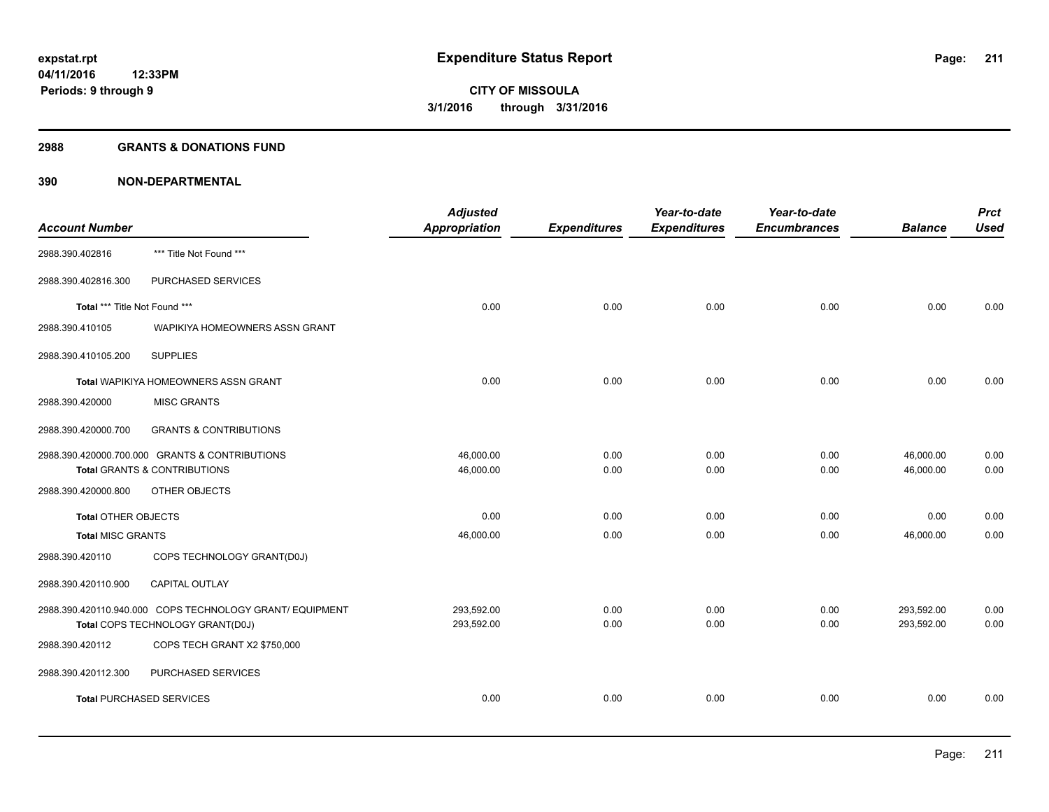#### **2988 GRANTS & DONATIONS FUND**

|                                 |                                                          | <b>Adjusted</b> |                     | Year-to-date        | Year-to-date        |                | <b>Prct</b> |
|---------------------------------|----------------------------------------------------------|-----------------|---------------------|---------------------|---------------------|----------------|-------------|
| <b>Account Number</b>           |                                                          | Appropriation   | <b>Expenditures</b> | <b>Expenditures</b> | <b>Encumbrances</b> | <b>Balance</b> | <b>Used</b> |
| 2988.390.402816                 | *** Title Not Found ***                                  |                 |                     |                     |                     |                |             |
| 2988.390.402816.300             | PURCHASED SERVICES                                       |                 |                     |                     |                     |                |             |
| Total *** Title Not Found ***   |                                                          | 0.00            | 0.00                | 0.00                | 0.00                | 0.00           | 0.00        |
| 2988.390.410105                 | WAPIKIYA HOMEOWNERS ASSN GRANT                           |                 |                     |                     |                     |                |             |
| 2988.390.410105.200             | <b>SUPPLIES</b>                                          |                 |                     |                     |                     |                |             |
|                                 | <b>Total WAPIKIYA HOMEOWNERS ASSN GRANT</b>              | 0.00            | 0.00                | 0.00                | 0.00                | 0.00           | 0.00        |
| 2988.390.420000                 | <b>MISC GRANTS</b>                                       |                 |                     |                     |                     |                |             |
| 2988.390.420000.700             | <b>GRANTS &amp; CONTRIBUTIONS</b>                        |                 |                     |                     |                     |                |             |
|                                 | 2988.390.420000.700.000 GRANTS & CONTRIBUTIONS           | 46,000.00       | 0.00                | 0.00                | 0.00                | 46,000.00      | 0.00        |
|                                 | <b>Total GRANTS &amp; CONTRIBUTIONS</b>                  | 46,000.00       | 0.00                | 0.00                | 0.00                | 46,000.00      | 0.00        |
| 2988.390.420000.800             | OTHER OBJECTS                                            |                 |                     |                     |                     |                |             |
| <b>Total OTHER OBJECTS</b>      |                                                          | 0.00            | 0.00                | 0.00                | 0.00                | 0.00           | 0.00        |
| <b>Total MISC GRANTS</b>        |                                                          | 46,000.00       | 0.00                | 0.00                | 0.00                | 46,000.00      | 0.00        |
| 2988.390.420110                 | COPS TECHNOLOGY GRANT(D0J)                               |                 |                     |                     |                     |                |             |
| 2988.390.420110.900             | CAPITAL OUTLAY                                           |                 |                     |                     |                     |                |             |
|                                 | 2988.390.420110.940.000 COPS TECHNOLOGY GRANT/ EQUIPMENT | 293,592.00      | 0.00                | 0.00                | 0.00                | 293,592.00     | 0.00        |
|                                 | Total COPS TECHNOLOGY GRANT(D0J)                         | 293,592.00      | 0.00                | 0.00                | 0.00                | 293,592.00     | 0.00        |
| 2988.390.420112                 | COPS TECH GRANT X2 \$750,000                             |                 |                     |                     |                     |                |             |
| 2988.390.420112.300             | PURCHASED SERVICES                                       |                 |                     |                     |                     |                |             |
| <b>Total PURCHASED SERVICES</b> |                                                          | 0.00            | 0.00                | 0.00                | 0.00                | 0.00           | 0.00        |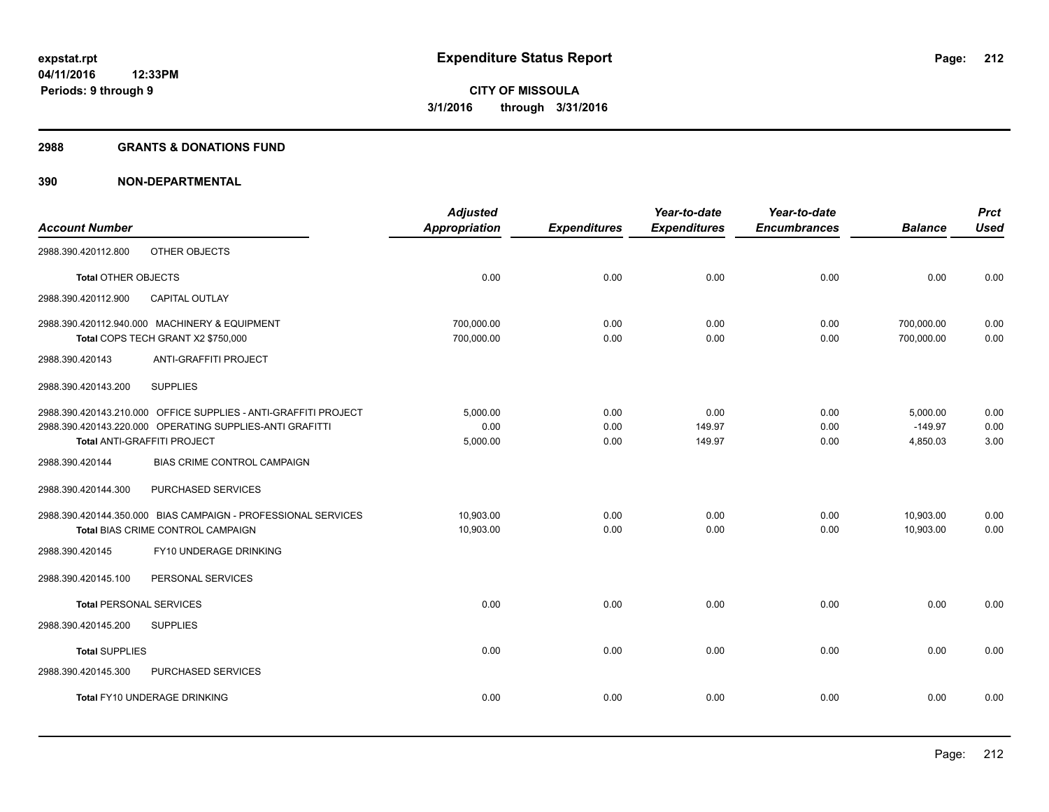#### **2988 GRANTS & DONATIONS FUND**

|                                |                                                                                                                                                            | <b>Adjusted</b>              |                      | Year-to-date             | Year-to-date         |                                   | <b>Prct</b>          |
|--------------------------------|------------------------------------------------------------------------------------------------------------------------------------------------------------|------------------------------|----------------------|--------------------------|----------------------|-----------------------------------|----------------------|
| <b>Account Number</b>          |                                                                                                                                                            | <b>Appropriation</b>         | <b>Expenditures</b>  | <b>Expenditures</b>      | <b>Encumbrances</b>  | <b>Balance</b>                    | <b>Used</b>          |
| 2988.390.420112.800            | OTHER OBJECTS                                                                                                                                              |                              |                      |                          |                      |                                   |                      |
| <b>Total OTHER OBJECTS</b>     |                                                                                                                                                            | 0.00                         | 0.00                 | 0.00                     | 0.00                 | 0.00                              | 0.00                 |
| 2988.390.420112.900            | <b>CAPITAL OUTLAY</b>                                                                                                                                      |                              |                      |                          |                      |                                   |                      |
|                                | 2988.390.420112.940.000 MACHINERY & EQUIPMENT<br>Total COPS TECH GRANT X2 \$750,000                                                                        | 700,000.00<br>700,000.00     | 0.00<br>0.00         | 0.00<br>0.00             | 0.00<br>0.00         | 700,000.00<br>700,000.00          | 0.00<br>0.00         |
| 2988.390.420143                | ANTI-GRAFFITI PROJECT                                                                                                                                      |                              |                      |                          |                      |                                   |                      |
| 2988.390.420143.200            | <b>SUPPLIES</b>                                                                                                                                            |                              |                      |                          |                      |                                   |                      |
|                                | 2988.390.420143.210.000 OFFICE SUPPLIES - ANTI-GRAFFITI PROJECT<br>2988.390.420143.220.000 OPERATING SUPPLIES-ANTI GRAFITTI<br>Total ANTI-GRAFFITI PROJECT | 5,000.00<br>0.00<br>5,000.00 | 0.00<br>0.00<br>0.00 | 0.00<br>149.97<br>149.97 | 0.00<br>0.00<br>0.00 | 5,000.00<br>$-149.97$<br>4,850.03 | 0.00<br>0.00<br>3.00 |
| 2988.390.420144                | <b>BIAS CRIME CONTROL CAMPAIGN</b>                                                                                                                         |                              |                      |                          |                      |                                   |                      |
| 2988.390.420144.300            | PURCHASED SERVICES                                                                                                                                         |                              |                      |                          |                      |                                   |                      |
|                                | 2988.390.420144.350.000 BIAS CAMPAIGN - PROFESSIONAL SERVICES<br>Total BIAS CRIME CONTROL CAMPAIGN                                                         | 10,903.00<br>10,903.00       | 0.00<br>0.00         | 0.00<br>0.00             | 0.00<br>0.00         | 10,903.00<br>10,903.00            | 0.00<br>0.00         |
| 2988.390.420145                | FY10 UNDERAGE DRINKING                                                                                                                                     |                              |                      |                          |                      |                                   |                      |
| 2988.390.420145.100            | PERSONAL SERVICES                                                                                                                                          |                              |                      |                          |                      |                                   |                      |
| <b>Total PERSONAL SERVICES</b> |                                                                                                                                                            | 0.00                         | 0.00                 | 0.00                     | 0.00                 | 0.00                              | 0.00                 |
| 2988.390.420145.200            | <b>SUPPLIES</b>                                                                                                                                            |                              |                      |                          |                      |                                   |                      |
| <b>Total SUPPLIES</b>          |                                                                                                                                                            | 0.00                         | 0.00                 | 0.00                     | 0.00                 | 0.00                              | 0.00                 |
| 2988.390.420145.300            | PURCHASED SERVICES                                                                                                                                         |                              |                      |                          |                      |                                   |                      |
|                                | Total FY10 UNDERAGE DRINKING                                                                                                                               | 0.00                         | 0.00                 | 0.00                     | 0.00                 | 0.00                              | 0.00                 |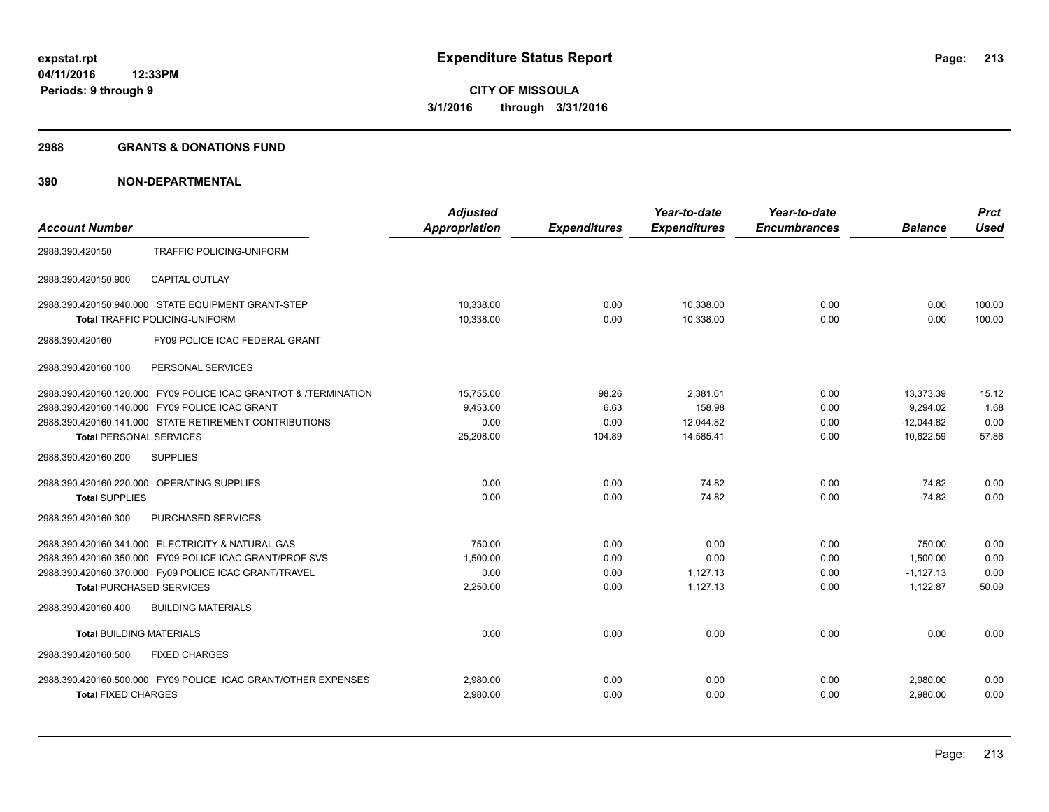#### **2988 GRANTS & DONATIONS FUND**

|                                                                  | <b>Adjusted</b>      |                     | Year-to-date        | Year-to-date        |                | <b>Prct</b> |
|------------------------------------------------------------------|----------------------|---------------------|---------------------|---------------------|----------------|-------------|
| <b>Account Number</b>                                            | <b>Appropriation</b> | <b>Expenditures</b> | <b>Expenditures</b> | <b>Encumbrances</b> | <b>Balance</b> | <b>Used</b> |
| 2988.390.420150<br>TRAFFIC POLICING-UNIFORM                      |                      |                     |                     |                     |                |             |
| <b>CAPITAL OUTLAY</b><br>2988.390.420150.900                     |                      |                     |                     |                     |                |             |
| 2988.390.420150.940.000 STATE EQUIPMENT GRANT-STEP               | 10.338.00            | 0.00                | 10,338.00           | 0.00                | 0.00           | 100.00      |
| <b>Total TRAFFIC POLICING-UNIFORM</b>                            | 10,338.00            | 0.00                | 10,338.00           | 0.00                | 0.00           | 100.00      |
| FY09 POLICE ICAC FEDERAL GRANT<br>2988.390.420160                |                      |                     |                     |                     |                |             |
| 2988.390.420160.100<br>PERSONAL SERVICES                         |                      |                     |                     |                     |                |             |
| 2988.390.420160.120.000 FY09 POLICE ICAC GRANT/OT & /TERMINATION | 15,755.00            | 98.26               | 2,381.61            | 0.00                | 13,373.39      | 15.12       |
| 2988.390.420160.140.000 FY09 POLICE ICAC GRANT                   | 9,453.00             | 6.63                | 158.98              | 0.00                | 9,294.02       | 1.68        |
| 2988.390.420160.141.000 STATE RETIREMENT CONTRIBUTIONS           | 0.00                 | 0.00                | 12,044.82           | 0.00                | $-12.044.82$   | 0.00        |
| <b>Total PERSONAL SERVICES</b>                                   | 25,208.00            | 104.89              | 14,585.41           | 0.00                | 10,622.59      | 57.86       |
| <b>SUPPLIES</b><br>2988.390.420160.200                           |                      |                     |                     |                     |                |             |
| 2988.390.420160.220.000 OPERATING SUPPLIES                       | 0.00                 | 0.00                | 74.82               | 0.00                | $-74.82$       | 0.00        |
| <b>Total SUPPLIES</b>                                            | 0.00                 | 0.00                | 74.82               | 0.00                | $-74.82$       | 0.00        |
| PURCHASED SERVICES<br>2988.390.420160.300                        |                      |                     |                     |                     |                |             |
| 2988.390.420160.341.000 ELECTRICITY & NATURAL GAS                | 750.00               | 0.00                | 0.00                | 0.00                | 750.00         | 0.00        |
| 2988.390.420160.350.000 FY09 POLICE ICAC GRANT/PROF SVS          | 1.500.00             | 0.00                | 0.00                | 0.00                | 1.500.00       | 0.00        |
| 2988.390.420160.370.000 Fy09 POLICE ICAC GRANT/TRAVEL            | 0.00                 | 0.00                | 1.127.13            | 0.00                | $-1.127.13$    | 0.00        |
| <b>Total PURCHASED SERVICES</b>                                  | 2,250.00             | 0.00                | 1,127.13            | 0.00                | 1,122.87       | 50.09       |
| <b>BUILDING MATERIALS</b><br>2988.390.420160.400                 |                      |                     |                     |                     |                |             |
| <b>Total BUILDING MATERIALS</b>                                  | 0.00                 | 0.00                | 0.00                | 0.00                | 0.00           | 0.00        |
| 2988.390.420160.500<br><b>FIXED CHARGES</b>                      |                      |                     |                     |                     |                |             |
| 2988.390.420160.500.000 FY09 POLICE ICAC GRANT/OTHER EXPENSES    | 2,980.00             | 0.00                | 0.00                | 0.00                | 2,980.00       | 0.00        |
| <b>Total FIXED CHARGES</b>                                       | 2,980.00             | 0.00                | 0.00                | 0.00                | 2,980.00       | 0.00        |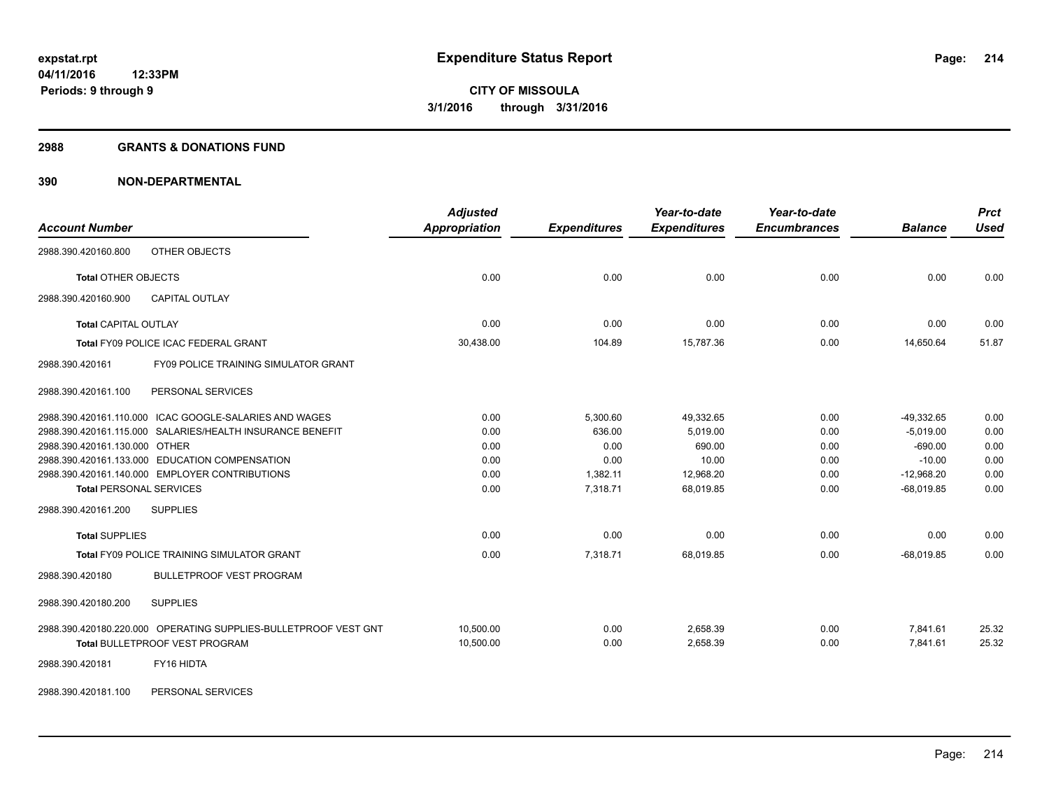#### **2988 GRANTS & DONATIONS FUND**

| <b>Account Number</b>                                           | <b>Adjusted</b><br><b>Appropriation</b> | <b>Expenditures</b> | Year-to-date<br><b>Expenditures</b> | Year-to-date<br><b>Encumbrances</b> | <b>Balance</b> | <b>Prct</b><br><b>Used</b> |
|-----------------------------------------------------------------|-----------------------------------------|---------------------|-------------------------------------|-------------------------------------|----------------|----------------------------|
| OTHER OBJECTS<br>2988.390.420160.800                            |                                         |                     |                                     |                                     |                |                            |
| <b>Total OTHER OBJECTS</b>                                      | 0.00                                    | 0.00                | 0.00                                | 0.00                                | 0.00           | 0.00                       |
| 2988.390.420160.900<br><b>CAPITAL OUTLAY</b>                    |                                         |                     |                                     |                                     |                |                            |
| <b>Total CAPITAL OUTLAY</b>                                     | 0.00                                    | 0.00                | 0.00                                | 0.00                                | 0.00           | 0.00                       |
| <b>Total FY09 POLICE ICAC FEDERAL GRANT</b>                     | 30,438.00                               | 104.89              | 15,787.36                           | 0.00                                | 14,650.64      | 51.87                      |
| <b>FY09 POLICE TRAINING SIMULATOR GRANT</b><br>2988.390.420161  |                                         |                     |                                     |                                     |                |                            |
| PERSONAL SERVICES<br>2988.390.420161.100                        |                                         |                     |                                     |                                     |                |                            |
| 2988.390.420161.110.000 ICAC GOOGLE-SALARIES AND WAGES          | 0.00                                    | 5,300.60            | 49,332.65                           | 0.00                                | $-49,332.65$   | 0.00                       |
| 2988.390.420161.115.000 SALARIES/HEALTH INSURANCE BENEFIT       | 0.00                                    | 636.00              | 5,019.00                            | 0.00                                | $-5,019.00$    | 0.00                       |
| 2988.390.420161.130.000 OTHER                                   | 0.00                                    | 0.00                | 690.00                              | 0.00                                | $-690.00$      | 0.00                       |
| 2988.390.420161.133.000 EDUCATION COMPENSATION                  | 0.00                                    | 0.00                | 10.00                               | 0.00                                | $-10.00$       | 0.00                       |
| 2988.390.420161.140.000 EMPLOYER CONTRIBUTIONS                  | 0.00                                    | 1,382.11            | 12,968.20                           | 0.00                                | $-12,968.20$   | 0.00                       |
| <b>Total PERSONAL SERVICES</b>                                  | 0.00                                    | 7,318.71            | 68,019.85                           | 0.00                                | $-68,019.85$   | 0.00                       |
| 2988.390.420161.200<br><b>SUPPLIES</b>                          |                                         |                     |                                     |                                     |                |                            |
| <b>Total SUPPLIES</b>                                           | 0.00                                    | 0.00                | 0.00                                | 0.00                                | 0.00           | 0.00                       |
| Total FY09 POLICE TRAINING SIMULATOR GRANT                      | 0.00                                    | 7,318.71            | 68,019.85                           | 0.00                                | $-68,019.85$   | 0.00                       |
| 2988.390.420180<br><b>BULLETPROOF VEST PROGRAM</b>              |                                         |                     |                                     |                                     |                |                            |
| <b>SUPPLIES</b><br>2988.390.420180.200                          |                                         |                     |                                     |                                     |                |                            |
| 2988.390.420180.220.000 OPERATING SUPPLIES-BULLETPROOF VEST GNT | 10.500.00                               | 0.00                | 2.658.39                            | 0.00                                | 7,841.61       | 25.32                      |
| <b>Total BULLETPROOF VEST PROGRAM</b>                           | 10,500.00                               | 0.00                | 2,658.39                            | 0.00                                | 7,841.61       | 25.32                      |
| FY16 HIDTA<br>2988.390.420181                                   |                                         |                     |                                     |                                     |                |                            |
| PERSONAL SERVICES<br>2988.390.420181.100                        |                                         |                     |                                     |                                     |                |                            |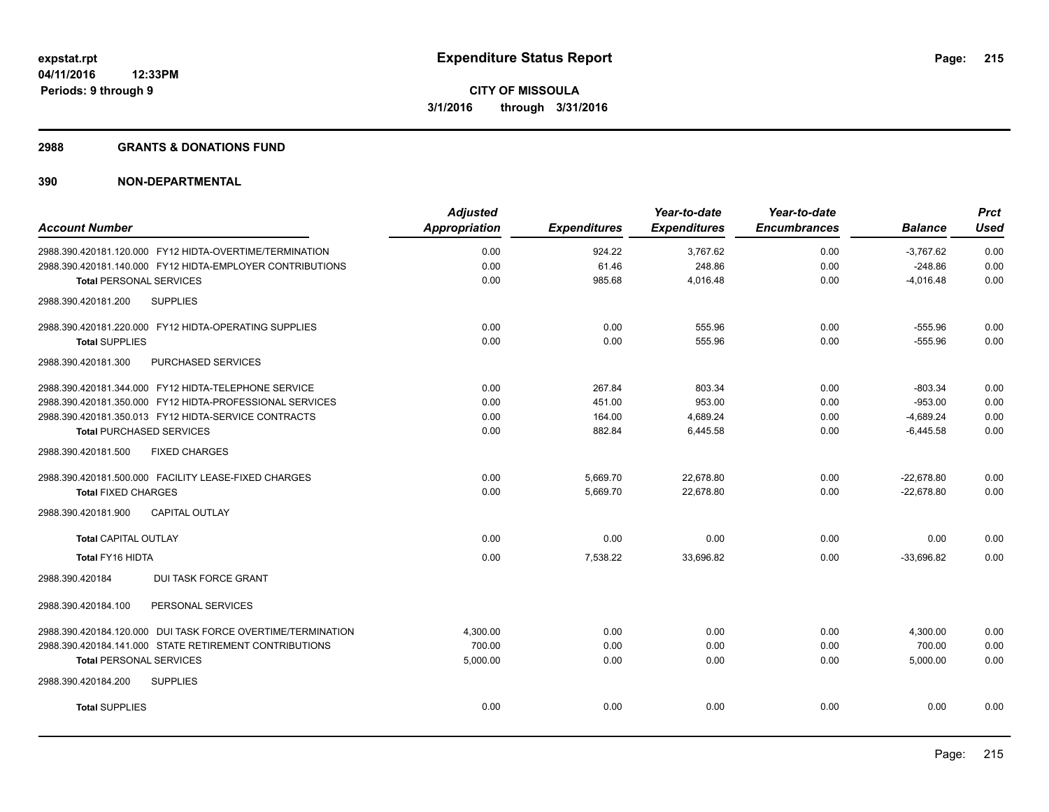#### **2988 GRANTS & DONATIONS FUND**

| Appropriation | <b>Expenditures</b> | <b>Expenditures</b> | <b>Encumbrances</b> | <b>Balance</b> | <b>Used</b> |
|---------------|---------------------|---------------------|---------------------|----------------|-------------|
|               |                     |                     |                     |                |             |
|               | 924.22              | 3,767.62            | 0.00                | $-3,767.62$    | 0.00        |
| 0.00          | 61.46               | 248.86              | 0.00                | $-248.86$      | 0.00        |
| 0.00          | 985.68              | 4,016.48            | 0.00                | $-4,016.48$    | 0.00        |
|               |                     |                     |                     |                |             |
| 0.00          | 0.00                | 555.96              | 0.00                | $-555.96$      | 0.00        |
| 0.00          | 0.00                | 555.96              | 0.00                | $-555.96$      | 0.00        |
|               |                     |                     |                     |                |             |
| 0.00          | 267.84              | 803.34              | 0.00                | $-803.34$      | 0.00        |
| 0.00          | 451.00              | 953.00              | 0.00                | $-953.00$      | 0.00        |
| 0.00          | 164.00              | 4,689.24            | 0.00                | $-4,689.24$    | 0.00        |
| 0.00          | 882.84              | 6,445.58            | 0.00                | $-6,445.58$    | 0.00        |
|               |                     |                     |                     |                |             |
| 0.00          | 5,669.70            | 22,678.80           | 0.00                | $-22,678.80$   | 0.00        |
| 0.00          | 5,669.70            | 22,678.80           | 0.00                | $-22,678.80$   | 0.00        |
|               |                     |                     |                     |                |             |
| 0.00          | 0.00                | 0.00                | 0.00                | 0.00           | 0.00        |
| 0.00          | 7,538.22            | 33,696.82           | 0.00                | $-33,696.82$   | 0.00        |
|               |                     |                     |                     |                |             |
|               |                     |                     |                     |                |             |
| 4,300.00      | 0.00                | 0.00                | 0.00                | 4,300.00       | 0.00        |
| 700.00        | 0.00                | 0.00                | 0.00                | 700.00         | 0.00        |
| 5,000.00      | 0.00                | 0.00                | 0.00                | 5,000.00       | 0.00        |
|               |                     |                     |                     |                |             |
| 0.00          | 0.00                | 0.00                | 0.00                | 0.00           | 0.00        |
|               | 0.00                |                     |                     |                |             |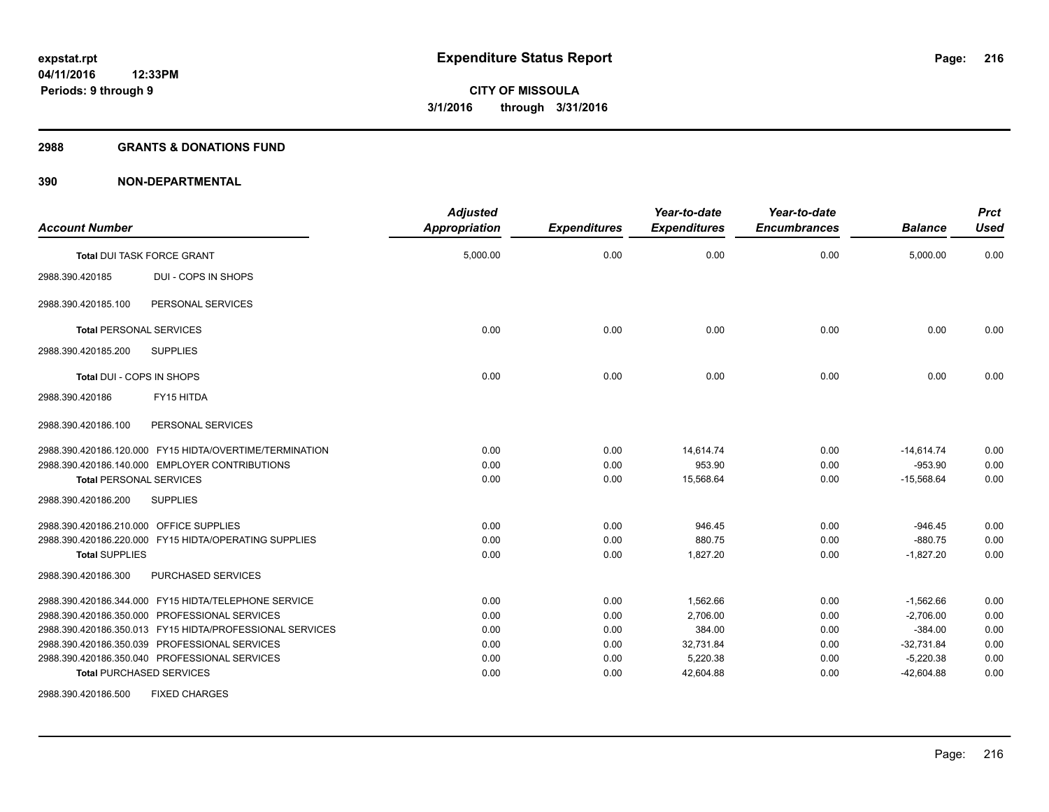#### **2988 GRANTS & DONATIONS FUND**

| <b>Account Number</b>                                    | <b>Adjusted</b><br><b>Appropriation</b> | <b>Expenditures</b> | Year-to-date<br><b>Expenditures</b> | Year-to-date<br><b>Encumbrances</b> | <b>Balance</b> | <b>Prct</b><br><b>Used</b> |
|----------------------------------------------------------|-----------------------------------------|---------------------|-------------------------------------|-------------------------------------|----------------|----------------------------|
| <b>Total DUI TASK FORCE GRANT</b>                        | 5,000.00                                | 0.00                | 0.00                                | 0.00                                | 5,000.00       | 0.00                       |
| <b>DUI - COPS IN SHOPS</b><br>2988.390.420185            |                                         |                     |                                     |                                     |                |                            |
| PERSONAL SERVICES<br>2988.390.420185.100                 |                                         |                     |                                     |                                     |                |                            |
| <b>Total PERSONAL SERVICES</b>                           | 0.00                                    | 0.00                | 0.00                                | 0.00                                | 0.00           | 0.00                       |
| 2988.390.420185.200<br><b>SUPPLIES</b>                   |                                         |                     |                                     |                                     |                |                            |
| Total DUI - COPS IN SHOPS                                | 0.00                                    | 0.00                | 0.00                                | 0.00                                | 0.00           | 0.00                       |
| FY15 HITDA<br>2988.390.420186                            |                                         |                     |                                     |                                     |                |                            |
| PERSONAL SERVICES<br>2988.390.420186.100                 |                                         |                     |                                     |                                     |                |                            |
| 2988.390.420186.120.000 FY15 HIDTA/OVERTIME/TERMINATION  | 0.00                                    | 0.00                | 14,614.74                           | 0.00                                | $-14,614.74$   | 0.00                       |
| 2988.390.420186.140.000 EMPLOYER CONTRIBUTIONS           | 0.00                                    | 0.00                | 953.90                              | 0.00                                | $-953.90$      | 0.00                       |
| <b>Total PERSONAL SERVICES</b>                           | 0.00                                    | 0.00                | 15.568.64                           | 0.00                                | $-15,568.64$   | 0.00                       |
| 2988.390.420186.200<br><b>SUPPLIES</b>                   |                                         |                     |                                     |                                     |                |                            |
| 2988.390.420186.210.000 OFFICE SUPPLIES                  | 0.00                                    | 0.00                | 946.45                              | 0.00                                | $-946.45$      | 0.00                       |
| 2988.390.420186.220.000 FY15 HIDTA/OPERATING SUPPLIES    | 0.00                                    | 0.00                | 880.75                              | 0.00                                | $-880.75$      | 0.00                       |
| <b>Total SUPPLIES</b>                                    | 0.00                                    | 0.00                | 1,827.20                            | 0.00                                | $-1,827.20$    | 0.00                       |
| PURCHASED SERVICES<br>2988.390.420186.300                |                                         |                     |                                     |                                     |                |                            |
| 2988.390.420186.344.000 FY15 HIDTA/TELEPHONE SERVICE     | 0.00                                    | 0.00                | 1,562.66                            | 0.00                                | $-1,562.66$    | 0.00                       |
| 2988.390.420186.350.000 PROFESSIONAL SERVICES            | 0.00                                    | 0.00                | 2,706.00                            | 0.00                                | $-2,706.00$    | 0.00                       |
| 2988.390.420186.350.013 FY15 HIDTA/PROFESSIONAL SERVICES | 0.00                                    | 0.00                | 384.00                              | 0.00                                | $-384.00$      | 0.00                       |
| 2988.390.420186.350.039 PROFESSIONAL SERVICES            | 0.00                                    | 0.00                | 32,731.84                           | 0.00                                | $-32,731.84$   | 0.00                       |
| 2988.390.420186.350.040 PROFESSIONAL SERVICES            | 0.00                                    | 0.00                | 5,220.38                            | 0.00                                | $-5,220.38$    | 0.00                       |
| <b>Total PURCHASED SERVICES</b>                          | 0.00                                    | 0.00                | 42,604.88                           | 0.00                                | $-42,604.88$   | 0.00                       |
| <b>FIXED CHARGES</b><br>2988.390.420186.500              |                                         |                     |                                     |                                     |                |                            |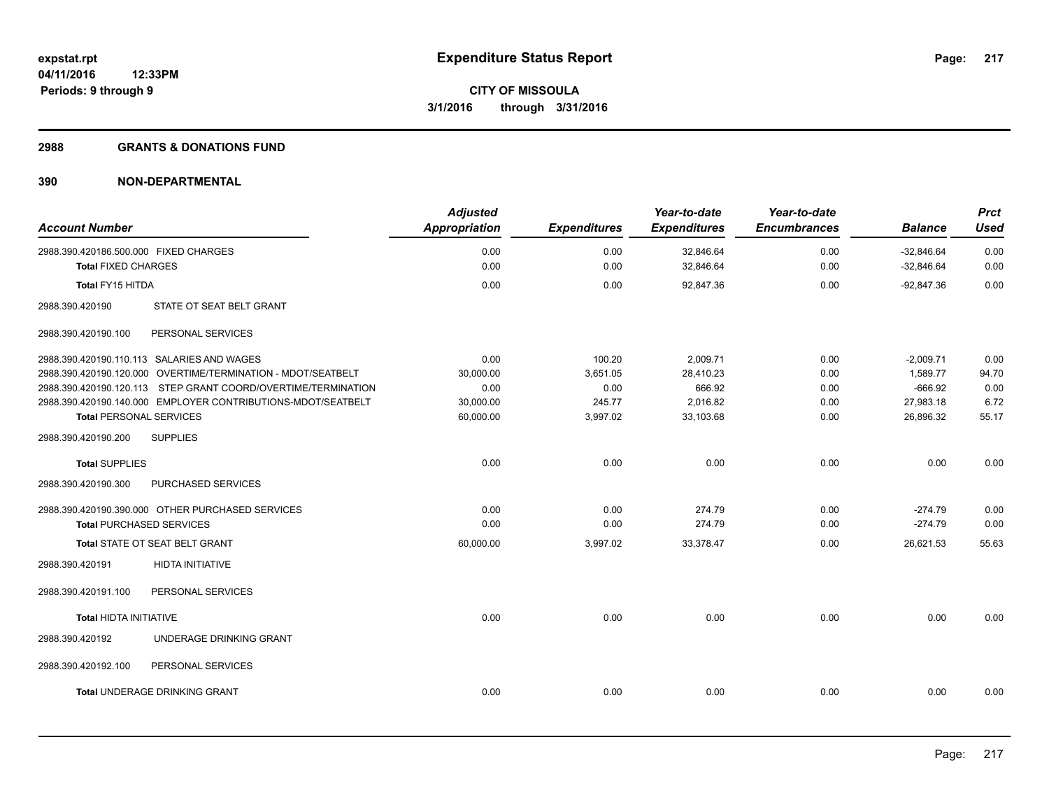#### **2988 GRANTS & DONATIONS FUND**

| <b>Account Number</b>                                               | <b>Adjusted</b><br><b>Appropriation</b> | <b>Expenditures</b> | Year-to-date<br><b>Expenditures</b> | Year-to-date<br><b>Encumbrances</b> | <b>Balance</b>               | <b>Prct</b><br><b>Used</b> |
|---------------------------------------------------------------------|-----------------------------------------|---------------------|-------------------------------------|-------------------------------------|------------------------------|----------------------------|
| 2988.390.420186.500.000 FIXED CHARGES<br><b>Total FIXED CHARGES</b> | 0.00<br>0.00                            | 0.00<br>0.00        | 32,846.64<br>32,846.64              | 0.00<br>0.00                        | $-32,846.64$<br>$-32,846.64$ | 0.00<br>0.00               |
|                                                                     |                                         |                     |                                     |                                     |                              |                            |
| <b>Total FY15 HITDA</b>                                             | 0.00                                    | 0.00                | 92,847.36                           | 0.00                                | $-92,847.36$                 | 0.00                       |
| STATE OT SEAT BELT GRANT<br>2988.390.420190                         |                                         |                     |                                     |                                     |                              |                            |
| 2988.390.420190.100<br>PERSONAL SERVICES                            |                                         |                     |                                     |                                     |                              |                            |
| 2988.390.420190.110.113 SALARIES AND WAGES                          | 0.00                                    | 100.20              | 2,009.71                            | 0.00                                | $-2,009.71$                  | 0.00                       |
| 2988.390.420190.120.000 OVERTIME/TERMINATION - MDOT/SEATBELT        | 30.000.00                               | 3,651.05            | 28,410.23                           | 0.00                                | 1.589.77                     | 94.70                      |
| 2988.390.420190.120.113 STEP GRANT COORD/OVERTIME/TERMINATION       | 0.00                                    | 0.00                | 666.92                              | 0.00                                | $-666.92$                    | 0.00                       |
| 2988.390.420190.140.000 EMPLOYER CONTRIBUTIONS-MDOT/SEATBELT        | 30,000.00                               | 245.77              | 2,016.82                            | 0.00                                | 27,983.18                    | 6.72                       |
| <b>Total PERSONAL SERVICES</b>                                      | 60,000.00                               | 3,997.02            | 33,103.68                           | 0.00                                | 26,896.32                    | 55.17                      |
| 2988.390.420190.200<br><b>SUPPLIES</b>                              |                                         |                     |                                     |                                     |                              |                            |
| <b>Total SUPPLIES</b>                                               | 0.00                                    | 0.00                | 0.00                                | 0.00                                | 0.00                         | 0.00                       |
| 2988.390.420190.300<br>PURCHASED SERVICES                           |                                         |                     |                                     |                                     |                              |                            |
| 2988.390.420190.390.000 OTHER PURCHASED SERVICES                    | 0.00                                    | 0.00                | 274.79                              | 0.00                                | $-274.79$                    | 0.00                       |
| <b>Total PURCHASED SERVICES</b>                                     | 0.00                                    | 0.00                | 274.79                              | 0.00                                | $-274.79$                    | 0.00                       |
| Total STATE OT SEAT BELT GRANT                                      | 60,000.00                               | 3,997.02            | 33,378.47                           | 0.00                                | 26,621.53                    | 55.63                      |
| 2988.390.420191<br><b>HIDTA INITIATIVE</b>                          |                                         |                     |                                     |                                     |                              |                            |
| 2988.390.420191.100<br>PERSONAL SERVICES                            |                                         |                     |                                     |                                     |                              |                            |
| <b>Total HIDTA INITIATIVE</b>                                       | 0.00                                    | 0.00                | 0.00                                | 0.00                                | 0.00                         | 0.00                       |
| UNDERAGE DRINKING GRANT<br>2988.390.420192                          |                                         |                     |                                     |                                     |                              |                            |
| 2988.390.420192.100<br>PERSONAL SERVICES                            |                                         |                     |                                     |                                     |                              |                            |
| Total UNDERAGE DRINKING GRANT                                       | 0.00                                    | 0.00                | 0.00                                | 0.00                                | 0.00                         | 0.00                       |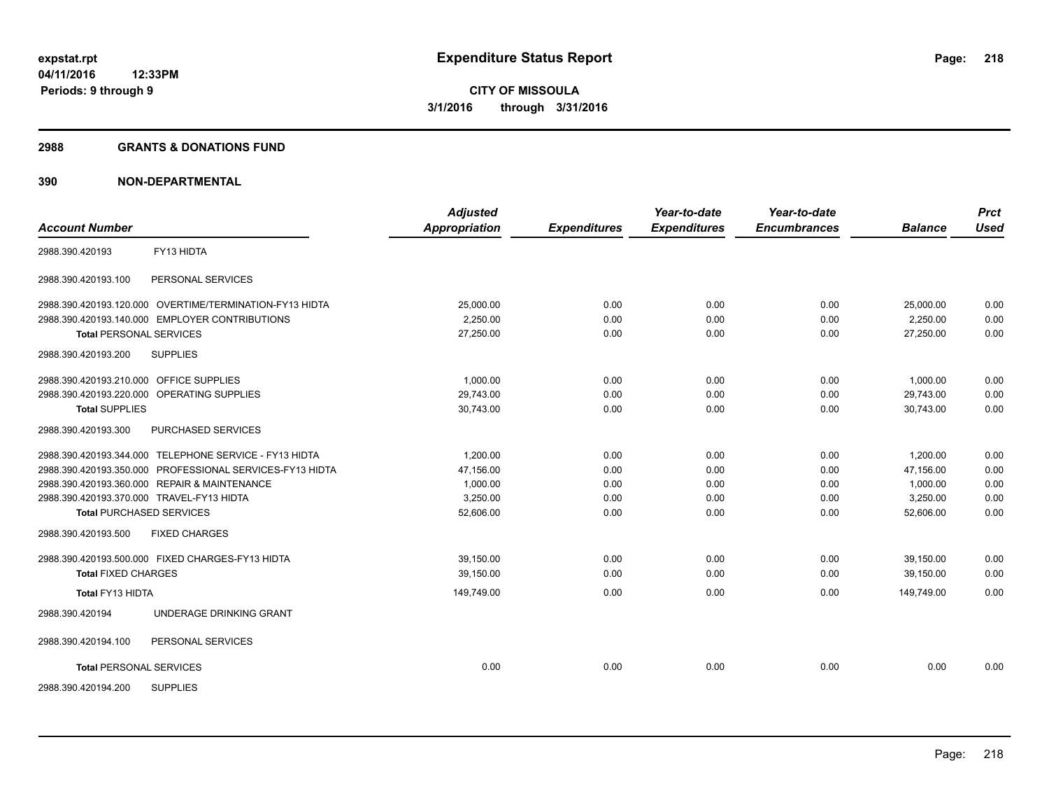#### **2988 GRANTS & DONATIONS FUND**

| <b>Account Number</b>                                    | <b>Adjusted</b><br><b>Appropriation</b> | <b>Expenditures</b> | Year-to-date<br><b>Expenditures</b> | Year-to-date<br><b>Encumbrances</b> | <b>Balance</b> | <b>Prct</b><br><b>Used</b> |
|----------------------------------------------------------|-----------------------------------------|---------------------|-------------------------------------|-------------------------------------|----------------|----------------------------|
|                                                          |                                         |                     |                                     |                                     |                |                            |
| FY13 HIDTA<br>2988.390.420193                            |                                         |                     |                                     |                                     |                |                            |
| 2988.390.420193.100<br>PERSONAL SERVICES                 |                                         |                     |                                     |                                     |                |                            |
| 2988.390.420193.120.000 OVERTIME/TERMINATION-FY13 HIDTA  | 25,000.00                               | 0.00                | 0.00                                | 0.00                                | 25,000.00      | 0.00                       |
| 2988.390.420193.140.000 EMPLOYER CONTRIBUTIONS           | 2,250.00                                | 0.00                | 0.00                                | 0.00                                | 2,250.00       | 0.00                       |
| <b>Total PERSONAL SERVICES</b>                           | 27,250.00                               | 0.00                | 0.00                                | 0.00                                | 27.250.00      | 0.00                       |
| <b>SUPPLIES</b><br>2988.390.420193.200                   |                                         |                     |                                     |                                     |                |                            |
| 2988.390.420193.210.000 OFFICE SUPPLIES                  | 1.000.00                                | 0.00                | 0.00                                | 0.00                                | 1.000.00       | 0.00                       |
| 2988.390.420193.220.000 OPERATING SUPPLIES               | 29,743.00                               | 0.00                | 0.00                                | 0.00                                | 29,743.00      | 0.00                       |
| <b>Total SUPPLIES</b>                                    | 30,743.00                               | 0.00                | 0.00                                | 0.00                                | 30,743.00      | 0.00                       |
| PURCHASED SERVICES<br>2988.390.420193.300                |                                         |                     |                                     |                                     |                |                            |
| 2988.390.420193.344.000 TELEPHONE SERVICE - FY13 HIDTA   | 1,200.00                                | 0.00                | 0.00                                | 0.00                                | 1,200.00       | 0.00                       |
| 2988.390.420193.350.000 PROFESSIONAL SERVICES-FY13 HIDTA | 47.156.00                               | 0.00                | 0.00                                | 0.00                                | 47.156.00      | 0.00                       |
| 2988.390.420193.360.000 REPAIR & MAINTENANCE             | 1,000.00                                | 0.00                | 0.00                                | 0.00                                | 1,000.00       | 0.00                       |
| 2988.390.420193.370.000 TRAVEL-FY13 HIDTA                | 3,250.00                                | 0.00                | 0.00                                | 0.00                                | 3,250.00       | 0.00                       |
| <b>Total PURCHASED SERVICES</b>                          | 52,606.00                               | 0.00                | 0.00                                | 0.00                                | 52,606.00      | 0.00                       |
| 2988.390.420193.500<br><b>FIXED CHARGES</b>              |                                         |                     |                                     |                                     |                |                            |
| 2988.390.420193.500.000 FIXED CHARGES-FY13 HIDTA         | 39.150.00                               | 0.00                | 0.00                                | 0.00                                | 39.150.00      | 0.00                       |
| <b>Total FIXED CHARGES</b>                               | 39,150.00                               | 0.00                | 0.00                                | 0.00                                | 39.150.00      | 0.00                       |
| Total FY13 HIDTA                                         | 149,749.00                              | 0.00                | 0.00                                | 0.00                                | 149,749.00     | 0.00                       |
| UNDERAGE DRINKING GRANT<br>2988.390.420194               |                                         |                     |                                     |                                     |                |                            |
| PERSONAL SERVICES<br>2988.390.420194.100                 |                                         |                     |                                     |                                     |                |                            |
| <b>Total PERSONAL SERVICES</b>                           | 0.00                                    | 0.00                | 0.00                                | 0.00                                | 0.00           | 0.00                       |
| <b>SUPPLIES</b><br>2988.390.420194.200                   |                                         |                     |                                     |                                     |                |                            |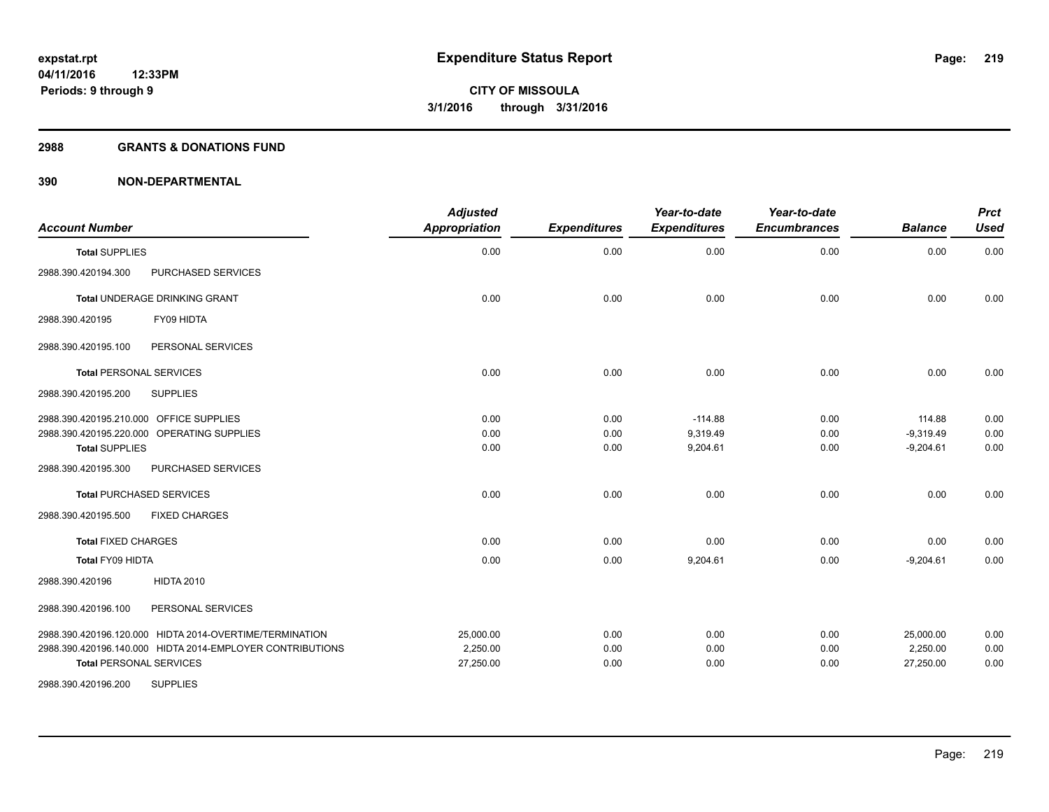#### **2988 GRANTS & DONATIONS FUND**

| <b>Account Number</b>                                                                                                                                                                                                                                                                                  | <b>Adjusted</b><br><b>Appropriation</b>      | <b>Expenditures</b>                          | Year-to-date<br><b>Expenditures</b>                           | Year-to-date<br><b>Encumbrances</b>          | <b>Balance</b>                                                      | <b>Prct</b><br><b>Used</b>                   |
|--------------------------------------------------------------------------------------------------------------------------------------------------------------------------------------------------------------------------------------------------------------------------------------------------------|----------------------------------------------|----------------------------------------------|---------------------------------------------------------------|----------------------------------------------|---------------------------------------------------------------------|----------------------------------------------|
| <b>Total SUPPLIES</b>                                                                                                                                                                                                                                                                                  | 0.00                                         | 0.00                                         | 0.00                                                          | 0.00                                         | 0.00                                                                | 0.00                                         |
| PURCHASED SERVICES<br>2988.390.420194.300                                                                                                                                                                                                                                                              |                                              |                                              |                                                               |                                              |                                                                     |                                              |
| <b>Total UNDERAGE DRINKING GRANT</b>                                                                                                                                                                                                                                                                   | 0.00                                         | 0.00                                         | 0.00                                                          | 0.00                                         | 0.00                                                                | 0.00                                         |
| FY09 HIDTA<br>2988.390.420195                                                                                                                                                                                                                                                                          |                                              |                                              |                                                               |                                              |                                                                     |                                              |
| 2988.390.420195.100<br>PERSONAL SERVICES                                                                                                                                                                                                                                                               |                                              |                                              |                                                               |                                              |                                                                     |                                              |
| <b>Total PERSONAL SERVICES</b>                                                                                                                                                                                                                                                                         | 0.00                                         | 0.00                                         | 0.00                                                          | 0.00                                         | 0.00                                                                | 0.00                                         |
| <b>SUPPLIES</b><br>2988.390.420195.200                                                                                                                                                                                                                                                                 |                                              |                                              |                                                               |                                              |                                                                     |                                              |
| 2988.390.420195.210.000 OFFICE SUPPLIES<br>2988.390.420195.220.000 OPERATING SUPPLIES<br><b>Total SUPPLIES</b><br>2988.390.420195.300<br>PURCHASED SERVICES<br><b>Total PURCHASED SERVICES</b><br><b>FIXED CHARGES</b><br>2988.390.420195.500<br><b>Total FIXED CHARGES</b><br><b>Total FY09 HIDTA</b> | 0.00<br>0.00<br>0.00<br>0.00<br>0.00<br>0.00 | 0.00<br>0.00<br>0.00<br>0.00<br>0.00<br>0.00 | $-114.88$<br>9,319.49<br>9,204.61<br>0.00<br>0.00<br>9,204.61 | 0.00<br>0.00<br>0.00<br>0.00<br>0.00<br>0.00 | 114.88<br>$-9,319.49$<br>$-9,204.61$<br>0.00<br>0.00<br>$-9,204.61$ | 0.00<br>0.00<br>0.00<br>0.00<br>0.00<br>0.00 |
| <b>HIDTA 2010</b><br>2988.390.420196                                                                                                                                                                                                                                                                   |                                              |                                              |                                                               |                                              |                                                                     |                                              |
| 2988.390.420196.100<br>PERSONAL SERVICES                                                                                                                                                                                                                                                               |                                              |                                              |                                                               |                                              |                                                                     |                                              |
| 2988.390.420196.120.000 HIDTA 2014-OVERTIME/TERMINATION<br>2988.390.420196.140.000 HIDTA 2014-EMPLOYER CONTRIBUTIONS<br><b>Total PERSONAL SERVICES</b>                                                                                                                                                 | 25,000.00<br>2,250.00<br>27,250.00           | 0.00<br>0.00<br>0.00                         | 0.00<br>0.00<br>0.00                                          | 0.00<br>0.00<br>0.00                         | 25,000.00<br>2,250.00<br>27,250.00                                  | 0.00<br>0.00<br>0.00                         |
| <b>SUPPLIES</b><br>2988.390.420196.200                                                                                                                                                                                                                                                                 |                                              |                                              |                                                               |                                              |                                                                     |                                              |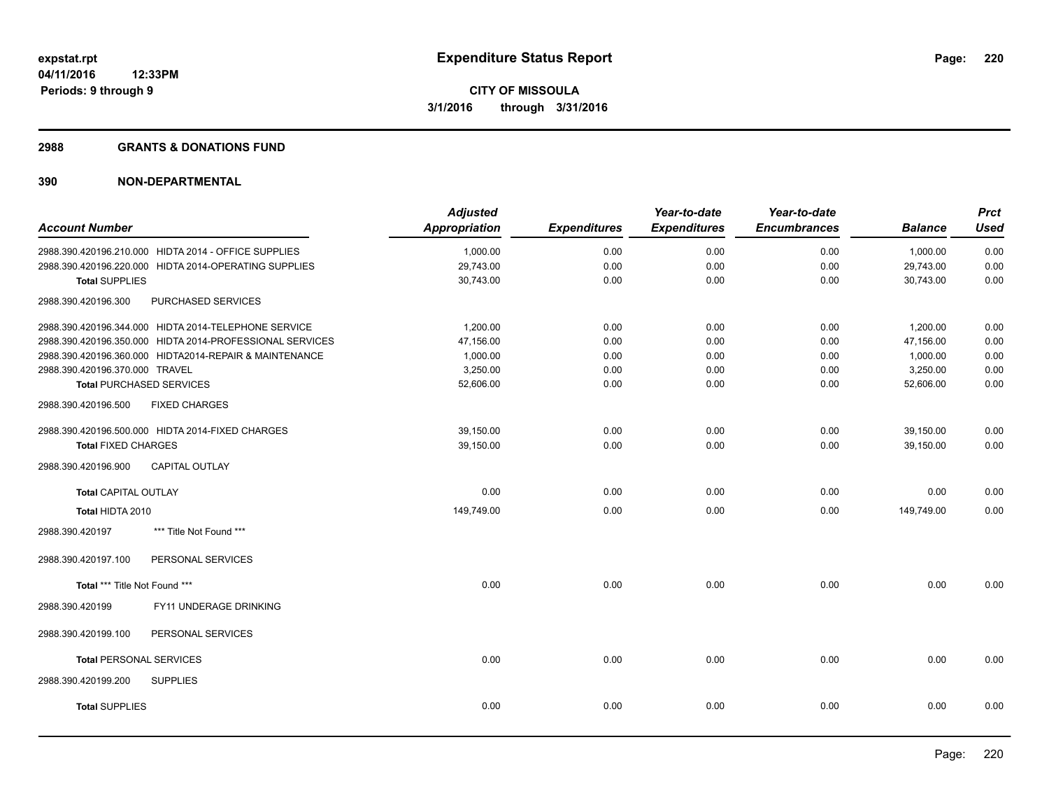#### **2988 GRANTS & DONATIONS FUND**

| <b>Account Number</b>          |                                                          | <b>Adjusted</b><br><b>Appropriation</b> | <b>Expenditures</b> | Year-to-date<br><b>Expenditures</b> | Year-to-date<br><b>Encumbrances</b> | <b>Balance</b> | <b>Prct</b><br><b>Used</b> |
|--------------------------------|----------------------------------------------------------|-----------------------------------------|---------------------|-------------------------------------|-------------------------------------|----------------|----------------------------|
|                                | 2988.390.420196.210.000 HIDTA 2014 - OFFICE SUPPLIES     | 1,000.00                                | 0.00                | 0.00                                | 0.00                                | 1,000.00       | 0.00                       |
|                                | 2988.390.420196.220.000 HIDTA 2014-OPERATING SUPPLIES    | 29,743.00                               | 0.00                | 0.00                                | 0.00                                | 29,743.00      | 0.00                       |
| <b>Total SUPPLIES</b>          |                                                          | 30,743.00                               | 0.00                | 0.00                                | 0.00                                | 30,743.00      | 0.00                       |
| 2988.390.420196.300            | PURCHASED SERVICES                                       |                                         |                     |                                     |                                     |                |                            |
|                                | 2988.390.420196.344.000 HIDTA 2014-TELEPHONE SERVICE     | 1,200.00                                | 0.00                | 0.00                                | 0.00                                | 1,200.00       | 0.00                       |
|                                | 2988.390.420196.350.000 HIDTA 2014-PROFESSIONAL SERVICES | 47,156.00                               | 0.00                | 0.00                                | 0.00                                | 47,156.00      | 0.00                       |
|                                | 2988.390.420196.360.000 HIDTA2014-REPAIR & MAINTENANCE   | 1,000.00                                | 0.00                | 0.00                                | 0.00                                | 1,000.00       | 0.00                       |
| 2988.390.420196.370.000 TRAVEL |                                                          | 3,250.00                                | 0.00                | 0.00                                | 0.00                                | 3,250.00       | 0.00                       |
|                                | <b>Total PURCHASED SERVICES</b>                          | 52,606.00                               | 0.00                | 0.00                                | 0.00                                | 52,606.00      | 0.00                       |
| 2988.390.420196.500            | <b>FIXED CHARGES</b>                                     |                                         |                     |                                     |                                     |                |                            |
|                                | 2988.390.420196.500.000 HIDTA 2014-FIXED CHARGES         | 39,150.00                               | 0.00                | 0.00                                | 0.00                                | 39,150.00      | 0.00                       |
| <b>Total FIXED CHARGES</b>     |                                                          | 39,150.00                               | 0.00                | 0.00                                | 0.00                                | 39,150.00      | 0.00                       |
| 2988.390.420196.900            | <b>CAPITAL OUTLAY</b>                                    |                                         |                     |                                     |                                     |                |                            |
| <b>Total CAPITAL OUTLAY</b>    |                                                          | 0.00                                    | 0.00                | 0.00                                | 0.00                                | 0.00           | 0.00                       |
| Total HIDTA 2010               |                                                          | 149,749.00                              | 0.00                | 0.00                                | 0.00                                | 149,749.00     | 0.00                       |
| 2988.390.420197                | *** Title Not Found ***                                  |                                         |                     |                                     |                                     |                |                            |
| 2988.390.420197.100            | PERSONAL SERVICES                                        |                                         |                     |                                     |                                     |                |                            |
| Total *** Title Not Found ***  |                                                          | 0.00                                    | 0.00                | 0.00                                | 0.00                                | 0.00           | 0.00                       |
| 2988.390.420199                | FY11 UNDERAGE DRINKING                                   |                                         |                     |                                     |                                     |                |                            |
| 2988.390.420199.100            | PERSONAL SERVICES                                        |                                         |                     |                                     |                                     |                |                            |
| <b>Total PERSONAL SERVICES</b> |                                                          | 0.00                                    | 0.00                | 0.00                                | 0.00                                | 0.00           | 0.00                       |
| 2988.390.420199.200            | <b>SUPPLIES</b>                                          |                                         |                     |                                     |                                     |                |                            |
| <b>Total SUPPLIES</b>          |                                                          | 0.00                                    | 0.00                | 0.00                                | 0.00                                | 0.00           | 0.00                       |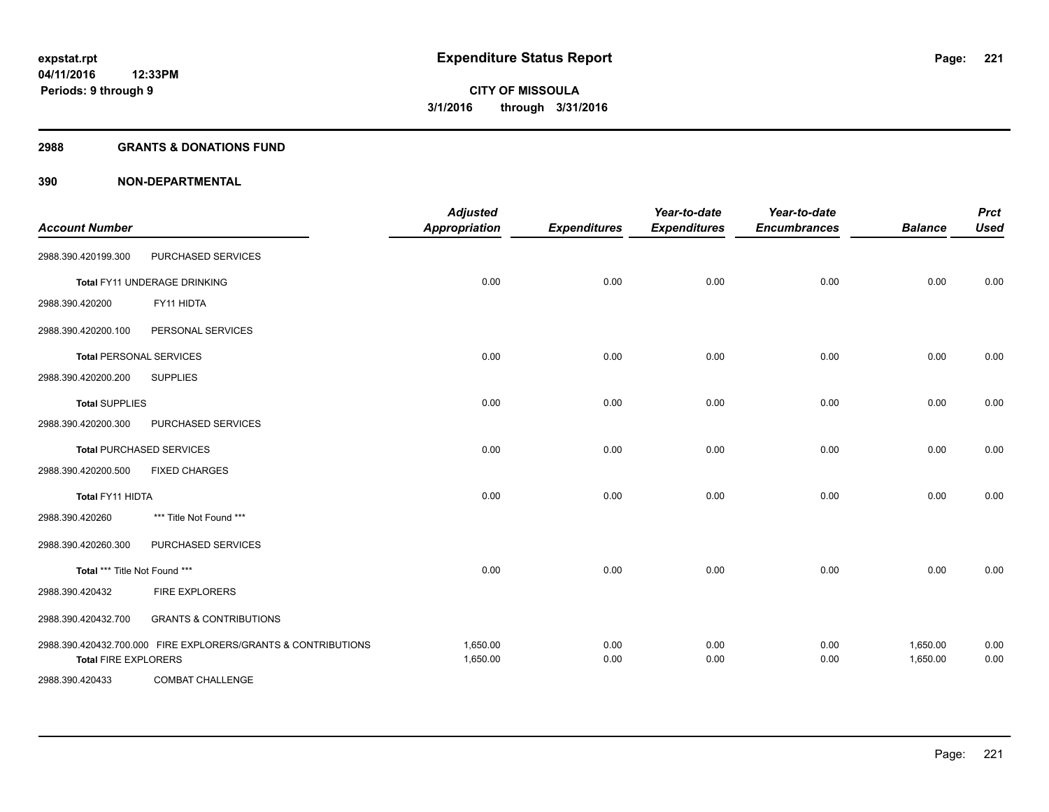#### **2988 GRANTS & DONATIONS FUND**

| <b>Account Number</b>          |                                                               | <b>Adjusted</b><br><b>Appropriation</b> | <b>Expenditures</b> | Year-to-date<br><b>Expenditures</b> | Year-to-date<br><b>Encumbrances</b> | <b>Balance</b>       | <b>Prct</b><br><b>Used</b> |
|--------------------------------|---------------------------------------------------------------|-----------------------------------------|---------------------|-------------------------------------|-------------------------------------|----------------------|----------------------------|
| 2988.390.420199.300            | PURCHASED SERVICES                                            |                                         |                     |                                     |                                     |                      |                            |
|                                | Total FY11 UNDERAGE DRINKING                                  | 0.00                                    | 0.00                | 0.00                                | 0.00                                | 0.00                 | 0.00                       |
| 2988.390.420200                | FY11 HIDTA                                                    |                                         |                     |                                     |                                     |                      |                            |
| 2988.390.420200.100            | PERSONAL SERVICES                                             |                                         |                     |                                     |                                     |                      |                            |
| <b>Total PERSONAL SERVICES</b> |                                                               | 0.00                                    | 0.00                | 0.00                                | 0.00                                | 0.00                 | 0.00                       |
| 2988.390.420200.200            | <b>SUPPLIES</b>                                               |                                         |                     |                                     |                                     |                      |                            |
| <b>Total SUPPLIES</b>          |                                                               | 0.00                                    | 0.00                | 0.00                                | 0.00                                | 0.00                 | 0.00                       |
| 2988.390.420200.300            | PURCHASED SERVICES                                            |                                         |                     |                                     |                                     |                      |                            |
|                                | Total PURCHASED SERVICES                                      | 0.00                                    | 0.00                | 0.00                                | 0.00                                | 0.00                 | 0.00                       |
| 2988.390.420200.500            | <b>FIXED CHARGES</b>                                          |                                         |                     |                                     |                                     |                      |                            |
| <b>Total FY11 HIDTA</b>        |                                                               | 0.00                                    | 0.00                | 0.00                                | 0.00                                | 0.00                 | 0.00                       |
| 2988.390.420260                | *** Title Not Found ***                                       |                                         |                     |                                     |                                     |                      |                            |
| 2988.390.420260.300            | PURCHASED SERVICES                                            |                                         |                     |                                     |                                     |                      |                            |
| Total *** Title Not Found ***  |                                                               | 0.00                                    | 0.00                | 0.00                                | 0.00                                | 0.00                 | 0.00                       |
| 2988.390.420432                | FIRE EXPLORERS                                                |                                         |                     |                                     |                                     |                      |                            |
| 2988.390.420432.700            | <b>GRANTS &amp; CONTRIBUTIONS</b>                             |                                         |                     |                                     |                                     |                      |                            |
| <b>Total FIRE EXPLORERS</b>    | 2988.390.420432.700.000 FIRE EXPLORERS/GRANTS & CONTRIBUTIONS | 1,650.00<br>1,650.00                    | 0.00<br>0.00        | 0.00<br>0.00                        | 0.00<br>0.00                        | 1,650.00<br>1,650.00 | 0.00<br>0.00               |
| 2988.390.420433                | <b>COMBAT CHALLENGE</b>                                       |                                         |                     |                                     |                                     |                      |                            |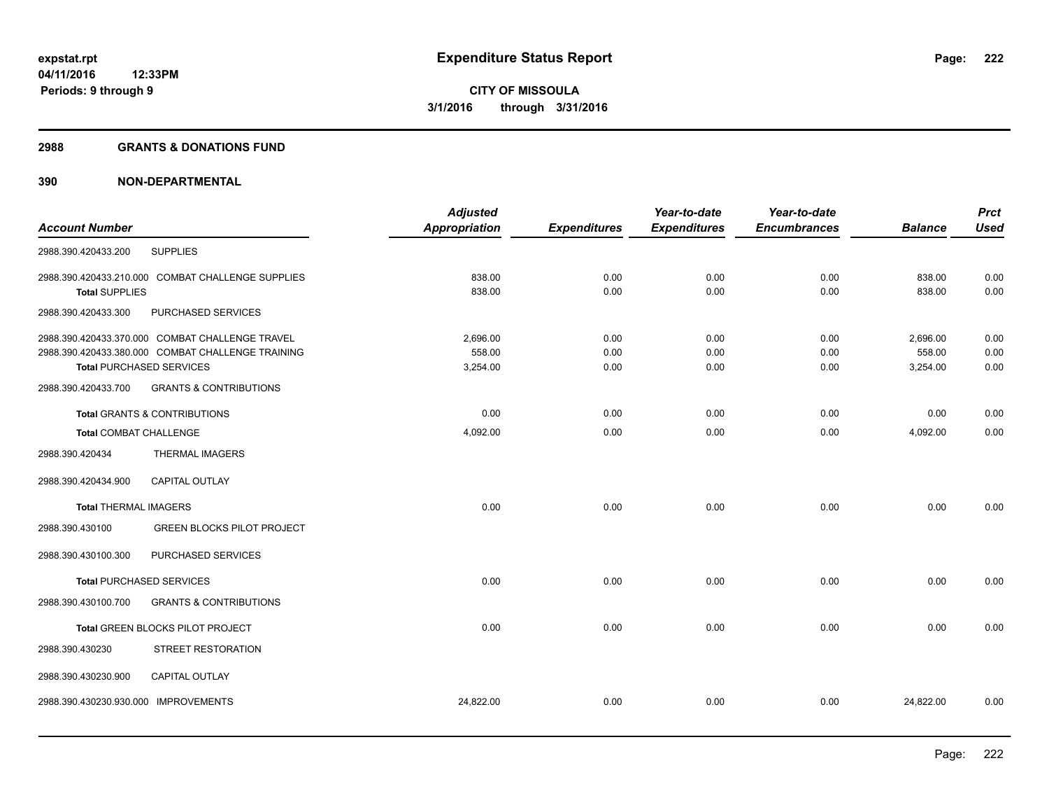#### **2988 GRANTS & DONATIONS FUND**

|                               |                                                   | <b>Adjusted</b>      |                     | Year-to-date        | Year-to-date        |                | <b>Prct</b> |
|-------------------------------|---------------------------------------------------|----------------------|---------------------|---------------------|---------------------|----------------|-------------|
| <b>Account Number</b>         |                                                   | <b>Appropriation</b> | <b>Expenditures</b> | <b>Expenditures</b> | <b>Encumbrances</b> | <b>Balance</b> | <b>Used</b> |
| 2988.390.420433.200           | <b>SUPPLIES</b>                                   |                      |                     |                     |                     |                |             |
|                               | 2988.390.420433.210.000 COMBAT CHALLENGE SUPPLIES | 838.00               | 0.00                | 0.00                | 0.00                | 838.00         | 0.00        |
| <b>Total SUPPLIES</b>         |                                                   | 838.00               | 0.00                | 0.00                | 0.00                | 838.00         | 0.00        |
| 2988.390.420433.300           | PURCHASED SERVICES                                |                      |                     |                     |                     |                |             |
|                               | 2988.390.420433.370.000 COMBAT CHALLENGE TRAVEL   | 2,696.00             | 0.00                | 0.00                | 0.00                | 2,696.00       | 0.00        |
|                               | 2988.390.420433.380.000 COMBAT CHALLENGE TRAINING | 558.00               | 0.00                | 0.00                | 0.00                | 558.00         | 0.00        |
|                               | <b>Total PURCHASED SERVICES</b>                   | 3,254.00             | 0.00                | 0.00                | 0.00                | 3,254.00       | 0.00        |
| 2988.390.420433.700           | <b>GRANTS &amp; CONTRIBUTIONS</b>                 |                      |                     |                     |                     |                |             |
|                               | <b>Total GRANTS &amp; CONTRIBUTIONS</b>           | 0.00                 | 0.00                | 0.00                | 0.00                | 0.00           | 0.00        |
| <b>Total COMBAT CHALLENGE</b> |                                                   | 4,092.00             | 0.00                | 0.00                | 0.00                | 4,092.00       | 0.00        |
| 2988.390.420434               | <b>THERMAL IMAGERS</b>                            |                      |                     |                     |                     |                |             |
| 2988.390.420434.900           | <b>CAPITAL OUTLAY</b>                             |                      |                     |                     |                     |                |             |
| <b>Total THERMAL IMAGERS</b>  |                                                   | 0.00                 | 0.00                | 0.00                | 0.00                | 0.00           | 0.00        |
| 2988.390.430100               | <b>GREEN BLOCKS PILOT PROJECT</b>                 |                      |                     |                     |                     |                |             |
| 2988.390.430100.300           | PURCHASED SERVICES                                |                      |                     |                     |                     |                |             |
|                               | <b>Total PURCHASED SERVICES</b>                   | 0.00                 | 0.00                | 0.00                | 0.00                | 0.00           | 0.00        |
| 2988.390.430100.700           | <b>GRANTS &amp; CONTRIBUTIONS</b>                 |                      |                     |                     |                     |                |             |
|                               | Total GREEN BLOCKS PILOT PROJECT                  | 0.00                 | 0.00                | 0.00                | 0.00                | 0.00           | 0.00        |
| 2988.390.430230               | STREET RESTORATION                                |                      |                     |                     |                     |                |             |
| 2988.390.430230.900           | <b>CAPITAL OUTLAY</b>                             |                      |                     |                     |                     |                |             |
| 2988.390.430230.930.000       | <b>IMPROVEMENTS</b>                               | 24,822.00            | 0.00                | 0.00                | 0.00                | 24,822.00      | 0.00        |
|                               |                                                   |                      |                     |                     |                     |                |             |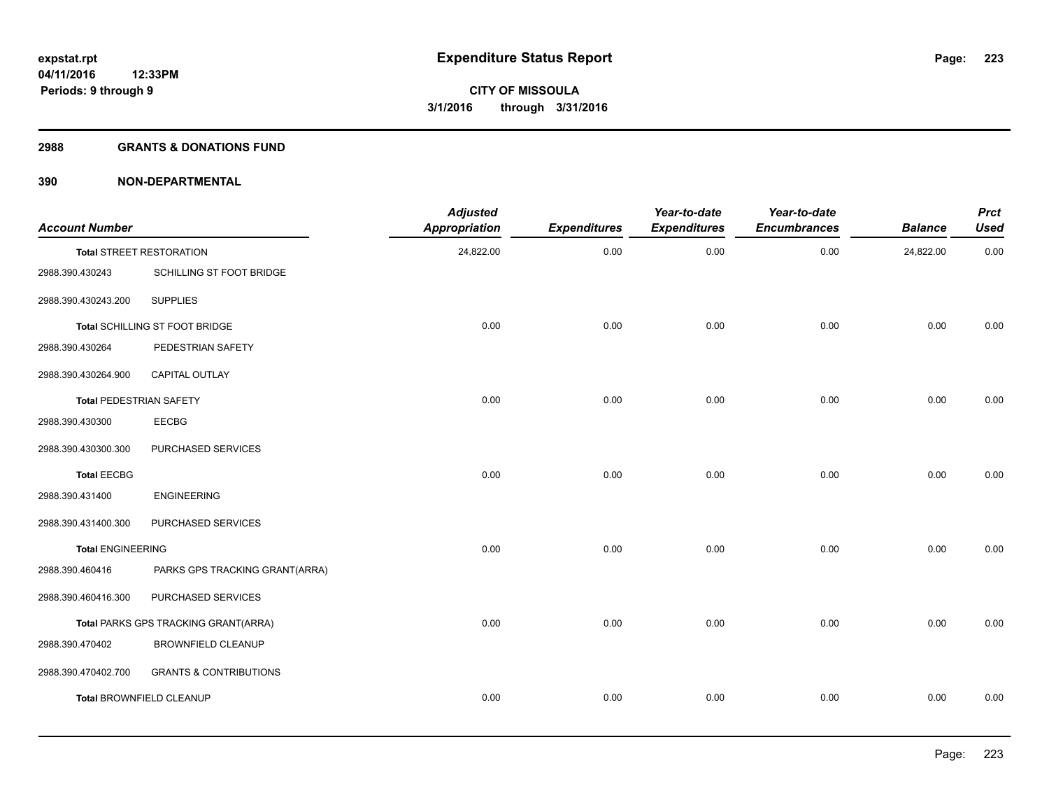#### **2988 GRANTS & DONATIONS FUND**

| <b>Account Number</b>          |                                      | <b>Adjusted</b><br><b>Appropriation</b> | <b>Expenditures</b> | Year-to-date<br><b>Expenditures</b> | Year-to-date<br><b>Encumbrances</b> | <b>Balance</b> | <b>Prct</b><br><b>Used</b> |
|--------------------------------|--------------------------------------|-----------------------------------------|---------------------|-------------------------------------|-------------------------------------|----------------|----------------------------|
|                                | <b>Total STREET RESTORATION</b>      | 24,822.00                               | 0.00                | 0.00                                | 0.00                                | 24,822.00      | 0.00                       |
| 2988.390.430243                | SCHILLING ST FOOT BRIDGE             |                                         |                     |                                     |                                     |                |                            |
| 2988.390.430243.200            | <b>SUPPLIES</b>                      |                                         |                     |                                     |                                     |                |                            |
|                                | Total SCHILLING ST FOOT BRIDGE       | 0.00                                    | 0.00                | 0.00                                | 0.00                                | 0.00           | 0.00                       |
| 2988.390.430264                | PEDESTRIAN SAFETY                    |                                         |                     |                                     |                                     |                |                            |
| 2988.390.430264.900            | CAPITAL OUTLAY                       |                                         |                     |                                     |                                     |                |                            |
| <b>Total PEDESTRIAN SAFETY</b> |                                      | 0.00                                    | 0.00                | 0.00                                | 0.00                                | 0.00           | 0.00                       |
| 2988.390.430300                | <b>EECBG</b>                         |                                         |                     |                                     |                                     |                |                            |
| 2988.390.430300.300            | PURCHASED SERVICES                   |                                         |                     |                                     |                                     |                |                            |
| <b>Total EECBG</b>             |                                      | 0.00                                    | 0.00                | 0.00                                | 0.00                                | 0.00           | 0.00                       |
| 2988.390.431400                | <b>ENGINEERING</b>                   |                                         |                     |                                     |                                     |                |                            |
| 2988.390.431400.300            | PURCHASED SERVICES                   |                                         |                     |                                     |                                     |                |                            |
| <b>Total ENGINEERING</b>       |                                      | 0.00                                    | 0.00                | 0.00                                | 0.00                                | 0.00           | 0.00                       |
| 2988.390.460416                | PARKS GPS TRACKING GRANT(ARRA)       |                                         |                     |                                     |                                     |                |                            |
| 2988.390.460416.300            | PURCHASED SERVICES                   |                                         |                     |                                     |                                     |                |                            |
|                                | Total PARKS GPS TRACKING GRANT(ARRA) | 0.00                                    | 0.00                | 0.00                                | 0.00                                | 0.00           | 0.00                       |
| 2988.390.470402                | <b>BROWNFIELD CLEANUP</b>            |                                         |                     |                                     |                                     |                |                            |
| 2988.390.470402.700            | <b>GRANTS &amp; CONTRIBUTIONS</b>    |                                         |                     |                                     |                                     |                |                            |
|                                | <b>Total BROWNFIELD CLEANUP</b>      | 0.00                                    | 0.00                | 0.00                                | 0.00                                | 0.00           | 0.00                       |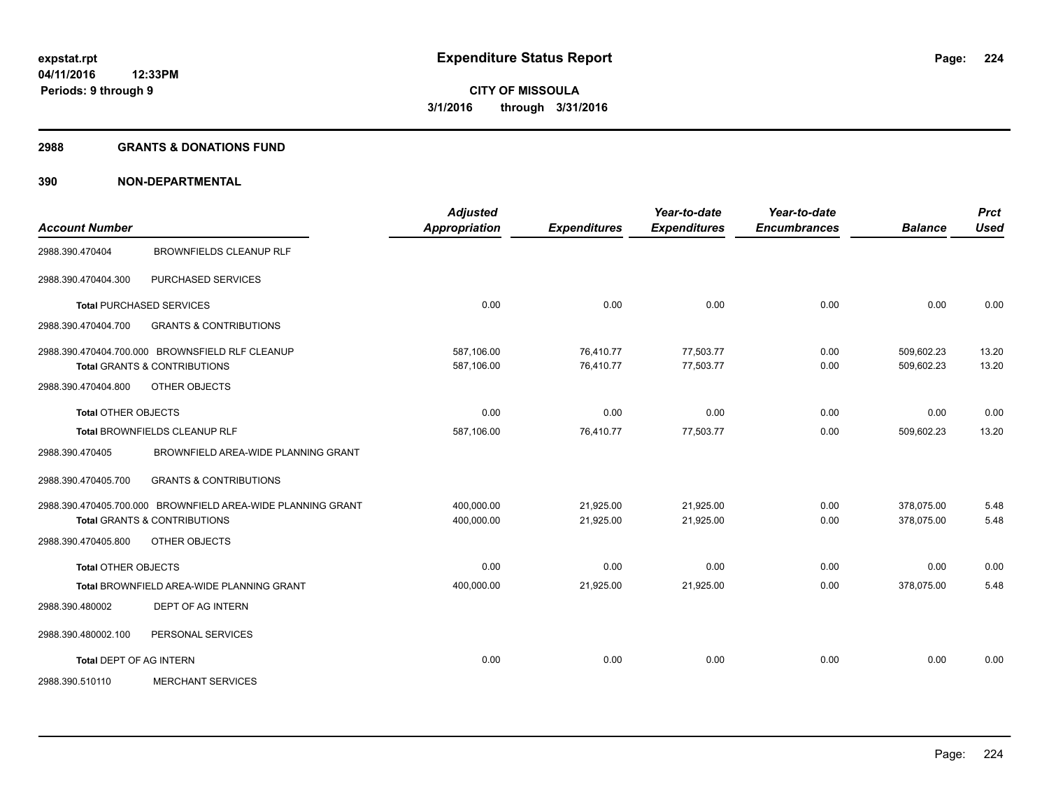#### **2988 GRANTS & DONATIONS FUND**

| <b>Account Number</b>          |                                                             | <b>Adjusted</b><br><b>Appropriation</b> | <b>Expenditures</b> | Year-to-date<br><b>Expenditures</b> | Year-to-date<br><b>Encumbrances</b> | <b>Balance</b> | <b>Prct</b><br><b>Used</b> |
|--------------------------------|-------------------------------------------------------------|-----------------------------------------|---------------------|-------------------------------------|-------------------------------------|----------------|----------------------------|
|                                |                                                             |                                         |                     |                                     |                                     |                |                            |
| 2988.390.470404                | <b>BROWNFIELDS CLEANUP RLF</b>                              |                                         |                     |                                     |                                     |                |                            |
| 2988.390.470404.300            | PURCHASED SERVICES                                          |                                         |                     |                                     |                                     |                |                            |
|                                | <b>Total PURCHASED SERVICES</b>                             | 0.00                                    | 0.00                | 0.00                                | 0.00                                | 0.00           | 0.00                       |
| 2988.390.470404.700            | <b>GRANTS &amp; CONTRIBUTIONS</b>                           |                                         |                     |                                     |                                     |                |                            |
|                                | 2988.390.470404.700.000 BROWNSFIELD RLF CLEANUP             | 587,106.00                              | 76,410.77           | 77,503.77                           | 0.00                                | 509,602.23     | 13.20                      |
|                                | <b>Total GRANTS &amp; CONTRIBUTIONS</b>                     | 587,106.00                              | 76,410.77           | 77,503.77                           | 0.00                                | 509,602.23     | 13.20                      |
| 2988.390.470404.800            | OTHER OBJECTS                                               |                                         |                     |                                     |                                     |                |                            |
| <b>Total OTHER OBJECTS</b>     |                                                             | 0.00                                    | 0.00                | 0.00                                | 0.00                                | 0.00           | 0.00                       |
|                                | Total BROWNFIELDS CLEANUP RLF                               | 587,106.00                              | 76,410.77           | 77,503.77                           | 0.00                                | 509,602.23     | 13.20                      |
| 2988.390.470405                | BROWNFIELD AREA-WIDE PLANNING GRANT                         |                                         |                     |                                     |                                     |                |                            |
| 2988.390.470405.700            | <b>GRANTS &amp; CONTRIBUTIONS</b>                           |                                         |                     |                                     |                                     |                |                            |
|                                | 2988.390.470405.700.000 BROWNFIELD AREA-WIDE PLANNING GRANT | 400,000.00                              | 21,925.00           | 21,925.00                           | 0.00                                | 378,075.00     | 5.48                       |
|                                | <b>Total GRANTS &amp; CONTRIBUTIONS</b>                     | 400,000.00                              | 21,925.00           | 21,925.00                           | 0.00                                | 378,075.00     | 5.48                       |
| 2988.390.470405.800            | OTHER OBJECTS                                               |                                         |                     |                                     |                                     |                |                            |
| <b>Total OTHER OBJECTS</b>     |                                                             | 0.00                                    | 0.00                | 0.00                                | 0.00                                | 0.00           | 0.00                       |
|                                | <b>Total BROWNFIELD AREA-WIDE PLANNING GRANT</b>            | 400,000.00                              | 21,925.00           | 21,925.00                           | 0.00                                | 378,075.00     | 5.48                       |
| 2988.390.480002                | <b>DEPT OF AG INTERN</b>                                    |                                         |                     |                                     |                                     |                |                            |
| 2988.390.480002.100            | PERSONAL SERVICES                                           |                                         |                     |                                     |                                     |                |                            |
| <b>Total DEPT OF AG INTERN</b> |                                                             | 0.00                                    | 0.00                | 0.00                                | 0.00                                | 0.00           | 0.00                       |
| 2988.390.510110                | <b>MERCHANT SERVICES</b>                                    |                                         |                     |                                     |                                     |                |                            |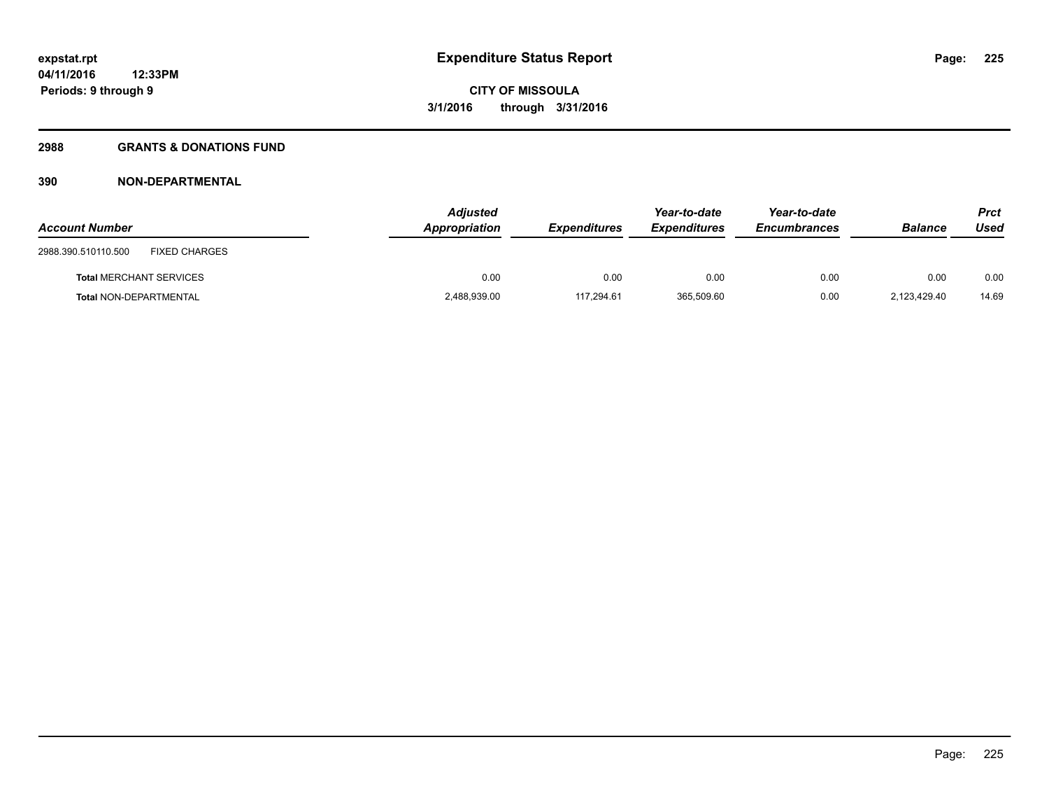### **2988 GRANTS & DONATIONS FUND**

| <b>Account Number</b>                       | <b>Adjusted</b><br>Appropriation | <b>Expenditures</b> | Year-to-date<br><b>Expenditures</b> | Year-to-date<br><b>Encumbrances</b> | <b>Balance</b> | Prct<br>Used |
|---------------------------------------------|----------------------------------|---------------------|-------------------------------------|-------------------------------------|----------------|--------------|
| <b>FIXED CHARGES</b><br>2988.390.510110.500 |                                  |                     |                                     |                                     |                |              |
| <b>Total MERCHANT SERVICES</b>              | 0.00                             | 0.00                | 0.00                                | 0.00                                | 0.00           | 0.00         |
| Total NON-DEPARTMENTAL                      | 2,488,939.00                     | 117.294.61          | 365,509.60                          | 0.00                                | 2.123.429.40   | 14.69        |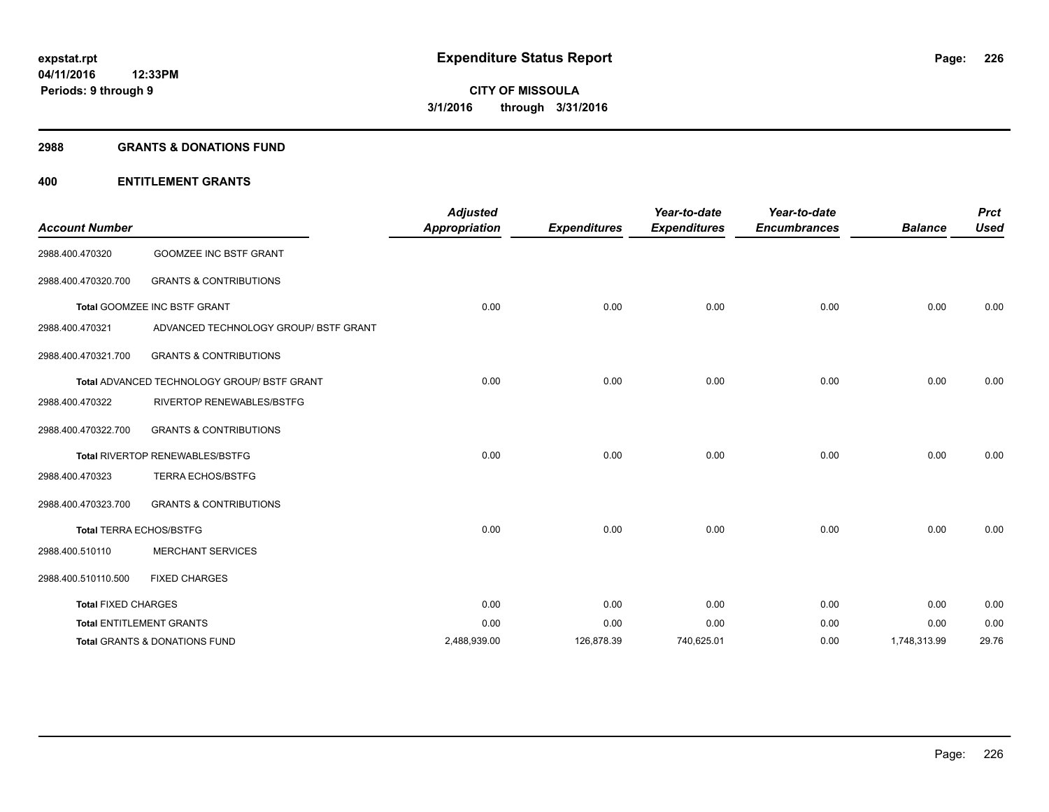#### **2988 GRANTS & DONATIONS FUND**

## **400 ENTITLEMENT GRANTS**

| <b>Account Number</b>      |                                                    | <b>Adjusted</b><br><b>Appropriation</b> | <b>Expenditures</b> | Year-to-date<br><b>Expenditures</b> | Year-to-date<br><b>Encumbrances</b> | <b>Balance</b> | <b>Prct</b><br><b>Used</b> |
|----------------------------|----------------------------------------------------|-----------------------------------------|---------------------|-------------------------------------|-------------------------------------|----------------|----------------------------|
| 2988.400.470320            | <b>GOOMZEE INC BSTF GRANT</b>                      |                                         |                     |                                     |                                     |                |                            |
| 2988.400.470320.700        | <b>GRANTS &amp; CONTRIBUTIONS</b>                  |                                         |                     |                                     |                                     |                |                            |
|                            | Total GOOMZEE INC BSTF GRANT                       | 0.00                                    | 0.00                | 0.00                                | 0.00                                | 0.00           | 0.00                       |
| 2988.400.470321            | ADVANCED TECHNOLOGY GROUP/ BSTF GRANT              |                                         |                     |                                     |                                     |                |                            |
| 2988.400.470321.700        | <b>GRANTS &amp; CONTRIBUTIONS</b>                  |                                         |                     |                                     |                                     |                |                            |
|                            | <b>Total ADVANCED TECHNOLOGY GROUP/ BSTF GRANT</b> | 0.00                                    | 0.00                | 0.00                                | 0.00                                | 0.00           | 0.00                       |
| 2988.400.470322            | <b>RIVERTOP RENEWABLES/BSTFG</b>                   |                                         |                     |                                     |                                     |                |                            |
| 2988.400.470322.700        | <b>GRANTS &amp; CONTRIBUTIONS</b>                  |                                         |                     |                                     |                                     |                |                            |
|                            | Total RIVERTOP RENEWABLES/BSTFG                    | 0.00                                    | 0.00                | 0.00                                | 0.00                                | 0.00           | 0.00                       |
| 2988.400.470323            | <b>TERRA ECHOS/BSTFG</b>                           |                                         |                     |                                     |                                     |                |                            |
| 2988.400.470323.700        | <b>GRANTS &amp; CONTRIBUTIONS</b>                  |                                         |                     |                                     |                                     |                |                            |
|                            | <b>Total TERRA ECHOS/BSTFG</b>                     | 0.00                                    | 0.00                | 0.00                                | 0.00                                | 0.00           | 0.00                       |
| 2988.400.510110            | <b>MERCHANT SERVICES</b>                           |                                         |                     |                                     |                                     |                |                            |
| 2988.400.510110.500        | <b>FIXED CHARGES</b>                               |                                         |                     |                                     |                                     |                |                            |
| <b>Total FIXED CHARGES</b> |                                                    | 0.00                                    | 0.00                | 0.00                                | 0.00                                | 0.00           | 0.00                       |
|                            | <b>Total ENTITLEMENT GRANTS</b>                    | 0.00                                    | 0.00                | 0.00                                | 0.00                                | 0.00           | 0.00                       |
|                            | Total GRANTS & DONATIONS FUND                      | 2,488,939.00                            | 126,878.39          | 740,625.01                          | 0.00                                | 1,748,313.99   | 29.76                      |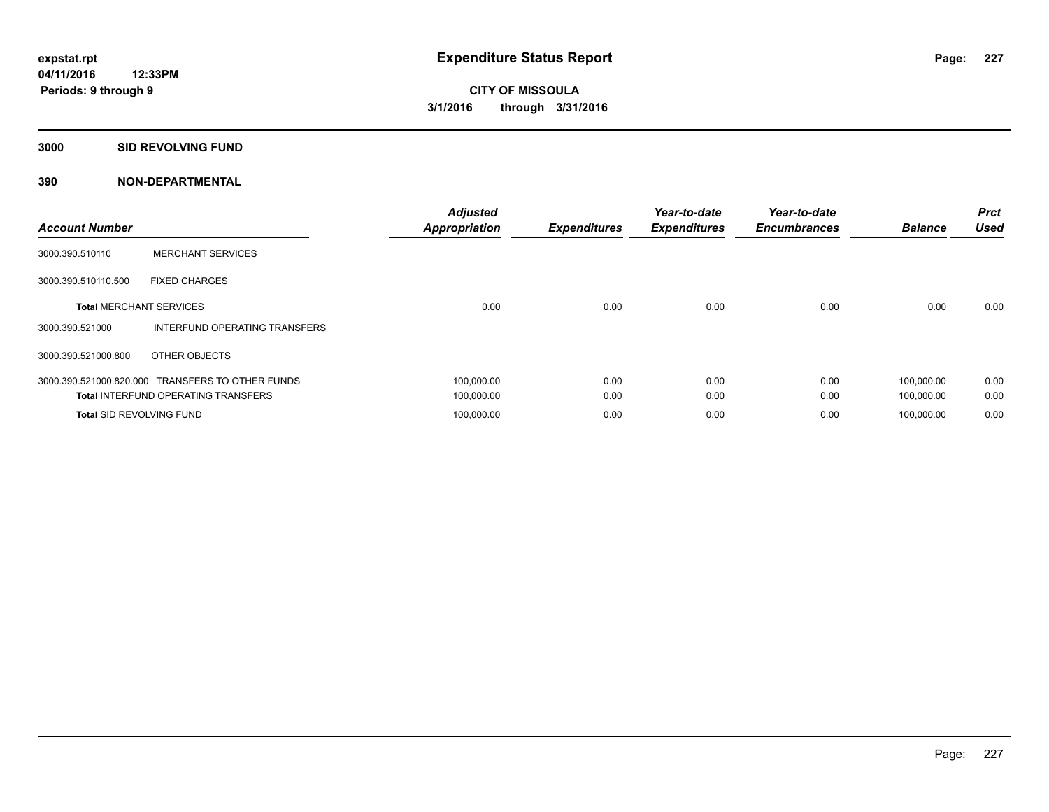#### **3000 SID REVOLVING FUND**

| <b>Account Number</b>           |                                                  | <b>Adjusted</b><br><b>Appropriation</b> | <b>Expenditures</b> | Year-to-date<br><b>Expenditures</b> | Year-to-date<br><b>Encumbrances</b> | <b>Balance</b> | <b>Prct</b><br><b>Used</b> |
|---------------------------------|--------------------------------------------------|-----------------------------------------|---------------------|-------------------------------------|-------------------------------------|----------------|----------------------------|
| 3000.390.510110                 | <b>MERCHANT SERVICES</b>                         |                                         |                     |                                     |                                     |                |                            |
| 3000.390.510110.500             | <b>FIXED CHARGES</b>                             |                                         |                     |                                     |                                     |                |                            |
| <b>Total MERCHANT SERVICES</b>  |                                                  | 0.00                                    | 0.00                | 0.00                                | 0.00                                | 0.00           | 0.00                       |
| 3000.390.521000                 | INTERFUND OPERATING TRANSFERS                    |                                         |                     |                                     |                                     |                |                            |
| 3000.390.521000.800             | OTHER OBJECTS                                    |                                         |                     |                                     |                                     |                |                            |
|                                 | 3000.390.521000.820.000 TRANSFERS TO OTHER FUNDS | 100,000.00                              | 0.00                | 0.00                                | 0.00                                | 100.000.00     | 0.00                       |
|                                 | <b>Total INTERFUND OPERATING TRANSFERS</b>       | 100,000.00                              | 0.00                | 0.00                                | 0.00                                | 100,000.00     | 0.00                       |
| <b>Total SID REVOLVING FUND</b> |                                                  | 100,000.00                              | 0.00                | 0.00                                | 0.00                                | 100.000.00     | 0.00                       |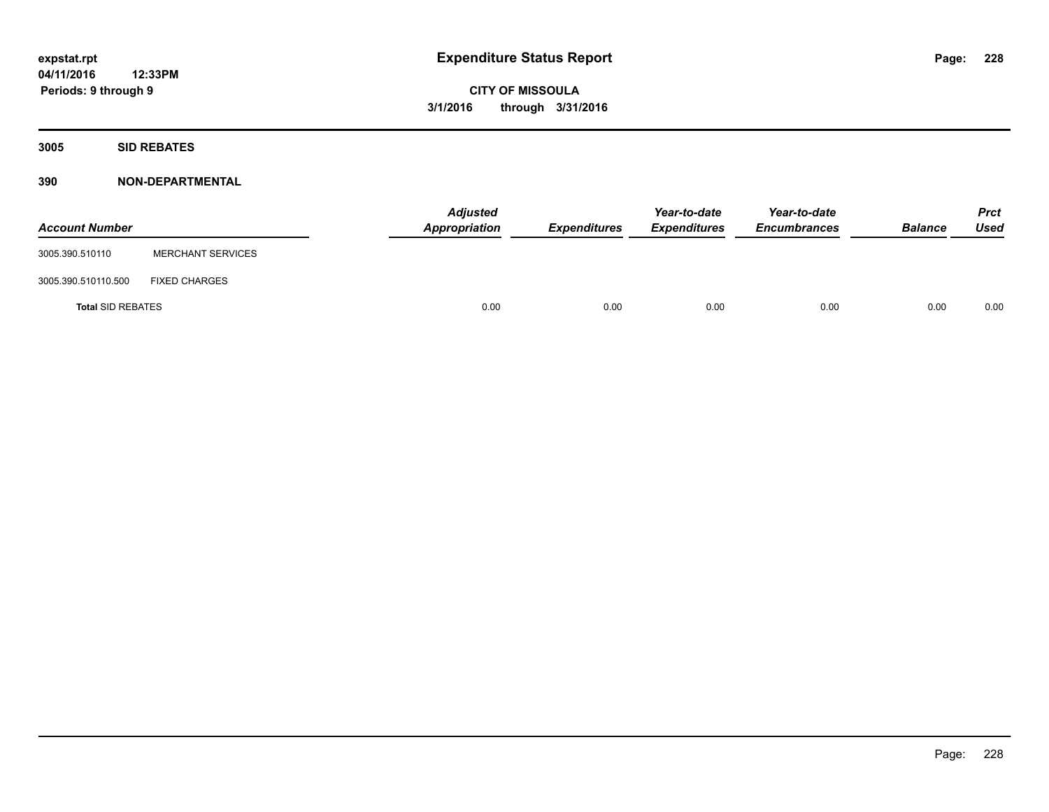**3005 SID REBATES**

| <b>Account Number</b>    |                          | <b>Adjusted</b><br>Appropriation | <b>Expenditures</b> | Year-to-date<br><b>Expenditures</b> | Year-to-date<br><b>Encumbrances</b> | <b>Balance</b> | Prct<br><b>Used</b> |
|--------------------------|--------------------------|----------------------------------|---------------------|-------------------------------------|-------------------------------------|----------------|---------------------|
| 3005.390.510110          | <b>MERCHANT SERVICES</b> |                                  |                     |                                     |                                     |                |                     |
| 3005.390.510110.500      | <b>FIXED CHARGES</b>     |                                  |                     |                                     |                                     |                |                     |
| <b>Total SID REBATES</b> |                          | 0.00                             | 0.00                | 0.00                                | 0.00                                | 0.00           | 0.00                |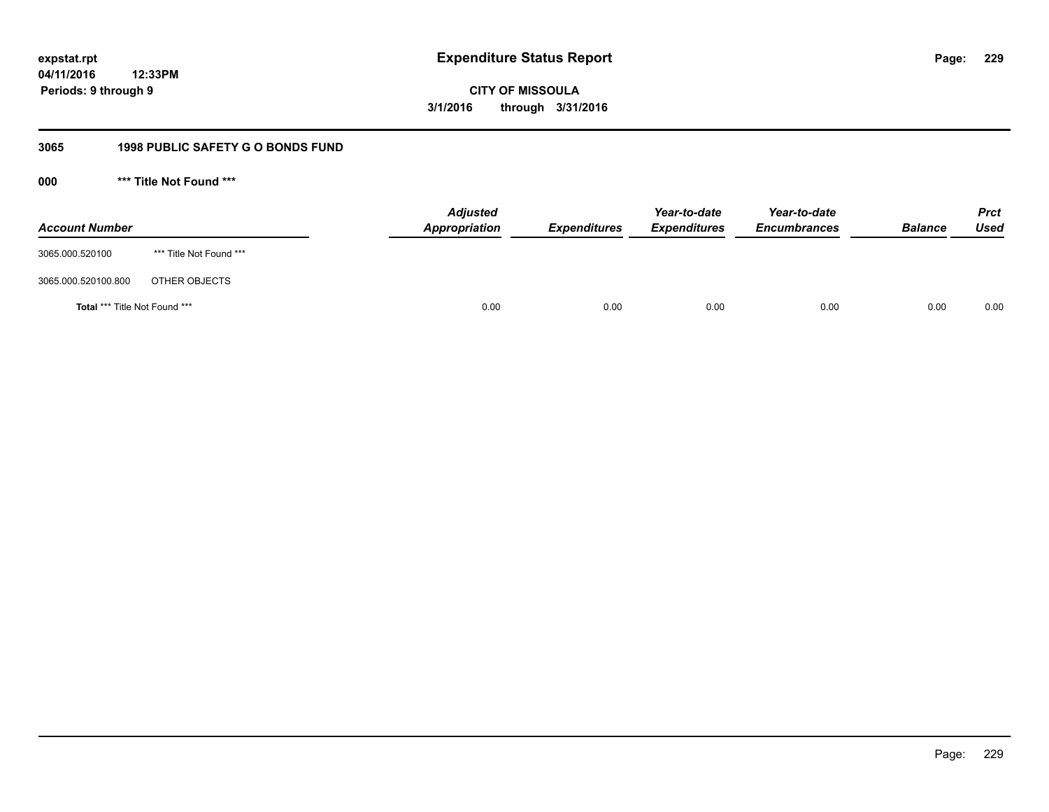**CITY OF MISSOULA 3/1/2016 through 3/31/2016**

## **3065 1998 PUBLIC SAFETY G O BONDS FUND**

**000 \*\*\* Title Not Found \*\*\***

| <b>Account Number</b>         |                         | <b>Adjusted</b><br>Appropriation | <b>Expenditures</b> | Year-to-date<br><b>Expenditures</b> | Year-to-date<br><b>Encumbrances</b> | <b>Balance</b> | <b>Prct</b><br><b>Used</b> |
|-------------------------------|-------------------------|----------------------------------|---------------------|-------------------------------------|-------------------------------------|----------------|----------------------------|
| 3065.000.520100               | *** Title Not Found *** |                                  |                     |                                     |                                     |                |                            |
| 3065.000.520100.800           | OTHER OBJECTS           |                                  |                     |                                     |                                     |                |                            |
| Total *** Title Not Found *** |                         | 0.00                             | 0.00                | 0.00                                | 0.00                                | 0.00           | 0.00                       |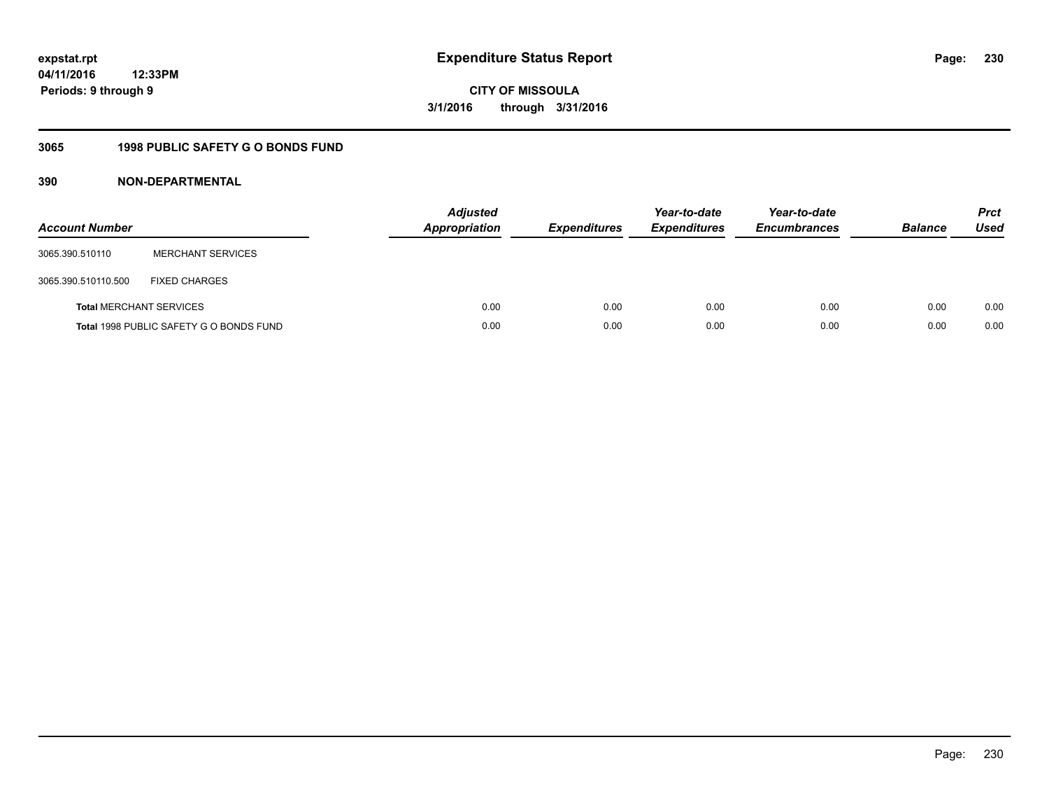# **CITY OF MISSOULA 3/1/2016 through 3/31/2016**

## **3065 1998 PUBLIC SAFETY G O BONDS FUND**

| <b>Account Number</b>          |                                         | <b>Adjusted</b><br><b>Appropriation</b> | <b>Expenditures</b> | Year-to-date<br><b>Expenditures</b> | Year-to-date<br><b>Encumbrances</b> | <b>Balance</b> | <b>Prct</b><br>Used |
|--------------------------------|-----------------------------------------|-----------------------------------------|---------------------|-------------------------------------|-------------------------------------|----------------|---------------------|
| 3065.390.510110                | <b>MERCHANT SERVICES</b>                |                                         |                     |                                     |                                     |                |                     |
| 3065.390.510110.500            | <b>FIXED CHARGES</b>                    |                                         |                     |                                     |                                     |                |                     |
| <b>Total MERCHANT SERVICES</b> |                                         | 0.00                                    | 0.00                | 0.00                                | 0.00                                | 0.00           | 0.00                |
|                                | Total 1998 PUBLIC SAFETY G O BONDS FUND | 0.00                                    | 0.00                | 0.00                                | 0.00                                | 0.00           | 0.00                |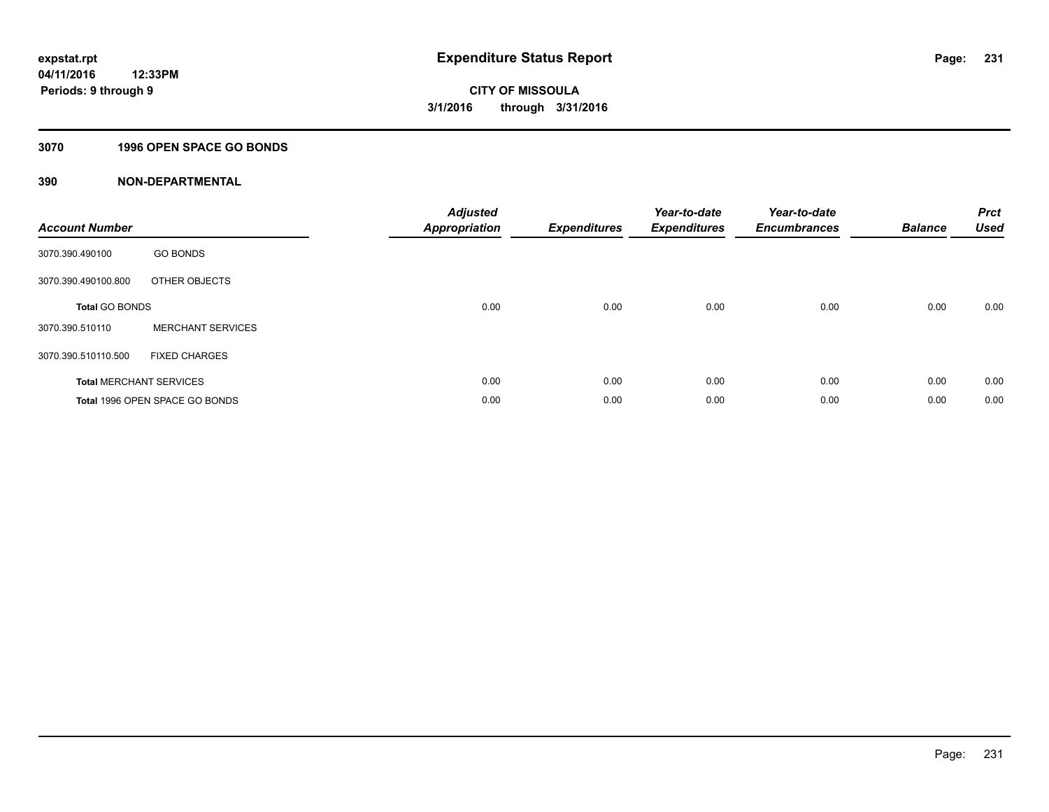## **3070 1996 OPEN SPACE GO BONDS**

| <b>Account Number</b> |                                | <b>Adjusted</b><br><b>Appropriation</b> | <b>Expenditures</b> | Year-to-date<br><b>Expenditures</b> | Year-to-date<br><b>Encumbrances</b> | <b>Balance</b> | <b>Prct</b><br><b>Used</b> |
|-----------------------|--------------------------------|-----------------------------------------|---------------------|-------------------------------------|-------------------------------------|----------------|----------------------------|
| 3070.390.490100       | <b>GO BONDS</b>                |                                         |                     |                                     |                                     |                |                            |
| 3070.390.490100.800   | OTHER OBJECTS                  |                                         |                     |                                     |                                     |                |                            |
| <b>Total GO BONDS</b> |                                | 0.00                                    | 0.00                | 0.00                                | 0.00                                | 0.00           | 0.00                       |
| 3070.390.510110       | <b>MERCHANT SERVICES</b>       |                                         |                     |                                     |                                     |                |                            |
| 3070.390.510110.500   | <b>FIXED CHARGES</b>           |                                         |                     |                                     |                                     |                |                            |
|                       | <b>Total MERCHANT SERVICES</b> | 0.00                                    | 0.00                | 0.00                                | 0.00                                | 0.00           | 0.00                       |
|                       | Total 1996 OPEN SPACE GO BONDS | 0.00                                    | 0.00                | 0.00                                | 0.00                                | 0.00           | 0.00                       |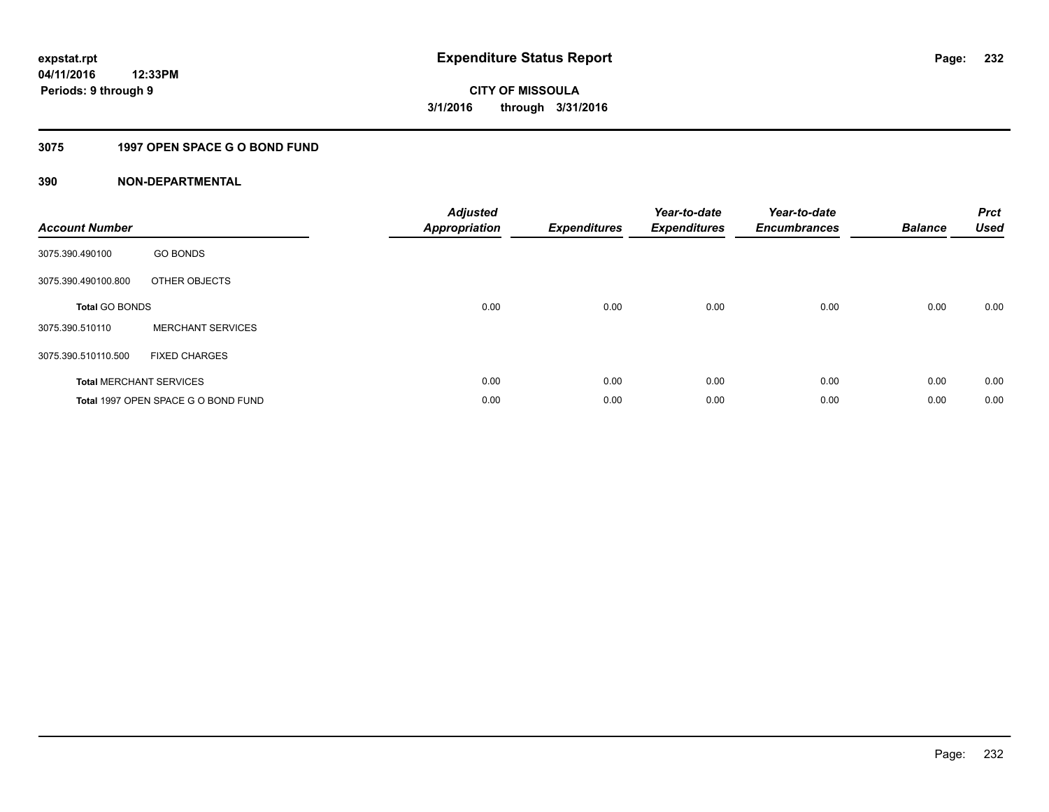## **3075 1997 OPEN SPACE G O BOND FUND**

| <b>Account Number</b> |                                     | <b>Adjusted</b><br><b>Appropriation</b> | <b>Expenditures</b> | Year-to-date<br><b>Expenditures</b> | Year-to-date<br><b>Encumbrances</b> | <b>Balance</b> | <b>Prct</b><br><b>Used</b> |
|-----------------------|-------------------------------------|-----------------------------------------|---------------------|-------------------------------------|-------------------------------------|----------------|----------------------------|
| 3075.390.490100       | <b>GO BONDS</b>                     |                                         |                     |                                     |                                     |                |                            |
| 3075.390.490100.800   | OTHER OBJECTS                       |                                         |                     |                                     |                                     |                |                            |
| <b>Total GO BONDS</b> |                                     | 0.00                                    | 0.00                | 0.00                                | 0.00                                | 0.00           | 0.00                       |
| 3075.390.510110       | <b>MERCHANT SERVICES</b>            |                                         |                     |                                     |                                     |                |                            |
| 3075.390.510110.500   | <b>FIXED CHARGES</b>                |                                         |                     |                                     |                                     |                |                            |
|                       | <b>Total MERCHANT SERVICES</b>      | 0.00                                    | 0.00                | 0.00                                | 0.00                                | 0.00           | 0.00                       |
|                       | Total 1997 OPEN SPACE G O BOND FUND | 0.00                                    | 0.00                | 0.00                                | 0.00                                | 0.00           | 0.00                       |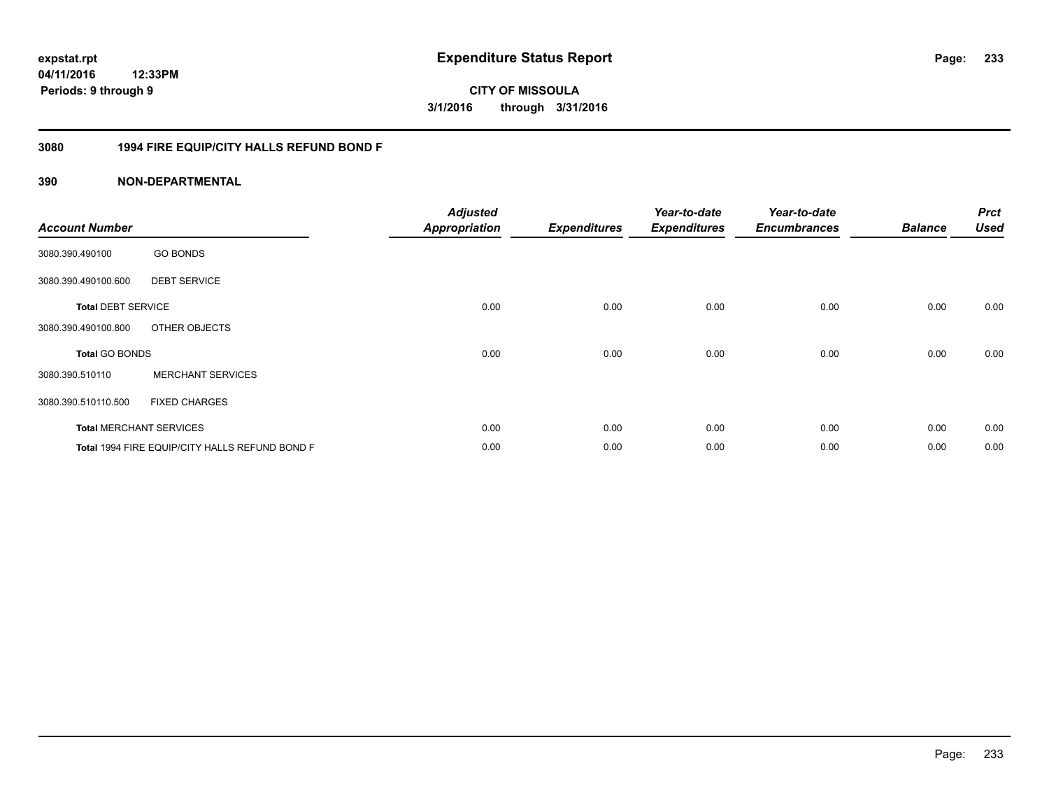**CITY OF MISSOULA 3/1/2016 through 3/31/2016**

## **3080 1994 FIRE EQUIP/CITY HALLS REFUND BOND F**

| <b>Account Number</b>     |                                                | <b>Adjusted</b><br><b>Appropriation</b> | <b>Expenditures</b> | Year-to-date<br><b>Expenditures</b> | Year-to-date<br><b>Encumbrances</b> | <b>Balance</b> | <b>Prct</b><br><b>Used</b> |
|---------------------------|------------------------------------------------|-----------------------------------------|---------------------|-------------------------------------|-------------------------------------|----------------|----------------------------|
| 3080.390.490100           | <b>GO BONDS</b>                                |                                         |                     |                                     |                                     |                |                            |
| 3080.390.490100.600       | <b>DEBT SERVICE</b>                            |                                         |                     |                                     |                                     |                |                            |
| <b>Total DEBT SERVICE</b> |                                                | 0.00                                    | 0.00                | 0.00                                | 0.00                                | 0.00           | 0.00                       |
| 3080.390.490100.800       | OTHER OBJECTS                                  |                                         |                     |                                     |                                     |                |                            |
| <b>Total GO BONDS</b>     |                                                | 0.00                                    | 0.00                | 0.00                                | 0.00                                | 0.00           | 0.00                       |
| 3080.390.510110           | <b>MERCHANT SERVICES</b>                       |                                         |                     |                                     |                                     |                |                            |
| 3080.390.510110.500       | <b>FIXED CHARGES</b>                           |                                         |                     |                                     |                                     |                |                            |
|                           | <b>Total MERCHANT SERVICES</b>                 | 0.00                                    | 0.00                | 0.00                                | 0.00                                | 0.00           | 0.00                       |
|                           | Total 1994 FIRE EQUIP/CITY HALLS REFUND BOND F | 0.00                                    | 0.00                | 0.00                                | 0.00                                | 0.00           | 0.00                       |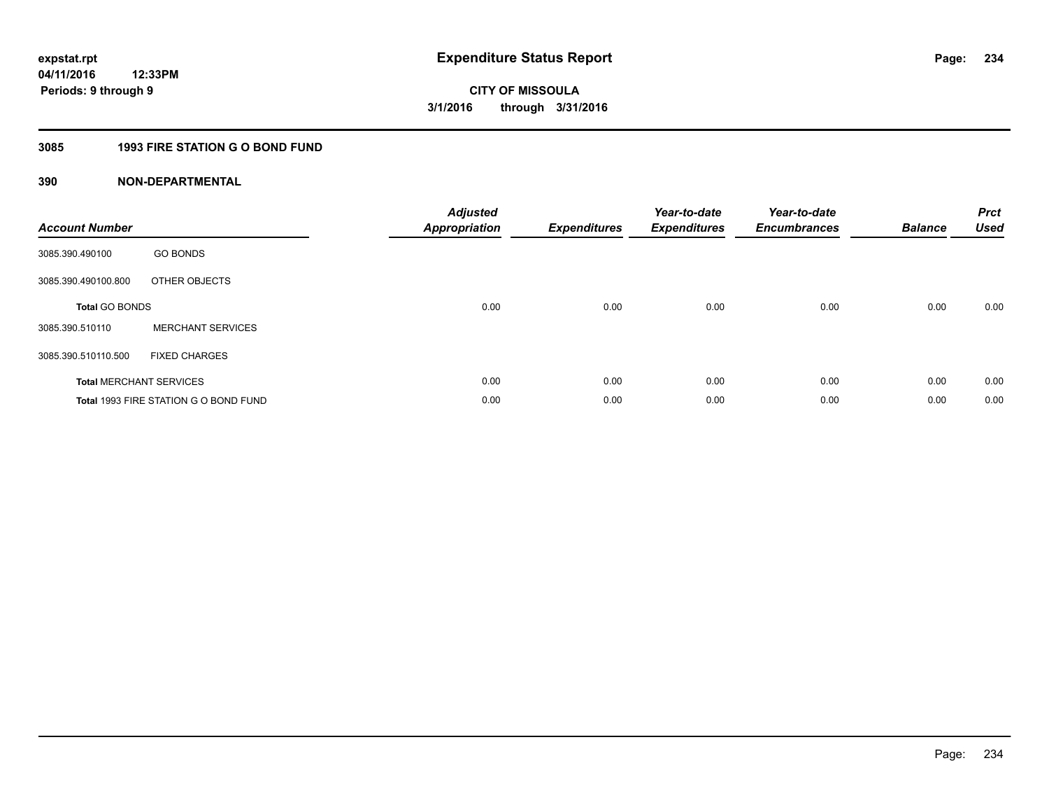## **3085 1993 FIRE STATION G O BOND FUND**

| <b>Account Number</b> |                                       | <b>Adjusted</b><br>Appropriation | <b>Expenditures</b> | Year-to-date<br><b>Expenditures</b> | Year-to-date<br><b>Encumbrances</b> | <b>Balance</b> | <b>Prct</b><br><b>Used</b> |
|-----------------------|---------------------------------------|----------------------------------|---------------------|-------------------------------------|-------------------------------------|----------------|----------------------------|
| 3085.390.490100       | <b>GO BONDS</b>                       |                                  |                     |                                     |                                     |                |                            |
| 3085.390.490100.800   | OTHER OBJECTS                         |                                  |                     |                                     |                                     |                |                            |
| <b>Total GO BONDS</b> |                                       | 0.00                             | 0.00                | 0.00                                | 0.00                                | 0.00           | 0.00                       |
| 3085.390.510110       | <b>MERCHANT SERVICES</b>              |                                  |                     |                                     |                                     |                |                            |
| 3085.390.510110.500   | <b>FIXED CHARGES</b>                  |                                  |                     |                                     |                                     |                |                            |
|                       | <b>Total MERCHANT SERVICES</b>        | 0.00                             | 0.00                | 0.00                                | 0.00                                | 0.00           | 0.00                       |
|                       | Total 1993 FIRE STATION G O BOND FUND | 0.00                             | 0.00                | 0.00                                | 0.00                                | 0.00           | 0.00                       |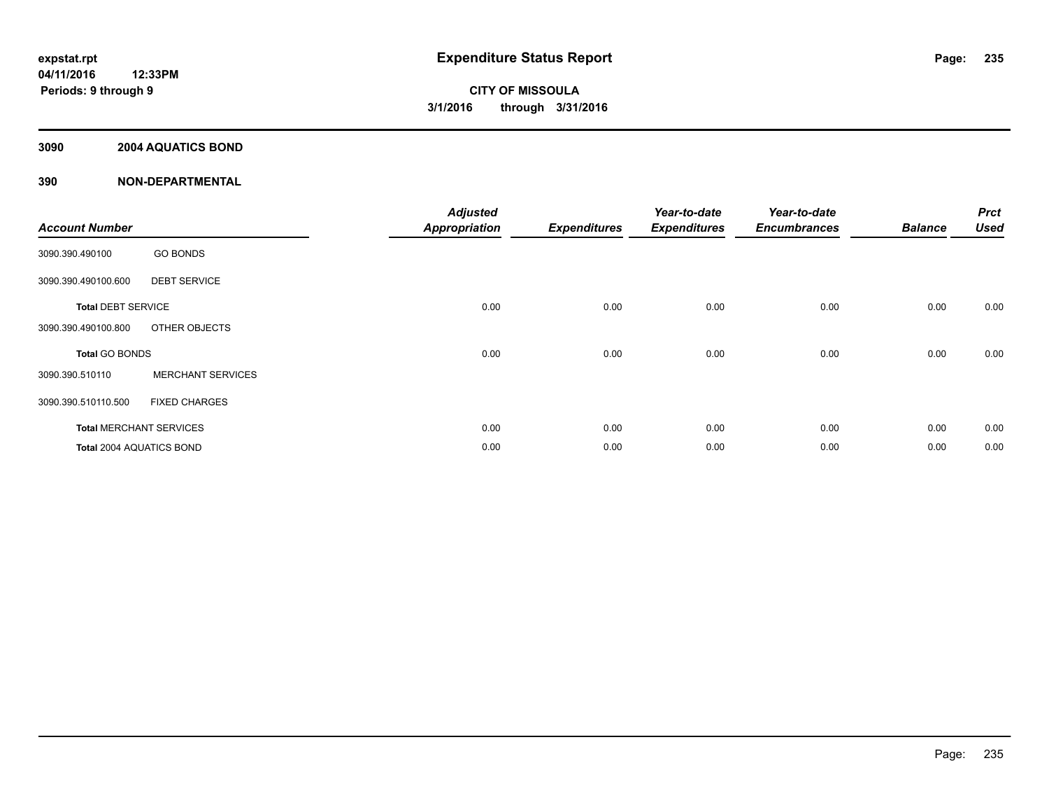## **3090 2004 AQUATICS BOND**

| <b>Account Number</b>     |                                | <b>Adjusted</b><br><b>Appropriation</b> | <b>Expenditures</b> | Year-to-date<br><b>Expenditures</b> | Year-to-date<br><b>Encumbrances</b> | <b>Balance</b> | <b>Prct</b><br><b>Used</b> |
|---------------------------|--------------------------------|-----------------------------------------|---------------------|-------------------------------------|-------------------------------------|----------------|----------------------------|
| 3090.390.490100           | <b>GO BONDS</b>                |                                         |                     |                                     |                                     |                |                            |
| 3090.390.490100.600       | <b>DEBT SERVICE</b>            |                                         |                     |                                     |                                     |                |                            |
| <b>Total DEBT SERVICE</b> |                                | 0.00                                    | 0.00                | 0.00                                | 0.00                                | 0.00           | 0.00                       |
| 3090.390.490100.800       | OTHER OBJECTS                  |                                         |                     |                                     |                                     |                |                            |
| <b>Total GO BONDS</b>     |                                | 0.00                                    | 0.00                | 0.00                                | 0.00                                | 0.00           | 0.00                       |
| 3090.390.510110           | <b>MERCHANT SERVICES</b>       |                                         |                     |                                     |                                     |                |                            |
| 3090.390.510110.500       | <b>FIXED CHARGES</b>           |                                         |                     |                                     |                                     |                |                            |
|                           | <b>Total MERCHANT SERVICES</b> | 0.00                                    | 0.00                | 0.00                                | 0.00                                | 0.00           | 0.00                       |
| Total 2004 AQUATICS BOND  |                                | 0.00                                    | 0.00                | 0.00                                | 0.00                                | 0.00           | 0.00                       |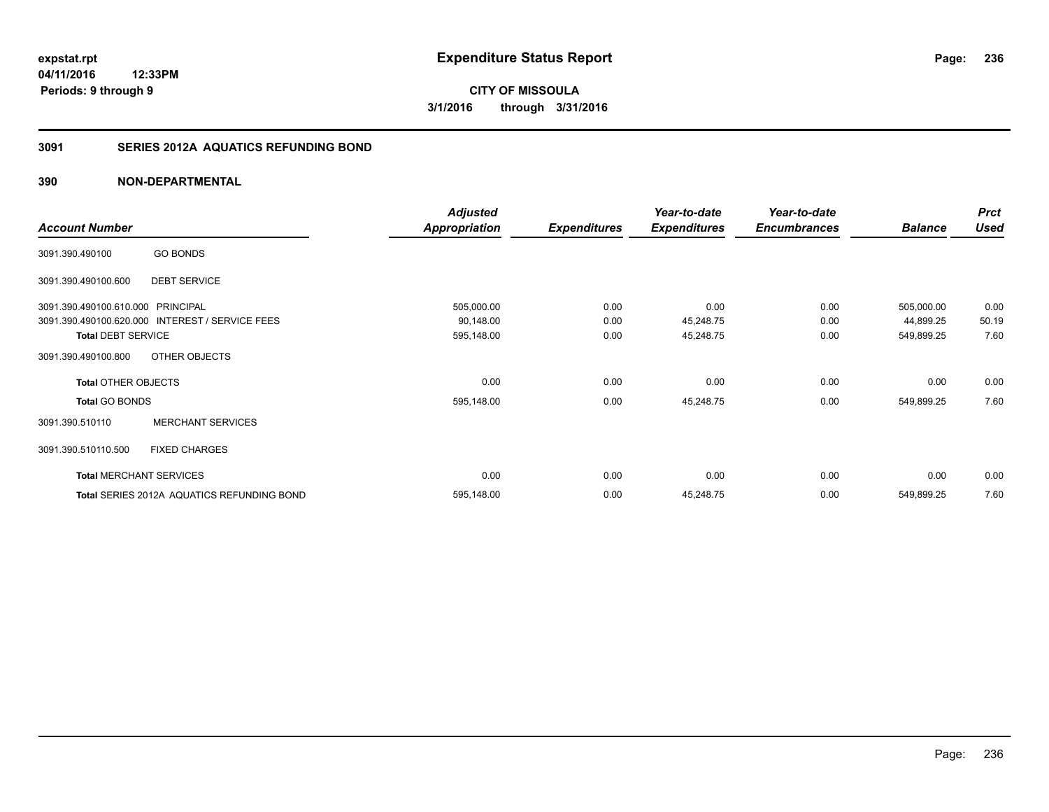## **3091 SERIES 2012A AQUATICS REFUNDING BOND**

|                                   |                                                 | <b>Adjusted</b>      |                     | Year-to-date        | Year-to-date        |                | <b>Prct</b> |
|-----------------------------------|-------------------------------------------------|----------------------|---------------------|---------------------|---------------------|----------------|-------------|
| <b>Account Number</b>             |                                                 | <b>Appropriation</b> | <b>Expenditures</b> | <b>Expenditures</b> | <b>Encumbrances</b> | <b>Balance</b> | <b>Used</b> |
| 3091.390.490100                   | <b>GO BONDS</b>                                 |                      |                     |                     |                     |                |             |
| 3091.390.490100.600               | <b>DEBT SERVICE</b>                             |                      |                     |                     |                     |                |             |
| 3091.390.490100.610.000 PRINCIPAL |                                                 | 505,000.00           | 0.00                | 0.00                | 0.00                | 505,000.00     | 0.00        |
|                                   | 3091.390.490100.620.000 INTEREST / SERVICE FEES | 90,148.00            | 0.00                | 45,248.75           | 0.00                | 44,899.25      | 50.19       |
| <b>Total DEBT SERVICE</b>         |                                                 | 595,148.00           | 0.00                | 45,248.75           | 0.00                | 549,899.25     | 7.60        |
| 3091.390.490100.800               | OTHER OBJECTS                                   |                      |                     |                     |                     |                |             |
| <b>Total OTHER OBJECTS</b>        |                                                 | 0.00                 | 0.00                | 0.00                | 0.00                | 0.00           | 0.00        |
| <b>Total GO BONDS</b>             |                                                 | 595,148.00           | 0.00                | 45,248.75           | 0.00                | 549,899.25     | 7.60        |
| 3091.390.510110                   | <b>MERCHANT SERVICES</b>                        |                      |                     |                     |                     |                |             |
| 3091.390.510110.500               | <b>FIXED CHARGES</b>                            |                      |                     |                     |                     |                |             |
|                                   | <b>Total MERCHANT SERVICES</b>                  | 0.00                 | 0.00                | 0.00                | 0.00                | 0.00           | 0.00        |
|                                   | Total SERIES 2012A AQUATICS REFUNDING BOND      | 595,148.00           | 0.00                | 45,248.75           | 0.00                | 549,899.25     | 7.60        |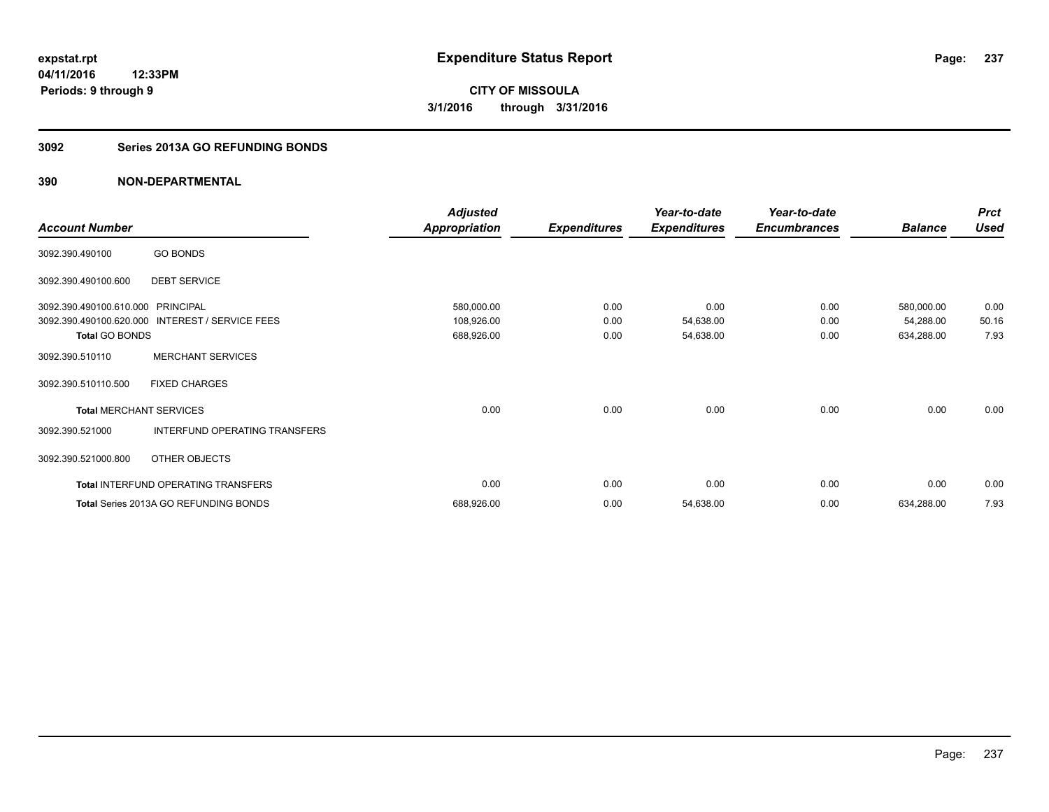## **3092 Series 2013A GO REFUNDING BONDS**

|                                |                                       | <b>Adjusted</b>      |                     | Year-to-date        | Year-to-date        |                | <b>Prct</b> |
|--------------------------------|---------------------------------------|----------------------|---------------------|---------------------|---------------------|----------------|-------------|
| <b>Account Number</b>          |                                       | <b>Appropriation</b> | <b>Expenditures</b> | <b>Expenditures</b> | <b>Encumbrances</b> | <b>Balance</b> | <b>Used</b> |
| 3092.390.490100                | <b>GO BONDS</b>                       |                      |                     |                     |                     |                |             |
| 3092.390.490100.600            | <b>DEBT SERVICE</b>                   |                      |                     |                     |                     |                |             |
| 3092.390.490100.610.000        | <b>PRINCIPAL</b>                      | 580,000.00           | 0.00                | 0.00                | 0.00                | 580,000.00     | 0.00        |
| 3092.390.490100.620.000        | <b>INTEREST / SERVICE FEES</b>        | 108,926.00           | 0.00                | 54,638.00           | 0.00                | 54,288.00      | 50.16       |
| Total GO BONDS                 |                                       | 688,926.00           | 0.00                | 54,638.00           | 0.00                | 634,288.00     | 7.93        |
| 3092.390.510110                | <b>MERCHANT SERVICES</b>              |                      |                     |                     |                     |                |             |
| 3092.390.510110.500            | <b>FIXED CHARGES</b>                  |                      |                     |                     |                     |                |             |
| <b>Total MERCHANT SERVICES</b> |                                       | 0.00                 | 0.00                | 0.00                | 0.00                | 0.00           | 0.00        |
| 3092.390.521000                | INTERFUND OPERATING TRANSFERS         |                      |                     |                     |                     |                |             |
| 3092.390.521000.800            | OTHER OBJECTS                         |                      |                     |                     |                     |                |             |
|                                | Total INTERFUND OPERATING TRANSFERS   | 0.00                 | 0.00                | 0.00                | 0.00                | 0.00           | 0.00        |
|                                | Total Series 2013A GO REFUNDING BONDS | 688,926.00           | 0.00                | 54,638.00           | 0.00                | 634,288.00     | 7.93        |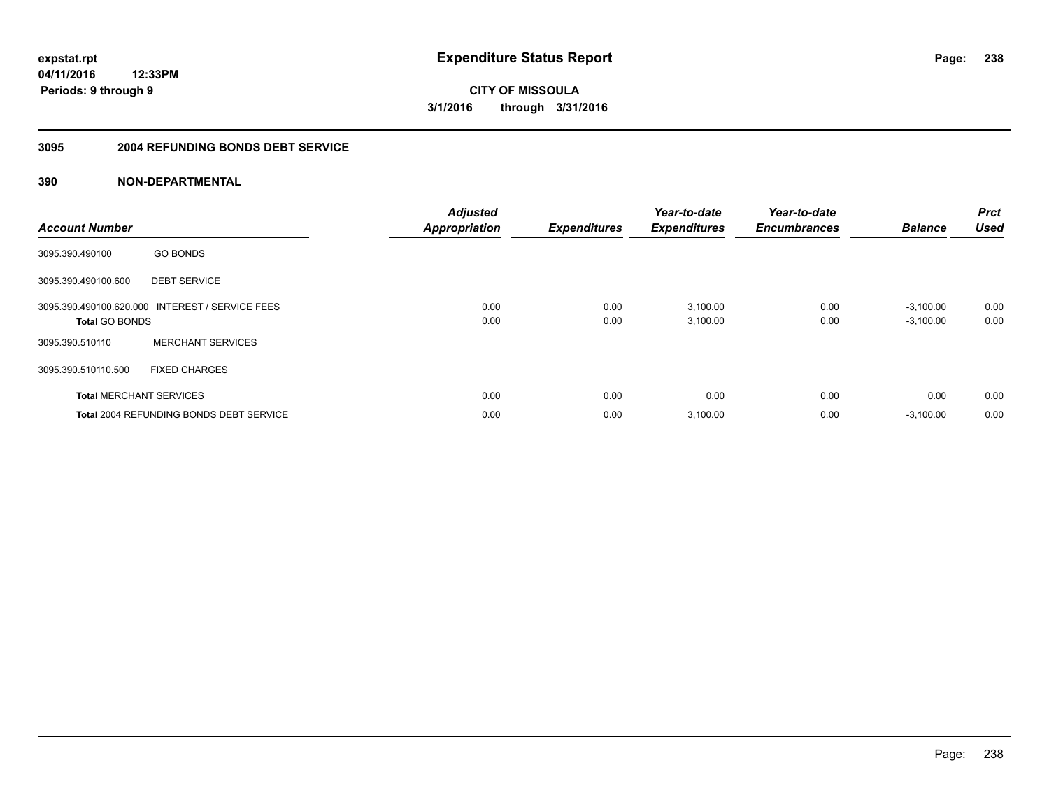#### **3095 2004 REFUNDING BONDS DEBT SERVICE**

| <b>Account Number</b> |                                                 | <b>Adjusted</b><br><b>Appropriation</b> | <b>Expenditures</b> | Year-to-date<br><b>Expenditures</b> | Year-to-date<br><b>Encumbrances</b> | <b>Balance</b>             | <b>Prct</b><br><b>Used</b> |
|-----------------------|-------------------------------------------------|-----------------------------------------|---------------------|-------------------------------------|-------------------------------------|----------------------------|----------------------------|
| 3095.390.490100       | <b>GO BONDS</b>                                 |                                         |                     |                                     |                                     |                            |                            |
| 3095.390.490100.600   | <b>DEBT SERVICE</b>                             |                                         |                     |                                     |                                     |                            |                            |
| <b>Total GO BONDS</b> | 3095.390.490100.620.000 INTEREST / SERVICE FEES | 0.00<br>0.00                            | 0.00<br>0.00        | 3,100.00<br>3,100.00                | 0.00<br>0.00                        | $-3,100.00$<br>$-3,100.00$ | 0.00<br>0.00               |
| 3095.390.510110       | <b>MERCHANT SERVICES</b>                        |                                         |                     |                                     |                                     |                            |                            |
| 3095.390.510110.500   | <b>FIXED CHARGES</b>                            |                                         |                     |                                     |                                     |                            |                            |
|                       | <b>Total MERCHANT SERVICES</b>                  | 0.00                                    | 0.00                | 0.00                                | 0.00                                | 0.00                       | 0.00                       |
|                       | <b>Total 2004 REFUNDING BONDS DEBT SERVICE</b>  | 0.00                                    | 0.00                | 3,100.00                            | 0.00                                | $-3,100.00$                | 0.00                       |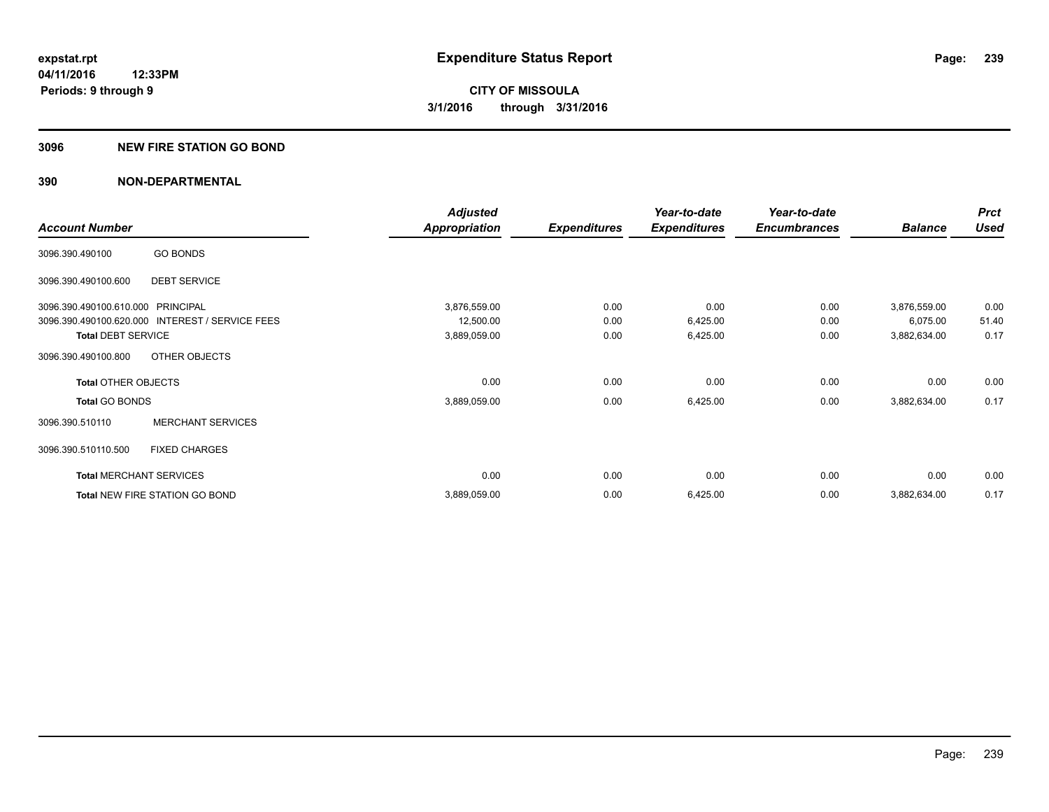#### **3096 NEW FIRE STATION GO BOND**

|                                   |                                                 | <b>Adjusted</b>      |                     | Year-to-date        | Year-to-date        |                | <b>Prct</b> |
|-----------------------------------|-------------------------------------------------|----------------------|---------------------|---------------------|---------------------|----------------|-------------|
| <b>Account Number</b>             |                                                 | <b>Appropriation</b> | <b>Expenditures</b> | <b>Expenditures</b> | <b>Encumbrances</b> | <b>Balance</b> | <b>Used</b> |
| 3096.390.490100                   | <b>GO BONDS</b>                                 |                      |                     |                     |                     |                |             |
| 3096.390.490100.600               | <b>DEBT SERVICE</b>                             |                      |                     |                     |                     |                |             |
| 3096.390.490100.610.000 PRINCIPAL |                                                 | 3,876,559.00         | 0.00                | 0.00                | 0.00                | 3,876,559.00   | 0.00        |
|                                   | 3096.390.490100.620.000 INTEREST / SERVICE FEES | 12,500.00            | 0.00                | 6,425.00            | 0.00                | 6,075.00       | 51.40       |
| <b>Total DEBT SERVICE</b>         |                                                 | 3,889,059.00         | 0.00                | 6,425.00            | 0.00                | 3,882,634.00   | 0.17        |
| 3096.390.490100.800               | OTHER OBJECTS                                   |                      |                     |                     |                     |                |             |
| <b>Total OTHER OBJECTS</b>        |                                                 | 0.00                 | 0.00                | 0.00                | 0.00                | 0.00           | 0.00        |
| <b>Total GO BONDS</b>             |                                                 | 3,889,059.00         | 0.00                | 6,425.00            | 0.00                | 3,882,634.00   | 0.17        |
| 3096.390.510110                   | <b>MERCHANT SERVICES</b>                        |                      |                     |                     |                     |                |             |
| 3096.390.510110.500               | <b>FIXED CHARGES</b>                            |                      |                     |                     |                     |                |             |
|                                   | <b>Total MERCHANT SERVICES</b>                  | 0.00                 | 0.00                | 0.00                | 0.00                | 0.00           | 0.00        |
|                                   | Total NEW FIRE STATION GO BOND                  | 3,889,059.00         | 0.00                | 6,425.00            | 0.00                | 3,882,634.00   | 0.17        |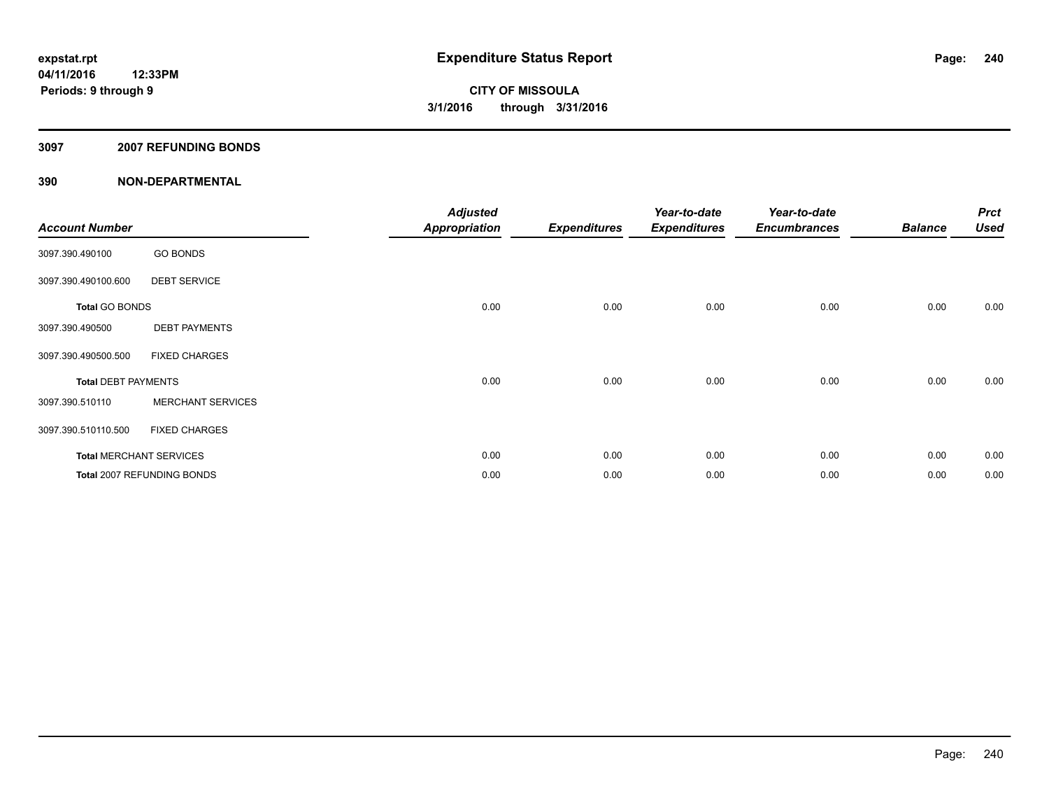#### **3097 2007 REFUNDING BONDS**

| <b>Account Number</b>      |                                | <b>Adjusted</b><br><b>Appropriation</b> | <b>Expenditures</b> | Year-to-date<br><b>Expenditures</b> | Year-to-date<br><b>Encumbrances</b> | <b>Balance</b> | <b>Prct</b><br><b>Used</b> |
|----------------------------|--------------------------------|-----------------------------------------|---------------------|-------------------------------------|-------------------------------------|----------------|----------------------------|
| 3097.390.490100            | <b>GO BONDS</b>                |                                         |                     |                                     |                                     |                |                            |
| 3097.390.490100.600        | <b>DEBT SERVICE</b>            |                                         |                     |                                     |                                     |                |                            |
| <b>Total GO BONDS</b>      |                                | 0.00                                    | 0.00                | 0.00                                | 0.00                                | 0.00           | 0.00                       |
| 3097.390.490500            | <b>DEBT PAYMENTS</b>           |                                         |                     |                                     |                                     |                |                            |
| 3097.390.490500.500        | <b>FIXED CHARGES</b>           |                                         |                     |                                     |                                     |                |                            |
| <b>Total DEBT PAYMENTS</b> |                                | 0.00                                    | 0.00                | 0.00                                | 0.00                                | 0.00           | 0.00                       |
| 3097.390.510110            | <b>MERCHANT SERVICES</b>       |                                         |                     |                                     |                                     |                |                            |
| 3097.390.510110.500        | <b>FIXED CHARGES</b>           |                                         |                     |                                     |                                     |                |                            |
|                            | <b>Total MERCHANT SERVICES</b> | 0.00                                    | 0.00                | 0.00                                | 0.00                                | 0.00           | 0.00                       |
|                            | Total 2007 REFUNDING BONDS     | 0.00                                    | 0.00                | 0.00                                | 0.00                                | 0.00           | 0.00                       |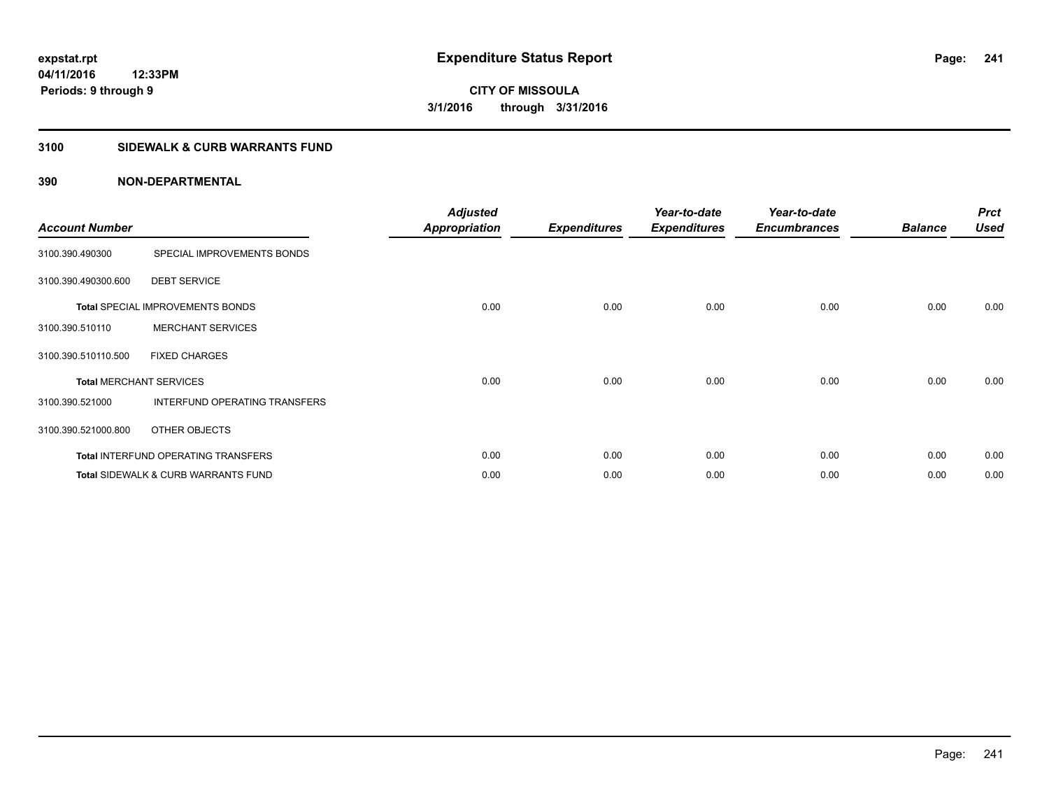## **3100 SIDEWALK & CURB WARRANTS FUND**

| <b>Account Number</b> |                                                | <b>Adjusted</b><br><b>Appropriation</b> | <b>Expenditures</b> | Year-to-date<br><b>Expenditures</b> | Year-to-date<br><b>Encumbrances</b> | <b>Balance</b> | <b>Prct</b><br><b>Used</b> |
|-----------------------|------------------------------------------------|-----------------------------------------|---------------------|-------------------------------------|-------------------------------------|----------------|----------------------------|
| 3100.390.490300       | SPECIAL IMPROVEMENTS BONDS                     |                                         |                     |                                     |                                     |                |                            |
| 3100.390.490300.600   | <b>DEBT SERVICE</b>                            |                                         |                     |                                     |                                     |                |                            |
|                       | <b>Total SPECIAL IMPROVEMENTS BONDS</b>        | 0.00                                    | 0.00                | 0.00                                | 0.00                                | 0.00           | 0.00                       |
| 3100.390.510110       | <b>MERCHANT SERVICES</b>                       |                                         |                     |                                     |                                     |                |                            |
| 3100.390.510110.500   | <b>FIXED CHARGES</b>                           |                                         |                     |                                     |                                     |                |                            |
|                       | <b>Total MERCHANT SERVICES</b>                 | 0.00                                    | 0.00                | 0.00                                | 0.00                                | 0.00           | 0.00                       |
| 3100.390.521000       | INTERFUND OPERATING TRANSFERS                  |                                         |                     |                                     |                                     |                |                            |
| 3100.390.521000.800   | OTHER OBJECTS                                  |                                         |                     |                                     |                                     |                |                            |
|                       | Total INTERFUND OPERATING TRANSFERS            | 0.00                                    | 0.00                | 0.00                                | 0.00                                | 0.00           | 0.00                       |
|                       | <b>Total SIDEWALK &amp; CURB WARRANTS FUND</b> | 0.00                                    | 0.00                | 0.00                                | 0.00                                | 0.00           | 0.00                       |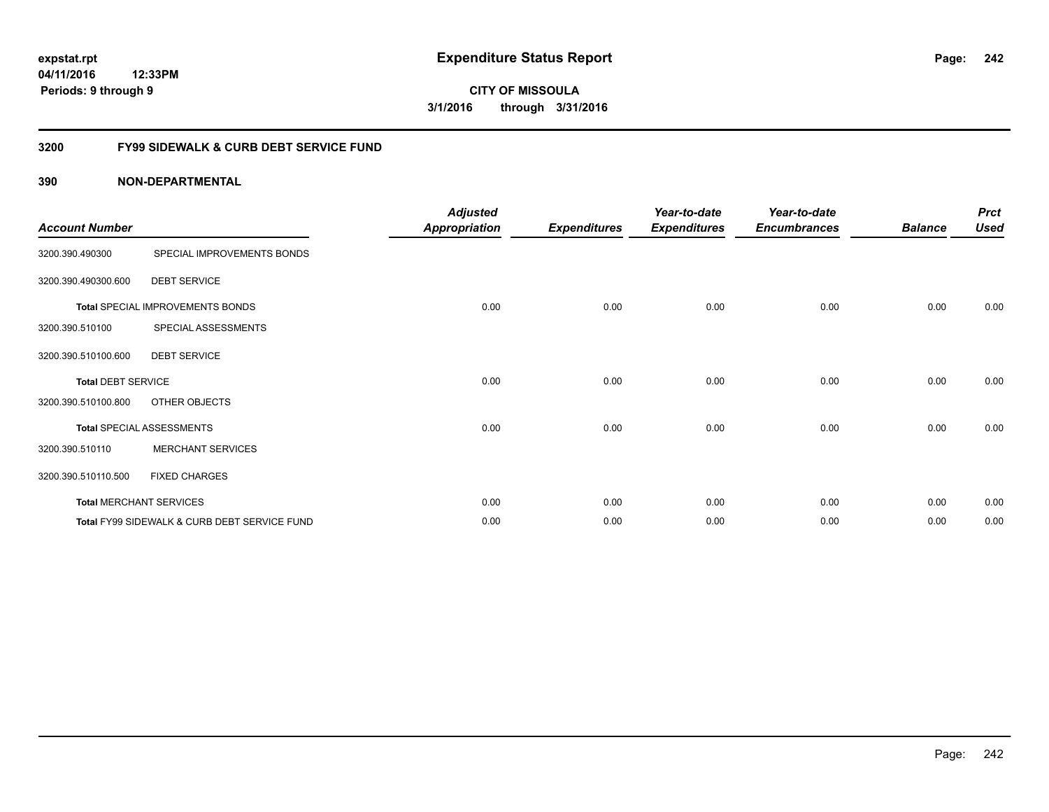**242**

**CITY OF MISSOULA 3/1/2016 through 3/31/2016**

## **3200 FY99 SIDEWALK & CURB DEBT SERVICE FUND**

| <b>Account Number</b>     |                                              | <b>Adjusted</b><br><b>Appropriation</b> | <b>Expenditures</b> | Year-to-date<br><b>Expenditures</b> | Year-to-date<br><b>Encumbrances</b> | <b>Balance</b> | <b>Prct</b><br><b>Used</b> |
|---------------------------|----------------------------------------------|-----------------------------------------|---------------------|-------------------------------------|-------------------------------------|----------------|----------------------------|
| 3200.390.490300           | SPECIAL IMPROVEMENTS BONDS                   |                                         |                     |                                     |                                     |                |                            |
| 3200.390.490300.600       | <b>DEBT SERVICE</b>                          |                                         |                     |                                     |                                     |                |                            |
|                           | Total SPECIAL IMPROVEMENTS BONDS             | 0.00                                    | 0.00                | 0.00                                | 0.00                                | 0.00           | 0.00                       |
| 3200.390.510100           | SPECIAL ASSESSMENTS                          |                                         |                     |                                     |                                     |                |                            |
| 3200.390.510100.600       | <b>DEBT SERVICE</b>                          |                                         |                     |                                     |                                     |                |                            |
| <b>Total DEBT SERVICE</b> |                                              | 0.00                                    | 0.00                | 0.00                                | 0.00                                | 0.00           | 0.00                       |
| 3200.390.510100.800       | OTHER OBJECTS                                |                                         |                     |                                     |                                     |                |                            |
|                           | <b>Total SPECIAL ASSESSMENTS</b>             | 0.00                                    | 0.00                | 0.00                                | 0.00                                | 0.00           | 0.00                       |
| 3200.390.510110           | <b>MERCHANT SERVICES</b>                     |                                         |                     |                                     |                                     |                |                            |
| 3200.390.510110.500       | <b>FIXED CHARGES</b>                         |                                         |                     |                                     |                                     |                |                            |
|                           | <b>Total MERCHANT SERVICES</b>               | 0.00                                    | 0.00                | 0.00                                | 0.00                                | 0.00           | 0.00                       |
|                           | Total FY99 SIDEWALK & CURB DEBT SERVICE FUND | 0.00                                    | 0.00                | 0.00                                | 0.00                                | 0.00           | 0.00                       |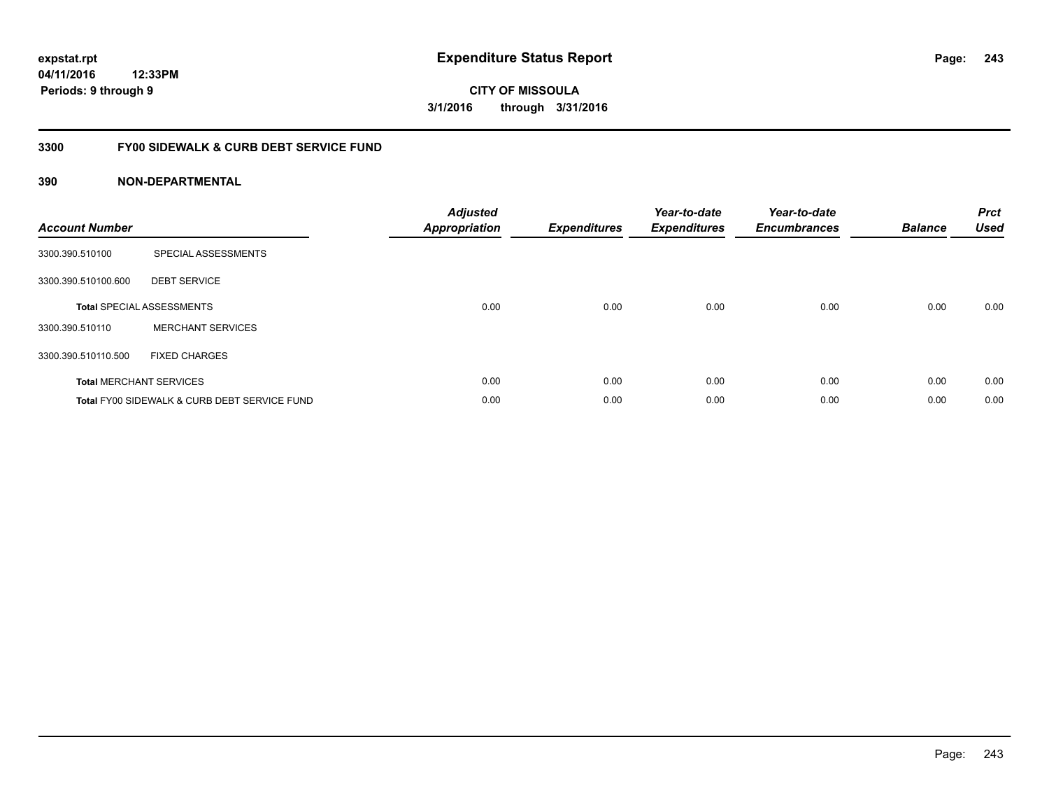**243**

**CITY OF MISSOULA 3/1/2016 through 3/31/2016**

## **3300 FY00 SIDEWALK & CURB DEBT SERVICE FUND**

| <b>Account Number</b> |                                              | <b>Adjusted</b><br>Appropriation | <b>Expenditures</b> | Year-to-date<br><b>Expenditures</b> | Year-to-date<br><b>Encumbrances</b> | <b>Balance</b> | <b>Prct</b><br><b>Used</b> |
|-----------------------|----------------------------------------------|----------------------------------|---------------------|-------------------------------------|-------------------------------------|----------------|----------------------------|
| 3300.390.510100       | SPECIAL ASSESSMENTS                          |                                  |                     |                                     |                                     |                |                            |
| 3300.390.510100.600   | <b>DEBT SERVICE</b>                          |                                  |                     |                                     |                                     |                |                            |
|                       | <b>Total SPECIAL ASSESSMENTS</b>             | 0.00                             | 0.00                | 0.00                                | 0.00                                | 0.00           | 0.00                       |
| 3300.390.510110       | <b>MERCHANT SERVICES</b>                     |                                  |                     |                                     |                                     |                |                            |
| 3300.390.510110.500   | <b>FIXED CHARGES</b>                         |                                  |                     |                                     |                                     |                |                            |
|                       | <b>Total MERCHANT SERVICES</b>               | 0.00                             | 0.00                | 0.00                                | 0.00                                | 0.00           | 0.00                       |
|                       | Total FY00 SIDEWALK & CURB DEBT SERVICE FUND | 0.00                             | 0.00                | 0.00                                | 0.00                                | 0.00           | 0.00                       |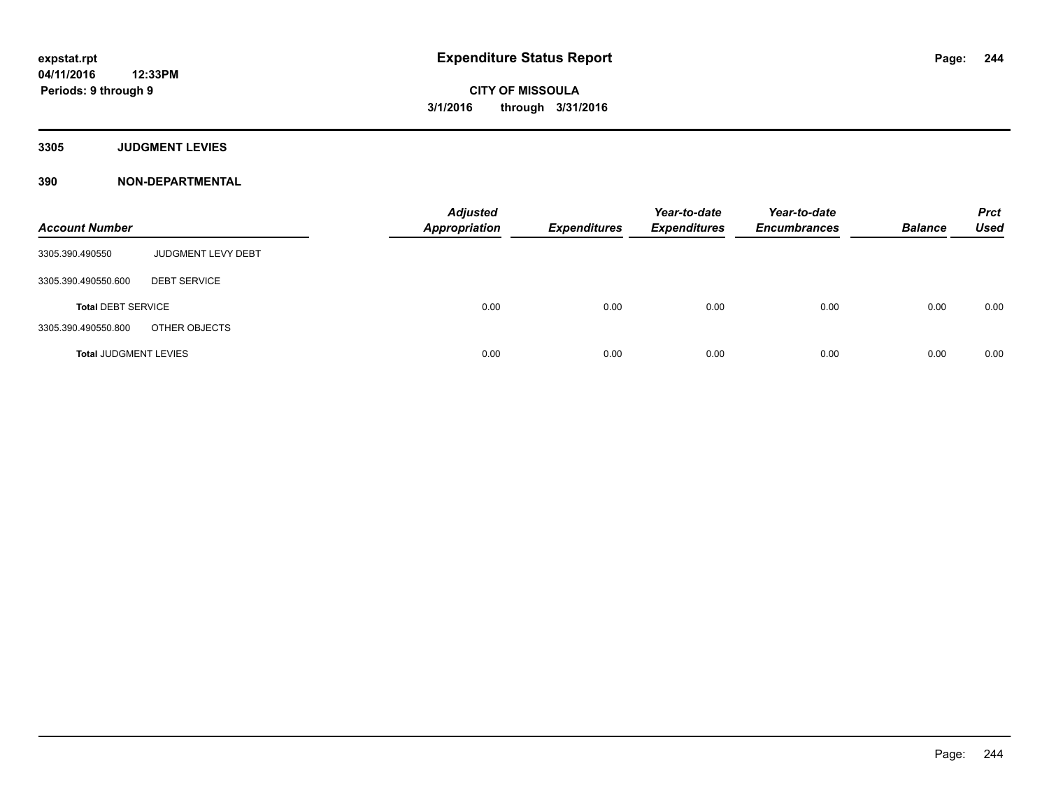**3305 JUDGMENT LEVIES**

| <b>Account Number</b>        |                     | <b>Adjusted</b><br><b>Appropriation</b> | <b>Expenditures</b> | Year-to-date<br><b>Expenditures</b> | Year-to-date<br><b>Encumbrances</b> | <b>Balance</b> | <b>Prct</b><br><b>Used</b> |
|------------------------------|---------------------|-----------------------------------------|---------------------|-------------------------------------|-------------------------------------|----------------|----------------------------|
| 3305.390.490550              | JUDGMENT LEVY DEBT  |                                         |                     |                                     |                                     |                |                            |
| 3305.390.490550.600          | <b>DEBT SERVICE</b> |                                         |                     |                                     |                                     |                |                            |
| <b>Total DEBT SERVICE</b>    |                     | 0.00                                    | 0.00                | 0.00                                | 0.00                                | 0.00           | 0.00                       |
| 3305.390.490550.800          | OTHER OBJECTS       |                                         |                     |                                     |                                     |                |                            |
| <b>Total JUDGMENT LEVIES</b> |                     | 0.00                                    | 0.00                | 0.00                                | 0.00                                | 0.00           | 0.00                       |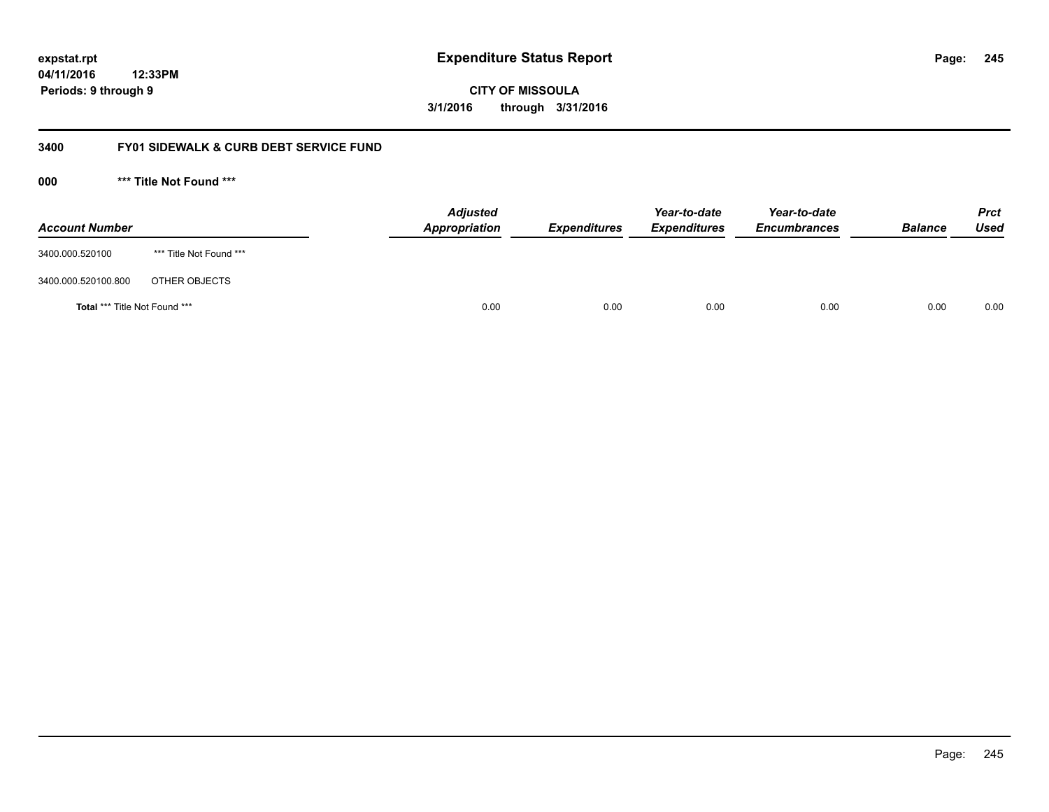**CITY OF MISSOULA 3/1/2016 through 3/31/2016**

## **3400 FY01 SIDEWALK & CURB DEBT SERVICE FUND**

**000 \*\*\* Title Not Found \*\*\***

| <b>Account Number</b>                |                         | <b>Adjusted</b><br>Appropriation | <b>Expenditures</b> | Year-to-date<br><b>Expenditures</b> | Year-to-date<br><b>Encumbrances</b> | <b>Balance</b> | <b>Prct</b><br>Used |
|--------------------------------------|-------------------------|----------------------------------|---------------------|-------------------------------------|-------------------------------------|----------------|---------------------|
| 3400.000.520100                      | *** Title Not Found *** |                                  |                     |                                     |                                     |                |                     |
| 3400.000.520100.800                  | OTHER OBJECTS           |                                  |                     |                                     |                                     |                |                     |
| <b>Total *** Title Not Found ***</b> |                         | 0.00                             | 0.00                | 0.00                                | 0.00                                | 0.00           | 0.00                |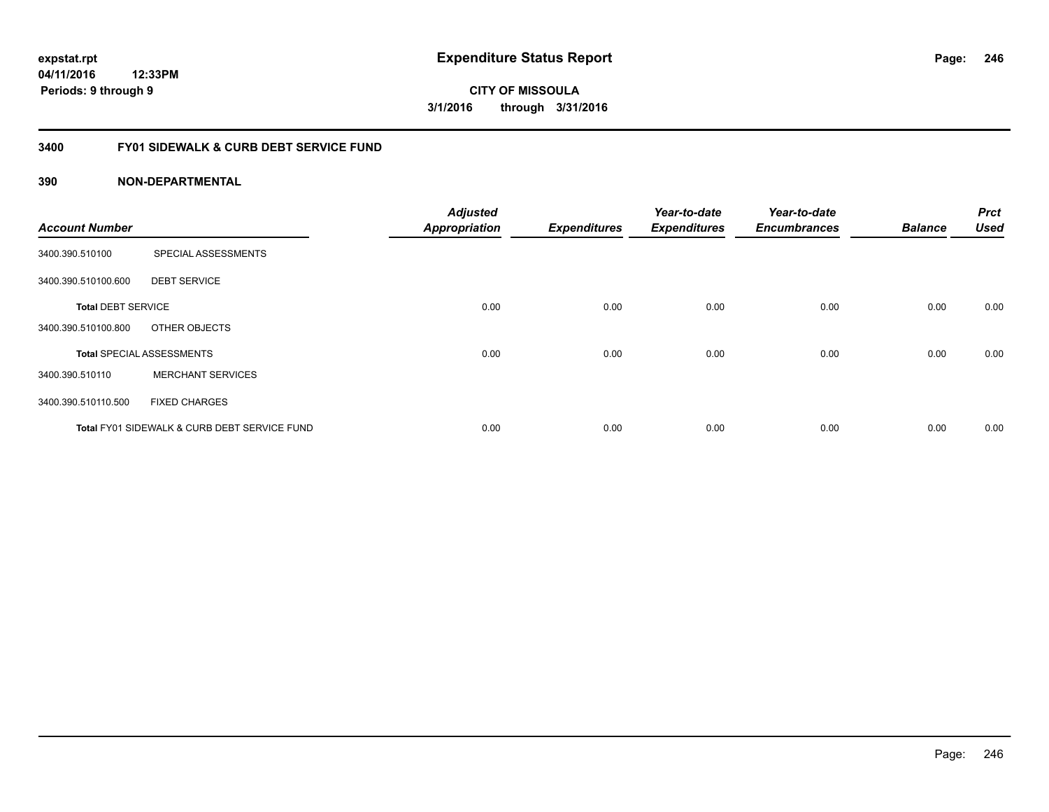**CITY OF MISSOULA 3/1/2016 through 3/31/2016**

## **3400 FY01 SIDEWALK & CURB DEBT SERVICE FUND**

| <b>Account Number</b>     |                                                         | <b>Adjusted</b><br><b>Appropriation</b> | <b>Expenditures</b> | Year-to-date<br><b>Expenditures</b> | Year-to-date<br><b>Encumbrances</b> | <b>Balance</b> | <b>Prct</b><br><b>Used</b> |
|---------------------------|---------------------------------------------------------|-----------------------------------------|---------------------|-------------------------------------|-------------------------------------|----------------|----------------------------|
| 3400.390.510100           | SPECIAL ASSESSMENTS                                     |                                         |                     |                                     |                                     |                |                            |
| 3400.390.510100.600       | <b>DEBT SERVICE</b>                                     |                                         |                     |                                     |                                     |                |                            |
| <b>Total DEBT SERVICE</b> |                                                         | 0.00                                    | 0.00                | 0.00                                | 0.00                                | 0.00           | 0.00                       |
| 3400.390.510100.800       | OTHER OBJECTS                                           |                                         |                     |                                     |                                     |                |                            |
|                           | <b>Total SPECIAL ASSESSMENTS</b>                        | 0.00                                    | 0.00                | 0.00                                | 0.00                                | 0.00           | 0.00                       |
| 3400.390.510110           | <b>MERCHANT SERVICES</b>                                |                                         |                     |                                     |                                     |                |                            |
| 3400.390.510110.500       | <b>FIXED CHARGES</b>                                    |                                         |                     |                                     |                                     |                |                            |
|                           | <b>Total FY01 SIDEWALK &amp; CURB DEBT SERVICE FUND</b> | 0.00                                    | 0.00                | 0.00                                | 0.00                                | 0.00           | 0.00                       |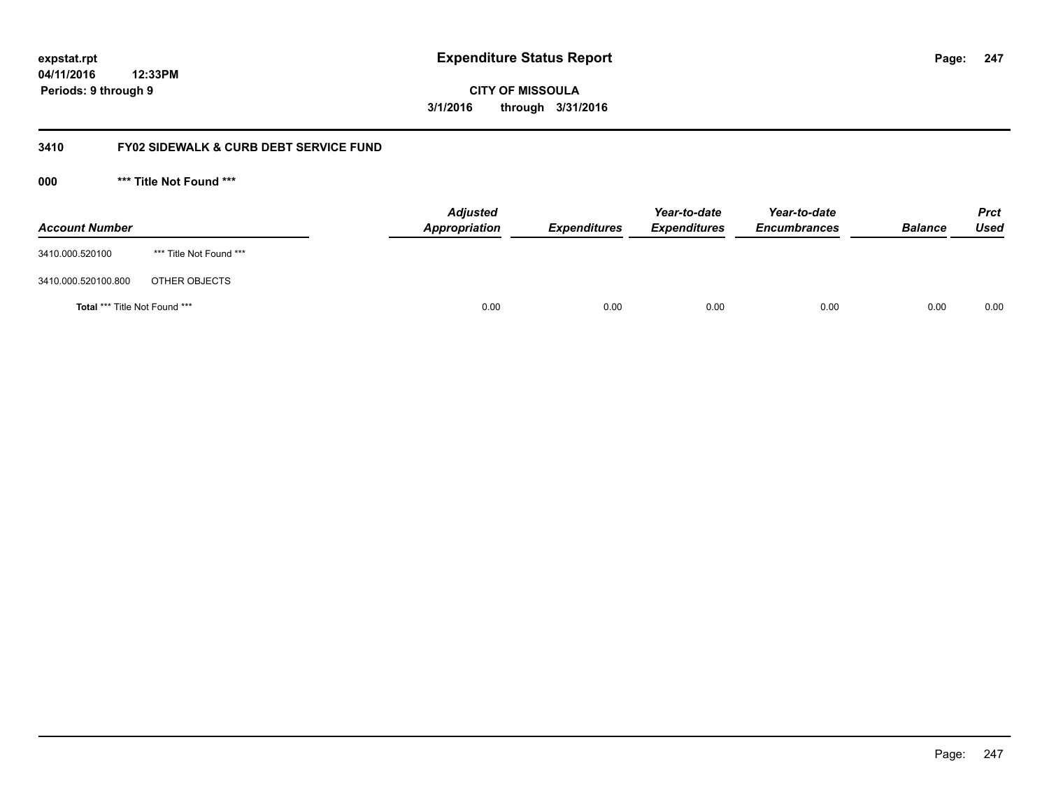**CITY OF MISSOULA 3/1/2016 through 3/31/2016**

## **3410 FY02 SIDEWALK & CURB DEBT SERVICE FUND**

**000 \*\*\* Title Not Found \*\*\***

| <b>Account Number</b>                |                         | <b>Adjusted</b><br>Appropriation | <b>Expenditures</b> | Year-to-date<br><b>Expenditures</b> | Year-to-date<br><b>Encumbrances</b> | <b>Balance</b> | Prct<br><b>Used</b> |
|--------------------------------------|-------------------------|----------------------------------|---------------------|-------------------------------------|-------------------------------------|----------------|---------------------|
| 3410.000.520100                      | *** Title Not Found *** |                                  |                     |                                     |                                     |                |                     |
| 3410.000.520100.800                  | OTHER OBJECTS           |                                  |                     |                                     |                                     |                |                     |
| <b>Total *** Title Not Found ***</b> |                         | 0.00                             | 0.00                | 0.00                                | 0.00                                | 0.00           | 0.00                |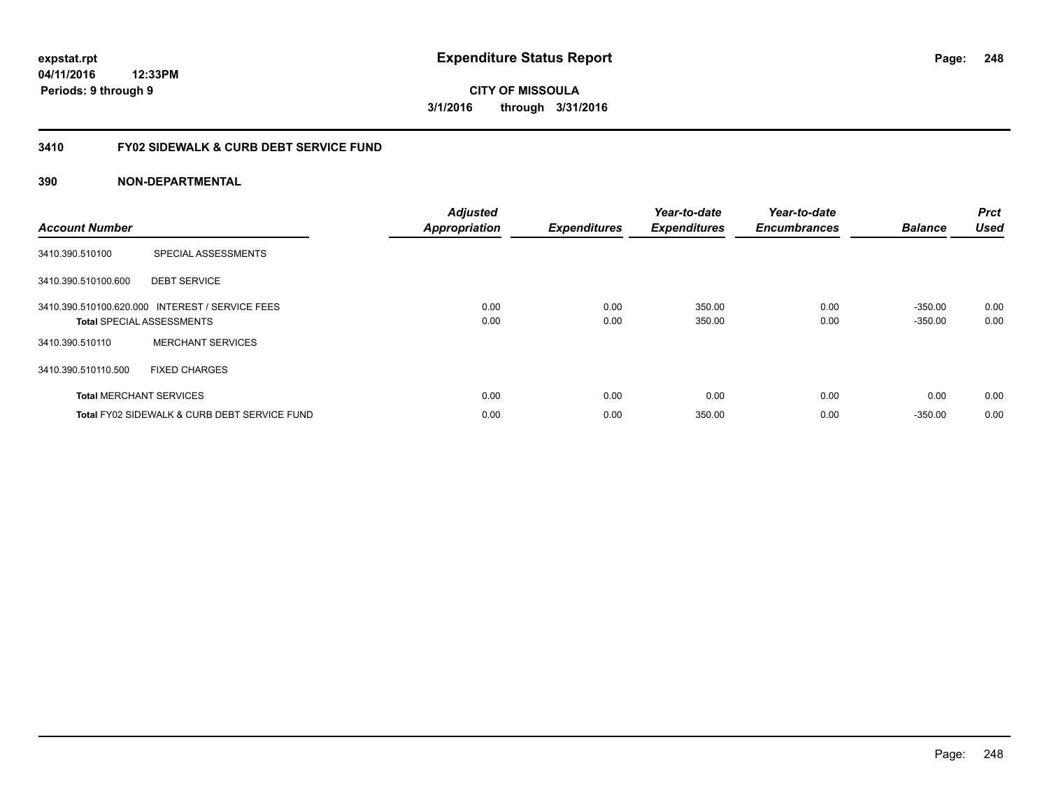**CITY OF MISSOULA 3/1/2016 through 3/31/2016**

## **3410 FY02 SIDEWALK & CURB DEBT SERVICE FUND**

| <b>Account Number</b> |                                                                                     | <b>Adjusted</b><br><b>Appropriation</b> | <b>Expenditures</b> | Year-to-date<br><b>Expenditures</b> | Year-to-date<br><b>Encumbrances</b> | <b>Balance</b>         | <b>Prct</b><br><b>Used</b> |
|-----------------------|-------------------------------------------------------------------------------------|-----------------------------------------|---------------------|-------------------------------------|-------------------------------------|------------------------|----------------------------|
| 3410.390.510100       | SPECIAL ASSESSMENTS                                                                 |                                         |                     |                                     |                                     |                        |                            |
| 3410.390.510100.600   | <b>DEBT SERVICE</b>                                                                 |                                         |                     |                                     |                                     |                        |                            |
|                       | 3410.390.510100.620.000 INTEREST / SERVICE FEES<br><b>Total SPECIAL ASSESSMENTS</b> | 0.00<br>0.00                            | 0.00<br>0.00        | 350.00<br>350.00                    | 0.00<br>0.00                        | $-350.00$<br>$-350.00$ | 0.00<br>0.00               |
| 3410.390.510110       | <b>MERCHANT SERVICES</b>                                                            |                                         |                     |                                     |                                     |                        |                            |
| 3410.390.510110.500   | <b>FIXED CHARGES</b>                                                                |                                         |                     |                                     |                                     |                        |                            |
|                       | <b>Total MERCHANT SERVICES</b>                                                      | 0.00                                    | 0.00                | 0.00                                | 0.00                                | 0.00                   | 0.00                       |
|                       | Total FY02 SIDEWALK & CURB DEBT SERVICE FUND                                        | 0.00                                    | 0.00                | 350.00                              | 0.00                                | $-350.00$              | 0.00                       |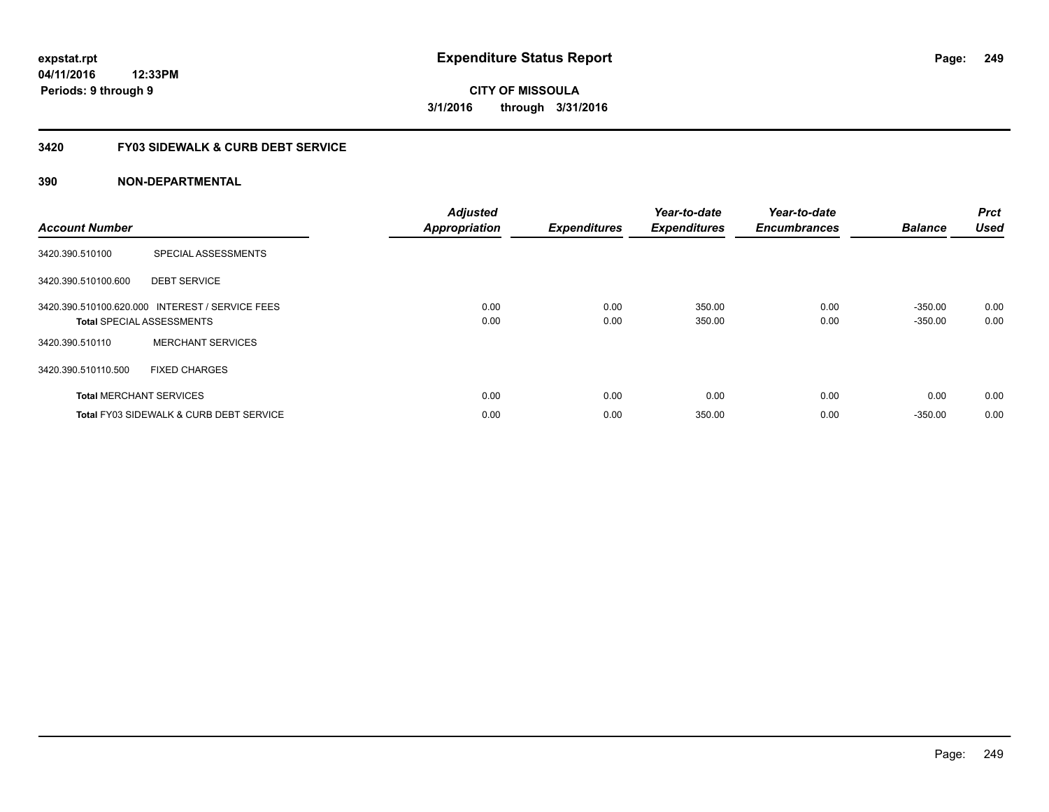## **3420 FY03 SIDEWALK & CURB DEBT SERVICE**

| <b>Account Number</b> |                                                                                     | <b>Adjusted</b><br><b>Appropriation</b> | <b>Expenditures</b> | Year-to-date<br><b>Expenditures</b> | Year-to-date<br><b>Encumbrances</b> | <b>Balance</b>         | <b>Prct</b><br><b>Used</b> |
|-----------------------|-------------------------------------------------------------------------------------|-----------------------------------------|---------------------|-------------------------------------|-------------------------------------|------------------------|----------------------------|
| 3420.390.510100       | SPECIAL ASSESSMENTS                                                                 |                                         |                     |                                     |                                     |                        |                            |
| 3420.390.510100.600   | <b>DEBT SERVICE</b>                                                                 |                                         |                     |                                     |                                     |                        |                            |
|                       | 3420.390.510100.620.000 INTEREST / SERVICE FEES<br><b>Total SPECIAL ASSESSMENTS</b> | 0.00<br>0.00                            | 0.00<br>0.00        | 350.00<br>350.00                    | 0.00<br>0.00                        | $-350.00$<br>$-350.00$ | 0.00<br>0.00               |
| 3420.390.510110       | <b>MERCHANT SERVICES</b>                                                            |                                         |                     |                                     |                                     |                        |                            |
| 3420.390.510110.500   | <b>FIXED CHARGES</b>                                                                |                                         |                     |                                     |                                     |                        |                            |
|                       | <b>Total MERCHANT SERVICES</b>                                                      | 0.00                                    | 0.00                | 0.00                                | 0.00                                | 0.00                   | 0.00                       |
|                       | <b>Total FY03 SIDEWALK &amp; CURB DEBT SERVICE</b>                                  | 0.00                                    | 0.00                | 350.00                              | 0.00                                | $-350.00$              | 0.00                       |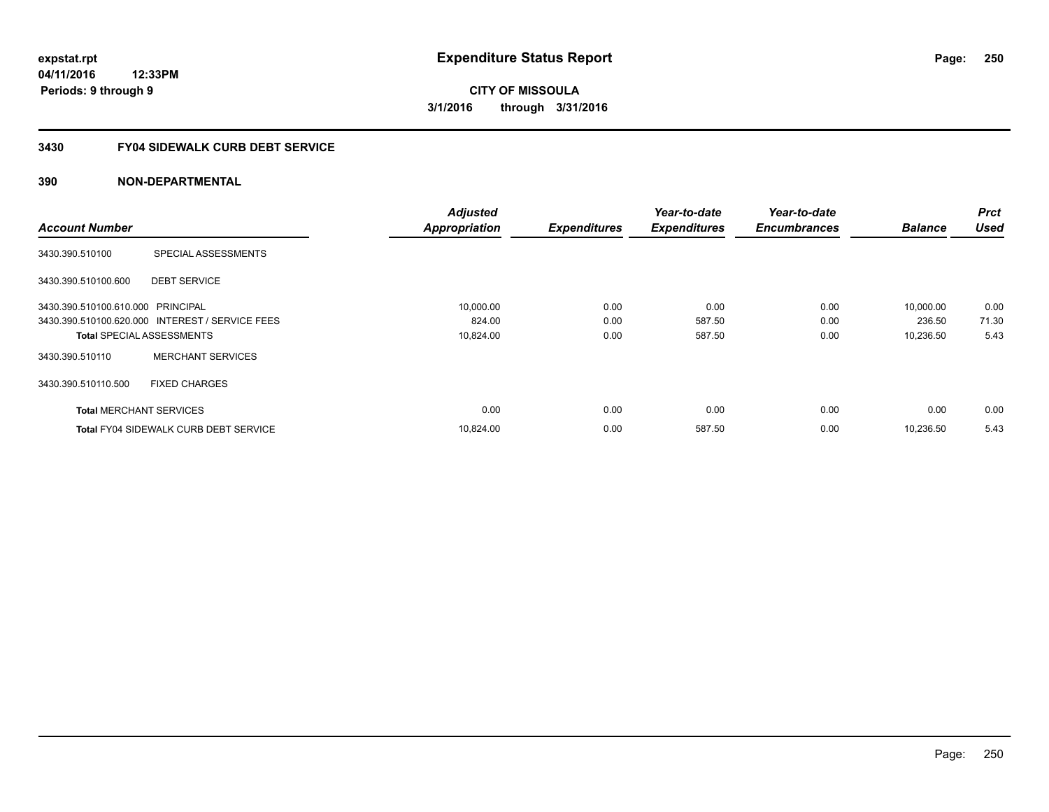## **3430 FY04 SIDEWALK CURB DEBT SERVICE**

|                                   |                                                 | <b>Adjusted</b>      |                     | Year-to-date        | Year-to-date        |                | <b>Prct</b> |
|-----------------------------------|-------------------------------------------------|----------------------|---------------------|---------------------|---------------------|----------------|-------------|
| <b>Account Number</b>             |                                                 | <b>Appropriation</b> | <b>Expenditures</b> | <b>Expenditures</b> | <b>Encumbrances</b> | <b>Balance</b> | <b>Used</b> |
| 3430.390.510100                   | SPECIAL ASSESSMENTS                             |                      |                     |                     |                     |                |             |
| 3430.390.510100.600               | <b>DEBT SERVICE</b>                             |                      |                     |                     |                     |                |             |
| 3430.390.510100.610.000 PRINCIPAL |                                                 | 10,000.00            | 0.00                | 0.00                | 0.00                | 10,000.00      | 0.00        |
|                                   | 3430.390.510100.620.000 INTEREST / SERVICE FEES | 824.00               | 0.00                | 587.50              | 0.00                | 236.50         | 71.30       |
|                                   | <b>Total SPECIAL ASSESSMENTS</b>                | 10,824.00            | 0.00                | 587.50              | 0.00                | 10,236.50      | 5.43        |
| 3430.390.510110                   | <b>MERCHANT SERVICES</b>                        |                      |                     |                     |                     |                |             |
| 3430.390.510110.500               | <b>FIXED CHARGES</b>                            |                      |                     |                     |                     |                |             |
| <b>Total MERCHANT SERVICES</b>    |                                                 | 0.00                 | 0.00                | 0.00                | 0.00                | 0.00           | 0.00        |
|                                   | <b>Total FY04 SIDEWALK CURB DEBT SERVICE</b>    | 10,824.00            | 0.00                | 587.50              | 0.00                | 10,236.50      | 5.43        |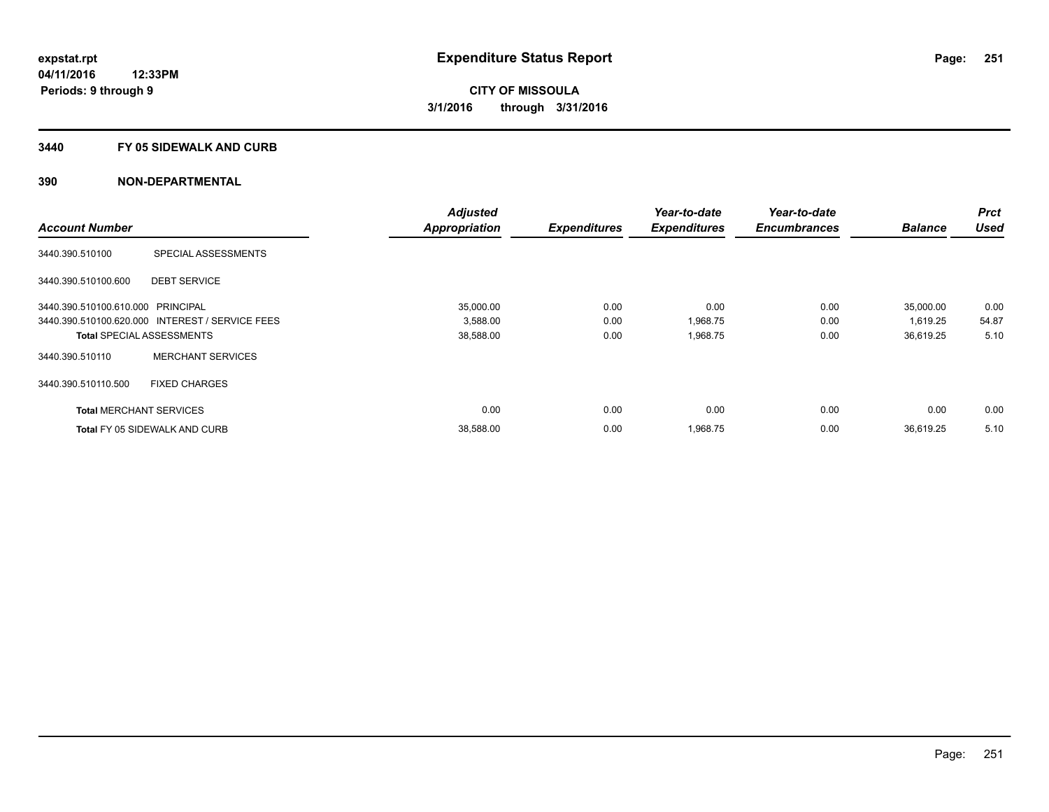#### **3440 FY 05 SIDEWALK AND CURB**

|                                   |                                                 | <b>Adjusted</b>      |                     | Year-to-date        | Year-to-date        |                | <b>Prct</b> |
|-----------------------------------|-------------------------------------------------|----------------------|---------------------|---------------------|---------------------|----------------|-------------|
| <b>Account Number</b>             |                                                 | <b>Appropriation</b> | <b>Expenditures</b> | <b>Expenditures</b> | <b>Encumbrances</b> | <b>Balance</b> | <b>Used</b> |
| 3440.390.510100                   | SPECIAL ASSESSMENTS                             |                      |                     |                     |                     |                |             |
| 3440.390.510100.600               | <b>DEBT SERVICE</b>                             |                      |                     |                     |                     |                |             |
| 3440.390.510100.610.000 PRINCIPAL |                                                 | 35,000.00            | 0.00                | 0.00                | 0.00                | 35,000.00      | 0.00        |
|                                   | 3440.390.510100.620.000 INTEREST / SERVICE FEES | 3,588.00             | 0.00                | 1,968.75            | 0.00                | 1,619.25       | 54.87       |
|                                   | <b>Total SPECIAL ASSESSMENTS</b>                | 38,588.00            | 0.00                | 1,968.75            | 0.00                | 36,619.25      | 5.10        |
| 3440.390.510110                   | <b>MERCHANT SERVICES</b>                        |                      |                     |                     |                     |                |             |
| 3440.390.510110.500               | <b>FIXED CHARGES</b>                            |                      |                     |                     |                     |                |             |
| <b>Total MERCHANT SERVICES</b>    |                                                 | 0.00                 | 0.00                | 0.00                | 0.00                | 0.00           | 0.00        |
|                                   | <b>Total FY 05 SIDEWALK AND CURB</b>            | 38,588.00            | 0.00                | 1,968.75            | 0.00                | 36.619.25      | 5.10        |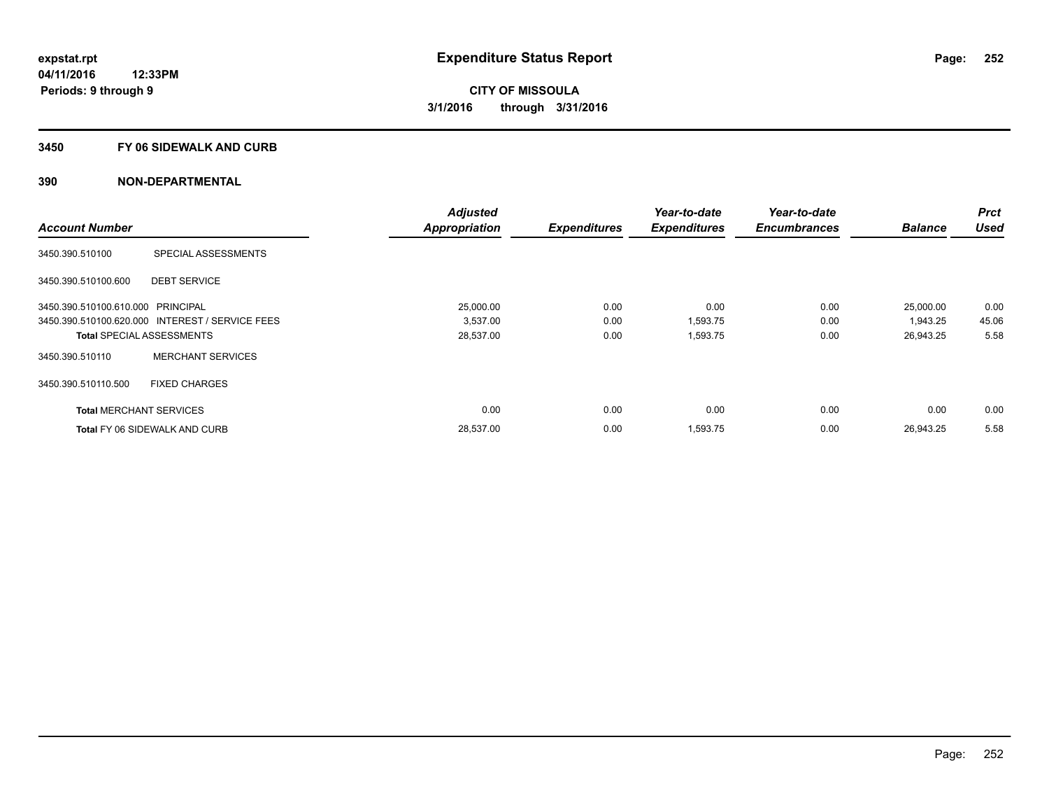#### **3450 FY 06 SIDEWALK AND CURB**

|                                   |                                                 | <b>Adjusted</b>      |                     | Year-to-date        | Year-to-date        |                | Prct        |
|-----------------------------------|-------------------------------------------------|----------------------|---------------------|---------------------|---------------------|----------------|-------------|
| <b>Account Number</b>             |                                                 | <b>Appropriation</b> | <b>Expenditures</b> | <b>Expenditures</b> | <b>Encumbrances</b> | <b>Balance</b> | <b>Used</b> |
| 3450.390.510100                   | SPECIAL ASSESSMENTS                             |                      |                     |                     |                     |                |             |
| 3450.390.510100.600               | <b>DEBT SERVICE</b>                             |                      |                     |                     |                     |                |             |
| 3450.390.510100.610.000 PRINCIPAL |                                                 | 25.000.00            | 0.00                | 0.00                | 0.00                | 25,000.00      | 0.00        |
|                                   | 3450.390.510100.620.000 INTEREST / SERVICE FEES | 3,537.00             | 0.00                | 1,593.75            | 0.00                | 1,943.25       | 45.06       |
|                                   | <b>Total SPECIAL ASSESSMENTS</b>                | 28,537.00            | 0.00                | 1,593.75            | 0.00                | 26,943.25      | 5.58        |
| 3450.390.510110                   | <b>MERCHANT SERVICES</b>                        |                      |                     |                     |                     |                |             |
| 3450.390.510110.500               | <b>FIXED CHARGES</b>                            |                      |                     |                     |                     |                |             |
| <b>Total MERCHANT SERVICES</b>    |                                                 | 0.00                 | 0.00                | 0.00                | 0.00                | 0.00           | 0.00        |
|                                   | <b>Total FY 06 SIDEWALK AND CURB</b>            | 28,537.00            | 0.00                | 1,593.75            | 0.00                | 26.943.25      | 5.58        |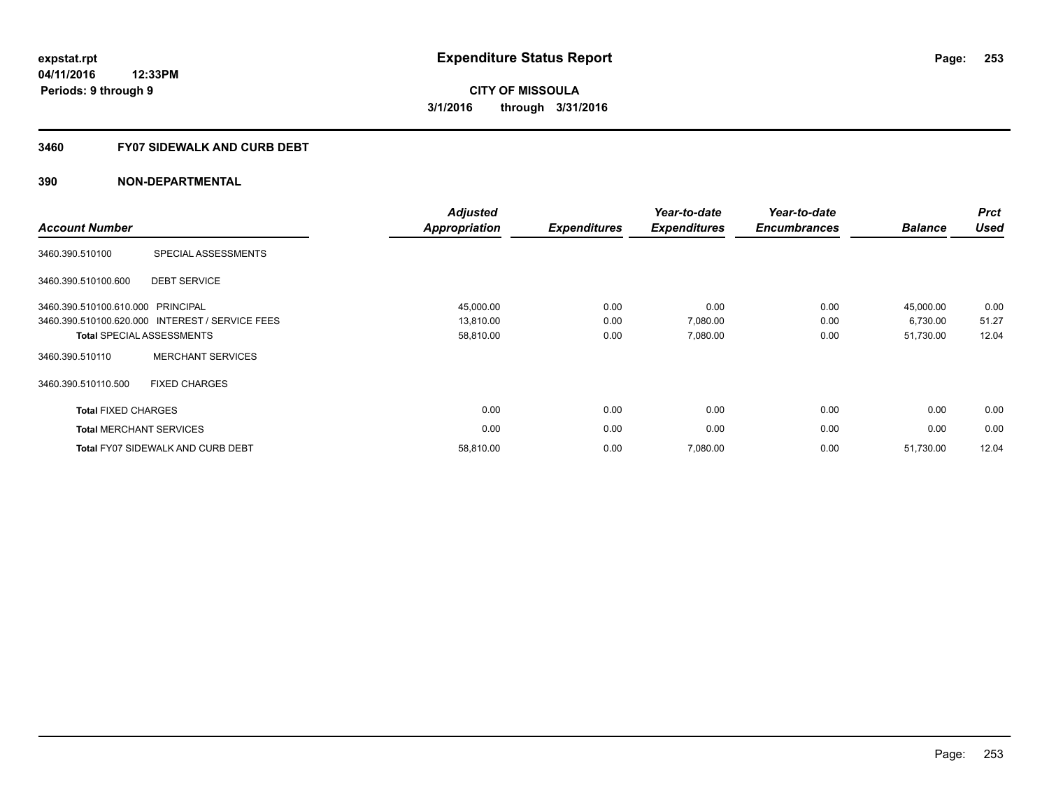# **3460 FY07 SIDEWALK AND CURB DEBT**

| <b>Account Number</b>             |                                                 | <b>Adjusted</b><br><b>Appropriation</b> | <b>Expenditures</b> | Year-to-date<br><b>Expenditures</b> | Year-to-date<br><b>Encumbrances</b> | <b>Balance</b> | <b>Prct</b><br><b>Used</b> |
|-----------------------------------|-------------------------------------------------|-----------------------------------------|---------------------|-------------------------------------|-------------------------------------|----------------|----------------------------|
| 3460.390.510100                   | SPECIAL ASSESSMENTS                             |                                         |                     |                                     |                                     |                |                            |
| 3460.390.510100.600               | <b>DEBT SERVICE</b>                             |                                         |                     |                                     |                                     |                |                            |
| 3460.390.510100.610.000 PRINCIPAL |                                                 | 45,000.00                               | 0.00                | 0.00                                | 0.00                                | 45,000.00      | 0.00                       |
|                                   | 3460.390.510100.620.000 INTEREST / SERVICE FEES | 13,810.00                               | 0.00                | 7,080.00                            | 0.00                                | 6,730.00       | 51.27                      |
|                                   | <b>Total SPECIAL ASSESSMENTS</b>                | 58,810.00                               | 0.00                | 7,080.00                            | 0.00                                | 51,730.00      | 12.04                      |
| 3460.390.510110                   | <b>MERCHANT SERVICES</b>                        |                                         |                     |                                     |                                     |                |                            |
| 3460.390.510110.500               | <b>FIXED CHARGES</b>                            |                                         |                     |                                     |                                     |                |                            |
| <b>Total FIXED CHARGES</b>        |                                                 | 0.00                                    | 0.00                | 0.00                                | 0.00                                | 0.00           | 0.00                       |
|                                   | <b>Total MERCHANT SERVICES</b>                  | 0.00                                    | 0.00                | 0.00                                | 0.00                                | 0.00           | 0.00                       |
|                                   | <b>Total FY07 SIDEWALK AND CURB DEBT</b>        | 58,810.00                               | 0.00                | 7,080.00                            | 0.00                                | 51,730.00      | 12.04                      |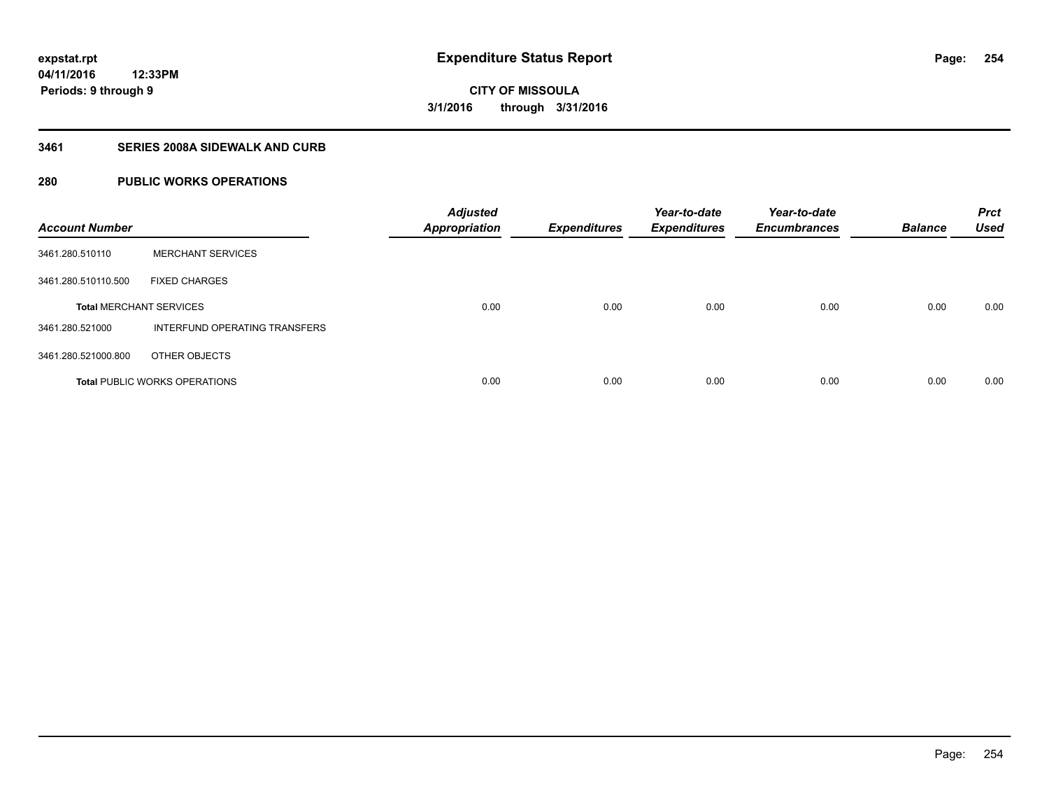# **3461 SERIES 2008A SIDEWALK AND CURB**

# **280 PUBLIC WORKS OPERATIONS**

| <b>Account Number</b>          |                                      | <b>Adjusted</b><br><b>Appropriation</b> | <b>Expenditures</b> | Year-to-date<br><b>Expenditures</b> | Year-to-date<br><b>Encumbrances</b> | <b>Balance</b> | <b>Prct</b><br><b>Used</b> |
|--------------------------------|--------------------------------------|-----------------------------------------|---------------------|-------------------------------------|-------------------------------------|----------------|----------------------------|
| 3461.280.510110                | <b>MERCHANT SERVICES</b>             |                                         |                     |                                     |                                     |                |                            |
| 3461.280.510110.500            | <b>FIXED CHARGES</b>                 |                                         |                     |                                     |                                     |                |                            |
| <b>Total MERCHANT SERVICES</b> |                                      | 0.00                                    | 0.00                | 0.00                                | 0.00                                | 0.00           | 0.00                       |
| 3461.280.521000                | INTERFUND OPERATING TRANSFERS        |                                         |                     |                                     |                                     |                |                            |
| 3461.280.521000.800            | OTHER OBJECTS                        |                                         |                     |                                     |                                     |                |                            |
|                                | <b>Total PUBLIC WORKS OPERATIONS</b> | 0.00                                    | 0.00                | 0.00                                | 0.00                                | 0.00           | 0.00                       |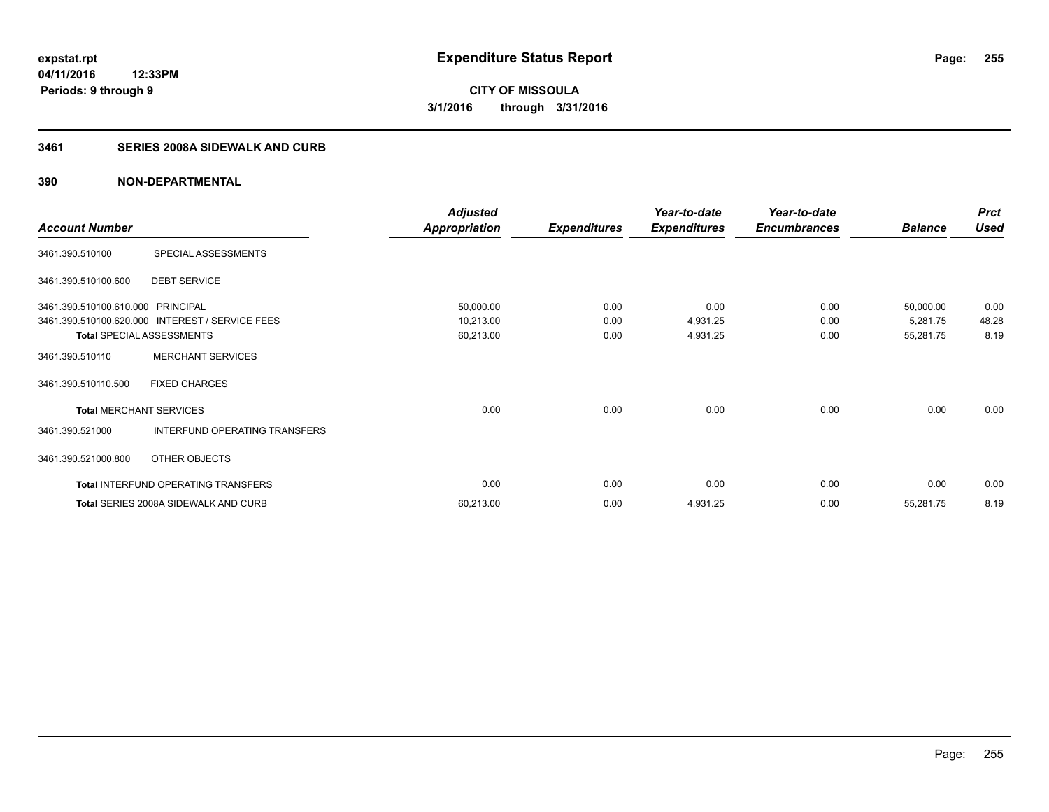# **3461 SERIES 2008A SIDEWALK AND CURB**

|                                   |                                                 | <b>Adjusted</b>      |                     | Year-to-date        | Year-to-date        |                | <b>Prct</b> |
|-----------------------------------|-------------------------------------------------|----------------------|---------------------|---------------------|---------------------|----------------|-------------|
| <b>Account Number</b>             |                                                 | <b>Appropriation</b> | <b>Expenditures</b> | <b>Expenditures</b> | <b>Encumbrances</b> | <b>Balance</b> | <b>Used</b> |
| 3461.390.510100                   | SPECIAL ASSESSMENTS                             |                      |                     |                     |                     |                |             |
| 3461.390.510100.600               | <b>DEBT SERVICE</b>                             |                      |                     |                     |                     |                |             |
| 3461.390.510100.610.000 PRINCIPAL |                                                 | 50,000.00            | 0.00                | 0.00                | 0.00                | 50,000.00      | 0.00        |
|                                   | 3461.390.510100.620.000 INTEREST / SERVICE FEES | 10,213.00            | 0.00                | 4,931.25            | 0.00                | 5,281.75       | 48.28       |
|                                   | <b>Total SPECIAL ASSESSMENTS</b>                | 60,213.00            | 0.00                | 4,931.25            | 0.00                | 55,281.75      | 8.19        |
| 3461.390.510110                   | <b>MERCHANT SERVICES</b>                        |                      |                     |                     |                     |                |             |
| 3461.390.510110.500               | <b>FIXED CHARGES</b>                            |                      |                     |                     |                     |                |             |
| <b>Total MERCHANT SERVICES</b>    |                                                 | 0.00                 | 0.00                | 0.00                | 0.00                | 0.00           | 0.00        |
| 3461.390.521000                   | INTERFUND OPERATING TRANSFERS                   |                      |                     |                     |                     |                |             |
| 3461.390.521000.800               | OTHER OBJECTS                                   |                      |                     |                     |                     |                |             |
|                                   | Total INTERFUND OPERATING TRANSFERS             | 0.00                 | 0.00                | 0.00                | 0.00                | 0.00           | 0.00        |
|                                   | Total SERIES 2008A SIDEWALK AND CURB            | 60,213.00            | 0.00                | 4,931.25            | 0.00                | 55,281.75      | 8.19        |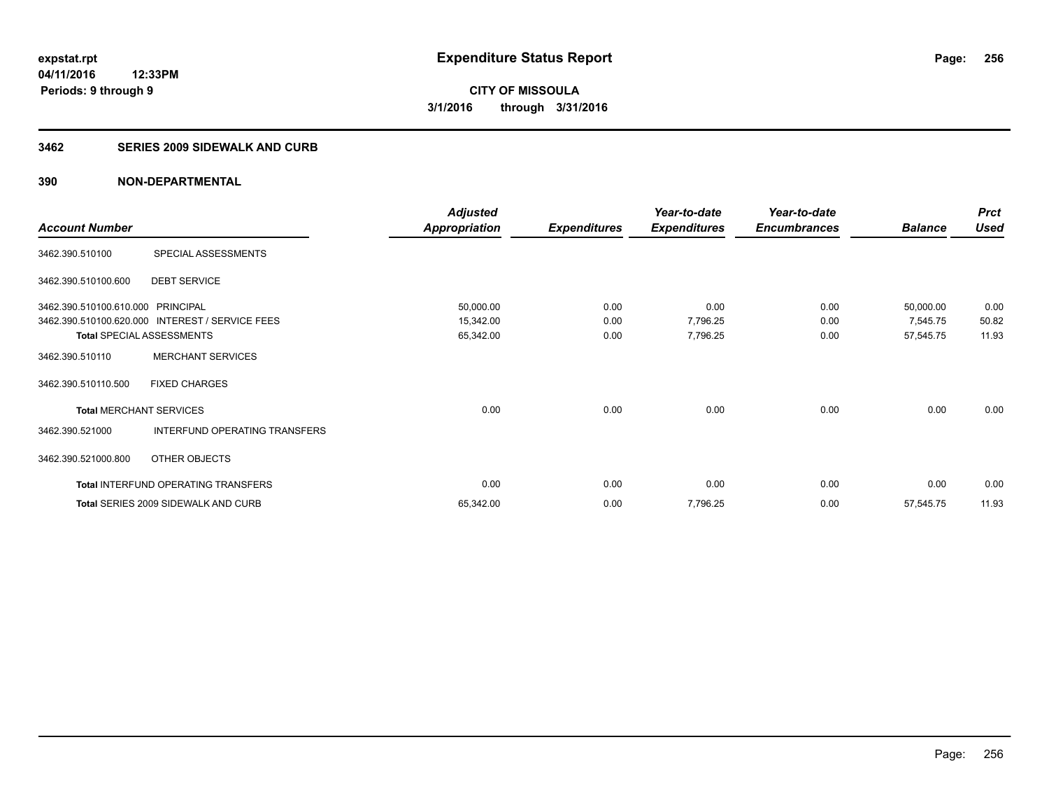# **3462 SERIES 2009 SIDEWALK AND CURB**

|                                   |                                                 | <b>Adjusted</b>      |                     | Year-to-date        | Year-to-date        |                | <b>Prct</b> |
|-----------------------------------|-------------------------------------------------|----------------------|---------------------|---------------------|---------------------|----------------|-------------|
| <b>Account Number</b>             |                                                 | <b>Appropriation</b> | <b>Expenditures</b> | <b>Expenditures</b> | <b>Encumbrances</b> | <b>Balance</b> | <b>Used</b> |
| 3462.390.510100                   | SPECIAL ASSESSMENTS                             |                      |                     |                     |                     |                |             |
| 3462.390.510100.600               | <b>DEBT SERVICE</b>                             |                      |                     |                     |                     |                |             |
| 3462.390.510100.610.000 PRINCIPAL |                                                 | 50,000.00            | 0.00                | 0.00                | 0.00                | 50,000.00      | 0.00        |
|                                   | 3462.390.510100.620.000 INTEREST / SERVICE FEES | 15,342.00            | 0.00                | 7,796.25            | 0.00                | 7,545.75       | 50.82       |
| <b>Total SPECIAL ASSESSMENTS</b>  |                                                 | 65,342.00            | 0.00                | 7,796.25            | 0.00                | 57,545.75      | 11.93       |
| 3462.390.510110                   | <b>MERCHANT SERVICES</b>                        |                      |                     |                     |                     |                |             |
| 3462.390.510110.500               | <b>FIXED CHARGES</b>                            |                      |                     |                     |                     |                |             |
| <b>Total MERCHANT SERVICES</b>    |                                                 | 0.00                 | 0.00                | 0.00                | 0.00                | 0.00           | 0.00        |
| 3462.390.521000                   | INTERFUND OPERATING TRANSFERS                   |                      |                     |                     |                     |                |             |
| 3462.390.521000.800               | OTHER OBJECTS                                   |                      |                     |                     |                     |                |             |
|                                   | Total INTERFUND OPERATING TRANSFERS             | 0.00                 | 0.00                | 0.00                | 0.00                | 0.00           | 0.00        |
|                                   | <b>Total SERIES 2009 SIDEWALK AND CURB</b>      | 65,342.00            | 0.00                | 7,796.25            | 0.00                | 57,545.75      | 11.93       |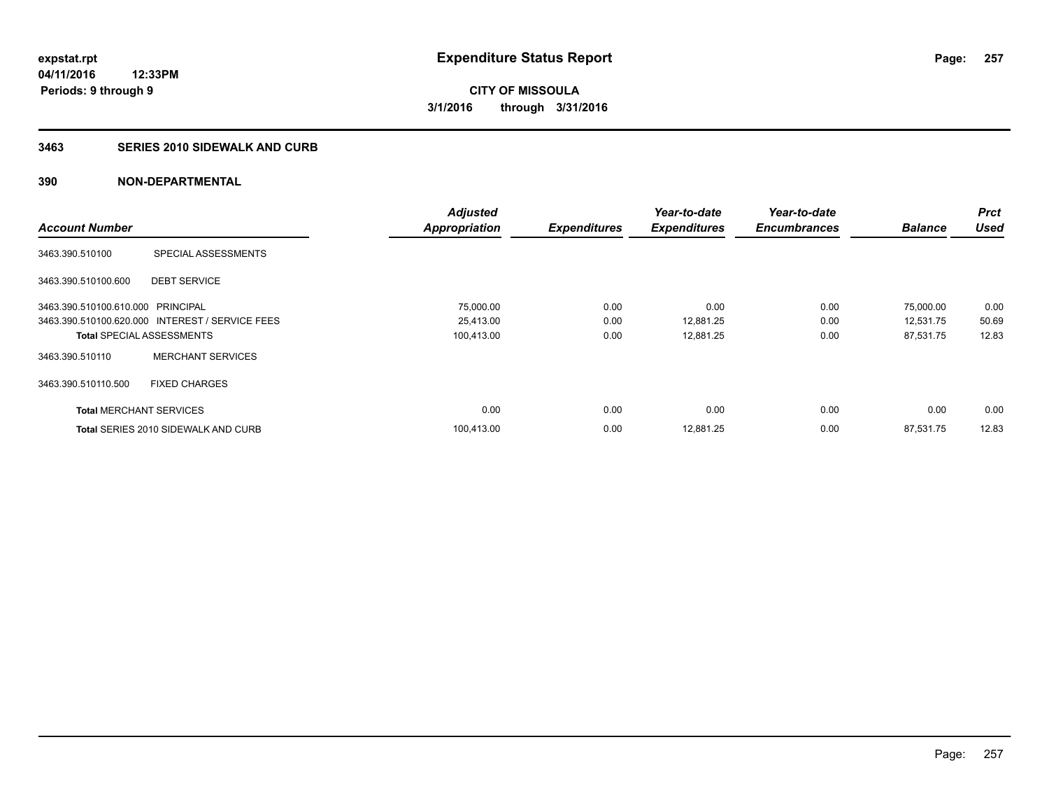# **3463 SERIES 2010 SIDEWALK AND CURB**

|                                   |                                                 | <b>Adjusted</b>      |                     | Year-to-date        | Year-to-date        |                | <b>Prct</b> |
|-----------------------------------|-------------------------------------------------|----------------------|---------------------|---------------------|---------------------|----------------|-------------|
| <b>Account Number</b>             |                                                 | <b>Appropriation</b> | <b>Expenditures</b> | <b>Expenditures</b> | <b>Encumbrances</b> | <b>Balance</b> | <b>Used</b> |
| 3463.390.510100                   | SPECIAL ASSESSMENTS                             |                      |                     |                     |                     |                |             |
| 3463.390.510100.600               | <b>DEBT SERVICE</b>                             |                      |                     |                     |                     |                |             |
| 3463.390.510100.610.000 PRINCIPAL |                                                 | 75,000.00            | 0.00                | 0.00                | 0.00                | 75,000.00      | 0.00        |
|                                   | 3463.390.510100.620.000 INTEREST / SERVICE FEES | 25,413.00            | 0.00                | 12,881.25           | 0.00                | 12,531.75      | 50.69       |
| <b>Total SPECIAL ASSESSMENTS</b>  |                                                 | 100,413.00           | 0.00                | 12,881.25           | 0.00                | 87,531.75      | 12.83       |
| 3463.390.510110                   | <b>MERCHANT SERVICES</b>                        |                      |                     |                     |                     |                |             |
| 3463.390.510110.500               | <b>FIXED CHARGES</b>                            |                      |                     |                     |                     |                |             |
| <b>Total MERCHANT SERVICES</b>    |                                                 | 0.00                 | 0.00                | 0.00                | 0.00                | 0.00           | 0.00        |
|                                   | <b>Total SERIES 2010 SIDEWALK AND CURB</b>      | 100.413.00           | 0.00                | 12.881.25           | 0.00                | 87.531.75      | 12.83       |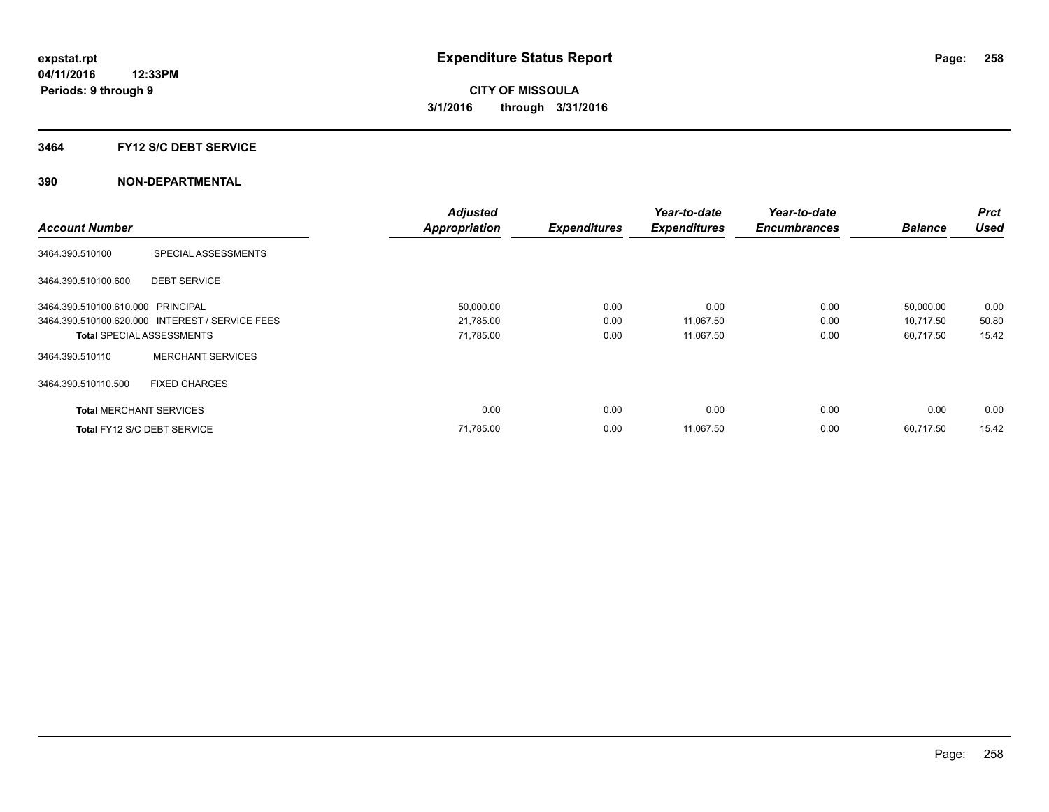### **3464 FY12 S/C DEBT SERVICE**

|                                   |                                                 | <b>Adjusted</b>      |                     | Year-to-date        | Year-to-date        |                | <b>Prct</b> |
|-----------------------------------|-------------------------------------------------|----------------------|---------------------|---------------------|---------------------|----------------|-------------|
| <b>Account Number</b>             |                                                 | <b>Appropriation</b> | <b>Expenditures</b> | <b>Expenditures</b> | <b>Encumbrances</b> | <b>Balance</b> | <b>Used</b> |
| 3464.390.510100                   | SPECIAL ASSESSMENTS                             |                      |                     |                     |                     |                |             |
| 3464.390.510100.600               | <b>DEBT SERVICE</b>                             |                      |                     |                     |                     |                |             |
| 3464.390.510100.610.000 PRINCIPAL |                                                 | 50,000.00            | 0.00                | 0.00                | 0.00                | 50,000.00      | 0.00        |
|                                   | 3464.390.510100.620.000 INTEREST / SERVICE FEES | 21,785.00            | 0.00                | 11,067.50           | 0.00                | 10,717.50      | 50.80       |
| <b>Total SPECIAL ASSESSMENTS</b>  |                                                 | 71,785.00            | 0.00                | 11,067.50           | 0.00                | 60,717.50      | 15.42       |
| 3464.390.510110                   | <b>MERCHANT SERVICES</b>                        |                      |                     |                     |                     |                |             |
| 3464.390.510110.500               | <b>FIXED CHARGES</b>                            |                      |                     |                     |                     |                |             |
| <b>Total MERCHANT SERVICES</b>    |                                                 | 0.00                 | 0.00                | 0.00                | 0.00                | 0.00           | 0.00        |
| Total FY12 S/C DEBT SERVICE       |                                                 | 71,785.00            | 0.00                | 11,067.50           | 0.00                | 60.717.50      | 15.42       |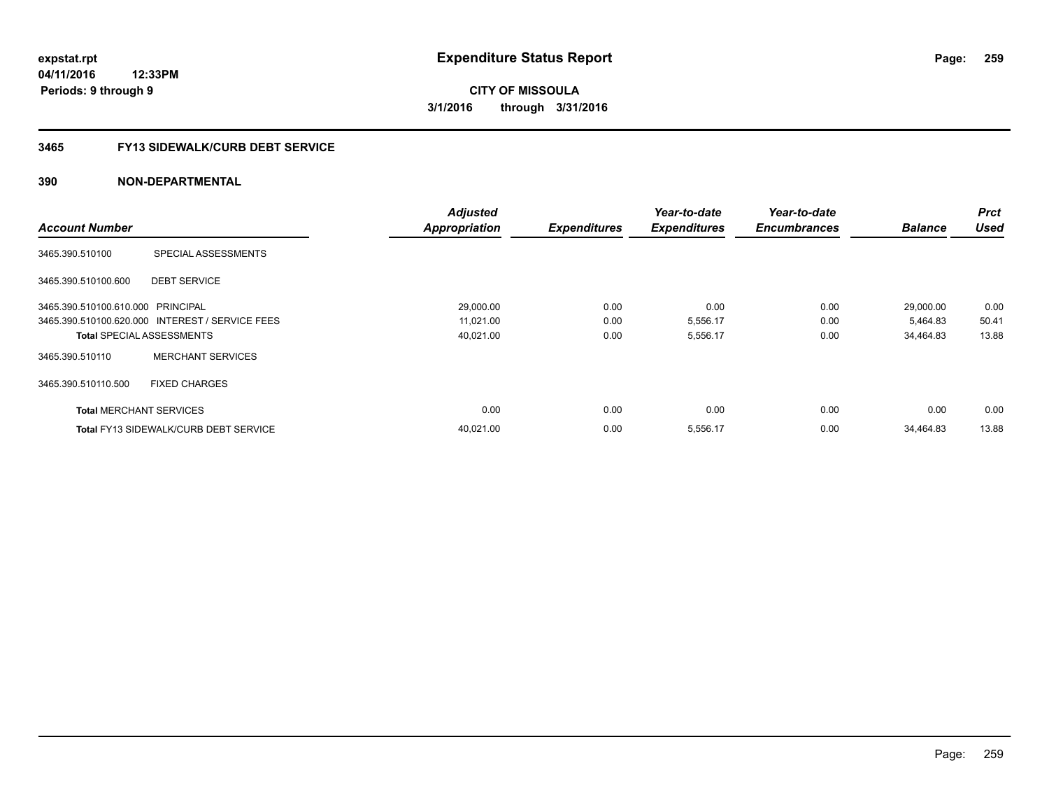# **3465 FY13 SIDEWALK/CURB DEBT SERVICE**

|                                   |                                                 | <b>Adjusted</b>      |                     | Year-to-date        | Year-to-date        |                | <b>Prct</b> |
|-----------------------------------|-------------------------------------------------|----------------------|---------------------|---------------------|---------------------|----------------|-------------|
| <b>Account Number</b>             |                                                 | <b>Appropriation</b> | <b>Expenditures</b> | <b>Expenditures</b> | <b>Encumbrances</b> | <b>Balance</b> | <b>Used</b> |
| 3465.390.510100                   | SPECIAL ASSESSMENTS                             |                      |                     |                     |                     |                |             |
| 3465.390.510100.600               | <b>DEBT SERVICE</b>                             |                      |                     |                     |                     |                |             |
| 3465.390.510100.610.000 PRINCIPAL |                                                 | 29,000.00            | 0.00                | 0.00                | 0.00                | 29,000.00      | 0.00        |
|                                   | 3465.390.510100.620.000 INTEREST / SERVICE FEES | 11,021.00            | 0.00                | 5,556.17            | 0.00                | 5,464.83       | 50.41       |
|                                   | <b>Total SPECIAL ASSESSMENTS</b>                | 40,021.00            | 0.00                | 5,556.17            | 0.00                | 34.464.83      | 13.88       |
| 3465.390.510110                   | <b>MERCHANT SERVICES</b>                        |                      |                     |                     |                     |                |             |
| 3465.390.510110.500               | <b>FIXED CHARGES</b>                            |                      |                     |                     |                     |                |             |
| <b>Total MERCHANT SERVICES</b>    |                                                 | 0.00                 | 0.00                | 0.00                | 0.00                | 0.00           | 0.00        |
|                                   | <b>Total FY13 SIDEWALK/CURB DEBT SERVICE</b>    | 40.021.00            | 0.00                | 5,556.17            | 0.00                | 34.464.83      | 13.88       |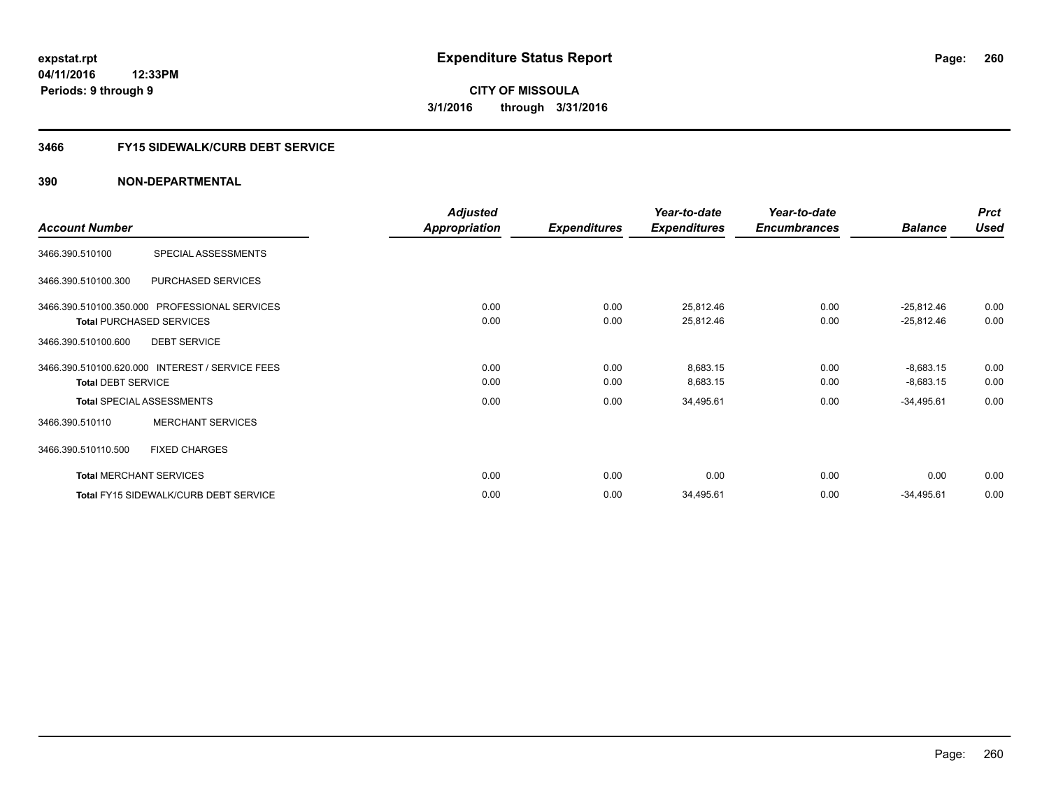# **3466 FY15 SIDEWALK/CURB DEBT SERVICE**

|                                                 | <b>Adjusted</b> |                     | Year-to-date        | Year-to-date        |                | <b>Prct</b> |
|-------------------------------------------------|-----------------|---------------------|---------------------|---------------------|----------------|-------------|
| <b>Account Number</b>                           | Appropriation   | <b>Expenditures</b> | <b>Expenditures</b> | <b>Encumbrances</b> | <b>Balance</b> | <b>Used</b> |
| 3466.390.510100<br>SPECIAL ASSESSMENTS          |                 |                     |                     |                     |                |             |
| 3466.390.510100.300<br>PURCHASED SERVICES       |                 |                     |                     |                     |                |             |
| 3466.390.510100.350.000 PROFESSIONAL SERVICES   | 0.00            | 0.00                | 25,812.46           | 0.00                | $-25,812.46$   | 0.00        |
| <b>Total PURCHASED SERVICES</b>                 | 0.00            | 0.00                | 25,812.46           | 0.00                | $-25,812.46$   | 0.00        |
| <b>DEBT SERVICE</b><br>3466.390.510100.600      |                 |                     |                     |                     |                |             |
| 3466.390.510100.620.000 INTEREST / SERVICE FEES | 0.00            | 0.00                | 8,683.15            | 0.00                | $-8,683.15$    | 0.00        |
| <b>Total DEBT SERVICE</b>                       | 0.00            | 0.00                | 8,683.15            | 0.00                | $-8,683.15$    | 0.00        |
| <b>Total SPECIAL ASSESSMENTS</b>                | 0.00            | 0.00                | 34,495.61           | 0.00                | $-34,495.61$   | 0.00        |
| <b>MERCHANT SERVICES</b><br>3466.390.510110     |                 |                     |                     |                     |                |             |
| <b>FIXED CHARGES</b><br>3466.390.510110.500     |                 |                     |                     |                     |                |             |
| <b>Total MERCHANT SERVICES</b>                  | 0.00            | 0.00                | 0.00                | 0.00                | 0.00           | 0.00        |
| Total FY15 SIDEWALK/CURB DEBT SERVICE           | 0.00            | 0.00                | 34,495.61           | 0.00                | $-34,495.61$   | 0.00        |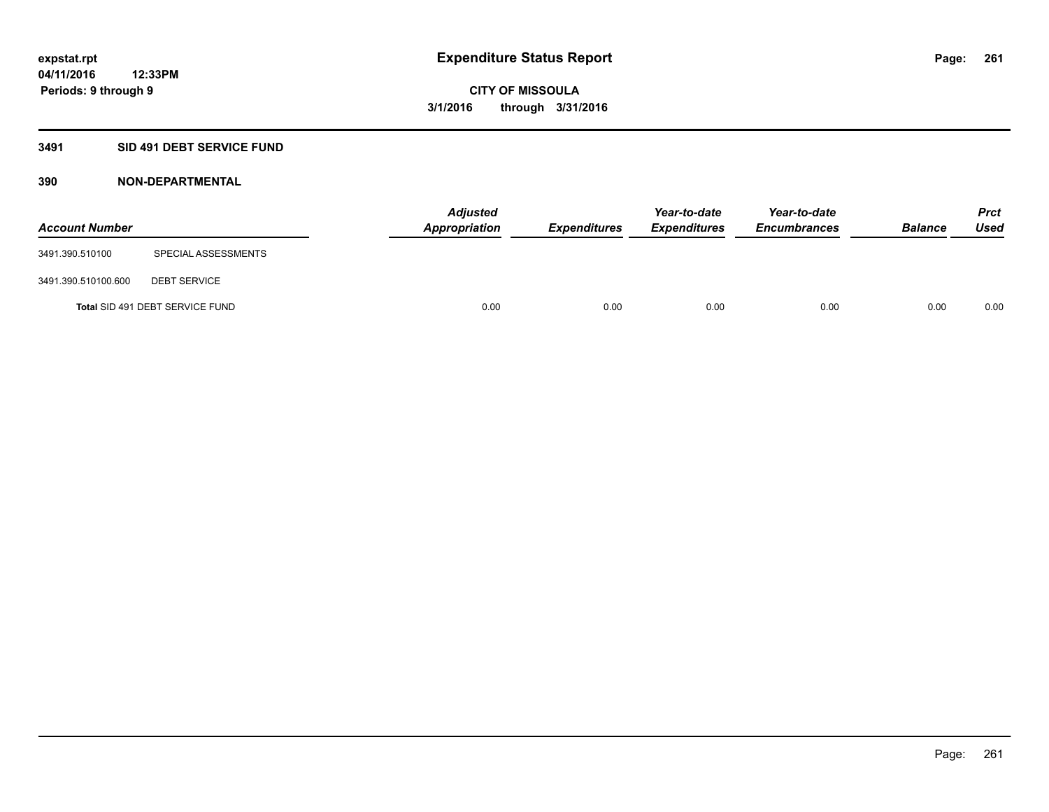# **3491 SID 491 DEBT SERVICE FUND**

| <b>Account Number</b> |                                 | <b>Adjusted</b><br>Appropriation | <b>Expenditures</b> | Year-to-date<br><b>Expenditures</b> | Year-to-date<br><b>Encumbrances</b> | <b>Balance</b> | <b>Prct</b><br><b>Used</b> |
|-----------------------|---------------------------------|----------------------------------|---------------------|-------------------------------------|-------------------------------------|----------------|----------------------------|
| 3491.390.510100       | SPECIAL ASSESSMENTS             |                                  |                     |                                     |                                     |                |                            |
| 3491.390.510100.600   | <b>DEBT SERVICE</b>             |                                  |                     |                                     |                                     |                |                            |
|                       | Total SID 491 DEBT SERVICE FUND | 0.00                             | 0.00                | 0.00                                | 0.00                                | 0.00           | 0.00                       |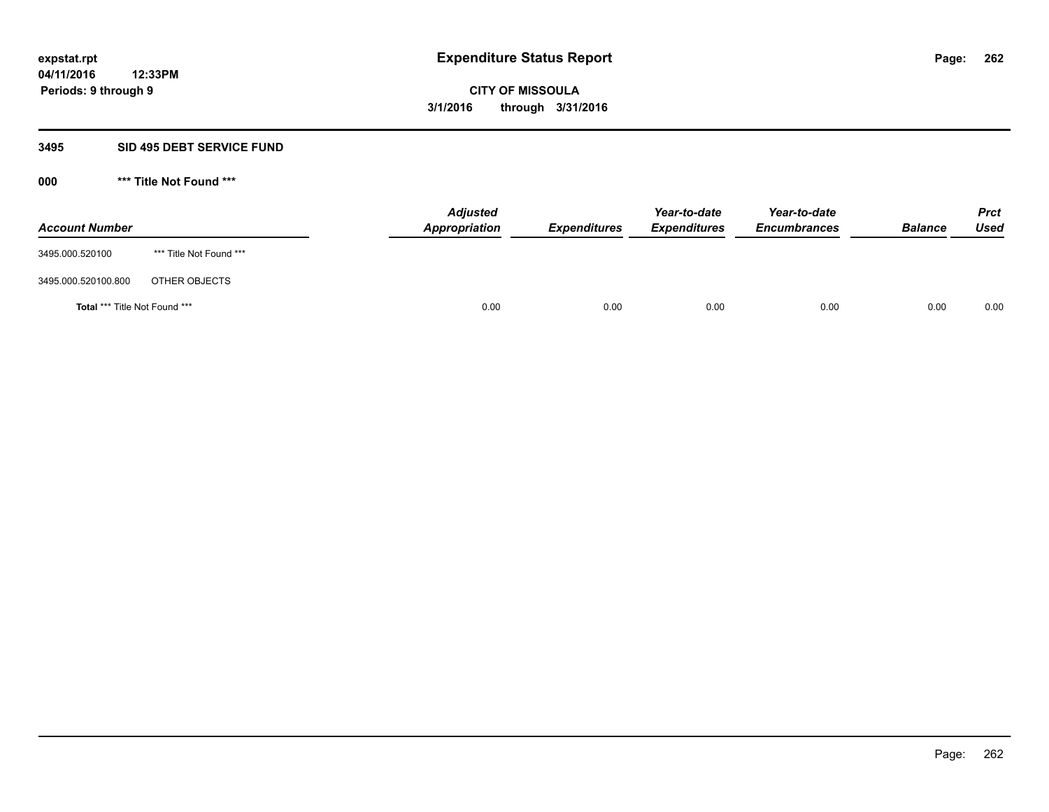#### **3495 SID 495 DEBT SERVICE FUND**

| <b>Account Number</b>                |                         | <b>Adjusted</b><br><b>Appropriation</b> | <b>Expenditures</b> | Year-to-date<br><i><b>Expenditures</b></i> | Year-to-date<br><b>Encumbrances</b> | <b>Balance</b> | <b>Prct</b><br>Used |
|--------------------------------------|-------------------------|-----------------------------------------|---------------------|--------------------------------------------|-------------------------------------|----------------|---------------------|
| 3495.000.520100                      | *** Title Not Found *** |                                         |                     |                                            |                                     |                |                     |
| 3495.000.520100.800                  | OTHER OBJECTS           |                                         |                     |                                            |                                     |                |                     |
| <b>Total *** Title Not Found ***</b> |                         | 0.00                                    | 0.00                | 0.00                                       | 0.00                                | 0.00           | 0.00                |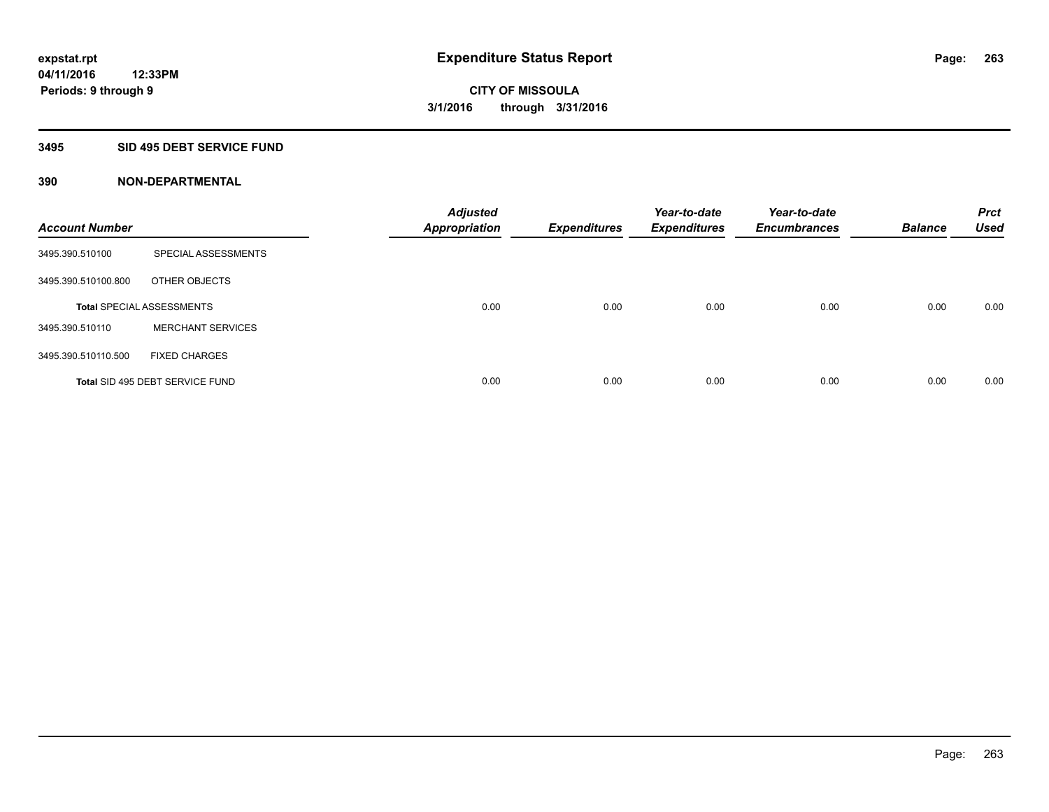# **3495 SID 495 DEBT SERVICE FUND**

| <b>Account Number</b> |                                  | <b>Adjusted</b><br><b>Appropriation</b> | <b>Expenditures</b> | Year-to-date<br><b>Expenditures</b> | Year-to-date<br><b>Encumbrances</b> | <b>Balance</b> | <b>Prct</b><br><b>Used</b> |
|-----------------------|----------------------------------|-----------------------------------------|---------------------|-------------------------------------|-------------------------------------|----------------|----------------------------|
| 3495.390.510100       | SPECIAL ASSESSMENTS              |                                         |                     |                                     |                                     |                |                            |
| 3495.390.510100.800   | OTHER OBJECTS                    |                                         |                     |                                     |                                     |                |                            |
|                       | <b>Total SPECIAL ASSESSMENTS</b> | 0.00                                    | 0.00                | 0.00                                | 0.00                                | 0.00           | 0.00                       |
| 3495.390.510110       | <b>MERCHANT SERVICES</b>         |                                         |                     |                                     |                                     |                |                            |
| 3495.390.510110.500   | <b>FIXED CHARGES</b>             |                                         |                     |                                     |                                     |                |                            |
|                       | Total SID 495 DEBT SERVICE FUND  | 0.00                                    | 0.00                | 0.00                                | 0.00                                | 0.00           | 0.00                       |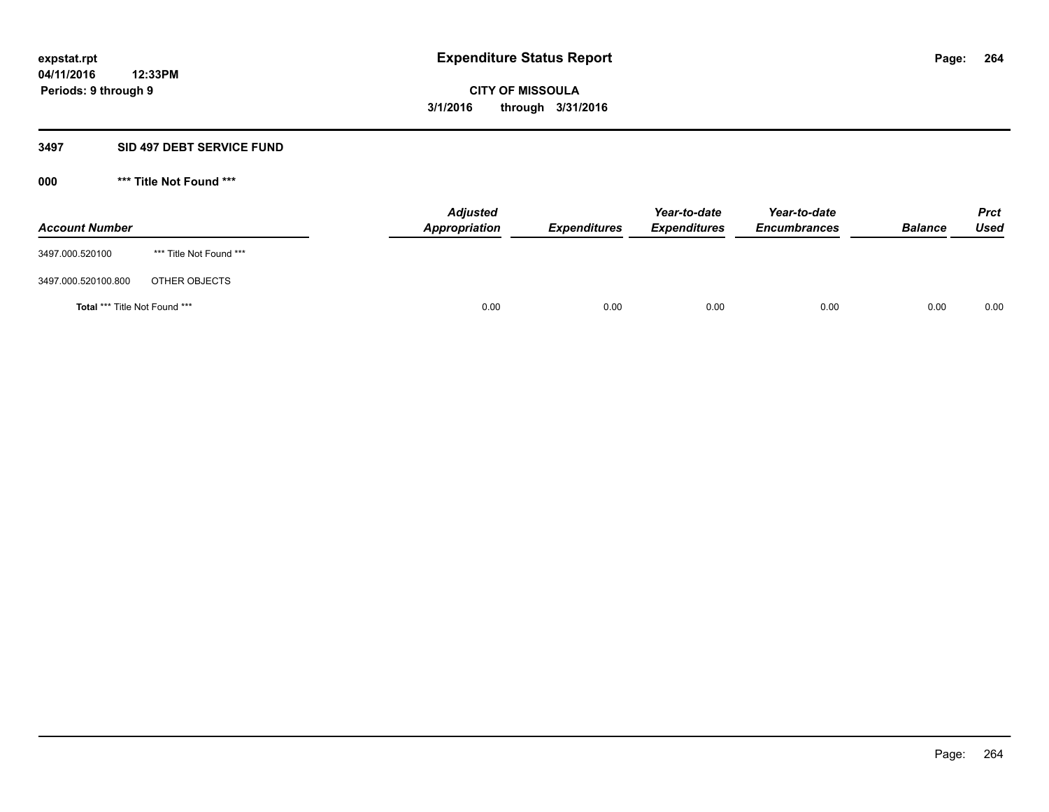### **3497 SID 497 DEBT SERVICE FUND**

| <b>Account Number</b>                |                         | <b>Adjusted</b><br>Appropriation | <b>Expenditures</b> | Year-to-date<br><b>Expenditures</b> | Year-to-date<br><b>Encumbrances</b> | <b>Balance</b> | <b>Prct</b><br>Used |
|--------------------------------------|-------------------------|----------------------------------|---------------------|-------------------------------------|-------------------------------------|----------------|---------------------|
| 3497.000.520100                      | *** Title Not Found *** |                                  |                     |                                     |                                     |                |                     |
| 3497.000.520100.800                  | OTHER OBJECTS           |                                  |                     |                                     |                                     |                |                     |
| <b>Total *** Title Not Found ***</b> |                         | 0.00                             | 0.00                | 0.00                                | 0.00                                | 0.00           | 0.00                |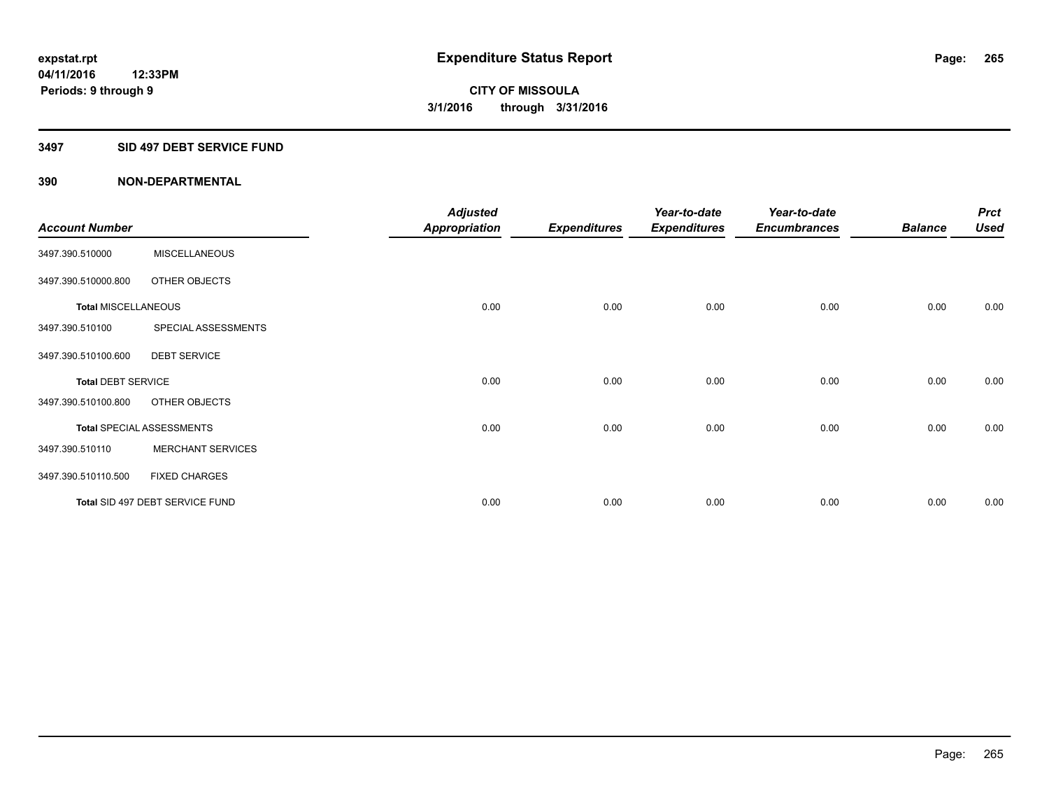### **3497 SID 497 DEBT SERVICE FUND**

|                            |                                  | <b>Adjusted</b> |                     | Year-to-date        | Year-to-date        |                | <b>Prct</b> |
|----------------------------|----------------------------------|-----------------|---------------------|---------------------|---------------------|----------------|-------------|
| <b>Account Number</b>      |                                  | Appropriation   | <b>Expenditures</b> | <b>Expenditures</b> | <b>Encumbrances</b> | <b>Balance</b> | <b>Used</b> |
| 3497.390.510000            | <b>MISCELLANEOUS</b>             |                 |                     |                     |                     |                |             |
| 3497.390.510000.800        | OTHER OBJECTS                    |                 |                     |                     |                     |                |             |
| <b>Total MISCELLANEOUS</b> |                                  | 0.00            | 0.00                | 0.00                | 0.00                | 0.00           | 0.00        |
| 3497.390.510100            | SPECIAL ASSESSMENTS              |                 |                     |                     |                     |                |             |
| 3497.390.510100.600        | <b>DEBT SERVICE</b>              |                 |                     |                     |                     |                |             |
| <b>Total DEBT SERVICE</b>  |                                  | 0.00            | 0.00                | 0.00                | 0.00                | 0.00           | 0.00        |
| 3497.390.510100.800        | OTHER OBJECTS                    |                 |                     |                     |                     |                |             |
|                            | <b>Total SPECIAL ASSESSMENTS</b> | 0.00            | 0.00                | 0.00                | 0.00                | 0.00           | 0.00        |
| 3497.390.510110            | <b>MERCHANT SERVICES</b>         |                 |                     |                     |                     |                |             |
| 3497.390.510110.500        | <b>FIXED CHARGES</b>             |                 |                     |                     |                     |                |             |
|                            | Total SID 497 DEBT SERVICE FUND  | 0.00            | 0.00                | 0.00                | 0.00                | 0.00           | 0.00        |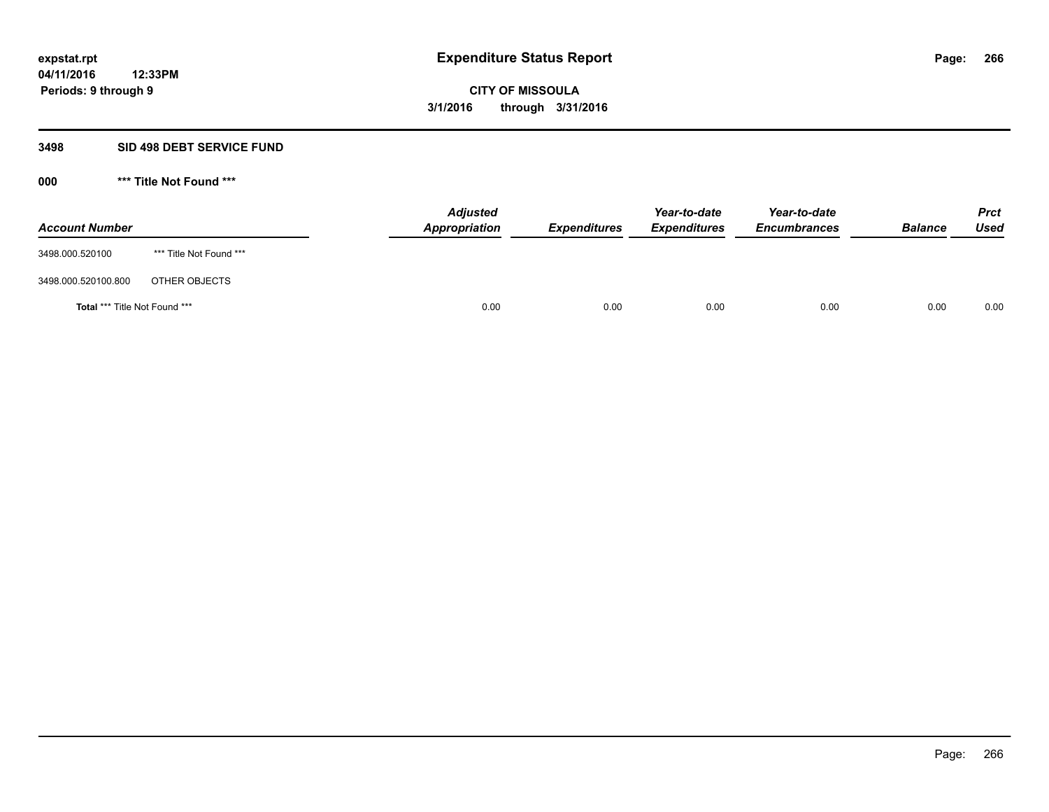#### **3498 SID 498 DEBT SERVICE FUND**

| <b>Account Number</b>                |                         | <b>Adjusted</b><br>Appropriation | <b>Expenditures</b> | Year-to-date<br><b>Expenditures</b> | Year-to-date<br><b>Encumbrances</b> | <b>Balance</b> | <b>Prct</b><br>Used |
|--------------------------------------|-------------------------|----------------------------------|---------------------|-------------------------------------|-------------------------------------|----------------|---------------------|
| 3498.000.520100                      | *** Title Not Found *** |                                  |                     |                                     |                                     |                |                     |
| 3498.000.520100.800                  | OTHER OBJECTS           |                                  |                     |                                     |                                     |                |                     |
| <b>Total *** Title Not Found ***</b> |                         | 0.00                             | 0.00                | 0.00                                | 0.00                                | 0.00           | 0.00                |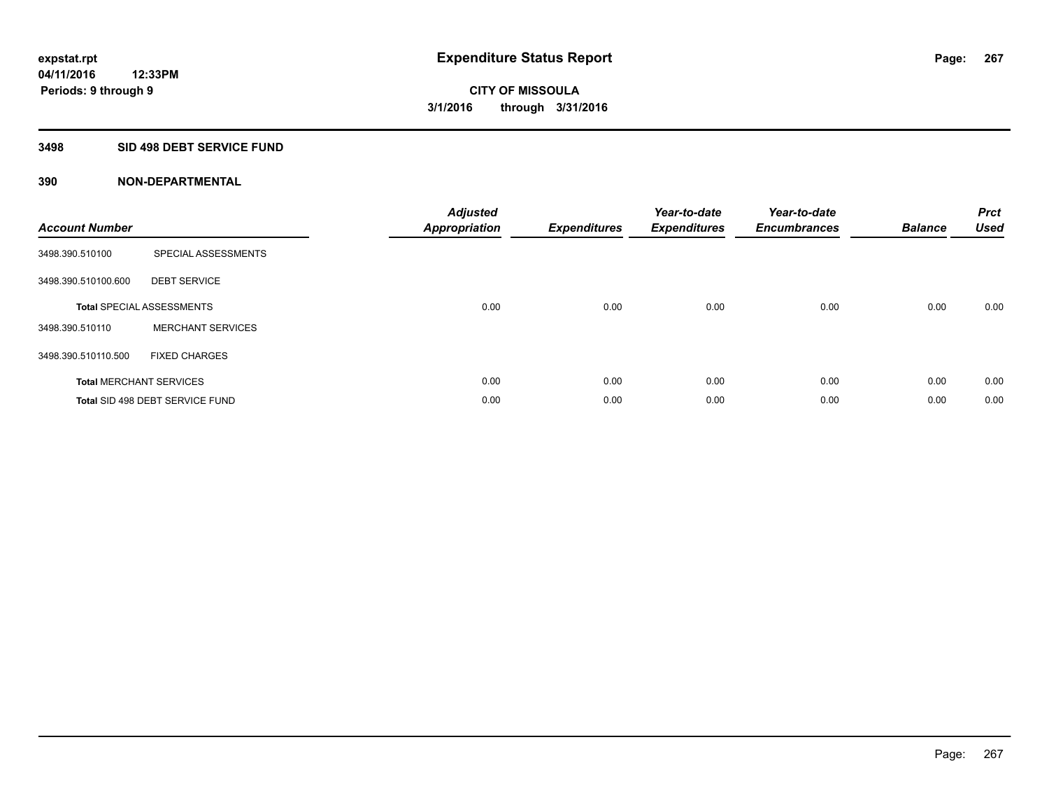# **3498 SID 498 DEBT SERVICE FUND**

| <b>Account Number</b> |                                  | <b>Adjusted</b><br>Appropriation | <b>Expenditures</b> | Year-to-date<br><b>Expenditures</b> | Year-to-date<br><b>Encumbrances</b> | <b>Balance</b> | <b>Prct</b><br>Used |
|-----------------------|----------------------------------|----------------------------------|---------------------|-------------------------------------|-------------------------------------|----------------|---------------------|
| 3498.390.510100       | SPECIAL ASSESSMENTS              |                                  |                     |                                     |                                     |                |                     |
| 3498.390.510100.600   | <b>DEBT SERVICE</b>              |                                  |                     |                                     |                                     |                |                     |
|                       | <b>Total SPECIAL ASSESSMENTS</b> | 0.00                             | 0.00                | 0.00                                | 0.00                                | 0.00           | 0.00                |
| 3498.390.510110       | <b>MERCHANT SERVICES</b>         |                                  |                     |                                     |                                     |                |                     |
| 3498.390.510110.500   | <b>FIXED CHARGES</b>             |                                  |                     |                                     |                                     |                |                     |
|                       | <b>Total MERCHANT SERVICES</b>   | 0.00                             | 0.00                | 0.00                                | 0.00                                | 0.00           | 0.00                |
|                       | Total SID 498 DEBT SERVICE FUND  | 0.00                             | 0.00                | 0.00                                | 0.00                                | 0.00           | 0.00                |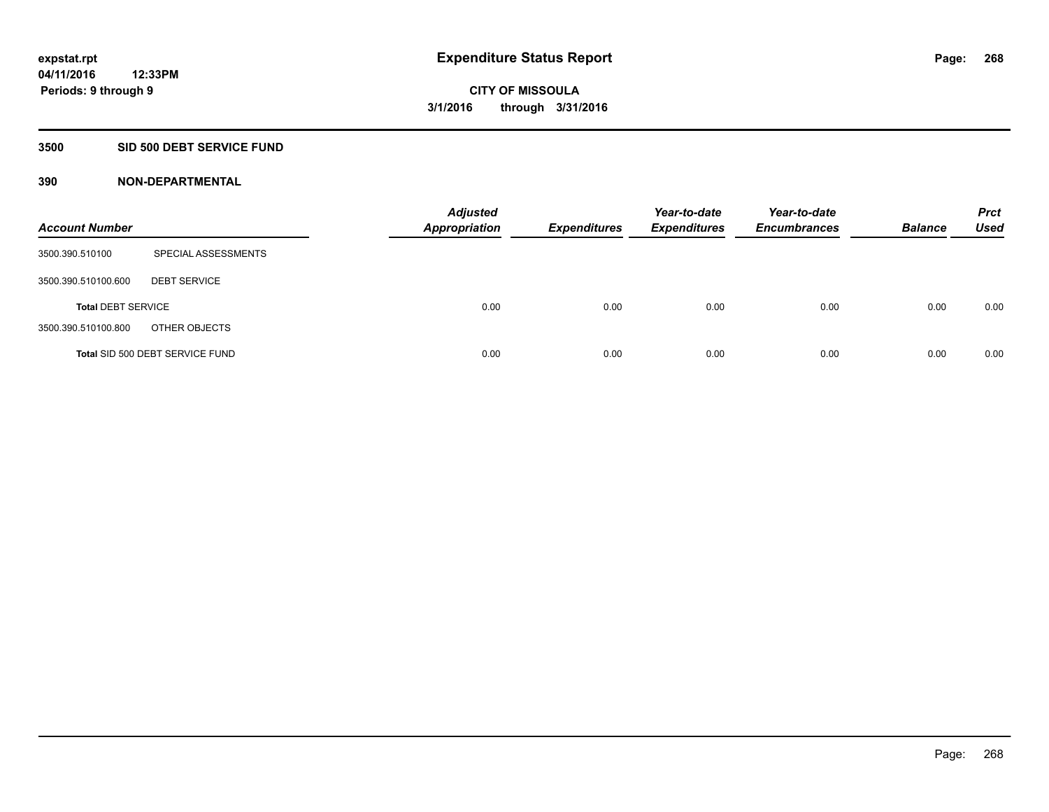# **3500 SID 500 DEBT SERVICE FUND**

| <b>Account Number</b>     |                                 | <b>Adjusted</b><br><b>Appropriation</b> | <b>Expenditures</b> | Year-to-date<br><b>Expenditures</b> | Year-to-date<br><b>Encumbrances</b> | <b>Balance</b> | <b>Prct</b><br><b>Used</b> |
|---------------------------|---------------------------------|-----------------------------------------|---------------------|-------------------------------------|-------------------------------------|----------------|----------------------------|
| 3500.390.510100           | SPECIAL ASSESSMENTS             |                                         |                     |                                     |                                     |                |                            |
| 3500.390.510100.600       | <b>DEBT SERVICE</b>             |                                         |                     |                                     |                                     |                |                            |
| <b>Total DEBT SERVICE</b> |                                 | 0.00                                    | 0.00                | 0.00                                | 0.00                                | 0.00           | 0.00                       |
| 3500.390.510100.800       | OTHER OBJECTS                   |                                         |                     |                                     |                                     |                |                            |
|                           | Total SID 500 DEBT SERVICE FUND | 0.00                                    | 0.00                | 0.00                                | 0.00                                | 0.00           | 0.00                       |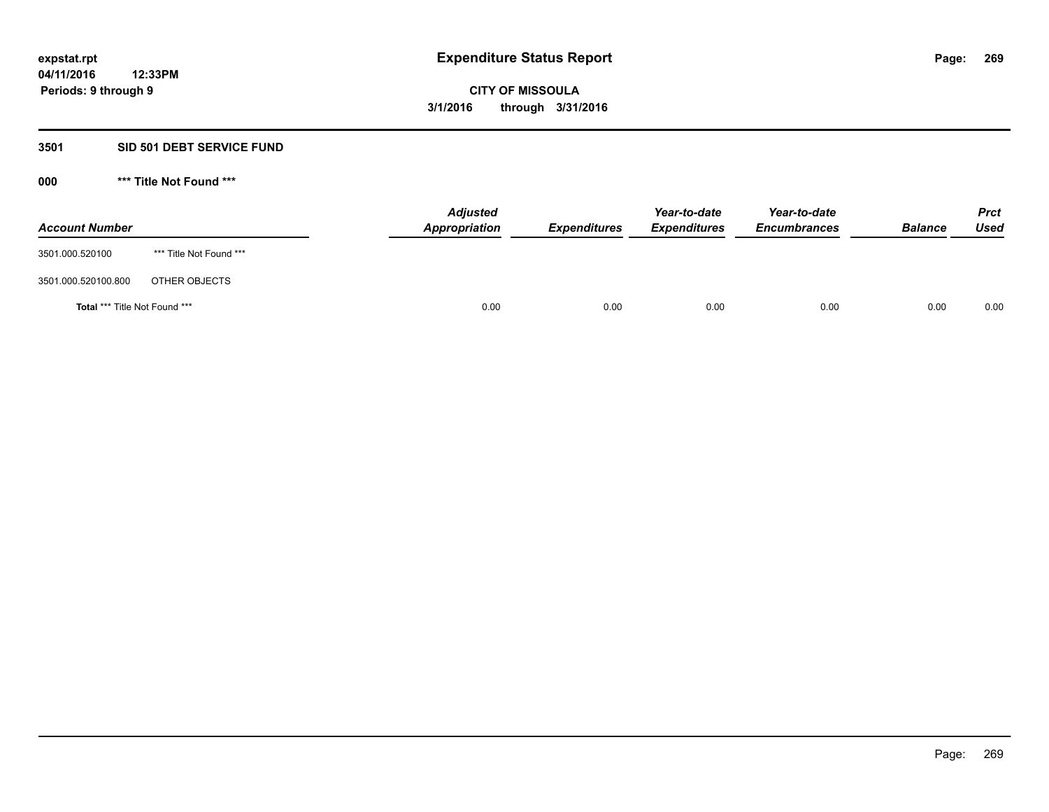# **3501 SID 501 DEBT SERVICE FUND**

| <b>Account Number</b>                |                         | <b>Adjusted</b><br>Appropriation | <b>Expenditures</b> | Year-to-date<br><b>Expenditures</b> | Year-to-date<br><b>Encumbrances</b> | <b>Balance</b> | <b>Prct</b><br>Used |
|--------------------------------------|-------------------------|----------------------------------|---------------------|-------------------------------------|-------------------------------------|----------------|---------------------|
| 3501.000.520100                      | *** Title Not Found *** |                                  |                     |                                     |                                     |                |                     |
| 3501.000.520100.800                  | OTHER OBJECTS           |                                  |                     |                                     |                                     |                |                     |
| <b>Total *** Title Not Found ***</b> |                         | 0.00                             | 0.00                | 0.00                                | 0.00                                | 0.00           | 0.00                |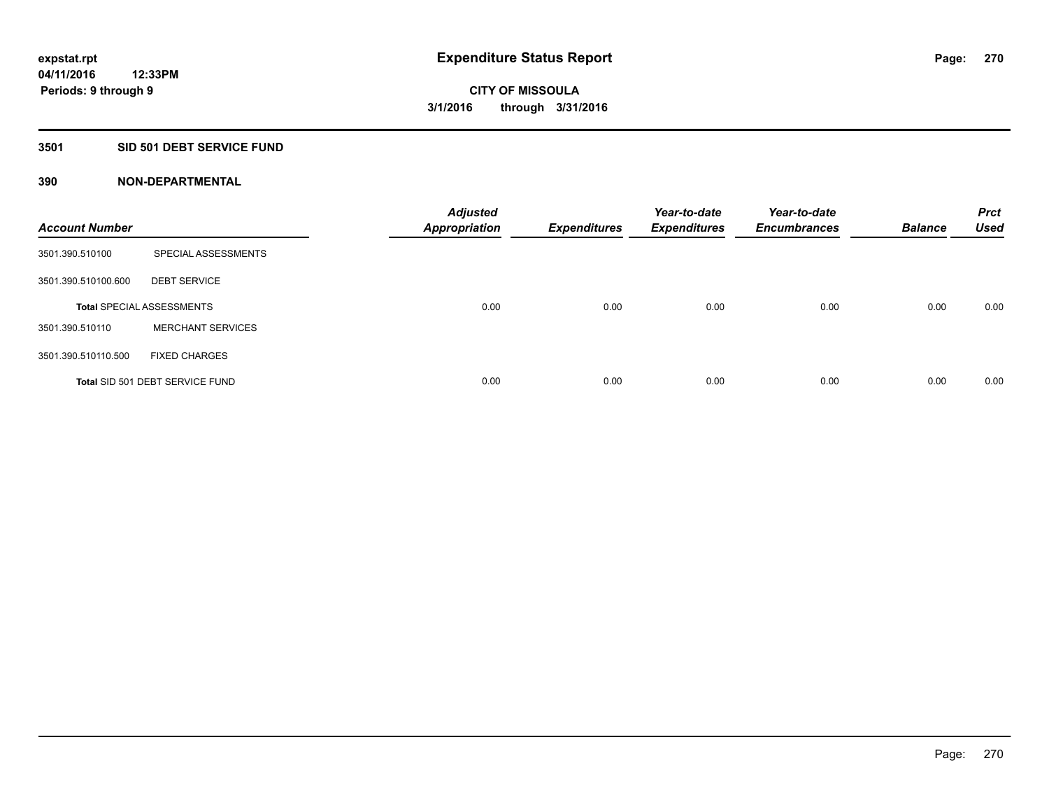### **3501 SID 501 DEBT SERVICE FUND**

| <b>Account Number</b> |                                  | <b>Adjusted</b><br><b>Appropriation</b> | <b>Expenditures</b> | Year-to-date<br><b>Expenditures</b> | Year-to-date<br><b>Encumbrances</b> | <b>Balance</b> | <b>Prct</b><br><b>Used</b> |
|-----------------------|----------------------------------|-----------------------------------------|---------------------|-------------------------------------|-------------------------------------|----------------|----------------------------|
| 3501.390.510100       | SPECIAL ASSESSMENTS              |                                         |                     |                                     |                                     |                |                            |
| 3501.390.510100.600   | <b>DEBT SERVICE</b>              |                                         |                     |                                     |                                     |                |                            |
|                       | <b>Total SPECIAL ASSESSMENTS</b> | 0.00                                    | 0.00                | 0.00                                | 0.00                                | 0.00           | 0.00                       |
| 3501.390.510110       | <b>MERCHANT SERVICES</b>         |                                         |                     |                                     |                                     |                |                            |
| 3501.390.510110.500   | <b>FIXED CHARGES</b>             |                                         |                     |                                     |                                     |                |                            |
|                       | Total SID 501 DEBT SERVICE FUND  | 0.00                                    | 0.00                | 0.00                                | 0.00                                | 0.00           | 0.00                       |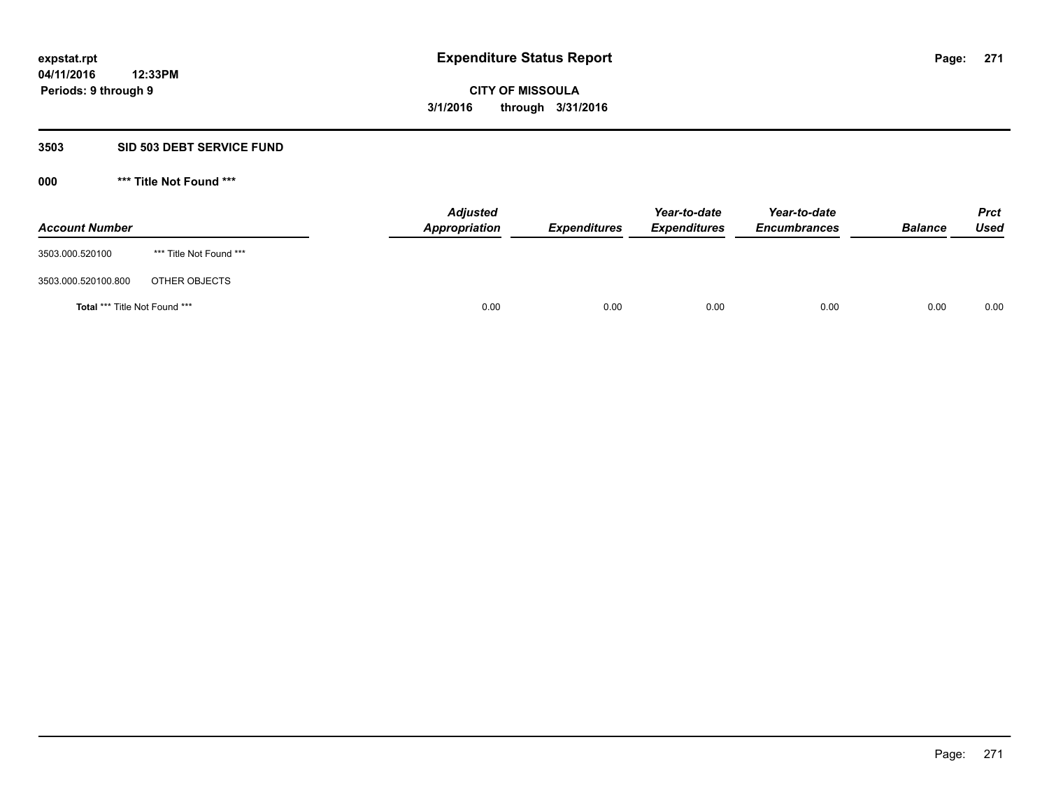### **3503 SID 503 DEBT SERVICE FUND**

| <b>Account Number</b>                |                         | <b>Adjusted</b><br><b>Appropriation</b> | <b>Expenditures</b> | Year-to-date<br><b>Expenditures</b> | Year-to-date<br><b>Encumbrances</b> | <b>Balance</b> | <b>Prct</b><br><b>Used</b> |
|--------------------------------------|-------------------------|-----------------------------------------|---------------------|-------------------------------------|-------------------------------------|----------------|----------------------------|
| 3503.000.520100                      | *** Title Not Found *** |                                         |                     |                                     |                                     |                |                            |
| 3503.000.520100.800                  | OTHER OBJECTS           |                                         |                     |                                     |                                     |                |                            |
| <b>Total *** Title Not Found ***</b> |                         | 0.00                                    | 0.00                | 0.00                                | 0.00                                | 0.00           | 0.00                       |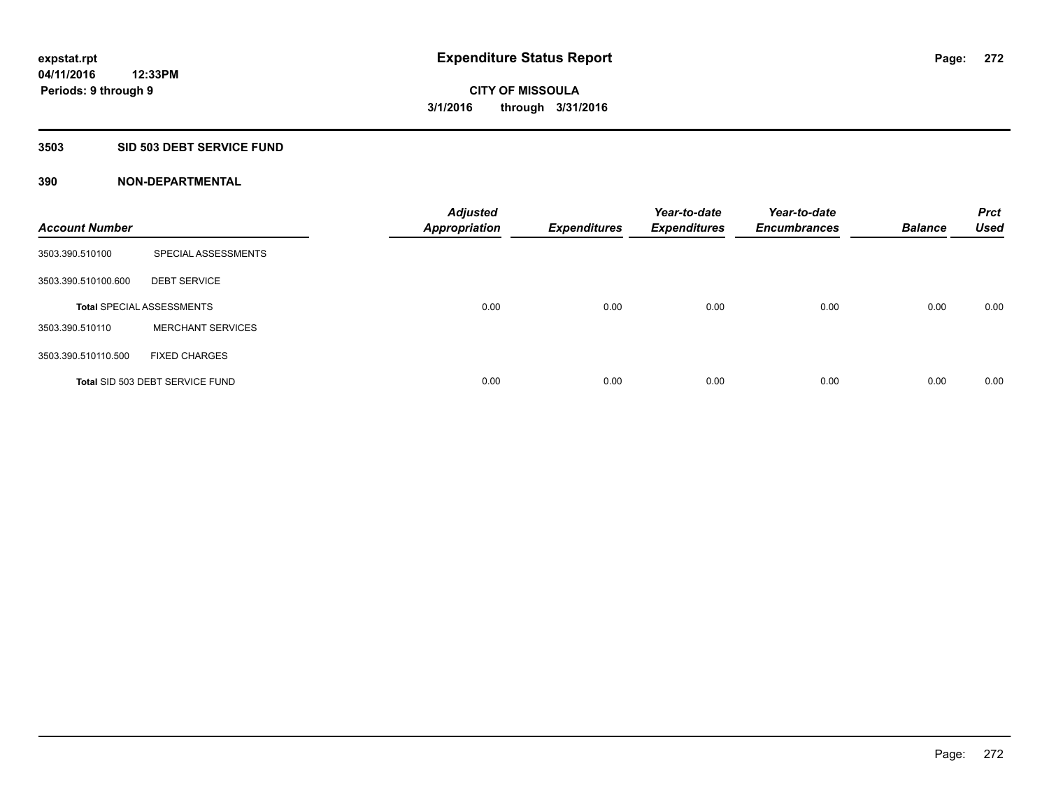### **3503 SID 503 DEBT SERVICE FUND**

| <b>Account Number</b> |                                  | <b>Adjusted</b><br><b>Appropriation</b> | <b>Expenditures</b> | Year-to-date<br><b>Expenditures</b> | Year-to-date<br><b>Encumbrances</b> | <b>Balance</b> | <b>Prct</b><br><b>Used</b> |
|-----------------------|----------------------------------|-----------------------------------------|---------------------|-------------------------------------|-------------------------------------|----------------|----------------------------|
| 3503.390.510100       | SPECIAL ASSESSMENTS              |                                         |                     |                                     |                                     |                |                            |
| 3503.390.510100.600   | <b>DEBT SERVICE</b>              |                                         |                     |                                     |                                     |                |                            |
|                       | <b>Total SPECIAL ASSESSMENTS</b> | 0.00                                    | 0.00                | 0.00                                | 0.00                                | 0.00           | 0.00                       |
| 3503.390.510110       | <b>MERCHANT SERVICES</b>         |                                         |                     |                                     |                                     |                |                            |
| 3503.390.510110.500   | <b>FIXED CHARGES</b>             |                                         |                     |                                     |                                     |                |                            |
|                       | Total SID 503 DEBT SERVICE FUND  | 0.00                                    | 0.00                | 0.00                                | 0.00                                | 0.00           | 0.00                       |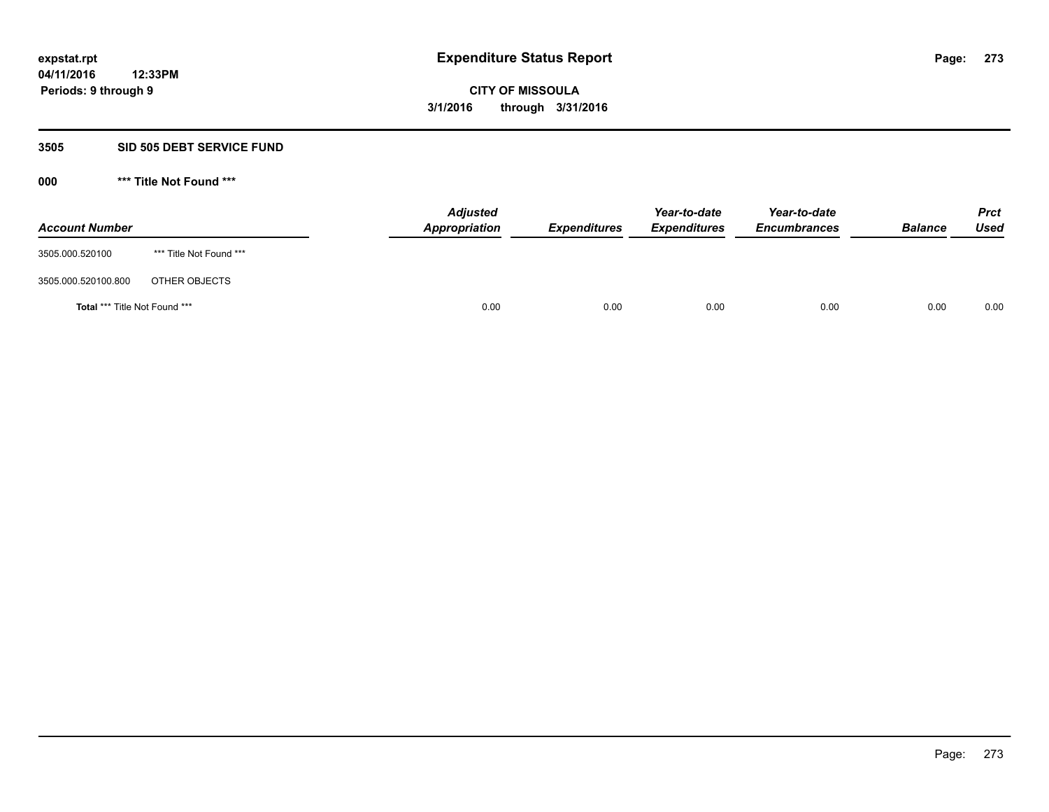### **3505 SID 505 DEBT SERVICE FUND**

| <b>Account Number</b>         |                         | <b>Adjusted</b><br>Appropriation | <b>Expenditures</b> | Year-to-date<br><b>Expenditures</b> | Year-to-date<br><b>Encumbrances</b> | <b>Balance</b> | <b>Prct</b><br>Used |
|-------------------------------|-------------------------|----------------------------------|---------------------|-------------------------------------|-------------------------------------|----------------|---------------------|
| 3505.000.520100               | *** Title Not Found *** |                                  |                     |                                     |                                     |                |                     |
| 3505.000.520100.800           | OTHER OBJECTS           |                                  |                     |                                     |                                     |                |                     |
| Total *** Title Not Found *** |                         | 0.00                             | 0.00                | 0.00                                | 0.00                                | 0.00           | 0.00                |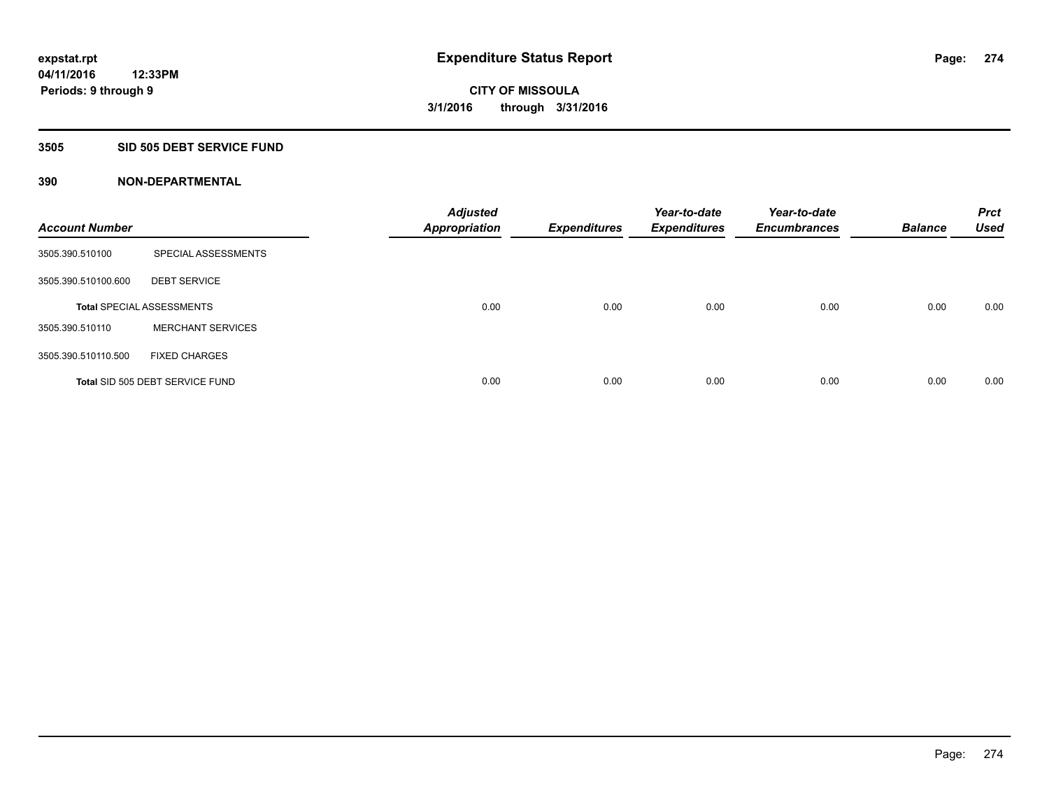### **3505 SID 505 DEBT SERVICE FUND**

| <b>Account Number</b> |                                  | <b>Adjusted</b><br><b>Appropriation</b> | <b>Expenditures</b> | Year-to-date<br><b>Expenditures</b> | Year-to-date<br><b>Encumbrances</b> | <b>Balance</b> | <b>Prct</b><br><b>Used</b> |
|-----------------------|----------------------------------|-----------------------------------------|---------------------|-------------------------------------|-------------------------------------|----------------|----------------------------|
| 3505.390.510100       | SPECIAL ASSESSMENTS              |                                         |                     |                                     |                                     |                |                            |
| 3505.390.510100.600   | <b>DEBT SERVICE</b>              |                                         |                     |                                     |                                     |                |                            |
|                       | <b>Total SPECIAL ASSESSMENTS</b> | 0.00                                    | 0.00                | 0.00                                | 0.00                                | 0.00           | 0.00                       |
| 3505.390.510110       | <b>MERCHANT SERVICES</b>         |                                         |                     |                                     |                                     |                |                            |
| 3505.390.510110.500   | <b>FIXED CHARGES</b>             |                                         |                     |                                     |                                     |                |                            |
|                       | Total SID 505 DEBT SERVICE FUND  | 0.00                                    | 0.00                | 0.00                                | 0.00                                | 0.00           | 0.00                       |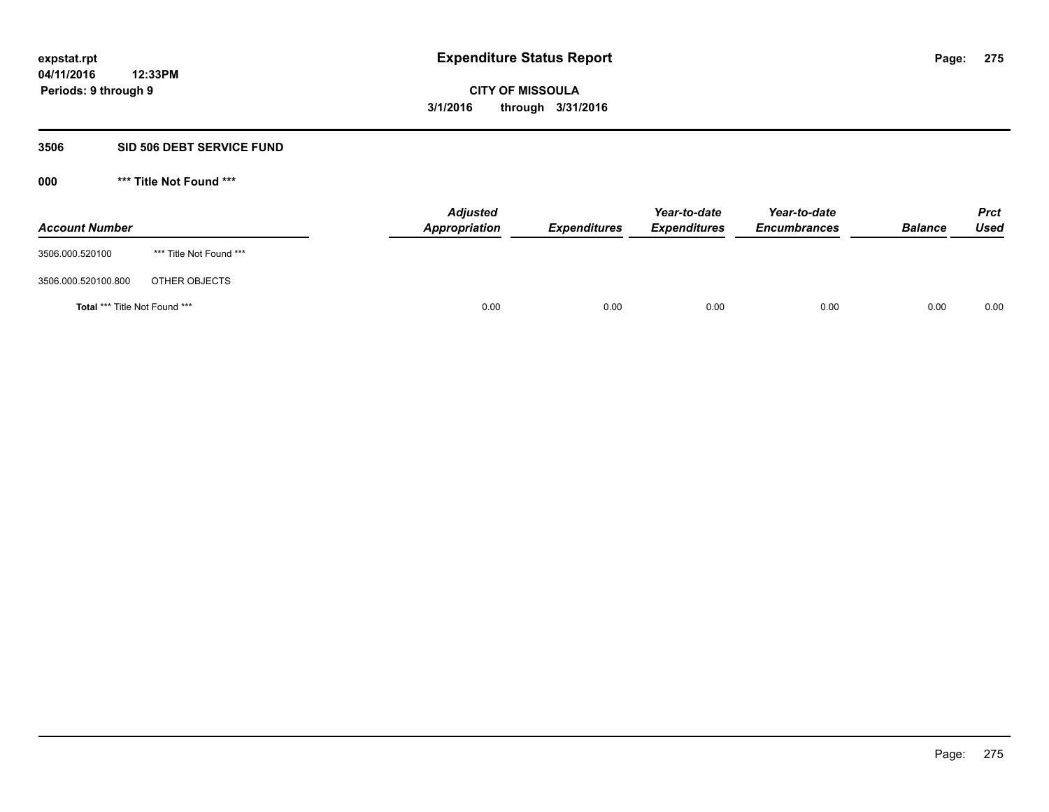#### **3506 SID 506 DEBT SERVICE FUND**

| <b>Account Number</b>                |                         | <b>Adjusted</b><br>Appropriation | <b>Expenditures</b> | Year-to-date<br><b>Expenditures</b> | Year-to-date<br><b>Encumbrances</b> | <b>Balance</b> | <b>Prct</b><br>Used |
|--------------------------------------|-------------------------|----------------------------------|---------------------|-------------------------------------|-------------------------------------|----------------|---------------------|
| 3506.000.520100                      | *** Title Not Found *** |                                  |                     |                                     |                                     |                |                     |
| 3506.000.520100.800                  | OTHER OBJECTS           |                                  |                     |                                     |                                     |                |                     |
| <b>Total *** Title Not Found ***</b> |                         |                                  | 0.00<br>0.00        | 0.00                                | 0.00                                | 0.00           | 0.00                |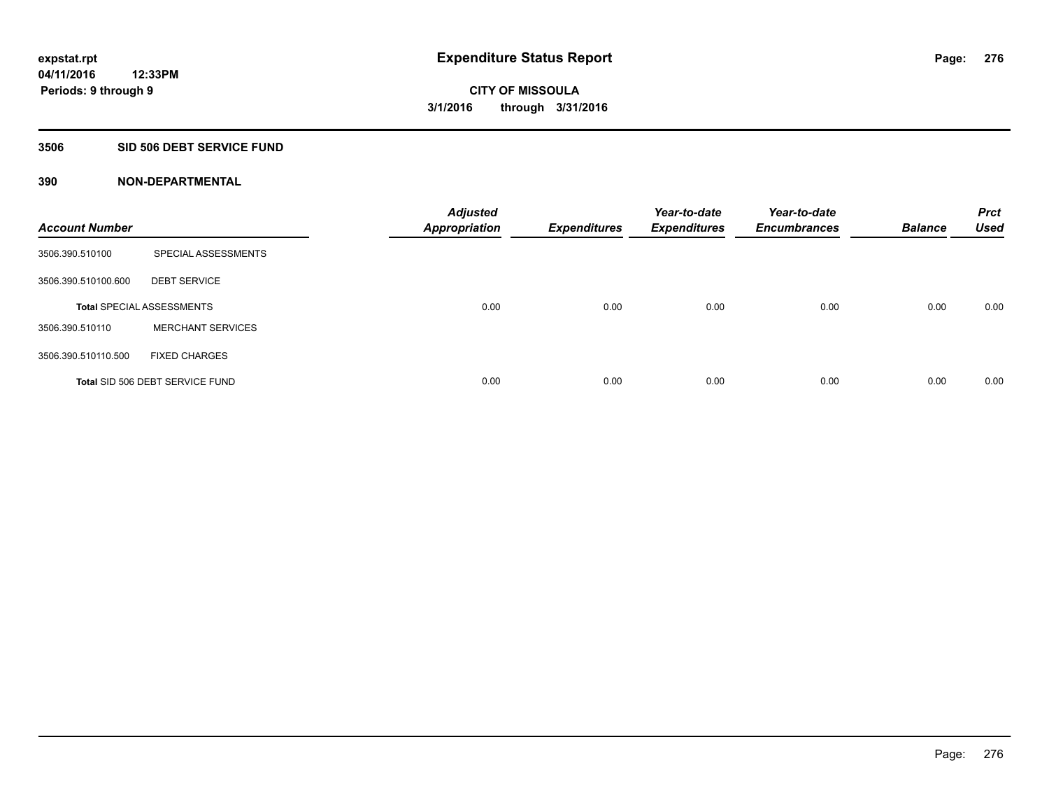#### **3506 SID 506 DEBT SERVICE FUND**

| <b>Account Number</b> |                                  | <b>Adjusted</b><br><b>Appropriation</b> | <b>Expenditures</b> | Year-to-date<br><b>Expenditures</b> | Year-to-date<br><b>Encumbrances</b> | <b>Balance</b> | <b>Prct</b><br><b>Used</b> |
|-----------------------|----------------------------------|-----------------------------------------|---------------------|-------------------------------------|-------------------------------------|----------------|----------------------------|
| 3506.390.510100       | SPECIAL ASSESSMENTS              |                                         |                     |                                     |                                     |                |                            |
| 3506.390.510100.600   | <b>DEBT SERVICE</b>              |                                         |                     |                                     |                                     |                |                            |
|                       | <b>Total SPECIAL ASSESSMENTS</b> | 0.00                                    | 0.00                | 0.00                                | 0.00                                | 0.00           | 0.00                       |
| 3506.390.510110       | <b>MERCHANT SERVICES</b>         |                                         |                     |                                     |                                     |                |                            |
| 3506.390.510110.500   | <b>FIXED CHARGES</b>             |                                         |                     |                                     |                                     |                |                            |
|                       | Total SID 506 DEBT SERVICE FUND  | 0.00                                    | 0.00                | 0.00                                | 0.00                                | 0.00           | 0.00                       |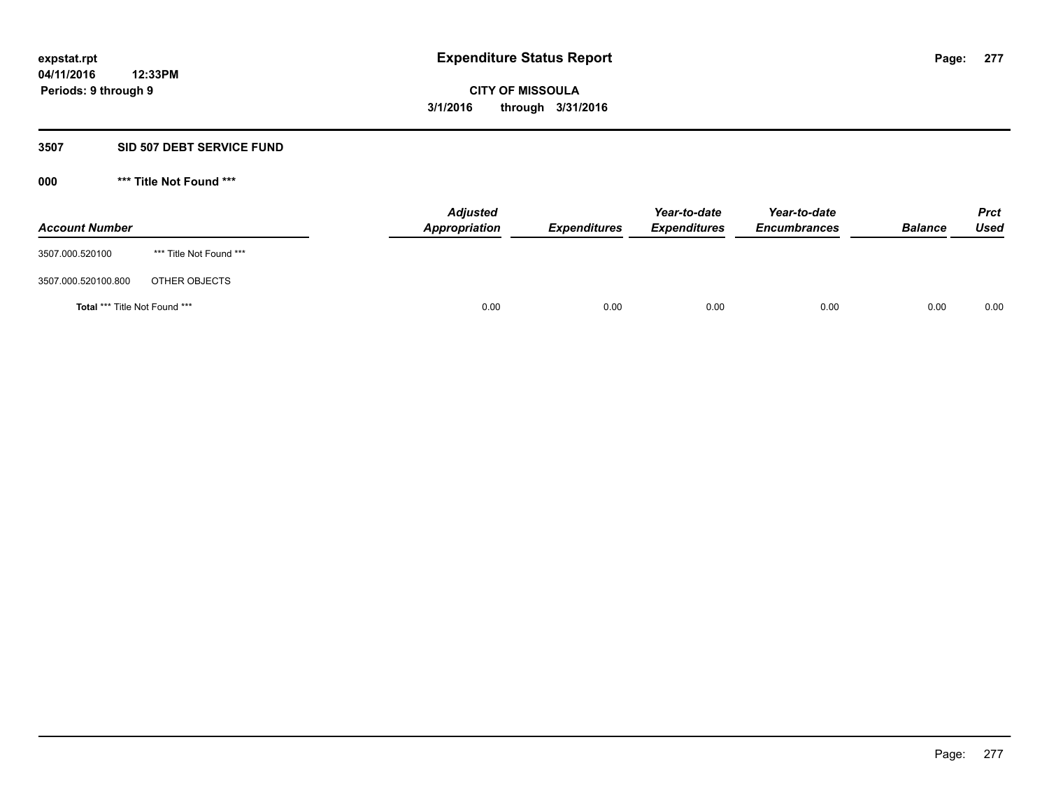### **3507 SID 507 DEBT SERVICE FUND**

| <b>Account Number</b>                |                         | <b>Adjusted</b><br><b>Appropriation</b> | <b>Expenditures</b> | Year-to-date<br><b>Expenditures</b> | Year-to-date<br><b>Encumbrances</b> | <b>Balance</b> | <b>Prct</b><br><b>Used</b> |
|--------------------------------------|-------------------------|-----------------------------------------|---------------------|-------------------------------------|-------------------------------------|----------------|----------------------------|
| 3507.000.520100                      | *** Title Not Found *** |                                         |                     |                                     |                                     |                |                            |
| 3507.000.520100.800                  | OTHER OBJECTS           |                                         |                     |                                     |                                     |                |                            |
| <b>Total *** Title Not Found ***</b> |                         | 0.00                                    | 0.00                | 0.00                                | 0.00                                | 0.00           | 0.00                       |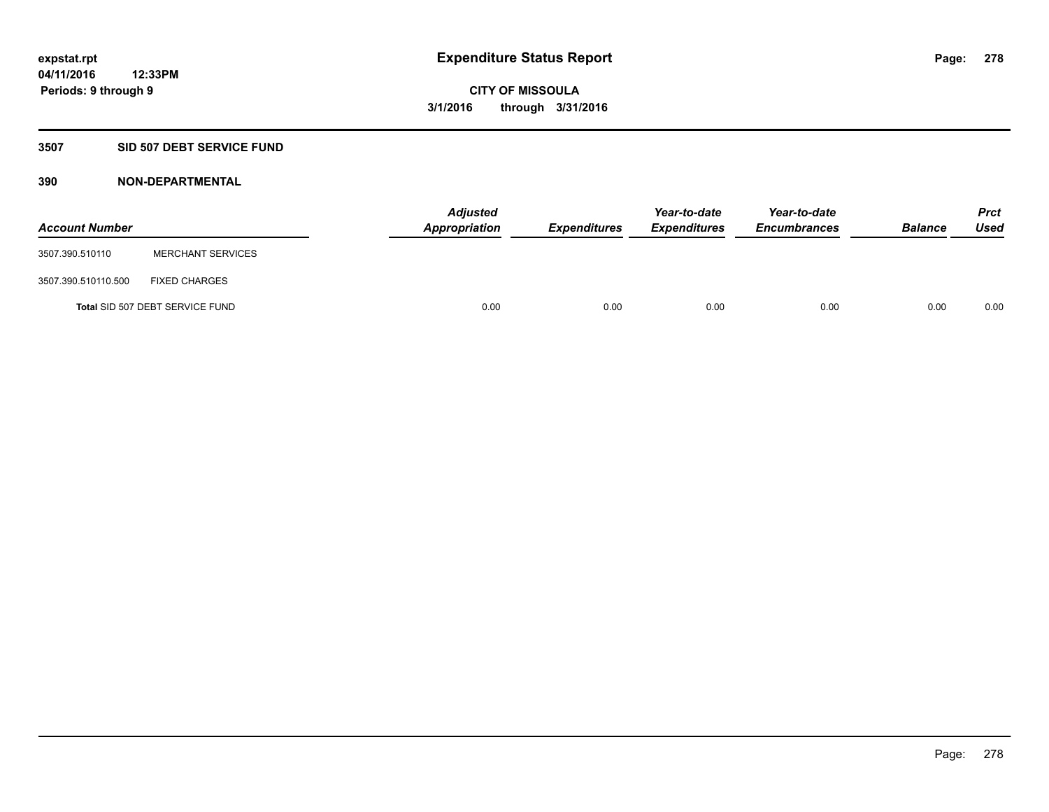# **3507 SID 507 DEBT SERVICE FUND**

| <b>Account Number</b> |                                 | <b>Adjusted</b><br>Appropriation | <b>Expenditures</b> | Year-to-date<br><b>Expenditures</b> | Year-to-date<br><b>Encumbrances</b> | <b>Balance</b> | <b>Prct</b><br><b>Used</b> |
|-----------------------|---------------------------------|----------------------------------|---------------------|-------------------------------------|-------------------------------------|----------------|----------------------------|
| 3507.390.510110       | <b>MERCHANT SERVICES</b>        |                                  |                     |                                     |                                     |                |                            |
| 3507.390.510110.500   | <b>FIXED CHARGES</b>            |                                  |                     |                                     |                                     |                |                            |
|                       | Total SID 507 DEBT SERVICE FUND | 0.00                             | 0.00                | 0.00                                | 0.00                                | 0.00           | 0.00                       |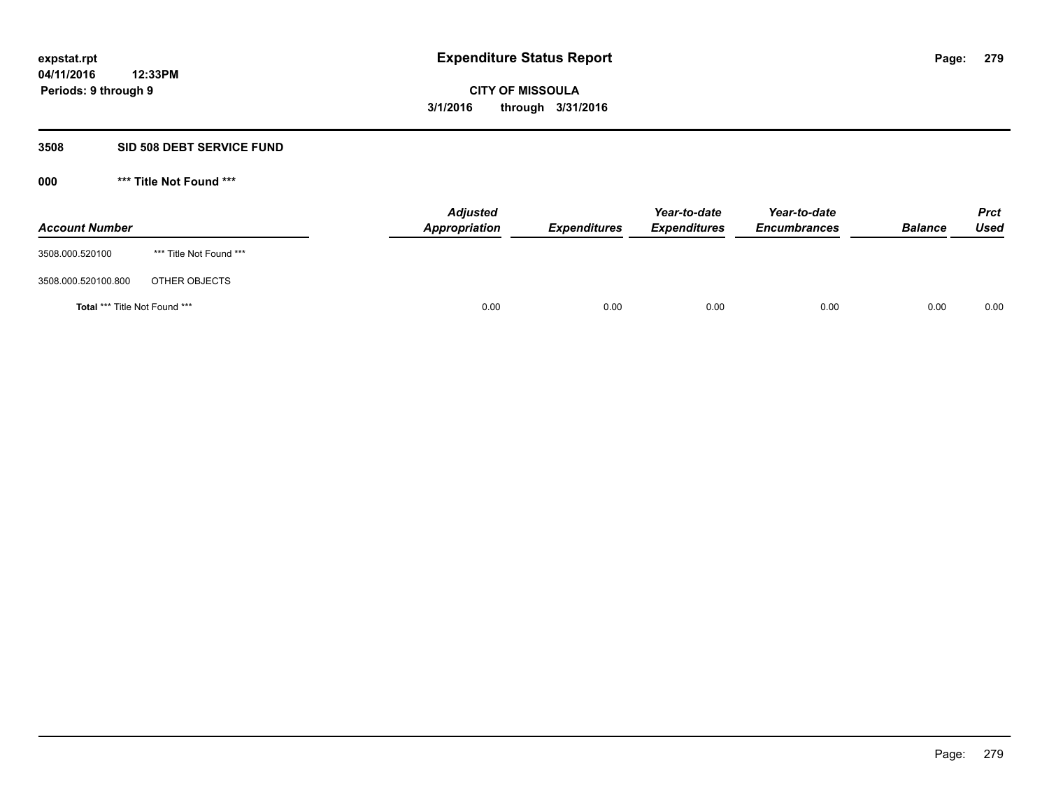#### **3508 SID 508 DEBT SERVICE FUND**

| <b>Account Number</b>                |                         | <b>Adjusted</b><br><b>Appropriation</b> | <b>Expenditures</b> | Year-to-date<br><b>Expenditures</b> | Year-to-date<br><b>Encumbrances</b> | <b>Balance</b> | <b>Prct</b><br><b>Used</b> |
|--------------------------------------|-------------------------|-----------------------------------------|---------------------|-------------------------------------|-------------------------------------|----------------|----------------------------|
| 3508.000.520100                      | *** Title Not Found *** |                                         |                     |                                     |                                     |                |                            |
| 3508.000.520100.800                  | OTHER OBJECTS           |                                         |                     |                                     |                                     |                |                            |
| <b>Total *** Title Not Found ***</b> |                         | 0.00                                    | 0.00                | 0.00                                | 0.00                                | 0.00           | 0.00                       |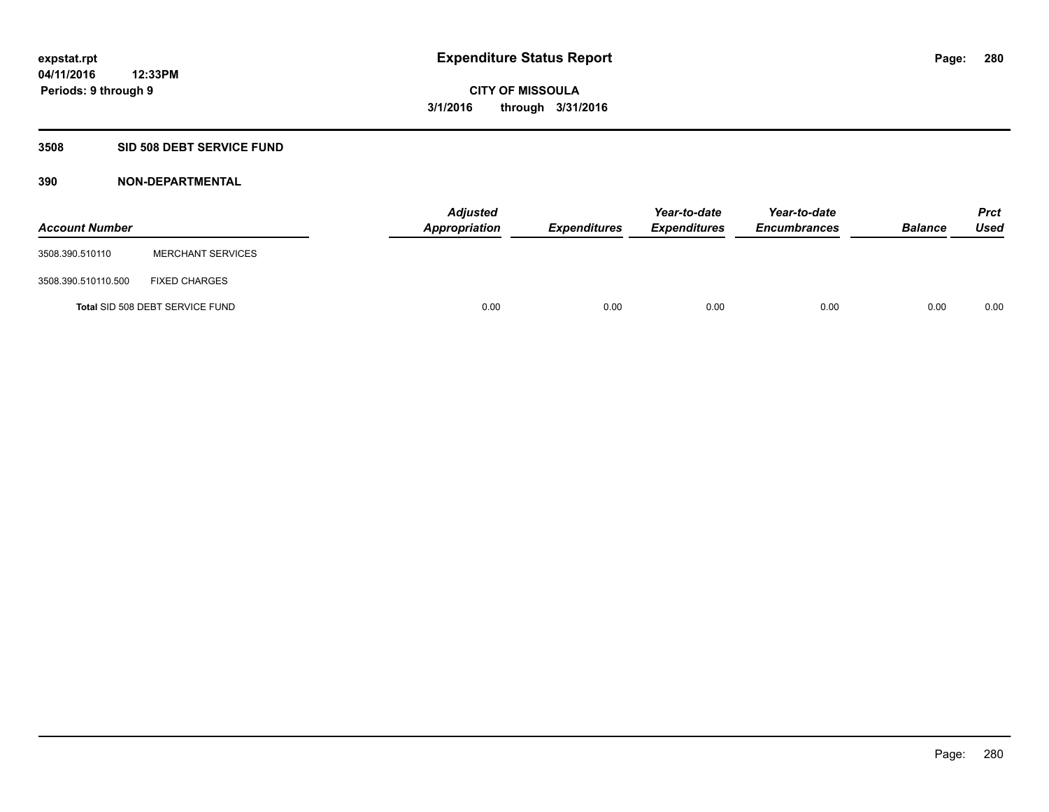# **3508 SID 508 DEBT SERVICE FUND**

| <b>Account Number</b> |                                 | <b>Adjusted</b><br><b>Appropriation</b> | <b>Expenditures</b> | Year-to-date<br><b>Expenditures</b> | Year-to-date<br><b>Encumbrances</b> | <b>Balance</b> | <b>Prct</b><br><b>Used</b> |
|-----------------------|---------------------------------|-----------------------------------------|---------------------|-------------------------------------|-------------------------------------|----------------|----------------------------|
| 3508.390.510110       | <b>MERCHANT SERVICES</b>        |                                         |                     |                                     |                                     |                |                            |
| 3508.390.510110.500   | <b>FIXED CHARGES</b>            |                                         |                     |                                     |                                     |                |                            |
|                       | Total SID 508 DEBT SERVICE FUND | 0.00                                    | 0.00                | 0.00                                | 0.00                                | 0.00           | 0.00                       |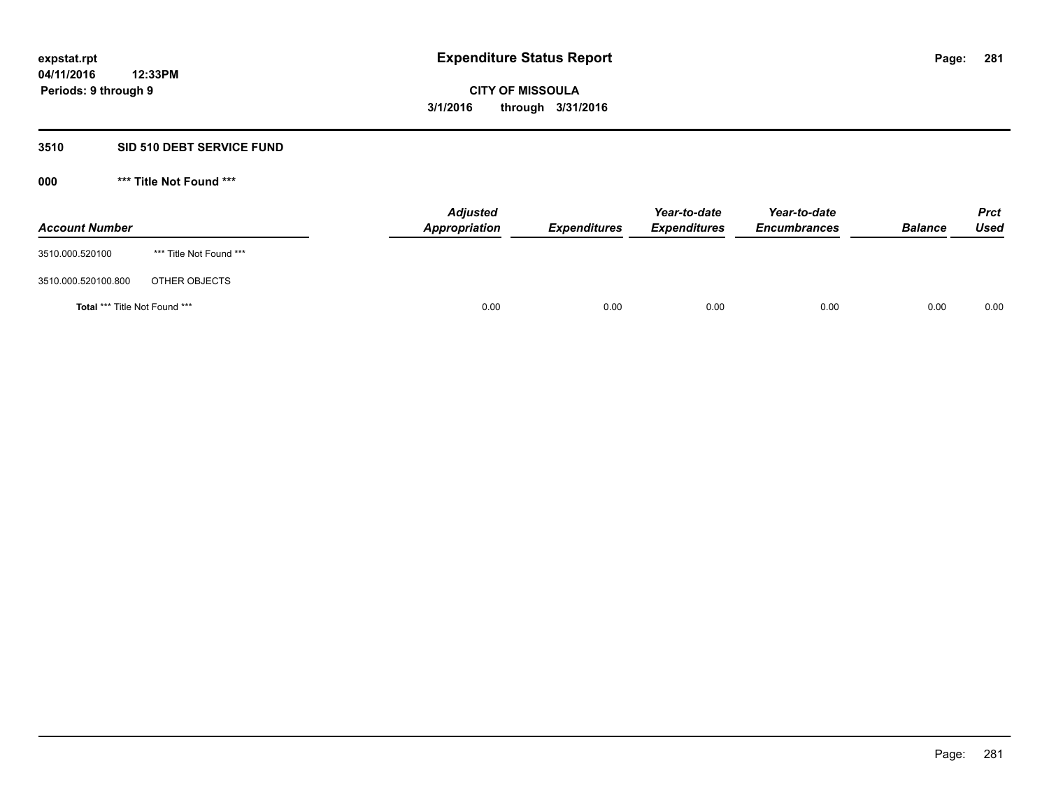### **3510 SID 510 DEBT SERVICE FUND**

| <b>Account Number</b>         |                         | <b>Adjusted</b><br>Appropriation | <b>Expenditures</b> | Year-to-date<br><b>Expenditures</b> | Year-to-date<br><b>Encumbrances</b> | <b>Balance</b> | <b>Prct</b><br>Used |
|-------------------------------|-------------------------|----------------------------------|---------------------|-------------------------------------|-------------------------------------|----------------|---------------------|
| 3510.000.520100               | *** Title Not Found *** |                                  |                     |                                     |                                     |                |                     |
| 3510.000.520100.800           | OTHER OBJECTS           |                                  |                     |                                     |                                     |                |                     |
| Total *** Title Not Found *** |                         | 0.00                             | 0.00                | 0.00                                | 0.00                                | 0.00           | 0.00                |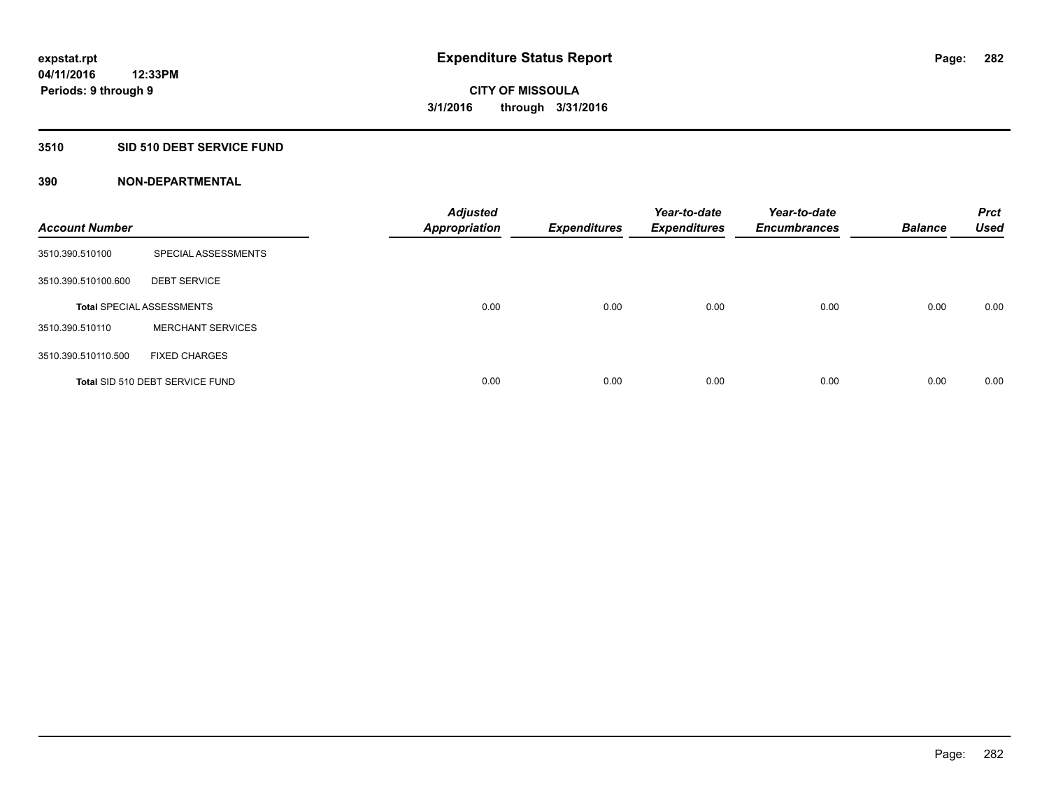# **3510 SID 510 DEBT SERVICE FUND**

| <b>Account Number</b> |                                  | <b>Adjusted</b><br><b>Appropriation</b> | <b>Expenditures</b> | Year-to-date<br><b>Expenditures</b> | Year-to-date<br><b>Encumbrances</b> | <b>Balance</b> | <b>Prct</b><br><b>Used</b> |
|-----------------------|----------------------------------|-----------------------------------------|---------------------|-------------------------------------|-------------------------------------|----------------|----------------------------|
| 3510.390.510100       | SPECIAL ASSESSMENTS              |                                         |                     |                                     |                                     |                |                            |
| 3510.390.510100.600   | <b>DEBT SERVICE</b>              |                                         |                     |                                     |                                     |                |                            |
|                       | <b>Total SPECIAL ASSESSMENTS</b> | 0.00                                    | 0.00                | 0.00                                | 0.00                                | 0.00           | 0.00                       |
| 3510.390.510110       | <b>MERCHANT SERVICES</b>         |                                         |                     |                                     |                                     |                |                            |
| 3510.390.510110.500   | <b>FIXED CHARGES</b>             |                                         |                     |                                     |                                     |                |                            |
|                       | Total SID 510 DEBT SERVICE FUND  | 0.00                                    | 0.00                | 0.00                                | 0.00                                | 0.00           | 0.00                       |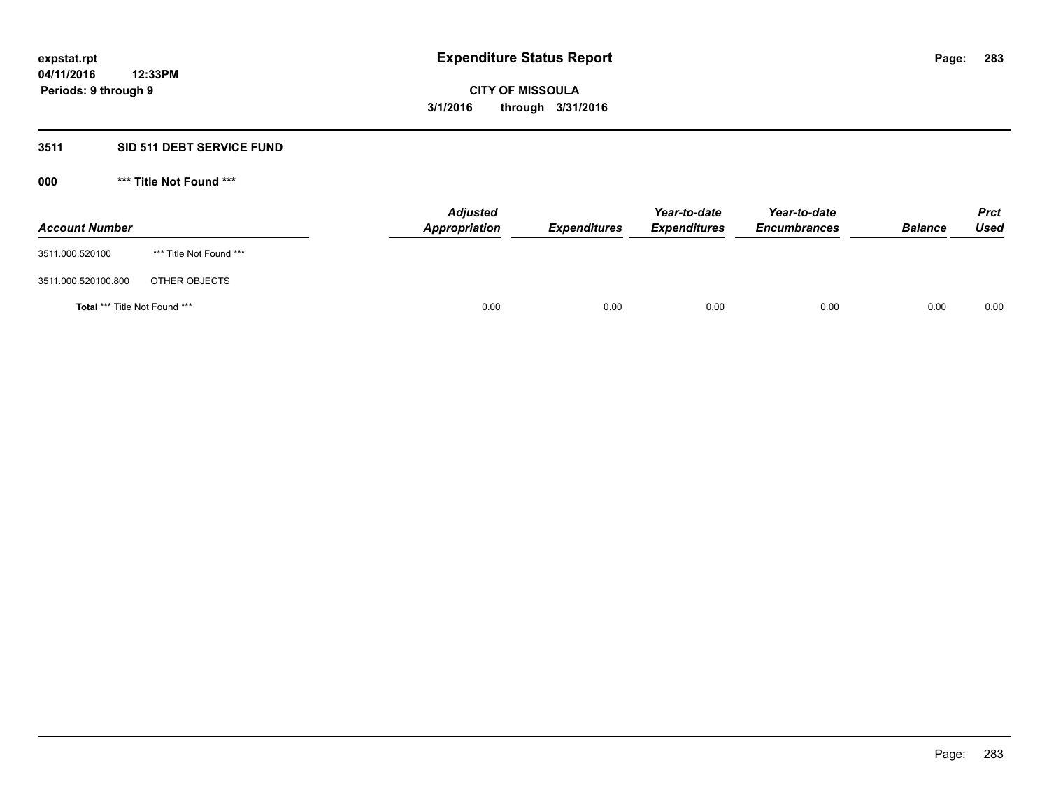# **3511 SID 511 DEBT SERVICE FUND**

| <b>Account Number</b>                |                         | <b>Adjusted</b><br>Appropriation | <b>Expenditures</b> | Year-to-date<br><b>Expenditures</b> | Year-to-date<br><b>Encumbrances</b> | <b>Balance</b> | <b>Prct</b><br>Used |
|--------------------------------------|-------------------------|----------------------------------|---------------------|-------------------------------------|-------------------------------------|----------------|---------------------|
| 3511.000.520100                      | *** Title Not Found *** |                                  |                     |                                     |                                     |                |                     |
| 3511.000.520100.800                  | OTHER OBJECTS           |                                  |                     |                                     |                                     |                |                     |
| <b>Total *** Title Not Found ***</b> |                         | 0.00                             | 0.00                | 0.00                                | 0.00                                | 0.00           | 0.00                |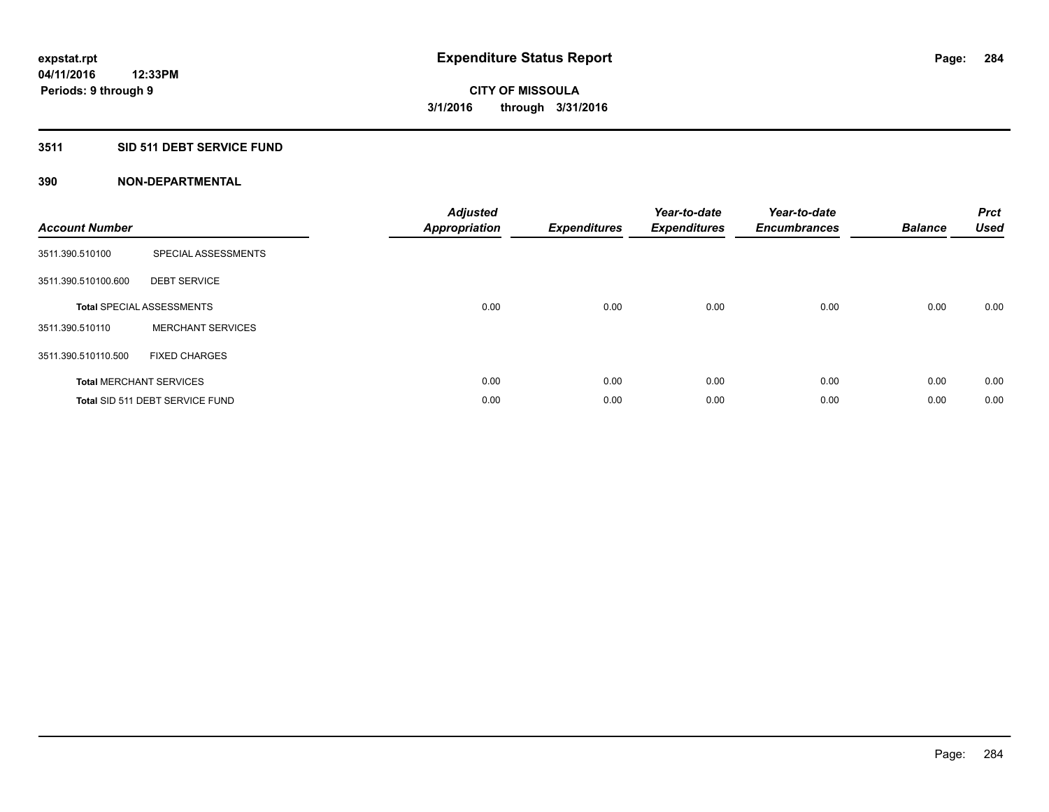# **3511 SID 511 DEBT SERVICE FUND**

| <b>Account Number</b> |                                  | <b>Adjusted</b><br>Appropriation | <b>Expenditures</b> | Year-to-date<br><b>Expenditures</b> | Year-to-date<br><b>Encumbrances</b> | <b>Balance</b> | <b>Prct</b><br><b>Used</b> |
|-----------------------|----------------------------------|----------------------------------|---------------------|-------------------------------------|-------------------------------------|----------------|----------------------------|
| 3511.390.510100       | SPECIAL ASSESSMENTS              |                                  |                     |                                     |                                     |                |                            |
| 3511.390.510100.600   | <b>DEBT SERVICE</b>              |                                  |                     |                                     |                                     |                |                            |
|                       | <b>Total SPECIAL ASSESSMENTS</b> | 0.00                             | 0.00                | 0.00                                | 0.00                                | 0.00           | 0.00                       |
| 3511.390.510110       | <b>MERCHANT SERVICES</b>         |                                  |                     |                                     |                                     |                |                            |
| 3511.390.510110.500   | <b>FIXED CHARGES</b>             |                                  |                     |                                     |                                     |                |                            |
|                       | <b>Total MERCHANT SERVICES</b>   | 0.00                             | 0.00                | 0.00                                | 0.00                                | 0.00           | 0.00                       |
|                       | Total SID 511 DEBT SERVICE FUND  | 0.00                             | 0.00                | 0.00                                | 0.00                                | 0.00           | 0.00                       |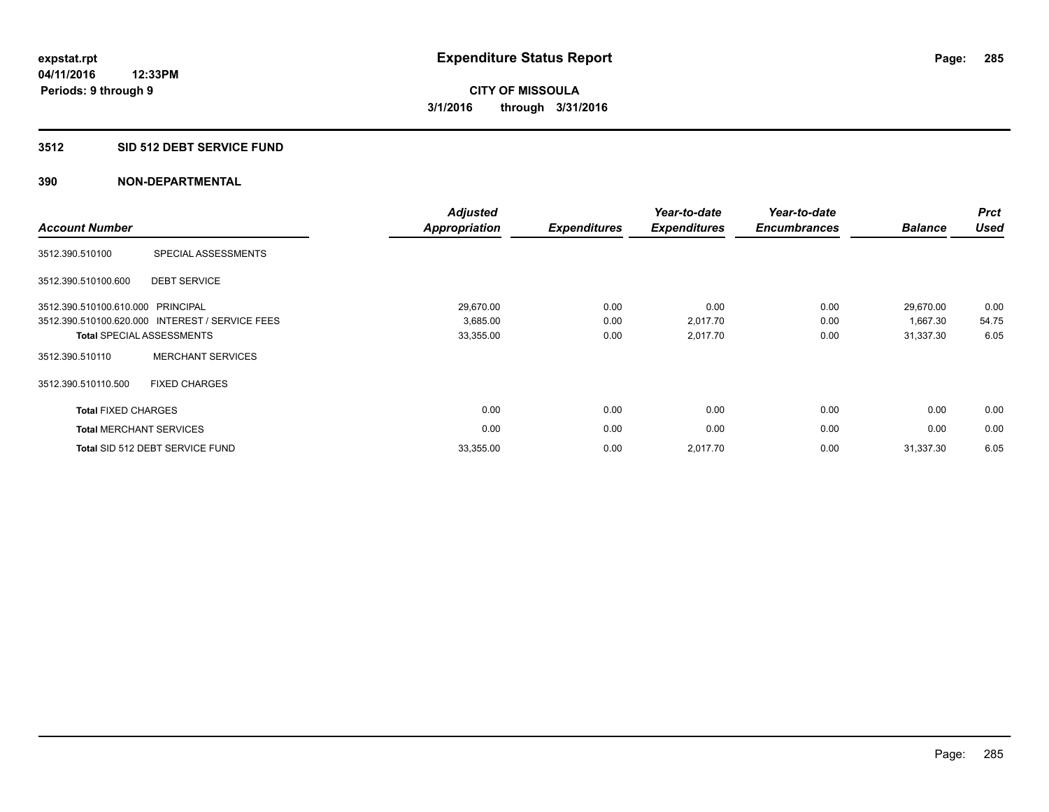# **3512 SID 512 DEBT SERVICE FUND**

| <b>Account Number</b>             |                                                 | <b>Adjusted</b><br><b>Appropriation</b> | <b>Expenditures</b> | Year-to-date<br><b>Expenditures</b> | Year-to-date<br><b>Encumbrances</b> | <b>Balance</b> | <b>Prct</b><br><b>Used</b> |
|-----------------------------------|-------------------------------------------------|-----------------------------------------|---------------------|-------------------------------------|-------------------------------------|----------------|----------------------------|
| 3512.390.510100                   | SPECIAL ASSESSMENTS                             |                                         |                     |                                     |                                     |                |                            |
| 3512.390.510100.600               | <b>DEBT SERVICE</b>                             |                                         |                     |                                     |                                     |                |                            |
| 3512.390.510100.610.000 PRINCIPAL |                                                 | 29,670.00                               | 0.00                | 0.00                                | 0.00                                | 29,670.00      | 0.00                       |
|                                   | 3512.390.510100.620.000 INTEREST / SERVICE FEES | 3,685.00                                | 0.00                | 2,017.70                            | 0.00                                | 1,667.30       | 54.75                      |
|                                   | <b>Total SPECIAL ASSESSMENTS</b>                | 33,355.00                               | 0.00                | 2,017.70                            | 0.00                                | 31,337.30      | 6.05                       |
| 3512.390.510110                   | <b>MERCHANT SERVICES</b>                        |                                         |                     |                                     |                                     |                |                            |
| 3512.390.510110.500               | <b>FIXED CHARGES</b>                            |                                         |                     |                                     |                                     |                |                            |
| <b>Total FIXED CHARGES</b>        |                                                 | 0.00                                    | 0.00                | 0.00                                | 0.00                                | 0.00           | 0.00                       |
| <b>Total MERCHANT SERVICES</b>    |                                                 | 0.00                                    | 0.00                | 0.00                                | 0.00                                | 0.00           | 0.00                       |
|                                   | Total SID 512 DEBT SERVICE FUND                 | 33,355.00                               | 0.00                | 2,017.70                            | 0.00                                | 31,337.30      | 6.05                       |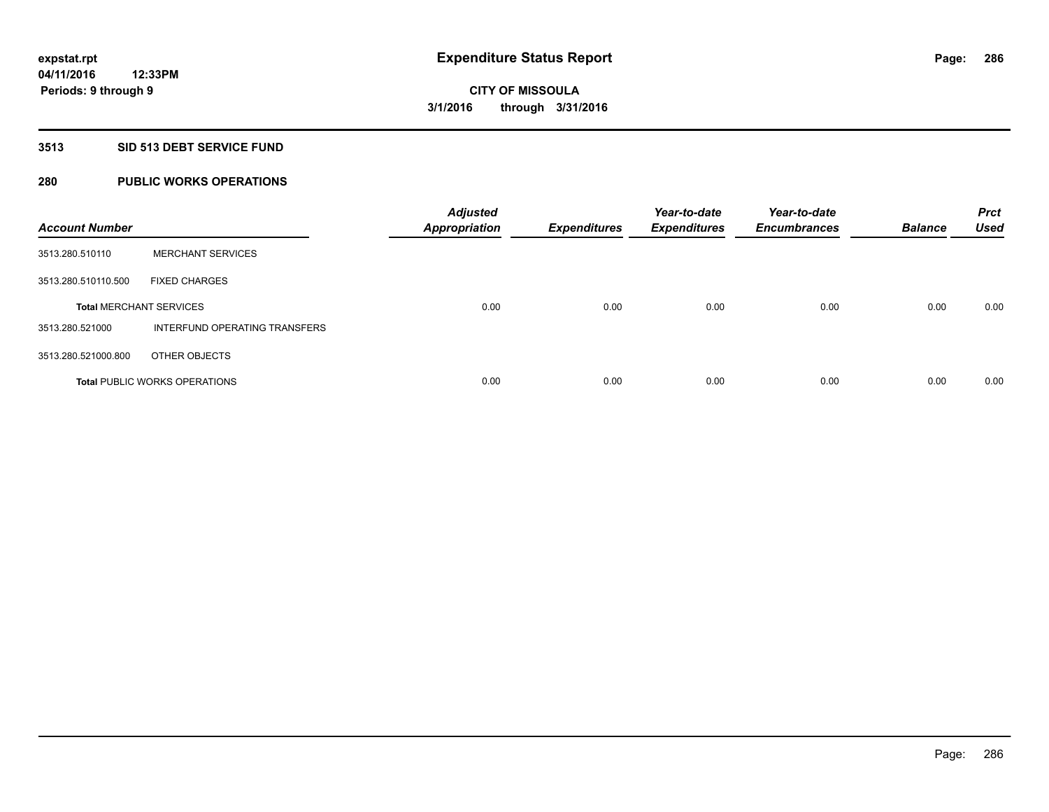# **3513 SID 513 DEBT SERVICE FUND**

# **280 PUBLIC WORKS OPERATIONS**

| <b>Account Number</b>          |                                      | <b>Adjusted</b><br><b>Appropriation</b> | <b>Expenditures</b> | Year-to-date<br><b>Expenditures</b> | Year-to-date<br><b>Encumbrances</b> | <b>Balance</b> | <b>Prct</b><br><b>Used</b> |
|--------------------------------|--------------------------------------|-----------------------------------------|---------------------|-------------------------------------|-------------------------------------|----------------|----------------------------|
| 3513.280.510110                | <b>MERCHANT SERVICES</b>             |                                         |                     |                                     |                                     |                |                            |
| 3513.280.510110.500            | <b>FIXED CHARGES</b>                 |                                         |                     |                                     |                                     |                |                            |
| <b>Total MERCHANT SERVICES</b> |                                      | 0.00                                    | 0.00                | 0.00                                | 0.00                                | 0.00           | 0.00                       |
| 3513.280.521000                | INTERFUND OPERATING TRANSFERS        |                                         |                     |                                     |                                     |                |                            |
| 3513.280.521000.800            | OTHER OBJECTS                        |                                         |                     |                                     |                                     |                |                            |
|                                | <b>Total PUBLIC WORKS OPERATIONS</b> | 0.00                                    | 0.00                | 0.00                                | 0.00                                | 0.00           | 0.00                       |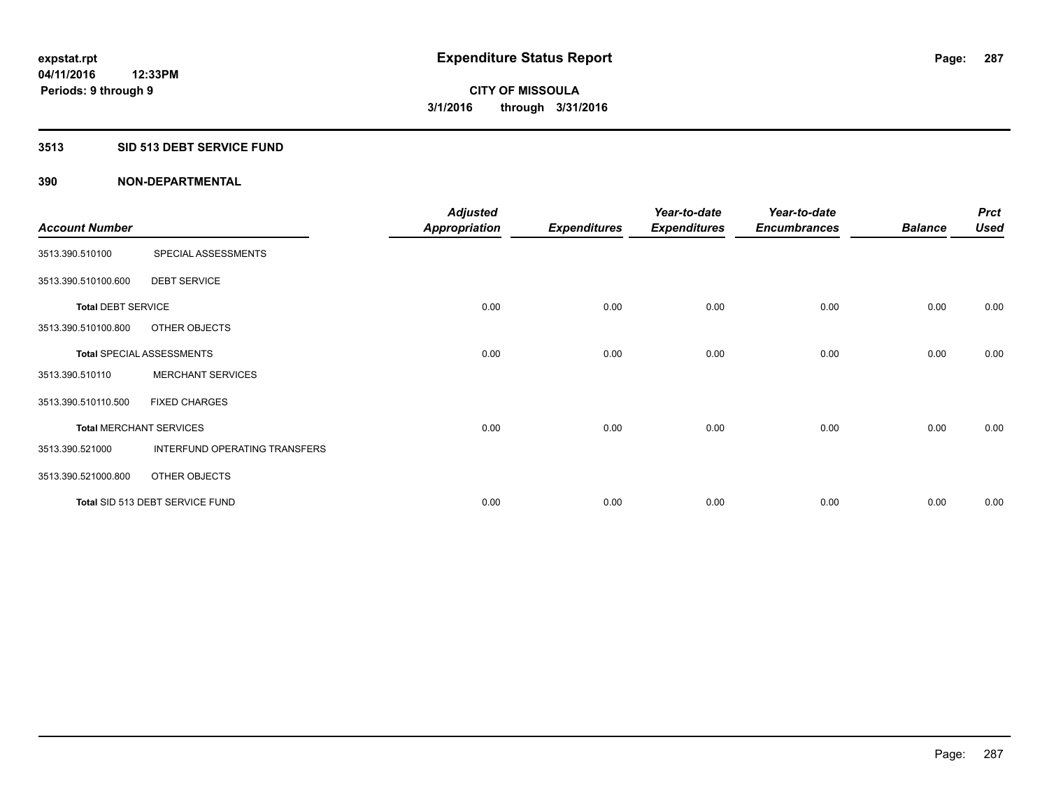### **3513 SID 513 DEBT SERVICE FUND**

| <b>Account Number</b>     |                                  | <b>Adjusted</b><br><b>Appropriation</b> | <b>Expenditures</b> | Year-to-date<br><b>Expenditures</b> | Year-to-date<br><b>Encumbrances</b> | <b>Balance</b> | <b>Prct</b><br><b>Used</b> |
|---------------------------|----------------------------------|-----------------------------------------|---------------------|-------------------------------------|-------------------------------------|----------------|----------------------------|
| 3513.390.510100           | SPECIAL ASSESSMENTS              |                                         |                     |                                     |                                     |                |                            |
| 3513.390.510100.600       | <b>DEBT SERVICE</b>              |                                         |                     |                                     |                                     |                |                            |
| <b>Total DEBT SERVICE</b> |                                  | 0.00                                    | 0.00                | 0.00                                | 0.00                                | 0.00           | 0.00                       |
| 3513.390.510100.800       | OTHER OBJECTS                    |                                         |                     |                                     |                                     |                |                            |
|                           | <b>Total SPECIAL ASSESSMENTS</b> | 0.00                                    | 0.00                | 0.00                                | 0.00                                | 0.00           | 0.00                       |
| 3513.390.510110           | <b>MERCHANT SERVICES</b>         |                                         |                     |                                     |                                     |                |                            |
| 3513.390.510110.500       | <b>FIXED CHARGES</b>             |                                         |                     |                                     |                                     |                |                            |
|                           | <b>Total MERCHANT SERVICES</b>   | 0.00                                    | 0.00                | 0.00                                | 0.00                                | 0.00           | 0.00                       |
| 3513.390.521000           | INTERFUND OPERATING TRANSFERS    |                                         |                     |                                     |                                     |                |                            |
| 3513.390.521000.800       | OTHER OBJECTS                    |                                         |                     |                                     |                                     |                |                            |
|                           | Total SID 513 DEBT SERVICE FUND  | 0.00                                    | 0.00                | 0.00                                | 0.00                                | 0.00           | 0.00                       |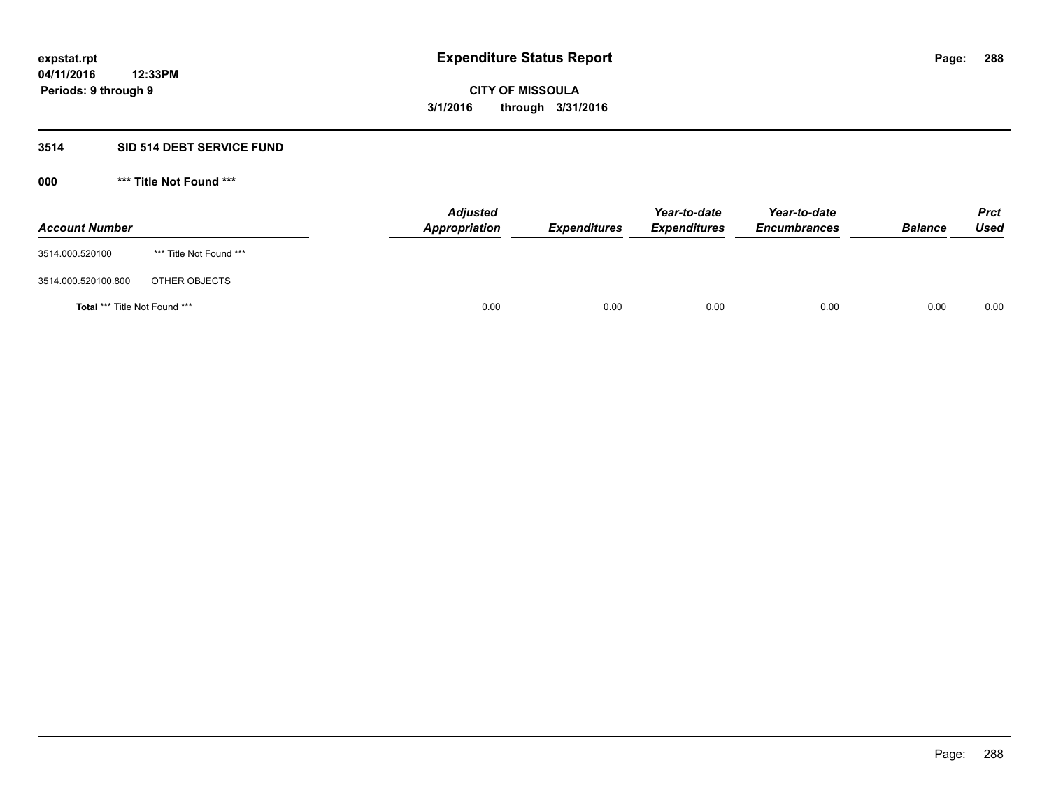# **3514 SID 514 DEBT SERVICE FUND**

| <b>Account Number</b>                |                         | <b>Adjusted</b><br>Appropriation | <b>Expenditures</b> | Year-to-date<br><b>Expenditures</b> | Year-to-date<br><b>Encumbrances</b> | <b>Balance</b> | <b>Prct</b><br>Used |
|--------------------------------------|-------------------------|----------------------------------|---------------------|-------------------------------------|-------------------------------------|----------------|---------------------|
| 3514.000.520100                      | *** Title Not Found *** |                                  |                     |                                     |                                     |                |                     |
| 3514.000.520100.800                  | OTHER OBJECTS           |                                  |                     |                                     |                                     |                |                     |
| <b>Total *** Title Not Found ***</b> |                         | 0.00                             | 0.00                | 0.00                                | 0.00                                | 0.00           | 0.00                |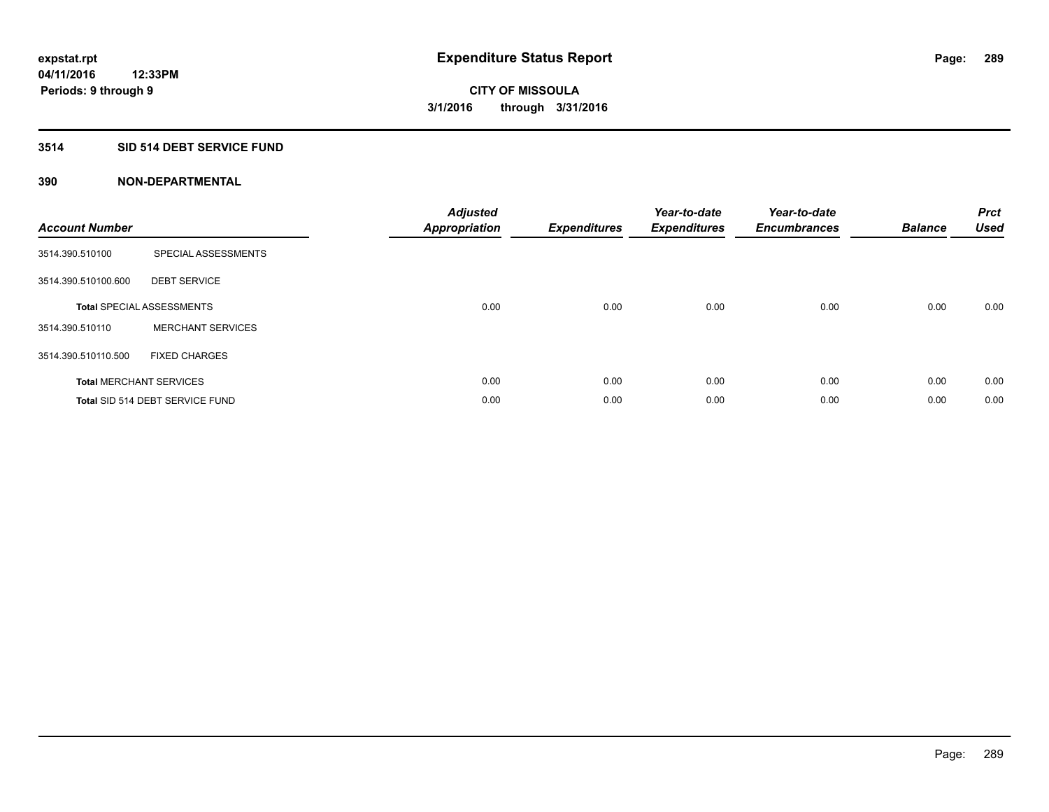### **3514 SID 514 DEBT SERVICE FUND**

| <b>Account Number</b> |                                  | <b>Adjusted</b><br><b>Appropriation</b> | <b>Expenditures</b> | Year-to-date<br><b>Expenditures</b> | Year-to-date<br><b>Encumbrances</b> | <b>Balance</b> | <b>Prct</b><br><b>Used</b> |
|-----------------------|----------------------------------|-----------------------------------------|---------------------|-------------------------------------|-------------------------------------|----------------|----------------------------|
| 3514.390.510100       | SPECIAL ASSESSMENTS              |                                         |                     |                                     |                                     |                |                            |
| 3514.390.510100.600   | <b>DEBT SERVICE</b>              |                                         |                     |                                     |                                     |                |                            |
|                       | <b>Total SPECIAL ASSESSMENTS</b> | 0.00                                    | 0.00                | 0.00                                | 0.00                                | 0.00           | 0.00                       |
| 3514.390.510110       | <b>MERCHANT SERVICES</b>         |                                         |                     |                                     |                                     |                |                            |
| 3514.390.510110.500   | <b>FIXED CHARGES</b>             |                                         |                     |                                     |                                     |                |                            |
|                       | <b>Total MERCHANT SERVICES</b>   | 0.00                                    | 0.00                | 0.00                                | 0.00                                | 0.00           | 0.00                       |
|                       | Total SID 514 DEBT SERVICE FUND  | 0.00                                    | 0.00                | 0.00                                | 0.00                                | 0.00           | 0.00                       |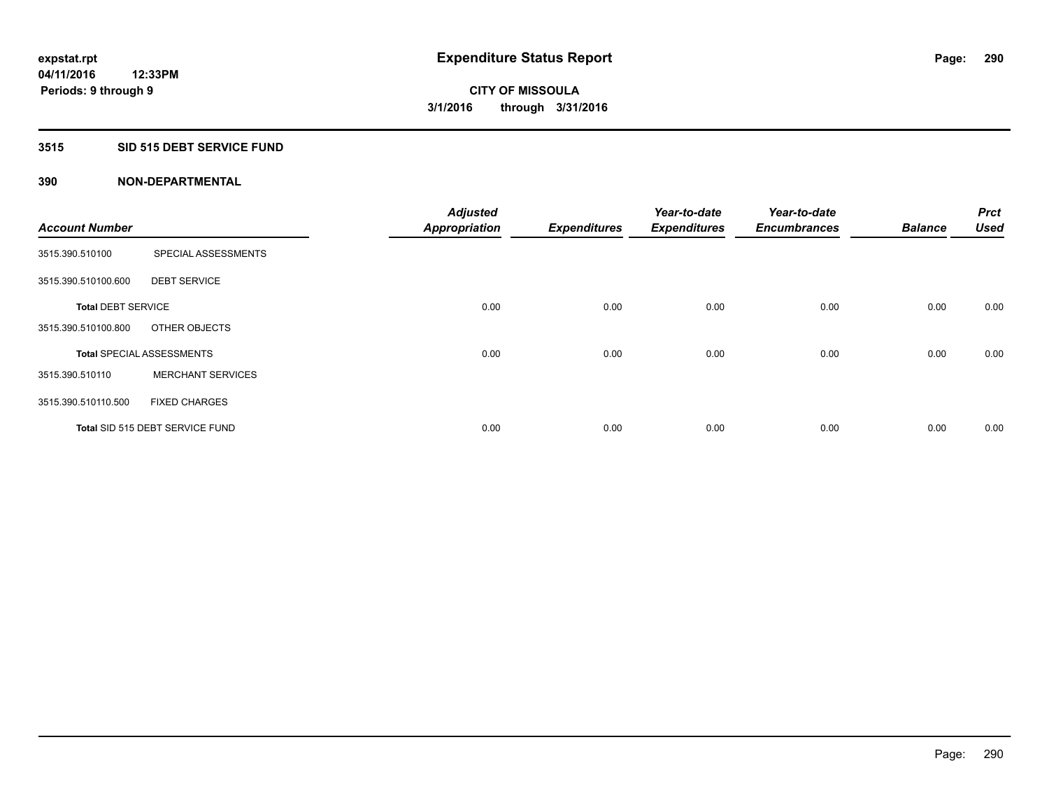### **3515 SID 515 DEBT SERVICE FUND**

| <b>Account Number</b>     |                                  | <b>Adjusted</b><br><b>Appropriation</b> | <b>Expenditures</b> | Year-to-date<br><b>Expenditures</b> | Year-to-date<br><b>Encumbrances</b> | <b>Balance</b> | <b>Prct</b><br><b>Used</b> |
|---------------------------|----------------------------------|-----------------------------------------|---------------------|-------------------------------------|-------------------------------------|----------------|----------------------------|
|                           |                                  |                                         |                     |                                     |                                     |                |                            |
| 3515.390.510100           | SPECIAL ASSESSMENTS              |                                         |                     |                                     |                                     |                |                            |
| 3515.390.510100.600       | <b>DEBT SERVICE</b>              |                                         |                     |                                     |                                     |                |                            |
| <b>Total DEBT SERVICE</b> |                                  | 0.00                                    | 0.00                | 0.00                                | 0.00                                | 0.00           | 0.00                       |
| 3515.390.510100.800       | OTHER OBJECTS                    |                                         |                     |                                     |                                     |                |                            |
|                           | <b>Total SPECIAL ASSESSMENTS</b> | 0.00                                    | 0.00                | 0.00                                | 0.00                                | 0.00           | 0.00                       |
| 3515.390.510110           | <b>MERCHANT SERVICES</b>         |                                         |                     |                                     |                                     |                |                            |
| 3515.390.510110.500       | <b>FIXED CHARGES</b>             |                                         |                     |                                     |                                     |                |                            |
|                           | Total SID 515 DEBT SERVICE FUND  | 0.00                                    | 0.00                | 0.00                                | 0.00                                | 0.00           | 0.00                       |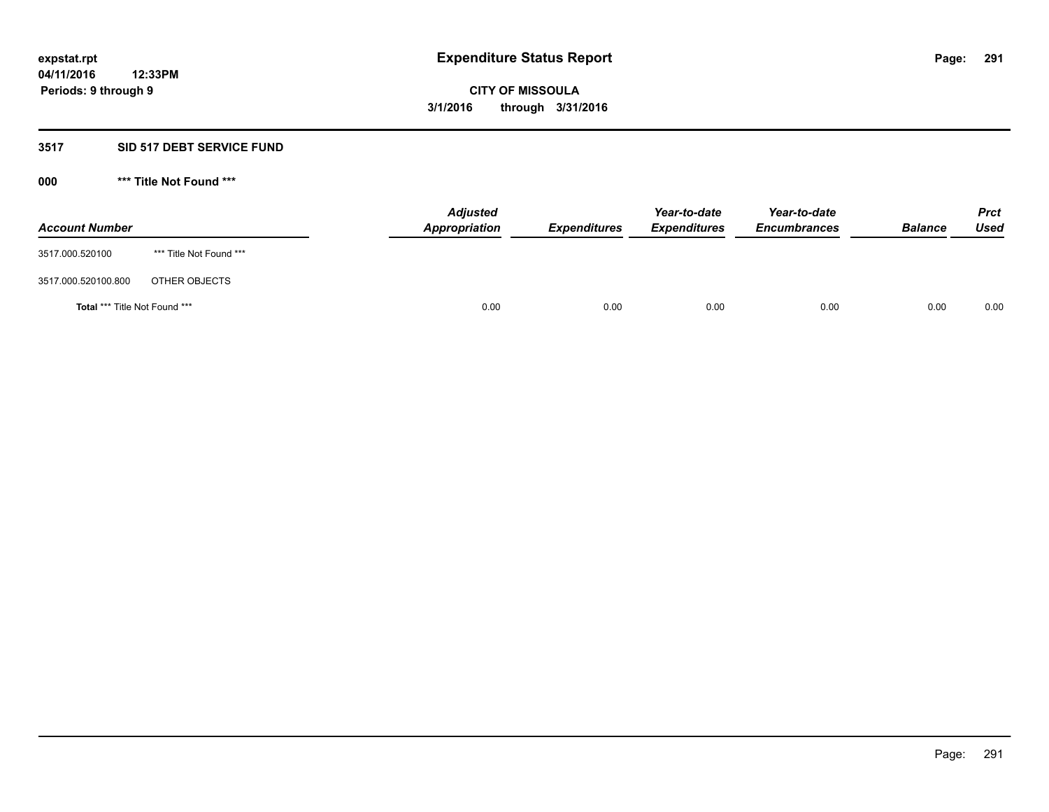#### **3517 SID 517 DEBT SERVICE FUND**

**000 \*\*\* Title Not Found \*\*\***

| <b>Account Number</b>                |                         | <b>Adjusted</b><br><b>Appropriation</b> | <b>Expenditures</b> | Year-to-date<br><b>Expenditures</b> | Year-to-date<br><b>Encumbrances</b> | <b>Balance</b> | <b>Prct</b><br><b>Used</b> |
|--------------------------------------|-------------------------|-----------------------------------------|---------------------|-------------------------------------|-------------------------------------|----------------|----------------------------|
| 3517.000.520100                      | *** Title Not Found *** |                                         |                     |                                     |                                     |                |                            |
| 3517.000.520100.800                  | OTHER OBJECTS           |                                         |                     |                                     |                                     |                |                            |
| <b>Total *** Title Not Found ***</b> |                         | 0.00                                    | 0.00                | 0.00                                | 0.00                                | 0.00           | 0.00                       |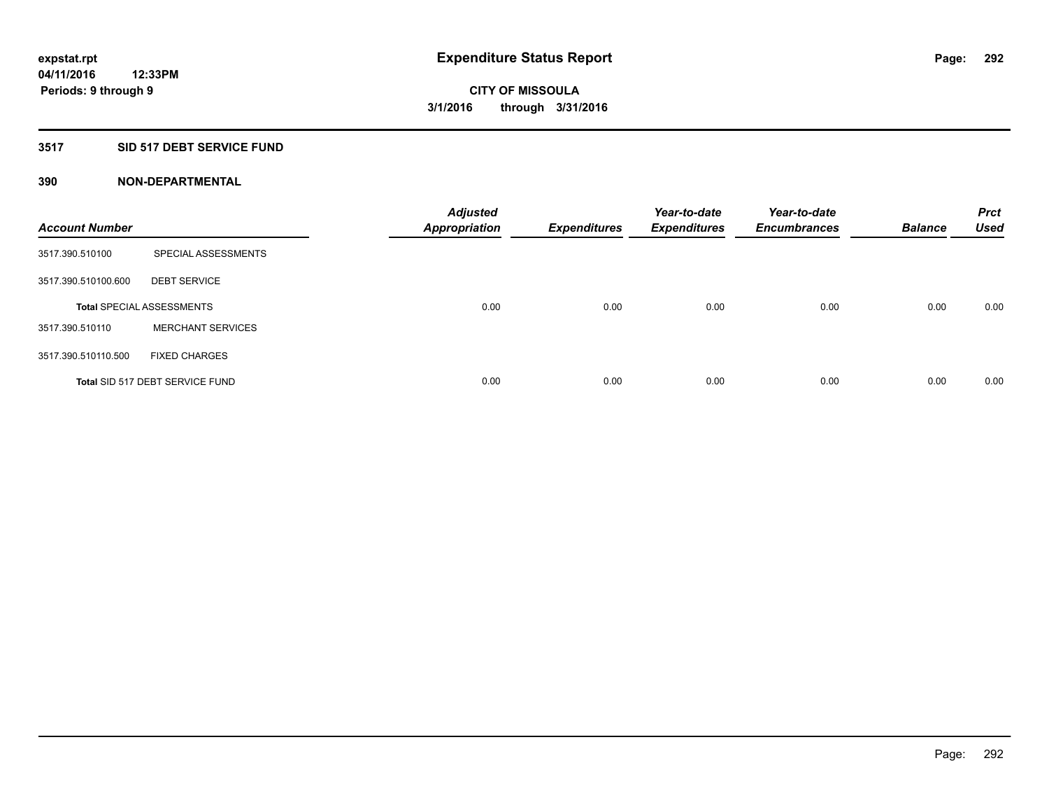### **3517 SID 517 DEBT SERVICE FUND**

| <b>Account Number</b> |                                  | <b>Adjusted</b><br><b>Appropriation</b> | <b>Expenditures</b> | Year-to-date<br><b>Expenditures</b> | Year-to-date<br><b>Encumbrances</b> | <b>Balance</b> | <b>Prct</b><br><b>Used</b> |
|-----------------------|----------------------------------|-----------------------------------------|---------------------|-------------------------------------|-------------------------------------|----------------|----------------------------|
| 3517.390.510100       | SPECIAL ASSESSMENTS              |                                         |                     |                                     |                                     |                |                            |
| 3517.390.510100.600   | <b>DEBT SERVICE</b>              |                                         |                     |                                     |                                     |                |                            |
|                       | <b>Total SPECIAL ASSESSMENTS</b> | 0.00                                    | 0.00                | 0.00                                | 0.00                                | 0.00           | 0.00                       |
| 3517.390.510110       | <b>MERCHANT SERVICES</b>         |                                         |                     |                                     |                                     |                |                            |
| 3517.390.510110.500   | <b>FIXED CHARGES</b>             |                                         |                     |                                     |                                     |                |                            |
|                       | Total SID 517 DEBT SERVICE FUND  | 0.00                                    | 0.00                | 0.00                                | 0.00                                | 0.00           | 0.00                       |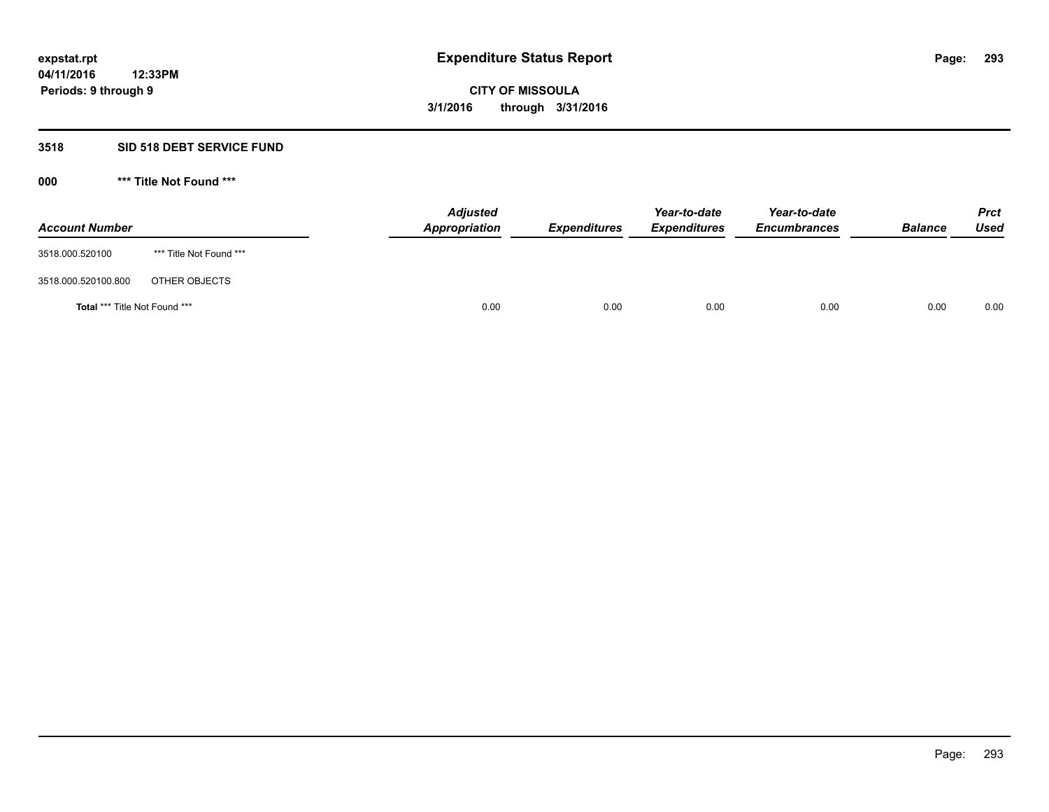### **3518 SID 518 DEBT SERVICE FUND**

**000 \*\*\* Title Not Found \*\*\***

| <b>Account Number</b>                |                         | <b>Adjusted</b><br>Appropriation | <b>Expenditures</b> | Year-to-date<br><b>Expenditures</b> | Year-to-date<br><b>Encumbrances</b> | <b>Balance</b> | <b>Prct</b><br>Used |
|--------------------------------------|-------------------------|----------------------------------|---------------------|-------------------------------------|-------------------------------------|----------------|---------------------|
| 3518.000.520100                      | *** Title Not Found *** |                                  |                     |                                     |                                     |                |                     |
| 3518.000.520100.800                  | OTHER OBJECTS           |                                  |                     |                                     |                                     |                |                     |
| <b>Total *** Title Not Found ***</b> |                         |                                  | 0.00<br>0.00        | 0.00                                | 0.00                                | 0.00           | 0.00                |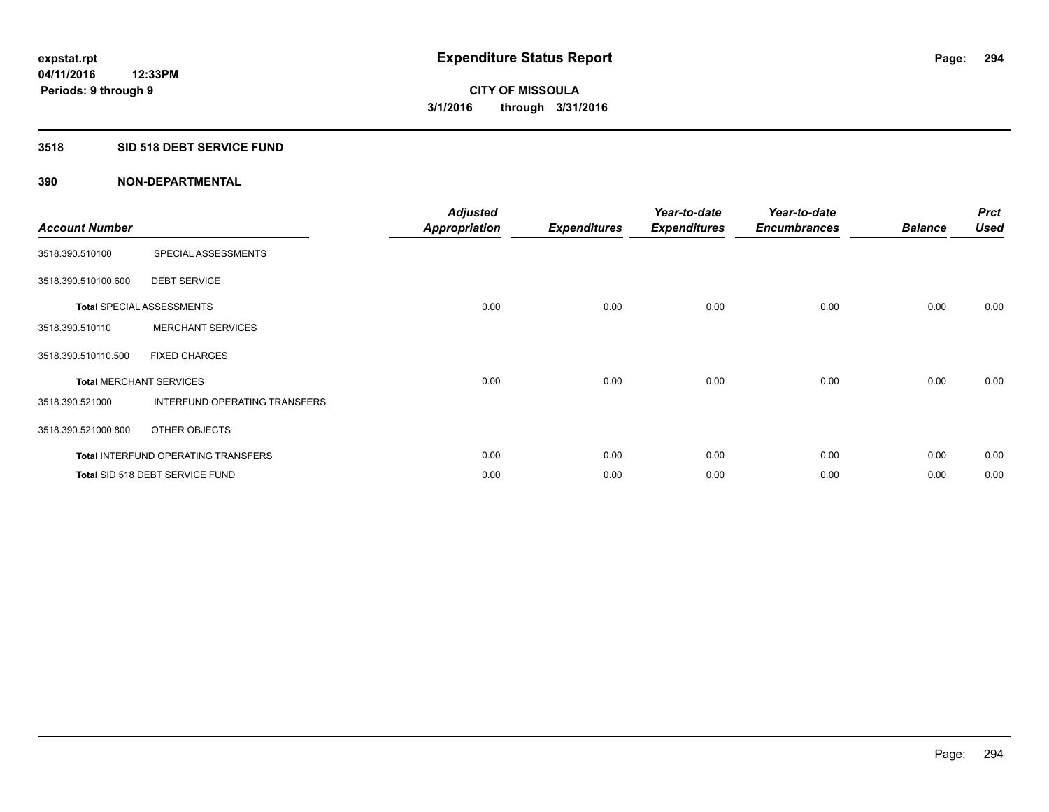### **3518 SID 518 DEBT SERVICE FUND**

| <b>Account Number</b> |                                            | <b>Adjusted</b><br>Appropriation | <b>Expenditures</b> | Year-to-date<br><b>Expenditures</b> | Year-to-date<br><b>Encumbrances</b> | <b>Balance</b> | <b>Prct</b><br><b>Used</b> |
|-----------------------|--------------------------------------------|----------------------------------|---------------------|-------------------------------------|-------------------------------------|----------------|----------------------------|
| 3518.390.510100       | SPECIAL ASSESSMENTS                        |                                  |                     |                                     |                                     |                |                            |
| 3518.390.510100.600   | <b>DEBT SERVICE</b>                        |                                  |                     |                                     |                                     |                |                            |
|                       | <b>Total SPECIAL ASSESSMENTS</b>           | 0.00                             | 0.00                | 0.00                                | 0.00                                | 0.00           | 0.00                       |
| 3518.390.510110       | <b>MERCHANT SERVICES</b>                   |                                  |                     |                                     |                                     |                |                            |
| 3518.390.510110.500   | <b>FIXED CHARGES</b>                       |                                  |                     |                                     |                                     |                |                            |
|                       | <b>Total MERCHANT SERVICES</b>             | 0.00                             | 0.00                | 0.00                                | 0.00                                | 0.00           | 0.00                       |
| 3518.390.521000       | INTERFUND OPERATING TRANSFERS              |                                  |                     |                                     |                                     |                |                            |
| 3518.390.521000.800   | OTHER OBJECTS                              |                                  |                     |                                     |                                     |                |                            |
|                       | <b>Total INTERFUND OPERATING TRANSFERS</b> | 0.00                             | 0.00                | 0.00                                | 0.00                                | 0.00           | 0.00                       |
|                       | Total SID 518 DEBT SERVICE FUND            | 0.00                             | 0.00                | 0.00                                | 0.00                                | 0.00           | 0.00                       |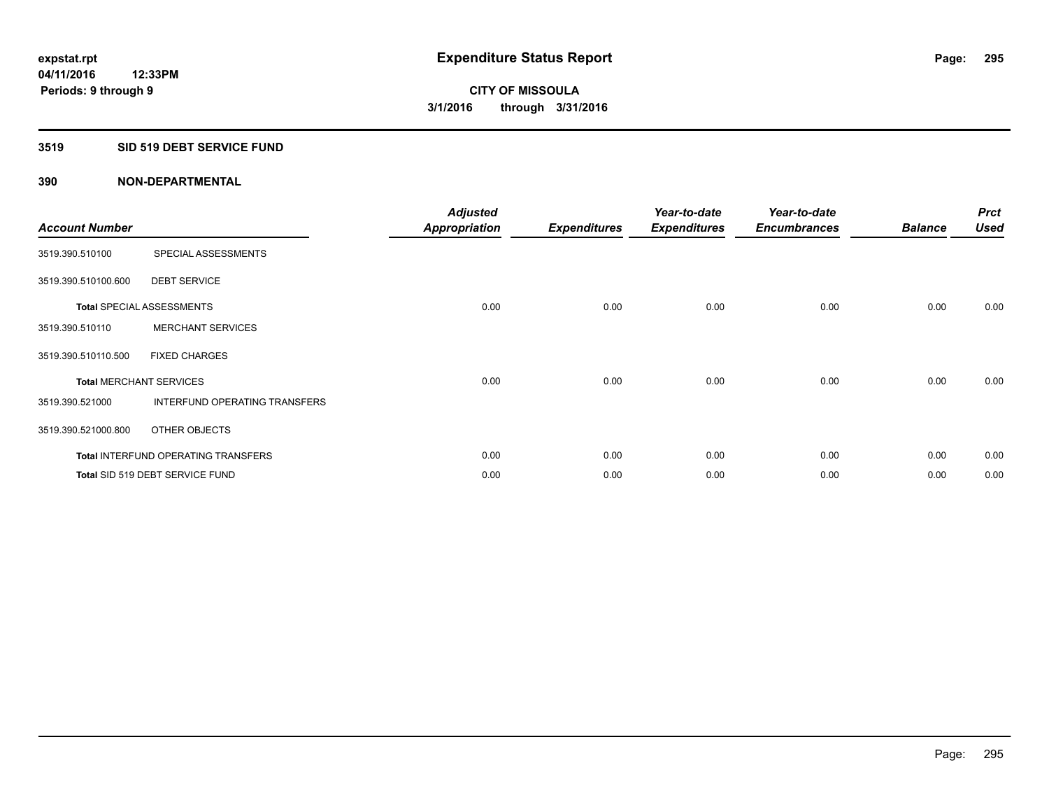### **3519 SID 519 DEBT SERVICE FUND**

| <b>Account Number</b> |                                            | <b>Adjusted</b><br><b>Appropriation</b> | <b>Expenditures</b> | Year-to-date<br><b>Expenditures</b> | Year-to-date<br><b>Encumbrances</b> | <b>Balance</b> | <b>Prct</b><br><b>Used</b> |
|-----------------------|--------------------------------------------|-----------------------------------------|---------------------|-------------------------------------|-------------------------------------|----------------|----------------------------|
| 3519.390.510100       | SPECIAL ASSESSMENTS                        |                                         |                     |                                     |                                     |                |                            |
| 3519.390.510100.600   | <b>DEBT SERVICE</b>                        |                                         |                     |                                     |                                     |                |                            |
|                       | <b>Total SPECIAL ASSESSMENTS</b>           | 0.00                                    | 0.00                | 0.00                                | 0.00                                | 0.00           | 0.00                       |
| 3519.390.510110       | <b>MERCHANT SERVICES</b>                   |                                         |                     |                                     |                                     |                |                            |
| 3519.390.510110.500   | <b>FIXED CHARGES</b>                       |                                         |                     |                                     |                                     |                |                            |
|                       | <b>Total MERCHANT SERVICES</b>             | 0.00                                    | 0.00                | 0.00                                | 0.00                                | 0.00           | 0.00                       |
| 3519.390.521000       | <b>INTERFUND OPERATING TRANSFERS</b>       |                                         |                     |                                     |                                     |                |                            |
| 3519.390.521000.800   | OTHER OBJECTS                              |                                         |                     |                                     |                                     |                |                            |
|                       | <b>Total INTERFUND OPERATING TRANSFERS</b> | 0.00                                    | 0.00                | 0.00                                | 0.00                                | 0.00           | 0.00                       |
|                       | Total SID 519 DEBT SERVICE FUND            | 0.00                                    | 0.00                | 0.00                                | 0.00                                | 0.00           | 0.00                       |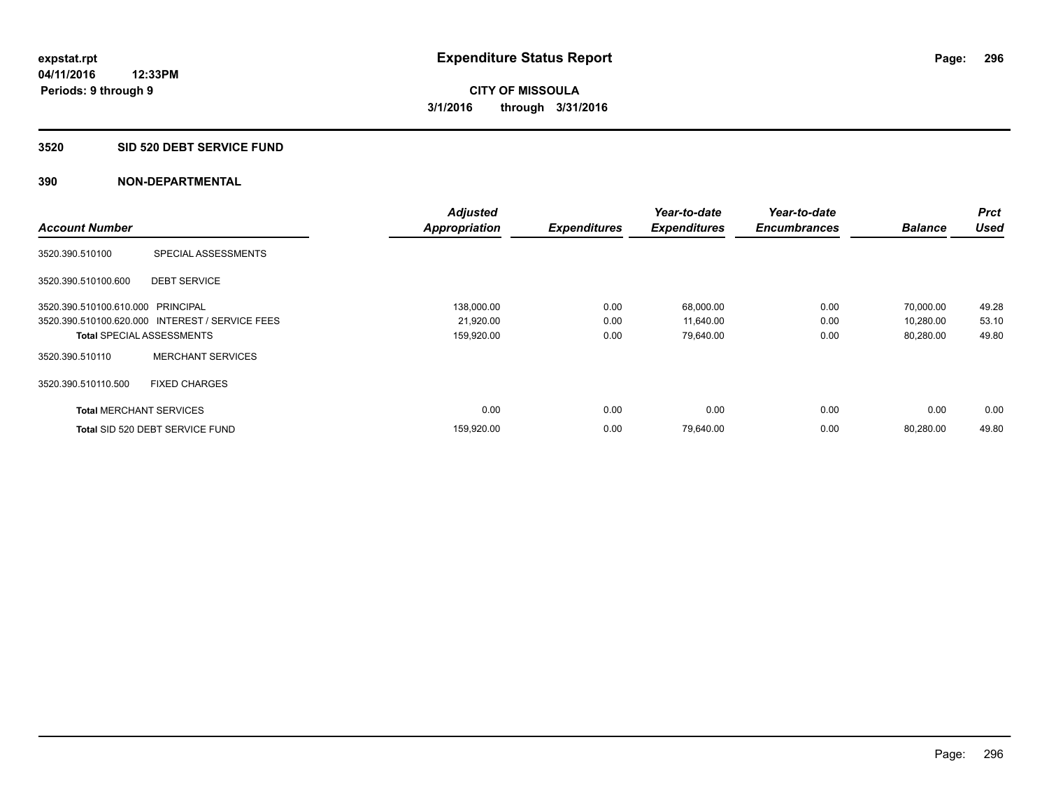#### **3520 SID 520 DEBT SERVICE FUND**

|                                   |                                                 | <b>Adjusted</b>      |                     | Year-to-date        | Year-to-date        |                | Prct        |
|-----------------------------------|-------------------------------------------------|----------------------|---------------------|---------------------|---------------------|----------------|-------------|
| <b>Account Number</b>             |                                                 | <b>Appropriation</b> | <b>Expenditures</b> | <b>Expenditures</b> | <b>Encumbrances</b> | <b>Balance</b> | <b>Used</b> |
| 3520.390.510100                   | SPECIAL ASSESSMENTS                             |                      |                     |                     |                     |                |             |
| 3520.390.510100.600               | <b>DEBT SERVICE</b>                             |                      |                     |                     |                     |                |             |
| 3520.390.510100.610.000 PRINCIPAL |                                                 | 138,000.00           | 0.00                | 68,000.00           | 0.00                | 70.000.00      | 49.28       |
|                                   | 3520.390.510100.620.000 INTEREST / SERVICE FEES | 21,920.00            | 0.00                | 11,640.00           | 0.00                | 10,280.00      | 53.10       |
| <b>Total SPECIAL ASSESSMENTS</b>  |                                                 | 159,920.00           | 0.00                | 79,640.00           | 0.00                | 80,280.00      | 49.80       |
| 3520.390.510110                   | <b>MERCHANT SERVICES</b>                        |                      |                     |                     |                     |                |             |
| 3520.390.510110.500               | <b>FIXED CHARGES</b>                            |                      |                     |                     |                     |                |             |
| <b>Total MERCHANT SERVICES</b>    |                                                 | 0.00                 | 0.00                | 0.00                | 0.00                | 0.00           | 0.00        |
|                                   | Total SID 520 DEBT SERVICE FUND                 | 159,920.00           | 0.00                | 79,640.00           | 0.00                | 80.280.00      | 49.80       |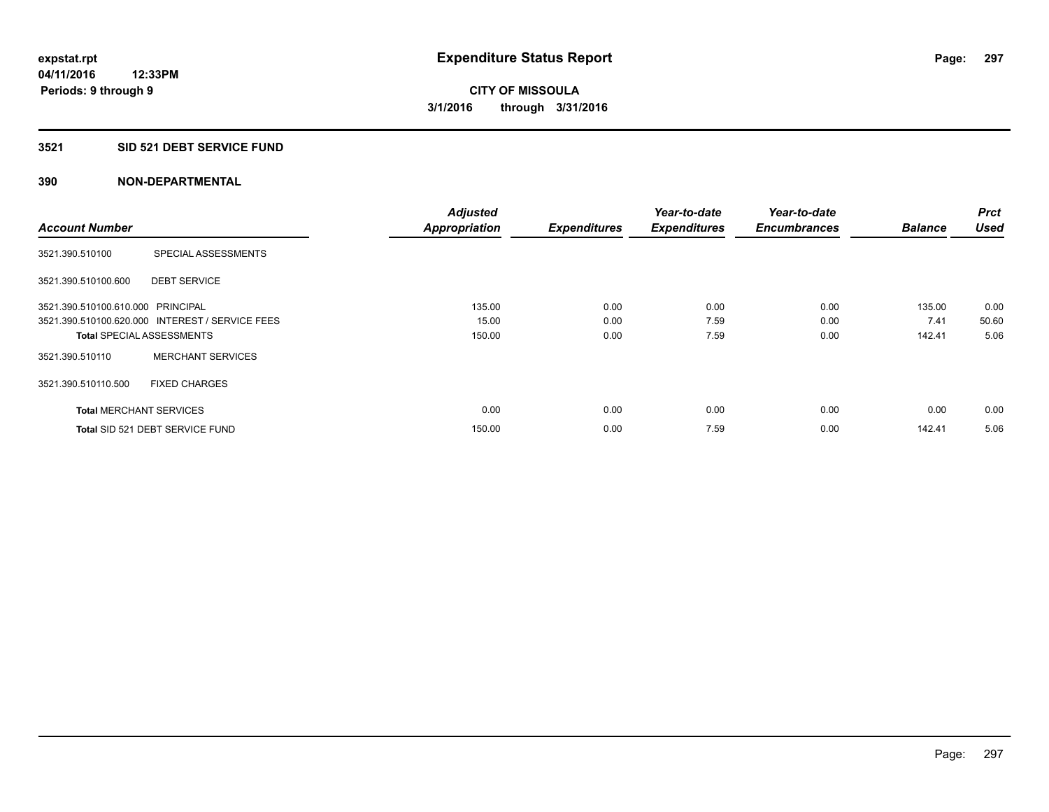### **3521 SID 521 DEBT SERVICE FUND**

|                                   |                                                 | <b>Adjusted</b>      |                     | Year-to-date        | Year-to-date        |                | <b>Prct</b> |
|-----------------------------------|-------------------------------------------------|----------------------|---------------------|---------------------|---------------------|----------------|-------------|
| <b>Account Number</b>             |                                                 | <b>Appropriation</b> | <b>Expenditures</b> | <b>Expenditures</b> | <b>Encumbrances</b> | <b>Balance</b> | <b>Used</b> |
| 3521.390.510100                   | SPECIAL ASSESSMENTS                             |                      |                     |                     |                     |                |             |
| 3521.390.510100.600               | <b>DEBT SERVICE</b>                             |                      |                     |                     |                     |                |             |
| 3521.390.510100.610.000 PRINCIPAL |                                                 | 135.00               | 0.00                | 0.00                | 0.00                | 135.00         | 0.00        |
|                                   | 3521.390.510100.620.000 INTEREST / SERVICE FEES | 15.00                | 0.00                | 7.59                | 0.00                | 7.41           | 50.60       |
| <b>Total SPECIAL ASSESSMENTS</b>  |                                                 | 150.00               | 0.00                | 7.59                | 0.00                | 142.41         | 5.06        |
| 3521.390.510110                   | <b>MERCHANT SERVICES</b>                        |                      |                     |                     |                     |                |             |
| 3521.390.510110.500               | <b>FIXED CHARGES</b>                            |                      |                     |                     |                     |                |             |
| <b>Total MERCHANT SERVICES</b>    |                                                 | 0.00                 | 0.00                | 0.00                | 0.00                | 0.00           | 0.00        |
|                                   | Total SID 521 DEBT SERVICE FUND                 | 150.00               | 0.00                | 7.59                | 0.00                | 142.41         | 5.06        |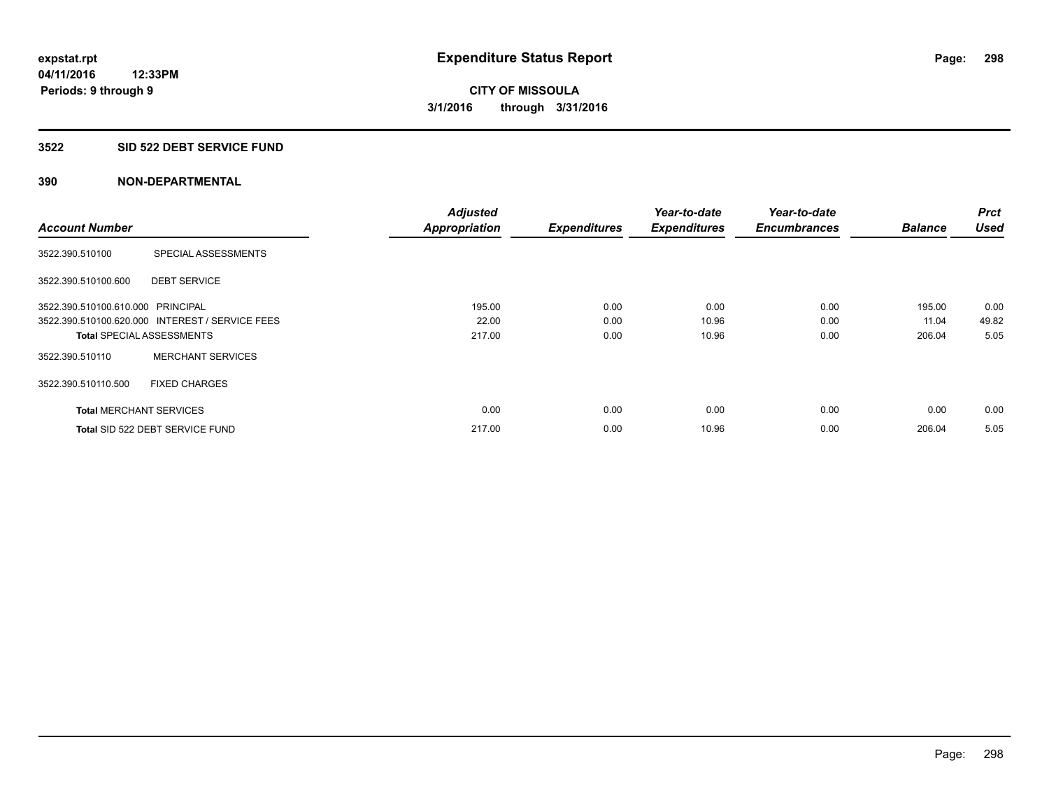### **3522 SID 522 DEBT SERVICE FUND**

|                                   |                                                 | <b>Adjusted</b>      |                     | Year-to-date        | Year-to-date        |                | <b>Prct</b> |
|-----------------------------------|-------------------------------------------------|----------------------|---------------------|---------------------|---------------------|----------------|-------------|
| <b>Account Number</b>             |                                                 | <b>Appropriation</b> | <b>Expenditures</b> | <b>Expenditures</b> | <b>Encumbrances</b> | <b>Balance</b> | <b>Used</b> |
| 3522.390.510100                   | SPECIAL ASSESSMENTS                             |                      |                     |                     |                     |                |             |
| 3522.390.510100.600               | <b>DEBT SERVICE</b>                             |                      |                     |                     |                     |                |             |
| 3522.390.510100.610.000 PRINCIPAL |                                                 | 195.00               | 0.00                | 0.00                | 0.00                | 195.00         | 0.00        |
|                                   | 3522.390.510100.620.000 INTEREST / SERVICE FEES | 22.00                | 0.00                | 10.96               | 0.00                | 11.04          | 49.82       |
| <b>Total SPECIAL ASSESSMENTS</b>  |                                                 | 217.00               | 0.00                | 10.96               | 0.00                | 206.04         | 5.05        |
| 3522.390.510110                   | <b>MERCHANT SERVICES</b>                        |                      |                     |                     |                     |                |             |
| 3522.390.510110.500               | <b>FIXED CHARGES</b>                            |                      |                     |                     |                     |                |             |
| <b>Total MERCHANT SERVICES</b>    |                                                 | 0.00                 | 0.00                | 0.00                | 0.00                | 0.00           | 0.00        |
|                                   | Total SID 522 DEBT SERVICE FUND                 | 217.00               | 0.00                | 10.96               | 0.00                | 206.04         | 5.05        |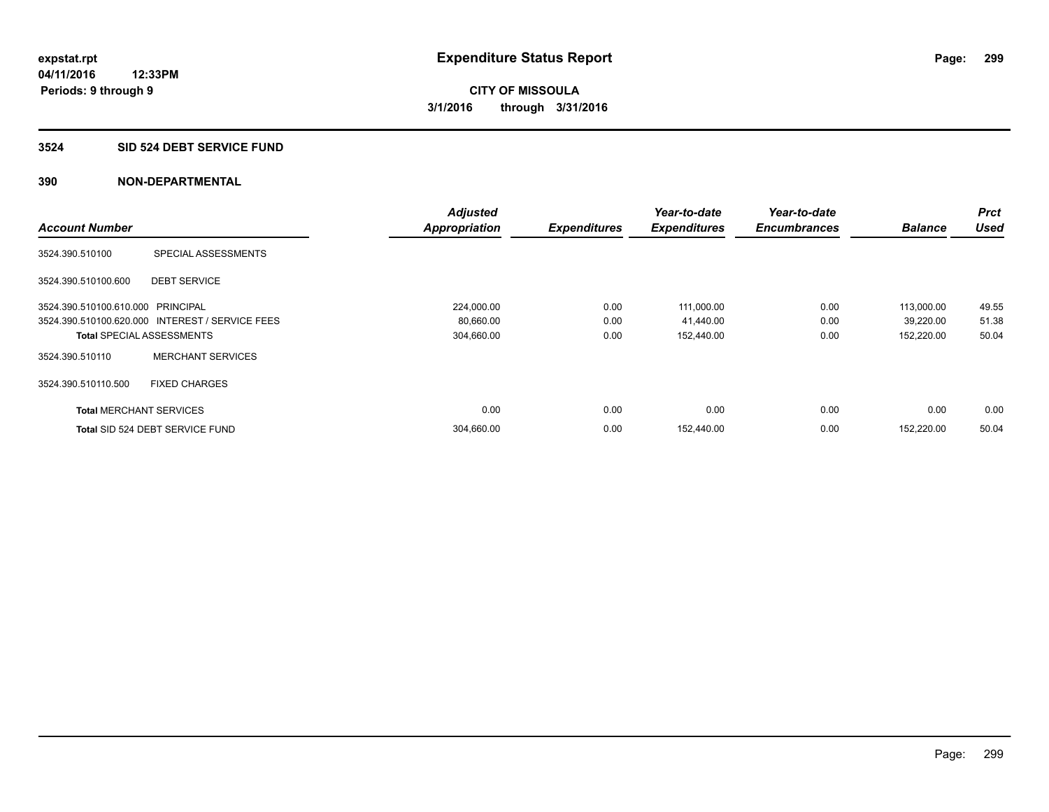#### **3524 SID 524 DEBT SERVICE FUND**

|                                   |                                                 | <b>Adjusted</b>      |                     | Year-to-date        | Year-to-date        |                | Prct        |
|-----------------------------------|-------------------------------------------------|----------------------|---------------------|---------------------|---------------------|----------------|-------------|
| <b>Account Number</b>             |                                                 | <b>Appropriation</b> | <b>Expenditures</b> | <b>Expenditures</b> | <b>Encumbrances</b> | <b>Balance</b> | <b>Used</b> |
| 3524.390.510100                   | SPECIAL ASSESSMENTS                             |                      |                     |                     |                     |                |             |
| 3524.390.510100.600               | <b>DEBT SERVICE</b>                             |                      |                     |                     |                     |                |             |
| 3524.390.510100.610.000 PRINCIPAL |                                                 | 224.000.00           | 0.00                | 111,000.00          | 0.00                | 113.000.00     | 49.55       |
|                                   | 3524.390.510100.620.000 INTEREST / SERVICE FEES | 80,660.00            | 0.00                | 41,440.00           | 0.00                | 39,220.00      | 51.38       |
|                                   | <b>Total SPECIAL ASSESSMENTS</b>                | 304,660.00           | 0.00                | 152,440.00          | 0.00                | 152,220.00     | 50.04       |
| 3524.390.510110                   | <b>MERCHANT SERVICES</b>                        |                      |                     |                     |                     |                |             |
| 3524.390.510110.500               | <b>FIXED CHARGES</b>                            |                      |                     |                     |                     |                |             |
| <b>Total MERCHANT SERVICES</b>    |                                                 | 0.00                 | 0.00                | 0.00                | 0.00                | 0.00           | 0.00        |
|                                   | Total SID 524 DEBT SERVICE FUND                 | 304,660.00           | 0.00                | 152.440.00          | 0.00                | 152.220.00     | 50.04       |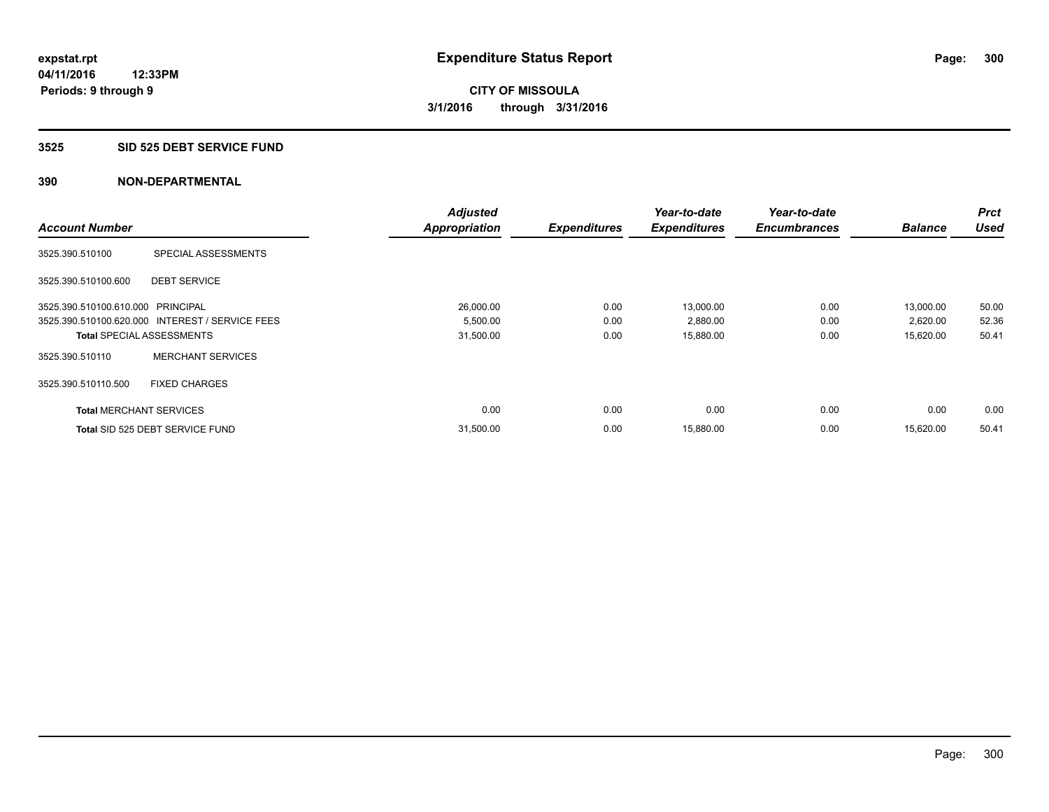#### **3525 SID 525 DEBT SERVICE FUND**

|                                   |                                                 | <b>Adjusted</b>      |                     | Year-to-date        | Year-to-date        |                | <b>Prct</b> |
|-----------------------------------|-------------------------------------------------|----------------------|---------------------|---------------------|---------------------|----------------|-------------|
| <b>Account Number</b>             |                                                 | <b>Appropriation</b> | <b>Expenditures</b> | <b>Expenditures</b> | <b>Encumbrances</b> | <b>Balance</b> | <b>Used</b> |
| 3525.390.510100                   | SPECIAL ASSESSMENTS                             |                      |                     |                     |                     |                |             |
| 3525.390.510100.600               | <b>DEBT SERVICE</b>                             |                      |                     |                     |                     |                |             |
| 3525.390.510100.610.000 PRINCIPAL |                                                 | 26,000.00            | 0.00                | 13.000.00           | 0.00                | 13,000.00      | 50.00       |
|                                   | 3525.390.510100.620.000 INTEREST / SERVICE FEES | 5,500.00             | 0.00                | 2,880.00            | 0.00                | 2,620.00       | 52.36       |
| <b>Total SPECIAL ASSESSMENTS</b>  |                                                 | 31,500.00            | 0.00                | 15,880.00           | 0.00                | 15,620.00      | 50.41       |
| 3525.390.510110                   | <b>MERCHANT SERVICES</b>                        |                      |                     |                     |                     |                |             |
| 3525.390.510110.500               | <b>FIXED CHARGES</b>                            |                      |                     |                     |                     |                |             |
| <b>Total MERCHANT SERVICES</b>    |                                                 | 0.00                 | 0.00                | 0.00                | 0.00                | 0.00           | 0.00        |
|                                   | Total SID 525 DEBT SERVICE FUND                 | 31,500.00            | 0.00                | 15,880.00           | 0.00                | 15.620.00      | 50.41       |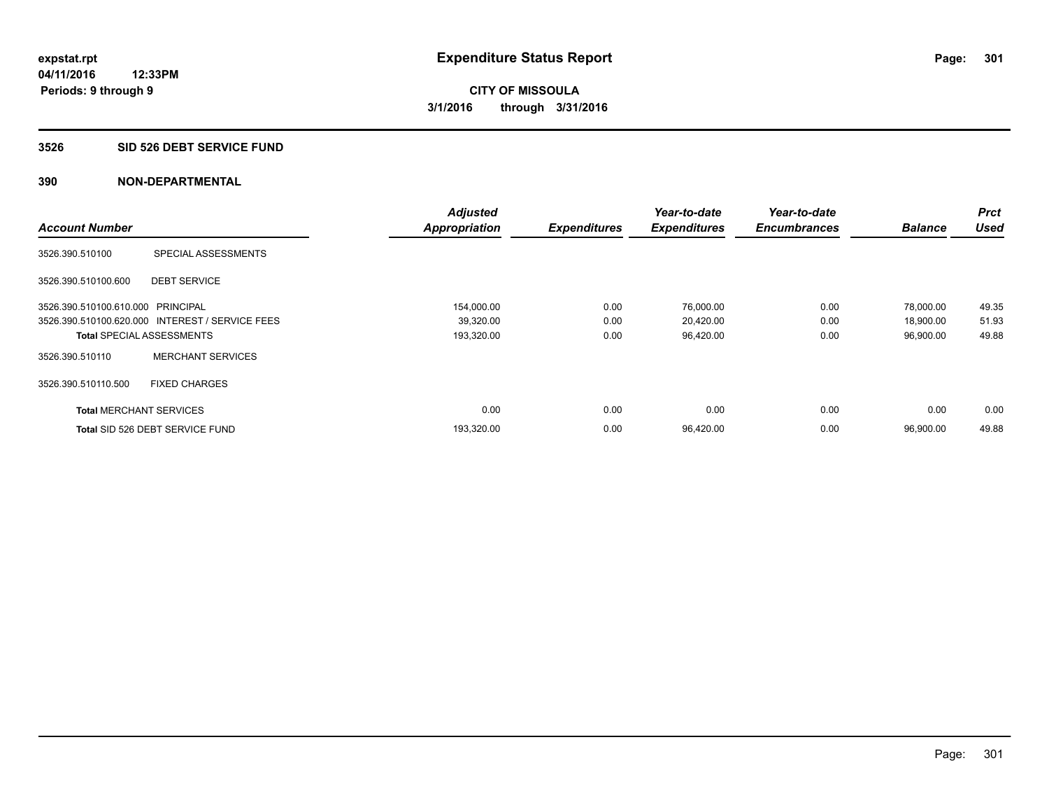#### **3526 SID 526 DEBT SERVICE FUND**

|                                   |                                                 | <b>Adjusted</b>      |                     | Year-to-date        | Year-to-date        |                | <b>Prct</b> |
|-----------------------------------|-------------------------------------------------|----------------------|---------------------|---------------------|---------------------|----------------|-------------|
| <b>Account Number</b>             |                                                 | <b>Appropriation</b> | <b>Expenditures</b> | <b>Expenditures</b> | <b>Encumbrances</b> | <b>Balance</b> | <b>Used</b> |
| 3526.390.510100                   | SPECIAL ASSESSMENTS                             |                      |                     |                     |                     |                |             |
| 3526.390.510100.600               | <b>DEBT SERVICE</b>                             |                      |                     |                     |                     |                |             |
| 3526.390.510100.610.000 PRINCIPAL |                                                 | 154,000.00           | 0.00                | 76,000.00           | 0.00                | 78,000.00      | 49.35       |
|                                   | 3526.390.510100.620.000 INTEREST / SERVICE FEES | 39,320.00            | 0.00                | 20,420.00           | 0.00                | 18,900.00      | 51.93       |
| <b>Total SPECIAL ASSESSMENTS</b>  |                                                 | 193,320.00           | 0.00                | 96,420.00           | 0.00                | 96,900.00      | 49.88       |
| 3526.390.510110                   | <b>MERCHANT SERVICES</b>                        |                      |                     |                     |                     |                |             |
| 3526.390.510110.500               | <b>FIXED CHARGES</b>                            |                      |                     |                     |                     |                |             |
| <b>Total MERCHANT SERVICES</b>    |                                                 | 0.00                 | 0.00                | 0.00                | 0.00                | 0.00           | 0.00        |
|                                   | Total SID 526 DEBT SERVICE FUND                 | 193,320.00           | 0.00                | 96,420.00           | 0.00                | 96.900.00      | 49.88       |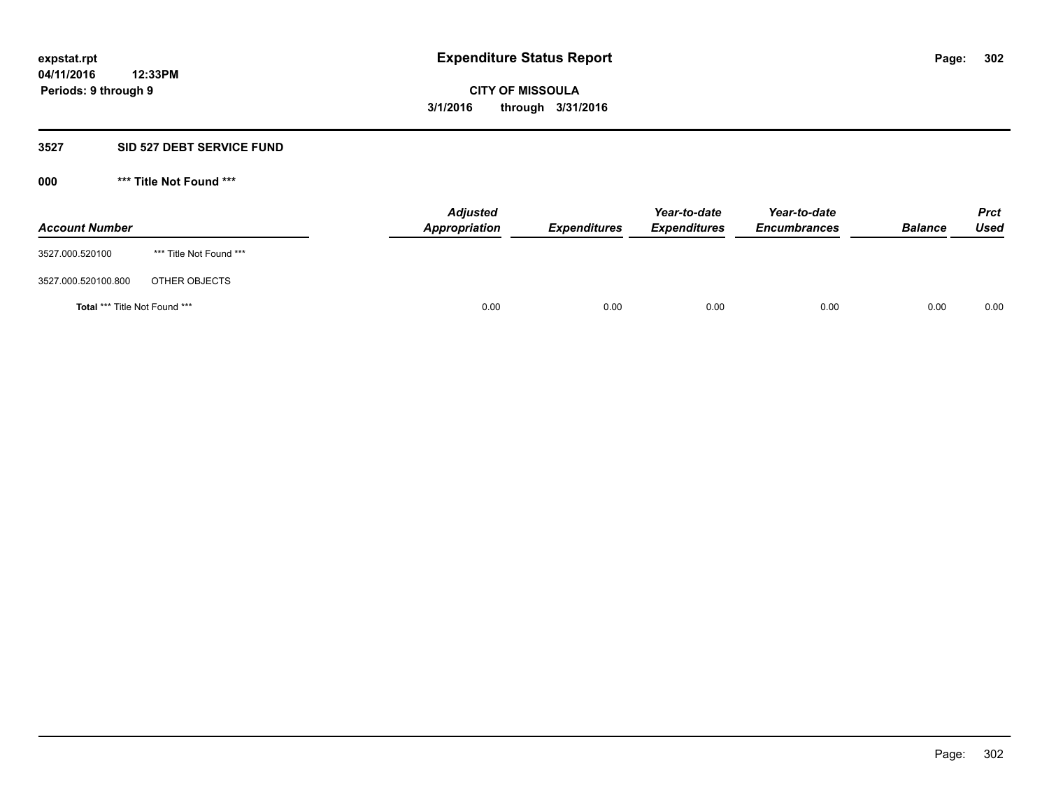#### **3527 SID 527 DEBT SERVICE FUND**

**000 \*\*\* Title Not Found \*\*\***

| <b>Account Number</b>                |                         | <b>Adjusted</b><br>Appropriation | <b>Expenditures</b> | Year-to-date<br><b>Expenditures</b> | Year-to-date<br><b>Encumbrances</b> | <b>Balance</b> | <b>Prct</b><br><b>Used</b> |
|--------------------------------------|-------------------------|----------------------------------|---------------------|-------------------------------------|-------------------------------------|----------------|----------------------------|
| 3527.000.520100                      | *** Title Not Found *** |                                  |                     |                                     |                                     |                |                            |
| 3527.000.520100.800                  | OTHER OBJECTS           |                                  |                     |                                     |                                     |                |                            |
| <b>Total *** Title Not Found ***</b> |                         |                                  | 0.00<br>0.00        | 0.00                                | 0.00                                | 0.00           | 0.00                       |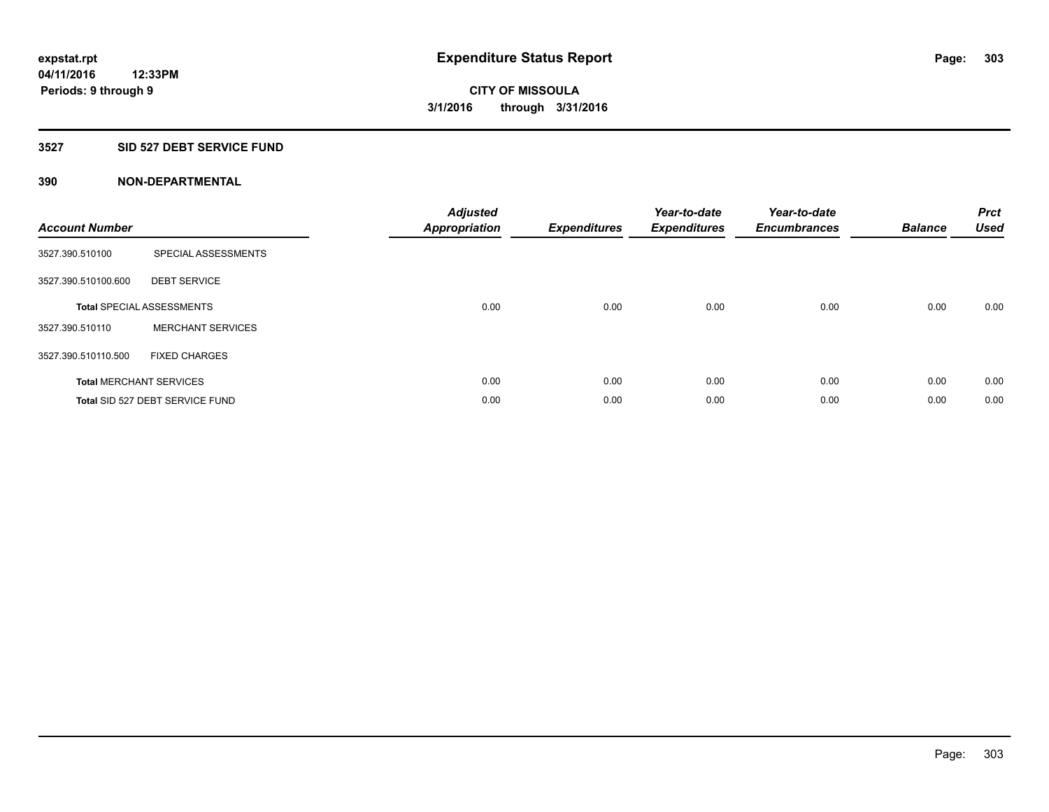### **3527 SID 527 DEBT SERVICE FUND**

| <b>Account Number</b> |                                  | <b>Adjusted</b><br>Appropriation | <b>Expenditures</b> | Year-to-date<br><b>Expenditures</b> | Year-to-date<br><b>Encumbrances</b> | <b>Balance</b> | <b>Prct</b><br><b>Used</b> |
|-----------------------|----------------------------------|----------------------------------|---------------------|-------------------------------------|-------------------------------------|----------------|----------------------------|
| 3527.390.510100       | SPECIAL ASSESSMENTS              |                                  |                     |                                     |                                     |                |                            |
| 3527.390.510100.600   | <b>DEBT SERVICE</b>              |                                  |                     |                                     |                                     |                |                            |
|                       | <b>Total SPECIAL ASSESSMENTS</b> | 0.00                             | 0.00                | 0.00                                | 0.00                                | 0.00           | 0.00                       |
| 3527.390.510110       | <b>MERCHANT SERVICES</b>         |                                  |                     |                                     |                                     |                |                            |
| 3527.390.510110.500   | <b>FIXED CHARGES</b>             |                                  |                     |                                     |                                     |                |                            |
|                       | <b>Total MERCHANT SERVICES</b>   | 0.00                             | 0.00                | 0.00                                | 0.00                                | 0.00           | 0.00                       |
|                       | Total SID 527 DEBT SERVICE FUND  | 0.00                             | 0.00                | 0.00                                | 0.00                                | 0.00           | 0.00                       |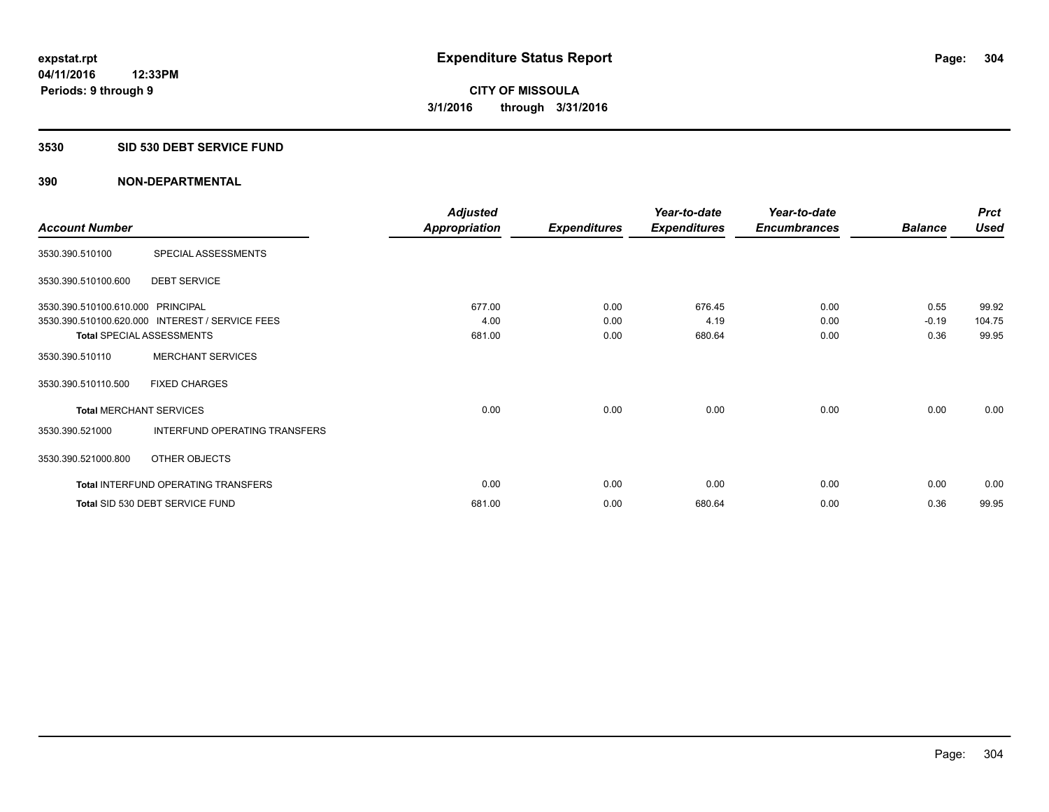#### **3530 SID 530 DEBT SERVICE FUND**

|                                   |                                                 | <b>Adjusted</b>      |                     | Year-to-date        | Year-to-date        |                | <b>Prct</b> |
|-----------------------------------|-------------------------------------------------|----------------------|---------------------|---------------------|---------------------|----------------|-------------|
| <b>Account Number</b>             |                                                 | <b>Appropriation</b> | <b>Expenditures</b> | <b>Expenditures</b> | <b>Encumbrances</b> | <b>Balance</b> | <b>Used</b> |
| 3530.390.510100                   | SPECIAL ASSESSMENTS                             |                      |                     |                     |                     |                |             |
| 3530.390.510100.600               | <b>DEBT SERVICE</b>                             |                      |                     |                     |                     |                |             |
| 3530.390.510100.610.000 PRINCIPAL |                                                 | 677.00               | 0.00                | 676.45              | 0.00                | 0.55           | 99.92       |
|                                   | 3530.390.510100.620.000 INTEREST / SERVICE FEES | 4.00                 | 0.00                | 4.19                | 0.00                | $-0.19$        | 104.75      |
| <b>Total SPECIAL ASSESSMENTS</b>  |                                                 | 681.00               | 0.00                | 680.64              | 0.00                | 0.36           | 99.95       |
| 3530.390.510110                   | <b>MERCHANT SERVICES</b>                        |                      |                     |                     |                     |                |             |
| 3530.390.510110.500               | <b>FIXED CHARGES</b>                            |                      |                     |                     |                     |                |             |
| <b>Total MERCHANT SERVICES</b>    |                                                 | 0.00                 | 0.00                | 0.00                | 0.00                | 0.00           | 0.00        |
| 3530.390.521000                   | INTERFUND OPERATING TRANSFERS                   |                      |                     |                     |                     |                |             |
| 3530.390.521000.800               | OTHER OBJECTS                                   |                      |                     |                     |                     |                |             |
|                                   | Total INTERFUND OPERATING TRANSFERS             | 0.00                 | 0.00                | 0.00                | 0.00                | 0.00           | 0.00        |
|                                   | Total SID 530 DEBT SERVICE FUND                 | 681.00               | 0.00                | 680.64              | 0.00                | 0.36           | 99.95       |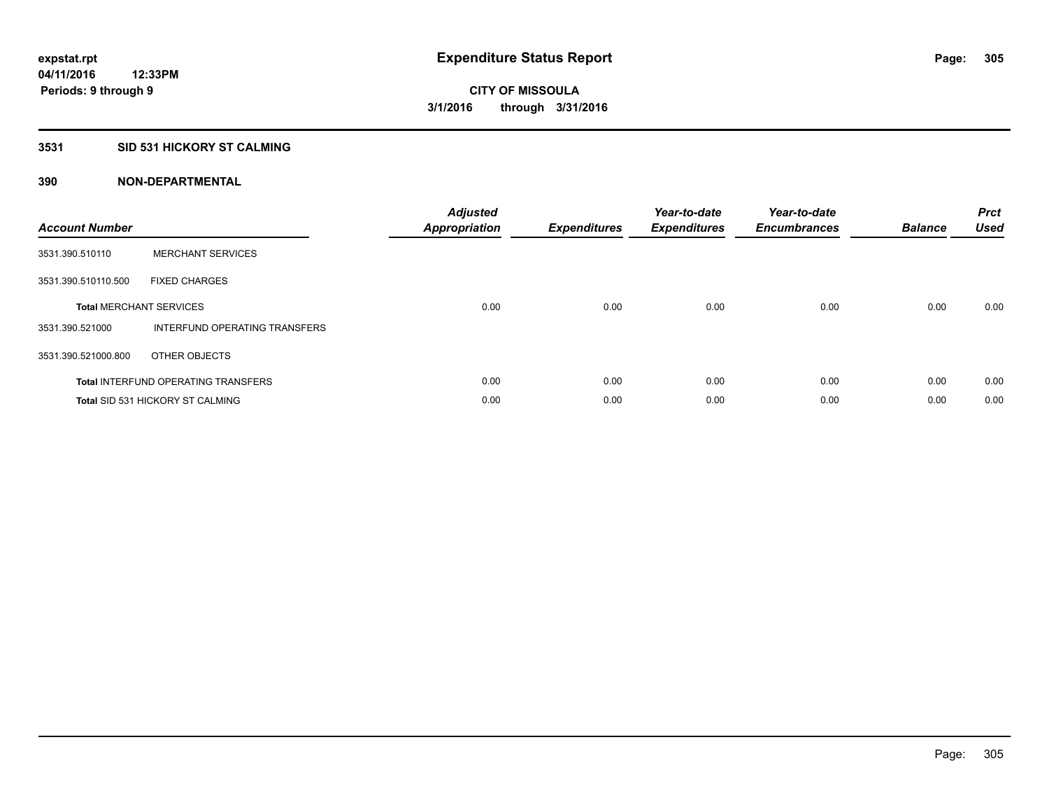### **3531 SID 531 HICKORY ST CALMING**

| <b>Account Number</b> |                                            | <b>Adjusted</b><br><b>Appropriation</b> | <b>Expenditures</b> | Year-to-date<br><b>Expenditures</b> | Year-to-date<br><b>Encumbrances</b> | <b>Balance</b> | <b>Prct</b><br><b>Used</b> |
|-----------------------|--------------------------------------------|-----------------------------------------|---------------------|-------------------------------------|-------------------------------------|----------------|----------------------------|
| 3531.390.510110       | <b>MERCHANT SERVICES</b>                   |                                         |                     |                                     |                                     |                |                            |
| 3531.390.510110.500   | <b>FIXED CHARGES</b>                       |                                         |                     |                                     |                                     |                |                            |
|                       | <b>Total MERCHANT SERVICES</b>             | 0.00                                    | 0.00                | 0.00                                | 0.00                                | 0.00           | 0.00                       |
| 3531.390.521000       | INTERFUND OPERATING TRANSFERS              |                                         |                     |                                     |                                     |                |                            |
| 3531.390.521000.800   | OTHER OBJECTS                              |                                         |                     |                                     |                                     |                |                            |
|                       | <b>Total INTERFUND OPERATING TRANSFERS</b> | 0.00                                    | 0.00                | 0.00                                | 0.00                                | 0.00           | 0.00                       |
|                       | <b>Total SID 531 HICKORY ST CALMING</b>    | 0.00                                    | 0.00                | 0.00                                | 0.00                                | 0.00           | 0.00                       |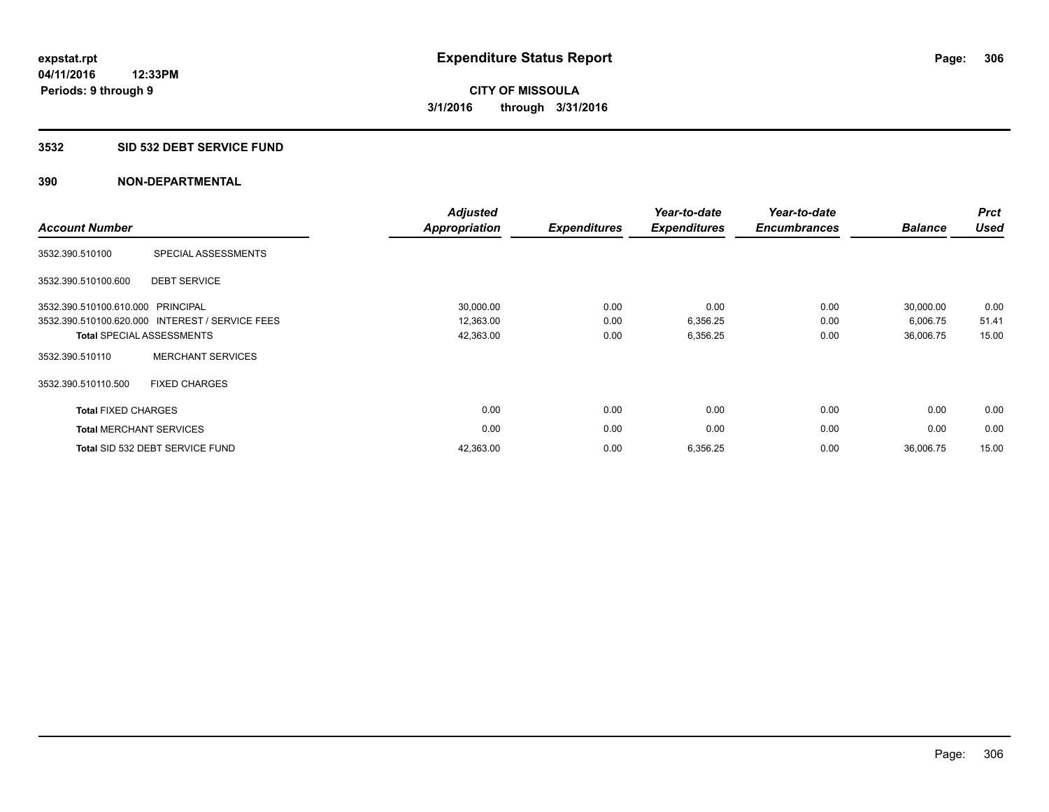#### **3532 SID 532 DEBT SERVICE FUND**

| <b>Account Number</b>          |                                                 | <b>Adjusted</b><br><b>Appropriation</b> | <b>Expenditures</b> | Year-to-date<br><b>Expenditures</b> | Year-to-date<br><b>Encumbrances</b> | <b>Balance</b> | <b>Prct</b><br><b>Used</b> |
|--------------------------------|-------------------------------------------------|-----------------------------------------|---------------------|-------------------------------------|-------------------------------------|----------------|----------------------------|
| 3532.390.510100                | SPECIAL ASSESSMENTS                             |                                         |                     |                                     |                                     |                |                            |
| 3532.390.510100.600            | <b>DEBT SERVICE</b>                             |                                         |                     |                                     |                                     |                |                            |
| 3532.390.510100.610.000        | PRINCIPAL                                       | 30,000.00                               | 0.00                | 0.00                                | 0.00                                | 30,000.00      | 0.00                       |
|                                | 3532.390.510100.620.000 INTEREST / SERVICE FEES | 12,363.00                               | 0.00                | 6,356.25                            | 0.00                                | 6,006.75       | 51.41                      |
|                                | <b>Total SPECIAL ASSESSMENTS</b>                | 42,363.00                               | 0.00                | 6,356.25                            | 0.00                                | 36,006.75      | 15.00                      |
| 3532.390.510110                | <b>MERCHANT SERVICES</b>                        |                                         |                     |                                     |                                     |                |                            |
| 3532.390.510110.500            | <b>FIXED CHARGES</b>                            |                                         |                     |                                     |                                     |                |                            |
| <b>Total FIXED CHARGES</b>     |                                                 | 0.00                                    | 0.00                | 0.00                                | 0.00                                | 0.00           | 0.00                       |
| <b>Total MERCHANT SERVICES</b> |                                                 | 0.00                                    | 0.00                | 0.00                                | 0.00                                | 0.00           | 0.00                       |
|                                | Total SID 532 DEBT SERVICE FUND                 | 42,363.00                               | 0.00                | 6,356.25                            | 0.00                                | 36,006.75      | 15.00                      |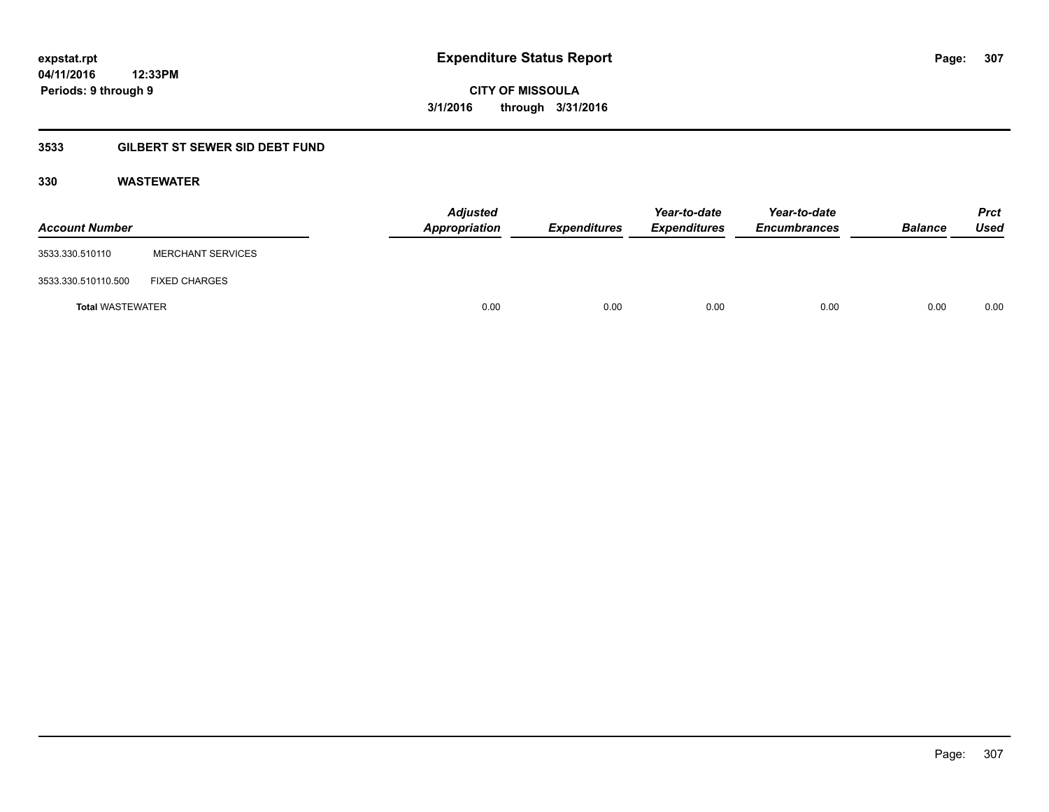### **04/11/2016 12:33PM Periods: 9 through 9**

**CITY OF MISSOULA 3/1/2016 through 3/31/2016**

### **3533 GILBERT ST SEWER SID DEBT FUND**

### **330 WASTEWATER**

| <b>Account Number</b>   |                          | Adjusted<br>Appropriation | <b>Expenditures</b> | Year-to-date<br><b>Expenditures</b> | Year-to-date<br><b>Encumbrances</b> | <b>Balance</b> | <b>Prct</b><br>Used |
|-------------------------|--------------------------|---------------------------|---------------------|-------------------------------------|-------------------------------------|----------------|---------------------|
| 3533.330.510110         | <b>MERCHANT SERVICES</b> |                           |                     |                                     |                                     |                |                     |
| 3533.330.510110.500     | <b>FIXED CHARGES</b>     |                           |                     |                                     |                                     |                |                     |
| <b>Total WASTEWATER</b> |                          | 0.00                      | 0.00                | 0.00                                | 0.00                                | 0.00           | 0.00                |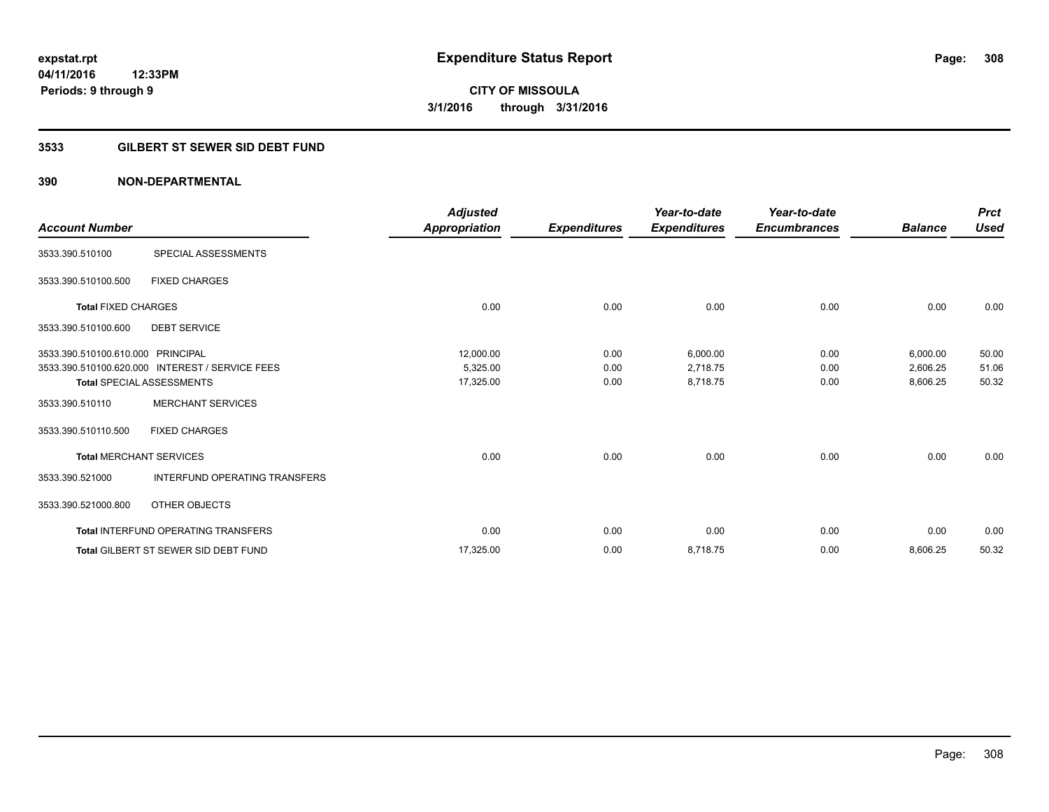### **3533 GILBERT ST SEWER SID DEBT FUND**

|                                   |                                                 | <b>Adjusted</b> |                     | Year-to-date        | Year-to-date        |                | <b>Prct</b> |
|-----------------------------------|-------------------------------------------------|-----------------|---------------------|---------------------|---------------------|----------------|-------------|
| <b>Account Number</b>             |                                                 | Appropriation   | <b>Expenditures</b> | <b>Expenditures</b> | <b>Encumbrances</b> | <b>Balance</b> | <b>Used</b> |
| 3533.390.510100                   | SPECIAL ASSESSMENTS                             |                 |                     |                     |                     |                |             |
| 3533.390.510100.500               | <b>FIXED CHARGES</b>                            |                 |                     |                     |                     |                |             |
| <b>Total FIXED CHARGES</b>        |                                                 | 0.00            | 0.00                | 0.00                | 0.00                | 0.00           | 0.00        |
| 3533.390.510100.600               | <b>DEBT SERVICE</b>                             |                 |                     |                     |                     |                |             |
| 3533.390.510100.610.000 PRINCIPAL |                                                 | 12,000.00       | 0.00                | 6,000.00            | 0.00                | 6,000.00       | 50.00       |
|                                   | 3533.390.510100.620.000 INTEREST / SERVICE FEES | 5,325.00        | 0.00                | 2,718.75            | 0.00                | 2,606.25       | 51.06       |
|                                   | <b>Total SPECIAL ASSESSMENTS</b>                | 17,325.00       | 0.00                | 8,718.75            | 0.00                | 8,606.25       | 50.32       |
| 3533.390.510110                   | <b>MERCHANT SERVICES</b>                        |                 |                     |                     |                     |                |             |
| 3533.390.510110.500               | <b>FIXED CHARGES</b>                            |                 |                     |                     |                     |                |             |
|                                   | <b>Total MERCHANT SERVICES</b>                  | 0.00            | 0.00                | 0.00                | 0.00                | 0.00           | 0.00        |
| 3533.390.521000                   | <b>INTERFUND OPERATING TRANSFERS</b>            |                 |                     |                     |                     |                |             |
| 3533.390.521000.800               | OTHER OBJECTS                                   |                 |                     |                     |                     |                |             |
|                                   | <b>Total INTERFUND OPERATING TRANSFERS</b>      | 0.00            | 0.00                | 0.00                | 0.00                | 0.00           | 0.00        |
|                                   | <b>Total GILBERT ST SEWER SID DEBT FUND</b>     | 17,325.00       | 0.00                | 8,718.75            | 0.00                | 8,606.25       | 50.32       |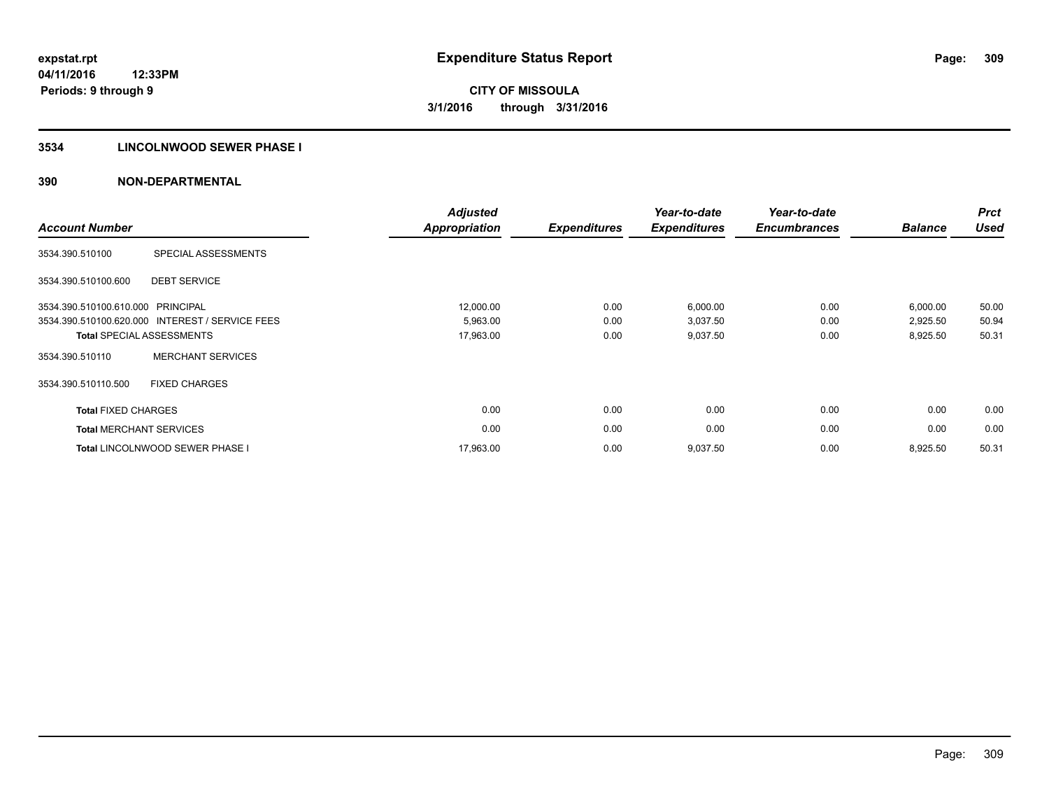### **3534 LINCOLNWOOD SEWER PHASE I**

| <b>Account Number</b>             |                                                 | <b>Adjusted</b><br><b>Appropriation</b> | <b>Expenditures</b> | Year-to-date<br><b>Expenditures</b> | Year-to-date<br><b>Encumbrances</b> | <b>Balance</b> | <b>Prct</b><br><b>Used</b> |
|-----------------------------------|-------------------------------------------------|-----------------------------------------|---------------------|-------------------------------------|-------------------------------------|----------------|----------------------------|
| 3534.390.510100                   | SPECIAL ASSESSMENTS                             |                                         |                     |                                     |                                     |                |                            |
| 3534.390.510100.600               | <b>DEBT SERVICE</b>                             |                                         |                     |                                     |                                     |                |                            |
| 3534.390.510100.610.000 PRINCIPAL |                                                 | 12,000.00                               | 0.00                | 6,000.00                            | 0.00                                | 6,000.00       | 50.00                      |
|                                   | 3534.390.510100.620.000 INTEREST / SERVICE FEES | 5,963.00                                | 0.00                | 3,037.50                            | 0.00                                | 2,925.50       | 50.94                      |
|                                   | <b>Total SPECIAL ASSESSMENTS</b>                | 17,963.00                               | 0.00                | 9,037.50                            | 0.00                                | 8,925.50       | 50.31                      |
| 3534.390.510110                   | <b>MERCHANT SERVICES</b>                        |                                         |                     |                                     |                                     |                |                            |
| 3534.390.510110.500               | <b>FIXED CHARGES</b>                            |                                         |                     |                                     |                                     |                |                            |
| <b>Total FIXED CHARGES</b>        |                                                 | 0.00                                    | 0.00                | 0.00                                | 0.00                                | 0.00           | 0.00                       |
|                                   | <b>Total MERCHANT SERVICES</b>                  | 0.00                                    | 0.00                | 0.00                                | 0.00                                | 0.00           | 0.00                       |
|                                   | <b>Total LINCOLNWOOD SEWER PHASE I</b>          | 17,963.00                               | 0.00                | 9,037.50                            | 0.00                                | 8,925.50       | 50.31                      |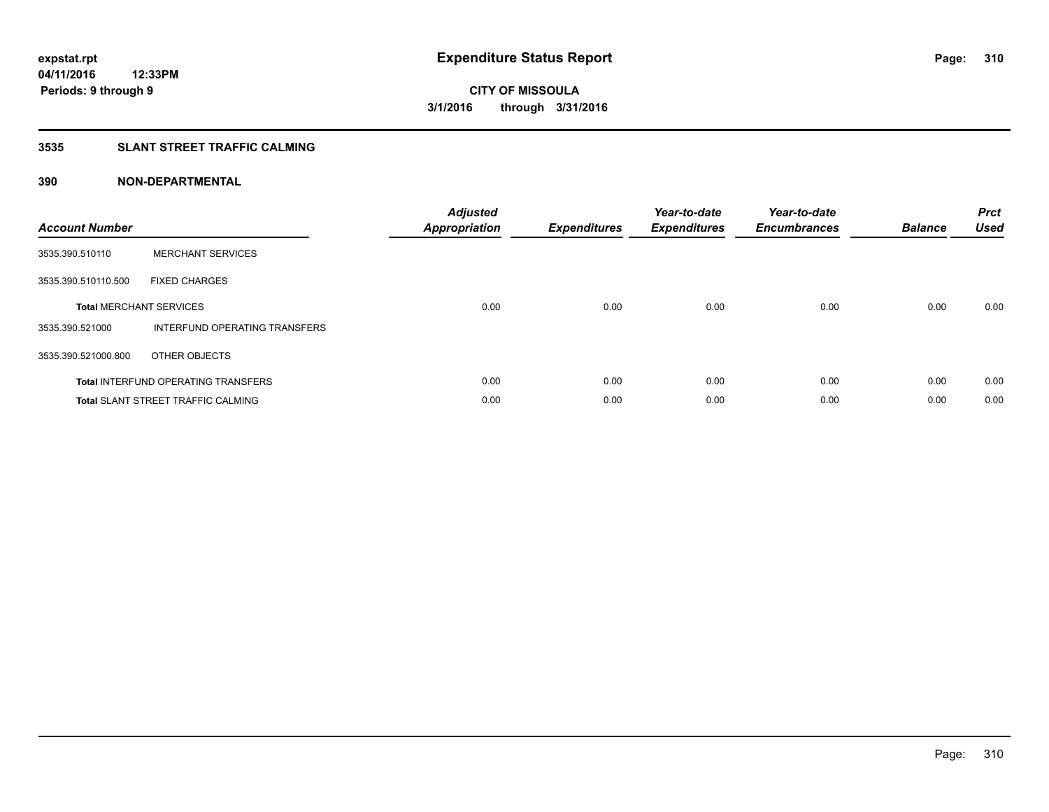### **3535 SLANT STREET TRAFFIC CALMING**

| <b>Account Number</b> |                                            | <b>Adjusted</b><br>Appropriation | <b>Expenditures</b> | Year-to-date<br><b>Expenditures</b> | Year-to-date<br><b>Encumbrances</b> | <b>Balance</b> | <b>Prct</b><br>Used |
|-----------------------|--------------------------------------------|----------------------------------|---------------------|-------------------------------------|-------------------------------------|----------------|---------------------|
| 3535.390.510110       | <b>MERCHANT SERVICES</b>                   |                                  |                     |                                     |                                     |                |                     |
| 3535.390.510110.500   | <b>FIXED CHARGES</b>                       |                                  |                     |                                     |                                     |                |                     |
|                       | <b>Total MERCHANT SERVICES</b>             | 0.00                             | 0.00                | 0.00                                | 0.00                                | 0.00           | 0.00                |
| 3535.390.521000       | INTERFUND OPERATING TRANSFERS              |                                  |                     |                                     |                                     |                |                     |
| 3535.390.521000.800   | OTHER OBJECTS                              |                                  |                     |                                     |                                     |                |                     |
|                       | <b>Total INTERFUND OPERATING TRANSFERS</b> | 0.00                             | 0.00                | 0.00                                | 0.00                                | 0.00           | 0.00                |
|                       | <b>Total SLANT STREET TRAFFIC CALMING</b>  | 0.00                             | 0.00                | 0.00                                | 0.00                                | 0.00           | 0.00                |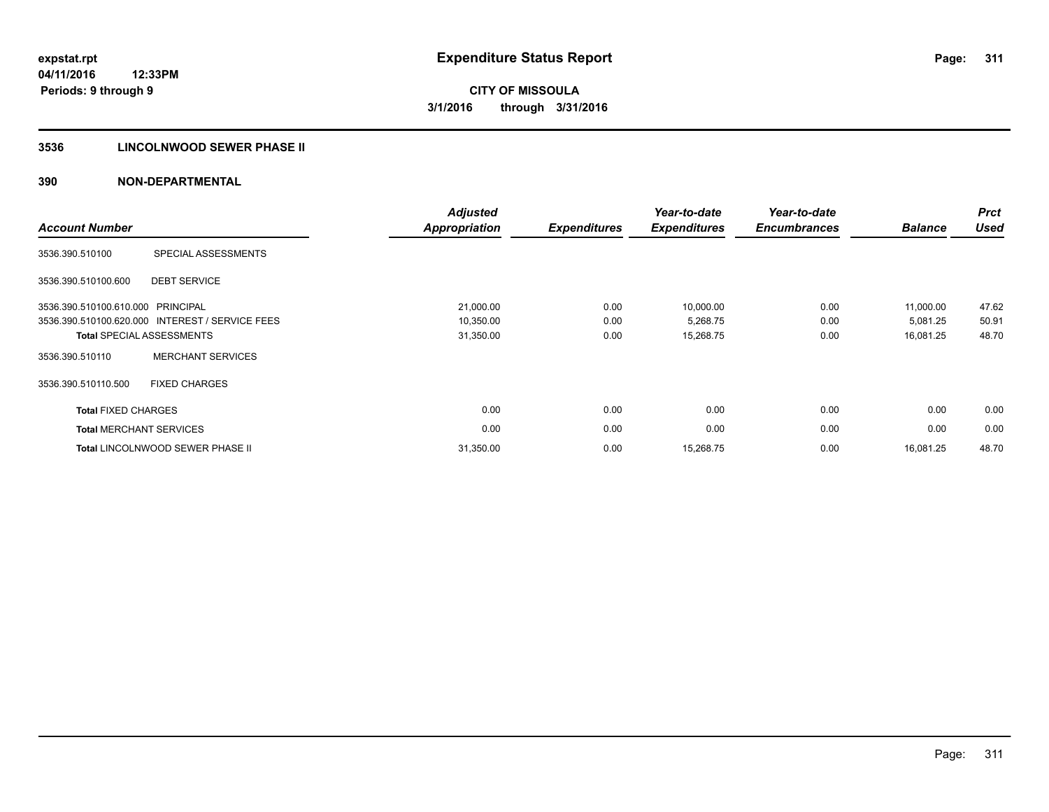### **3536 LINCOLNWOOD SEWER PHASE II**

| <b>Account Number</b>             |                                                 | <b>Adjusted</b><br><b>Appropriation</b> | <b>Expenditures</b> | Year-to-date<br><b>Expenditures</b> | Year-to-date<br><b>Encumbrances</b> | <b>Balance</b> | <b>Prct</b><br><b>Used</b> |
|-----------------------------------|-------------------------------------------------|-----------------------------------------|---------------------|-------------------------------------|-------------------------------------|----------------|----------------------------|
| 3536.390.510100                   | SPECIAL ASSESSMENTS                             |                                         |                     |                                     |                                     |                |                            |
| 3536.390.510100.600               | <b>DEBT SERVICE</b>                             |                                         |                     |                                     |                                     |                |                            |
| 3536.390.510100.610.000 PRINCIPAL |                                                 | 21,000.00                               | 0.00                | 10,000.00                           | 0.00                                | 11,000.00      | 47.62                      |
|                                   | 3536.390.510100.620.000 INTEREST / SERVICE FEES | 10,350.00                               | 0.00                | 5,268.75                            | 0.00                                | 5,081.25       | 50.91                      |
|                                   | <b>Total SPECIAL ASSESSMENTS</b>                | 31,350.00                               | 0.00                | 15,268.75                           | 0.00                                | 16,081.25      | 48.70                      |
| 3536.390.510110                   | <b>MERCHANT SERVICES</b>                        |                                         |                     |                                     |                                     |                |                            |
| 3536.390.510110.500               | <b>FIXED CHARGES</b>                            |                                         |                     |                                     |                                     |                |                            |
| <b>Total FIXED CHARGES</b>        |                                                 | 0.00                                    | 0.00                | 0.00                                | 0.00                                | 0.00           | 0.00                       |
|                                   | <b>Total MERCHANT SERVICES</b>                  | 0.00                                    | 0.00                | 0.00                                | 0.00                                | 0.00           | 0.00                       |
|                                   | <b>Total LINCOLNWOOD SEWER PHASE II</b>         | 31,350.00                               | 0.00                | 15,268.75                           | 0.00                                | 16,081.25      | 48.70                      |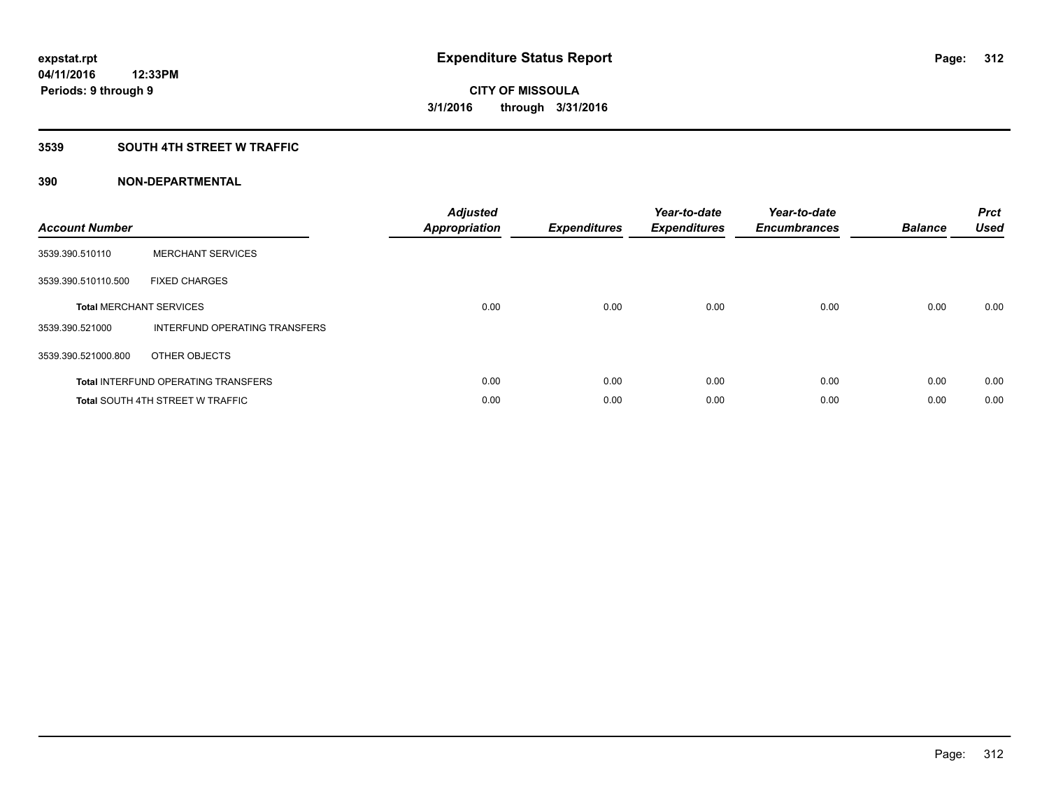### **3539 SOUTH 4TH STREET W TRAFFIC**

| <b>Account Number</b> |                                            | <b>Adjusted</b><br><b>Appropriation</b> | <b>Expenditures</b> | Year-to-date<br><b>Expenditures</b> | Year-to-date<br><b>Encumbrances</b> | <b>Balance</b> | <b>Prct</b><br><b>Used</b> |
|-----------------------|--------------------------------------------|-----------------------------------------|---------------------|-------------------------------------|-------------------------------------|----------------|----------------------------|
| 3539.390.510110       | <b>MERCHANT SERVICES</b>                   |                                         |                     |                                     |                                     |                |                            |
| 3539.390.510110.500   | <b>FIXED CHARGES</b>                       |                                         |                     |                                     |                                     |                |                            |
|                       | <b>Total MERCHANT SERVICES</b>             | 0.00                                    | 0.00                | 0.00                                | 0.00                                | 0.00           | 0.00                       |
| 3539.390.521000       | INTERFUND OPERATING TRANSFERS              |                                         |                     |                                     |                                     |                |                            |
| 3539.390.521000.800   | OTHER OBJECTS                              |                                         |                     |                                     |                                     |                |                            |
|                       | <b>Total INTERFUND OPERATING TRANSFERS</b> | 0.00                                    | 0.00                | 0.00                                | 0.00                                | 0.00           | 0.00                       |
|                       | <b>Total SOUTH 4TH STREET W TRAFFIC</b>    | 0.00                                    | 0.00                | 0.00                                | 0.00                                | 0.00           | 0.00                       |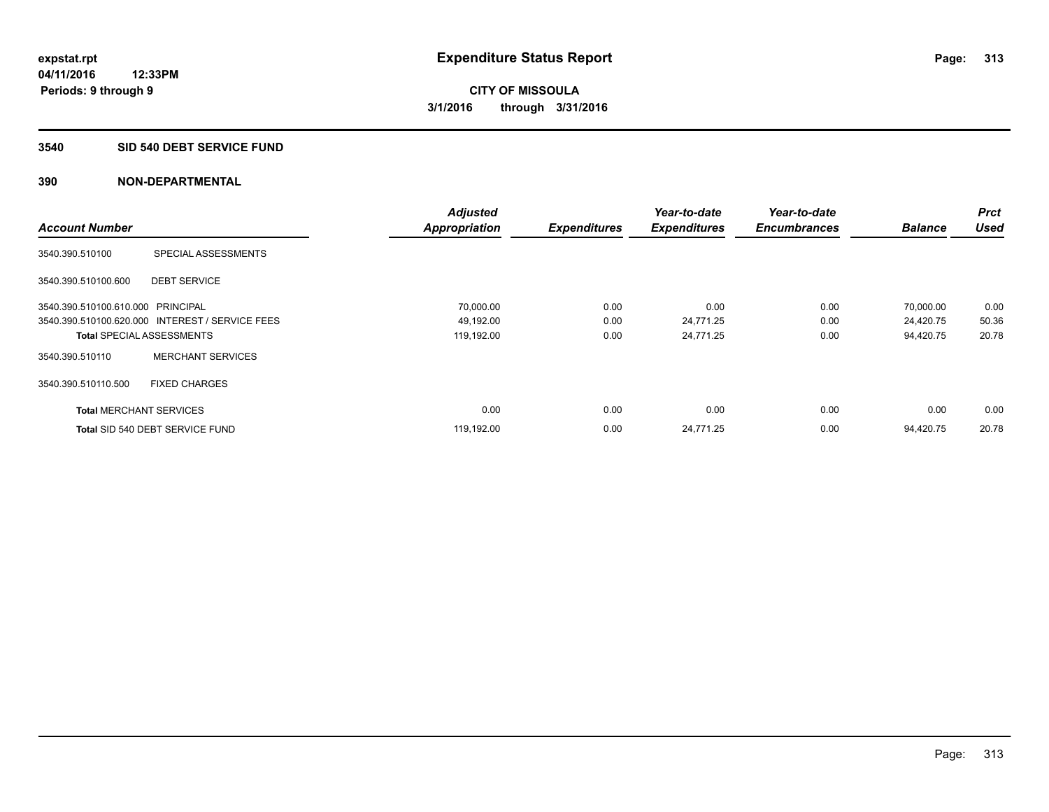#### **3540 SID 540 DEBT SERVICE FUND**

|                                   |                                                 | <b>Adjusted</b>      |                     | Year-to-date        | Year-to-date        |                | <b>Prct</b> |
|-----------------------------------|-------------------------------------------------|----------------------|---------------------|---------------------|---------------------|----------------|-------------|
| <b>Account Number</b>             |                                                 | <b>Appropriation</b> | <b>Expenditures</b> | <b>Expenditures</b> | <b>Encumbrances</b> | <b>Balance</b> | <b>Used</b> |
| 3540.390.510100                   | SPECIAL ASSESSMENTS                             |                      |                     |                     |                     |                |             |
| 3540.390.510100.600               | <b>DEBT SERVICE</b>                             |                      |                     |                     |                     |                |             |
| 3540.390.510100.610.000 PRINCIPAL |                                                 | 70,000.00            | 0.00                | 0.00                | 0.00                | 70,000.00      | 0.00        |
|                                   | 3540.390.510100.620.000 INTEREST / SERVICE FEES | 49,192.00            | 0.00                | 24,771.25           | 0.00                | 24,420.75      | 50.36       |
| <b>Total SPECIAL ASSESSMENTS</b>  |                                                 | 119,192.00           | 0.00                | 24,771.25           | 0.00                | 94,420.75      | 20.78       |
| 3540.390.510110                   | <b>MERCHANT SERVICES</b>                        |                      |                     |                     |                     |                |             |
| 3540.390.510110.500               | <b>FIXED CHARGES</b>                            |                      |                     |                     |                     |                |             |
| <b>Total MERCHANT SERVICES</b>    |                                                 | 0.00                 | 0.00                | 0.00                | 0.00                | 0.00           | 0.00        |
|                                   | Total SID 540 DEBT SERVICE FUND                 | 119,192.00           | 0.00                | 24,771.25           | 0.00                | 94.420.75      | 20.78       |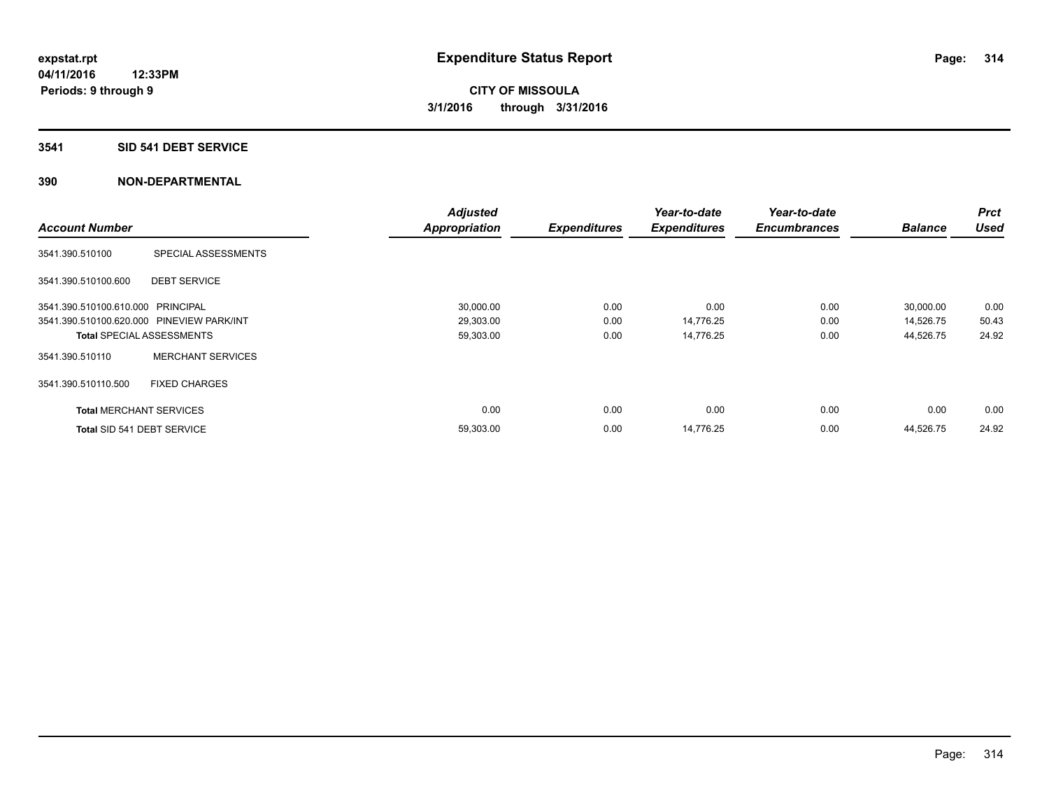### **3541 SID 541 DEBT SERVICE**

|                                           |                                  | <b>Adjusted</b>      |                     | Year-to-date        | Year-to-date        |                | <b>Prct</b> |
|-------------------------------------------|----------------------------------|----------------------|---------------------|---------------------|---------------------|----------------|-------------|
| <b>Account Number</b>                     |                                  | <b>Appropriation</b> | <b>Expenditures</b> | <b>Expenditures</b> | <b>Encumbrances</b> | <b>Balance</b> | <b>Used</b> |
| 3541.390.510100                           | SPECIAL ASSESSMENTS              |                      |                     |                     |                     |                |             |
| 3541.390.510100.600                       | <b>DEBT SERVICE</b>              |                      |                     |                     |                     |                |             |
| 3541.390.510100.610.000 PRINCIPAL         |                                  | 30,000.00            | 0.00                | 0.00                | 0.00                | 30,000.00      | 0.00        |
| 3541.390.510100.620.000 PINEVIEW PARK/INT |                                  | 29,303.00            | 0.00                | 14,776.25           | 0.00                | 14,526.75      | 50.43       |
|                                           | <b>Total SPECIAL ASSESSMENTS</b> | 59,303.00            | 0.00                | 14,776.25           | 0.00                | 44,526.75      | 24.92       |
| 3541.390.510110                           | <b>MERCHANT SERVICES</b>         |                      |                     |                     |                     |                |             |
| 3541.390.510110.500                       | <b>FIXED CHARGES</b>             |                      |                     |                     |                     |                |             |
| <b>Total MERCHANT SERVICES</b>            |                                  | 0.00                 | 0.00                | 0.00                | 0.00                | 0.00           | 0.00        |
| Total SID 541 DEBT SERVICE                |                                  | 59,303.00            | 0.00                | 14,776.25           | 0.00                | 44,526.75      | 24.92       |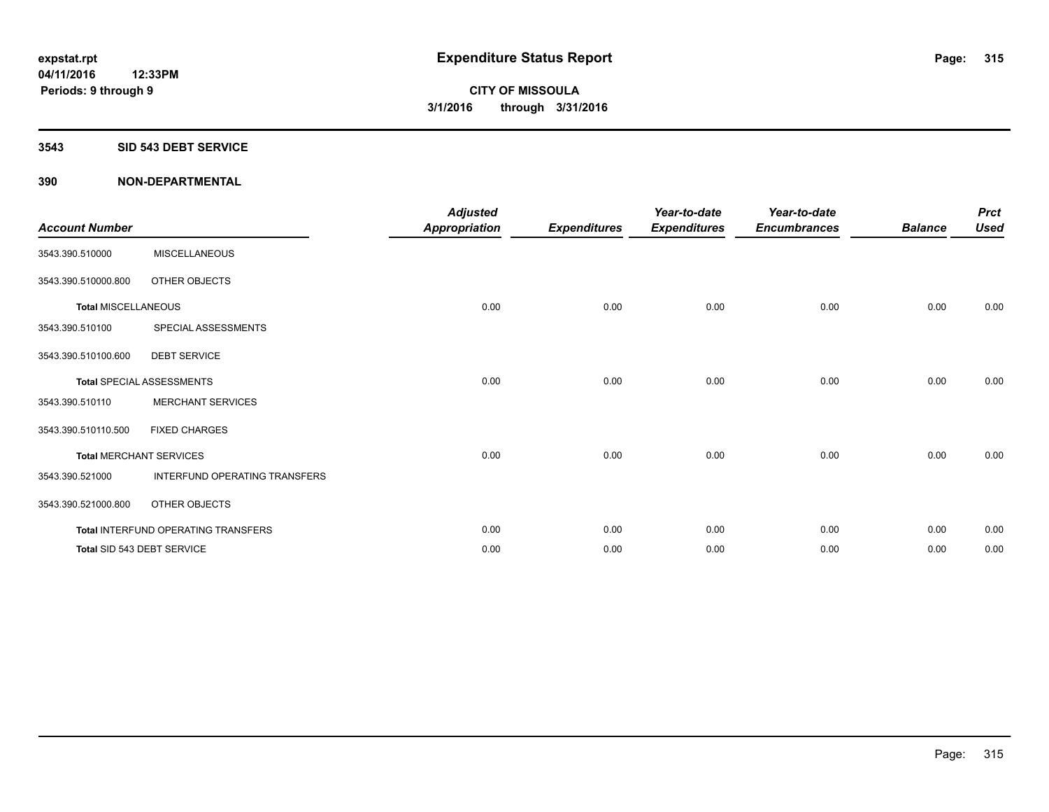#### **3543 SID 543 DEBT SERVICE**

| <b>Account Number</b>      |                                     | <b>Adjusted</b><br><b>Appropriation</b> | <b>Expenditures</b> | Year-to-date<br><b>Expenditures</b> | Year-to-date<br><b>Encumbrances</b> | <b>Balance</b> | <b>Prct</b><br><b>Used</b> |
|----------------------------|-------------------------------------|-----------------------------------------|---------------------|-------------------------------------|-------------------------------------|----------------|----------------------------|
| 3543.390.510000            | <b>MISCELLANEOUS</b>                |                                         |                     |                                     |                                     |                |                            |
| 3543.390.510000.800        | OTHER OBJECTS                       |                                         |                     |                                     |                                     |                |                            |
| <b>Total MISCELLANEOUS</b> |                                     | 0.00                                    | 0.00                | 0.00                                | 0.00                                | 0.00           | 0.00                       |
| 3543.390.510100            | SPECIAL ASSESSMENTS                 |                                         |                     |                                     |                                     |                |                            |
| 3543.390.510100.600        | <b>DEBT SERVICE</b>                 |                                         |                     |                                     |                                     |                |                            |
|                            | <b>Total SPECIAL ASSESSMENTS</b>    | 0.00                                    | 0.00                | 0.00                                | 0.00                                | 0.00           | 0.00                       |
| 3543.390.510110            | <b>MERCHANT SERVICES</b>            |                                         |                     |                                     |                                     |                |                            |
| 3543.390.510110.500        | <b>FIXED CHARGES</b>                |                                         |                     |                                     |                                     |                |                            |
|                            | <b>Total MERCHANT SERVICES</b>      | 0.00                                    | 0.00                | 0.00                                | 0.00                                | 0.00           | 0.00                       |
| 3543.390.521000            | INTERFUND OPERATING TRANSFERS       |                                         |                     |                                     |                                     |                |                            |
| 3543.390.521000.800        | OTHER OBJECTS                       |                                         |                     |                                     |                                     |                |                            |
|                            | Total INTERFUND OPERATING TRANSFERS | 0.00                                    | 0.00                | 0.00                                | 0.00                                | 0.00           | 0.00                       |
|                            | Total SID 543 DEBT SERVICE          | 0.00                                    | 0.00                | 0.00                                | 0.00                                | 0.00           | 0.00                       |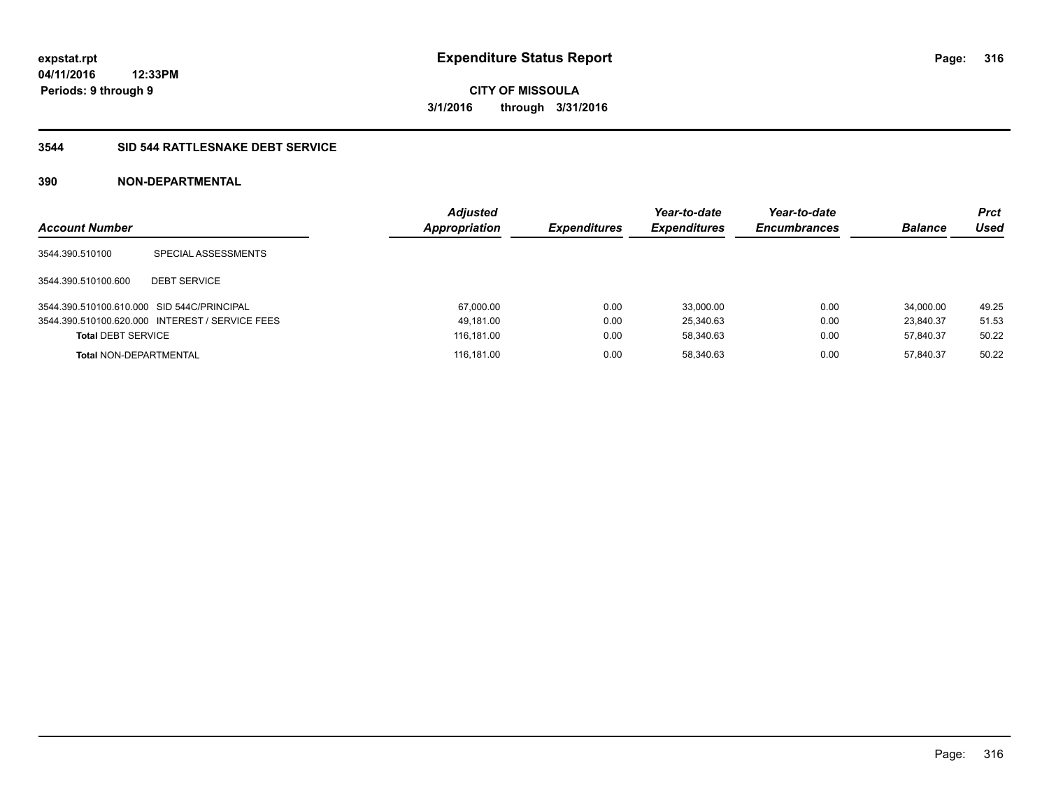### **3544 SID 544 RATTLESNAKE DEBT SERVICE**

| <b>Account Number</b>                      |                                                 | <b>Adjusted</b><br><b>Appropriation</b> | <b>Expenditures</b> | Year-to-date<br><b>Expenditures</b> | Year-to-date<br><b>Encumbrances</b> | <b>Balance</b> | <b>Prct</b><br>Used |
|--------------------------------------------|-------------------------------------------------|-----------------------------------------|---------------------|-------------------------------------|-------------------------------------|----------------|---------------------|
| 3544.390.510100                            | SPECIAL ASSESSMENTS                             |                                         |                     |                                     |                                     |                |                     |
| 3544.390.510100.600                        | <b>DEBT SERVICE</b>                             |                                         |                     |                                     |                                     |                |                     |
| 3544.390.510100.610.000 SID 544C/PRINCIPAL |                                                 | 67,000.00                               | 0.00                | 33.000.00                           | 0.00                                | 34.000.00      | 49.25               |
|                                            | 3544.390.510100.620.000 INTEREST / SERVICE FEES | 49,181.00                               | 0.00                | 25,340.63                           | 0.00                                | 23.840.37      | 51.53               |
| <b>Total DEBT SERVICE</b>                  |                                                 | 116,181.00                              | 0.00                | 58.340.63                           | 0.00                                | 57.840.37      | 50.22               |
| <b>Total NON-DEPARTMENTAL</b>              |                                                 | 116,181.00                              | 0.00                | 58.340.63                           | 0.00                                | 57.840.37      | 50.22               |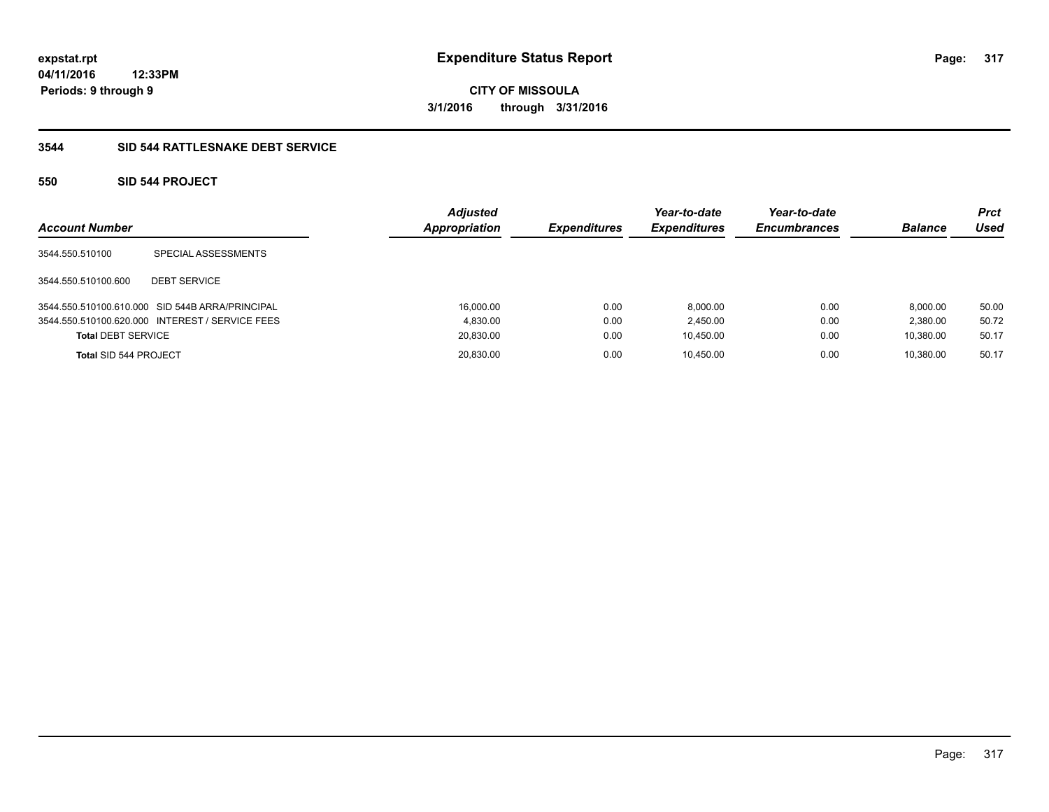**Periods: 9 through 9**

**CITY OF MISSOULA 3/1/2016 through 3/31/2016**

### **3544 SID 544 RATTLESNAKE DEBT SERVICE**

### **550 SID 544 PROJECT**

**12:33PM**

| <b>Account Number</b>     |                                                 | <b>Adjusted</b><br><b>Appropriation</b> | <b>Expenditures</b> | Year-to-date<br><b>Expenditures</b> | Year-to-date<br><b>Encumbrances</b> | <b>Balance</b> | Prct<br>Used |
|---------------------------|-------------------------------------------------|-----------------------------------------|---------------------|-------------------------------------|-------------------------------------|----------------|--------------|
| 3544.550.510100           | SPECIAL ASSESSMENTS                             |                                         |                     |                                     |                                     |                |              |
| 3544.550.510100.600       | <b>DEBT SERVICE</b>                             |                                         |                     |                                     |                                     |                |              |
|                           | 3544.550.510100.610.000 SID 544B ARRA/PRINCIPAL | 16.000.00                               | 0.00                | 8.000.00                            | 0.00                                | 8.000.00       | 50.00        |
|                           | 3544.550.510100.620.000 INTEREST / SERVICE FEES | 4.830.00                                | 0.00                | 2.450.00                            | 0.00                                | 2.380.00       | 50.72        |
| <b>Total DEBT SERVICE</b> |                                                 | 20,830.00                               | 0.00                | 10.450.00                           | 0.00                                | 10.380.00      | 50.17        |
| Total SID 544 PROJECT     |                                                 | 20,830.00                               | 0.00                | 10.450.00                           | 0.00                                | 10.380.00      | 50.17        |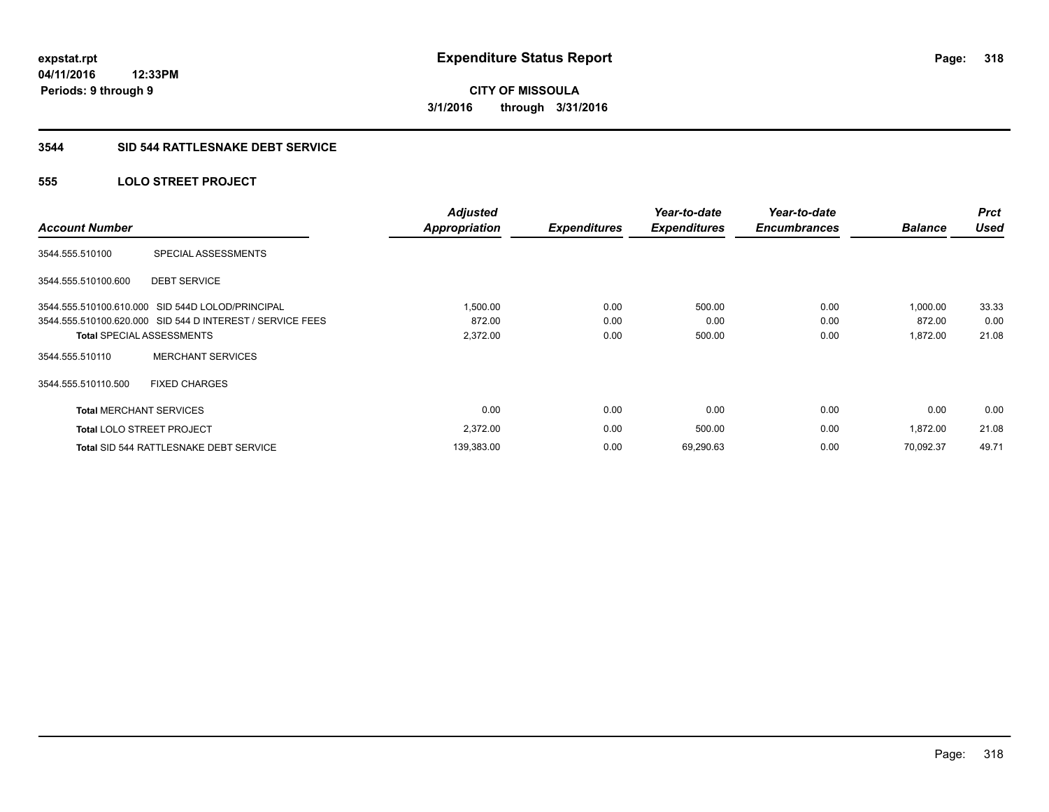#### **3544 SID 544 RATTLESNAKE DEBT SERVICE**

### **555 LOLO STREET PROJECT**

| <b>Account Number</b>            |                                                           | <b>Adjusted</b><br><b>Appropriation</b> | <b>Expenditures</b> | Year-to-date<br><b>Expenditures</b> | Year-to-date<br><b>Encumbrances</b> | <b>Balance</b> | <b>Prct</b><br><b>Used</b> |
|----------------------------------|-----------------------------------------------------------|-----------------------------------------|---------------------|-------------------------------------|-------------------------------------|----------------|----------------------------|
| 3544.555.510100                  | SPECIAL ASSESSMENTS                                       |                                         |                     |                                     |                                     |                |                            |
| 3544.555.510100.600              | <b>DEBT SERVICE</b>                                       |                                         |                     |                                     |                                     |                |                            |
|                                  | 3544.555.510100.610.000 SID 544D LOLOD/PRINCIPAL          | 1,500.00                                | 0.00                | 500.00                              | 0.00                                | 1,000.00       | 33.33                      |
|                                  | 3544.555.510100.620.000 SID 544 D INTEREST / SERVICE FEES | 872.00                                  | 0.00                | 0.00                                | 0.00                                | 872.00         | 0.00                       |
|                                  | <b>Total SPECIAL ASSESSMENTS</b>                          | 2,372.00                                | 0.00                | 500.00                              | 0.00                                | 1,872.00       | 21.08                      |
| 3544.555.510110                  | <b>MERCHANT SERVICES</b>                                  |                                         |                     |                                     |                                     |                |                            |
| 3544.555.510110.500              | <b>FIXED CHARGES</b>                                      |                                         |                     |                                     |                                     |                |                            |
| <b>Total MERCHANT SERVICES</b>   |                                                           | 0.00                                    | 0.00                | 0.00                                | 0.00                                | 0.00           | 0.00                       |
| <b>Total LOLO STREET PROJECT</b> |                                                           | 2,372.00                                | 0.00                | 500.00                              | 0.00                                | 1,872.00       | 21.08                      |
|                                  | <b>Total SID 544 RATTLESNAKE DEBT SERVICE</b>             | 139,383.00                              | 0.00                | 69,290.63                           | 0.00                                | 70.092.37      | 49.71                      |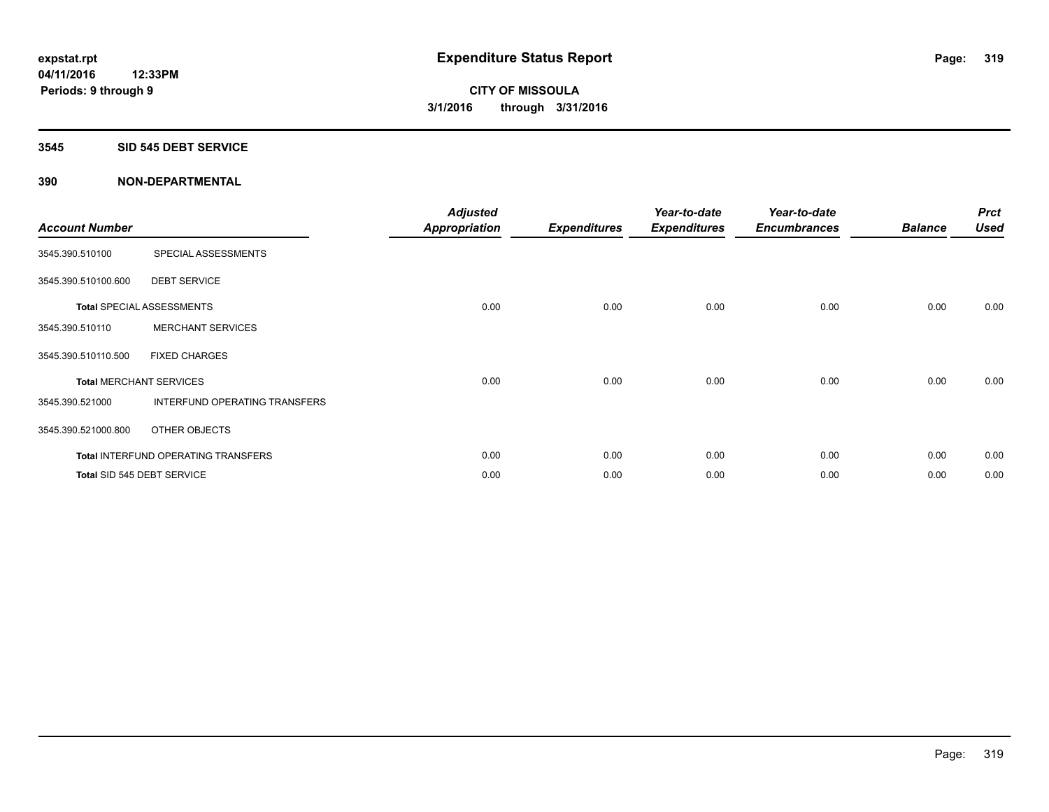#### **3545 SID 545 DEBT SERVICE**

| <b>Account Number</b>          |                                            | <b>Adjusted</b><br>Appropriation | <b>Expenditures</b> | Year-to-date<br><b>Expenditures</b> | Year-to-date<br><b>Encumbrances</b> | <b>Balance</b> | <b>Prct</b><br><b>Used</b> |
|--------------------------------|--------------------------------------------|----------------------------------|---------------------|-------------------------------------|-------------------------------------|----------------|----------------------------|
| 3545.390.510100                | SPECIAL ASSESSMENTS                        |                                  |                     |                                     |                                     |                |                            |
| 3545.390.510100.600            | <b>DEBT SERVICE</b>                        |                                  |                     |                                     |                                     |                |                            |
|                                | <b>Total SPECIAL ASSESSMENTS</b>           | 0.00                             | 0.00                | 0.00                                | 0.00                                | 0.00           | 0.00                       |
| 3545.390.510110                | <b>MERCHANT SERVICES</b>                   |                                  |                     |                                     |                                     |                |                            |
| 3545.390.510110.500            | <b>FIXED CHARGES</b>                       |                                  |                     |                                     |                                     |                |                            |
| <b>Total MERCHANT SERVICES</b> |                                            | 0.00                             | 0.00                | 0.00                                | 0.00                                | 0.00           | 0.00                       |
| 3545.390.521000                | INTERFUND OPERATING TRANSFERS              |                                  |                     |                                     |                                     |                |                            |
| 3545.390.521000.800            | OTHER OBJECTS                              |                                  |                     |                                     |                                     |                |                            |
|                                | <b>Total INTERFUND OPERATING TRANSFERS</b> | 0.00                             | 0.00                | 0.00                                | 0.00                                | 0.00           | 0.00                       |
|                                | Total SID 545 DEBT SERVICE                 | 0.00                             | 0.00                | 0.00                                | 0.00                                | 0.00           | 0.00                       |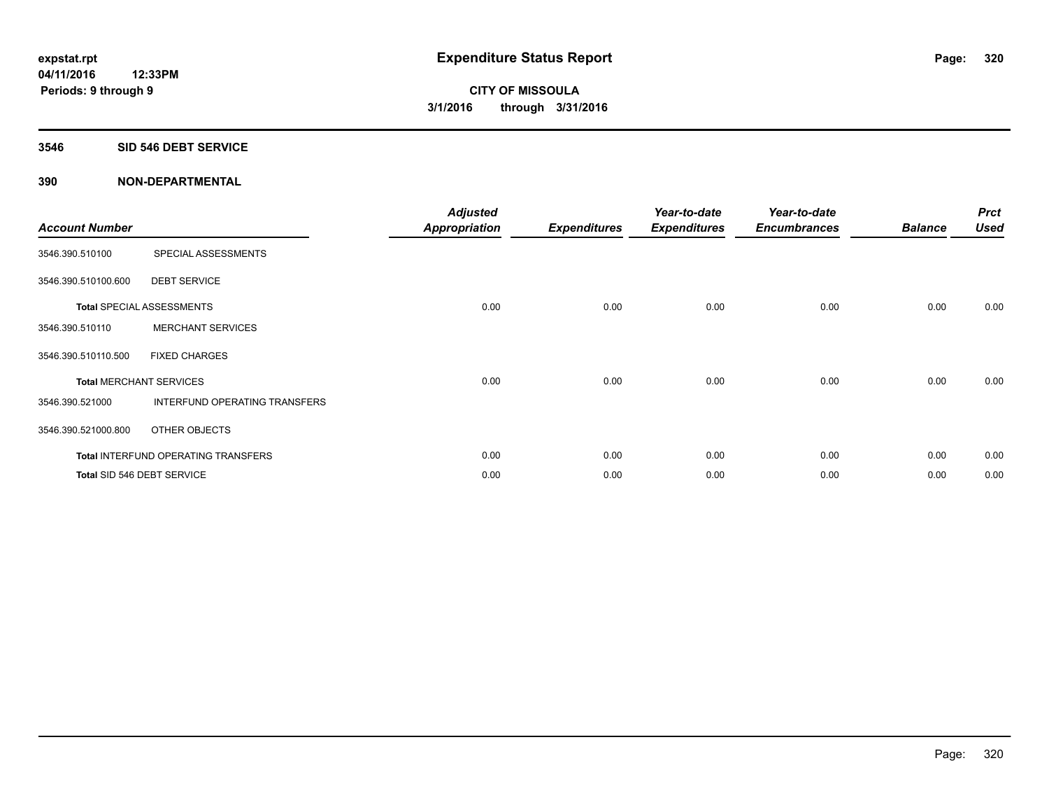### **3546 SID 546 DEBT SERVICE**

| <b>Account Number</b>          |                                            | <b>Adjusted</b><br><b>Appropriation</b> | <b>Expenditures</b> | Year-to-date<br><b>Expenditures</b> | Year-to-date<br><b>Encumbrances</b> | <b>Balance</b> | <b>Prct</b><br><b>Used</b> |
|--------------------------------|--------------------------------------------|-----------------------------------------|---------------------|-------------------------------------|-------------------------------------|----------------|----------------------------|
| 3546.390.510100                | SPECIAL ASSESSMENTS                        |                                         |                     |                                     |                                     |                |                            |
| 3546.390.510100.600            | <b>DEBT SERVICE</b>                        |                                         |                     |                                     |                                     |                |                            |
|                                | <b>Total SPECIAL ASSESSMENTS</b>           | 0.00                                    | 0.00                | 0.00                                | 0.00                                | 0.00           | 0.00                       |
| 3546.390.510110                | <b>MERCHANT SERVICES</b>                   |                                         |                     |                                     |                                     |                |                            |
| 3546.390.510110.500            | <b>FIXED CHARGES</b>                       |                                         |                     |                                     |                                     |                |                            |
| <b>Total MERCHANT SERVICES</b> |                                            | 0.00                                    | 0.00                | 0.00                                | 0.00                                | 0.00           | 0.00                       |
| 3546.390.521000                | INTERFUND OPERATING TRANSFERS              |                                         |                     |                                     |                                     |                |                            |
| 3546.390.521000.800            | OTHER OBJECTS                              |                                         |                     |                                     |                                     |                |                            |
|                                | <b>Total INTERFUND OPERATING TRANSFERS</b> | 0.00                                    | 0.00                | 0.00                                | 0.00                                | 0.00           | 0.00                       |
|                                | Total SID 546 DEBT SERVICE                 | 0.00                                    | 0.00                | 0.00                                | 0.00                                | 0.00           | 0.00                       |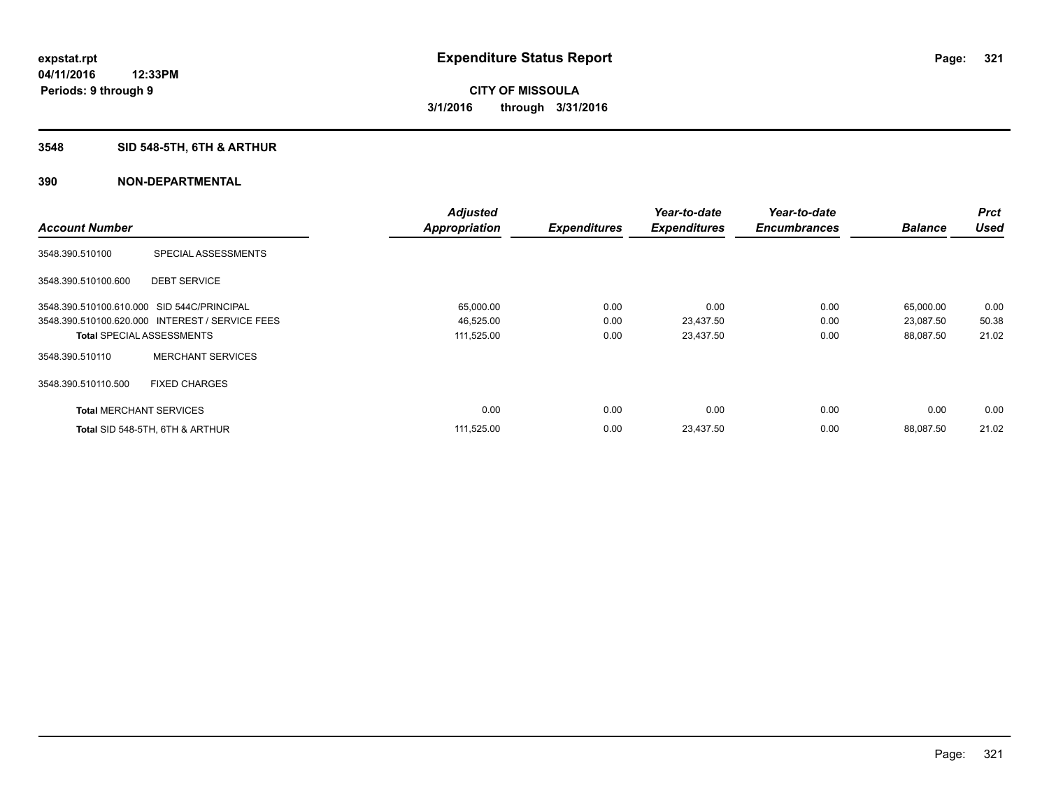### **3548 SID 548-5TH, 6TH & ARTHUR**

|                                            |                                                 | <b>Adjusted</b>      |                     | Year-to-date        | Year-to-date        |                | <b>Prct</b> |
|--------------------------------------------|-------------------------------------------------|----------------------|---------------------|---------------------|---------------------|----------------|-------------|
| <b>Account Number</b>                      |                                                 | <b>Appropriation</b> | <b>Expenditures</b> | <b>Expenditures</b> | <b>Encumbrances</b> | <b>Balance</b> | <b>Used</b> |
| 3548.390.510100                            | SPECIAL ASSESSMENTS                             |                      |                     |                     |                     |                |             |
| 3548.390.510100.600                        | <b>DEBT SERVICE</b>                             |                      |                     |                     |                     |                |             |
| 3548.390.510100.610.000 SID 544C/PRINCIPAL |                                                 | 65,000.00            | 0.00                | 0.00                | 0.00                | 65,000.00      | 0.00        |
|                                            | 3548.390.510100.620.000 INTEREST / SERVICE FEES | 46,525.00            | 0.00                | 23,437.50           | 0.00                | 23,087.50      | 50.38       |
|                                            | <b>Total SPECIAL ASSESSMENTS</b>                | 111,525.00           | 0.00                | 23,437.50           | 0.00                | 88,087.50      | 21.02       |
| 3548.390.510110                            | <b>MERCHANT SERVICES</b>                        |                      |                     |                     |                     |                |             |
| 3548.390.510110.500                        | <b>FIXED CHARGES</b>                            |                      |                     |                     |                     |                |             |
| <b>Total MERCHANT SERVICES</b>             |                                                 | 0.00                 | 0.00                | 0.00                | 0.00                | 0.00           | 0.00        |
|                                            | Total SID 548-5TH, 6TH & ARTHUR                 | 111,525.00           | 0.00                | 23,437.50           | 0.00                | 88.087.50      | 21.02       |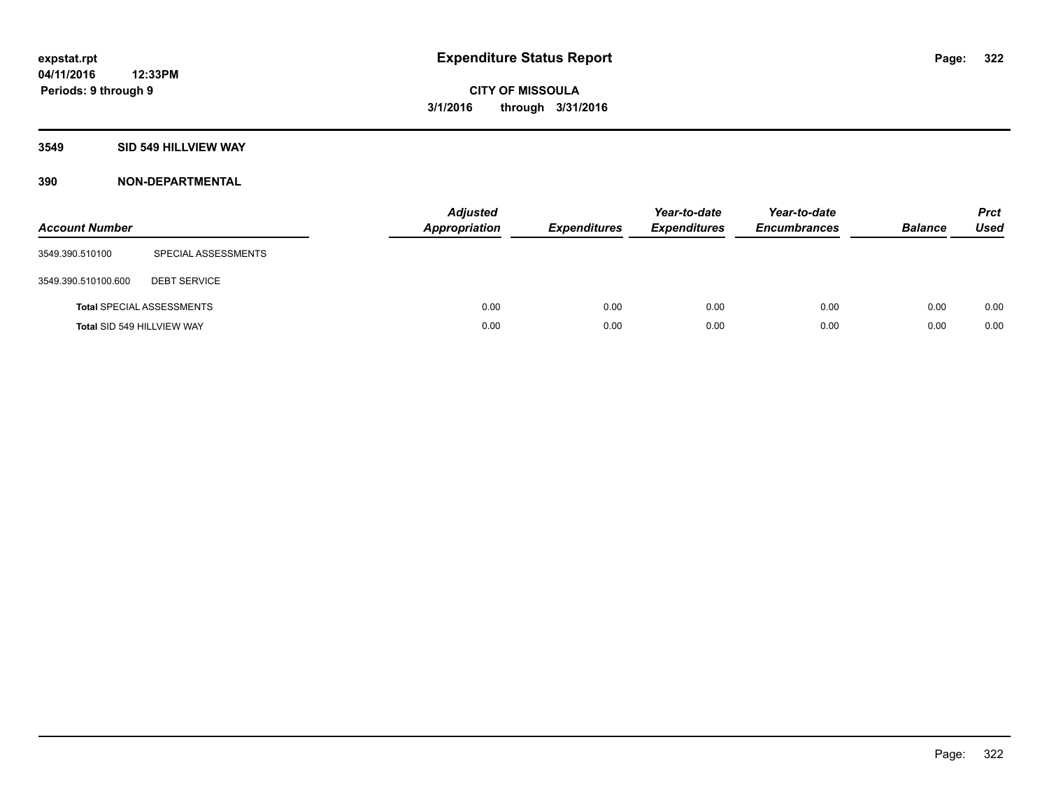#### **3549 SID 549 HILLVIEW WAY**

| <b>Account Number</b> |                                  | <b>Adjusted</b><br>Appropriation | <b>Expenditures</b> | Year-to-date<br><b>Expenditures</b> | Year-to-date<br><b>Encumbrances</b> | <b>Balance</b> | <b>Prct</b><br><b>Used</b> |
|-----------------------|----------------------------------|----------------------------------|---------------------|-------------------------------------|-------------------------------------|----------------|----------------------------|
| 3549.390.510100       | SPECIAL ASSESSMENTS              |                                  |                     |                                     |                                     |                |                            |
| 3549.390.510100.600   | <b>DEBT SERVICE</b>              |                                  |                     |                                     |                                     |                |                            |
|                       | <b>Total SPECIAL ASSESSMENTS</b> | 0.00                             | 0.00                | 0.00                                | 0.00                                | 0.00           | 0.00                       |
|                       | Total SID 549 HILLVIEW WAY       | 0.00                             | 0.00                | 0.00                                | 0.00                                | 0.00           | 0.00                       |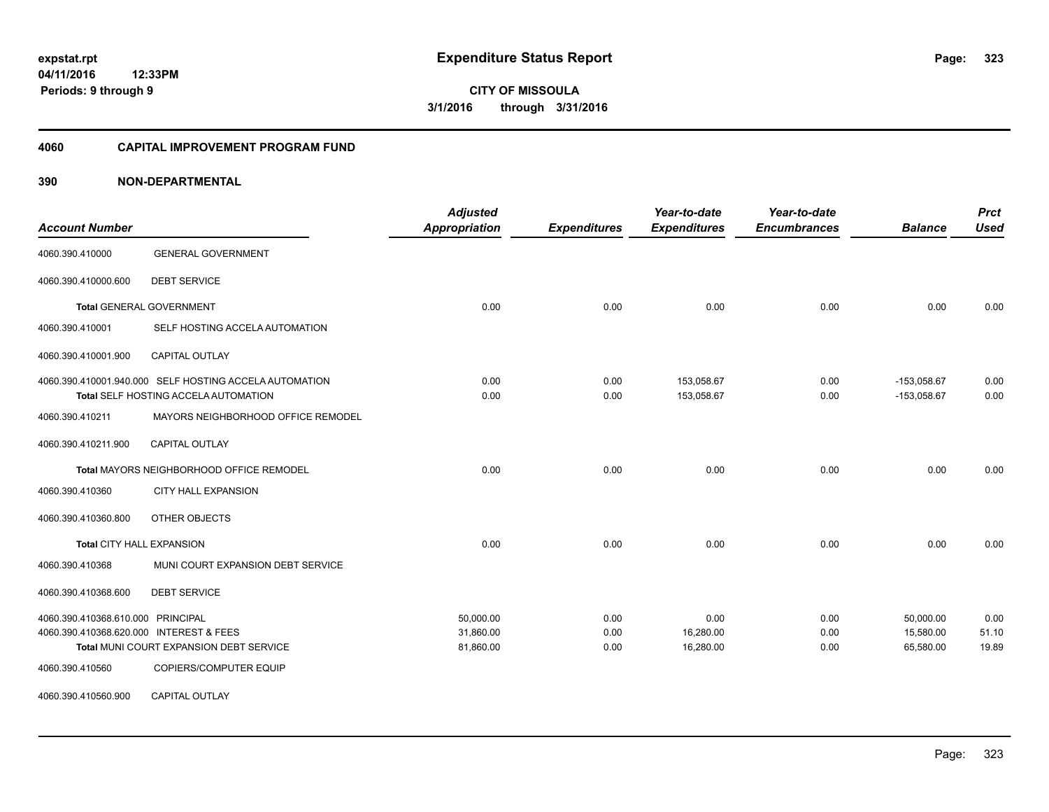#### **4060 CAPITAL IMPROVEMENT PROGRAM FUND**

| <b>Account Number</b>                   |                                                                                                | <b>Adjusted</b><br><b>Appropriation</b> | <b>Expenditures</b> | Year-to-date<br><b>Expenditures</b> | Year-to-date<br><b>Encumbrances</b> | <b>Balance</b>                 | <b>Prct</b><br><b>Used</b> |
|-----------------------------------------|------------------------------------------------------------------------------------------------|-----------------------------------------|---------------------|-------------------------------------|-------------------------------------|--------------------------------|----------------------------|
| 4060.390.410000                         | <b>GENERAL GOVERNMENT</b>                                                                      |                                         |                     |                                     |                                     |                                |                            |
| 4060.390.410000.600                     | <b>DEBT SERVICE</b>                                                                            |                                         |                     |                                     |                                     |                                |                            |
|                                         | <b>Total GENERAL GOVERNMENT</b>                                                                | 0.00                                    | 0.00                | 0.00                                | 0.00                                | 0.00                           | 0.00                       |
| 4060.390.410001                         | SELF HOSTING ACCELA AUTOMATION                                                                 |                                         |                     |                                     |                                     |                                |                            |
| 4060.390.410001.900                     | <b>CAPITAL OUTLAY</b>                                                                          |                                         |                     |                                     |                                     |                                |                            |
|                                         | 4060.390.410001.940.000 SELF HOSTING ACCELA AUTOMATION<br>Total SELF HOSTING ACCELA AUTOMATION | 0.00<br>0.00                            | 0.00<br>0.00        | 153,058.67<br>153,058.67            | 0.00<br>0.00                        | $-153,058.67$<br>$-153,058.67$ | 0.00<br>0.00               |
| 4060.390.410211                         | MAYORS NEIGHBORHOOD OFFICE REMODEL                                                             |                                         |                     |                                     |                                     |                                |                            |
| 4060.390.410211.900                     | <b>CAPITAL OUTLAY</b>                                                                          |                                         |                     |                                     |                                     |                                |                            |
|                                         | Total MAYORS NEIGHBORHOOD OFFICE REMODEL                                                       | 0.00                                    | 0.00                | 0.00                                | 0.00                                | 0.00                           | 0.00                       |
| 4060.390.410360                         | <b>CITY HALL EXPANSION</b>                                                                     |                                         |                     |                                     |                                     |                                |                            |
| 4060.390.410360.800                     | OTHER OBJECTS                                                                                  |                                         |                     |                                     |                                     |                                |                            |
| Total CITY HALL EXPANSION               |                                                                                                | 0.00                                    | 0.00                | 0.00                                | 0.00                                | 0.00                           | 0.00                       |
| 4060.390.410368                         | MUNI COURT EXPANSION DEBT SERVICE                                                              |                                         |                     |                                     |                                     |                                |                            |
| 4060.390.410368.600                     | <b>DEBT SERVICE</b>                                                                            |                                         |                     |                                     |                                     |                                |                            |
| 4060.390.410368.610.000 PRINCIPAL       |                                                                                                | 50,000.00                               | 0.00                | 0.00                                | 0.00                                | 50,000.00                      | 0.00                       |
| 4060.390.410368.620.000 INTEREST & FEES |                                                                                                | 31,860.00                               | 0.00                | 16,280.00                           | 0.00                                | 15,580.00                      | 51.10                      |
|                                         | Total MUNI COURT EXPANSION DEBT SERVICE                                                        | 81,860.00                               | 0.00                | 16,280.00                           | 0.00                                | 65,580.00                      | 19.89                      |
| 4060.390.410560                         | COPIERS/COMPUTER EQUIP                                                                         |                                         |                     |                                     |                                     |                                |                            |
| 4060.390.410560.900                     | <b>CAPITAL OUTLAY</b>                                                                          |                                         |                     |                                     |                                     |                                |                            |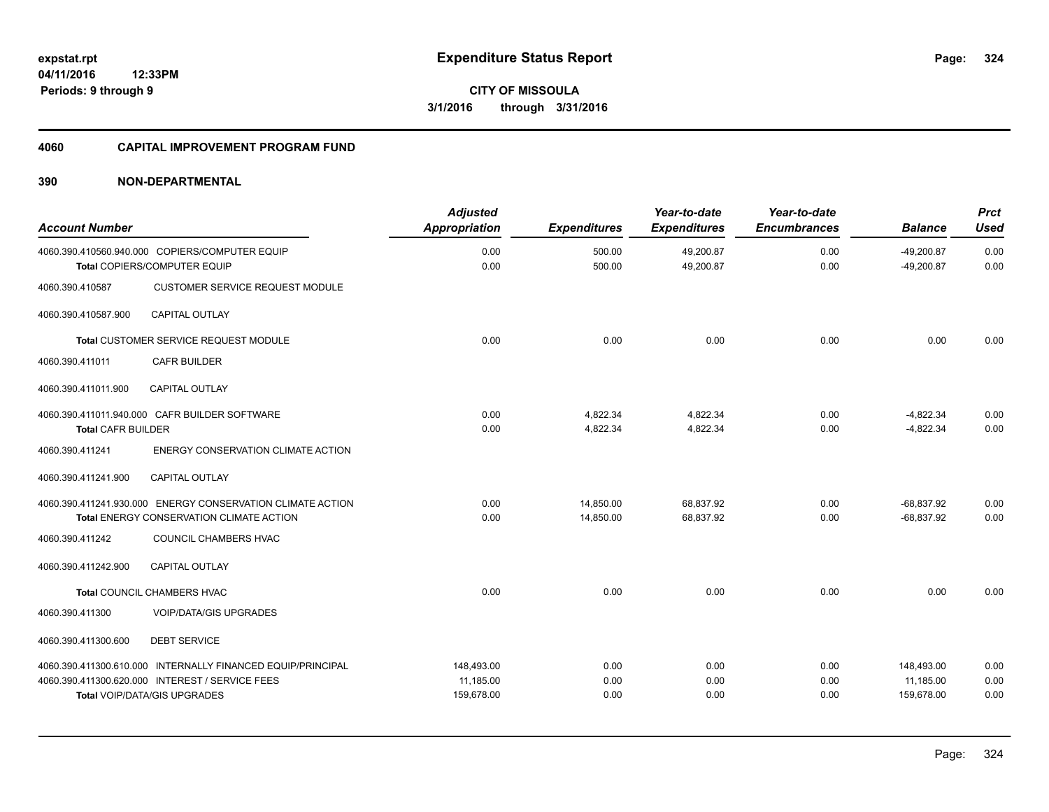#### **4060 CAPITAL IMPROVEMENT PROGRAM FUND**

| <b>Account Number</b>     |                                                                                | <b>Adjusted</b><br><b>Appropriation</b> | <b>Expenditures</b> | Year-to-date<br><b>Expenditures</b> | Year-to-date<br><b>Encumbrances</b> | <b>Balance</b>               | <b>Prct</b><br><b>Used</b> |
|---------------------------|--------------------------------------------------------------------------------|-----------------------------------------|---------------------|-------------------------------------|-------------------------------------|------------------------------|----------------------------|
|                           | 4060.390.410560.940.000 COPIERS/COMPUTER EQUIP<br>Total COPIERS/COMPUTER EQUIP | 0.00<br>0.00                            | 500.00<br>500.00    | 49,200.87<br>49,200.87              | 0.00<br>0.00                        | $-49,200.87$<br>$-49,200.87$ | 0.00<br>0.00               |
| 4060.390.410587           | <b>CUSTOMER SERVICE REQUEST MODULE</b>                                         |                                         |                     |                                     |                                     |                              |                            |
| 4060.390.410587.900       | <b>CAPITAL OUTLAY</b>                                                          |                                         |                     |                                     |                                     |                              |                            |
|                           | Total CUSTOMER SERVICE REQUEST MODULE                                          | 0.00                                    | 0.00                | 0.00                                | 0.00                                | 0.00                         | 0.00                       |
| 4060.390.411011           | <b>CAFR BUILDER</b>                                                            |                                         |                     |                                     |                                     |                              |                            |
| 4060.390.411011.900       | <b>CAPITAL OUTLAY</b>                                                          |                                         |                     |                                     |                                     |                              |                            |
|                           | 4060.390.411011.940.000 CAFR BUILDER SOFTWARE                                  | 0.00                                    | 4,822.34            | 4,822.34                            | 0.00                                | $-4,822.34$                  | 0.00                       |
| <b>Total CAFR BUILDER</b> |                                                                                | 0.00                                    | 4,822.34            | 4,822.34                            | 0.00                                | $-4,822.34$                  | 0.00                       |
| 4060.390.411241           | ENERGY CONSERVATION CLIMATE ACTION                                             |                                         |                     |                                     |                                     |                              |                            |
| 4060.390.411241.900       | <b>CAPITAL OUTLAY</b>                                                          |                                         |                     |                                     |                                     |                              |                            |
|                           | 4060.390.411241.930.000 ENERGY CONSERVATION CLIMATE ACTION                     | 0.00                                    | 14,850.00           | 68,837.92                           | 0.00                                | $-68,837.92$                 | 0.00                       |
|                           | Total ENERGY CONSERVATION CLIMATE ACTION                                       | 0.00                                    | 14,850.00           | 68,837.92                           | 0.00                                | $-68,837.92$                 | 0.00                       |
| 4060.390.411242           | COUNCIL CHAMBERS HVAC                                                          |                                         |                     |                                     |                                     |                              |                            |
| 4060.390.411242.900       | <b>CAPITAL OUTLAY</b>                                                          |                                         |                     |                                     |                                     |                              |                            |
|                           | Total COUNCIL CHAMBERS HVAC                                                    | 0.00                                    | 0.00                | 0.00                                | 0.00                                | 0.00                         | 0.00                       |
| 4060.390.411300           | <b>VOIP/DATA/GIS UPGRADES</b>                                                  |                                         |                     |                                     |                                     |                              |                            |
| 4060.390.411300.600       | <b>DEBT SERVICE</b>                                                            |                                         |                     |                                     |                                     |                              |                            |
|                           | 4060.390.411300.610.000 INTERNALLY FINANCED EQUIP/PRINCIPAL                    | 148,493.00                              | 0.00                | 0.00                                | 0.00                                | 148,493.00                   | 0.00                       |
|                           | 4060.390.411300.620.000 INTEREST / SERVICE FEES                                | 11,185.00                               | 0.00                | 0.00                                | 0.00                                | 11,185.00                    | 0.00                       |
|                           | <b>Total VOIP/DATA/GIS UPGRADES</b>                                            | 159,678.00                              | 0.00                | 0.00                                | 0.00                                | 159,678.00                   | 0.00                       |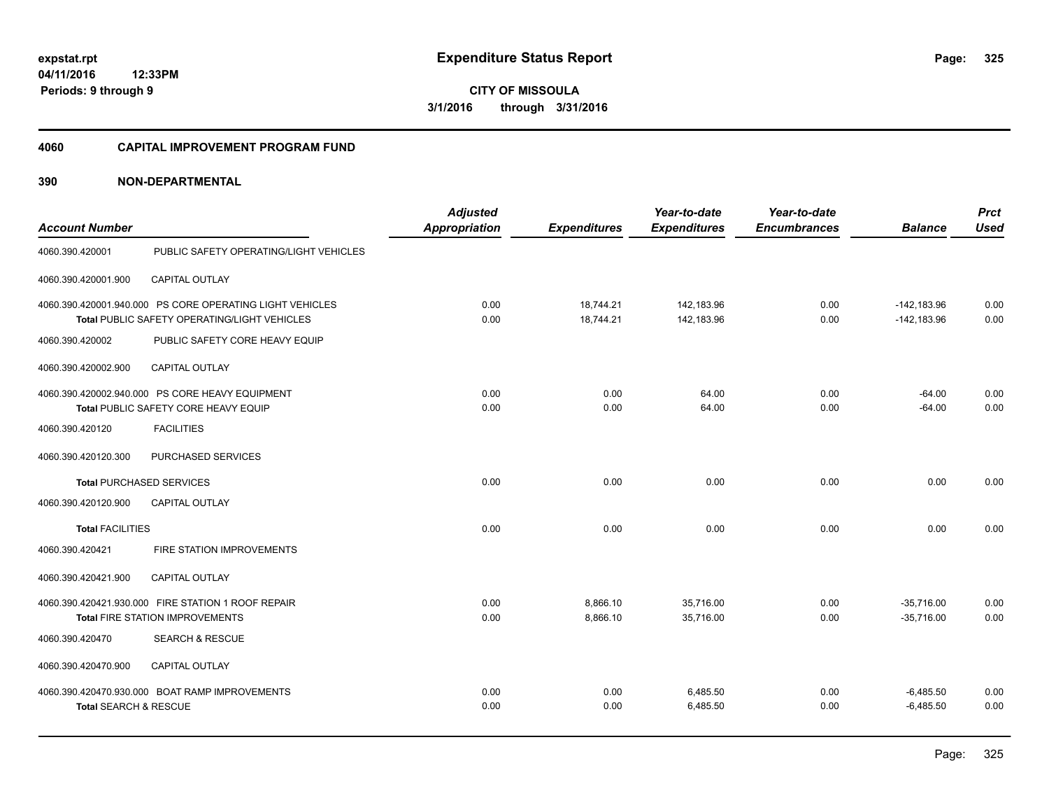#### **4060 CAPITAL IMPROVEMENT PROGRAM FUND**

| <b>Account Number</b>            |                                                                                                                 | <b>Adjusted</b><br>Appropriation | <b>Expenditures</b>    | Year-to-date<br><b>Expenditures</b> | Year-to-date<br><b>Encumbrances</b> | <b>Balance</b>                 | <b>Prct</b><br><b>Used</b> |
|----------------------------------|-----------------------------------------------------------------------------------------------------------------|----------------------------------|------------------------|-------------------------------------|-------------------------------------|--------------------------------|----------------------------|
| 4060.390.420001                  | PUBLIC SAFETY OPERATING/LIGHT VEHICLES                                                                          |                                  |                        |                                     |                                     |                                |                            |
| 4060.390.420001.900              | CAPITAL OUTLAY                                                                                                  |                                  |                        |                                     |                                     |                                |                            |
|                                  | 4060.390.420001.940.000 PS CORE OPERATING LIGHT VEHICLES<br><b>Total PUBLIC SAFETY OPERATING/LIGHT VEHICLES</b> | 0.00<br>0.00                     | 18,744.21<br>18,744.21 | 142,183.96<br>142,183.96            | 0.00<br>0.00                        | $-142,183.96$<br>$-142,183.96$ | 0.00<br>0.00               |
| 4060.390.420002                  | PUBLIC SAFETY CORE HEAVY EQUIP                                                                                  |                                  |                        |                                     |                                     |                                |                            |
| 4060.390.420002.900              | <b>CAPITAL OUTLAY</b>                                                                                           |                                  |                        |                                     |                                     |                                |                            |
|                                  | 4060.390.420002.940.000 PS CORE HEAVY EQUIPMENT<br>Total PUBLIC SAFETY CORE HEAVY EQUIP                         | 0.00<br>0.00                     | 0.00<br>0.00           | 64.00<br>64.00                      | 0.00<br>0.00                        | $-64.00$<br>$-64.00$           | 0.00<br>0.00               |
| 4060.390.420120                  | <b>FACILITIES</b>                                                                                               |                                  |                        |                                     |                                     |                                |                            |
| 4060.390.420120.300              | PURCHASED SERVICES                                                                                              |                                  |                        |                                     |                                     |                                |                            |
| <b>Total PURCHASED SERVICES</b>  |                                                                                                                 | 0.00                             | 0.00                   | 0.00                                | 0.00                                | 0.00                           | 0.00                       |
| 4060.390.420120.900              | CAPITAL OUTLAY                                                                                                  |                                  |                        |                                     |                                     |                                |                            |
| <b>Total FACILITIES</b>          |                                                                                                                 | 0.00                             | 0.00                   | 0.00                                | 0.00                                | 0.00                           | 0.00                       |
| 4060.390.420421                  | FIRE STATION IMPROVEMENTS                                                                                       |                                  |                        |                                     |                                     |                                |                            |
| 4060.390.420421.900              | CAPITAL OUTLAY                                                                                                  |                                  |                        |                                     |                                     |                                |                            |
|                                  | 4060.390.420421.930.000 FIRE STATION 1 ROOF REPAIR<br><b>Total FIRE STATION IMPROVEMENTS</b>                    | 0.00<br>0.00                     | 8,866.10<br>8,866.10   | 35,716.00<br>35,716.00              | 0.00<br>0.00                        | $-35,716.00$<br>$-35,716.00$   | 0.00<br>0.00               |
| 4060.390.420470                  | <b>SEARCH &amp; RESCUE</b>                                                                                      |                                  |                        |                                     |                                     |                                |                            |
| 4060.390.420470.900              | CAPITAL OUTLAY                                                                                                  |                                  |                        |                                     |                                     |                                |                            |
| <b>Total SEARCH &amp; RESCUE</b> | 4060.390.420470.930.000 BOAT RAMP IMPROVEMENTS                                                                  | 0.00<br>0.00                     | 0.00<br>0.00           | 6,485.50<br>6,485.50                | 0.00<br>0.00                        | $-6,485.50$<br>$-6,485.50$     | 0.00<br>0.00               |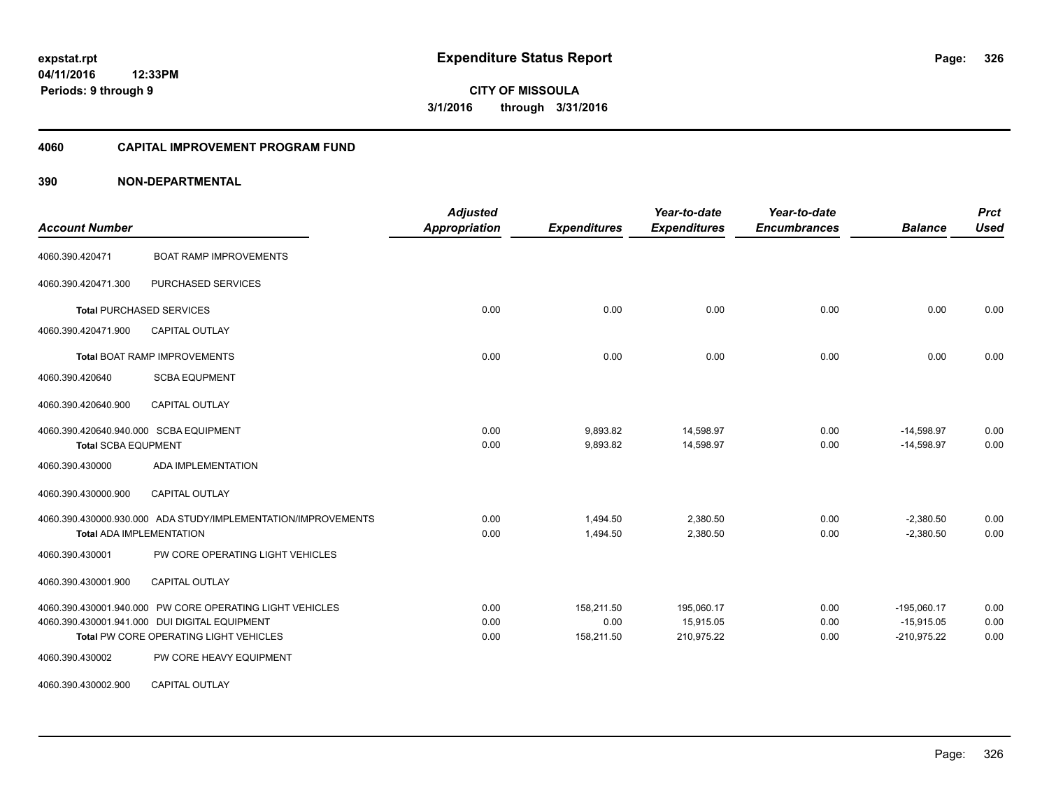### **04/11/2016 12:33PM Periods: 9 through 9**

**CITY OF MISSOULA 3/1/2016 through 3/31/2016**

#### **4060 CAPITAL IMPROVEMENT PROGRAM FUND**

| <b>Account Number</b>                                                                                                                                      | <b>Adjusted</b><br><b>Appropriation</b> | <b>Expenditures</b>              | Year-to-date<br><b>Expenditures</b>   | Year-to-date<br><b>Encumbrances</b> | <b>Balance</b>                                 | <b>Prct</b><br><b>Used</b> |
|------------------------------------------------------------------------------------------------------------------------------------------------------------|-----------------------------------------|----------------------------------|---------------------------------------|-------------------------------------|------------------------------------------------|----------------------------|
| <b>BOAT RAMP IMPROVEMENTS</b><br>4060.390.420471                                                                                                           |                                         |                                  |                                       |                                     |                                                |                            |
| 4060.390.420471.300<br>PURCHASED SERVICES                                                                                                                  |                                         |                                  |                                       |                                     |                                                |                            |
| <b>Total PURCHASED SERVICES</b>                                                                                                                            | 0.00                                    | 0.00                             | 0.00                                  | 0.00                                | 0.00                                           | 0.00                       |
| 4060.390.420471.900<br><b>CAPITAL OUTLAY</b>                                                                                                               |                                         |                                  |                                       |                                     |                                                |                            |
| <b>Total BOAT RAMP IMPROVEMENTS</b>                                                                                                                        | 0.00                                    | 0.00                             | 0.00                                  | 0.00                                | 0.00                                           | 0.00                       |
| <b>SCBA EQUPMENT</b><br>4060.390.420640                                                                                                                    |                                         |                                  |                                       |                                     |                                                |                            |
| 4060.390.420640.900<br><b>CAPITAL OUTLAY</b>                                                                                                               |                                         |                                  |                                       |                                     |                                                |                            |
| 4060.390.420640.940.000 SCBA EQUIPMENT<br><b>Total SCBA EQUPMENT</b>                                                                                       | 0.00<br>0.00                            | 9,893.82<br>9,893.82             | 14,598.97<br>14,598.97                | 0.00<br>0.00                        | $-14,598.97$<br>$-14,598.97$                   | 0.00<br>0.00               |
| <b>ADA IMPLEMENTATION</b><br>4060.390.430000                                                                                                               |                                         |                                  |                                       |                                     |                                                |                            |
| <b>CAPITAL OUTLAY</b><br>4060.390.430000.900                                                                                                               |                                         |                                  |                                       |                                     |                                                |                            |
| 4060.390.430000.930.000 ADA STUDY/IMPLEMENTATION/IMPROVEMENTS<br><b>Total ADA IMPLEMENTATION</b>                                                           | 0.00<br>0.00                            | 1.494.50<br>1,494.50             | 2,380.50<br>2,380.50                  | 0.00<br>0.00                        | $-2,380.50$<br>$-2,380.50$                     | 0.00<br>0.00               |
| PW CORE OPERATING LIGHT VEHICLES<br>4060.390.430001                                                                                                        |                                         |                                  |                                       |                                     |                                                |                            |
| 4060.390.430001.900<br><b>CAPITAL OUTLAY</b>                                                                                                               |                                         |                                  |                                       |                                     |                                                |                            |
| 4060.390.430001.940.000 PW CORE OPERATING LIGHT VEHICLES<br>4060.390.430001.941.000 DUI DIGITAL EQUIPMENT<br><b>Total PW CORE OPERATING LIGHT VEHICLES</b> | 0.00<br>0.00<br>0.00                    | 158,211.50<br>0.00<br>158,211.50 | 195,060.17<br>15,915.05<br>210,975.22 | 0.00<br>0.00<br>0.00                | $-195,060.17$<br>$-15,915.05$<br>$-210,975.22$ | 0.00<br>0.00<br>0.00       |
| PW CORE HEAVY EQUIPMENT<br>4060.390.430002                                                                                                                 |                                         |                                  |                                       |                                     |                                                |                            |
| <b>CAPITAL OUTLAY</b><br>4060.390.430002.900                                                                                                               |                                         |                                  |                                       |                                     |                                                |                            |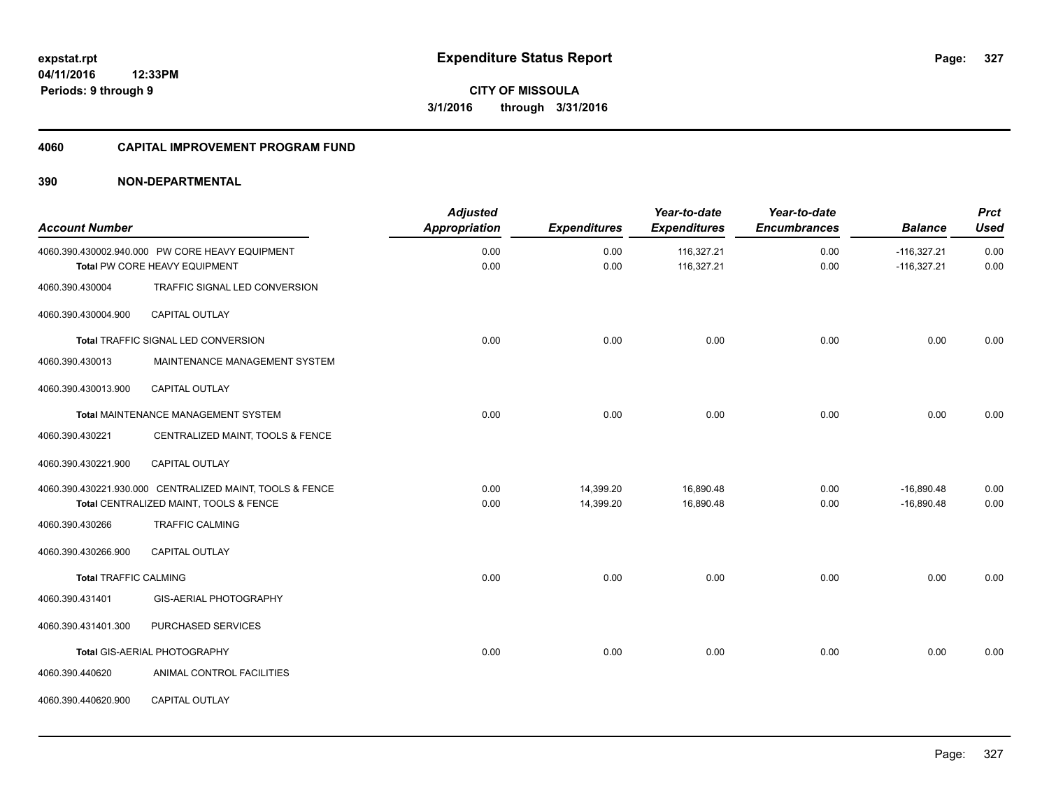#### **4060 CAPITAL IMPROVEMENT PROGRAM FUND**

| <b>Account Number</b>        |                                                                                                    | <b>Adjusted</b><br><b>Appropriation</b> | <b>Expenditures</b>    | Year-to-date<br><b>Expenditures</b> | Year-to-date<br><b>Encumbrances</b> | <b>Balance</b>                 | <b>Prct</b><br><b>Used</b> |
|------------------------------|----------------------------------------------------------------------------------------------------|-----------------------------------------|------------------------|-------------------------------------|-------------------------------------|--------------------------------|----------------------------|
|                              | 4060.390.430002.940.000 PW CORE HEAVY EQUIPMENT<br>Total PW CORE HEAVY EQUIPMENT                   | 0.00<br>0.00                            | 0.00<br>0.00           | 116,327.21<br>116,327.21            | 0.00<br>0.00                        | $-116,327.21$<br>$-116,327.21$ | 0.00<br>0.00               |
| 4060.390.430004              | TRAFFIC SIGNAL LED CONVERSION                                                                      |                                         |                        |                                     |                                     |                                |                            |
| 4060.390.430004.900          | CAPITAL OUTLAY                                                                                     |                                         |                        |                                     |                                     |                                |                            |
|                              | Total TRAFFIC SIGNAL LED CONVERSION                                                                | 0.00                                    | 0.00                   | 0.00                                | 0.00                                | 0.00                           | 0.00                       |
| 4060.390.430013              | MAINTENANCE MANAGEMENT SYSTEM                                                                      |                                         |                        |                                     |                                     |                                |                            |
| 4060.390.430013.900          | <b>CAPITAL OUTLAY</b>                                                                              |                                         |                        |                                     |                                     |                                |                            |
|                              | Total MAINTENANCE MANAGEMENT SYSTEM                                                                | 0.00                                    | 0.00                   | 0.00                                | 0.00                                | 0.00                           | 0.00                       |
| 4060.390.430221              | CENTRALIZED MAINT, TOOLS & FENCE                                                                   |                                         |                        |                                     |                                     |                                |                            |
| 4060.390.430221.900          | <b>CAPITAL OUTLAY</b>                                                                              |                                         |                        |                                     |                                     |                                |                            |
|                              | 4060.390.430221.930.000 CENTRALIZED MAINT, TOOLS & FENCE<br>Total CENTRALIZED MAINT, TOOLS & FENCE | 0.00<br>0.00                            | 14,399.20<br>14,399.20 | 16,890.48<br>16,890.48              | 0.00<br>0.00                        | $-16,890.48$<br>$-16.890.48$   | 0.00<br>0.00               |
| 4060.390.430266              | <b>TRAFFIC CALMING</b>                                                                             |                                         |                        |                                     |                                     |                                |                            |
| 4060.390.430266.900          | <b>CAPITAL OUTLAY</b>                                                                              |                                         |                        |                                     |                                     |                                |                            |
| <b>Total TRAFFIC CALMING</b> |                                                                                                    | 0.00                                    | 0.00                   | 0.00                                | 0.00                                | 0.00                           | 0.00                       |
| 4060.390.431401              | <b>GIS-AERIAL PHOTOGRAPHY</b>                                                                      |                                         |                        |                                     |                                     |                                |                            |
| 4060.390.431401.300          | PURCHASED SERVICES                                                                                 |                                         |                        |                                     |                                     |                                |                            |
|                              | Total GIS-AERIAL PHOTOGRAPHY                                                                       | 0.00                                    | 0.00                   | 0.00                                | 0.00                                | 0.00                           | 0.00                       |
| 4060.390.440620              | ANIMAL CONTROL FACILITIES                                                                          |                                         |                        |                                     |                                     |                                |                            |
| 4060.390.440620.900          | CAPITAL OUTLAY                                                                                     |                                         |                        |                                     |                                     |                                |                            |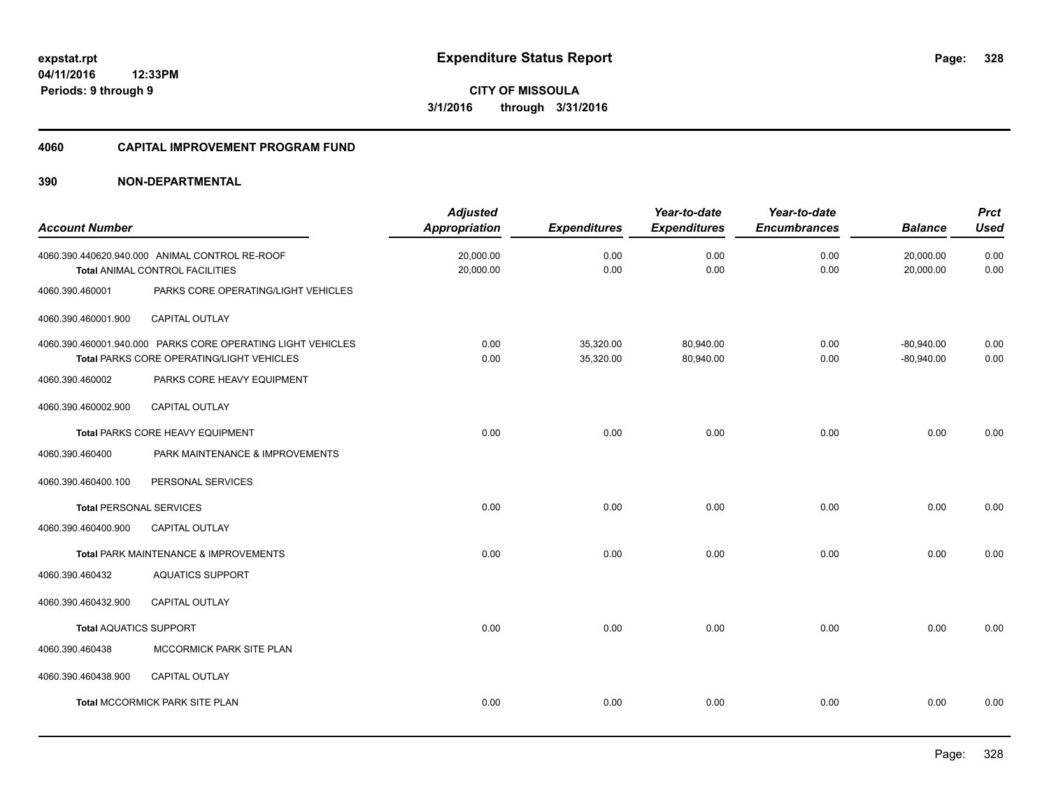#### **4060 CAPITAL IMPROVEMENT PROGRAM FUND**

| <b>Account Number</b>          |                                                                                                                 | <b>Adjusted</b><br><b>Appropriation</b> | <b>Expenditures</b>    | Year-to-date<br><b>Expenditures</b> | Year-to-date<br><b>Encumbrances</b> | <b>Balance</b>               | <b>Prct</b><br><b>Used</b> |
|--------------------------------|-----------------------------------------------------------------------------------------------------------------|-----------------------------------------|------------------------|-------------------------------------|-------------------------------------|------------------------------|----------------------------|
|                                | 4060.390.440620.940.000 ANIMAL CONTROL RE-ROOF<br>Total ANIMAL CONTROL FACILITIES                               | 20,000.00<br>20,000.00                  | 0.00<br>0.00           | 0.00<br>0.00                        | 0.00<br>0.00                        | 20,000.00<br>20,000.00       | 0.00<br>0.00               |
| 4060.390.460001                | PARKS CORE OPERATING/LIGHT VEHICLES                                                                             |                                         |                        |                                     |                                     |                              |                            |
| 4060.390.460001.900            | <b>CAPITAL OUTLAY</b>                                                                                           |                                         |                        |                                     |                                     |                              |                            |
|                                | 4060.390.460001.940.000 PARKS CORE OPERATING LIGHT VEHICLES<br><b>Total PARKS CORE OPERATING/LIGHT VEHICLES</b> | 0.00<br>0.00                            | 35,320.00<br>35,320.00 | 80,940.00<br>80,940.00              | 0.00<br>0.00                        | $-80,940.00$<br>$-80,940.00$ | 0.00<br>0.00               |
| 4060.390.460002                | PARKS CORE HEAVY EQUIPMENT                                                                                      |                                         |                        |                                     |                                     |                              |                            |
| 4060.390.460002.900            | <b>CAPITAL OUTLAY</b>                                                                                           |                                         |                        |                                     |                                     |                              |                            |
|                                | Total PARKS CORE HEAVY EQUIPMENT                                                                                | 0.00                                    | 0.00                   | 0.00                                | 0.00                                | 0.00                         | 0.00                       |
| 4060.390.460400                | PARK MAINTENANCE & IMPROVEMENTS                                                                                 |                                         |                        |                                     |                                     |                              |                            |
| 4060.390.460400.100            | PERSONAL SERVICES                                                                                               |                                         |                        |                                     |                                     |                              |                            |
| <b>Total PERSONAL SERVICES</b> |                                                                                                                 | 0.00                                    | 0.00                   | 0.00                                | 0.00                                | 0.00                         | 0.00                       |
| 4060.390.460400.900            | <b>CAPITAL OUTLAY</b>                                                                                           |                                         |                        |                                     |                                     |                              |                            |
|                                | Total PARK MAINTENANCE & IMPROVEMENTS                                                                           | 0.00                                    | 0.00                   | 0.00                                | 0.00                                | 0.00                         | 0.00                       |
| 4060.390.460432                | <b>AQUATICS SUPPORT</b>                                                                                         |                                         |                        |                                     |                                     |                              |                            |
| 4060.390.460432.900            | <b>CAPITAL OUTLAY</b>                                                                                           |                                         |                        |                                     |                                     |                              |                            |
| <b>Total AQUATICS SUPPORT</b>  |                                                                                                                 | 0.00                                    | 0.00                   | 0.00                                | 0.00                                | 0.00                         | 0.00                       |
| 4060.390.460438                | MCCORMICK PARK SITE PLAN                                                                                        |                                         |                        |                                     |                                     |                              |                            |
| 4060.390.460438.900            | <b>CAPITAL OUTLAY</b>                                                                                           |                                         |                        |                                     |                                     |                              |                            |
|                                | Total MCCORMICK PARK SITE PLAN                                                                                  | 0.00                                    | 0.00                   | 0.00                                | 0.00                                | 0.00                         | 0.00                       |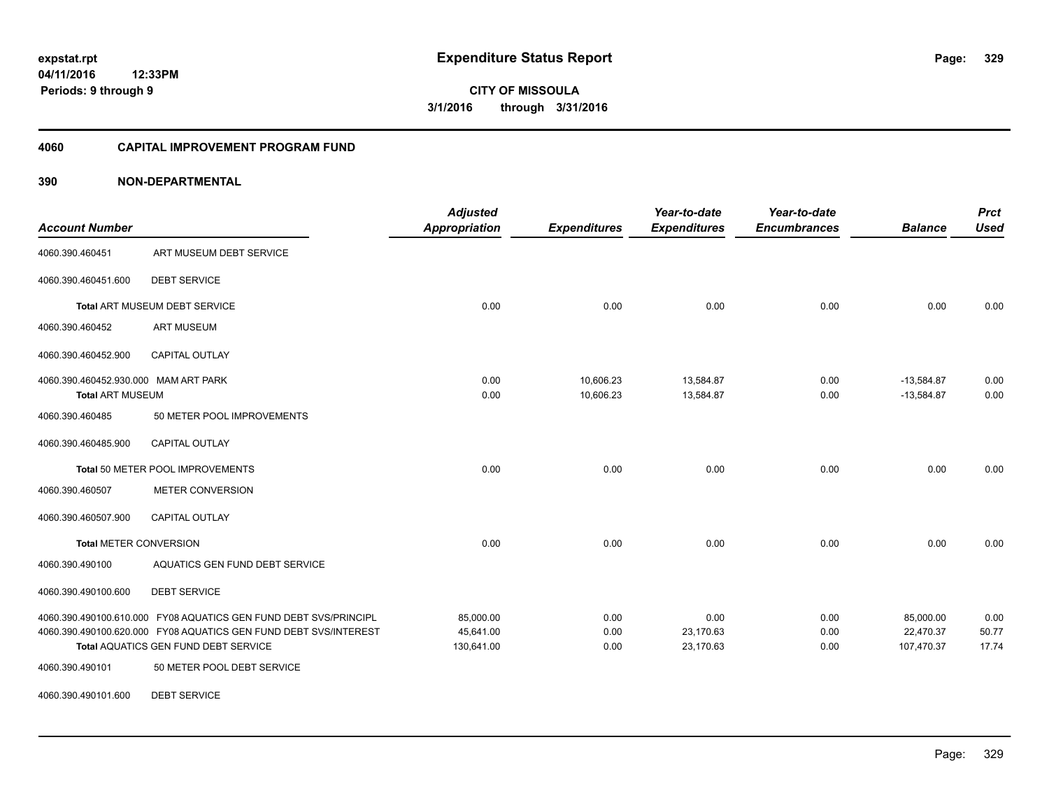#### **4060 CAPITAL IMPROVEMENT PROGRAM FUND**

| <b>Account Number</b>                                           |                                                                                                                                                                                     | <b>Adjusted</b><br><b>Appropriation</b> | <b>Expenditures</b>    | Year-to-date<br><b>Expenditures</b> | Year-to-date<br><b>Encumbrances</b> | <b>Balance</b>                       | <b>Prct</b><br><b>Used</b> |
|-----------------------------------------------------------------|-------------------------------------------------------------------------------------------------------------------------------------------------------------------------------------|-----------------------------------------|------------------------|-------------------------------------|-------------------------------------|--------------------------------------|----------------------------|
| 4060.390.460451                                                 | ART MUSEUM DEBT SERVICE                                                                                                                                                             |                                         |                        |                                     |                                     |                                      |                            |
| 4060.390.460451.600                                             | <b>DEBT SERVICE</b>                                                                                                                                                                 |                                         |                        |                                     |                                     |                                      |                            |
|                                                                 | Total ART MUSEUM DEBT SERVICE                                                                                                                                                       | 0.00                                    | 0.00                   | 0.00                                | 0.00                                | 0.00                                 | 0.00                       |
| 4060.390.460452                                                 | <b>ART MUSEUM</b>                                                                                                                                                                   |                                         |                        |                                     |                                     |                                      |                            |
| 4060.390.460452.900                                             | CAPITAL OUTLAY                                                                                                                                                                      |                                         |                        |                                     |                                     |                                      |                            |
| 4060.390.460452.930.000 MAM ART PARK<br><b>Total ART MUSEUM</b> |                                                                                                                                                                                     | 0.00<br>0.00                            | 10,606.23<br>10,606.23 | 13,584.87<br>13,584.87              | 0.00<br>0.00                        | $-13,584.87$<br>$-13,584.87$         | 0.00<br>0.00               |
| 4060.390.460485                                                 | 50 METER POOL IMPROVEMENTS                                                                                                                                                          |                                         |                        |                                     |                                     |                                      |                            |
| 4060.390.460485.900                                             | CAPITAL OUTLAY                                                                                                                                                                      |                                         |                        |                                     |                                     |                                      |                            |
|                                                                 | Total 50 METER POOL IMPROVEMENTS                                                                                                                                                    | 0.00                                    | 0.00                   | 0.00                                | 0.00                                | 0.00                                 | 0.00                       |
| 4060.390.460507                                                 | <b>METER CONVERSION</b>                                                                                                                                                             |                                         |                        |                                     |                                     |                                      |                            |
| 4060.390.460507.900                                             | <b>CAPITAL OUTLAY</b>                                                                                                                                                               |                                         |                        |                                     |                                     |                                      |                            |
| Total METER CONVERSION                                          |                                                                                                                                                                                     | 0.00                                    | 0.00                   | 0.00                                | 0.00                                | 0.00                                 | 0.00                       |
| 4060.390.490100                                                 | AQUATICS GEN FUND DEBT SERVICE                                                                                                                                                      |                                         |                        |                                     |                                     |                                      |                            |
| 4060.390.490100.600                                             | <b>DEBT SERVICE</b>                                                                                                                                                                 |                                         |                        |                                     |                                     |                                      |                            |
|                                                                 | 4060.390.490100.610.000 FY08 AQUATICS GEN FUND DEBT SVS/PRINCIPL<br>4060.390.490100.620.000 FY08 AQUATICS GEN FUND DEBT SVS/INTEREST<br><b>Total AQUATICS GEN FUND DEBT SERVICE</b> | 85,000.00<br>45,641.00<br>130,641.00    | 0.00<br>0.00<br>0.00   | 0.00<br>23,170.63<br>23,170.63      | 0.00<br>0.00<br>0.00                | 85,000.00<br>22,470.37<br>107,470.37 | 0.00<br>50.77<br>17.74     |
| 4060.390.490101                                                 | 50 METER POOL DEBT SERVICE                                                                                                                                                          |                                         |                        |                                     |                                     |                                      |                            |
| 4060.390.490101.600                                             | <b>DEBT SERVICE</b>                                                                                                                                                                 |                                         |                        |                                     |                                     |                                      |                            |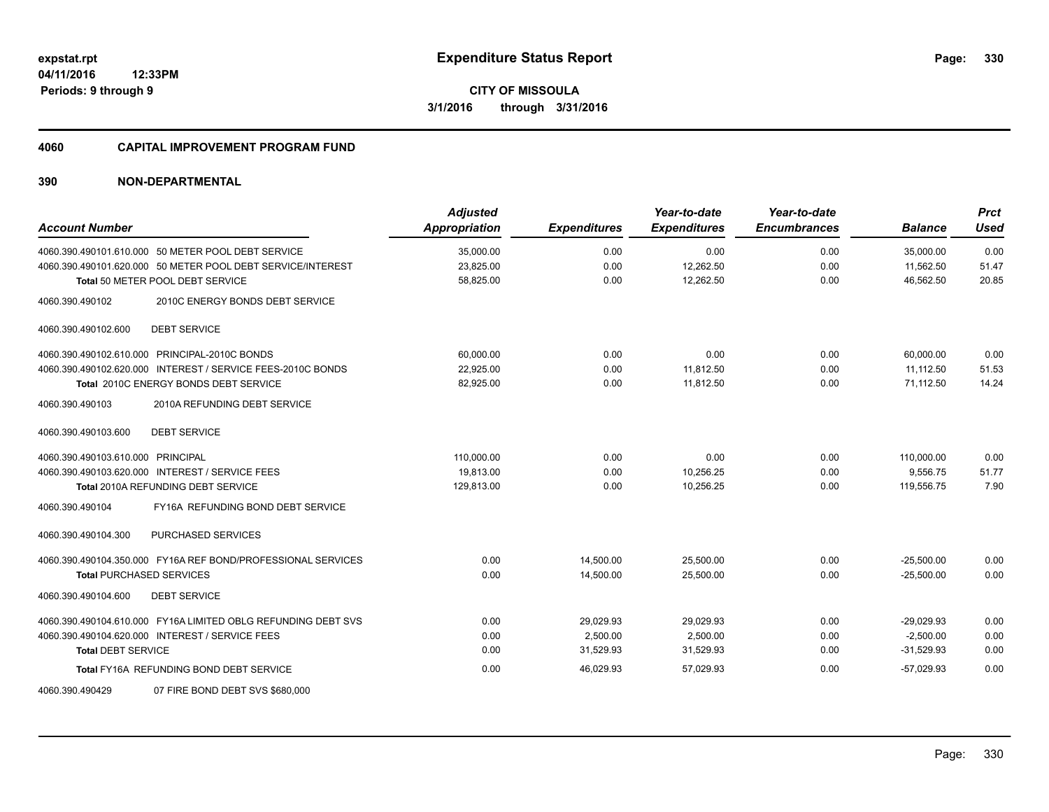#### **4060 CAPITAL IMPROVEMENT PROGRAM FUND**

| <b>Account Number</b>                                         | <b>Adjusted</b><br><b>Appropriation</b> | <b>Expenditures</b> | Year-to-date<br><b>Expenditures</b> | Year-to-date<br><b>Encumbrances</b> | <b>Balance</b> | <b>Prct</b><br><b>Used</b> |
|---------------------------------------------------------------|-----------------------------------------|---------------------|-------------------------------------|-------------------------------------|----------------|----------------------------|
| 4060.390.490101.610.000 50 METER POOL DEBT SERVICE            | 35,000.00                               | 0.00                | 0.00                                | 0.00                                | 35,000.00      | 0.00                       |
| 4060.390.490101.620.000 50 METER POOL DEBT SERVICE/INTEREST   | 23,825.00                               | 0.00                | 12,262.50                           | 0.00                                | 11,562.50      | 51.47                      |
| Total 50 METER POOL DEBT SERVICE                              | 58,825.00                               | 0.00                | 12,262.50                           | 0.00                                | 46.562.50      | 20.85                      |
| 4060.390.490102<br>2010C ENERGY BONDS DEBT SERVICE            |                                         |                     |                                     |                                     |                |                            |
| <b>DEBT SERVICE</b><br>4060.390.490102.600                    |                                         |                     |                                     |                                     |                |                            |
| 4060.390.490102.610.000 PRINCIPAL-2010C BONDS                 | 60,000.00                               | 0.00                | 0.00                                | 0.00                                | 60,000.00      | 0.00                       |
| 4060.390.490102.620.000 INTEREST / SERVICE FEES-2010C BONDS   | 22,925.00                               | 0.00                | 11,812.50                           | 0.00                                | 11,112.50      | 51.53                      |
| Total 2010C ENERGY BONDS DEBT SERVICE                         | 82,925.00                               | 0.00                | 11,812.50                           | 0.00                                | 71,112.50      | 14.24                      |
| 2010A REFUNDING DEBT SERVICE<br>4060.390.490103               |                                         |                     |                                     |                                     |                |                            |
| <b>DEBT SERVICE</b><br>4060.390.490103.600                    |                                         |                     |                                     |                                     |                |                            |
| 4060.390.490103.610.000 PRINCIPAL                             | 110,000.00                              | 0.00                | 0.00                                | 0.00                                | 110.000.00     | 0.00                       |
| 4060.390.490103.620.000 INTEREST / SERVICE FEES               | 19.813.00                               | 0.00                | 10.256.25                           | 0.00                                | 9.556.75       | 51.77                      |
| <b>Total 2010A REFUNDING DEBT SERVICE</b>                     | 129,813.00                              | 0.00                | 10,256.25                           | 0.00                                | 119,556.75     | 7.90                       |
| FY16A REFUNDING BOND DEBT SERVICE<br>4060.390.490104          |                                         |                     |                                     |                                     |                |                            |
| PURCHASED SERVICES<br>4060.390.490104.300                     |                                         |                     |                                     |                                     |                |                            |
| 4060.390.490104.350.000 FY16A REF BOND/PROFESSIONAL SERVICES  | 0.00                                    | 14,500.00           | 25,500.00                           | 0.00                                | $-25,500.00$   | 0.00                       |
| <b>Total PURCHASED SERVICES</b>                               | 0.00                                    | 14,500.00           | 25,500.00                           | 0.00                                | $-25,500.00$   | 0.00                       |
| 4060.390.490104.600<br><b>DEBT SERVICE</b>                    |                                         |                     |                                     |                                     |                |                            |
| 4060.390.490104.610.000 FY16A LIMITED OBLG REFUNDING DEBT SVS | 0.00                                    | 29,029.93           | 29,029.93                           | 0.00                                | $-29,029.93$   | 0.00                       |
| 4060.390.490104.620.000 INTEREST / SERVICE FEES               | 0.00                                    | 2,500.00            | 2,500.00                            | 0.00                                | $-2.500.00$    | 0.00                       |
| <b>Total DEBT SERVICE</b>                                     | 0.00                                    | 31,529.93           | 31,529.93                           | 0.00                                | $-31,529.93$   | 0.00                       |
| Total FY16A REFUNDING BOND DEBT SERVICE                       | 0.00                                    | 46.029.93           | 57,029.93                           | 0.00                                | $-57,029.93$   | 0.00                       |
| 4060.390.490429<br>07 FIRE BOND DEBT SVS \$680,000            |                                         |                     |                                     |                                     |                |                            |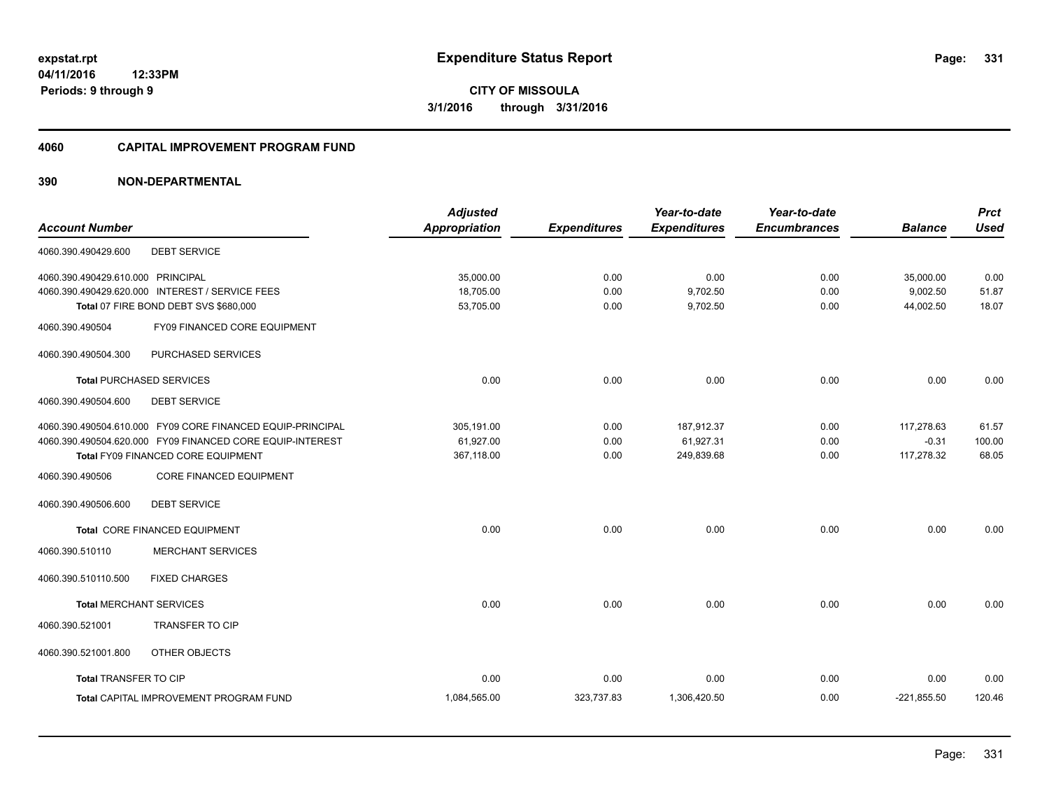#### **4060 CAPITAL IMPROVEMENT PROGRAM FUND**

| <b>Adjusted</b>      |                     | Year-to-date        | Year-to-date        |                | <b>Prct</b> |
|----------------------|---------------------|---------------------|---------------------|----------------|-------------|
| <b>Appropriation</b> | <b>Expenditures</b> | <b>Expenditures</b> | <b>Encumbrances</b> | <b>Balance</b> | <b>Used</b> |
|                      |                     |                     |                     |                |             |
| 35,000.00            | 0.00                | 0.00                | 0.00                | 35,000.00      | 0.00        |
| 18,705.00            | 0.00                | 9,702.50            | 0.00                | 9,002.50       | 51.87       |
| 53,705.00            | 0.00                | 9,702.50            | 0.00                | 44,002.50      | 18.07       |
|                      |                     |                     |                     |                |             |
|                      |                     |                     |                     |                |             |
| 0.00                 | 0.00                | 0.00                | 0.00                | 0.00           | 0.00        |
|                      |                     |                     |                     |                |             |
| 305,191.00           | 0.00                | 187,912.37          | 0.00                | 117,278.63     | 61.57       |
| 61,927.00            | 0.00                | 61,927.31           | 0.00                | $-0.31$        | 100.00      |
| 367,118.00           | 0.00                | 249,839.68          | 0.00                | 117,278.32     | 68.05       |
|                      |                     |                     |                     |                |             |
|                      |                     |                     |                     |                |             |
| 0.00                 | 0.00                | 0.00                | 0.00                | 0.00           | 0.00        |
|                      |                     |                     |                     |                |             |
|                      |                     |                     |                     |                |             |
| 0.00                 | 0.00                | 0.00                | 0.00                | 0.00           | 0.00        |
|                      |                     |                     |                     |                |             |
|                      |                     |                     |                     |                |             |
| 0.00                 | 0.00                | 0.00                | 0.00                | 0.00           | 0.00        |
| 1,084,565.00         | 323,737.83          | 1,306,420.50        | 0.00                | $-221,855.50$  | 120.46      |
|                      |                     |                     |                     |                |             |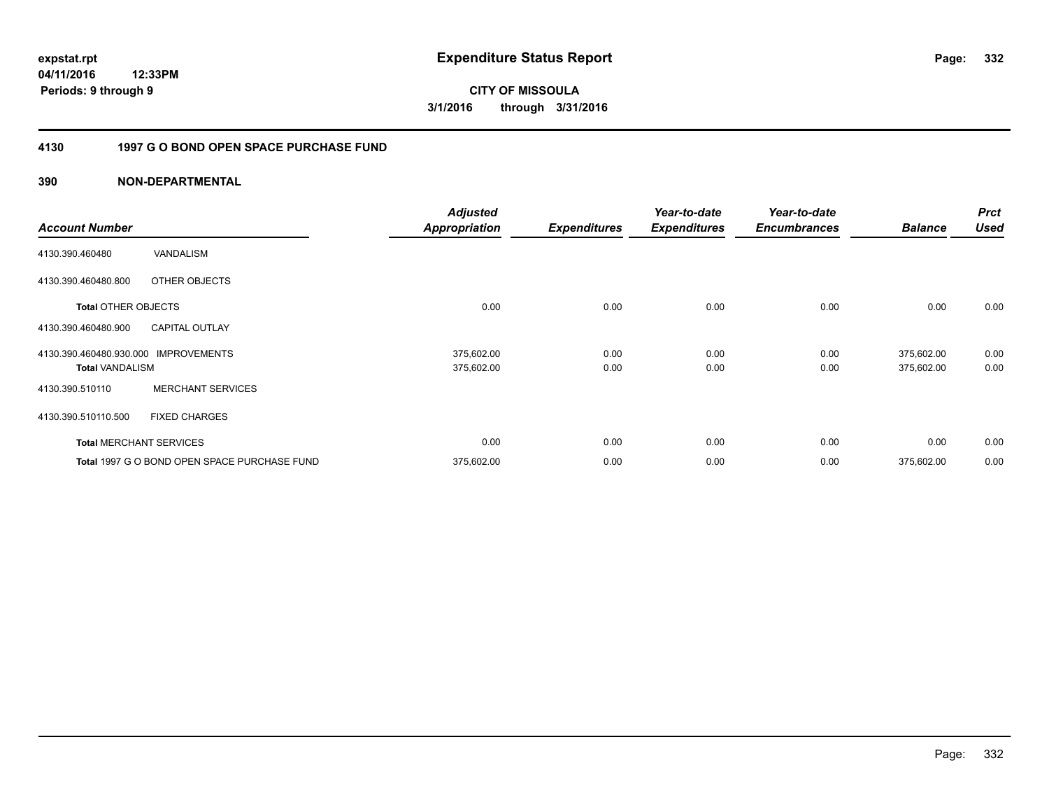### **04/11/2016 12:33PM Periods: 9 through 9**

**CITY OF MISSOULA 3/1/2016 through 3/31/2016**

### **4130 1997 G O BOND OPEN SPACE PURCHASE FUND**

| <b>Account Number</b>                             |                                              | <b>Adjusted</b><br><b>Appropriation</b> | <b>Expenditures</b> | Year-to-date<br><b>Expenditures</b> | Year-to-date<br><b>Encumbrances</b> | <b>Balance</b>           | <b>Prct</b><br><b>Used</b> |
|---------------------------------------------------|----------------------------------------------|-----------------------------------------|---------------------|-------------------------------------|-------------------------------------|--------------------------|----------------------------|
| 4130.390.460480                                   | <b>VANDALISM</b>                             |                                         |                     |                                     |                                     |                          |                            |
| 4130.390.460480.800                               | OTHER OBJECTS                                |                                         |                     |                                     |                                     |                          |                            |
| <b>Total OTHER OBJECTS</b>                        |                                              | 0.00                                    | 0.00                | 0.00                                | 0.00                                | 0.00                     | 0.00                       |
| 4130.390.460480.900                               | <b>CAPITAL OUTLAY</b>                        |                                         |                     |                                     |                                     |                          |                            |
| 4130.390.460480.930.000<br><b>Total VANDALISM</b> | <b>IMPROVEMENTS</b>                          | 375,602.00<br>375,602.00                | 0.00<br>0.00        | 0.00<br>0.00                        | 0.00<br>0.00                        | 375,602.00<br>375,602.00 | 0.00<br>0.00               |
| 4130.390.510110                                   | <b>MERCHANT SERVICES</b>                     |                                         |                     |                                     |                                     |                          |                            |
| 4130.390.510110.500                               | <b>FIXED CHARGES</b>                         |                                         |                     |                                     |                                     |                          |                            |
|                                                   | <b>Total MERCHANT SERVICES</b>               | 0.00                                    | 0.00                | 0.00                                | 0.00                                | 0.00                     | 0.00                       |
|                                                   | Total 1997 G O BOND OPEN SPACE PURCHASE FUND | 375,602.00                              | 0.00                | 0.00                                | 0.00                                | 375,602.00               | 0.00                       |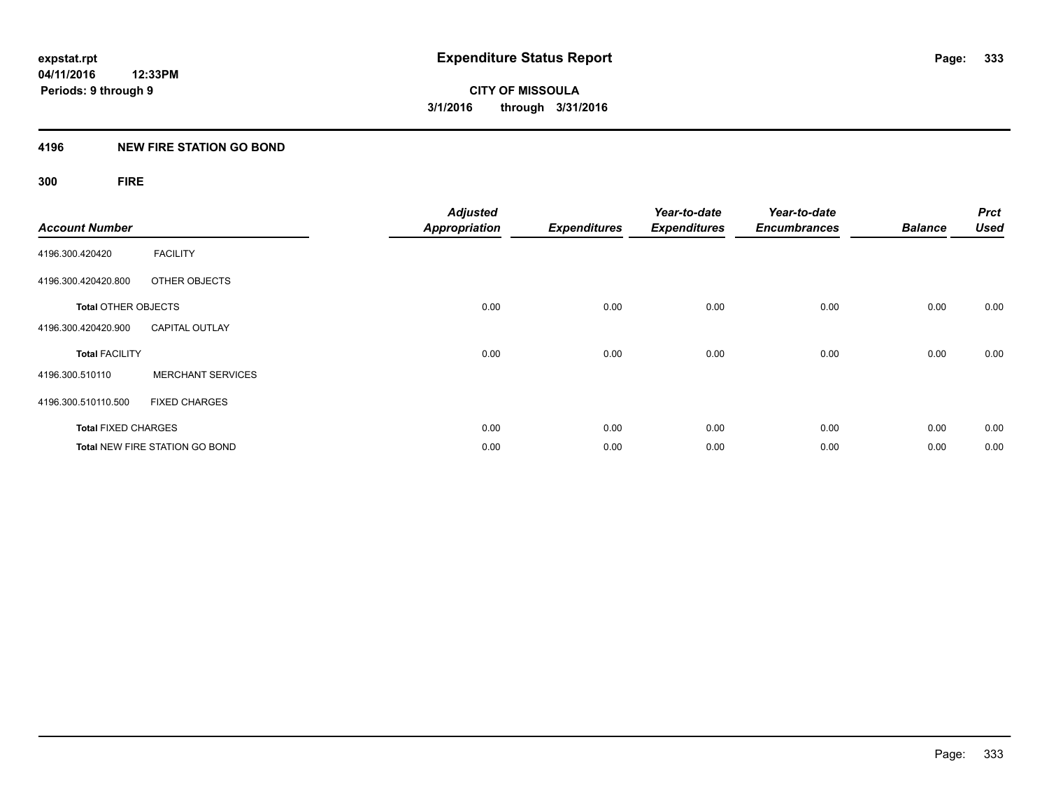### **4196 NEW FIRE STATION GO BOND**

### **300 FIRE**

| <b>Account Number</b>      |                                       | <b>Adjusted</b><br><b>Appropriation</b> | <b>Expenditures</b> | Year-to-date<br><b>Expenditures</b> | Year-to-date<br><b>Encumbrances</b> | <b>Balance</b> | <b>Prct</b><br><b>Used</b> |
|----------------------------|---------------------------------------|-----------------------------------------|---------------------|-------------------------------------|-------------------------------------|----------------|----------------------------|
| 4196.300.420420            | <b>FACILITY</b>                       |                                         |                     |                                     |                                     |                |                            |
| 4196.300.420420.800        | OTHER OBJECTS                         |                                         |                     |                                     |                                     |                |                            |
| <b>Total OTHER OBJECTS</b> |                                       | 0.00                                    | 0.00                | 0.00                                | 0.00                                | 0.00           | 0.00                       |
| 4196.300.420420.900        | <b>CAPITAL OUTLAY</b>                 |                                         |                     |                                     |                                     |                |                            |
| <b>Total FACILITY</b>      |                                       | 0.00                                    | 0.00                | 0.00                                | 0.00                                | 0.00           | 0.00                       |
| 4196.300.510110            | <b>MERCHANT SERVICES</b>              |                                         |                     |                                     |                                     |                |                            |
| 4196.300.510110.500        | <b>FIXED CHARGES</b>                  |                                         |                     |                                     |                                     |                |                            |
| <b>Total FIXED CHARGES</b> |                                       | 0.00                                    | 0.00                | 0.00                                | 0.00                                | 0.00           | 0.00                       |
|                            | <b>Total NEW FIRE STATION GO BOND</b> | 0.00                                    | 0.00                | 0.00                                | 0.00                                | 0.00           | 0.00                       |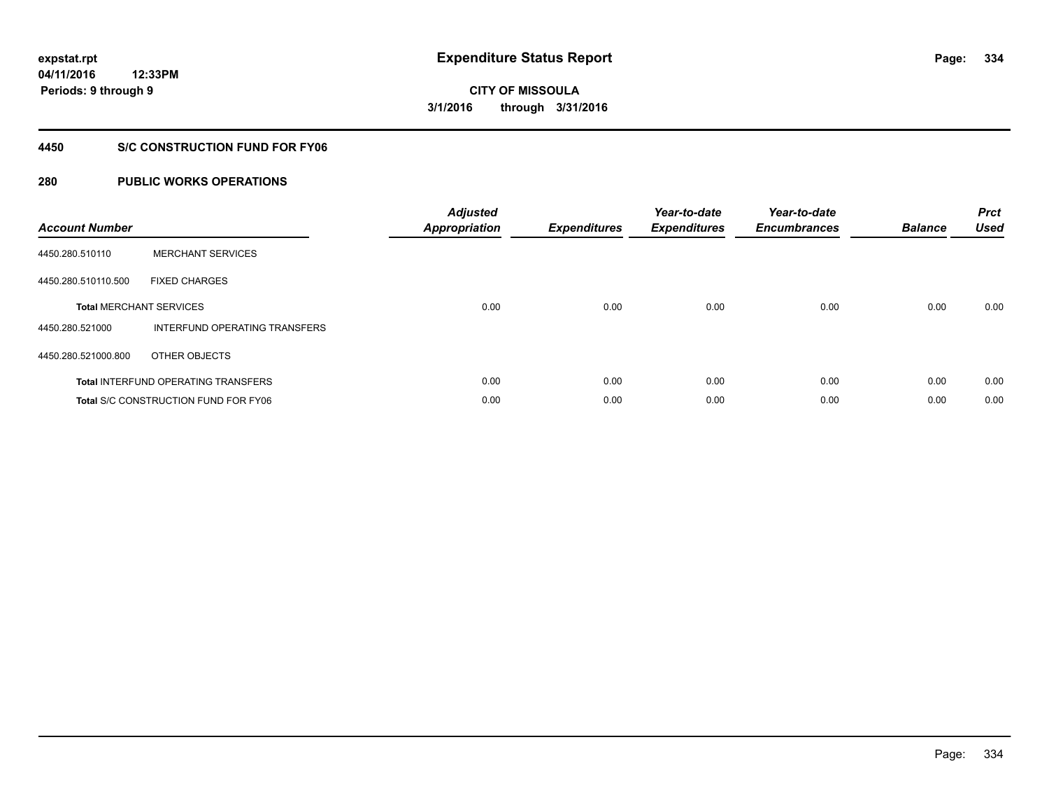### **4450 S/C CONSTRUCTION FUND FOR FY06**

| <b>Account Number</b> |                                             | <b>Adjusted</b><br>Appropriation | <b>Expenditures</b> | Year-to-date<br><b>Expenditures</b> | Year-to-date<br><b>Encumbrances</b> | <b>Balance</b> | <b>Prct</b><br><b>Used</b> |
|-----------------------|---------------------------------------------|----------------------------------|---------------------|-------------------------------------|-------------------------------------|----------------|----------------------------|
| 4450.280.510110       | <b>MERCHANT SERVICES</b>                    |                                  |                     |                                     |                                     |                |                            |
| 4450.280.510110.500   | <b>FIXED CHARGES</b>                        |                                  |                     |                                     |                                     |                |                            |
|                       | <b>Total MERCHANT SERVICES</b>              | 0.00                             | 0.00                | 0.00                                | 0.00                                | 0.00           | 0.00                       |
| 4450.280.521000       | INTERFUND OPERATING TRANSFERS               |                                  |                     |                                     |                                     |                |                            |
| 4450.280.521000.800   | OTHER OBJECTS                               |                                  |                     |                                     |                                     |                |                            |
|                       | <b>Total INTERFUND OPERATING TRANSFERS</b>  | 0.00                             | 0.00                | 0.00                                | 0.00                                | 0.00           | 0.00                       |
|                       | <b>Total S/C CONSTRUCTION FUND FOR FY06</b> | 0.00                             | 0.00                | 0.00                                | 0.00                                | 0.00           | 0.00                       |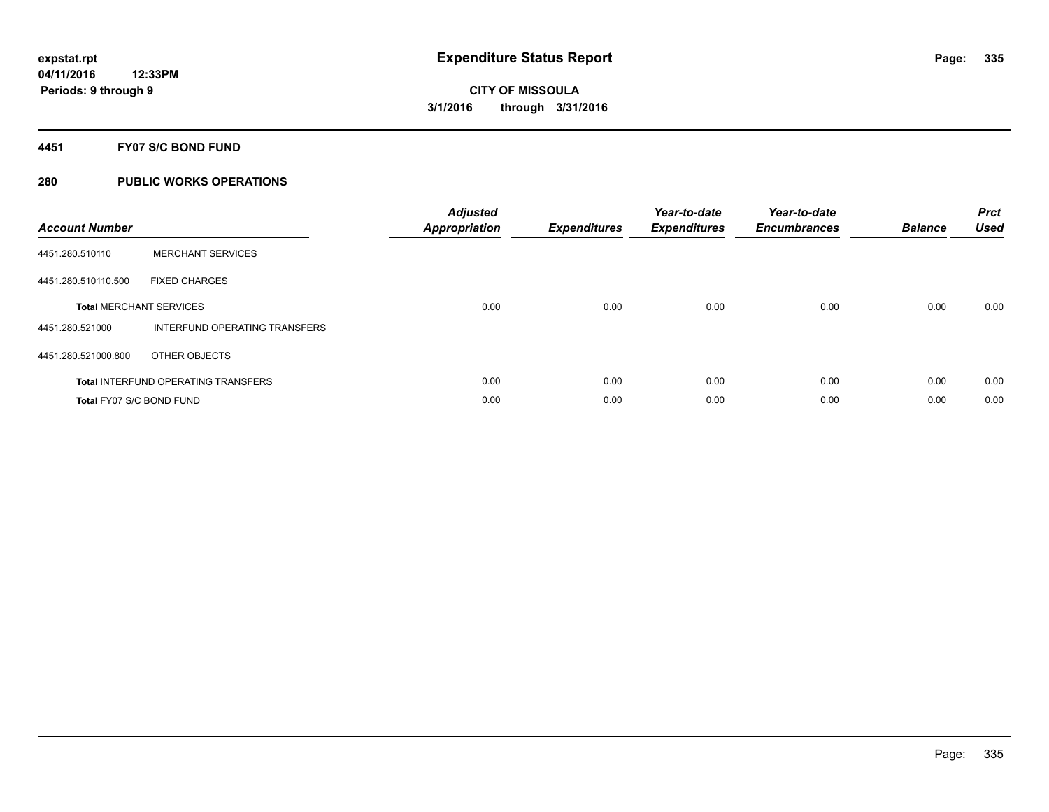### **4451 FY07 S/C BOND FUND**

| <b>Account Number</b>           |                                            | <b>Adjusted</b><br>Appropriation | <b>Expenditures</b> | Year-to-date<br><b>Expenditures</b> | Year-to-date<br><b>Encumbrances</b> | <b>Balance</b> | <b>Prct</b><br><b>Used</b> |
|---------------------------------|--------------------------------------------|----------------------------------|---------------------|-------------------------------------|-------------------------------------|----------------|----------------------------|
| 4451.280.510110                 | <b>MERCHANT SERVICES</b>                   |                                  |                     |                                     |                                     |                |                            |
| 4451.280.510110.500             | <b>FIXED CHARGES</b>                       |                                  |                     |                                     |                                     |                |                            |
|                                 | <b>Total MERCHANT SERVICES</b>             | 0.00                             | 0.00                | 0.00                                | 0.00                                | 0.00           | 0.00                       |
| 4451.280.521000                 | INTERFUND OPERATING TRANSFERS              |                                  |                     |                                     |                                     |                |                            |
| 4451.280.521000.800             | OTHER OBJECTS                              |                                  |                     |                                     |                                     |                |                            |
|                                 | <b>Total INTERFUND OPERATING TRANSFERS</b> | 0.00                             | 0.00                | 0.00                                | 0.00                                | 0.00           | 0.00                       |
| <b>Total FY07 S/C BOND FUND</b> |                                            | 0.00                             | 0.00                | 0.00                                | 0.00                                | 0.00           | 0.00                       |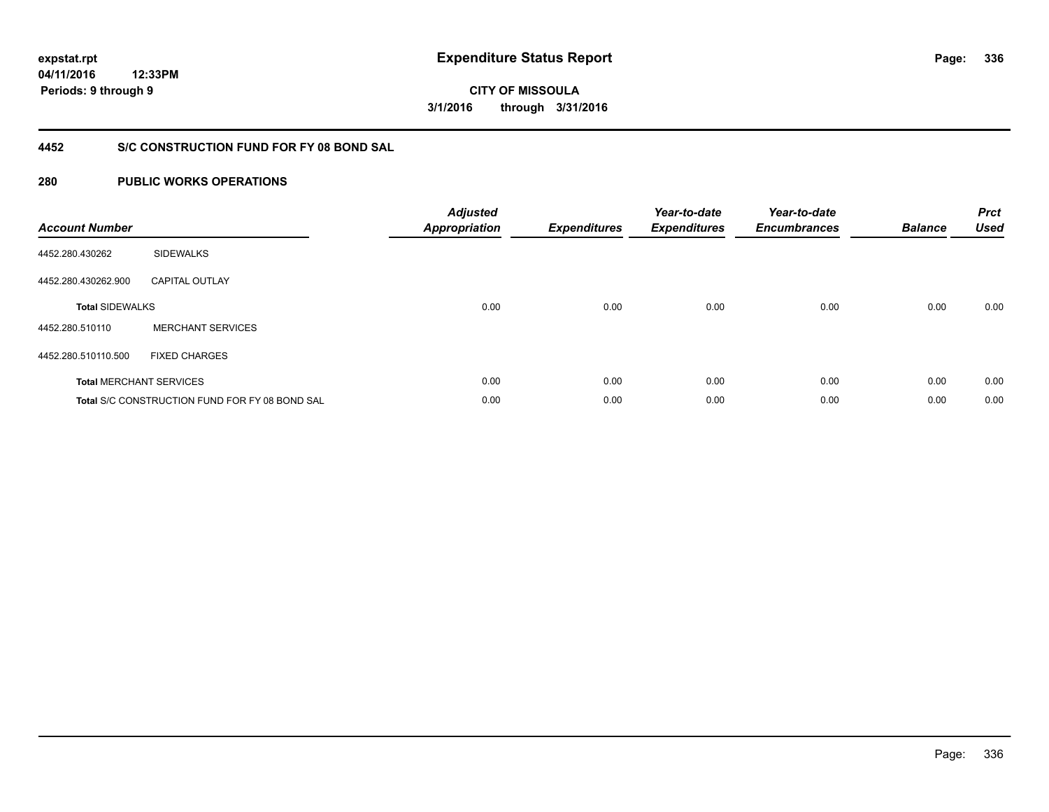**04/11/2016 12:33PM Periods: 9 through 9**

**CITY OF MISSOULA 3/1/2016 through 3/31/2016**

### **4452 S/C CONSTRUCTION FUND FOR FY 08 BOND SAL**

| <b>Account Number</b>  |                                                       | <b>Adjusted</b><br><b>Appropriation</b> | <b>Expenditures</b> | Year-to-date<br><b>Expenditures</b> | Year-to-date<br><b>Encumbrances</b> | <b>Balance</b> | <b>Prct</b><br><b>Used</b> |
|------------------------|-------------------------------------------------------|-----------------------------------------|---------------------|-------------------------------------|-------------------------------------|----------------|----------------------------|
| 4452.280.430262        | <b>SIDEWALKS</b>                                      |                                         |                     |                                     |                                     |                |                            |
| 4452.280.430262.900    | <b>CAPITAL OUTLAY</b>                                 |                                         |                     |                                     |                                     |                |                            |
| <b>Total SIDEWALKS</b> |                                                       | 0.00                                    | 0.00                | 0.00                                | 0.00                                | 0.00           | 0.00                       |
| 4452.280.510110        | <b>MERCHANT SERVICES</b>                              |                                         |                     |                                     |                                     |                |                            |
| 4452.280.510110.500    | <b>FIXED CHARGES</b>                                  |                                         |                     |                                     |                                     |                |                            |
|                        | <b>Total MERCHANT SERVICES</b>                        | 0.00                                    | 0.00                | 0.00                                | 0.00                                | 0.00           | 0.00                       |
|                        | <b>Total S/C CONSTRUCTION FUND FOR FY 08 BOND SAL</b> | 0.00                                    | 0.00                | 0.00                                | 0.00                                | 0.00           | 0.00                       |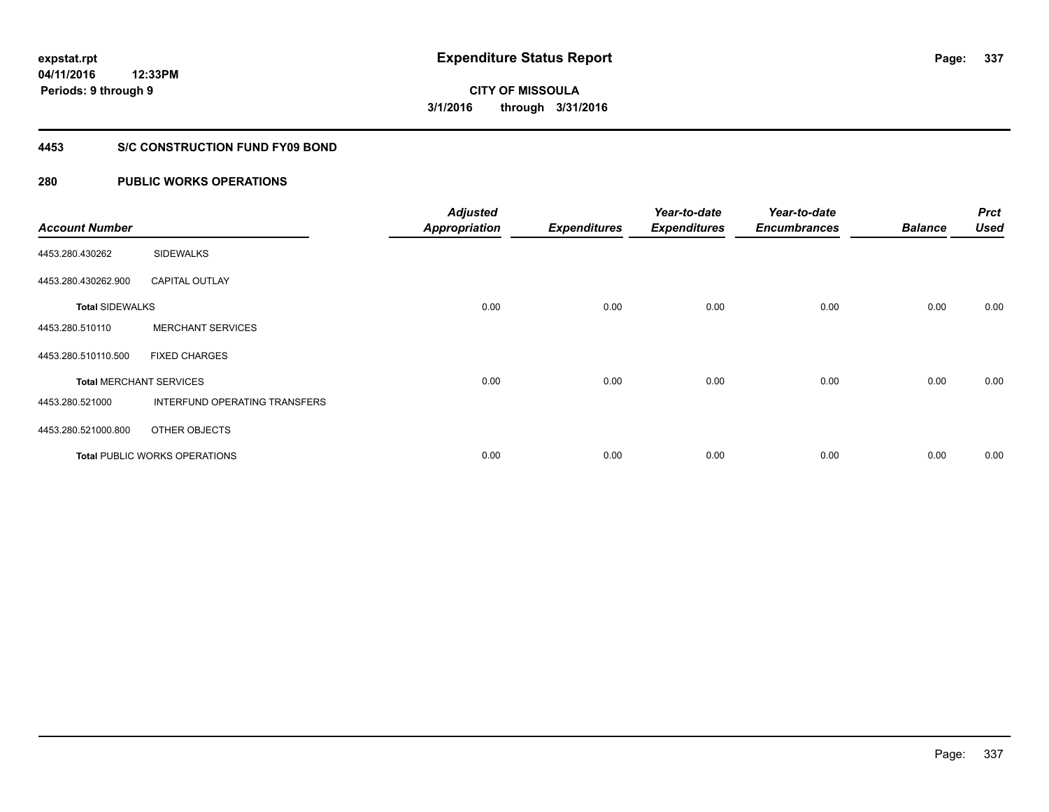### **4453 S/C CONSTRUCTION FUND FY09 BOND**

| <b>Account Number</b>  |                                | <b>Adjusted</b><br><b>Appropriation</b> | <b>Expenditures</b> | Year-to-date<br><b>Expenditures</b> | Year-to-date<br><b>Encumbrances</b> | <b>Balance</b> | <b>Prct</b><br><b>Used</b> |
|------------------------|--------------------------------|-----------------------------------------|---------------------|-------------------------------------|-------------------------------------|----------------|----------------------------|
| 4453.280.430262        | <b>SIDEWALKS</b>               |                                         |                     |                                     |                                     |                |                            |
| 4453.280.430262.900    | <b>CAPITAL OUTLAY</b>          |                                         |                     |                                     |                                     |                |                            |
| <b>Total SIDEWALKS</b> |                                | 0.00                                    | 0.00                | 0.00                                | 0.00                                | 0.00           | 0.00                       |
| 4453.280.510110        | <b>MERCHANT SERVICES</b>       |                                         |                     |                                     |                                     |                |                            |
| 4453.280.510110.500    | <b>FIXED CHARGES</b>           |                                         |                     |                                     |                                     |                |                            |
|                        | <b>Total MERCHANT SERVICES</b> | 0.00                                    | 0.00                | 0.00                                | 0.00                                | 0.00           | 0.00                       |
| 4453.280.521000        | INTERFUND OPERATING TRANSFERS  |                                         |                     |                                     |                                     |                |                            |
| 4453.280.521000.800    | OTHER OBJECTS                  |                                         |                     |                                     |                                     |                |                            |
|                        | Total PUBLIC WORKS OPERATIONS  | 0.00                                    | 0.00                | 0.00                                | 0.00                                | 0.00           | 0.00                       |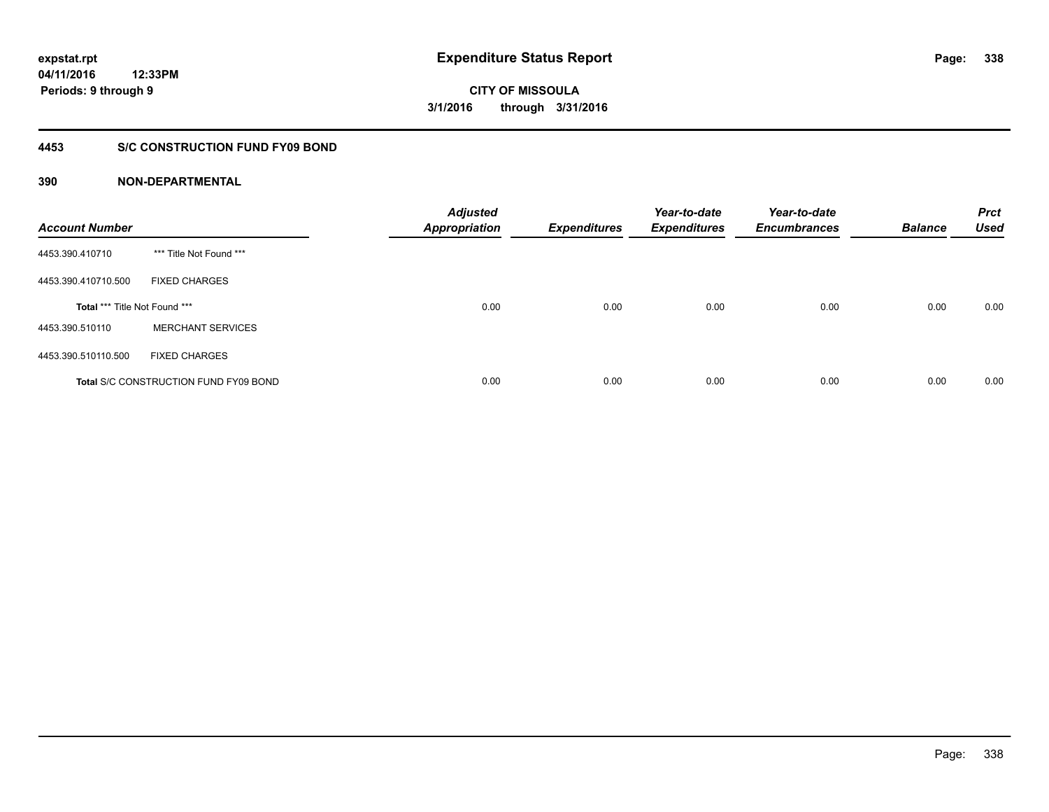### **4453 S/C CONSTRUCTION FUND FY09 BOND**

| <b>Account Number</b>         |                                              | <b>Adjusted</b><br><b>Appropriation</b> | <b>Expenditures</b> | Year-to-date<br><b>Expenditures</b> | Year-to-date<br><b>Encumbrances</b> | <b>Balance</b> | <b>Prct</b><br><b>Used</b> |
|-------------------------------|----------------------------------------------|-----------------------------------------|---------------------|-------------------------------------|-------------------------------------|----------------|----------------------------|
| 4453.390.410710               | *** Title Not Found ***                      |                                         |                     |                                     |                                     |                |                            |
| 4453.390.410710.500           | <b>FIXED CHARGES</b>                         |                                         |                     |                                     |                                     |                |                            |
| Total *** Title Not Found *** |                                              | 0.00                                    | 0.00                | 0.00                                | 0.00                                | 0.00           | 0.00                       |
| 4453.390.510110               | <b>MERCHANT SERVICES</b>                     |                                         |                     |                                     |                                     |                |                            |
| 4453.390.510110.500           | <b>FIXED CHARGES</b>                         |                                         |                     |                                     |                                     |                |                            |
|                               | <b>Total S/C CONSTRUCTION FUND FY09 BOND</b> | 0.00                                    | 0.00                | 0.00                                | 0.00                                | 0.00           | 0.00                       |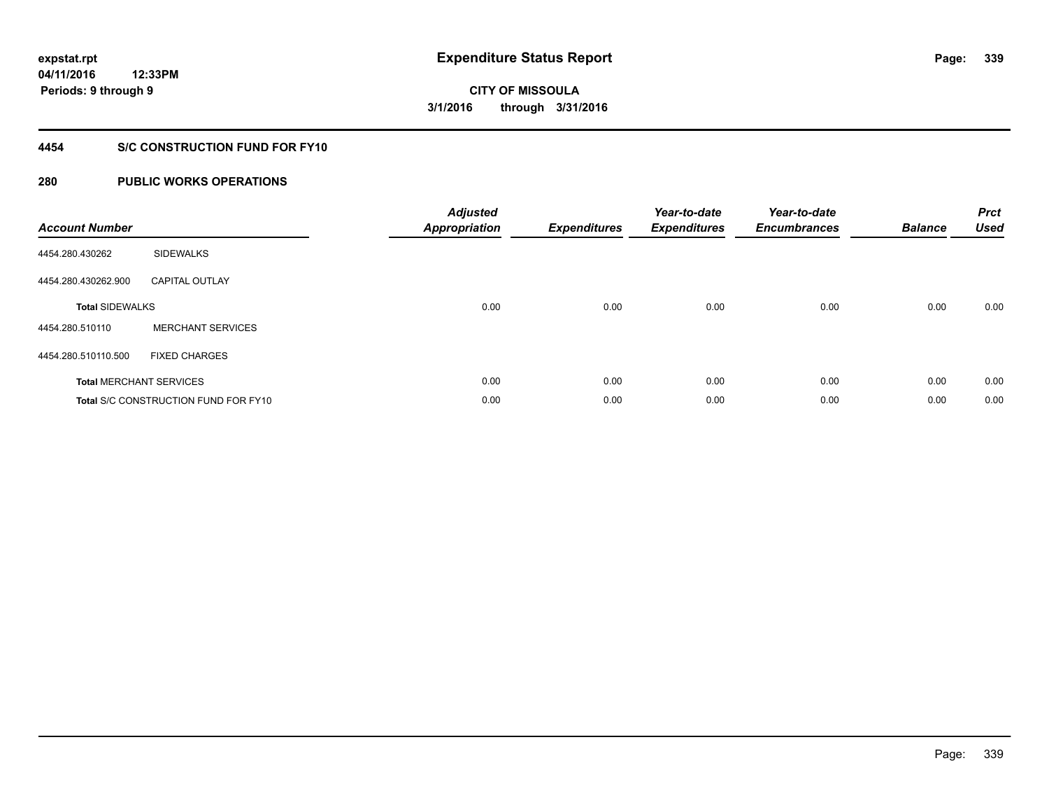### **4454 S/C CONSTRUCTION FUND FOR FY10**

| <b>Account Number</b>  |                                             | <b>Adjusted</b><br>Appropriation | <b>Expenditures</b> | Year-to-date<br><b>Expenditures</b> | Year-to-date<br><b>Encumbrances</b> | <b>Balance</b> | <b>Prct</b><br><b>Used</b> |
|------------------------|---------------------------------------------|----------------------------------|---------------------|-------------------------------------|-------------------------------------|----------------|----------------------------|
| 4454.280.430262        | <b>SIDEWALKS</b>                            |                                  |                     |                                     |                                     |                |                            |
| 4454.280.430262.900    | <b>CAPITAL OUTLAY</b>                       |                                  |                     |                                     |                                     |                |                            |
| <b>Total SIDEWALKS</b> |                                             | 0.00                             | 0.00                | 0.00                                | 0.00                                | 0.00           | 0.00                       |
| 4454.280.510110        | <b>MERCHANT SERVICES</b>                    |                                  |                     |                                     |                                     |                |                            |
| 4454.280.510110.500    | <b>FIXED CHARGES</b>                        |                                  |                     |                                     |                                     |                |                            |
|                        | <b>Total MERCHANT SERVICES</b>              | 0.00                             | 0.00                | 0.00                                | 0.00                                | 0.00           | 0.00                       |
|                        | <b>Total S/C CONSTRUCTION FUND FOR FY10</b> | 0.00                             | 0.00                | 0.00                                | 0.00                                | 0.00           | 0.00                       |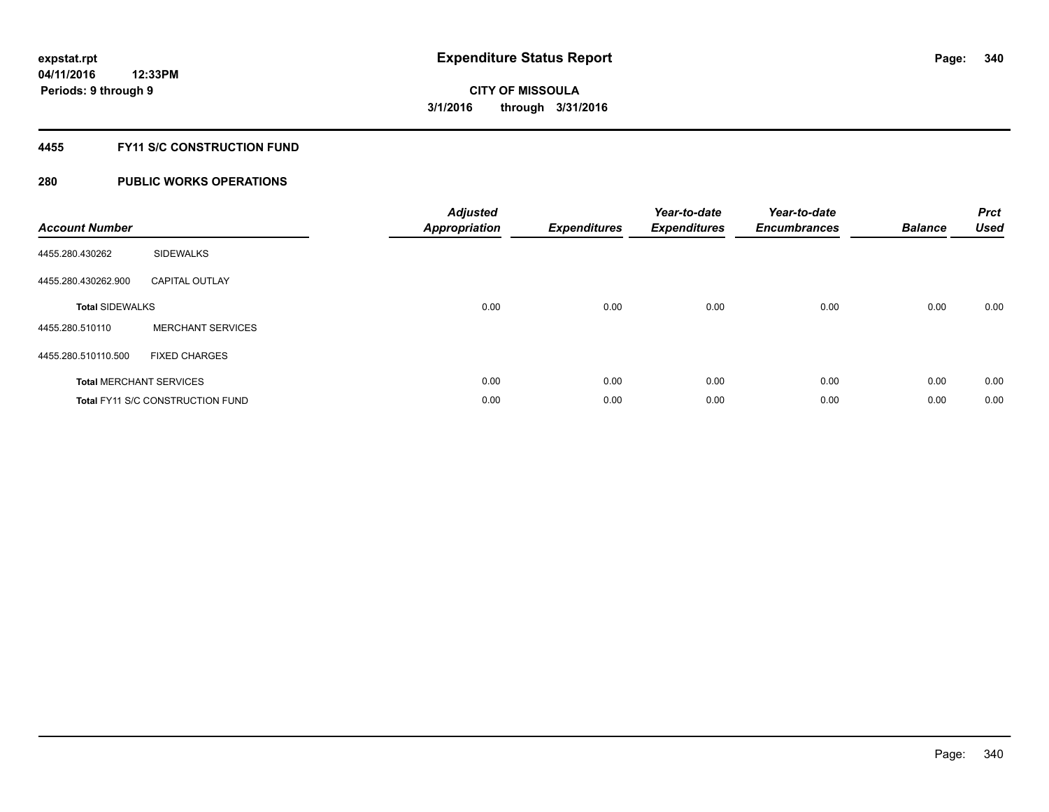### **4455 FY11 S/C CONSTRUCTION FUND**

| <b>Account Number</b>  |                                         | <b>Adjusted</b><br>Appropriation | <b>Expenditures</b> | Year-to-date<br><b>Expenditures</b> | Year-to-date<br><b>Encumbrances</b> | <b>Balance</b> | <b>Prct</b><br><b>Used</b> |
|------------------------|-----------------------------------------|----------------------------------|---------------------|-------------------------------------|-------------------------------------|----------------|----------------------------|
| 4455.280.430262        | <b>SIDEWALKS</b>                        |                                  |                     |                                     |                                     |                |                            |
| 4455.280.430262.900    | <b>CAPITAL OUTLAY</b>                   |                                  |                     |                                     |                                     |                |                            |
| <b>Total SIDEWALKS</b> |                                         | 0.00                             | 0.00                | 0.00                                | 0.00                                | 0.00           | 0.00                       |
| 4455.280.510110        | <b>MERCHANT SERVICES</b>                |                                  |                     |                                     |                                     |                |                            |
| 4455.280.510110.500    | <b>FIXED CHARGES</b>                    |                                  |                     |                                     |                                     |                |                            |
|                        | <b>Total MERCHANT SERVICES</b>          | 0.00                             | 0.00                | 0.00                                | 0.00                                | 0.00           | 0.00                       |
|                        | <b>Total FY11 S/C CONSTRUCTION FUND</b> | 0.00                             | 0.00                | 0.00                                | 0.00                                | 0.00           | 0.00                       |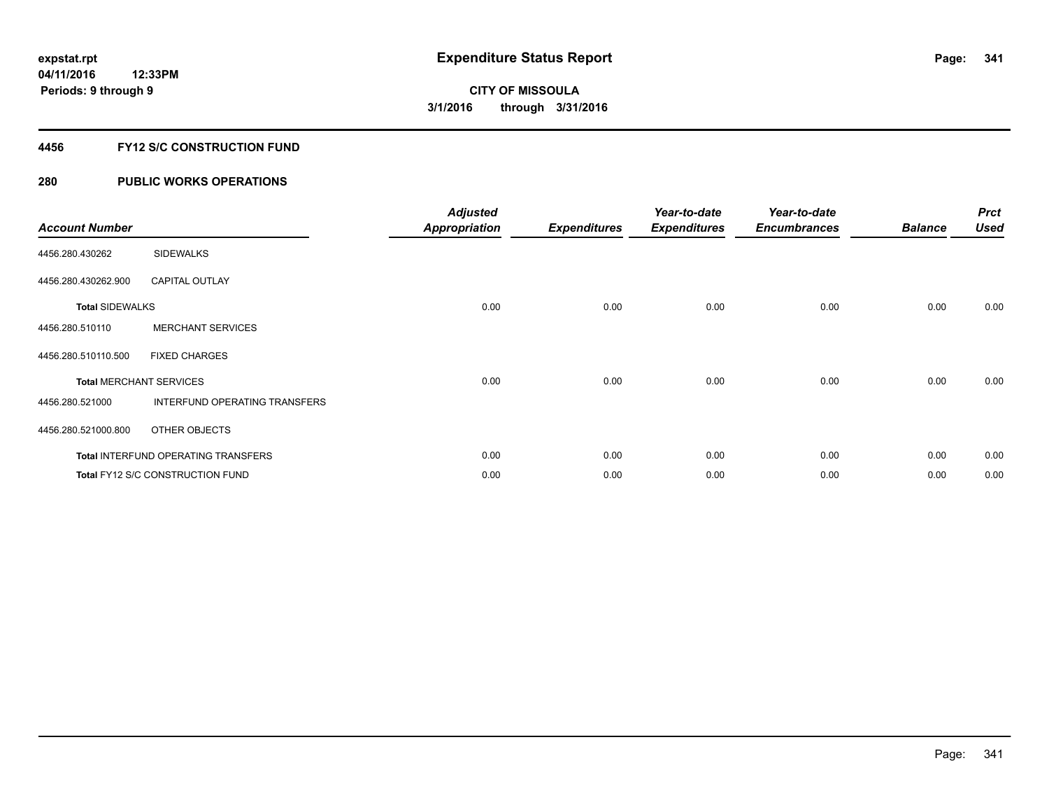### **4456 FY12 S/C CONSTRUCTION FUND**

| <b>Account Number</b>  |                                         | <b>Adjusted</b><br><b>Appropriation</b> | <b>Expenditures</b> | Year-to-date<br><b>Expenditures</b> | Year-to-date<br><b>Encumbrances</b> | <b>Balance</b> | <b>Prct</b><br><b>Used</b> |
|------------------------|-----------------------------------------|-----------------------------------------|---------------------|-------------------------------------|-------------------------------------|----------------|----------------------------|
| 4456.280.430262        | <b>SIDEWALKS</b>                        |                                         |                     |                                     |                                     |                |                            |
| 4456.280.430262.900    | <b>CAPITAL OUTLAY</b>                   |                                         |                     |                                     |                                     |                |                            |
| <b>Total SIDEWALKS</b> |                                         | 0.00                                    | 0.00                | 0.00                                | 0.00                                | 0.00           | 0.00                       |
| 4456.280.510110        | <b>MERCHANT SERVICES</b>                |                                         |                     |                                     |                                     |                |                            |
| 4456.280.510110.500    | <b>FIXED CHARGES</b>                    |                                         |                     |                                     |                                     |                |                            |
|                        | <b>Total MERCHANT SERVICES</b>          | 0.00                                    | 0.00                | 0.00                                | 0.00                                | 0.00           | 0.00                       |
| 4456.280.521000        | INTERFUND OPERATING TRANSFERS           |                                         |                     |                                     |                                     |                |                            |
| 4456.280.521000.800    | OTHER OBJECTS                           |                                         |                     |                                     |                                     |                |                            |
|                        | Total INTERFUND OPERATING TRANSFERS     | 0.00                                    | 0.00                | 0.00                                | 0.00                                | 0.00           | 0.00                       |
|                        | <b>Total FY12 S/C CONSTRUCTION FUND</b> | 0.00                                    | 0.00                | 0.00                                | 0.00                                | 0.00           | 0.00                       |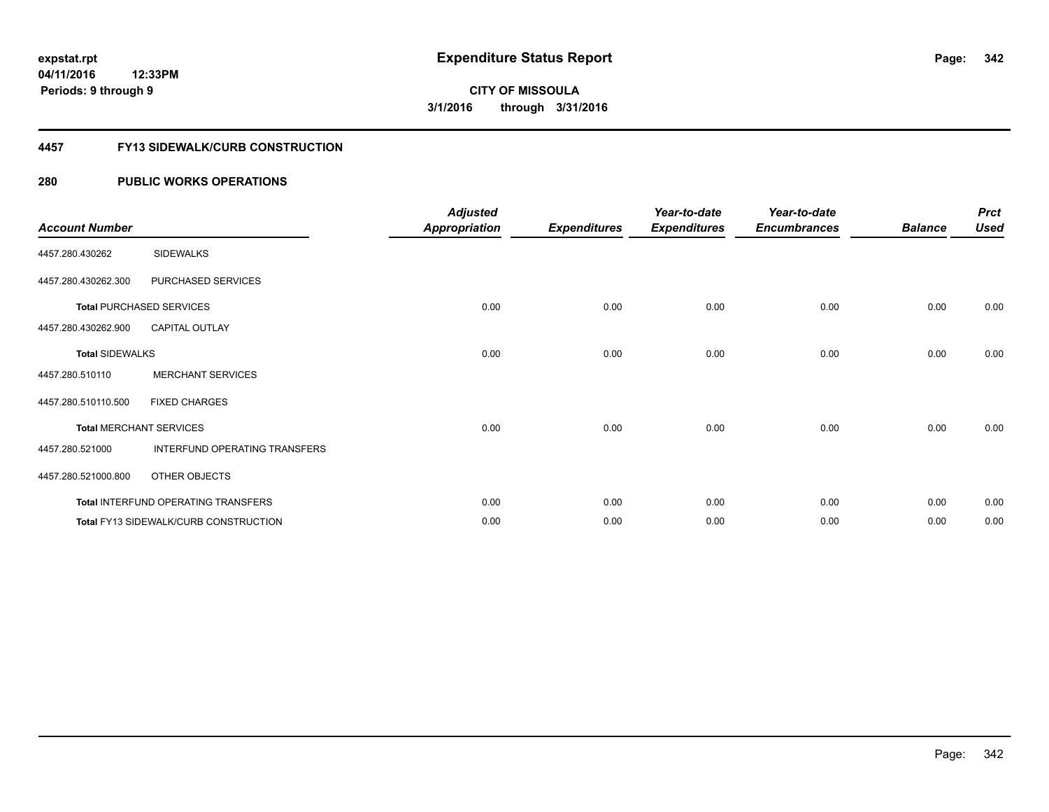#### **4457 FY13 SIDEWALK/CURB CONSTRUCTION**

| <b>Account Number</b>  |                                       | <b>Adjusted</b><br><b>Appropriation</b> | <b>Expenditures</b> | Year-to-date<br><b>Expenditures</b> | Year-to-date<br><b>Encumbrances</b> | <b>Balance</b> | <b>Prct</b><br><b>Used</b> |
|------------------------|---------------------------------------|-----------------------------------------|---------------------|-------------------------------------|-------------------------------------|----------------|----------------------------|
| 4457.280.430262        | <b>SIDEWALKS</b>                      |                                         |                     |                                     |                                     |                |                            |
| 4457.280.430262.300    | PURCHASED SERVICES                    |                                         |                     |                                     |                                     |                |                            |
|                        | <b>Total PURCHASED SERVICES</b>       | 0.00                                    | 0.00                | 0.00                                | 0.00                                | 0.00           | 0.00                       |
| 4457.280.430262.900    | <b>CAPITAL OUTLAY</b>                 |                                         |                     |                                     |                                     |                |                            |
| <b>Total SIDEWALKS</b> |                                       | 0.00                                    | 0.00                | 0.00                                | 0.00                                | 0.00           | 0.00                       |
| 4457.280.510110        | <b>MERCHANT SERVICES</b>              |                                         |                     |                                     |                                     |                |                            |
| 4457.280.510110.500    | <b>FIXED CHARGES</b>                  |                                         |                     |                                     |                                     |                |                            |
|                        | <b>Total MERCHANT SERVICES</b>        | 0.00                                    | 0.00                | 0.00                                | 0.00                                | 0.00           | 0.00                       |
| 4457.280.521000        | INTERFUND OPERATING TRANSFERS         |                                         |                     |                                     |                                     |                |                            |
| 4457.280.521000.800    | OTHER OBJECTS                         |                                         |                     |                                     |                                     |                |                            |
|                        | Total INTERFUND OPERATING TRANSFERS   | 0.00                                    | 0.00                | 0.00                                | 0.00                                | 0.00           | 0.00                       |
|                        | Total FY13 SIDEWALK/CURB CONSTRUCTION | 0.00                                    | 0.00                | 0.00                                | 0.00                                | 0.00           | 0.00                       |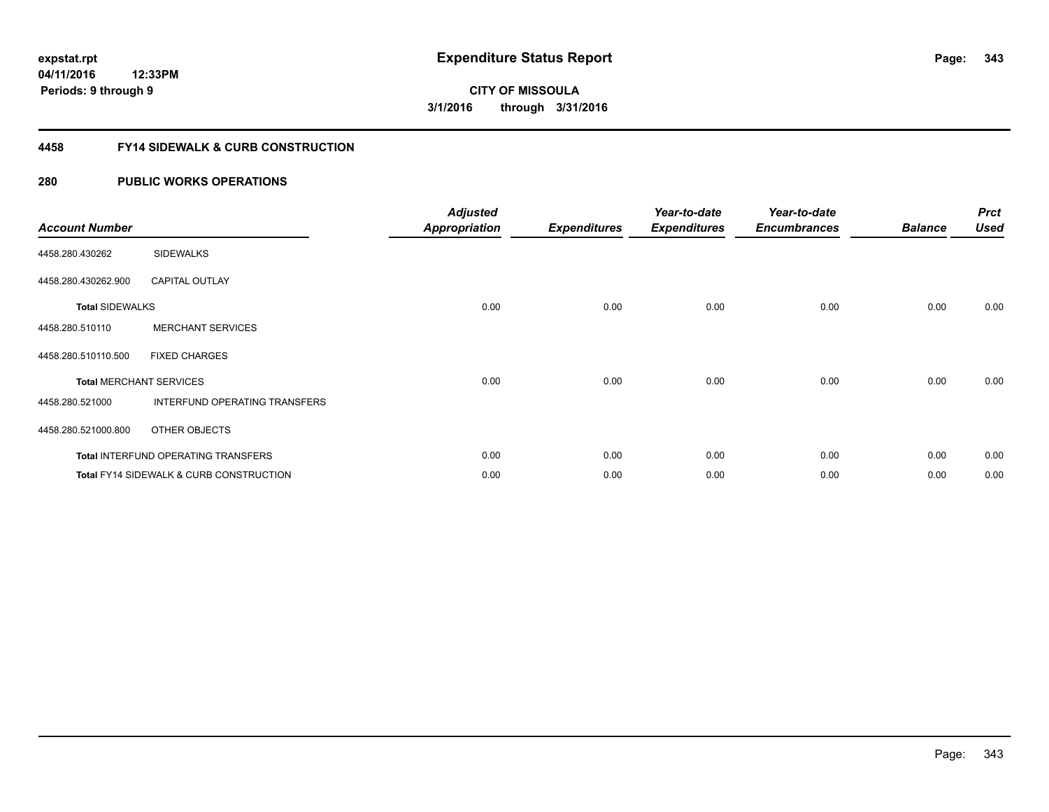### **4458 FY14 SIDEWALK & CURB CONSTRUCTION**

| <b>Account Number</b>  |                                            | <b>Adjusted</b><br><b>Appropriation</b> | <b>Expenditures</b> | Year-to-date<br><b>Expenditures</b> | Year-to-date<br><b>Encumbrances</b> | <b>Balance</b> | <b>Prct</b><br><b>Used</b> |
|------------------------|--------------------------------------------|-----------------------------------------|---------------------|-------------------------------------|-------------------------------------|----------------|----------------------------|
| 4458.280.430262        | <b>SIDEWALKS</b>                           |                                         |                     |                                     |                                     |                |                            |
| 4458.280.430262.900    | <b>CAPITAL OUTLAY</b>                      |                                         |                     |                                     |                                     |                |                            |
| <b>Total SIDEWALKS</b> |                                            | 0.00                                    | 0.00                | 0.00                                | 0.00                                | 0.00           | 0.00                       |
| 4458.280.510110        | <b>MERCHANT SERVICES</b>                   |                                         |                     |                                     |                                     |                |                            |
| 4458.280.510110.500    | <b>FIXED CHARGES</b>                       |                                         |                     |                                     |                                     |                |                            |
|                        | <b>Total MERCHANT SERVICES</b>             | 0.00                                    | 0.00                | 0.00                                | 0.00                                | 0.00           | 0.00                       |
| 4458.280.521000        | INTERFUND OPERATING TRANSFERS              |                                         |                     |                                     |                                     |                |                            |
| 4458.280.521000.800    | OTHER OBJECTS                              |                                         |                     |                                     |                                     |                |                            |
|                        | <b>Total INTERFUND OPERATING TRANSFERS</b> | 0.00                                    | 0.00                | 0.00                                | 0.00                                | 0.00           | 0.00                       |
|                        | Total FY14 SIDEWALK & CURB CONSTRUCTION    | 0.00                                    | 0.00                | 0.00                                | 0.00                                | 0.00           | 0.00                       |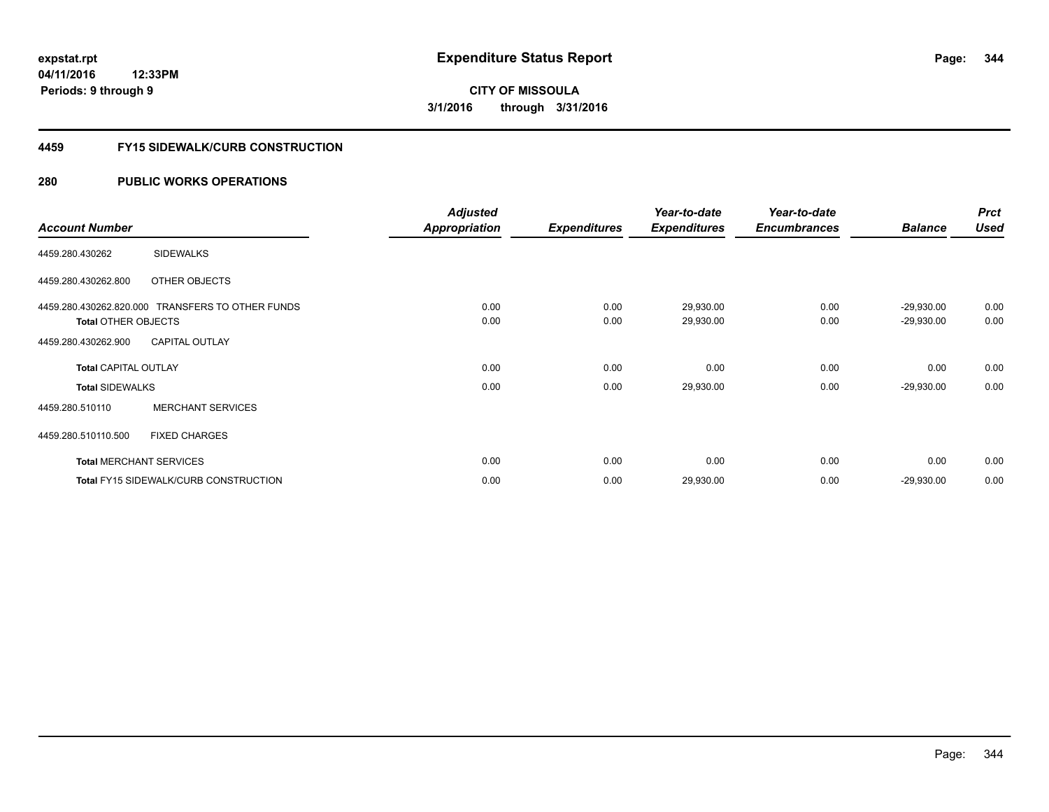#### **4459 FY15 SIDEWALK/CURB CONSTRUCTION**

|                                |                                                  | <b>Adjusted</b>      |                     | Year-to-date        | Year-to-date        |                | <b>Prct</b> |
|--------------------------------|--------------------------------------------------|----------------------|---------------------|---------------------|---------------------|----------------|-------------|
| <b>Account Number</b>          |                                                  | <b>Appropriation</b> | <b>Expenditures</b> | <b>Expenditures</b> | <b>Encumbrances</b> | <b>Balance</b> | <b>Used</b> |
| 4459.280.430262                | <b>SIDEWALKS</b>                                 |                      |                     |                     |                     |                |             |
| 4459.280.430262.800            | OTHER OBJECTS                                    |                      |                     |                     |                     |                |             |
|                                | 4459.280.430262.820.000 TRANSFERS TO OTHER FUNDS | 0.00                 | 0.00                | 29,930.00           | 0.00                | $-29,930.00$   | 0.00        |
| <b>Total OTHER OBJECTS</b>     |                                                  | 0.00                 | 0.00                | 29,930.00           | 0.00                | $-29,930.00$   | 0.00        |
| 4459.280.430262.900            | <b>CAPITAL OUTLAY</b>                            |                      |                     |                     |                     |                |             |
| <b>Total CAPITAL OUTLAY</b>    |                                                  | 0.00                 | 0.00                | 0.00                | 0.00                | 0.00           | 0.00        |
| <b>Total SIDEWALKS</b>         |                                                  | 0.00                 | 0.00                | 29,930.00           | 0.00                | $-29,930.00$   | 0.00        |
| 4459.280.510110                | <b>MERCHANT SERVICES</b>                         |                      |                     |                     |                     |                |             |
| 4459.280.510110.500            | <b>FIXED CHARGES</b>                             |                      |                     |                     |                     |                |             |
| <b>Total MERCHANT SERVICES</b> |                                                  | 0.00                 | 0.00                | 0.00                | 0.00                | 0.00           | 0.00        |
|                                | <b>Total FY15 SIDEWALK/CURB CONSTRUCTION</b>     | 0.00                 | 0.00                | 29,930.00           | 0.00                | $-29,930.00$   | 0.00        |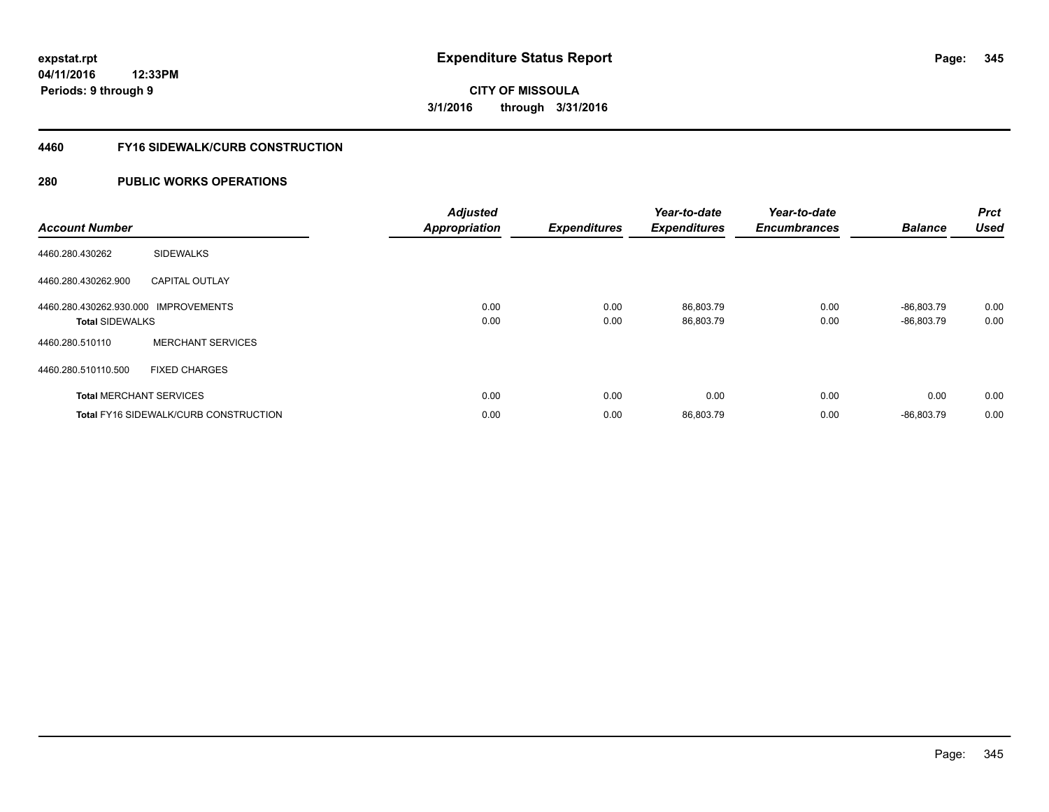### **4460 FY16 SIDEWALK/CURB CONSTRUCTION**

| <b>Account Number</b>                                          |                                              | <b>Adjusted</b><br><b>Appropriation</b> | <b>Expenditures</b> | Year-to-date<br><b>Expenditures</b> | Year-to-date<br><b>Encumbrances</b> | <b>Balance</b>               | Prct<br><b>Used</b> |
|----------------------------------------------------------------|----------------------------------------------|-----------------------------------------|---------------------|-------------------------------------|-------------------------------------|------------------------------|---------------------|
| 4460.280.430262                                                | <b>SIDEWALKS</b>                             |                                         |                     |                                     |                                     |                              |                     |
| 4460.280.430262.900                                            | <b>CAPITAL OUTLAY</b>                        |                                         |                     |                                     |                                     |                              |                     |
| 4460.280.430262.930.000 IMPROVEMENTS<br><b>Total SIDEWALKS</b> |                                              | 0.00<br>0.00                            | 0.00<br>0.00        | 86.803.79<br>86,803.79              | 0.00<br>0.00                        | $-86.803.79$<br>$-86,803.79$ | 0.00<br>0.00        |
| 4460.280.510110                                                | <b>MERCHANT SERVICES</b>                     |                                         |                     |                                     |                                     |                              |                     |
| 4460.280.510110.500                                            | <b>FIXED CHARGES</b>                         |                                         |                     |                                     |                                     |                              |                     |
| <b>Total MERCHANT SERVICES</b>                                 |                                              | 0.00                                    | 0.00                | 0.00                                | 0.00                                | 0.00                         | 0.00                |
|                                                                | <b>Total FY16 SIDEWALK/CURB CONSTRUCTION</b> | 0.00                                    | 0.00                | 86,803.79                           | 0.00                                | $-86,803.79$                 | 0.00                |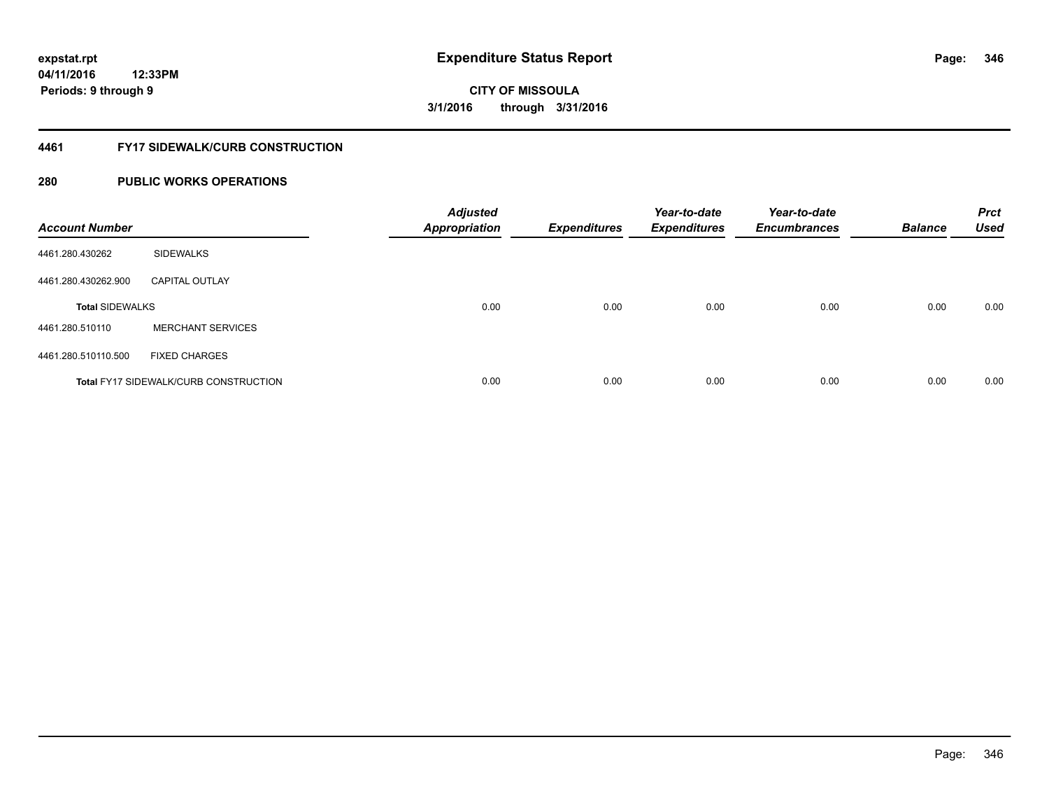### **4461 FY17 SIDEWALK/CURB CONSTRUCTION**

| <b>Account Number</b>  |                                              | <b>Adjusted</b><br><b>Appropriation</b> | <b>Expenditures</b> | Year-to-date<br><b>Expenditures</b> | Year-to-date<br><b>Encumbrances</b> | <b>Balance</b> | <b>Prct</b><br><b>Used</b> |
|------------------------|----------------------------------------------|-----------------------------------------|---------------------|-------------------------------------|-------------------------------------|----------------|----------------------------|
| 4461.280.430262        | <b>SIDEWALKS</b>                             |                                         |                     |                                     |                                     |                |                            |
| 4461.280.430262.900    | <b>CAPITAL OUTLAY</b>                        |                                         |                     |                                     |                                     |                |                            |
| <b>Total SIDEWALKS</b> |                                              | 0.00                                    | 0.00                | 0.00                                | 0.00                                | 0.00           | 0.00                       |
| 4461.280.510110        | <b>MERCHANT SERVICES</b>                     |                                         |                     |                                     |                                     |                |                            |
| 4461.280.510110.500    | <b>FIXED CHARGES</b>                         |                                         |                     |                                     |                                     |                |                            |
|                        | <b>Total FY17 SIDEWALK/CURB CONSTRUCTION</b> | 0.00                                    | 0.00                | 0.00                                | 0.00                                | 0.00           | 0.00                       |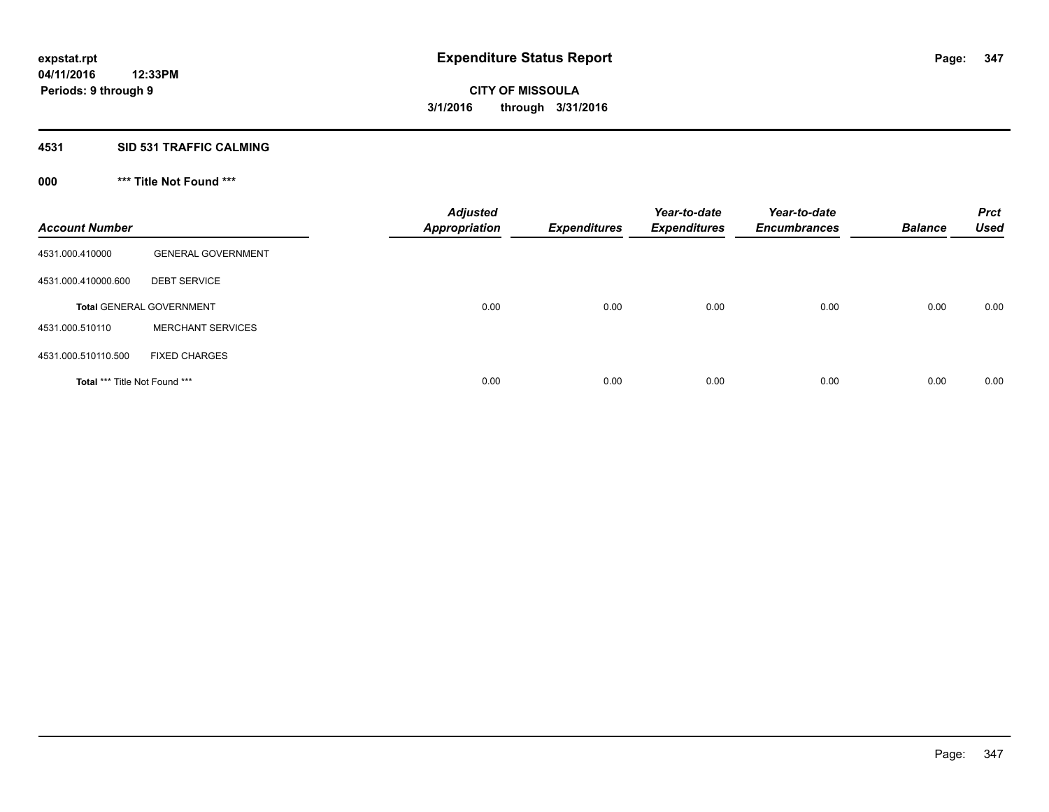#### **4531 SID 531 TRAFFIC CALMING**

### **000 \*\*\* Title Not Found \*\*\***

| <b>Account Number</b>         |                                 | <b>Adjusted</b><br><b>Appropriation</b> | <b>Expenditures</b> | Year-to-date<br><b>Expenditures</b> | Year-to-date<br><b>Encumbrances</b> | <b>Balance</b> | <b>Prct</b><br><b>Used</b> |
|-------------------------------|---------------------------------|-----------------------------------------|---------------------|-------------------------------------|-------------------------------------|----------------|----------------------------|
| 4531.000.410000               | <b>GENERAL GOVERNMENT</b>       |                                         |                     |                                     |                                     |                |                            |
| 4531.000.410000.600           | <b>DEBT SERVICE</b>             |                                         |                     |                                     |                                     |                |                            |
|                               | <b>Total GENERAL GOVERNMENT</b> | 0.00                                    | 0.00                | 0.00                                | 0.00                                | 0.00           | 0.00                       |
| 4531.000.510110               | <b>MERCHANT SERVICES</b>        |                                         |                     |                                     |                                     |                |                            |
| 4531.000.510110.500           | <b>FIXED CHARGES</b>            |                                         |                     |                                     |                                     |                |                            |
| Total *** Title Not Found *** |                                 | 0.00                                    | 0.00                | 0.00                                | 0.00                                | 0.00           | 0.00                       |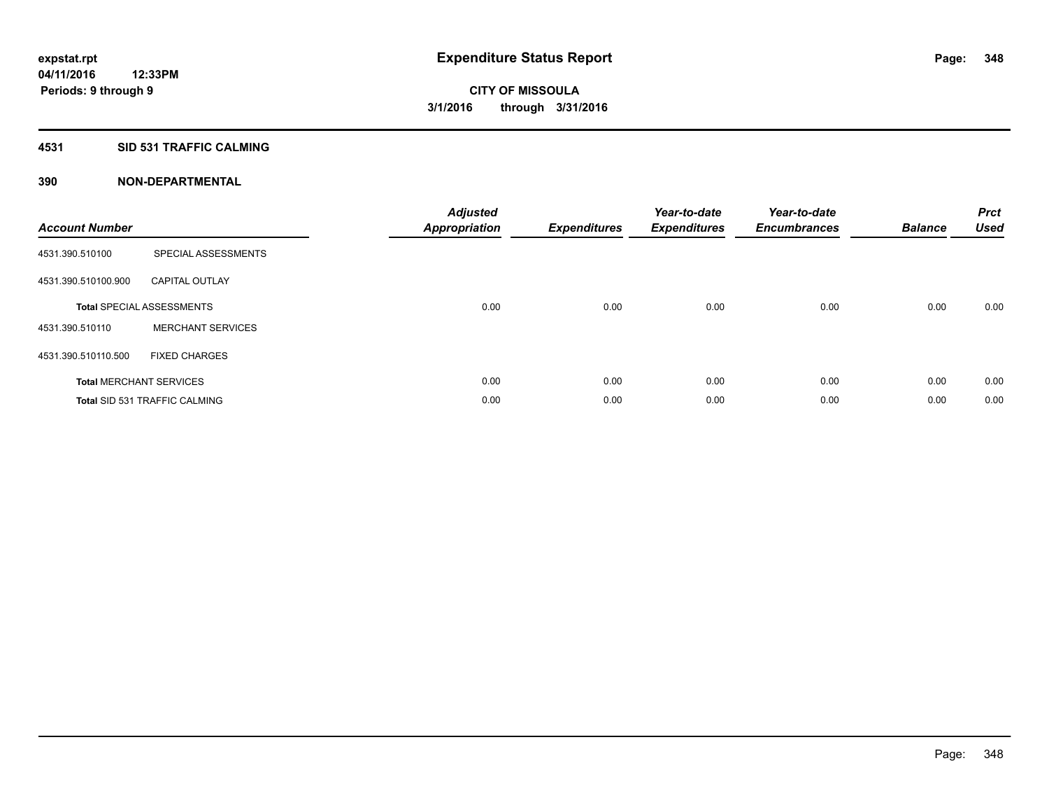### **4531 SID 531 TRAFFIC CALMING**

| <b>Account Number</b> |                                      | <b>Adjusted</b><br>Appropriation | <b>Expenditures</b> | Year-to-date<br><b>Expenditures</b> | Year-to-date<br><b>Encumbrances</b> | <b>Balance</b> | <b>Prct</b><br><b>Used</b> |
|-----------------------|--------------------------------------|----------------------------------|---------------------|-------------------------------------|-------------------------------------|----------------|----------------------------|
| 4531.390.510100       | SPECIAL ASSESSMENTS                  |                                  |                     |                                     |                                     |                |                            |
| 4531.390.510100.900   | <b>CAPITAL OUTLAY</b>                |                                  |                     |                                     |                                     |                |                            |
|                       | <b>Total SPECIAL ASSESSMENTS</b>     | 0.00                             | 0.00                | 0.00                                | 0.00                                | 0.00           | 0.00                       |
| 4531.390.510110       | <b>MERCHANT SERVICES</b>             |                                  |                     |                                     |                                     |                |                            |
| 4531.390.510110.500   | <b>FIXED CHARGES</b>                 |                                  |                     |                                     |                                     |                |                            |
|                       | <b>Total MERCHANT SERVICES</b>       | 0.00                             | 0.00                | 0.00                                | 0.00                                | 0.00           | 0.00                       |
|                       | <b>Total SID 531 TRAFFIC CALMING</b> | 0.00                             | 0.00                | 0.00                                | 0.00                                | 0.00           | 0.00                       |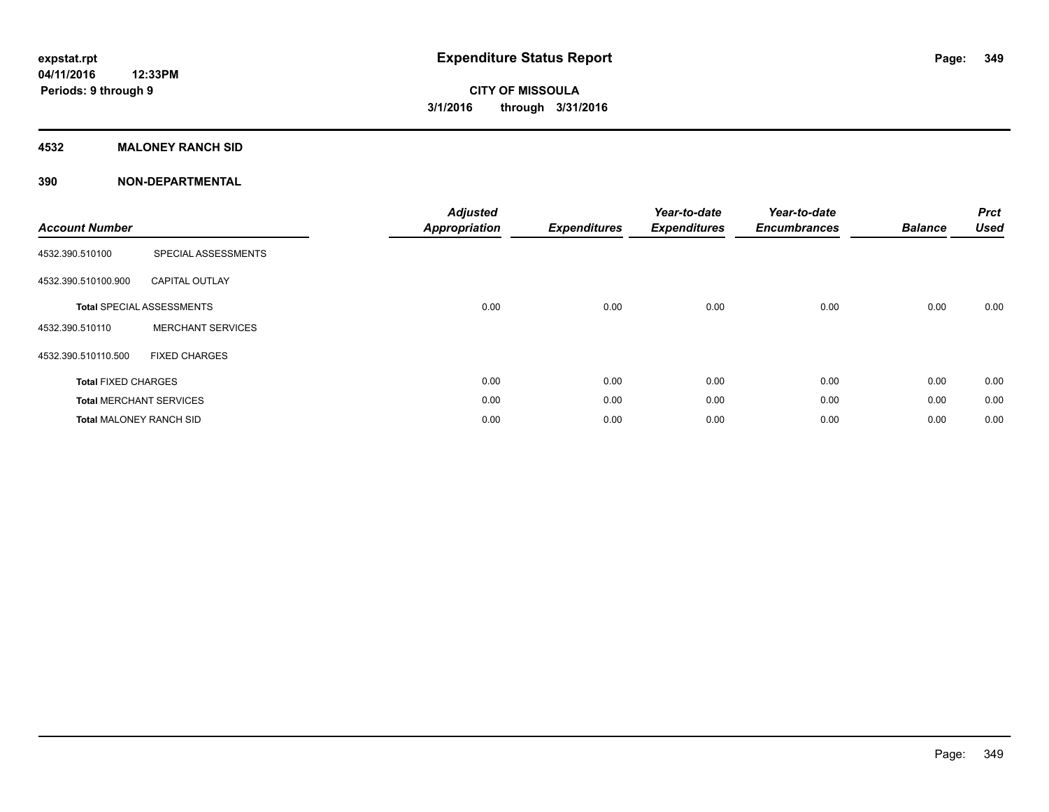### **4532 MALONEY RANCH SID**

| <b>Account Number</b>          |                                  | <b>Adjusted</b><br><b>Appropriation</b> | <b>Expenditures</b> | Year-to-date<br><b>Expenditures</b> | Year-to-date<br><b>Encumbrances</b> | <b>Balance</b> | <b>Prct</b><br><b>Used</b> |
|--------------------------------|----------------------------------|-----------------------------------------|---------------------|-------------------------------------|-------------------------------------|----------------|----------------------------|
| 4532.390.510100                | SPECIAL ASSESSMENTS              |                                         |                     |                                     |                                     |                |                            |
| 4532.390.510100.900            | <b>CAPITAL OUTLAY</b>            |                                         |                     |                                     |                                     |                |                            |
|                                | <b>Total SPECIAL ASSESSMENTS</b> | 0.00                                    | 0.00                | 0.00                                | 0.00                                | 0.00           | 0.00                       |
| 4532.390.510110                | <b>MERCHANT SERVICES</b>         |                                         |                     |                                     |                                     |                |                            |
| 4532.390.510110.500            | <b>FIXED CHARGES</b>             |                                         |                     |                                     |                                     |                |                            |
| <b>Total FIXED CHARGES</b>     |                                  | 0.00                                    | 0.00                | 0.00                                | 0.00                                | 0.00           | 0.00                       |
|                                | <b>Total MERCHANT SERVICES</b>   | 0.00                                    | 0.00                | 0.00                                | 0.00                                | 0.00           | 0.00                       |
| <b>Total MALONEY RANCH SID</b> |                                  | 0.00                                    | 0.00                | 0.00                                | 0.00                                | 0.00           | 0.00                       |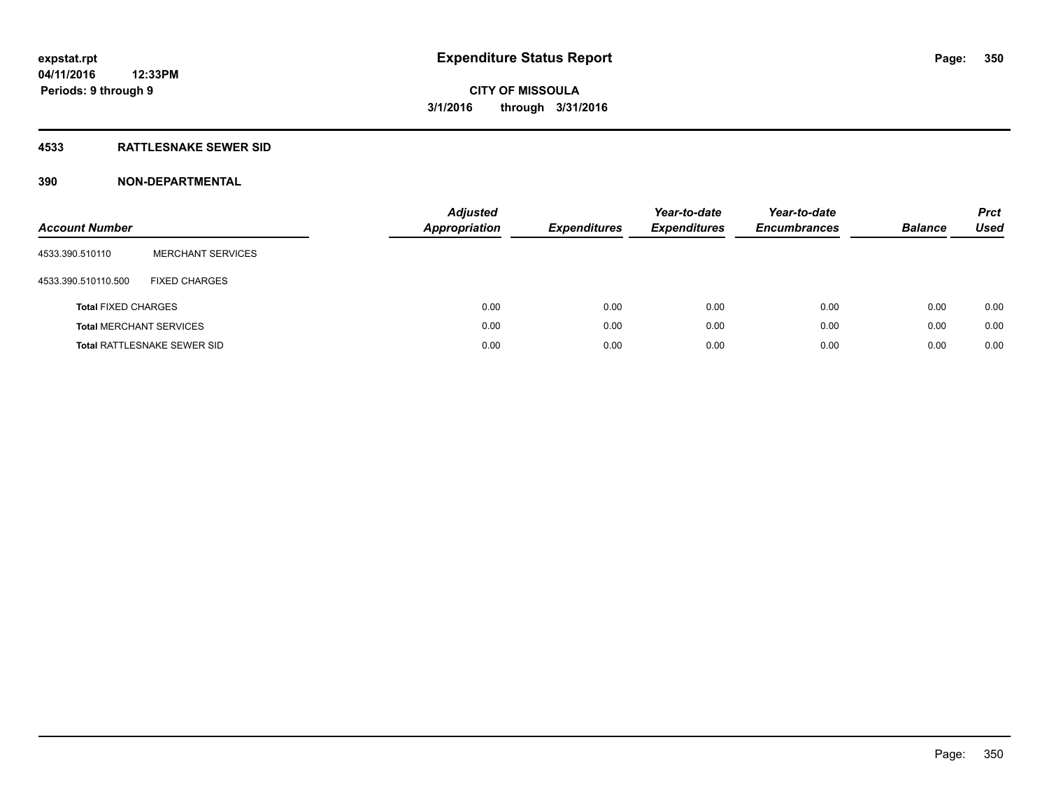### **4533 RATTLESNAKE SEWER SID**

| <b>Account Number</b>          |                                    | <b>Adjusted</b><br><b>Appropriation</b> | <b>Expenditures</b> | Year-to-date<br><b>Expenditures</b> | Year-to-date<br><b>Encumbrances</b> | <b>Balance</b> | <b>Prct</b><br>Used |
|--------------------------------|------------------------------------|-----------------------------------------|---------------------|-------------------------------------|-------------------------------------|----------------|---------------------|
| 4533.390.510110                | <b>MERCHANT SERVICES</b>           |                                         |                     |                                     |                                     |                |                     |
| 4533.390.510110.500            | <b>FIXED CHARGES</b>               |                                         |                     |                                     |                                     |                |                     |
| <b>Total FIXED CHARGES</b>     |                                    | 0.00                                    | 0.00                | 0.00                                | 0.00                                | 0.00           | 0.00                |
| <b>Total MERCHANT SERVICES</b> |                                    | 0.00                                    | 0.00                | 0.00                                | 0.00                                | 0.00           | 0.00                |
|                                | <b>Total RATTLESNAKE SEWER SID</b> | 0.00                                    | 0.00                | 0.00                                | 0.00                                | 0.00           | 0.00                |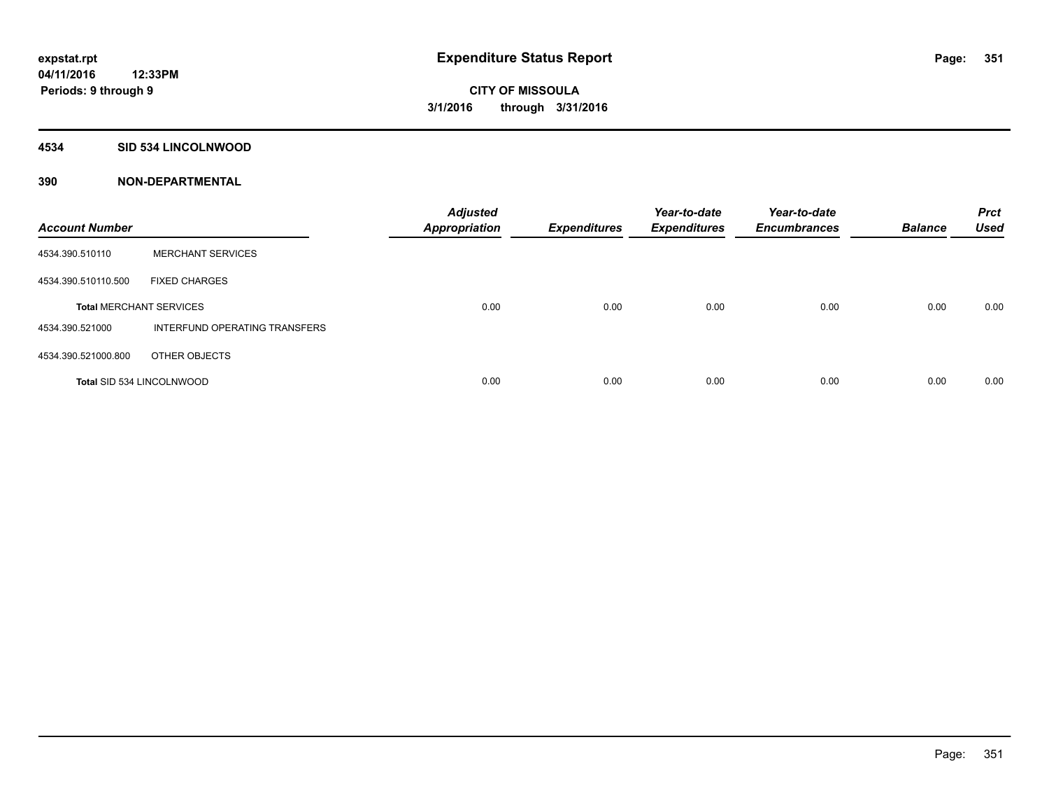### **4534 SID 534 LINCOLNWOOD**

| <b>Account Number</b>            |                               | <b>Adjusted</b><br><b>Appropriation</b> | <b>Expenditures</b> | Year-to-date<br><b>Expenditures</b> | Year-to-date<br><b>Encumbrances</b> | <b>Balance</b> | <b>Prct</b><br><b>Used</b> |
|----------------------------------|-------------------------------|-----------------------------------------|---------------------|-------------------------------------|-------------------------------------|----------------|----------------------------|
| 4534.390.510110                  | <b>MERCHANT SERVICES</b>      |                                         |                     |                                     |                                     |                |                            |
| 4534.390.510110.500              | <b>FIXED CHARGES</b>          |                                         |                     |                                     |                                     |                |                            |
| <b>Total MERCHANT SERVICES</b>   |                               | 0.00                                    | 0.00                | 0.00                                | 0.00                                | 0.00           | 0.00                       |
| 4534.390.521000                  | INTERFUND OPERATING TRANSFERS |                                         |                     |                                     |                                     |                |                            |
| 4534.390.521000.800              | OTHER OBJECTS                 |                                         |                     |                                     |                                     |                |                            |
| <b>Total SID 534 LINCOLNWOOD</b> |                               | 0.00                                    | 0.00                | 0.00                                | 0.00                                | 0.00           | 0.00                       |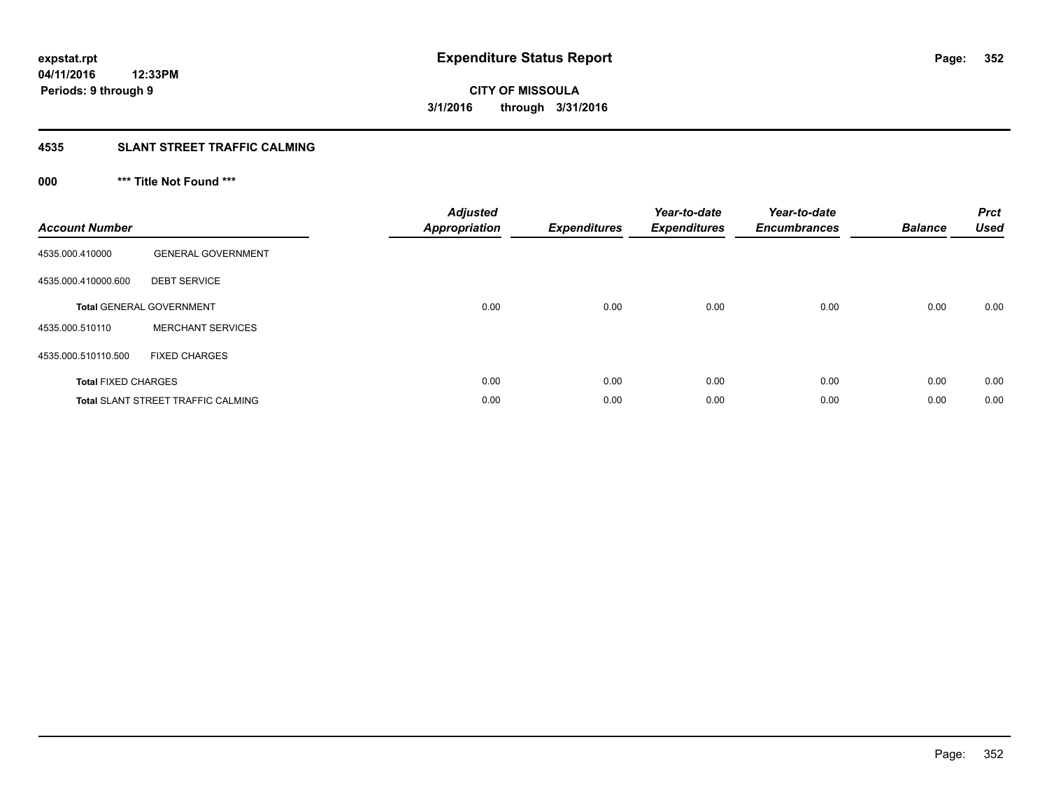### **4535 SLANT STREET TRAFFIC CALMING**

### **000 \*\*\* Title Not Found \*\*\***

| <b>Account Number</b>      |                                           | <b>Adjusted</b><br>Appropriation | <b>Expenditures</b> | Year-to-date<br><b>Expenditures</b> | Year-to-date<br><b>Encumbrances</b> | <b>Balance</b> | <b>Prct</b><br><b>Used</b> |
|----------------------------|-------------------------------------------|----------------------------------|---------------------|-------------------------------------|-------------------------------------|----------------|----------------------------|
| 4535.000.410000            | <b>GENERAL GOVERNMENT</b>                 |                                  |                     |                                     |                                     |                |                            |
| 4535.000.410000.600        | <b>DEBT SERVICE</b>                       |                                  |                     |                                     |                                     |                |                            |
|                            | <b>Total GENERAL GOVERNMENT</b>           | 0.00                             | 0.00                | 0.00                                | 0.00                                | 0.00           | 0.00                       |
| 4535.000.510110            | <b>MERCHANT SERVICES</b>                  |                                  |                     |                                     |                                     |                |                            |
| 4535.000.510110.500        | <b>FIXED CHARGES</b>                      |                                  |                     |                                     |                                     |                |                            |
| <b>Total FIXED CHARGES</b> |                                           | 0.00                             | 0.00                | 0.00                                | 0.00                                | 0.00           | 0.00                       |
|                            | <b>Total SLANT STREET TRAFFIC CALMING</b> | 0.00                             | 0.00                | 0.00                                | 0.00                                | 0.00           | 0.00                       |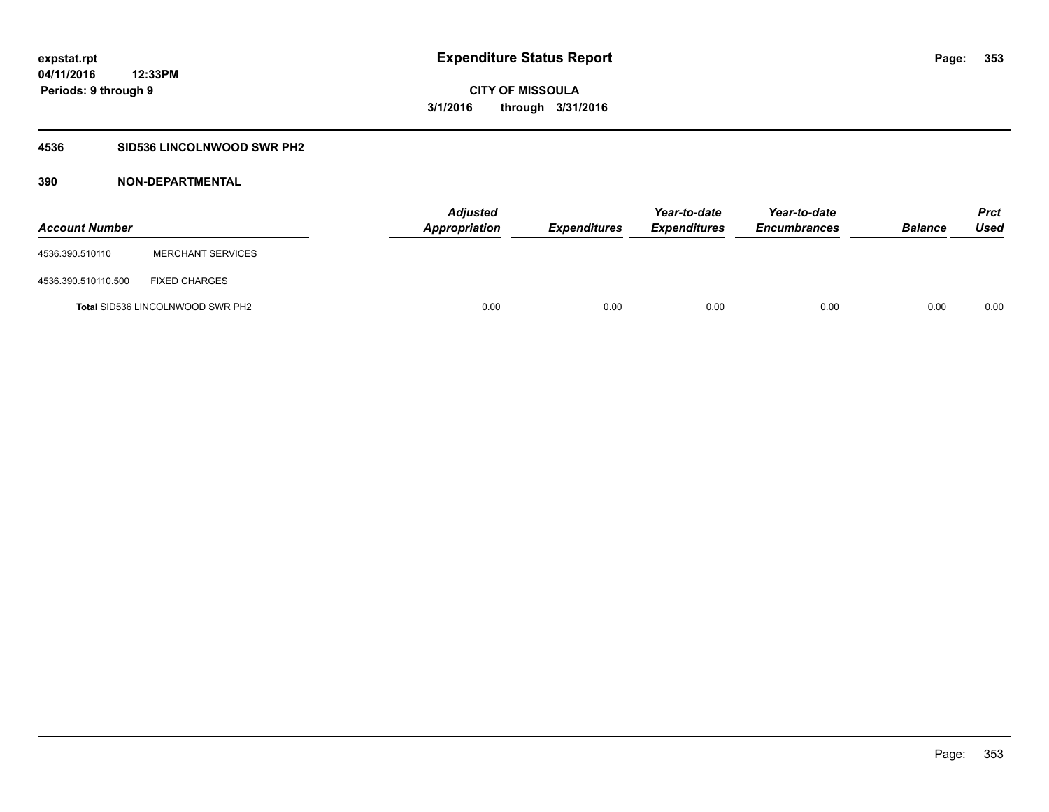### **4536 SID536 LINCOLNWOOD SWR PH2**

| <b>Account Number</b> |                                         | <b>Adjusted</b><br>Appropriation | <b>Expenditures</b> | Year-to-date<br><b>Expenditures</b> | Year-to-date<br><b>Encumbrances</b> | <b>Balance</b> | Prct<br><b>Used</b> |
|-----------------------|-----------------------------------------|----------------------------------|---------------------|-------------------------------------|-------------------------------------|----------------|---------------------|
| 4536.390.510110       | <b>MERCHANT SERVICES</b>                |                                  |                     |                                     |                                     |                |                     |
| 4536.390.510110.500   | <b>FIXED CHARGES</b>                    |                                  |                     |                                     |                                     |                |                     |
|                       | <b>Total SID536 LINCOLNWOOD SWR PH2</b> | 0.00                             | 0.00                | 0.00                                | 0.00                                | 0.00           | 0.00                |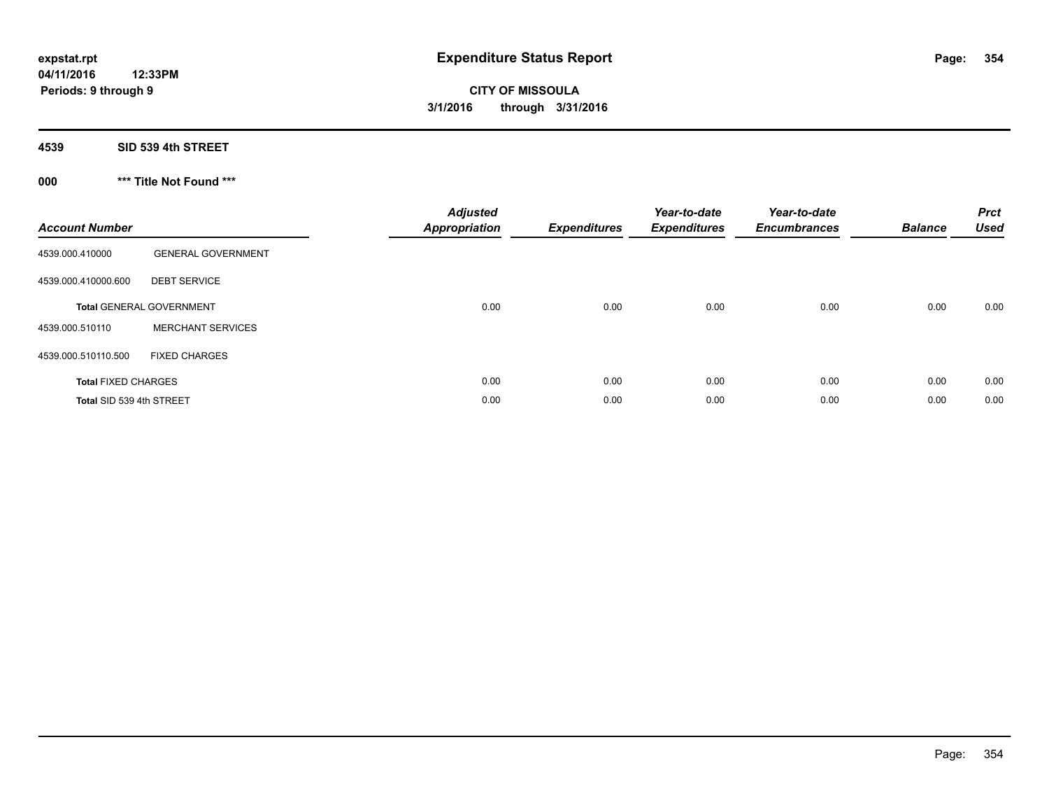**4539 SID 539 4th STREET**

**000 \*\*\* Title Not Found \*\*\***

| <b>Account Number</b>      |                                 | <b>Adjusted</b><br><b>Appropriation</b> | <b>Expenditures</b> | Year-to-date<br><b>Expenditures</b> | Year-to-date<br><b>Encumbrances</b> | <b>Balance</b> | <b>Prct</b><br><b>Used</b> |
|----------------------------|---------------------------------|-----------------------------------------|---------------------|-------------------------------------|-------------------------------------|----------------|----------------------------|
| 4539.000.410000            | <b>GENERAL GOVERNMENT</b>       |                                         |                     |                                     |                                     |                |                            |
| 4539.000.410000.600        | <b>DEBT SERVICE</b>             |                                         |                     |                                     |                                     |                |                            |
|                            | <b>Total GENERAL GOVERNMENT</b> | 0.00                                    | 0.00                | 0.00                                | 0.00                                | 0.00           | 0.00                       |
| 4539.000.510110            | <b>MERCHANT SERVICES</b>        |                                         |                     |                                     |                                     |                |                            |
| 4539.000.510110.500        | <b>FIXED CHARGES</b>            |                                         |                     |                                     |                                     |                |                            |
| <b>Total FIXED CHARGES</b> |                                 | 0.00                                    | 0.00                | 0.00                                | 0.00                                | 0.00           | 0.00                       |
| Total SID 539 4th STREET   |                                 | 0.00                                    | 0.00                | 0.00                                | 0.00                                | 0.00           | 0.00                       |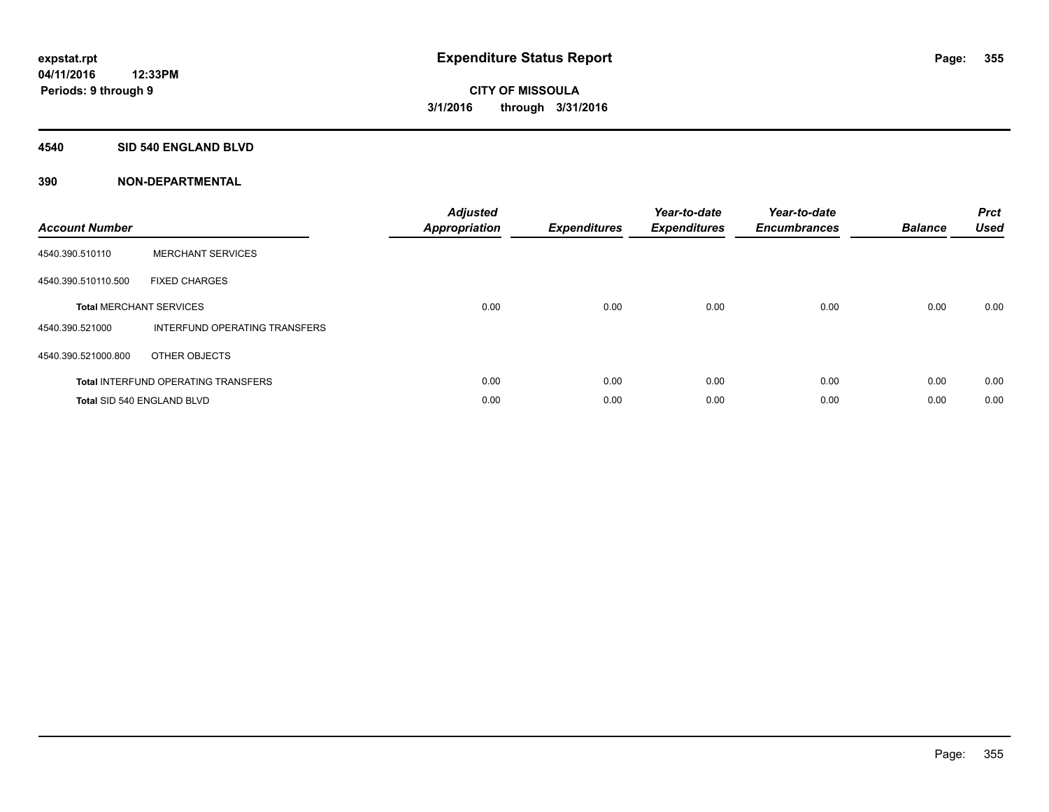#### **4540 SID 540 ENGLAND BLVD**

| <b>Account Number</b> |                                            | <b>Adjusted</b><br>Appropriation | <b>Expenditures</b> | Year-to-date<br><b>Expenditures</b> | Year-to-date<br><b>Encumbrances</b> | <b>Balance</b> | <b>Prct</b><br><b>Used</b> |
|-----------------------|--------------------------------------------|----------------------------------|---------------------|-------------------------------------|-------------------------------------|----------------|----------------------------|
| 4540.390.510110       | <b>MERCHANT SERVICES</b>                   |                                  |                     |                                     |                                     |                |                            |
| 4540.390.510110.500   | <b>FIXED CHARGES</b>                       |                                  |                     |                                     |                                     |                |                            |
|                       | <b>Total MERCHANT SERVICES</b>             | 0.00                             | 0.00                | 0.00                                | 0.00                                | 0.00           | 0.00                       |
| 4540.390.521000       | INTERFUND OPERATING TRANSFERS              |                                  |                     |                                     |                                     |                |                            |
| 4540.390.521000.800   | OTHER OBJECTS                              |                                  |                     |                                     |                                     |                |                            |
|                       | <b>Total INTERFUND OPERATING TRANSFERS</b> | 0.00                             | 0.00                | 0.00                                | 0.00                                | 0.00           | 0.00                       |
|                       | Total SID 540 ENGLAND BLVD                 | 0.00                             | 0.00                | 0.00                                | 0.00                                | 0.00           | 0.00                       |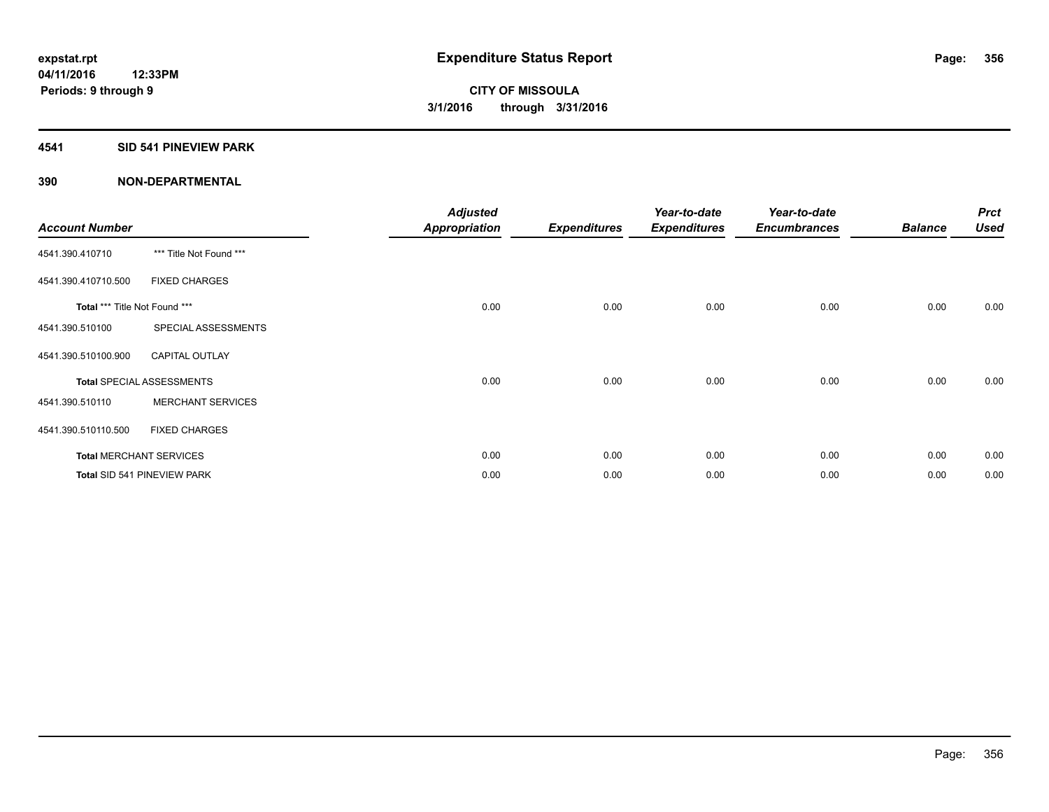### **4541 SID 541 PINEVIEW PARK**

| <b>Account Number</b>         |                                  | <b>Adjusted</b><br><b>Appropriation</b> | <b>Expenditures</b> | Year-to-date<br><b>Expenditures</b> | Year-to-date<br><b>Encumbrances</b> | <b>Balance</b> | <b>Prct</b><br><b>Used</b> |
|-------------------------------|----------------------------------|-----------------------------------------|---------------------|-------------------------------------|-------------------------------------|----------------|----------------------------|
| 4541.390.410710               | *** Title Not Found ***          |                                         |                     |                                     |                                     |                |                            |
| 4541.390.410710.500           | <b>FIXED CHARGES</b>             |                                         |                     |                                     |                                     |                |                            |
| Total *** Title Not Found *** |                                  | 0.00                                    | 0.00                | 0.00                                | 0.00                                | 0.00           | 0.00                       |
| 4541.390.510100               | SPECIAL ASSESSMENTS              |                                         |                     |                                     |                                     |                |                            |
| 4541.390.510100.900           | <b>CAPITAL OUTLAY</b>            |                                         |                     |                                     |                                     |                |                            |
|                               | <b>Total SPECIAL ASSESSMENTS</b> | 0.00                                    | 0.00                | 0.00                                | 0.00                                | 0.00           | 0.00                       |
| 4541.390.510110               | <b>MERCHANT SERVICES</b>         |                                         |                     |                                     |                                     |                |                            |
| 4541.390.510110.500           | <b>FIXED CHARGES</b>             |                                         |                     |                                     |                                     |                |                            |
|                               | <b>Total MERCHANT SERVICES</b>   | 0.00                                    | 0.00                | 0.00                                | 0.00                                | 0.00           | 0.00                       |
|                               | Total SID 541 PINEVIEW PARK      | 0.00                                    | 0.00                | 0.00                                | 0.00                                | 0.00           | 0.00                       |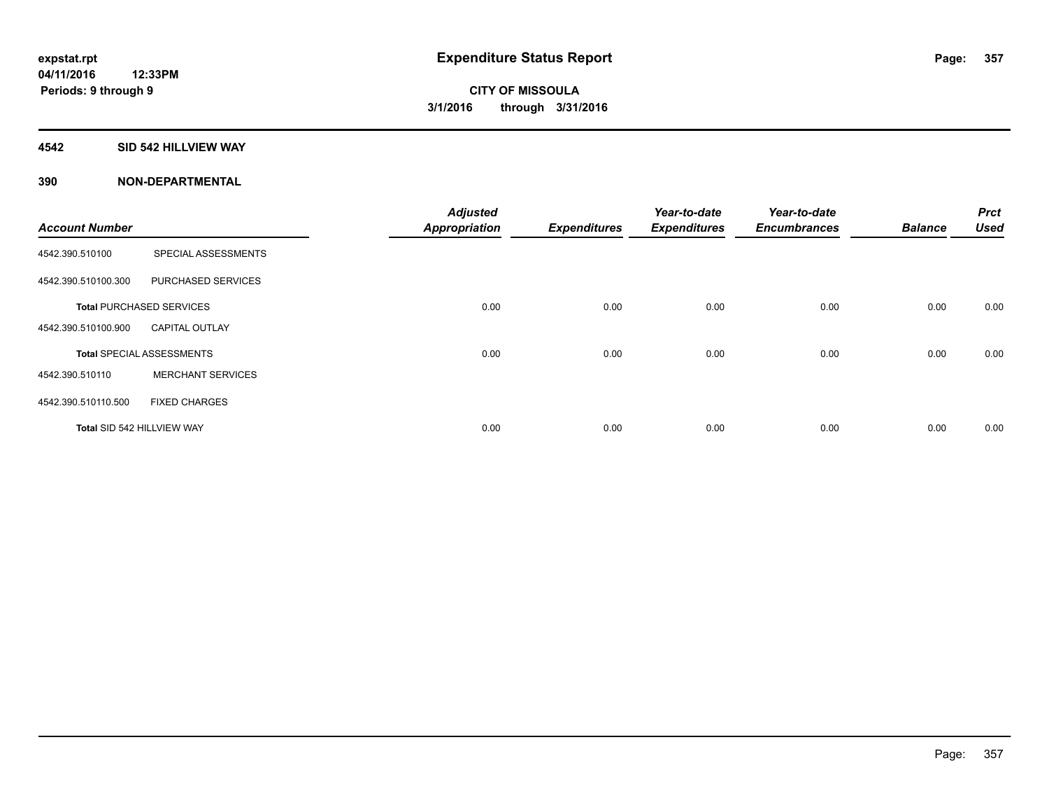#### **4542 SID 542 HILLVIEW WAY**

|                            |                                  | <b>Adjusted</b>      |                     | Year-to-date        | Year-to-date        |                | <b>Prct</b> |
|----------------------------|----------------------------------|----------------------|---------------------|---------------------|---------------------|----------------|-------------|
| <b>Account Number</b>      |                                  | <b>Appropriation</b> | <b>Expenditures</b> | <b>Expenditures</b> | <b>Encumbrances</b> | <b>Balance</b> | <b>Used</b> |
| 4542.390.510100            | SPECIAL ASSESSMENTS              |                      |                     |                     |                     |                |             |
| 4542.390.510100.300        | PURCHASED SERVICES               |                      |                     |                     |                     |                |             |
|                            | <b>Total PURCHASED SERVICES</b>  | 0.00                 | 0.00                | 0.00                | 0.00                | 0.00           | 0.00        |
| 4542.390.510100.900        | <b>CAPITAL OUTLAY</b>            |                      |                     |                     |                     |                |             |
|                            | <b>Total SPECIAL ASSESSMENTS</b> | 0.00                 | 0.00                | 0.00                | 0.00                | 0.00           | 0.00        |
| 4542.390.510110            | <b>MERCHANT SERVICES</b>         |                      |                     |                     |                     |                |             |
| 4542.390.510110.500        | <b>FIXED CHARGES</b>             |                      |                     |                     |                     |                |             |
| Total SID 542 HILLVIEW WAY |                                  | 0.00                 | 0.00                | 0.00                | 0.00                | 0.00           | 0.00        |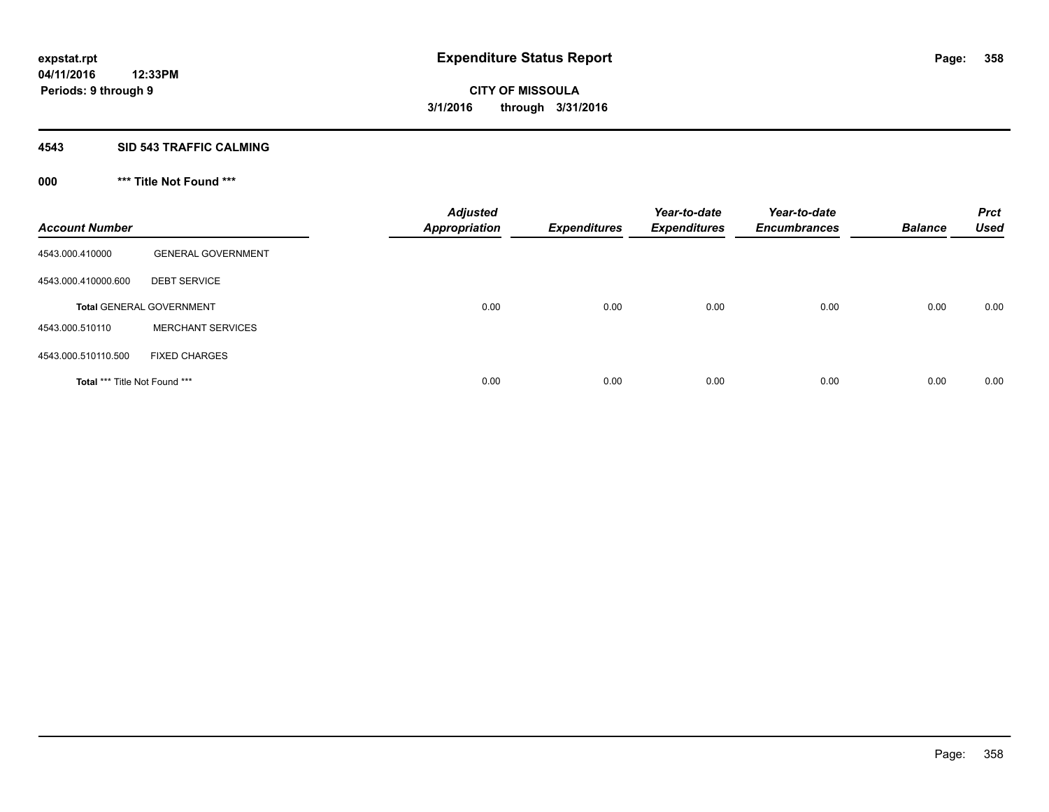#### **4543 SID 543 TRAFFIC CALMING**

### **000 \*\*\* Title Not Found \*\*\***

| <b>Account Number</b>         |                                 | <b>Adjusted</b><br><b>Appropriation</b> | <b>Expenditures</b> | Year-to-date<br><b>Expenditures</b> | Year-to-date<br><b>Encumbrances</b> | <b>Balance</b> | <b>Prct</b><br><b>Used</b> |
|-------------------------------|---------------------------------|-----------------------------------------|---------------------|-------------------------------------|-------------------------------------|----------------|----------------------------|
| 4543.000.410000               | <b>GENERAL GOVERNMENT</b>       |                                         |                     |                                     |                                     |                |                            |
| 4543.000.410000.600           | <b>DEBT SERVICE</b>             |                                         |                     |                                     |                                     |                |                            |
|                               | <b>Total GENERAL GOVERNMENT</b> | 0.00                                    | 0.00                | 0.00                                | 0.00                                | 0.00           | 0.00                       |
| 4543.000.510110               | <b>MERCHANT SERVICES</b>        |                                         |                     |                                     |                                     |                |                            |
| 4543.000.510110.500           | <b>FIXED CHARGES</b>            |                                         |                     |                                     |                                     |                |                            |
| Total *** Title Not Found *** |                                 | 0.00                                    | 0.00                | 0.00                                | 0.00                                | 0.00           | 0.00                       |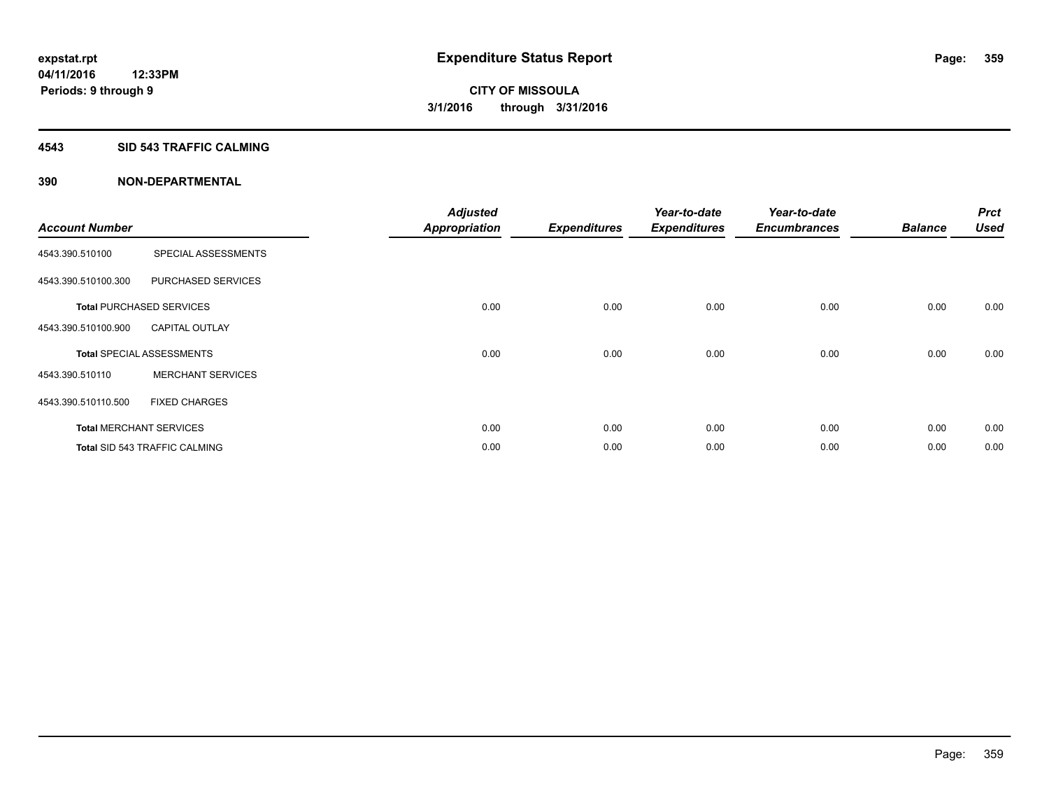#### **4543 SID 543 TRAFFIC CALMING**

|                       |                                      | <b>Adjusted</b>      |                     | Year-to-date        | Year-to-date        |                | <b>Prct</b> |
|-----------------------|--------------------------------------|----------------------|---------------------|---------------------|---------------------|----------------|-------------|
| <b>Account Number</b> |                                      | <b>Appropriation</b> | <b>Expenditures</b> | <b>Expenditures</b> | <b>Encumbrances</b> | <b>Balance</b> | <b>Used</b> |
| 4543.390.510100       | SPECIAL ASSESSMENTS                  |                      |                     |                     |                     |                |             |
| 4543.390.510100.300   | PURCHASED SERVICES                   |                      |                     |                     |                     |                |             |
|                       | <b>Total PURCHASED SERVICES</b>      | 0.00                 | 0.00                | 0.00                | 0.00                | 0.00           | 0.00        |
| 4543.390.510100.900   | <b>CAPITAL OUTLAY</b>                |                      |                     |                     |                     |                |             |
|                       | <b>Total SPECIAL ASSESSMENTS</b>     | 0.00                 | 0.00                | 0.00                | 0.00                | 0.00           | 0.00        |
| 4543.390.510110       | <b>MERCHANT SERVICES</b>             |                      |                     |                     |                     |                |             |
| 4543.390.510110.500   | <b>FIXED CHARGES</b>                 |                      |                     |                     |                     |                |             |
|                       | <b>Total MERCHANT SERVICES</b>       | 0.00                 | 0.00                | 0.00                | 0.00                | 0.00           | 0.00        |
|                       | <b>Total SID 543 TRAFFIC CALMING</b> | 0.00                 | 0.00                | 0.00                | 0.00                | 0.00           | 0.00        |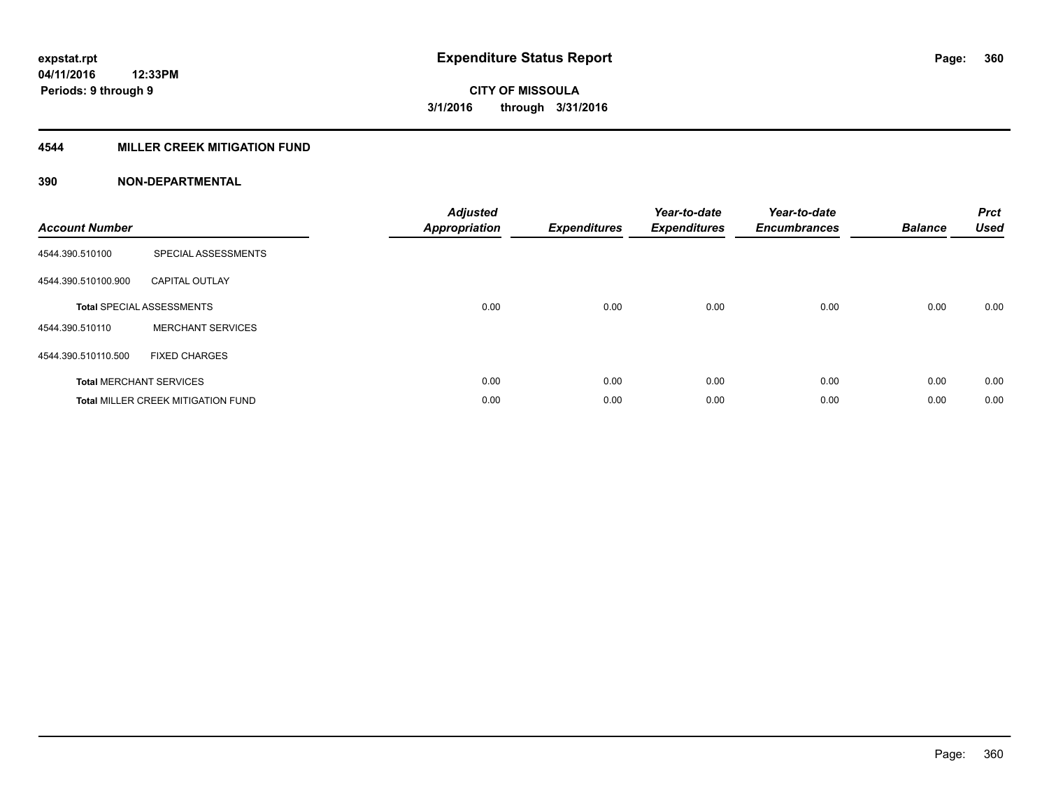### **4544 MILLER CREEK MITIGATION FUND**

| <b>Account Number</b> |                                           | <b>Adjusted</b><br><b>Appropriation</b> | <b>Expenditures</b> | Year-to-date<br><b>Expenditures</b> | Year-to-date<br><b>Encumbrances</b> | <b>Balance</b> | <b>Prct</b><br><b>Used</b> |
|-----------------------|-------------------------------------------|-----------------------------------------|---------------------|-------------------------------------|-------------------------------------|----------------|----------------------------|
| 4544.390.510100       | SPECIAL ASSESSMENTS                       |                                         |                     |                                     |                                     |                |                            |
| 4544.390.510100.900   | <b>CAPITAL OUTLAY</b>                     |                                         |                     |                                     |                                     |                |                            |
|                       | <b>Total SPECIAL ASSESSMENTS</b>          | 0.00                                    | 0.00                | 0.00                                | 0.00                                | 0.00           | 0.00                       |
| 4544.390.510110       | <b>MERCHANT SERVICES</b>                  |                                         |                     |                                     |                                     |                |                            |
| 4544.390.510110.500   | <b>FIXED CHARGES</b>                      |                                         |                     |                                     |                                     |                |                            |
|                       | <b>Total MERCHANT SERVICES</b>            | 0.00                                    | 0.00                | 0.00                                | 0.00                                | 0.00           | 0.00                       |
|                       | <b>Total MILLER CREEK MITIGATION FUND</b> | 0.00                                    | 0.00                | 0.00                                | 0.00                                | 0.00           | 0.00                       |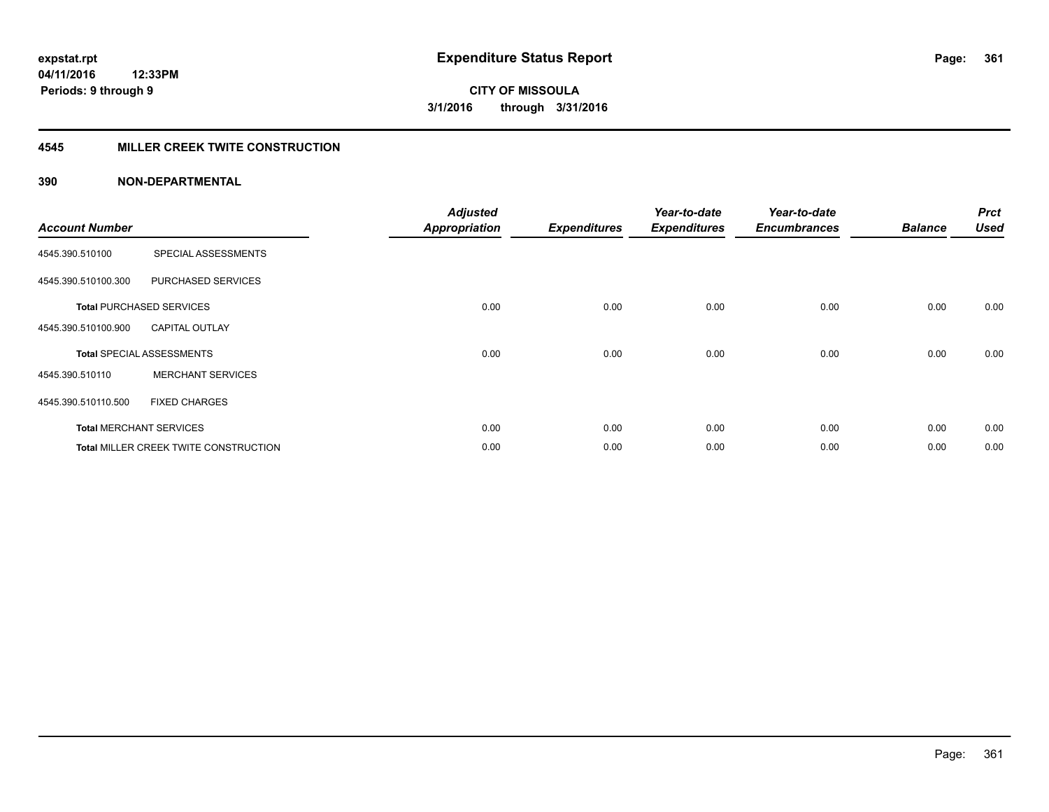# **4545 MILLER CREEK TWITE CONSTRUCTION**

| <b>Account Number</b> |                                              | <b>Adjusted</b><br>Appropriation | <b>Expenditures</b> | Year-to-date<br><b>Expenditures</b> | Year-to-date<br><b>Encumbrances</b> | <b>Balance</b> | <b>Prct</b><br><b>Used</b> |
|-----------------------|----------------------------------------------|----------------------------------|---------------------|-------------------------------------|-------------------------------------|----------------|----------------------------|
| 4545.390.510100       | SPECIAL ASSESSMENTS                          |                                  |                     |                                     |                                     |                |                            |
| 4545.390.510100.300   | PURCHASED SERVICES                           |                                  |                     |                                     |                                     |                |                            |
|                       | <b>Total PURCHASED SERVICES</b>              | 0.00                             | 0.00                | 0.00                                | 0.00                                | 0.00           | 0.00                       |
| 4545.390.510100.900   | <b>CAPITAL OUTLAY</b>                        |                                  |                     |                                     |                                     |                |                            |
|                       | <b>Total SPECIAL ASSESSMENTS</b>             | 0.00                             | 0.00                | 0.00                                | 0.00                                | 0.00           | 0.00                       |
| 4545.390.510110       | <b>MERCHANT SERVICES</b>                     |                                  |                     |                                     |                                     |                |                            |
| 4545.390.510110.500   | <b>FIXED CHARGES</b>                         |                                  |                     |                                     |                                     |                |                            |
|                       | <b>Total MERCHANT SERVICES</b>               | 0.00                             | 0.00                | 0.00                                | 0.00                                | 0.00           | 0.00                       |
|                       | <b>Total MILLER CREEK TWITE CONSTRUCTION</b> | 0.00                             | 0.00                | 0.00                                | 0.00                                | 0.00           | 0.00                       |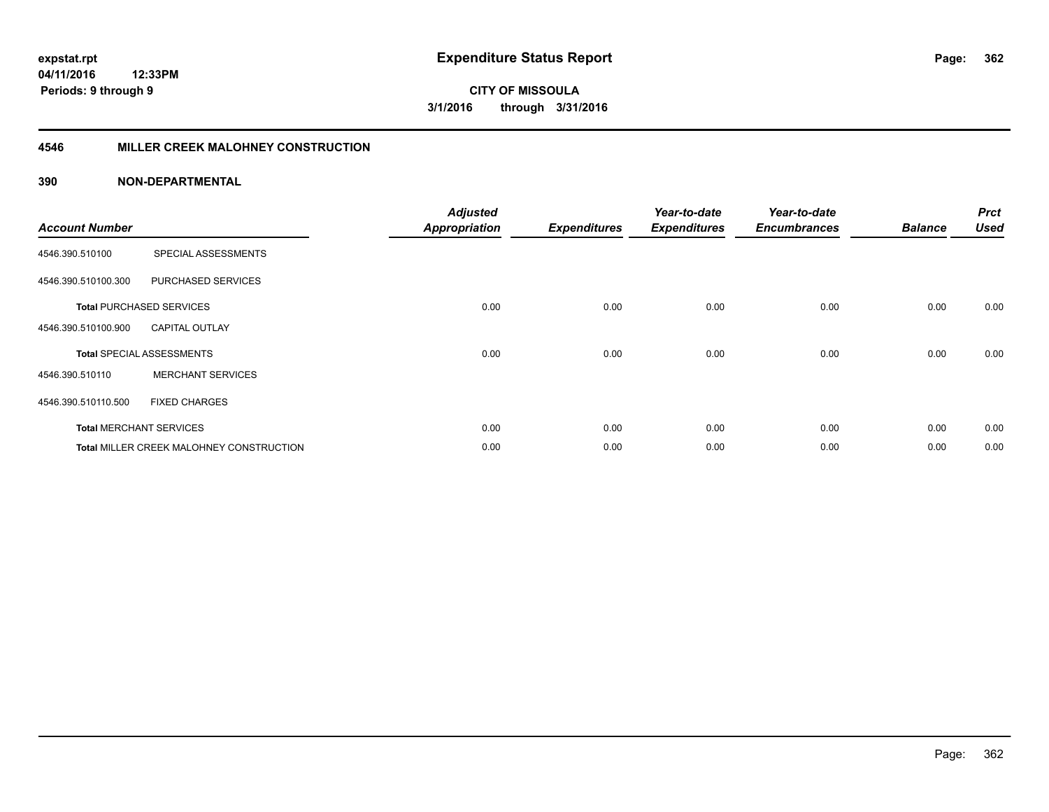# **4546 MILLER CREEK MALOHNEY CONSTRUCTION**

| <b>Account Number</b> |                                          | <b>Adjusted</b><br><b>Appropriation</b> | <b>Expenditures</b> | Year-to-date<br><b>Expenditures</b> | Year-to-date<br><b>Encumbrances</b> | <b>Balance</b> | <b>Prct</b><br><b>Used</b> |
|-----------------------|------------------------------------------|-----------------------------------------|---------------------|-------------------------------------|-------------------------------------|----------------|----------------------------|
| 4546.390.510100       | SPECIAL ASSESSMENTS                      |                                         |                     |                                     |                                     |                |                            |
| 4546.390.510100.300   | PURCHASED SERVICES                       |                                         |                     |                                     |                                     |                |                            |
|                       | <b>Total PURCHASED SERVICES</b>          | 0.00                                    | 0.00                | 0.00                                | 0.00                                | 0.00           | 0.00                       |
| 4546.390.510100.900   | <b>CAPITAL OUTLAY</b>                    |                                         |                     |                                     |                                     |                |                            |
|                       | <b>Total SPECIAL ASSESSMENTS</b>         | 0.00                                    | 0.00                | 0.00                                | 0.00                                | 0.00           | 0.00                       |
| 4546.390.510110       | <b>MERCHANT SERVICES</b>                 |                                         |                     |                                     |                                     |                |                            |
| 4546.390.510110.500   | <b>FIXED CHARGES</b>                     |                                         |                     |                                     |                                     |                |                            |
|                       | <b>Total MERCHANT SERVICES</b>           | 0.00                                    | 0.00                | 0.00                                | 0.00                                | 0.00           | 0.00                       |
|                       | Total MILLER CREEK MALOHNEY CONSTRUCTION | 0.00                                    | 0.00                | 0.00                                | 0.00                                | 0.00           | 0.00                       |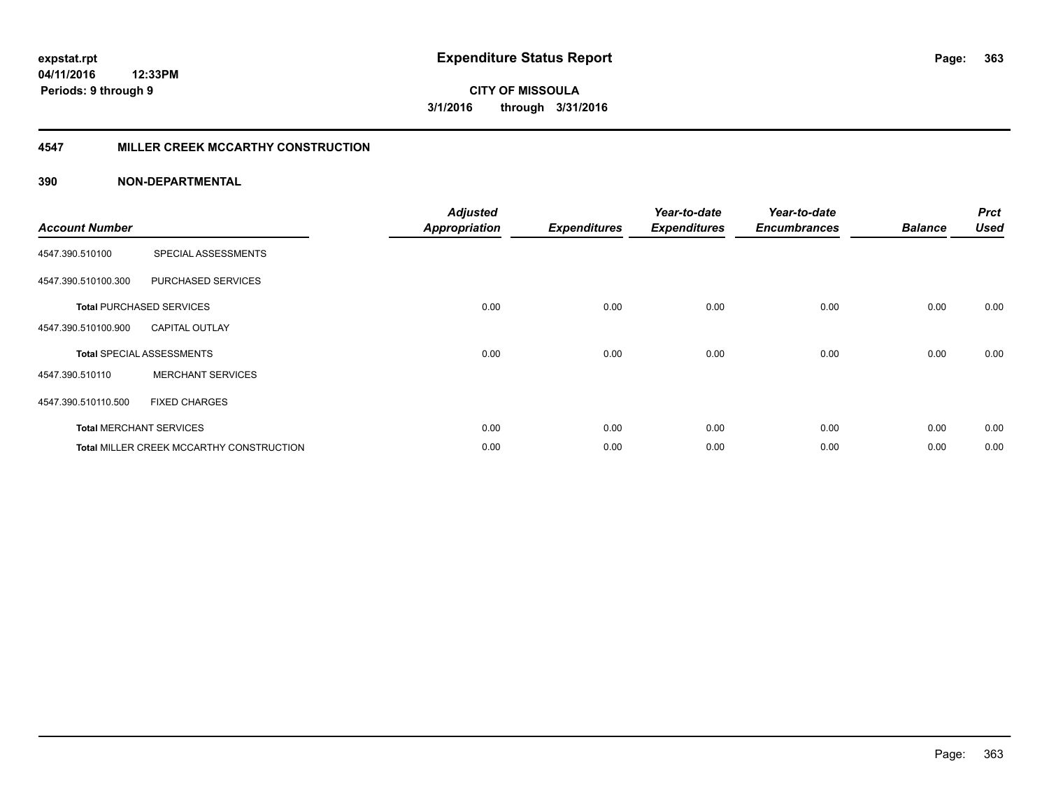# **4547 MILLER CREEK MCCARTHY CONSTRUCTION**

| <b>Account Number</b> |                                                 | <b>Adjusted</b><br><b>Appropriation</b> | <b>Expenditures</b> | Year-to-date<br><b>Expenditures</b> | Year-to-date<br><b>Encumbrances</b> | <b>Balance</b> | <b>Prct</b><br><b>Used</b> |
|-----------------------|-------------------------------------------------|-----------------------------------------|---------------------|-------------------------------------|-------------------------------------|----------------|----------------------------|
| 4547.390.510100       | SPECIAL ASSESSMENTS                             |                                         |                     |                                     |                                     |                |                            |
| 4547.390.510100.300   | PURCHASED SERVICES                              |                                         |                     |                                     |                                     |                |                            |
|                       | <b>Total PURCHASED SERVICES</b>                 | 0.00                                    | 0.00                | 0.00                                | 0.00                                | 0.00           | 0.00                       |
| 4547.390.510100.900   | <b>CAPITAL OUTLAY</b>                           |                                         |                     |                                     |                                     |                |                            |
|                       | <b>Total SPECIAL ASSESSMENTS</b>                | 0.00                                    | 0.00                | 0.00                                | 0.00                                | 0.00           | 0.00                       |
| 4547.390.510110       | <b>MERCHANT SERVICES</b>                        |                                         |                     |                                     |                                     |                |                            |
| 4547.390.510110.500   | <b>FIXED CHARGES</b>                            |                                         |                     |                                     |                                     |                |                            |
|                       | <b>Total MERCHANT SERVICES</b>                  | 0.00                                    | 0.00                | 0.00                                | 0.00                                | 0.00           | 0.00                       |
|                       | <b>Total MILLER CREEK MCCARTHY CONSTRUCTION</b> | 0.00                                    | 0.00                | 0.00                                | 0.00                                | 0.00           | 0.00                       |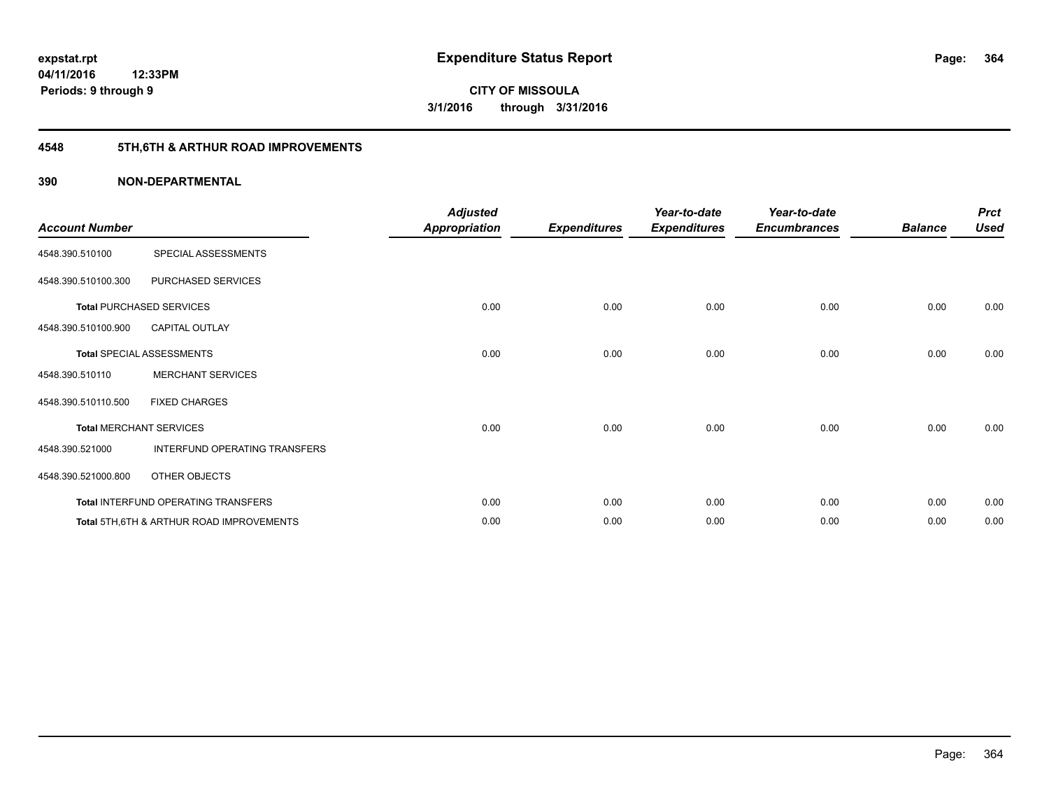# **4548 5TH,6TH & ARTHUR ROAD IMPROVEMENTS**

| <b>Account Number</b> |                                           | <b>Adjusted</b><br><b>Appropriation</b> | <b>Expenditures</b> | Year-to-date<br><b>Expenditures</b> | Year-to-date<br><b>Encumbrances</b> | <b>Balance</b> | <b>Prct</b><br><b>Used</b> |
|-----------------------|-------------------------------------------|-----------------------------------------|---------------------|-------------------------------------|-------------------------------------|----------------|----------------------------|
| 4548.390.510100       | SPECIAL ASSESSMENTS                       |                                         |                     |                                     |                                     |                |                            |
| 4548.390.510100.300   | PURCHASED SERVICES                        |                                         |                     |                                     |                                     |                |                            |
|                       | <b>Total PURCHASED SERVICES</b>           | 0.00                                    | 0.00                | 0.00                                | 0.00                                | 0.00           | 0.00                       |
| 4548.390.510100.900   | <b>CAPITAL OUTLAY</b>                     |                                         |                     |                                     |                                     |                |                            |
|                       | <b>Total SPECIAL ASSESSMENTS</b>          | 0.00                                    | 0.00                | 0.00                                | 0.00                                | 0.00           | 0.00                       |
| 4548.390.510110       | <b>MERCHANT SERVICES</b>                  |                                         |                     |                                     |                                     |                |                            |
| 4548.390.510110.500   | <b>FIXED CHARGES</b>                      |                                         |                     |                                     |                                     |                |                            |
|                       | <b>Total MERCHANT SERVICES</b>            | 0.00                                    | 0.00                | 0.00                                | 0.00                                | 0.00           | 0.00                       |
| 4548.390.521000       | INTERFUND OPERATING TRANSFERS             |                                         |                     |                                     |                                     |                |                            |
| 4548.390.521000.800   | OTHER OBJECTS                             |                                         |                     |                                     |                                     |                |                            |
|                       | Total INTERFUND OPERATING TRANSFERS       | 0.00                                    | 0.00                | 0.00                                | 0.00                                | 0.00           | 0.00                       |
|                       | Total 5TH, 6TH & ARTHUR ROAD IMPROVEMENTS | 0.00                                    | 0.00                | 0.00                                | 0.00                                | 0.00           | 0.00                       |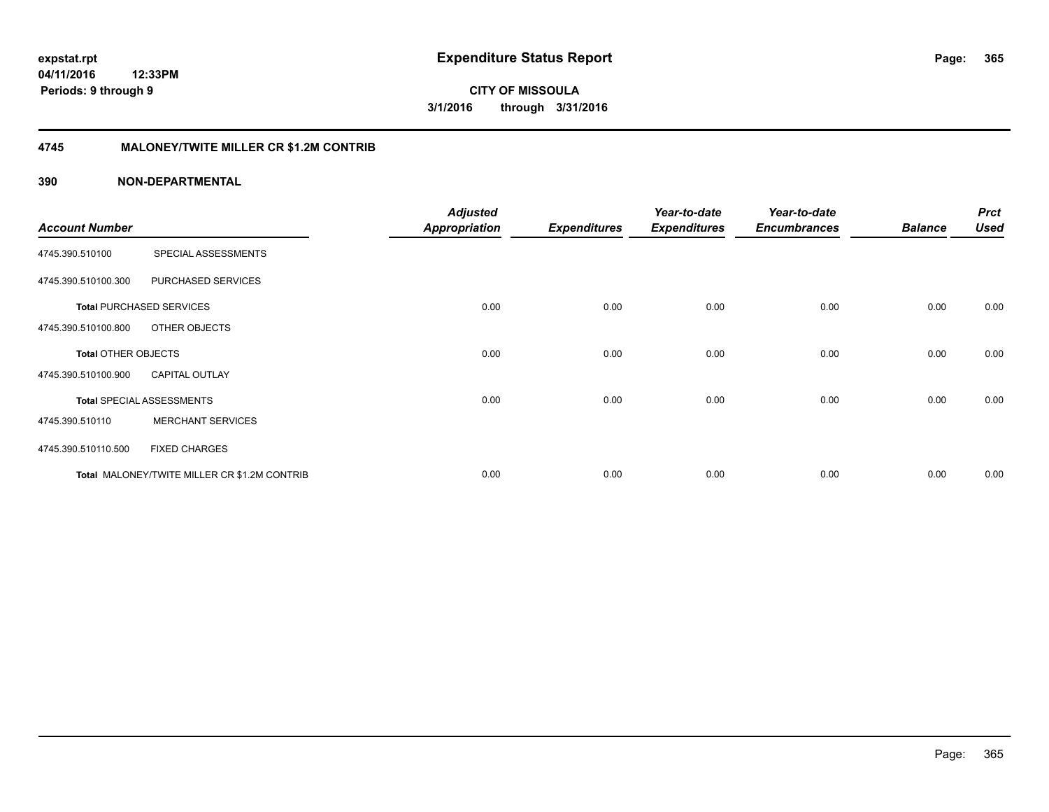**CITY OF MISSOULA 3/1/2016 through 3/31/2016**

# **4745 MALONEY/TWITE MILLER CR \$1.2M CONTRIB**

|                            |                                              | <b>Adjusted</b>      |                     | Year-to-date        | Year-to-date        |                | <b>Prct</b> |
|----------------------------|----------------------------------------------|----------------------|---------------------|---------------------|---------------------|----------------|-------------|
| <b>Account Number</b>      |                                              | <b>Appropriation</b> | <b>Expenditures</b> | <b>Expenditures</b> | <b>Encumbrances</b> | <b>Balance</b> | <b>Used</b> |
| 4745.390.510100            | SPECIAL ASSESSMENTS                          |                      |                     |                     |                     |                |             |
| 4745.390.510100.300        | PURCHASED SERVICES                           |                      |                     |                     |                     |                |             |
|                            | <b>Total PURCHASED SERVICES</b>              | 0.00                 | 0.00                | 0.00                | 0.00                | 0.00           | 0.00        |
| 4745.390.510100.800        | OTHER OBJECTS                                |                      |                     |                     |                     |                |             |
| <b>Total OTHER OBJECTS</b> |                                              | 0.00                 | 0.00                | 0.00                | 0.00                | 0.00           | 0.00        |
| 4745.390.510100.900        | <b>CAPITAL OUTLAY</b>                        |                      |                     |                     |                     |                |             |
|                            | <b>Total SPECIAL ASSESSMENTS</b>             | 0.00                 | 0.00                | 0.00                | 0.00                | 0.00           | 0.00        |
| 4745.390.510110            | <b>MERCHANT SERVICES</b>                     |                      |                     |                     |                     |                |             |
| 4745.390.510110.500        | <b>FIXED CHARGES</b>                         |                      |                     |                     |                     |                |             |
|                            | Total MALONEY/TWITE MILLER CR \$1.2M CONTRIB | 0.00                 | 0.00                | 0.00                | 0.00                | 0.00           | 0.00        |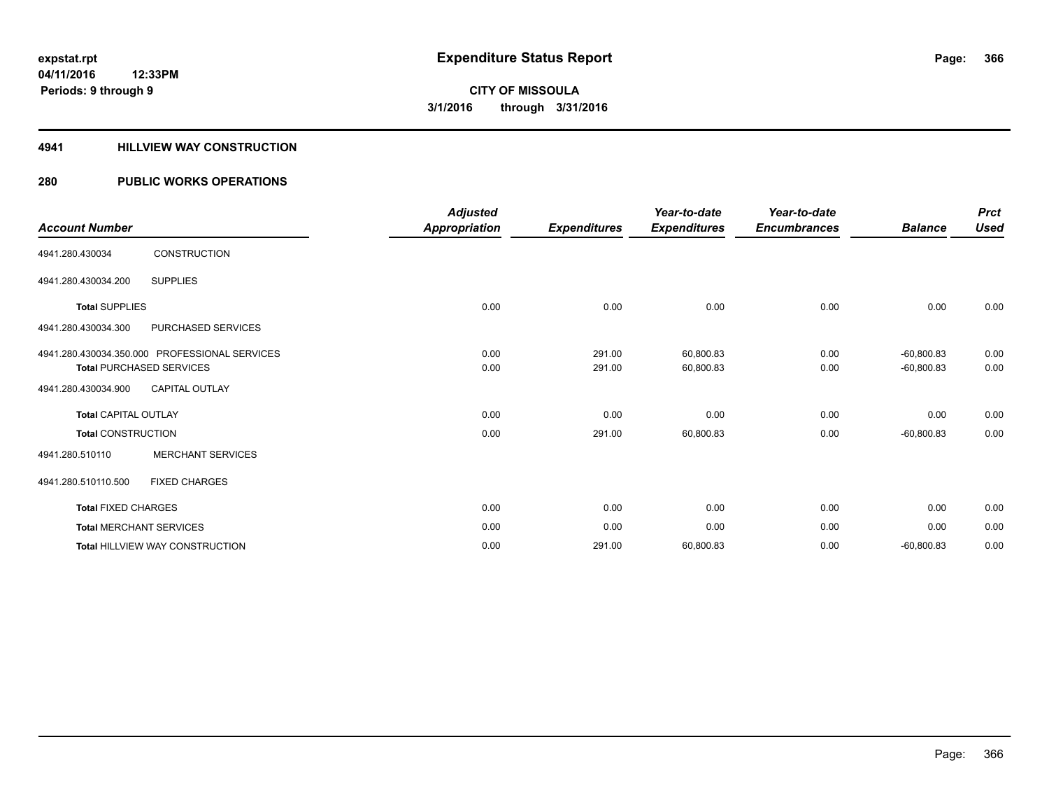# **4941 HILLVIEW WAY CONSTRUCTION**

# **280 PUBLIC WORKS OPERATIONS**

| <b>Account Number</b>           |                                               | <b>Adjusted</b><br><b>Appropriation</b> | <b>Expenditures</b> | Year-to-date<br><b>Expenditures</b> | Year-to-date<br><b>Encumbrances</b> | <b>Balance</b> | <b>Prct</b><br><b>Used</b> |
|---------------------------------|-----------------------------------------------|-----------------------------------------|---------------------|-------------------------------------|-------------------------------------|----------------|----------------------------|
| 4941.280.430034                 | <b>CONSTRUCTION</b>                           |                                         |                     |                                     |                                     |                |                            |
| 4941.280.430034.200             | <b>SUPPLIES</b>                               |                                         |                     |                                     |                                     |                |                            |
| <b>Total SUPPLIES</b>           |                                               | 0.00                                    | 0.00                | 0.00                                | 0.00                                | 0.00           | 0.00                       |
| 4941.280.430034.300             | <b>PURCHASED SERVICES</b>                     |                                         |                     |                                     |                                     |                |                            |
|                                 | 4941.280.430034.350.000 PROFESSIONAL SERVICES | 0.00                                    | 291.00              | 60,800.83                           | 0.00                                | $-60,800.83$   | 0.00                       |
| <b>Total PURCHASED SERVICES</b> |                                               | 0.00                                    | 291.00              | 60,800.83                           | 0.00                                | $-60,800.83$   | 0.00                       |
| 4941.280.430034.900             | <b>CAPITAL OUTLAY</b>                         |                                         |                     |                                     |                                     |                |                            |
| <b>Total CAPITAL OUTLAY</b>     |                                               | 0.00                                    | 0.00                | 0.00                                | 0.00                                | 0.00           | 0.00                       |
| <b>Total CONSTRUCTION</b>       |                                               | 0.00                                    | 291.00              | 60,800.83                           | 0.00                                | $-60,800.83$   | 0.00                       |
| 4941.280.510110                 | <b>MERCHANT SERVICES</b>                      |                                         |                     |                                     |                                     |                |                            |
| 4941.280.510110.500             | <b>FIXED CHARGES</b>                          |                                         |                     |                                     |                                     |                |                            |
| <b>Total FIXED CHARGES</b>      |                                               | 0.00                                    | 0.00                | 0.00                                | 0.00                                | 0.00           | 0.00                       |
| <b>Total MERCHANT SERVICES</b>  |                                               | 0.00                                    | 0.00                | 0.00                                | 0.00                                | 0.00           | 0.00                       |
|                                 | <b>Total HILLVIEW WAY CONSTRUCTION</b>        | 0.00                                    | 291.00              | 60,800.83                           | 0.00                                | $-60,800.83$   | 0.00                       |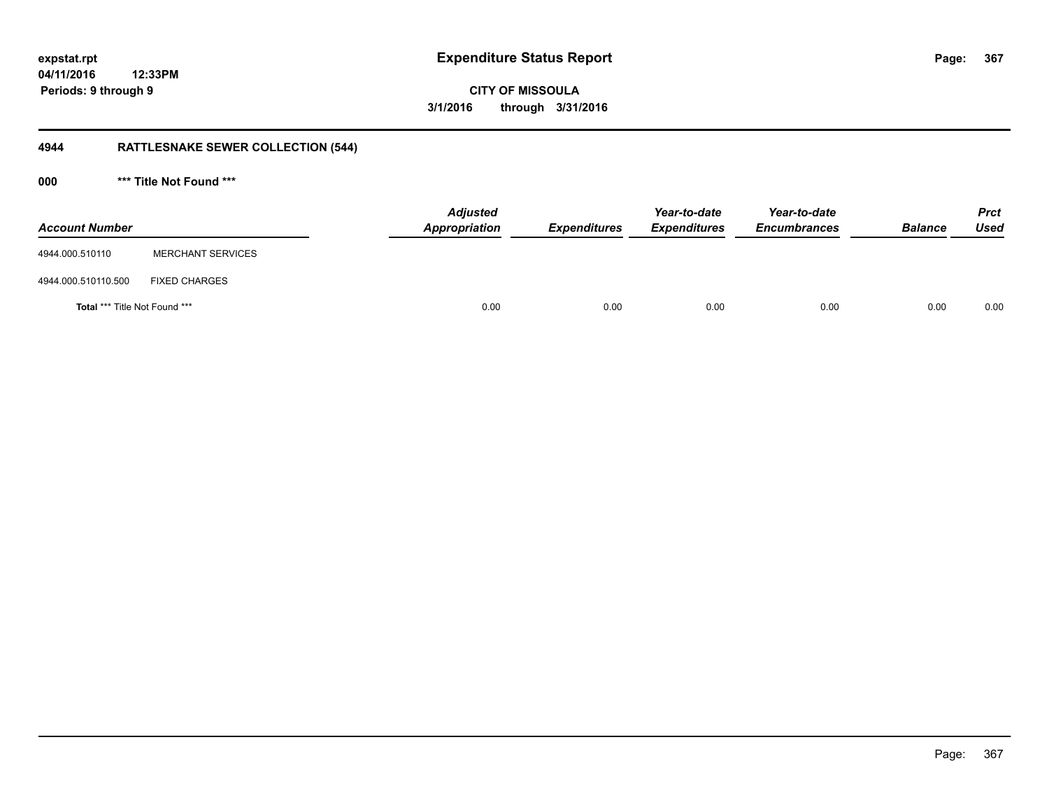**CITY OF MISSOULA 3/1/2016 through 3/31/2016**

# **4944 RATTLESNAKE SEWER COLLECTION (544)**

**000 \*\*\* Title Not Found \*\*\***

| <b>Account Number</b>                |                          | Adjusted<br>Appropriation | <b>Expenditures</b> | Year-to-date<br><b>Expenditures</b> | Year-to-date<br><b>Encumbrances</b> | <b>Balance</b> | <b>Prct</b><br><b>Used</b> |
|--------------------------------------|--------------------------|---------------------------|---------------------|-------------------------------------|-------------------------------------|----------------|----------------------------|
| 4944.000.510110                      | <b>MERCHANT SERVICES</b> |                           |                     |                                     |                                     |                |                            |
| 4944.000.510110.500                  | <b>FIXED CHARGES</b>     |                           |                     |                                     |                                     |                |                            |
| <b>Total *** Title Not Found ***</b> |                          | 0.00                      | 0.00                | 0.00                                | 0.00                                | 0.00           | 0.00                       |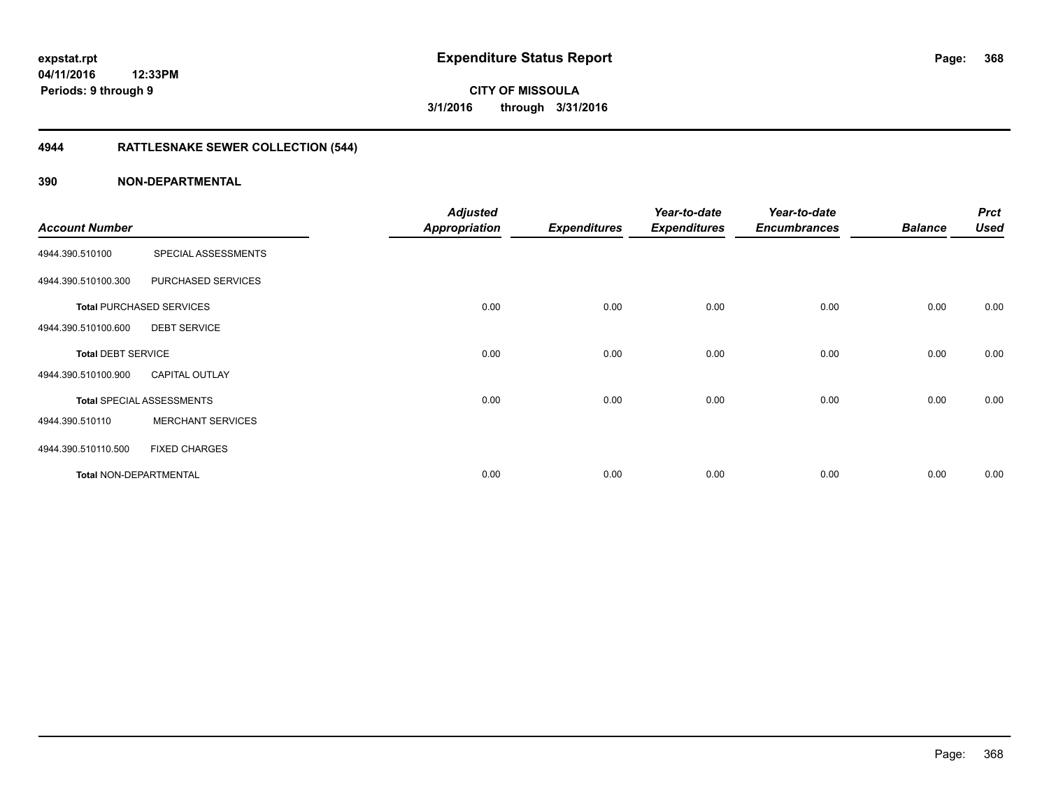# **4944 RATTLESNAKE SEWER COLLECTION (544)**

| <b>Account Number</b>         |                                  | <b>Adjusted</b><br><b>Appropriation</b> | <b>Expenditures</b> | Year-to-date<br><b>Expenditures</b> | Year-to-date<br><b>Encumbrances</b> | <b>Balance</b> | <b>Prct</b><br><b>Used</b> |
|-------------------------------|----------------------------------|-----------------------------------------|---------------------|-------------------------------------|-------------------------------------|----------------|----------------------------|
| 4944.390.510100               | SPECIAL ASSESSMENTS              |                                         |                     |                                     |                                     |                |                            |
| 4944.390.510100.300           | PURCHASED SERVICES               |                                         |                     |                                     |                                     |                |                            |
|                               | <b>Total PURCHASED SERVICES</b>  | 0.00                                    | 0.00                | 0.00                                | 0.00                                | 0.00           | 0.00                       |
| 4944.390.510100.600           | <b>DEBT SERVICE</b>              |                                         |                     |                                     |                                     |                |                            |
| <b>Total DEBT SERVICE</b>     |                                  | 0.00                                    | 0.00                | 0.00                                | 0.00                                | 0.00           | 0.00                       |
| 4944.390.510100.900           | <b>CAPITAL OUTLAY</b>            |                                         |                     |                                     |                                     |                |                            |
|                               | <b>Total SPECIAL ASSESSMENTS</b> | 0.00                                    | 0.00                | 0.00                                | 0.00                                | 0.00           | 0.00                       |
| 4944.390.510110               | <b>MERCHANT SERVICES</b>         |                                         |                     |                                     |                                     |                |                            |
| 4944.390.510110.500           | <b>FIXED CHARGES</b>             |                                         |                     |                                     |                                     |                |                            |
| <b>Total NON-DEPARTMENTAL</b> |                                  | 0.00                                    | 0.00                | 0.00                                | 0.00                                | 0.00           | 0.00                       |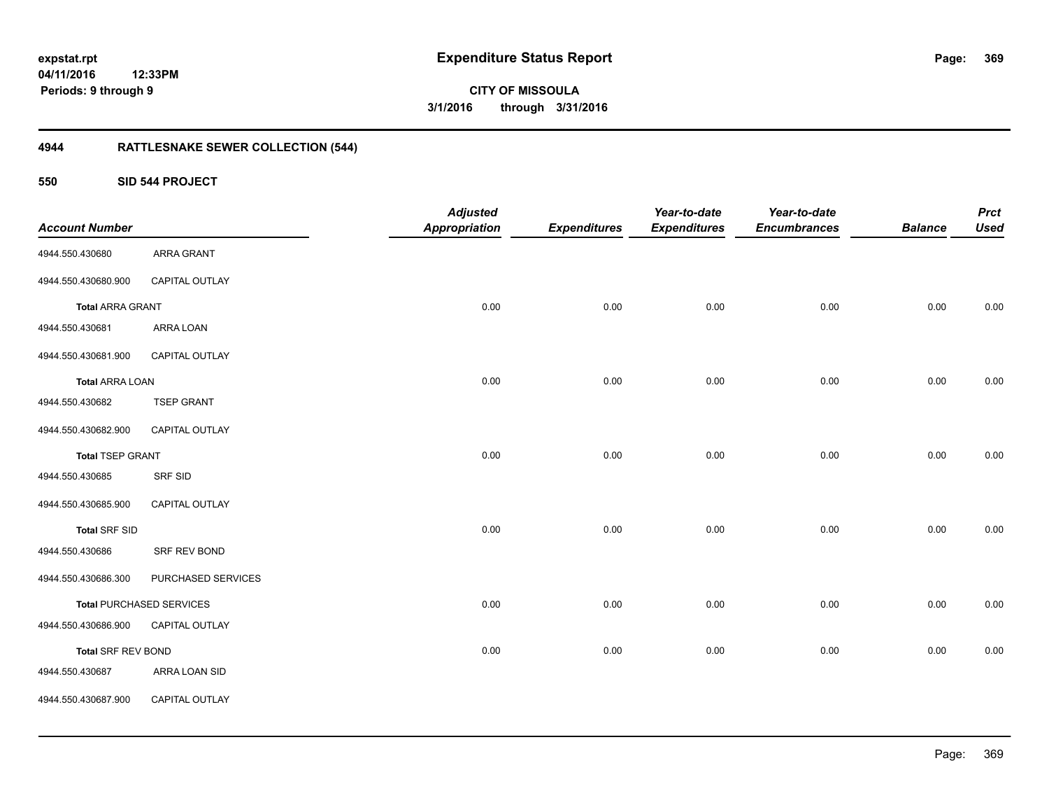**369**

**CITY OF MISSOULA 3/1/2016 through 3/31/2016**

# **4944 RATTLESNAKE SEWER COLLECTION (544)**

**550 SID 544 PROJECT**

| <b>Account Number</b>     |                                 | <b>Adjusted</b><br><b>Appropriation</b> | <b>Expenditures</b> | Year-to-date<br><b>Expenditures</b> | Year-to-date<br><b>Encumbrances</b> | <b>Balance</b> | <b>Prct</b><br><b>Used</b> |
|---------------------------|---------------------------------|-----------------------------------------|---------------------|-------------------------------------|-------------------------------------|----------------|----------------------------|
| 4944.550.430680           | ARRA GRANT                      |                                         |                     |                                     |                                     |                |                            |
| 4944.550.430680.900       | CAPITAL OUTLAY                  |                                         |                     |                                     |                                     |                |                            |
| <b>Total ARRA GRANT</b>   |                                 | 0.00                                    | 0.00                | 0.00                                | 0.00                                | 0.00           | 0.00                       |
| 4944.550.430681           | ARRA LOAN                       |                                         |                     |                                     |                                     |                |                            |
| 4944.550.430681.900       | CAPITAL OUTLAY                  |                                         |                     |                                     |                                     |                |                            |
| <b>Total ARRA LOAN</b>    |                                 | 0.00                                    | 0.00                | 0.00                                | 0.00                                | 0.00           | 0.00                       |
| 4944.550.430682           | <b>TSEP GRANT</b>               |                                         |                     |                                     |                                     |                |                            |
| 4944.550.430682.900       | CAPITAL OUTLAY                  |                                         |                     |                                     |                                     |                |                            |
| <b>Total TSEP GRANT</b>   |                                 | 0.00                                    | 0.00                | 0.00                                | 0.00                                | 0.00           | 0.00                       |
| 4944.550.430685           | SRF SID                         |                                         |                     |                                     |                                     |                |                            |
| 4944.550.430685.900       | CAPITAL OUTLAY                  |                                         |                     |                                     |                                     |                |                            |
| <b>Total SRF SID</b>      |                                 | 0.00                                    | 0.00                | 0.00                                | 0.00                                | 0.00           | 0.00                       |
| 4944.550.430686           | SRF REV BOND                    |                                         |                     |                                     |                                     |                |                            |
| 4944.550.430686.300       | PURCHASED SERVICES              |                                         |                     |                                     |                                     |                |                            |
|                           | <b>Total PURCHASED SERVICES</b> | 0.00                                    | 0.00                | 0.00                                | 0.00                                | 0.00           | 0.00                       |
| 4944.550.430686.900       | CAPITAL OUTLAY                  |                                         |                     |                                     |                                     |                |                            |
| <b>Total SRF REV BOND</b> |                                 | 0.00                                    | 0.00                | 0.00                                | 0.00                                | 0.00           | 0.00                       |
| 4944.550.430687           | ARRA LOAN SID                   |                                         |                     |                                     |                                     |                |                            |
| 4944.550.430687.900       | CAPITAL OUTLAY                  |                                         |                     |                                     |                                     |                |                            |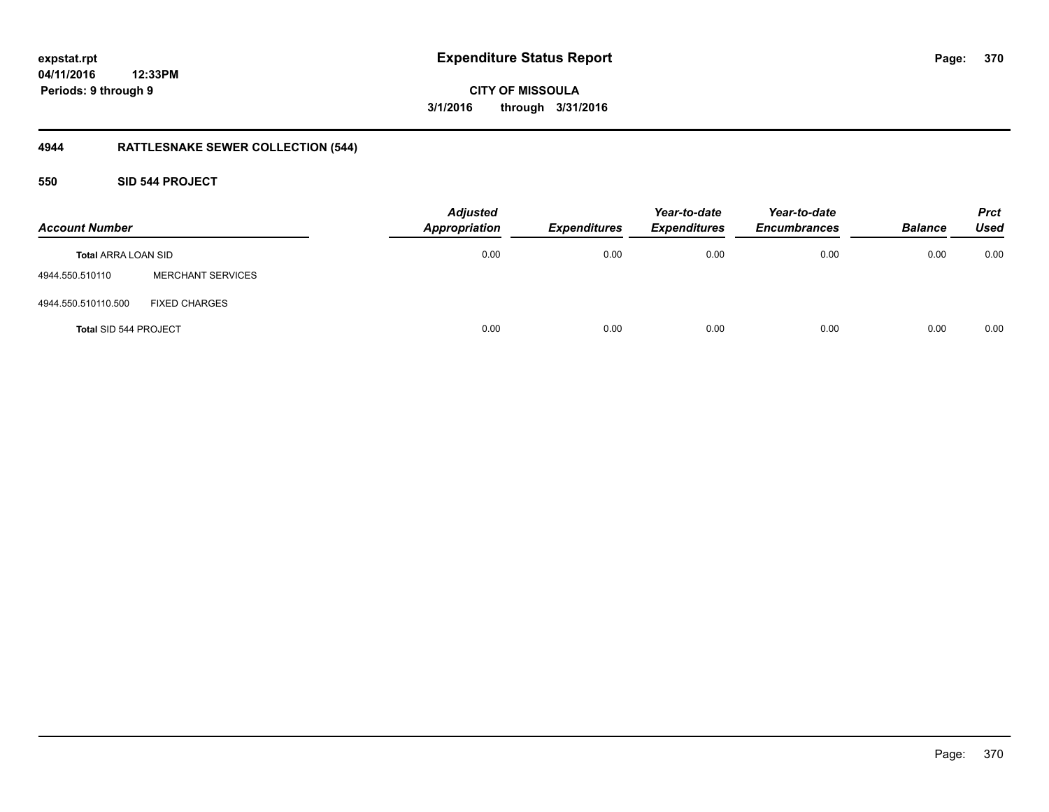**CITY OF MISSOULA 3/1/2016 through 3/31/2016**

# **4944 RATTLESNAKE SEWER COLLECTION (544)**

# **550 SID 544 PROJECT**

| <b>Account Number</b>        |                          | <b>Adjusted</b><br><b>Appropriation</b> | <b>Expenditures</b> | Year-to-date<br><b>Expenditures</b> | Year-to-date<br><b>Encumbrances</b> | <b>Balance</b> | <b>Prct</b><br><b>Used</b> |
|------------------------------|--------------------------|-----------------------------------------|---------------------|-------------------------------------|-------------------------------------|----------------|----------------------------|
| <b>Total ARRA LOAN SID</b>   |                          | 0.00                                    | 0.00                | 0.00                                | 0.00                                | 0.00           | 0.00                       |
| 4944.550.510110              | <b>MERCHANT SERVICES</b> |                                         |                     |                                     |                                     |                |                            |
| 4944.550.510110.500          | <b>FIXED CHARGES</b>     |                                         |                     |                                     |                                     |                |                            |
| <b>Total SID 544 PROJECT</b> |                          | 0.00                                    | 0.00                | 0.00                                | 0.00                                | 0.00           | 0.00                       |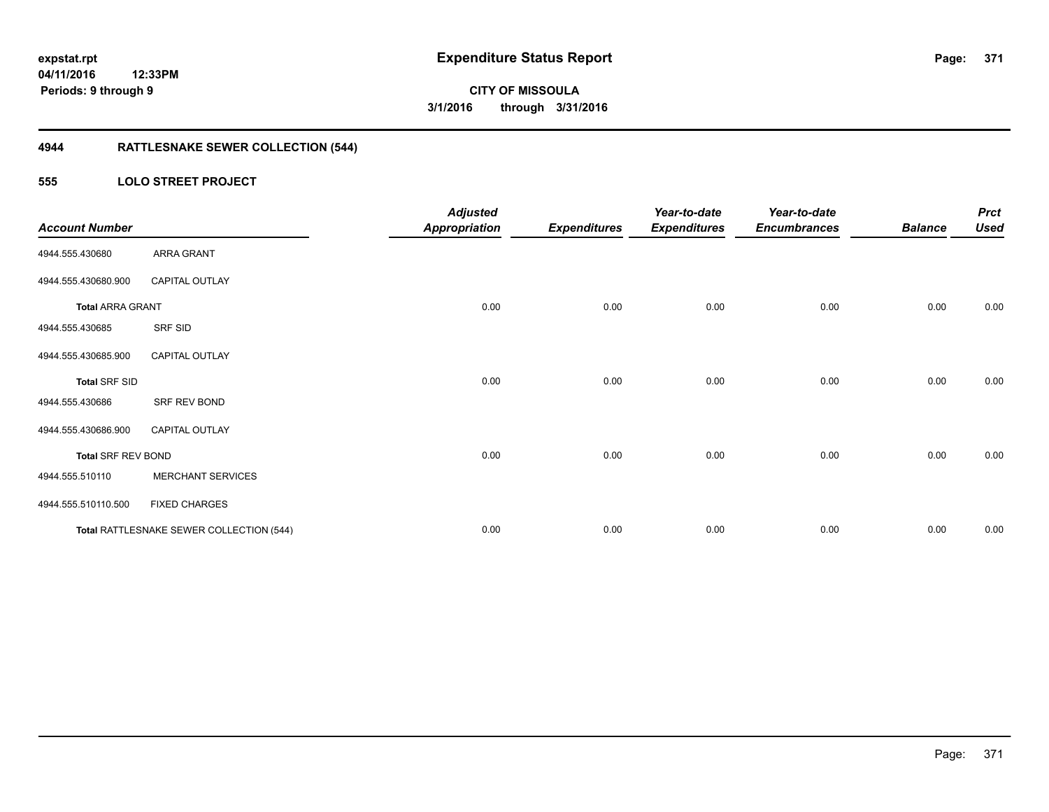# **4944 RATTLESNAKE SEWER COLLECTION (544)**

# **555 LOLO STREET PROJECT**

| <b>Account Number</b>     |                                          | <b>Adjusted</b><br><b>Appropriation</b> | <b>Expenditures</b> | Year-to-date<br><b>Expenditures</b> | Year-to-date<br><b>Encumbrances</b> | <b>Balance</b> | <b>Prct</b><br><b>Used</b> |
|---------------------------|------------------------------------------|-----------------------------------------|---------------------|-------------------------------------|-------------------------------------|----------------|----------------------------|
| 4944.555.430680           | ARRA GRANT                               |                                         |                     |                                     |                                     |                |                            |
| 4944.555.430680.900       | <b>CAPITAL OUTLAY</b>                    |                                         |                     |                                     |                                     |                |                            |
| <b>Total ARRA GRANT</b>   |                                          | 0.00                                    | 0.00                | 0.00                                | 0.00                                | 0.00           | 0.00                       |
| 4944.555.430685           | SRF SID                                  |                                         |                     |                                     |                                     |                |                            |
| 4944.555.430685.900       | <b>CAPITAL OUTLAY</b>                    |                                         |                     |                                     |                                     |                |                            |
| <b>Total SRF SID</b>      |                                          | 0.00                                    | 0.00                | 0.00                                | 0.00                                | 0.00           | 0.00                       |
| 4944.555.430686           | SRF REV BOND                             |                                         |                     |                                     |                                     |                |                            |
| 4944.555.430686.900       | <b>CAPITAL OUTLAY</b>                    |                                         |                     |                                     |                                     |                |                            |
| <b>Total SRF REV BOND</b> |                                          | 0.00                                    | 0.00                | 0.00                                | 0.00                                | 0.00           | 0.00                       |
| 4944.555.510110           | <b>MERCHANT SERVICES</b>                 |                                         |                     |                                     |                                     |                |                            |
| 4944.555.510110.500       | <b>FIXED CHARGES</b>                     |                                         |                     |                                     |                                     |                |                            |
|                           | Total RATTLESNAKE SEWER COLLECTION (544) | 0.00                                    | 0.00                | 0.00                                | 0.00                                | 0.00           | 0.00                       |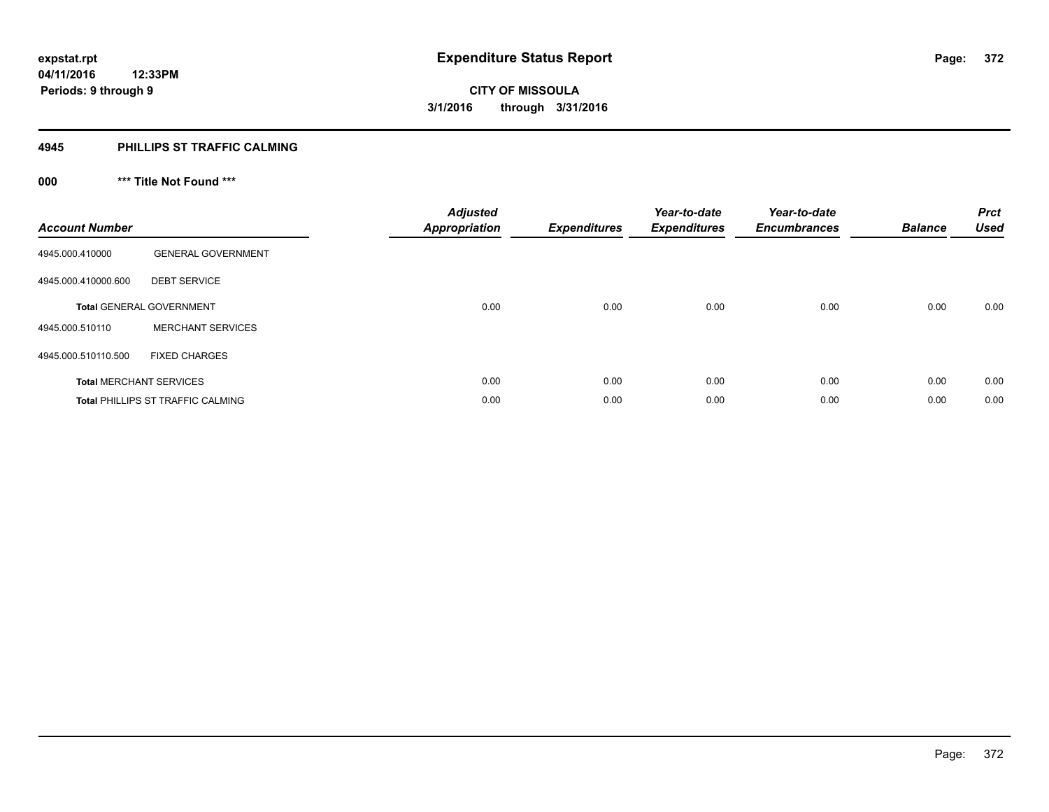# **4945 PHILLIPS ST TRAFFIC CALMING**

# **000 \*\*\* Title Not Found \*\*\***

| <b>Account Number</b> |                                          | <b>Adjusted</b><br><b>Appropriation</b> | <b>Expenditures</b> | Year-to-date<br><b>Expenditures</b> | Year-to-date<br><b>Encumbrances</b> | <b>Balance</b> | <b>Prct</b><br><b>Used</b> |
|-----------------------|------------------------------------------|-----------------------------------------|---------------------|-------------------------------------|-------------------------------------|----------------|----------------------------|
| 4945.000.410000       | <b>GENERAL GOVERNMENT</b>                |                                         |                     |                                     |                                     |                |                            |
| 4945.000.410000.600   | <b>DEBT SERVICE</b>                      |                                         |                     |                                     |                                     |                |                            |
|                       | <b>Total GENERAL GOVERNMENT</b>          | 0.00                                    | 0.00                | 0.00                                | 0.00                                | 0.00           | 0.00                       |
| 4945.000.510110       | <b>MERCHANT SERVICES</b>                 |                                         |                     |                                     |                                     |                |                            |
| 4945.000.510110.500   | <b>FIXED CHARGES</b>                     |                                         |                     |                                     |                                     |                |                            |
|                       | <b>Total MERCHANT SERVICES</b>           | 0.00                                    | 0.00                | 0.00                                | 0.00                                | 0.00           | 0.00                       |
|                       | <b>Total PHILLIPS ST TRAFFIC CALMING</b> | 0.00                                    | 0.00                | 0.00                                | 0.00                                | 0.00           | 0.00                       |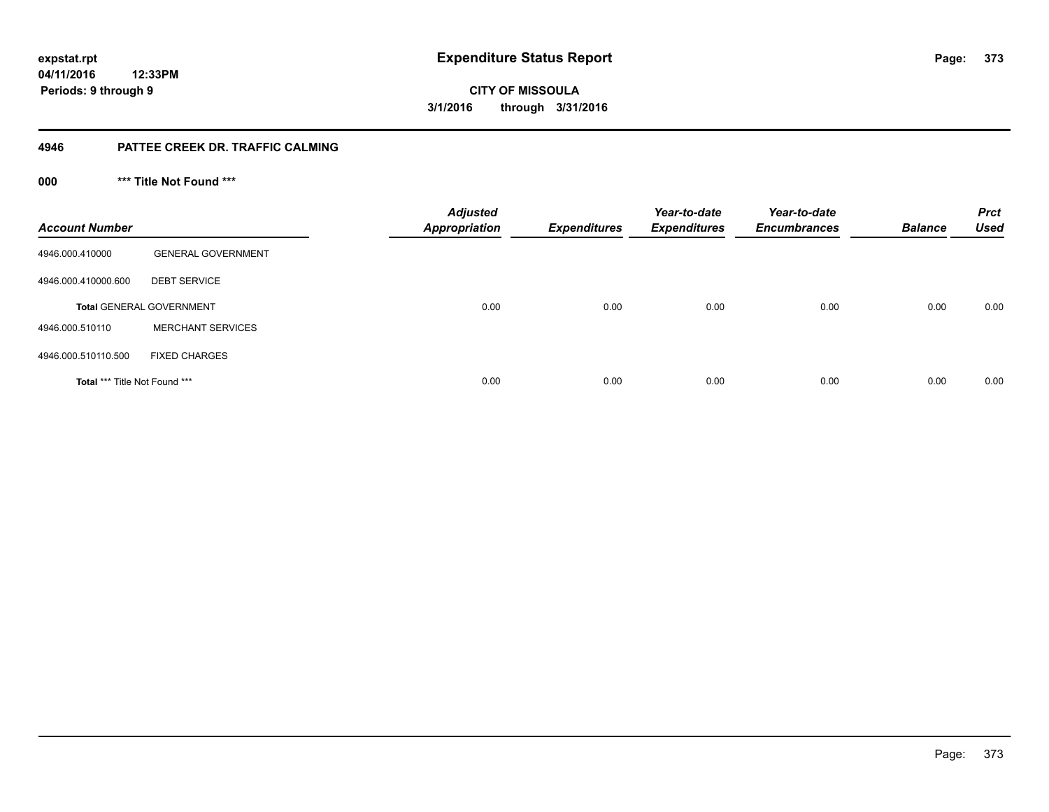**CITY OF MISSOULA 3/1/2016 through 3/31/2016**

# **4946 PATTEE CREEK DR. TRAFFIC CALMING**

**000 \*\*\* Title Not Found \*\*\***

| <b>Account Number</b>                |                                 | <b>Adjusted</b><br><b>Appropriation</b> | <b>Expenditures</b> | Year-to-date<br><b>Expenditures</b> | Year-to-date<br><b>Encumbrances</b> | <b>Balance</b> | <b>Prct</b><br><b>Used</b> |
|--------------------------------------|---------------------------------|-----------------------------------------|---------------------|-------------------------------------|-------------------------------------|----------------|----------------------------|
| 4946.000.410000                      | <b>GENERAL GOVERNMENT</b>       |                                         |                     |                                     |                                     |                |                            |
| 4946.000.410000.600                  | <b>DEBT SERVICE</b>             |                                         |                     |                                     |                                     |                |                            |
|                                      | <b>Total GENERAL GOVERNMENT</b> | 0.00                                    | 0.00                | 0.00                                | 0.00                                | 0.00           | 0.00                       |
| 4946.000.510110                      | <b>MERCHANT SERVICES</b>        |                                         |                     |                                     |                                     |                |                            |
| 4946.000.510110.500                  | <b>FIXED CHARGES</b>            |                                         |                     |                                     |                                     |                |                            |
| <b>Total *** Title Not Found ***</b> |                                 | 0.00                                    | 0.00                | 0.00                                | 0.00                                | 0.00           | 0.00                       |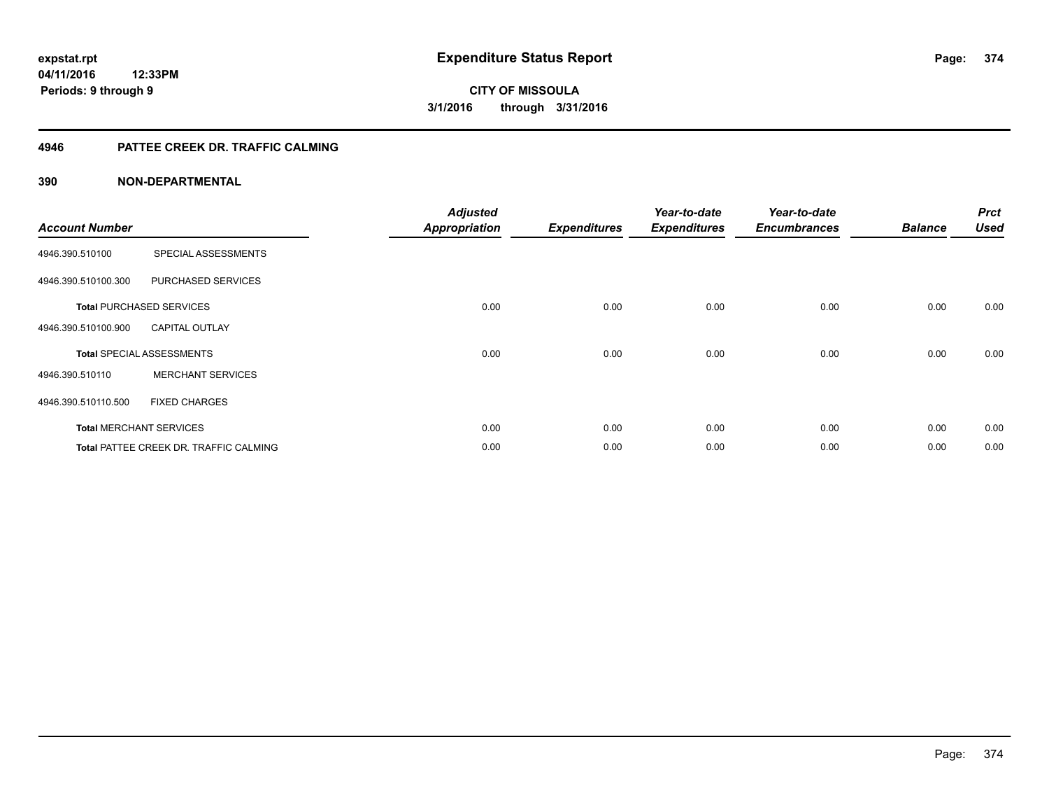# **4946 PATTEE CREEK DR. TRAFFIC CALMING**

| <b>Account Number</b> |                                               | <b>Adjusted</b><br><b>Appropriation</b> | <b>Expenditures</b> | Year-to-date<br><b>Expenditures</b> | Year-to-date<br><b>Encumbrances</b> | <b>Balance</b> | <b>Prct</b><br><b>Used</b> |
|-----------------------|-----------------------------------------------|-----------------------------------------|---------------------|-------------------------------------|-------------------------------------|----------------|----------------------------|
| 4946.390.510100       | SPECIAL ASSESSMENTS                           |                                         |                     |                                     |                                     |                |                            |
| 4946.390.510100.300   | PURCHASED SERVICES                            |                                         |                     |                                     |                                     |                |                            |
|                       | <b>Total PURCHASED SERVICES</b>               | 0.00                                    | 0.00                | 0.00                                | 0.00                                | 0.00           | 0.00                       |
| 4946.390.510100.900   | <b>CAPITAL OUTLAY</b>                         |                                         |                     |                                     |                                     |                |                            |
|                       | <b>Total SPECIAL ASSESSMENTS</b>              | 0.00                                    | 0.00                | 0.00                                | 0.00                                | 0.00           | 0.00                       |
| 4946.390.510110       | <b>MERCHANT SERVICES</b>                      |                                         |                     |                                     |                                     |                |                            |
| 4946.390.510110.500   | <b>FIXED CHARGES</b>                          |                                         |                     |                                     |                                     |                |                            |
|                       | <b>Total MERCHANT SERVICES</b>                | 0.00                                    | 0.00                | 0.00                                | 0.00                                | 0.00           | 0.00                       |
|                       | <b>Total PATTEE CREEK DR. TRAFFIC CALMING</b> | 0.00                                    | 0.00                | 0.00                                | 0.00                                | 0.00           | 0.00                       |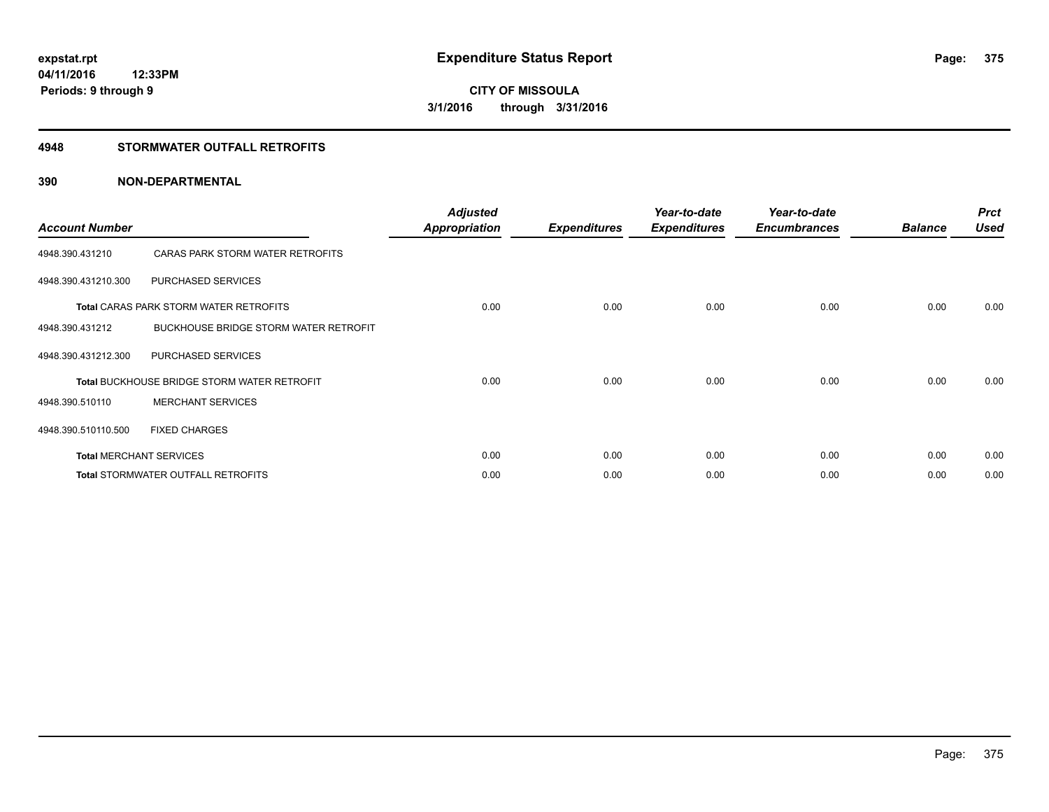# **4948 STORMWATER OUTFALL RETROFITS**

| <b>Account Number</b> |                                                    | <b>Adjusted</b><br><b>Appropriation</b> | <b>Expenditures</b> | Year-to-date<br><b>Expenditures</b> | Year-to-date<br><b>Encumbrances</b> | <b>Balance</b> | <b>Prct</b><br><b>Used</b> |
|-----------------------|----------------------------------------------------|-----------------------------------------|---------------------|-------------------------------------|-------------------------------------|----------------|----------------------------|
| 4948.390.431210       | CARAS PARK STORM WATER RETROFITS                   |                                         |                     |                                     |                                     |                |                            |
| 4948.390.431210.300   | PURCHASED SERVICES                                 |                                         |                     |                                     |                                     |                |                            |
|                       | <b>Total CARAS PARK STORM WATER RETROFITS</b>      | 0.00                                    | 0.00                | 0.00                                | 0.00                                | 0.00           | 0.00                       |
| 4948.390.431212       | BUCKHOUSE BRIDGE STORM WATER RETROFIT              |                                         |                     |                                     |                                     |                |                            |
| 4948.390.431212.300   | PURCHASED SERVICES                                 |                                         |                     |                                     |                                     |                |                            |
|                       | <b>Total BUCKHOUSE BRIDGE STORM WATER RETROFIT</b> | 0.00                                    | 0.00                | 0.00                                | 0.00                                | 0.00           | 0.00                       |
| 4948.390.510110       | <b>MERCHANT SERVICES</b>                           |                                         |                     |                                     |                                     |                |                            |
| 4948.390.510110.500   | <b>FIXED CHARGES</b>                               |                                         |                     |                                     |                                     |                |                            |
|                       | <b>Total MERCHANT SERVICES</b>                     | 0.00                                    | 0.00                | 0.00                                | 0.00                                | 0.00           | 0.00                       |
|                       | <b>Total STORMWATER OUTFALL RETROFITS</b>          | 0.00                                    | 0.00                | 0.00                                | 0.00                                | 0.00           | 0.00                       |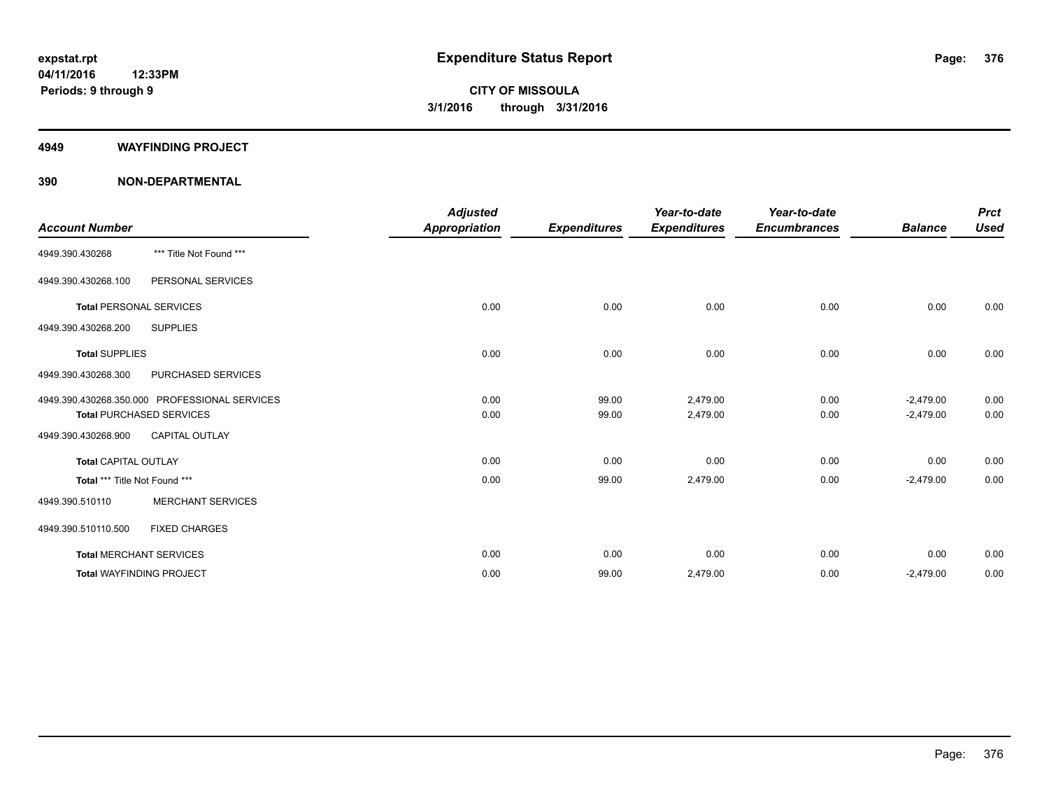## **4949 WAYFINDING PROJECT**

|                                 |                                               | <b>Adjusted</b>      |                     | Year-to-date        | Year-to-date        |                | <b>Prct</b> |
|---------------------------------|-----------------------------------------------|----------------------|---------------------|---------------------|---------------------|----------------|-------------|
| <b>Account Number</b>           |                                               | <b>Appropriation</b> | <b>Expenditures</b> | <b>Expenditures</b> | <b>Encumbrances</b> | <b>Balance</b> | <b>Used</b> |
| 4949.390.430268                 | *** Title Not Found ***                       |                      |                     |                     |                     |                |             |
| 4949.390.430268.100             | PERSONAL SERVICES                             |                      |                     |                     |                     |                |             |
| <b>Total PERSONAL SERVICES</b>  |                                               | 0.00                 | 0.00                | 0.00                | 0.00                | 0.00           | 0.00        |
| 4949.390.430268.200             | <b>SUPPLIES</b>                               |                      |                     |                     |                     |                |             |
| <b>Total SUPPLIES</b>           |                                               | 0.00                 | 0.00                | 0.00                | 0.00                | 0.00           | 0.00        |
| 4949.390.430268.300             | <b>PURCHASED SERVICES</b>                     |                      |                     |                     |                     |                |             |
|                                 | 4949.390.430268.350.000 PROFESSIONAL SERVICES | 0.00                 | 99.00               | 2,479.00            | 0.00                | $-2,479.00$    | 0.00        |
|                                 | <b>Total PURCHASED SERVICES</b>               | 0.00                 | 99.00               | 2,479.00            | 0.00                | $-2,479.00$    | 0.00        |
| 4949.390.430268.900             | <b>CAPITAL OUTLAY</b>                         |                      |                     |                     |                     |                |             |
| <b>Total CAPITAL OUTLAY</b>     |                                               | 0.00                 | 0.00                | 0.00                | 0.00                | 0.00           | 0.00        |
| Total *** Title Not Found ***   |                                               | 0.00                 | 99.00               | 2,479.00            | 0.00                | $-2,479.00$    | 0.00        |
| 4949.390.510110                 | <b>MERCHANT SERVICES</b>                      |                      |                     |                     |                     |                |             |
| 4949.390.510110.500             | <b>FIXED CHARGES</b>                          |                      |                     |                     |                     |                |             |
| <b>Total MERCHANT SERVICES</b>  |                                               | 0.00                 | 0.00                | 0.00                | 0.00                | 0.00           | 0.00        |
| <b>Total WAYFINDING PROJECT</b> |                                               | 0.00                 | 99.00               | 2,479.00            | 0.00                | $-2,479.00$    | 0.00        |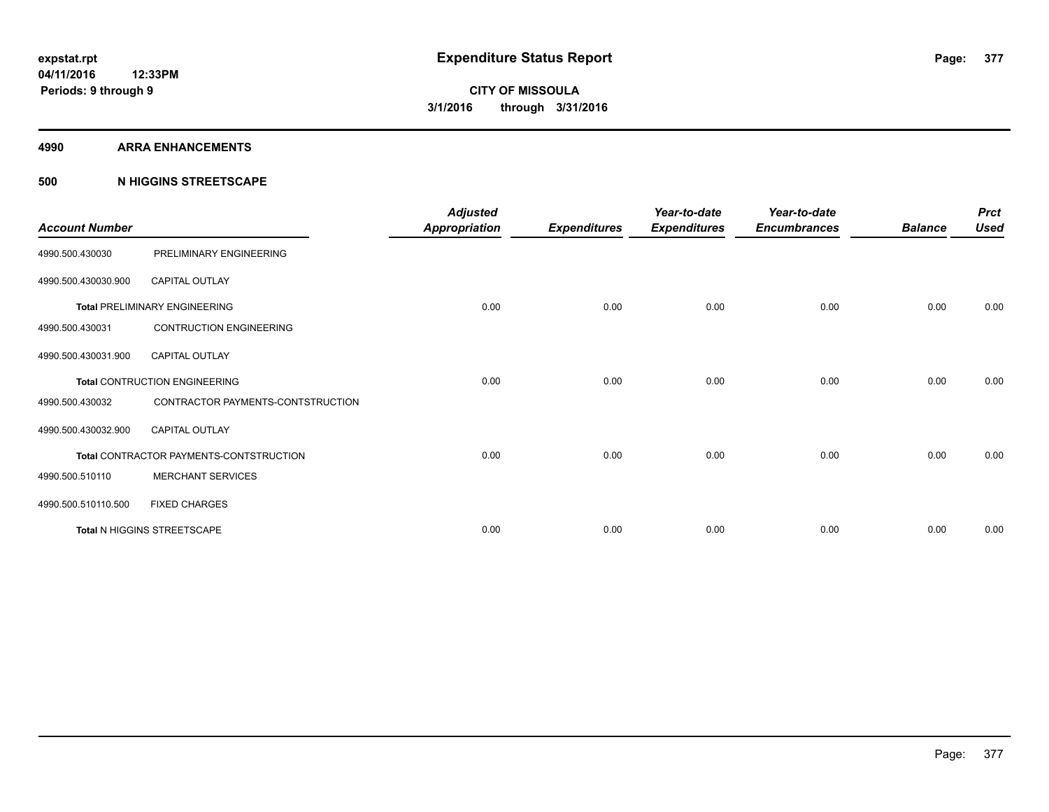### **4990 ARRA ENHANCEMENTS**

# **500 N HIGGINS STREETSCAPE**

| <b>Account Number</b> |                                         | <b>Adjusted</b><br><b>Appropriation</b> | <b>Expenditures</b> | Year-to-date<br><b>Expenditures</b> | Year-to-date<br><b>Encumbrances</b> | <b>Balance</b> | <b>Prct</b><br><b>Used</b> |
|-----------------------|-----------------------------------------|-----------------------------------------|---------------------|-------------------------------------|-------------------------------------|----------------|----------------------------|
| 4990.500.430030       | PRELIMINARY ENGINEERING                 |                                         |                     |                                     |                                     |                |                            |
| 4990.500.430030.900   | <b>CAPITAL OUTLAY</b>                   |                                         |                     |                                     |                                     |                |                            |
|                       | <b>Total PRELIMINARY ENGINEERING</b>    | 0.00                                    | 0.00                | 0.00                                | 0.00                                | 0.00           | 0.00                       |
| 4990.500.430031       | <b>CONTRUCTION ENGINEERING</b>          |                                         |                     |                                     |                                     |                |                            |
| 4990.500.430031.900   | <b>CAPITAL OUTLAY</b>                   |                                         |                     |                                     |                                     |                |                            |
|                       | <b>Total CONTRUCTION ENGINEERING</b>    | 0.00                                    | 0.00                | 0.00                                | 0.00                                | 0.00           | 0.00                       |
| 4990.500.430032       | CONTRACTOR PAYMENTS-CONTSTRUCTION       |                                         |                     |                                     |                                     |                |                            |
| 4990.500.430032.900   | <b>CAPITAL OUTLAY</b>                   |                                         |                     |                                     |                                     |                |                            |
|                       | Total CONTRACTOR PAYMENTS-CONTSTRUCTION | 0.00                                    | 0.00                | 0.00                                | 0.00                                | 0.00           | 0.00                       |
| 4990.500.510110       | <b>MERCHANT SERVICES</b>                |                                         |                     |                                     |                                     |                |                            |
| 4990.500.510110.500   | <b>FIXED CHARGES</b>                    |                                         |                     |                                     |                                     |                |                            |
|                       | Total N HIGGINS STREETSCAPE             | 0.00                                    | 0.00                | 0.00                                | 0.00                                | 0.00           | 0.00                       |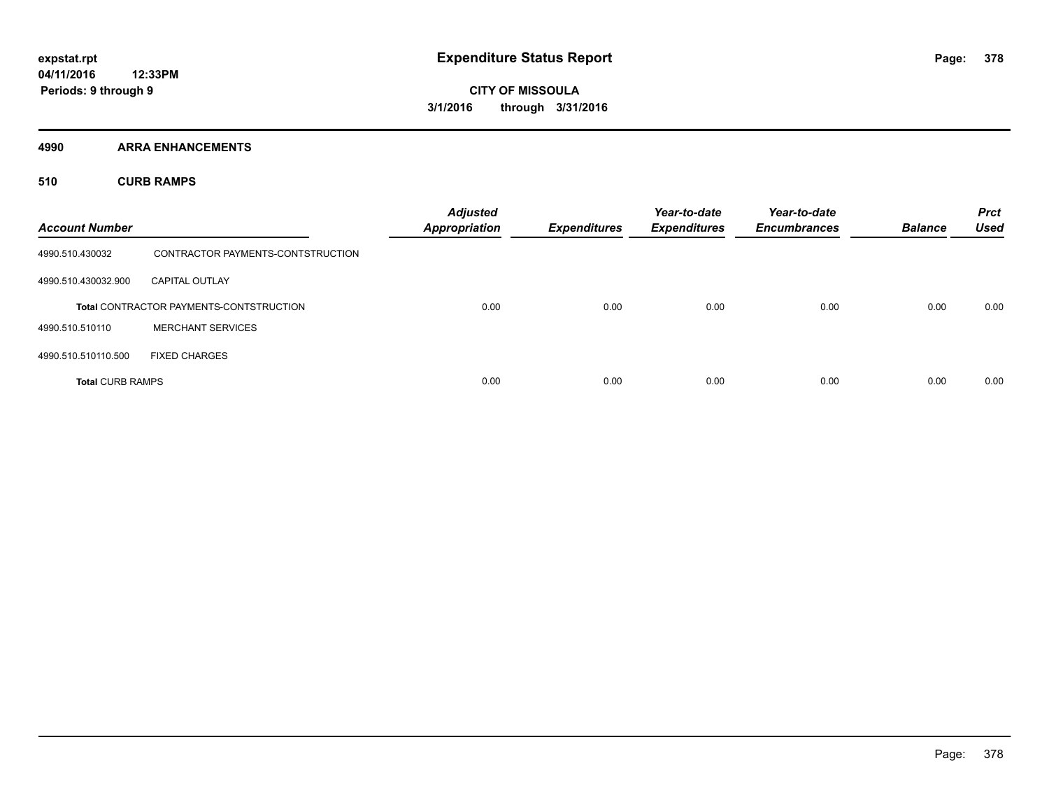**4990 ARRA ENHANCEMENTS**

**510 CURB RAMPS**

| <b>Account Number</b>   |                                                | <b>Adjusted</b><br><b>Appropriation</b> | <b>Expenditures</b> | Year-to-date<br><b>Expenditures</b> | Year-to-date<br><b>Encumbrances</b> | <b>Balance</b> | <b>Prct</b><br><b>Used</b> |
|-------------------------|------------------------------------------------|-----------------------------------------|---------------------|-------------------------------------|-------------------------------------|----------------|----------------------------|
| 4990.510.430032         | CONTRACTOR PAYMENTS-CONTSTRUCTION              |                                         |                     |                                     |                                     |                |                            |
| 4990.510.430032.900     | <b>CAPITAL OUTLAY</b>                          |                                         |                     |                                     |                                     |                |                            |
|                         | <b>Total CONTRACTOR PAYMENTS-CONTSTRUCTION</b> | 0.00                                    | 0.00                | 0.00                                | 0.00                                | 0.00           | 0.00                       |
| 4990.510.510110         | <b>MERCHANT SERVICES</b>                       |                                         |                     |                                     |                                     |                |                            |
| 4990.510.510110.500     | <b>FIXED CHARGES</b>                           |                                         |                     |                                     |                                     |                |                            |
| <b>Total CURB RAMPS</b> |                                                | 0.00                                    | 0.00                | 0.00                                | 0.00                                | 0.00           | 0.00                       |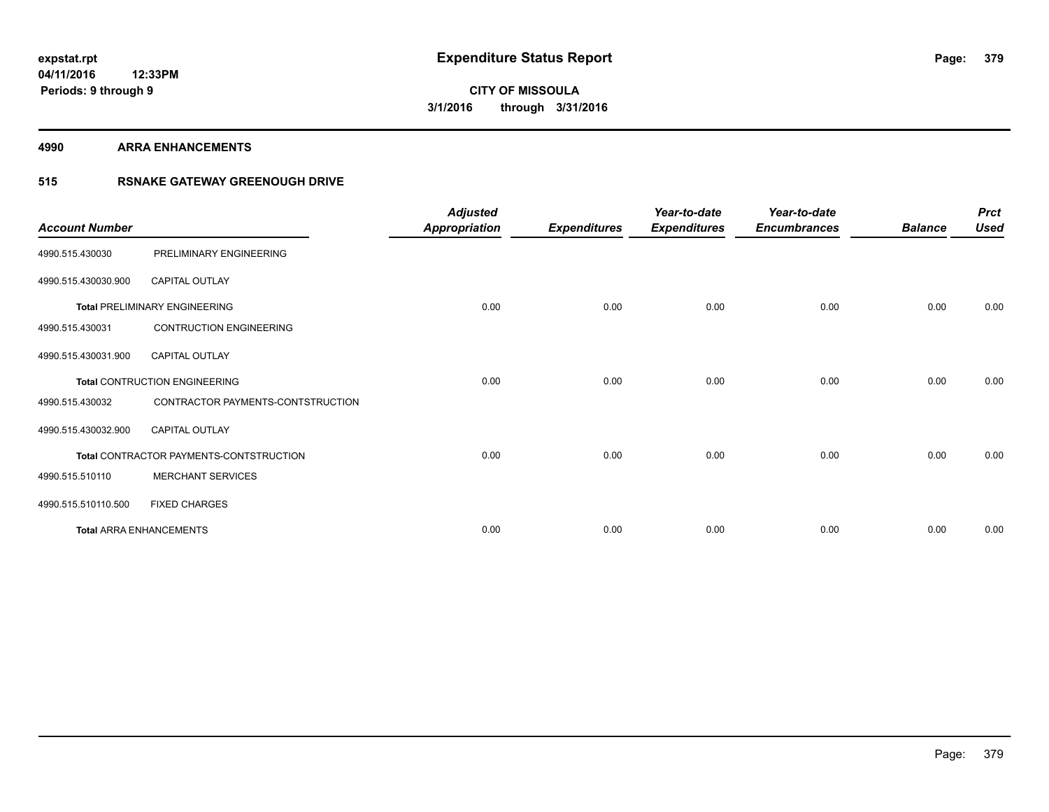### **4990 ARRA ENHANCEMENTS**

# **515 RSNAKE GATEWAY GREENOUGH DRIVE**

| <b>Account Number</b> |                                         | <b>Adjusted</b><br><b>Appropriation</b> | <b>Expenditures</b> | Year-to-date<br><b>Expenditures</b> | Year-to-date<br><b>Encumbrances</b> | <b>Balance</b> | <b>Prct</b><br><b>Used</b> |
|-----------------------|-----------------------------------------|-----------------------------------------|---------------------|-------------------------------------|-------------------------------------|----------------|----------------------------|
| 4990.515.430030       | PRELIMINARY ENGINEERING                 |                                         |                     |                                     |                                     |                |                            |
| 4990.515.430030.900   | <b>CAPITAL OUTLAY</b>                   |                                         |                     |                                     |                                     |                |                            |
|                       | <b>Total PRELIMINARY ENGINEERING</b>    | 0.00                                    | 0.00                | 0.00                                | 0.00                                | 0.00           | 0.00                       |
| 4990.515.430031       | <b>CONTRUCTION ENGINEERING</b>          |                                         |                     |                                     |                                     |                |                            |
| 4990.515.430031.900   | <b>CAPITAL OUTLAY</b>                   |                                         |                     |                                     |                                     |                |                            |
|                       | <b>Total CONTRUCTION ENGINEERING</b>    | 0.00                                    | 0.00                | 0.00                                | 0.00                                | 0.00           | 0.00                       |
| 4990.515.430032       | CONTRACTOR PAYMENTS-CONTSTRUCTION       |                                         |                     |                                     |                                     |                |                            |
| 4990.515.430032.900   | <b>CAPITAL OUTLAY</b>                   |                                         |                     |                                     |                                     |                |                            |
|                       | Total CONTRACTOR PAYMENTS-CONTSTRUCTION | 0.00                                    | 0.00                | 0.00                                | 0.00                                | 0.00           | 0.00                       |
| 4990.515.510110       | <b>MERCHANT SERVICES</b>                |                                         |                     |                                     |                                     |                |                            |
| 4990.515.510110.500   | <b>FIXED CHARGES</b>                    |                                         |                     |                                     |                                     |                |                            |
|                       | <b>Total ARRA ENHANCEMENTS</b>          | 0.00                                    | 0.00                | 0.00                                | 0.00                                | 0.00           | 0.00                       |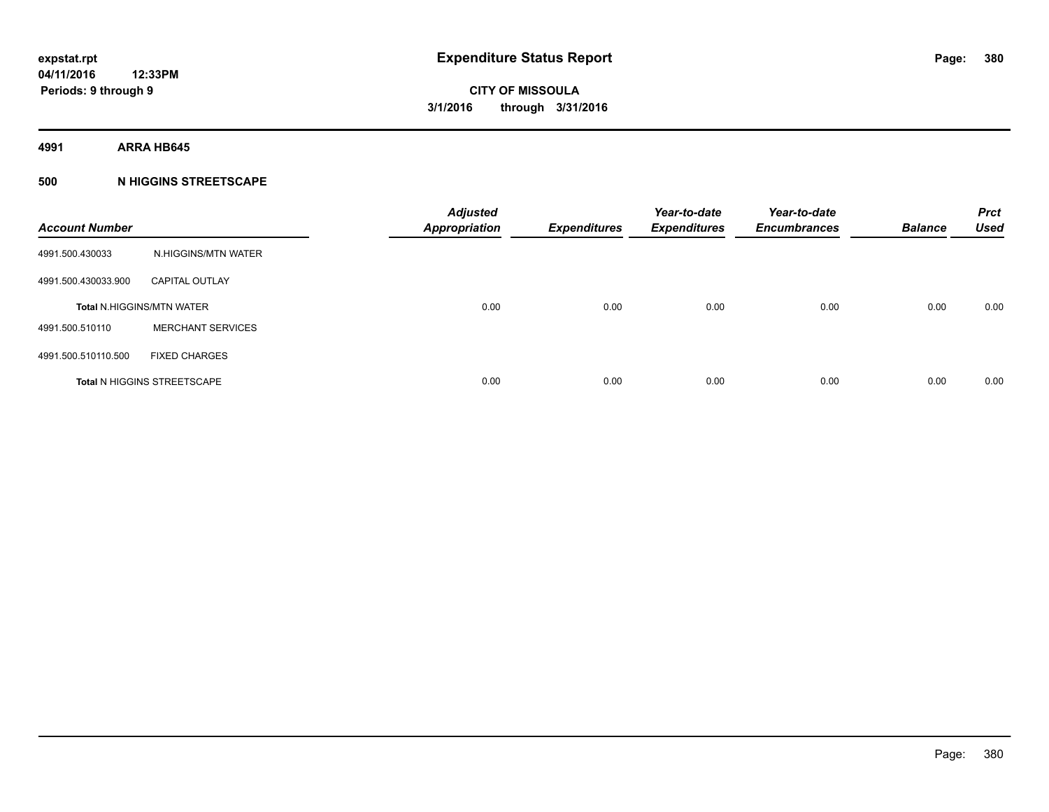**4991 ARRA HB645**

# **500 N HIGGINS STREETSCAPE**

| <b>Account Number</b> |                                    | <b>Adjusted</b><br><b>Appropriation</b> | <b>Expenditures</b> | Year-to-date<br><b>Expenditures</b> | Year-to-date<br><b>Encumbrances</b> | <b>Balance</b> | <b>Prct</b><br><b>Used</b> |
|-----------------------|------------------------------------|-----------------------------------------|---------------------|-------------------------------------|-------------------------------------|----------------|----------------------------|
| 4991.500.430033       | N.HIGGINS/MTN WATER                |                                         |                     |                                     |                                     |                |                            |
| 4991.500.430033.900   | <b>CAPITAL OUTLAY</b>              |                                         |                     |                                     |                                     |                |                            |
|                       | <b>Total N.HIGGINS/MTN WATER</b>   | 0.00                                    | 0.00                | 0.00                                | 0.00                                | 0.00           | 0.00                       |
| 4991.500.510110       | <b>MERCHANT SERVICES</b>           |                                         |                     |                                     |                                     |                |                            |
| 4991.500.510110.500   | <b>FIXED CHARGES</b>               |                                         |                     |                                     |                                     |                |                            |
|                       | <b>Total N HIGGINS STREETSCAPE</b> | 0.00                                    | 0.00                | 0.00                                | 0.00                                | 0.00           | 0.00                       |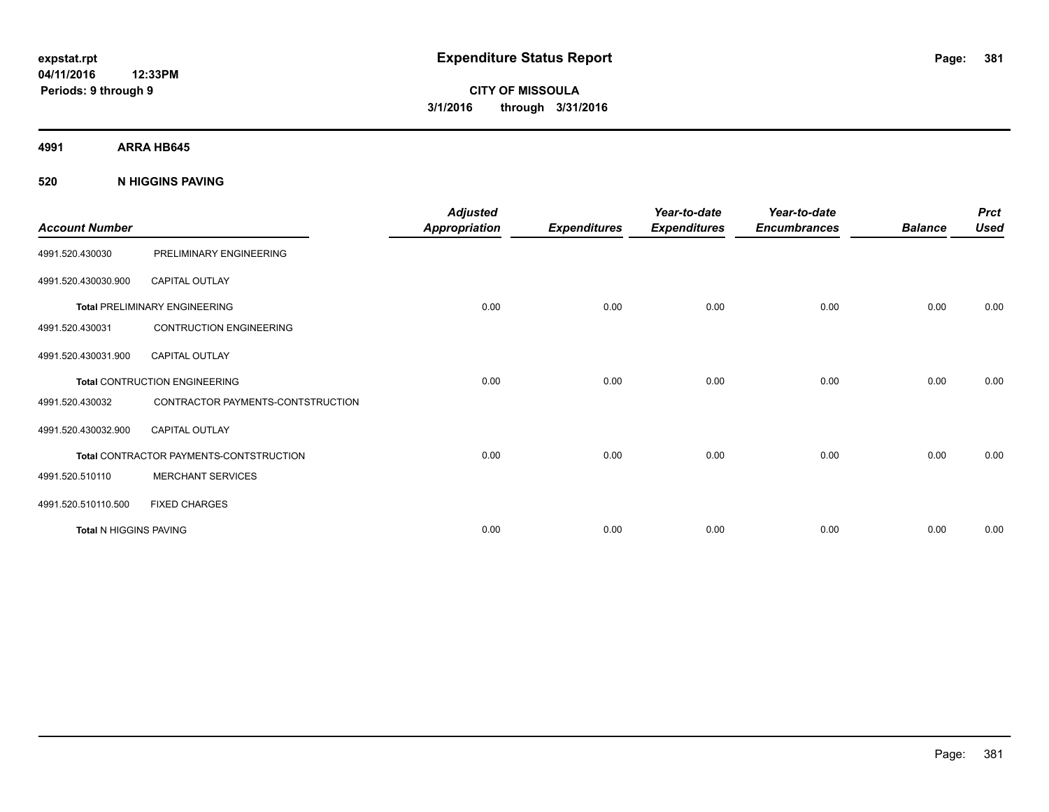**4991 ARRA HB645**

# **520 N HIGGINS PAVING**

| <b>Account Number</b>  |                                         | <b>Adjusted</b><br><b>Appropriation</b> | <b>Expenditures</b> | Year-to-date<br><b>Expenditures</b> | Year-to-date<br><b>Encumbrances</b> | <b>Balance</b> | <b>Prct</b><br><b>Used</b> |
|------------------------|-----------------------------------------|-----------------------------------------|---------------------|-------------------------------------|-------------------------------------|----------------|----------------------------|
| 4991.520.430030        | PRELIMINARY ENGINEERING                 |                                         |                     |                                     |                                     |                |                            |
| 4991.520.430030.900    | <b>CAPITAL OUTLAY</b>                   |                                         |                     |                                     |                                     |                |                            |
|                        | <b>Total PRELIMINARY ENGINEERING</b>    | 0.00                                    | 0.00                | 0.00                                | 0.00                                | 0.00           | 0.00                       |
| 4991.520.430031        | <b>CONTRUCTION ENGINEERING</b>          |                                         |                     |                                     |                                     |                |                            |
| 4991.520.430031.900    | CAPITAL OUTLAY                          |                                         |                     |                                     |                                     |                |                            |
|                        | Total CONTRUCTION ENGINEERING           | 0.00                                    | 0.00                | 0.00                                | 0.00                                | 0.00           | 0.00                       |
| 4991.520.430032        | CONTRACTOR PAYMENTS-CONTSTRUCTION       |                                         |                     |                                     |                                     |                |                            |
| 4991.520.430032.900    | <b>CAPITAL OUTLAY</b>                   |                                         |                     |                                     |                                     |                |                            |
|                        | Total CONTRACTOR PAYMENTS-CONTSTRUCTION | 0.00                                    | 0.00                | 0.00                                | 0.00                                | 0.00           | 0.00                       |
| 4991.520.510110        | <b>MERCHANT SERVICES</b>                |                                         |                     |                                     |                                     |                |                            |
| 4991.520.510110.500    | <b>FIXED CHARGES</b>                    |                                         |                     |                                     |                                     |                |                            |
| Total N HIGGINS PAVING |                                         | 0.00                                    | 0.00                | 0.00                                | 0.00                                | 0.00           | 0.00                       |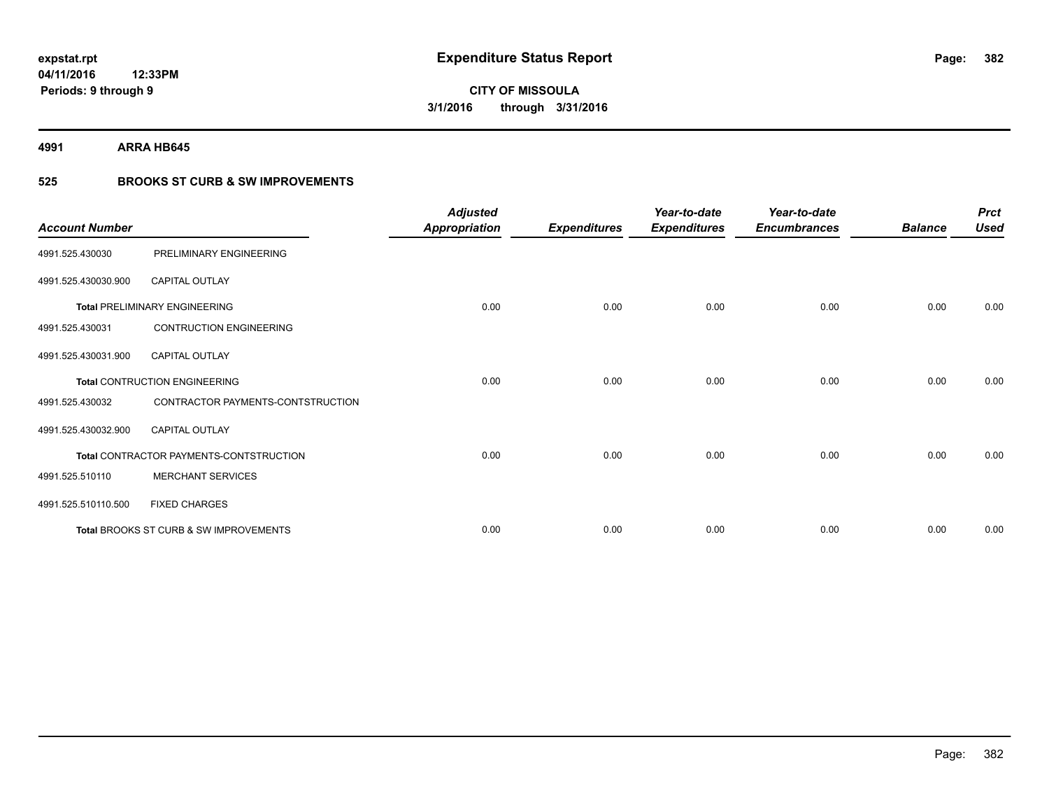**4991 ARRA HB645**

# **525 BROOKS ST CURB & SW IMPROVEMENTS**

| <b>Account Number</b> |                                         | <b>Adjusted</b><br><b>Appropriation</b> | <b>Expenditures</b> | Year-to-date<br><b>Expenditures</b> | Year-to-date<br><b>Encumbrances</b> | <b>Balance</b> | <b>Prct</b><br><b>Used</b> |
|-----------------------|-----------------------------------------|-----------------------------------------|---------------------|-------------------------------------|-------------------------------------|----------------|----------------------------|
| 4991.525.430030       | PRELIMINARY ENGINEERING                 |                                         |                     |                                     |                                     |                |                            |
| 4991.525.430030.900   | <b>CAPITAL OUTLAY</b>                   |                                         |                     |                                     |                                     |                |                            |
|                       | <b>Total PRELIMINARY ENGINEERING</b>    | 0.00                                    | 0.00                | 0.00                                | 0.00                                | 0.00           | 0.00                       |
| 4991.525.430031       | <b>CONTRUCTION ENGINEERING</b>          |                                         |                     |                                     |                                     |                |                            |
| 4991.525.430031.900   | <b>CAPITAL OUTLAY</b>                   |                                         |                     |                                     |                                     |                |                            |
|                       | Total CONTRUCTION ENGINEERING           | 0.00                                    | 0.00                | 0.00                                | 0.00                                | 0.00           | 0.00                       |
| 4991.525.430032       | CONTRACTOR PAYMENTS-CONTSTRUCTION       |                                         |                     |                                     |                                     |                |                            |
| 4991.525.430032.900   | <b>CAPITAL OUTLAY</b>                   |                                         |                     |                                     |                                     |                |                            |
|                       | Total CONTRACTOR PAYMENTS-CONTSTRUCTION | 0.00                                    | 0.00                | 0.00                                | 0.00                                | 0.00           | 0.00                       |
| 4991.525.510110       | <b>MERCHANT SERVICES</b>                |                                         |                     |                                     |                                     |                |                            |
| 4991.525.510110.500   | <b>FIXED CHARGES</b>                    |                                         |                     |                                     |                                     |                |                            |
|                       | Total BROOKS ST CURB & SW IMPROVEMENTS  | 0.00                                    | 0.00                | 0.00                                | 0.00                                | 0.00           | 0.00                       |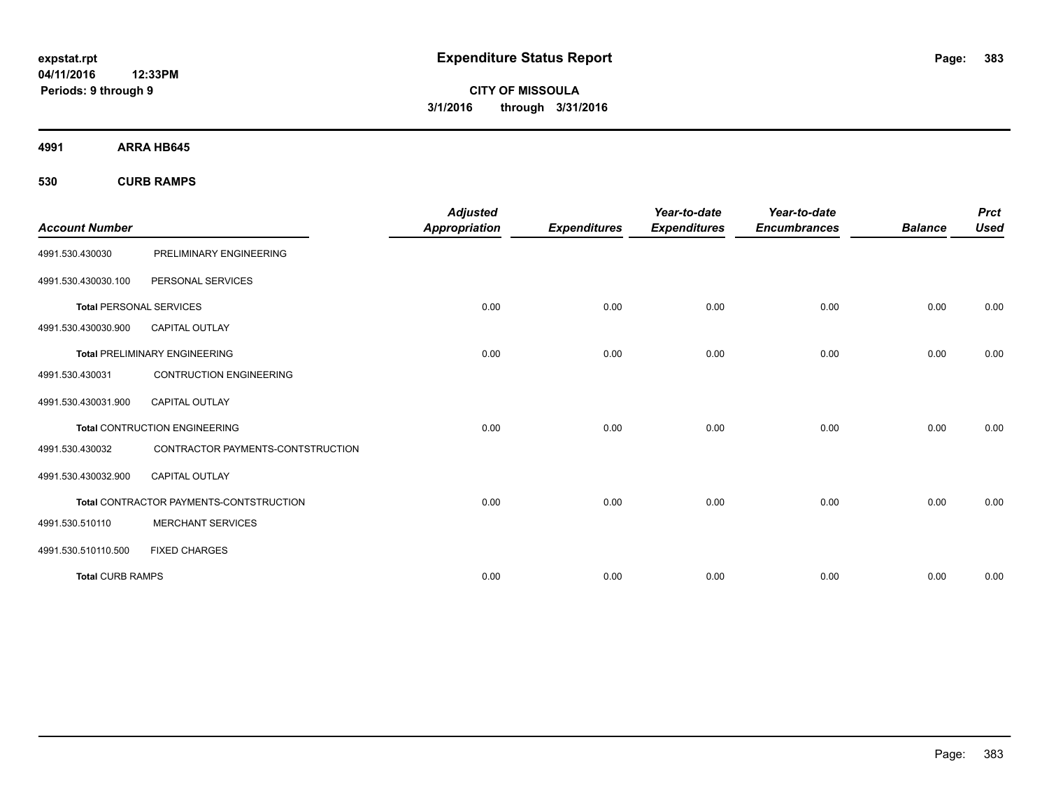**CITY OF MISSOULA 3/1/2016 through 3/31/2016**

**4991 ARRA HB645**

**530 CURB RAMPS**

|                                |                                         | <b>Adjusted</b>      |                     | Year-to-date        | Year-to-date        |                | <b>Prct</b> |
|--------------------------------|-----------------------------------------|----------------------|---------------------|---------------------|---------------------|----------------|-------------|
| <b>Account Number</b>          |                                         | <b>Appropriation</b> | <b>Expenditures</b> | <b>Expenditures</b> | <b>Encumbrances</b> | <b>Balance</b> | <b>Used</b> |
| 4991.530.430030                | PRELIMINARY ENGINEERING                 |                      |                     |                     |                     |                |             |
| 4991.530.430030.100            | PERSONAL SERVICES                       |                      |                     |                     |                     |                |             |
| <b>Total PERSONAL SERVICES</b> |                                         | 0.00                 | 0.00                | 0.00                | 0.00                | 0.00           | 0.00        |
| 4991.530.430030.900            | CAPITAL OUTLAY                          |                      |                     |                     |                     |                |             |
|                                | <b>Total PRELIMINARY ENGINEERING</b>    | 0.00                 | 0.00                | 0.00                | 0.00                | 0.00           | 0.00        |
| 4991.530.430031                | <b>CONTRUCTION ENGINEERING</b>          |                      |                     |                     |                     |                |             |
| 4991.530.430031.900            | <b>CAPITAL OUTLAY</b>                   |                      |                     |                     |                     |                |             |
|                                | <b>Total CONTRUCTION ENGINEERING</b>    | 0.00                 | 0.00                | 0.00                | 0.00                | 0.00           | 0.00        |
| 4991.530.430032                | CONTRACTOR PAYMENTS-CONTSTRUCTION       |                      |                     |                     |                     |                |             |
| 4991.530.430032.900            | <b>CAPITAL OUTLAY</b>                   |                      |                     |                     |                     |                |             |
|                                | Total CONTRACTOR PAYMENTS-CONTSTRUCTION | 0.00                 | 0.00                | 0.00                | 0.00                | 0.00           | 0.00        |
| 4991.530.510110                | <b>MERCHANT SERVICES</b>                |                      |                     |                     |                     |                |             |
| 4991.530.510110.500            | <b>FIXED CHARGES</b>                    |                      |                     |                     |                     |                |             |
| <b>Total CURB RAMPS</b>        |                                         | 0.00                 | 0.00                | 0.00                | 0.00                | 0.00           | 0.00        |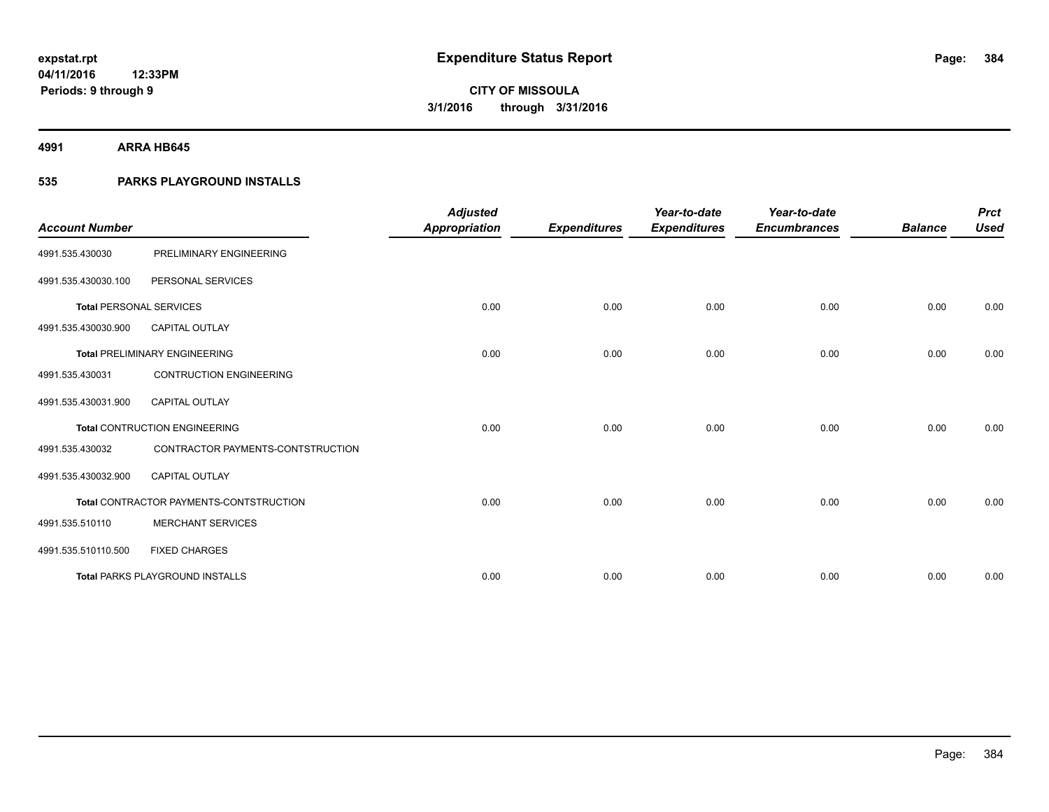**4991 ARRA HB645**

# **535 PARKS PLAYGROUND INSTALLS**

|                                |                                         | <b>Adjusted</b>      |                     | Year-to-date        | Year-to-date        |                | <b>Prct</b> |
|--------------------------------|-----------------------------------------|----------------------|---------------------|---------------------|---------------------|----------------|-------------|
| <b>Account Number</b>          |                                         | <b>Appropriation</b> | <b>Expenditures</b> | <b>Expenditures</b> | <b>Encumbrances</b> | <b>Balance</b> | <b>Used</b> |
| 4991.535.430030                | PRELIMINARY ENGINEERING                 |                      |                     |                     |                     |                |             |
| 4991.535.430030.100            | PERSONAL SERVICES                       |                      |                     |                     |                     |                |             |
| <b>Total PERSONAL SERVICES</b> |                                         | 0.00                 | 0.00                | 0.00                | 0.00                | 0.00           | 0.00        |
| 4991.535.430030.900            | <b>CAPITAL OUTLAY</b>                   |                      |                     |                     |                     |                |             |
|                                | <b>Total PRELIMINARY ENGINEERING</b>    | 0.00                 | 0.00                | 0.00                | 0.00                | 0.00           | 0.00        |
| 4991.535.430031                | <b>CONTRUCTION ENGINEERING</b>          |                      |                     |                     |                     |                |             |
| 4991.535.430031.900            | <b>CAPITAL OUTLAY</b>                   |                      |                     |                     |                     |                |             |
|                                | <b>Total CONTRUCTION ENGINEERING</b>    | 0.00                 | 0.00                | 0.00                | 0.00                | 0.00           | 0.00        |
| 4991.535.430032                | CONTRACTOR PAYMENTS-CONTSTRUCTION       |                      |                     |                     |                     |                |             |
| 4991.535.430032.900            | <b>CAPITAL OUTLAY</b>                   |                      |                     |                     |                     |                |             |
|                                | Total CONTRACTOR PAYMENTS-CONTSTRUCTION | 0.00                 | 0.00                | 0.00                | 0.00                | 0.00           | 0.00        |
| 4991.535.510110                | <b>MERCHANT SERVICES</b>                |                      |                     |                     |                     |                |             |
| 4991.535.510110.500            | <b>FIXED CHARGES</b>                    |                      |                     |                     |                     |                |             |
|                                | <b>Total PARKS PLAYGROUND INSTALLS</b>  | 0.00                 | 0.00                | 0.00                | 0.00                | 0.00           | 0.00        |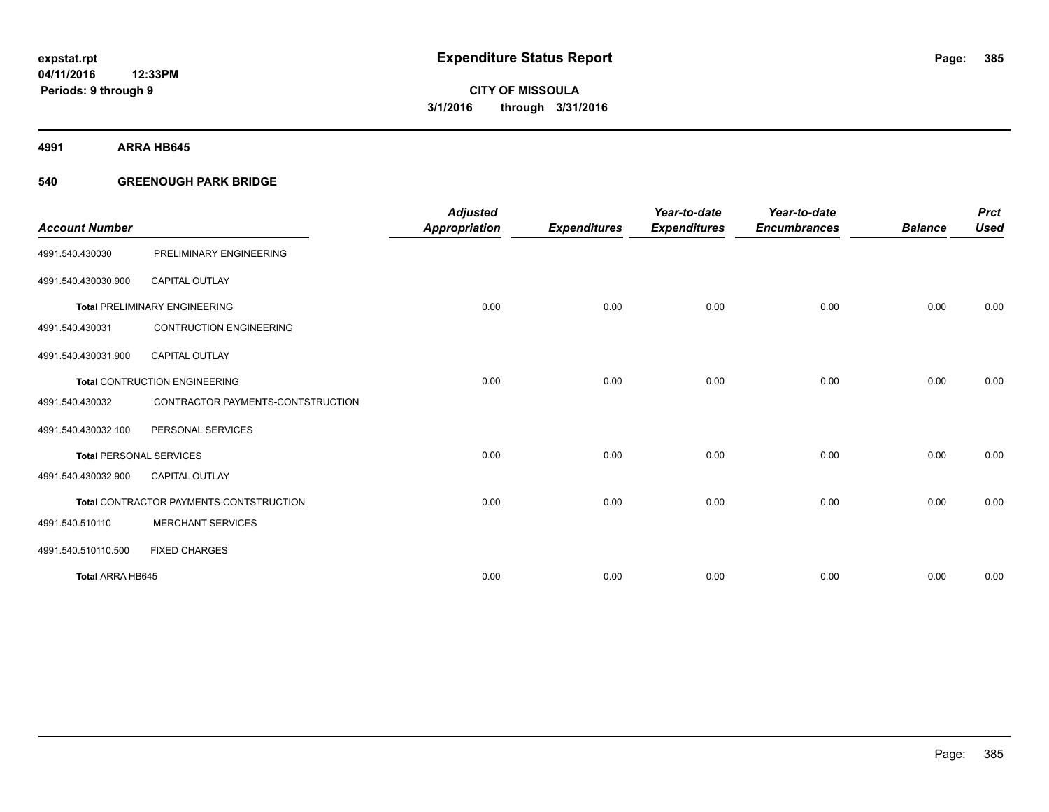**4991 ARRA HB645**

# **540 GREENOUGH PARK BRIDGE**

|                                |                                         | <b>Adjusted</b> |                     | Year-to-date        | Year-to-date        |                | <b>Prct</b> |
|--------------------------------|-----------------------------------------|-----------------|---------------------|---------------------|---------------------|----------------|-------------|
| <b>Account Number</b>          |                                         | Appropriation   | <b>Expenditures</b> | <b>Expenditures</b> | <b>Encumbrances</b> | <b>Balance</b> | <b>Used</b> |
| 4991.540.430030                | PRELIMINARY ENGINEERING                 |                 |                     |                     |                     |                |             |
| 4991.540.430030.900            | <b>CAPITAL OUTLAY</b>                   |                 |                     |                     |                     |                |             |
|                                | <b>Total PRELIMINARY ENGINEERING</b>    | 0.00            | 0.00                | 0.00                | 0.00                | 0.00           | 0.00        |
| 4991.540.430031                | <b>CONTRUCTION ENGINEERING</b>          |                 |                     |                     |                     |                |             |
| 4991.540.430031.900            | <b>CAPITAL OUTLAY</b>                   |                 |                     |                     |                     |                |             |
|                                | <b>Total CONTRUCTION ENGINEERING</b>    | 0.00            | 0.00                | 0.00                | 0.00                | 0.00           | 0.00        |
| 4991.540.430032                | CONTRACTOR PAYMENTS-CONTSTRUCTION       |                 |                     |                     |                     |                |             |
| 4991.540.430032.100            | PERSONAL SERVICES                       |                 |                     |                     |                     |                |             |
| <b>Total PERSONAL SERVICES</b> |                                         | 0.00            | 0.00                | 0.00                | 0.00                | 0.00           | 0.00        |
| 4991.540.430032.900            | <b>CAPITAL OUTLAY</b>                   |                 |                     |                     |                     |                |             |
|                                | Total CONTRACTOR PAYMENTS-CONTSTRUCTION | 0.00            | 0.00                | 0.00                | 0.00                | 0.00           | 0.00        |
| 4991.540.510110                | <b>MERCHANT SERVICES</b>                |                 |                     |                     |                     |                |             |
| 4991.540.510110.500            | <b>FIXED CHARGES</b>                    |                 |                     |                     |                     |                |             |
| Total ARRA HB645               |                                         | 0.00            | 0.00                | 0.00                | 0.00                | 0.00           | 0.00        |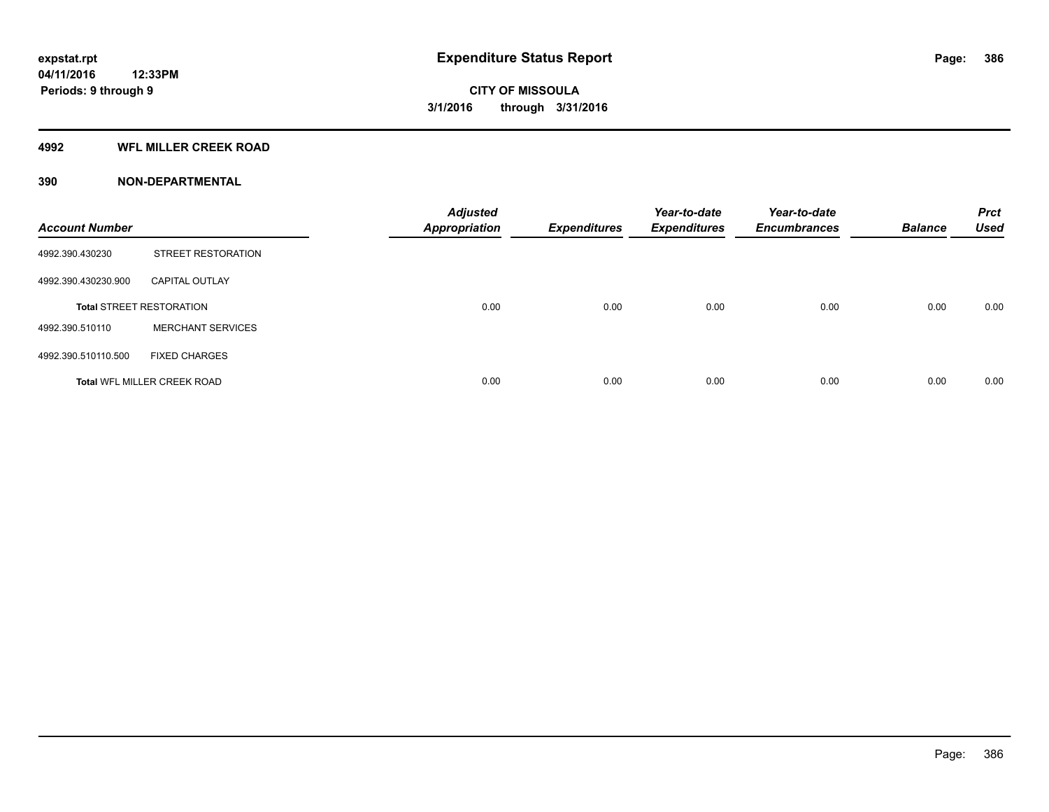## **4992 WFL MILLER CREEK ROAD**

| <b>Account Number</b> |                                    | <b>Adjusted</b><br><b>Appropriation</b> | <b>Expenditures</b> | Year-to-date<br><b>Expenditures</b> | Year-to-date<br><b>Encumbrances</b> | <b>Balance</b> | <b>Prct</b><br><b>Used</b> |
|-----------------------|------------------------------------|-----------------------------------------|---------------------|-------------------------------------|-------------------------------------|----------------|----------------------------|
| 4992.390.430230       | <b>STREET RESTORATION</b>          |                                         |                     |                                     |                                     |                |                            |
| 4992.390.430230.900   | <b>CAPITAL OUTLAY</b>              |                                         |                     |                                     |                                     |                |                            |
|                       | <b>Total STREET RESTORATION</b>    | 0.00                                    | 0.00                | 0.00                                | 0.00                                | 0.00           | 0.00                       |
| 4992.390.510110       | <b>MERCHANT SERVICES</b>           |                                         |                     |                                     |                                     |                |                            |
| 4992.390.510110.500   | <b>FIXED CHARGES</b>               |                                         |                     |                                     |                                     |                |                            |
|                       | <b>Total WFL MILLER CREEK ROAD</b> | 0.00                                    | 0.00                | 0.00                                | 0.00                                | 0.00           | 0.00                       |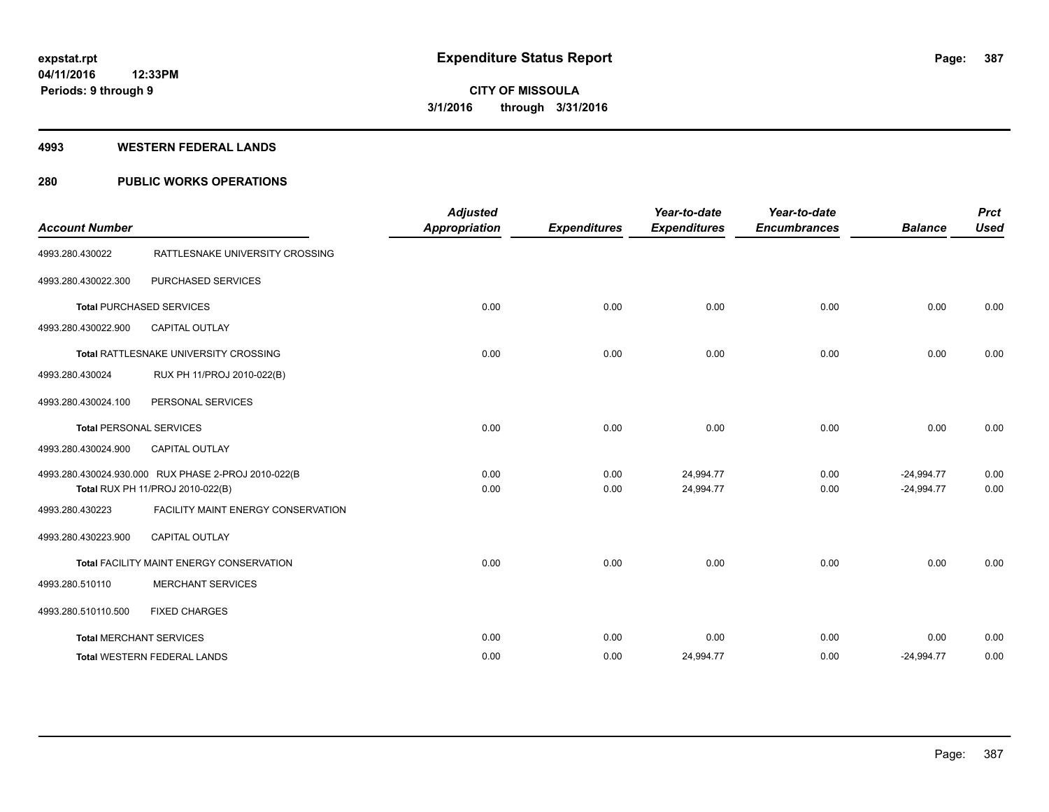### **4993 WESTERN FEDERAL LANDS**

# **280 PUBLIC WORKS OPERATIONS**

| <b>Account Number</b> |                                                                                         | <b>Adjusted</b><br><b>Appropriation</b> | <b>Expenditures</b> | Year-to-date<br><b>Expenditures</b> | Year-to-date<br><b>Encumbrances</b> | <b>Balance</b>               | <b>Prct</b><br><b>Used</b> |
|-----------------------|-----------------------------------------------------------------------------------------|-----------------------------------------|---------------------|-------------------------------------|-------------------------------------|------------------------------|----------------------------|
| 4993.280.430022       | RATTLESNAKE UNIVERSITY CROSSING                                                         |                                         |                     |                                     |                                     |                              |                            |
| 4993.280.430022.300   | PURCHASED SERVICES                                                                      |                                         |                     |                                     |                                     |                              |                            |
|                       | <b>Total PURCHASED SERVICES</b>                                                         | 0.00                                    | 0.00                | 0.00                                | 0.00                                | 0.00                         | 0.00                       |
| 4993.280.430022.900   | <b>CAPITAL OUTLAY</b>                                                                   |                                         |                     |                                     |                                     |                              |                            |
|                       | Total RATTLESNAKE UNIVERSITY CROSSING                                                   | 0.00                                    | 0.00                | 0.00                                | 0.00                                | 0.00                         | 0.00                       |
| 4993.280.430024       | RUX PH 11/PROJ 2010-022(B)                                                              |                                         |                     |                                     |                                     |                              |                            |
| 4993.280.430024.100   | PERSONAL SERVICES                                                                       |                                         |                     |                                     |                                     |                              |                            |
|                       | <b>Total PERSONAL SERVICES</b>                                                          | 0.00                                    | 0.00                | 0.00                                | 0.00                                | 0.00                         | 0.00                       |
| 4993.280.430024.900   | <b>CAPITAL OUTLAY</b>                                                                   |                                         |                     |                                     |                                     |                              |                            |
|                       | 4993.280.430024.930.000 RUX PHASE 2-PROJ 2010-022(B<br>Total RUX PH 11/PROJ 2010-022(B) | 0.00<br>0.00                            | 0.00<br>0.00        | 24,994.77<br>24,994.77              | 0.00<br>0.00                        | $-24,994.77$<br>$-24,994.77$ | 0.00<br>0.00               |
| 4993.280.430223       | FACILITY MAINT ENERGY CONSERVATION                                                      |                                         |                     |                                     |                                     |                              |                            |
| 4993.280.430223.900   | <b>CAPITAL OUTLAY</b>                                                                   |                                         |                     |                                     |                                     |                              |                            |
|                       | Total FACILITY MAINT ENERGY CONSERVATION                                                | 0.00                                    | 0.00                | 0.00                                | 0.00                                | 0.00                         | 0.00                       |
| 4993.280.510110       | <b>MERCHANT SERVICES</b>                                                                |                                         |                     |                                     |                                     |                              |                            |
| 4993.280.510110.500   | <b>FIXED CHARGES</b>                                                                    |                                         |                     |                                     |                                     |                              |                            |
|                       | <b>Total MERCHANT SERVICES</b>                                                          | 0.00                                    | 0.00                | 0.00                                | 0.00                                | 0.00                         | 0.00                       |
|                       | <b>Total WESTERN FEDERAL LANDS</b>                                                      | 0.00                                    | 0.00                | 24,994.77                           | 0.00                                | $-24,994.77$                 | 0.00                       |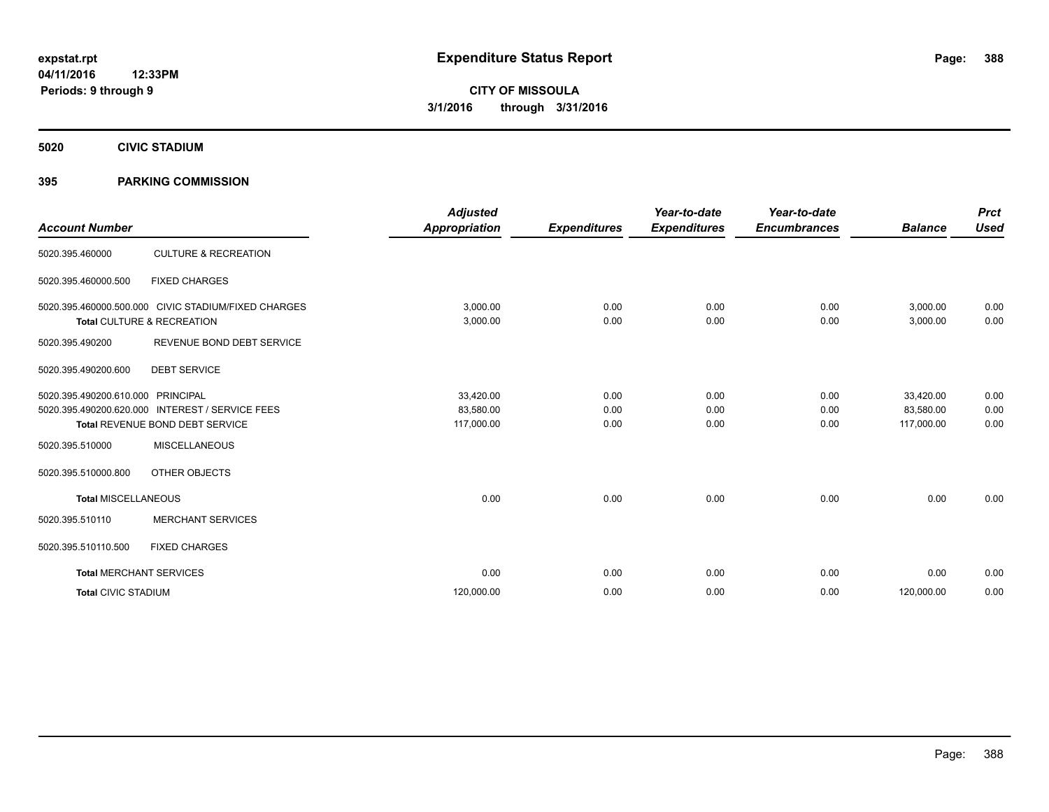**5020 CIVIC STADIUM**

# **395 PARKING COMMISSION**

| <b>Account Number</b>      |                                                                                                               | <b>Adjusted</b><br><b>Appropriation</b> | <b>Expenditures</b>  | Year-to-date<br><b>Expenditures</b> | Year-to-date<br><b>Encumbrances</b> | <b>Balance</b>                       | <b>Prct</b><br><b>Used</b> |
|----------------------------|---------------------------------------------------------------------------------------------------------------|-----------------------------------------|----------------------|-------------------------------------|-------------------------------------|--------------------------------------|----------------------------|
| 5020.395.460000            | <b>CULTURE &amp; RECREATION</b>                                                                               |                                         |                      |                                     |                                     |                                      |                            |
| 5020.395.460000.500        | <b>FIXED CHARGES</b>                                                                                          |                                         |                      |                                     |                                     |                                      |                            |
|                            | 5020.395.460000.500.000 CIVIC STADIUM/FIXED CHARGES<br>Total CULTURE & RECREATION                             | 3,000.00<br>3,000.00                    | 0.00<br>0.00         | 0.00<br>0.00                        | 0.00<br>0.00                        | 3,000.00<br>3,000.00                 | 0.00<br>0.00               |
| 5020.395.490200            | REVENUE BOND DEBT SERVICE                                                                                     |                                         |                      |                                     |                                     |                                      |                            |
| 5020.395.490200.600        | <b>DEBT SERVICE</b>                                                                                           |                                         |                      |                                     |                                     |                                      |                            |
| 5020.395.490200.610.000    | <b>PRINCIPAL</b><br>5020.395.490200.620.000 INTEREST / SERVICE FEES<br><b>Total REVENUE BOND DEBT SERVICE</b> | 33,420.00<br>83,580.00<br>117,000.00    | 0.00<br>0.00<br>0.00 | 0.00<br>0.00<br>0.00                | 0.00<br>0.00<br>0.00                | 33,420.00<br>83,580.00<br>117,000.00 | 0.00<br>0.00<br>0.00       |
| 5020.395.510000            | <b>MISCELLANEOUS</b>                                                                                          |                                         |                      |                                     |                                     |                                      |                            |
| 5020.395.510000.800        | OTHER OBJECTS                                                                                                 |                                         |                      |                                     |                                     |                                      |                            |
| <b>Total MISCELLANEOUS</b> |                                                                                                               | 0.00                                    | 0.00                 | 0.00                                | 0.00                                | 0.00                                 | 0.00                       |
| 5020.395.510110            | <b>MERCHANT SERVICES</b>                                                                                      |                                         |                      |                                     |                                     |                                      |                            |
| 5020.395.510110.500        | <b>FIXED CHARGES</b>                                                                                          |                                         |                      |                                     |                                     |                                      |                            |
|                            | <b>Total MERCHANT SERVICES</b>                                                                                | 0.00                                    | 0.00                 | 0.00                                | 0.00                                | 0.00                                 | 0.00                       |
| <b>Total CIVIC STADIUM</b> |                                                                                                               | 120,000.00                              | 0.00                 | 0.00                                | 0.00                                | 120,000.00                           | 0.00                       |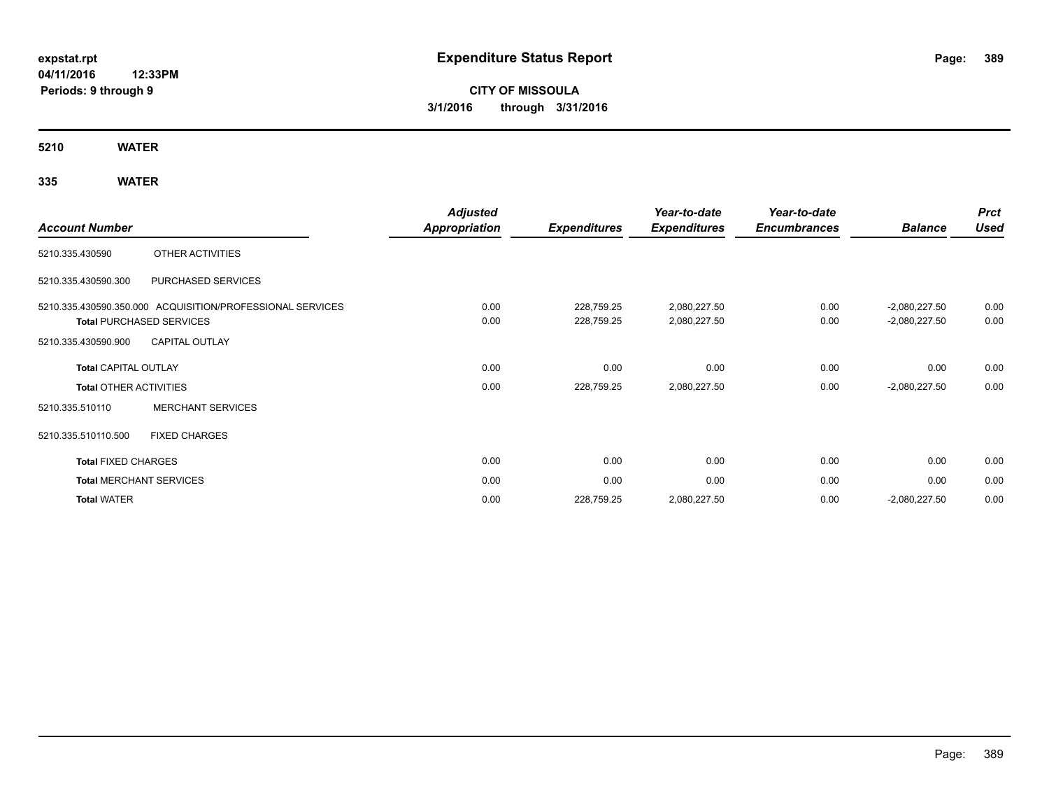# **CITY OF MISSOULA 3/1/2016 through 3/31/2016**

**5210 WATER**

|                               |                                                           | <b>Adjusted</b>      |                     | Year-to-date        | Year-to-date        |                 | <b>Prct</b> |
|-------------------------------|-----------------------------------------------------------|----------------------|---------------------|---------------------|---------------------|-----------------|-------------|
| <b>Account Number</b>         |                                                           | <b>Appropriation</b> | <b>Expenditures</b> | <b>Expenditures</b> | <b>Encumbrances</b> | <b>Balance</b>  | <b>Used</b> |
| 5210.335.430590               | OTHER ACTIVITIES                                          |                      |                     |                     |                     |                 |             |
| 5210.335.430590.300           | PURCHASED SERVICES                                        |                      |                     |                     |                     |                 |             |
|                               | 5210.335.430590.350.000 ACQUISITION/PROFESSIONAL SERVICES | 0.00                 | 228,759.25          | 2,080,227.50        | 0.00                | $-2,080,227.50$ | 0.00        |
|                               | <b>Total PURCHASED SERVICES</b>                           | 0.00                 | 228,759.25          | 2,080,227.50        | 0.00                | $-2,080,227.50$ | 0.00        |
| 5210.335.430590.900           | <b>CAPITAL OUTLAY</b>                                     |                      |                     |                     |                     |                 |             |
| <b>Total CAPITAL OUTLAY</b>   |                                                           | 0.00                 | 0.00                | 0.00                | 0.00                | 0.00            | 0.00        |
| <b>Total OTHER ACTIVITIES</b> |                                                           | 0.00                 | 228,759.25          | 2,080,227.50        | 0.00                | $-2,080,227.50$ | 0.00        |
| 5210.335.510110               | <b>MERCHANT SERVICES</b>                                  |                      |                     |                     |                     |                 |             |
| 5210.335.510110.500           | <b>FIXED CHARGES</b>                                      |                      |                     |                     |                     |                 |             |
| <b>Total FIXED CHARGES</b>    |                                                           | 0.00                 | 0.00                | 0.00                | 0.00                | 0.00            | 0.00        |
|                               | <b>Total MERCHANT SERVICES</b>                            | 0.00                 | 0.00                | 0.00                | 0.00                | 0.00            | 0.00        |
| <b>Total WATER</b>            |                                                           | 0.00                 | 228,759.25          | 2,080,227.50        | 0.00                | $-2,080,227.50$ | 0.00        |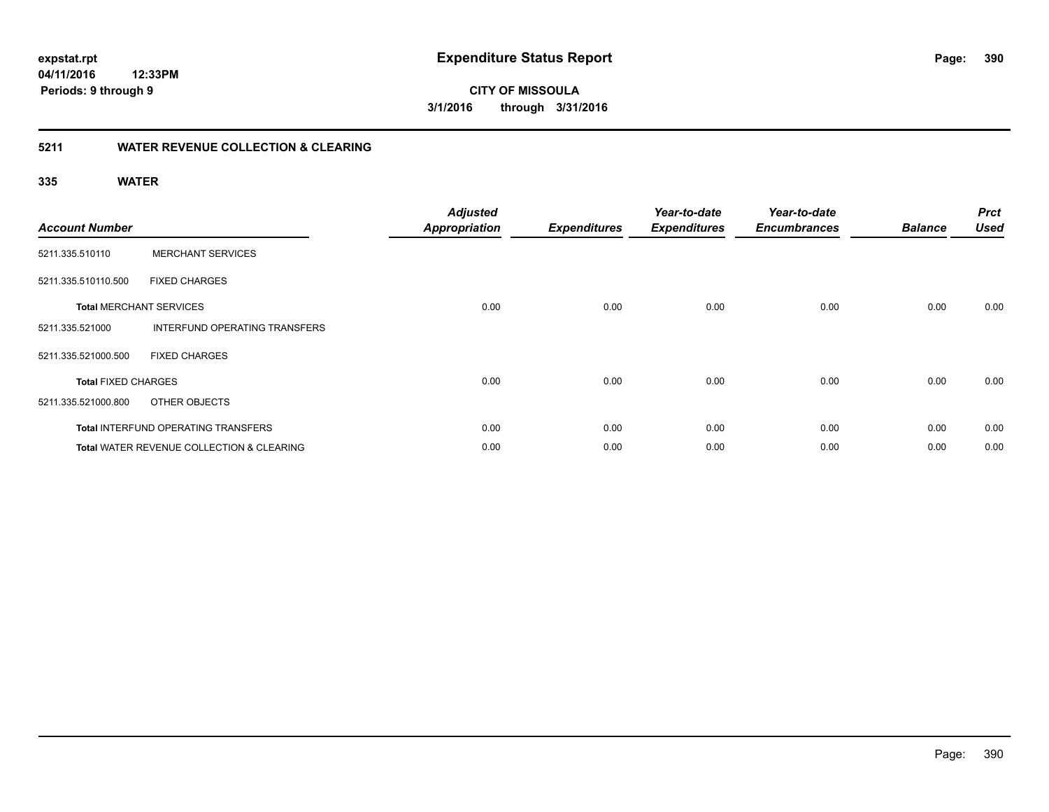**CITY OF MISSOULA 3/1/2016 through 3/31/2016**

# **5211 WATER REVENUE COLLECTION & CLEARING**

| <b>Account Number</b>      |                                                      | <b>Adjusted</b><br><b>Appropriation</b> | <b>Expenditures</b> | Year-to-date<br><b>Expenditures</b> | Year-to-date<br><b>Encumbrances</b> | <b>Balance</b> | <b>Prct</b><br><b>Used</b> |
|----------------------------|------------------------------------------------------|-----------------------------------------|---------------------|-------------------------------------|-------------------------------------|----------------|----------------------------|
| 5211.335.510110            | <b>MERCHANT SERVICES</b>                             |                                         |                     |                                     |                                     |                |                            |
| 5211.335.510110.500        | <b>FIXED CHARGES</b>                                 |                                         |                     |                                     |                                     |                |                            |
|                            | <b>Total MERCHANT SERVICES</b>                       | 0.00                                    | 0.00                | 0.00                                | 0.00                                | 0.00           | 0.00                       |
| 5211.335.521000            | <b>INTERFUND OPERATING TRANSFERS</b>                 |                                         |                     |                                     |                                     |                |                            |
| 5211.335.521000.500        | <b>FIXED CHARGES</b>                                 |                                         |                     |                                     |                                     |                |                            |
| <b>Total FIXED CHARGES</b> |                                                      | 0.00                                    | 0.00                | 0.00                                | 0.00                                | 0.00           | 0.00                       |
| 5211.335.521000.800        | OTHER OBJECTS                                        |                                         |                     |                                     |                                     |                |                            |
|                            | <b>Total INTERFUND OPERATING TRANSFERS</b>           | 0.00                                    | 0.00                | 0.00                                | 0.00                                | 0.00           | 0.00                       |
|                            | <b>Total WATER REVENUE COLLECTION &amp; CLEARING</b> | 0.00                                    | 0.00                | 0.00                                | 0.00                                | 0.00           | 0.00                       |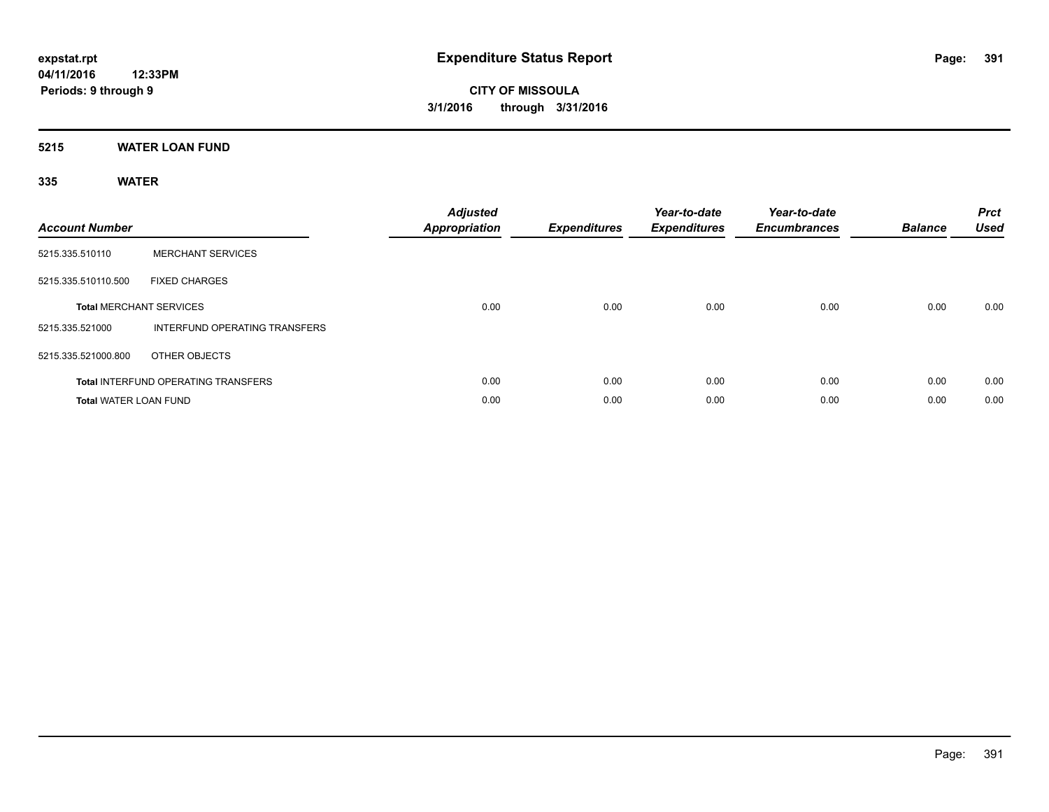# **5215 WATER LOAN FUND**

| <b>Account Number</b>        |                                            | <b>Adjusted</b><br>Appropriation | <b>Expenditures</b> | Year-to-date<br><b>Expenditures</b> | Year-to-date<br><b>Encumbrances</b> | <b>Balance</b> | <b>Prct</b><br><b>Used</b> |
|------------------------------|--------------------------------------------|----------------------------------|---------------------|-------------------------------------|-------------------------------------|----------------|----------------------------|
| 5215.335.510110              | <b>MERCHANT SERVICES</b>                   |                                  |                     |                                     |                                     |                |                            |
| 5215.335.510110.500          | <b>FIXED CHARGES</b>                       |                                  |                     |                                     |                                     |                |                            |
|                              | <b>Total MERCHANT SERVICES</b>             | 0.00                             | 0.00                | 0.00                                | 0.00                                | 0.00           | 0.00                       |
| 5215.335.521000              | INTERFUND OPERATING TRANSFERS              |                                  |                     |                                     |                                     |                |                            |
| 5215.335.521000.800          | OTHER OBJECTS                              |                                  |                     |                                     |                                     |                |                            |
|                              | <b>Total INTERFUND OPERATING TRANSFERS</b> | 0.00                             | 0.00                | 0.00                                | 0.00                                | 0.00           | 0.00                       |
| <b>Total WATER LOAN FUND</b> |                                            | 0.00                             | 0.00                | 0.00                                | 0.00                                | 0.00           | 0.00                       |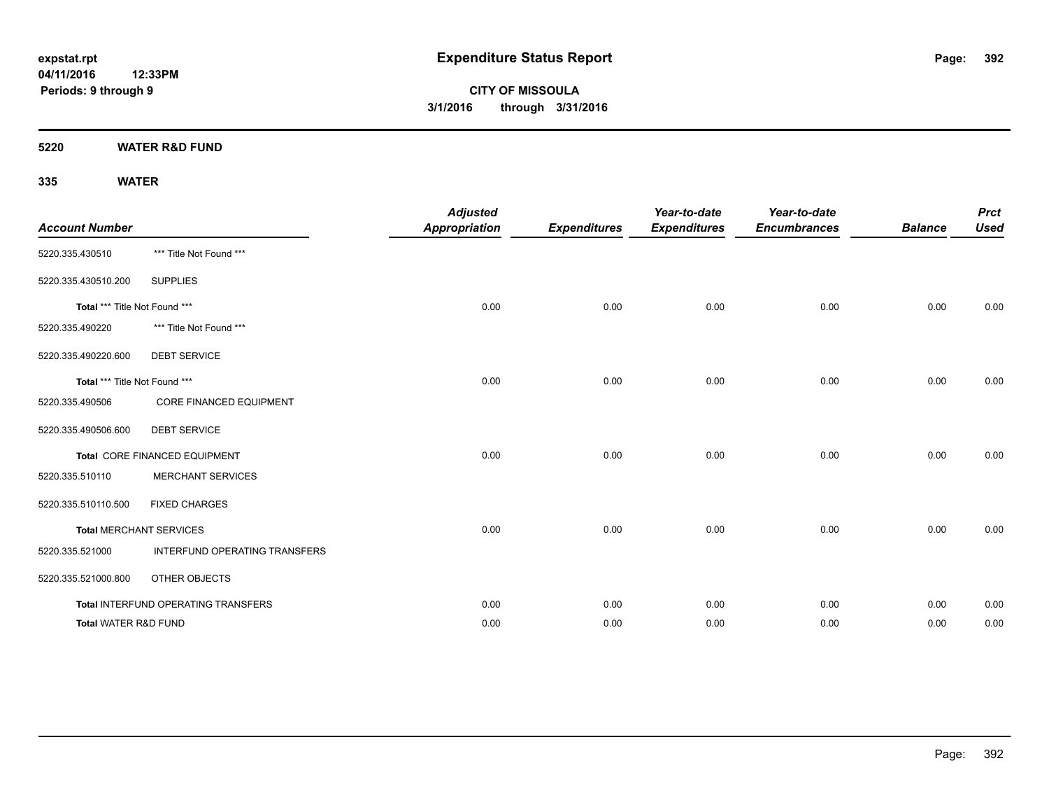**5220 WATER R&D FUND**

| <b>Account Number</b>           |                                     | <b>Adjusted</b><br><b>Appropriation</b> | <b>Expenditures</b> | Year-to-date<br><b>Expenditures</b> | Year-to-date<br><b>Encumbrances</b> | <b>Balance</b> | <b>Prct</b><br><b>Used</b> |
|---------------------------------|-------------------------------------|-----------------------------------------|---------------------|-------------------------------------|-------------------------------------|----------------|----------------------------|
| 5220.335.430510                 | *** Title Not Found ***             |                                         |                     |                                     |                                     |                |                            |
| 5220.335.430510.200             | <b>SUPPLIES</b>                     |                                         |                     |                                     |                                     |                |                            |
| Total *** Title Not Found ***   |                                     | 0.00                                    | 0.00                | 0.00                                | 0.00                                | 0.00           | 0.00                       |
| 5220.335.490220                 | *** Title Not Found ***             |                                         |                     |                                     |                                     |                |                            |
| 5220.335.490220.600             | <b>DEBT SERVICE</b>                 |                                         |                     |                                     |                                     |                |                            |
| Total *** Title Not Found ***   |                                     | 0.00                                    | 0.00                | 0.00                                | 0.00                                | 0.00           | 0.00                       |
| 5220.335.490506                 | <b>CORE FINANCED EQUIPMENT</b>      |                                         |                     |                                     |                                     |                |                            |
| 5220.335.490506.600             | <b>DEBT SERVICE</b>                 |                                         |                     |                                     |                                     |                |                            |
|                                 | Total CORE FINANCED EQUIPMENT       | 0.00                                    | 0.00                | 0.00                                | 0.00                                | 0.00           | 0.00                       |
| 5220.335.510110                 | <b>MERCHANT SERVICES</b>            |                                         |                     |                                     |                                     |                |                            |
| 5220.335.510110.500             | <b>FIXED CHARGES</b>                |                                         |                     |                                     |                                     |                |                            |
|                                 | <b>Total MERCHANT SERVICES</b>      | 0.00                                    | 0.00                | 0.00                                | 0.00                                | 0.00           | 0.00                       |
| 5220.335.521000                 | INTERFUND OPERATING TRANSFERS       |                                         |                     |                                     |                                     |                |                            |
| 5220.335.521000.800             | OTHER OBJECTS                       |                                         |                     |                                     |                                     |                |                            |
|                                 | Total INTERFUND OPERATING TRANSFERS | 0.00                                    | 0.00                | 0.00                                | 0.00                                | 0.00           | 0.00                       |
| <b>Total WATER R&amp;D FUND</b> |                                     | 0.00                                    | 0.00                | 0.00                                | 0.00                                | 0.00           | 0.00                       |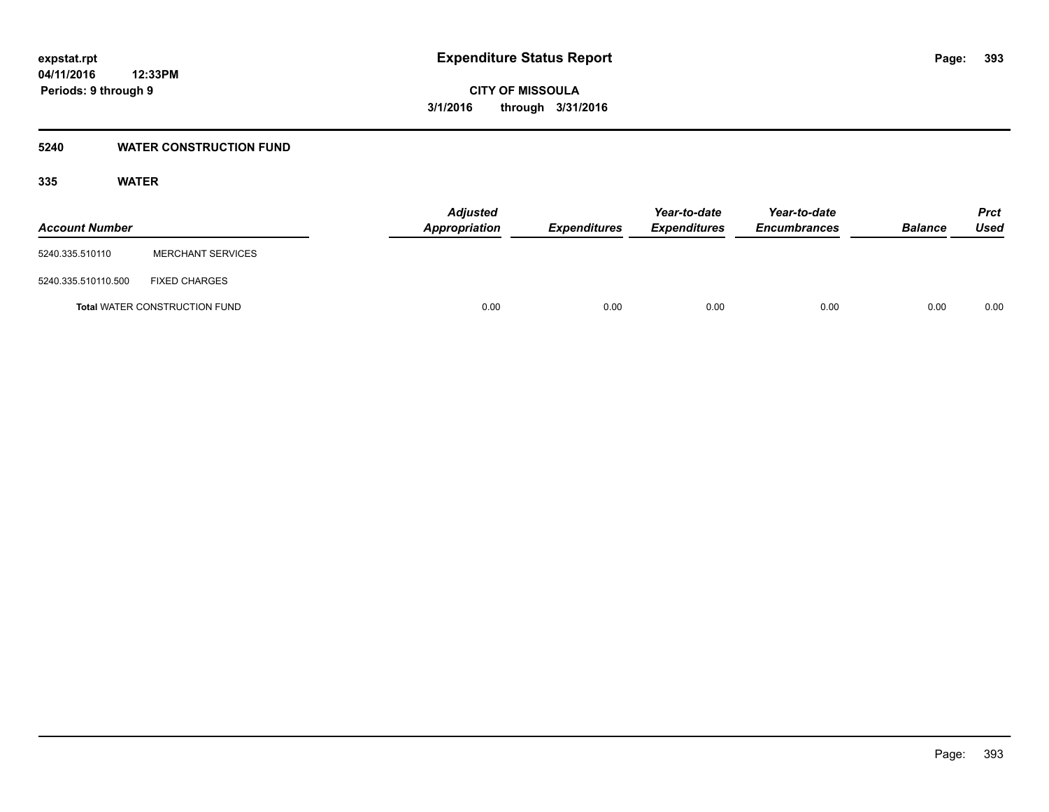# **5240 WATER CONSTRUCTION FUND**

| <b>Account Number</b> |                                      | <b>Adjusted</b><br>Appropriation | <b>Expenditures</b> | Year-to-date<br><b>Expenditures</b> | Year-to-date<br><b>Encumbrances</b> | <b>Balance</b> | Prct<br><b>Used</b> |
|-----------------------|--------------------------------------|----------------------------------|---------------------|-------------------------------------|-------------------------------------|----------------|---------------------|
| 5240.335.510110       | <b>MERCHANT SERVICES</b>             |                                  |                     |                                     |                                     |                |                     |
| 5240.335.510110.500   | <b>FIXED CHARGES</b>                 |                                  |                     |                                     |                                     |                |                     |
|                       | <b>Total WATER CONSTRUCTION FUND</b> | 0.00                             | 0.00                | 0.00                                | 0.00                                | 0.00           | 0.00                |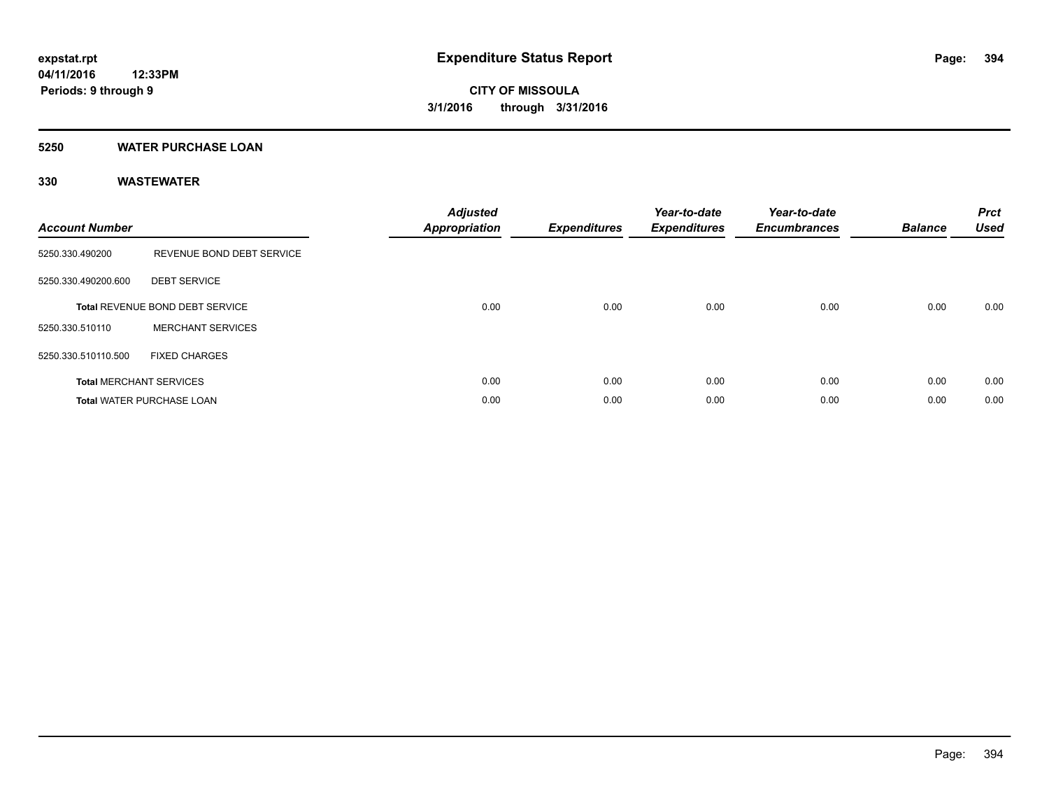# **5250 WATER PURCHASE LOAN**

# **330 WASTEWATER**

| <b>Account Number</b> |                                  | <b>Adjusted</b><br>Appropriation | <b>Expenditures</b> | Year-to-date<br><b>Expenditures</b> | Year-to-date<br><b>Encumbrances</b> | <b>Balance</b> | <b>Prct</b><br><b>Used</b> |
|-----------------------|----------------------------------|----------------------------------|---------------------|-------------------------------------|-------------------------------------|----------------|----------------------------|
| 5250.330.490200       | REVENUE BOND DEBT SERVICE        |                                  |                     |                                     |                                     |                |                            |
| 5250.330.490200.600   | <b>DEBT SERVICE</b>              |                                  |                     |                                     |                                     |                |                            |
|                       | Total REVENUE BOND DEBT SERVICE  | 0.00                             | 0.00                | 0.00                                | 0.00                                | 0.00           | 0.00                       |
| 5250.330.510110       | <b>MERCHANT SERVICES</b>         |                                  |                     |                                     |                                     |                |                            |
| 5250.330.510110.500   | <b>FIXED CHARGES</b>             |                                  |                     |                                     |                                     |                |                            |
|                       | <b>Total MERCHANT SERVICES</b>   | 0.00                             | 0.00                | 0.00                                | 0.00                                | 0.00           | 0.00                       |
|                       | <b>Total WATER PURCHASE LOAN</b> | 0.00                             | 0.00                | 0.00                                | 0.00                                | 0.00           | 0.00                       |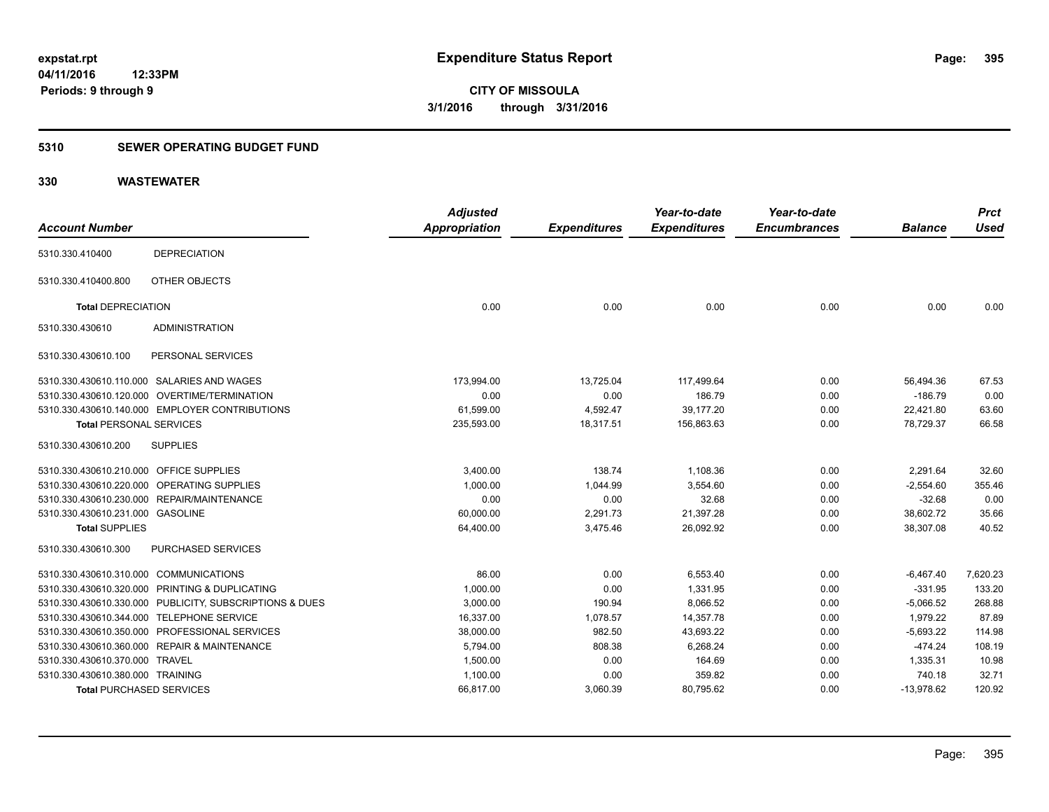# **5310 SEWER OPERATING BUDGET FUND**

# **330 WASTEWATER**

| <b>Account Number</b>                   |                                                         | <b>Adjusted</b><br><b>Appropriation</b> | <b>Expenditures</b> | Year-to-date<br><b>Expenditures</b> | Year-to-date<br><b>Encumbrances</b> | <b>Balance</b> | <b>Prct</b><br><b>Used</b> |
|-----------------------------------------|---------------------------------------------------------|-----------------------------------------|---------------------|-------------------------------------|-------------------------------------|----------------|----------------------------|
|                                         |                                                         |                                         |                     |                                     |                                     |                |                            |
| 5310.330.410400                         | <b>DEPRECIATION</b>                                     |                                         |                     |                                     |                                     |                |                            |
| 5310.330.410400.800                     | OTHER OBJECTS                                           |                                         |                     |                                     |                                     |                |                            |
| <b>Total DEPRECIATION</b>               |                                                         | 0.00                                    | 0.00                | 0.00                                | 0.00                                | 0.00           | 0.00                       |
| 5310.330.430610                         | <b>ADMINISTRATION</b>                                   |                                         |                     |                                     |                                     |                |                            |
| 5310.330.430610.100                     | PERSONAL SERVICES                                       |                                         |                     |                                     |                                     |                |                            |
|                                         | 5310.330.430610.110.000 SALARIES AND WAGES              | 173,994.00                              | 13,725.04           | 117,499.64                          | 0.00                                | 56,494.36      | 67.53                      |
|                                         | 5310.330.430610.120.000 OVERTIME/TERMINATION            | 0.00                                    | 0.00                | 186.79                              | 0.00                                | $-186.79$      | 0.00                       |
|                                         | 5310.330.430610.140.000 EMPLOYER CONTRIBUTIONS          | 61,599.00                               | 4,592.47            | 39,177.20                           | 0.00                                | 22,421.80      | 63.60                      |
| <b>Total PERSONAL SERVICES</b>          |                                                         | 235,593.00                              | 18,317.51           | 156,863.63                          | 0.00                                | 78,729.37      | 66.58                      |
| 5310.330.430610.200                     | <b>SUPPLIES</b>                                         |                                         |                     |                                     |                                     |                |                            |
| 5310.330.430610.210.000 OFFICE SUPPLIES |                                                         | 3,400.00                                | 138.74              | 1,108.36                            | 0.00                                | 2,291.64       | 32.60                      |
|                                         | 5310.330.430610.220.000 OPERATING SUPPLIES              | 1,000.00                                | 1,044.99            | 3,554.60                            | 0.00                                | $-2,554.60$    | 355.46                     |
|                                         | 5310.330.430610.230.000 REPAIR/MAINTENANCE              | 0.00                                    | 0.00                | 32.68                               | 0.00                                | $-32.68$       | 0.00                       |
| 5310.330.430610.231.000 GASOLINE        |                                                         | 60,000.00                               | 2,291.73            | 21,397.28                           | 0.00                                | 38,602.72      | 35.66                      |
| <b>Total SUPPLIES</b>                   |                                                         | 64,400.00                               | 3,475.46            | 26,092.92                           | 0.00                                | 38,307.08      | 40.52                      |
| 5310.330.430610.300                     | PURCHASED SERVICES                                      |                                         |                     |                                     |                                     |                |                            |
| 5310.330.430610.310.000 COMMUNICATIONS  |                                                         | 86.00                                   | 0.00                | 6,553.40                            | 0.00                                | $-6,467.40$    | 7,620.23                   |
|                                         | 5310.330.430610.320.000 PRINTING & DUPLICATING          | 1,000.00                                | 0.00                | 1,331.95                            | 0.00                                | $-331.95$      | 133.20                     |
|                                         | 5310.330.430610.330.000 PUBLICITY, SUBSCRIPTIONS & DUES | 3,000.00                                | 190.94              | 8,066.52                            | 0.00                                | $-5,066.52$    | 268.88                     |
|                                         | 5310.330.430610.344.000 TELEPHONE SERVICE               | 16,337.00                               | 1,078.57            | 14,357.78                           | 0.00                                | 1,979.22       | 87.89                      |
|                                         | 5310.330.430610.350.000 PROFESSIONAL SERVICES           | 38,000.00                               | 982.50              | 43,693.22                           | 0.00                                | $-5,693.22$    | 114.98                     |
|                                         | 5310.330.430610.360.000 REPAIR & MAINTENANCE            | 5,794.00                                | 808.38              | 6,268.24                            | 0.00                                | $-474.24$      | 108.19                     |
| 5310.330.430610.370.000 TRAVEL          |                                                         | 1,500.00                                | 0.00                | 164.69                              | 0.00                                | 1,335.31       | 10.98                      |
| 5310.330.430610.380.000 TRAINING        |                                                         | 1,100.00                                | 0.00                | 359.82                              | 0.00                                | 740.18         | 32.71                      |
| <b>Total PURCHASED SERVICES</b>         |                                                         | 66,817.00                               | 3,060.39            | 80,795.62                           | 0.00                                | $-13,978.62$   | 120.92                     |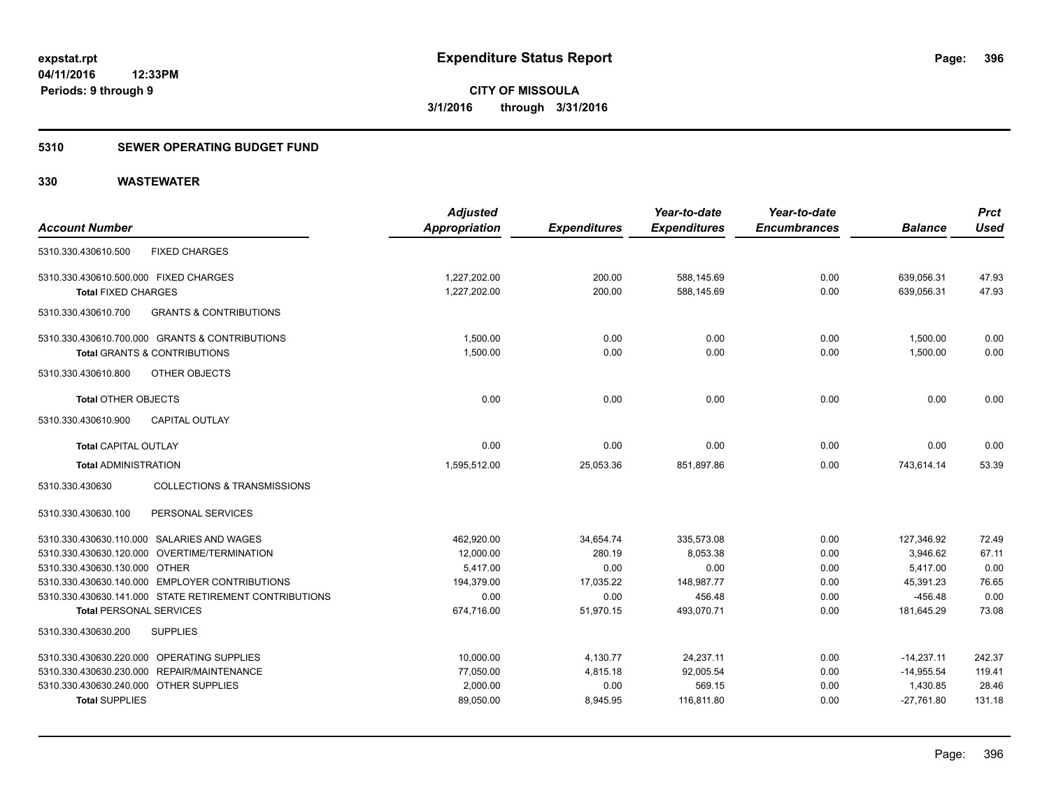# **5310 SEWER OPERATING BUDGET FUND**

# **330 WASTEWATER**

|                                            |                                                        | <b>Adjusted</b> |                     | Year-to-date        | Year-to-date        |                | <b>Prct</b> |
|--------------------------------------------|--------------------------------------------------------|-----------------|---------------------|---------------------|---------------------|----------------|-------------|
| <b>Account Number</b>                      |                                                        | Appropriation   | <b>Expenditures</b> | <b>Expenditures</b> | <b>Encumbrances</b> | <b>Balance</b> | <b>Used</b> |
| 5310.330.430610.500                        | <b>FIXED CHARGES</b>                                   |                 |                     |                     |                     |                |             |
| 5310.330.430610.500.000 FIXED CHARGES      |                                                        | 1,227,202.00    | 200.00              | 588,145.69          | 0.00                | 639,056.31     | 47.93       |
| <b>Total FIXED CHARGES</b>                 |                                                        | 1,227,202.00    | 200.00              | 588,145.69          | 0.00                | 639,056.31     | 47.93       |
| 5310.330.430610.700                        | <b>GRANTS &amp; CONTRIBUTIONS</b>                      |                 |                     |                     |                     |                |             |
|                                            | 5310.330.430610.700.000 GRANTS & CONTRIBUTIONS         | 1,500.00        | 0.00                | 0.00                | 0.00                | 1,500.00       | 0.00        |
|                                            | <b>Total GRANTS &amp; CONTRIBUTIONS</b>                | 1,500.00        | 0.00                | 0.00                | 0.00                | 1.500.00       | 0.00        |
| 5310.330.430610.800                        | <b>OTHER OBJECTS</b>                                   |                 |                     |                     |                     |                |             |
| <b>Total OTHER OBJECTS</b>                 |                                                        | 0.00            | 0.00                | 0.00                | 0.00                | 0.00           | 0.00        |
| 5310.330.430610.900                        | <b>CAPITAL OUTLAY</b>                                  |                 |                     |                     |                     |                |             |
| <b>Total CAPITAL OUTLAY</b>                |                                                        | 0.00            | 0.00                | 0.00                | 0.00                | 0.00           | 0.00        |
| <b>Total ADMINISTRATION</b>                |                                                        | 1,595,512.00    | 25,053.36           | 851,897.86          | 0.00                | 743,614.14     | 53.39       |
| 5310.330.430630                            | <b>COLLECTIONS &amp; TRANSMISSIONS</b>                 |                 |                     |                     |                     |                |             |
| 5310.330.430630.100                        | PERSONAL SERVICES                                      |                 |                     |                     |                     |                |             |
|                                            | 5310.330.430630.110.000 SALARIES AND WAGES             | 462,920.00      | 34,654.74           | 335,573.08          | 0.00                | 127,346.92     | 72.49       |
|                                            | 5310.330.430630.120.000 OVERTIME/TERMINATION           | 12,000.00       | 280.19              | 8,053.38            | 0.00                | 3,946.62       | 67.11       |
| 5310.330.430630.130.000 OTHER              |                                                        | 5,417.00        | 0.00                | 0.00                | 0.00                | 5,417.00       | 0.00        |
|                                            | 5310.330.430630.140.000 EMPLOYER CONTRIBUTIONS         | 194,379.00      | 17,035.22           | 148,987.77          | 0.00                | 45,391.23      | 76.65       |
|                                            | 5310.330.430630.141.000 STATE RETIREMENT CONTRIBUTIONS | 0.00            | 0.00                | 456.48              | 0.00                | $-456.48$      | 0.00        |
| <b>Total PERSONAL SERVICES</b>             |                                                        | 674,716.00      | 51,970.15           | 493,070.71          | 0.00                | 181.645.29     | 73.08       |
| 5310.330.430630.200                        | <b>SUPPLIES</b>                                        |                 |                     |                     |                     |                |             |
| 5310.330.430630.220.000 OPERATING SUPPLIES |                                                        | 10,000.00       | 4,130.77            | 24,237.11           | 0.00                | $-14,237.11$   | 242.37      |
|                                            | 5310.330.430630.230.000 REPAIR/MAINTENANCE             | 77,050.00       | 4,815.18            | 92,005.54           | 0.00                | $-14,955.54$   | 119.41      |
| 5310.330.430630.240.000 OTHER SUPPLIES     |                                                        | 2,000.00        | 0.00                | 569.15              | 0.00                | 1,430.85       | 28.46       |
| <b>Total SUPPLIES</b>                      |                                                        | 89,050.00       | 8,945.95            | 116,811.80          | 0.00                | $-27,761.80$   | 131.18      |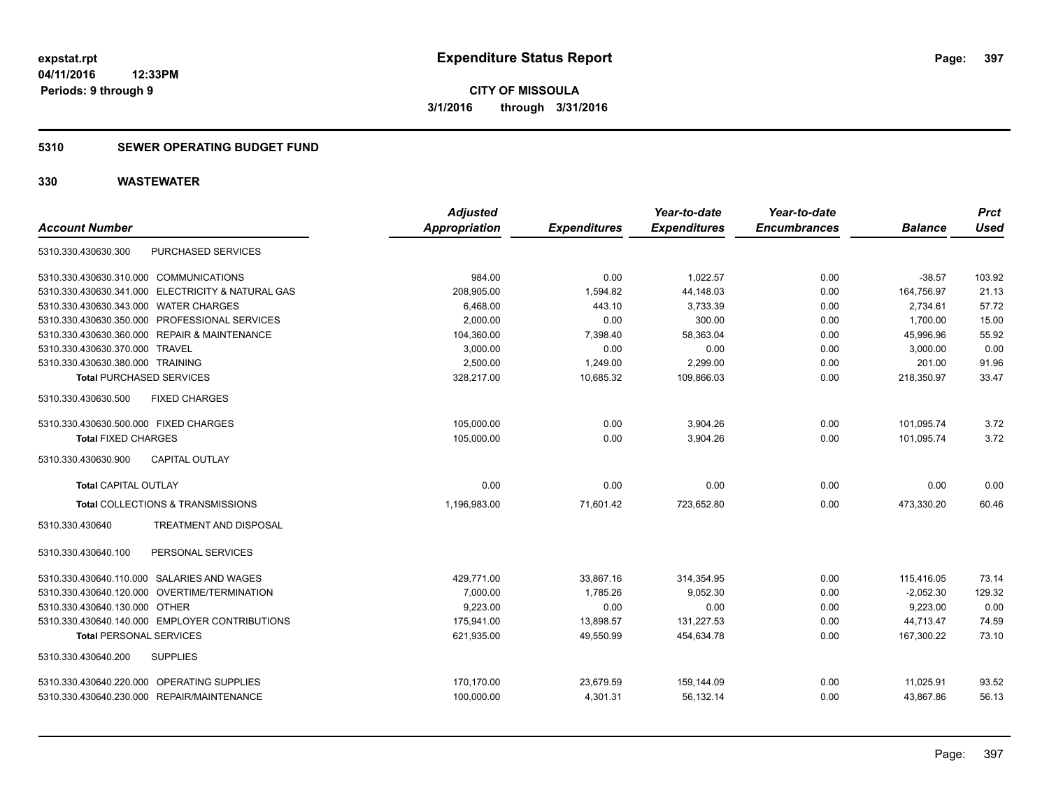#### **5310 SEWER OPERATING BUDGET FUND**

| <b>Account Number</b>                             | <b>Adjusted</b><br><b>Appropriation</b> | <b>Expenditures</b> | Year-to-date<br><b>Expenditures</b> | Year-to-date<br><b>Encumbrances</b> | <b>Balance</b> | <b>Prct</b><br><b>Used</b> |
|---------------------------------------------------|-----------------------------------------|---------------------|-------------------------------------|-------------------------------------|----------------|----------------------------|
| PURCHASED SERVICES<br>5310.330.430630.300         |                                         |                     |                                     |                                     |                |                            |
| 5310.330.430630.310.000 COMMUNICATIONS            | 984.00                                  | 0.00                | 1,022.57                            | 0.00                                | $-38.57$       | 103.92                     |
| 5310.330.430630.341.000 ELECTRICITY & NATURAL GAS | 208,905.00                              | 1,594.82            | 44,148.03                           | 0.00                                | 164,756.97     | 21.13                      |
| 5310.330.430630.343.000 WATER CHARGES             | 6,468.00                                | 443.10              | 3,733.39                            | 0.00                                | 2,734.61       | 57.72                      |
| 5310.330.430630.350.000 PROFESSIONAL SERVICES     | 2,000.00                                | 0.00                | 300.00                              | 0.00                                | 1,700.00       | 15.00                      |
| 5310.330.430630.360.000 REPAIR & MAINTENANCE      | 104,360.00                              | 7,398.40            | 58,363.04                           | 0.00                                | 45,996.96      | 55.92                      |
| 5310.330.430630.370.000 TRAVEL                    | 3,000.00                                | 0.00                | 0.00                                | 0.00                                | 3,000.00       | 0.00                       |
| 5310.330.430630.380.000 TRAINING                  | 2.500.00                                | 1,249.00            | 2,299.00                            | 0.00                                | 201.00         | 91.96                      |
| <b>Total PURCHASED SERVICES</b>                   | 328,217.00                              | 10,685.32           | 109,866.03                          | 0.00                                | 218,350.97     | 33.47                      |
| <b>FIXED CHARGES</b><br>5310.330.430630.500       |                                         |                     |                                     |                                     |                |                            |
| 5310.330.430630.500.000 FIXED CHARGES             | 105,000.00                              | 0.00                | 3,904.26                            | 0.00                                | 101,095.74     | 3.72                       |
| <b>Total FIXED CHARGES</b>                        | 105.000.00                              | 0.00                | 3.904.26                            | 0.00                                | 101.095.74     | 3.72                       |
| <b>CAPITAL OUTLAY</b><br>5310.330.430630.900      |                                         |                     |                                     |                                     |                |                            |
| <b>Total CAPITAL OUTLAY</b>                       | 0.00                                    | 0.00                | 0.00                                | 0.00                                | 0.00           | 0.00                       |
| Total COLLECTIONS & TRANSMISSIONS                 | 1,196,983.00                            | 71,601.42           | 723,652.80                          | 0.00                                | 473,330.20     | 60.46                      |
| 5310.330.430640<br><b>TREATMENT AND DISPOSAL</b>  |                                         |                     |                                     |                                     |                |                            |
| PERSONAL SERVICES<br>5310.330.430640.100          |                                         |                     |                                     |                                     |                |                            |
| 5310.330.430640.110.000 SALARIES AND WAGES        | 429,771.00                              | 33,867.16           | 314,354.95                          | 0.00                                | 115,416.05     | 73.14                      |
| 5310.330.430640.120.000 OVERTIME/TERMINATION      | 7,000.00                                | 1,785.26            | 9,052.30                            | 0.00                                | $-2,052.30$    | 129.32                     |
| 5310.330.430640.130.000 OTHER                     | 9,223.00                                | 0.00                | 0.00                                | 0.00                                | 9,223.00       | 0.00                       |
| 5310.330.430640.140.000 EMPLOYER CONTRIBUTIONS    | 175,941.00                              | 13,898.57           | 131,227.53                          | 0.00                                | 44,713.47      | 74.59                      |
| <b>Total PERSONAL SERVICES</b>                    | 621,935.00                              | 49,550.99           | 454,634.78                          | 0.00                                | 167,300.22     | 73.10                      |
| 5310.330.430640.200<br><b>SUPPLIES</b>            |                                         |                     |                                     |                                     |                |                            |
| 5310.330.430640.220.000 OPERATING SUPPLIES        | 170,170.00                              | 23,679.59           | 159,144.09                          | 0.00                                | 11,025.91      | 93.52                      |
| 5310.330.430640.230.000 REPAIR/MAINTENANCE        | 100,000.00                              | 4,301.31            | 56,132.14                           | 0.00                                | 43,867.86      | 56.13                      |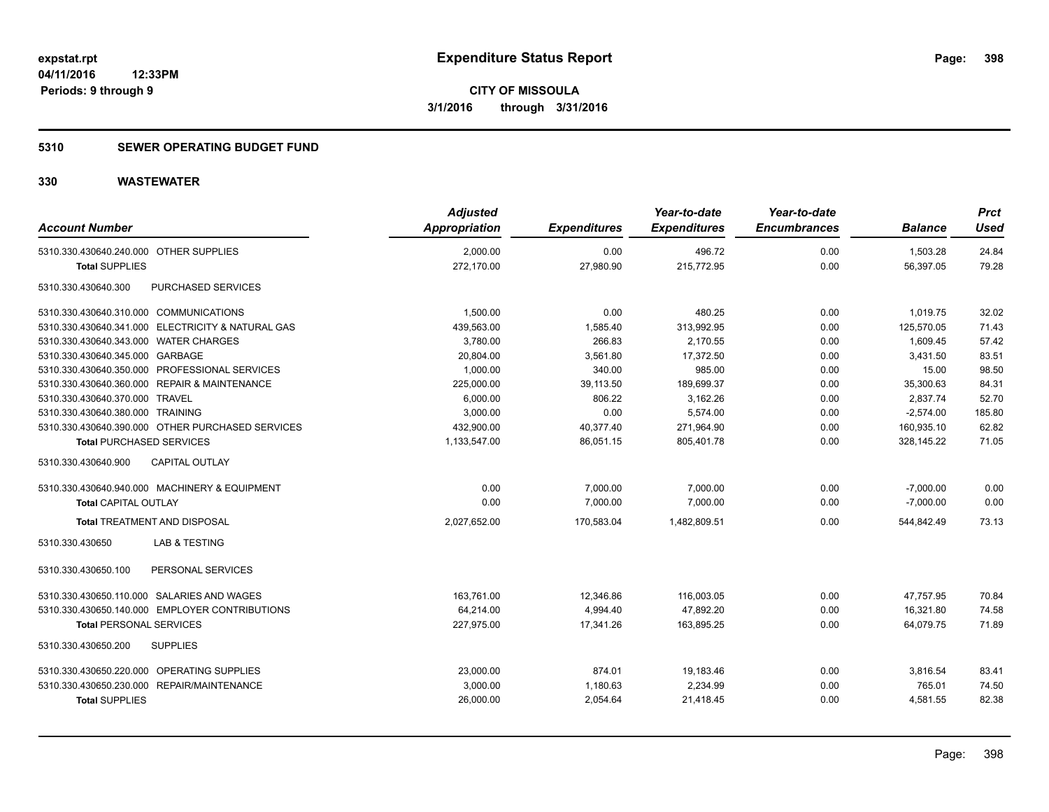### **5310 SEWER OPERATING BUDGET FUND**

| <b>Account Number</b>                             | <b>Adjusted</b><br><b>Appropriation</b> | <b>Expenditures</b> | Year-to-date<br><b>Expenditures</b> | Year-to-date<br><b>Encumbrances</b> | <b>Balance</b> | <b>Prct</b><br><b>Used</b> |
|---------------------------------------------------|-----------------------------------------|---------------------|-------------------------------------|-------------------------------------|----------------|----------------------------|
| 5310.330.430640.240.000 OTHER SUPPLIES            | 2,000.00                                | 0.00                | 496.72                              | 0.00                                | 1,503.28       | 24.84                      |
| <b>Total SUPPLIES</b>                             | 272,170.00                              | 27,980.90           | 215,772.95                          | 0.00                                | 56,397.05      | 79.28                      |
| PURCHASED SERVICES<br>5310.330.430640.300         |                                         |                     |                                     |                                     |                |                            |
| 5310.330.430640.310.000 COMMUNICATIONS            | 1,500.00                                | 0.00                | 480.25                              | 0.00                                | 1,019.75       | 32.02                      |
| 5310.330.430640.341.000 ELECTRICITY & NATURAL GAS | 439,563.00                              | 1,585.40            | 313,992.95                          | 0.00                                | 125,570.05     | 71.43                      |
| 5310.330.430640.343.000 WATER CHARGES             | 3,780.00                                | 266.83              | 2,170.55                            | 0.00                                | 1,609.45       | 57.42                      |
| 5310.330.430640.345.000 GARBAGE                   | 20,804.00                               | 3,561.80            | 17,372.50                           | 0.00                                | 3,431.50       | 83.51                      |
| 5310.330.430640.350.000 PROFESSIONAL SERVICES     | 1,000.00                                | 340.00              | 985.00                              | 0.00                                | 15.00          | 98.50                      |
| 5310.330.430640.360.000 REPAIR & MAINTENANCE      | 225,000.00                              | 39,113.50           | 189,699.37                          | 0.00                                | 35,300.63      | 84.31                      |
| 5310.330.430640.370.000 TRAVEL                    | 6,000.00                                | 806.22              | 3,162.26                            | 0.00                                | 2,837.74       | 52.70                      |
| 5310.330.430640.380.000 TRAINING                  | 3,000.00                                | 0.00                | 5,574.00                            | 0.00                                | $-2,574.00$    | 185.80                     |
| 5310.330.430640.390.000 OTHER PURCHASED SERVICES  | 432,900.00                              | 40,377.40           | 271,964.90                          | 0.00                                | 160,935.10     | 62.82                      |
| <b>Total PURCHASED SERVICES</b>                   | 1,133,547.00                            | 86,051.15           | 805,401.78                          | 0.00                                | 328,145.22     | 71.05                      |
| CAPITAL OUTLAY<br>5310.330.430640.900             |                                         |                     |                                     |                                     |                |                            |
| 5310.330.430640.940.000 MACHINERY & EQUIPMENT     | 0.00                                    | 7,000.00            | 7,000.00                            | 0.00                                | $-7,000.00$    | 0.00                       |
| <b>Total CAPITAL OUTLAY</b>                       | 0.00                                    | 7,000.00            | 7,000.00                            | 0.00                                | $-7,000.00$    | 0.00                       |
| <b>Total TREATMENT AND DISPOSAL</b>               | 2,027,652.00                            | 170,583.04          | 1,482,809.51                        | 0.00                                | 544,842.49     | 73.13                      |
| <b>LAB &amp; TESTING</b><br>5310.330.430650       |                                         |                     |                                     |                                     |                |                            |
| PERSONAL SERVICES<br>5310.330.430650.100          |                                         |                     |                                     |                                     |                |                            |
| 5310.330.430650.110.000 SALARIES AND WAGES        | 163,761.00                              | 12,346.86           | 116,003.05                          | 0.00                                | 47,757.95      | 70.84                      |
| 5310.330.430650.140.000 EMPLOYER CONTRIBUTIONS    | 64,214.00                               | 4,994.40            | 47,892.20                           | 0.00                                | 16,321.80      | 74.58                      |
| <b>Total PERSONAL SERVICES</b>                    | 227.975.00                              | 17.341.26           | 163.895.25                          | 0.00                                | 64.079.75      | 71.89                      |
| 5310.330.430650.200<br><b>SUPPLIES</b>            |                                         |                     |                                     |                                     |                |                            |
| 5310.330.430650.220.000 OPERATING SUPPLIES        | 23,000.00                               | 874.01              | 19,183.46                           | 0.00                                | 3,816.54       | 83.41                      |
| 5310.330.430650.230.000 REPAIR/MAINTENANCE        | 3,000.00                                | 1,180.63            | 2,234.99                            | 0.00                                | 765.01         | 74.50                      |
| <b>Total SUPPLIES</b>                             | 26,000.00                               | 2,054.64            | 21,418.45                           | 0.00                                | 4,581.55       | 82.38                      |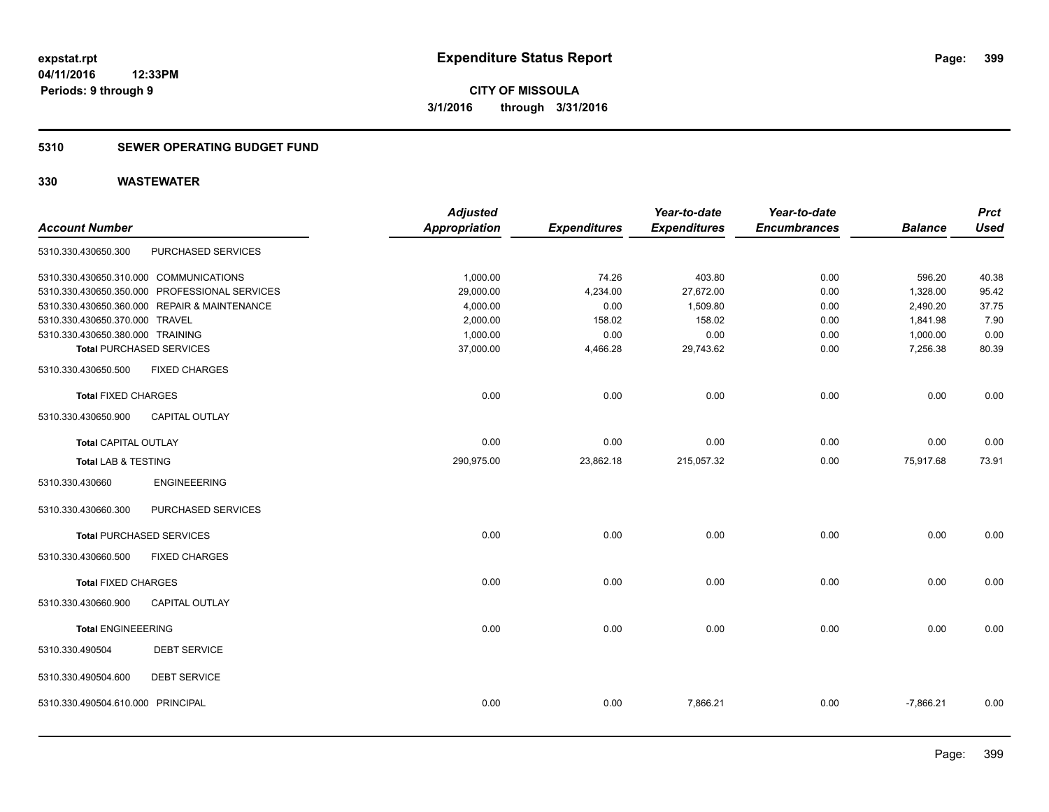#### **5310 SEWER OPERATING BUDGET FUND**

| <b>Account Number</b>             |                                               | <b>Adjusted</b><br><b>Appropriation</b> | <b>Expenditures</b> | Year-to-date<br><b>Expenditures</b> | Year-to-date<br><b>Encumbrances</b> | <b>Balance</b> | <b>Prct</b><br><b>Used</b> |
|-----------------------------------|-----------------------------------------------|-----------------------------------------|---------------------|-------------------------------------|-------------------------------------|----------------|----------------------------|
| 5310.330.430650.300               | PURCHASED SERVICES                            |                                         |                     |                                     |                                     |                |                            |
|                                   | 5310.330.430650.310.000 COMMUNICATIONS        | 1,000.00                                | 74.26               | 403.80                              | 0.00                                | 596.20         | 40.38                      |
|                                   | 5310.330.430650.350.000 PROFESSIONAL SERVICES | 29,000.00                               | 4,234.00            | 27,672.00                           | 0.00                                | 1,328.00       | 95.42                      |
|                                   | 5310.330.430650.360.000 REPAIR & MAINTENANCE  | 4,000.00                                | 0.00                | 1,509.80                            | 0.00                                | 2,490.20       | 37.75                      |
| 5310.330.430650.370.000 TRAVEL    |                                               | 2,000.00                                | 158.02              | 158.02                              | 0.00                                | 1,841.98       | 7.90                       |
| 5310.330.430650.380.000 TRAINING  |                                               | 1,000.00                                | 0.00                | 0.00                                | 0.00                                | 1,000.00       | 0.00                       |
|                                   | <b>Total PURCHASED SERVICES</b>               | 37,000.00                               | 4,466.28            | 29,743.62                           | 0.00                                | 7,256.38       | 80.39                      |
| 5310.330.430650.500               | <b>FIXED CHARGES</b>                          |                                         |                     |                                     |                                     |                |                            |
| <b>Total FIXED CHARGES</b>        |                                               | 0.00                                    | 0.00                | 0.00                                | 0.00                                | 0.00           | 0.00                       |
| 5310.330.430650.900               | <b>CAPITAL OUTLAY</b>                         |                                         |                     |                                     |                                     |                |                            |
| <b>Total CAPITAL OUTLAY</b>       |                                               | 0.00                                    | 0.00                | 0.00                                | 0.00                                | 0.00           | 0.00                       |
| <b>Total LAB &amp; TESTING</b>    |                                               | 290,975.00                              | 23,862.18           | 215,057.32                          | 0.00                                | 75,917.68      | 73.91                      |
| 5310.330.430660                   | <b>ENGINEEERING</b>                           |                                         |                     |                                     |                                     |                |                            |
| 5310.330.430660.300               | PURCHASED SERVICES                            |                                         |                     |                                     |                                     |                |                            |
|                                   | <b>Total PURCHASED SERVICES</b>               | 0.00                                    | 0.00                | 0.00                                | 0.00                                | 0.00           | 0.00                       |
| 5310.330.430660.500               | <b>FIXED CHARGES</b>                          |                                         |                     |                                     |                                     |                |                            |
| <b>Total FIXED CHARGES</b>        |                                               | 0.00                                    | 0.00                | 0.00                                | 0.00                                | 0.00           | 0.00                       |
| 5310.330.430660.900               | <b>CAPITAL OUTLAY</b>                         |                                         |                     |                                     |                                     |                |                            |
| <b>Total ENGINEEERING</b>         |                                               | 0.00                                    | 0.00                | 0.00                                | 0.00                                | 0.00           | 0.00                       |
| 5310.330.490504                   | <b>DEBT SERVICE</b>                           |                                         |                     |                                     |                                     |                |                            |
| 5310.330.490504.600               | <b>DEBT SERVICE</b>                           |                                         |                     |                                     |                                     |                |                            |
| 5310.330.490504.610.000 PRINCIPAL |                                               | 0.00                                    | 0.00                | 7,866.21                            | 0.00                                | $-7,866.21$    | 0.00                       |
|                                   |                                               |                                         |                     |                                     |                                     |                |                            |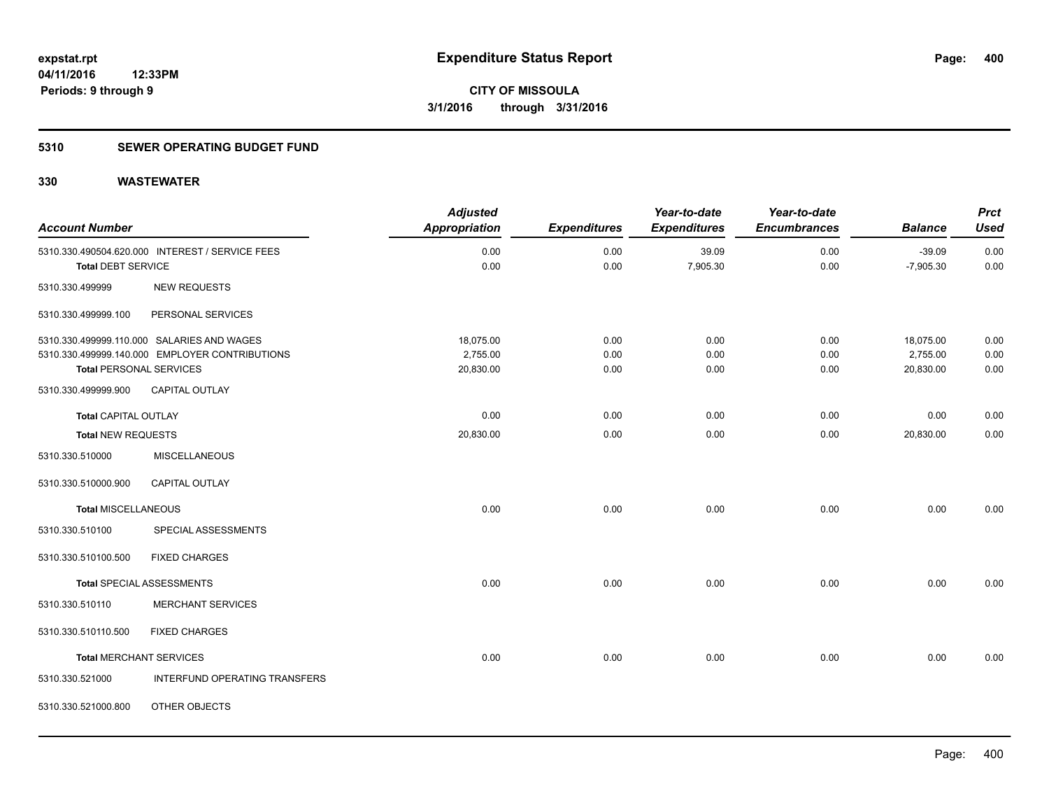### **5310 SEWER OPERATING BUDGET FUND**

| <b>Account Number</b>          |                                                 | <b>Adjusted</b><br><b>Appropriation</b> | <b>Expenditures</b> | Year-to-date<br><b>Expenditures</b> | Year-to-date<br><b>Encumbrances</b> | <b>Balance</b>          | <b>Prct</b><br><b>Used</b> |
|--------------------------------|-------------------------------------------------|-----------------------------------------|---------------------|-------------------------------------|-------------------------------------|-------------------------|----------------------------|
|                                |                                                 |                                         |                     |                                     |                                     |                         |                            |
|                                | 5310.330.490504.620.000 INTEREST / SERVICE FEES | 0.00<br>0.00                            | 0.00<br>0.00        | 39.09<br>7,905.30                   | 0.00<br>0.00                        | $-39.09$<br>$-7,905.30$ | 0.00<br>0.00               |
| <b>Total DEBT SERVICE</b>      |                                                 |                                         |                     |                                     |                                     |                         |                            |
| 5310.330.499999                | <b>NEW REQUESTS</b>                             |                                         |                     |                                     |                                     |                         |                            |
| 5310.330.499999.100            | PERSONAL SERVICES                               |                                         |                     |                                     |                                     |                         |                            |
|                                | 5310.330.499999.110.000 SALARIES AND WAGES      | 18,075.00                               | 0.00                | 0.00                                | 0.00                                | 18,075.00               | 0.00                       |
|                                | 5310.330.499999.140.000 EMPLOYER CONTRIBUTIONS  | 2,755.00                                | 0.00                | 0.00                                | 0.00                                | 2,755.00                | 0.00                       |
| <b>Total PERSONAL SERVICES</b> |                                                 | 20,830.00                               | 0.00                | 0.00                                | 0.00                                | 20,830.00               | 0.00                       |
| 5310.330.499999.900            | <b>CAPITAL OUTLAY</b>                           |                                         |                     |                                     |                                     |                         |                            |
| <b>Total CAPITAL OUTLAY</b>    |                                                 | 0.00                                    | 0.00                | 0.00                                | 0.00                                | 0.00                    | 0.00                       |
| <b>Total NEW REQUESTS</b>      |                                                 | 20,830.00                               | 0.00                | 0.00                                | 0.00                                | 20,830.00               | 0.00                       |
| 5310.330.510000                | <b>MISCELLANEOUS</b>                            |                                         |                     |                                     |                                     |                         |                            |
| 5310.330.510000.900            | <b>CAPITAL OUTLAY</b>                           |                                         |                     |                                     |                                     |                         |                            |
| <b>Total MISCELLANEOUS</b>     |                                                 | 0.00                                    | 0.00                | 0.00                                | 0.00                                | 0.00                    | 0.00                       |
| 5310.330.510100                | SPECIAL ASSESSMENTS                             |                                         |                     |                                     |                                     |                         |                            |
| 5310.330.510100.500            | <b>FIXED CHARGES</b>                            |                                         |                     |                                     |                                     |                         |                            |
|                                | Total SPECIAL ASSESSMENTS                       | 0.00                                    | 0.00                | 0.00                                | 0.00                                | 0.00                    | 0.00                       |
| 5310.330.510110                | <b>MERCHANT SERVICES</b>                        |                                         |                     |                                     |                                     |                         |                            |
| 5310.330.510110.500            | <b>FIXED CHARGES</b>                            |                                         |                     |                                     |                                     |                         |                            |
| <b>Total MERCHANT SERVICES</b> |                                                 | 0.00                                    | 0.00                | 0.00                                | 0.00                                | 0.00                    | 0.00                       |
| 5310.330.521000                | INTERFUND OPERATING TRANSFERS                   |                                         |                     |                                     |                                     |                         |                            |
| 5310.330.521000.800            | OTHER OBJECTS                                   |                                         |                     |                                     |                                     |                         |                            |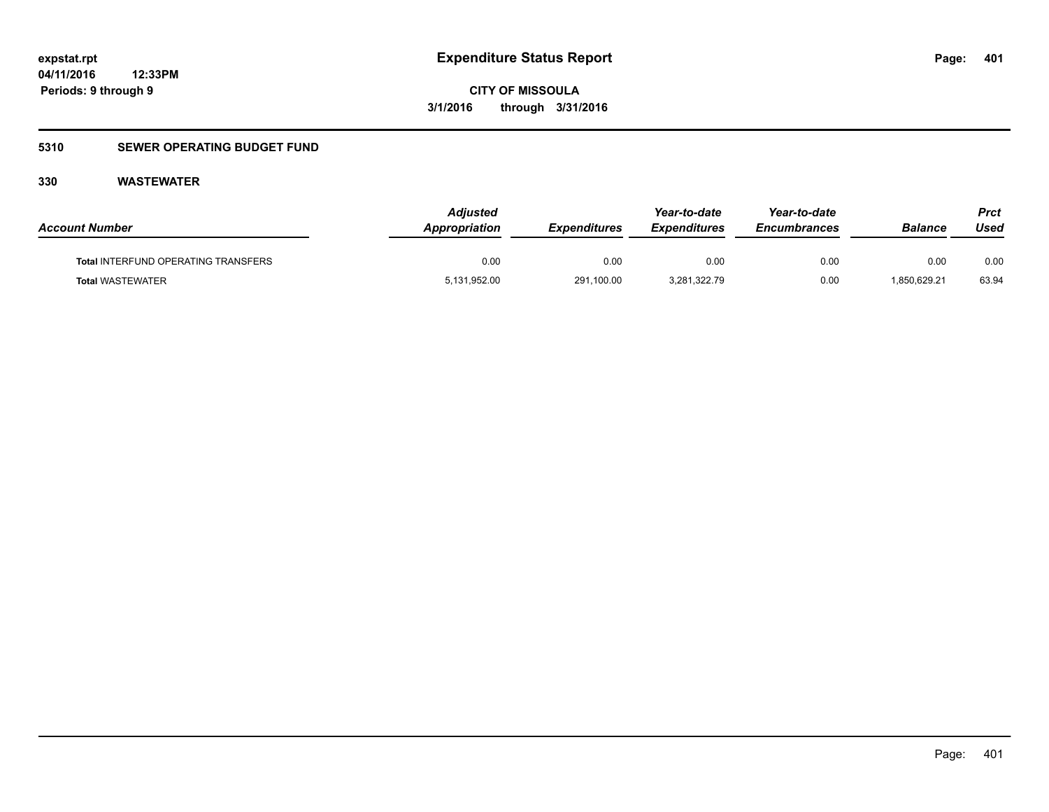**CITY OF MISSOULA 3/1/2016 through 3/31/2016**

### **5310 SEWER OPERATING BUDGET FUND**

| <b>Account Number</b>                      | Adjusted<br>Appropriation | <b>Expenditures</b> | Year-to-date<br><b>Expenditures</b> | Year-to-date<br><b>Encumbrances</b> | <b>Balance</b> | Prct<br>Used |
|--------------------------------------------|---------------------------|---------------------|-------------------------------------|-------------------------------------|----------------|--------------|
| <b>Total INTERFUND OPERATING TRANSFERS</b> | 0.00                      | 0.00                | 0.00                                | 0.00                                | 0.00           | 0.00         |
| <b>Total WASTEWATER</b>                    | 5,131,952.00              | 291,100.00          | 3,281,322.79                        | 0.00                                | 1,850,629.21   | 63.94        |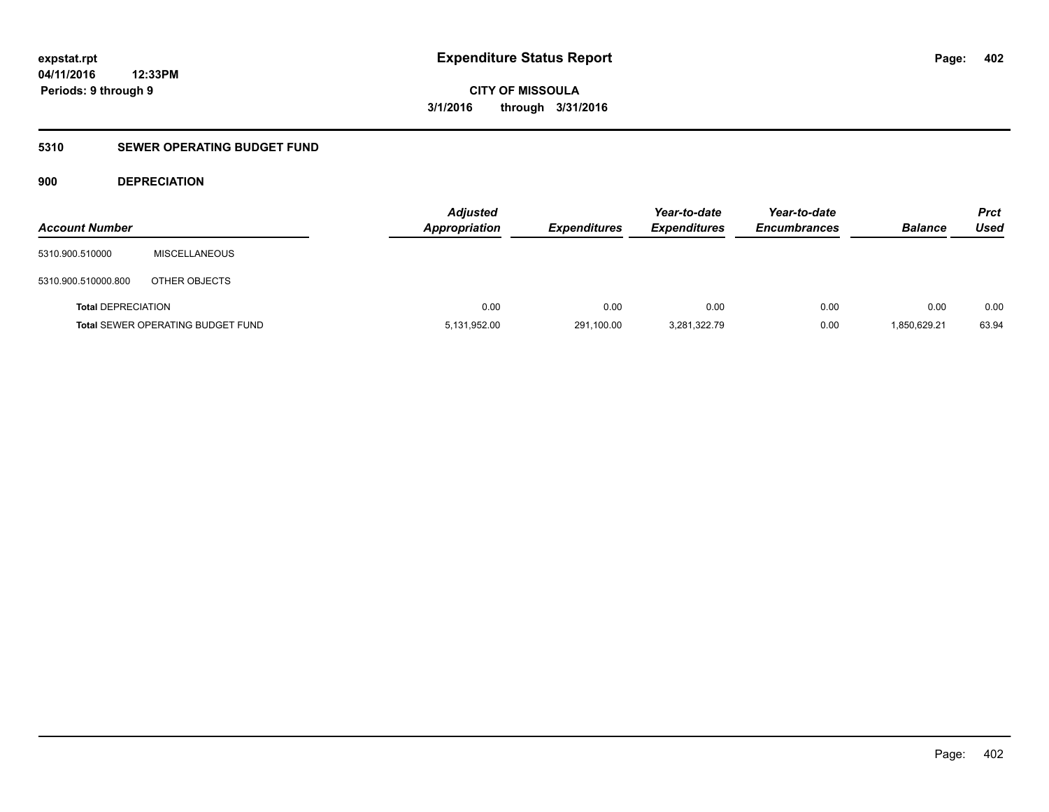**CITY OF MISSOULA 3/1/2016 through 3/31/2016**

### **5310 SEWER OPERATING BUDGET FUND**

### **900 DEPRECIATION**

| <b>Account Number</b>     |                                          | <b>Adjusted</b><br><b>Appropriation</b> | <b>Expenditures</b> | Year-to-date<br><b>Expenditures</b> | Year-to-date<br><b>Encumbrances</b> | <b>Balance</b> | <b>Prct</b><br><b>Used</b> |
|---------------------------|------------------------------------------|-----------------------------------------|---------------------|-------------------------------------|-------------------------------------|----------------|----------------------------|
| 5310.900.510000           | <b>MISCELLANEOUS</b>                     |                                         |                     |                                     |                                     |                |                            |
| 5310.900.510000.800       | OTHER OBJECTS                            |                                         |                     |                                     |                                     |                |                            |
| <b>Total DEPRECIATION</b> |                                          | 0.00                                    | 0.00                | 0.00                                | 0.00                                | 0.00           | 0.00                       |
|                           | <b>Total SEWER OPERATING BUDGET FUND</b> | 5,131,952.00                            | 291,100.00          | 3,281,322.79                        | 0.00                                | 1,850,629.21   | 63.94                      |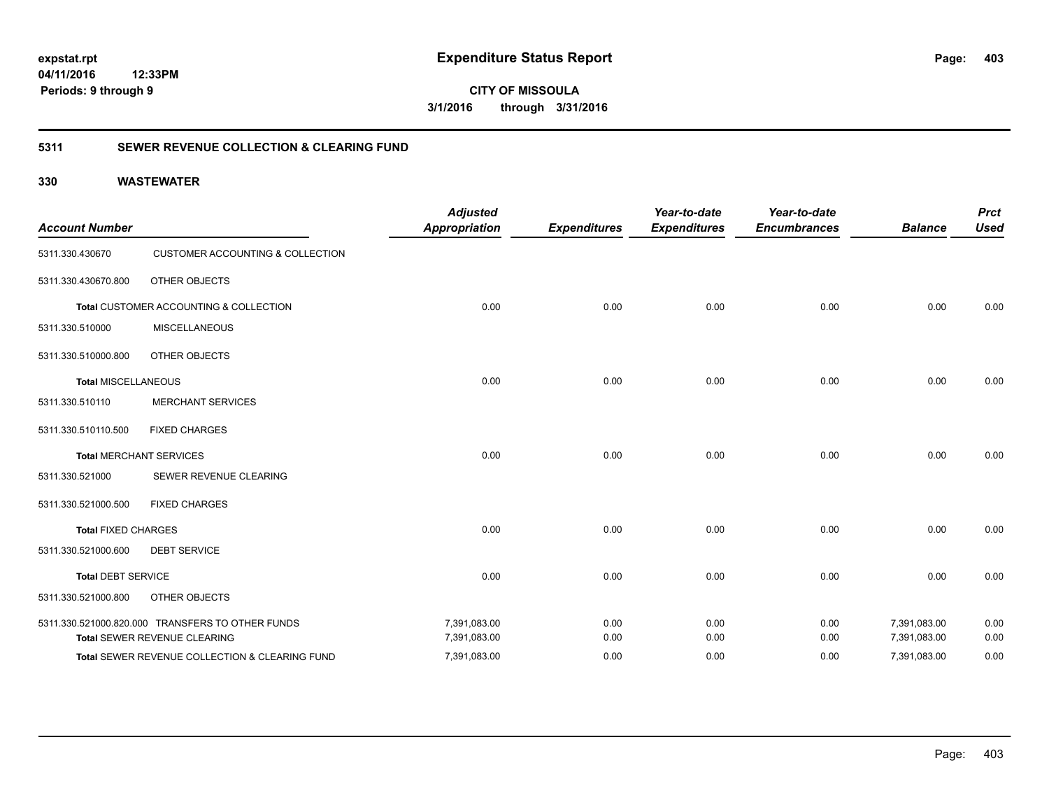**403**

**04/11/2016 12:33PM Periods: 9 through 9**

**CITY OF MISSOULA 3/1/2016 through 3/31/2016**

### **5311 SEWER REVENUE COLLECTION & CLEARING FUND**

| <b>Account Number</b>      |                                                  | <b>Adjusted</b><br><b>Appropriation</b> | <b>Expenditures</b> | Year-to-date<br><b>Expenditures</b> | Year-to-date<br><b>Encumbrances</b> | <b>Balance</b> | <b>Prct</b><br><b>Used</b> |
|----------------------------|--------------------------------------------------|-----------------------------------------|---------------------|-------------------------------------|-------------------------------------|----------------|----------------------------|
| 5311.330.430670            | <b>CUSTOMER ACCOUNTING &amp; COLLECTION</b>      |                                         |                     |                                     |                                     |                |                            |
| 5311.330.430670.800        | OTHER OBJECTS                                    |                                         |                     |                                     |                                     |                |                            |
|                            | Total CUSTOMER ACCOUNTING & COLLECTION           | 0.00                                    | 0.00                | 0.00                                | 0.00                                | 0.00           | 0.00                       |
| 5311.330.510000            | <b>MISCELLANEOUS</b>                             |                                         |                     |                                     |                                     |                |                            |
| 5311.330.510000.800        | OTHER OBJECTS                                    |                                         |                     |                                     |                                     |                |                            |
| <b>Total MISCELLANEOUS</b> |                                                  | 0.00                                    | 0.00                | 0.00                                | 0.00                                | 0.00           | 0.00                       |
| 5311.330.510110            | <b>MERCHANT SERVICES</b>                         |                                         |                     |                                     |                                     |                |                            |
| 5311.330.510110.500        | <b>FIXED CHARGES</b>                             |                                         |                     |                                     |                                     |                |                            |
|                            | <b>Total MERCHANT SERVICES</b>                   | 0.00                                    | 0.00                | 0.00                                | 0.00                                | 0.00           | 0.00                       |
| 5311.330.521000            | SEWER REVENUE CLEARING                           |                                         |                     |                                     |                                     |                |                            |
| 5311.330.521000.500        | <b>FIXED CHARGES</b>                             |                                         |                     |                                     |                                     |                |                            |
| <b>Total FIXED CHARGES</b> |                                                  | 0.00                                    | 0.00                | 0.00                                | 0.00                                | 0.00           | 0.00                       |
| 5311.330.521000.600        | <b>DEBT SERVICE</b>                              |                                         |                     |                                     |                                     |                |                            |
| <b>Total DEBT SERVICE</b>  |                                                  | 0.00                                    | 0.00                | 0.00                                | 0.00                                | 0.00           | 0.00                       |
| 5311.330.521000.800        | OTHER OBJECTS                                    |                                         |                     |                                     |                                     |                |                            |
|                            | 5311.330.521000.820.000 TRANSFERS TO OTHER FUNDS | 7,391,083.00                            | 0.00                | 0.00                                | 0.00                                | 7,391,083.00   | 0.00                       |
|                            | Total SEWER REVENUE CLEARING                     | 7,391,083.00                            | 0.00                | 0.00                                | 0.00                                | 7,391,083.00   | 0.00                       |
|                            | Total SEWER REVENUE COLLECTION & CLEARING FUND   | 7,391,083.00                            | 0.00                | 0.00                                | 0.00                                | 7,391,083.00   | 0.00                       |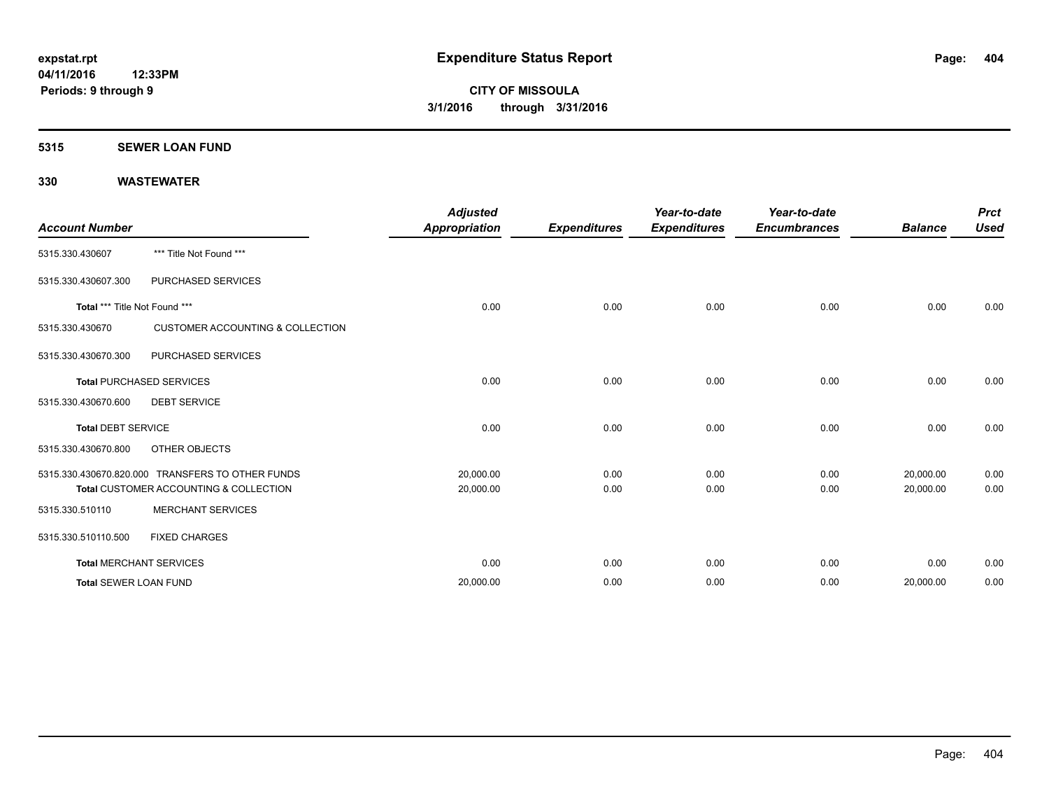#### **5315 SEWER LOAN FUND**

| <b>Account Number</b>         |                                                  | <b>Adjusted</b><br><b>Appropriation</b> | <b>Expenditures</b> | Year-to-date<br><b>Expenditures</b> | Year-to-date<br><b>Encumbrances</b> | <b>Balance</b> | <b>Prct</b><br><b>Used</b> |
|-------------------------------|--------------------------------------------------|-----------------------------------------|---------------------|-------------------------------------|-------------------------------------|----------------|----------------------------|
| 5315.330.430607               | *** Title Not Found ***                          |                                         |                     |                                     |                                     |                |                            |
| 5315.330.430607.300           | PURCHASED SERVICES                               |                                         |                     |                                     |                                     |                |                            |
| Total *** Title Not Found *** |                                                  | 0.00                                    | 0.00                | 0.00                                | 0.00                                | 0.00           | 0.00                       |
| 5315.330.430670               | <b>CUSTOMER ACCOUNTING &amp; COLLECTION</b>      |                                         |                     |                                     |                                     |                |                            |
| 5315.330.430670.300           | PURCHASED SERVICES                               |                                         |                     |                                     |                                     |                |                            |
|                               | <b>Total PURCHASED SERVICES</b>                  | 0.00                                    | 0.00                | 0.00                                | 0.00                                | 0.00           | 0.00                       |
| 5315.330.430670.600           | <b>DEBT SERVICE</b>                              |                                         |                     |                                     |                                     |                |                            |
| <b>Total DEBT SERVICE</b>     |                                                  | 0.00                                    | 0.00                | 0.00                                | 0.00                                | 0.00           | 0.00                       |
| 5315.330.430670.800           | OTHER OBJECTS                                    |                                         |                     |                                     |                                     |                |                            |
|                               | 5315.330.430670.820.000 TRANSFERS TO OTHER FUNDS | 20,000.00                               | 0.00                | 0.00                                | 0.00                                | 20,000.00      | 0.00                       |
|                               | Total CUSTOMER ACCOUNTING & COLLECTION           | 20,000.00                               | 0.00                | 0.00                                | 0.00                                | 20,000.00      | 0.00                       |
| 5315.330.510110               | <b>MERCHANT SERVICES</b>                         |                                         |                     |                                     |                                     |                |                            |
| 5315.330.510110.500           | <b>FIXED CHARGES</b>                             |                                         |                     |                                     |                                     |                |                            |
|                               | <b>Total MERCHANT SERVICES</b>                   | 0.00                                    | 0.00                | 0.00                                | 0.00                                | 0.00           | 0.00                       |
| <b>Total SEWER LOAN FUND</b>  |                                                  | 20,000.00                               | 0.00                | 0.00                                | 0.00                                | 20,000.00      | 0.00                       |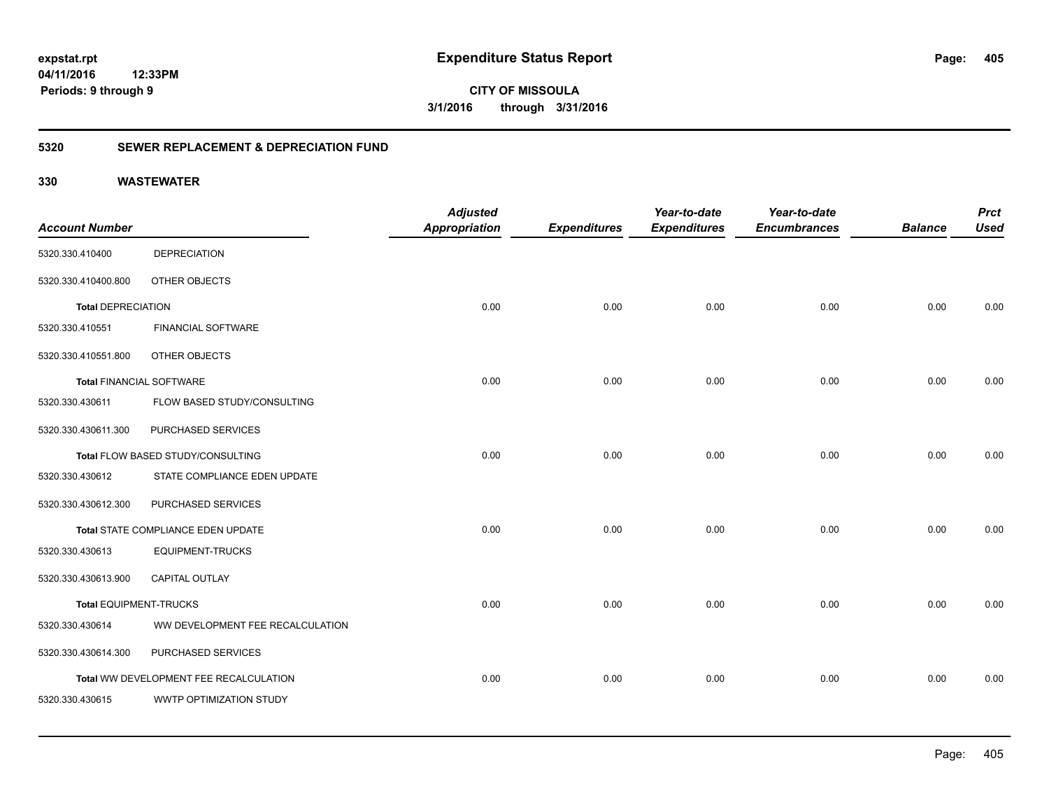**405**

**04/11/2016 12:33PM Periods: 9 through 9**

**CITY OF MISSOULA 3/1/2016 through 3/31/2016**

### **5320 SEWER REPLACEMENT & DEPRECIATION FUND**

|                                 |                                        | <b>Adjusted</b>      |                     | Year-to-date        | Year-to-date        |                | <b>Prct</b> |
|---------------------------------|----------------------------------------|----------------------|---------------------|---------------------|---------------------|----------------|-------------|
| <b>Account Number</b>           |                                        | <b>Appropriation</b> | <b>Expenditures</b> | <b>Expenditures</b> | <b>Encumbrances</b> | <b>Balance</b> | <b>Used</b> |
| 5320.330.410400                 | <b>DEPRECIATION</b>                    |                      |                     |                     |                     |                |             |
| 5320.330.410400.800             | OTHER OBJECTS                          |                      |                     |                     |                     |                |             |
| <b>Total DEPRECIATION</b>       |                                        | 0.00                 | 0.00                | 0.00                | 0.00                | 0.00           | 0.00        |
| 5320.330.410551                 | FINANCIAL SOFTWARE                     |                      |                     |                     |                     |                |             |
| 5320.330.410551.800             | OTHER OBJECTS                          |                      |                     |                     |                     |                |             |
| <b>Total FINANCIAL SOFTWARE</b> |                                        | 0.00                 | 0.00                | 0.00                | 0.00                | 0.00           | 0.00        |
| 5320.330.430611                 | FLOW BASED STUDY/CONSULTING            |                      |                     |                     |                     |                |             |
| 5320.330.430611.300             | PURCHASED SERVICES                     |                      |                     |                     |                     |                |             |
|                                 | Total FLOW BASED STUDY/CONSULTING      | 0.00                 | 0.00                | 0.00                | 0.00                | 0.00           | 0.00        |
| 5320.330.430612                 | STATE COMPLIANCE EDEN UPDATE           |                      |                     |                     |                     |                |             |
| 5320.330.430612.300             | PURCHASED SERVICES                     |                      |                     |                     |                     |                |             |
|                                 | Total STATE COMPLIANCE EDEN UPDATE     | 0.00                 | 0.00                | 0.00                | 0.00                | 0.00           | 0.00        |
| 5320.330.430613                 | <b>EQUIPMENT-TRUCKS</b>                |                      |                     |                     |                     |                |             |
| 5320.330.430613.900             | CAPITAL OUTLAY                         |                      |                     |                     |                     |                |             |
| <b>Total EQUIPMENT-TRUCKS</b>   |                                        | 0.00                 | 0.00                | 0.00                | 0.00                | 0.00           | 0.00        |
| 5320.330.430614                 | WW DEVELOPMENT FEE RECALCULATION       |                      |                     |                     |                     |                |             |
| 5320.330.430614.300             | PURCHASED SERVICES                     |                      |                     |                     |                     |                |             |
|                                 | Total WW DEVELOPMENT FEE RECALCULATION | 0.00                 | 0.00                | 0.00                | 0.00                | 0.00           | 0.00        |
| 5320.330.430615                 | WWTP OPTIMIZATION STUDY                |                      |                     |                     |                     |                |             |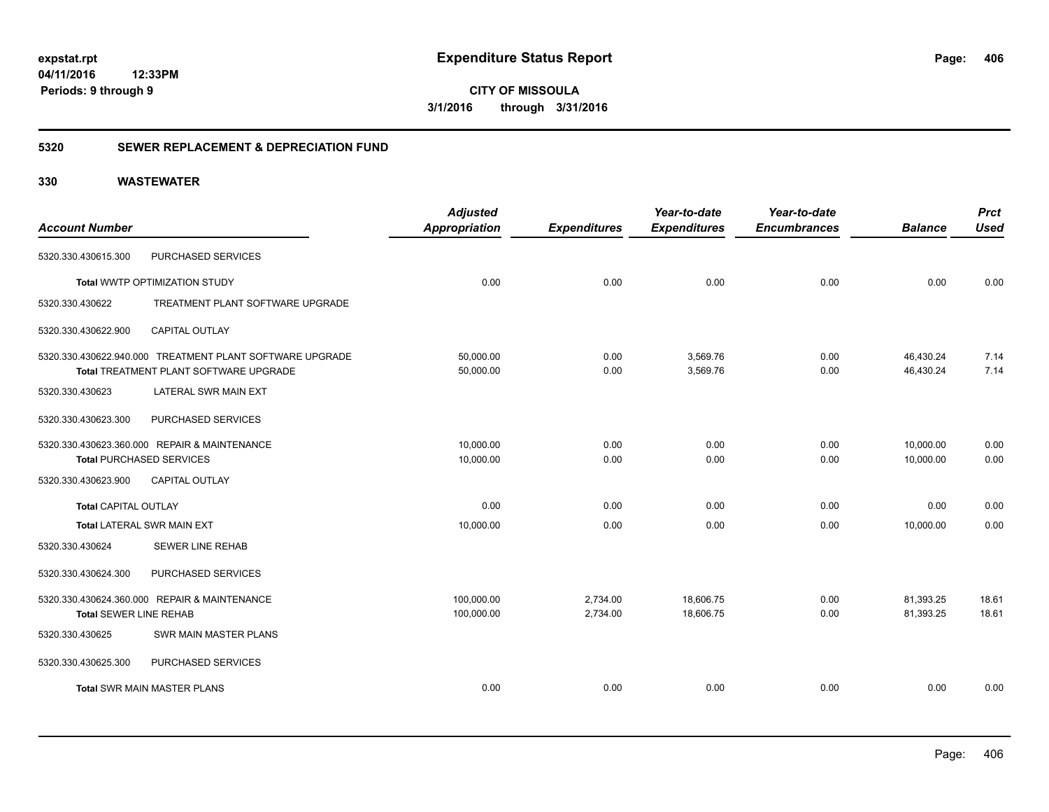**CITY OF MISSOULA 3/1/2016 through 3/31/2016**

### **5320 SEWER REPLACEMENT & DEPRECIATION FUND**

|                                 |                                                          | <b>Adjusted</b>      |                     | Year-to-date        | Year-to-date        |                | <b>Prct</b> |
|---------------------------------|----------------------------------------------------------|----------------------|---------------------|---------------------|---------------------|----------------|-------------|
| <b>Account Number</b>           |                                                          | <b>Appropriation</b> | <b>Expenditures</b> | <b>Expenditures</b> | <b>Encumbrances</b> | <b>Balance</b> | <b>Used</b> |
| 5320.330.430615.300             | PURCHASED SERVICES                                       |                      |                     |                     |                     |                |             |
|                                 | Total WWTP OPTIMIZATION STUDY                            | 0.00                 | 0.00                | 0.00                | 0.00                | 0.00           | 0.00        |
| 5320.330.430622                 | TREATMENT PLANT SOFTWARE UPGRADE                         |                      |                     |                     |                     |                |             |
| 5320.330.430622.900             | <b>CAPITAL OUTLAY</b>                                    |                      |                     |                     |                     |                |             |
|                                 | 5320.330.430622.940.000 TREATMENT PLANT SOFTWARE UPGRADE | 50,000.00            | 0.00                | 3,569.76            | 0.00                | 46,430.24      | 7.14        |
|                                 | <b>Total TREATMENT PLANT SOFTWARE UPGRADE</b>            | 50,000.00            | 0.00                | 3,569.76            | 0.00                | 46,430.24      | 7.14        |
| 5320.330.430623                 | LATERAL SWR MAIN EXT                                     |                      |                     |                     |                     |                |             |
| 5320.330.430623.300             | PURCHASED SERVICES                                       |                      |                     |                     |                     |                |             |
|                                 | 5320.330.430623.360.000 REPAIR & MAINTENANCE             | 10,000.00            | 0.00                | 0.00                | 0.00                | 10,000.00      | 0.00        |
| <b>Total PURCHASED SERVICES</b> |                                                          | 10,000.00            | 0.00                | 0.00                | 0.00                | 10,000.00      | 0.00        |
| 5320.330.430623.900             | <b>CAPITAL OUTLAY</b>                                    |                      |                     |                     |                     |                |             |
| <b>Total CAPITAL OUTLAY</b>     |                                                          | 0.00                 | 0.00                | 0.00                | 0.00                | 0.00           | 0.00        |
|                                 | <b>Total LATERAL SWR MAIN EXT</b>                        | 10,000.00            | 0.00                | 0.00                | 0.00                | 10,000.00      | 0.00        |
| 5320.330.430624                 | <b>SEWER LINE REHAB</b>                                  |                      |                     |                     |                     |                |             |
| 5320.330.430624.300             | PURCHASED SERVICES                                       |                      |                     |                     |                     |                |             |
|                                 | 5320.330.430624.360.000 REPAIR & MAINTENANCE             | 100,000.00           | 2,734.00            | 18,606.75           | 0.00                | 81,393.25      | 18.61       |
| <b>Total SEWER LINE REHAB</b>   |                                                          | 100,000.00           | 2,734.00            | 18,606.75           | 0.00                | 81,393.25      | 18.61       |
| 5320.330.430625                 | SWR MAIN MASTER PLANS                                    |                      |                     |                     |                     |                |             |
| 5320.330.430625.300             | PURCHASED SERVICES                                       |                      |                     |                     |                     |                |             |
|                                 | <b>Total SWR MAIN MASTER PLANS</b>                       | 0.00                 | 0.00                | 0.00                | 0.00                | 0.00           | 0.00        |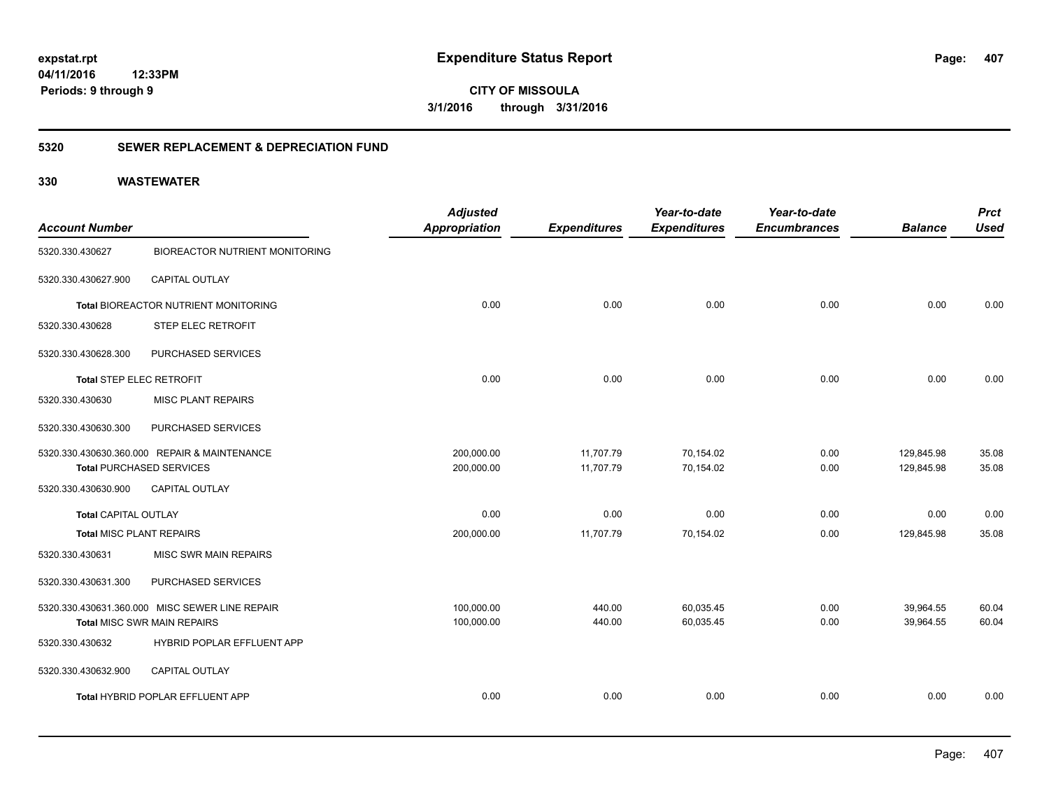**CITY OF MISSOULA 3/1/2016 through 3/31/2016**

### **5320 SEWER REPLACEMENT & DEPRECIATION FUND**

| <b>Account Number</b>           |                                                | <b>Adjusted</b><br><b>Appropriation</b> | <b>Expenditures</b> | Year-to-date<br><b>Expenditures</b> | Year-to-date<br><b>Encumbrances</b> | <b>Balance</b> | <b>Prct</b><br><b>Used</b> |
|---------------------------------|------------------------------------------------|-----------------------------------------|---------------------|-------------------------------------|-------------------------------------|----------------|----------------------------|
| 5320.330.430627                 | <b>BIOREACTOR NUTRIENT MONITORING</b>          |                                         |                     |                                     |                                     |                |                            |
| 5320.330.430627.900             | CAPITAL OUTLAY                                 |                                         |                     |                                     |                                     |                |                            |
|                                 | Total BIOREACTOR NUTRIENT MONITORING           | 0.00                                    | 0.00                | 0.00                                | 0.00                                | 0.00           | 0.00                       |
| 5320.330.430628                 | <b>STEP ELEC RETROFIT</b>                      |                                         |                     |                                     |                                     |                |                            |
| 5320.330.430628.300             | PURCHASED SERVICES                             |                                         |                     |                                     |                                     |                |                            |
| <b>Total STEP ELEC RETROFIT</b> |                                                | 0.00                                    | 0.00                | 0.00                                | 0.00                                | 0.00           | 0.00                       |
| 5320.330.430630                 | <b>MISC PLANT REPAIRS</b>                      |                                         |                     |                                     |                                     |                |                            |
| 5320.330.430630.300             | PURCHASED SERVICES                             |                                         |                     |                                     |                                     |                |                            |
|                                 | 5320.330.430630.360.000 REPAIR & MAINTENANCE   | 200,000.00                              | 11,707.79           | 70,154.02                           | 0.00                                | 129,845.98     | 35.08                      |
| <b>Total PURCHASED SERVICES</b> |                                                | 200,000.00                              | 11,707.79           | 70,154.02                           | 0.00                                | 129,845.98     | 35.08                      |
| 5320.330.430630.900             | <b>CAPITAL OUTLAY</b>                          |                                         |                     |                                     |                                     |                |                            |
| <b>Total CAPITAL OUTLAY</b>     |                                                | 0.00                                    | 0.00                | 0.00                                | 0.00                                | 0.00           | 0.00                       |
| <b>Total MISC PLANT REPAIRS</b> |                                                | 200,000.00                              | 11,707.79           | 70,154.02                           | 0.00                                | 129,845.98     | 35.08                      |
| 5320.330.430631                 | MISC SWR MAIN REPAIRS                          |                                         |                     |                                     |                                     |                |                            |
| 5320.330.430631.300             | PURCHASED SERVICES                             |                                         |                     |                                     |                                     |                |                            |
|                                 | 5320.330.430631.360.000 MISC SEWER LINE REPAIR | 100,000.00                              | 440.00              | 60,035.45                           | 0.00                                | 39,964.55      | 60.04                      |
|                                 | Total MISC SWR MAIN REPAIRS                    | 100,000.00                              | 440.00              | 60,035.45                           | 0.00                                | 39,964.55      | 60.04                      |
| 5320.330.430632                 | HYBRID POPLAR EFFLUENT APP                     |                                         |                     |                                     |                                     |                |                            |
| 5320.330.430632.900             | CAPITAL OUTLAY                                 |                                         |                     |                                     |                                     |                |                            |
|                                 | Total HYBRID POPLAR EFFLUENT APP               | 0.00                                    | 0.00                | 0.00                                | 0.00                                | 0.00           | 0.00                       |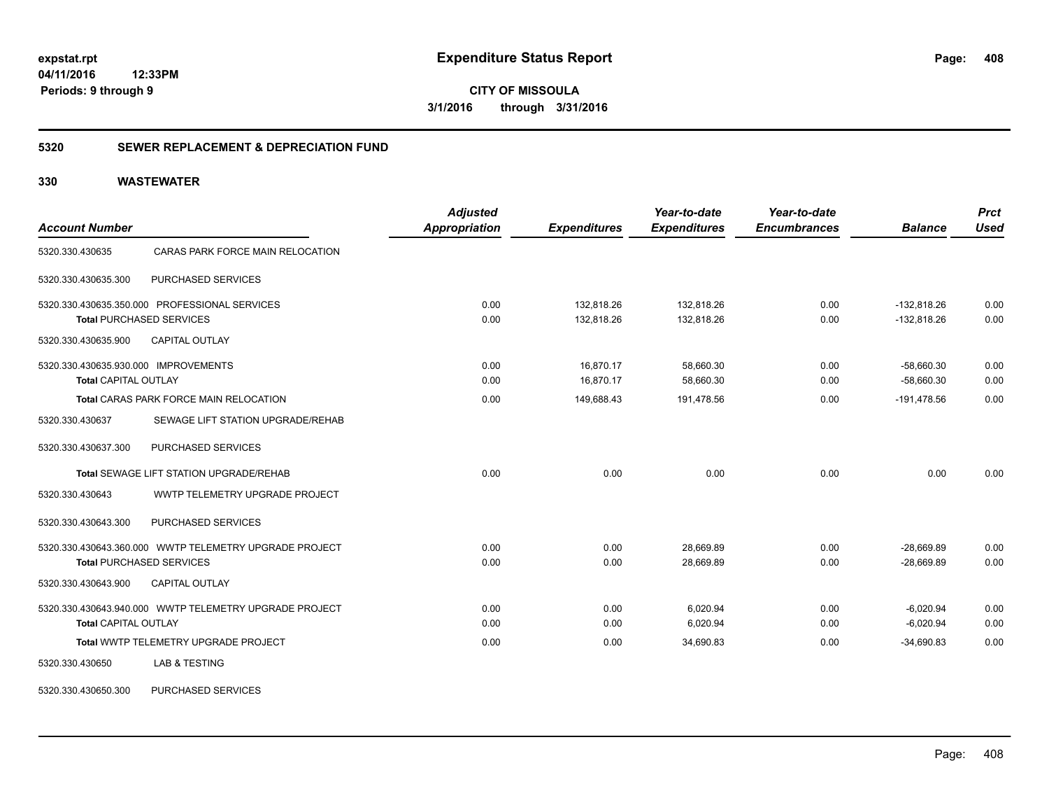**CITY OF MISSOULA 3/1/2016 through 3/31/2016**

#### **5320 SEWER REPLACEMENT & DEPRECIATION FUND**

| <b>Account Number</b>                                  | <b>Adjusted</b><br><b>Appropriation</b> | <b>Expenditures</b> | Year-to-date<br><b>Expenditures</b> | Year-to-date<br><b>Encumbrances</b> | <b>Balance</b> | <b>Prct</b><br><b>Used</b> |
|--------------------------------------------------------|-----------------------------------------|---------------------|-------------------------------------|-------------------------------------|----------------|----------------------------|
| CARAS PARK FORCE MAIN RELOCATION<br>5320.330.430635    |                                         |                     |                                     |                                     |                |                            |
| 5320.330.430635.300<br>PURCHASED SERVICES              |                                         |                     |                                     |                                     |                |                            |
| 5320.330.430635.350.000 PROFESSIONAL SERVICES          | 0.00                                    | 132,818.26          | 132,818.26                          | 0.00                                | $-132,818.26$  | 0.00                       |
| <b>Total PURCHASED SERVICES</b>                        | 0.00                                    | 132,818.26          | 132,818.26                          | 0.00                                | $-132,818.26$  | 0.00                       |
| <b>CAPITAL OUTLAY</b><br>5320.330.430635.900           |                                         |                     |                                     |                                     |                |                            |
| 5320.330.430635.930.000 IMPROVEMENTS                   | 0.00                                    | 16,870.17           | 58,660.30                           | 0.00                                | $-58,660.30$   | 0.00                       |
| <b>Total CAPITAL OUTLAY</b>                            | 0.00                                    | 16,870.17           | 58,660.30                           | 0.00                                | $-58,660.30$   | 0.00                       |
| Total CARAS PARK FORCE MAIN RELOCATION                 | 0.00                                    | 149,688.43          | 191,478.56                          | 0.00                                | $-191,478.56$  | 0.00                       |
| 5320.330.430637<br>SEWAGE LIFT STATION UPGRADE/REHAB   |                                         |                     |                                     |                                     |                |                            |
| PURCHASED SERVICES<br>5320.330.430637.300              |                                         |                     |                                     |                                     |                |                            |
| Total SEWAGE LIFT STATION UPGRADE/REHAB                | 0.00                                    | 0.00                | 0.00                                | 0.00                                | 0.00           | 0.00                       |
| 5320.330.430643<br>WWTP TELEMETRY UPGRADE PROJECT      |                                         |                     |                                     |                                     |                |                            |
| PURCHASED SERVICES<br>5320.330.430643.300              |                                         |                     |                                     |                                     |                |                            |
| 5320.330.430643.360.000 WWTP TELEMETRY UPGRADE PROJECT | 0.00                                    | 0.00                | 28,669.89                           | 0.00                                | $-28,669.89$   | 0.00                       |
| <b>Total PURCHASED SERVICES</b>                        | 0.00                                    | 0.00                | 28,669.89                           | 0.00                                | $-28,669.89$   | 0.00                       |
| 5320.330.430643.900<br>CAPITAL OUTLAY                  |                                         |                     |                                     |                                     |                |                            |
| 5320.330.430643.940.000 WWTP TELEMETRY UPGRADE PROJECT | 0.00                                    | 0.00                | 6,020.94                            | 0.00                                | $-6,020.94$    | 0.00                       |
| <b>Total CAPITAL OUTLAY</b>                            | 0.00                                    | 0.00                | 6,020.94                            | 0.00                                | $-6,020.94$    | 0.00                       |
| Total WWTP TELEMETRY UPGRADE PROJECT                   | 0.00                                    | 0.00                | 34,690.83                           | 0.00                                | $-34,690.83$   | 0.00                       |
| <b>LAB &amp; TESTING</b><br>5320.330.430650            |                                         |                     |                                     |                                     |                |                            |
| PURCHASED SERVICES<br>5320.330.430650.300              |                                         |                     |                                     |                                     |                |                            |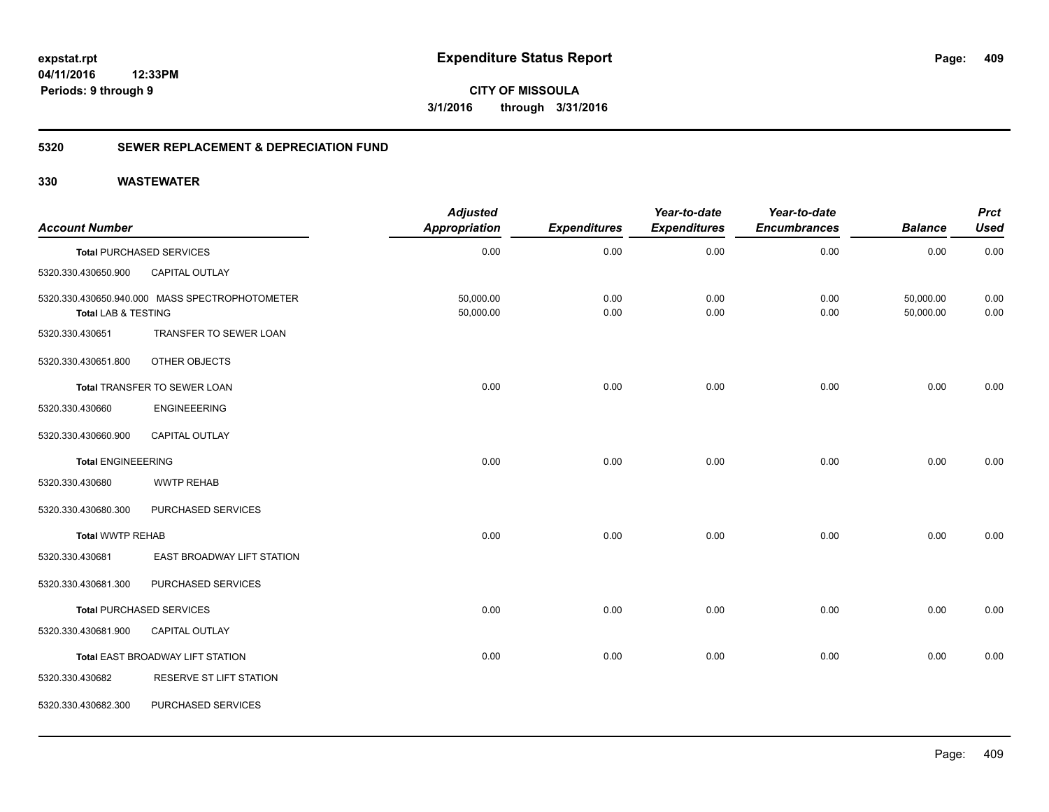**CITY OF MISSOULA 3/1/2016 through 3/31/2016**

### **5320 SEWER REPLACEMENT & DEPRECIATION FUND**

| <b>Account Number</b>     |                                                | <b>Adjusted</b><br><b>Appropriation</b> | <b>Expenditures</b> | Year-to-date<br><b>Expenditures</b> | Year-to-date<br><b>Encumbrances</b> | <b>Balance</b>         | <b>Prct</b><br><b>Used</b> |
|---------------------------|------------------------------------------------|-----------------------------------------|---------------------|-------------------------------------|-------------------------------------|------------------------|----------------------------|
|                           | <b>Total PURCHASED SERVICES</b>                | 0.00                                    | 0.00                | 0.00                                | 0.00                                | 0.00                   | 0.00                       |
| 5320.330.430650.900       | <b>CAPITAL OUTLAY</b>                          |                                         |                     |                                     |                                     |                        |                            |
| Total LAB & TESTING       | 5320.330.430650.940.000 MASS SPECTROPHOTOMETER | 50,000.00<br>50,000.00                  | 0.00<br>0.00        | 0.00<br>0.00                        | 0.00<br>0.00                        | 50,000.00<br>50,000.00 | 0.00<br>0.00               |
| 5320.330.430651           | TRANSFER TO SEWER LOAN                         |                                         |                     |                                     |                                     |                        |                            |
| 5320.330.430651.800       | OTHER OBJECTS                                  |                                         |                     |                                     |                                     |                        |                            |
|                           | Total TRANSFER TO SEWER LOAN                   | 0.00                                    | 0.00                | 0.00                                | 0.00                                | 0.00                   | 0.00                       |
| 5320.330.430660           | <b>ENGINEEERING</b>                            |                                         |                     |                                     |                                     |                        |                            |
| 5320.330.430660.900       | <b>CAPITAL OUTLAY</b>                          |                                         |                     |                                     |                                     |                        |                            |
| <b>Total ENGINEEERING</b> |                                                | 0.00                                    | 0.00                | 0.00                                | 0.00                                | 0.00                   | 0.00                       |
| 5320.330.430680           | <b>WWTP REHAB</b>                              |                                         |                     |                                     |                                     |                        |                            |
| 5320.330.430680.300       | PURCHASED SERVICES                             |                                         |                     |                                     |                                     |                        |                            |
| <b>Total WWTP REHAB</b>   |                                                | 0.00                                    | 0.00                | 0.00                                | 0.00                                | 0.00                   | 0.00                       |
| 5320.330.430681           | EAST BROADWAY LIFT STATION                     |                                         |                     |                                     |                                     |                        |                            |
| 5320.330.430681.300       | PURCHASED SERVICES                             |                                         |                     |                                     |                                     |                        |                            |
|                           | <b>Total PURCHASED SERVICES</b>                | 0.00                                    | 0.00                | 0.00                                | 0.00                                | 0.00                   | 0.00                       |
| 5320.330.430681.900       | <b>CAPITAL OUTLAY</b>                          |                                         |                     |                                     |                                     |                        |                            |
|                           | Total EAST BROADWAY LIFT STATION               | 0.00                                    | 0.00                | 0.00                                | 0.00                                | 0.00                   | 0.00                       |
| 5320.330.430682           | RESERVE ST LIFT STATION                        |                                         |                     |                                     |                                     |                        |                            |
| 5320.330.430682.300       | PURCHASED SERVICES                             |                                         |                     |                                     |                                     |                        |                            |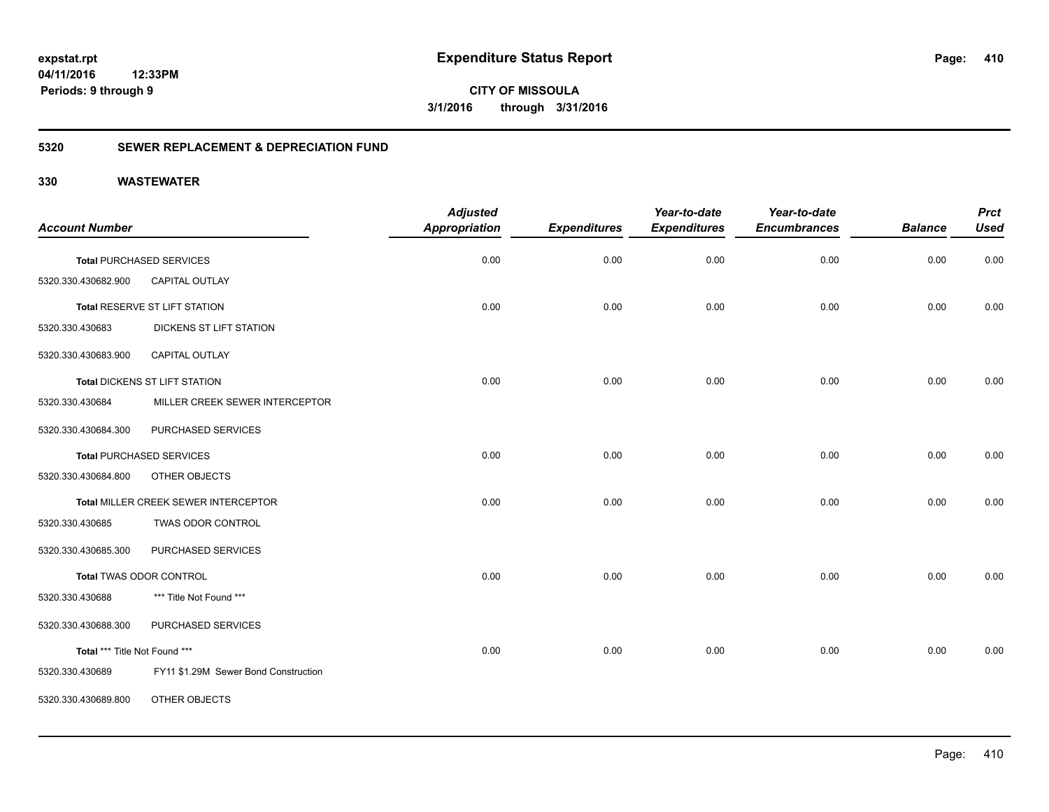**CITY OF MISSOULA 3/1/2016 through 3/31/2016**

### **5320 SEWER REPLACEMENT & DEPRECIATION FUND**

| <b>Account Number</b>         |                                      | <b>Adjusted</b><br><b>Appropriation</b> | <b>Expenditures</b> | Year-to-date<br><b>Expenditures</b> | Year-to-date<br><b>Encumbrances</b> | <b>Balance</b> | <b>Prct</b><br><b>Used</b> |
|-------------------------------|--------------------------------------|-----------------------------------------|---------------------|-------------------------------------|-------------------------------------|----------------|----------------------------|
|                               | <b>Total PURCHASED SERVICES</b>      | 0.00                                    | 0.00                | 0.00                                | 0.00                                | 0.00           | 0.00                       |
| 5320.330.430682.900           | CAPITAL OUTLAY                       |                                         |                     |                                     |                                     |                |                            |
|                               | Total RESERVE ST LIFT STATION        | 0.00                                    | 0.00                | 0.00                                | 0.00                                | 0.00           | 0.00                       |
| 5320.330.430683               | DICKENS ST LIFT STATION              |                                         |                     |                                     |                                     |                |                            |
| 5320.330.430683.900           | CAPITAL OUTLAY                       |                                         |                     |                                     |                                     |                |                            |
|                               | Total DICKENS ST LIFT STATION        | 0.00                                    | 0.00                | 0.00                                | 0.00                                | 0.00           | 0.00                       |
| 5320.330.430684               | MILLER CREEK SEWER INTERCEPTOR       |                                         |                     |                                     |                                     |                |                            |
| 5320.330.430684.300           | PURCHASED SERVICES                   |                                         |                     |                                     |                                     |                |                            |
|                               | <b>Total PURCHASED SERVICES</b>      | 0.00                                    | 0.00                | 0.00                                | 0.00                                | 0.00           | 0.00                       |
| 5320.330.430684.800           | OTHER OBJECTS                        |                                         |                     |                                     |                                     |                |                            |
|                               | Total MILLER CREEK SEWER INTERCEPTOR | 0.00                                    | 0.00                | 0.00                                | 0.00                                | 0.00           | 0.00                       |
| 5320.330.430685               | TWAS ODOR CONTROL                    |                                         |                     |                                     |                                     |                |                            |
| 5320.330.430685.300           | PURCHASED SERVICES                   |                                         |                     |                                     |                                     |                |                            |
|                               | Total TWAS ODOR CONTROL              | 0.00                                    | 0.00                | 0.00                                | 0.00                                | 0.00           | 0.00                       |
| 5320.330.430688               | *** Title Not Found ***              |                                         |                     |                                     |                                     |                |                            |
| 5320.330.430688.300           | PURCHASED SERVICES                   |                                         |                     |                                     |                                     |                |                            |
| Total *** Title Not Found *** |                                      | 0.00                                    | 0.00                | 0.00                                | 0.00                                | 0.00           | 0.00                       |
| 5320.330.430689               | FY11 \$1.29M Sewer Bond Construction |                                         |                     |                                     |                                     |                |                            |
| 5320.330.430689.800           | OTHER OBJECTS                        |                                         |                     |                                     |                                     |                |                            |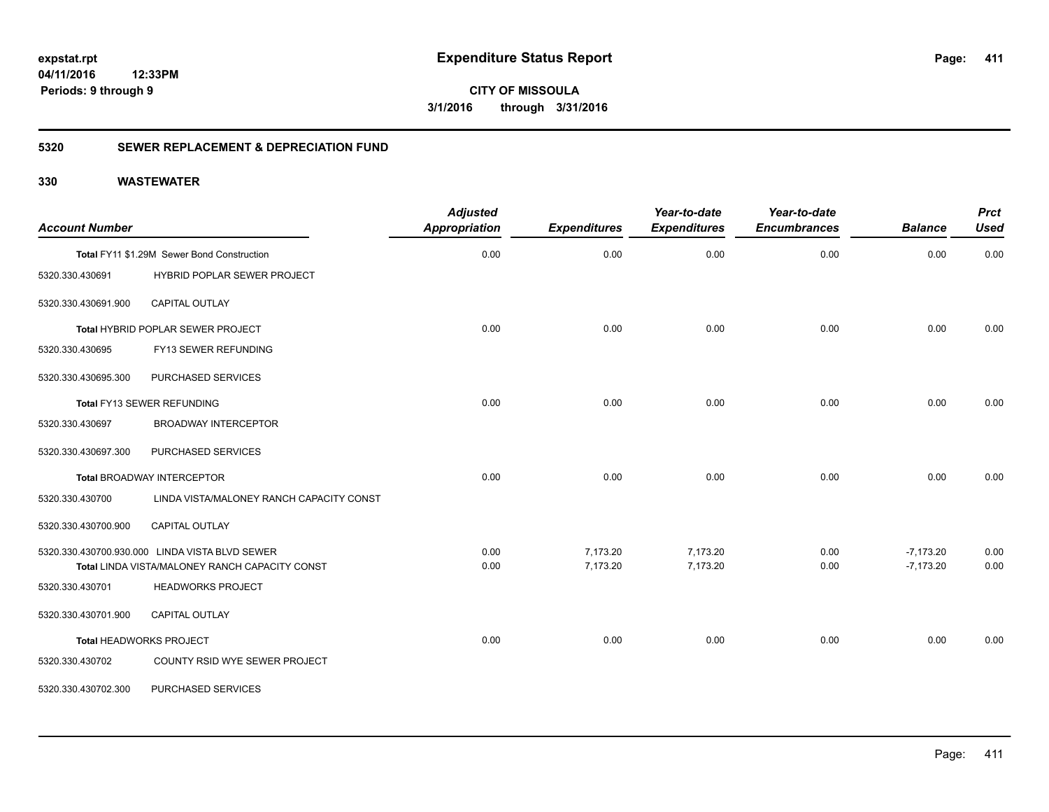# **04/11/2016**

**411**

**12:33PM Periods: 9 through 9**

**CITY OF MISSOULA 3/1/2016 through 3/31/2016**

### **5320 SEWER REPLACEMENT & DEPRECIATION FUND**

| <b>Account Number</b> |                                                                                                  | <b>Adjusted</b><br><b>Appropriation</b> | <b>Expenditures</b>  | Year-to-date<br><b>Expenditures</b> | Year-to-date<br><b>Encumbrances</b> | <b>Balance</b>             | <b>Prct</b><br><b>Used</b> |
|-----------------------|--------------------------------------------------------------------------------------------------|-----------------------------------------|----------------------|-------------------------------------|-------------------------------------|----------------------------|----------------------------|
|                       | Total FY11 \$1.29M Sewer Bond Construction                                                       | 0.00                                    | 0.00                 | 0.00                                | 0.00                                | 0.00                       | 0.00                       |
| 5320.330.430691       | HYBRID POPLAR SEWER PROJECT                                                                      |                                         |                      |                                     |                                     |                            |                            |
| 5320.330.430691.900   | CAPITAL OUTLAY                                                                                   |                                         |                      |                                     |                                     |                            |                            |
|                       | Total HYBRID POPLAR SEWER PROJECT                                                                | 0.00                                    | 0.00                 | 0.00                                | 0.00                                | 0.00                       | 0.00                       |
| 5320.330.430695       | FY13 SEWER REFUNDING                                                                             |                                         |                      |                                     |                                     |                            |                            |
| 5320.330.430695.300   | PURCHASED SERVICES                                                                               |                                         |                      |                                     |                                     |                            |                            |
|                       | Total FY13 SEWER REFUNDING                                                                       | 0.00                                    | 0.00                 | 0.00                                | 0.00                                | 0.00                       | 0.00                       |
| 5320.330.430697       | <b>BROADWAY INTERCEPTOR</b>                                                                      |                                         |                      |                                     |                                     |                            |                            |
| 5320.330.430697.300   | PURCHASED SERVICES                                                                               |                                         |                      |                                     |                                     |                            |                            |
|                       | <b>Total BROADWAY INTERCEPTOR</b>                                                                | 0.00                                    | 0.00                 | 0.00                                | 0.00                                | 0.00                       | 0.00                       |
| 5320.330.430700       | LINDA VISTA/MALONEY RANCH CAPACITY CONST                                                         |                                         |                      |                                     |                                     |                            |                            |
| 5320.330.430700.900   | CAPITAL OUTLAY                                                                                   |                                         |                      |                                     |                                     |                            |                            |
|                       | 5320.330.430700.930.000 LINDA VISTA BLVD SEWER<br>Total LINDA VISTA/MALONEY RANCH CAPACITY CONST | 0.00<br>0.00                            | 7,173.20<br>7,173.20 | 7,173.20<br>7,173.20                | 0.00<br>0.00                        | $-7,173.20$<br>$-7,173.20$ | 0.00<br>0.00               |
| 5320.330.430701       | <b>HEADWORKS PROJECT</b>                                                                         |                                         |                      |                                     |                                     |                            |                            |
| 5320.330.430701.900   | <b>CAPITAL OUTLAY</b>                                                                            |                                         |                      |                                     |                                     |                            |                            |
|                       | <b>Total HEADWORKS PROJECT</b>                                                                   | 0.00                                    | 0.00                 | 0.00                                | 0.00                                | 0.00                       | 0.00                       |
| 5320.330.430702       | COUNTY RSID WYE SEWER PROJECT                                                                    |                                         |                      |                                     |                                     |                            |                            |
| 5320.330.430702.300   | PURCHASED SERVICES                                                                               |                                         |                      |                                     |                                     |                            |                            |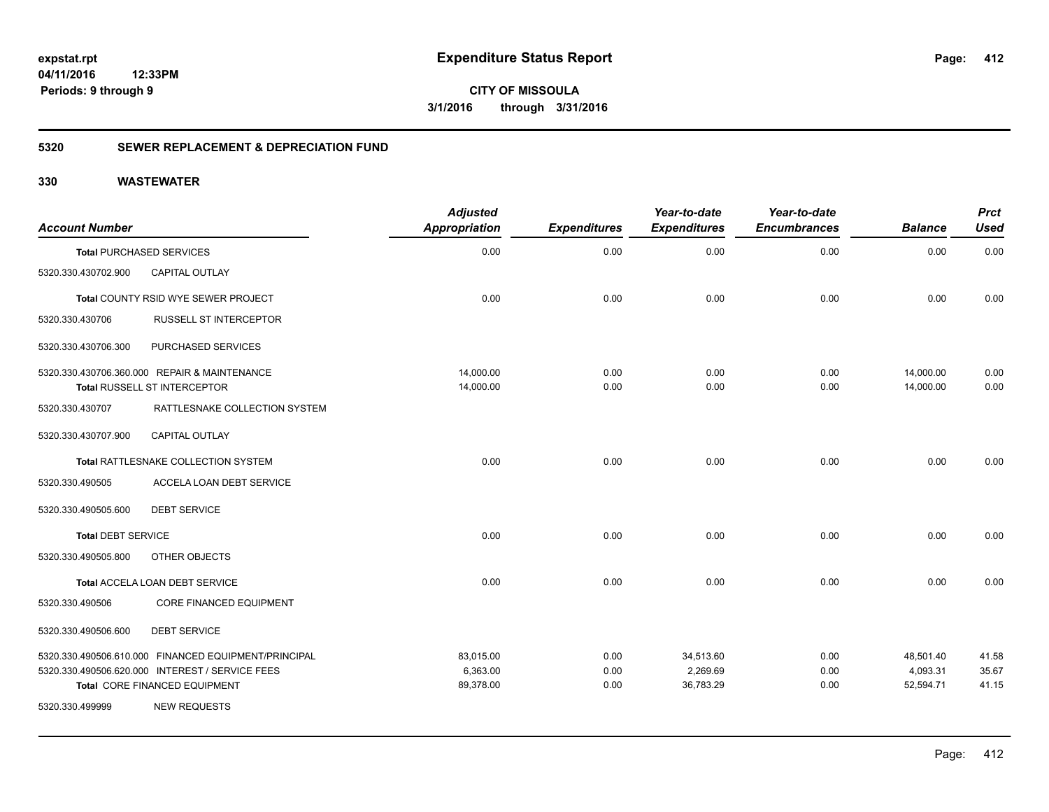**412**

**CITY OF MISSOULA 3/1/2016 through 3/31/2016**

### **5320 SEWER REPLACEMENT & DEPRECIATION FUND**

| <b>Account Number</b>     |                                                      | <b>Adjusted</b><br><b>Appropriation</b> | <b>Expenditures</b> | Year-to-date<br><b>Expenditures</b> | Year-to-date<br><b>Encumbrances</b> | <b>Balance</b> | <b>Prct</b><br><b>Used</b> |
|---------------------------|------------------------------------------------------|-----------------------------------------|---------------------|-------------------------------------|-------------------------------------|----------------|----------------------------|
|                           | <b>Total PURCHASED SERVICES</b>                      | 0.00                                    | 0.00                | 0.00                                | 0.00                                | 0.00           | 0.00                       |
| 5320.330.430702.900       | CAPITAL OUTLAY                                       |                                         |                     |                                     |                                     |                |                            |
|                           | Total COUNTY RSID WYE SEWER PROJECT                  | 0.00                                    | 0.00                | 0.00                                | 0.00                                | 0.00           | 0.00                       |
| 5320.330.430706           | <b>RUSSELL ST INTERCEPTOR</b>                        |                                         |                     |                                     |                                     |                |                            |
| 5320.330.430706.300       | PURCHASED SERVICES                                   |                                         |                     |                                     |                                     |                |                            |
|                           | 5320.330.430706.360.000 REPAIR & MAINTENANCE         | 14,000.00                               | 0.00                | 0.00                                | 0.00                                | 14,000.00      | 0.00                       |
|                           | Total RUSSELL ST INTERCEPTOR                         | 14,000.00                               | 0.00                | 0.00                                | 0.00                                | 14,000.00      | 0.00                       |
| 5320.330.430707           | RATTLESNAKE COLLECTION SYSTEM                        |                                         |                     |                                     |                                     |                |                            |
| 5320.330.430707.900       | <b>CAPITAL OUTLAY</b>                                |                                         |                     |                                     |                                     |                |                            |
|                           | Total RATTLESNAKE COLLECTION SYSTEM                  | 0.00                                    | 0.00                | 0.00                                | 0.00                                | 0.00           | 0.00                       |
| 5320.330.490505           | ACCELA LOAN DEBT SERVICE                             |                                         |                     |                                     |                                     |                |                            |
| 5320.330.490505.600       | <b>DEBT SERVICE</b>                                  |                                         |                     |                                     |                                     |                |                            |
| <b>Total DEBT SERVICE</b> |                                                      | 0.00                                    | 0.00                | 0.00                                | 0.00                                | 0.00           | 0.00                       |
| 5320.330.490505.800       | OTHER OBJECTS                                        |                                         |                     |                                     |                                     |                |                            |
|                           | Total ACCELA LOAN DEBT SERVICE                       | 0.00                                    | 0.00                | 0.00                                | 0.00                                | 0.00           | 0.00                       |
| 5320.330.490506           | <b>CORE FINANCED EQUIPMENT</b>                       |                                         |                     |                                     |                                     |                |                            |
| 5320.330.490506.600       | <b>DEBT SERVICE</b>                                  |                                         |                     |                                     |                                     |                |                            |
|                           | 5320.330.490506.610.000 FINANCED EQUIPMENT/PRINCIPAL | 83,015.00                               | 0.00                | 34,513.60                           | 0.00                                | 48,501.40      | 41.58                      |
|                           | 5320.330.490506.620.000 INTEREST / SERVICE FEES      | 6,363.00                                | 0.00                | 2,269.69                            | 0.00                                | 4,093.31       | 35.67                      |
| 5320.330.499999           | Total CORE FINANCED EQUIPMENT<br><b>NEW REQUESTS</b> | 89,378.00                               | 0.00                | 36,783.29                           | 0.00                                | 52,594.71      | 41.15                      |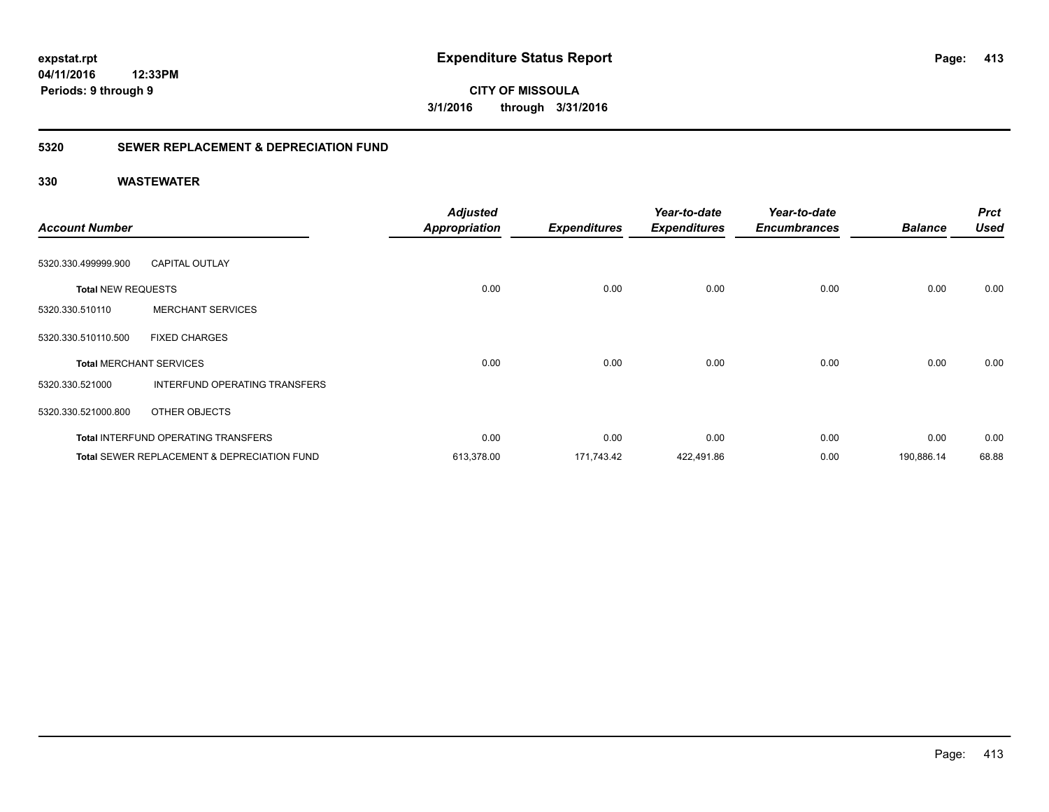**CITY OF MISSOULA 3/1/2016 through 3/31/2016**

### **5320 SEWER REPLACEMENT & DEPRECIATION FUND**

| <b>Account Number</b>          |                                                        | <b>Adjusted</b><br><b>Appropriation</b> | <b>Expenditures</b> | Year-to-date<br><b>Expenditures</b> | Year-to-date<br><b>Encumbrances</b> | <b>Balance</b> | <b>Prct</b><br><b>Used</b> |
|--------------------------------|--------------------------------------------------------|-----------------------------------------|---------------------|-------------------------------------|-------------------------------------|----------------|----------------------------|
|                                |                                                        |                                         |                     |                                     |                                     |                |                            |
| 5320.330.499999.900            | <b>CAPITAL OUTLAY</b>                                  |                                         |                     |                                     |                                     |                |                            |
| <b>Total NEW REQUESTS</b>      |                                                        | 0.00                                    | 0.00                | 0.00                                | 0.00                                | 0.00           | 0.00                       |
| 5320.330.510110                | <b>MERCHANT SERVICES</b>                               |                                         |                     |                                     |                                     |                |                            |
| 5320.330.510110.500            | <b>FIXED CHARGES</b>                                   |                                         |                     |                                     |                                     |                |                            |
| <b>Total MERCHANT SERVICES</b> |                                                        | 0.00                                    | 0.00                | 0.00                                | 0.00                                | 0.00           | 0.00                       |
| 5320.330.521000                | INTERFUND OPERATING TRANSFERS                          |                                         |                     |                                     |                                     |                |                            |
| 5320.330.521000.800            | OTHER OBJECTS                                          |                                         |                     |                                     |                                     |                |                            |
|                                | <b>Total INTERFUND OPERATING TRANSFERS</b>             | 0.00                                    | 0.00                | 0.00                                | 0.00                                | 0.00           | 0.00                       |
|                                | <b>Total SEWER REPLACEMENT &amp; DEPRECIATION FUND</b> | 613,378.00                              | 171,743.42          | 422,491.86                          | 0.00                                | 190,886.14     | 68.88                      |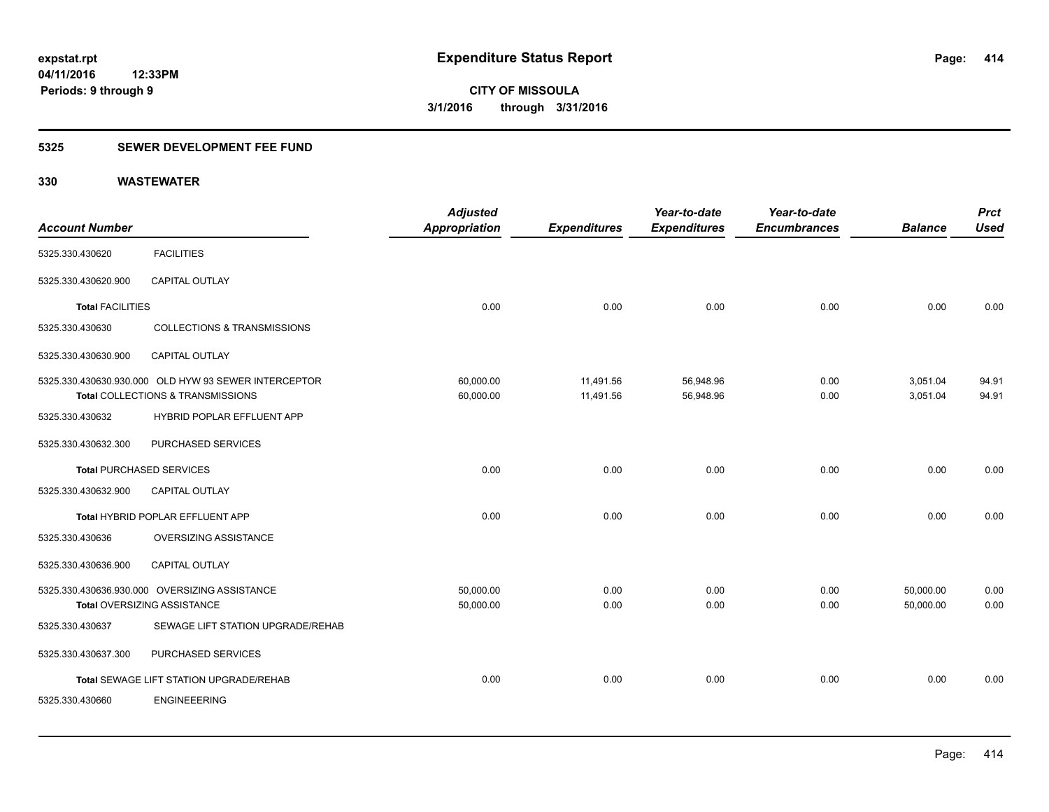### **5325 SEWER DEVELOPMENT FEE FUND**

| <b>Account Number</b>           |                                                                                           | <b>Adjusted</b><br>Appropriation | <b>Expenditures</b>    | Year-to-date<br><b>Expenditures</b> | Year-to-date<br><b>Encumbrances</b> | <b>Balance</b>         | <b>Prct</b><br><b>Used</b> |
|---------------------------------|-------------------------------------------------------------------------------------------|----------------------------------|------------------------|-------------------------------------|-------------------------------------|------------------------|----------------------------|
| 5325.330.430620                 | <b>FACILITIES</b>                                                                         |                                  |                        |                                     |                                     |                        |                            |
| 5325.330.430620.900             | CAPITAL OUTLAY                                                                            |                                  |                        |                                     |                                     |                        |                            |
| <b>Total FACILITIES</b>         |                                                                                           | 0.00                             | 0.00                   | 0.00                                | 0.00                                | 0.00                   | 0.00                       |
| 5325.330.430630                 | <b>COLLECTIONS &amp; TRANSMISSIONS</b>                                                    |                                  |                        |                                     |                                     |                        |                            |
| 5325.330.430630.900             | <b>CAPITAL OUTLAY</b>                                                                     |                                  |                        |                                     |                                     |                        |                            |
|                                 | 5325.330.430630.930.000 OLD HYW 93 SEWER INTERCEPTOR<br>Total COLLECTIONS & TRANSMISSIONS | 60,000.00<br>60,000.00           | 11,491.56<br>11,491.56 | 56,948.96<br>56,948.96              | 0.00<br>0.00                        | 3,051.04<br>3,051.04   | 94.91<br>94.91             |
| 5325.330.430632                 | HYBRID POPLAR EFFLUENT APP                                                                |                                  |                        |                                     |                                     |                        |                            |
| 5325.330.430632.300             | PURCHASED SERVICES                                                                        |                                  |                        |                                     |                                     |                        |                            |
| <b>Total PURCHASED SERVICES</b> |                                                                                           | 0.00                             | 0.00                   | 0.00                                | 0.00                                | 0.00                   | 0.00                       |
| 5325.330.430632.900             | <b>CAPITAL OUTLAY</b>                                                                     |                                  |                        |                                     |                                     |                        |                            |
|                                 | Total HYBRID POPLAR EFFLUENT APP                                                          | 0.00                             | 0.00                   | 0.00                                | 0.00                                | 0.00                   | 0.00                       |
| 5325.330.430636                 | OVERSIZING ASSISTANCE                                                                     |                                  |                        |                                     |                                     |                        |                            |
| 5325.330.430636.900             | CAPITAL OUTLAY                                                                            |                                  |                        |                                     |                                     |                        |                            |
|                                 | 5325.330.430636.930.000 OVERSIZING ASSISTANCE<br><b>Total OVERSIZING ASSISTANCE</b>       | 50,000.00<br>50,000.00           | 0.00<br>0.00           | 0.00<br>0.00                        | 0.00<br>0.00                        | 50,000.00<br>50,000.00 | 0.00<br>0.00               |
| 5325.330.430637                 | SEWAGE LIFT STATION UPGRADE/REHAB                                                         |                                  |                        |                                     |                                     |                        |                            |
| 5325.330.430637.300             | PURCHASED SERVICES                                                                        |                                  |                        |                                     |                                     |                        |                            |
|                                 | Total SEWAGE LIFT STATION UPGRADE/REHAB                                                   | 0.00                             | 0.00                   | 0.00                                | 0.00                                | 0.00                   | 0.00                       |
| 5325.330.430660                 | <b>ENGINEEERING</b>                                                                       |                                  |                        |                                     |                                     |                        |                            |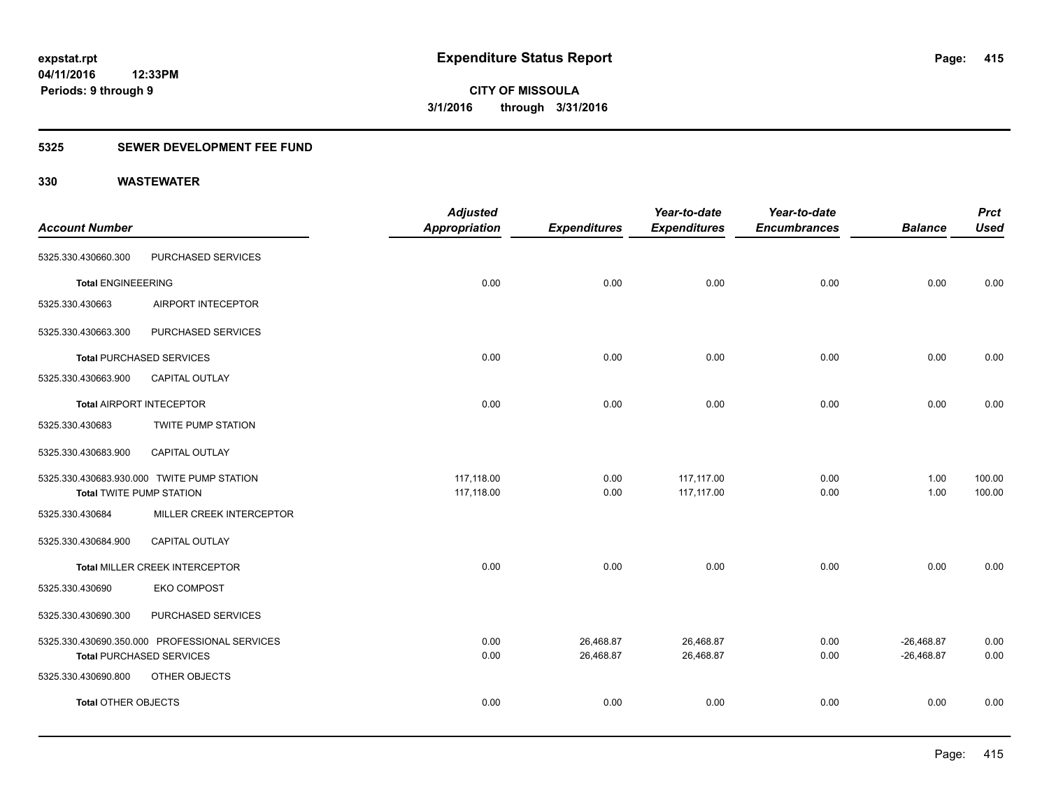### **5325 SEWER DEVELOPMENT FEE FUND**

|                                 |                                               | <b>Adjusted</b>      |                     | Year-to-date        | Year-to-date        |                | <b>Prct</b> |
|---------------------------------|-----------------------------------------------|----------------------|---------------------|---------------------|---------------------|----------------|-------------|
| <b>Account Number</b>           |                                               | <b>Appropriation</b> | <b>Expenditures</b> | <b>Expenditures</b> | <b>Encumbrances</b> | <b>Balance</b> | <b>Used</b> |
| 5325.330.430660.300             | PURCHASED SERVICES                            |                      |                     |                     |                     |                |             |
| <b>Total ENGINEEERING</b>       |                                               | 0.00                 | 0.00                | 0.00                | 0.00                | 0.00           | 0.00        |
| 5325.330.430663                 | AIRPORT INTECEPTOR                            |                      |                     |                     |                     |                |             |
| 5325.330.430663.300             | PURCHASED SERVICES                            |                      |                     |                     |                     |                |             |
|                                 | <b>Total PURCHASED SERVICES</b>               | 0.00                 | 0.00                | 0.00                | 0.00                | 0.00           | 0.00        |
| 5325.330.430663.900             | CAPITAL OUTLAY                                |                      |                     |                     |                     |                |             |
| <b>Total AIRPORT INTECEPTOR</b> |                                               | 0.00                 | 0.00                | 0.00                | 0.00                | 0.00           | 0.00        |
| 5325.330.430683                 | <b>TWITE PUMP STATION</b>                     |                      |                     |                     |                     |                |             |
| 5325.330.430683.900             | <b>CAPITAL OUTLAY</b>                         |                      |                     |                     |                     |                |             |
|                                 | 5325.330.430683.930.000 TWITE PUMP STATION    | 117,118.00           | 0.00                | 117,117.00          | 0.00                | 1.00           | 100.00      |
| <b>Total TWITE PUMP STATION</b> |                                               | 117,118.00           | 0.00                | 117,117.00          | 0.00                | 1.00           | 100.00      |
| 5325.330.430684                 | MILLER CREEK INTERCEPTOR                      |                      |                     |                     |                     |                |             |
| 5325.330.430684.900             | CAPITAL OUTLAY                                |                      |                     |                     |                     |                |             |
|                                 | Total MILLER CREEK INTERCEPTOR                | 0.00                 | 0.00                | 0.00                | 0.00                | 0.00           | 0.00        |
| 5325.330.430690                 | <b>EKO COMPOST</b>                            |                      |                     |                     |                     |                |             |
| 5325.330.430690.300             | PURCHASED SERVICES                            |                      |                     |                     |                     |                |             |
|                                 | 5325.330.430690.350.000 PROFESSIONAL SERVICES | 0.00                 | 26,468.87           | 26,468.87           | 0.00                | $-26,468.87$   | 0.00        |
|                                 | <b>Total PURCHASED SERVICES</b>               | 0.00                 | 26,468.87           | 26,468.87           | 0.00                | $-26,468.87$   | 0.00        |
| 5325.330.430690.800             | OTHER OBJECTS                                 |                      |                     |                     |                     |                |             |
| <b>Total OTHER OBJECTS</b>      |                                               | 0.00                 | 0.00                | 0.00                | 0.00                | 0.00           | 0.00        |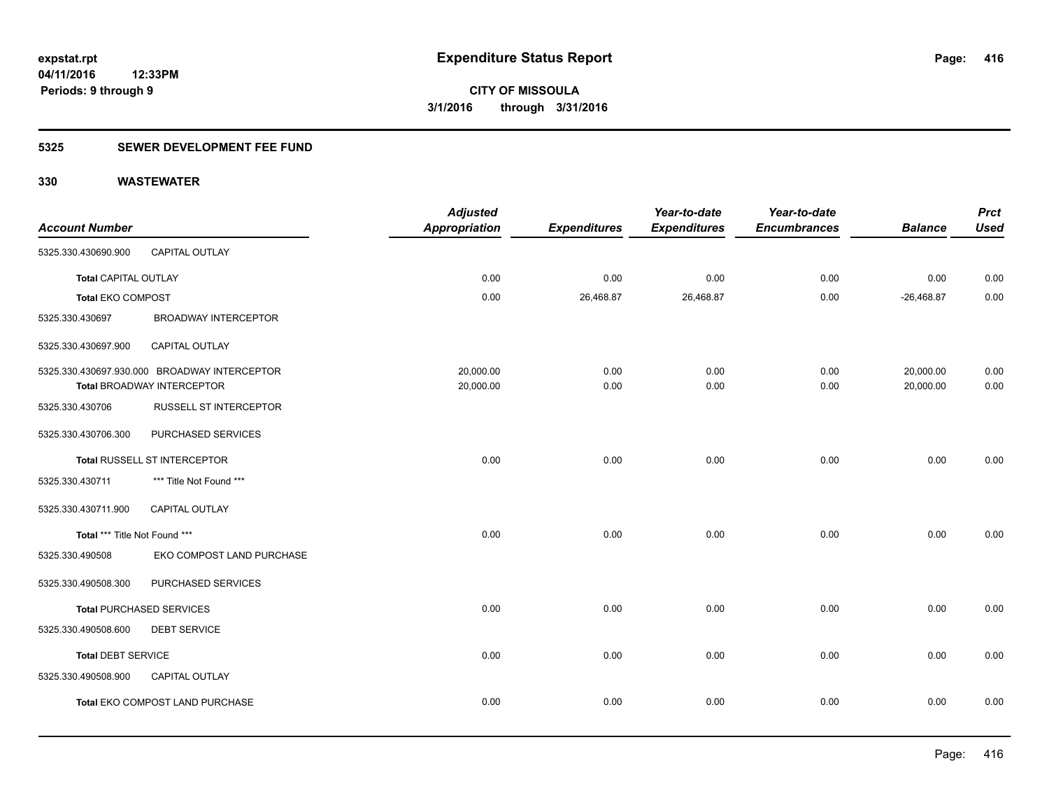### **5325 SEWER DEVELOPMENT FEE FUND**

| <b>Account Number</b>         |                                                                            | <b>Adjusted</b><br><b>Appropriation</b> | <b>Expenditures</b> | Year-to-date<br><b>Expenditures</b> | Year-to-date<br><b>Encumbrances</b> | <b>Balance</b>         | <b>Prct</b><br><b>Used</b> |
|-------------------------------|----------------------------------------------------------------------------|-----------------------------------------|---------------------|-------------------------------------|-------------------------------------|------------------------|----------------------------|
| 5325.330.430690.900           | CAPITAL OUTLAY                                                             |                                         |                     |                                     |                                     |                        |                            |
| <b>Total CAPITAL OUTLAY</b>   |                                                                            | 0.00                                    | 0.00                | 0.00                                | 0.00                                | 0.00                   | 0.00                       |
| <b>Total EKO COMPOST</b>      |                                                                            | 0.00                                    | 26,468.87           | 26,468.87                           | 0.00                                | $-26,468.87$           | 0.00                       |
| 5325.330.430697               | <b>BROADWAY INTERCEPTOR</b>                                                |                                         |                     |                                     |                                     |                        |                            |
| 5325.330.430697.900           | CAPITAL OUTLAY                                                             |                                         |                     |                                     |                                     |                        |                            |
|                               | 5325.330.430697.930.000 BROADWAY INTERCEPTOR<br>Total BROADWAY INTERCEPTOR | 20,000.00<br>20,000.00                  | 0.00<br>0.00        | 0.00<br>0.00                        | 0.00<br>0.00                        | 20,000.00<br>20,000.00 | 0.00<br>0.00               |
| 5325.330.430706               | <b>RUSSELL ST INTERCEPTOR</b>                                              |                                         |                     |                                     |                                     |                        |                            |
| 5325.330.430706.300           | PURCHASED SERVICES                                                         |                                         |                     |                                     |                                     |                        |                            |
|                               | Total RUSSELL ST INTERCEPTOR                                               | 0.00                                    | 0.00                | 0.00                                | 0.00                                | 0.00                   | 0.00                       |
| 5325.330.430711               | *** Title Not Found ***                                                    |                                         |                     |                                     |                                     |                        |                            |
| 5325.330.430711.900           | <b>CAPITAL OUTLAY</b>                                                      |                                         |                     |                                     |                                     |                        |                            |
| Total *** Title Not Found *** |                                                                            | 0.00                                    | 0.00                | 0.00                                | 0.00                                | 0.00                   | 0.00                       |
| 5325.330.490508               | EKO COMPOST LAND PURCHASE                                                  |                                         |                     |                                     |                                     |                        |                            |
| 5325.330.490508.300           | PURCHASED SERVICES                                                         |                                         |                     |                                     |                                     |                        |                            |
|                               | <b>Total PURCHASED SERVICES</b>                                            | 0.00                                    | 0.00                | 0.00                                | 0.00                                | 0.00                   | 0.00                       |
| 5325.330.490508.600           | <b>DEBT SERVICE</b>                                                        |                                         |                     |                                     |                                     |                        |                            |
| <b>Total DEBT SERVICE</b>     |                                                                            | 0.00                                    | 0.00                | 0.00                                | 0.00                                | 0.00                   | 0.00                       |
| 5325.330.490508.900           | CAPITAL OUTLAY                                                             |                                         |                     |                                     |                                     |                        |                            |
|                               | Total EKO COMPOST LAND PURCHASE                                            | 0.00                                    | 0.00                | 0.00                                | 0.00                                | 0.00                   | 0.00                       |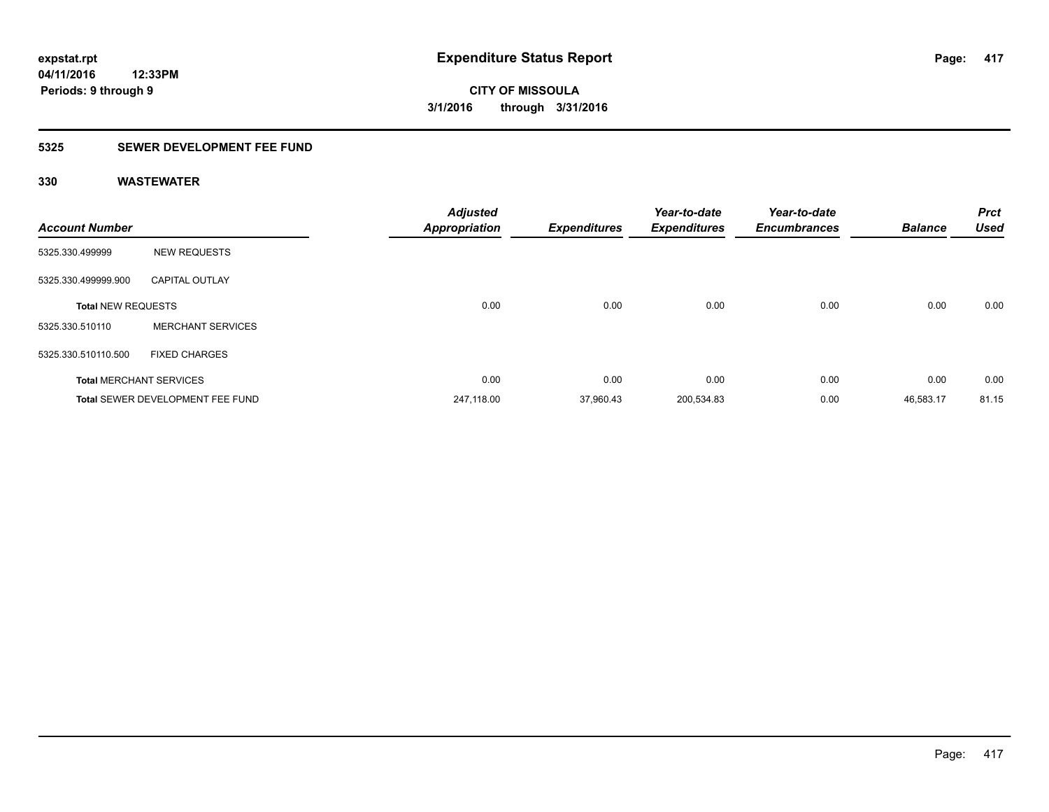### **5325 SEWER DEVELOPMENT FEE FUND**

| <b>Account Number</b>     |                                         | <b>Adjusted</b><br><b>Appropriation</b> | <b>Expenditures</b> | Year-to-date<br><b>Expenditures</b> | Year-to-date<br><b>Encumbrances</b> | <b>Balance</b> | <b>Prct</b><br><b>Used</b> |
|---------------------------|-----------------------------------------|-----------------------------------------|---------------------|-------------------------------------|-------------------------------------|----------------|----------------------------|
| 5325.330.499999           | <b>NEW REQUESTS</b>                     |                                         |                     |                                     |                                     |                |                            |
| 5325.330.499999.900       | <b>CAPITAL OUTLAY</b>                   |                                         |                     |                                     |                                     |                |                            |
| <b>Total NEW REQUESTS</b> |                                         | 0.00                                    | 0.00                | 0.00                                | 0.00                                | 0.00           | 0.00                       |
| 5325.330.510110           | <b>MERCHANT SERVICES</b>                |                                         |                     |                                     |                                     |                |                            |
| 5325.330.510110.500       | <b>FIXED CHARGES</b>                    |                                         |                     |                                     |                                     |                |                            |
|                           | <b>Total MERCHANT SERVICES</b>          | 0.00                                    | 0.00                | 0.00                                | 0.00                                | 0.00           | 0.00                       |
|                           | <b>Total SEWER DEVELOPMENT FEE FUND</b> | 247.118.00                              | 37,960.43           | 200,534.83                          | 0.00                                | 46,583.17      | 81.15                      |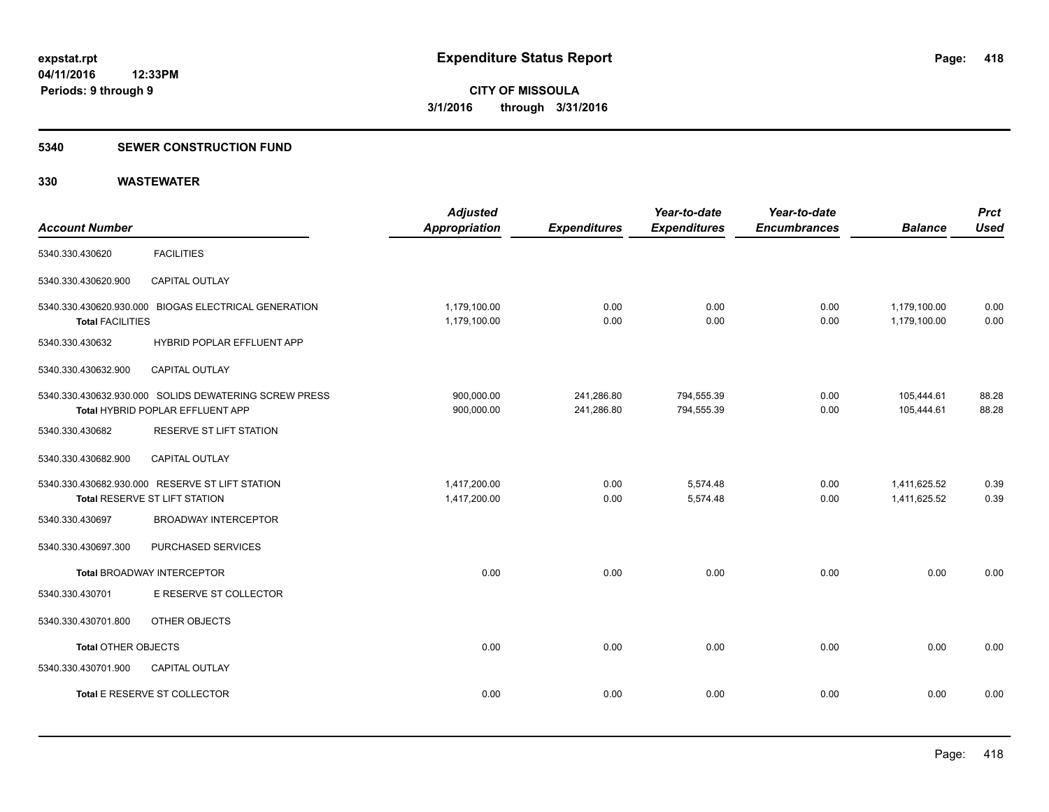#### **5340 SEWER CONSTRUCTION FUND**

| <b>Account Number</b>      |                                                                                           | <b>Adjusted</b><br><b>Appropriation</b> | <b>Expenditures</b>      | Year-to-date<br><b>Expenditures</b> | Year-to-date<br><b>Encumbrances</b> | <b>Balance</b>               | <b>Prct</b><br><b>Used</b> |
|----------------------------|-------------------------------------------------------------------------------------------|-----------------------------------------|--------------------------|-------------------------------------|-------------------------------------|------------------------------|----------------------------|
| 5340.330.430620            | <b>FACILITIES</b>                                                                         |                                         |                          |                                     |                                     |                              |                            |
| 5340.330.430620.900        | <b>CAPITAL OUTLAY</b>                                                                     |                                         |                          |                                     |                                     |                              |                            |
| <b>Total FACILITIES</b>    | 5340.330.430620.930.000 BIOGAS ELECTRICAL GENERATION                                      | 1,179,100.00<br>1,179,100.00            | 0.00<br>0.00             | 0.00<br>0.00                        | 0.00<br>0.00                        | 1,179,100.00<br>1,179,100.00 | 0.00<br>0.00               |
| 5340.330.430632            | HYBRID POPLAR EFFLUENT APP                                                                |                                         |                          |                                     |                                     |                              |                            |
| 5340.330.430632.900        | <b>CAPITAL OUTLAY</b>                                                                     |                                         |                          |                                     |                                     |                              |                            |
|                            | 5340.330.430632.930.000 SOLIDS DEWATERING SCREW PRESS<br>Total HYBRID POPLAR EFFLUENT APP | 900,000.00<br>900,000.00                | 241,286.80<br>241,286.80 | 794,555.39<br>794,555.39            | 0.00<br>0.00                        | 105,444.61<br>105.444.61     | 88.28<br>88.28             |
| 5340.330.430682            | RESERVE ST LIFT STATION                                                                   |                                         |                          |                                     |                                     |                              |                            |
| 5340.330.430682.900        | CAPITAL OUTLAY                                                                            |                                         |                          |                                     |                                     |                              |                            |
|                            | 5340.330.430682.930.000 RESERVE ST LIFT STATION<br>Total RESERVE ST LIFT STATION          | 1,417,200.00<br>1,417,200.00            | 0.00<br>0.00             | 5,574.48<br>5,574.48                | 0.00<br>0.00                        | 1,411,625.52<br>1,411,625.52 | 0.39<br>0.39               |
| 5340.330.430697            | <b>BROADWAY INTERCEPTOR</b>                                                               |                                         |                          |                                     |                                     |                              |                            |
| 5340.330.430697.300        | PURCHASED SERVICES                                                                        |                                         |                          |                                     |                                     |                              |                            |
|                            | <b>Total BROADWAY INTERCEPTOR</b>                                                         | 0.00                                    | 0.00                     | 0.00                                | 0.00                                | 0.00                         | 0.00                       |
| 5340.330.430701            | E RESERVE ST COLLECTOR                                                                    |                                         |                          |                                     |                                     |                              |                            |
| 5340.330.430701.800        | OTHER OBJECTS                                                                             |                                         |                          |                                     |                                     |                              |                            |
| <b>Total OTHER OBJECTS</b> |                                                                                           | 0.00                                    | 0.00                     | 0.00                                | 0.00                                | 0.00                         | 0.00                       |
| 5340.330.430701.900        | CAPITAL OUTLAY                                                                            |                                         |                          |                                     |                                     |                              |                            |
|                            | Total E RESERVE ST COLLECTOR                                                              | 0.00                                    | 0.00                     | 0.00                                | 0.00                                | 0.00                         | 0.00                       |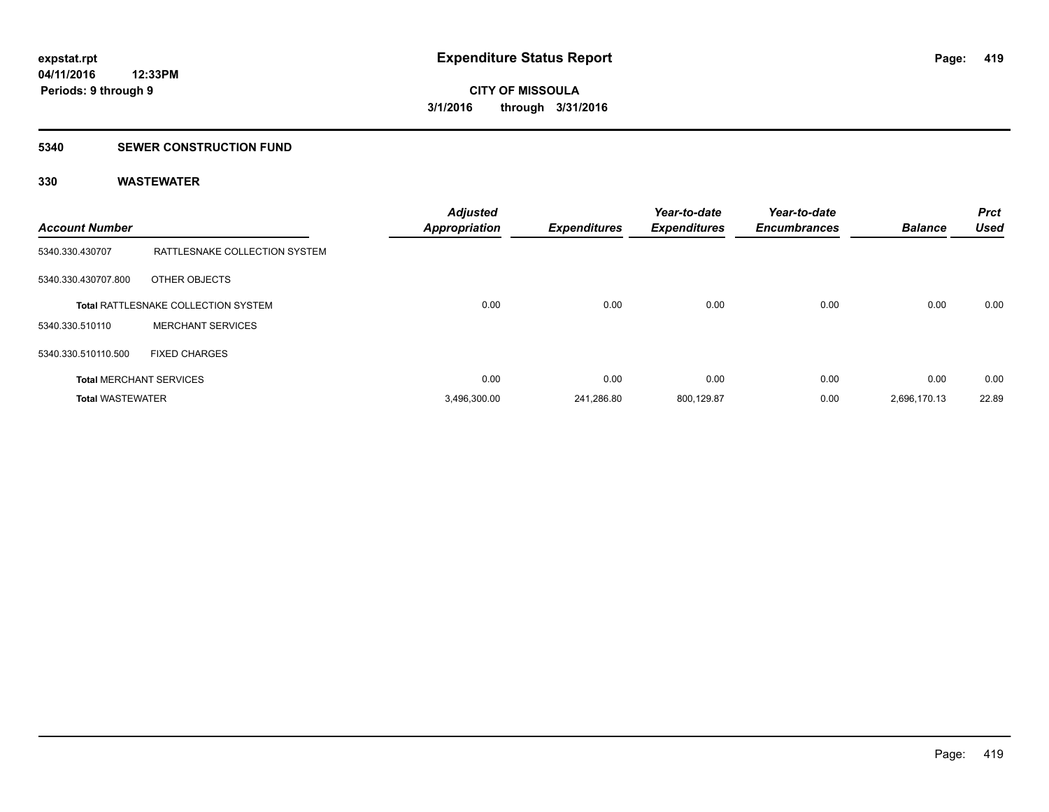#### **5340 SEWER CONSTRUCTION FUND**

| <b>Account Number</b>   |                                            | <b>Adjusted</b><br><b>Appropriation</b> | <b>Expenditures</b> | Year-to-date<br><b>Expenditures</b> | Year-to-date<br><b>Encumbrances</b> | <b>Balance</b> | <b>Prct</b><br><b>Used</b> |
|-------------------------|--------------------------------------------|-----------------------------------------|---------------------|-------------------------------------|-------------------------------------|----------------|----------------------------|
| 5340.330.430707         | RATTLESNAKE COLLECTION SYSTEM              |                                         |                     |                                     |                                     |                |                            |
| 5340.330.430707.800     | OTHER OBJECTS                              |                                         |                     |                                     |                                     |                |                            |
|                         | <b>Total RATTLESNAKE COLLECTION SYSTEM</b> | 0.00                                    | 0.00                | 0.00                                | 0.00                                | 0.00           | 0.00                       |
| 5340.330.510110         | <b>MERCHANT SERVICES</b>                   |                                         |                     |                                     |                                     |                |                            |
| 5340.330.510110.500     | <b>FIXED CHARGES</b>                       |                                         |                     |                                     |                                     |                |                            |
|                         | <b>Total MERCHANT SERVICES</b>             | 0.00                                    | 0.00                | 0.00                                | 0.00                                | 0.00           | 0.00                       |
| <b>Total WASTEWATER</b> |                                            | 3,496,300.00                            | 241.286.80          | 800,129.87                          | 0.00                                | 2,696,170.13   | 22.89                      |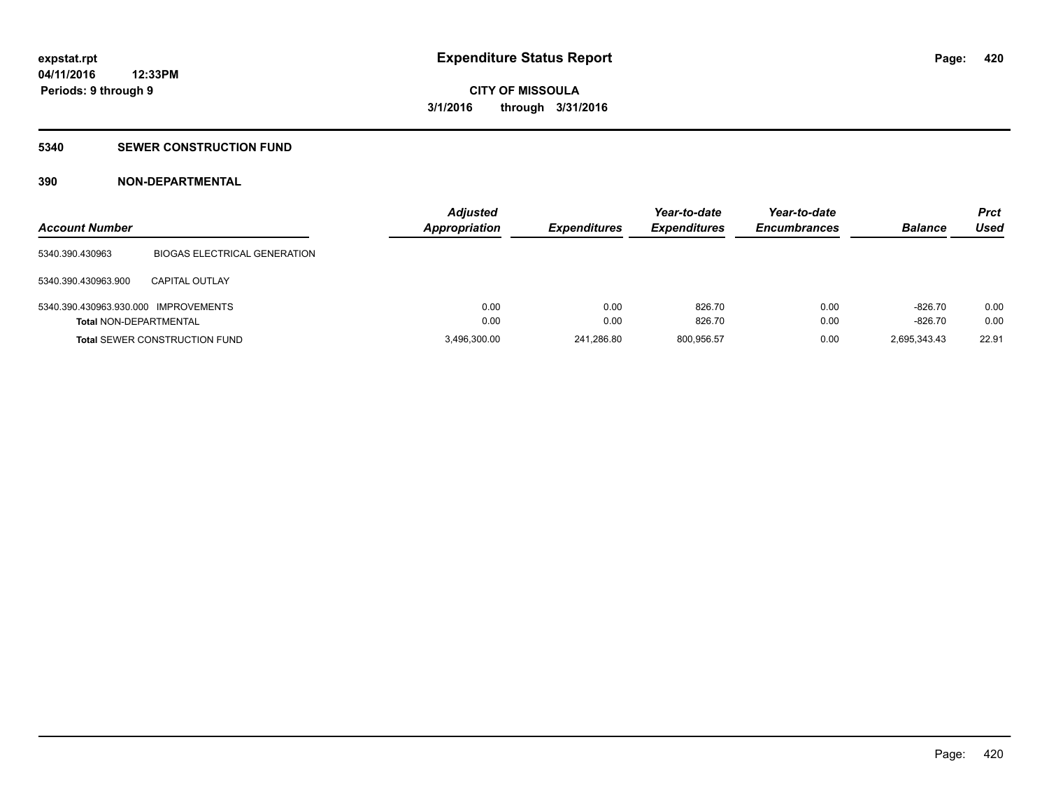#### **5340 SEWER CONSTRUCTION FUND**

### **390 NON-DEPARTMENTAL**

| <b>Account Number</b>                |                                      | <b>Adjusted</b><br><b>Appropriation</b> | <b>Expenditures</b> | Year-to-date<br><b>Expenditures</b> | Year-to-date<br><b>Encumbrances</b> | <b>Balance</b> | Prct<br>Used |
|--------------------------------------|--------------------------------------|-----------------------------------------|---------------------|-------------------------------------|-------------------------------------|----------------|--------------|
| 5340.390.430963                      | <b>BIOGAS ELECTRICAL GENERATION</b>  |                                         |                     |                                     |                                     |                |              |
| 5340.390.430963.900                  | <b>CAPITAL OUTLAY</b>                |                                         |                     |                                     |                                     |                |              |
| 5340.390.430963.930.000 IMPROVEMENTS |                                      | 0.00                                    | 0.00                | 826.70                              | 0.00                                | $-826.70$      | 0.00         |
| <b>Total NON-DEPARTMENTAL</b>        |                                      | 0.00                                    | 0.00                | 826.70                              | 0.00                                | $-826.70$      | 0.00         |
|                                      | <b>Total SEWER CONSTRUCTION FUND</b> | 3,496,300.00                            | 241.286.80          | 800,956.57                          | 0.00                                | 2,695,343.43   | 22.91        |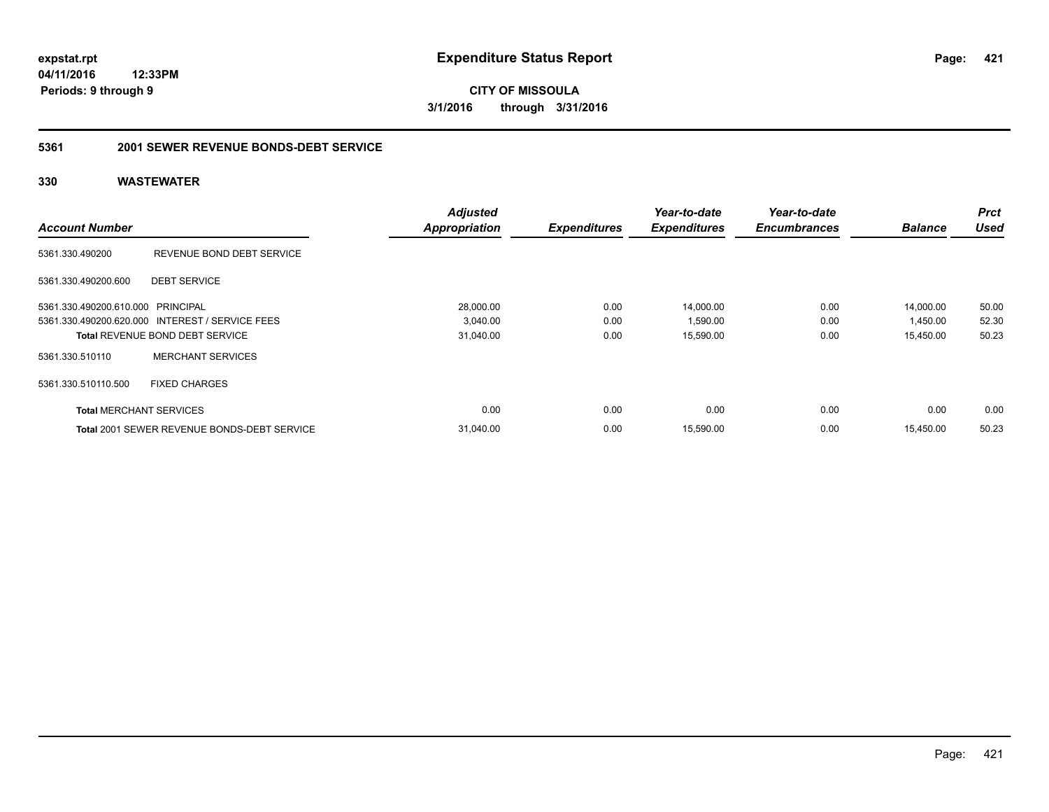**CITY OF MISSOULA 3/1/2016 through 3/31/2016**

#### **5361 2001 SEWER REVENUE BONDS-DEBT SERVICE**

|                                   |                                                    | <b>Adjusted</b>      |                     | Year-to-date        | Year-to-date        |                | <b>Prct</b> |
|-----------------------------------|----------------------------------------------------|----------------------|---------------------|---------------------|---------------------|----------------|-------------|
| <b>Account Number</b>             |                                                    | <b>Appropriation</b> | <b>Expenditures</b> | <b>Expenditures</b> | <b>Encumbrances</b> | <b>Balance</b> | <b>Used</b> |
| 5361.330.490200                   | REVENUE BOND DEBT SERVICE                          |                      |                     |                     |                     |                |             |
| 5361.330.490200.600               | <b>DEBT SERVICE</b>                                |                      |                     |                     |                     |                |             |
| 5361.330.490200.610.000 PRINCIPAL |                                                    | 28,000.00            | 0.00                | 14,000.00           | 0.00                | 14,000.00      | 50.00       |
|                                   | 5361.330.490200.620.000 INTEREST / SERVICE FEES    | 3,040.00             | 0.00                | 1,590.00            | 0.00                | 1,450.00       | 52.30       |
|                                   | <b>Total REVENUE BOND DEBT SERVICE</b>             | 31,040.00            | 0.00                | 15,590.00           | 0.00                | 15,450.00      | 50.23       |
| 5361.330.510110                   | <b>MERCHANT SERVICES</b>                           |                      |                     |                     |                     |                |             |
| 5361.330.510110.500               | <b>FIXED CHARGES</b>                               |                      |                     |                     |                     |                |             |
| <b>Total MERCHANT SERVICES</b>    |                                                    | 0.00                 | 0.00                | 0.00                | 0.00                | 0.00           | 0.00        |
|                                   | <b>Total 2001 SEWER REVENUE BONDS-DEBT SERVICE</b> | 31,040.00            | 0.00                | 15,590.00           | 0.00                | 15,450.00      | 50.23       |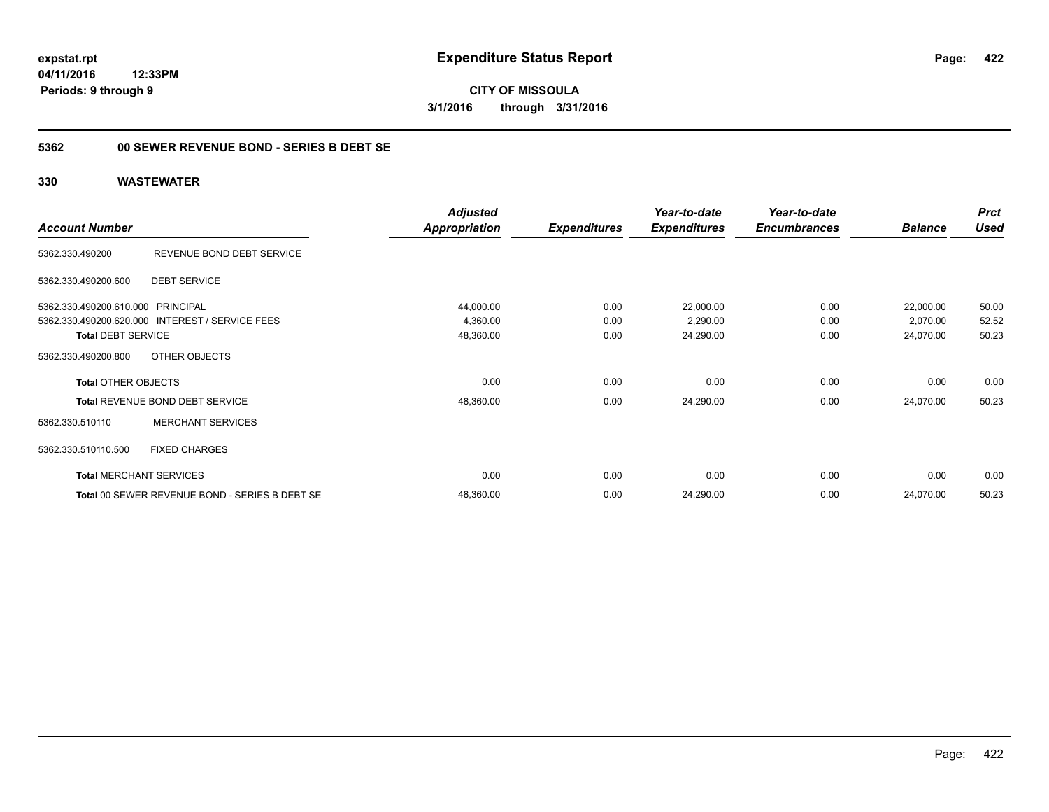**CITY OF MISSOULA 3/1/2016 through 3/31/2016**

### **5362 00 SEWER REVENUE BOND - SERIES B DEBT SE**

|                                   |                                                 | <b>Adjusted</b>      |                     | Year-to-date        | Year-to-date        |                | <b>Prct</b> |
|-----------------------------------|-------------------------------------------------|----------------------|---------------------|---------------------|---------------------|----------------|-------------|
| <b>Account Number</b>             |                                                 | <b>Appropriation</b> | <b>Expenditures</b> | <b>Expenditures</b> | <b>Encumbrances</b> | <b>Balance</b> | <b>Used</b> |
| 5362.330.490200                   | REVENUE BOND DEBT SERVICE                       |                      |                     |                     |                     |                |             |
| 5362.330.490200.600               | <b>DEBT SERVICE</b>                             |                      |                     |                     |                     |                |             |
| 5362.330.490200.610.000 PRINCIPAL |                                                 | 44,000.00            | 0.00                | 22,000.00           | 0.00                | 22,000.00      | 50.00       |
|                                   | 5362.330.490200.620.000 INTEREST / SERVICE FEES | 4,360.00             | 0.00                | 2,290.00            | 0.00                | 2,070.00       | 52.52       |
| <b>Total DEBT SERVICE</b>         |                                                 | 48,360.00            | 0.00                | 24,290.00           | 0.00                | 24,070.00      | 50.23       |
| 5362.330.490200.800               | OTHER OBJECTS                                   |                      |                     |                     |                     |                |             |
| <b>Total OTHER OBJECTS</b>        |                                                 | 0.00                 | 0.00                | 0.00                | 0.00                | 0.00           | 0.00        |
|                                   | Total REVENUE BOND DEBT SERVICE                 | 48,360.00            | 0.00                | 24,290.00           | 0.00                | 24,070.00      | 50.23       |
| 5362.330.510110                   | <b>MERCHANT SERVICES</b>                        |                      |                     |                     |                     |                |             |
| 5362.330.510110.500               | <b>FIXED CHARGES</b>                            |                      |                     |                     |                     |                |             |
|                                   | <b>Total MERCHANT SERVICES</b>                  | 0.00                 | 0.00                | 0.00                | 0.00                | 0.00           | 0.00        |
|                                   | Total 00 SEWER REVENUE BOND - SERIES B DEBT SE  | 48,360.00            | 0.00                | 24,290.00           | 0.00                | 24,070.00      | 50.23       |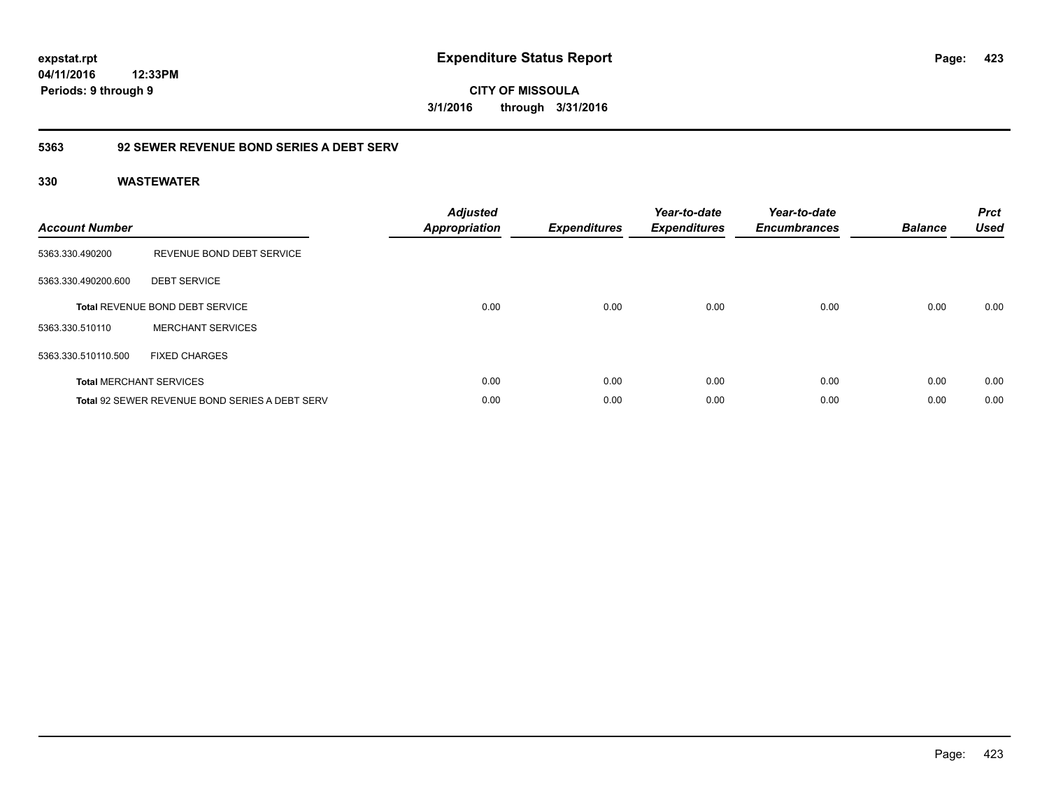**CITY OF MISSOULA 3/1/2016 through 3/31/2016**

### **5363 92 SEWER REVENUE BOND SERIES A DEBT SERV**

| <b>Account Number</b> |                                                       | <b>Adjusted</b><br><b>Appropriation</b> | <b>Expenditures</b> | Year-to-date<br><b>Expenditures</b> | Year-to-date<br><b>Encumbrances</b> | <b>Balance</b> | <b>Prct</b><br><b>Used</b> |
|-----------------------|-------------------------------------------------------|-----------------------------------------|---------------------|-------------------------------------|-------------------------------------|----------------|----------------------------|
| 5363.330.490200       | REVENUE BOND DEBT SERVICE                             |                                         |                     |                                     |                                     |                |                            |
| 5363.330.490200.600   | <b>DEBT SERVICE</b>                                   |                                         |                     |                                     |                                     |                |                            |
|                       | <b>Total REVENUE BOND DEBT SERVICE</b>                | 0.00                                    | 0.00                | 0.00                                | 0.00                                | 0.00           | 0.00                       |
| 5363.330.510110       | <b>MERCHANT SERVICES</b>                              |                                         |                     |                                     |                                     |                |                            |
| 5363.330.510110.500   | <b>FIXED CHARGES</b>                                  |                                         |                     |                                     |                                     |                |                            |
|                       | <b>Total MERCHANT SERVICES</b>                        | 0.00                                    | 0.00                | 0.00                                | 0.00                                | 0.00           | 0.00                       |
|                       | <b>Total 92 SEWER REVENUE BOND SERIES A DEBT SERV</b> | 0.00                                    | 0.00                | 0.00                                | 0.00                                | 0.00           | 0.00                       |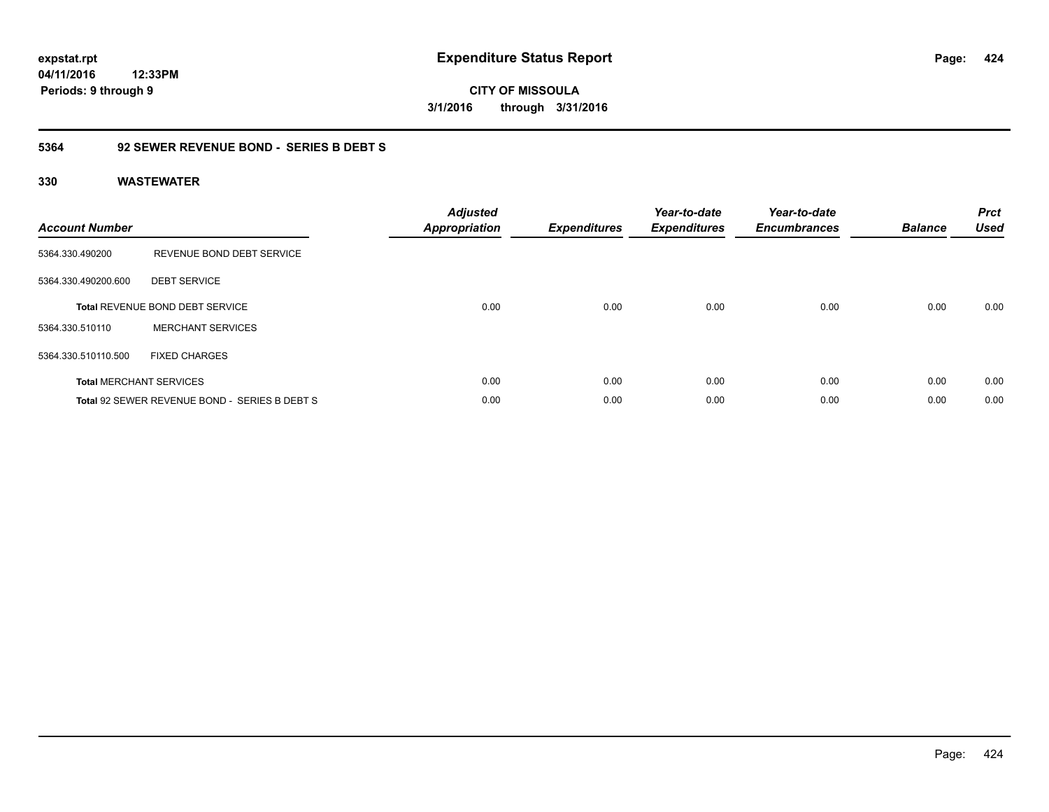**424**

**04/11/2016 12:33PM Periods: 9 through 9**

**CITY OF MISSOULA 3/1/2016 through 3/31/2016**

### **5364 92 SEWER REVENUE BOND - SERIES B DEBT S**

| <b>Account Number</b> |                                               | <b>Adjusted</b><br><b>Appropriation</b> | <b>Expenditures</b> | Year-to-date<br><b>Expenditures</b> | Year-to-date<br><b>Encumbrances</b> | <b>Balance</b> | <b>Prct</b><br><b>Used</b> |
|-----------------------|-----------------------------------------------|-----------------------------------------|---------------------|-------------------------------------|-------------------------------------|----------------|----------------------------|
| 5364.330.490200       | REVENUE BOND DEBT SERVICE                     |                                         |                     |                                     |                                     |                |                            |
| 5364.330.490200.600   | <b>DEBT SERVICE</b>                           |                                         |                     |                                     |                                     |                |                            |
|                       | Total REVENUE BOND DEBT SERVICE               | 0.00                                    | 0.00                | 0.00                                | 0.00                                | 0.00           | 0.00                       |
| 5364.330.510110       | <b>MERCHANT SERVICES</b>                      |                                         |                     |                                     |                                     |                |                            |
| 5364.330.510110.500   | <b>FIXED CHARGES</b>                          |                                         |                     |                                     |                                     |                |                            |
|                       | <b>Total MERCHANT SERVICES</b>                | 0.00                                    | 0.00                | 0.00                                | 0.00                                | 0.00           | 0.00                       |
|                       | Total 92 SEWER REVENUE BOND - SERIES B DEBT S | 0.00                                    | 0.00                | 0.00                                | 0.00                                | 0.00           | 0.00                       |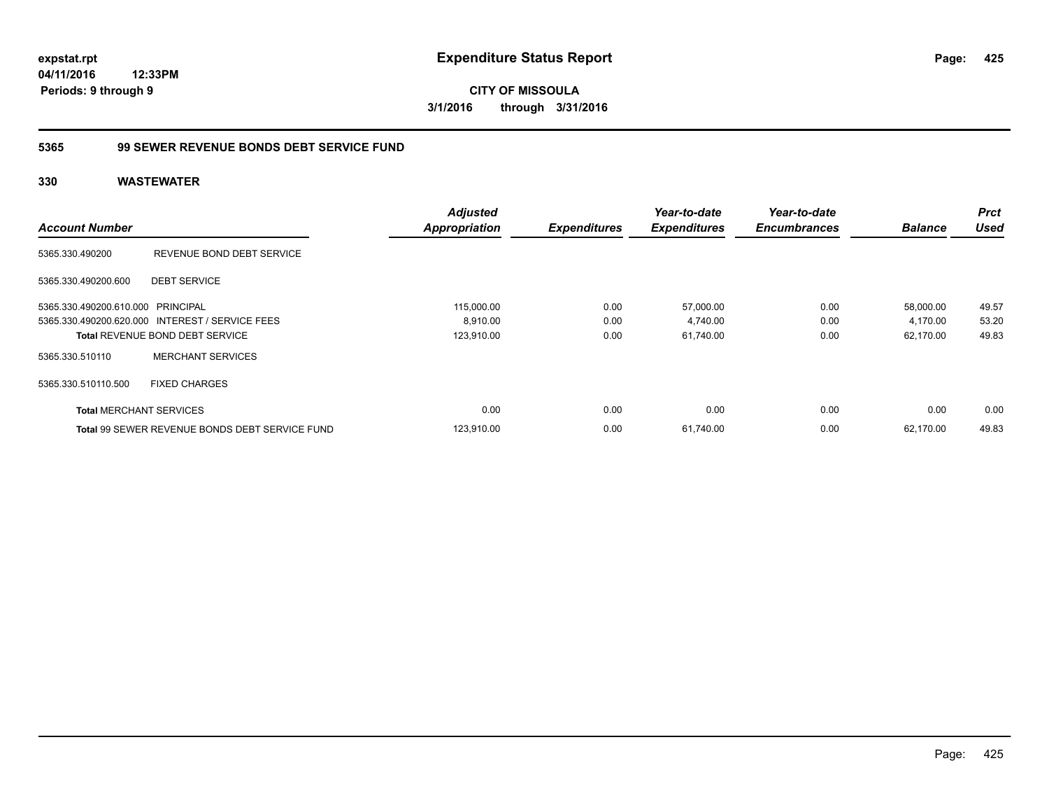**CITY OF MISSOULA 3/1/2016 through 3/31/2016**

### **5365 99 SEWER REVENUE BONDS DEBT SERVICE FUND**

|                                   |                                                       | <b>Adjusted</b>      |                     | Year-to-date        | Year-to-date        |                | <b>Prct</b> |
|-----------------------------------|-------------------------------------------------------|----------------------|---------------------|---------------------|---------------------|----------------|-------------|
| <b>Account Number</b>             |                                                       | <b>Appropriation</b> | <b>Expenditures</b> | <b>Expenditures</b> | <b>Encumbrances</b> | <b>Balance</b> | <b>Used</b> |
| 5365.330.490200                   | REVENUE BOND DEBT SERVICE                             |                      |                     |                     |                     |                |             |
| 5365.330.490200.600               | <b>DEBT SERVICE</b>                                   |                      |                     |                     |                     |                |             |
| 5365.330.490200.610.000 PRINCIPAL |                                                       | 115,000.00           | 0.00                | 57,000.00           | 0.00                | 58,000.00      | 49.57       |
|                                   | 5365.330.490200.620.000 INTEREST / SERVICE FEES       | 8,910.00             | 0.00                | 4,740.00            | 0.00                | 4,170.00       | 53.20       |
|                                   | <b>Total REVENUE BOND DEBT SERVICE</b>                | 123,910.00           | 0.00                | 61,740.00           | 0.00                | 62,170.00      | 49.83       |
| 5365.330.510110                   | <b>MERCHANT SERVICES</b>                              |                      |                     |                     |                     |                |             |
| 5365.330.510110.500               | <b>FIXED CHARGES</b>                                  |                      |                     |                     |                     |                |             |
| <b>Total MERCHANT SERVICES</b>    |                                                       | 0.00                 | 0.00                | 0.00                | 0.00                | 0.00           | 0.00        |
|                                   | <b>Total 99 SEWER REVENUE BONDS DEBT SERVICE FUND</b> | 123,910.00           | 0.00                | 61,740.00           | 0.00                | 62.170.00      | 49.83       |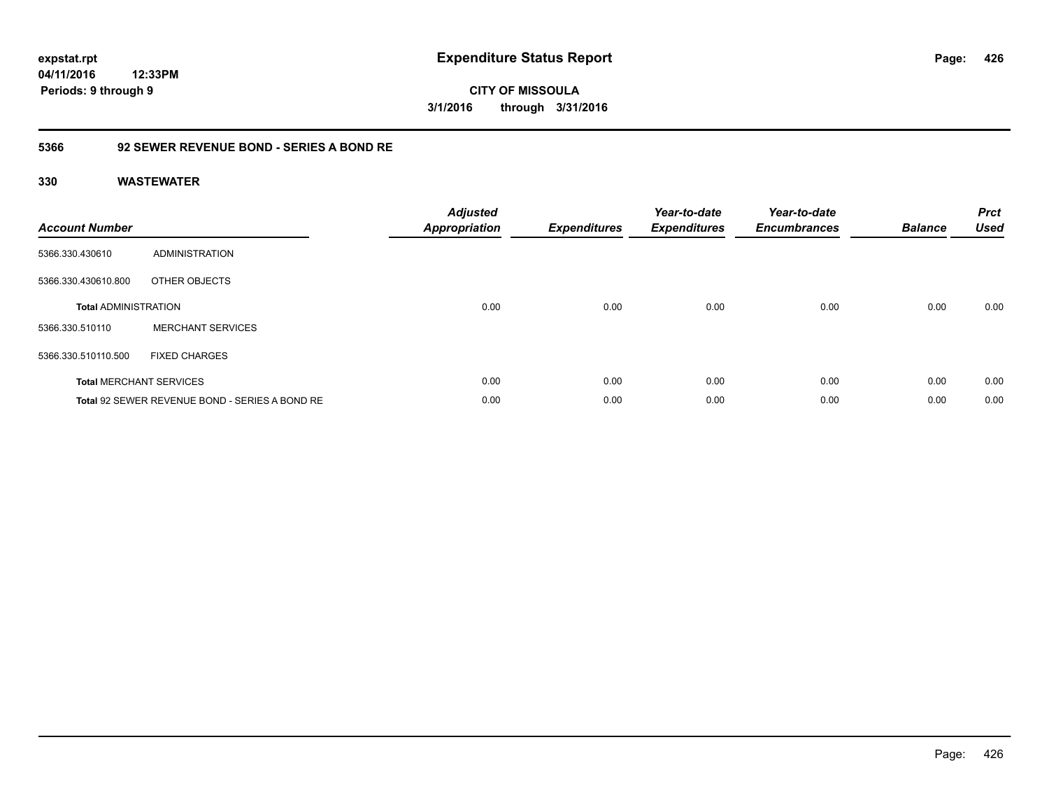**CITY OF MISSOULA 3/1/2016 through 3/31/2016**

### **5366 92 SEWER REVENUE BOND - SERIES A BOND RE**

| <b>Account Number</b>       |                                                | <b>Adjusted</b><br><b>Appropriation</b> | <b>Expenditures</b> | Year-to-date<br><b>Expenditures</b> | Year-to-date<br><b>Encumbrances</b> | <b>Balance</b> | <b>Prct</b><br><b>Used</b> |
|-----------------------------|------------------------------------------------|-----------------------------------------|---------------------|-------------------------------------|-------------------------------------|----------------|----------------------------|
| 5366.330.430610             | <b>ADMINISTRATION</b>                          |                                         |                     |                                     |                                     |                |                            |
| 5366.330.430610.800         | OTHER OBJECTS                                  |                                         |                     |                                     |                                     |                |                            |
| <b>Total ADMINISTRATION</b> |                                                | 0.00                                    | 0.00                | 0.00                                | 0.00                                | 0.00           | 0.00                       |
| 5366.330.510110             | <b>MERCHANT SERVICES</b>                       |                                         |                     |                                     |                                     |                |                            |
| 5366.330.510110.500         | <b>FIXED CHARGES</b>                           |                                         |                     |                                     |                                     |                |                            |
|                             | <b>Total MERCHANT SERVICES</b>                 | 0.00                                    | 0.00                | 0.00                                | 0.00                                | 0.00           | 0.00                       |
|                             | Total 92 SEWER REVENUE BOND - SERIES A BOND RE | 0.00                                    | 0.00                | 0.00                                | 0.00                                | 0.00           | 0.00                       |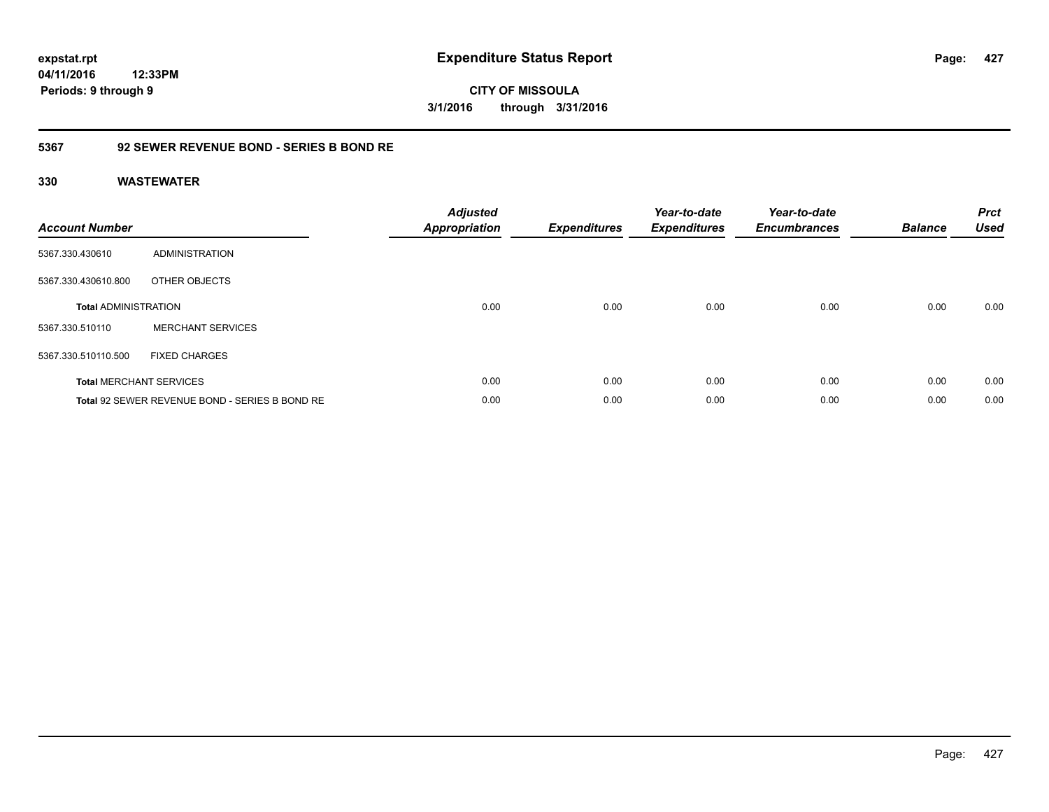**427**

**04/11/2016 12:33PM Periods: 9 through 9**

**CITY OF MISSOULA 3/1/2016 through 3/31/2016**

### **5367 92 SEWER REVENUE BOND - SERIES B BOND RE**

| <b>Account Number</b>       |                                                | <b>Adjusted</b><br><b>Appropriation</b> | <b>Expenditures</b> | Year-to-date<br><b>Expenditures</b> | Year-to-date<br><b>Encumbrances</b> | <b>Balance</b> | <b>Prct</b><br><b>Used</b> |
|-----------------------------|------------------------------------------------|-----------------------------------------|---------------------|-------------------------------------|-------------------------------------|----------------|----------------------------|
| 5367.330.430610             | ADMINISTRATION                                 |                                         |                     |                                     |                                     |                |                            |
| 5367.330.430610.800         | OTHER OBJECTS                                  |                                         |                     |                                     |                                     |                |                            |
| <b>Total ADMINISTRATION</b> |                                                | 0.00                                    | 0.00                | 0.00                                | 0.00                                | 0.00           | 0.00                       |
| 5367.330.510110             | <b>MERCHANT SERVICES</b>                       |                                         |                     |                                     |                                     |                |                            |
| 5367.330.510110.500         | <b>FIXED CHARGES</b>                           |                                         |                     |                                     |                                     |                |                            |
|                             | <b>Total MERCHANT SERVICES</b>                 | 0.00                                    | 0.00                | 0.00                                | 0.00                                | 0.00           | 0.00                       |
|                             | Total 92 SEWER REVENUE BOND - SERIES B BOND RE | 0.00                                    | 0.00                | 0.00                                | 0.00                                | 0.00           | 0.00                       |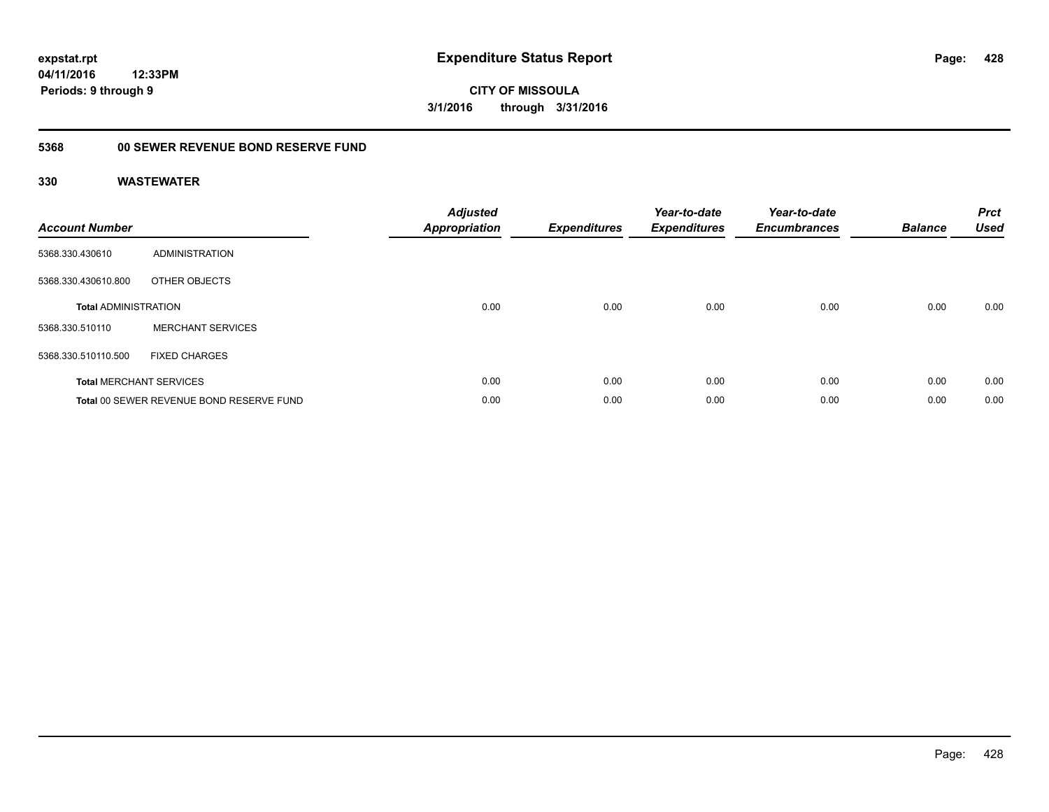**428**

**CITY OF MISSOULA 3/1/2016 through 3/31/2016**

## **5368 00 SEWER REVENUE BOND RESERVE FUND**

| <b>Account Number</b>       |                                          | <b>Adjusted</b><br>Appropriation | <b>Expenditures</b> | Year-to-date<br><b>Expenditures</b> | Year-to-date<br><b>Encumbrances</b> | <b>Balance</b> | <b>Prct</b><br><b>Used</b> |
|-----------------------------|------------------------------------------|----------------------------------|---------------------|-------------------------------------|-------------------------------------|----------------|----------------------------|
| 5368.330.430610             | ADMINISTRATION                           |                                  |                     |                                     |                                     |                |                            |
| 5368.330.430610.800         | OTHER OBJECTS                            |                                  |                     |                                     |                                     |                |                            |
| <b>Total ADMINISTRATION</b> |                                          | 0.00                             | 0.00                | 0.00                                | 0.00                                | 0.00           | 0.00                       |
| 5368.330.510110             | <b>MERCHANT SERVICES</b>                 |                                  |                     |                                     |                                     |                |                            |
| 5368.330.510110.500         | <b>FIXED CHARGES</b>                     |                                  |                     |                                     |                                     |                |                            |
|                             | <b>Total MERCHANT SERVICES</b>           | 0.00                             | 0.00                | 0.00                                | 0.00                                | 0.00           | 0.00                       |
|                             | Total 00 SEWER REVENUE BOND RESERVE FUND | 0.00                             | 0.00                | 0.00                                | 0.00                                | 0.00           | 0.00                       |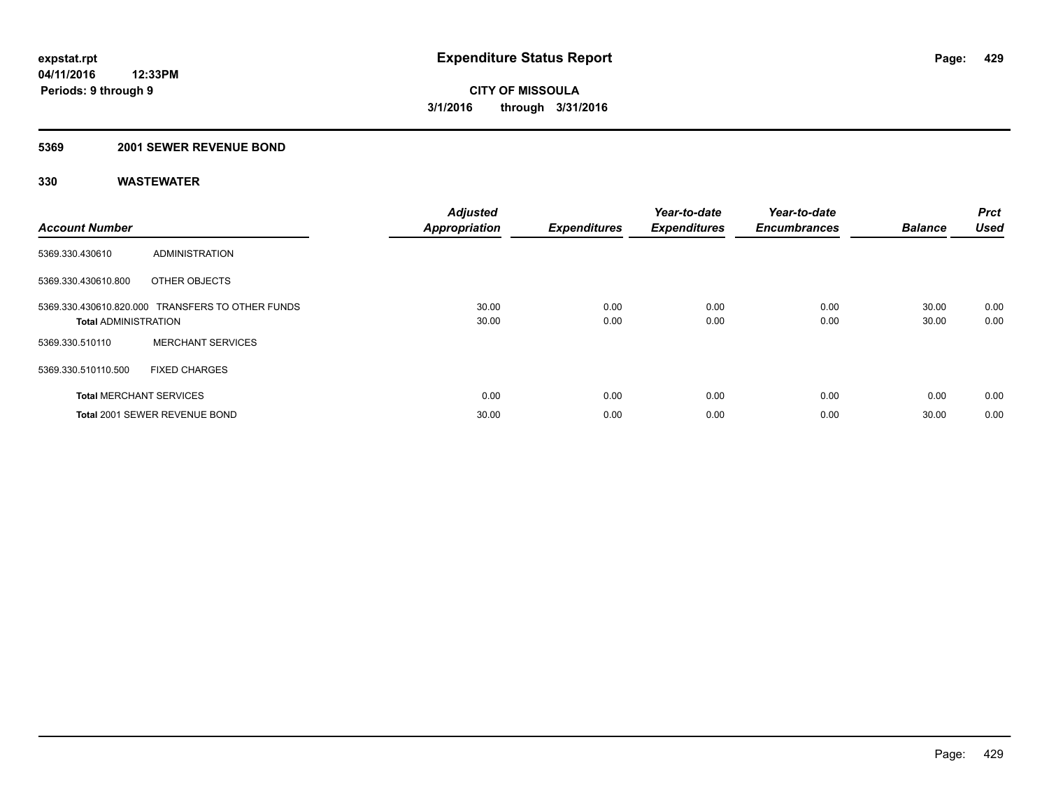#### **5369 2001 SEWER REVENUE BOND**

| <b>Account Number</b>          |                                                  | <b>Adjusted</b><br><b>Appropriation</b> | <b>Expenditures</b> | Year-to-date<br><b>Expenditures</b> | Year-to-date<br><b>Encumbrances</b> | <b>Balance</b> | <b>Prct</b><br><b>Used</b> |
|--------------------------------|--------------------------------------------------|-----------------------------------------|---------------------|-------------------------------------|-------------------------------------|----------------|----------------------------|
| 5369.330.430610                | ADMINISTRATION                                   |                                         |                     |                                     |                                     |                |                            |
| 5369.330.430610.800            | OTHER OBJECTS                                    |                                         |                     |                                     |                                     |                |                            |
| <b>Total ADMINISTRATION</b>    | 5369.330.430610.820.000 TRANSFERS TO OTHER FUNDS | 30.00<br>30.00                          | 0.00<br>0.00        | 0.00<br>0.00                        | 0.00<br>0.00                        | 30.00<br>30.00 | 0.00<br>0.00               |
| 5369.330.510110                | <b>MERCHANT SERVICES</b>                         |                                         |                     |                                     |                                     |                |                            |
| 5369.330.510110.500            | <b>FIXED CHARGES</b>                             |                                         |                     |                                     |                                     |                |                            |
| <b>Total MERCHANT SERVICES</b> |                                                  | 0.00                                    | 0.00                | 0.00                                | 0.00                                | 0.00           | 0.00                       |
|                                | Total 2001 SEWER REVENUE BOND                    | 30.00                                   | 0.00                | 0.00                                | 0.00                                | 30.00          | 0.00                       |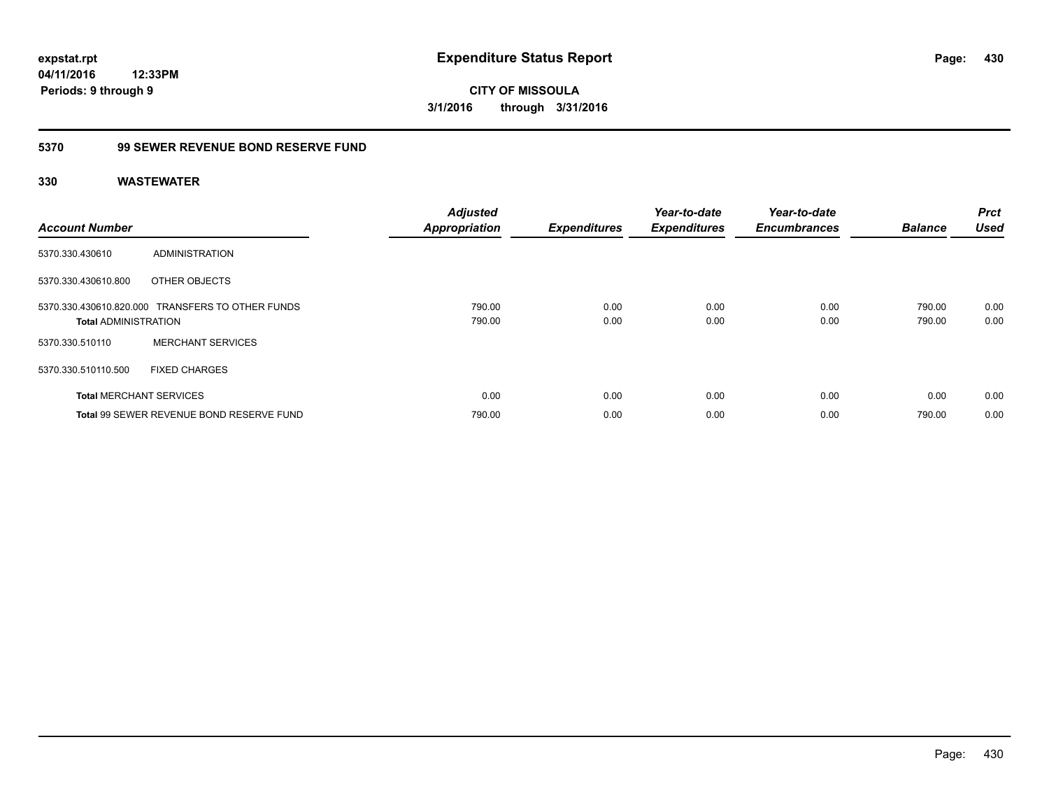**430**

**CITY OF MISSOULA 3/1/2016 through 3/31/2016**

### **5370 99 SEWER REVENUE BOND RESERVE FUND**

| <b>Account Number</b>       |                                                  | <b>Adjusted</b><br><b>Appropriation</b> | <b>Expenditures</b> | Year-to-date<br><b>Expenditures</b> | Year-to-date<br><b>Encumbrances</b> | <b>Balance</b>   | <b>Prct</b><br><b>Used</b> |
|-----------------------------|--------------------------------------------------|-----------------------------------------|---------------------|-------------------------------------|-------------------------------------|------------------|----------------------------|
| 5370.330.430610             | ADMINISTRATION                                   |                                         |                     |                                     |                                     |                  |                            |
| 5370.330.430610.800         | OTHER OBJECTS                                    |                                         |                     |                                     |                                     |                  |                            |
| <b>Total ADMINISTRATION</b> | 5370.330.430610.820.000 TRANSFERS TO OTHER FUNDS | 790.00<br>790.00                        | 0.00<br>0.00        | 0.00<br>0.00                        | 0.00<br>0.00                        | 790.00<br>790.00 | 0.00<br>0.00               |
| 5370.330.510110             | <b>MERCHANT SERVICES</b>                         |                                         |                     |                                     |                                     |                  |                            |
| 5370.330.510110.500         | <b>FIXED CHARGES</b>                             |                                         |                     |                                     |                                     |                  |                            |
|                             | <b>Total MERCHANT SERVICES</b>                   | 0.00                                    | 0.00                | 0.00                                | 0.00                                | 0.00             | 0.00                       |
|                             | Total 99 SEWER REVENUE BOND RESERVE FUND         | 790.00                                  | 0.00                | 0.00                                | 0.00                                | 790.00           | 0.00                       |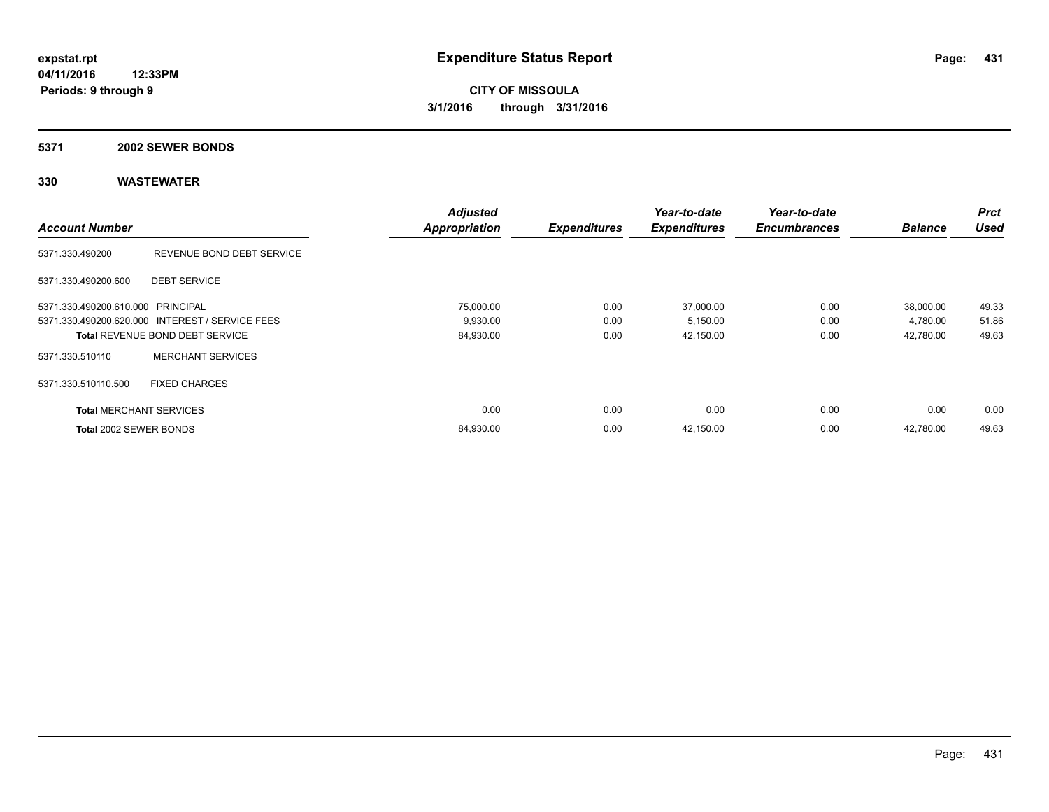#### **5371 2002 SEWER BONDS**

|                                   |                                                 | <b>Adjusted</b>      |                     | Year-to-date        | Year-to-date        |                | <b>Prct</b> |
|-----------------------------------|-------------------------------------------------|----------------------|---------------------|---------------------|---------------------|----------------|-------------|
| <b>Account Number</b>             |                                                 | <b>Appropriation</b> | <b>Expenditures</b> | <b>Expenditures</b> | <b>Encumbrances</b> | <b>Balance</b> | <b>Used</b> |
| 5371.330.490200                   | REVENUE BOND DEBT SERVICE                       |                      |                     |                     |                     |                |             |
| 5371.330.490200.600               | <b>DEBT SERVICE</b>                             |                      |                     |                     |                     |                |             |
| 5371.330.490200.610.000 PRINCIPAL |                                                 | 75,000.00            | 0.00                | 37,000.00           | 0.00                | 38,000.00      | 49.33       |
|                                   | 5371.330.490200.620.000 INTEREST / SERVICE FEES | 9,930.00             | 0.00                | 5,150.00            | 0.00                | 4,780.00       | 51.86       |
|                                   | <b>Total REVENUE BOND DEBT SERVICE</b>          | 84,930.00            | 0.00                | 42,150.00           | 0.00                | 42,780.00      | 49.63       |
| 5371.330.510110                   | <b>MERCHANT SERVICES</b>                        |                      |                     |                     |                     |                |             |
| 5371.330.510110.500               | <b>FIXED CHARGES</b>                            |                      |                     |                     |                     |                |             |
| <b>Total MERCHANT SERVICES</b>    |                                                 | 0.00                 | 0.00                | 0.00                | 0.00                | 0.00           | 0.00        |
| Total 2002 SEWER BONDS            |                                                 | 84,930.00            | 0.00                | 42,150.00           | 0.00                | 42.780.00      | 49.63       |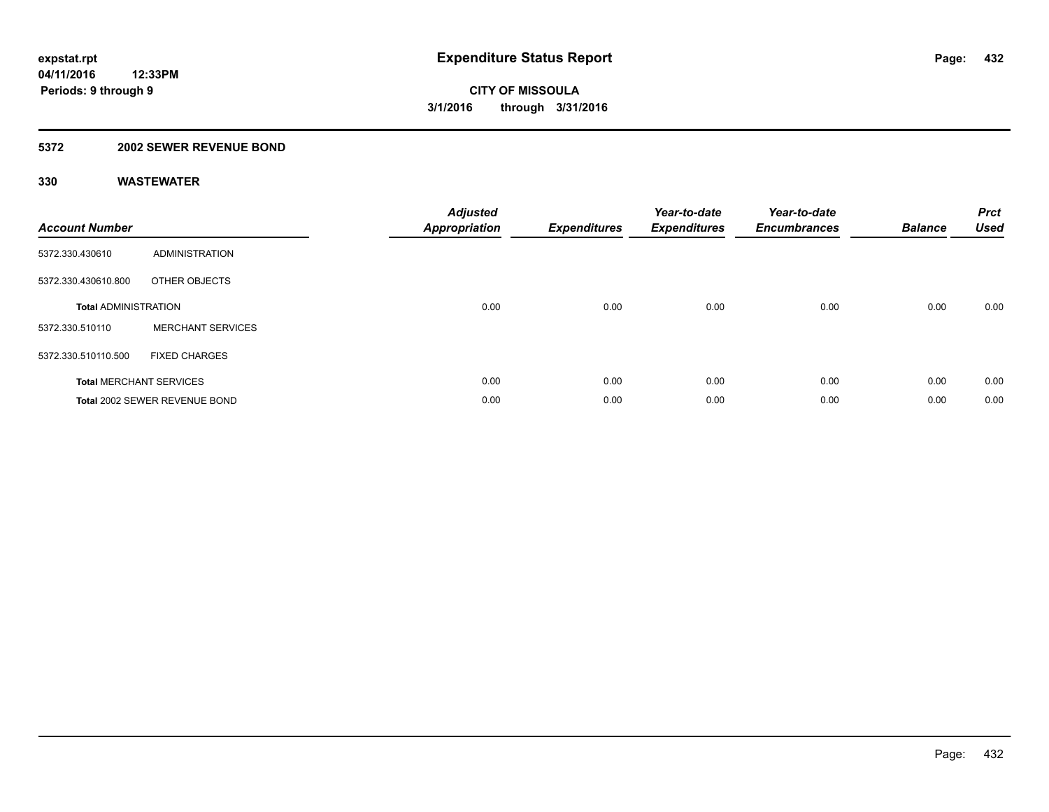### **5372 2002 SEWER REVENUE BOND**

| <b>Account Number</b>       |                                | <b>Adjusted</b><br>Appropriation | <b>Expenditures</b> | Year-to-date<br><b>Expenditures</b> | Year-to-date<br><b>Encumbrances</b> | <b>Balance</b> | <b>Prct</b><br><b>Used</b> |
|-----------------------------|--------------------------------|----------------------------------|---------------------|-------------------------------------|-------------------------------------|----------------|----------------------------|
| 5372.330.430610             | <b>ADMINISTRATION</b>          |                                  |                     |                                     |                                     |                |                            |
| 5372.330.430610.800         | OTHER OBJECTS                  |                                  |                     |                                     |                                     |                |                            |
| <b>Total ADMINISTRATION</b> |                                | 0.00                             | 0.00                | 0.00                                | 0.00                                | 0.00           | 0.00                       |
| 5372.330.510110             | <b>MERCHANT SERVICES</b>       |                                  |                     |                                     |                                     |                |                            |
| 5372.330.510110.500         | <b>FIXED CHARGES</b>           |                                  |                     |                                     |                                     |                |                            |
|                             | <b>Total MERCHANT SERVICES</b> | 0.00                             | 0.00                | 0.00                                | 0.00                                | 0.00           | 0.00                       |
|                             | Total 2002 SEWER REVENUE BOND  | 0.00                             | 0.00                | 0.00                                | 0.00                                | 0.00           | 0.00                       |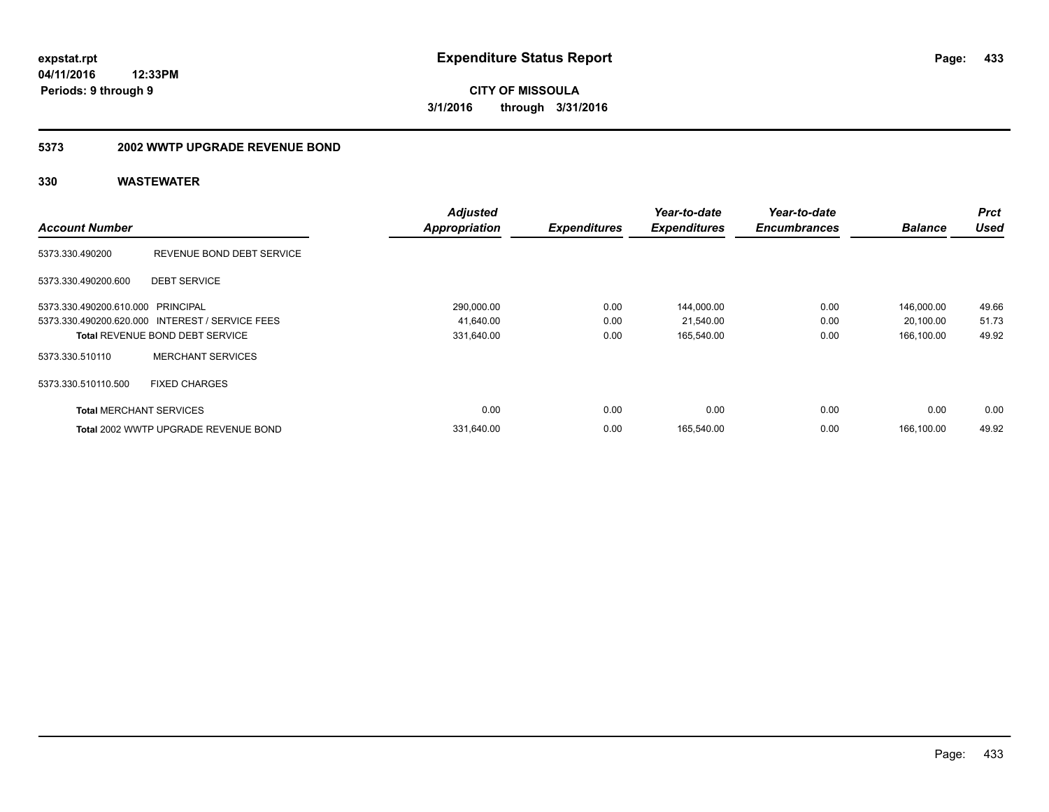### **04/11/2016 12:33PM Periods: 9 through 9**

**CITY OF MISSOULA 3/1/2016 through 3/31/2016**

#### **5373 2002 WWTP UPGRADE REVENUE BOND**

|                                   |                                                 | <b>Adjusted</b>      |                     | Year-to-date        | Year-to-date        |                | Prct        |
|-----------------------------------|-------------------------------------------------|----------------------|---------------------|---------------------|---------------------|----------------|-------------|
| <b>Account Number</b>             |                                                 | <b>Appropriation</b> | <b>Expenditures</b> | <b>Expenditures</b> | <b>Encumbrances</b> | <b>Balance</b> | <b>Used</b> |
| 5373.330.490200                   | REVENUE BOND DEBT SERVICE                       |                      |                     |                     |                     |                |             |
| 5373.330.490200.600               | <b>DEBT SERVICE</b>                             |                      |                     |                     |                     |                |             |
| 5373.330.490200.610.000 PRINCIPAL |                                                 | 290,000.00           | 0.00                | 144,000.00          | 0.00                | 146,000.00     | 49.66       |
|                                   | 5373.330.490200.620.000 INTEREST / SERVICE FEES | 41,640.00            | 0.00                | 21,540.00           | 0.00                | 20,100.00      | 51.73       |
|                                   | <b>Total REVENUE BOND DEBT SERVICE</b>          | 331,640.00           | 0.00                | 165,540.00          | 0.00                | 166.100.00     | 49.92       |
| 5373.330.510110                   | <b>MERCHANT SERVICES</b>                        |                      |                     |                     |                     |                |             |
| 5373.330.510110.500               | <b>FIXED CHARGES</b>                            |                      |                     |                     |                     |                |             |
| <b>Total MERCHANT SERVICES</b>    |                                                 | 0.00                 | 0.00                | 0.00                | 0.00                | 0.00           | 0.00        |
|                                   | Total 2002 WWTP UPGRADE REVENUE BOND            | 331,640.00           | 0.00                | 165.540.00          | 0.00                | 166.100.00     | 49.92       |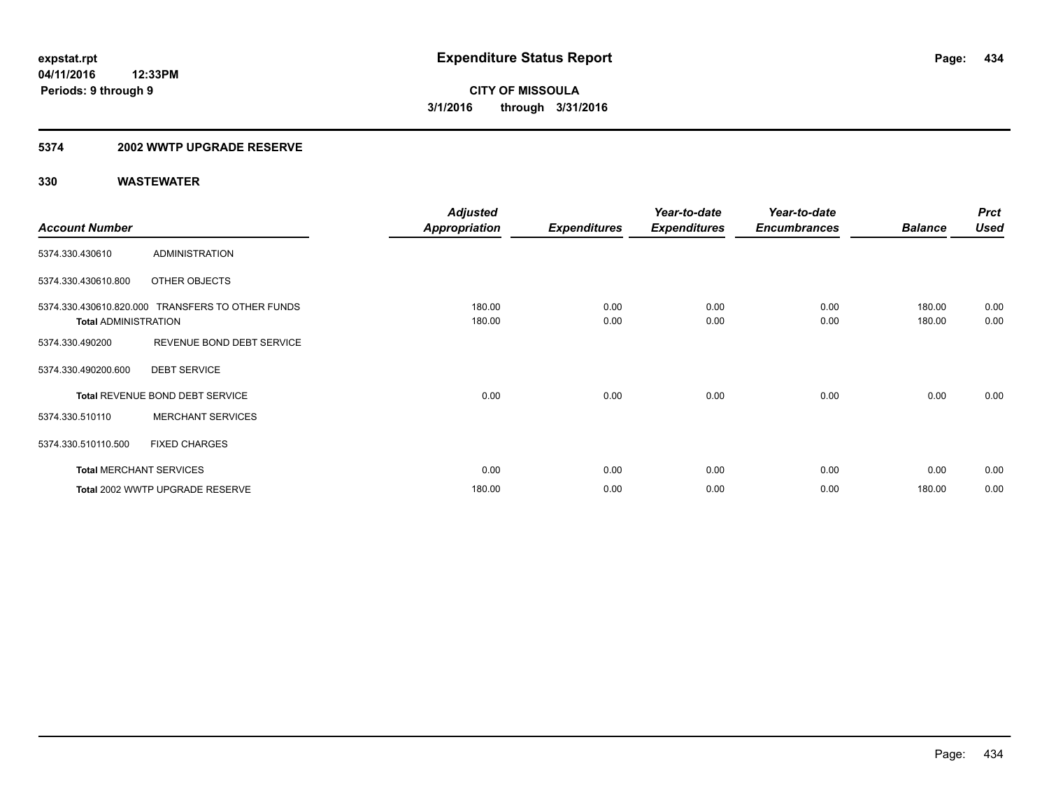#### **5374 2002 WWTP UPGRADE RESERVE**

|                             |                                                  | <b>Adjusted</b>      |                     | Year-to-date        | Year-to-date        |                | <b>Prct</b> |
|-----------------------------|--------------------------------------------------|----------------------|---------------------|---------------------|---------------------|----------------|-------------|
| <b>Account Number</b>       |                                                  | <b>Appropriation</b> | <b>Expenditures</b> | <b>Expenditures</b> | <b>Encumbrances</b> | <b>Balance</b> | <b>Used</b> |
| 5374.330.430610             | <b>ADMINISTRATION</b>                            |                      |                     |                     |                     |                |             |
| 5374.330.430610.800         | OTHER OBJECTS                                    |                      |                     |                     |                     |                |             |
|                             | 5374.330.430610.820.000 TRANSFERS TO OTHER FUNDS | 180.00               | 0.00                | 0.00                | 0.00                | 180.00         | 0.00        |
| <b>Total ADMINISTRATION</b> |                                                  | 180.00               | 0.00                | 0.00                | 0.00                | 180.00         | 0.00        |
| 5374.330.490200             | REVENUE BOND DEBT SERVICE                        |                      |                     |                     |                     |                |             |
| 5374.330.490200.600         | <b>DEBT SERVICE</b>                              |                      |                     |                     |                     |                |             |
|                             | Total REVENUE BOND DEBT SERVICE                  | 0.00                 | 0.00                | 0.00                | 0.00                | 0.00           | 0.00        |
| 5374.330.510110             | <b>MERCHANT SERVICES</b>                         |                      |                     |                     |                     |                |             |
| 5374.330.510110.500         | <b>FIXED CHARGES</b>                             |                      |                     |                     |                     |                |             |
|                             | <b>Total MERCHANT SERVICES</b>                   | 0.00                 | 0.00                | 0.00                | 0.00                | 0.00           | 0.00        |
|                             | Total 2002 WWTP UPGRADE RESERVE                  | 180.00               | 0.00                | 0.00                | 0.00                | 180.00         | 0.00        |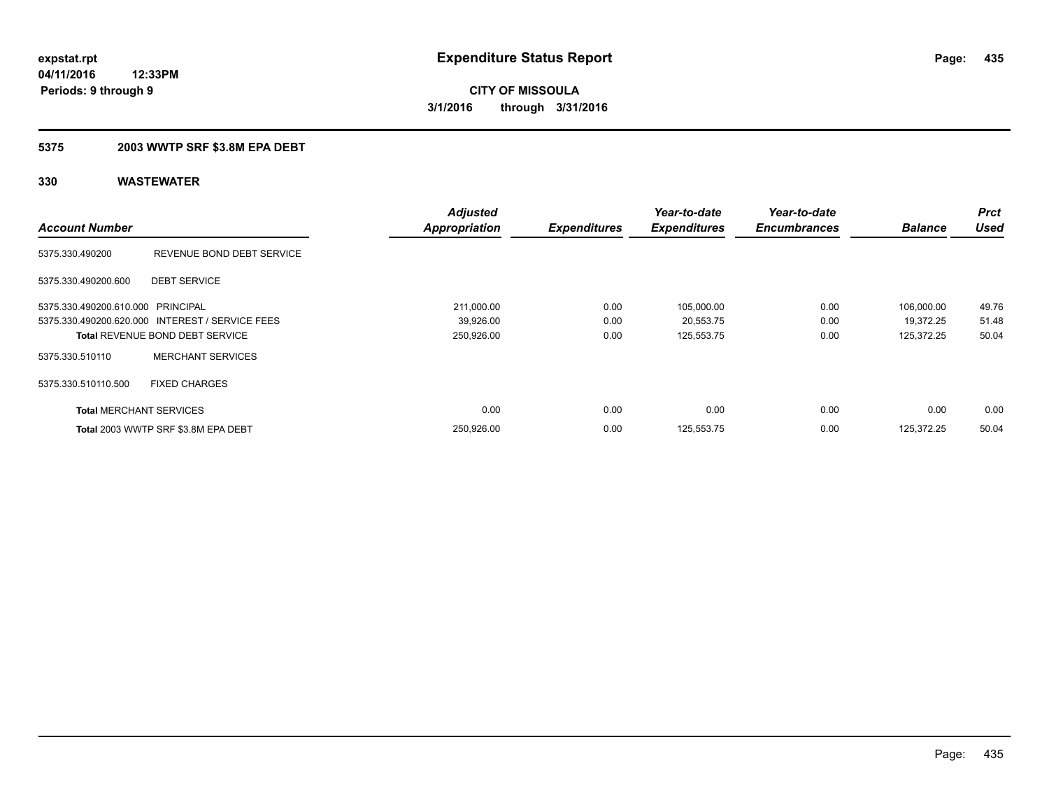### **5375 2003 WWTP SRF \$3.8M EPA DEBT**

|                                   |                                                 | <b>Adjusted</b>      |                     | Year-to-date        | Year-to-date        |                | <b>Prct</b> |
|-----------------------------------|-------------------------------------------------|----------------------|---------------------|---------------------|---------------------|----------------|-------------|
| <b>Account Number</b>             |                                                 | <b>Appropriation</b> | <b>Expenditures</b> | <b>Expenditures</b> | <b>Encumbrances</b> | <b>Balance</b> | <b>Used</b> |
| 5375.330.490200                   | REVENUE BOND DEBT SERVICE                       |                      |                     |                     |                     |                |             |
| 5375.330.490200.600               | <b>DEBT SERVICE</b>                             |                      |                     |                     |                     |                |             |
| 5375.330.490200.610.000 PRINCIPAL |                                                 | 211,000.00           | 0.00                | 105,000.00          | 0.00                | 106,000.00     | 49.76       |
|                                   | 5375.330.490200.620.000 INTEREST / SERVICE FEES | 39,926.00            | 0.00                | 20,553.75           | 0.00                | 19,372.25      | 51.48       |
|                                   | <b>Total REVENUE BOND DEBT SERVICE</b>          | 250,926.00           | 0.00                | 125,553.75          | 0.00                | 125,372.25     | 50.04       |
| 5375.330.510110                   | <b>MERCHANT SERVICES</b>                        |                      |                     |                     |                     |                |             |
| 5375.330.510110.500               | <b>FIXED CHARGES</b>                            |                      |                     |                     |                     |                |             |
| <b>Total MERCHANT SERVICES</b>    |                                                 | 0.00                 | 0.00                | 0.00                | 0.00                | 0.00           | 0.00        |
|                                   | Total 2003 WWTP SRF \$3.8M EPA DEBT             | 250,926.00           | 0.00                | 125,553.75          | 0.00                | 125.372.25     | 50.04       |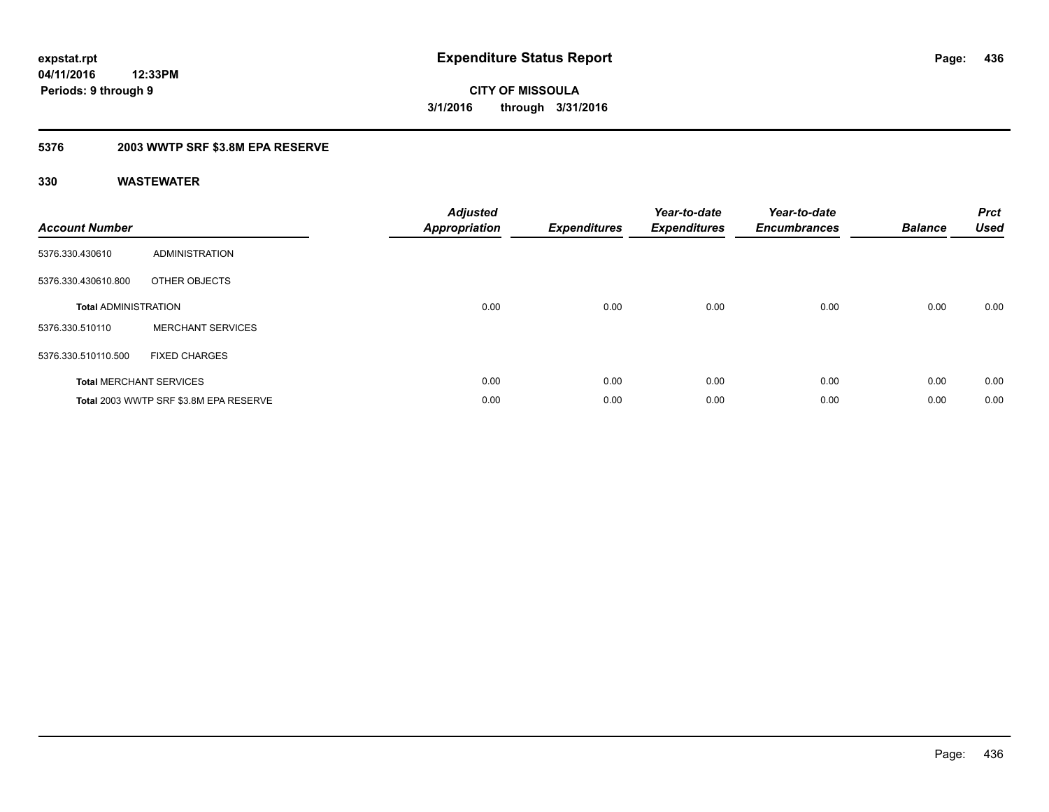### **5376 2003 WWTP SRF \$3.8M EPA RESERVE**

| <b>Account Number</b>       |                                        | <b>Adjusted</b><br><b>Appropriation</b> | <b>Expenditures</b> | Year-to-date<br><b>Expenditures</b> | Year-to-date<br><b>Encumbrances</b> | <b>Balance</b> | <b>Prct</b><br><b>Used</b> |
|-----------------------------|----------------------------------------|-----------------------------------------|---------------------|-------------------------------------|-------------------------------------|----------------|----------------------------|
| 5376.330.430610             | ADMINISTRATION                         |                                         |                     |                                     |                                     |                |                            |
| 5376.330.430610.800         | OTHER OBJECTS                          |                                         |                     |                                     |                                     |                |                            |
| <b>Total ADMINISTRATION</b> |                                        | 0.00                                    | 0.00                | 0.00                                | 0.00                                | 0.00           | 0.00                       |
| 5376.330.510110             | <b>MERCHANT SERVICES</b>               |                                         |                     |                                     |                                     |                |                            |
| 5376.330.510110.500         | <b>FIXED CHARGES</b>                   |                                         |                     |                                     |                                     |                |                            |
|                             | <b>Total MERCHANT SERVICES</b>         | 0.00                                    | 0.00                | 0.00                                | 0.00                                | 0.00           | 0.00                       |
|                             | Total 2003 WWTP SRF \$3.8M EPA RESERVE | 0.00                                    | 0.00                | 0.00                                | 0.00                                | 0.00           | 0.00                       |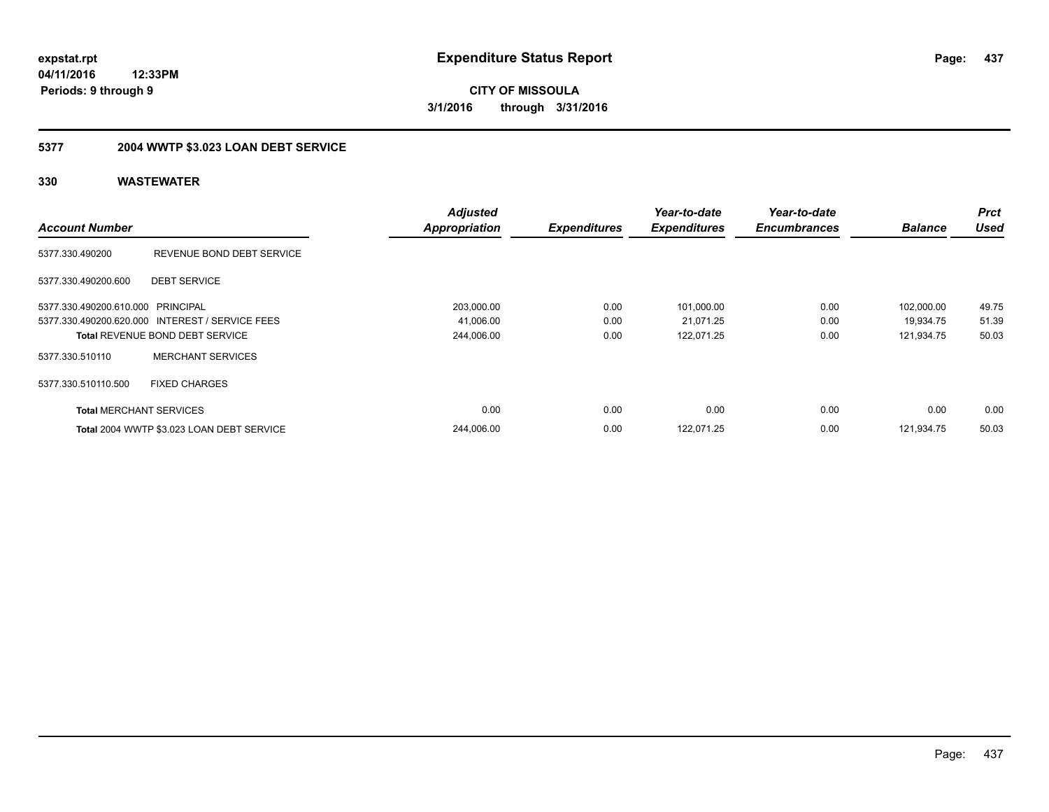**437**

**04/11/2016 12:33PM Periods: 9 through 9**

**CITY OF MISSOULA 3/1/2016 through 3/31/2016**

## **5377 2004 WWTP \$3.023 LOAN DEBT SERVICE**

|                                   |                                                 | <b>Adjusted</b>      |                     | Year-to-date        | Year-to-date        |                | <b>Prct</b> |
|-----------------------------------|-------------------------------------------------|----------------------|---------------------|---------------------|---------------------|----------------|-------------|
| <b>Account Number</b>             |                                                 | <b>Appropriation</b> | <b>Expenditures</b> | <b>Expenditures</b> | <b>Encumbrances</b> | <b>Balance</b> | <b>Used</b> |
| 5377.330.490200                   | REVENUE BOND DEBT SERVICE                       |                      |                     |                     |                     |                |             |
| 5377.330.490200.600               | <b>DEBT SERVICE</b>                             |                      |                     |                     |                     |                |             |
| 5377.330.490200.610.000 PRINCIPAL |                                                 | 203,000.00           | 0.00                | 101,000.00          | 0.00                | 102.000.00     | 49.75       |
|                                   | 5377.330.490200.620.000 INTEREST / SERVICE FEES | 41,006.00            | 0.00                | 21,071.25           | 0.00                | 19.934.75      | 51.39       |
|                                   | <b>Total REVENUE BOND DEBT SERVICE</b>          | 244,006.00           | 0.00                | 122,071.25          | 0.00                | 121,934.75     | 50.03       |
| 5377.330.510110                   | <b>MERCHANT SERVICES</b>                        |                      |                     |                     |                     |                |             |
| 5377.330.510110.500               | <b>FIXED CHARGES</b>                            |                      |                     |                     |                     |                |             |
| <b>Total MERCHANT SERVICES</b>    |                                                 | 0.00                 | 0.00                | 0.00                | 0.00                | 0.00           | 0.00        |
|                                   | Total 2004 WWTP \$3.023 LOAN DEBT SERVICE       | 244,006.00           | 0.00                | 122,071.25          | 0.00                | 121.934.75     | 50.03       |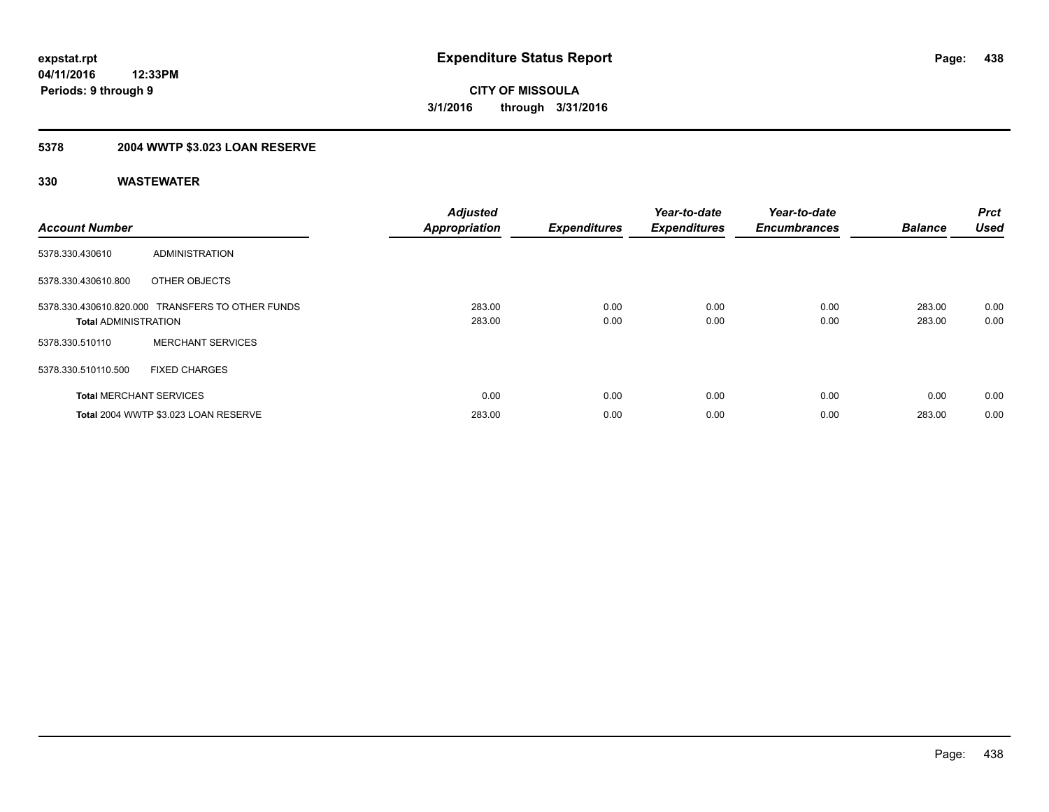## **5378 2004 WWTP \$3.023 LOAN RESERVE**

| <b>Account Number</b>          |                                                  | <b>Adjusted</b><br><b>Appropriation</b> | <b>Expenditures</b> | Year-to-date<br><b>Expenditures</b> | Year-to-date<br><b>Encumbrances</b> | <b>Balance</b>   | Prct<br><b>Used</b> |
|--------------------------------|--------------------------------------------------|-----------------------------------------|---------------------|-------------------------------------|-------------------------------------|------------------|---------------------|
| 5378.330.430610                | ADMINISTRATION                                   |                                         |                     |                                     |                                     |                  |                     |
| 5378.330.430610.800            | OTHER OBJECTS                                    |                                         |                     |                                     |                                     |                  |                     |
| <b>Total ADMINISTRATION</b>    | 5378.330.430610.820.000 TRANSFERS TO OTHER FUNDS | 283.00<br>283.00                        | 0.00<br>0.00        | 0.00<br>0.00                        | 0.00<br>0.00                        | 283.00<br>283.00 | 0.00<br>0.00        |
| 5378.330.510110                | <b>MERCHANT SERVICES</b>                         |                                         |                     |                                     |                                     |                  |                     |
| 5378.330.510110.500            | <b>FIXED CHARGES</b>                             |                                         |                     |                                     |                                     |                  |                     |
| <b>Total MERCHANT SERVICES</b> |                                                  | 0.00                                    | 0.00                | 0.00                                | 0.00                                | 0.00             | 0.00                |
|                                | Total 2004 WWTP \$3.023 LOAN RESERVE             | 283.00                                  | 0.00                | 0.00                                | 0.00                                | 283.00           | 0.00                |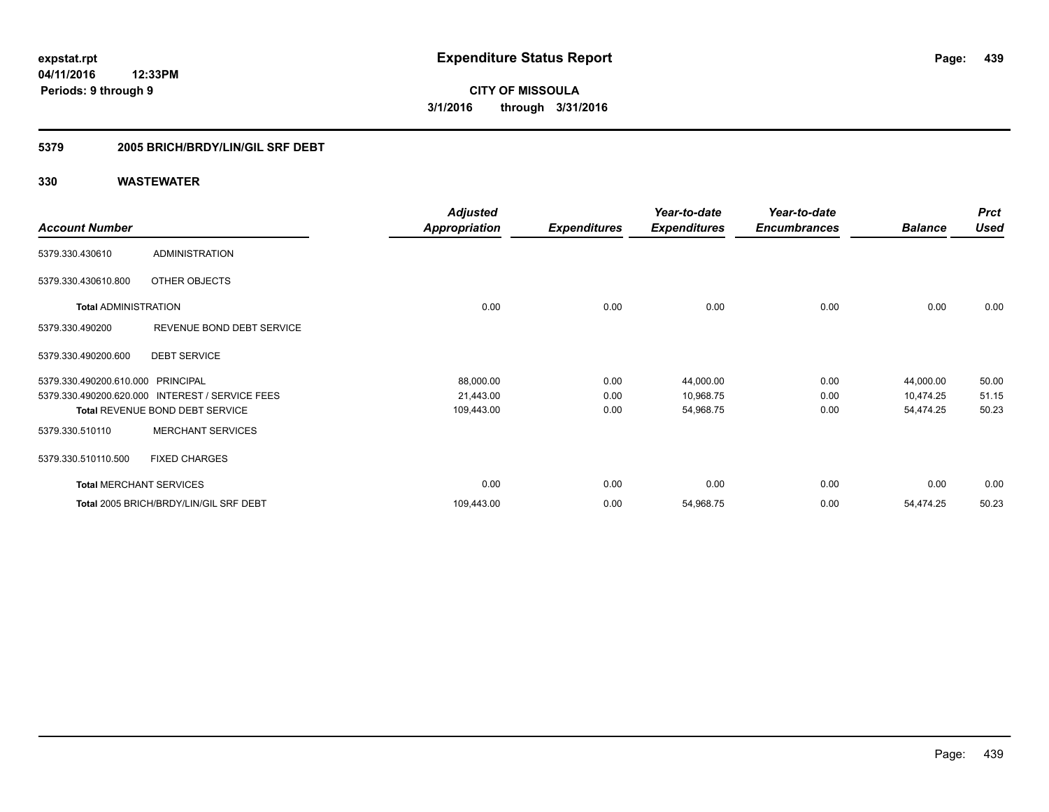### **5379 2005 BRICH/BRDY/LIN/GIL SRF DEBT**

|                                   |                                                 | <b>Adjusted</b>      |                     | Year-to-date        | Year-to-date        |                | <b>Prct</b> |
|-----------------------------------|-------------------------------------------------|----------------------|---------------------|---------------------|---------------------|----------------|-------------|
| <b>Account Number</b>             |                                                 | <b>Appropriation</b> | <b>Expenditures</b> | <b>Expenditures</b> | <b>Encumbrances</b> | <b>Balance</b> | <b>Used</b> |
| 5379.330.430610                   | <b>ADMINISTRATION</b>                           |                      |                     |                     |                     |                |             |
| 5379.330.430610.800               | OTHER OBJECTS                                   |                      |                     |                     |                     |                |             |
| <b>Total ADMINISTRATION</b>       |                                                 | 0.00                 | 0.00                | 0.00                | 0.00                | 0.00           | 0.00        |
| 5379.330.490200                   | REVENUE BOND DEBT SERVICE                       |                      |                     |                     |                     |                |             |
| 5379.330.490200.600               | <b>DEBT SERVICE</b>                             |                      |                     |                     |                     |                |             |
| 5379.330.490200.610.000 PRINCIPAL |                                                 | 88,000.00            | 0.00                | 44,000.00           | 0.00                | 44,000.00      | 50.00       |
|                                   | 5379.330.490200.620.000 INTEREST / SERVICE FEES | 21,443.00            | 0.00                | 10,968.75           | 0.00                | 10,474.25      | 51.15       |
|                                   | <b>Total REVENUE BOND DEBT SERVICE</b>          | 109,443.00           | 0.00                | 54,968.75           | 0.00                | 54,474.25      | 50.23       |
| 5379.330.510110                   | <b>MERCHANT SERVICES</b>                        |                      |                     |                     |                     |                |             |
| 5379.330.510110.500               | <b>FIXED CHARGES</b>                            |                      |                     |                     |                     |                |             |
| <b>Total MERCHANT SERVICES</b>    |                                                 | 0.00                 | 0.00                | 0.00                | 0.00                | 0.00           | 0.00        |
|                                   | Total 2005 BRICH/BRDY/LIN/GIL SRF DEBT          | 109,443.00           | 0.00                | 54,968.75           | 0.00                | 54,474.25      | 50.23       |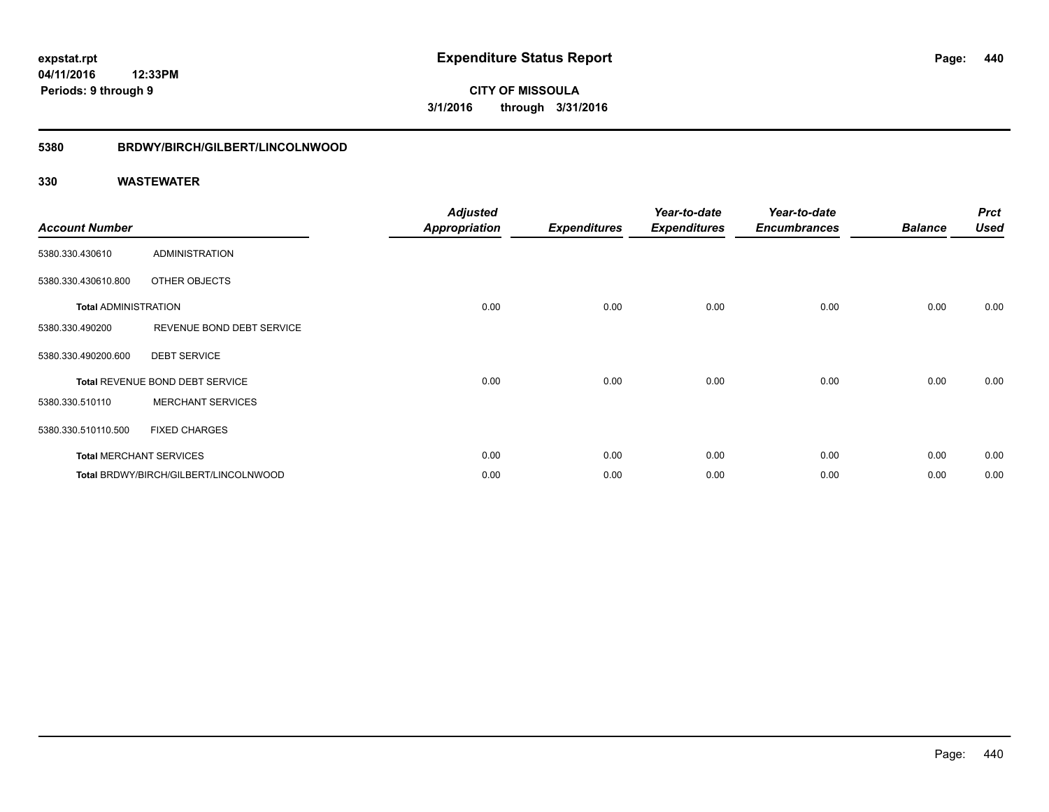### **04/11/2016 12:33PM Periods: 9 through 9**

**CITY OF MISSOULA 3/1/2016 through 3/31/2016**

#### **5380 BRDWY/BIRCH/GILBERT/LINCOLNWOOD**

| <b>Account Number</b>       |                                       | <b>Adjusted</b><br>Appropriation | <b>Expenditures</b> | Year-to-date<br><b>Expenditures</b> | Year-to-date<br><b>Encumbrances</b> | <b>Balance</b> | <b>Prct</b><br><b>Used</b> |
|-----------------------------|---------------------------------------|----------------------------------|---------------------|-------------------------------------|-------------------------------------|----------------|----------------------------|
| 5380.330.430610             | <b>ADMINISTRATION</b>                 |                                  |                     |                                     |                                     |                |                            |
| 5380.330.430610.800         | OTHER OBJECTS                         |                                  |                     |                                     |                                     |                |                            |
| <b>Total ADMINISTRATION</b> |                                       | 0.00                             | 0.00                | 0.00                                | 0.00                                | 0.00           | 0.00                       |
| 5380.330.490200             | REVENUE BOND DEBT SERVICE             |                                  |                     |                                     |                                     |                |                            |
| 5380.330.490200.600         | <b>DEBT SERVICE</b>                   |                                  |                     |                                     |                                     |                |                            |
|                             | Total REVENUE BOND DEBT SERVICE       | 0.00                             | 0.00                | 0.00                                | 0.00                                | 0.00           | 0.00                       |
| 5380.330.510110             | <b>MERCHANT SERVICES</b>              |                                  |                     |                                     |                                     |                |                            |
| 5380.330.510110.500         | <b>FIXED CHARGES</b>                  |                                  |                     |                                     |                                     |                |                            |
|                             | <b>Total MERCHANT SERVICES</b>        | 0.00                             | 0.00                | 0.00                                | 0.00                                | 0.00           | 0.00                       |
|                             | Total BRDWY/BIRCH/GILBERT/LINCOLNWOOD | 0.00                             | 0.00                | 0.00                                | 0.00                                | 0.00           | 0.00                       |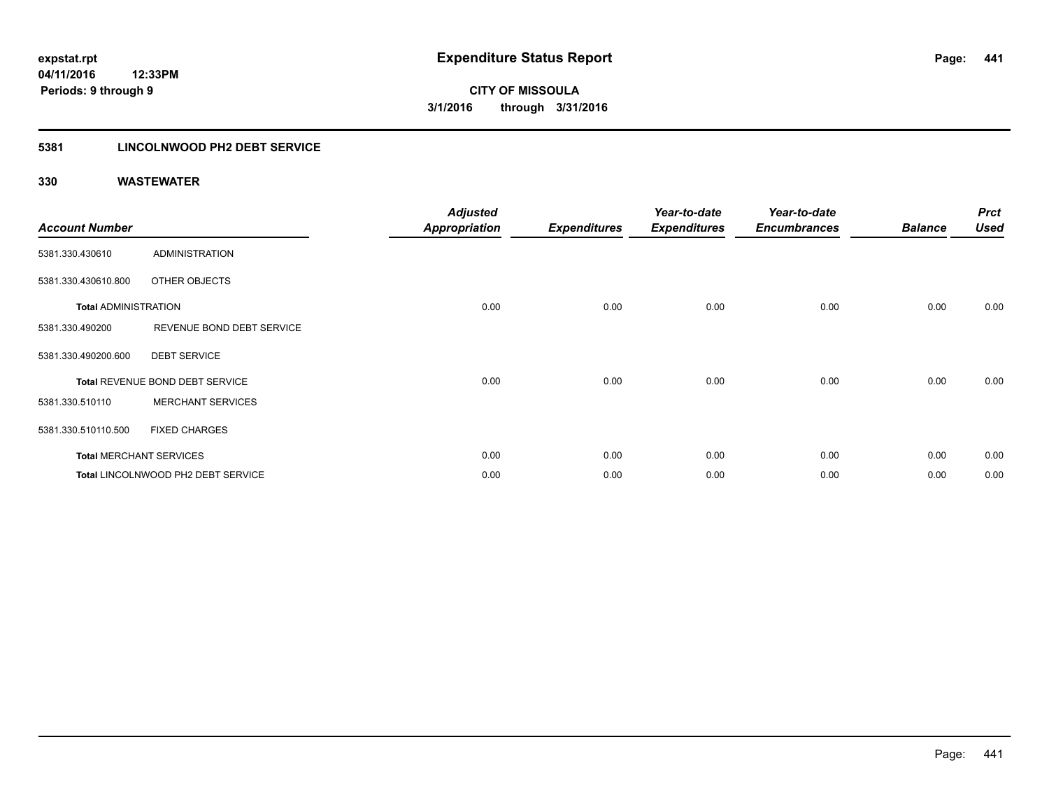### **5381 LINCOLNWOOD PH2 DEBT SERVICE**

| <b>Account Number</b>       |                                    | <b>Adjusted</b><br><b>Appropriation</b> | <b>Expenditures</b> | Year-to-date<br><b>Expenditures</b> | Year-to-date<br><b>Encumbrances</b> | <b>Balance</b> | <b>Prct</b><br><b>Used</b> |
|-----------------------------|------------------------------------|-----------------------------------------|---------------------|-------------------------------------|-------------------------------------|----------------|----------------------------|
| 5381.330.430610             | ADMINISTRATION                     |                                         |                     |                                     |                                     |                |                            |
| 5381.330.430610.800         | OTHER OBJECTS                      |                                         |                     |                                     |                                     |                |                            |
| <b>Total ADMINISTRATION</b> |                                    | 0.00                                    | 0.00                | 0.00                                | 0.00                                | 0.00           | 0.00                       |
| 5381.330.490200             | REVENUE BOND DEBT SERVICE          |                                         |                     |                                     |                                     |                |                            |
| 5381.330.490200.600         | <b>DEBT SERVICE</b>                |                                         |                     |                                     |                                     |                |                            |
|                             | Total REVENUE BOND DEBT SERVICE    | 0.00                                    | 0.00                | 0.00                                | 0.00                                | 0.00           | 0.00                       |
| 5381.330.510110             | <b>MERCHANT SERVICES</b>           |                                         |                     |                                     |                                     |                |                            |
| 5381.330.510110.500         | <b>FIXED CHARGES</b>               |                                         |                     |                                     |                                     |                |                            |
|                             | <b>Total MERCHANT SERVICES</b>     | 0.00                                    | 0.00                | 0.00                                | 0.00                                | 0.00           | 0.00                       |
|                             | Total LINCOLNWOOD PH2 DEBT SERVICE | 0.00                                    | 0.00                | 0.00                                | 0.00                                | 0.00           | 0.00                       |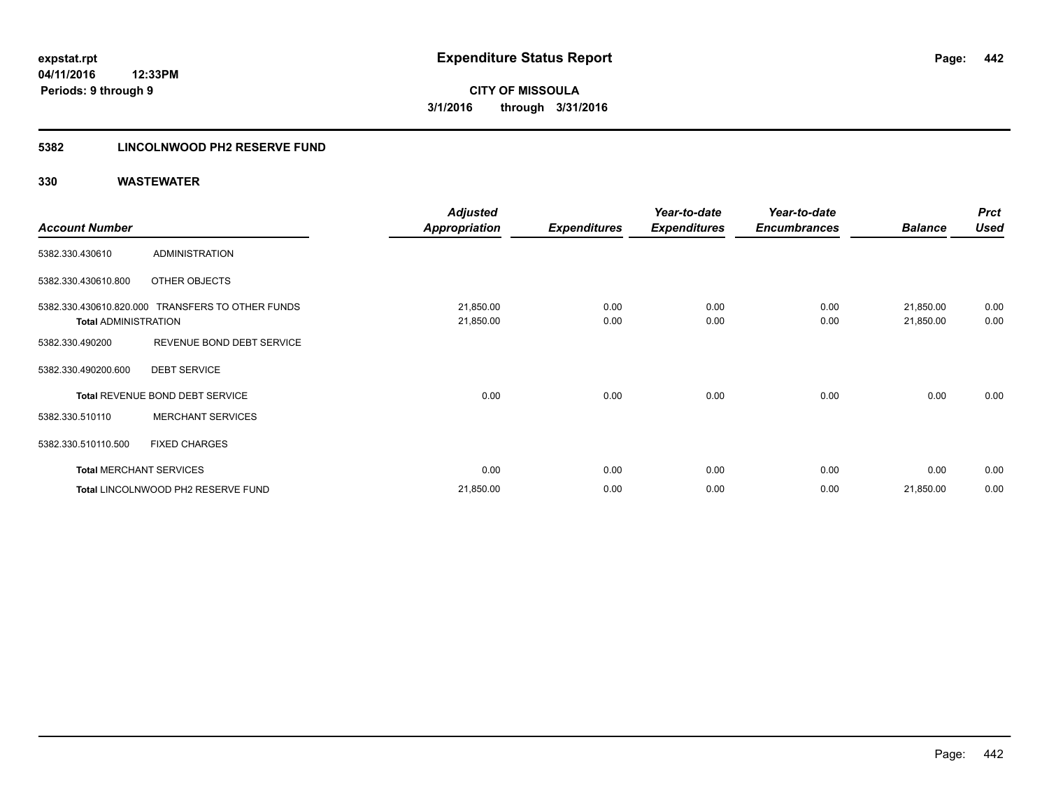### **5382 LINCOLNWOOD PH2 RESERVE FUND**

|                                |                                                  | <b>Adjusted</b>        |                     | Year-to-date        | Year-to-date        |                        | <b>Prct</b>  |
|--------------------------------|--------------------------------------------------|------------------------|---------------------|---------------------|---------------------|------------------------|--------------|
| <b>Account Number</b>          |                                                  | <b>Appropriation</b>   | <b>Expenditures</b> | <b>Expenditures</b> | <b>Encumbrances</b> | <b>Balance</b>         | <b>Used</b>  |
| 5382.330.430610                | ADMINISTRATION                                   |                        |                     |                     |                     |                        |              |
| 5382.330.430610.800            | OTHER OBJECTS                                    |                        |                     |                     |                     |                        |              |
| <b>Total ADMINISTRATION</b>    | 5382.330.430610.820.000 TRANSFERS TO OTHER FUNDS | 21,850.00<br>21,850.00 | 0.00<br>0.00        | 0.00<br>0.00        | 0.00<br>0.00        | 21,850.00<br>21,850.00 | 0.00<br>0.00 |
| 5382.330.490200                | REVENUE BOND DEBT SERVICE                        |                        |                     |                     |                     |                        |              |
| 5382.330.490200.600            | <b>DEBT SERVICE</b>                              |                        |                     |                     |                     |                        |              |
|                                | Total REVENUE BOND DEBT SERVICE                  | 0.00                   | 0.00                | 0.00                | 0.00                | 0.00                   | 0.00         |
| 5382.330.510110                | <b>MERCHANT SERVICES</b>                         |                        |                     |                     |                     |                        |              |
| 5382.330.510110.500            | <b>FIXED CHARGES</b>                             |                        |                     |                     |                     |                        |              |
| <b>Total MERCHANT SERVICES</b> |                                                  | 0.00                   | 0.00                | 0.00                | 0.00                | 0.00                   | 0.00         |
|                                | Total LINCOLNWOOD PH2 RESERVE FUND               | 21,850.00              | 0.00                | 0.00                | 0.00                | 21,850.00              | 0.00         |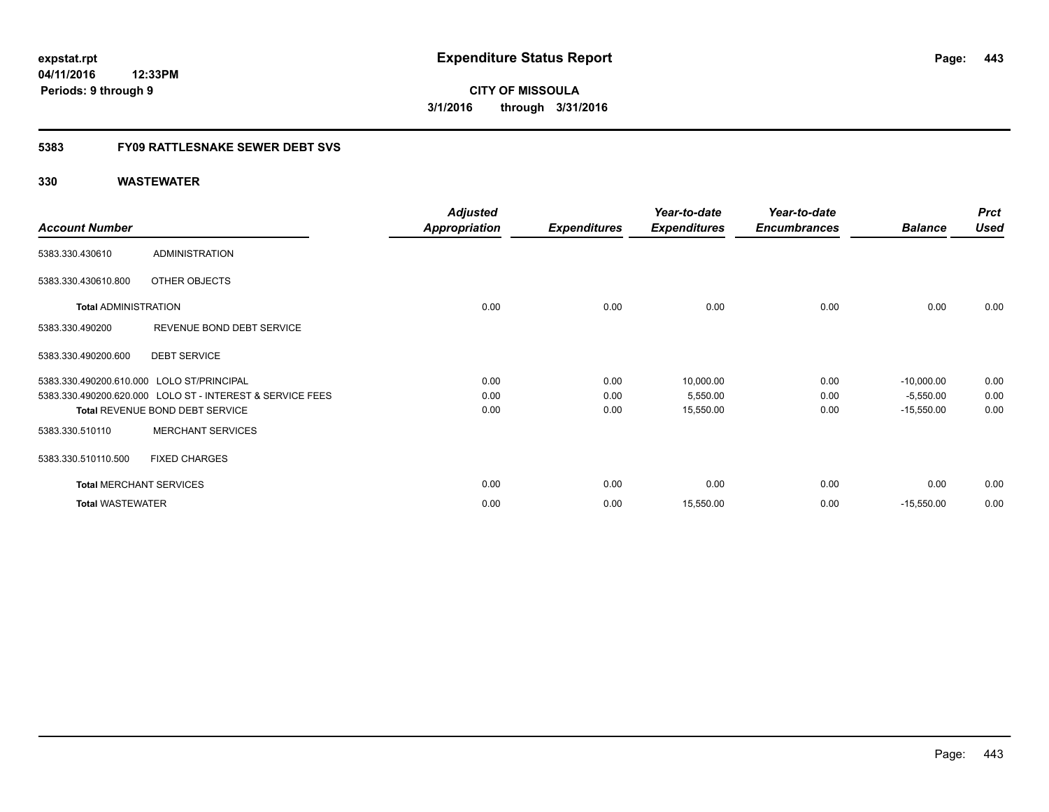### **5383 FY09 RATTLESNAKE SEWER DEBT SVS**

|                                |                                                           | <b>Adjusted</b>      |                     | Year-to-date        | Year-to-date        |                | <b>Prct</b> |
|--------------------------------|-----------------------------------------------------------|----------------------|---------------------|---------------------|---------------------|----------------|-------------|
| <b>Account Number</b>          |                                                           | <b>Appropriation</b> | <b>Expenditures</b> | <b>Expenditures</b> | <b>Encumbrances</b> | <b>Balance</b> | <b>Used</b> |
| 5383.330.430610                | <b>ADMINISTRATION</b>                                     |                      |                     |                     |                     |                |             |
| 5383.330.430610.800            | OTHER OBJECTS                                             |                      |                     |                     |                     |                |             |
| <b>Total ADMINISTRATION</b>    |                                                           | 0.00                 | 0.00                | 0.00                | 0.00                | 0.00           | 0.00        |
| 5383.330.490200                | REVENUE BOND DEBT SERVICE                                 |                      |                     |                     |                     |                |             |
| 5383.330.490200.600            | <b>DEBT SERVICE</b>                                       |                      |                     |                     |                     |                |             |
|                                | 5383.330.490200.610.000 LOLO ST/PRINCIPAL                 | 0.00                 | 0.00                | 10,000.00           | 0.00                | $-10,000.00$   | 0.00        |
|                                | 5383.330.490200.620.000 LOLO ST - INTEREST & SERVICE FEES | 0.00                 | 0.00                | 5,550.00            | 0.00                | $-5,550.00$    | 0.00        |
|                                | Total REVENUE BOND DEBT SERVICE                           | 0.00                 | 0.00                | 15,550.00           | 0.00                | $-15,550.00$   | 0.00        |
| 5383.330.510110                | <b>MERCHANT SERVICES</b>                                  |                      |                     |                     |                     |                |             |
| 5383.330.510110.500            | <b>FIXED CHARGES</b>                                      |                      |                     |                     |                     |                |             |
| <b>Total MERCHANT SERVICES</b> |                                                           | 0.00                 | 0.00                | 0.00                | 0.00                | 0.00           | 0.00        |
| <b>Total WASTEWATER</b>        |                                                           | 0.00                 | 0.00                | 15,550.00           | 0.00                | $-15,550.00$   | 0.00        |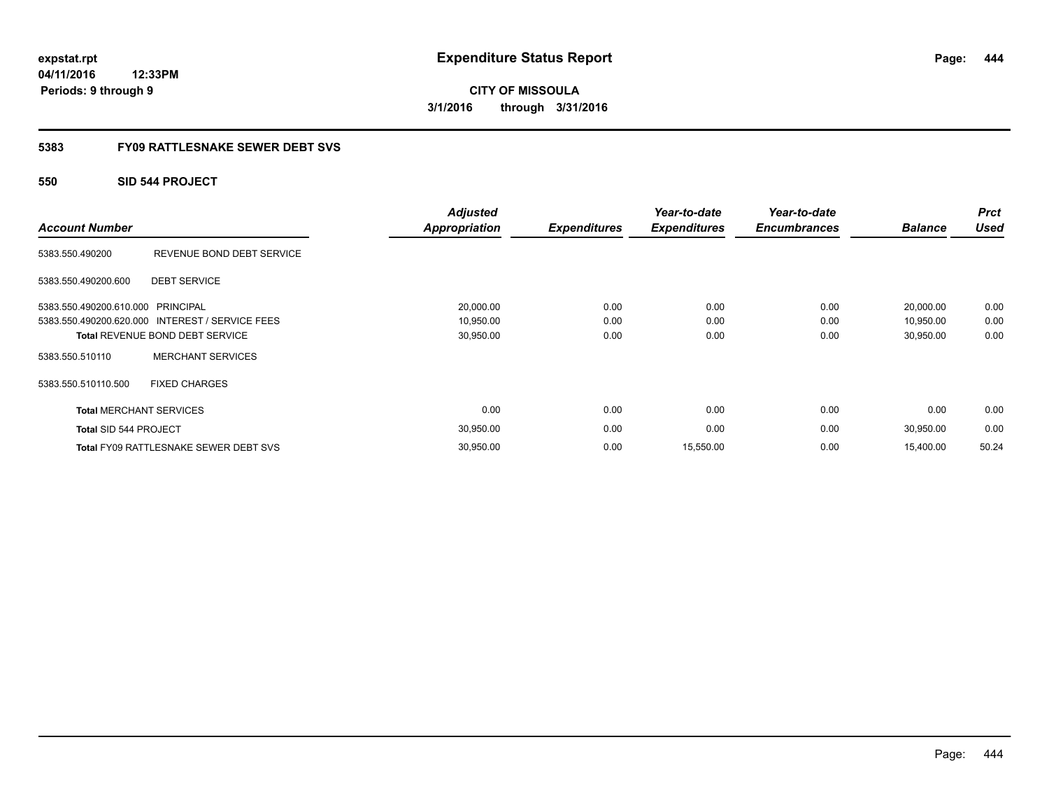**04/11/2016 12:33PM Periods: 9 through 9**

**CITY OF MISSOULA 3/1/2016 through 3/31/2016**

### **5383 FY09 RATTLESNAKE SEWER DEBT SVS**

### **550 SID 544 PROJECT**

| <b>Account Number</b>          |                                                 | <b>Adjusted</b><br><b>Appropriation</b> | <b>Expenditures</b> | Year-to-date<br><b>Expenditures</b> | Year-to-date<br><b>Encumbrances</b> | <b>Balance</b> | <b>Prct</b><br><b>Used</b> |
|--------------------------------|-------------------------------------------------|-----------------------------------------|---------------------|-------------------------------------|-------------------------------------|----------------|----------------------------|
| 5383.550.490200                | REVENUE BOND DEBT SERVICE                       |                                         |                     |                                     |                                     |                |                            |
| 5383.550.490200.600            | <b>DEBT SERVICE</b>                             |                                         |                     |                                     |                                     |                |                            |
| 5383.550.490200.610.000        | PRINCIPAL                                       | 20,000.00                               | 0.00                | 0.00                                | 0.00                                | 20,000.00      | 0.00                       |
|                                | 5383.550.490200.620.000 INTEREST / SERVICE FEES | 10,950.00                               | 0.00                | 0.00                                | 0.00                                | 10,950.00      | 0.00                       |
|                                | <b>Total REVENUE BOND DEBT SERVICE</b>          | 30,950.00                               | 0.00                | 0.00                                | 0.00                                | 30,950.00      | 0.00                       |
| 5383.550.510110                | <b>MERCHANT SERVICES</b>                        |                                         |                     |                                     |                                     |                |                            |
| 5383.550.510110.500            | <b>FIXED CHARGES</b>                            |                                         |                     |                                     |                                     |                |                            |
| <b>Total MERCHANT SERVICES</b> |                                                 | 0.00                                    | 0.00                | 0.00                                | 0.00                                | 0.00           | 0.00                       |
| Total SID 544 PROJECT          |                                                 | 30,950.00                               | 0.00                | 0.00                                | 0.00                                | 30,950.00      | 0.00                       |
|                                | <b>Total FY09 RATTLESNAKE SEWER DEBT SVS</b>    | 30,950.00                               | 0.00                | 15,550.00                           | 0.00                                | 15,400.00      | 50.24                      |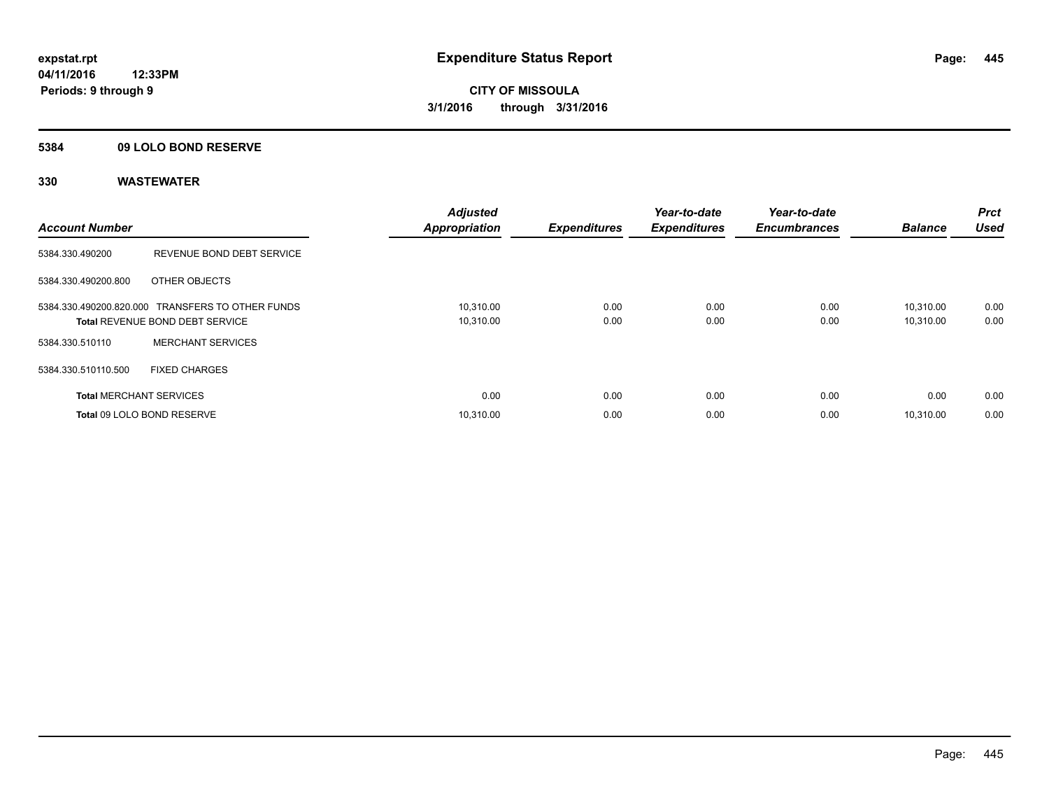### **5384 09 LOLO BOND RESERVE**

| <b>Account Number</b>          |                                                                                            | <b>Adjusted</b><br><b>Appropriation</b> | <b>Expenditures</b> | Year-to-date<br><b>Expenditures</b> | Year-to-date<br><b>Encumbrances</b> | <b>Balance</b>         | <b>Prct</b><br><b>Used</b> |
|--------------------------------|--------------------------------------------------------------------------------------------|-----------------------------------------|---------------------|-------------------------------------|-------------------------------------|------------------------|----------------------------|
| 5384.330.490200                | REVENUE BOND DEBT SERVICE                                                                  |                                         |                     |                                     |                                     |                        |                            |
| 5384.330.490200.800            | OTHER OBJECTS                                                                              |                                         |                     |                                     |                                     |                        |                            |
|                                | 5384.330.490200.820.000 TRANSFERS TO OTHER FUNDS<br><b>Total REVENUE BOND DEBT SERVICE</b> | 10,310.00<br>10,310.00                  | 0.00<br>0.00        | 0.00<br>0.00                        | 0.00<br>0.00                        | 10.310.00<br>10,310.00 | 0.00<br>0.00               |
| 5384.330.510110                | <b>MERCHANT SERVICES</b>                                                                   |                                         |                     |                                     |                                     |                        |                            |
| 5384.330.510110.500            | <b>FIXED CHARGES</b>                                                                       |                                         |                     |                                     |                                     |                        |                            |
| <b>Total MERCHANT SERVICES</b> |                                                                                            | 0.00                                    | 0.00                | 0.00                                | 0.00                                | 0.00                   | 0.00                       |
|                                | Total 09 LOLO BOND RESERVE                                                                 | 10.310.00                               | 0.00                | 0.00                                | 0.00                                | 10.310.00              | 0.00                       |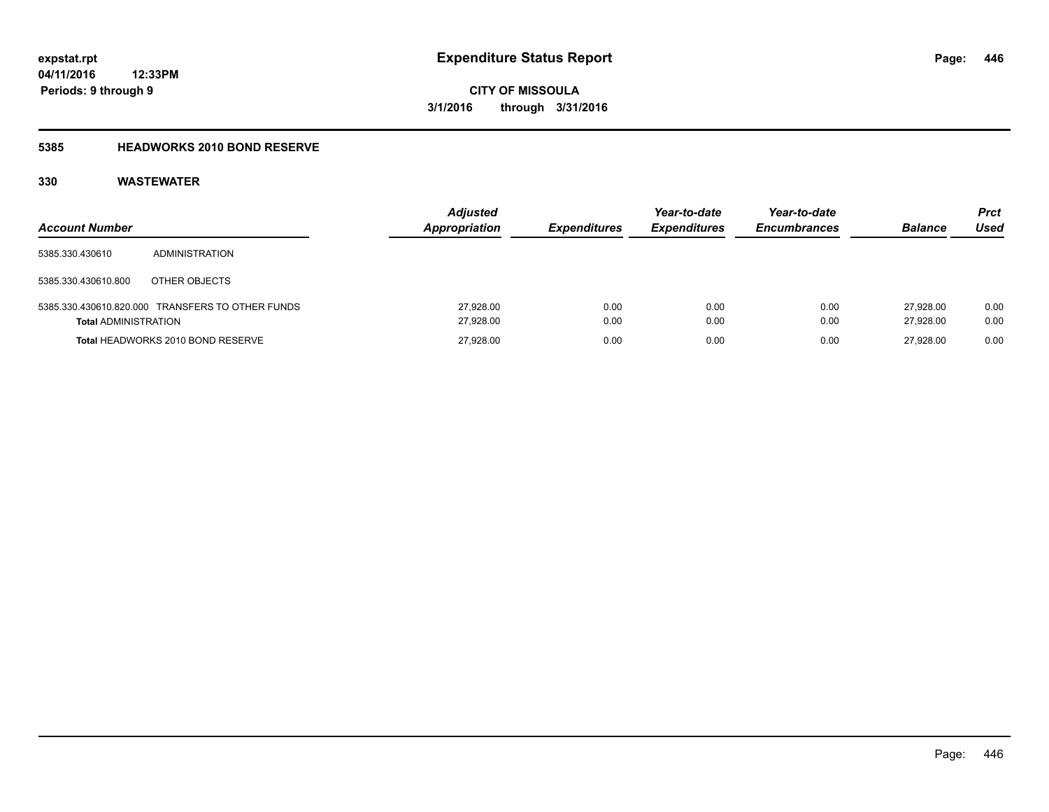### **5385 HEADWORKS 2010 BOND RESERVE**

| <b>Account Number</b>       |                                                  | <b>Adjusted</b><br><b>Appropriation</b> | <b>Expenditures</b> | Year-to-date<br><b>Expenditures</b> | Year-to-date<br><b>Encumbrances</b> | <b>Balance</b>         | <b>Prct</b><br>Used |
|-----------------------------|--------------------------------------------------|-----------------------------------------|---------------------|-------------------------------------|-------------------------------------|------------------------|---------------------|
| 5385.330.430610             | <b>ADMINISTRATION</b>                            |                                         |                     |                                     |                                     |                        |                     |
| 5385.330.430610.800         | OTHER OBJECTS                                    |                                         |                     |                                     |                                     |                        |                     |
| <b>Total ADMINISTRATION</b> | 5385.330.430610.820.000 TRANSFERS TO OTHER FUNDS | 27,928.00<br>27,928.00                  | 0.00<br>0.00        | 0.00<br>0.00                        | 0.00<br>0.00                        | 27.928.00<br>27.928.00 | 0.00<br>0.00        |
|                             | Total HEADWORKS 2010 BOND RESERVE                | 27,928.00                               | 0.00                | 0.00                                | 0.00                                | 27.928.00              | 0.00                |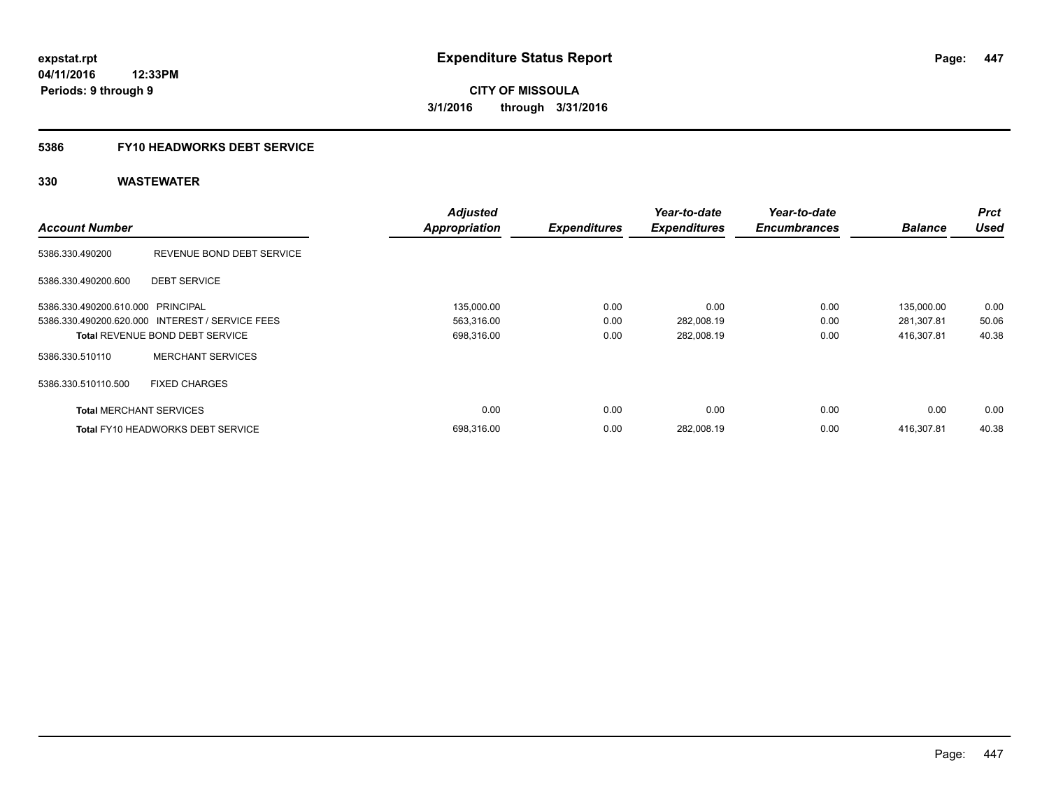### **5386 FY10 HEADWORKS DEBT SERVICE**

|                                   |                                                 | <b>Adjusted</b>      |                     | Year-to-date        | Year-to-date        |                | <b>Prct</b> |
|-----------------------------------|-------------------------------------------------|----------------------|---------------------|---------------------|---------------------|----------------|-------------|
| <b>Account Number</b>             |                                                 | <b>Appropriation</b> | <b>Expenditures</b> | <b>Expenditures</b> | <b>Encumbrances</b> | <b>Balance</b> | <b>Used</b> |
| 5386.330.490200                   | REVENUE BOND DEBT SERVICE                       |                      |                     |                     |                     |                |             |
| 5386.330.490200.600               | <b>DEBT SERVICE</b>                             |                      |                     |                     |                     |                |             |
| 5386.330.490200.610.000 PRINCIPAL |                                                 | 135,000.00           | 0.00                | 0.00                | 0.00                | 135,000.00     | 0.00        |
|                                   | 5386.330.490200.620.000 INTEREST / SERVICE FEES | 563,316.00           | 0.00                | 282,008.19          | 0.00                | 281,307.81     | 50.06       |
|                                   | <b>Total REVENUE BOND DEBT SERVICE</b>          | 698,316.00           | 0.00                | 282,008.19          | 0.00                | 416.307.81     | 40.38       |
| 5386.330.510110                   | <b>MERCHANT SERVICES</b>                        |                      |                     |                     |                     |                |             |
| 5386.330.510110.500               | <b>FIXED CHARGES</b>                            |                      |                     |                     |                     |                |             |
| <b>Total MERCHANT SERVICES</b>    |                                                 | 0.00                 | 0.00                | 0.00                | 0.00                | 0.00           | 0.00        |
|                                   | <b>Total FY10 HEADWORKS DEBT SERVICE</b>        | 698.316.00           | 0.00                | 282.008.19          | 0.00                | 416.307.81     | 40.38       |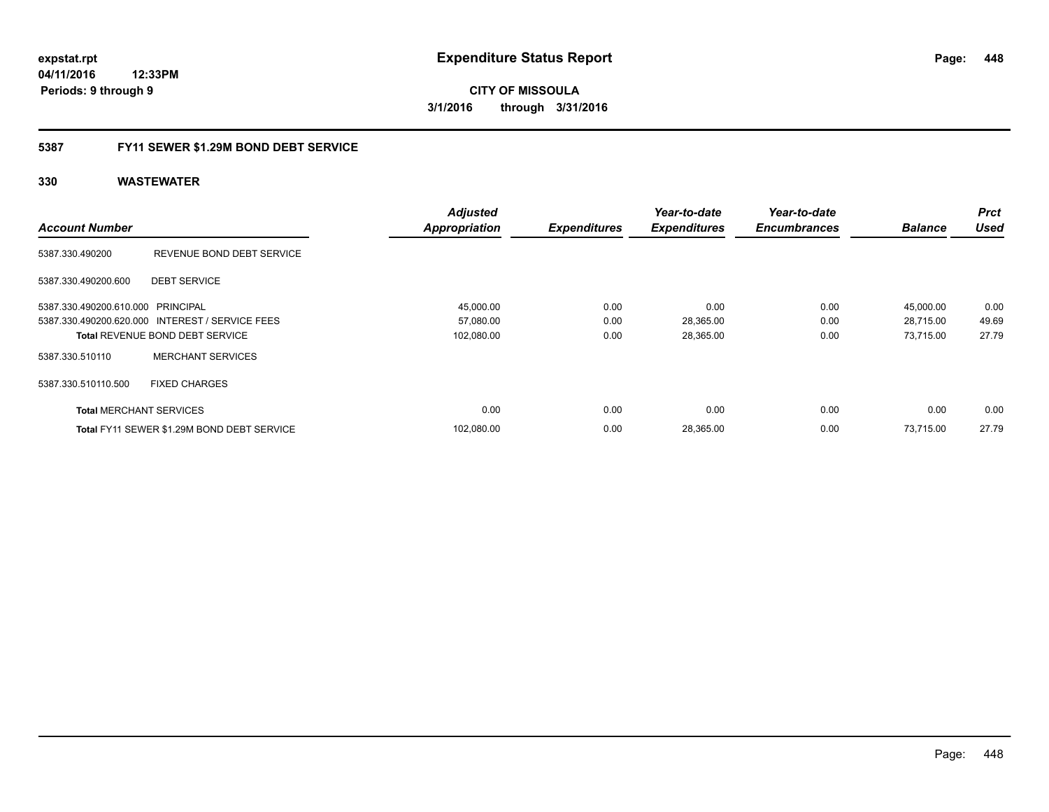**04/11/2016 12:33PM Periods: 9 through 9**

**CITY OF MISSOULA 3/1/2016 through 3/31/2016**

### **5387 FY11 SEWER \$1.29M BOND DEBT SERVICE**

|                                   |                                                 | <b>Adjusted</b>      |                     | Year-to-date        | Year-to-date        |                | <b>Prct</b> |
|-----------------------------------|-------------------------------------------------|----------------------|---------------------|---------------------|---------------------|----------------|-------------|
| <b>Account Number</b>             |                                                 | <b>Appropriation</b> | <b>Expenditures</b> | <b>Expenditures</b> | <b>Encumbrances</b> | <b>Balance</b> | <b>Used</b> |
| 5387.330.490200                   | REVENUE BOND DEBT SERVICE                       |                      |                     |                     |                     |                |             |
| 5387.330.490200.600               | <b>DEBT SERVICE</b>                             |                      |                     |                     |                     |                |             |
| 5387.330.490200.610.000 PRINCIPAL |                                                 | 45,000.00            | 0.00                | 0.00                | 0.00                | 45,000.00      | 0.00        |
|                                   | 5387.330.490200.620.000 INTEREST / SERVICE FEES | 57,080.00            | 0.00                | 28,365.00           | 0.00                | 28,715.00      | 49.69       |
|                                   | <b>Total REVENUE BOND DEBT SERVICE</b>          | 102,080.00           | 0.00                | 28,365.00           | 0.00                | 73,715.00      | 27.79       |
| 5387.330.510110                   | <b>MERCHANT SERVICES</b>                        |                      |                     |                     |                     |                |             |
| 5387.330.510110.500               | <b>FIXED CHARGES</b>                            |                      |                     |                     |                     |                |             |
| <b>Total MERCHANT SERVICES</b>    |                                                 | 0.00                 | 0.00                | 0.00                | 0.00                | 0.00           | 0.00        |
|                                   | Total FY11 SEWER \$1.29M BOND DEBT SERVICE      | 102.080.00           | 0.00                | 28,365.00           | 0.00                | 73.715.00      | 27.79       |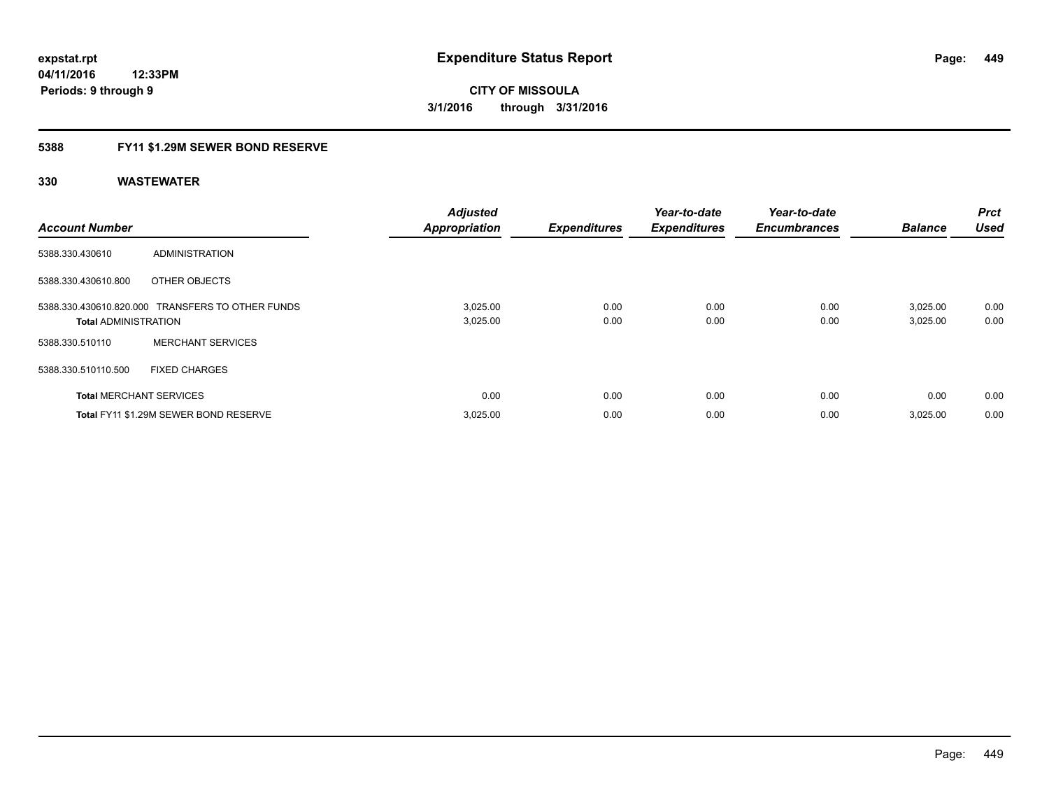### **5388 FY11 \$1.29M SEWER BOND RESERVE**

| <b>Account Number</b>          |                                                  | <b>Adjusted</b><br><b>Appropriation</b> | <b>Expenditures</b> | Year-to-date<br><b>Expenditures</b> | Year-to-date<br><b>Encumbrances</b> | <b>Balance</b>       | Prct<br><b>Used</b> |
|--------------------------------|--------------------------------------------------|-----------------------------------------|---------------------|-------------------------------------|-------------------------------------|----------------------|---------------------|
| 5388.330.430610                | ADMINISTRATION                                   |                                         |                     |                                     |                                     |                      |                     |
| 5388.330.430610.800            | OTHER OBJECTS                                    |                                         |                     |                                     |                                     |                      |                     |
| <b>Total ADMINISTRATION</b>    | 5388.330.430610.820.000 TRANSFERS TO OTHER FUNDS | 3,025.00<br>3,025.00                    | 0.00<br>0.00        | 0.00<br>0.00                        | 0.00<br>0.00                        | 3,025.00<br>3,025.00 | 0.00<br>0.00        |
| 5388.330.510110                | <b>MERCHANT SERVICES</b>                         |                                         |                     |                                     |                                     |                      |                     |
| 5388.330.510110.500            | <b>FIXED CHARGES</b>                             |                                         |                     |                                     |                                     |                      |                     |
| <b>Total MERCHANT SERVICES</b> |                                                  | 0.00                                    | 0.00                | 0.00                                | 0.00                                | 0.00                 | 0.00                |
|                                | Total FY11 \$1.29M SEWER BOND RESERVE            | 3,025.00                                | 0.00                | 0.00                                | 0.00                                | 3,025.00             | 0.00                |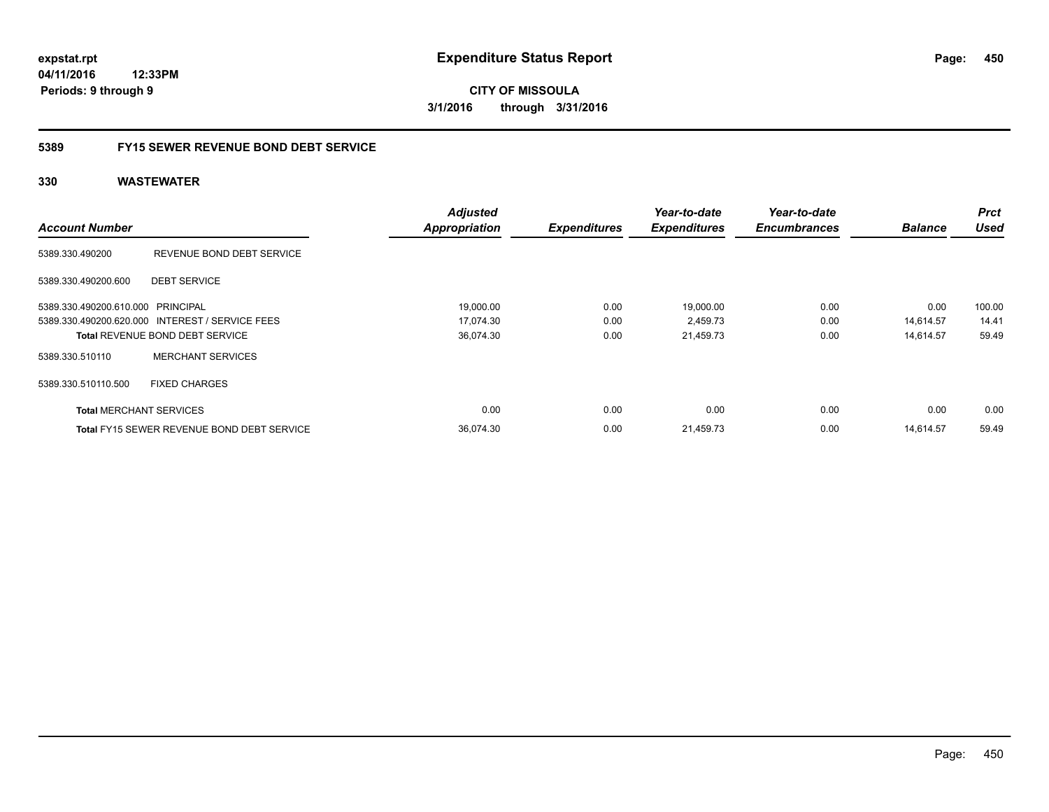**04/11/2016 12:33PM Periods: 9 through 9**

**CITY OF MISSOULA 3/1/2016 through 3/31/2016**

### **5389 FY15 SEWER REVENUE BOND DEBT SERVICE**

|                                   |                                                   | <b>Adjusted</b>      |                     | Year-to-date        | Year-to-date        |                | <b>Prct</b> |
|-----------------------------------|---------------------------------------------------|----------------------|---------------------|---------------------|---------------------|----------------|-------------|
| <b>Account Number</b>             |                                                   | <b>Appropriation</b> | <b>Expenditures</b> | <b>Expenditures</b> | <b>Encumbrances</b> | <b>Balance</b> | <b>Used</b> |
| 5389.330.490200                   | REVENUE BOND DEBT SERVICE                         |                      |                     |                     |                     |                |             |
| 5389.330.490200.600               | <b>DEBT SERVICE</b>                               |                      |                     |                     |                     |                |             |
| 5389.330.490200.610.000 PRINCIPAL |                                                   | 19,000.00            | 0.00                | 19,000.00           | 0.00                | 0.00           | 100.00      |
|                                   | 5389.330.490200.620.000 INTEREST / SERVICE FEES   | 17.074.30            | 0.00                | 2,459.73            | 0.00                | 14.614.57      | 14.41       |
|                                   | <b>Total REVENUE BOND DEBT SERVICE</b>            | 36,074.30            | 0.00                | 21,459.73           | 0.00                | 14,614.57      | 59.49       |
| 5389.330.510110                   | <b>MERCHANT SERVICES</b>                          |                      |                     |                     |                     |                |             |
| 5389.330.510110.500               | <b>FIXED CHARGES</b>                              |                      |                     |                     |                     |                |             |
| <b>Total MERCHANT SERVICES</b>    |                                                   | 0.00                 | 0.00                | 0.00                | 0.00                | 0.00           | 0.00        |
|                                   | <b>Total FY15 SEWER REVENUE BOND DEBT SERVICE</b> | 36,074.30            | 0.00                | 21,459.73           | 0.00                | 14.614.57      | 59.49       |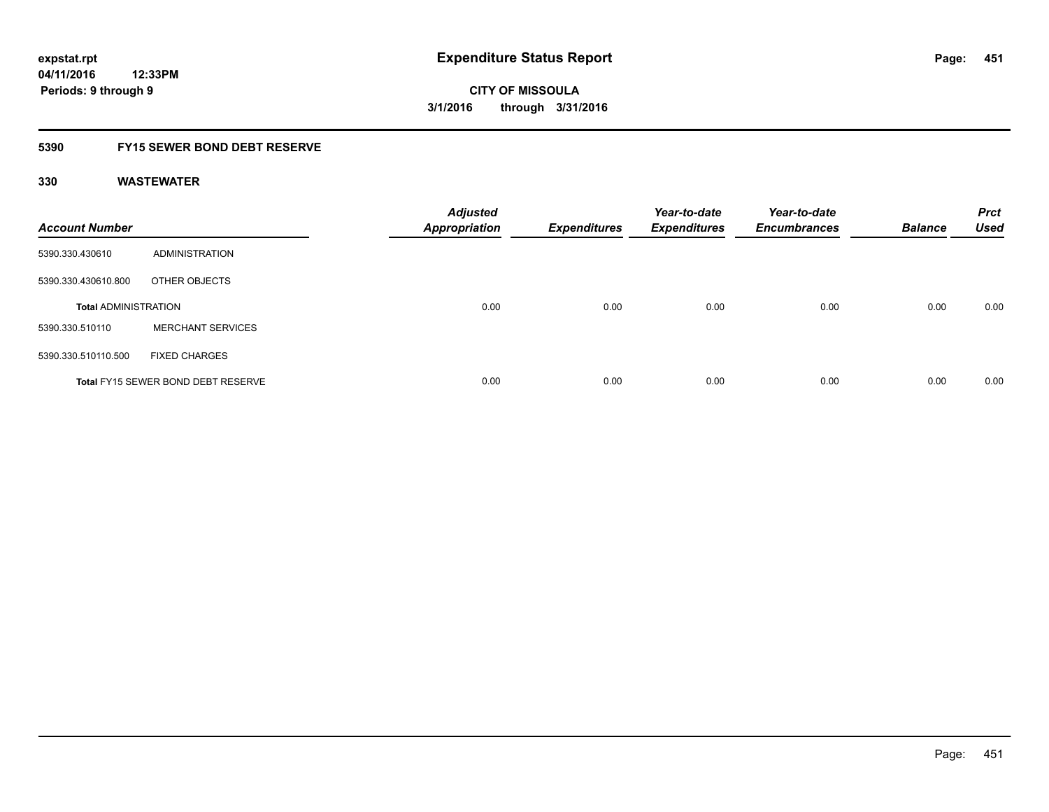### **5390 FY15 SEWER BOND DEBT RESERVE**

| <b>Account Number</b>       |                                           | <b>Adjusted</b><br><b>Appropriation</b> | <b>Expenditures</b> | Year-to-date<br><b>Expenditures</b> | Year-to-date<br><b>Encumbrances</b> | <b>Balance</b> | <b>Prct</b><br><b>Used</b> |
|-----------------------------|-------------------------------------------|-----------------------------------------|---------------------|-------------------------------------|-------------------------------------|----------------|----------------------------|
| 5390.330.430610             | ADMINISTRATION                            |                                         |                     |                                     |                                     |                |                            |
| 5390.330.430610.800         | OTHER OBJECTS                             |                                         |                     |                                     |                                     |                |                            |
| <b>Total ADMINISTRATION</b> |                                           | 0.00                                    | 0.00                | 0.00                                | 0.00                                | 0.00           | 0.00                       |
| 5390.330.510110             | <b>MERCHANT SERVICES</b>                  |                                         |                     |                                     |                                     |                |                            |
| 5390.330.510110.500         | <b>FIXED CHARGES</b>                      |                                         |                     |                                     |                                     |                |                            |
|                             | <b>Total FY15 SEWER BOND DEBT RESERVE</b> | 0.00                                    | 0.00                | 0.00                                | 0.00                                | 0.00           | 0.00                       |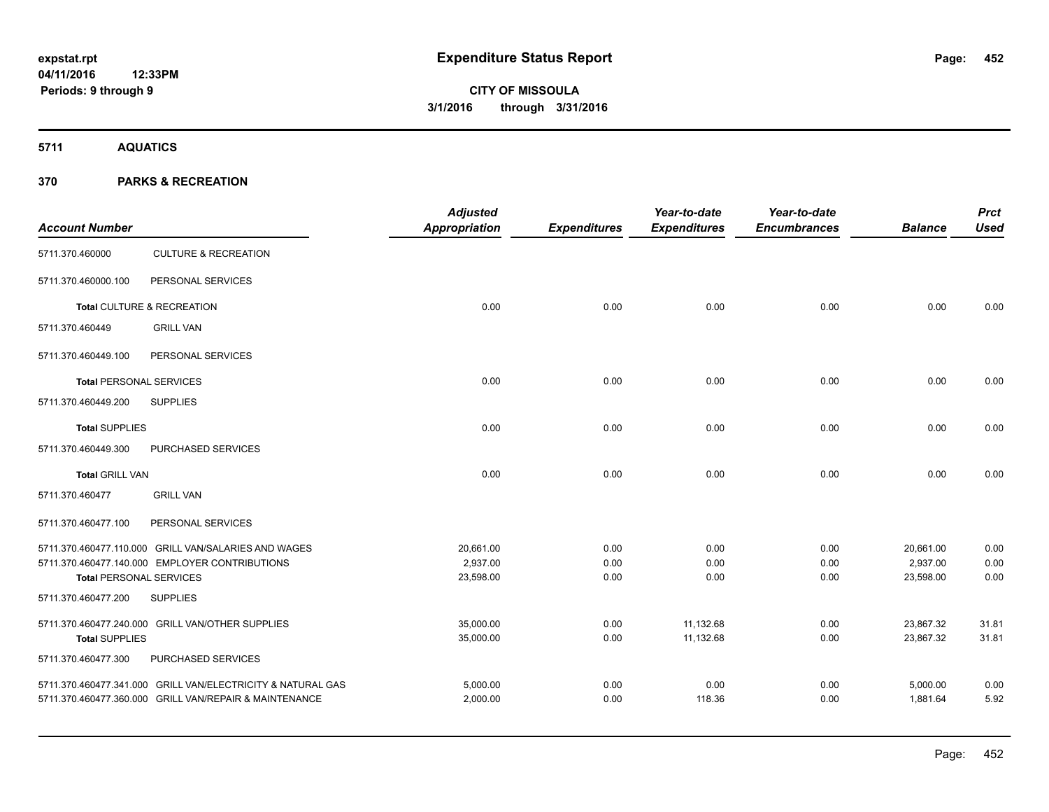**5711 AQUATICS**

| <b>Account Number</b>          |                                                             | <b>Adjusted</b><br><b>Appropriation</b> | <b>Expenditures</b> | Year-to-date<br><b>Expenditures</b> | Year-to-date<br><b>Encumbrances</b> | <b>Balance</b> | <b>Prct</b><br><b>Used</b> |
|--------------------------------|-------------------------------------------------------------|-----------------------------------------|---------------------|-------------------------------------|-------------------------------------|----------------|----------------------------|
| 5711.370.460000                | <b>CULTURE &amp; RECREATION</b>                             |                                         |                     |                                     |                                     |                |                            |
| 5711.370.460000.100            | PERSONAL SERVICES                                           |                                         |                     |                                     |                                     |                |                            |
|                                | Total CULTURE & RECREATION                                  | 0.00                                    | 0.00                | 0.00                                | 0.00                                | 0.00           | 0.00                       |
| 5711.370.460449                | <b>GRILL VAN</b>                                            |                                         |                     |                                     |                                     |                |                            |
| 5711.370.460449.100            | PERSONAL SERVICES                                           |                                         |                     |                                     |                                     |                |                            |
| <b>Total PERSONAL SERVICES</b> |                                                             | 0.00                                    | 0.00                | 0.00                                | 0.00                                | 0.00           | 0.00                       |
| 5711.370.460449.200            | <b>SUPPLIES</b>                                             |                                         |                     |                                     |                                     |                |                            |
| <b>Total SUPPLIES</b>          |                                                             | 0.00                                    | 0.00                | 0.00                                | 0.00                                | 0.00           | 0.00                       |
| 5711.370.460449.300            | PURCHASED SERVICES                                          |                                         |                     |                                     |                                     |                |                            |
| <b>Total GRILL VAN</b>         |                                                             | 0.00                                    | 0.00                | 0.00                                | 0.00                                | 0.00           | 0.00                       |
| 5711.370.460477                | <b>GRILL VAN</b>                                            |                                         |                     |                                     |                                     |                |                            |
| 5711.370.460477.100            | PERSONAL SERVICES                                           |                                         |                     |                                     |                                     |                |                            |
|                                | 5711.370.460477.110.000 GRILL VAN/SALARIES AND WAGES        | 20,661.00                               | 0.00                | 0.00                                | 0.00                                | 20,661.00      | 0.00                       |
|                                | 5711.370.460477.140.000 EMPLOYER CONTRIBUTIONS              | 2,937.00                                | 0.00                | 0.00                                | 0.00                                | 2,937.00       | 0.00                       |
| <b>Total PERSONAL SERVICES</b> |                                                             | 23,598.00                               | 0.00                | 0.00                                | 0.00                                | 23,598.00      | 0.00                       |
| 5711.370.460477.200            | <b>SUPPLIES</b>                                             |                                         |                     |                                     |                                     |                |                            |
|                                | 5711.370.460477.240.000 GRILL VAN/OTHER SUPPLIES            | 35,000.00                               | 0.00                | 11,132.68                           | 0.00                                | 23,867.32      | 31.81                      |
| <b>Total SUPPLIES</b>          |                                                             | 35,000.00                               | 0.00                | 11,132.68                           | 0.00                                | 23,867.32      | 31.81                      |
| 5711.370.460477.300            | PURCHASED SERVICES                                          |                                         |                     |                                     |                                     |                |                            |
|                                | 5711.370.460477.341.000 GRILL VAN/ELECTRICITY & NATURAL GAS | 5,000.00                                | 0.00                | 0.00                                | 0.00                                | 5,000.00       | 0.00                       |
|                                | 5711.370.460477.360.000 GRILL VAN/REPAIR & MAINTENANCE      | 2,000.00                                | 0.00                | 118.36                              | 0.00                                | 1,881.64       | 5.92                       |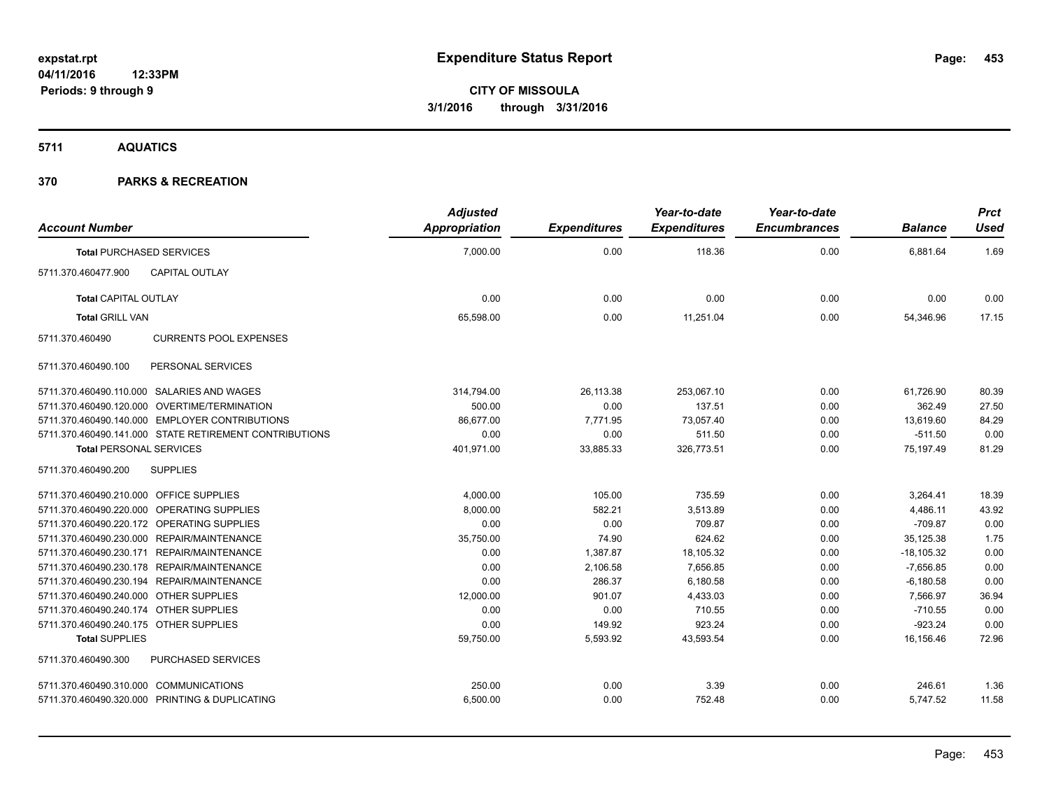**5711 AQUATICS**

| <b>Account Number</b>                                  | <b>Adjusted</b><br>Appropriation | <b>Expenditures</b> | Year-to-date<br><b>Expenditures</b> | Year-to-date<br><b>Encumbrances</b> | <b>Balance</b> | <b>Prct</b><br><b>Used</b> |
|--------------------------------------------------------|----------------------------------|---------------------|-------------------------------------|-------------------------------------|----------------|----------------------------|
| <b>Total PURCHASED SERVICES</b>                        | 7,000.00                         | 0.00                | 118.36                              | 0.00                                | 6,881.64       | 1.69                       |
| 5711.370.460477.900<br><b>CAPITAL OUTLAY</b>           |                                  |                     |                                     |                                     |                |                            |
| <b>Total CAPITAL OUTLAY</b>                            | 0.00                             | 0.00                | 0.00                                | 0.00                                | 0.00           | 0.00                       |
| <b>Total GRILL VAN</b>                                 | 65,598.00                        | 0.00                | 11,251.04                           | 0.00                                | 54,346.96      | 17.15                      |
| 5711.370.460490<br><b>CURRENTS POOL EXPENSES</b>       |                                  |                     |                                     |                                     |                |                            |
| PERSONAL SERVICES<br>5711.370.460490.100               |                                  |                     |                                     |                                     |                |                            |
| 5711.370.460490.110.000 SALARIES AND WAGES             | 314,794.00                       | 26,113.38           | 253,067.10                          | 0.00                                | 61,726.90      | 80.39                      |
| 5711.370.460490.120.000 OVERTIME/TERMINATION           | 500.00                           | 0.00                | 137.51                              | 0.00                                | 362.49         | 27.50                      |
| 5711.370.460490.140.000 EMPLOYER CONTRIBUTIONS         | 86.677.00                        | 7,771.95            | 73,057.40                           | 0.00                                | 13,619.60      | 84.29                      |
| 5711.370.460490.141.000 STATE RETIREMENT CONTRIBUTIONS | 0.00                             | 0.00                | 511.50                              | 0.00                                | $-511.50$      | 0.00                       |
| <b>Total PERSONAL SERVICES</b>                         | 401,971.00                       | 33,885.33           | 326,773.51                          | 0.00                                | 75,197.49      | 81.29                      |
| <b>SUPPLIES</b><br>5711.370.460490.200                 |                                  |                     |                                     |                                     |                |                            |
| 5711.370.460490.210.000 OFFICE SUPPLIES                | 4,000.00                         | 105.00              | 735.59                              | 0.00                                | 3,264.41       | 18.39                      |
| 5711.370.460490.220.000 OPERATING SUPPLIES             | 8,000.00                         | 582.21              | 3,513.89                            | 0.00                                | 4,486.11       | 43.92                      |
| 5711.370.460490.220.172 OPERATING SUPPLIES             | 0.00                             | 0.00                | 709.87                              | 0.00                                | $-709.87$      | 0.00                       |
| 5711.370.460490.230.000 REPAIR/MAINTENANCE             | 35,750.00                        | 74.90               | 624.62                              | 0.00                                | 35,125.38      | 1.75                       |
| 5711.370.460490.230.171 REPAIR/MAINTENANCE             | 0.00                             | 1,387.87            | 18,105.32                           | 0.00                                | $-18,105.32$   | 0.00                       |
| 5711.370.460490.230.178 REPAIR/MAINTENANCE             | 0.00                             | 2,106.58            | 7,656.85                            | 0.00                                | $-7,656.85$    | 0.00                       |
| 5711.370.460490.230.194 REPAIR/MAINTENANCE             | 0.00                             | 286.37              | 6,180.58                            | 0.00                                | $-6,180.58$    | 0.00                       |
| 5711.370.460490.240.000 OTHER SUPPLIES                 | 12,000.00                        | 901.07              | 4,433.03                            | 0.00                                | 7,566.97       | 36.94                      |
| 5711.370.460490.240.174 OTHER SUPPLIES                 | 0.00                             | 0.00                | 710.55                              | 0.00                                | $-710.55$      | 0.00                       |
| 5711.370.460490.240.175 OTHER SUPPLIES                 | 0.00                             | 149.92              | 923.24                              | 0.00                                | $-923.24$      | 0.00                       |
| <b>Total SUPPLIES</b>                                  | 59,750.00                        | 5,593.92            | 43,593.54                           | 0.00                                | 16,156.46      | 72.96                      |
| 5711.370.460490.300<br>PURCHASED SERVICES              |                                  |                     |                                     |                                     |                |                            |
| 5711.370.460490.310.000 COMMUNICATIONS                 | 250.00                           | 0.00                | 3.39                                | 0.00                                | 246.61         | 1.36                       |
| 5711.370.460490.320.000 PRINTING & DUPLICATING         | 6,500.00                         | 0.00                | 752.48                              | 0.00                                | 5,747.52       | 11.58                      |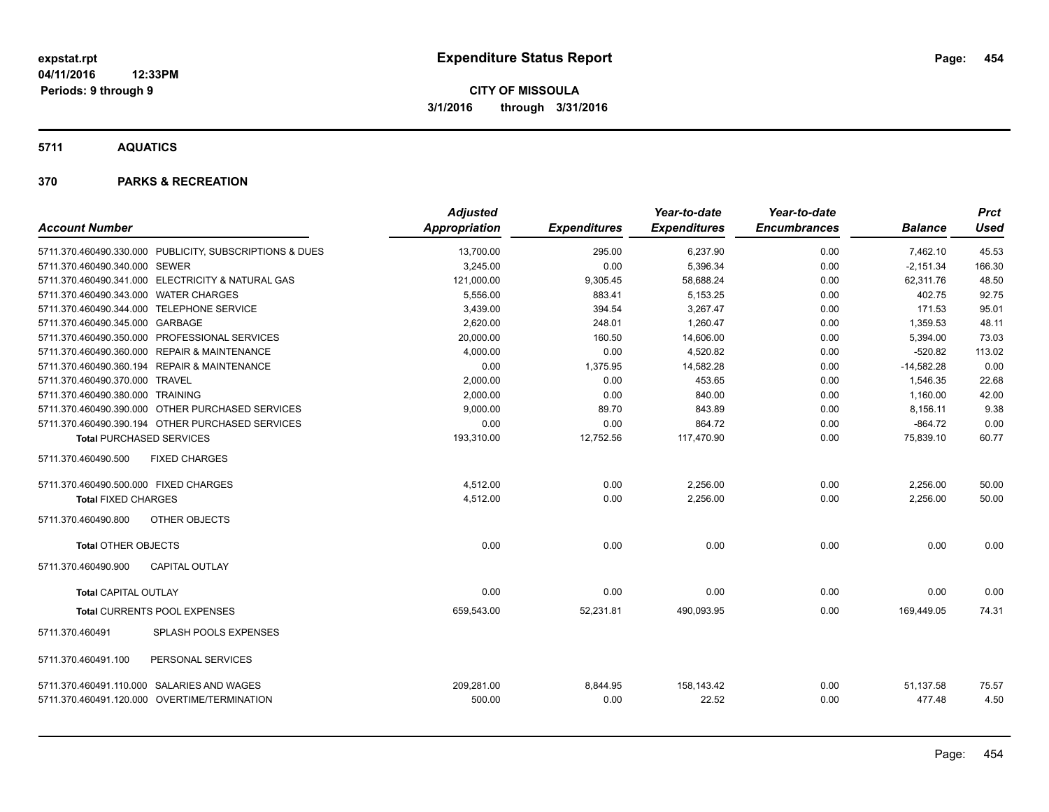**5711 AQUATICS**

| <b>Account Number</b>                 |                                                                                            | <b>Adjusted</b><br><b>Appropriation</b> | <b>Expenditures</b> | Year-to-date<br><b>Expenditures</b> | Year-to-date<br><b>Encumbrances</b> | <b>Balance</b>      | Prct<br><b>Used</b> |
|---------------------------------------|--------------------------------------------------------------------------------------------|-----------------------------------------|---------------------|-------------------------------------|-------------------------------------|---------------------|---------------------|
|                                       |                                                                                            |                                         |                     |                                     |                                     |                     |                     |
|                                       | 5711.370.460490.330.000 PUBLICITY, SUBSCRIPTIONS & DUES                                    | 13,700.00                               | 295.00              | 6,237.90                            | 0.00                                | 7,462.10            | 45.53               |
| 5711.370.460490.340.000 SEWER         |                                                                                            | 3,245.00                                | 0.00                | 5,396.34                            | 0.00                                | $-2,151.34$         | 166.30              |
|                                       | 5711.370.460490.341.000 ELECTRICITY & NATURAL GAS                                          | 121,000.00                              | 9,305.45            | 58,688.24                           | 0.00                                | 62,311.76           | 48.50               |
| 5711.370.460490.343.000 WATER CHARGES |                                                                                            | 5,556.00                                | 883.41              | 5,153.25                            | 0.00                                | 402.75              | 92.75               |
|                                       | 5711.370.460490.344.000 TELEPHONE SERVICE                                                  | 3,439.00                                | 394.54              | 3,267.47                            | 0.00                                | 171.53              | 95.01               |
| 5711.370.460490.345.000 GARBAGE       |                                                                                            | 2,620.00                                | 248.01              | 1.260.47                            | 0.00                                | 1,359.53            | 48.11               |
|                                       | 5711.370.460490.350.000 PROFESSIONAL SERVICES                                              | 20.000.00                               | 160.50              | 14,606.00                           | 0.00                                | 5,394.00            | 73.03               |
|                                       | 5711.370.460490.360.000 REPAIR & MAINTENANCE                                               | 4,000.00                                | 0.00                | 4.520.82                            | 0.00                                | $-520.82$           | 113.02              |
|                                       | 5711.370.460490.360.194 REPAIR & MAINTENANCE                                               | 0.00                                    | 1,375.95            | 14,582.28                           | 0.00                                | $-14,582.28$        | 0.00                |
| 5711.370.460490.370.000 TRAVEL        |                                                                                            | 2,000.00                                | 0.00                | 453.65                              | 0.00                                | 1,546.35            | 22.68               |
| 5711.370.460490.380.000 TRAINING      |                                                                                            | 2,000.00                                | 0.00                | 840.00                              | 0.00                                | 1,160.00            | 42.00               |
|                                       | 5711.370.460490.390.000 OTHER PURCHASED SERVICES                                           | 9,000.00                                | 89.70               | 843.89                              | 0.00                                | 8,156.11            | 9.38                |
|                                       | 5711.370.460490.390.194 OTHER PURCHASED SERVICES                                           | 0.00                                    | 0.00                | 864.72                              | 0.00                                | $-864.72$           | 0.00                |
| <b>Total PURCHASED SERVICES</b>       |                                                                                            | 193,310.00                              | 12,752.56           | 117,470.90                          | 0.00                                | 75,839.10           | 60.77               |
| 5711.370.460490.500                   | <b>FIXED CHARGES</b>                                                                       |                                         |                     |                                     |                                     |                     |                     |
| 5711.370.460490.500.000 FIXED CHARGES |                                                                                            | 4,512.00                                | 0.00                | 2,256.00                            | 0.00                                | 2,256.00            | 50.00               |
| <b>Total FIXED CHARGES</b>            |                                                                                            | 4,512.00                                | 0.00                | 2,256.00                            | 0.00                                | 2,256.00            | 50.00               |
| 5711.370.460490.800                   | <b>OTHER OBJECTS</b>                                                                       |                                         |                     |                                     |                                     |                     |                     |
| <b>Total OTHER OBJECTS</b>            |                                                                                            | 0.00                                    | 0.00                | 0.00                                | 0.00                                | 0.00                | 0.00                |
| 5711.370.460490.900                   | CAPITAL OUTLAY                                                                             |                                         |                     |                                     |                                     |                     |                     |
| <b>Total CAPITAL OUTLAY</b>           |                                                                                            | 0.00                                    | 0.00                | 0.00                                | 0.00                                | 0.00                | 0.00                |
|                                       | <b>Total CURRENTS POOL EXPENSES</b>                                                        | 659.543.00                              | 52,231.81           | 490.093.95                          | 0.00                                | 169.449.05          | 74.31               |
| 5711.370.460491                       | <b>SPLASH POOLS EXPENSES</b>                                                               |                                         |                     |                                     |                                     |                     |                     |
| 5711.370.460491.100                   | PERSONAL SERVICES                                                                          |                                         |                     |                                     |                                     |                     |                     |
|                                       | 5711.370.460491.110.000 SALARIES AND WAGES<br>5711.370.460491.120.000 OVERTIME/TERMINATION | 209,281.00<br>500.00                    | 8,844.95<br>0.00    | 158,143.42<br>22.52                 | 0.00<br>0.00                        | 51,137.58<br>477.48 | 75.57<br>4.50       |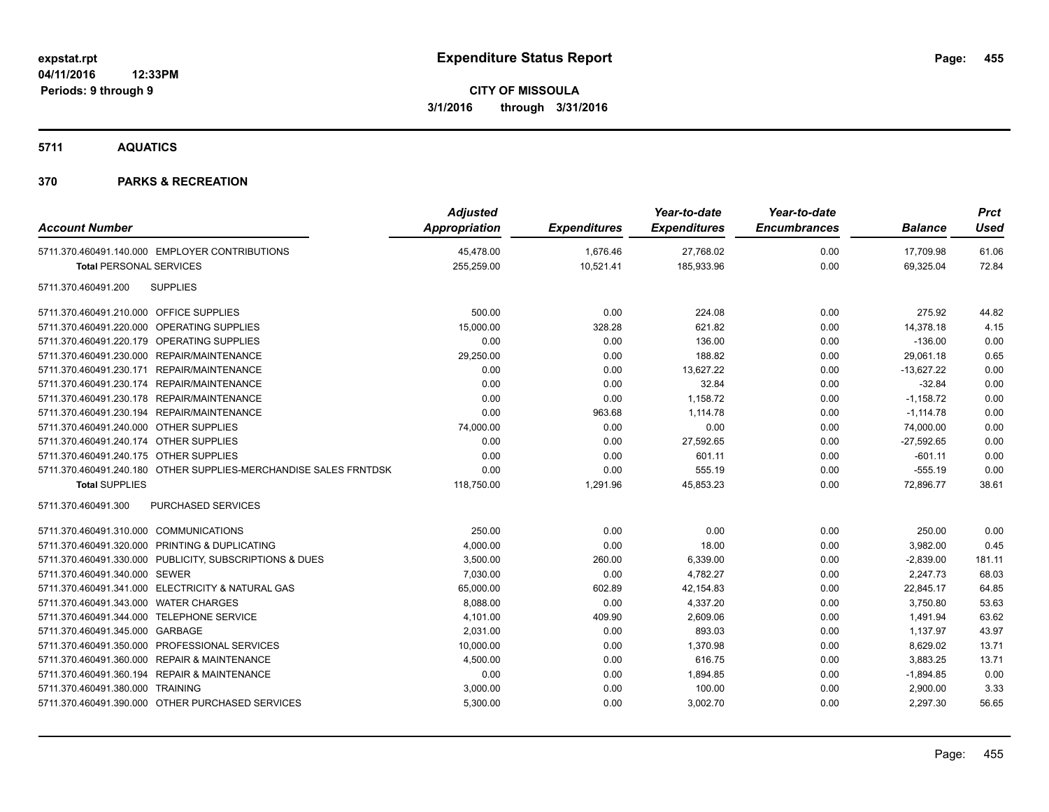**5711 AQUATICS**

| <b>Account Number</b>                                            | <b>Adjusted</b><br>Appropriation | <b>Expenditures</b> | Year-to-date<br><b>Expenditures</b> | Year-to-date<br><b>Encumbrances</b> | <b>Balance</b> | <b>Prct</b><br><b>Used</b> |
|------------------------------------------------------------------|----------------------------------|---------------------|-------------------------------------|-------------------------------------|----------------|----------------------------|
| 5711.370.460491.140.000 EMPLOYER CONTRIBUTIONS                   | 45,478.00                        | 1,676.46            | 27,768.02                           | 0.00                                | 17,709.98      | 61.06                      |
| <b>Total PERSONAL SERVICES</b>                                   | 255,259.00                       | 10,521.41           | 185,933.96                          | 0.00                                | 69,325.04      | 72.84                      |
| <b>SUPPLIES</b><br>5711.370.460491.200                           |                                  |                     |                                     |                                     |                |                            |
| 5711.370.460491.210.000 OFFICE SUPPLIES                          | 500.00                           | 0.00                | 224.08                              | 0.00                                | 275.92         | 44.82                      |
| 5711.370.460491.220.000 OPERATING SUPPLIES                       | 15,000.00                        | 328.28              | 621.82                              | 0.00                                | 14,378.18      | 4.15                       |
| 5711.370.460491.220.179 OPERATING SUPPLIES                       | 0.00                             | 0.00                | 136.00                              | 0.00                                | $-136.00$      | 0.00                       |
| 5711.370.460491.230.000 REPAIR/MAINTENANCE                       | 29,250.00                        | 0.00                | 188.82                              | 0.00                                | 29,061.18      | 0.65                       |
| 5711.370.460491.230.171 REPAIR/MAINTENANCE                       | 0.00                             | 0.00                | 13,627.22                           | 0.00                                | $-13,627.22$   | 0.00                       |
| 5711.370.460491.230.174 REPAIR/MAINTENANCE                       | 0.00                             | 0.00                | 32.84                               | 0.00                                | $-32.84$       | 0.00                       |
| 5711.370.460491.230.178 REPAIR/MAINTENANCE                       | 0.00                             | 0.00                | 1,158.72                            | 0.00                                | $-1,158.72$    | 0.00                       |
| 5711.370.460491.230.194 REPAIR/MAINTENANCE                       | 0.00                             | 963.68              | 1,114.78                            | 0.00                                | $-1,114.78$    | 0.00                       |
| 5711.370.460491.240.000 OTHER SUPPLIES                           | 74,000.00                        | 0.00                | 0.00                                | 0.00                                | 74,000.00      | 0.00                       |
| 5711.370.460491.240.174 OTHER SUPPLIES                           | 0.00                             | 0.00                | 27,592.65                           | 0.00                                | $-27,592.65$   | 0.00                       |
| 5711.370.460491.240.175 OTHER SUPPLIES                           | 0.00                             | 0.00                | 601.11                              | 0.00                                | $-601.11$      | 0.00                       |
| 5711.370.460491.240.180 OTHER SUPPLIES-MERCHANDISE SALES FRNTDSK | 0.00                             | 0.00                | 555.19                              | 0.00                                | $-555.19$      | 0.00                       |
| <b>Total SUPPLIES</b>                                            | 118,750.00                       | 1,291.96            | 45,853.23                           | 0.00                                | 72,896.77      | 38.61                      |
| <b>PURCHASED SERVICES</b><br>5711.370.460491.300                 |                                  |                     |                                     |                                     |                |                            |
| 5711.370.460491.310.000 COMMUNICATIONS                           | 250.00                           | 0.00                | 0.00                                | 0.00                                | 250.00         | 0.00                       |
| 5711.370.460491.320.000 PRINTING & DUPLICATING                   | 4,000.00                         | 0.00                | 18.00                               | 0.00                                | 3,982.00       | 0.45                       |
| 5711.370.460491.330.000 PUBLICITY, SUBSCRIPTIONS & DUES          | 3,500.00                         | 260.00              | 6,339.00                            | 0.00                                | $-2,839.00$    | 181.11                     |
| 5711.370.460491.340.000 SEWER                                    | 7,030.00                         | 0.00                | 4,782.27                            | 0.00                                | 2,247.73       | 68.03                      |
| 5711.370.460491.341.000 ELECTRICITY & NATURAL GAS                | 65,000.00                        | 602.89              | 42,154.83                           | 0.00                                | 22,845.17      | 64.85                      |
| 5711.370.460491.343.000 WATER CHARGES                            | 8,088.00                         | 0.00                | 4,337.20                            | 0.00                                | 3,750.80       | 53.63                      |
| 5711.370.460491.344.000 TELEPHONE SERVICE                        | 4,101.00                         | 409.90              | 2,609.06                            | 0.00                                | 1,491.94       | 63.62                      |
| 5711.370.460491.345.000 GARBAGE                                  | 2,031.00                         | 0.00                | 893.03                              | 0.00                                | 1,137.97       | 43.97                      |
| 5711.370.460491.350.000 PROFESSIONAL SERVICES                    | 10,000.00                        | 0.00                | 1,370.98                            | 0.00                                | 8,629.02       | 13.71                      |
| 5711.370.460491.360.000 REPAIR & MAINTENANCE                     | 4,500.00                         | 0.00                | 616.75                              | 0.00                                | 3,883.25       | 13.71                      |
| 5711.370.460491.360.194 REPAIR & MAINTENANCE                     | 0.00                             | 0.00                | 1,894.85                            | 0.00                                | $-1,894.85$    | 0.00                       |
| 5711.370.460491.380.000 TRAINING                                 | 3,000.00                         | 0.00                | 100.00                              | 0.00                                | 2,900.00       | 3.33                       |
| 5711.370.460491.390.000 OTHER PURCHASED SERVICES                 | 5,300.00                         | 0.00                | 3,002.70                            | 0.00                                | 2,297.30       | 56.65                      |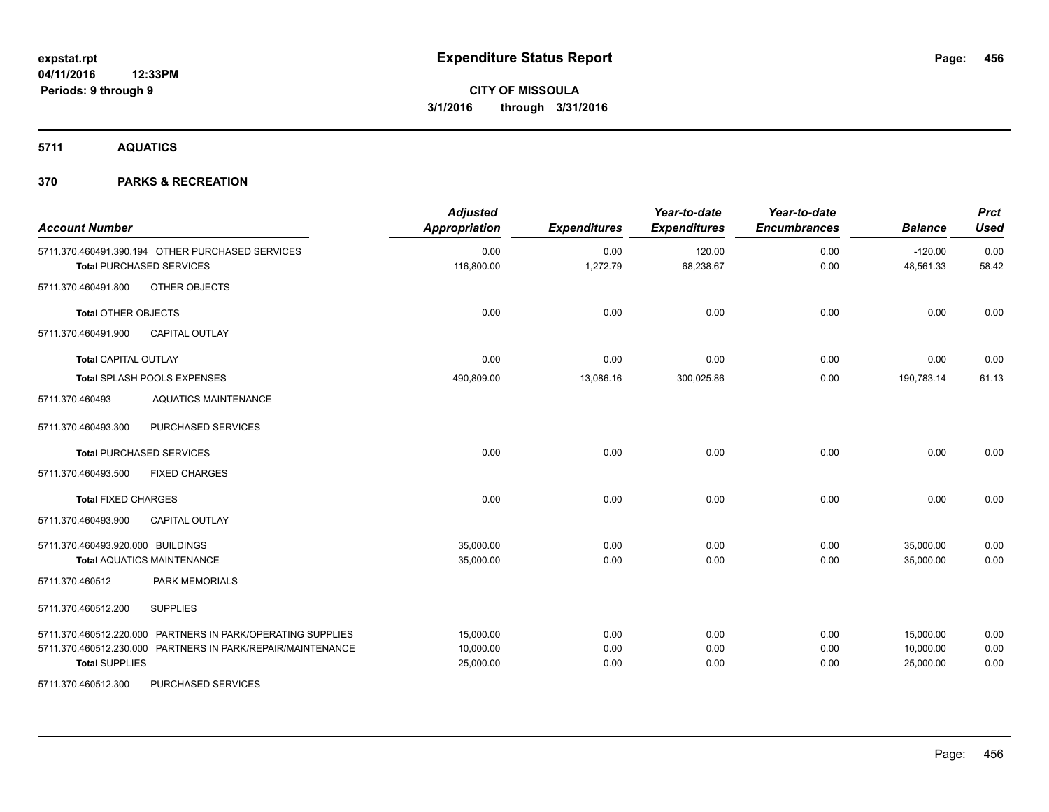**5711 AQUATICS**

| <b>Account Number</b>             |                                                                                     | <b>Adjusted</b><br><b>Appropriation</b> | <b>Expenditures</b> | Year-to-date<br><b>Expenditures</b> | Year-to-date<br><b>Encumbrances</b> | <b>Balance</b>         | <b>Prct</b><br><b>Used</b> |
|-----------------------------------|-------------------------------------------------------------------------------------|-----------------------------------------|---------------------|-------------------------------------|-------------------------------------|------------------------|----------------------------|
|                                   | 5711.370.460491.390.194 OTHER PURCHASED SERVICES<br><b>Total PURCHASED SERVICES</b> | 0.00<br>116,800.00                      | 0.00<br>1,272.79    | 120.00<br>68,238.67                 | 0.00<br>0.00                        | $-120.00$<br>48,561.33 | 0.00<br>58.42              |
| 5711.370.460491.800               | OTHER OBJECTS                                                                       |                                         |                     |                                     |                                     |                        |                            |
| <b>Total OTHER OBJECTS</b>        |                                                                                     | 0.00                                    | 0.00                | 0.00                                | 0.00                                | 0.00                   | 0.00                       |
| 5711.370.460491.900               | <b>CAPITAL OUTLAY</b>                                                               |                                         |                     |                                     |                                     |                        |                            |
| <b>Total CAPITAL OUTLAY</b>       |                                                                                     | 0.00                                    | 0.00                | 0.00                                | 0.00                                | 0.00                   | 0.00                       |
|                                   | Total SPLASH POOLS EXPENSES                                                         | 490,809.00                              | 13,086.16           | 300,025.86                          | 0.00                                | 190,783.14             | 61.13                      |
| 5711.370.460493                   | <b>AQUATICS MAINTENANCE</b>                                                         |                                         |                     |                                     |                                     |                        |                            |
| 5711.370.460493.300               | <b>PURCHASED SERVICES</b>                                                           |                                         |                     |                                     |                                     |                        |                            |
|                                   | <b>Total PURCHASED SERVICES</b>                                                     | 0.00                                    | 0.00                | 0.00                                | 0.00                                | 0.00                   | 0.00                       |
| 5711.370.460493.500               | <b>FIXED CHARGES</b>                                                                |                                         |                     |                                     |                                     |                        |                            |
| <b>Total FIXED CHARGES</b>        |                                                                                     | 0.00                                    | 0.00                | 0.00                                | 0.00                                | 0.00                   | 0.00                       |
| 5711.370.460493.900               | <b>CAPITAL OUTLAY</b>                                                               |                                         |                     |                                     |                                     |                        |                            |
| 5711.370.460493.920.000 BUILDINGS |                                                                                     | 35,000.00                               | 0.00                | 0.00                                | 0.00                                | 35,000.00              | 0.00                       |
|                                   | <b>Total AQUATICS MAINTENANCE</b>                                                   | 35,000.00                               | 0.00                | 0.00                                | 0.00                                | 35,000.00              | 0.00                       |
| 5711.370.460512                   | <b>PARK MEMORIALS</b>                                                               |                                         |                     |                                     |                                     |                        |                            |
| 5711.370.460512.200               | <b>SUPPLIES</b>                                                                     |                                         |                     |                                     |                                     |                        |                            |
|                                   | 5711.370.460512.220.000 PARTNERS IN PARK/OPERATING SUPPLIES                         | 15.000.00                               | 0.00                | 0.00                                | 0.00                                | 15,000.00              | 0.00                       |
|                                   | 5711.370.460512.230.000 PARTNERS IN PARK/REPAIR/MAINTENANCE                         | 10,000.00                               | 0.00                | 0.00                                | 0.00                                | 10,000.00              | 0.00                       |
| <b>Total SUPPLIES</b>             |                                                                                     | 25,000.00                               | 0.00                | 0.00                                | 0.00                                | 25,000.00              | 0.00                       |
| 5711.370.460512.300               | PURCHASED SERVICES                                                                  |                                         |                     |                                     |                                     |                        |                            |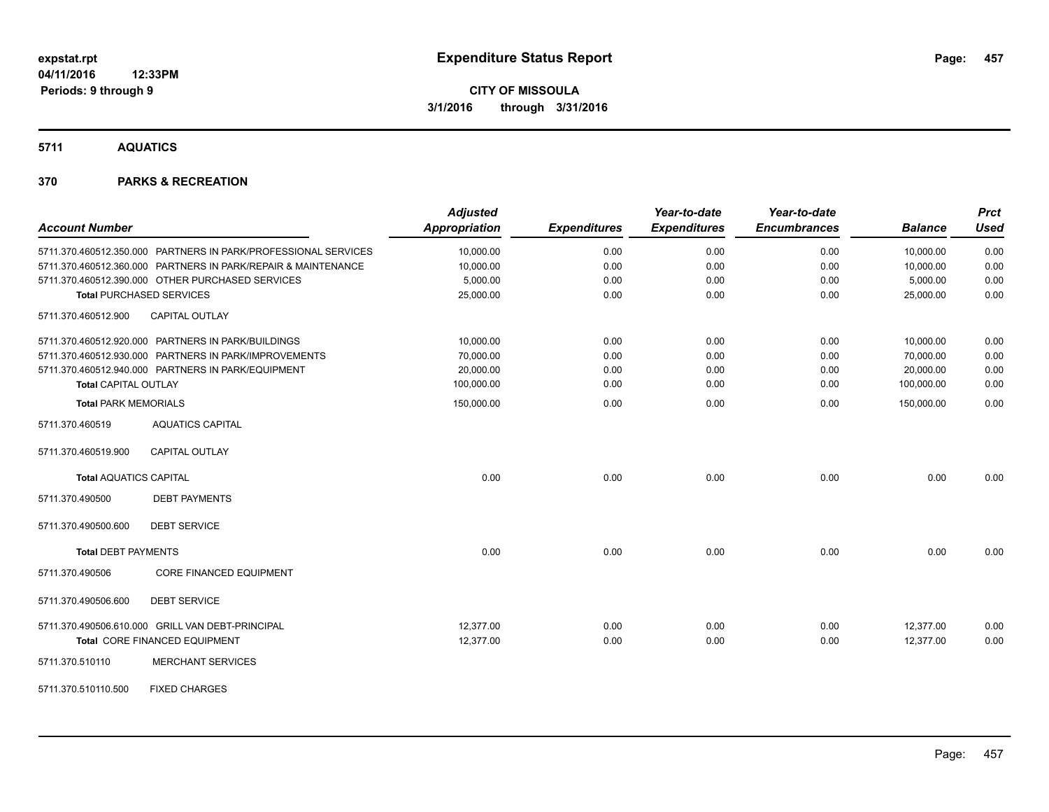**5711 AQUATICS**

| <b>Account Number</b>                                          | <b>Adjusted</b><br>Appropriation | <b>Expenditures</b> | Year-to-date<br><b>Expenditures</b> | Year-to-date<br><b>Encumbrances</b> | <b>Balance</b> | <b>Prct</b><br><b>Used</b> |
|----------------------------------------------------------------|----------------------------------|---------------------|-------------------------------------|-------------------------------------|----------------|----------------------------|
| 5711.370.460512.350.000 PARTNERS IN PARK/PROFESSIONAL SERVICES | 10,000.00                        | 0.00                | 0.00                                | 0.00                                | 10,000.00      | 0.00                       |
| 5711.370.460512.360.000 PARTNERS IN PARK/REPAIR & MAINTENANCE  | 10,000.00                        | 0.00                | 0.00                                | 0.00                                | 10,000.00      | 0.00                       |
| 5711.370.460512.390.000 OTHER PURCHASED SERVICES               | 5,000.00                         | 0.00                | 0.00                                | 0.00                                | 5,000.00       | 0.00                       |
| <b>Total PURCHASED SERVICES</b>                                | 25,000.00                        | 0.00                | 0.00                                | 0.00                                | 25,000.00      | 0.00                       |
| CAPITAL OUTLAY<br>5711.370.460512.900                          |                                  |                     |                                     |                                     |                |                            |
| 5711.370.460512.920.000 PARTNERS IN PARK/BUILDINGS             | 10,000.00                        | 0.00                | 0.00                                | 0.00                                | 10,000.00      | 0.00                       |
| 5711.370.460512.930.000 PARTNERS IN PARK/IMPROVEMENTS          | 70,000.00                        | 0.00                | 0.00                                | 0.00                                | 70,000.00      | 0.00                       |
| 5711.370.460512.940.000 PARTNERS IN PARK/EQUIPMENT             | 20,000.00                        | 0.00                | 0.00                                | 0.00                                | 20,000.00      | 0.00                       |
| <b>Total CAPITAL OUTLAY</b>                                    | 100,000.00                       | 0.00                | 0.00                                | 0.00                                | 100,000.00     | 0.00                       |
| <b>Total PARK MEMORIALS</b>                                    | 150,000.00                       | 0.00                | 0.00                                | 0.00                                | 150,000.00     | 0.00                       |
| <b>AQUATICS CAPITAL</b><br>5711.370.460519                     |                                  |                     |                                     |                                     |                |                            |
| <b>CAPITAL OUTLAY</b><br>5711.370.460519.900                   |                                  |                     |                                     |                                     |                |                            |
| <b>Total AQUATICS CAPITAL</b>                                  | 0.00                             | 0.00                | 0.00                                | 0.00                                | 0.00           | 0.00                       |
| 5711.370.490500<br><b>DEBT PAYMENTS</b>                        |                                  |                     |                                     |                                     |                |                            |
| 5711.370.490500.600<br><b>DEBT SERVICE</b>                     |                                  |                     |                                     |                                     |                |                            |
| <b>Total DEBT PAYMENTS</b>                                     | 0.00                             | 0.00                | 0.00                                | 0.00                                | 0.00           | 0.00                       |
| 5711.370.490506<br><b>CORE FINANCED EQUIPMENT</b>              |                                  |                     |                                     |                                     |                |                            |
| 5711.370.490506.600<br><b>DEBT SERVICE</b>                     |                                  |                     |                                     |                                     |                |                            |
| 5711.370.490506.610.000 GRILL VAN DEBT-PRINCIPAL               | 12,377.00                        | 0.00                | 0.00                                | 0.00                                | 12,377.00      | 0.00                       |
| Total CORE FINANCED EQUIPMENT                                  | 12,377.00                        | 0.00                | 0.00                                | 0.00                                | 12,377.00      | 0.00                       |
| 5711.370.510110<br><b>MERCHANT SERVICES</b>                    |                                  |                     |                                     |                                     |                |                            |
| <b>FIXED CHARGES</b><br>5711.370.510110.500                    |                                  |                     |                                     |                                     |                |                            |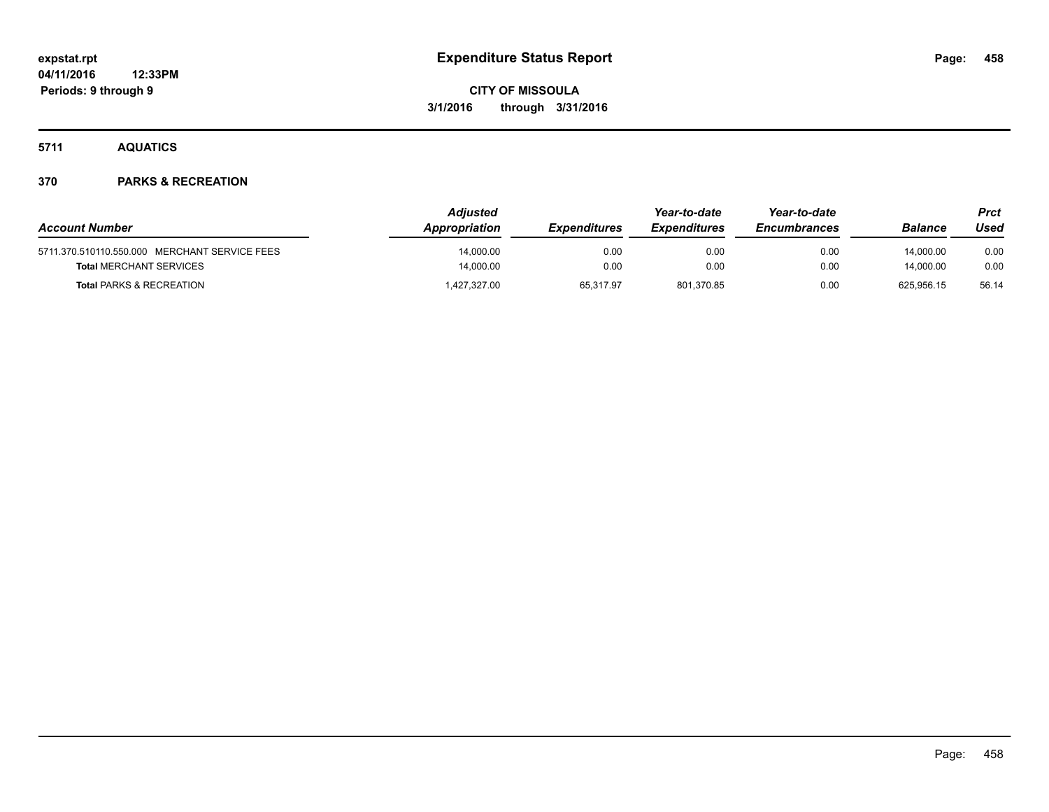**5711 AQUATICS**

| <b>Account Number</b>                         | Adjusted<br>Appropriation | <b>Expenditures</b> | Year-to-date<br><b>Expenditures</b> | Year-to-date<br><b>Encumbrances</b> | <b>Balance</b> | Prct<br>Used |
|-----------------------------------------------|---------------------------|---------------------|-------------------------------------|-------------------------------------|----------------|--------------|
| 5711.370.510110.550.000 MERCHANT SERVICE FEES | 14.000.00                 | 0.00                | 0.00                                | 0.00                                | 14.000.00      | 0.00         |
| <b>Total MERCHANT SERVICES</b>                | 14,000.00                 | 0.00                | 0.00                                | 0.00                                | 14,000.00      | 0.00         |
| <b>Total PARKS &amp; RECREATION</b>           | 427,327.00                | 65.317.97           | 801,370.85                          | 0.00                                | 625.956.15     | 56.14        |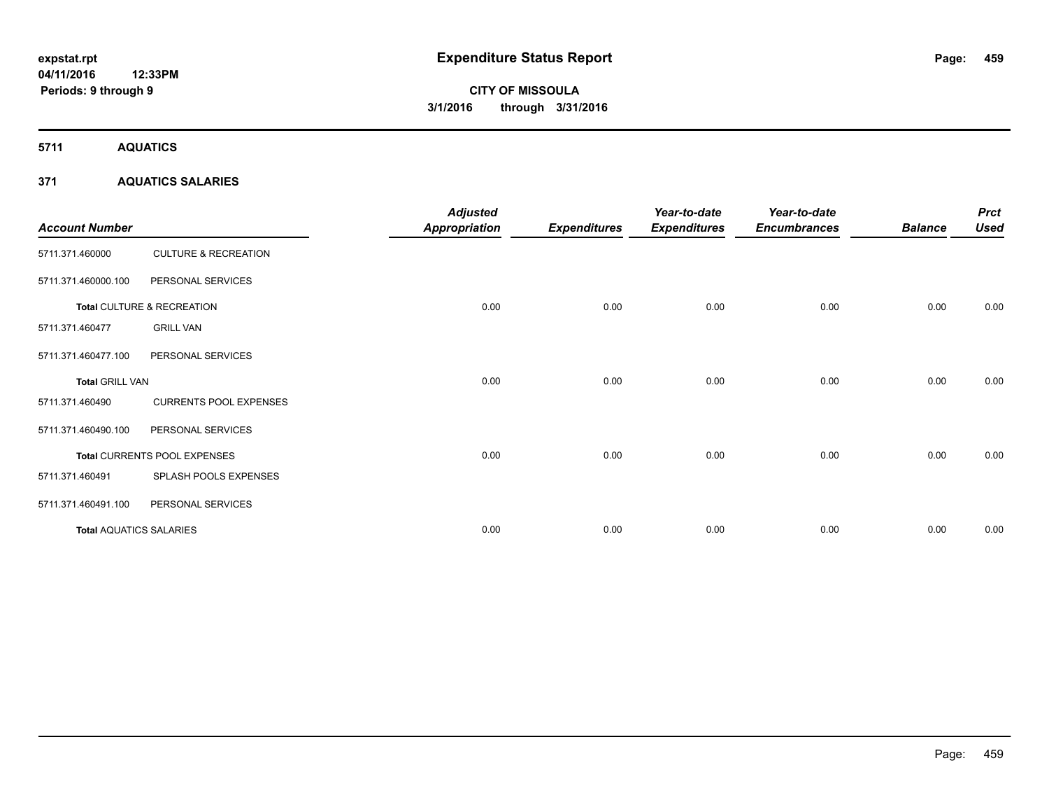**5711 AQUATICS**

### **371 AQUATICS SALARIES**

| <b>Account Number</b>          |                                 | <b>Adjusted</b><br><b>Appropriation</b> | <b>Expenditures</b> | Year-to-date<br><b>Expenditures</b> | Year-to-date<br><b>Encumbrances</b> | <b>Balance</b> | <b>Prct</b><br><b>Used</b> |
|--------------------------------|---------------------------------|-----------------------------------------|---------------------|-------------------------------------|-------------------------------------|----------------|----------------------------|
| 5711.371.460000                | <b>CULTURE &amp; RECREATION</b> |                                         |                     |                                     |                                     |                |                            |
| 5711.371.460000.100            | PERSONAL SERVICES               |                                         |                     |                                     |                                     |                |                            |
|                                | Total CULTURE & RECREATION      | 0.00                                    | 0.00                | 0.00                                | 0.00                                | 0.00           | 0.00                       |
| 5711.371.460477                | <b>GRILL VAN</b>                |                                         |                     |                                     |                                     |                |                            |
| 5711.371.460477.100            | PERSONAL SERVICES               |                                         |                     |                                     |                                     |                |                            |
| <b>Total GRILL VAN</b>         |                                 | 0.00                                    | 0.00                | 0.00                                | 0.00                                | 0.00           | 0.00                       |
| 5711.371.460490                | <b>CURRENTS POOL EXPENSES</b>   |                                         |                     |                                     |                                     |                |                            |
| 5711.371.460490.100            | PERSONAL SERVICES               |                                         |                     |                                     |                                     |                |                            |
|                                | Total CURRENTS POOL EXPENSES    | 0.00                                    | 0.00                | 0.00                                | 0.00                                | 0.00           | 0.00                       |
| 5711.371.460491                | SPLASH POOLS EXPENSES           |                                         |                     |                                     |                                     |                |                            |
| 5711.371.460491.100            | PERSONAL SERVICES               |                                         |                     |                                     |                                     |                |                            |
| <b>Total AQUATICS SALARIES</b> |                                 | 0.00                                    | 0.00                | 0.00                                | 0.00                                | 0.00           | 0.00                       |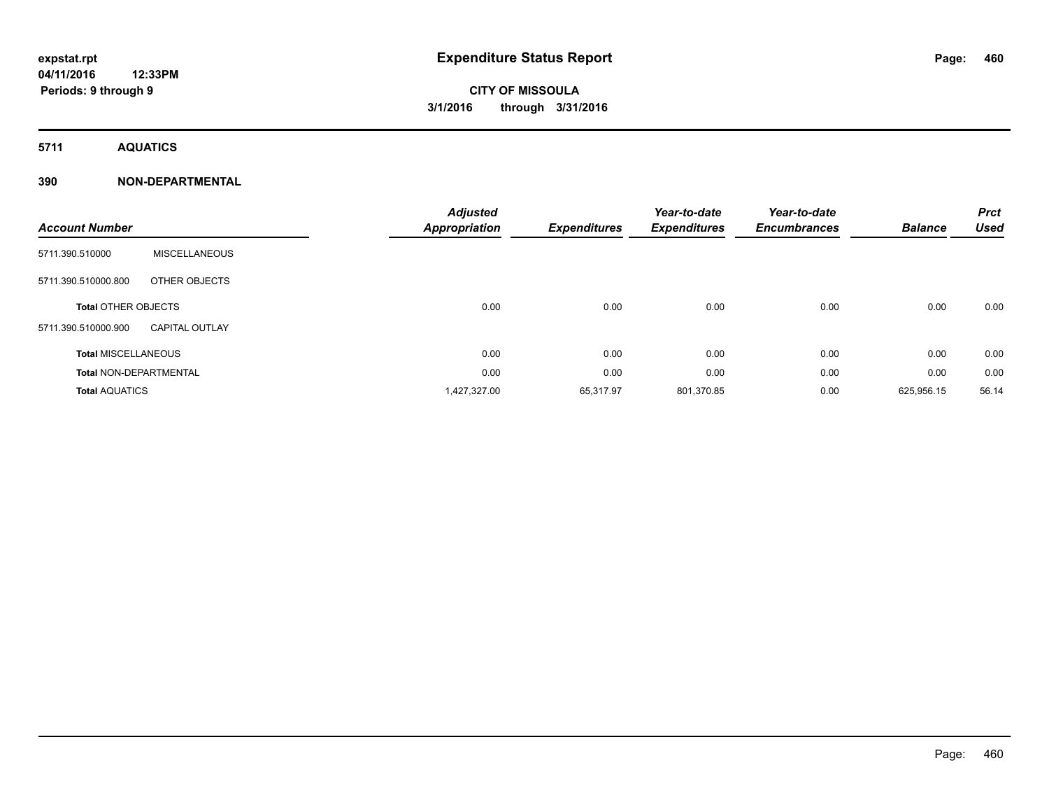**5711 AQUATICS**

### **390 NON-DEPARTMENTAL**

| <b>Account Number</b>         |                       | <b>Adjusted</b><br><b>Appropriation</b> | <b>Expenditures</b> | Year-to-date<br><b>Expenditures</b> | Year-to-date<br><b>Encumbrances</b> | <b>Balance</b> | <b>Prct</b><br><b>Used</b> |
|-------------------------------|-----------------------|-----------------------------------------|---------------------|-------------------------------------|-------------------------------------|----------------|----------------------------|
| 5711.390.510000               | <b>MISCELLANEOUS</b>  |                                         |                     |                                     |                                     |                |                            |
| 5711.390.510000.800           | OTHER OBJECTS         |                                         |                     |                                     |                                     |                |                            |
| <b>Total OTHER OBJECTS</b>    |                       | 0.00                                    | 0.00                | 0.00                                | 0.00                                | 0.00           | 0.00                       |
| 5711.390.510000.900           | <b>CAPITAL OUTLAY</b> |                                         |                     |                                     |                                     |                |                            |
| <b>Total MISCELLANEOUS</b>    |                       | 0.00                                    | 0.00                | 0.00                                | 0.00                                | 0.00           | 0.00                       |
| <b>Total NON-DEPARTMENTAL</b> |                       | 0.00                                    | 0.00                | 0.00                                | 0.00                                | 0.00           | 0.00                       |
| <b>Total AQUATICS</b>         |                       | 1,427,327.00                            | 65,317.97           | 801,370.85                          | 0.00                                | 625,956.15     | 56.14                      |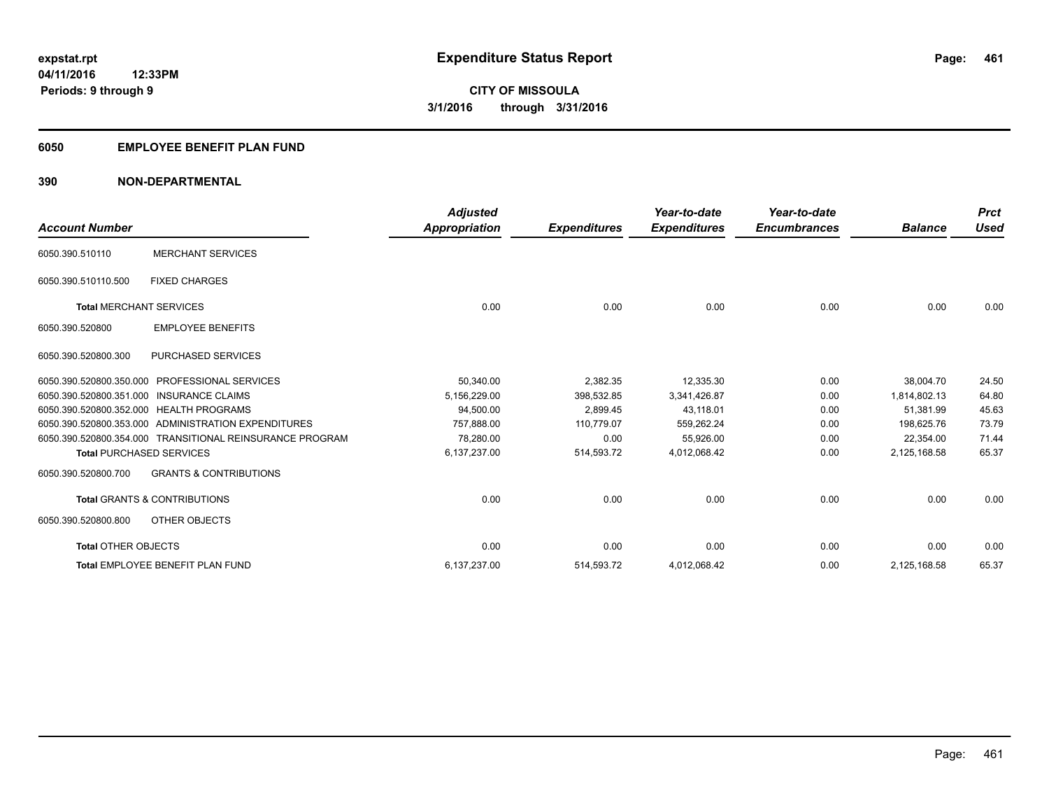### **6050 EMPLOYEE BENEFIT PLAN FUND**

### **390 NON-DEPARTMENTAL**

| <b>Account Number</b>           |                                                          | <b>Adjusted</b><br><b>Appropriation</b> | <b>Expenditures</b> | Year-to-date<br><b>Expenditures</b> | Year-to-date<br><b>Encumbrances</b> | <b>Balance</b> | <b>Prct</b><br><b>Used</b> |
|---------------------------------|----------------------------------------------------------|-----------------------------------------|---------------------|-------------------------------------|-------------------------------------|----------------|----------------------------|
| 6050.390.510110                 | <b>MERCHANT SERVICES</b>                                 |                                         |                     |                                     |                                     |                |                            |
| 6050.390.510110.500             | <b>FIXED CHARGES</b>                                     |                                         |                     |                                     |                                     |                |                            |
| <b>Total MERCHANT SERVICES</b>  |                                                          | 0.00                                    | 0.00                | 0.00                                | 0.00                                | 0.00           | 0.00                       |
| 6050.390.520800                 | <b>EMPLOYEE BENEFITS</b>                                 |                                         |                     |                                     |                                     |                |                            |
| 6050.390.520800.300             | <b>PURCHASED SERVICES</b>                                |                                         |                     |                                     |                                     |                |                            |
| 6050.390.520800.350.000         | <b>PROFESSIONAL SERVICES</b>                             | 50,340.00                               | 2,382.35            | 12,335.30                           | 0.00                                | 38,004.70      | 24.50                      |
|                                 | 6050.390.520800.351.000 INSURANCE CLAIMS                 | 5,156,229.00                            | 398.532.85          | 3,341,426.87                        | 0.00                                | 1.814.802.13   | 64.80                      |
|                                 | 6050.390.520800.352.000 HEALTH PROGRAMS                  | 94,500.00                               | 2,899.45            | 43,118.01                           | 0.00                                | 51,381.99      | 45.63                      |
|                                 | 6050.390.520800.353.000 ADMINISTRATION EXPENDITURES      | 757.888.00                              | 110.779.07          | 559.262.24                          | 0.00                                | 198.625.76     | 73.79                      |
|                                 | 6050.390.520800.354.000 TRANSITIONAL REINSURANCE PROGRAM | 78.280.00                               | 0.00                | 55,926.00                           | 0.00                                | 22,354.00      | 71.44                      |
| <b>Total PURCHASED SERVICES</b> |                                                          | 6,137,237.00                            | 514,593.72          | 4,012,068.42                        | 0.00                                | 2,125,168.58   | 65.37                      |
| 6050.390.520800.700             | <b>GRANTS &amp; CONTRIBUTIONS</b>                        |                                         |                     |                                     |                                     |                |                            |
|                                 | <b>Total GRANTS &amp; CONTRIBUTIONS</b>                  | 0.00                                    | 0.00                | 0.00                                | 0.00                                | 0.00           | 0.00                       |
| 6050.390.520800.800             | OTHER OBJECTS                                            |                                         |                     |                                     |                                     |                |                            |
| <b>Total OTHER OBJECTS</b>      |                                                          | 0.00                                    | 0.00                | 0.00                                | 0.00                                | 0.00           | 0.00                       |
|                                 | Total EMPLOYEE BENEFIT PLAN FUND                         | 6,137,237.00                            | 514,593.72          | 4,012,068.42                        | 0.00                                | 2,125,168.58   | 65.37                      |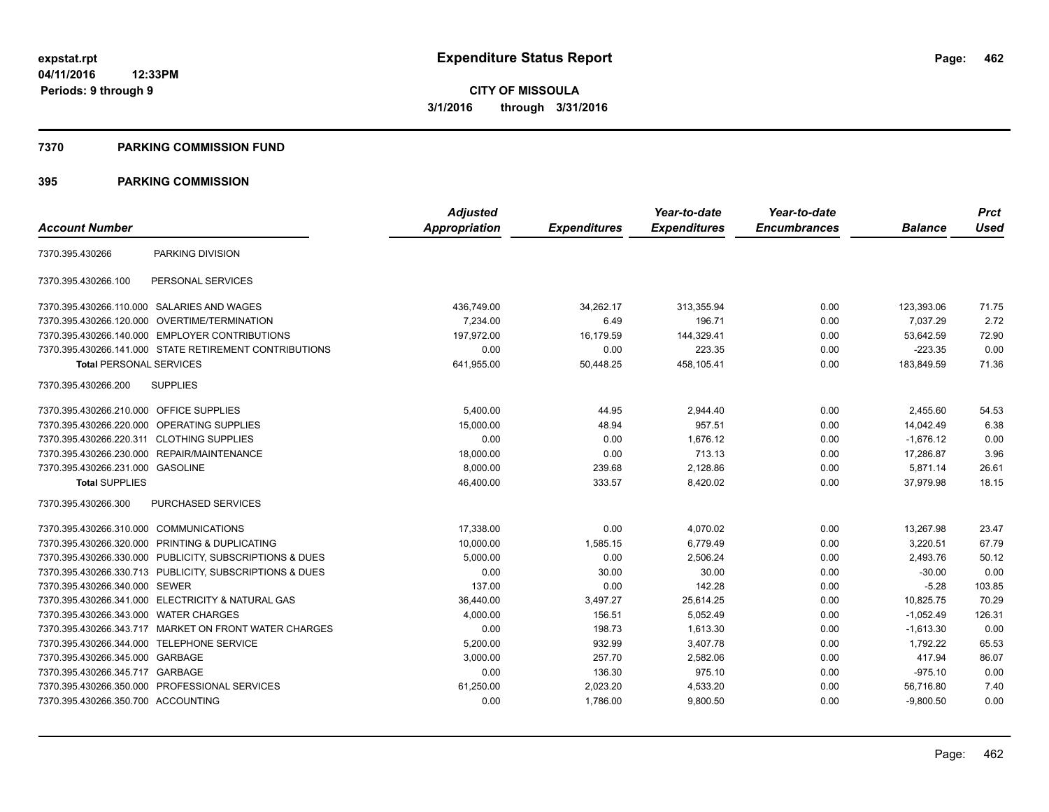#### **7370 PARKING COMMISSION FUND**

|                                           |                                                         | <b>Adjusted</b>      |                     | Year-to-date        | Year-to-date        |                | <b>Prct</b> |
|-------------------------------------------|---------------------------------------------------------|----------------------|---------------------|---------------------|---------------------|----------------|-------------|
| <b>Account Number</b>                     |                                                         | <b>Appropriation</b> | <b>Expenditures</b> | <b>Expenditures</b> | <b>Encumbrances</b> | <b>Balance</b> | <b>Used</b> |
| 7370.395.430266                           | PARKING DIVISION                                        |                      |                     |                     |                     |                |             |
| 7370.395.430266.100                       | PERSONAL SERVICES                                       |                      |                     |                     |                     |                |             |
|                                           | 7370.395.430266.110.000 SALARIES AND WAGES              | 436,749.00           | 34,262.17           | 313,355.94          | 0.00                | 123,393.06     | 71.75       |
| 7370.395.430266.120.000                   | OVERTIME/TERMINATION                                    | 7,234.00             | 6.49                | 196.71              | 0.00                | 7,037.29       | 2.72        |
|                                           | 7370.395.430266.140.000 EMPLOYER CONTRIBUTIONS          | 197.972.00           | 16.179.59           | 144,329.41          | 0.00                | 53.642.59      | 72.90       |
|                                           | 7370.395.430266.141.000 STATE RETIREMENT CONTRIBUTIONS  | 0.00                 | 0.00                | 223.35              | 0.00                | $-223.35$      | 0.00        |
| <b>Total PERSONAL SERVICES</b>            |                                                         | 641,955.00           | 50,448.25           | 458,105.41          | 0.00                | 183,849.59     | 71.36       |
| 7370.395.430266.200                       | <b>SUPPLIES</b>                                         |                      |                     |                     |                     |                |             |
| 7370.395.430266.210.000 OFFICE SUPPLIES   |                                                         | 5,400.00             | 44.95               | 2,944.40            | 0.00                | 2,455.60       | 54.53       |
|                                           | 7370.395.430266.220.000 OPERATING SUPPLIES              | 15,000.00            | 48.94               | 957.51              | 0.00                | 14,042.49      | 6.38        |
| 7370.395.430266.220.311 CLOTHING SUPPLIES |                                                         | 0.00                 | 0.00                | 1,676.12            | 0.00                | $-1,676.12$    | 0.00        |
|                                           | 7370.395.430266.230.000 REPAIR/MAINTENANCE              | 18,000.00            | 0.00                | 713.13              | 0.00                | 17,286.87      | 3.96        |
| 7370.395.430266.231.000 GASOLINE          |                                                         | 8,000.00             | 239.68              | 2,128.86            | 0.00                | 5,871.14       | 26.61       |
| <b>Total SUPPLIES</b>                     |                                                         | 46,400.00            | 333.57              | 8,420.02            | 0.00                | 37,979.98      | 18.15       |
| 7370.395.430266.300                       | <b>PURCHASED SERVICES</b>                               |                      |                     |                     |                     |                |             |
| 7370.395.430266.310.000 COMMUNICATIONS    |                                                         | 17,338.00            | 0.00                | 4,070.02            | 0.00                | 13,267.98      | 23.47       |
|                                           | 7370.395.430266.320.000 PRINTING & DUPLICATING          | 10,000.00            | 1,585.15            | 6,779.49            | 0.00                | 3,220.51       | 67.79       |
|                                           | 7370.395.430266.330.000 PUBLICITY, SUBSCRIPTIONS & DUES | 5,000.00             | 0.00                | 2,506.24            | 0.00                | 2.493.76       | 50.12       |
|                                           | 7370.395.430266.330.713 PUBLICITY, SUBSCRIPTIONS & DUES | 0.00                 | 30.00               | 30.00               | 0.00                | $-30.00$       | 0.00        |
| 7370.395.430266.340.000 SEWER             |                                                         | 137.00               | 0.00                | 142.28              | 0.00                | $-5.28$        | 103.85      |
|                                           | 7370.395.430266.341.000 ELECTRICITY & NATURAL GAS       | 36,440.00            | 3,497.27            | 25,614.25           | 0.00                | 10,825.75      | 70.29       |
| 7370.395.430266.343.000 WATER CHARGES     |                                                         | 4,000.00             | 156.51              | 5,052.49            | 0.00                | $-1,052.49$    | 126.31      |
|                                           | 7370.395.430266.343.717 MARKET ON FRONT WATER CHARGES   | 0.00                 | 198.73              | 1,613.30            | 0.00                | $-1,613.30$    | 0.00        |
| 7370.395.430266.344.000 TELEPHONE SERVICE |                                                         | 5,200.00             | 932.99              | 3,407.78            | 0.00                | 1,792.22       | 65.53       |
| 7370.395.430266.345.000 GARBAGE           |                                                         | 3,000.00             | 257.70              | 2,582.06            | 0.00                | 417.94         | 86.07       |
| 7370.395.430266.345.717 GARBAGE           |                                                         | 0.00                 | 136.30              | 975.10              | 0.00                | $-975.10$      | 0.00        |
|                                           | 7370.395.430266.350.000 PROFESSIONAL SERVICES           | 61,250.00            | 2,023.20            | 4,533.20            | 0.00                | 56,716.80      | 7.40        |
| 7370.395.430266.350.700 ACCOUNTING        |                                                         | 0.00                 | 1,786.00            | 9,800.50            | 0.00                | $-9,800.50$    | 0.00        |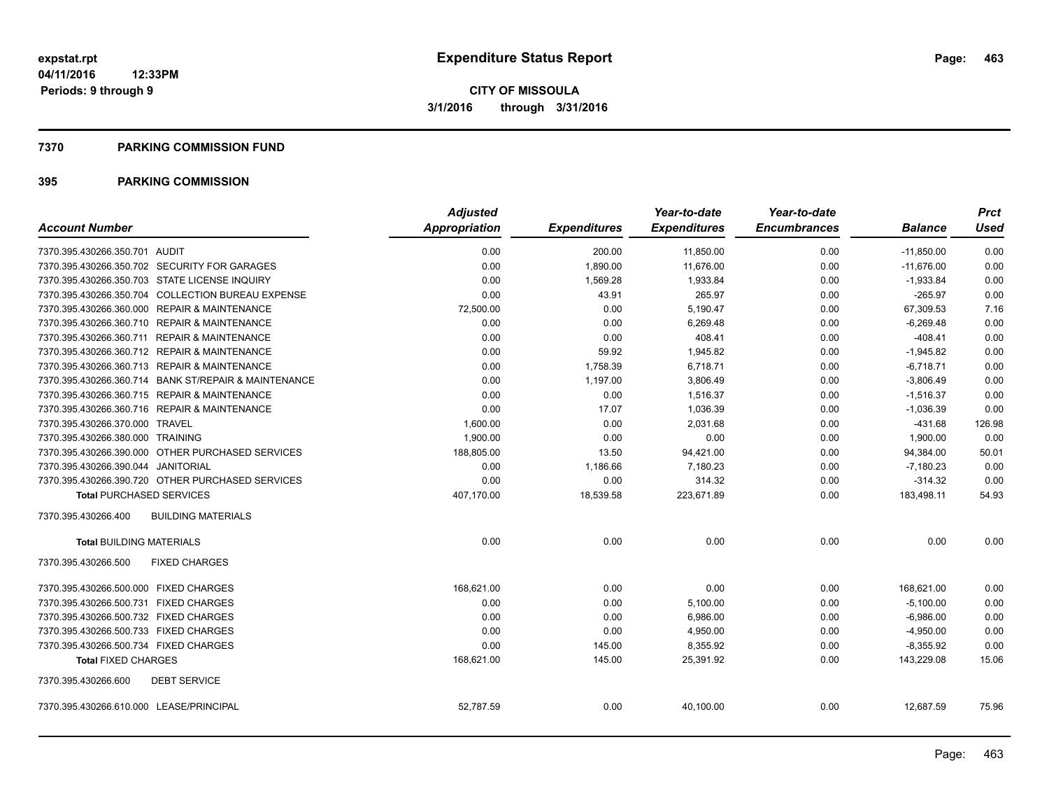#### **7370 PARKING COMMISSION FUND**

|                                                      | <b>Adjusted</b> |                     | Year-to-date        | Year-to-date        |                | <b>Prct</b> |
|------------------------------------------------------|-----------------|---------------------|---------------------|---------------------|----------------|-------------|
| <b>Account Number</b>                                | Appropriation   | <b>Expenditures</b> | <b>Expenditures</b> | <b>Encumbrances</b> | <b>Balance</b> | <b>Used</b> |
| 7370.395.430266.350.701 AUDIT                        | 0.00            | 200.00              | 11,850.00           | 0.00                | $-11,850.00$   | 0.00        |
| 7370.395.430266.350.702 SECURITY FOR GARAGES         | 0.00            | 1,890.00            | 11,676.00           | 0.00                | $-11,676.00$   | 0.00        |
| 7370.395.430266.350.703 STATE LICENSE INQUIRY        | 0.00            | 1,569.28            | 1,933.84            | 0.00                | $-1,933.84$    | 0.00        |
| 7370.395.430266.350.704 COLLECTION BUREAU EXPENSE    | 0.00            | 43.91               | 265.97              | 0.00                | $-265.97$      | 0.00        |
| 7370.395.430266.360.000 REPAIR & MAINTENANCE         | 72,500.00       | 0.00                | 5,190.47            | 0.00                | 67,309.53      | 7.16        |
| 7370.395.430266.360.710 REPAIR & MAINTENANCE         | 0.00            | 0.00                | 6,269.48            | 0.00                | $-6,269.48$    | 0.00        |
| 7370.395.430266.360.711 REPAIR & MAINTENANCE         | 0.00            | 0.00                | 408.41              | 0.00                | $-408.41$      | 0.00        |
| 7370.395.430266.360.712 REPAIR & MAINTENANCE         | 0.00            | 59.92               | 1,945.82            | 0.00                | $-1,945.82$    | 0.00        |
| 7370.395.430266.360.713 REPAIR & MAINTENANCE         | 0.00            | 1,758.39            | 6,718.71            | 0.00                | $-6,718.71$    | 0.00        |
| 7370.395.430266.360.714 BANK ST/REPAIR & MAINTENANCE | 0.00            | 1,197.00            | 3,806.49            | 0.00                | $-3,806.49$    | 0.00        |
| 7370.395.430266.360.715 REPAIR & MAINTENANCE         | 0.00            | 0.00                | 1,516.37            | 0.00                | $-1,516.37$    | 0.00        |
| 7370.395.430266.360.716 REPAIR & MAINTENANCE         | 0.00            | 17.07               | 1.036.39            | 0.00                | $-1,036.39$    | 0.00        |
| 7370.395.430266.370.000 TRAVEL                       | 1,600.00        | 0.00                | 2,031.68            | 0.00                | $-431.68$      | 126.98      |
| 7370.395.430266.380.000 TRAINING                     | 1.900.00        | 0.00                | 0.00                | 0.00                | 1,900.00       | 0.00        |
| 7370.395.430266.390.000 OTHER PURCHASED SERVICES     | 188,805.00      | 13.50               | 94,421.00           | 0.00                | 94,384.00      | 50.01       |
| 7370.395.430266.390.044 JANITORIAL                   | 0.00            | 1,186.66            | 7,180.23            | 0.00                | $-7,180.23$    | 0.00        |
| 7370.395.430266.390.720 OTHER PURCHASED SERVICES     | 0.00            | 0.00                | 314.32              | 0.00                | $-314.32$      | 0.00        |
| <b>Total PURCHASED SERVICES</b>                      | 407,170.00      | 18,539.58           | 223,671.89          | 0.00                | 183,498.11     | 54.93       |
| 7370.395.430266.400<br><b>BUILDING MATERIALS</b>     |                 |                     |                     |                     |                |             |
| <b>Total BUILDING MATERIALS</b>                      | 0.00            | 0.00                | 0.00                | 0.00                | 0.00           | 0.00        |
| 7370.395.430266.500<br><b>FIXED CHARGES</b>          |                 |                     |                     |                     |                |             |
| 7370.395.430266.500.000 FIXED CHARGES                | 168,621.00      | 0.00                | 0.00                | 0.00                | 168,621.00     | 0.00        |
| 7370.395.430266.500.731 FIXED CHARGES                | 0.00            | 0.00                | 5,100.00            | 0.00                | $-5,100.00$    | 0.00        |
| 7370.395.430266.500.732 FIXED CHARGES                | 0.00            | 0.00                | 6,986.00            | 0.00                | $-6,986.00$    | 0.00        |
| 7370.395.430266.500.733 FIXED CHARGES                | 0.00            | 0.00                | 4,950.00            | 0.00                | $-4,950.00$    | 0.00        |
| 7370.395.430266.500.734 FIXED CHARGES                | 0.00            | 145.00              | 8,355.92            | 0.00                | $-8,355.92$    | 0.00        |
| <b>Total FIXED CHARGES</b>                           | 168,621.00      | 145.00              | 25,391.92           | 0.00                | 143,229.08     | 15.06       |
| 7370.395.430266.600<br><b>DEBT SERVICE</b>           |                 |                     |                     |                     |                |             |
| 7370.395.430266.610.000 LEASE/PRINCIPAL              | 52,787.59       | 0.00                | 40,100.00           | 0.00                | 12,687.59      | 75.96       |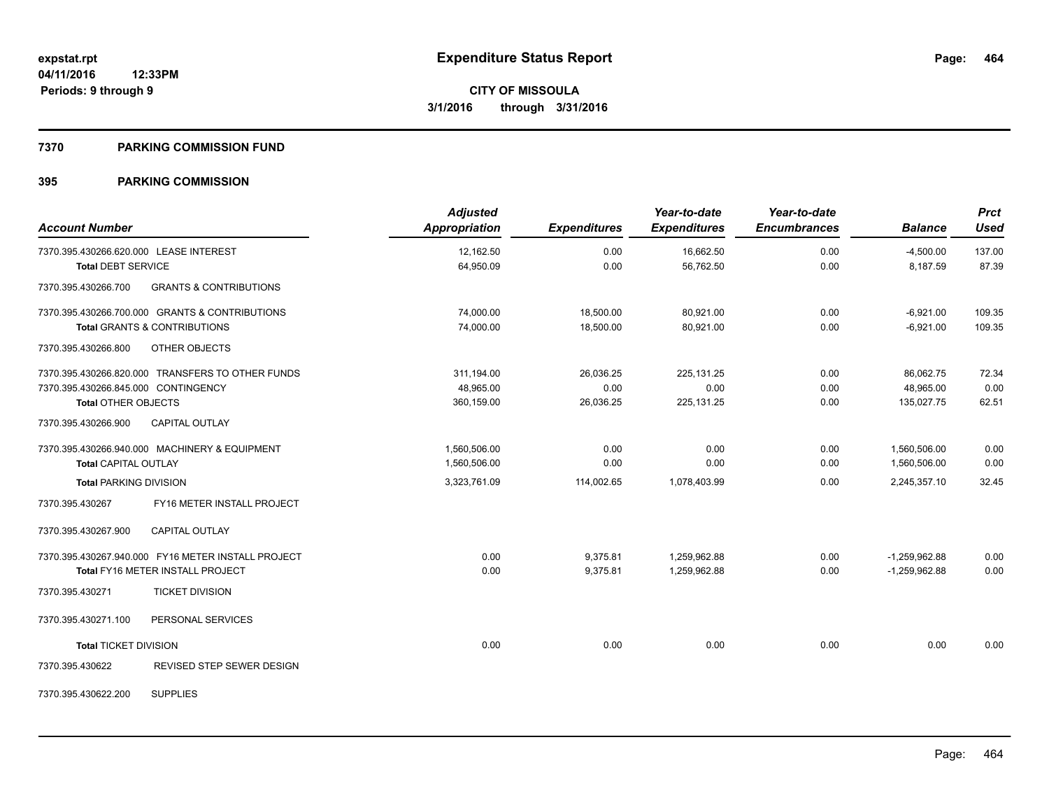#### **7370 PARKING COMMISSION FUND**

| <b>Account Number</b>                                    | <b>Adjusted</b><br>Appropriation | <b>Expenditures</b> | Year-to-date<br><b>Expenditures</b> | Year-to-date<br><b>Encumbrances</b> | <b>Balance</b>  | <b>Prct</b><br><b>Used</b> |
|----------------------------------------------------------|----------------------------------|---------------------|-------------------------------------|-------------------------------------|-----------------|----------------------------|
| 7370.395.430266.620.000 LEASE INTEREST                   | 12,162.50                        | 0.00                | 16,662.50                           | 0.00                                | $-4,500.00$     | 137.00                     |
| <b>Total DEBT SERVICE</b>                                | 64,950.09                        | 0.00                | 56,762.50                           | 0.00                                | 8,187.59        | 87.39                      |
| <b>GRANTS &amp; CONTRIBUTIONS</b><br>7370.395.430266.700 |                                  |                     |                                     |                                     |                 |                            |
| 7370.395.430266.700.000 GRANTS & CONTRIBUTIONS           | 74,000.00                        | 18,500.00           | 80,921.00                           | 0.00                                | $-6,921.00$     | 109.35                     |
| <b>Total GRANTS &amp; CONTRIBUTIONS</b>                  | 74,000.00                        | 18,500.00           | 80,921.00                           | 0.00                                | $-6,921.00$     | 109.35                     |
| 7370.395.430266.800<br>OTHER OBJECTS                     |                                  |                     |                                     |                                     |                 |                            |
| 7370.395.430266.820.000 TRANSFERS TO OTHER FUNDS         | 311,194.00                       | 26,036.25           | 225,131.25                          | 0.00                                | 86,062.75       | 72.34                      |
| 7370.395.430266.845.000 CONTINGENCY                      | 48.965.00                        | 0.00                | 0.00                                | 0.00                                | 48.965.00       | 0.00                       |
| <b>Total OTHER OBJECTS</b>                               | 360,159.00                       | 26,036.25           | 225,131.25                          | 0.00                                | 135.027.75      | 62.51                      |
| 7370.395.430266.900<br><b>CAPITAL OUTLAY</b>             |                                  |                     |                                     |                                     |                 |                            |
| 7370.395.430266.940.000 MACHINERY & EQUIPMENT            | 1,560,506.00                     | 0.00                | 0.00                                | 0.00                                | 1,560,506.00    | 0.00                       |
| <b>Total CAPITAL OUTLAY</b>                              | 1,560,506.00                     | 0.00                | 0.00                                | 0.00                                | 1,560,506.00    | 0.00                       |
| <b>Total PARKING DIVISION</b>                            | 3,323,761.09                     | 114,002.65          | 1,078,403.99                        | 0.00                                | 2,245,357.10    | 32.45                      |
| 7370.395.430267<br>FY16 METER INSTALL PROJECT            |                                  |                     |                                     |                                     |                 |                            |
| 7370.395.430267.900<br><b>CAPITAL OUTLAY</b>             |                                  |                     |                                     |                                     |                 |                            |
| 7370.395.430267.940.000 FY16 METER INSTALL PROJECT       | 0.00                             | 9,375.81            | 1,259,962.88                        | 0.00                                | $-1,259,962.88$ | 0.00                       |
| <b>Total FY16 METER INSTALL PROJECT</b>                  | 0.00                             | 9,375.81            | 1,259,962.88                        | 0.00                                | $-1,259,962.88$ | 0.00                       |
| 7370.395.430271<br><b>TICKET DIVISION</b>                |                                  |                     |                                     |                                     |                 |                            |
| 7370.395.430271.100<br>PERSONAL SERVICES                 |                                  |                     |                                     |                                     |                 |                            |
| <b>Total TICKET DIVISION</b>                             | 0.00                             | 0.00                | 0.00                                | 0.00                                | 0.00            | 0.00                       |
| REVISED STEP SEWER DESIGN<br>7370.395.430622             |                                  |                     |                                     |                                     |                 |                            |
| <b>SUPPLIES</b><br>7370.395.430622.200                   |                                  |                     |                                     |                                     |                 |                            |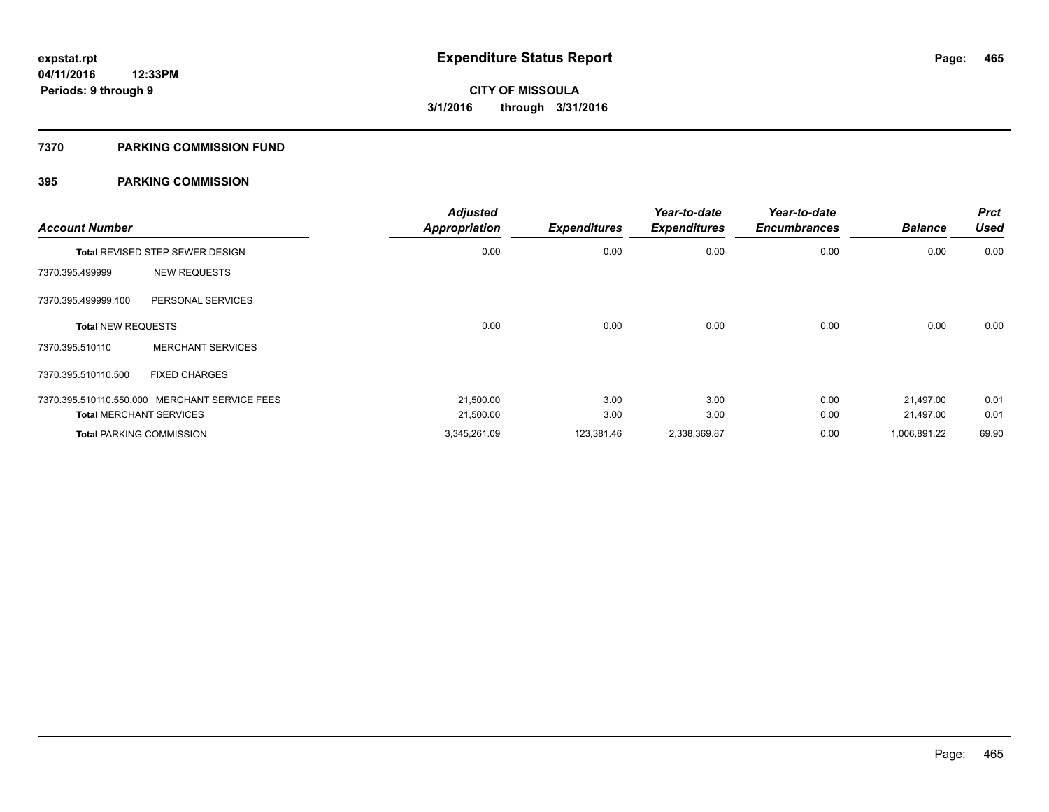#### **7370 PARKING COMMISSION FUND**

| <b>Account Number</b>     |                                               | <b>Adjusted</b><br><b>Appropriation</b> | <b>Expenditures</b> | Year-to-date<br><b>Expenditures</b> | Year-to-date<br><b>Encumbrances</b> | <b>Balance</b> | <b>Prct</b><br><b>Used</b> |
|---------------------------|-----------------------------------------------|-----------------------------------------|---------------------|-------------------------------------|-------------------------------------|----------------|----------------------------|
|                           | <b>Total REVISED STEP SEWER DESIGN</b>        | 0.00                                    | 0.00                | 0.00                                | 0.00                                | 0.00           | 0.00                       |
| 7370.395.499999           | <b>NEW REQUESTS</b>                           |                                         |                     |                                     |                                     |                |                            |
| 7370.395.499999.100       | PERSONAL SERVICES                             |                                         |                     |                                     |                                     |                |                            |
| <b>Total NEW REQUESTS</b> |                                               | 0.00                                    | 0.00                | 0.00                                | 0.00                                | 0.00           | 0.00                       |
| 7370.395.510110           | <b>MERCHANT SERVICES</b>                      |                                         |                     |                                     |                                     |                |                            |
| 7370.395.510110.500       | <b>FIXED CHARGES</b>                          |                                         |                     |                                     |                                     |                |                            |
|                           | 7370.395.510110.550.000 MERCHANT SERVICE FEES | 21,500.00                               | 3.00                | 3.00                                | 0.00                                | 21.497.00      | 0.01                       |
|                           | <b>Total MERCHANT SERVICES</b>                | 21,500.00                               | 3.00                | 3.00                                | 0.00                                | 21,497.00      | 0.01                       |
|                           | <b>Total PARKING COMMISSION</b>               | 3,345,261.09                            | 123,381.46          | 2,338,369.87                        | 0.00                                | 1,006,891.22   | 69.90                      |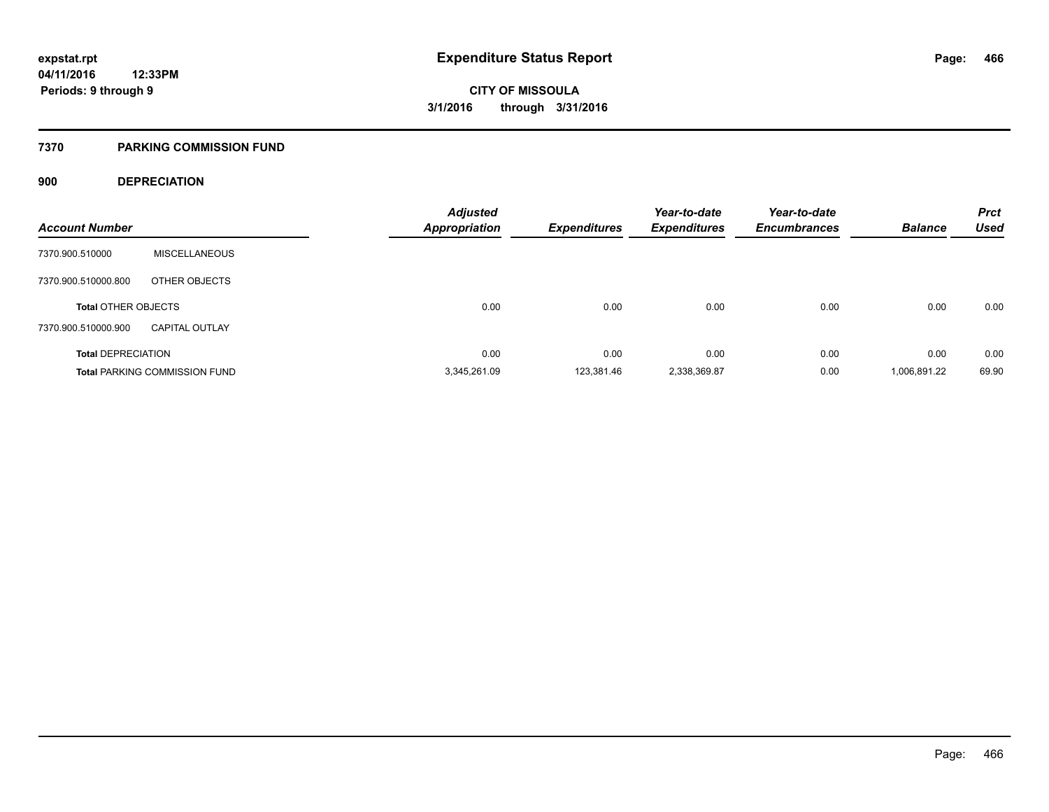#### **7370 PARKING COMMISSION FUND**

### **900 DEPRECIATION**

| <b>Account Number</b>      |                                      | <b>Adjusted</b><br><b>Appropriation</b> | <b>Expenditures</b> | Year-to-date<br><b>Expenditures</b> | Year-to-date<br><b>Encumbrances</b> | <b>Balance</b> | <b>Prct</b><br><b>Used</b> |
|----------------------------|--------------------------------------|-----------------------------------------|---------------------|-------------------------------------|-------------------------------------|----------------|----------------------------|
|                            |                                      |                                         |                     |                                     |                                     |                |                            |
| 7370.900.510000            | <b>MISCELLANEOUS</b>                 |                                         |                     |                                     |                                     |                |                            |
| 7370.900.510000.800        | OTHER OBJECTS                        |                                         |                     |                                     |                                     |                |                            |
| <b>Total OTHER OBJECTS</b> |                                      | 0.00                                    | 0.00                | 0.00                                | 0.00                                | 0.00           | 0.00                       |
| 7370.900.510000.900        | <b>CAPITAL OUTLAY</b>                |                                         |                     |                                     |                                     |                |                            |
| <b>Total DEPRECIATION</b>  |                                      | 0.00                                    | 0.00                | 0.00                                | 0.00                                | 0.00           | 0.00                       |
|                            | <b>Total PARKING COMMISSION FUND</b> | 3.345.261.09                            | 123.381.46          | 2,338,369.87                        | 0.00                                | 1,006,891.22   | 69.90                      |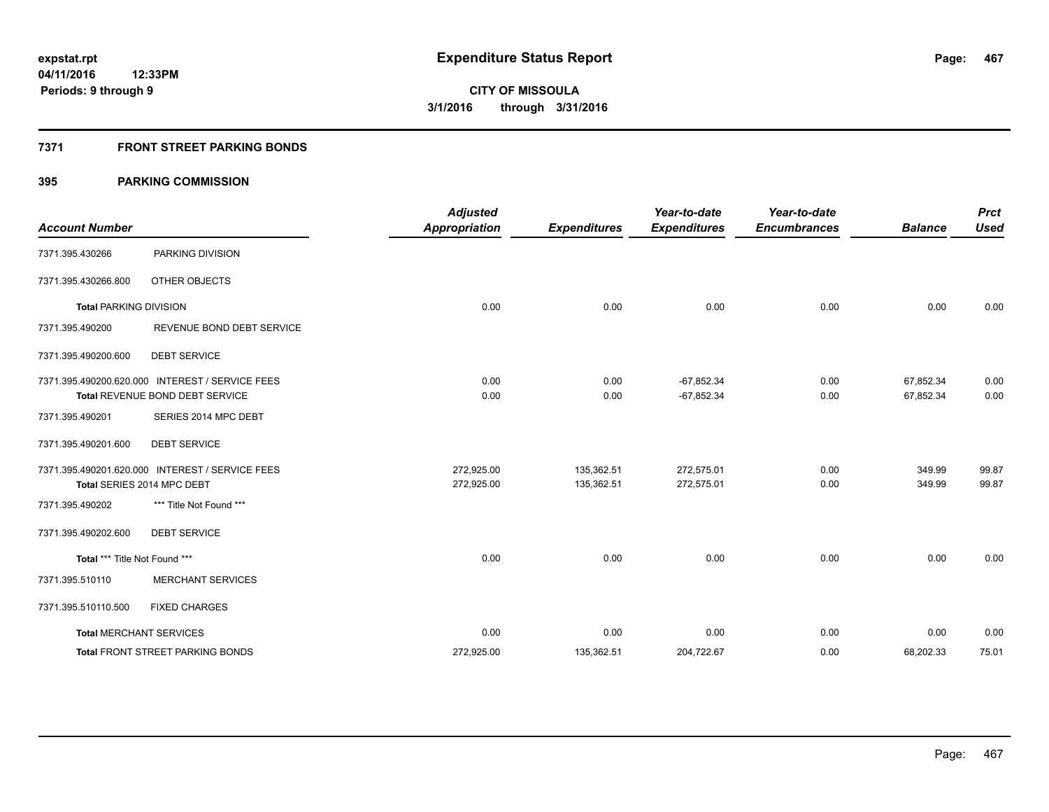### **7371 FRONT STREET PARKING BONDS**

| <b>Account Number</b>         |                                                                                    | <b>Adjusted</b><br><b>Appropriation</b> | <b>Expenditures</b>      | Year-to-date<br><b>Expenditures</b> | Year-to-date<br><b>Encumbrances</b> | <b>Balance</b>         | <b>Prct</b><br><b>Used</b> |
|-------------------------------|------------------------------------------------------------------------------------|-----------------------------------------|--------------------------|-------------------------------------|-------------------------------------|------------------------|----------------------------|
| 7371.395.430266               | PARKING DIVISION                                                                   |                                         |                          |                                     |                                     |                        |                            |
| 7371.395.430266.800           | <b>OTHER OBJECTS</b>                                                               |                                         |                          |                                     |                                     |                        |                            |
| <b>Total PARKING DIVISION</b> |                                                                                    | 0.00                                    | 0.00                     | 0.00                                | 0.00                                | 0.00                   | 0.00                       |
| 7371.395.490200               | REVENUE BOND DEBT SERVICE                                                          |                                         |                          |                                     |                                     |                        |                            |
| 7371.395.490200.600           | <b>DEBT SERVICE</b>                                                                |                                         |                          |                                     |                                     |                        |                            |
|                               | 7371.395.490200.620.000 INTEREST / SERVICE FEES<br>Total REVENUE BOND DEBT SERVICE | 0.00<br>0.00                            | 0.00<br>0.00             | $-67,852.34$<br>$-67,852.34$        | 0.00<br>0.00                        | 67,852.34<br>67,852.34 | 0.00<br>0.00               |
| 7371.395.490201               | SERIES 2014 MPC DEBT                                                               |                                         |                          |                                     |                                     |                        |                            |
| 7371.395.490201.600           | <b>DEBT SERVICE</b>                                                                |                                         |                          |                                     |                                     |                        |                            |
|                               | 7371.395.490201.620.000 INTEREST / SERVICE FEES<br>Total SERIES 2014 MPC DEBT      | 272,925.00<br>272,925.00                | 135,362.51<br>135,362.51 | 272,575.01<br>272,575.01            | 0.00<br>0.00                        | 349.99<br>349.99       | 99.87<br>99.87             |
| 7371.395.490202               | *** Title Not Found ***                                                            |                                         |                          |                                     |                                     |                        |                            |
| 7371.395.490202.600           | <b>DEBT SERVICE</b>                                                                |                                         |                          |                                     |                                     |                        |                            |
| Total *** Title Not Found *** |                                                                                    | 0.00                                    | 0.00                     | 0.00                                | 0.00                                | 0.00                   | 0.00                       |
| 7371.395.510110               | <b>MERCHANT SERVICES</b>                                                           |                                         |                          |                                     |                                     |                        |                            |
| 7371.395.510110.500           | <b>FIXED CHARGES</b>                                                               |                                         |                          |                                     |                                     |                        |                            |
|                               | <b>Total MERCHANT SERVICES</b>                                                     | 0.00                                    | 0.00                     | 0.00                                | 0.00                                | 0.00                   | 0.00                       |
|                               | <b>Total FRONT STREET PARKING BONDS</b>                                            | 272,925.00                              | 135,362.51               | 204,722.67                          | 0.00                                | 68,202.33              | 75.01                      |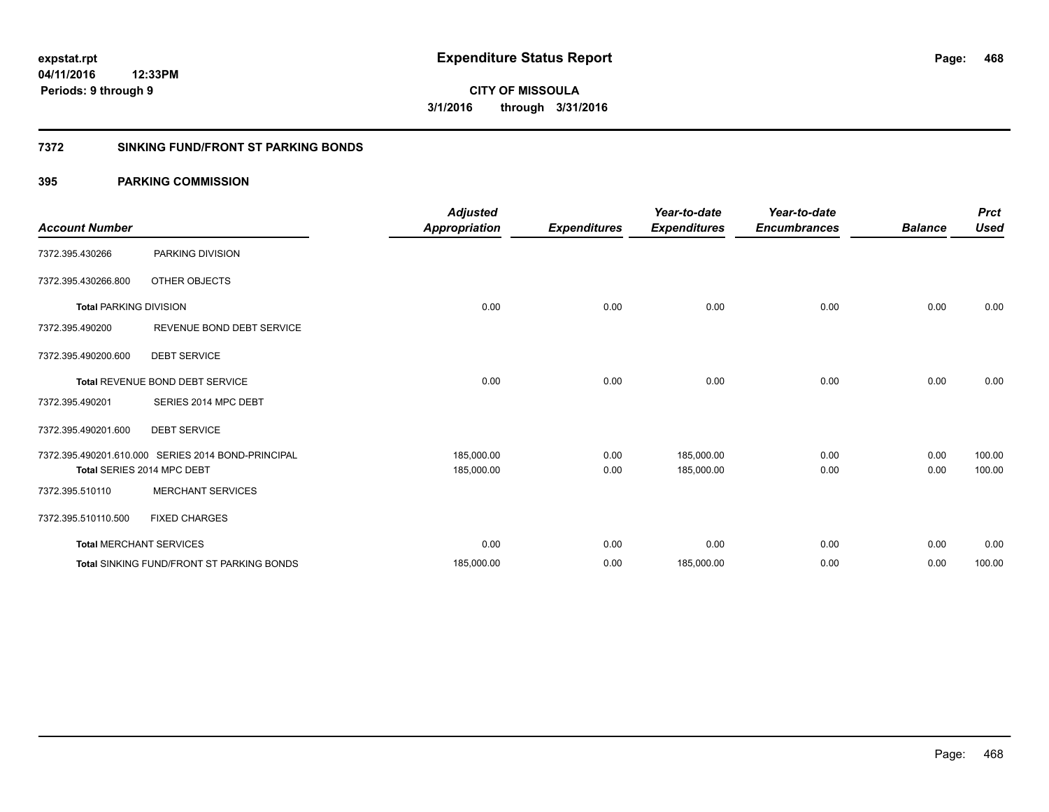#### **7372 SINKING FUND/FRONT ST PARKING BONDS**

| <b>Account Number</b>         |                                                    | <b>Adjusted</b><br><b>Appropriation</b> | <b>Expenditures</b> | Year-to-date<br><b>Expenditures</b> | Year-to-date<br><b>Encumbrances</b> | <b>Balance</b> | <b>Prct</b><br><b>Used</b> |
|-------------------------------|----------------------------------------------------|-----------------------------------------|---------------------|-------------------------------------|-------------------------------------|----------------|----------------------------|
| 7372.395.430266               | PARKING DIVISION                                   |                                         |                     |                                     |                                     |                |                            |
| 7372.395.430266.800           | OTHER OBJECTS                                      |                                         |                     |                                     |                                     |                |                            |
| <b>Total PARKING DIVISION</b> |                                                    | 0.00                                    | 0.00                | 0.00                                | 0.00                                | 0.00           | 0.00                       |
| 7372.395.490200               | REVENUE BOND DEBT SERVICE                          |                                         |                     |                                     |                                     |                |                            |
| 7372.395.490200.600           | <b>DEBT SERVICE</b>                                |                                         |                     |                                     |                                     |                |                            |
|                               | <b>Total REVENUE BOND DEBT SERVICE</b>             | 0.00                                    | 0.00                | 0.00                                | 0.00                                | 0.00           | 0.00                       |
| 7372.395.490201               | SERIES 2014 MPC DEBT                               |                                         |                     |                                     |                                     |                |                            |
| 7372.395.490201.600           | <b>DEBT SERVICE</b>                                |                                         |                     |                                     |                                     |                |                            |
|                               | 7372.395.490201.610.000 SERIES 2014 BOND-PRINCIPAL | 185,000.00                              | 0.00                | 185,000.00                          | 0.00                                | 0.00           | 100.00                     |
|                               | Total SERIES 2014 MPC DEBT                         | 185,000.00                              | 0.00                | 185,000.00                          | 0.00                                | 0.00           | 100.00                     |
| 7372.395.510110               | <b>MERCHANT SERVICES</b>                           |                                         |                     |                                     |                                     |                |                            |
| 7372.395.510110.500           | <b>FIXED CHARGES</b>                               |                                         |                     |                                     |                                     |                |                            |
|                               | <b>Total MERCHANT SERVICES</b>                     | 0.00                                    | 0.00                | 0.00                                | 0.00                                | 0.00           | 0.00                       |
|                               | <b>Total SINKING FUND/FRONT ST PARKING BONDS</b>   | 185,000.00                              | 0.00                | 185,000.00                          | 0.00                                | 0.00           | 100.00                     |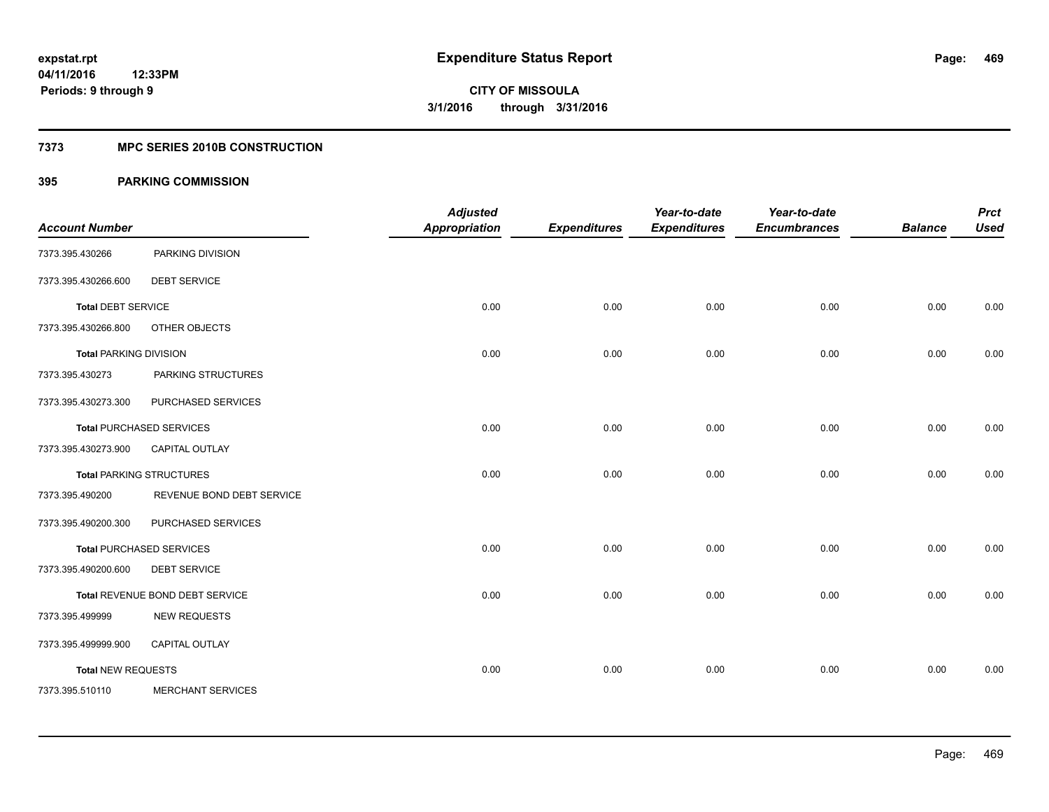#### **7373 MPC SERIES 2010B CONSTRUCTION**

| <b>Account Number</b>         |                                 | <b>Adjusted</b><br><b>Appropriation</b> | <b>Expenditures</b> | Year-to-date<br><b>Expenditures</b> | Year-to-date<br><b>Encumbrances</b> | <b>Balance</b> | <b>Prct</b><br><b>Used</b> |
|-------------------------------|---------------------------------|-----------------------------------------|---------------------|-------------------------------------|-------------------------------------|----------------|----------------------------|
| 7373.395.430266               | PARKING DIVISION                |                                         |                     |                                     |                                     |                |                            |
| 7373.395.430266.600           | <b>DEBT SERVICE</b>             |                                         |                     |                                     |                                     |                |                            |
| <b>Total DEBT SERVICE</b>     |                                 | 0.00                                    | 0.00                | 0.00                                | 0.00                                | 0.00           | 0.00                       |
| 7373.395.430266.800           | OTHER OBJECTS                   |                                         |                     |                                     |                                     |                |                            |
| <b>Total PARKING DIVISION</b> |                                 | 0.00                                    | 0.00                | 0.00                                | 0.00                                | 0.00           | 0.00                       |
| 7373.395.430273               | PARKING STRUCTURES              |                                         |                     |                                     |                                     |                |                            |
| 7373.395.430273.300           | PURCHASED SERVICES              |                                         |                     |                                     |                                     |                |                            |
|                               | <b>Total PURCHASED SERVICES</b> | 0.00                                    | 0.00                | 0.00                                | 0.00                                | 0.00           | 0.00                       |
| 7373.395.430273.900           | CAPITAL OUTLAY                  |                                         |                     |                                     |                                     |                |                            |
|                               | <b>Total PARKING STRUCTURES</b> | 0.00                                    | 0.00                | 0.00                                | 0.00                                | 0.00           | 0.00                       |
| 7373.395.490200               | REVENUE BOND DEBT SERVICE       |                                         |                     |                                     |                                     |                |                            |
| 7373.395.490200.300           | PURCHASED SERVICES              |                                         |                     |                                     |                                     |                |                            |
|                               | <b>Total PURCHASED SERVICES</b> | 0.00                                    | 0.00                | 0.00                                | 0.00                                | 0.00           | 0.00                       |
| 7373.395.490200.600           | <b>DEBT SERVICE</b>             |                                         |                     |                                     |                                     |                |                            |
|                               | Total REVENUE BOND DEBT SERVICE | 0.00                                    | 0.00                | 0.00                                | 0.00                                | 0.00           | 0.00                       |
| 7373.395.499999               | <b>NEW REQUESTS</b>             |                                         |                     |                                     |                                     |                |                            |
| 7373.395.499999.900           | CAPITAL OUTLAY                  |                                         |                     |                                     |                                     |                |                            |
| <b>Total NEW REQUESTS</b>     |                                 | 0.00                                    | 0.00                | 0.00                                | 0.00                                | 0.00           | 0.00                       |
| 7373.395.510110               | <b>MERCHANT SERVICES</b>        |                                         |                     |                                     |                                     |                |                            |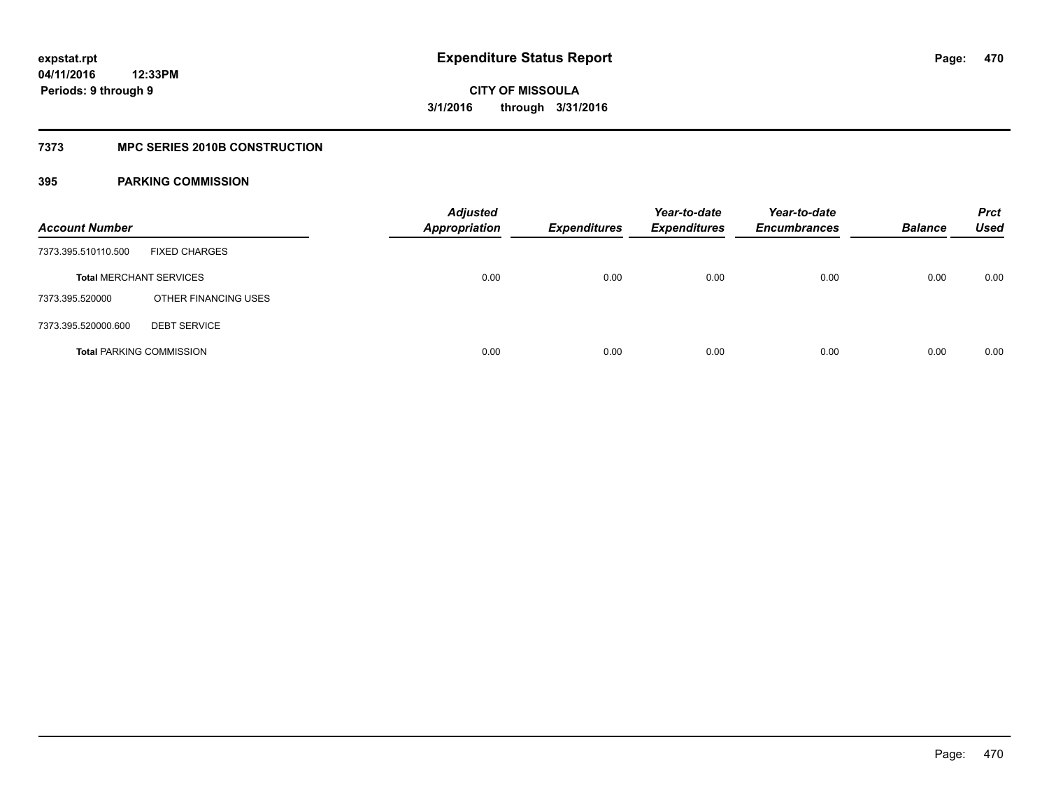#### **7373 MPC SERIES 2010B CONSTRUCTION**

| <b>Account Number</b>           |                      | <b>Adjusted</b><br><b>Appropriation</b> | <b>Expenditures</b> | Year-to-date<br><b>Expenditures</b> | Year-to-date<br><b>Encumbrances</b> | <b>Balance</b> | <b>Prct</b><br><b>Used</b> |
|---------------------------------|----------------------|-----------------------------------------|---------------------|-------------------------------------|-------------------------------------|----------------|----------------------------|
| 7373.395.510110.500             | <b>FIXED CHARGES</b> |                                         |                     |                                     |                                     |                |                            |
| <b>Total MERCHANT SERVICES</b>  |                      | 0.00                                    | 0.00                | 0.00                                | 0.00                                | 0.00           | 0.00                       |
| 7373.395.520000                 | OTHER FINANCING USES |                                         |                     |                                     |                                     |                |                            |
| 7373.395.520000.600             | <b>DEBT SERVICE</b>  |                                         |                     |                                     |                                     |                |                            |
| <b>Total PARKING COMMISSION</b> |                      | 0.00                                    | 0.00                | 0.00                                | 0.00                                | 0.00           | 0.00                       |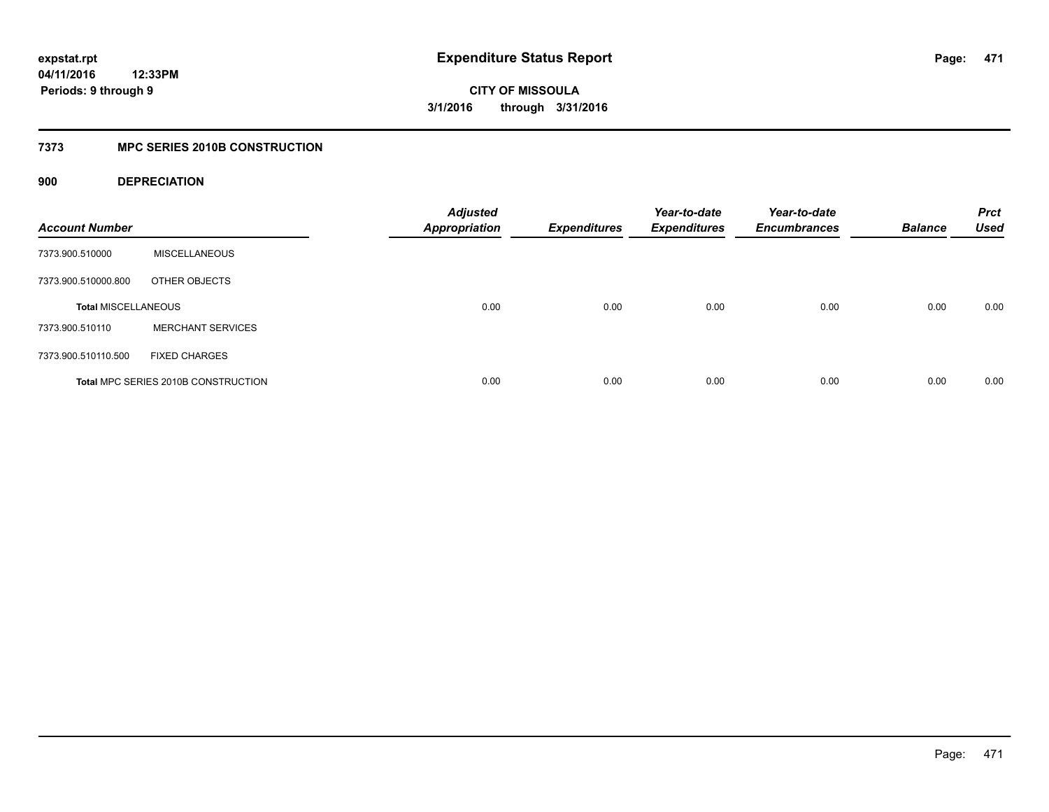**CITY OF MISSOULA 3/1/2016 through 3/31/2016**

#### **7373 MPC SERIES 2010B CONSTRUCTION**

#### **900 DEPRECIATION**

| <b>Account Number</b>      |                                     | <b>Adjusted</b><br><b>Appropriation</b> | <b>Expenditures</b> | Year-to-date<br><b>Expenditures</b> | Year-to-date<br><b>Encumbrances</b> | <b>Balance</b> | <b>Prct</b><br><b>Used</b> |
|----------------------------|-------------------------------------|-----------------------------------------|---------------------|-------------------------------------|-------------------------------------|----------------|----------------------------|
| 7373.900.510000            | <b>MISCELLANEOUS</b>                |                                         |                     |                                     |                                     |                |                            |
| 7373.900.510000.800        | OTHER OBJECTS                       |                                         |                     |                                     |                                     |                |                            |
| <b>Total MISCELLANEOUS</b> |                                     | 0.00                                    | 0.00                | 0.00                                | 0.00                                | 0.00           | 0.00                       |
| 7373.900.510110            | <b>MERCHANT SERVICES</b>            |                                         |                     |                                     |                                     |                |                            |
| 7373.900.510110.500        | <b>FIXED CHARGES</b>                |                                         |                     |                                     |                                     |                |                            |
|                            | Total MPC SERIES 2010B CONSTRUCTION | 0.00                                    | 0.00                | 0.00                                | 0.00                                | 0.00           | 0.00                       |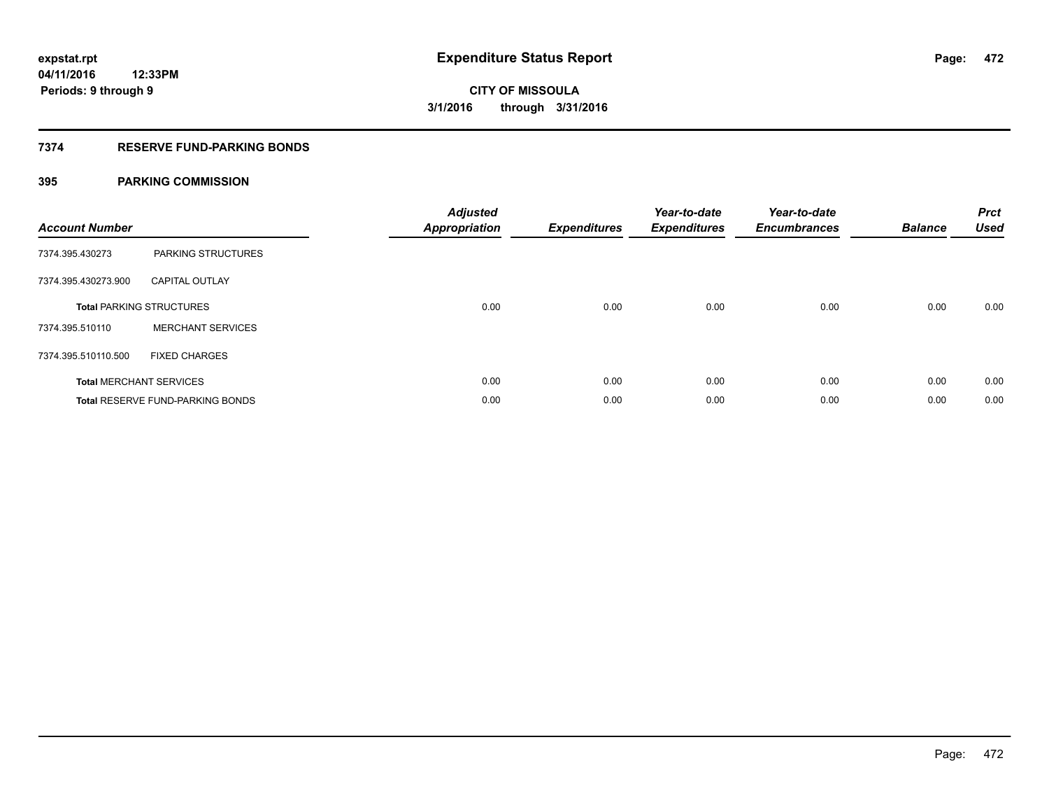#### **7374 RESERVE FUND-PARKING BONDS**

| <b>Account Number</b> |                                         | <b>Adjusted</b><br>Appropriation | <b>Expenditures</b> | Year-to-date<br><b>Expenditures</b> | Year-to-date<br><b>Encumbrances</b> | <b>Balance</b> | <b>Prct</b><br><b>Used</b> |
|-----------------------|-----------------------------------------|----------------------------------|---------------------|-------------------------------------|-------------------------------------|----------------|----------------------------|
| 7374.395.430273       | <b>PARKING STRUCTURES</b>               |                                  |                     |                                     |                                     |                |                            |
| 7374.395.430273.900   | <b>CAPITAL OUTLAY</b>                   |                                  |                     |                                     |                                     |                |                            |
|                       | <b>Total PARKING STRUCTURES</b>         | 0.00                             | 0.00                | 0.00                                | 0.00                                | 0.00           | 0.00                       |
| 7374.395.510110       | <b>MERCHANT SERVICES</b>                |                                  |                     |                                     |                                     |                |                            |
| 7374.395.510110.500   | <b>FIXED CHARGES</b>                    |                                  |                     |                                     |                                     |                |                            |
|                       | <b>Total MERCHANT SERVICES</b>          | 0.00                             | 0.00                | 0.00                                | 0.00                                | 0.00           | 0.00                       |
|                       | <b>Total RESERVE FUND-PARKING BONDS</b> | 0.00                             | 0.00                | 0.00                                | 0.00                                | 0.00           | 0.00                       |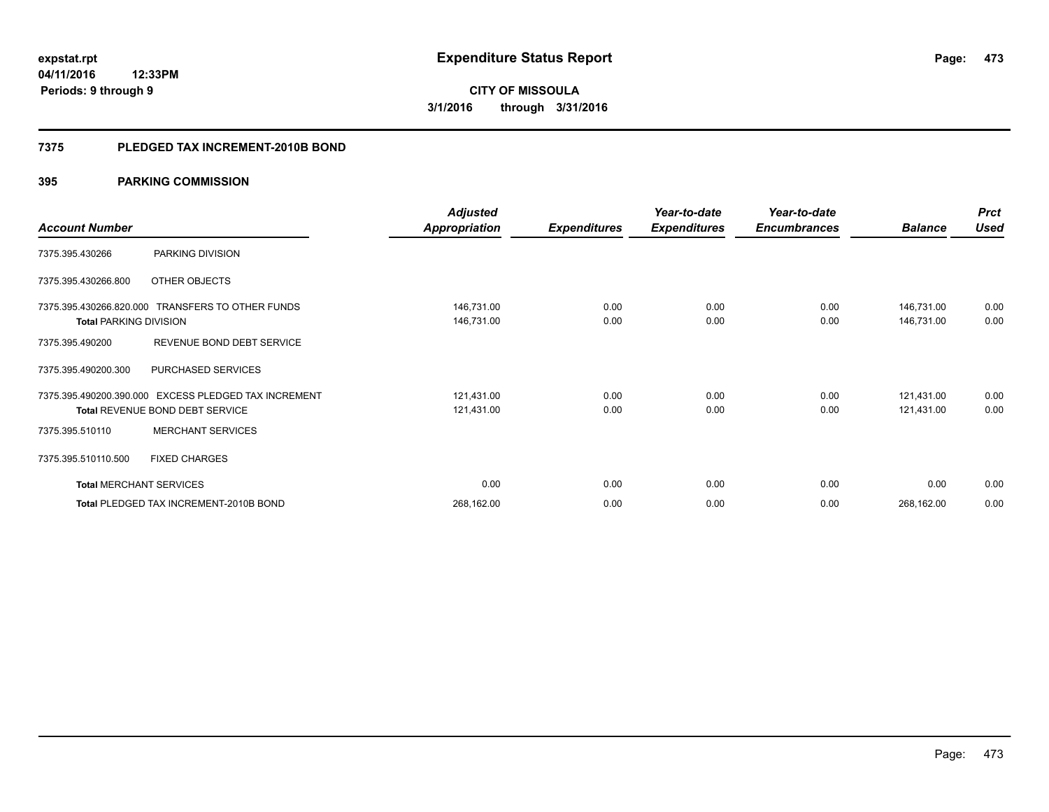#### **7375 PLEDGED TAX INCREMENT-2010B BOND**

|                                |                                                      | <b>Adjusted</b> |                     | Year-to-date        | Year-to-date        |                | <b>Prct</b> |
|--------------------------------|------------------------------------------------------|-----------------|---------------------|---------------------|---------------------|----------------|-------------|
| <b>Account Number</b>          |                                                      | Appropriation   | <b>Expenditures</b> | <b>Expenditures</b> | <b>Encumbrances</b> | <b>Balance</b> | <b>Used</b> |
| 7375.395.430266                | PARKING DIVISION                                     |                 |                     |                     |                     |                |             |
| 7375.395.430266.800            | OTHER OBJECTS                                        |                 |                     |                     |                     |                |             |
|                                | 7375.395.430266.820.000 TRANSFERS TO OTHER FUNDS     | 146,731.00      | 0.00                | 0.00                | 0.00                | 146,731.00     | 0.00        |
| <b>Total PARKING DIVISION</b>  |                                                      | 146,731.00      | 0.00                | 0.00                | 0.00                | 146,731.00     | 0.00        |
| 7375.395.490200                | REVENUE BOND DEBT SERVICE                            |                 |                     |                     |                     |                |             |
| 7375.395.490200.300            | PURCHASED SERVICES                                   |                 |                     |                     |                     |                |             |
|                                | 7375.395.490200.390.000 EXCESS PLEDGED TAX INCREMENT | 121,431.00      | 0.00                | 0.00                | 0.00                | 121,431.00     | 0.00        |
|                                | Total REVENUE BOND DEBT SERVICE                      | 121,431.00      | 0.00                | 0.00                | 0.00                | 121,431.00     | 0.00        |
| 7375.395.510110                | <b>MERCHANT SERVICES</b>                             |                 |                     |                     |                     |                |             |
| 7375.395.510110.500            | <b>FIXED CHARGES</b>                                 |                 |                     |                     |                     |                |             |
| <b>Total MERCHANT SERVICES</b> |                                                      | 0.00            | 0.00                | 0.00                | 0.00                | 0.00           | 0.00        |
|                                | Total PLEDGED TAX INCREMENT-2010B BOND               | 268,162.00      | 0.00                | 0.00                | 0.00                | 268,162.00     | 0.00        |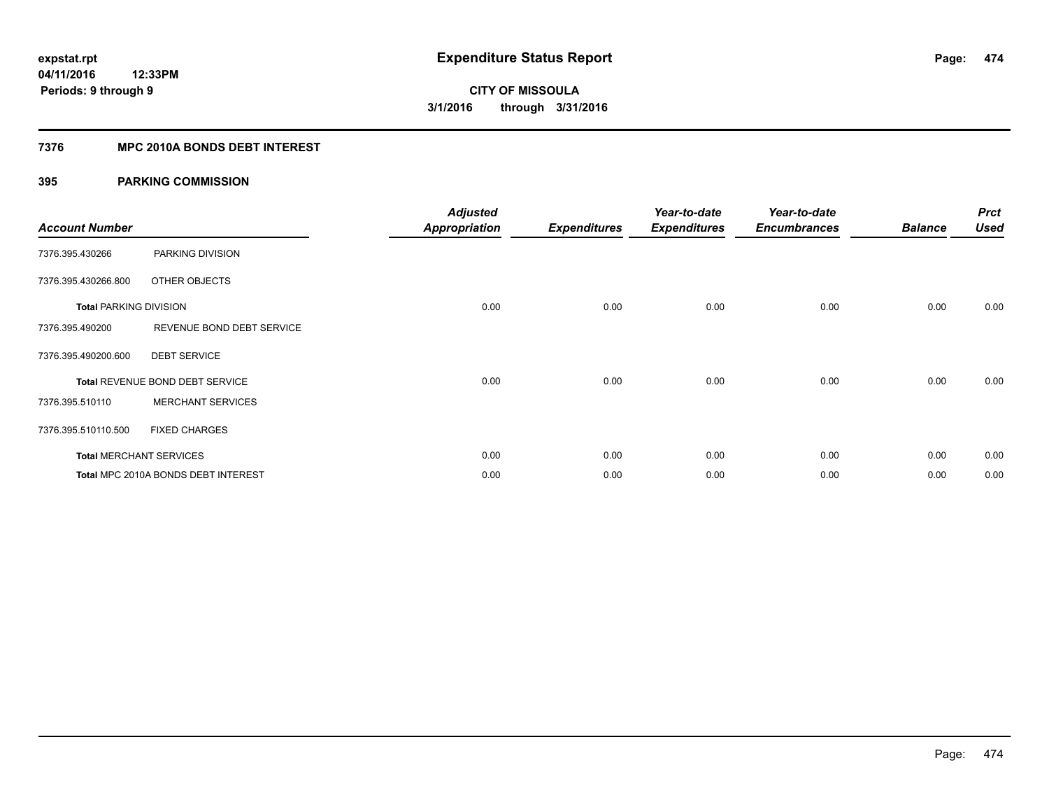#### **7376 MPC 2010A BONDS DEBT INTEREST**

| <b>Account Number</b>         |                                     | <b>Adjusted</b><br><b>Appropriation</b> | <b>Expenditures</b> | Year-to-date<br><b>Expenditures</b> | Year-to-date<br><b>Encumbrances</b> | <b>Balance</b> | <b>Prct</b><br><b>Used</b> |
|-------------------------------|-------------------------------------|-----------------------------------------|---------------------|-------------------------------------|-------------------------------------|----------------|----------------------------|
| 7376.395.430266               | PARKING DIVISION                    |                                         |                     |                                     |                                     |                |                            |
| 7376.395.430266.800           | OTHER OBJECTS                       |                                         |                     |                                     |                                     |                |                            |
| <b>Total PARKING DIVISION</b> |                                     | 0.00                                    | 0.00                | 0.00                                | 0.00                                | 0.00           | 0.00                       |
| 7376.395.490200               | REVENUE BOND DEBT SERVICE           |                                         |                     |                                     |                                     |                |                            |
| 7376.395.490200.600           | <b>DEBT SERVICE</b>                 |                                         |                     |                                     |                                     |                |                            |
|                               | Total REVENUE BOND DEBT SERVICE     | 0.00                                    | 0.00                | 0.00                                | 0.00                                | 0.00           | 0.00                       |
| 7376.395.510110               | <b>MERCHANT SERVICES</b>            |                                         |                     |                                     |                                     |                |                            |
| 7376.395.510110.500           | <b>FIXED CHARGES</b>                |                                         |                     |                                     |                                     |                |                            |
|                               | <b>Total MERCHANT SERVICES</b>      | 0.00                                    | 0.00                | 0.00                                | 0.00                                | 0.00           | 0.00                       |
|                               | Total MPC 2010A BONDS DEBT INTEREST | 0.00                                    | 0.00                | 0.00                                | 0.00                                | 0.00           | 0.00                       |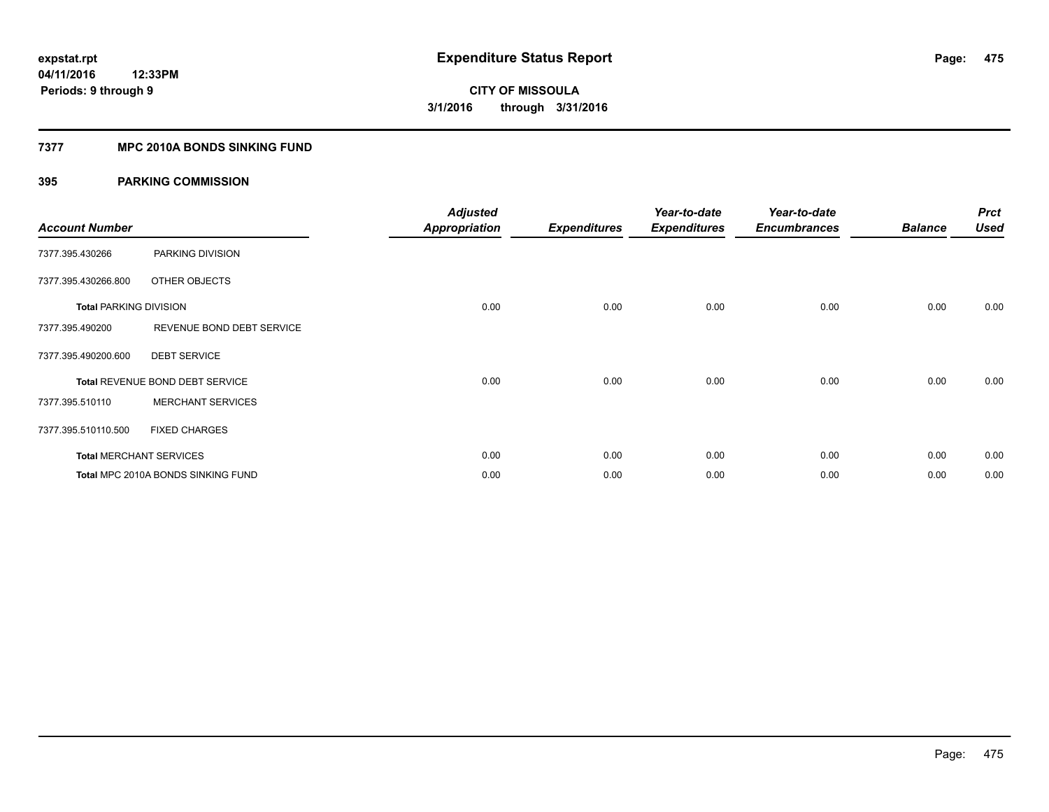#### **7377 MPC 2010A BONDS SINKING FUND**

| <b>Account Number</b>         |                                    | <b>Adjusted</b><br><b>Appropriation</b> | <b>Expenditures</b> | Year-to-date<br><b>Expenditures</b> | Year-to-date<br><b>Encumbrances</b> | <b>Balance</b> | <b>Prct</b><br><b>Used</b> |
|-------------------------------|------------------------------------|-----------------------------------------|---------------------|-------------------------------------|-------------------------------------|----------------|----------------------------|
| 7377.395.430266               | PARKING DIVISION                   |                                         |                     |                                     |                                     |                |                            |
| 7377.395.430266.800           | OTHER OBJECTS                      |                                         |                     |                                     |                                     |                |                            |
| <b>Total PARKING DIVISION</b> |                                    | 0.00                                    | 0.00                | 0.00                                | 0.00                                | 0.00           | 0.00                       |
| 7377.395.490200               | REVENUE BOND DEBT SERVICE          |                                         |                     |                                     |                                     |                |                            |
| 7377.395.490200.600           | <b>DEBT SERVICE</b>                |                                         |                     |                                     |                                     |                |                            |
|                               | Total REVENUE BOND DEBT SERVICE    | 0.00                                    | 0.00                | 0.00                                | 0.00                                | 0.00           | 0.00                       |
| 7377.395.510110               | <b>MERCHANT SERVICES</b>           |                                         |                     |                                     |                                     |                |                            |
| 7377.395.510110.500           | <b>FIXED CHARGES</b>               |                                         |                     |                                     |                                     |                |                            |
|                               | <b>Total MERCHANT SERVICES</b>     | 0.00                                    | 0.00                | 0.00                                | 0.00                                | 0.00           | 0.00                       |
|                               | Total MPC 2010A BONDS SINKING FUND | 0.00                                    | 0.00                | 0.00                                | 0.00                                | 0.00           | 0.00                       |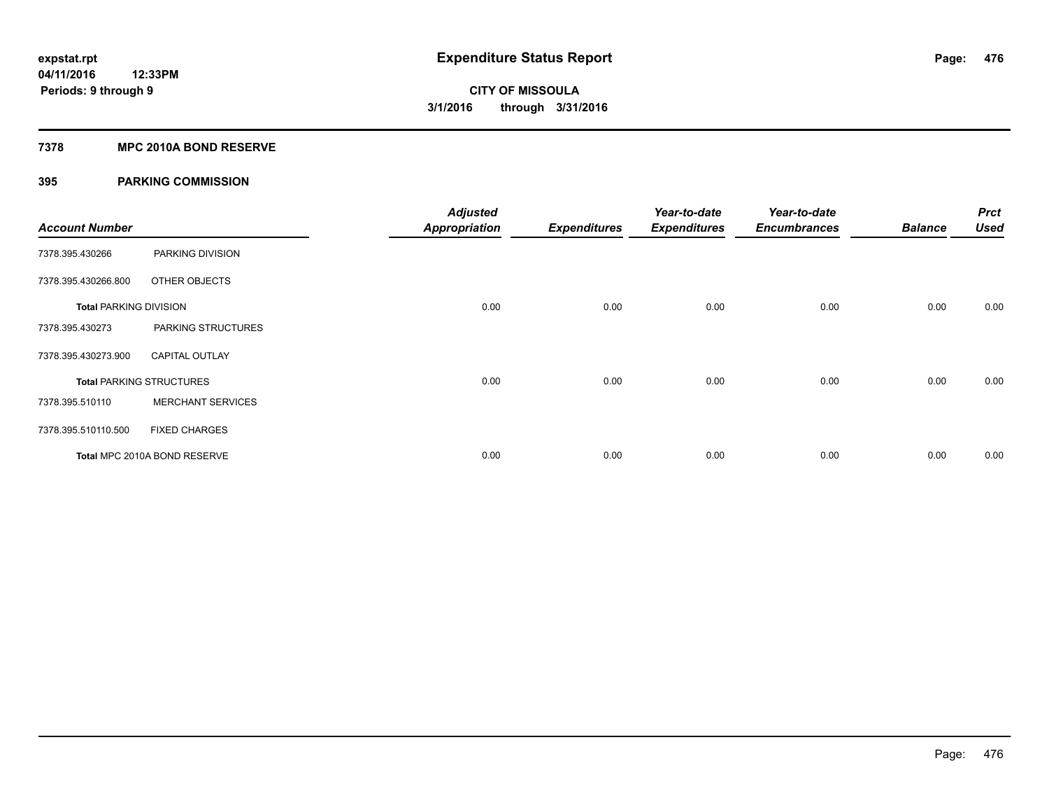#### **7378 MPC 2010A BOND RESERVE**

| <b>Account Number</b>         |                                 | <b>Adjusted</b><br><b>Appropriation</b> | <b>Expenditures</b> | Year-to-date<br><b>Expenditures</b> | Year-to-date<br><b>Encumbrances</b> | <b>Balance</b> | <b>Prct</b><br><b>Used</b> |
|-------------------------------|---------------------------------|-----------------------------------------|---------------------|-------------------------------------|-------------------------------------|----------------|----------------------------|
| 7378.395.430266               | PARKING DIVISION                |                                         |                     |                                     |                                     |                |                            |
| 7378.395.430266.800           | OTHER OBJECTS                   |                                         |                     |                                     |                                     |                |                            |
| <b>Total PARKING DIVISION</b> |                                 | 0.00                                    | 0.00                | 0.00                                | 0.00                                | 0.00           | 0.00                       |
| 7378.395.430273               | PARKING STRUCTURES              |                                         |                     |                                     |                                     |                |                            |
| 7378.395.430273.900           | <b>CAPITAL OUTLAY</b>           |                                         |                     |                                     |                                     |                |                            |
|                               | <b>Total PARKING STRUCTURES</b> | 0.00                                    | 0.00                | 0.00                                | 0.00                                | 0.00           | 0.00                       |
| 7378.395.510110               | <b>MERCHANT SERVICES</b>        |                                         |                     |                                     |                                     |                |                            |
| 7378.395.510110.500           | <b>FIXED CHARGES</b>            |                                         |                     |                                     |                                     |                |                            |
|                               | Total MPC 2010A BOND RESERVE    | 0.00                                    | 0.00                | 0.00                                | 0.00                                | 0.00           | 0.00                       |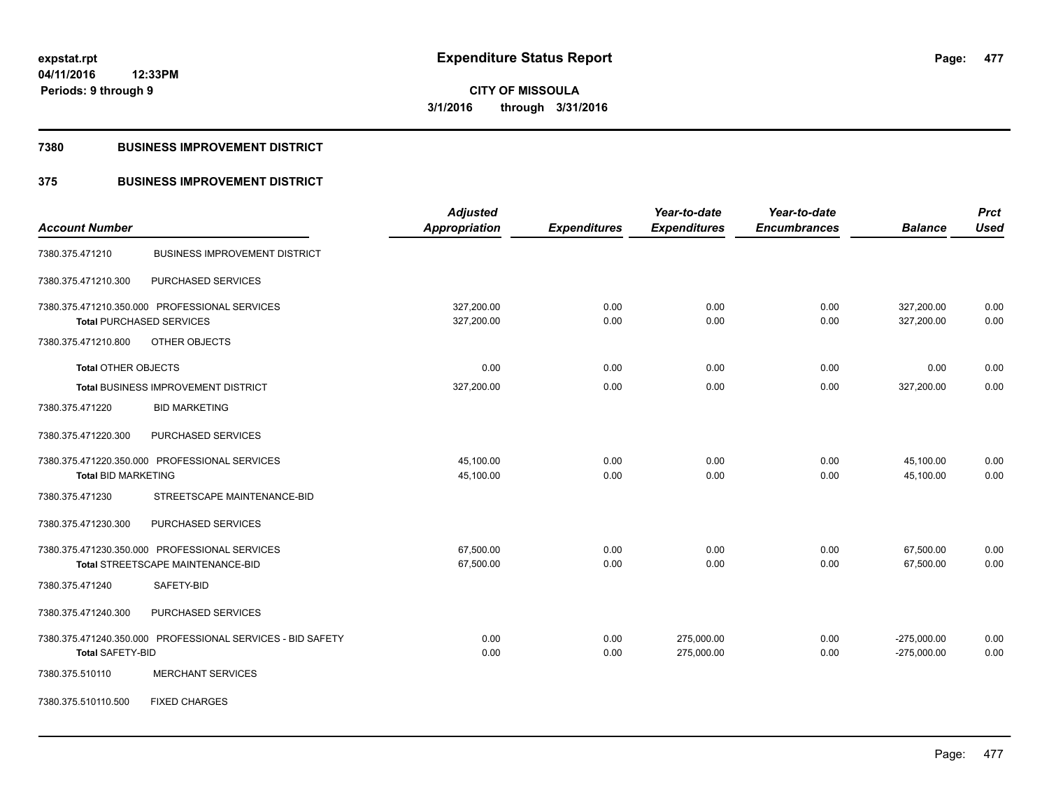**Periods: 9 through 9**

**CITY OF MISSOULA 3/1/2016 through 3/31/2016**

#### **7380 BUSINESS IMPROVEMENT DISTRICT**

**12:33PM**

### **375 BUSINESS IMPROVEMENT DISTRICT**

| <b>Account Number</b>                                      | <b>Adjusted</b><br>Appropriation | <b>Expenditures</b> | Year-to-date<br><b>Expenditures</b> | Year-to-date<br><b>Encumbrances</b> | <b>Balance</b> | <b>Prct</b><br><b>Used</b> |
|------------------------------------------------------------|----------------------------------|---------------------|-------------------------------------|-------------------------------------|----------------|----------------------------|
|                                                            |                                  |                     |                                     |                                     |                |                            |
| <b>BUSINESS IMPROVEMENT DISTRICT</b><br>7380.375.471210    |                                  |                     |                                     |                                     |                |                            |
| PURCHASED SERVICES<br>7380.375.471210.300                  |                                  |                     |                                     |                                     |                |                            |
| 7380.375.471210.350.000 PROFESSIONAL SERVICES              | 327,200.00                       | 0.00                | 0.00                                | 0.00                                | 327,200.00     | 0.00                       |
| <b>Total PURCHASED SERVICES</b>                            | 327,200.00                       | 0.00                | 0.00                                | 0.00                                | 327,200.00     | 0.00                       |
| 7380.375.471210.800<br>OTHER OBJECTS                       |                                  |                     |                                     |                                     |                |                            |
| <b>Total OTHER OBJECTS</b>                                 | 0.00                             | 0.00                | 0.00                                | 0.00                                | 0.00           | 0.00                       |
| Total BUSINESS IMPROVEMENT DISTRICT                        | 327,200.00                       | 0.00                | 0.00                                | 0.00                                | 327,200.00     | 0.00                       |
| <b>BID MARKETING</b><br>7380.375.471220                    |                                  |                     |                                     |                                     |                |                            |
| 7380.375.471220.300<br><b>PURCHASED SERVICES</b>           |                                  |                     |                                     |                                     |                |                            |
| 7380.375.471220.350.000 PROFESSIONAL SERVICES              | 45,100.00                        | 0.00                | 0.00                                | 0.00                                | 45,100.00      | 0.00                       |
| <b>Total BID MARKETING</b>                                 | 45,100.00                        | 0.00                | 0.00                                | 0.00                                | 45,100.00      | 0.00                       |
| STREETSCAPE MAINTENANCE-BID<br>7380.375.471230             |                                  |                     |                                     |                                     |                |                            |
| PURCHASED SERVICES<br>7380.375.471230.300                  |                                  |                     |                                     |                                     |                |                            |
| 7380.375.471230.350.000 PROFESSIONAL SERVICES              | 67,500.00                        | 0.00                | 0.00                                | 0.00                                | 67,500.00      | 0.00                       |
| <b>Total STREETSCAPE MAINTENANCE-BID</b>                   | 67,500.00                        | 0.00                | 0.00                                | 0.00                                | 67.500.00      | 0.00                       |
| 7380.375.471240<br>SAFETY-BID                              |                                  |                     |                                     |                                     |                |                            |
| PURCHASED SERVICES<br>7380.375.471240.300                  |                                  |                     |                                     |                                     |                |                            |
| 7380.375.471240.350.000 PROFESSIONAL SERVICES - BID SAFETY | 0.00                             | 0.00                | 275,000.00                          | 0.00                                | $-275,000.00$  | 0.00                       |
| <b>Total SAFETY-BID</b>                                    | 0.00                             | 0.00                | 275,000.00                          | 0.00                                | $-275,000.00$  | 0.00                       |
| <b>MERCHANT SERVICES</b><br>7380.375.510110                |                                  |                     |                                     |                                     |                |                            |
| 7380.375.510110.500<br><b>FIXED CHARGES</b>                |                                  |                     |                                     |                                     |                |                            |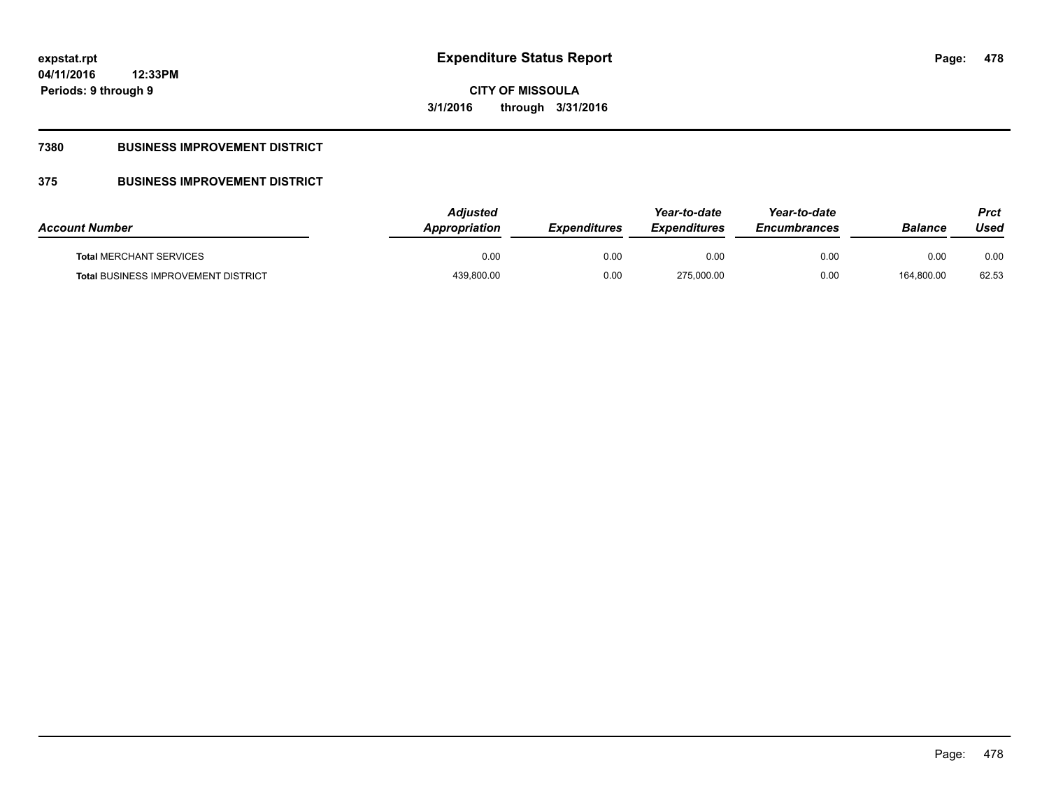**CITY OF MISSOULA 3/1/2016 through 3/31/2016**

### **7380 BUSINESS IMPROVEMENT DISTRICT**

### **375 BUSINESS IMPROVEMENT DISTRICT**

| <b>Account Number</b>                      | <b>Adiusted</b><br>Appropriation | <b>Expenditures</b> | Year-to-date<br><b>Expenditures</b> | Year-to-date<br><b>Encumbrances</b> | <b>Balance</b> | Prct<br>Used |
|--------------------------------------------|----------------------------------|---------------------|-------------------------------------|-------------------------------------|----------------|--------------|
| <b>Total MERCHANT SERVICES</b>             | 0.00                             | 0.00                | 0.00                                | 0.00                                | 0.00           | 0.00         |
| <b>Total BUSINESS IMPROVEMENT DISTRICT</b> | 439,800.00                       | 0.00                | 275.000.00                          | 0.00                                | 164,800.00     | 62.53        |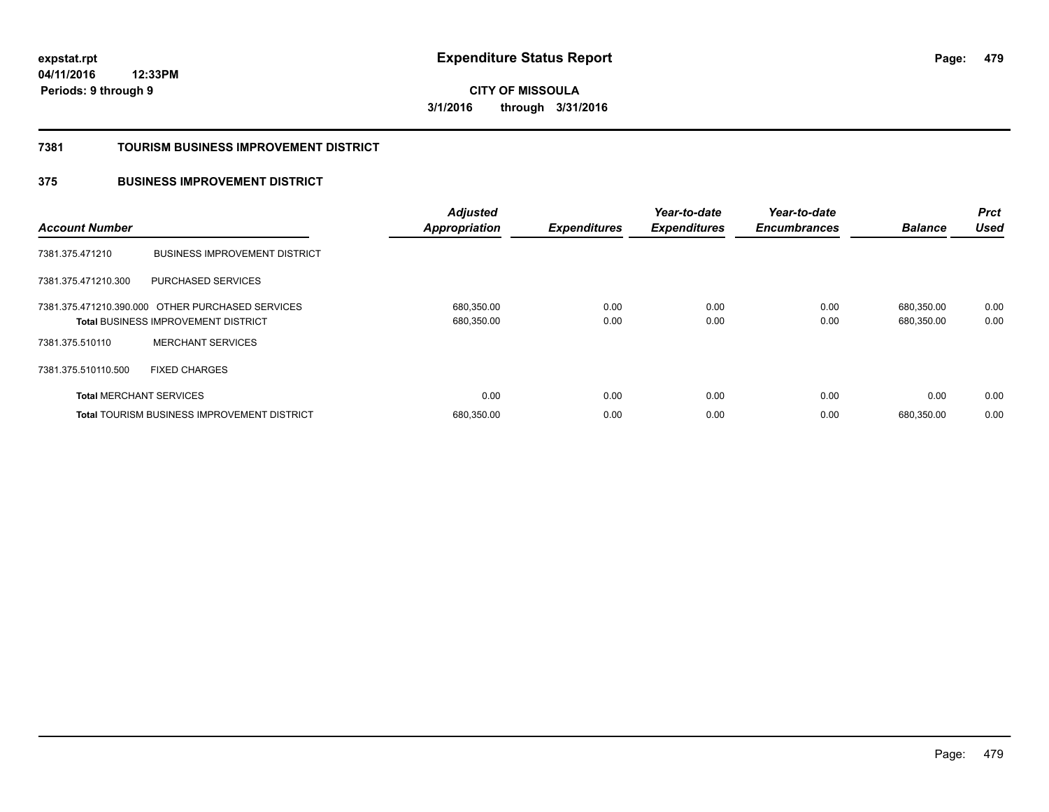**479**

**04/11/2016 12:33PM Periods: 9 through 9**

**CITY OF MISSOULA 3/1/2016 through 3/31/2016**

#### **7381 TOURISM BUSINESS IMPROVEMENT DISTRICT**

### **375 BUSINESS IMPROVEMENT DISTRICT**

| <b>Account Number</b>          |                                                                                                | <b>Adjusted</b><br><b>Appropriation</b> | <b>Expenditures</b> | Year-to-date<br><b>Expenditures</b> | Year-to-date<br><b>Encumbrances</b> | <b>Balance</b>           | <b>Prct</b><br><b>Used</b> |
|--------------------------------|------------------------------------------------------------------------------------------------|-----------------------------------------|---------------------|-------------------------------------|-------------------------------------|--------------------------|----------------------------|
| 7381.375.471210                | <b>BUSINESS IMPROVEMENT DISTRICT</b>                                                           |                                         |                     |                                     |                                     |                          |                            |
| 7381.375.471210.300            | PURCHASED SERVICES                                                                             |                                         |                     |                                     |                                     |                          |                            |
|                                | 7381.375.471210.390.000 OTHER PURCHASED SERVICES<br><b>Total BUSINESS IMPROVEMENT DISTRICT</b> | 680,350.00<br>680,350.00                | 0.00<br>0.00        | 0.00<br>0.00                        | 0.00<br>0.00                        | 680,350.00<br>680,350.00 | 0.00<br>0.00               |
| 7381.375.510110                | <b>MERCHANT SERVICES</b>                                                                       |                                         |                     |                                     |                                     |                          |                            |
| 7381.375.510110.500            | <b>FIXED CHARGES</b>                                                                           |                                         |                     |                                     |                                     |                          |                            |
| <b>Total MERCHANT SERVICES</b> |                                                                                                | 0.00                                    | 0.00                | 0.00                                | 0.00                                | 0.00                     | 0.00                       |
|                                | Total TOURISM BUSINESS IMPROVEMENT DISTRICT                                                    | 680,350.00                              | 0.00                | 0.00                                | 0.00                                | 680.350.00               | 0.00                       |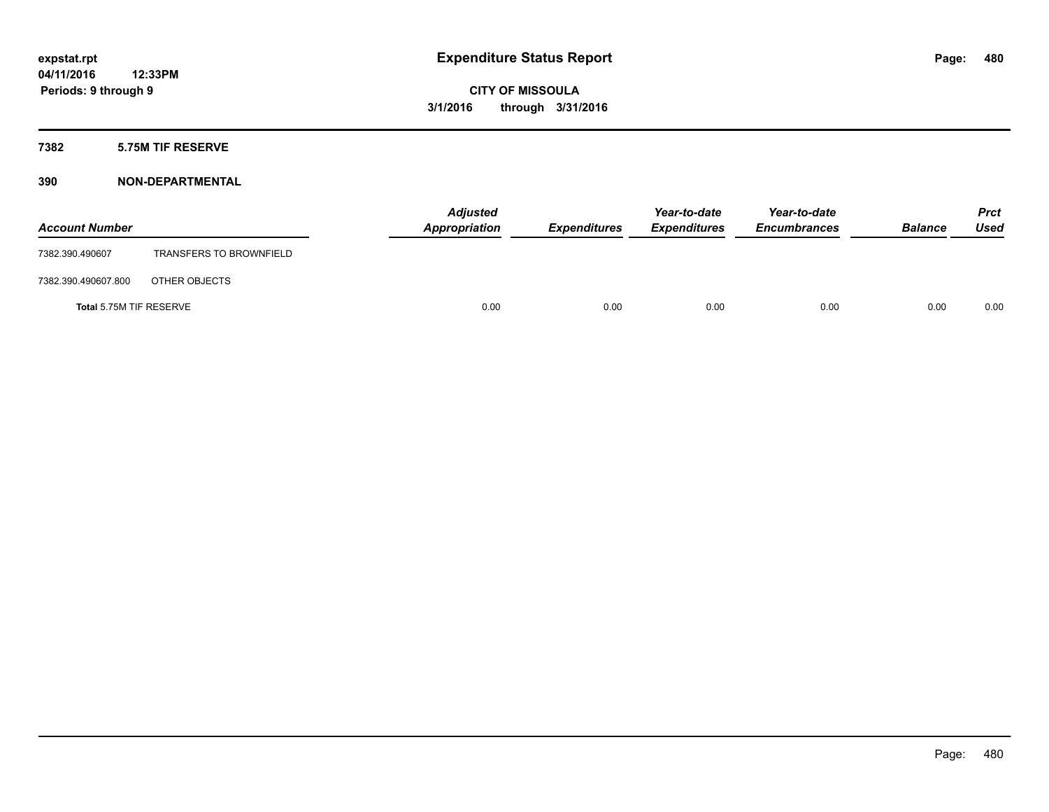#### **7382 5.75M TIF RESERVE**

| <b>Account Number</b>   |                                | <b>Adjusted</b><br>Appropriation | <b>Expenditures</b> | Year-to-date<br><b>Expenditures</b> | Year-to-date<br><b>Encumbrances</b> | <b>Balance</b> | <b>Prct</b><br><b>Used</b> |
|-------------------------|--------------------------------|----------------------------------|---------------------|-------------------------------------|-------------------------------------|----------------|----------------------------|
| 7382.390.490607         | <b>TRANSFERS TO BROWNFIELD</b> |                                  |                     |                                     |                                     |                |                            |
| 7382.390.490607.800     | OTHER OBJECTS                  |                                  |                     |                                     |                                     |                |                            |
| Total 5.75M TIF RESERVE |                                | 0.00                             | 0.00                | 0.00                                | 0.00                                | 0.00           | 0.00                       |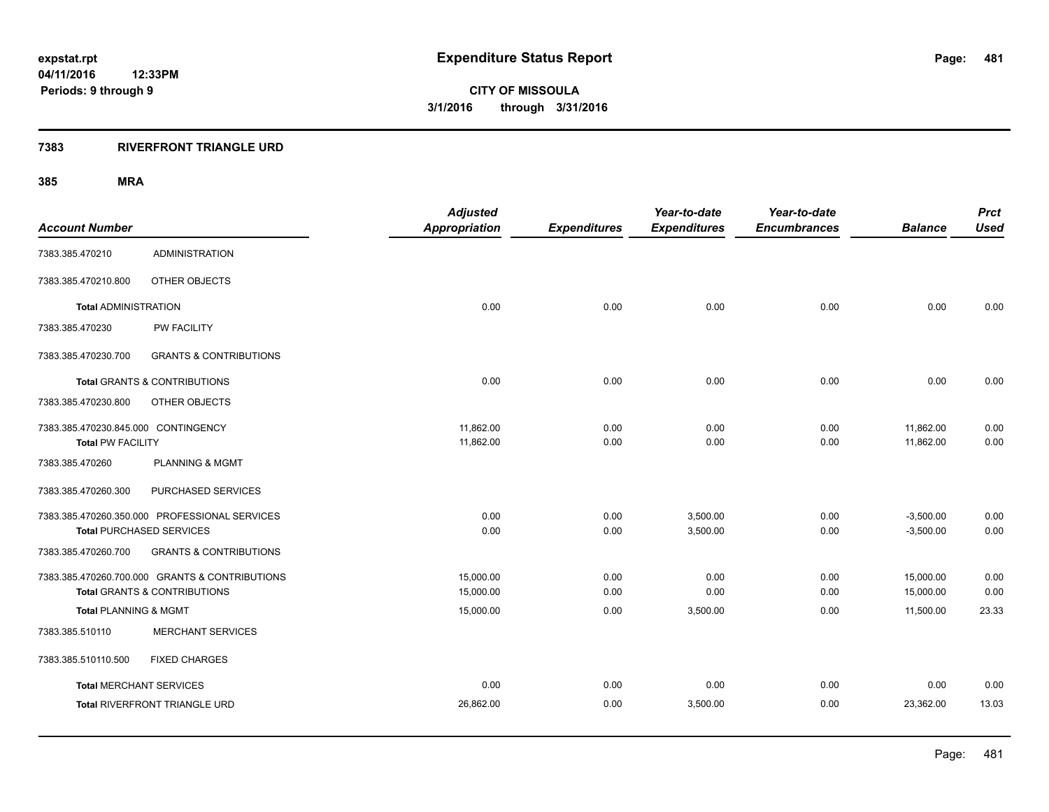#### **7383 RIVERFRONT TRIANGLE URD**

|                                     |                                                | <b>Adjusted</b>      |                     | Year-to-date        | Year-to-date        |                | <b>Prct</b> |
|-------------------------------------|------------------------------------------------|----------------------|---------------------|---------------------|---------------------|----------------|-------------|
| <b>Account Number</b>               |                                                | <b>Appropriation</b> | <b>Expenditures</b> | <b>Expenditures</b> | <b>Encumbrances</b> | <b>Balance</b> | <b>Used</b> |
| 7383.385.470210                     | <b>ADMINISTRATION</b>                          |                      |                     |                     |                     |                |             |
| 7383.385.470210.800                 | OTHER OBJECTS                                  |                      |                     |                     |                     |                |             |
| <b>Total ADMINISTRATION</b>         |                                                | 0.00                 | 0.00                | 0.00                | 0.00                | 0.00           | 0.00        |
| 7383.385.470230                     | <b>PW FACILITY</b>                             |                      |                     |                     |                     |                |             |
| 7383.385.470230.700                 | <b>GRANTS &amp; CONTRIBUTIONS</b>              |                      |                     |                     |                     |                |             |
|                                     | <b>Total GRANTS &amp; CONTRIBUTIONS</b>        | 0.00                 | 0.00                | 0.00                | 0.00                | 0.00           | 0.00        |
| 7383.385.470230.800                 | OTHER OBJECTS                                  |                      |                     |                     |                     |                |             |
| 7383.385.470230.845.000 CONTINGENCY |                                                | 11,862.00            | 0.00                | 0.00                | 0.00                | 11,862.00      | 0.00        |
| <b>Total PW FACILITY</b>            |                                                | 11,862.00            | 0.00                | 0.00                | 0.00                | 11,862.00      | 0.00        |
| 7383.385.470260                     | <b>PLANNING &amp; MGMT</b>                     |                      |                     |                     |                     |                |             |
| 7383.385.470260.300                 | PURCHASED SERVICES                             |                      |                     |                     |                     |                |             |
|                                     | 7383.385.470260.350.000 PROFESSIONAL SERVICES  | 0.00                 | 0.00                | 3,500.00            | 0.00                | $-3,500.00$    | 0.00        |
| <b>Total PURCHASED SERVICES</b>     |                                                | 0.00                 | 0.00                | 3,500.00            | 0.00                | $-3,500.00$    | 0.00        |
| 7383.385.470260.700                 | <b>GRANTS &amp; CONTRIBUTIONS</b>              |                      |                     |                     |                     |                |             |
|                                     | 7383.385.470260.700.000 GRANTS & CONTRIBUTIONS | 15,000.00            | 0.00                | 0.00                | 0.00                | 15,000.00      | 0.00        |
|                                     | <b>Total GRANTS &amp; CONTRIBUTIONS</b>        | 15,000.00            | 0.00                | 0.00                | 0.00                | 15,000.00      | 0.00        |
| Total PLANNING & MGMT               |                                                | 15,000.00            | 0.00                | 3,500.00            | 0.00                | 11,500.00      | 23.33       |
| 7383.385.510110                     | <b>MERCHANT SERVICES</b>                       |                      |                     |                     |                     |                |             |
| 7383.385.510110.500                 | <b>FIXED CHARGES</b>                           |                      |                     |                     |                     |                |             |
| <b>Total MERCHANT SERVICES</b>      |                                                | 0.00                 | 0.00                | 0.00                | 0.00                | 0.00           | 0.00        |
|                                     | Total RIVERFRONT TRIANGLE URD                  | 26,862.00            | 0.00                | 3,500.00            | 0.00                | 23,362.00      | 13.03       |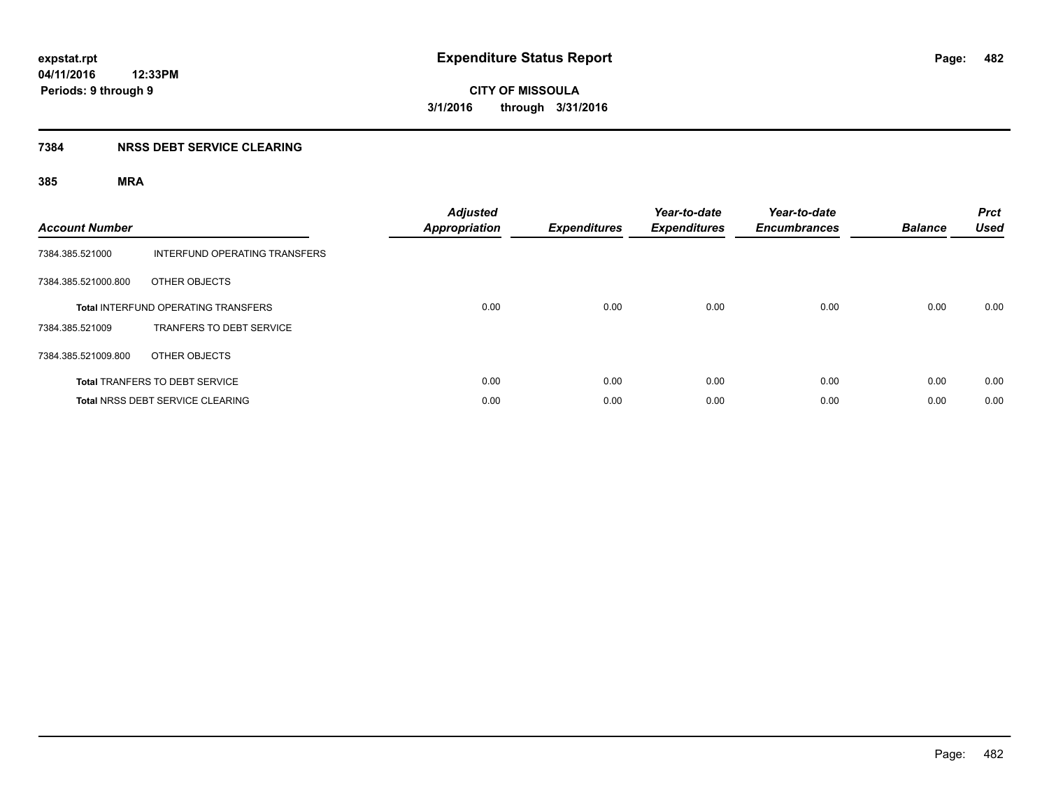#### **7384 NRSS DEBT SERVICE CLEARING**

| <b>Account Number</b> |                                            | <b>Adjusted</b><br><b>Appropriation</b> | <b>Expenditures</b> | Year-to-date<br><b>Expenditures</b> | Year-to-date<br><b>Encumbrances</b> | <b>Balance</b> | <b>Prct</b><br><b>Used</b> |
|-----------------------|--------------------------------------------|-----------------------------------------|---------------------|-------------------------------------|-------------------------------------|----------------|----------------------------|
| 7384.385.521000       | INTERFUND OPERATING TRANSFERS              |                                         |                     |                                     |                                     |                |                            |
| 7384.385.521000.800   | OTHER OBJECTS                              |                                         |                     |                                     |                                     |                |                            |
|                       | <b>Total INTERFUND OPERATING TRANSFERS</b> | 0.00                                    | 0.00                | 0.00                                | 0.00                                | 0.00           | 0.00                       |
| 7384.385.521009       | TRANFERS TO DEBT SERVICE                   |                                         |                     |                                     |                                     |                |                            |
| 7384.385.521009.800   | OTHER OBJECTS                              |                                         |                     |                                     |                                     |                |                            |
|                       | <b>Total TRANFERS TO DEBT SERVICE</b>      | 0.00                                    | 0.00                | 0.00                                | 0.00                                | 0.00           | 0.00                       |
|                       | <b>Total NRSS DEBT SERVICE CLEARING</b>    | 0.00                                    | 0.00                | 0.00                                | 0.00                                | 0.00           | 0.00                       |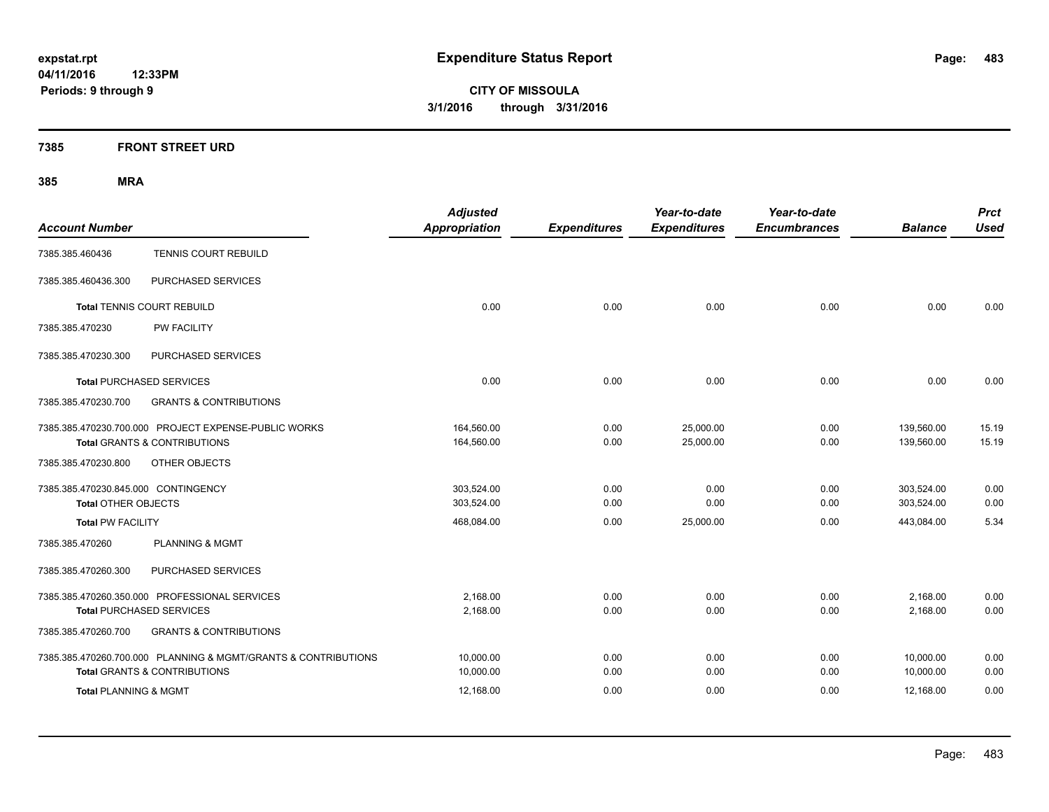**7385 FRONT STREET URD**

| <b>Account Number</b>                                             |                                                                                                 | <b>Adjusted</b><br><b>Appropriation</b> | <b>Expenditures</b> | Year-to-date<br><b>Expenditures</b> | Year-to-date<br><b>Encumbrances</b> | <b>Balance</b>           | <b>Prct</b><br><b>Used</b> |
|-------------------------------------------------------------------|-------------------------------------------------------------------------------------------------|-----------------------------------------|---------------------|-------------------------------------|-------------------------------------|--------------------------|----------------------------|
| 7385.385.460436                                                   | <b>TENNIS COURT REBUILD</b>                                                                     |                                         |                     |                                     |                                     |                          |                            |
| 7385.385.460436.300                                               | PURCHASED SERVICES                                                                              |                                         |                     |                                     |                                     |                          |                            |
|                                                                   | <b>Total TENNIS COURT REBUILD</b>                                                               | 0.00                                    | 0.00                | 0.00                                | 0.00                                | 0.00                     | 0.00                       |
| 7385.385.470230                                                   | PW FACILITY                                                                                     |                                         |                     |                                     |                                     |                          |                            |
| 7385.385.470230.300                                               | PURCHASED SERVICES                                                                              |                                         |                     |                                     |                                     |                          |                            |
|                                                                   | <b>Total PURCHASED SERVICES</b>                                                                 | 0.00                                    | 0.00                | 0.00                                | 0.00                                | 0.00                     | 0.00                       |
| 7385.385.470230.700                                               | <b>GRANTS &amp; CONTRIBUTIONS</b>                                                               |                                         |                     |                                     |                                     |                          |                            |
|                                                                   | 7385.385.470230.700.000 PROJECT EXPENSE-PUBLIC WORKS<br><b>Total GRANTS &amp; CONTRIBUTIONS</b> | 164,560.00<br>164,560.00                | 0.00<br>0.00        | 25,000.00<br>25,000.00              | 0.00<br>0.00                        | 139,560.00<br>139,560.00 | 15.19<br>15.19             |
| 7385.385.470230.800                                               | OTHER OBJECTS                                                                                   |                                         |                     |                                     |                                     |                          |                            |
| 7385.385.470230.845.000 CONTINGENCY<br><b>Total OTHER OBJECTS</b> |                                                                                                 | 303,524.00<br>303,524.00                | 0.00<br>0.00        | 0.00<br>0.00                        | 0.00<br>0.00                        | 303,524.00<br>303,524.00 | 0.00<br>0.00               |
| <b>Total PW FACILITY</b>                                          |                                                                                                 | 468,084.00                              | 0.00                | 25,000.00                           | 0.00                                | 443,084.00               | 5.34                       |
| 7385.385.470260                                                   | <b>PLANNING &amp; MGMT</b>                                                                      |                                         |                     |                                     |                                     |                          |                            |
| 7385.385.470260.300                                               | PURCHASED SERVICES                                                                              |                                         |                     |                                     |                                     |                          |                            |
|                                                                   | 7385.385.470260.350.000 PROFESSIONAL SERVICES                                                   | 2,168.00                                | 0.00                | 0.00                                | 0.00                                | 2,168.00                 | 0.00                       |
|                                                                   | <b>Total PURCHASED SERVICES</b>                                                                 | 2,168.00                                | 0.00                | 0.00                                | 0.00                                | 2,168.00                 | 0.00                       |
| 7385.385.470260.700                                               | <b>GRANTS &amp; CONTRIBUTIONS</b>                                                               |                                         |                     |                                     |                                     |                          |                            |
|                                                                   | 7385.385.470260.700.000 PLANNING & MGMT/GRANTS & CONTRIBUTIONS                                  | 10.000.00                               | 0.00                | 0.00                                | 0.00                                | 10,000.00                | 0.00                       |
|                                                                   | <b>Total GRANTS &amp; CONTRIBUTIONS</b>                                                         | 10,000.00                               | 0.00                | 0.00                                | 0.00                                | 10,000.00                | 0.00                       |
| <b>Total PLANNING &amp; MGMT</b>                                  |                                                                                                 | 12,168.00                               | 0.00                | 0.00                                | 0.00                                | 12,168.00                | 0.00                       |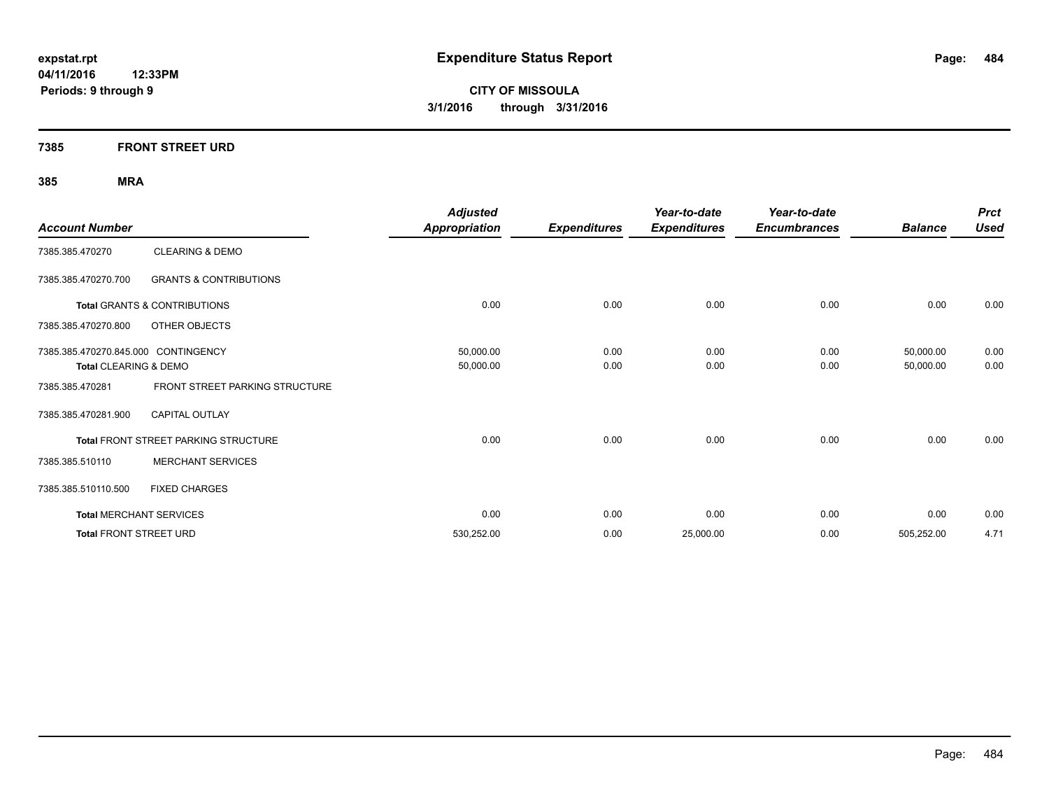#### **7385 FRONT STREET URD**

| <b>Account Number</b>               |                                         | <b>Adjusted</b><br><b>Appropriation</b> | <b>Expenditures</b> | Year-to-date<br><b>Expenditures</b> | Year-to-date<br><b>Encumbrances</b> | <b>Balance</b> | <b>Prct</b><br><b>Used</b> |
|-------------------------------------|-----------------------------------------|-----------------------------------------|---------------------|-------------------------------------|-------------------------------------|----------------|----------------------------|
| 7385.385.470270                     | <b>CLEARING &amp; DEMO</b>              |                                         |                     |                                     |                                     |                |                            |
| 7385.385.470270.700                 | <b>GRANTS &amp; CONTRIBUTIONS</b>       |                                         |                     |                                     |                                     |                |                            |
|                                     | <b>Total GRANTS &amp; CONTRIBUTIONS</b> | 0.00                                    | 0.00                | 0.00                                | 0.00                                | 0.00           | 0.00                       |
| 7385.385.470270.800                 | OTHER OBJECTS                           |                                         |                     |                                     |                                     |                |                            |
| 7385.385.470270.845.000 CONTINGENCY |                                         | 50,000.00                               | 0.00                | 0.00                                | 0.00                                | 50,000.00      | 0.00                       |
| Total CLEARING & DEMO               |                                         | 50,000.00                               | 0.00                | 0.00                                | 0.00                                | 50,000.00      | 0.00                       |
| 7385.385.470281                     | FRONT STREET PARKING STRUCTURE          |                                         |                     |                                     |                                     |                |                            |
| 7385.385.470281.900                 | <b>CAPITAL OUTLAY</b>                   |                                         |                     |                                     |                                     |                |                            |
|                                     | Total FRONT STREET PARKING STRUCTURE    | 0.00                                    | 0.00                | 0.00                                | 0.00                                | 0.00           | 0.00                       |
| 7385.385.510110                     | <b>MERCHANT SERVICES</b>                |                                         |                     |                                     |                                     |                |                            |
| 7385.385.510110.500                 | <b>FIXED CHARGES</b>                    |                                         |                     |                                     |                                     |                |                            |
|                                     | <b>Total MERCHANT SERVICES</b>          | 0.00                                    | 0.00                | 0.00                                | 0.00                                | 0.00           | 0.00                       |
| <b>Total FRONT STREET URD</b>       |                                         | 530,252.00                              | 0.00                | 25,000.00                           | 0.00                                | 505,252.00     | 4.71                       |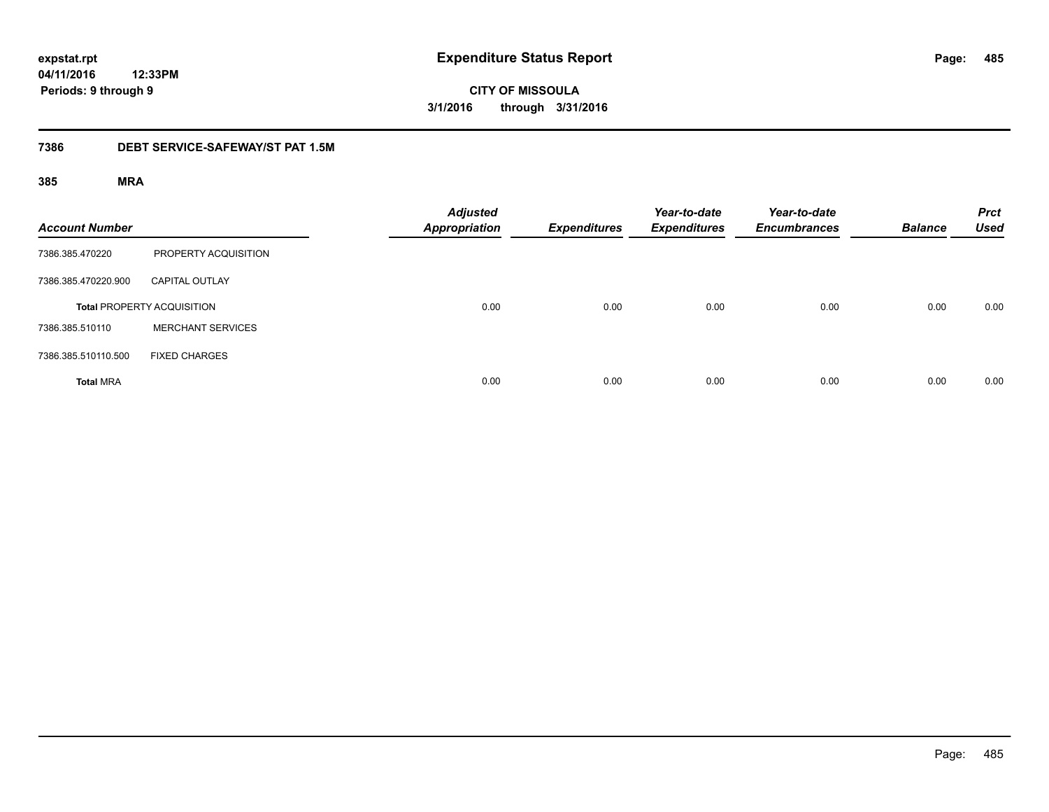**expstat.rpt Expenditure Status Report** 

**04/11/2016 12:33PM Periods: 9 through 9**

**CITY OF MISSOULA 3/1/2016 through 3/31/2016**

#### **7386 DEBT SERVICE-SAFEWAY/ST PAT 1.5M**

| <b>Account Number</b> |                                   | <b>Adjusted</b><br><b>Appropriation</b> | <b>Expenditures</b> | Year-to-date<br><b>Expenditures</b> | Year-to-date<br><b>Encumbrances</b> | <b>Balance</b> | <b>Prct</b><br><b>Used</b> |
|-----------------------|-----------------------------------|-----------------------------------------|---------------------|-------------------------------------|-------------------------------------|----------------|----------------------------|
| 7386.385.470220       | PROPERTY ACQUISITION              |                                         |                     |                                     |                                     |                |                            |
| 7386.385.470220.900   | <b>CAPITAL OUTLAY</b>             |                                         |                     |                                     |                                     |                |                            |
|                       | <b>Total PROPERTY ACQUISITION</b> | 0.00                                    | 0.00                | 0.00                                | 0.00                                | 0.00           | 0.00                       |
| 7386.385.510110       | <b>MERCHANT SERVICES</b>          |                                         |                     |                                     |                                     |                |                            |
| 7386.385.510110.500   | <b>FIXED CHARGES</b>              |                                         |                     |                                     |                                     |                |                            |
| <b>Total MRA</b>      |                                   | 0.00                                    | 0.00                | 0.00                                | 0.00                                | 0.00           | 0.00                       |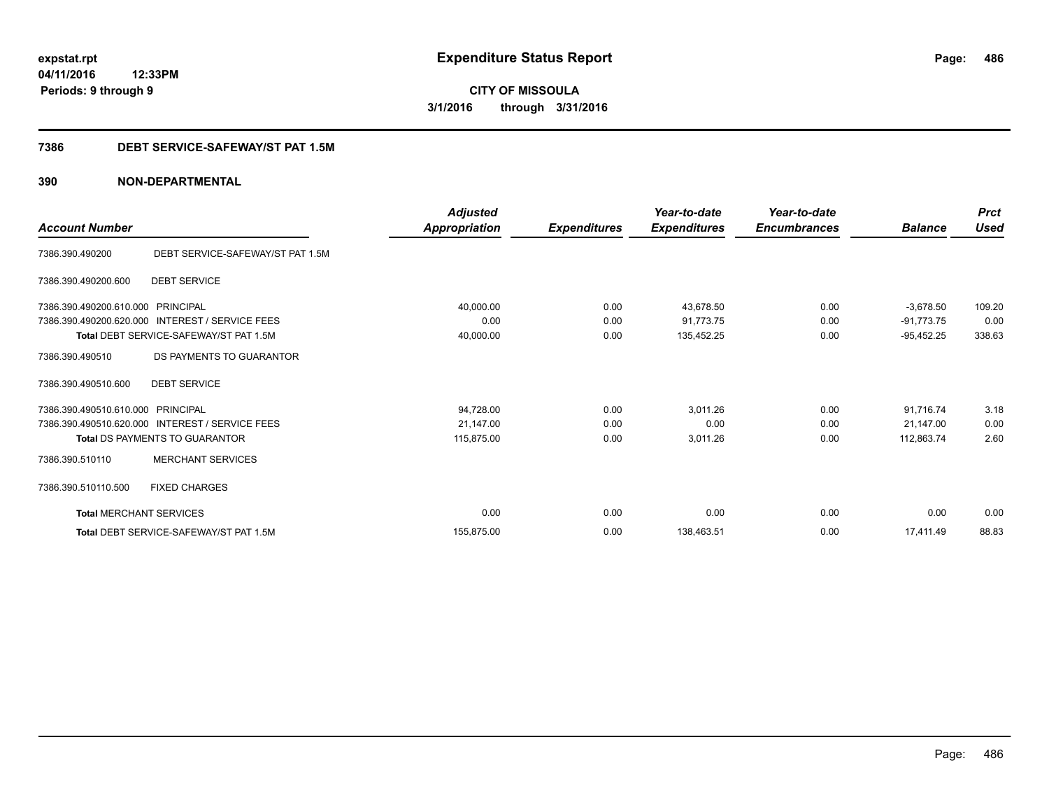#### **7386 DEBT SERVICE-SAFEWAY/ST PAT 1.5M**

|                                |                                                 | <b>Adjusted</b> |                     | Year-to-date        | Year-to-date        |                | <b>Prct</b><br><b>Used</b> |
|--------------------------------|-------------------------------------------------|-----------------|---------------------|---------------------|---------------------|----------------|----------------------------|
| <b>Account Number</b>          |                                                 | Appropriation   | <b>Expenditures</b> | <b>Expenditures</b> | <b>Encumbrances</b> | <b>Balance</b> |                            |
| 7386.390.490200                | DEBT SERVICE-SAFEWAY/ST PAT 1.5M                |                 |                     |                     |                     |                |                            |
| 7386.390.490200.600            | <b>DEBT SERVICE</b>                             |                 |                     |                     |                     |                |                            |
| 7386.390.490200.610.000        | PRINCIPAL                                       | 40,000.00       | 0.00                | 43.678.50           | 0.00                | $-3,678.50$    | 109.20                     |
| 7386.390.490200.620.000        | <b>INTEREST / SERVICE FEES</b>                  | 0.00            | 0.00                | 91,773.75           | 0.00                | $-91,773.75$   | 0.00                       |
|                                | Total DEBT SERVICE-SAFEWAY/ST PAT 1.5M          | 40,000.00       | 0.00                | 135,452.25          | 0.00                | $-95,452.25$   | 338.63                     |
| 7386.390.490510                | DS PAYMENTS TO GUARANTOR                        |                 |                     |                     |                     |                |                            |
| 7386.390.490510.600            | <b>DEBT SERVICE</b>                             |                 |                     |                     |                     |                |                            |
| 7386.390.490510.610.000        | PRINCIPAL                                       | 94,728.00       | 0.00                | 3,011.26            | 0.00                | 91,716.74      | 3.18                       |
|                                | 7386.390.490510.620.000 INTEREST / SERVICE FEES | 21,147.00       | 0.00                | 0.00                | 0.00                | 21.147.00      | 0.00                       |
|                                | <b>Total DS PAYMENTS TO GUARANTOR</b>           | 115,875.00      | 0.00                | 3,011.26            | 0.00                | 112,863.74     | 2.60                       |
| 7386.390.510110                | <b>MERCHANT SERVICES</b>                        |                 |                     |                     |                     |                |                            |
| 7386.390.510110.500            | <b>FIXED CHARGES</b>                            |                 |                     |                     |                     |                |                            |
| <b>Total MERCHANT SERVICES</b> |                                                 | 0.00            | 0.00                | 0.00                | 0.00                | 0.00           | 0.00                       |
|                                | Total DEBT SERVICE-SAFEWAY/ST PAT 1.5M          | 155.875.00      | 0.00                | 138,463.51          | 0.00                | 17.411.49      | 88.83                      |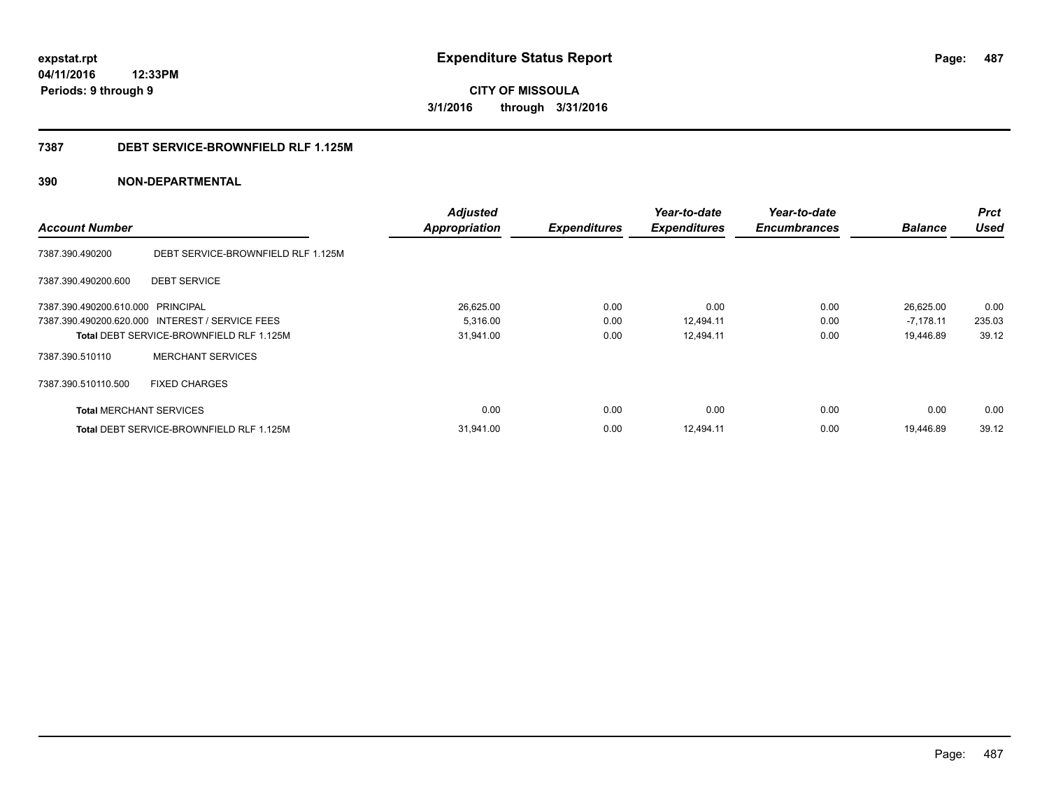**487**

**04/11/2016 12:33PM Periods: 9 through 9**

**CITY OF MISSOULA 3/1/2016 through 3/31/2016**

#### **7387 DEBT SERVICE-BROWNFIELD RLF 1.125M**

|                                   |                                                 | <b>Adjusted</b>      |                     | Year-to-date        | Year-to-date        |                | <b>Prct</b> |
|-----------------------------------|-------------------------------------------------|----------------------|---------------------|---------------------|---------------------|----------------|-------------|
| <b>Account Number</b>             |                                                 | <b>Appropriation</b> | <b>Expenditures</b> | <b>Expenditures</b> | <b>Encumbrances</b> | <b>Balance</b> | <b>Used</b> |
| 7387.390.490200                   | DEBT SERVICE-BROWNFIELD RLF 1.125M              |                      |                     |                     |                     |                |             |
| 7387.390.490200.600               | <b>DEBT SERVICE</b>                             |                      |                     |                     |                     |                |             |
| 7387.390.490200.610.000 PRINCIPAL |                                                 | 26,625.00            | 0.00                | 0.00                | 0.00                | 26,625.00      | 0.00        |
|                                   | 7387.390.490200.620.000 INTEREST / SERVICE FEES | 5,316.00             | 0.00                | 12,494.11           | 0.00                | $-7,178.11$    | 235.03      |
|                                   | Total DEBT SERVICE-BROWNFIELD RLF 1.125M        | 31,941.00            | 0.00                | 12,494.11           | 0.00                | 19,446.89      | 39.12       |
| 7387.390.510110                   | <b>MERCHANT SERVICES</b>                        |                      |                     |                     |                     |                |             |
| 7387.390.510110.500               | <b>FIXED CHARGES</b>                            |                      |                     |                     |                     |                |             |
| <b>Total MERCHANT SERVICES</b>    |                                                 | 0.00                 | 0.00                | 0.00                | 0.00                | 0.00           | 0.00        |
|                                   | <b>Total DEBT SERVICE-BROWNFIELD RLF 1.125M</b> | 31,941.00            | 0.00                | 12.494.11           | 0.00                | 19.446.89      | 39.12       |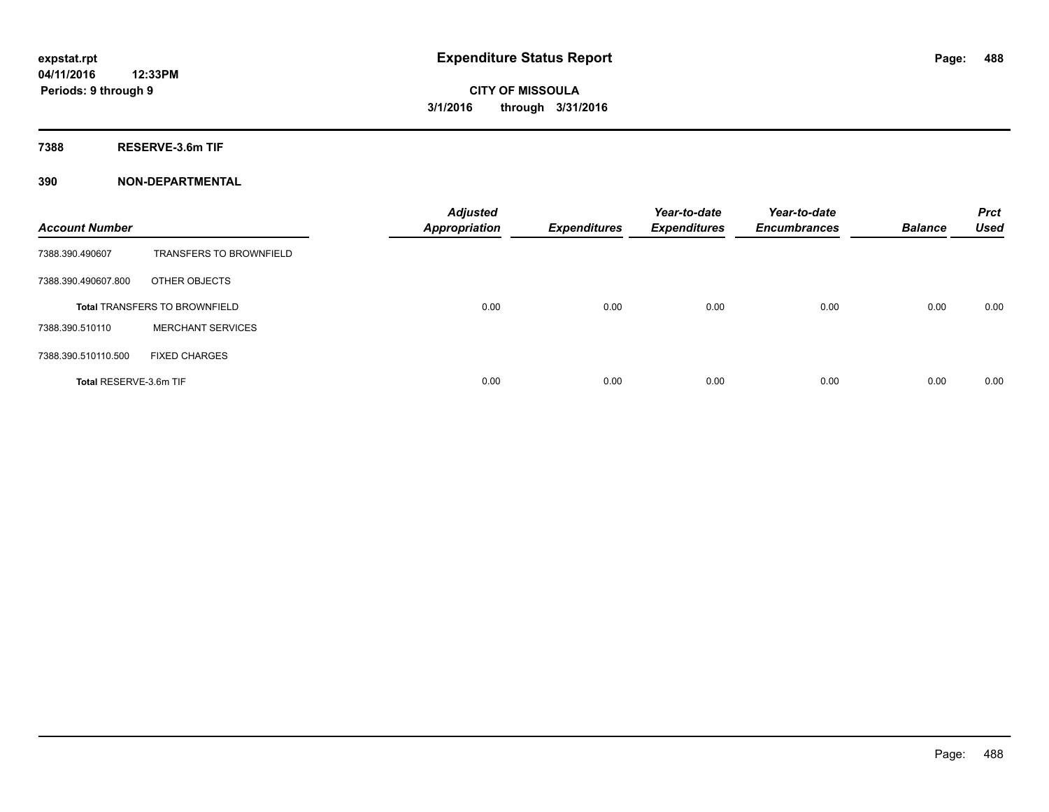**7388 RESERVE-3.6m TIF**

| <b>Account Number</b>  |                                      | <b>Adjusted</b><br><b>Appropriation</b> | <b>Expenditures</b> | Year-to-date<br><b>Expenditures</b> | Year-to-date<br><b>Encumbrances</b> | <b>Balance</b> | <b>Prct</b><br><b>Used</b> |
|------------------------|--------------------------------------|-----------------------------------------|---------------------|-------------------------------------|-------------------------------------|----------------|----------------------------|
| 7388.390.490607        | <b>TRANSFERS TO BROWNFIELD</b>       |                                         |                     |                                     |                                     |                |                            |
| 7388.390.490607.800    | OTHER OBJECTS                        |                                         |                     |                                     |                                     |                |                            |
|                        | <b>Total TRANSFERS TO BROWNFIELD</b> | 0.00                                    | 0.00                | 0.00                                | 0.00                                | 0.00           | 0.00                       |
| 7388.390.510110        | <b>MERCHANT SERVICES</b>             |                                         |                     |                                     |                                     |                |                            |
| 7388.390.510110.500    | <b>FIXED CHARGES</b>                 |                                         |                     |                                     |                                     |                |                            |
| Total RESERVE-3.6m TIF |                                      | 0.00                                    | 0.00                | 0.00                                | 0.00                                | 0.00           | 0.00                       |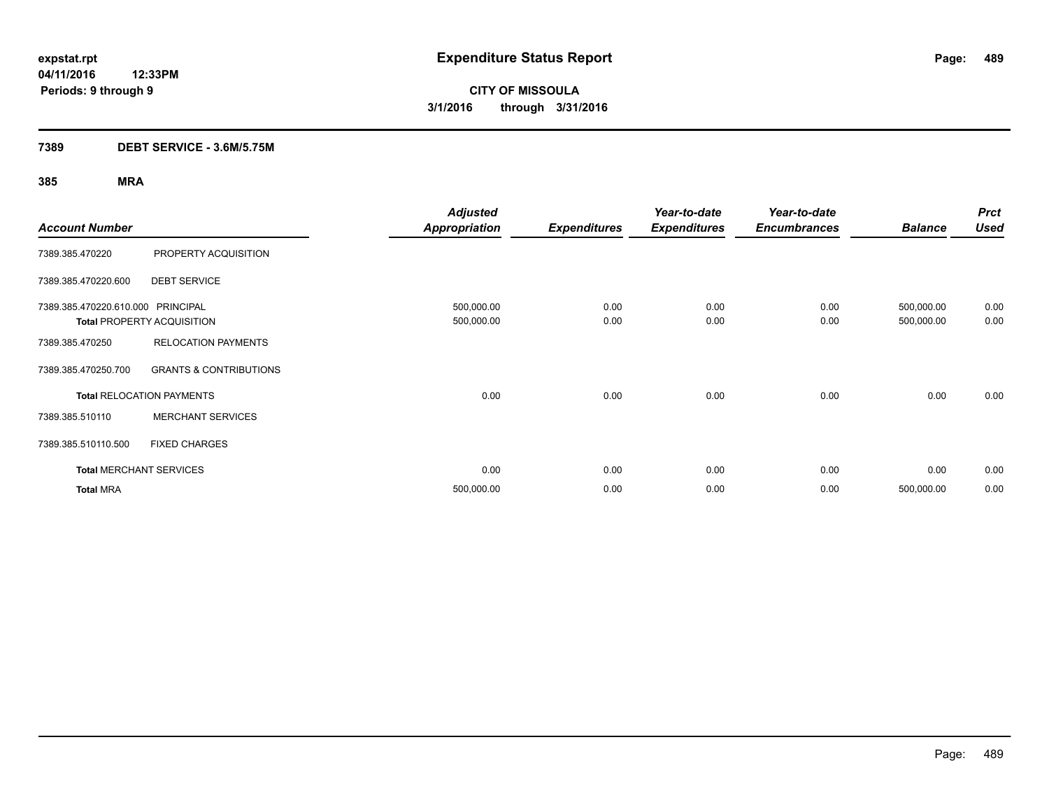#### **7389 DEBT SERVICE - 3.6M/5.75M**

| <b>Account Number</b>             |                                   | <b>Adjusted</b><br><b>Appropriation</b> | <b>Expenditures</b> | Year-to-date<br><b>Expenditures</b> | Year-to-date<br><b>Encumbrances</b> | <b>Balance</b> | <b>Prct</b><br><b>Used</b> |
|-----------------------------------|-----------------------------------|-----------------------------------------|---------------------|-------------------------------------|-------------------------------------|----------------|----------------------------|
|                                   |                                   |                                         |                     |                                     |                                     |                |                            |
| 7389.385.470220                   | PROPERTY ACQUISITION              |                                         |                     |                                     |                                     |                |                            |
| 7389.385.470220.600               | <b>DEBT SERVICE</b>               |                                         |                     |                                     |                                     |                |                            |
| 7389.385.470220.610.000 PRINCIPAL |                                   | 500,000.00                              | 0.00                | 0.00                                | 0.00                                | 500,000.00     | 0.00                       |
|                                   | <b>Total PROPERTY ACQUISITION</b> | 500,000.00                              | 0.00                | 0.00                                | 0.00                                | 500,000.00     | 0.00                       |
| 7389.385.470250                   | <b>RELOCATION PAYMENTS</b>        |                                         |                     |                                     |                                     |                |                            |
| 7389.385.470250.700               | <b>GRANTS &amp; CONTRIBUTIONS</b> |                                         |                     |                                     |                                     |                |                            |
|                                   | <b>Total RELOCATION PAYMENTS</b>  | 0.00                                    | 0.00                | 0.00                                | 0.00                                | 0.00           | 0.00                       |
| 7389.385.510110                   | <b>MERCHANT SERVICES</b>          |                                         |                     |                                     |                                     |                |                            |
| 7389.385.510110.500               | <b>FIXED CHARGES</b>              |                                         |                     |                                     |                                     |                |                            |
|                                   | <b>Total MERCHANT SERVICES</b>    | 0.00                                    | 0.00                | 0.00                                | 0.00                                | 0.00           | 0.00                       |
| <b>Total MRA</b>                  |                                   | 500,000.00                              | 0.00                | 0.00                                | 0.00                                | 500,000.00     | 0.00                       |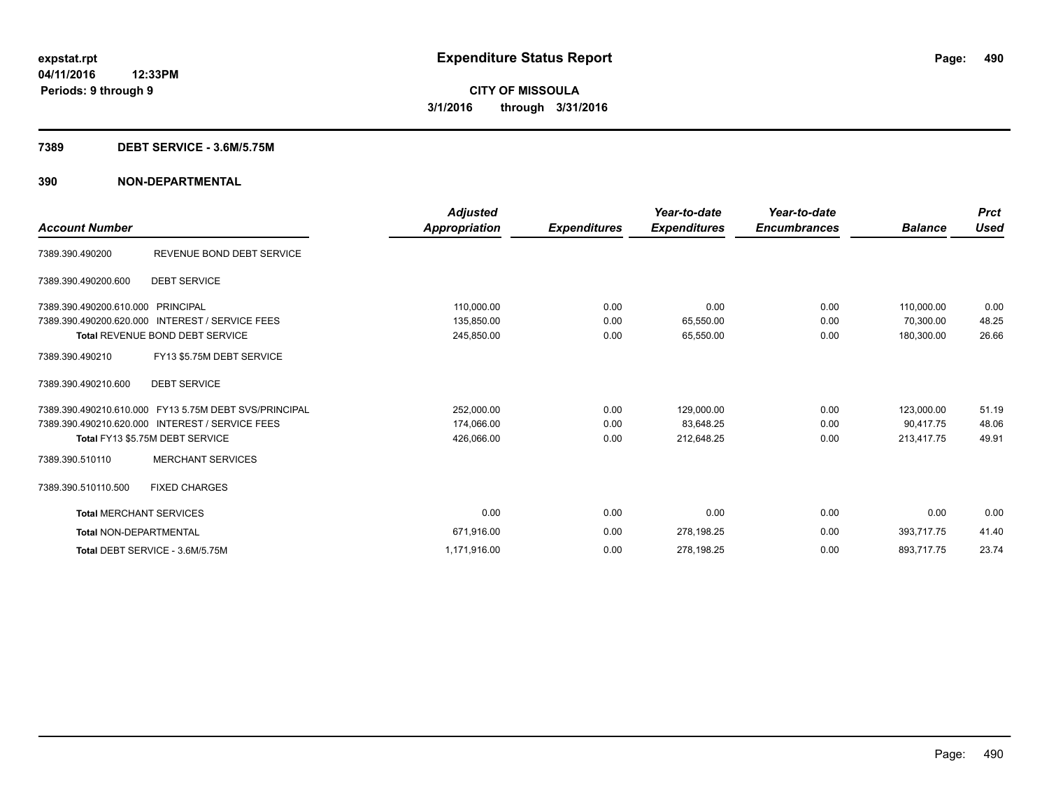#### **7389 DEBT SERVICE - 3.6M/5.75M**

|                                   |                                                       | <b>Adjusted</b> |                     | Year-to-date        | Year-to-date        |                | <b>Prct</b> |
|-----------------------------------|-------------------------------------------------------|-----------------|---------------------|---------------------|---------------------|----------------|-------------|
| <b>Account Number</b>             |                                                       | Appropriation   | <b>Expenditures</b> | <b>Expenditures</b> | <b>Encumbrances</b> | <b>Balance</b> | <b>Used</b> |
| 7389.390.490200                   | REVENUE BOND DEBT SERVICE                             |                 |                     |                     |                     |                |             |
| 7389.390.490200.600               | <b>DEBT SERVICE</b>                                   |                 |                     |                     |                     |                |             |
| 7389.390.490200.610.000 PRINCIPAL |                                                       | 110,000.00      | 0.00                | 0.00                | 0.00                | 110,000.00     | 0.00        |
| 7389.390.490200.620.000           | <b>INTEREST / SERVICE FEES</b>                        | 135,850.00      | 0.00                | 65,550.00           | 0.00                | 70.300.00      | 48.25       |
|                                   | <b>Total REVENUE BOND DEBT SERVICE</b>                | 245,850.00      | 0.00                | 65,550.00           | 0.00                | 180.300.00     | 26.66       |
| 7389.390.490210                   | FY13 \$5.75M DEBT SERVICE                             |                 |                     |                     |                     |                |             |
| 7389.390.490210.600               | <b>DEBT SERVICE</b>                                   |                 |                     |                     |                     |                |             |
|                                   | 7389.390.490210.610.000 FY13 5.75M DEBT SVS/PRINCIPAL | 252,000.00      | 0.00                | 129,000.00          | 0.00                | 123,000.00     | 51.19       |
|                                   | 7389.390.490210.620.000 INTEREST / SERVICE FEES       | 174,066.00      | 0.00                | 83,648.25           | 0.00                | 90.417.75      | 48.06       |
|                                   | Total FY13 \$5.75M DEBT SERVICE                       | 426,066.00      | 0.00                | 212,648.25          | 0.00                | 213,417.75     | 49.91       |
| 7389.390.510110                   | <b>MERCHANT SERVICES</b>                              |                 |                     |                     |                     |                |             |
| 7389.390.510110.500               | <b>FIXED CHARGES</b>                                  |                 |                     |                     |                     |                |             |
| <b>Total MERCHANT SERVICES</b>    |                                                       | 0.00            | 0.00                | 0.00                | 0.00                | 0.00           | 0.00        |
| <b>Total NON-DEPARTMENTAL</b>     |                                                       | 671,916.00      | 0.00                | 278,198.25          | 0.00                | 393,717.75     | 41.40       |
|                                   | Total DEBT SERVICE - 3.6M/5.75M                       | 1,171,916.00    | 0.00                | 278,198.25          | 0.00                | 893,717.75     | 23.74       |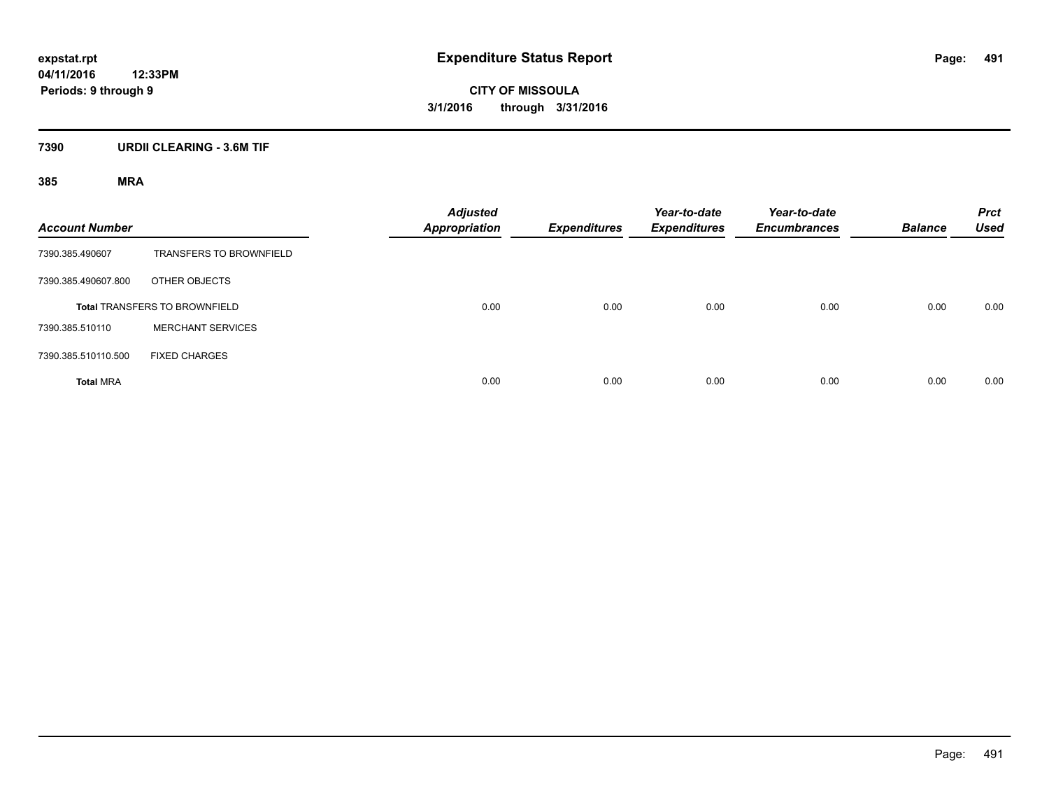#### **7390 URDII CLEARING - 3.6M TIF**

| <b>Account Number</b> |                                      | <b>Adjusted</b><br><b>Appropriation</b> | <b>Expenditures</b> | Year-to-date<br><b>Expenditures</b> | Year-to-date<br><b>Encumbrances</b> | <b>Balance</b> | <b>Prct</b><br><b>Used</b> |
|-----------------------|--------------------------------------|-----------------------------------------|---------------------|-------------------------------------|-------------------------------------|----------------|----------------------------|
| 7390.385.490607       | <b>TRANSFERS TO BROWNFIELD</b>       |                                         |                     |                                     |                                     |                |                            |
| 7390.385.490607.800   | OTHER OBJECTS                        |                                         |                     |                                     |                                     |                |                            |
|                       | <b>Total TRANSFERS TO BROWNFIELD</b> | 0.00                                    | 0.00                | 0.00                                | 0.00                                | 0.00           | 0.00                       |
| 7390.385.510110       | <b>MERCHANT SERVICES</b>             |                                         |                     |                                     |                                     |                |                            |
| 7390.385.510110.500   | <b>FIXED CHARGES</b>                 |                                         |                     |                                     |                                     |                |                            |
| <b>Total MRA</b>      |                                      | 0.00                                    | 0.00                | 0.00                                | 0.00                                | 0.00           | 0.00                       |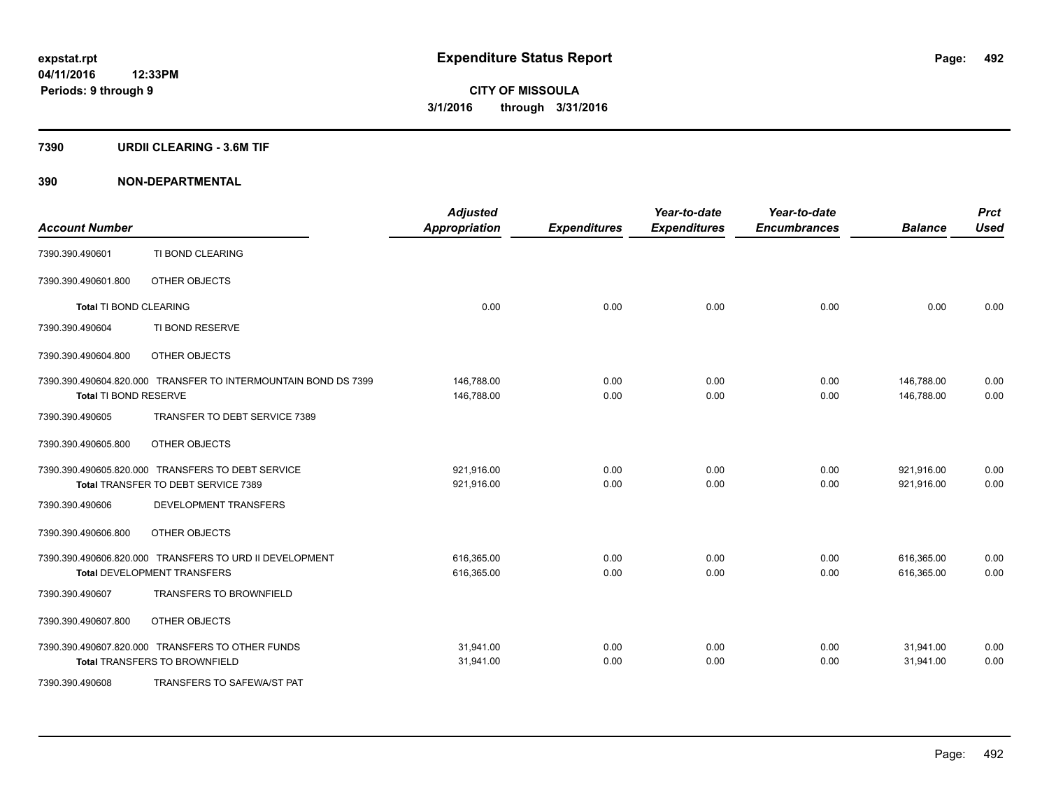#### **7390 URDII CLEARING - 3.6M TIF**

| <b>Account Number</b>         |                                                                | <b>Adjusted</b><br><b>Appropriation</b> | <b>Expenditures</b> | Year-to-date<br><b>Expenditures</b> | Year-to-date<br><b>Encumbrances</b> | <b>Balance</b> | <b>Prct</b><br><b>Used</b> |
|-------------------------------|----------------------------------------------------------------|-----------------------------------------|---------------------|-------------------------------------|-------------------------------------|----------------|----------------------------|
| 7390.390.490601               | TI BOND CLEARING                                               |                                         |                     |                                     |                                     |                |                            |
| 7390.390.490601.800           | OTHER OBJECTS                                                  |                                         |                     |                                     |                                     |                |                            |
| <b>Total TI BOND CLEARING</b> |                                                                | 0.00                                    | 0.00                | 0.00                                | 0.00                                | 0.00           | 0.00                       |
| 7390.390.490604               | TI BOND RESERVE                                                |                                         |                     |                                     |                                     |                |                            |
| 7390.390.490604.800           | OTHER OBJECTS                                                  |                                         |                     |                                     |                                     |                |                            |
|                               | 7390.390.490604.820.000 TRANSFER TO INTERMOUNTAIN BOND DS 7399 | 146,788.00                              | 0.00                | 0.00                                | 0.00                                | 146,788.00     | 0.00                       |
| Total TI BOND RESERVE         |                                                                | 146,788.00                              | 0.00                | 0.00                                | 0.00                                | 146,788.00     | 0.00                       |
| 7390.390.490605               | TRANSFER TO DEBT SERVICE 7389                                  |                                         |                     |                                     |                                     |                |                            |
| 7390.390.490605.800           | OTHER OBJECTS                                                  |                                         |                     |                                     |                                     |                |                            |
|                               | 7390.390.490605.820.000 TRANSFERS TO DEBT SERVICE              | 921,916.00                              | 0.00                | 0.00                                | 0.00                                | 921,916.00     | 0.00                       |
|                               | Total TRANSFER TO DEBT SERVICE 7389                            | 921,916.00                              | 0.00                | 0.00                                | 0.00                                | 921,916.00     | 0.00                       |
| 7390.390.490606               | DEVELOPMENT TRANSFERS                                          |                                         |                     |                                     |                                     |                |                            |
| 7390.390.490606.800           | OTHER OBJECTS                                                  |                                         |                     |                                     |                                     |                |                            |
|                               | 7390.390.490606.820.000 TRANSFERS TO URD II DEVELOPMENT        | 616,365.00                              | 0.00                | 0.00                                | 0.00                                | 616,365.00     | 0.00                       |
|                               | <b>Total DEVELOPMENT TRANSFERS</b>                             | 616,365.00                              | 0.00                | 0.00                                | 0.00                                | 616,365.00     | 0.00                       |
| 7390.390.490607               | <b>TRANSFERS TO BROWNFIELD</b>                                 |                                         |                     |                                     |                                     |                |                            |
| 7390.390.490607.800           | OTHER OBJECTS                                                  |                                         |                     |                                     |                                     |                |                            |
|                               | 7390.390.490607.820.000 TRANSFERS TO OTHER FUNDS               | 31,941.00                               | 0.00                | 0.00                                | 0.00                                | 31,941.00      | 0.00                       |
|                               | <b>Total TRANSFERS TO BROWNFIELD</b>                           | 31,941.00                               | 0.00                | 0.00                                | 0.00                                | 31,941.00      | 0.00                       |
| 7390.390.490608               | TRANSFERS TO SAFEWA/ST PAT                                     |                                         |                     |                                     |                                     |                |                            |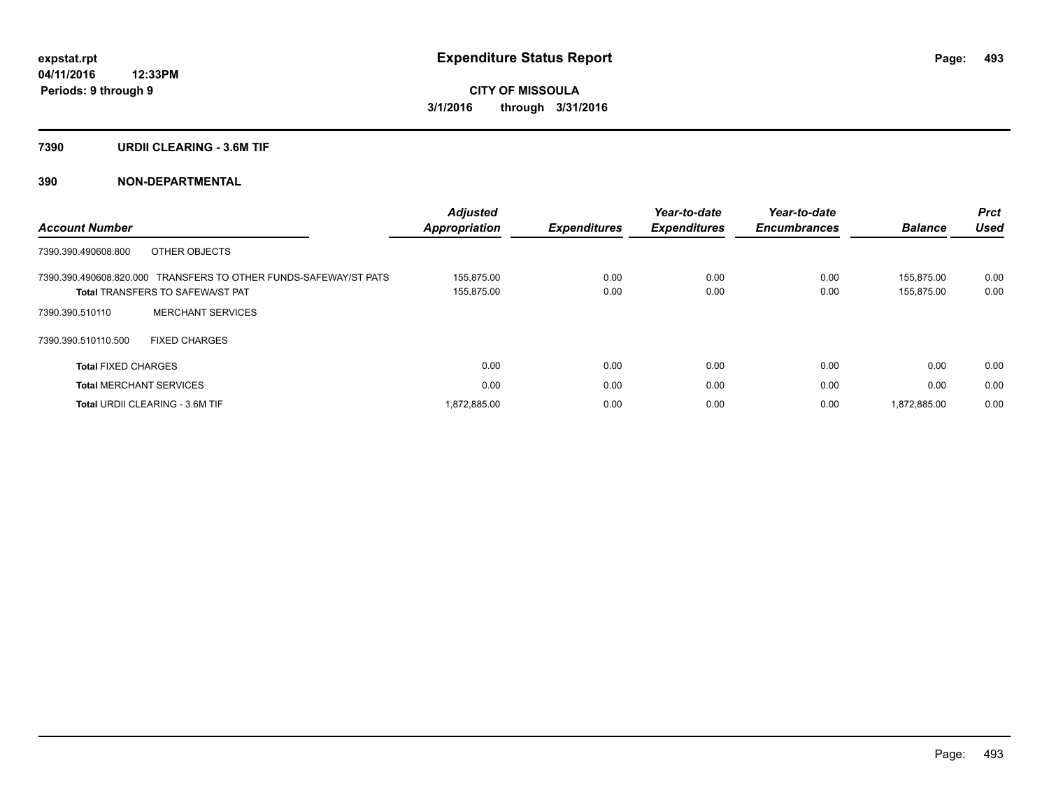#### **7390 URDII CLEARING - 3.6M TIF**

|                                                                  | <b>Adjusted</b> |                     | Year-to-date        | Year-to-date        |                | <b>Prct</b> |
|------------------------------------------------------------------|-----------------|---------------------|---------------------|---------------------|----------------|-------------|
| <b>Account Number</b>                                            | Appropriation   | <b>Expenditures</b> | <b>Expenditures</b> | <b>Encumbrances</b> | <b>Balance</b> | <b>Used</b> |
| OTHER OBJECTS<br>7390.390.490608.800                             |                 |                     |                     |                     |                |             |
| 7390.390.490608.820.000 TRANSFERS TO OTHER FUNDS-SAFEWAY/ST PATS | 155.875.00      | 0.00                | 0.00                | 0.00                | 155.875.00     | 0.00        |
| <b>Total TRANSFERS TO SAFEWA/ST PAT</b>                          | 155,875.00      | 0.00                | 0.00                | 0.00                | 155,875.00     | 0.00        |
| <b>MERCHANT SERVICES</b><br>7390.390.510110                      |                 |                     |                     |                     |                |             |
| 7390.390.510110.500<br><b>FIXED CHARGES</b>                      |                 |                     |                     |                     |                |             |
| <b>Total FIXED CHARGES</b>                                       | 0.00            | 0.00                | 0.00                | 0.00                | 0.00           | 0.00        |
| <b>Total MERCHANT SERVICES</b>                                   | 0.00            | 0.00                | 0.00                | 0.00                | 0.00           | 0.00        |
| <b>Total URDII CLEARING - 3.6M TIF</b>                           | 872,885.00      | 0.00                | 0.00                | 0.00                | 1.872.885.00   | 0.00        |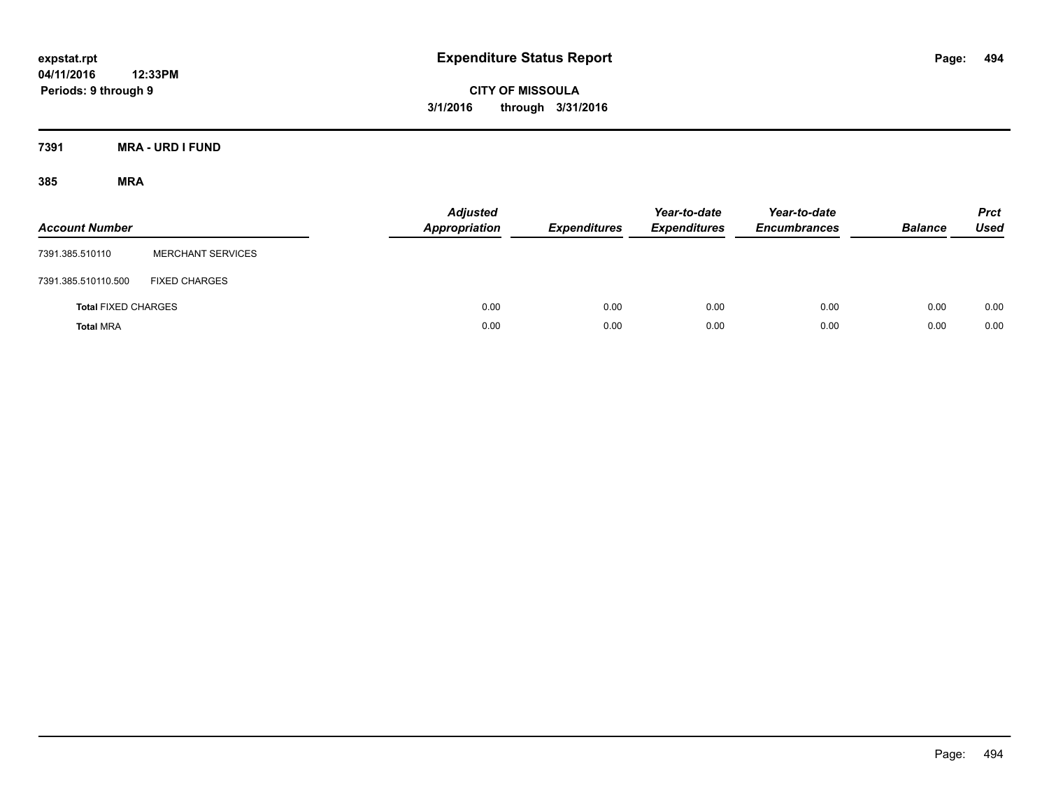**CITY OF MISSOULA 3/1/2016 through 3/31/2016**

**7391 MRA - URD I FUND**

| <b>Account Number</b>      |                          | <b>Adjusted</b><br><b>Appropriation</b> | <b>Expenditures</b> | Year-to-date<br><b>Expenditures</b> | Year-to-date<br><b>Encumbrances</b> | <b>Balance</b> | <b>Prct</b><br><b>Used</b> |
|----------------------------|--------------------------|-----------------------------------------|---------------------|-------------------------------------|-------------------------------------|----------------|----------------------------|
| 7391.385.510110            | <b>MERCHANT SERVICES</b> |                                         |                     |                                     |                                     |                |                            |
| 7391.385.510110.500        | <b>FIXED CHARGES</b>     |                                         |                     |                                     |                                     |                |                            |
| <b>Total FIXED CHARGES</b> |                          | 0.00                                    | 0.00                | 0.00                                | 0.00                                | 0.00           | 0.00                       |
| <b>Total MRA</b>           |                          | 0.00                                    | 0.00                | 0.00                                | 0.00                                | 0.00           | 0.00                       |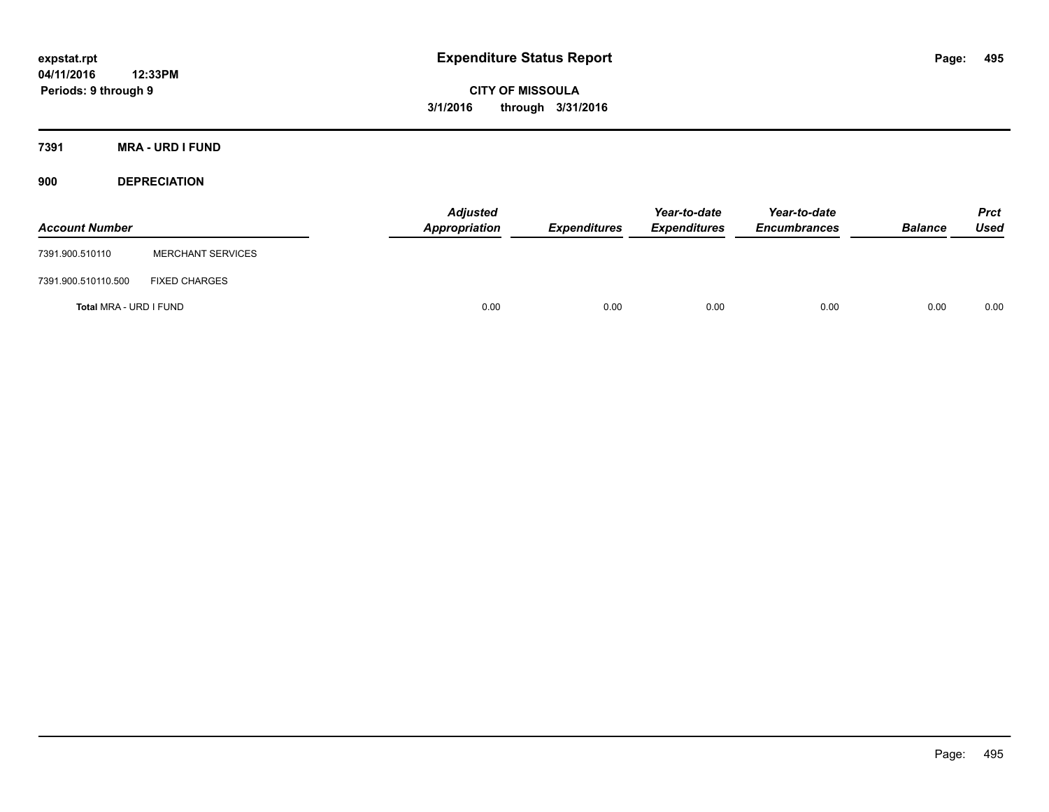**CITY OF MISSOULA 3/1/2016 through 3/31/2016**

**7391 MRA - URD I FUND**

**900 DEPRECIATION**

| <b>Account Number</b>  |                          | <b>Adjusted</b><br><b>Appropriation</b> | <b>Expenditures</b> | Year-to-date<br><b>Expenditures</b> | Year-to-date<br><b>Encumbrances</b> | <b>Balance</b> | <b>Prct</b><br>Used |
|------------------------|--------------------------|-----------------------------------------|---------------------|-------------------------------------|-------------------------------------|----------------|---------------------|
| 7391.900.510110        | <b>MERCHANT SERVICES</b> |                                         |                     |                                     |                                     |                |                     |
| 7391.900.510110.500    | <b>FIXED CHARGES</b>     |                                         |                     |                                     |                                     |                |                     |
| Total MRA - URD I FUND |                          | 0.00                                    | 0.00                | 0.00                                | 0.00                                | 0.00           | 0.00                |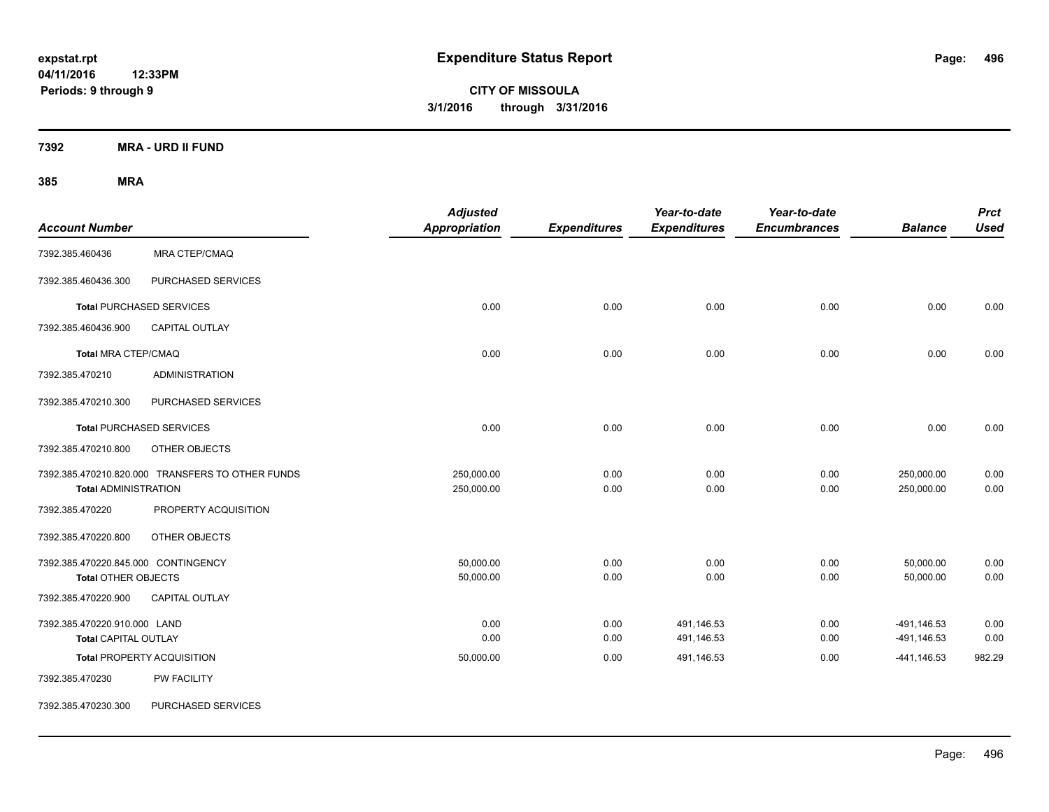**CITY OF MISSOULA 3/1/2016 through 3/31/2016**

**7392 MRA - URD II FUND**

| <b>Account Number</b>                                             |                                                  | <b>Adjusted</b><br><b>Appropriation</b> | <b>Expenditures</b> | Year-to-date<br><b>Expenditures</b> | Year-to-date<br><b>Encumbrances</b> | <b>Balance</b>             | <b>Prct</b><br><b>Used</b> |
|-------------------------------------------------------------------|--------------------------------------------------|-----------------------------------------|---------------------|-------------------------------------|-------------------------------------|----------------------------|----------------------------|
| 7392.385.460436                                                   | <b>MRA CTEP/CMAQ</b>                             |                                         |                     |                                     |                                     |                            |                            |
| 7392.385.460436.300                                               | PURCHASED SERVICES                               |                                         |                     |                                     |                                     |                            |                            |
|                                                                   | <b>Total PURCHASED SERVICES</b>                  | 0.00                                    | 0.00                | 0.00                                | 0.00                                | 0.00                       | 0.00                       |
| 7392.385.460436.900                                               | <b>CAPITAL OUTLAY</b>                            |                                         |                     |                                     |                                     |                            |                            |
| Total MRA CTEP/CMAQ                                               |                                                  | 0.00                                    | 0.00                | 0.00                                | 0.00                                | 0.00                       | 0.00                       |
| 7392.385.470210                                                   | <b>ADMINISTRATION</b>                            |                                         |                     |                                     |                                     |                            |                            |
| 7392.385.470210.300                                               | PURCHASED SERVICES                               |                                         |                     |                                     |                                     |                            |                            |
|                                                                   | <b>Total PURCHASED SERVICES</b>                  | 0.00                                    | 0.00                | 0.00                                | 0.00                                | 0.00                       | 0.00                       |
| 7392.385.470210.800                                               | OTHER OBJECTS                                    |                                         |                     |                                     |                                     |                            |                            |
| <b>Total ADMINISTRATION</b>                                       | 7392.385.470210.820.000 TRANSFERS TO OTHER FUNDS | 250,000.00<br>250,000.00                | 0.00<br>0.00        | 0.00<br>0.00                        | 0.00<br>0.00                        | 250,000.00<br>250,000.00   | 0.00<br>0.00               |
| 7392.385.470220                                                   | PROPERTY ACQUISITION                             |                                         |                     |                                     |                                     |                            |                            |
| 7392.385.470220.800                                               | OTHER OBJECTS                                    |                                         |                     |                                     |                                     |                            |                            |
| 7392.385.470220.845.000 CONTINGENCY<br><b>Total OTHER OBJECTS</b> |                                                  | 50,000.00<br>50,000.00                  | 0.00<br>0.00        | 0.00<br>0.00                        | 0.00<br>0.00                        | 50,000.00<br>50,000.00     | 0.00<br>0.00               |
| 7392.385.470220.900                                               | <b>CAPITAL OUTLAY</b>                            |                                         |                     |                                     |                                     |                            |                            |
| 7392.385.470220.910.000 LAND<br><b>Total CAPITAL OUTLAY</b>       |                                                  | 0.00<br>0.00                            | 0.00<br>0.00        | 491,146.53<br>491,146.53            | 0.00<br>0.00                        | -491,146.53<br>-491,146.53 | 0.00<br>0.00               |
|                                                                   | <b>Total PROPERTY ACQUISITION</b>                | 50,000.00                               | 0.00                | 491,146.53                          | 0.00                                | $-441,146.53$              | 982.29                     |
| 7392.385.470230                                                   | PW FACILITY                                      |                                         |                     |                                     |                                     |                            |                            |
| 7392.385.470230.300                                               | PURCHASED SERVICES                               |                                         |                     |                                     |                                     |                            |                            |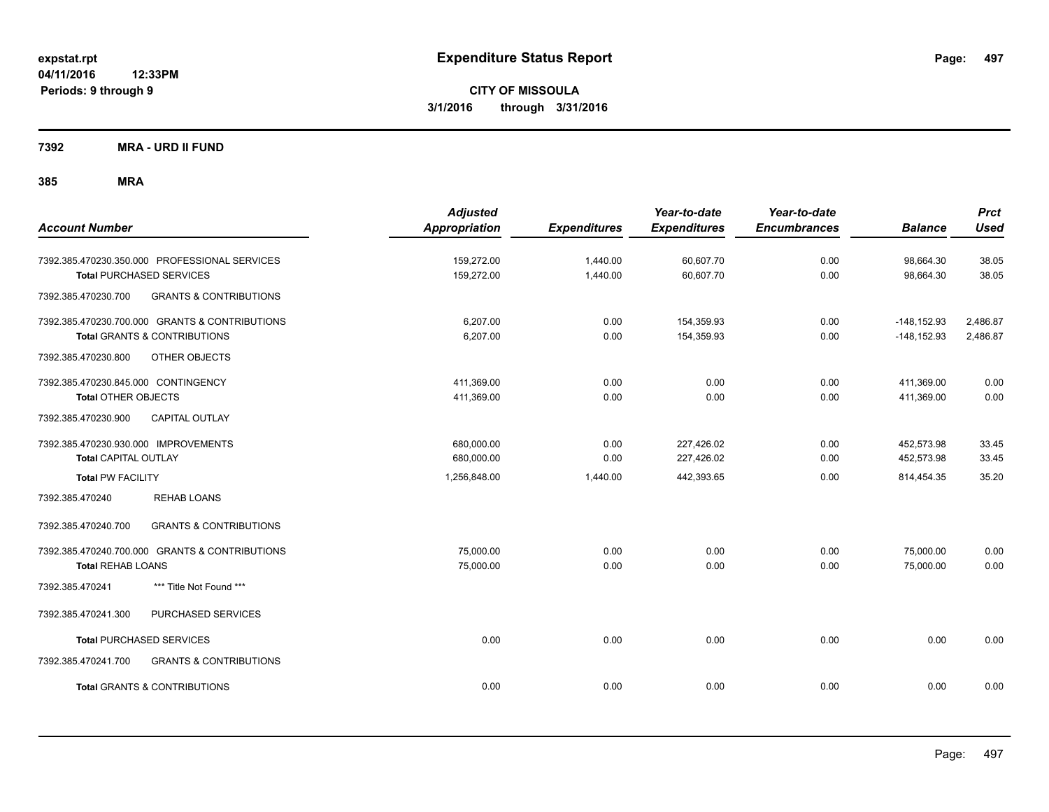**Periods: 9 through 9**

**CITY OF MISSOULA 3/1/2016 through 3/31/2016**

**7392 MRA - URD II FUND**

| <b>Account Number</b>                                                                                             | <b>Adjusted</b><br><b>Appropriation</b> | <b>Expenditures</b>  | Year-to-date<br><b>Expenditures</b> | Year-to-date<br><b>Encumbrances</b> | <b>Balance</b>                   | <b>Prct</b><br><b>Used</b> |
|-------------------------------------------------------------------------------------------------------------------|-----------------------------------------|----------------------|-------------------------------------|-------------------------------------|----------------------------------|----------------------------|
| 7392.385.470230.350.000 PROFESSIONAL SERVICES<br><b>Total PURCHASED SERVICES</b>                                  | 159,272.00<br>159,272.00                | 1,440.00<br>1,440.00 | 60,607.70<br>60,607.70              | 0.00<br>0.00                        | 98,664.30<br>98,664.30           | 38.05<br>38.05             |
| 7392.385.470230.700<br><b>GRANTS &amp; CONTRIBUTIONS</b>                                                          |                                         |                      |                                     |                                     |                                  |                            |
| 7392.385.470230.700.000 GRANTS & CONTRIBUTIONS<br><b>Total GRANTS &amp; CONTRIBUTIONS</b>                         | 6,207.00<br>6,207.00                    | 0.00<br>0.00         | 154,359.93<br>154,359.93            | 0.00<br>0.00                        | $-148, 152.93$<br>$-148, 152.93$ | 2,486.87<br>2,486.87       |
| 7392.385.470230.800<br>OTHER OBJECTS                                                                              |                                         |                      |                                     |                                     |                                  |                            |
| 7392.385.470230.845.000 CONTINGENCY<br><b>Total OTHER OBJECTS</b><br>7392.385.470230.900<br><b>CAPITAL OUTLAY</b> | 411,369.00<br>411,369.00                | 0.00<br>0.00         | 0.00<br>0.00                        | 0.00<br>0.00                        | 411,369.00<br>411,369.00         | 0.00<br>0.00               |
| 7392.385.470230.930.000 IMPROVEMENTS<br><b>Total CAPITAL OUTLAY</b>                                               | 680,000.00<br>680,000.00                | 0.00<br>0.00         | 227,426.02<br>227,426.02            | 0.00<br>0.00                        | 452,573.98<br>452,573.98         | 33.45<br>33.45             |
| <b>Total PW FACILITY</b>                                                                                          | 1,256,848.00                            | 1,440.00             | 442,393.65                          | 0.00                                | 814,454.35                       | 35.20                      |
| <b>REHAB LOANS</b><br>7392.385.470240                                                                             |                                         |                      |                                     |                                     |                                  |                            |
| 7392.385.470240.700<br><b>GRANTS &amp; CONTRIBUTIONS</b>                                                          |                                         |                      |                                     |                                     |                                  |                            |
| 7392.385.470240.700.000 GRANTS & CONTRIBUTIONS<br><b>Total REHAB LOANS</b>                                        | 75,000.00<br>75,000.00                  | 0.00<br>0.00         | 0.00<br>0.00                        | 0.00<br>0.00                        | 75,000.00<br>75,000.00           | 0.00<br>0.00               |
| *** Title Not Found ***<br>7392.385.470241                                                                        |                                         |                      |                                     |                                     |                                  |                            |
| 7392.385.470241.300<br>PURCHASED SERVICES                                                                         |                                         |                      |                                     |                                     |                                  |                            |
| <b>Total PURCHASED SERVICES</b>                                                                                   | 0.00                                    | 0.00                 | 0.00                                | 0.00                                | 0.00                             | 0.00                       |
| 7392.385.470241.700<br><b>GRANTS &amp; CONTRIBUTIONS</b>                                                          |                                         |                      |                                     |                                     |                                  |                            |
| <b>Total GRANTS &amp; CONTRIBUTIONS</b>                                                                           | 0.00                                    | 0.00                 | 0.00                                | 0.00                                | 0.00                             | 0.00                       |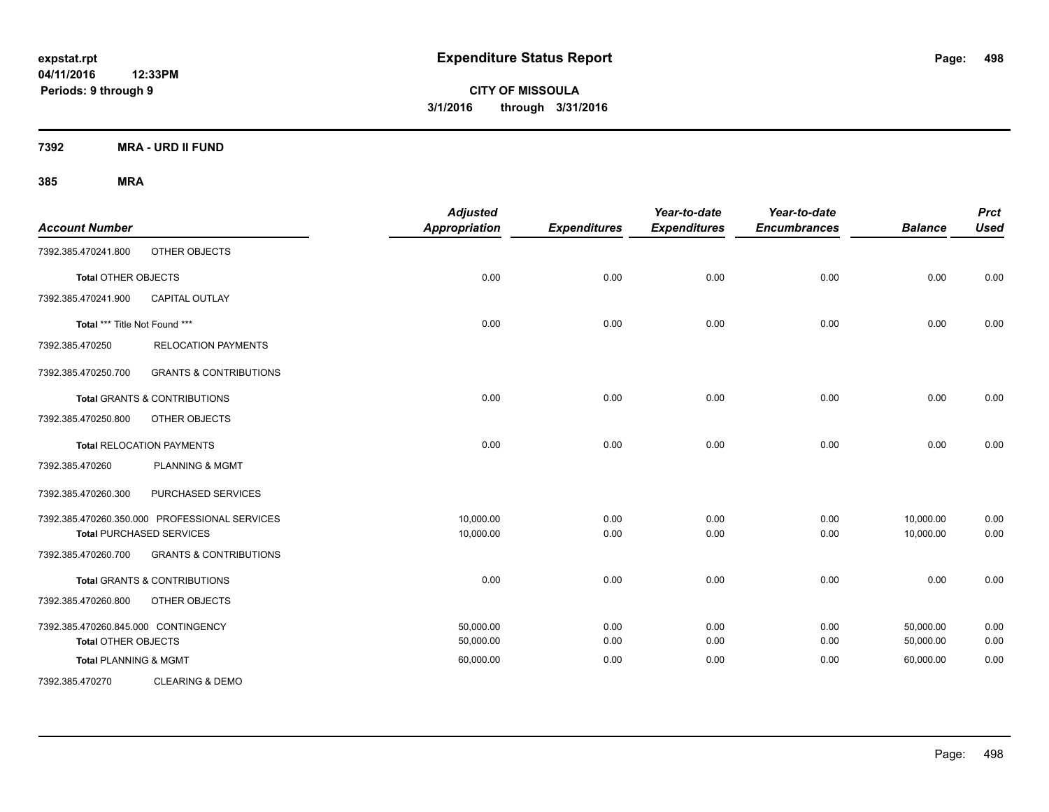**CITY OF MISSOULA 3/1/2016 through 3/31/2016**

**7392 MRA - URD II FUND**

| <b>Account Number</b>               |                                               | <b>Adjusted</b><br>Appropriation | <b>Expenditures</b> | Year-to-date<br><b>Expenditures</b> | Year-to-date<br><b>Encumbrances</b> | <b>Balance</b> | <b>Prct</b><br><b>Used</b> |
|-------------------------------------|-----------------------------------------------|----------------------------------|---------------------|-------------------------------------|-------------------------------------|----------------|----------------------------|
| 7392.385.470241.800                 | OTHER OBJECTS                                 |                                  |                     |                                     |                                     |                |                            |
| Total OTHER OBJECTS                 |                                               | 0.00                             | 0.00                | 0.00                                | 0.00                                | 0.00           | 0.00                       |
| 7392.385.470241.900                 | <b>CAPITAL OUTLAY</b>                         |                                  |                     |                                     |                                     |                |                            |
| Total *** Title Not Found ***       |                                               | 0.00                             | 0.00                | 0.00                                | 0.00                                | 0.00           | 0.00                       |
| 7392.385.470250                     | <b>RELOCATION PAYMENTS</b>                    |                                  |                     |                                     |                                     |                |                            |
| 7392.385.470250.700                 | <b>GRANTS &amp; CONTRIBUTIONS</b>             |                                  |                     |                                     |                                     |                |                            |
|                                     | <b>Total GRANTS &amp; CONTRIBUTIONS</b>       | 0.00                             | 0.00                | 0.00                                | 0.00                                | 0.00           | 0.00                       |
| 7392.385.470250.800                 | OTHER OBJECTS                                 |                                  |                     |                                     |                                     |                |                            |
|                                     | <b>Total RELOCATION PAYMENTS</b>              | 0.00                             | 0.00                | 0.00                                | 0.00                                | 0.00           | 0.00                       |
| 7392.385.470260                     | <b>PLANNING &amp; MGMT</b>                    |                                  |                     |                                     |                                     |                |                            |
| 7392.385.470260.300                 | PURCHASED SERVICES                            |                                  |                     |                                     |                                     |                |                            |
|                                     | 7392.385.470260.350.000 PROFESSIONAL SERVICES | 10,000.00                        | 0.00                | 0.00                                | 0.00                                | 10,000.00      | 0.00                       |
|                                     | <b>Total PURCHASED SERVICES</b>               | 10,000.00                        | 0.00                | 0.00                                | 0.00                                | 10,000.00      | 0.00                       |
| 7392.385.470260.700                 | <b>GRANTS &amp; CONTRIBUTIONS</b>             |                                  |                     |                                     |                                     |                |                            |
|                                     | <b>Total GRANTS &amp; CONTRIBUTIONS</b>       | 0.00                             | 0.00                | 0.00                                | 0.00                                | 0.00           | 0.00                       |
| 7392.385.470260.800                 | OTHER OBJECTS                                 |                                  |                     |                                     |                                     |                |                            |
| 7392.385.470260.845.000 CONTINGENCY |                                               | 50,000.00                        | 0.00                | 0.00                                | 0.00                                | 50,000.00      | 0.00                       |
| <b>Total OTHER OBJECTS</b>          |                                               | 50,000.00                        | 0.00                | 0.00                                | 0.00                                | 50,000.00      | 0.00                       |
| <b>Total PLANNING &amp; MGMT</b>    |                                               | 60,000.00                        | 0.00                | 0.00                                | 0.00                                | 60,000.00      | 0.00                       |
| 7392.385.470270                     | <b>CLEARING &amp; DEMO</b>                    |                                  |                     |                                     |                                     |                |                            |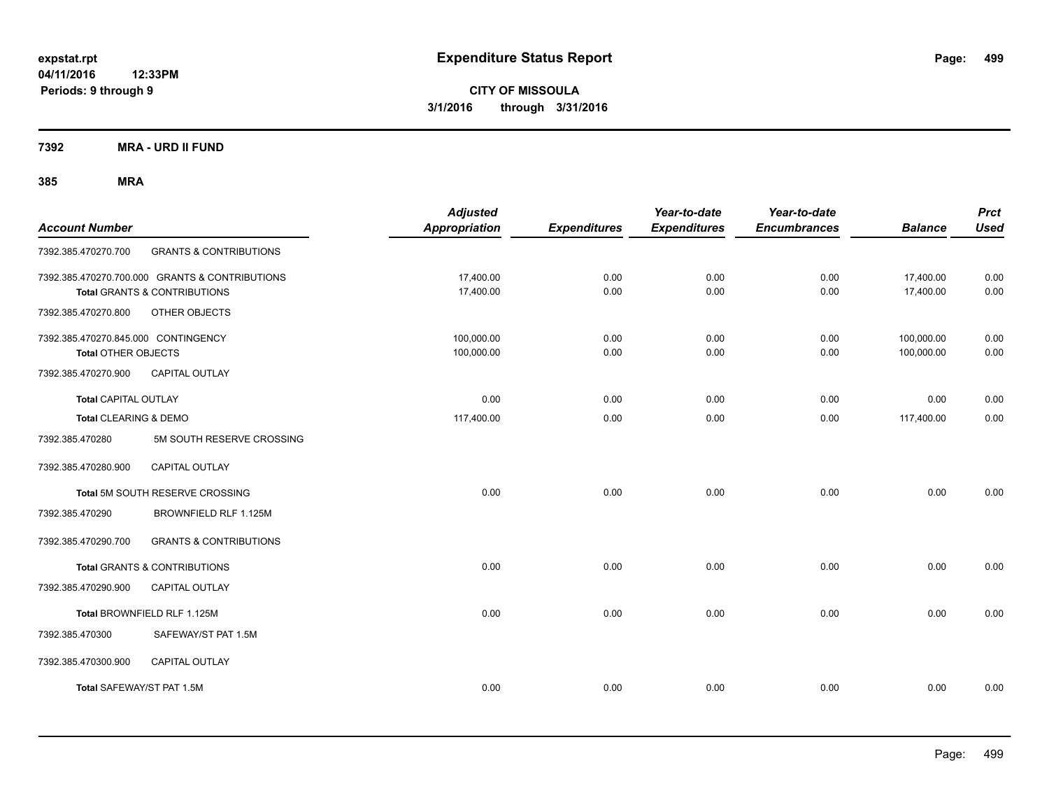**CITY OF MISSOULA 3/1/2016 through 3/31/2016**

**7392 MRA - URD II FUND**

| <b>Account Number</b>                                             |                                                                                           | <b>Adjusted</b><br>Appropriation | <b>Expenditures</b> | Year-to-date<br><b>Expenditures</b> | Year-to-date<br><b>Encumbrances</b> | <b>Balance</b>           | <b>Prct</b><br><b>Used</b> |
|-------------------------------------------------------------------|-------------------------------------------------------------------------------------------|----------------------------------|---------------------|-------------------------------------|-------------------------------------|--------------------------|----------------------------|
| 7392.385.470270.700                                               | <b>GRANTS &amp; CONTRIBUTIONS</b>                                                         |                                  |                     |                                     |                                     |                          |                            |
|                                                                   | 7392.385.470270.700.000 GRANTS & CONTRIBUTIONS<br><b>Total GRANTS &amp; CONTRIBUTIONS</b> | 17,400.00<br>17,400.00           | 0.00<br>0.00        | 0.00<br>0.00                        | 0.00<br>0.00                        | 17,400.00<br>17,400.00   | 0.00<br>0.00               |
| 7392.385.470270.800                                               | OTHER OBJECTS                                                                             |                                  |                     |                                     |                                     |                          |                            |
| 7392.385.470270.845.000 CONTINGENCY<br><b>Total OTHER OBJECTS</b> |                                                                                           | 100,000.00<br>100,000.00         | 0.00<br>0.00        | 0.00<br>0.00                        | 0.00<br>0.00                        | 100,000.00<br>100,000.00 | 0.00<br>0.00               |
| 7392.385.470270.900                                               | <b>CAPITAL OUTLAY</b>                                                                     |                                  |                     |                                     |                                     |                          |                            |
| <b>Total CAPITAL OUTLAY</b>                                       |                                                                                           | 0.00                             | 0.00                | 0.00                                | 0.00                                | 0.00                     | 0.00                       |
| Total CLEARING & DEMO                                             |                                                                                           | 117,400.00                       | 0.00                | 0.00                                | 0.00                                | 117,400.00               | 0.00                       |
| 7392.385.470280                                                   | 5M SOUTH RESERVE CROSSING                                                                 |                                  |                     |                                     |                                     |                          |                            |
| 7392.385.470280.900                                               | <b>CAPITAL OUTLAY</b>                                                                     |                                  |                     |                                     |                                     |                          |                            |
|                                                                   | Total 5M SOUTH RESERVE CROSSING                                                           | 0.00                             | 0.00                | 0.00                                | 0.00                                | 0.00                     | 0.00                       |
| 7392.385.470290                                                   | BROWNFIELD RLF 1.125M                                                                     |                                  |                     |                                     |                                     |                          |                            |
| 7392.385.470290.700                                               | <b>GRANTS &amp; CONTRIBUTIONS</b>                                                         |                                  |                     |                                     |                                     |                          |                            |
|                                                                   | <b>Total GRANTS &amp; CONTRIBUTIONS</b>                                                   | 0.00                             | 0.00                | 0.00                                | 0.00                                | 0.00                     | 0.00                       |
| 7392.385.470290.900                                               | <b>CAPITAL OUTLAY</b>                                                                     |                                  |                     |                                     |                                     |                          |                            |
|                                                                   | Total BROWNFIELD RLF 1.125M                                                               | 0.00                             | 0.00                | 0.00                                | 0.00                                | 0.00                     | 0.00                       |
| 7392.385.470300                                                   | SAFEWAY/ST PAT 1.5M                                                                       |                                  |                     |                                     |                                     |                          |                            |
| 7392.385.470300.900                                               | <b>CAPITAL OUTLAY</b>                                                                     |                                  |                     |                                     |                                     |                          |                            |
| Total SAFEWAY/ST PAT 1.5M                                         |                                                                                           | 0.00                             | 0.00                | 0.00                                | 0.00                                | 0.00                     | 0.00                       |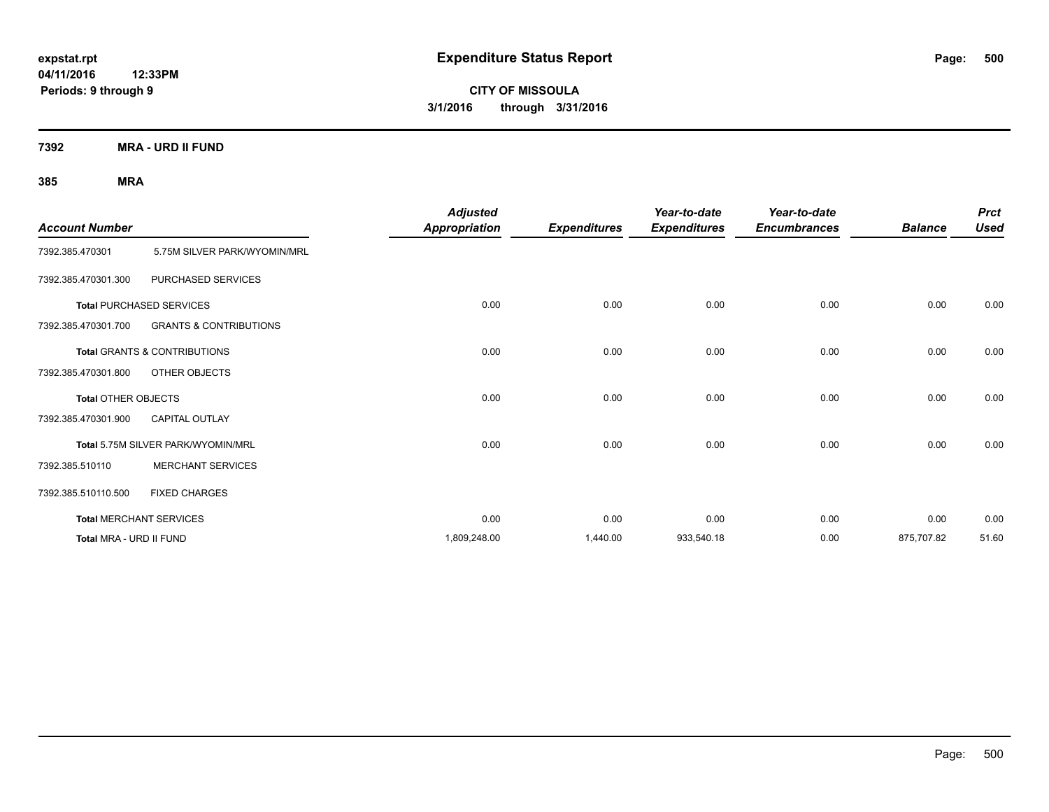**CITY OF MISSOULA 3/1/2016 through 3/31/2016**

**7392 MRA - URD II FUND**

| <b>Account Number</b>      |                                         | <b>Adjusted</b><br><b>Appropriation</b> | <b>Expenditures</b> | Year-to-date<br><b>Expenditures</b> | Year-to-date<br><b>Encumbrances</b> | <b>Balance</b> | <b>Prct</b><br><b>Used</b> |
|----------------------------|-----------------------------------------|-----------------------------------------|---------------------|-------------------------------------|-------------------------------------|----------------|----------------------------|
| 7392.385.470301            | 5.75M SILVER PARK/WYOMIN/MRL            |                                         |                     |                                     |                                     |                |                            |
| 7392.385.470301.300        | PURCHASED SERVICES                      |                                         |                     |                                     |                                     |                |                            |
|                            | <b>Total PURCHASED SERVICES</b>         | 0.00                                    | 0.00                | 0.00                                | 0.00                                | 0.00           | 0.00                       |
| 7392.385.470301.700        | <b>GRANTS &amp; CONTRIBUTIONS</b>       |                                         |                     |                                     |                                     |                |                            |
|                            | <b>Total GRANTS &amp; CONTRIBUTIONS</b> | 0.00                                    | 0.00                | 0.00                                | 0.00                                | 0.00           | 0.00                       |
| 7392.385.470301.800        | OTHER OBJECTS                           |                                         |                     |                                     |                                     |                |                            |
| <b>Total OTHER OBJECTS</b> |                                         | 0.00                                    | 0.00                | 0.00                                | 0.00                                | 0.00           | 0.00                       |
| 7392.385.470301.900        | <b>CAPITAL OUTLAY</b>                   |                                         |                     |                                     |                                     |                |                            |
|                            | Total 5.75M SILVER PARK/WYOMIN/MRL      | 0.00                                    | 0.00                | 0.00                                | 0.00                                | 0.00           | 0.00                       |
| 7392.385.510110            | <b>MERCHANT SERVICES</b>                |                                         |                     |                                     |                                     |                |                            |
| 7392.385.510110.500        | <b>FIXED CHARGES</b>                    |                                         |                     |                                     |                                     |                |                            |
|                            | <b>Total MERCHANT SERVICES</b>          | 0.00                                    | 0.00                | 0.00                                | 0.00                                | 0.00           | 0.00                       |
| Total MRA - URD II FUND    |                                         | 1,809,248.00                            | 1,440.00            | 933,540.18                          | 0.00                                | 875,707.82     | 51.60                      |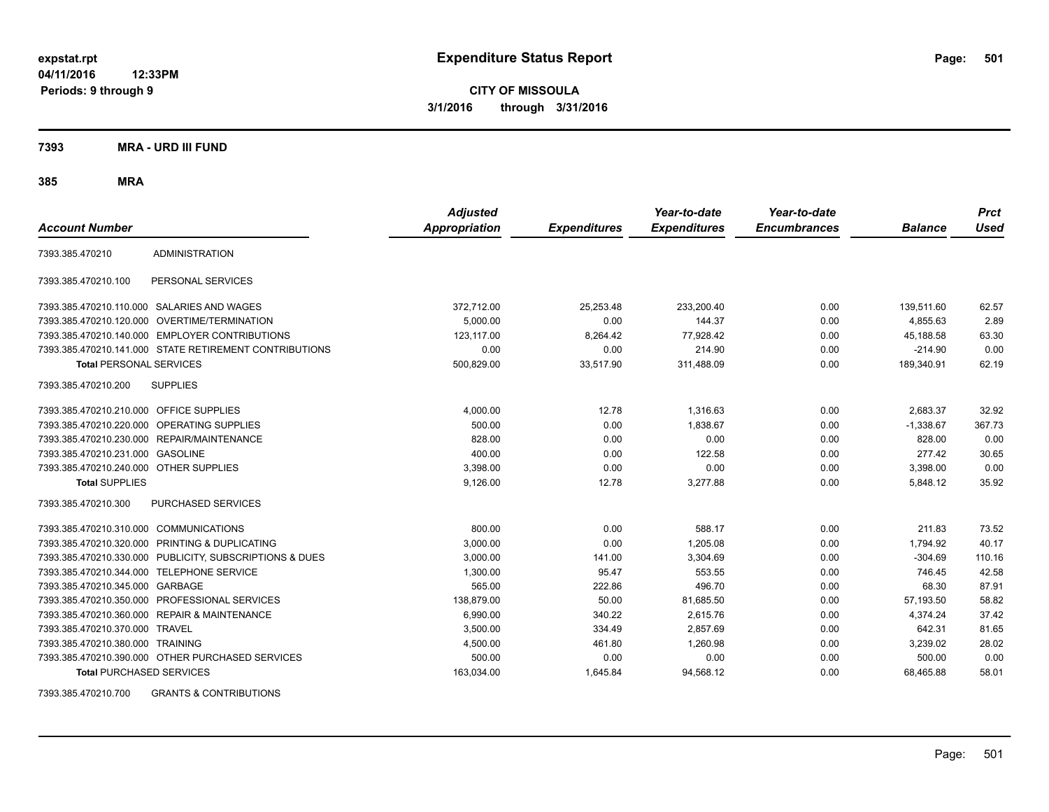**CITY OF MISSOULA 3/1/2016 through 3/31/2016**

**7393 MRA - URD III FUND**

**385 MRA**

| <b>Account Number</b>                   |                                                         | <b>Adjusted</b><br><b>Appropriation</b> | <b>Expenditures</b> | Year-to-date<br><b>Expenditures</b> | Year-to-date<br><b>Encumbrances</b> | <b>Balance</b> | <b>Prct</b><br>Used |
|-----------------------------------------|---------------------------------------------------------|-----------------------------------------|---------------------|-------------------------------------|-------------------------------------|----------------|---------------------|
| 7393.385.470210                         | <b>ADMINISTRATION</b>                                   |                                         |                     |                                     |                                     |                |                     |
| 7393.385.470210.100                     | PERSONAL SERVICES                                       |                                         |                     |                                     |                                     |                |                     |
|                                         | 7393.385.470210.110.000 SALARIES AND WAGES              | 372,712.00                              | 25,253.48           | 233,200.40                          | 0.00                                | 139,511.60     | 62.57               |
|                                         | 7393.385.470210.120.000 OVERTIME/TERMINATION            | 5.000.00                                | 0.00                | 144.37                              | 0.00                                | 4.855.63       | 2.89                |
|                                         | 7393.385.470210.140.000 EMPLOYER CONTRIBUTIONS          | 123,117.00                              | 8,264.42            | 77,928.42                           | 0.00                                | 45,188.58      | 63.30               |
|                                         | 7393.385.470210.141.000 STATE RETIREMENT CONTRIBUTIONS  | 0.00                                    | 0.00                | 214.90                              | 0.00                                | $-214.90$      | 0.00                |
| <b>Total PERSONAL SERVICES</b>          |                                                         | 500,829.00                              | 33,517.90           | 311,488.09                          | 0.00                                | 189,340.91     | 62.19               |
| 7393.385.470210.200                     | <b>SUPPLIES</b>                                         |                                         |                     |                                     |                                     |                |                     |
| 7393.385.470210.210.000 OFFICE SUPPLIES |                                                         | 4,000.00                                | 12.78               | 1,316.63                            | 0.00                                | 2,683.37       | 32.92               |
| 7393.385.470210.220.000                 | <b>OPERATING SUPPLIES</b>                               | 500.00                                  | 0.00                | 1,838.67                            | 0.00                                | $-1,338.67$    | 367.73              |
| 7393.385.470210.230.000                 | REPAIR/MAINTENANCE                                      | 828.00                                  | 0.00                | 0.00                                | 0.00                                | 828.00         | 0.00                |
| 7393.385.470210.231.000                 | <b>GASOLINE</b>                                         | 400.00                                  | 0.00                | 122.58                              | 0.00                                | 277.42         | 30.65               |
| 7393.385.470210.240.000 OTHER SUPPLIES  |                                                         | 3,398.00                                | 0.00                | 0.00                                | 0.00                                | 3,398.00       | 0.00                |
| <b>Total SUPPLIES</b>                   |                                                         | 9,126.00                                | 12.78               | 3,277.88                            | 0.00                                | 5,848.12       | 35.92               |
| 7393.385.470210.300                     | PURCHASED SERVICES                                      |                                         |                     |                                     |                                     |                |                     |
| 7393.385.470210.310.000                 | <b>COMMUNICATIONS</b>                                   | 800.00                                  | 0.00                | 588.17                              | 0.00                                | 211.83         | 73.52               |
| 7393.385.470210.320.000                 | PRINTING & DUPLICATING                                  | 3,000.00                                | 0.00                | 1,205.08                            | 0.00                                | 1,794.92       | 40.17               |
|                                         | 7393.385.470210.330.000 PUBLICITY, SUBSCRIPTIONS & DUES | 3,000.00                                | 141.00              | 3,304.69                            | 0.00                                | $-304.69$      | 110.16              |
| 7393.385.470210.344.000                 | TELEPHONE SERVICE                                       | 1,300.00                                | 95.47               | 553.55                              | 0.00                                | 746.45         | 42.58               |
| 7393.385.470210.345.000 GARBAGE         |                                                         | 565.00                                  | 222.86              | 496.70                              | 0.00                                | 68.30          | 87.91               |
| 7393.385.470210.350.000                 | PROFESSIONAL SERVICES                                   | 138.879.00                              | 50.00               | 81,685.50                           | 0.00                                | 57,193.50      | 58.82               |
| 7393.385.470210.360.000                 | <b>REPAIR &amp; MAINTENANCE</b>                         | 6,990.00                                | 340.22              | 2,615.76                            | 0.00                                | 4,374.24       | 37.42               |
| 7393.385.470210.370.000                 | <b>TRAVEL</b>                                           | 3,500.00                                | 334.49              | 2,857.69                            | 0.00                                | 642.31         | 81.65               |
| 7393.385.470210.380.000                 | <b>TRAINING</b>                                         | 4,500.00                                | 461.80              | 1,260.98                            | 0.00                                | 3,239.02       | 28.02               |
|                                         | 7393.385.470210.390.000 OTHER PURCHASED SERVICES        | 500.00                                  | 0.00                | 0.00                                | 0.00                                | 500.00         | 0.00                |
| <b>Total PURCHASED SERVICES</b>         |                                                         | 163,034.00                              | 1,645.84            | 94,568.12                           | 0.00                                | 68,465.88      | 58.01               |

7393.385.470210.700 GRANTS & CONTRIBUTIONS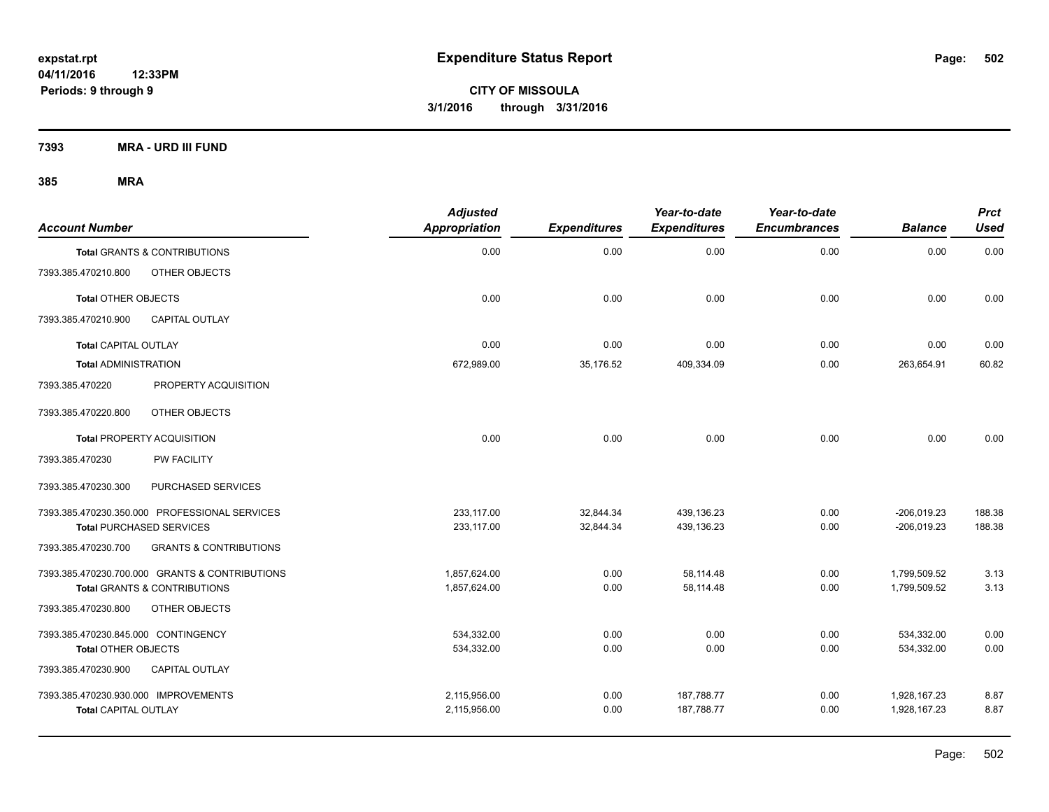**7393 MRA - URD III FUND**

| <b>Account Number</b>                |                                                | <b>Adjusted</b><br>Appropriation | <b>Expenditures</b> | Year-to-date<br><b>Expenditures</b> | Year-to-date<br><b>Encumbrances</b> | <b>Balance</b> | <b>Prct</b><br>Used |
|--------------------------------------|------------------------------------------------|----------------------------------|---------------------|-------------------------------------|-------------------------------------|----------------|---------------------|
|                                      | <b>Total GRANTS &amp; CONTRIBUTIONS</b>        | 0.00                             | 0.00                | 0.00                                | 0.00                                | 0.00           | 0.00                |
| 7393.385.470210.800                  | OTHER OBJECTS                                  |                                  |                     |                                     |                                     |                |                     |
| <b>Total OTHER OBJECTS</b>           |                                                | 0.00                             | 0.00                | 0.00                                | 0.00                                | 0.00           | 0.00                |
| 7393.385.470210.900                  | <b>CAPITAL OUTLAY</b>                          |                                  |                     |                                     |                                     |                |                     |
| <b>Total CAPITAL OUTLAY</b>          |                                                | 0.00                             | 0.00                | 0.00                                | 0.00                                | 0.00           | 0.00                |
| <b>Total ADMINISTRATION</b>          |                                                | 672,989.00                       | 35,176.52           | 409,334.09                          | 0.00                                | 263,654.91     | 60.82               |
| 7393.385.470220                      | PROPERTY ACQUISITION                           |                                  |                     |                                     |                                     |                |                     |
| 7393.385.470220.800                  | OTHER OBJECTS                                  |                                  |                     |                                     |                                     |                |                     |
|                                      | <b>Total PROPERTY ACQUISITION</b>              | 0.00                             | 0.00                | 0.00                                | 0.00                                | 0.00           | 0.00                |
| 7393.385.470230                      | <b>PW FACILITY</b>                             |                                  |                     |                                     |                                     |                |                     |
| 7393.385.470230.300                  | PURCHASED SERVICES                             |                                  |                     |                                     |                                     |                |                     |
|                                      | 7393.385.470230.350.000 PROFESSIONAL SERVICES  | 233.117.00                       | 32,844.34           | 439.136.23                          | 0.00                                | $-206,019.23$  | 188.38              |
|                                      | <b>Total PURCHASED SERVICES</b>                | 233,117.00                       | 32,844.34           | 439,136.23                          | 0.00                                | $-206,019.23$  | 188.38              |
| 7393.385.470230.700                  | <b>GRANTS &amp; CONTRIBUTIONS</b>              |                                  |                     |                                     |                                     |                |                     |
|                                      | 7393.385.470230.700.000 GRANTS & CONTRIBUTIONS | 1,857,624.00                     | 0.00                | 58,114.48                           | 0.00                                | 1,799,509.52   | 3.13                |
|                                      | <b>Total GRANTS &amp; CONTRIBUTIONS</b>        | 1,857,624.00                     | 0.00                | 58,114.48                           | 0.00                                | 1,799,509.52   | 3.13                |
| 7393.385.470230.800                  | OTHER OBJECTS                                  |                                  |                     |                                     |                                     |                |                     |
| 7393.385.470230.845.000 CONTINGENCY  |                                                | 534,332.00                       | 0.00                | 0.00                                | 0.00                                | 534,332.00     | 0.00                |
| <b>Total OTHER OBJECTS</b>           |                                                | 534,332.00                       | 0.00                | 0.00                                | 0.00                                | 534,332.00     | 0.00                |
| 7393.385.470230.900                  | <b>CAPITAL OUTLAY</b>                          |                                  |                     |                                     |                                     |                |                     |
| 7393.385.470230.930.000 IMPROVEMENTS |                                                | 2,115,956.00                     | 0.00                | 187,788.77                          | 0.00                                | 1,928,167.23   | 8.87                |
| <b>Total CAPITAL OUTLAY</b>          |                                                | 2,115,956.00                     | 0.00                | 187,788.77                          | 0.00                                | 1,928,167.23   | 8.87                |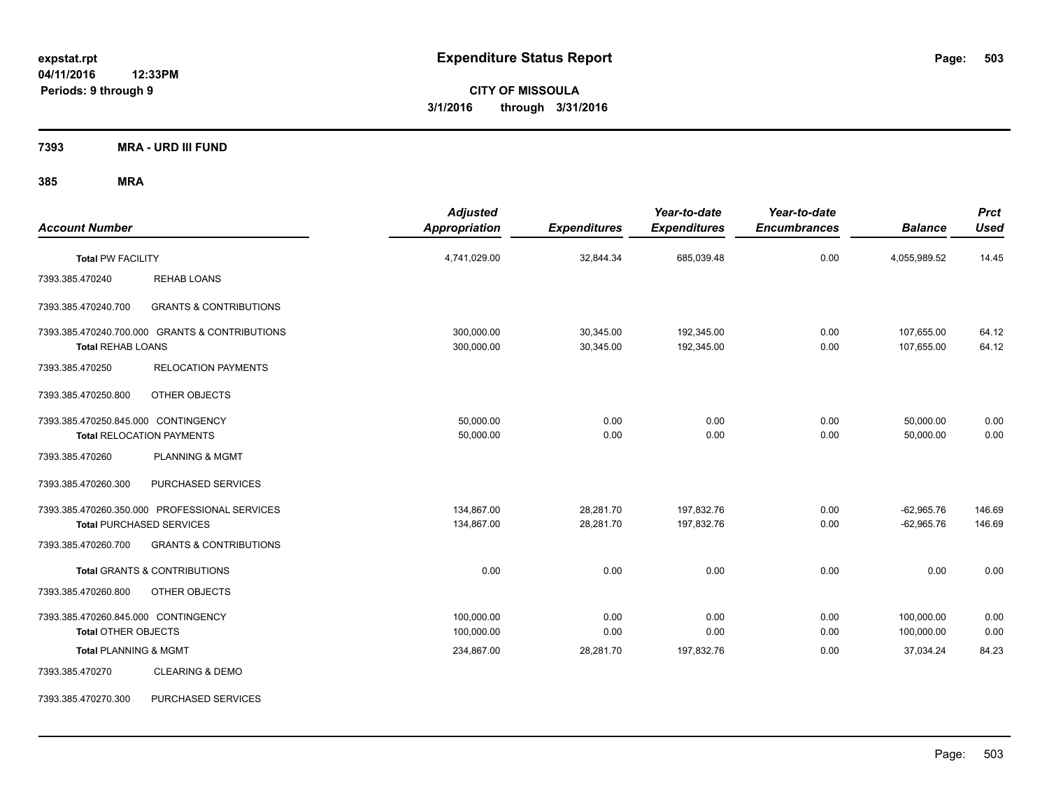**CITY OF MISSOULA 3/1/2016 through 3/31/2016**

**7393 MRA - URD III FUND**

| <b>Account Number</b>                                             |                                                                                  | <b>Adjusted</b><br><b>Appropriation</b> | <b>Expenditures</b>    | Year-to-date<br><b>Expenditures</b> | Year-to-date<br><b>Encumbrances</b> | <b>Balance</b>               | <b>Prct</b><br><b>Used</b> |
|-------------------------------------------------------------------|----------------------------------------------------------------------------------|-----------------------------------------|------------------------|-------------------------------------|-------------------------------------|------------------------------|----------------------------|
| <b>Total PW FACILITY</b>                                          |                                                                                  | 4,741,029.00                            | 32,844.34              | 685,039.48                          | 0.00                                | 4,055,989.52                 | 14.45                      |
| 7393.385.470240                                                   | <b>REHAB LOANS</b>                                                               |                                         |                        |                                     |                                     |                              |                            |
| 7393.385.470240.700                                               | <b>GRANTS &amp; CONTRIBUTIONS</b>                                                |                                         |                        |                                     |                                     |                              |                            |
| <b>Total REHAB LOANS</b>                                          | 7393.385.470240.700.000 GRANTS & CONTRIBUTIONS                                   | 300,000.00<br>300,000.00                | 30,345.00<br>30,345.00 | 192,345.00<br>192,345.00            | 0.00<br>0.00                        | 107,655.00<br>107,655.00     | 64.12<br>64.12             |
| 7393.385.470250                                                   | <b>RELOCATION PAYMENTS</b>                                                       |                                         |                        |                                     |                                     |                              |                            |
| 7393.385.470250.800                                               | OTHER OBJECTS                                                                    |                                         |                        |                                     |                                     |                              |                            |
| 7393.385.470250.845.000 CONTINGENCY                               | <b>Total RELOCATION PAYMENTS</b>                                                 | 50,000.00<br>50,000.00                  | 0.00<br>0.00           | 0.00<br>0.00                        | 0.00<br>0.00                        | 50,000.00<br>50,000.00       | 0.00<br>0.00               |
| 7393.385.470260                                                   | <b>PLANNING &amp; MGMT</b>                                                       |                                         |                        |                                     |                                     |                              |                            |
| 7393.385.470260.300                                               | PURCHASED SERVICES                                                               |                                         |                        |                                     |                                     |                              |                            |
|                                                                   | 7393.385.470260.350.000 PROFESSIONAL SERVICES<br><b>Total PURCHASED SERVICES</b> | 134,867.00<br>134,867.00                | 28,281.70<br>28,281.70 | 197,832.76<br>197,832.76            | 0.00<br>0.00                        | $-62,965.76$<br>$-62,965.76$ | 146.69<br>146.69           |
| 7393.385.470260.700                                               | <b>GRANTS &amp; CONTRIBUTIONS</b>                                                |                                         |                        |                                     |                                     |                              |                            |
|                                                                   | <b>Total GRANTS &amp; CONTRIBUTIONS</b>                                          | 0.00                                    | 0.00                   | 0.00                                | 0.00                                | 0.00                         | 0.00                       |
| 7393.385.470260.800                                               | OTHER OBJECTS                                                                    |                                         |                        |                                     |                                     |                              |                            |
| 7393.385.470260.845.000 CONTINGENCY<br><b>Total OTHER OBJECTS</b> |                                                                                  | 100,000.00<br>100,000.00                | 0.00<br>0.00           | 0.00<br>0.00                        | 0.00<br>0.00                        | 100,000.00<br>100,000.00     | 0.00<br>0.00               |
| <b>Total PLANNING &amp; MGMT</b>                                  |                                                                                  | 234,867.00                              | 28,281.70              | 197,832.76                          | 0.00                                | 37,034.24                    | 84.23                      |
| 7393.385.470270                                                   | <b>CLEARING &amp; DEMO</b>                                                       |                                         |                        |                                     |                                     |                              |                            |
| 7393.385.470270.300                                               | PURCHASED SERVICES                                                               |                                         |                        |                                     |                                     |                              |                            |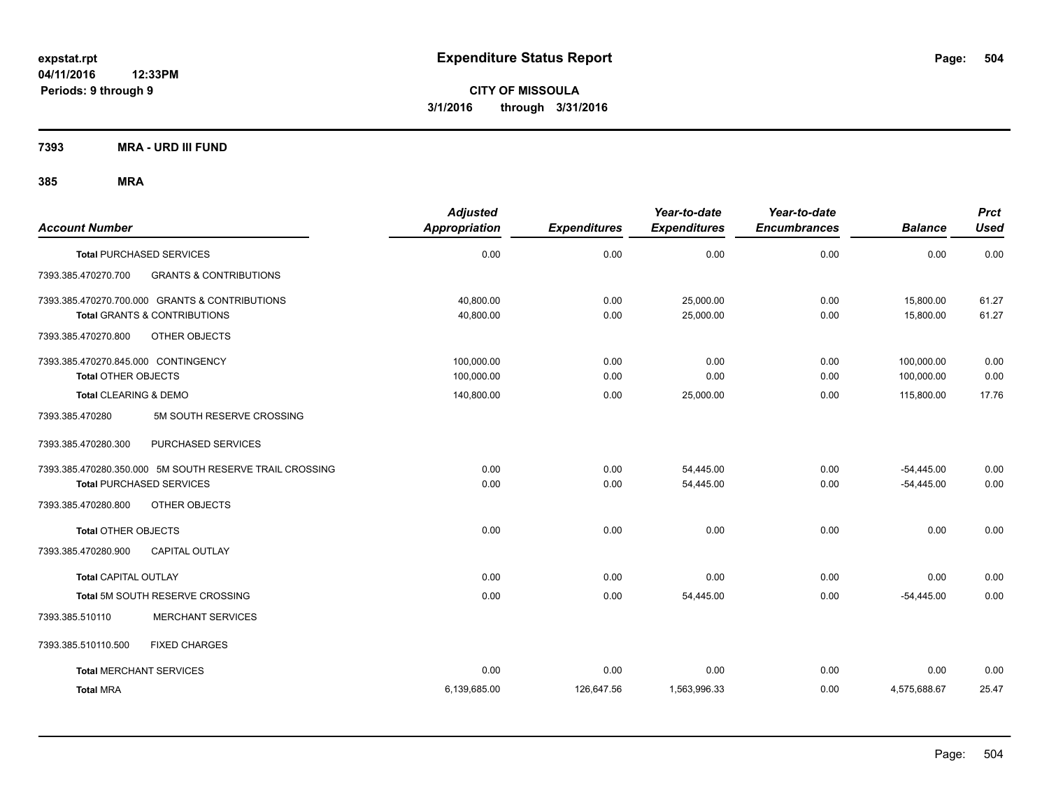**7393 MRA - URD III FUND**

| <b>Account Number</b>                                                                     | <b>Adjusted</b><br>Appropriation | <b>Expenditures</b> | Year-to-date<br><b>Expenditures</b> | Year-to-date<br><b>Encumbrances</b> | <b>Balance</b>           | <b>Prct</b><br><b>Used</b> |
|-------------------------------------------------------------------------------------------|----------------------------------|---------------------|-------------------------------------|-------------------------------------|--------------------------|----------------------------|
| <b>Total PURCHASED SERVICES</b>                                                           | 0.00                             | 0.00                | 0.00                                | 0.00                                | 0.00                     | 0.00                       |
| 7393.385.470270.700<br><b>GRANTS &amp; CONTRIBUTIONS</b>                                  |                                  |                     |                                     |                                     |                          |                            |
| 7393.385.470270.700.000 GRANTS & CONTRIBUTIONS<br><b>Total GRANTS &amp; CONTRIBUTIONS</b> | 40,800.00<br>40,800.00           | 0.00<br>0.00        | 25,000.00<br>25,000.00              | 0.00<br>0.00                        | 15,800.00<br>15,800.00   | 61.27<br>61.27             |
| 7393.385.470270.800<br><b>OTHER OBJECTS</b>                                               |                                  |                     |                                     |                                     |                          |                            |
| 7393.385.470270.845.000 CONTINGENCY<br><b>Total OTHER OBJECTS</b>                         | 100,000.00<br>100,000.00         | 0.00<br>0.00        | 0.00<br>0.00                        | 0.00<br>0.00                        | 100,000.00<br>100,000.00 | 0.00<br>0.00               |
| Total CLEARING & DEMO                                                                     | 140,800.00                       | 0.00                | 25,000.00                           | 0.00                                | 115,800.00               | 17.76                      |
| 5M SOUTH RESERVE CROSSING<br>7393.385.470280                                              |                                  |                     |                                     |                                     |                          |                            |
| 7393.385.470280.300<br>PURCHASED SERVICES                                                 |                                  |                     |                                     |                                     |                          |                            |
| 7393.385.470280.350.000 5M SOUTH RESERVE TRAIL CROSSING                                   | 0.00                             | 0.00                | 54,445.00                           | 0.00                                | $-54,445.00$             | 0.00                       |
| <b>Total PURCHASED SERVICES</b>                                                           | 0.00                             | 0.00                | 54,445.00                           | 0.00                                | $-54,445.00$             | 0.00                       |
| 7393.385.470280.800<br><b>OTHER OBJECTS</b>                                               |                                  |                     |                                     |                                     |                          |                            |
| <b>Total OTHER OBJECTS</b>                                                                | 0.00                             | 0.00                | 0.00                                | 0.00                                | 0.00                     | 0.00                       |
| 7393.385.470280.900<br><b>CAPITAL OUTLAY</b>                                              |                                  |                     |                                     |                                     |                          |                            |
| <b>Total CAPITAL OUTLAY</b>                                                               | 0.00                             | 0.00                | 0.00                                | 0.00                                | 0.00                     | 0.00                       |
| Total 5M SOUTH RESERVE CROSSING                                                           | 0.00                             | 0.00                | 54,445.00                           | 0.00                                | $-54,445.00$             | 0.00                       |
| <b>MERCHANT SERVICES</b><br>7393.385.510110                                               |                                  |                     |                                     |                                     |                          |                            |
| 7393.385.510110.500<br><b>FIXED CHARGES</b>                                               |                                  |                     |                                     |                                     |                          |                            |
| <b>Total MERCHANT SERVICES</b>                                                            | 0.00                             | 0.00                | 0.00                                | 0.00                                | 0.00                     | 0.00                       |
| <b>Total MRA</b>                                                                          | 6,139,685.00                     | 126,647.56          | 1,563,996.33                        | 0.00                                | 4,575,688.67             | 25.47                      |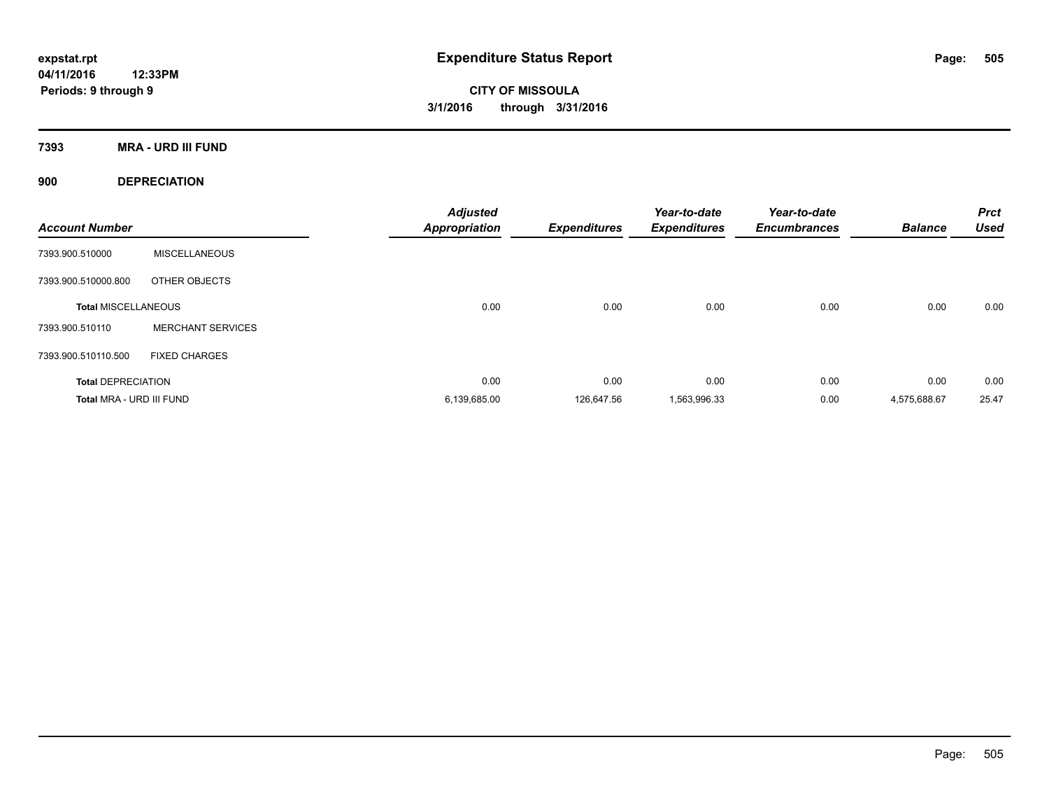**7393 MRA - URD III FUND**

**900 DEPRECIATION**

| <b>Account Number</b>      |                          | <b>Adjusted</b><br><b>Appropriation</b> | <b>Expenditures</b> | Year-to-date<br><b>Expenditures</b> | Year-to-date<br><b>Encumbrances</b> | <b>Balance</b> | <b>Prct</b><br><b>Used</b> |
|----------------------------|--------------------------|-----------------------------------------|---------------------|-------------------------------------|-------------------------------------|----------------|----------------------------|
| 7393.900.510000            | <b>MISCELLANEOUS</b>     |                                         |                     |                                     |                                     |                |                            |
| 7393.900.510000.800        | OTHER OBJECTS            |                                         |                     |                                     |                                     |                |                            |
| <b>Total MISCELLANEOUS</b> |                          | 0.00                                    | 0.00                | 0.00                                | 0.00                                | 0.00           | 0.00                       |
| 7393.900.510110            | <b>MERCHANT SERVICES</b> |                                         |                     |                                     |                                     |                |                            |
| 7393.900.510110.500        | <b>FIXED CHARGES</b>     |                                         |                     |                                     |                                     |                |                            |
| <b>Total DEPRECIATION</b>  |                          | 0.00                                    | 0.00                | 0.00                                | 0.00                                | 0.00           | 0.00                       |
| Total MRA - URD III FUND   |                          | 6,139,685.00                            | 126.647.56          | 1,563,996.33                        | 0.00                                | 4.575.688.67   | 25.47                      |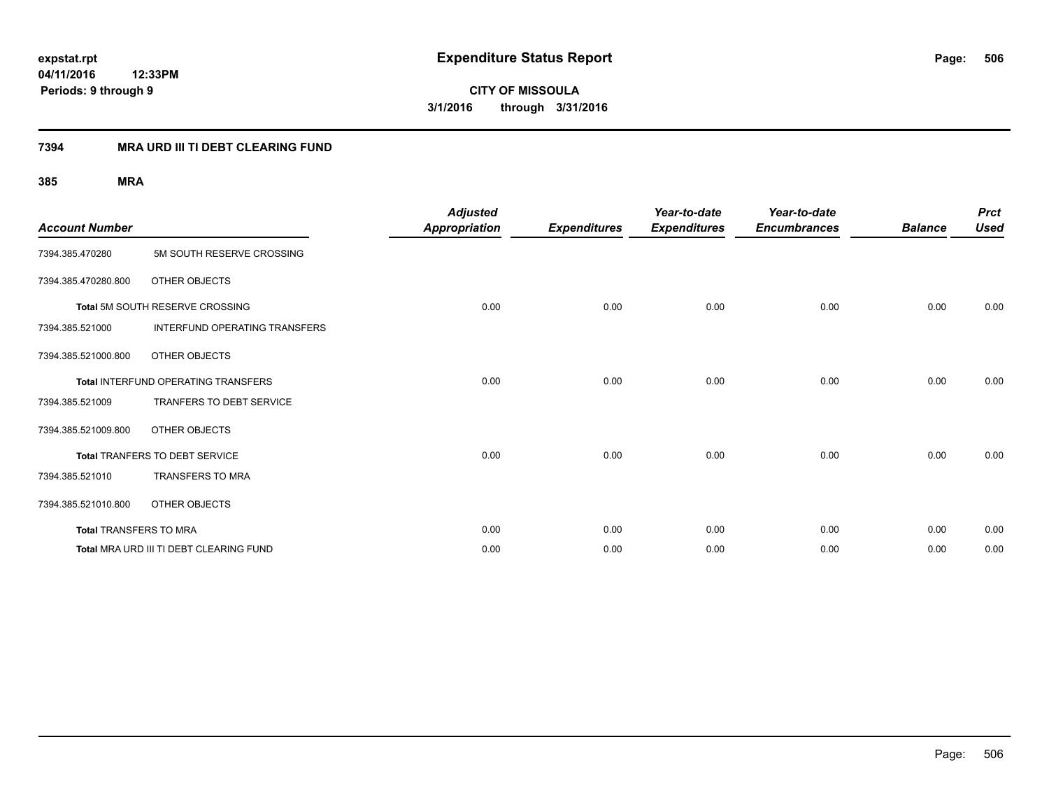# **04/11/2016 12:33PM Periods: 9 through 9**

**CITY OF MISSOULA 3/1/2016 through 3/31/2016**

# **7394 MRA URD III TI DEBT CLEARING FUND**

| <b>Account Number</b>         |                                            | <b>Adjusted</b><br><b>Appropriation</b> | <b>Expenditures</b> | Year-to-date<br><b>Expenditures</b> | Year-to-date<br><b>Encumbrances</b> | <b>Balance</b> | <b>Prct</b><br><b>Used</b> |
|-------------------------------|--------------------------------------------|-----------------------------------------|---------------------|-------------------------------------|-------------------------------------|----------------|----------------------------|
| 7394.385.470280               | 5M SOUTH RESERVE CROSSING                  |                                         |                     |                                     |                                     |                |                            |
| 7394.385.470280.800           | OTHER OBJECTS                              |                                         |                     |                                     |                                     |                |                            |
|                               | Total 5M SOUTH RESERVE CROSSING            | 0.00                                    | 0.00                | 0.00                                | 0.00                                | 0.00           | 0.00                       |
| 7394.385.521000               | INTERFUND OPERATING TRANSFERS              |                                         |                     |                                     |                                     |                |                            |
| 7394.385.521000.800           | OTHER OBJECTS                              |                                         |                     |                                     |                                     |                |                            |
|                               | <b>Total INTERFUND OPERATING TRANSFERS</b> | 0.00                                    | 0.00                | 0.00                                | 0.00                                | 0.00           | 0.00                       |
| 7394.385.521009               | TRANFERS TO DEBT SERVICE                   |                                         |                     |                                     |                                     |                |                            |
| 7394.385.521009.800           | OTHER OBJECTS                              |                                         |                     |                                     |                                     |                |                            |
|                               | Total TRANFERS TO DEBT SERVICE             | 0.00                                    | 0.00                | 0.00                                | 0.00                                | 0.00           | 0.00                       |
| 7394.385.521010               | <b>TRANSFERS TO MRA</b>                    |                                         |                     |                                     |                                     |                |                            |
| 7394.385.521010.800           | OTHER OBJECTS                              |                                         |                     |                                     |                                     |                |                            |
| <b>Total TRANSFERS TO MRA</b> |                                            | 0.00                                    | 0.00                | 0.00                                | 0.00                                | 0.00           | 0.00                       |
|                               | Total MRA URD III TI DEBT CLEARING FUND    | 0.00                                    | 0.00                | 0.00                                | 0.00                                | 0.00           | 0.00                       |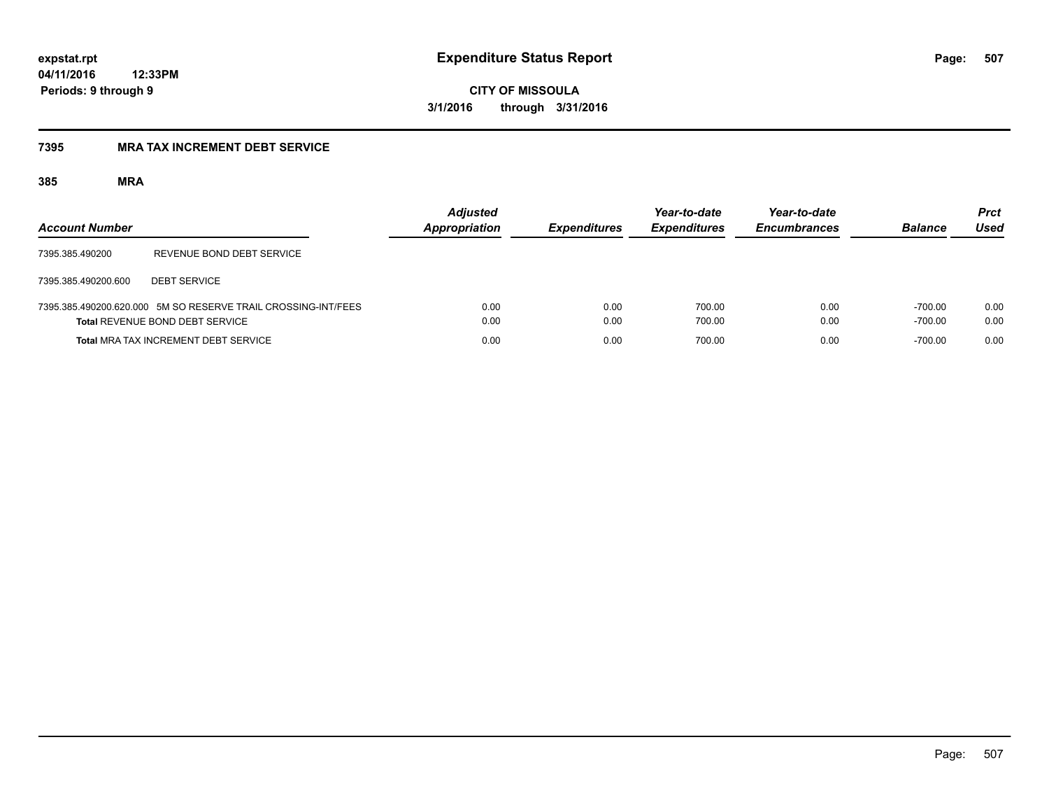**04/11/2016 12:33PM**

**Periods: 9 through 9**

**CITY OF MISSOULA 3/1/2016 through 3/31/2016**

# **7395 MRA TAX INCREMENT DEBT SERVICE**

| <b>Account Number</b> |                                                                                                         | <b>Adjusted</b><br><b>Appropriation</b> | <b>Expenditures</b> | Year-to-date<br><b>Expenditures</b> | Year-to-date<br><b>Encumbrances</b> | <b>Balance</b>         | <b>Prct</b><br>Used |
|-----------------------|---------------------------------------------------------------------------------------------------------|-----------------------------------------|---------------------|-------------------------------------|-------------------------------------|------------------------|---------------------|
| 7395.385.490200       | REVENUE BOND DEBT SERVICE                                                                               |                                         |                     |                                     |                                     |                        |                     |
| 7395.385.490200.600   | <b>DEBT SERVICE</b>                                                                                     |                                         |                     |                                     |                                     |                        |                     |
|                       | 7395.385.490200.620.000 5M SO RESERVE TRAIL CROSSING-INT/FEES<br><b>Total REVENUE BOND DEBT SERVICE</b> | 0.00<br>0.00                            | 0.00<br>0.00        | 700.00<br>700.00                    | 0.00<br>0.00                        | $-700.00$<br>$-700.00$ | 0.00<br>0.00        |
|                       | <b>Total MRA TAX INCREMENT DEBT SERVICE</b>                                                             | 0.00                                    | 0.00                | 700.00                              | 0.00                                | $-700.00$              | 0.00                |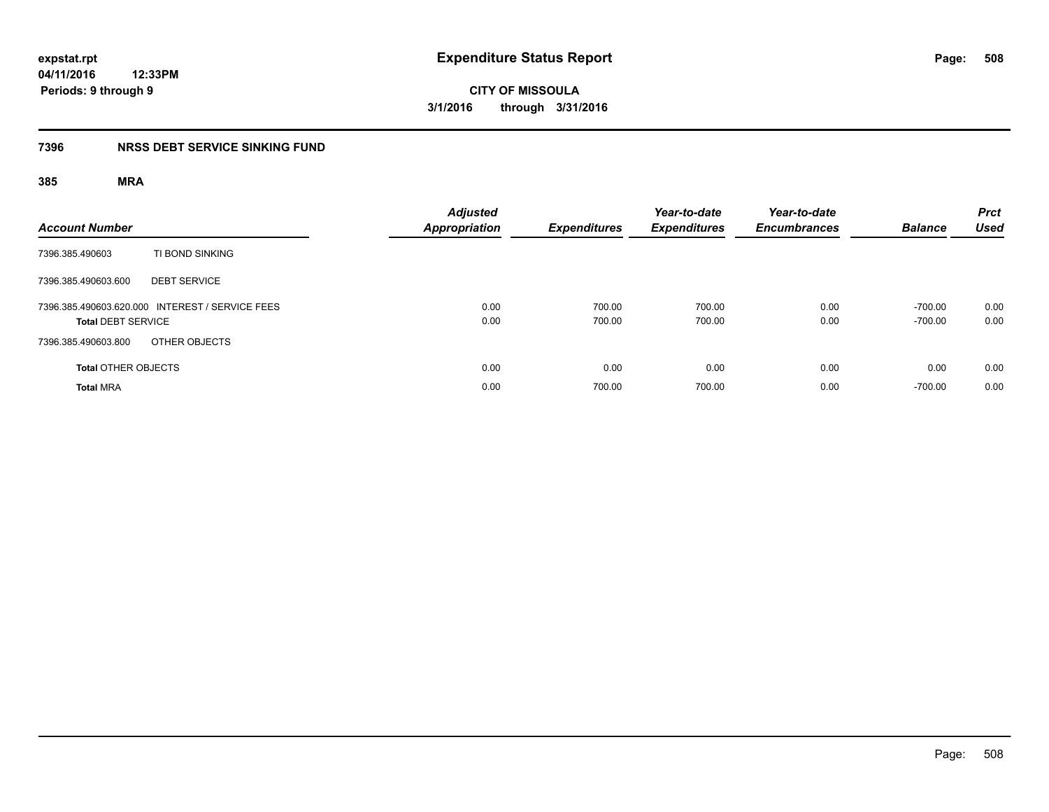# **04/11/2016 12:33PM Periods: 9 through 9**

**CITY OF MISSOULA 3/1/2016 through 3/31/2016**

# **7396 NRSS DEBT SERVICE SINKING FUND**

| <b>Account Number</b>                                                        | <b>Adjusted</b><br><b>Appropriation</b> | <b>Expenditures</b> | Year-to-date<br><b>Expenditures</b> | Year-to-date<br><b>Encumbrances</b> | <b>Balance</b>         | <b>Prct</b><br><b>Used</b> |
|------------------------------------------------------------------------------|-----------------------------------------|---------------------|-------------------------------------|-------------------------------------|------------------------|----------------------------|
| TI BOND SINKING<br>7396.385.490603                                           |                                         |                     |                                     |                                     |                        |                            |
| 7396.385.490603.600<br><b>DEBT SERVICE</b>                                   |                                         |                     |                                     |                                     |                        |                            |
| 7396.385.490603.620.000 INTEREST / SERVICE FEES<br><b>Total DEBT SERVICE</b> | 0.00<br>0.00                            | 700.00<br>700.00    | 700.00<br>700.00                    | 0.00<br>0.00                        | $-700.00$<br>$-700.00$ | 0.00<br>0.00               |
| OTHER OBJECTS<br>7396.385.490603.800                                         |                                         |                     |                                     |                                     |                        |                            |
| <b>Total OTHER OBJECTS</b>                                                   | 0.00                                    | 0.00                | 0.00                                | 0.00                                | 0.00                   | 0.00                       |
| <b>Total MRA</b>                                                             | 0.00                                    | 700.00              | 700.00                              | 0.00                                | $-700.00$              | 0.00                       |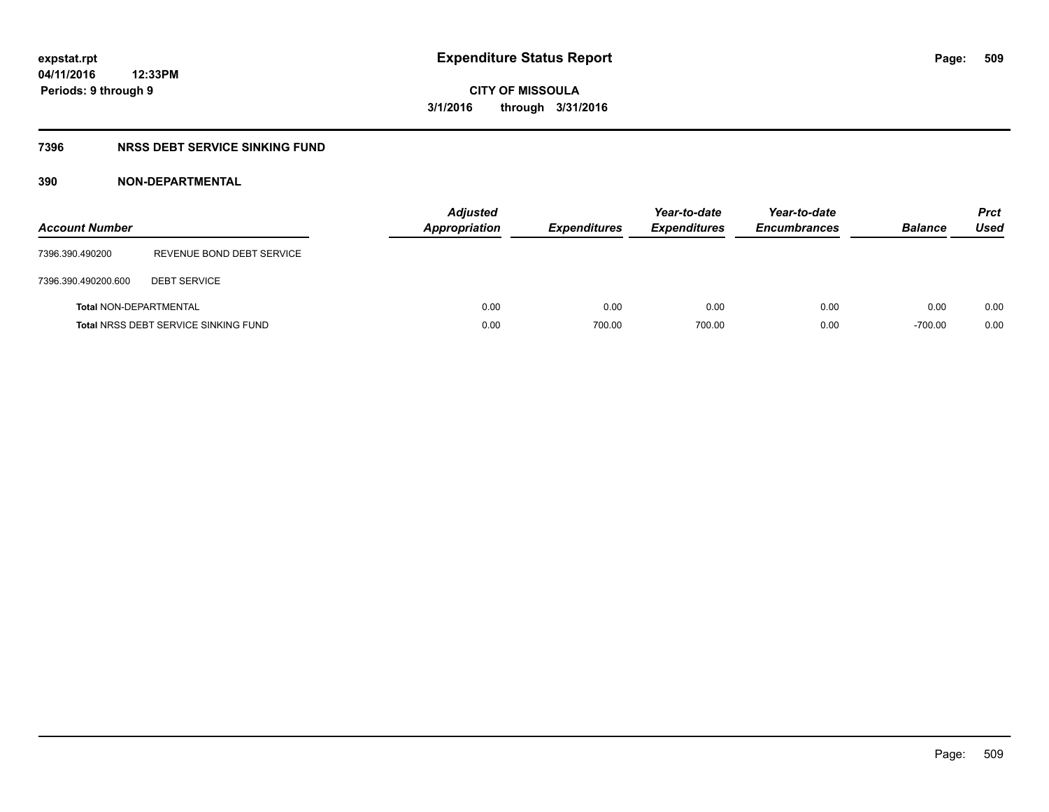# **7396 NRSS DEBT SERVICE SINKING FUND**

# **390 NON-DEPARTMENTAL**

| <b>Account Number</b>         |                                             | <b>Adjusted</b><br><b>Appropriation</b> | <b>Expenditures</b> | Year-to-date<br><b>Expenditures</b> | Year-to-date<br><b>Encumbrances</b> | <b>Balance</b> | <b>Prct</b><br>Used |
|-------------------------------|---------------------------------------------|-----------------------------------------|---------------------|-------------------------------------|-------------------------------------|----------------|---------------------|
| 7396.390.490200               | REVENUE BOND DEBT SERVICE                   |                                         |                     |                                     |                                     |                |                     |
| 7396.390.490200.600           | <b>DEBT SERVICE</b>                         |                                         |                     |                                     |                                     |                |                     |
| <b>Total NON-DEPARTMENTAL</b> |                                             | 0.00                                    | 0.00                | 0.00                                | 0.00                                | 0.00           | 0.00                |
|                               | <b>Total NRSS DEBT SERVICE SINKING FUND</b> | 0.00                                    | 700.00              | 700.00                              | 0.00                                | $-700.00$      | 0.00                |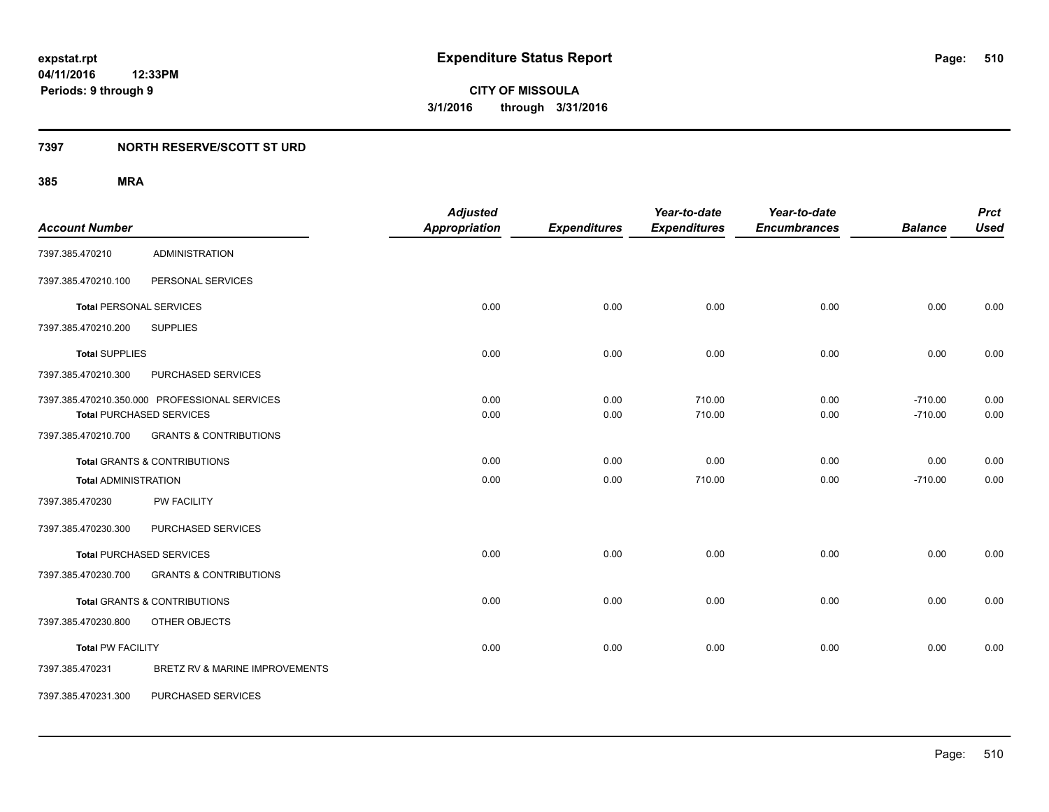# **7397 NORTH RESERVE/SCOTT ST URD**

| <b>Account Number</b>       |                                                                                  | <b>Adjusted</b><br><b>Appropriation</b> | <b>Expenditures</b> | Year-to-date<br><b>Expenditures</b> | Year-to-date<br><b>Encumbrances</b> | <b>Balance</b>         | <b>Prct</b><br><b>Used</b> |
|-----------------------------|----------------------------------------------------------------------------------|-----------------------------------------|---------------------|-------------------------------------|-------------------------------------|------------------------|----------------------------|
| 7397.385.470210             | <b>ADMINISTRATION</b>                                                            |                                         |                     |                                     |                                     |                        |                            |
| 7397.385.470210.100         | PERSONAL SERVICES                                                                |                                         |                     |                                     |                                     |                        |                            |
|                             | <b>Total PERSONAL SERVICES</b>                                                   | 0.00                                    | 0.00                | 0.00                                | 0.00                                | 0.00                   | 0.00                       |
| 7397.385.470210.200         | <b>SUPPLIES</b>                                                                  |                                         |                     |                                     |                                     |                        |                            |
| <b>Total SUPPLIES</b>       |                                                                                  | 0.00                                    | 0.00                | 0.00                                | 0.00                                | 0.00                   | 0.00                       |
| 7397.385.470210.300         | PURCHASED SERVICES                                                               |                                         |                     |                                     |                                     |                        |                            |
|                             | 7397.385.470210.350.000 PROFESSIONAL SERVICES<br><b>Total PURCHASED SERVICES</b> | 0.00<br>0.00                            | 0.00<br>0.00        | 710.00<br>710.00                    | 0.00<br>0.00                        | $-710.00$<br>$-710.00$ | 0.00<br>0.00               |
| 7397.385.470210.700         | <b>GRANTS &amp; CONTRIBUTIONS</b>                                                |                                         |                     |                                     |                                     |                        |                            |
|                             | <b>Total GRANTS &amp; CONTRIBUTIONS</b>                                          | 0.00                                    | 0.00                | 0.00                                | 0.00                                | 0.00                   | 0.00                       |
| <b>Total ADMINISTRATION</b> |                                                                                  | 0.00                                    | 0.00                | 710.00                              | 0.00                                | $-710.00$              | 0.00                       |
| 7397.385.470230             | PW FACILITY                                                                      |                                         |                     |                                     |                                     |                        |                            |
| 7397.385.470230.300         | PURCHASED SERVICES                                                               |                                         |                     |                                     |                                     |                        |                            |
|                             | <b>Total PURCHASED SERVICES</b>                                                  | 0.00                                    | 0.00                | 0.00                                | 0.00                                | 0.00                   | 0.00                       |
| 7397.385.470230.700         | <b>GRANTS &amp; CONTRIBUTIONS</b>                                                |                                         |                     |                                     |                                     |                        |                            |
|                             | <b>Total GRANTS &amp; CONTRIBUTIONS</b>                                          | 0.00                                    | 0.00                | 0.00                                | 0.00                                | 0.00                   | 0.00                       |
| 7397.385.470230.800         | OTHER OBJECTS                                                                    |                                         |                     |                                     |                                     |                        |                            |
| <b>Total PW FACILITY</b>    |                                                                                  | 0.00                                    | 0.00                | 0.00                                | 0.00                                | 0.00                   | 0.00                       |
| 7397.385.470231             | BRETZ RV & MARINE IMPROVEMENTS                                                   |                                         |                     |                                     |                                     |                        |                            |
| 7397.385.470231.300         | PURCHASED SERVICES                                                               |                                         |                     |                                     |                                     |                        |                            |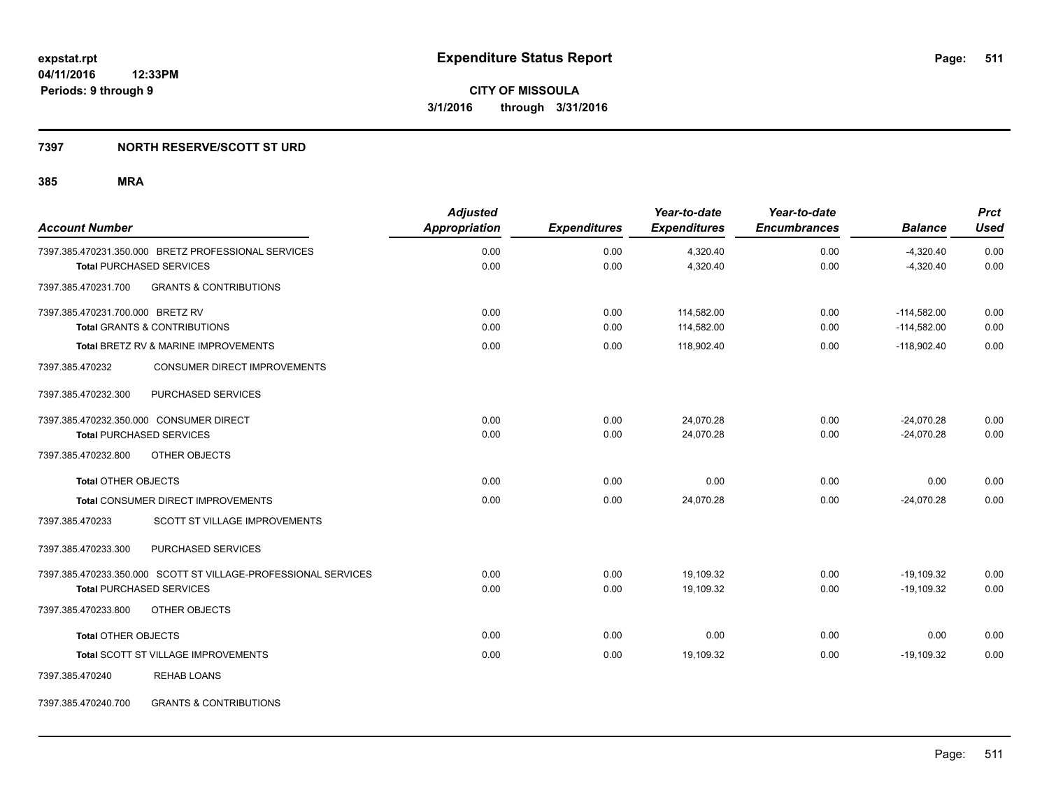# **7397 NORTH RESERVE/SCOTT ST URD**

# **385 MRA**

| <b>Account Number</b>                                          | <b>Adjusted</b><br><b>Appropriation</b> | <b>Expenditures</b> | Year-to-date<br><b>Expenditures</b> | Year-to-date<br><b>Encumbrances</b> | <b>Balance</b> | <b>Prct</b><br><b>Used</b> |
|----------------------------------------------------------------|-----------------------------------------|---------------------|-------------------------------------|-------------------------------------|----------------|----------------------------|
| 7397.385.470231.350.000 BRETZ PROFESSIONAL SERVICES            | 0.00                                    | 0.00                | 4,320.40                            | 0.00                                | $-4,320.40$    | 0.00                       |
| <b>Total PURCHASED SERVICES</b>                                | 0.00                                    | 0.00                | 4,320.40                            | 0.00                                | $-4,320.40$    | 0.00                       |
| <b>GRANTS &amp; CONTRIBUTIONS</b><br>7397.385.470231.700       |                                         |                     |                                     |                                     |                |                            |
| 7397.385.470231.700.000 BRETZ RV                               | 0.00                                    | 0.00                | 114,582.00                          | 0.00                                | $-114,582.00$  | 0.00                       |
| <b>Total GRANTS &amp; CONTRIBUTIONS</b>                        | 0.00                                    | 0.00                | 114,582.00                          | 0.00                                | $-114,582.00$  | 0.00                       |
| Total BRETZ RV & MARINE IMPROVEMENTS                           | 0.00                                    | 0.00                | 118,902.40                          | 0.00                                | $-118,902.40$  | 0.00                       |
| CONSUMER DIRECT IMPROVEMENTS<br>7397.385.470232                |                                         |                     |                                     |                                     |                |                            |
| 7397.385.470232.300<br>PURCHASED SERVICES                      |                                         |                     |                                     |                                     |                |                            |
| 7397.385.470232.350.000 CONSUMER DIRECT                        | 0.00                                    | 0.00                | 24.070.28                           | 0.00                                | $-24,070.28$   | 0.00                       |
| <b>Total PURCHASED SERVICES</b>                                | 0.00                                    | 0.00                | 24,070.28                           | 0.00                                | $-24,070.28$   | 0.00                       |
| 7397.385.470232.800<br>OTHER OBJECTS                           |                                         |                     |                                     |                                     |                |                            |
| Total OTHER OBJECTS                                            | 0.00                                    | 0.00                | 0.00                                | 0.00                                | 0.00           | 0.00                       |
| <b>Total CONSUMER DIRECT IMPROVEMENTS</b>                      | 0.00                                    | 0.00                | 24,070.28                           | 0.00                                | $-24,070.28$   | 0.00                       |
| SCOTT ST VILLAGE IMPROVEMENTS<br>7397.385.470233               |                                         |                     |                                     |                                     |                |                            |
| PURCHASED SERVICES<br>7397.385.470233.300                      |                                         |                     |                                     |                                     |                |                            |
| 7397.385.470233.350.000 SCOTT ST VILLAGE-PROFESSIONAL SERVICES | 0.00                                    | 0.00                | 19,109.32                           | 0.00                                | $-19,109.32$   | 0.00                       |
| <b>Total PURCHASED SERVICES</b>                                | 0.00                                    | 0.00                | 19,109.32                           | 0.00                                | $-19,109.32$   | 0.00                       |
| 7397.385.470233.800<br>OTHER OBJECTS                           |                                         |                     |                                     |                                     |                |                            |
| <b>Total OTHER OBJECTS</b>                                     | 0.00                                    | 0.00                | 0.00                                | 0.00                                | 0.00           | 0.00                       |
| Total SCOTT ST VILLAGE IMPROVEMENTS                            | 0.00                                    | 0.00                | 19,109.32                           | 0.00                                | $-19,109.32$   | 0.00                       |
| 7397.385.470240<br><b>REHAB LOANS</b>                          |                                         |                     |                                     |                                     |                |                            |
|                                                                |                                         |                     |                                     |                                     |                |                            |

7397.385.470240.700 GRANTS & CONTRIBUTIONS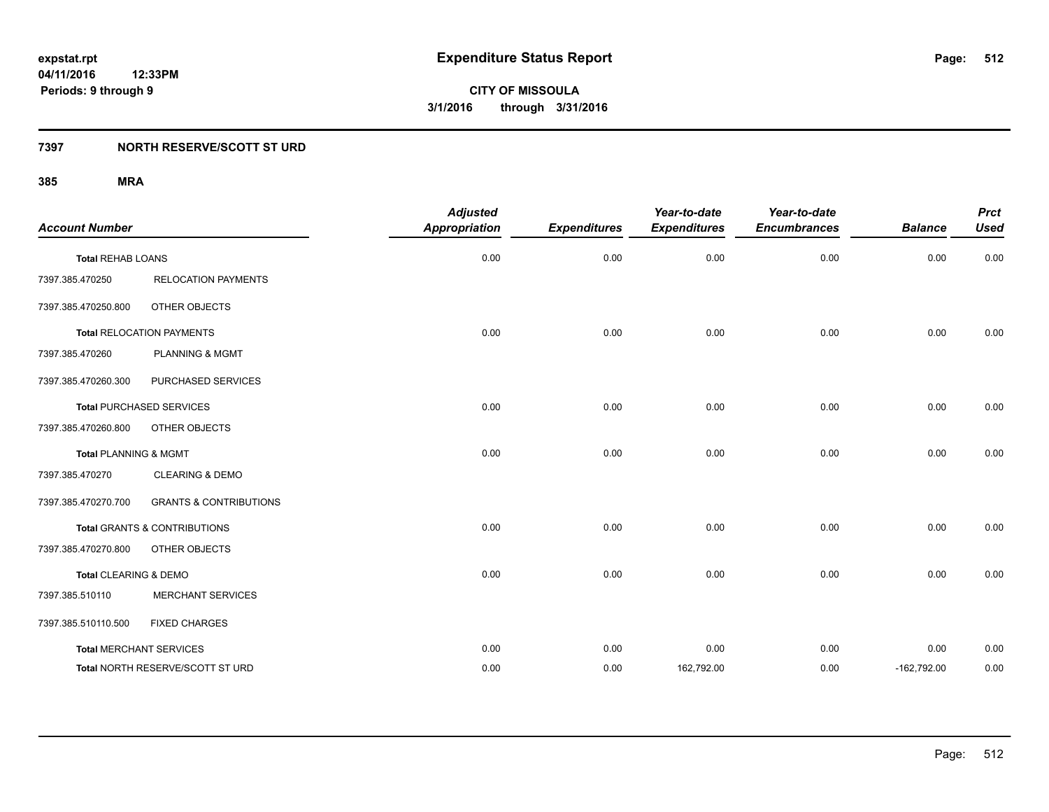# **7397 NORTH RESERVE/SCOTT ST URD**

| <b>Account Number</b>            |                                         | <b>Adjusted</b><br><b>Appropriation</b> | <b>Expenditures</b> | Year-to-date<br><b>Expenditures</b> | Year-to-date<br><b>Encumbrances</b> | <b>Balance</b> | <b>Prct</b><br><b>Used</b> |
|----------------------------------|-----------------------------------------|-----------------------------------------|---------------------|-------------------------------------|-------------------------------------|----------------|----------------------------|
|                                  |                                         |                                         |                     |                                     |                                     |                |                            |
| <b>Total REHAB LOANS</b>         |                                         | 0.00                                    | 0.00                | 0.00                                | 0.00                                | 0.00           | 0.00                       |
| 7397.385.470250                  | <b>RELOCATION PAYMENTS</b>              |                                         |                     |                                     |                                     |                |                            |
| 7397.385.470250.800              | OTHER OBJECTS                           |                                         |                     |                                     |                                     |                |                            |
|                                  | <b>Total RELOCATION PAYMENTS</b>        | 0.00                                    | 0.00                | 0.00                                | 0.00                                | 0.00           | 0.00                       |
| 7397.385.470260                  | <b>PLANNING &amp; MGMT</b>              |                                         |                     |                                     |                                     |                |                            |
| 7397.385.470260.300              | PURCHASED SERVICES                      |                                         |                     |                                     |                                     |                |                            |
|                                  | <b>Total PURCHASED SERVICES</b>         | 0.00                                    | 0.00                | 0.00                                | 0.00                                | 0.00           | 0.00                       |
| 7397.385.470260.800              | OTHER OBJECTS                           |                                         |                     |                                     |                                     |                |                            |
| <b>Total PLANNING &amp; MGMT</b> |                                         | 0.00                                    | 0.00                | 0.00                                | 0.00                                | 0.00           | 0.00                       |
| 7397.385.470270                  | <b>CLEARING &amp; DEMO</b>              |                                         |                     |                                     |                                     |                |                            |
| 7397.385.470270.700              | <b>GRANTS &amp; CONTRIBUTIONS</b>       |                                         |                     |                                     |                                     |                |                            |
|                                  | <b>Total GRANTS &amp; CONTRIBUTIONS</b> | 0.00                                    | 0.00                | 0.00                                | 0.00                                | 0.00           | 0.00                       |
| 7397.385.470270.800              | OTHER OBJECTS                           |                                         |                     |                                     |                                     |                |                            |
| Total CLEARING & DEMO            |                                         | 0.00                                    | 0.00                | 0.00                                | 0.00                                | 0.00           | 0.00                       |
| 7397.385.510110                  | <b>MERCHANT SERVICES</b>                |                                         |                     |                                     |                                     |                |                            |
| 7397.385.510110.500              | <b>FIXED CHARGES</b>                    |                                         |                     |                                     |                                     |                |                            |
| <b>Total MERCHANT SERVICES</b>   |                                         | 0.00                                    | 0.00                | 0.00                                | 0.00                                | 0.00           | 0.00                       |
|                                  | Total NORTH RESERVE/SCOTT ST URD        | 0.00                                    | 0.00                | 162,792.00                          | 0.00                                | $-162,792.00$  | 0.00                       |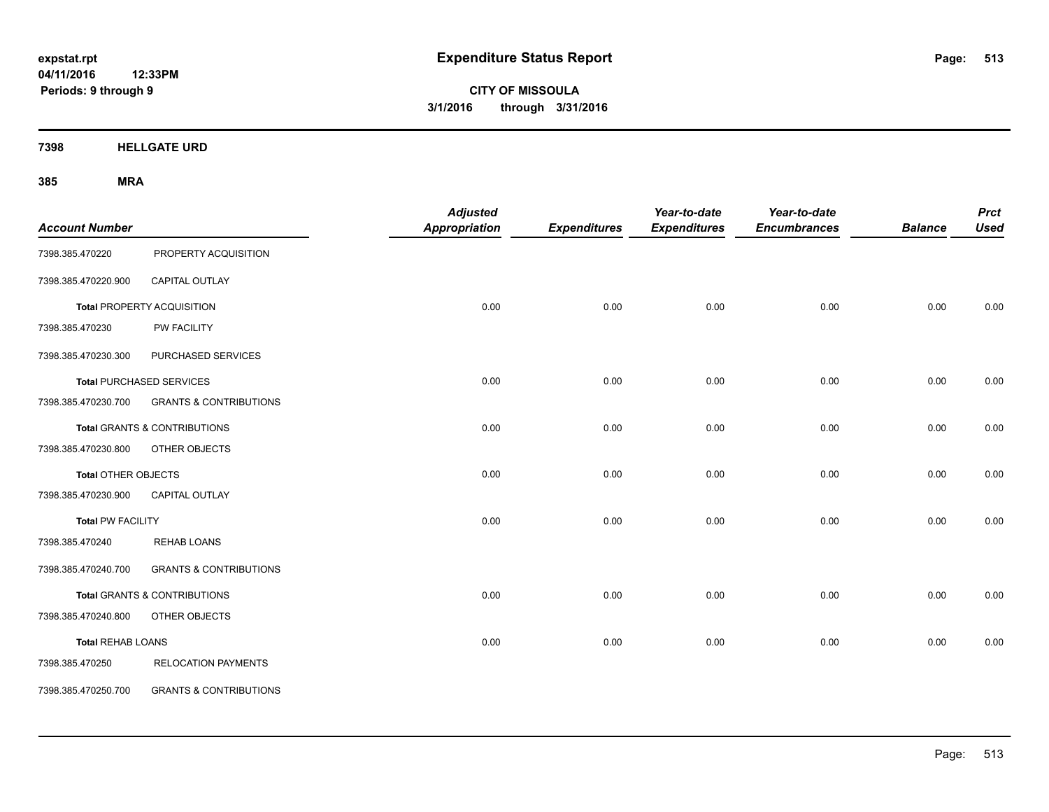**04/11/2016 12:33PM Periods: 9 through 9**

**CITY OF MISSOULA 3/1/2016 through 3/31/2016**

**7398 HELLGATE URD**

| <b>Account Number</b>      |                                         | <b>Adjusted</b><br><b>Appropriation</b> | <b>Expenditures</b> | Year-to-date<br><b>Expenditures</b> | Year-to-date<br><b>Encumbrances</b> | <b>Balance</b> | <b>Prct</b><br><b>Used</b> |
|----------------------------|-----------------------------------------|-----------------------------------------|---------------------|-------------------------------------|-------------------------------------|----------------|----------------------------|
| 7398.385.470220            | PROPERTY ACQUISITION                    |                                         |                     |                                     |                                     |                |                            |
| 7398.385.470220.900        | CAPITAL OUTLAY                          |                                         |                     |                                     |                                     |                |                            |
|                            | Total PROPERTY ACQUISITION              | 0.00                                    | 0.00                | 0.00                                | 0.00                                | 0.00           | 0.00                       |
| 7398.385.470230            | PW FACILITY                             |                                         |                     |                                     |                                     |                |                            |
| 7398.385.470230.300        | PURCHASED SERVICES                      |                                         |                     |                                     |                                     |                |                            |
|                            | <b>Total PURCHASED SERVICES</b>         | 0.00                                    | 0.00                | 0.00                                | 0.00                                | 0.00           | 0.00                       |
| 7398.385.470230.700        | <b>GRANTS &amp; CONTRIBUTIONS</b>       |                                         |                     |                                     |                                     |                |                            |
|                            | Total GRANTS & CONTRIBUTIONS            | 0.00                                    | 0.00                | 0.00                                | 0.00                                | 0.00           | 0.00                       |
| 7398.385.470230.800        | OTHER OBJECTS                           |                                         |                     |                                     |                                     |                |                            |
| <b>Total OTHER OBJECTS</b> |                                         | 0.00                                    | 0.00                | 0.00                                | 0.00                                | 0.00           | 0.00                       |
| 7398.385.470230.900        | <b>CAPITAL OUTLAY</b>                   |                                         |                     |                                     |                                     |                |                            |
| <b>Total PW FACILITY</b>   |                                         | 0.00                                    | 0.00                | 0.00                                | 0.00                                | 0.00           | 0.00                       |
| 7398.385.470240            | <b>REHAB LOANS</b>                      |                                         |                     |                                     |                                     |                |                            |
| 7398.385.470240.700        | <b>GRANTS &amp; CONTRIBUTIONS</b>       |                                         |                     |                                     |                                     |                |                            |
|                            | <b>Total GRANTS &amp; CONTRIBUTIONS</b> | 0.00                                    | 0.00                | 0.00                                | 0.00                                | 0.00           | 0.00                       |
| 7398.385.470240.800        | OTHER OBJECTS                           |                                         |                     |                                     |                                     |                |                            |
| <b>Total REHAB LOANS</b>   |                                         | 0.00                                    | 0.00                | 0.00                                | 0.00                                | 0.00           | 0.00                       |
| 7398.385.470250            | <b>RELOCATION PAYMENTS</b>              |                                         |                     |                                     |                                     |                |                            |
| 7398.385.470250.700        | <b>GRANTS &amp; CONTRIBUTIONS</b>       |                                         |                     |                                     |                                     |                |                            |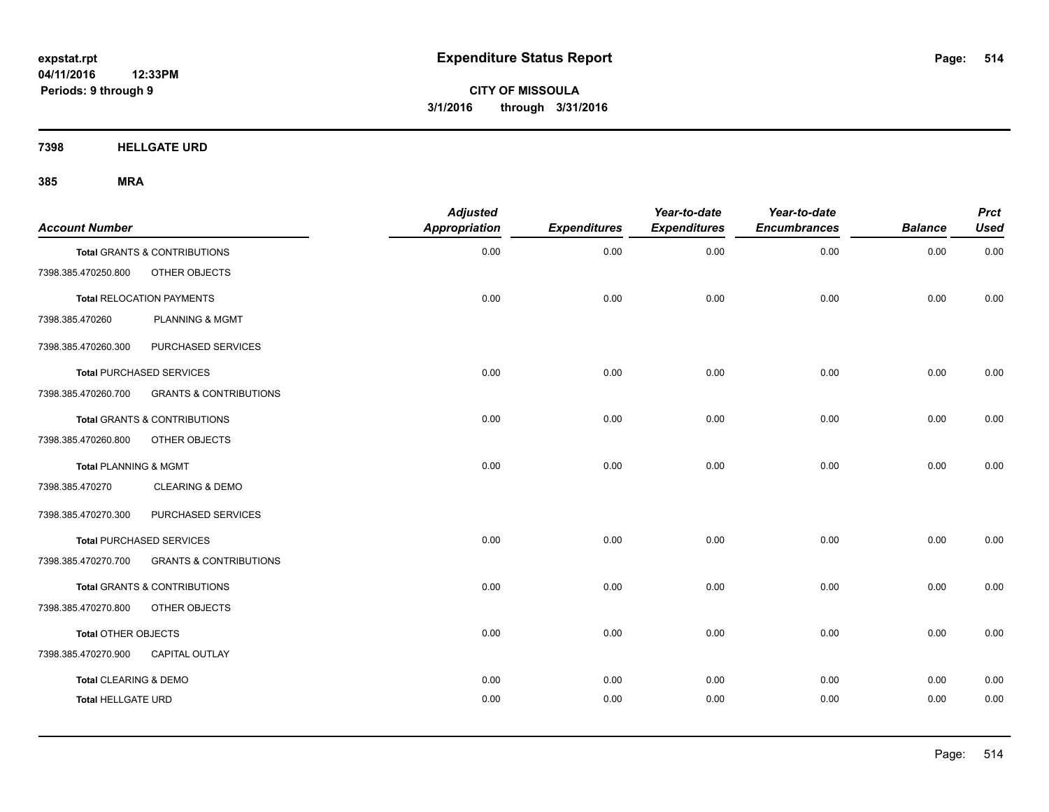**7398 HELLGATE URD**

| <b>Account Number</b>     |                                   | <b>Adjusted</b><br><b>Appropriation</b> | <b>Expenditures</b> | Year-to-date<br><b>Expenditures</b> | Year-to-date<br><b>Encumbrances</b> | <b>Balance</b> | <b>Prct</b><br><b>Used</b> |
|---------------------------|-----------------------------------|-----------------------------------------|---------------------|-------------------------------------|-------------------------------------|----------------|----------------------------|
|                           | Total GRANTS & CONTRIBUTIONS      | 0.00                                    | 0.00                | 0.00                                | 0.00                                | 0.00           | 0.00                       |
| 7398.385.470250.800       | OTHER OBJECTS                     |                                         |                     |                                     |                                     |                |                            |
|                           | <b>Total RELOCATION PAYMENTS</b>  | 0.00                                    | 0.00                | 0.00                                | 0.00                                | 0.00           | 0.00                       |
| 7398.385.470260           | <b>PLANNING &amp; MGMT</b>        |                                         |                     |                                     |                                     |                |                            |
| 7398.385.470260.300       | PURCHASED SERVICES                |                                         |                     |                                     |                                     |                |                            |
|                           | <b>Total PURCHASED SERVICES</b>   | 0.00                                    | 0.00                | 0.00                                | 0.00                                | 0.00           | 0.00                       |
| 7398.385.470260.700       | <b>GRANTS &amp; CONTRIBUTIONS</b> |                                         |                     |                                     |                                     |                |                            |
|                           | Total GRANTS & CONTRIBUTIONS      | 0.00                                    | 0.00                | 0.00                                | 0.00                                | 0.00           | 0.00                       |
| 7398.385.470260.800       | OTHER OBJECTS                     |                                         |                     |                                     |                                     |                |                            |
| Total PLANNING & MGMT     |                                   | 0.00                                    | 0.00                | 0.00                                | 0.00                                | 0.00           | 0.00                       |
| 7398.385.470270           | <b>CLEARING &amp; DEMO</b>        |                                         |                     |                                     |                                     |                |                            |
| 7398.385.470270.300       | PURCHASED SERVICES                |                                         |                     |                                     |                                     |                |                            |
|                           | <b>Total PURCHASED SERVICES</b>   | 0.00                                    | 0.00                | 0.00                                | 0.00                                | 0.00           | 0.00                       |
| 7398.385.470270.700       | <b>GRANTS &amp; CONTRIBUTIONS</b> |                                         |                     |                                     |                                     |                |                            |
|                           | Total GRANTS & CONTRIBUTIONS      | 0.00                                    | 0.00                | 0.00                                | 0.00                                | 0.00           | 0.00                       |
| 7398.385.470270.800       | OTHER OBJECTS                     |                                         |                     |                                     |                                     |                |                            |
| Total OTHER OBJECTS       |                                   | 0.00                                    | 0.00                | 0.00                                | 0.00                                | 0.00           | 0.00                       |
| 7398.385.470270.900       | <b>CAPITAL OUTLAY</b>             |                                         |                     |                                     |                                     |                |                            |
| Total CLEARING & DEMO     |                                   | 0.00                                    | 0.00                | 0.00                                | 0.00                                | 0.00           | 0.00                       |
| <b>Total HELLGATE URD</b> |                                   | 0.00                                    | 0.00                | 0.00                                | 0.00                                | 0.00           | 0.00                       |
|                           |                                   |                                         |                     |                                     |                                     |                |                            |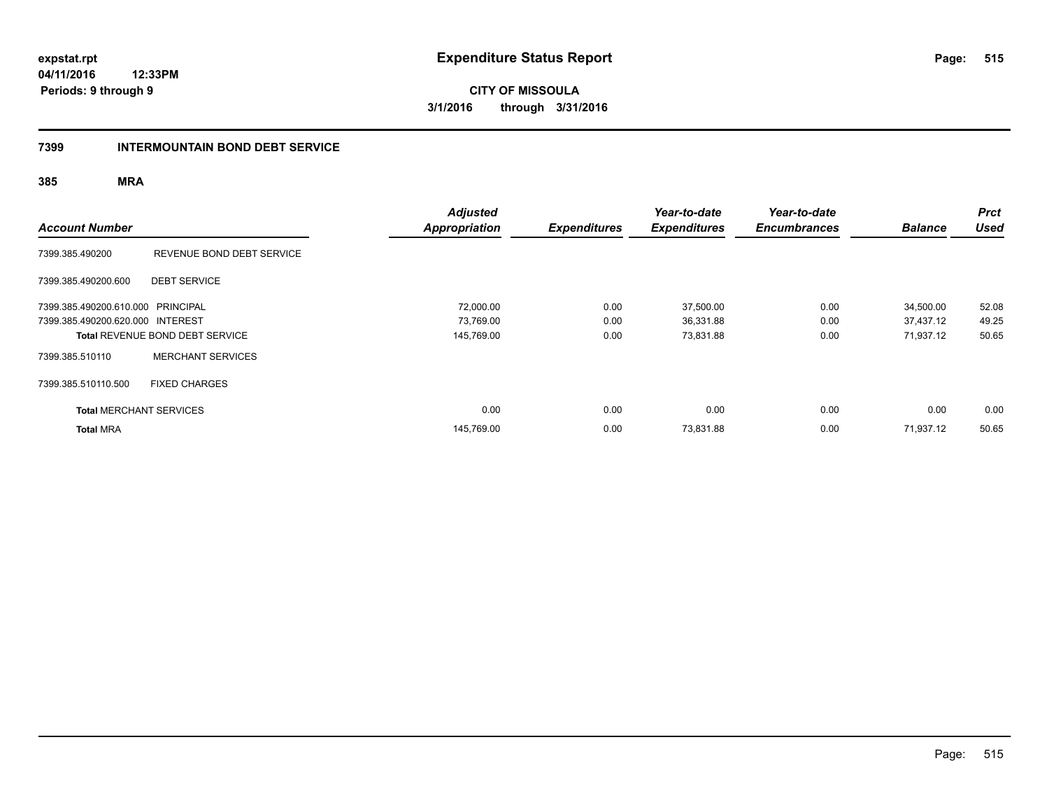**04/11/2016 12:33PM Periods: 9 through 9**

**CITY OF MISSOULA 3/1/2016 through 3/31/2016**

#### **7399 INTERMOUNTAIN BOND DEBT SERVICE**

| <b>Account Number</b>             |                                        | <b>Adjusted</b><br><b>Appropriation</b> | <b>Expenditures</b> | Year-to-date<br><b>Expenditures</b> | Year-to-date<br><b>Encumbrances</b> | <b>Balance</b> | <b>Prct</b><br><b>Used</b> |
|-----------------------------------|----------------------------------------|-----------------------------------------|---------------------|-------------------------------------|-------------------------------------|----------------|----------------------------|
| 7399.385.490200                   | REVENUE BOND DEBT SERVICE              |                                         |                     |                                     |                                     |                |                            |
| 7399.385.490200.600               | <b>DEBT SERVICE</b>                    |                                         |                     |                                     |                                     |                |                            |
| 7399.385.490200.610.000 PRINCIPAL |                                        | 72,000.00                               | 0.00                | 37,500.00                           | 0.00                                | 34,500.00      | 52.08                      |
| 7399.385.490200.620.000 INTEREST  |                                        | 73,769.00                               | 0.00                | 36,331.88                           | 0.00                                | 37,437.12      | 49.25                      |
|                                   | <b>Total REVENUE BOND DEBT SERVICE</b> | 145,769.00                              | 0.00                | 73,831.88                           | 0.00                                | 71,937.12      | 50.65                      |
| 7399.385.510110                   | <b>MERCHANT SERVICES</b>               |                                         |                     |                                     |                                     |                |                            |
| 7399.385.510110.500               | <b>FIXED CHARGES</b>                   |                                         |                     |                                     |                                     |                |                            |
| <b>Total MERCHANT SERVICES</b>    |                                        | 0.00                                    | 0.00                | 0.00                                | 0.00                                | 0.00           | 0.00                       |
| <b>Total MRA</b>                  |                                        | 145.769.00                              | 0.00                | 73,831.88                           | 0.00                                | 71,937.12      | 50.65                      |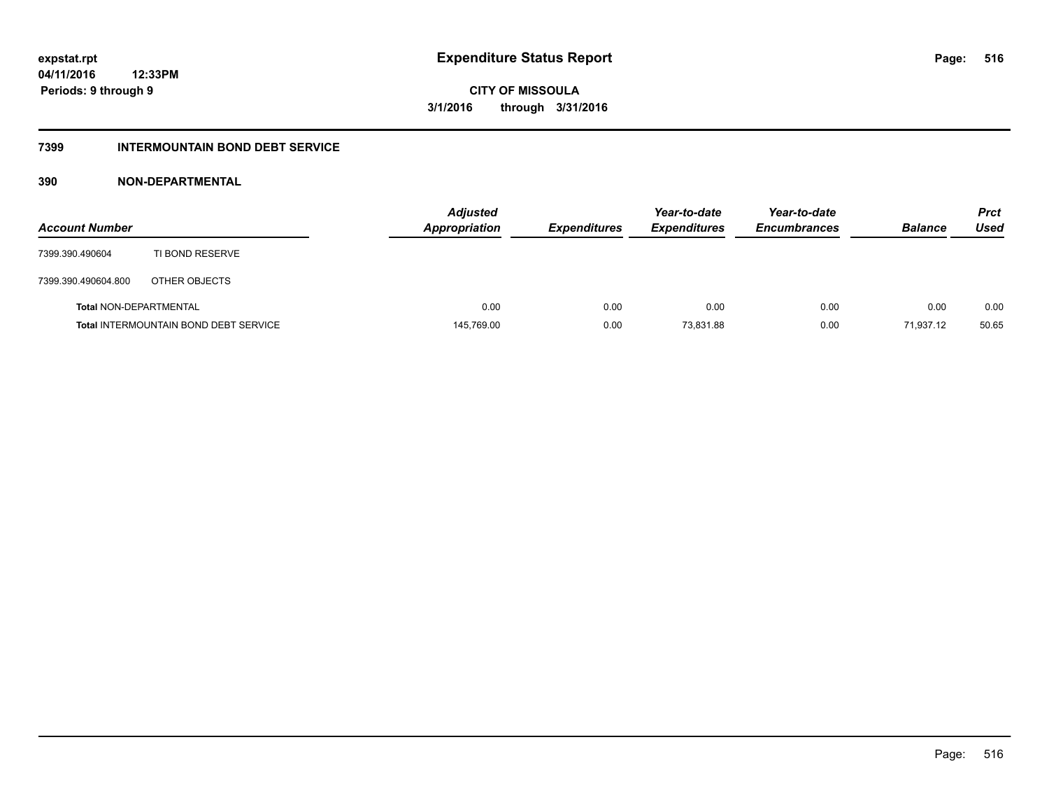# **7399 INTERMOUNTAIN BOND DEBT SERVICE**

# **390 NON-DEPARTMENTAL**

| <b>Account Number</b>         |                                              | <b>Adjusted</b><br><b>Appropriation</b> | <b>Expenditures</b> | Year-to-date<br><b>Expenditures</b> | Year-to-date<br><b>Encumbrances</b> | <b>Balance</b> | <b>Prct</b><br>Used |
|-------------------------------|----------------------------------------------|-----------------------------------------|---------------------|-------------------------------------|-------------------------------------|----------------|---------------------|
| 7399.390.490604               | TI BOND RESERVE                              |                                         |                     |                                     |                                     |                |                     |
| 7399.390.490604.800           | OTHER OBJECTS                                |                                         |                     |                                     |                                     |                |                     |
| <b>Total NON-DEPARTMENTAL</b> |                                              | 0.00                                    | 0.00                | 0.00                                | 0.00                                | 0.00           | 0.00                |
|                               | <b>Total INTERMOUNTAIN BOND DEBT SERVICE</b> | 145,769.00                              | 0.00                | 73.831.88                           | 0.00                                | 71.937.12      | 50.65               |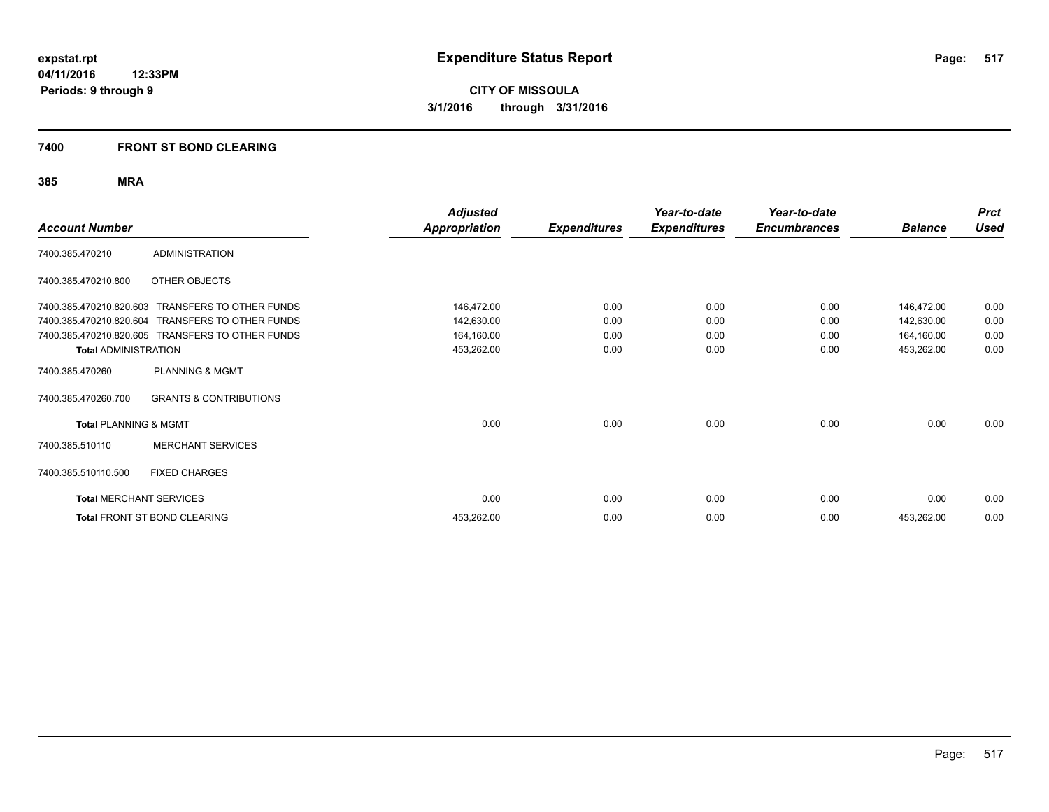# **7400 FRONT ST BOND CLEARING**

| <b>Account Number</b>            |                                                  | <b>Adjusted</b><br><b>Appropriation</b> | <b>Expenditures</b> | Year-to-date<br><b>Expenditures</b> | Year-to-date<br><b>Encumbrances</b> | <b>Balance</b> | <b>Prct</b><br><b>Used</b> |
|----------------------------------|--------------------------------------------------|-----------------------------------------|---------------------|-------------------------------------|-------------------------------------|----------------|----------------------------|
| 7400.385.470210                  | <b>ADMINISTRATION</b>                            |                                         |                     |                                     |                                     |                |                            |
| 7400.385.470210.800              | OTHER OBJECTS                                    |                                         |                     |                                     |                                     |                |                            |
| 7400.385.470210.820.603          | <b>TRANSFERS TO OTHER FUNDS</b>                  | 146,472.00                              | 0.00                | 0.00                                | 0.00                                | 146,472.00     | 0.00                       |
|                                  | 7400.385.470210.820.604 TRANSFERS TO OTHER FUNDS | 142,630.00                              | 0.00                | 0.00                                | 0.00                                | 142,630.00     | 0.00                       |
|                                  | 7400.385.470210.820.605 TRANSFERS TO OTHER FUNDS | 164,160.00                              | 0.00                | 0.00                                | 0.00                                | 164,160.00     | 0.00                       |
| <b>Total ADMINISTRATION</b>      |                                                  | 453,262.00                              | 0.00                | 0.00                                | 0.00                                | 453,262.00     | 0.00                       |
| 7400.385.470260                  | <b>PLANNING &amp; MGMT</b>                       |                                         |                     |                                     |                                     |                |                            |
| 7400.385.470260.700              | <b>GRANTS &amp; CONTRIBUTIONS</b>                |                                         |                     |                                     |                                     |                |                            |
| <b>Total PLANNING &amp; MGMT</b> |                                                  | 0.00                                    | 0.00                | 0.00                                | 0.00                                | 0.00           | 0.00                       |
| 7400.385.510110                  | <b>MERCHANT SERVICES</b>                         |                                         |                     |                                     |                                     |                |                            |
| 7400.385.510110.500              | <b>FIXED CHARGES</b>                             |                                         |                     |                                     |                                     |                |                            |
| <b>Total MERCHANT SERVICES</b>   |                                                  | 0.00                                    | 0.00                | 0.00                                | 0.00                                | 0.00           | 0.00                       |
|                                  | <b>Total FRONT ST BOND CLEARING</b>              | 453,262.00                              | 0.00                | 0.00                                | 0.00                                | 453,262.00     | 0.00                       |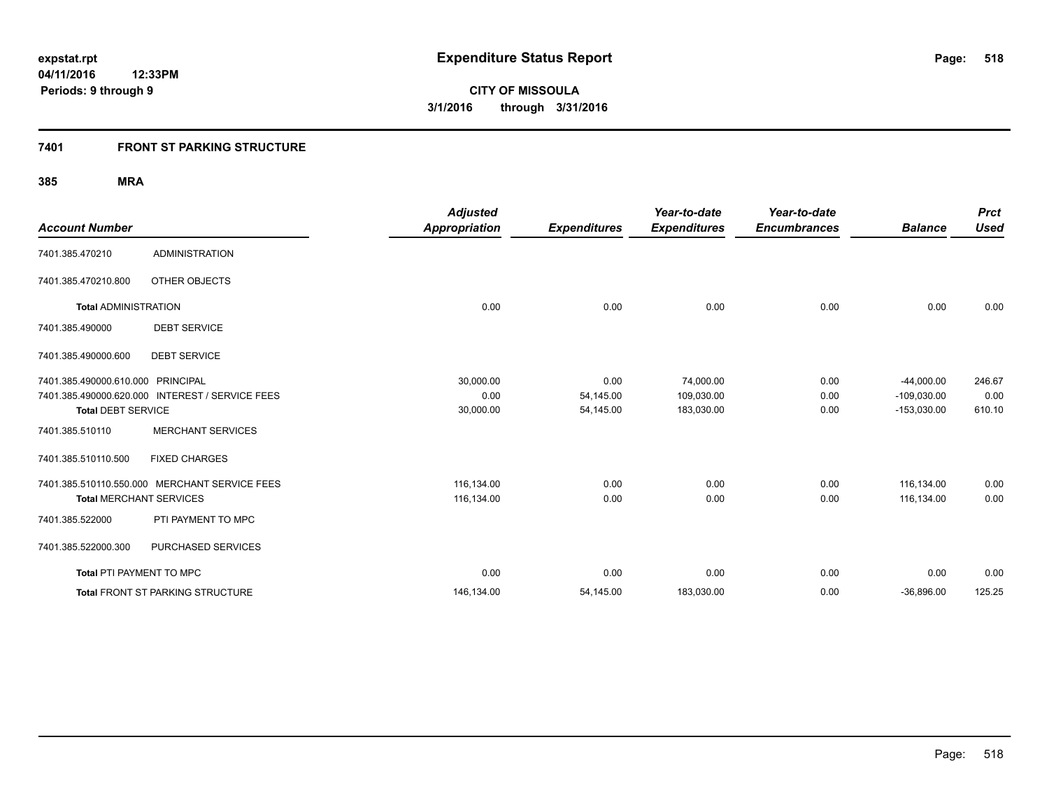# **7401 FRONT ST PARKING STRUCTURE**

| <b>Account Number</b>             |                                                 | <b>Adjusted</b><br><b>Appropriation</b> | <b>Expenditures</b> | Year-to-date<br><b>Expenditures</b> | Year-to-date<br><b>Encumbrances</b> | <b>Balance</b> | <b>Prct</b><br><b>Used</b> |
|-----------------------------------|-------------------------------------------------|-----------------------------------------|---------------------|-------------------------------------|-------------------------------------|----------------|----------------------------|
|                                   |                                                 |                                         |                     |                                     |                                     |                |                            |
| 7401.385.470210                   | <b>ADMINISTRATION</b>                           |                                         |                     |                                     |                                     |                |                            |
| 7401.385.470210.800               | OTHER OBJECTS                                   |                                         |                     |                                     |                                     |                |                            |
| <b>Total ADMINISTRATION</b>       |                                                 | 0.00                                    | 0.00                | 0.00                                | 0.00                                | 0.00           | 0.00                       |
| 7401.385.490000                   | <b>DEBT SERVICE</b>                             |                                         |                     |                                     |                                     |                |                            |
| 7401.385.490000.600               | <b>DEBT SERVICE</b>                             |                                         |                     |                                     |                                     |                |                            |
| 7401.385.490000.610.000 PRINCIPAL |                                                 | 30,000.00                               | 0.00                | 74,000.00                           | 0.00                                | $-44,000.00$   | 246.67                     |
|                                   | 7401.385.490000.620.000 INTEREST / SERVICE FEES | 0.00                                    | 54,145.00           | 109,030.00                          | 0.00                                | $-109,030.00$  | 0.00                       |
| <b>Total DEBT SERVICE</b>         |                                                 | 30,000.00                               | 54,145.00           | 183,030.00                          | 0.00                                | $-153,030.00$  | 610.10                     |
| 7401.385.510110                   | <b>MERCHANT SERVICES</b>                        |                                         |                     |                                     |                                     |                |                            |
| 7401.385.510110.500               | <b>FIXED CHARGES</b>                            |                                         |                     |                                     |                                     |                |                            |
|                                   | 7401.385.510110.550.000 MERCHANT SERVICE FEES   | 116,134.00                              | 0.00                | 0.00                                | 0.00                                | 116.134.00     | 0.00                       |
| <b>Total MERCHANT SERVICES</b>    |                                                 | 116,134.00                              | 0.00                | 0.00                                | 0.00                                | 116,134.00     | 0.00                       |
| 7401.385.522000                   | PTI PAYMENT TO MPC                              |                                         |                     |                                     |                                     |                |                            |
| 7401.385.522000.300               | PURCHASED SERVICES                              |                                         |                     |                                     |                                     |                |                            |
| <b>Total PTI PAYMENT TO MPC</b>   |                                                 | 0.00                                    | 0.00                | 0.00                                | 0.00                                | 0.00           | 0.00                       |
|                                   | <b>Total FRONT ST PARKING STRUCTURE</b>         | 146,134.00                              | 54,145.00           | 183,030.00                          | 0.00                                | $-36,896.00$   | 125.25                     |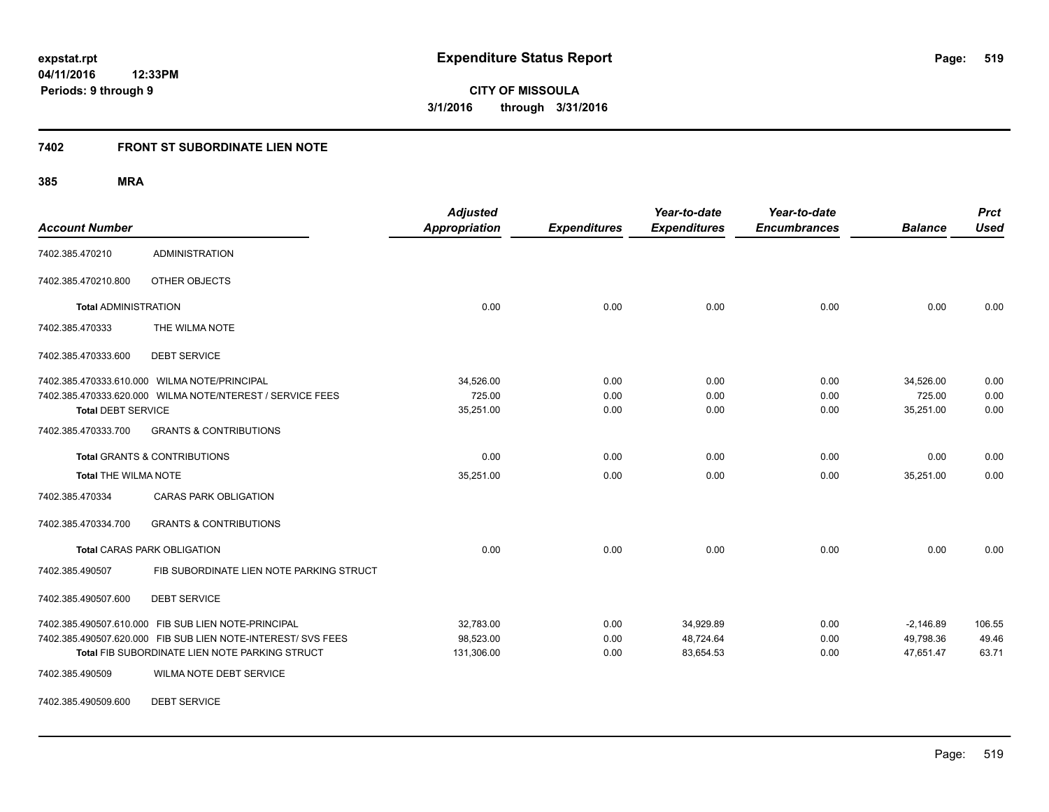# **7402 FRONT ST SUBORDINATE LIEN NOTE**

**385 MRA**

| <b>Account Number</b>       |                                                              | <b>Adjusted</b><br><b>Appropriation</b> | <b>Expenditures</b> | Year-to-date<br><b>Expenditures</b> | Year-to-date<br><b>Encumbrances</b> | <b>Balance</b> | <b>Prct</b><br><b>Used</b> |
|-----------------------------|--------------------------------------------------------------|-----------------------------------------|---------------------|-------------------------------------|-------------------------------------|----------------|----------------------------|
| 7402.385.470210             | <b>ADMINISTRATION</b>                                        |                                         |                     |                                     |                                     |                |                            |
| 7402.385.470210.800         | OTHER OBJECTS                                                |                                         |                     |                                     |                                     |                |                            |
| <b>Total ADMINISTRATION</b> |                                                              | 0.00                                    | 0.00                | 0.00                                | 0.00                                | 0.00           | 0.00                       |
| 7402.385.470333             | THE WILMA NOTE                                               |                                         |                     |                                     |                                     |                |                            |
| 7402.385.470333.600         | <b>DEBT SERVICE</b>                                          |                                         |                     |                                     |                                     |                |                            |
|                             | 7402.385.470333.610.000 WILMA NOTE/PRINCIPAL                 | 34,526.00                               | 0.00                | 0.00                                | 0.00                                | 34,526.00      | 0.00                       |
|                             | 7402.385.470333.620.000 WILMA NOTE/NTEREST / SERVICE FEES    | 725.00                                  | 0.00                | 0.00                                | 0.00                                | 725.00         | 0.00                       |
| <b>Total DEBT SERVICE</b>   |                                                              | 35,251.00                               | 0.00                | 0.00                                | 0.00                                | 35,251.00      | 0.00                       |
| 7402.385.470333.700         | <b>GRANTS &amp; CONTRIBUTIONS</b>                            |                                         |                     |                                     |                                     |                |                            |
|                             | <b>Total GRANTS &amp; CONTRIBUTIONS</b>                      | 0.00                                    | 0.00                | 0.00                                | 0.00                                | 0.00           | 0.00                       |
| <b>Total THE WILMA NOTE</b> |                                                              | 35,251.00                               | 0.00                | 0.00                                | 0.00                                | 35,251.00      | 0.00                       |
| 7402.385.470334             | <b>CARAS PARK OBLIGATION</b>                                 |                                         |                     |                                     |                                     |                |                            |
| 7402.385.470334.700         | <b>GRANTS &amp; CONTRIBUTIONS</b>                            |                                         |                     |                                     |                                     |                |                            |
|                             | <b>Total CARAS PARK OBLIGATION</b>                           | 0.00                                    | 0.00                | 0.00                                | 0.00                                | 0.00           | 0.00                       |
| 7402.385.490507             | FIB SUBORDINATE LIEN NOTE PARKING STRUCT                     |                                         |                     |                                     |                                     |                |                            |
| 7402.385.490507.600         | <b>DEBT SERVICE</b>                                          |                                         |                     |                                     |                                     |                |                            |
|                             | 7402.385.490507.610.000 FIB SUB LIEN NOTE-PRINCIPAL          | 32,783.00                               | 0.00                | 34,929.89                           | 0.00                                | $-2,146.89$    | 106.55                     |
|                             | 7402.385.490507.620.000 FIB SUB LIEN NOTE-INTEREST/ SVS FEES | 98,523.00                               | 0.00                | 48,724.64                           | 0.00                                | 49,798.36      | 49.46                      |
|                             | Total FIB SUBORDINATE LIEN NOTE PARKING STRUCT               | 131,306.00                              | 0.00                | 83,654.53                           | 0.00                                | 47,651.47      | 63.71                      |
| 7402.385.490509             | WILMA NOTE DEBT SERVICE                                      |                                         |                     |                                     |                                     |                |                            |

7402.385.490509.600 DEBT SERVICE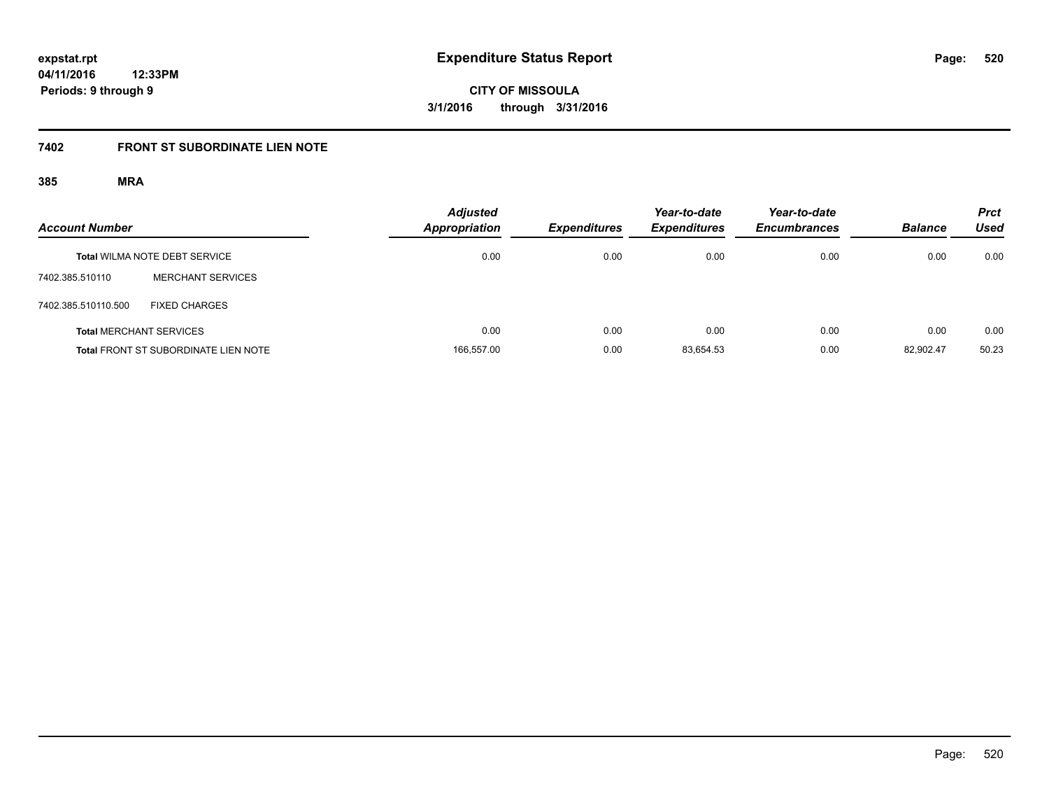# **7402 FRONT ST SUBORDINATE LIEN NOTE**

| <b>Account Number</b> |                                             | <b>Adjusted</b><br><b>Appropriation</b> | <b>Expenditures</b> | Year-to-date<br><b>Expenditures</b> | Year-to-date<br><b>Encumbrances</b> | <b>Balance</b> | <b>Prct</b><br>Used |
|-----------------------|---------------------------------------------|-----------------------------------------|---------------------|-------------------------------------|-------------------------------------|----------------|---------------------|
|                       | <b>Total WILMA NOTE DEBT SERVICE</b>        | 0.00                                    | 0.00                | 0.00                                | 0.00                                | 0.00           | 0.00                |
| 7402.385.510110       | <b>MERCHANT SERVICES</b>                    |                                         |                     |                                     |                                     |                |                     |
| 7402.385.510110.500   | <b>FIXED CHARGES</b>                        |                                         |                     |                                     |                                     |                |                     |
|                       | <b>Total MERCHANT SERVICES</b>              | 0.00                                    | 0.00                | 0.00                                | 0.00                                | 0.00           | 0.00                |
|                       | <b>Total FRONT ST SUBORDINATE LIEN NOTE</b> | 166,557.00                              | 0.00                | 83.654.53                           | 0.00                                | 82.902.47      | 50.23               |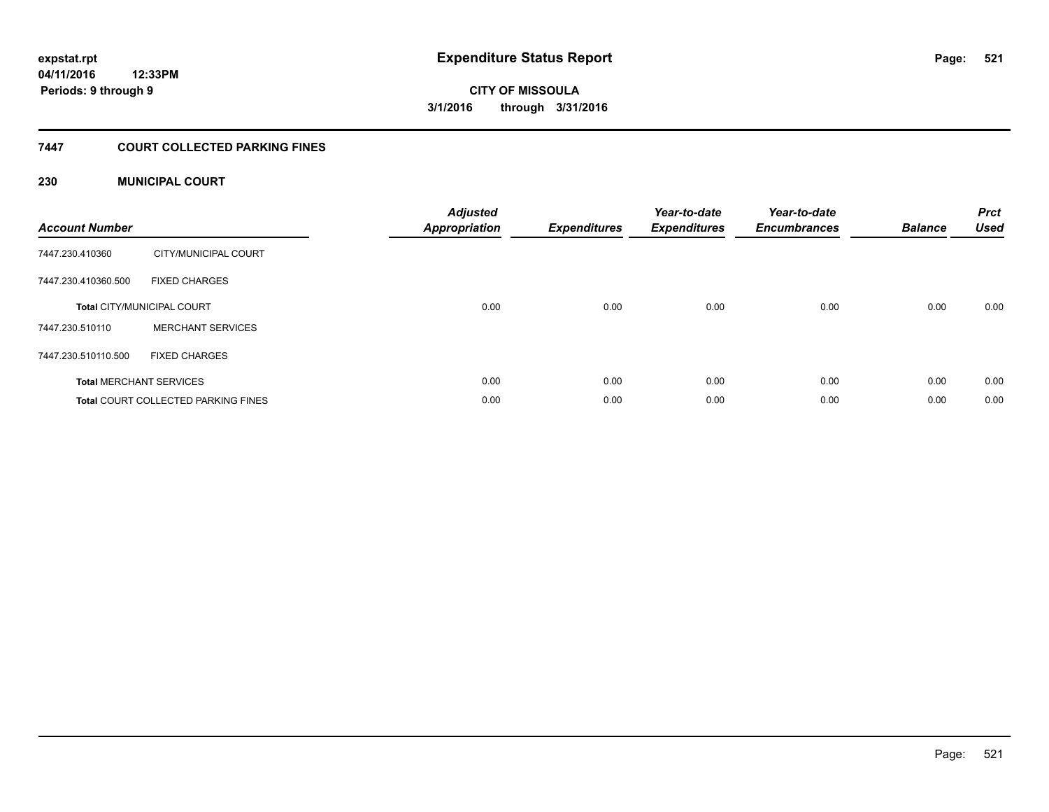# **7447 COURT COLLECTED PARKING FINES**

# **230 MUNICIPAL COURT**

| <b>Account Number</b>          |                                            | <b>Adjusted</b><br><b>Appropriation</b> | <b>Expenditures</b> | Year-to-date<br><b>Expenditures</b> | Year-to-date<br><b>Encumbrances</b> | <b>Balance</b> | <b>Prct</b><br><b>Used</b> |
|--------------------------------|--------------------------------------------|-----------------------------------------|---------------------|-------------------------------------|-------------------------------------|----------------|----------------------------|
| 7447.230.410360                | CITY/MUNICIPAL COURT                       |                                         |                     |                                     |                                     |                |                            |
| 7447.230.410360.500            | <b>FIXED CHARGES</b>                       |                                         |                     |                                     |                                     |                |                            |
|                                | <b>Total CITY/MUNICIPAL COURT</b>          | 0.00                                    | 0.00                | 0.00                                | 0.00                                | 0.00           | 0.00                       |
| 7447.230.510110                | <b>MERCHANT SERVICES</b>                   |                                         |                     |                                     |                                     |                |                            |
| 7447.230.510110.500            | <b>FIXED CHARGES</b>                       |                                         |                     |                                     |                                     |                |                            |
| <b>Total MERCHANT SERVICES</b> |                                            | 0.00                                    | 0.00                | 0.00                                | 0.00                                | 0.00           | 0.00                       |
|                                | <b>Total COURT COLLECTED PARKING FINES</b> | 0.00                                    | 0.00                | 0.00                                | 0.00                                | 0.00           | 0.00                       |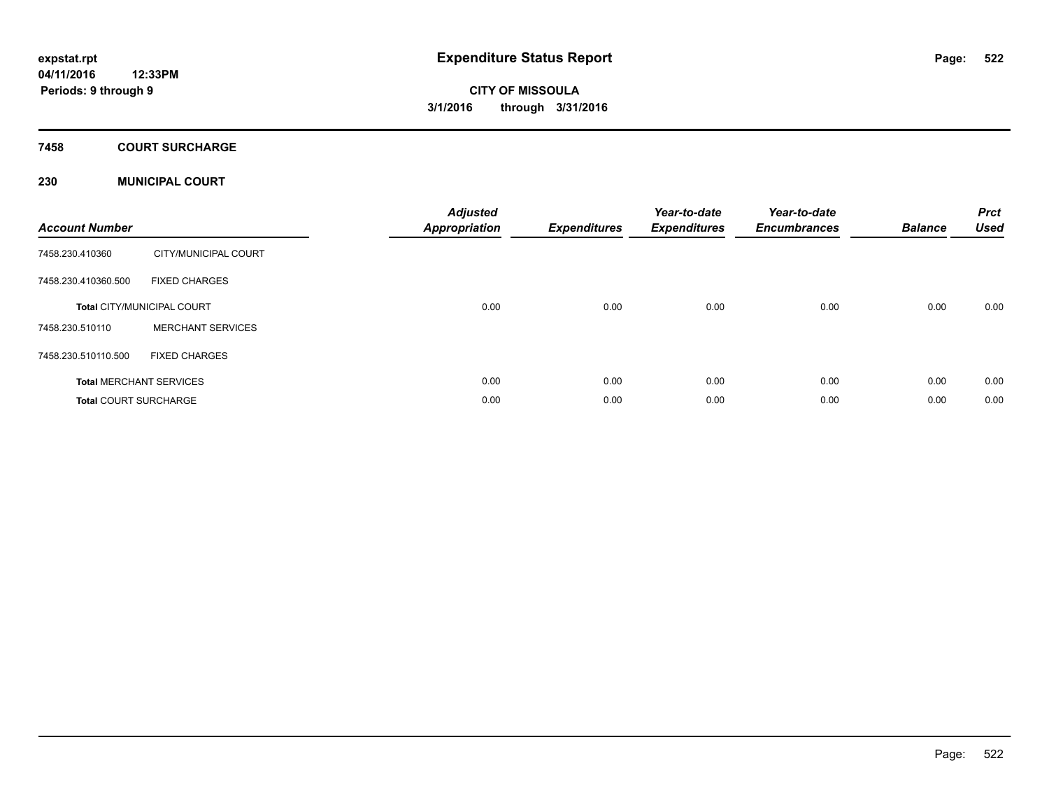# **7458 COURT SURCHARGE**

# **230 MUNICIPAL COURT**

| <b>Account Number</b>        |                                   | <b>Adjusted</b><br><b>Appropriation</b> | <b>Expenditures</b> | Year-to-date<br><b>Expenditures</b> | Year-to-date<br><b>Encumbrances</b> | <b>Balance</b> | <b>Prct</b><br><b>Used</b> |
|------------------------------|-----------------------------------|-----------------------------------------|---------------------|-------------------------------------|-------------------------------------|----------------|----------------------------|
| 7458.230.410360              | CITY/MUNICIPAL COURT              |                                         |                     |                                     |                                     |                |                            |
| 7458.230.410360.500          | <b>FIXED CHARGES</b>              |                                         |                     |                                     |                                     |                |                            |
|                              | <b>Total CITY/MUNICIPAL COURT</b> | 0.00                                    | 0.00                | 0.00                                | 0.00                                | 0.00           | 0.00                       |
| 7458.230.510110              | <b>MERCHANT SERVICES</b>          |                                         |                     |                                     |                                     |                |                            |
| 7458.230.510110.500          | <b>FIXED CHARGES</b>              |                                         |                     |                                     |                                     |                |                            |
|                              | <b>Total MERCHANT SERVICES</b>    | 0.00                                    | 0.00                | 0.00                                | 0.00                                | 0.00           | 0.00                       |
| <b>Total COURT SURCHARGE</b> |                                   | 0.00                                    | 0.00                | 0.00                                | 0.00                                | 0.00           | 0.00                       |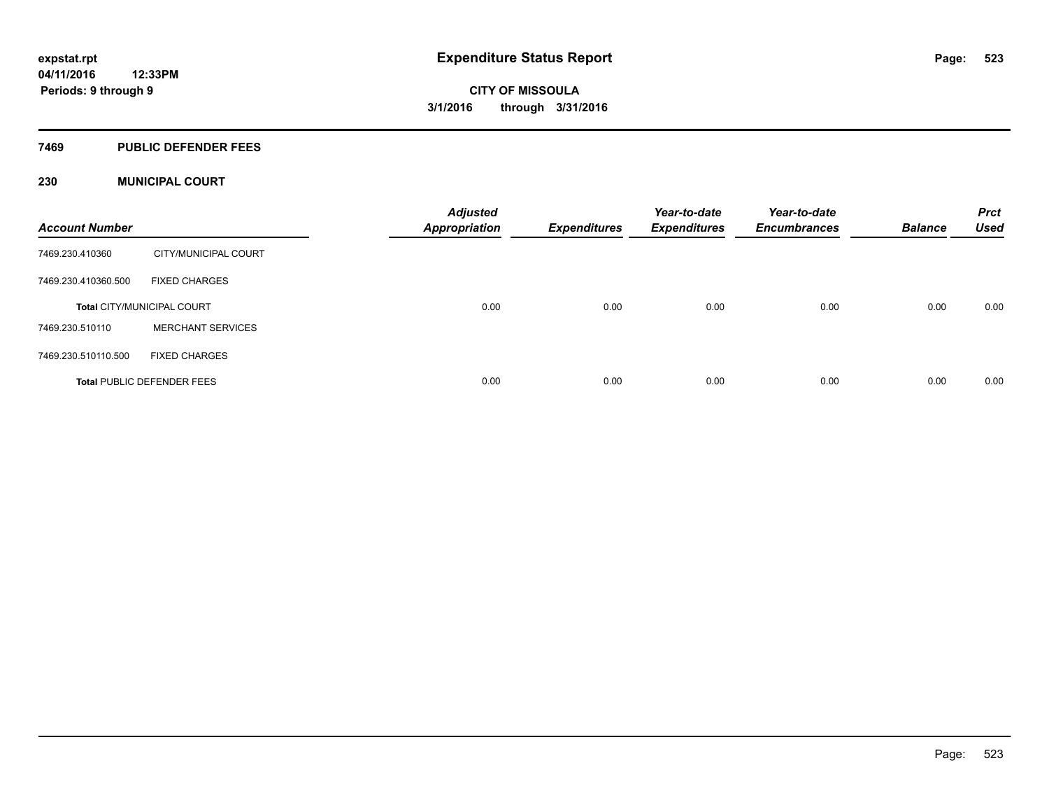#### **7469 PUBLIC DEFENDER FEES**

# **230 MUNICIPAL COURT**

| <b>Account Number</b> |                                   | <b>Adjusted</b><br><b>Appropriation</b> | <b>Expenditures</b> | Year-to-date<br><b>Expenditures</b> | Year-to-date<br><b>Encumbrances</b> | <b>Balance</b> | <b>Prct</b><br><b>Used</b> |
|-----------------------|-----------------------------------|-----------------------------------------|---------------------|-------------------------------------|-------------------------------------|----------------|----------------------------|
| 7469.230.410360       | CITY/MUNICIPAL COURT              |                                         |                     |                                     |                                     |                |                            |
| 7469.230.410360.500   | <b>FIXED CHARGES</b>              |                                         |                     |                                     |                                     |                |                            |
|                       | <b>Total CITY/MUNICIPAL COURT</b> | 0.00                                    | 0.00                | 0.00                                | 0.00                                | 0.00           | 0.00                       |
| 7469.230.510110       | <b>MERCHANT SERVICES</b>          |                                         |                     |                                     |                                     |                |                            |
| 7469.230.510110.500   | <b>FIXED CHARGES</b>              |                                         |                     |                                     |                                     |                |                            |
|                       | <b>Total PUBLIC DEFENDER FEES</b> | 0.00                                    | 0.00                | 0.00                                | 0.00                                | 0.00           | 0.00                       |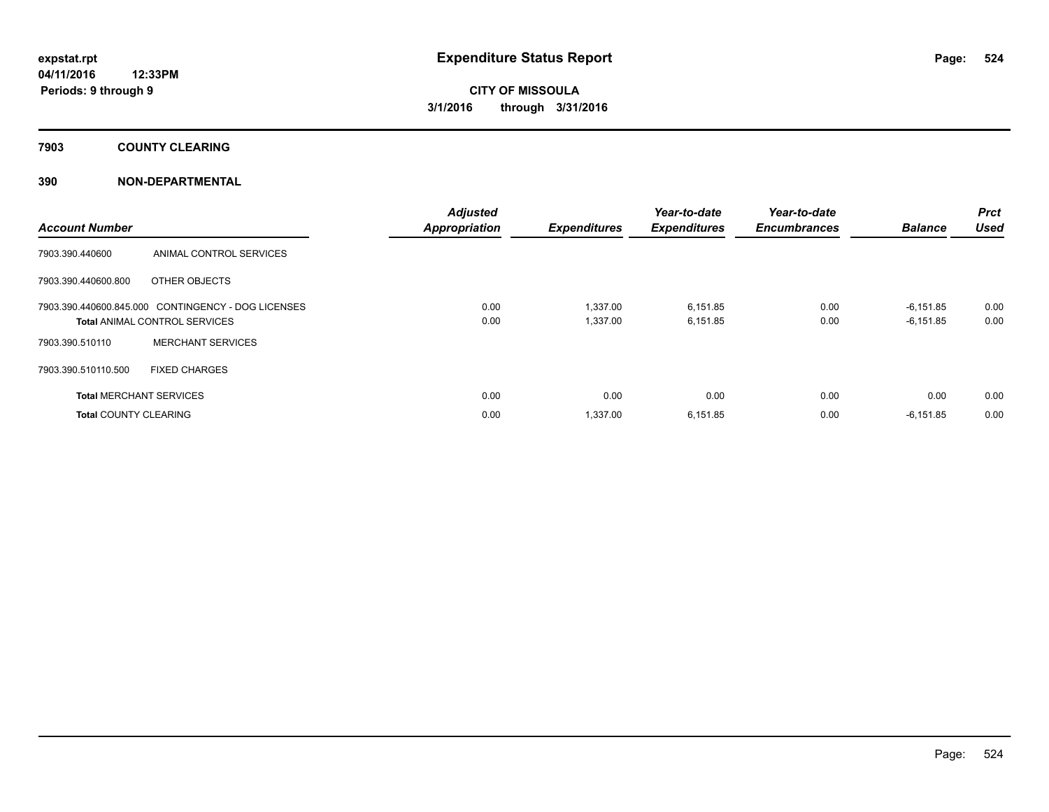**7903 COUNTY CLEARING**

# **390 NON-DEPARTMENTAL**

| <b>Account Number</b>          |                                                    | <b>Adjusted</b><br><b>Appropriation</b> | <b>Expenditures</b> | Year-to-date<br><b>Expenditures</b> | Year-to-date<br><b>Encumbrances</b> | <b>Balance</b> | Prct<br><b>Used</b> |
|--------------------------------|----------------------------------------------------|-----------------------------------------|---------------------|-------------------------------------|-------------------------------------|----------------|---------------------|
| 7903.390.440600                | ANIMAL CONTROL SERVICES                            |                                         |                     |                                     |                                     |                |                     |
| 7903.390.440600.800            | OTHER OBJECTS                                      |                                         |                     |                                     |                                     |                |                     |
|                                | 7903.390.440600.845.000 CONTINGENCY - DOG LICENSES | 0.00                                    | 1,337.00            | 6,151.85                            | 0.00                                | $-6,151.85$    | 0.00                |
|                                | <b>Total ANIMAL CONTROL SERVICES</b>               | 0.00                                    | 1,337.00            | 6,151.85                            | 0.00                                | $-6,151.85$    | 0.00                |
| 7903.390.510110                | <b>MERCHANT SERVICES</b>                           |                                         |                     |                                     |                                     |                |                     |
| 7903.390.510110.500            | <b>FIXED CHARGES</b>                               |                                         |                     |                                     |                                     |                |                     |
| <b>Total MERCHANT SERVICES</b> |                                                    | 0.00                                    | 0.00                | 0.00                                | 0.00                                | 0.00           | 0.00                |
| <b>Total COUNTY CLEARING</b>   |                                                    | 0.00                                    | 1,337.00            | 6,151.85                            | 0.00                                | $-6,151.85$    | 0.00                |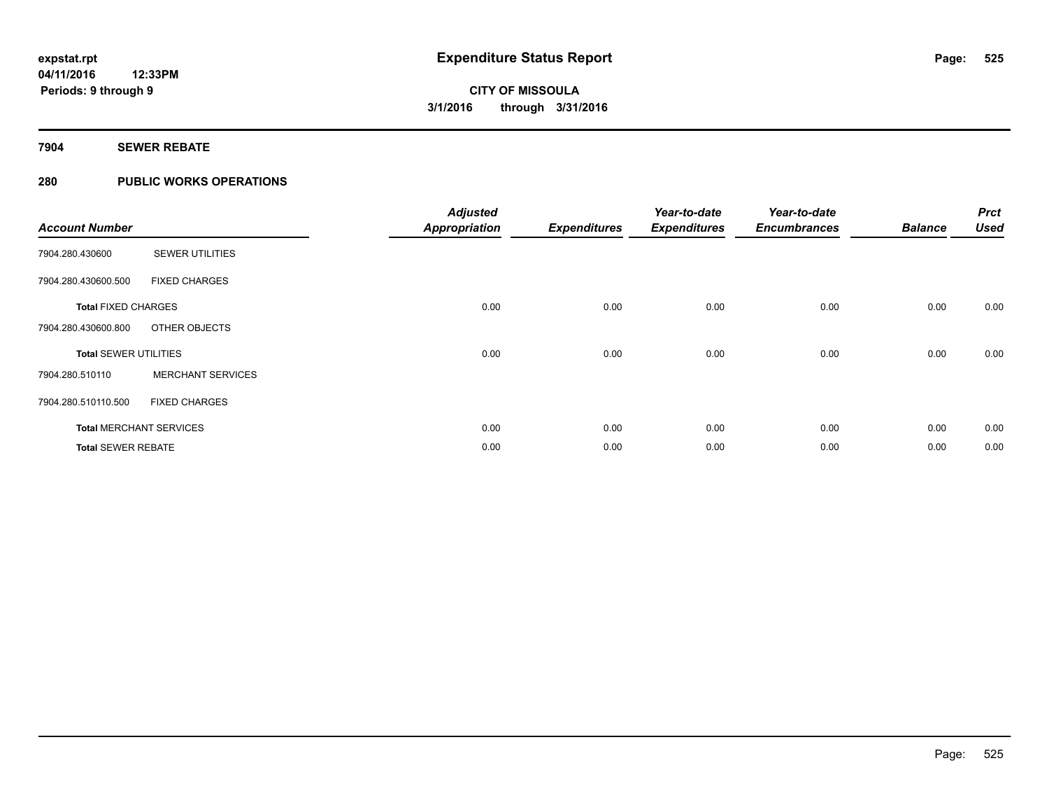# **7904 SEWER REBATE**

# **280 PUBLIC WORKS OPERATIONS**

| <b>Account Number</b>        |                                | <b>Adjusted</b><br><b>Appropriation</b> | <b>Expenditures</b> | Year-to-date<br><b>Expenditures</b> | Year-to-date<br><b>Encumbrances</b> | <b>Balance</b> | <b>Prct</b><br><b>Used</b> |
|------------------------------|--------------------------------|-----------------------------------------|---------------------|-------------------------------------|-------------------------------------|----------------|----------------------------|
| 7904.280.430600              | <b>SEWER UTILITIES</b>         |                                         |                     |                                     |                                     |                |                            |
| 7904.280.430600.500          | <b>FIXED CHARGES</b>           |                                         |                     |                                     |                                     |                |                            |
| <b>Total FIXED CHARGES</b>   |                                | 0.00                                    | 0.00                | 0.00                                | 0.00                                | 0.00           | 0.00                       |
| 7904.280.430600.800          | OTHER OBJECTS                  |                                         |                     |                                     |                                     |                |                            |
| <b>Total SEWER UTILITIES</b> |                                | 0.00                                    | 0.00                | 0.00                                | 0.00                                | 0.00           | 0.00                       |
| 7904.280.510110              | <b>MERCHANT SERVICES</b>       |                                         |                     |                                     |                                     |                |                            |
| 7904.280.510110.500          | <b>FIXED CHARGES</b>           |                                         |                     |                                     |                                     |                |                            |
|                              | <b>Total MERCHANT SERVICES</b> | 0.00                                    | 0.00                | 0.00                                | 0.00                                | 0.00           | 0.00                       |
| <b>Total SEWER REBATE</b>    |                                | 0.00                                    | 0.00                | 0.00                                | 0.00                                | 0.00           | 0.00                       |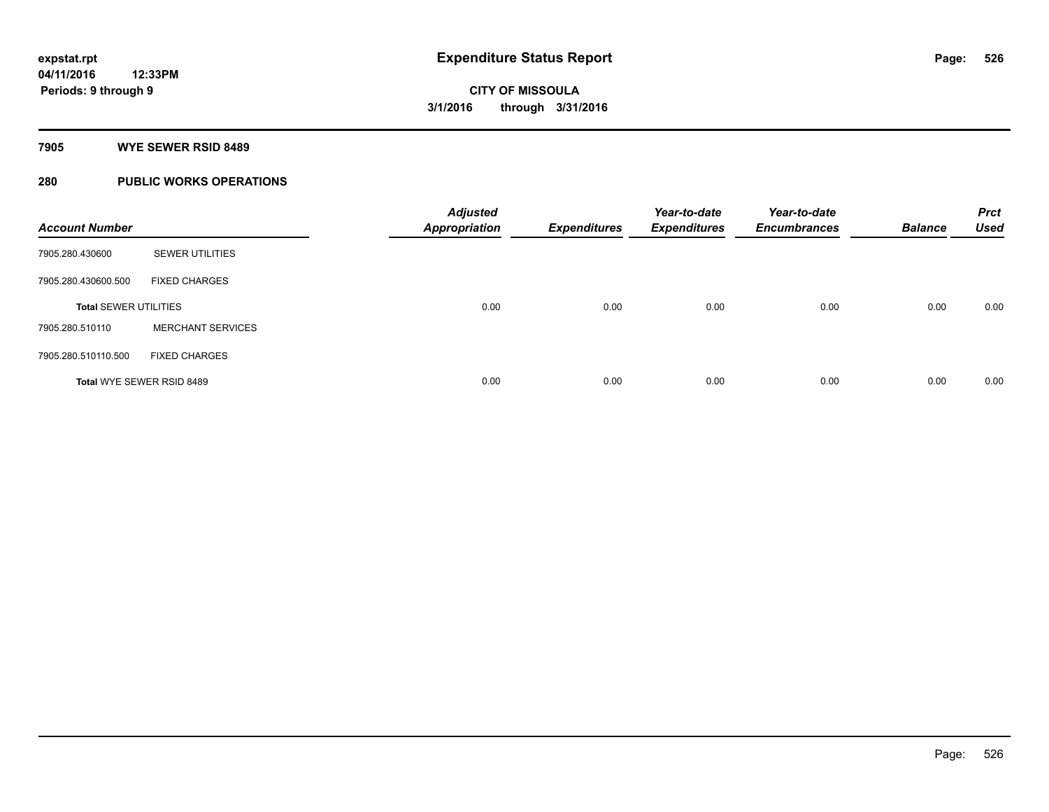#### **7905 WYE SEWER RSID 8489**

# **280 PUBLIC WORKS OPERATIONS**

| <b>Account Number</b>        |                           | <b>Adjusted</b><br><b>Appropriation</b> | <b>Expenditures</b> | Year-to-date<br><b>Expenditures</b> | Year-to-date<br><b>Encumbrances</b> | <b>Balance</b> | <b>Prct</b><br><b>Used</b> |
|------------------------------|---------------------------|-----------------------------------------|---------------------|-------------------------------------|-------------------------------------|----------------|----------------------------|
| 7905.280.430600              | <b>SEWER UTILITIES</b>    |                                         |                     |                                     |                                     |                |                            |
| 7905.280.430600.500          | <b>FIXED CHARGES</b>      |                                         |                     |                                     |                                     |                |                            |
| <b>Total SEWER UTILITIES</b> |                           | 0.00                                    | 0.00                | 0.00                                | 0.00                                | 0.00           | 0.00                       |
| 7905.280.510110              | <b>MERCHANT SERVICES</b>  |                                         |                     |                                     |                                     |                |                            |
| 7905.280.510110.500          | <b>FIXED CHARGES</b>      |                                         |                     |                                     |                                     |                |                            |
|                              | Total WYE SEWER RSID 8489 | 0.00                                    | 0.00                | 0.00                                | 0.00                                | 0.00           | 0.00                       |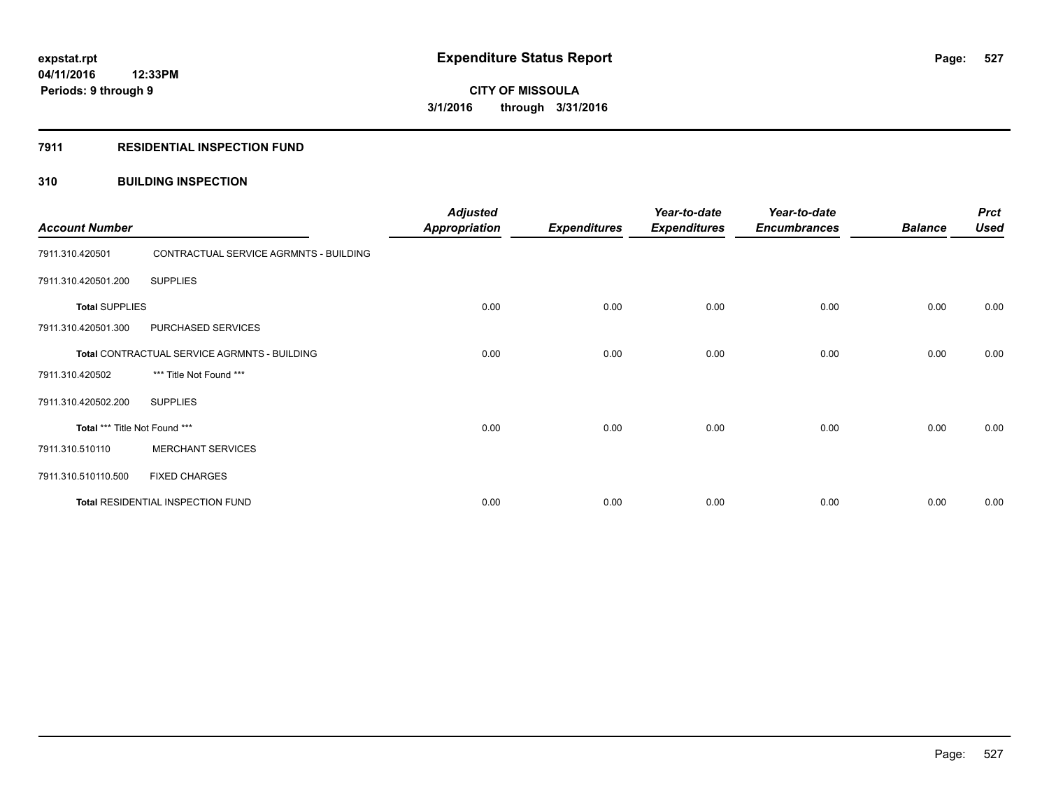# **7911 RESIDENTIAL INSPECTION FUND**

# **310 BUILDING INSPECTION**

| <b>Account Number</b>         |                                              | <b>Adjusted</b><br><b>Appropriation</b> | <b>Expenditures</b> | Year-to-date<br><b>Expenditures</b> | Year-to-date<br><b>Encumbrances</b> | <b>Balance</b> | <b>Prct</b><br><b>Used</b> |
|-------------------------------|----------------------------------------------|-----------------------------------------|---------------------|-------------------------------------|-------------------------------------|----------------|----------------------------|
| 7911.310.420501               | CONTRACTUAL SERVICE AGRMNTS - BUILDING       |                                         |                     |                                     |                                     |                |                            |
| 7911.310.420501.200           | <b>SUPPLIES</b>                              |                                         |                     |                                     |                                     |                |                            |
| <b>Total SUPPLIES</b>         |                                              | 0.00                                    | 0.00                | 0.00                                | 0.00                                | 0.00           | 0.00                       |
| 7911.310.420501.300           | PURCHASED SERVICES                           |                                         |                     |                                     |                                     |                |                            |
|                               | Total CONTRACTUAL SERVICE AGRMNTS - BUILDING | 0.00                                    | 0.00                | 0.00                                | 0.00                                | 0.00           | 0.00                       |
| 7911.310.420502               | *** Title Not Found ***                      |                                         |                     |                                     |                                     |                |                            |
| 7911.310.420502.200           | <b>SUPPLIES</b>                              |                                         |                     |                                     |                                     |                |                            |
| Total *** Title Not Found *** |                                              | 0.00                                    | 0.00                | 0.00                                | 0.00                                | 0.00           | 0.00                       |
| 7911.310.510110               | <b>MERCHANT SERVICES</b>                     |                                         |                     |                                     |                                     |                |                            |
| 7911.310.510110.500           | <b>FIXED CHARGES</b>                         |                                         |                     |                                     |                                     |                |                            |
|                               | Total RESIDENTIAL INSPECTION FUND            | 0.00                                    | 0.00                | 0.00                                | 0.00                                | 0.00           | 0.00                       |